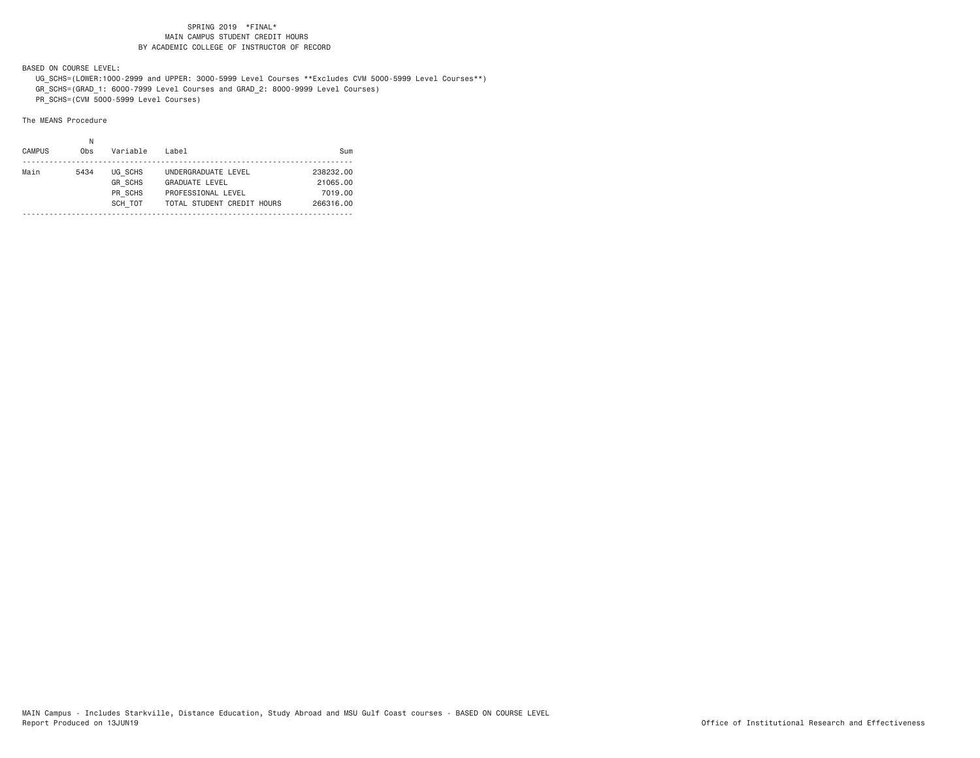BASED ON COURSE LEVEL:

 UG\_SCHS=(LOWER:1000-2999 and UPPER: 3000-5999 Level Courses \*\*Excludes CVM 5000-5999 Level Courses\*\*) GR\_SCHS=(GRAD\_1: 6000-7999 Level Courses and GRAD\_2: 8000-9999 Level Courses)

PR\_SCHS=(CVM 5000-5999 Level Courses)

The MEANS Procedure

| Main<br>UG SCHS<br>5434<br>238232.00<br>UNDERGRADUATE LEVEL<br><b>GR SCHS</b><br><b>GRADUATE LEVEL</b><br>21065.00<br>PR SCHS<br>7019.00<br>PROFESSIONAL LEVEL<br>SCH TOT<br>TOTAL STUDENT CREDIT HOURS<br>266316.00 | <b>CAMPUS</b> | 0 <sub>bs</sub> | Variable | Label | Sum |
|----------------------------------------------------------------------------------------------------------------------------------------------------------------------------------------------------------------------|---------------|-----------------|----------|-------|-----|
|                                                                                                                                                                                                                      |               |                 |          |       |     |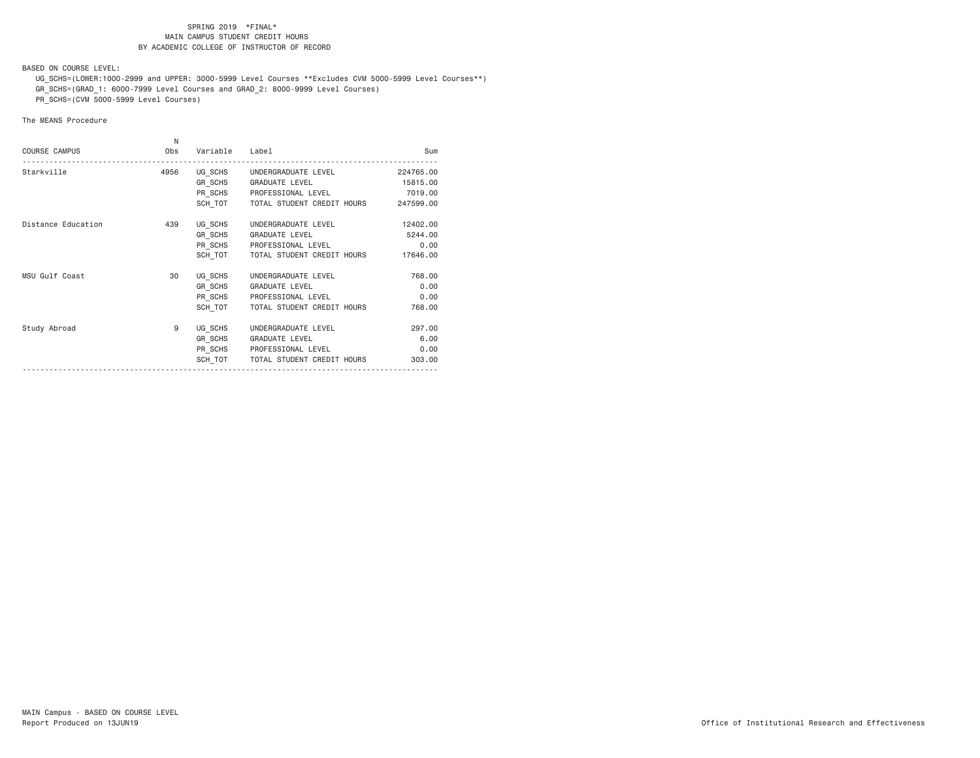BASED ON COURSE LEVEL:

 UG\_SCHS=(LOWER:1000-2999 and UPPER: 3000-5999 Level Courses \*\*Excludes CVM 5000-5999 Level Courses\*\*) GR\_SCHS=(GRAD\_1: 6000-7999 Level Courses and GRAD\_2: 8000-9999 Level Courses)

PR\_SCHS=(CVM 5000-5999 Level Courses)

# The MEANS Procedure

| <b>COURSE CAMPUS</b> | N<br>Obs | Variable | Label                                        | Sum       |
|----------------------|----------|----------|----------------------------------------------|-----------|
| Starkville           | 4956     |          | UG SCHS UNDERGRADUATE LEVEL                  | 224765.00 |
|                      |          |          | GR SCHS GRADUATE LEVEL                       | 15815.00  |
|                      |          |          | PR SCHS PROFESSIONAL LEVEL                   | 7019.00   |
|                      |          |          | SCH TOT TOTAL STUDENT CREDIT HOURS 247599.00 |           |
| Distance Education   | 439      |          | UG SCHS UNDERGRADUATE LEVEL                  | 12402.00  |
|                      |          |          | GR SCHS GRADUATE LEVEL                       | 5244.00   |
|                      |          |          | PR SCHS PROFESSIONAL LEVEL                   | 0.00      |
|                      |          | SCH TOT  | TOTAL STUDENT CREDIT HOURS                   | 17646.00  |
| MSU Gulf Coast       | 30       | UG SCHS  | UNDERGRADUATE LEVEL                          | 768.00    |
|                      |          |          | GR SCHS GRADUATE LEVEL                       | 0.00      |
|                      |          |          | PR SCHS PROFESSIONAL LEVEL                   | 0.00      |
|                      |          |          | SCH TOT   TOTAL STUDENT CREDIT HOURS         | 768,00    |
| Study Abroad         | 9        |          | UG SCHS UNDERGRADUATE LEVEL                  | 297.00    |
|                      |          |          | GR SCHS GRADUATE LEVEL                       | 6.00      |
|                      |          |          | PR SCHS PROFESSIONAL LEVEL                   | 0.00      |
|                      |          | SCH TOT  | TOTAL STUDENT CREDIT HOURS                   | 303.00    |
|                      |          |          |                                              |           |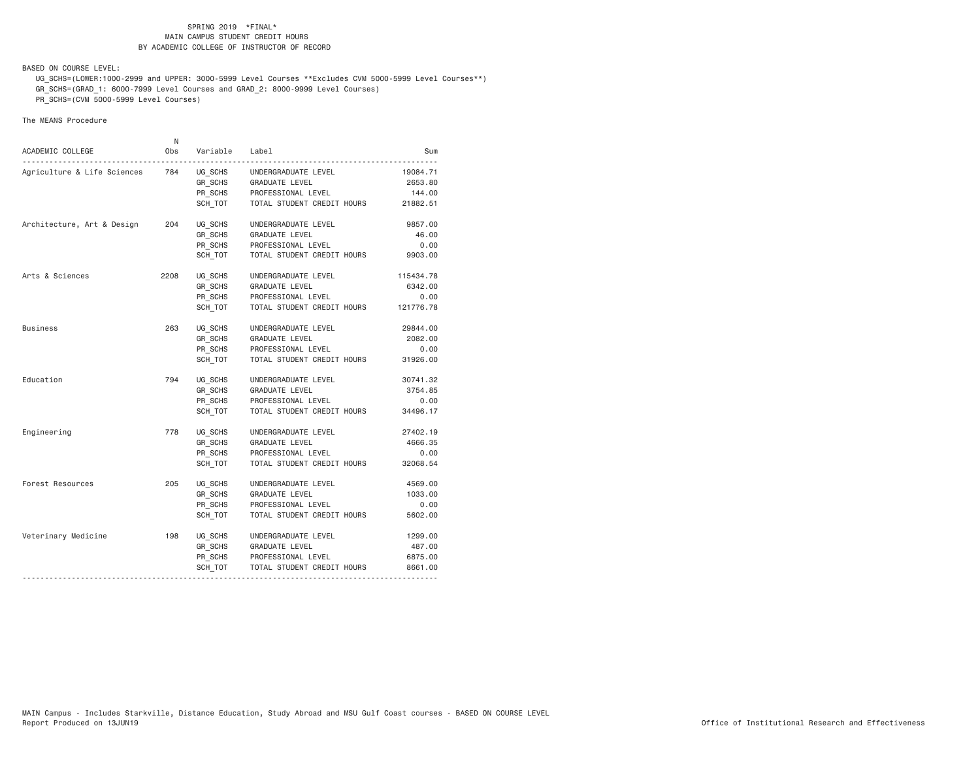BASED ON COURSE LEVEL:

 UG\_SCHS=(LOWER:1000-2999 and UPPER: 3000-5999 Level Courses \*\*Excludes CVM 5000-5999 Level Courses\*\*) GR\_SCHS=(GRAD\_1: 6000-7999 Level Courses and GRAD\_2: 8000-9999 Level Courses)

PR\_SCHS=(CVM 5000-5999 Level Courses)

The MEANS Procedure

| ACADEMIC COLLEGE            | N<br>0bs | Variable Label |                            | Sum       |
|-----------------------------|----------|----------------|----------------------------|-----------|
| Agriculture & Life Sciences | 784      | UG SCHS        | UNDERGRADUATE LEVEL        | 19084.71  |
|                             |          | GR SCHS        | GRADUATE LEVEL             | 2653.80   |
|                             |          |                | PR_SCHS PROFESSIONAL LEVEL | 144.00    |
|                             |          | SCH TOT        | TOTAL STUDENT CREDIT HOURS | 21882.51  |
| Architecture, Art & Design  | 204      | UG SCHS        | UNDERGRADUATE LEVEL        | 9857.00   |
|                             |          | GR SCHS        | <b>GRADUATE LEVEL</b>      | 46.00     |
|                             |          | PR_SCHS        | PROFESSIONAL LEVEL         | 0.00      |
|                             |          | SCH TOT        | TOTAL STUDENT CREDIT HOURS | 9903.00   |
| Arts & Sciences             | 2208     | UG SCHS        | UNDERGRADUATE LEVEL        | 115434.78 |
|                             |          | GR SCHS        | GRADUATE LEVEL             | 6342.00   |
|                             |          | PR SCHS        | PROFESSIONAL LEVEL         | 0.00      |
|                             |          | SCH TOT        | TOTAL STUDENT CREDIT HOURS | 121776.78 |
| <b>Business</b>             | 263      | UG SCHS        | UNDERGRADUATE LEVEL        | 29844.00  |
|                             |          | GR SCHS        | GRADUATE LEVEL             | 2082.00   |
|                             |          | PR SCHS        | PROFESSIONAL LEVEL         | 0.00      |
|                             |          | SCH_TOT        | TOTAL STUDENT CREDIT HOURS | 31926.00  |
| Education                   | 794      | UG SCHS        | UNDERGRADUATE LEVEL        | 30741.32  |
|                             |          | GR SCHS        | GRADUATE LEVEL             | 3754.85   |
|                             |          | PR_SCHS        | PROFESSIONAL LEVEL         | 0.00      |
|                             |          | SCH TOT        | TOTAL STUDENT CREDIT HOURS | 34496.17  |
| Engineering                 | 778      | UG_SCHS        | UNDERGRADUATE LEVEL        | 27402.19  |
|                             |          | GR SCHS        | GRADUATE LEVEL             | 4666.35   |
|                             |          | PR_SCHS        | PROFESSIONAL LEVEL         | 0.00      |
|                             |          | SCH TOT        | TOTAL STUDENT CREDIT HOURS | 32068.54  |
| Forest Resources            | 205      | UG SCHS        | UNDERGRADUATE LEVEL        | 4569.00   |
|                             |          | GR_SCHS        | GRADUATE LEVEL             | 1033.00   |
|                             |          | PR SCHS        | PROFESSIONAL LEVEL         | 0.00      |
|                             |          | SCH TOT        | TOTAL STUDENT CREDIT HOURS | 5602.00   |
| Veterinary Medicine         | 198      | UG SCHS        | UNDERGRADUATE LEVEL        | 1299.00   |
|                             |          | GR_SCHS        | GRADUATE LEVEL             | 487.00    |
|                             |          | PR SCHS        | PROFESSIONAL LEVEL         | 6875.00   |
|                             |          | SCH_TOT        | TOTAL STUDENT CREDIT HOURS | 8661.00   |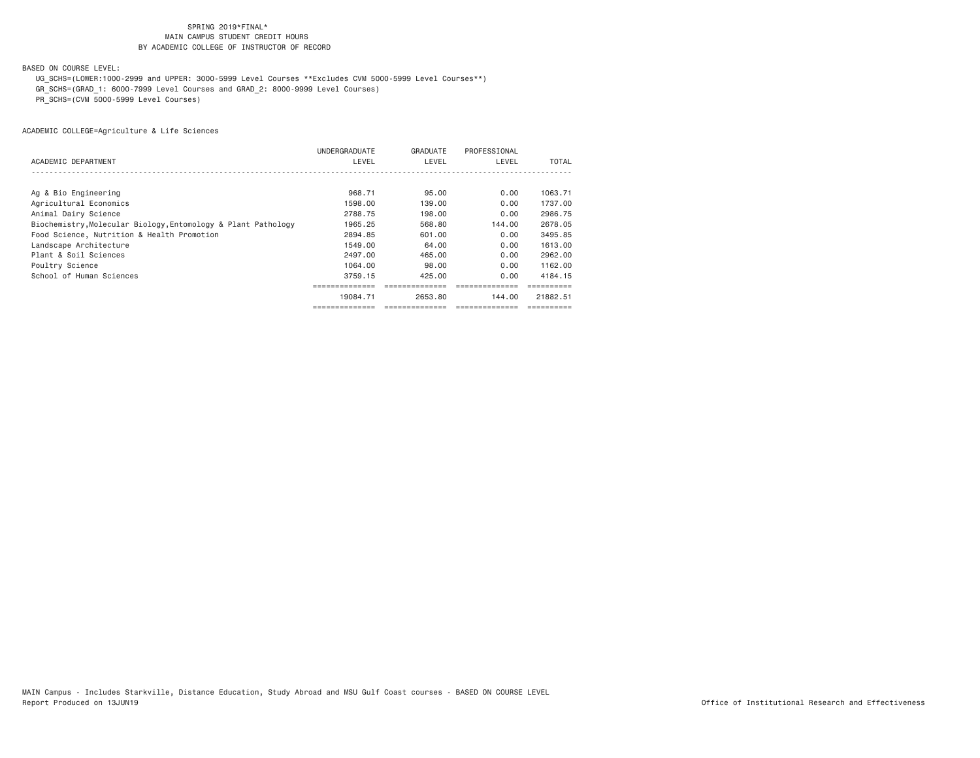# BASED ON COURSE LEVEL:

UG\_SCHS=(LOWER:1000-2999 and UPPER: 3000-5999 Level Courses \*\*Excludes CVM 5000-5999 Level Courses\*\*)

GR\_SCHS=(GRAD\_1: 6000-7999 Level Courses and GRAD\_2: 8000-9999 Level Courses)

PR\_SCHS=(CVM 5000-5999 Level Courses)

|                                                               | <b>UNDERGRADUATE</b> | GRADUATE | PROFESSIONAL |          |
|---------------------------------------------------------------|----------------------|----------|--------------|----------|
| ACADEMIC DEPARTMENT                                           | LEVEL                | LEVEL    | LEVEL        | TOTAL    |
|                                                               |                      |          |              |          |
| Ag & Bio Engineering                                          | 968.71               | 95,00    | 0.00         | 1063.71  |
| Agricultural Economics                                        | 1598,00              | 139,00   | 0.00         | 1737.00  |
| Animal Dairy Science                                          | 2788.75              | 198.00   | 0.00         | 2986.75  |
| Biochemistry, Molecular Biology, Entomology & Plant Pathology | 1965.25              | 568.80   | 144.00       | 2678.05  |
| Food Science, Nutrition & Health Promotion                    | 2894.85              | 601,00   | 0.00         | 3495.85  |
| Landscape Architecture                                        | 1549.00              | 64.00    | 0.00         | 1613.00  |
| Plant & Soil Sciences                                         | 2497.00              | 465.00   | 0.00         | 2962.00  |
| Poultry Science                                               | 1064.00              | 98,00    | 0.00         | 1162.00  |
| School of Human Sciences                                      | 3759.15              | 425.00   | 0.00         | 4184.15  |
|                                                               |                      |          |              |          |
|                                                               | 19084.71             | 2653.80  | 144.00       | 21882.51 |
|                                                               |                      |          |              |          |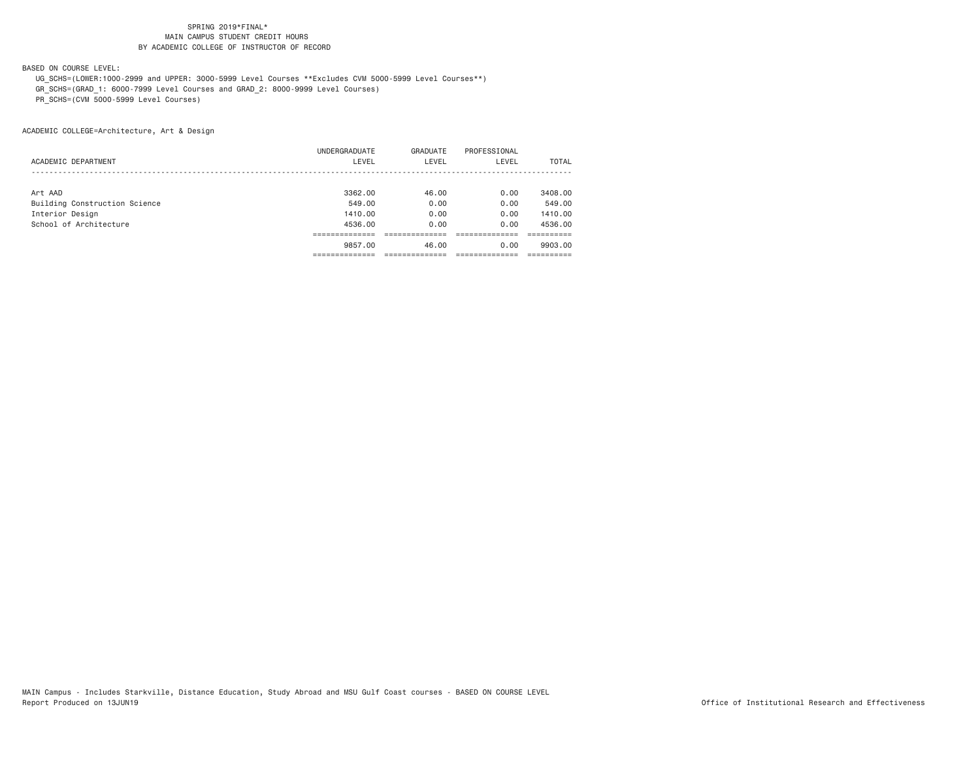BASED ON COURSE LEVEL:

 UG\_SCHS=(LOWER:1000-2999 and UPPER: 3000-5999 Level Courses \*\*Excludes CVM 5000-5999 Level Courses\*\*) GR\_SCHS=(GRAD\_1: 6000-7999 Level Courses and GRAD\_2: 8000-9999 Level Courses)

PR\_SCHS=(CVM 5000-5999 Level Courses)

ACADEMIC COLLEGE=Architecture, Art & Design

|                               | UNDERGRADUATE | GRADUATE | PROFESSIONAL |              |
|-------------------------------|---------------|----------|--------------|--------------|
| ACADEMIC DEPARTMENT           | LEVEL         | LEVEL    | LEVEL        | <b>TOTAL</b> |
|                               |               |          |              |              |
| Art AAD                       | 3362,00       | 46.00    | 0.00         | 3408,00      |
| Building Construction Science | 549.00        | 0.00     | 0.00         | 549,00       |
| Interior Design               | 1410.00       | 0.00     | 0.00         | 1410.00      |
| School of Architecture        | 4536.00       | 0.00     | 0.00         | 4536.00      |
|                               |               |          |              |              |
|                               | 9857,00       | 46.00    | 0.00         | 9903.00      |
|                               |               |          |              |              |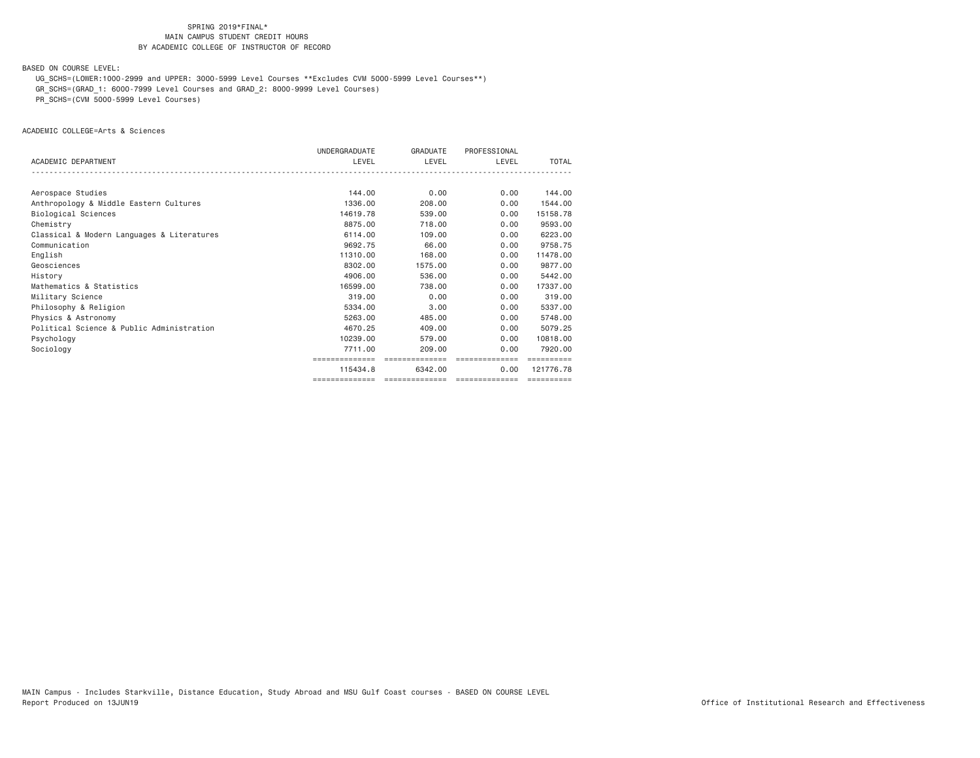BASED ON COURSE LEVEL:

UG\_SCHS=(LOWER:1000-2999 and UPPER: 3000-5999 Level Courses \*\*Excludes CVM 5000-5999 Level Courses\*\*)

GR\_SCHS=(GRAD\_1: 6000-7999 Level Courses and GRAD\_2: 8000-9999 Level Courses)

PR\_SCHS=(CVM 5000-5999 Level Courses)

ACADEMIC COLLEGE=Arts & Sciences

|                                            | UNDERGRADUATE  | GRADUATE       | PROFESSIONAL   |                       |
|--------------------------------------------|----------------|----------------|----------------|-----------------------|
| ACADEMIC DEPARTMENT                        | LEVEL          | LEVEL          | LEVEL          | TOTAL                 |
|                                            |                |                |                |                       |
| Aerospace Studies                          | 144,00         | 0.00           | 0.00           | 144.00                |
| Anthropology & Middle Eastern Cultures     | 1336,00        | 208,00         | 0.00           | 1544.00               |
| Biological Sciences                        | 14619.78       | 539,00         | 0.00           | 15158.78              |
| Chemistry                                  | 8875.00        | 718,00         | 0.00           | 9593.00               |
| Classical & Modern Languages & Literatures | 6114.00        | 109.00         | 0.00           | 6223.00               |
| Communication                              | 9692.75        | 66.00          | 0.00           | 9758.75               |
| English                                    | 11310,00       | 168,00         | 0.00           | 11478.00              |
| Geosciences                                | 8302.00        | 1575.00        | 0.00           | 9877.00               |
| History                                    | 4906.00        | 536.00         | 0.00           | 5442.00               |
| Mathematics & Statistics                   | 16599.00       | 738,00         | 0.00           | 17337.00              |
| Military Science                           | 319,00         | 0.00           | 0.00           | 319,00                |
| Philosophy & Religion                      | 5334.00        | 3.00           | 0.00           | 5337.00               |
| Physics & Astronomy                        | 5263.00        | 485,00         | 0.00           | 5748.00               |
| Political Science & Public Administration  | 4670.25        | 409,00         | 0.00           | 5079.25               |
| Psychology                                 | 10239.00       | 579.00         | 0.00           | 10818,00              |
| Sociology                                  | 7711.00        | 209,00         | 0.00           | 7920.00               |
|                                            | ============   | ============== | ============== |                       |
|                                            | 115434.8       | 6342.00        | 0.00           | 121776.78             |
|                                            | ============== | ============== | ============== | $=$ = = = = = = = = = |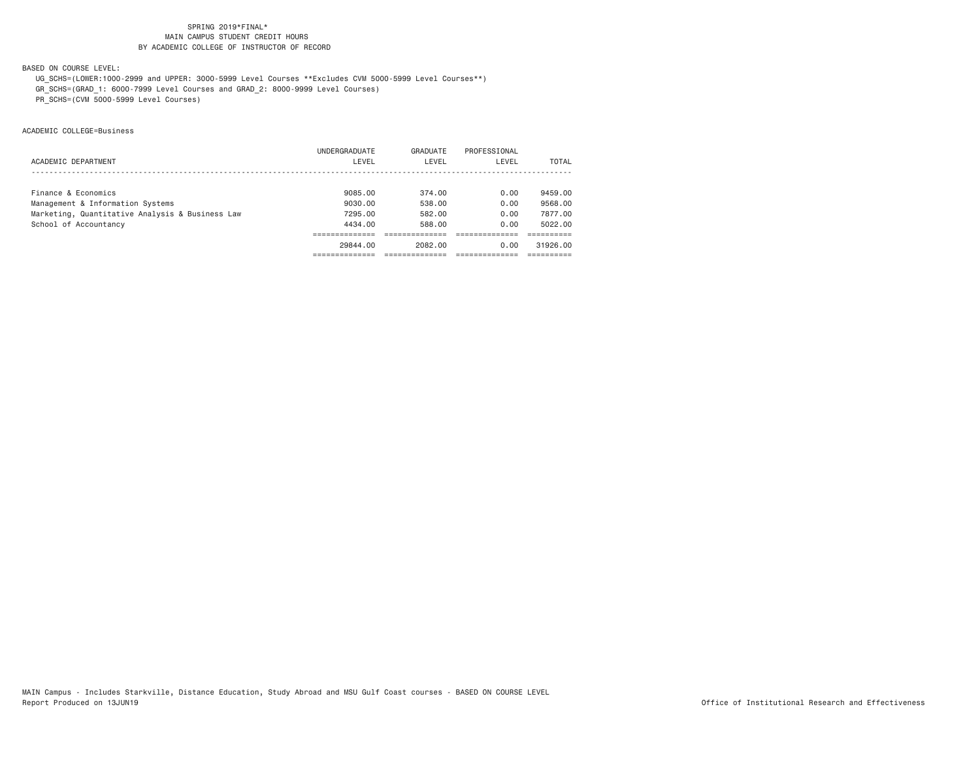BASED ON COURSE LEVEL:

UG\_SCHS=(LOWER:1000-2999 and UPPER: 3000-5999 Level Courses \*\*Excludes CVM 5000-5999 Level Courses\*\*)

GR\_SCHS=(GRAD\_1: 6000-7999 Level Courses and GRAD\_2: 8000-9999 Level Courses)

PR\_SCHS=(CVM 5000-5999 Level Courses)

ACADEMIC COLLEGE=Business

|                                                 | UNDERGRADUATE | GRADUATE | PROFESSIONAL |          |
|-------------------------------------------------|---------------|----------|--------------|----------|
| ACADEMIC DEPARTMENT                             | LEVEL         | LEVEL    | LEVEL        | TOTAL    |
|                                                 |               |          |              |          |
| Finance & Economics                             | 9085.00       | 374.00   | 0.00         | 9459.00  |
| Management & Information Systems                | 9030.00       | 538.00   | 0.00         | 9568.00  |
| Marketing, Quantitative Analysis & Business Law | 7295.00       | 582.00   | 0.00         | 7877.00  |
| School of Accountancy                           | 4434.00       | 588.00   | 0.00         | 5022.00  |
|                                                 |               |          |              |          |
|                                                 | 29844.00      | 2082.00  | 0.00         | 31926.00 |
|                                                 |               |          |              |          |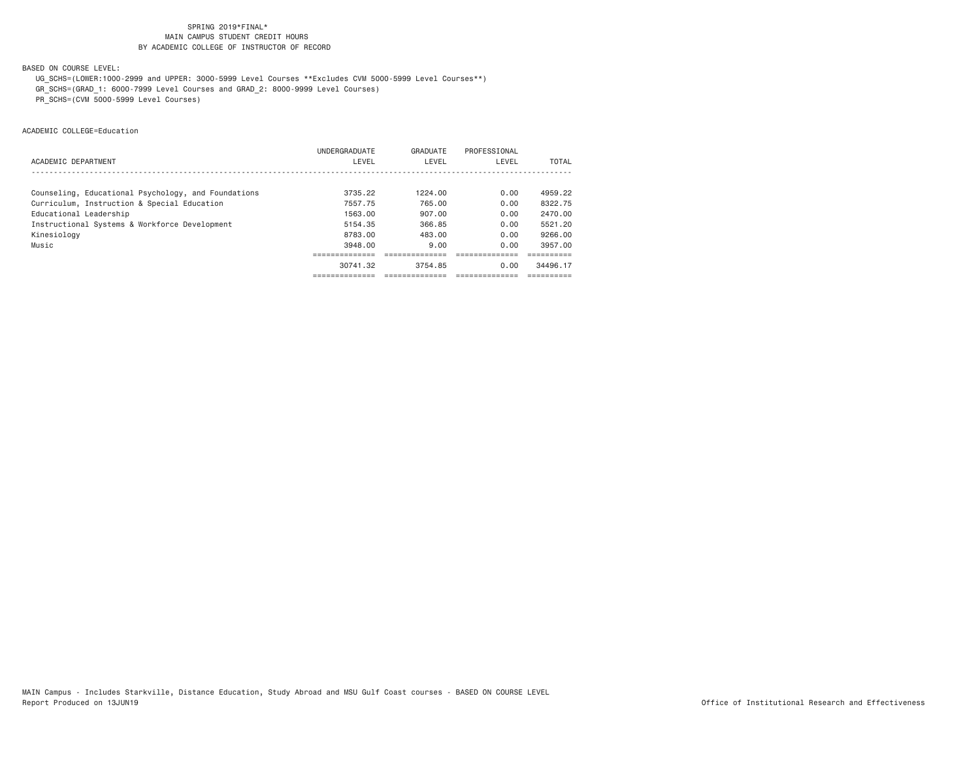BASED ON COURSE LEVEL:

UG\_SCHS=(LOWER:1000-2999 and UPPER: 3000-5999 Level Courses \*\*Excludes CVM 5000-5999 Level Courses\*\*)

GR\_SCHS=(GRAD\_1: 6000-7999 Level Courses and GRAD\_2: 8000-9999 Level Courses)

PR\_SCHS=(CVM 5000-5999 Level Courses)

ACADEMIC COLLEGE=Education

|                                                     | <b>UNDERGRADUATE</b> | GRADUATE | PROFESSIONAL |          |
|-----------------------------------------------------|----------------------|----------|--------------|----------|
| ACADEMIC DEPARTMENT                                 | LEVEL                | LEVEL    | LEVEL        | TOTAL    |
|                                                     |                      |          |              |          |
| Counseling, Educational Psychology, and Foundations | 3735.22              | 1224.00  | 0.00         | 4959.22  |
| Curriculum, Instruction & Special Education         | 7557.75              | 765.00   | 0.00         | 8322.75  |
| Educational Leadership                              | 1563.00              | 907.00   | 0.00         | 2470.00  |
| Instructional Systems & Workforce Development       | 5154.35              | 366.85   | 0.00         | 5521.20  |
| Kinesiology                                         | 8783.00              | 483.00   | 0.00         | 9266.00  |
| Music                                               | 3948.00              | 9.00     | 0.00         | 3957.00  |
|                                                     |                      |          |              |          |
|                                                     | 30741.32             | 3754.85  | 0.00         | 34496.17 |
|                                                     |                      |          |              |          |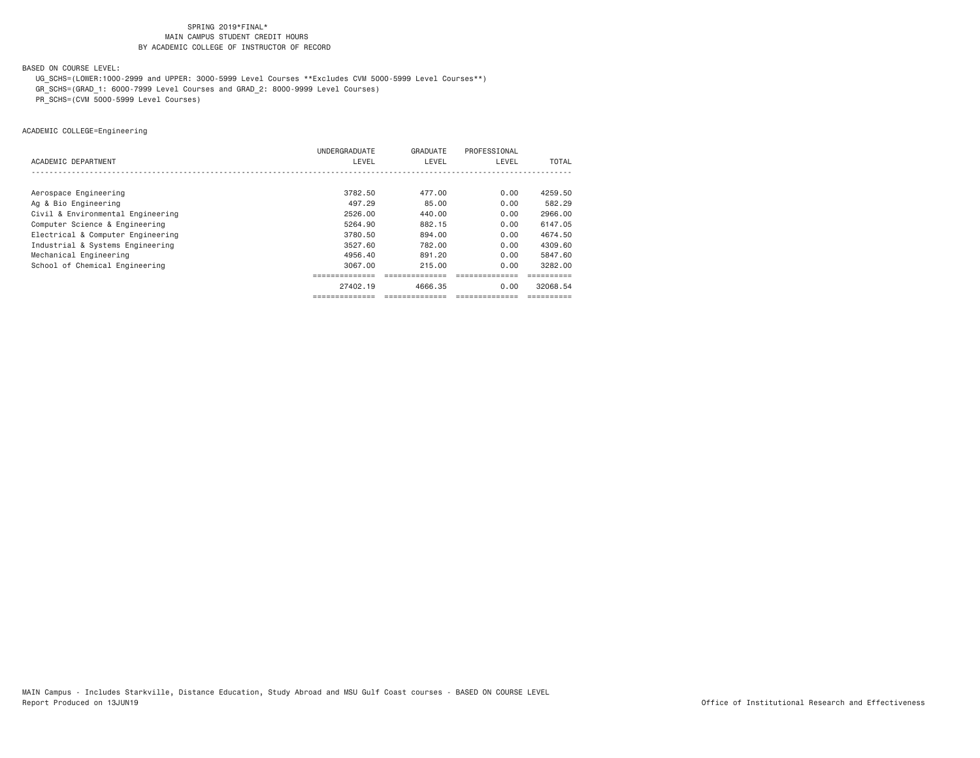BASED ON COURSE LEVEL:

UG\_SCHS=(LOWER:1000-2999 and UPPER: 3000-5999 Level Courses \*\*Excludes CVM 5000-5999 Level Courses\*\*)

GR\_SCHS=(GRAD\_1: 6000-7999 Level Courses and GRAD\_2: 8000-9999 Level Courses)

PR\_SCHS=(CVM 5000-5999 Level Courses)

ACADEMIC COLLEGE=Engineering

|                                   | UNDERGRADUATE  | GRADUATE | PROFESSIONAL |          |
|-----------------------------------|----------------|----------|--------------|----------|
| ACADEMIC DEPARTMENT               | LEVEL          | LEVEL    | LEVEL        | TOTAL    |
|                                   |                |          |              |          |
| Aerospace Engineering             | 3782.50        | 477.00   | 0.00         | 4259.50  |
| Ag & Bio Engineering              | 497.29         | 85.00    | 0.00         | 582.29   |
| Civil & Environmental Engineering | 2526.00        | 440.00   | 0.00         | 2966.00  |
| Computer Science & Engineering    | 5264.90        | 882.15   | 0.00         | 6147.05  |
| Electrical & Computer Engineering | 3780.50        | 894.00   | 0.00         | 4674.50  |
| Industrial & Systems Engineering  | 3527.60        | 782.00   | 0.00         | 4309.60  |
| Mechanical Engineering            | 4956.40        | 891,20   | 0.00         | 5847.60  |
| School of Chemical Engineering    | 3067.00        | 215.00   | 0.00         | 3282.00  |
|                                   | ============== |          |              |          |
|                                   | 27402.19       | 4666.35  | 0.00         | 32068.54 |
|                                   |                |          |              |          |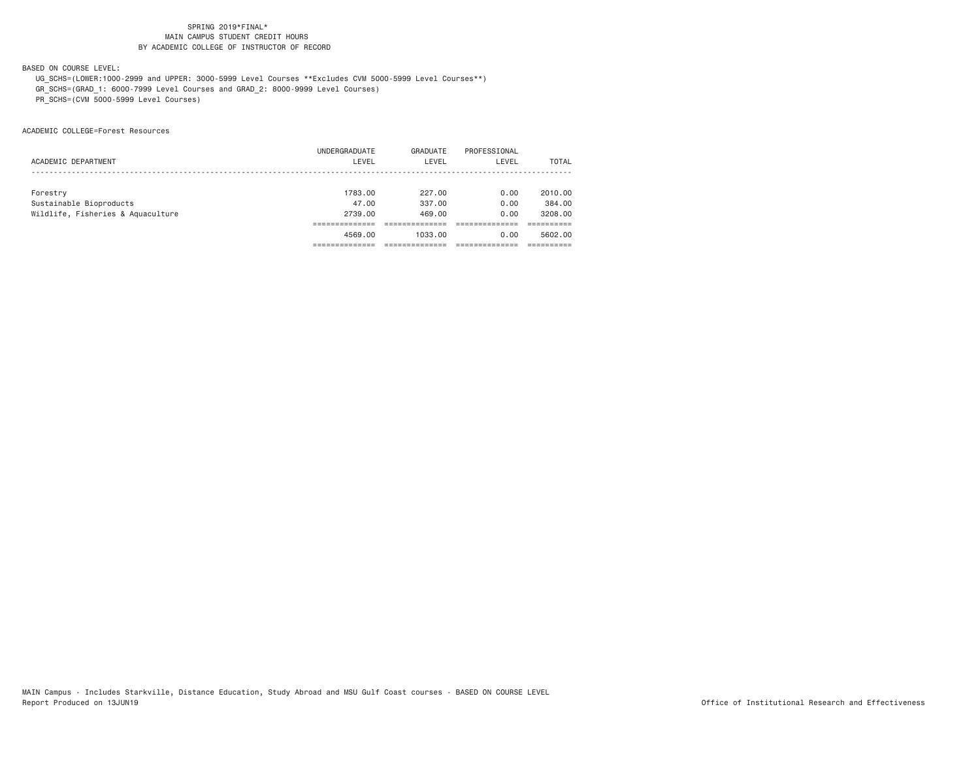BASED ON COURSE LEVEL:

 UG\_SCHS=(LOWER:1000-2999 and UPPER: 3000-5999 Level Courses \*\*Excludes CVM 5000-5999 Level Courses\*\*) GR\_SCHS=(GRAD\_1: 6000-7999 Level Courses and GRAD\_2: 8000-9999 Level Courses)

PR\_SCHS=(CVM 5000-5999 Level Courses)

ACADEMIC COLLEGE=Forest Resources

|                                   | UNDERGRADUATE | GRADUATE | PROFESSIONAL |         |
|-----------------------------------|---------------|----------|--------------|---------|
| ACADEMIC DEPARTMENT               | LEVEL         | LEVEL    | LEVEL        | TOTAL   |
|                                   |               |          |              |         |
|                                   |               |          |              |         |
| Forestry                          | 1783.00       | 227.00   | 0.00         | 2010.00 |
| Sustainable Bioproducts           | 47.00         | 337.00   | 0.00         | 384,00  |
| Wildlife, Fisheries & Aquaculture | 2739.00       | 469.00   | 0.00         | 3208.00 |
|                                   |               |          |              |         |
|                                   | 4569.00       | 1033.00  | 0.00         | 5602.00 |
|                                   |               |          |              |         |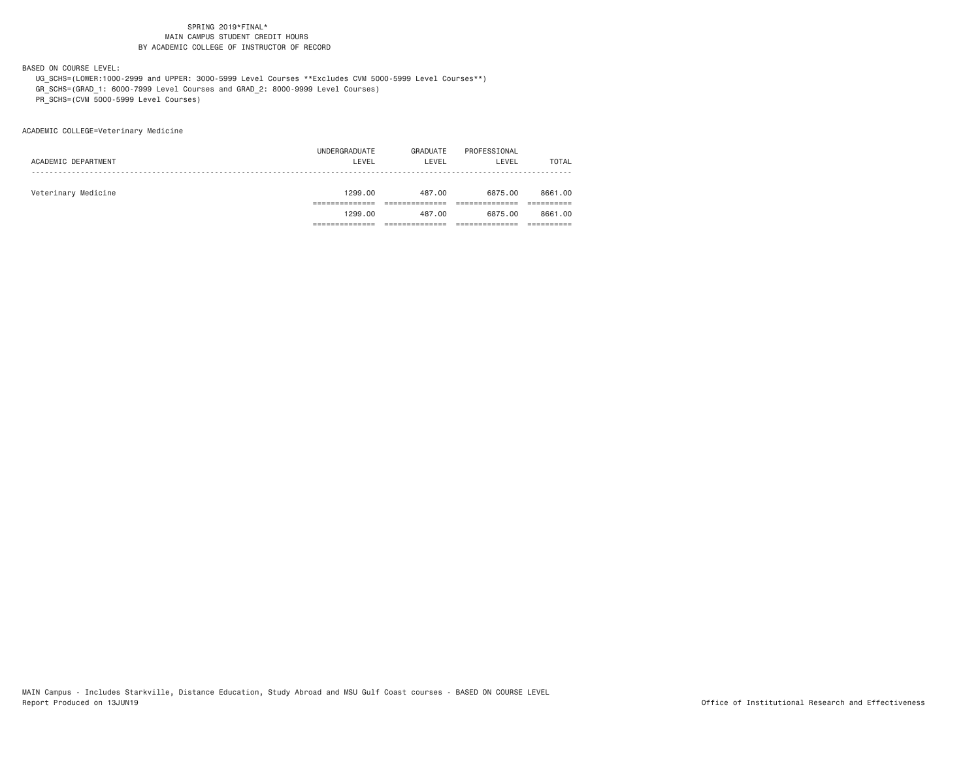BASED ON COURSE LEVEL:

 UG\_SCHS=(LOWER:1000-2999 and UPPER: 3000-5999 Level Courses \*\*Excludes CVM 5000-5999 Level Courses\*\*) GR\_SCHS=(GRAD\_1: 6000-7999 Level Courses and GRAD\_2: 8000-9999 Level Courses)

PR\_SCHS=(CVM 5000-5999 Level Courses)

ACADEMIC COLLEGE=Veterinary Medicine

| 8661,00<br>8661,00 |
|--------------------|
|                    |
|                    |
|                    |
|                    |
| TOTAL              |
|                    |
|                    |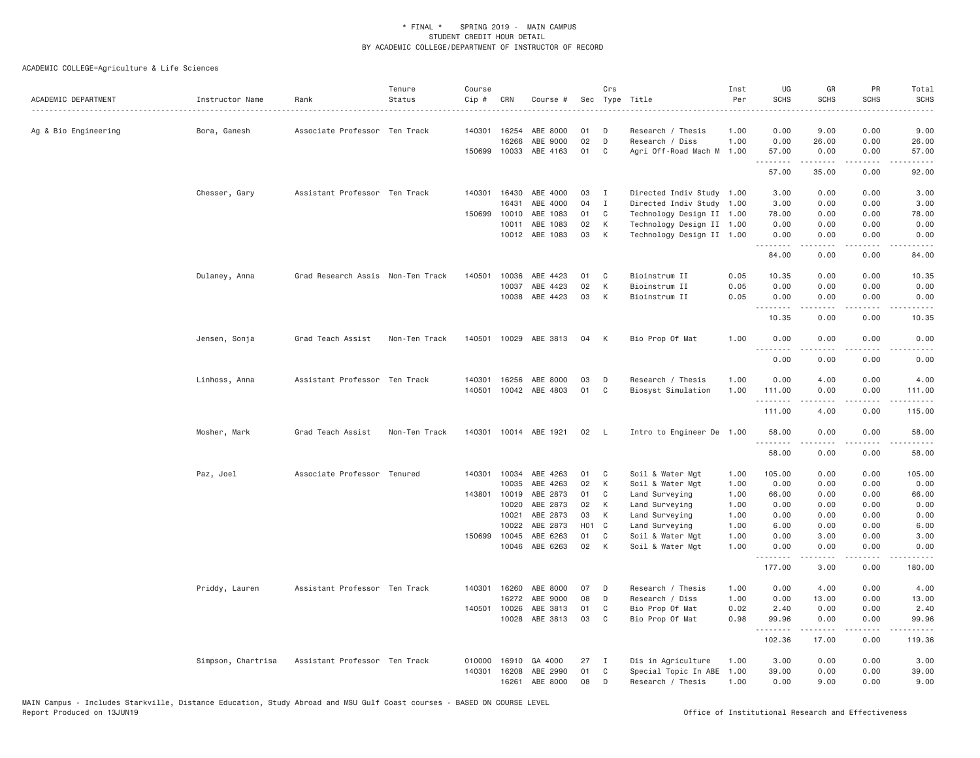| ACADEMIC DEPARTMENT  | Instructor Name    | Rank                              | Tenure<br>Status | Course<br>Cip # | CRN          | Course #              |                   | Crs          | Sec Type Title            | Inst<br>Per | UG<br><b>SCHS</b> | GR<br><b>SCHS</b>   | PR<br><b>SCHS</b>     | Total<br><b>SCHS</b><br>.                                                                                                         |
|----------------------|--------------------|-----------------------------------|------------------|-----------------|--------------|-----------------------|-------------------|--------------|---------------------------|-------------|-------------------|---------------------|-----------------------|-----------------------------------------------------------------------------------------------------------------------------------|
| Ag & Bio Engineering | Bora, Ganesh       | Associate Professor Ten Track     |                  |                 | 140301 16254 | ABE 8000              | 01                | D            | Research / Thesis         | 1.00        | 0.00              | 9.00                | 0.00                  | 9.00                                                                                                                              |
|                      |                    |                                   |                  |                 | 16266        | ABE 9000              | 02                | D            | Research / Diss           | 1.00        | 0.00              | 26.00               | 0.00                  | 26.00                                                                                                                             |
|                      |                    |                                   |                  |                 | 150699 10033 | ABE 4163              | 01                | C            | Agri Off-Road Mach M      | 1.00        | 57.00<br>.        | 0.00<br>.           | 0.00<br>.             | 57.00<br>.                                                                                                                        |
|                      |                    |                                   |                  |                 |              |                       |                   |              |                           |             | 57.00             | 35.00               | 0.00                  | 92.00                                                                                                                             |
|                      | Chesser, Gary      | Assistant Professor Ten Track     |                  |                 | 140301 16430 | ABE 4000              | 03                | $\mathbf{I}$ | Directed Indiv Study 1.00 |             | 3.00              | 0.00                | 0.00                  | 3.00                                                                                                                              |
|                      |                    |                                   |                  |                 | 16431        | ABE 4000              | 04                | $\mathbf{I}$ | Directed Indiv Study 1.00 |             | 3.00              | 0.00                | 0.00                  | 3.00                                                                                                                              |
|                      |                    |                                   |                  | 150699          | 10010        | ABE 1083              | 01                | C            | Technology Design II 1.00 |             | 78.00             | 0.00                | 0.00                  | 78.00                                                                                                                             |
|                      |                    |                                   |                  |                 | 10011        | ABE 1083              | 02                | К            | Technology Design II 1.00 |             | 0.00              | 0.00                | 0.00                  | 0.00                                                                                                                              |
|                      |                    |                                   |                  |                 | 10012        | ABE 1083              | 03                | К            | Technology Design II 1.00 |             | 0.00<br>.         | 0.00<br>.           | 0.00<br>.             | 0.00<br>$\cdots$                                                                                                                  |
|                      |                    |                                   |                  |                 |              |                       |                   |              |                           |             | 84.00             | 0.00                | 0.00                  | 84.00                                                                                                                             |
|                      | Dulaney, Anna      | Grad Research Assis Non-Ten Track |                  | 140501          | 10036        | ABE 4423              | 01                | C            | Bioinstrum II             | 0.05        | 10.35             | 0.00                | 0.00                  | 10.35                                                                                                                             |
|                      |                    |                                   |                  |                 | 10037        | ABE 4423              | 02                | К            | Bioinstrum II             | 0.05        | 0.00              | 0.00                | 0.00                  | 0.00                                                                                                                              |
|                      |                    |                                   |                  |                 | 10038        | ABE 4423              | 03                | К            | Bioinstrum II             | 0.05        | 0.00<br>.         | 0.00<br>.           | 0.00<br>.             | 0.00<br>$\frac{1}{2} \left( \frac{1}{2} \right) \left( \frac{1}{2} \right) \left( \frac{1}{2} \right) \left( \frac{1}{2} \right)$ |
|                      |                    |                                   |                  |                 |              |                       |                   |              |                           |             | 10.35             | 0.00                | 0.00                  | 10.35                                                                                                                             |
|                      | Jensen, Sonja      | Grad Teach Assist                 | Non-Ten Track    |                 |              | 140501 10029 ABE 3813 | 04                | К            | Bio Prop Of Mat           | 1.00        | 0.00<br>.         | 0.00<br>.           | 0.00<br>$\frac{1}{2}$ | 0.00                                                                                                                              |
|                      |                    |                                   |                  |                 |              |                       |                   |              |                           |             | 0.00              | 0.00                | 0.00                  | 0.00                                                                                                                              |
|                      | Linhoss, Anna      | Assistant Professor Ten Track     |                  |                 | 140301 16256 | ABE 8000              | 03                | D            | Research / Thesis         | 1.00        | 0.00              | 4.00                | 0.00                  | 4.00                                                                                                                              |
|                      |                    |                                   |                  |                 |              | 140501 10042 ABE 4803 | 01                | C            | Biosyst Simulation        | 1.00        | 111.00<br>.       | 0.00<br>$- - - - -$ | 0.00<br>.             | 111.00                                                                                                                            |
|                      |                    |                                   |                  |                 |              |                       |                   |              |                           |             | 111.00            | 4.00                | 0.00                  | 115.00                                                                                                                            |
|                      | Mosher, Mark       | Grad Teach Assist                 | Non-Ten Track    |                 |              | 140301 10014 ABE 1921 | 02                | - L          | Intro to Engineer De 1.00 |             | 58.00<br>.        | 0.00                | 0.00                  | 58.00                                                                                                                             |
|                      |                    |                                   |                  |                 |              |                       |                   |              |                           |             | 58.00             | 0.00                | 0.00                  | 58.00                                                                                                                             |
|                      | Paz, Joel          | Associate Professor Tenured       |                  |                 | 140301 10034 | ABE 4263              | 01                | C            | Soil & Water Mgt          | 1.00        | 105.00            | 0.00                | 0.00                  | 105.00                                                                                                                            |
|                      |                    |                                   |                  |                 | 10035        | ABE 4263              | 02                | К            | Soil & Water Mgt          | 1.00        | 0.00              | 0.00                | 0.00                  | 0.00                                                                                                                              |
|                      |                    |                                   |                  |                 | 143801 10019 | ABE 2873              | 01                | C            | Land Surveying            | 1.00        | 66.00             | 0.00                | 0.00                  | 66.00                                                                                                                             |
|                      |                    |                                   |                  |                 | 10020        | ABE 2873              | 02                | К            | Land Surveying            | 1.00        | 0.00              | 0.00                | 0.00                  | 0.00                                                                                                                              |
|                      |                    |                                   |                  |                 | 10021        | ABE 2873              | 03                | K            | Land Surveying            | 1.00        | 0.00              | 0.00                | 0.00                  | 0.00                                                                                                                              |
|                      |                    |                                   |                  |                 | 10022        | ABE 2873              | H <sub>01</sub> C |              | Land Surveying            | 1.00        | 6.00              | 0.00                | 0.00                  | 6.00                                                                                                                              |
|                      |                    |                                   |                  |                 | 150699 10045 | ABE 6263              | 01                | $\mathbb C$  | Soil & Water Mgt          | 1.00        | 0.00              | 3.00                | 0.00                  | 3.00                                                                                                                              |
|                      |                    |                                   |                  |                 |              | 10046 ABE 6263        | 02                | K            | Soil & Water Mgt          | 1.00        | 0.00<br>.         | 0.00<br>د د د د د   | 0.00<br>.             | 0.00<br>$- - - - - -$                                                                                                             |
|                      |                    |                                   |                  |                 |              |                       |                   |              |                           |             | 177.00            | 3.00                | 0.00                  | 180.00                                                                                                                            |
|                      | Priddy, Lauren     | Assistant Professor Ten Track     |                  | 140301          | 16260        | ABE 8000              | 07                | D            | Research / Thesis         | 1.00        | 0.00              | 4.00                | 0.00                  | 4.00                                                                                                                              |
|                      |                    |                                   |                  |                 | 16272        | ABE 9000              | 08                | D            | Research / Diss           | 1.00        | 0.00              | 13.00               | 0.00                  | 13.00                                                                                                                             |
|                      |                    |                                   |                  |                 | 140501 10026 | ABE 3813              | 01                | C            | Bio Prop Of Mat           | 0.02        | 2.40              | 0.00                | 0.00                  | 2.40                                                                                                                              |
|                      |                    |                                   |                  |                 |              | 10028 ABE 3813        | 03                | C            | Bio Prop Of Mat           | 0.98        | 99.96<br>.        | 0.00<br>.           | 0.00<br>.             | 99.96<br>.                                                                                                                        |
|                      |                    |                                   |                  |                 |              |                       |                   |              |                           |             | 102.36            | 17.00               | 0.00                  | 119.36                                                                                                                            |
|                      | Simpson, Chartrisa | Assistant Professor Ten Track     |                  | 010000          | 16910        | GA 4000               | 27                | I            | Dis in Agriculture        | 1.00        | 3,00              | 0.00                | 0.00                  | 3.00                                                                                                                              |
|                      |                    |                                   |                  | 140301          | 16208        | ABE 2990              | 01                | C            | Special Topic In ABE      | 1.00        | 39.00             | 0.00                | 0.00                  | 39.00                                                                                                                             |
|                      |                    |                                   |                  |                 | 16261        | ABE 8000              | 08                | D            | Research / Thesis         | 1.00        | 0.00              | 9,00                | 0.00                  | 9.00                                                                                                                              |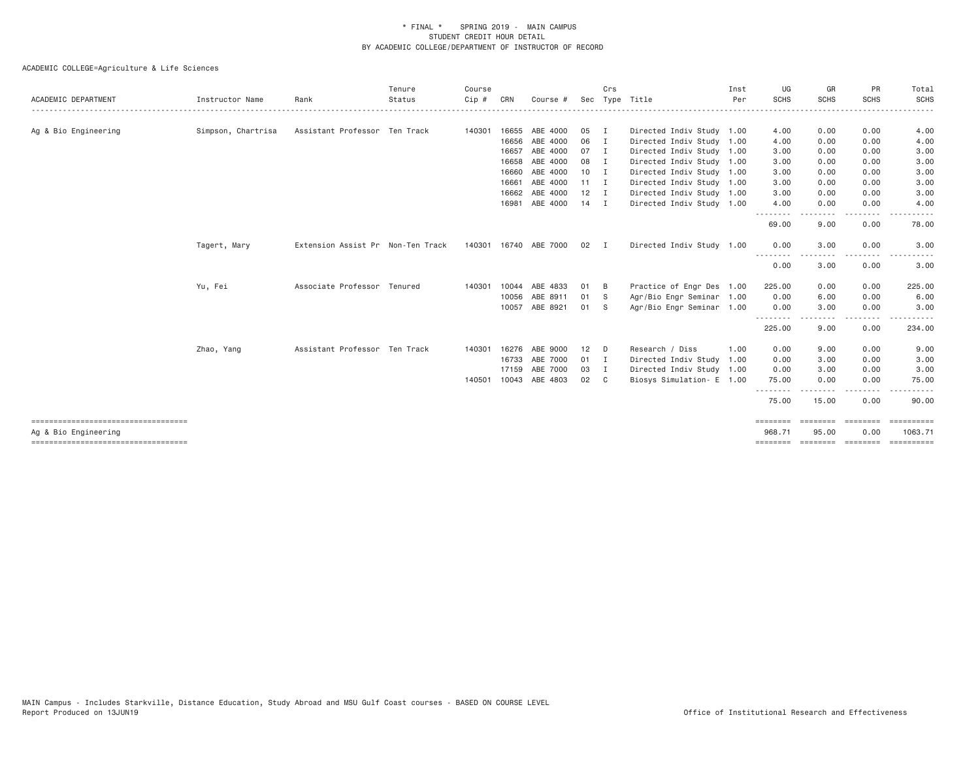| ACADEMIC DEPARTMENT                                          | Instructor Name    | Rank                              | Tenure<br>Status | Course<br>Cip# | CRN   | Course #                 |                 | Crs            | Sec Type Title            | Inst<br>Per | UG<br><b>SCHS</b>  | GR<br><b>SCHS</b> | PR<br><b>SCHS</b>                                                                                                                 | Total<br><b>SCHS</b>  |
|--------------------------------------------------------------|--------------------|-----------------------------------|------------------|----------------|-------|--------------------------|-----------------|----------------|---------------------------|-------------|--------------------|-------------------|-----------------------------------------------------------------------------------------------------------------------------------|-----------------------|
| -------------------------------------                        |                    |                                   |                  |                |       |                          |                 |                |                           |             |                    |                   |                                                                                                                                   |                       |
| Ag & Bio Engineering                                         | Simpson, Chartrisa | Assistant Professor Ten Track     |                  | 140301         | 16655 | ABE 4000                 | 05              | I              | Directed Indiv Study 1.00 |             | 4.00               | 0.00              | 0.00                                                                                                                              | 4.00                  |
|                                                              |                    |                                   |                  |                | 16656 | ABE 4000                 | 06              | I              | Directed Indiv Study 1.00 |             | 4.00               | 0.00              | 0.00                                                                                                                              | 4.00                  |
|                                                              |                    |                                   |                  |                | 16657 | ABE 4000                 | 07              | $\blacksquare$ | Directed Indiv Study 1.00 |             | 3.00               | 0.00              | 0.00                                                                                                                              | 3.00                  |
|                                                              |                    |                                   |                  |                | 16658 | ABE 4000                 | 08              | $\mathbf{I}$   | Directed Indiv Study 1.00 |             | 3.00               | 0.00              | 0.00                                                                                                                              | 3.00                  |
|                                                              |                    |                                   |                  |                | 16660 | ABE 4000                 | 10 <sup>1</sup> | $\blacksquare$ | Directed Indiv Study 1.00 |             | 3.00               | 0.00              | 0.00                                                                                                                              | 3.00                  |
|                                                              |                    |                                   |                  |                | 16661 | ABE 4000                 | $11 \quad I$    |                | Directed Indiv Study 1.00 |             | 3.00               | 0.00              | 0.00                                                                                                                              | 3.00                  |
|                                                              |                    |                                   |                  |                | 16662 | ABE 4000                 | 12              | $\blacksquare$ | Directed Indiv Study 1.00 |             | 3.00               | 0.00              | 0.00                                                                                                                              | 3.00                  |
|                                                              |                    |                                   |                  |                | 16981 | ABE 4000                 | $14$ I          |                | Directed Indiv Study 1.00 |             | 4.00<br>---------  | 0.00<br>-----     | 0.00<br><u>--------</u>                                                                                                           | 4.00                  |
|                                                              |                    |                                   |                  |                |       |                          |                 |                |                           |             | 69.00              | 9.00              | 0.00                                                                                                                              | 78.00                 |
|                                                              | Tagert, Mary       | Extension Assist Pr Non-Ten Track |                  |                |       | 140301  16740  ABE  7000 | 02 I            |                | Directed Indiv Study 1.00 |             | 0.00               | 3.00              | 0.00                                                                                                                              | 3.00                  |
|                                                              |                    |                                   |                  |                |       |                          |                 |                |                           |             | 0.00               | 3.00              | $\frac{1}{2} \left( \frac{1}{2} \right) \left( \frac{1}{2} \right) \left( \frac{1}{2} \right) \left( \frac{1}{2} \right)$<br>0.00 | 3.00                  |
|                                                              | Yu, Fei            | Associate Professor Tenured       |                  | 140301         |       | 10044 ABE 4833           | 01              | - B            | Practice of Engr Des 1.00 |             | 225.00             | 0.00              | 0.00                                                                                                                              | 225.00                |
|                                                              |                    |                                   |                  |                | 10056 | ABE 8911                 | 01              | - S            | Agr/Bio Engr Seminar 1.00 |             | 0.00               | 6.00              | 0.00                                                                                                                              | 6.00                  |
|                                                              |                    |                                   |                  |                |       | 10057 ABE 8921           | 01              | - S            | Agr/Bio Engr Seminar 1.00 |             | 0.00               | 3.00              | 0.00                                                                                                                              | 3.00                  |
|                                                              |                    |                                   |                  |                |       |                          |                 |                |                           |             | .<br>225.00        | 9.00              | .<br>0.00                                                                                                                         | .<br>234.00           |
|                                                              | Zhao, Yang         | Assistant Professor Ten Track     |                  | 140301         |       | 16276 ABE 9000           | 12              | D              | Research / Diss           | 1.00        | 0.00               | 9.00              | 0.00                                                                                                                              | 9.00                  |
|                                                              |                    |                                   |                  |                |       | 16733 ABE 7000           | 01              | $\blacksquare$ | Directed Indiv Study 1.00 |             | 0.00               | 3.00              | 0.00                                                                                                                              | 3.00                  |
|                                                              |                    |                                   |                  |                | 17159 | ABE 7000                 | 03              | $\mathbf I$    | Directed Indiv Study 1.00 |             | 0.00               | 3.00              | 0.00                                                                                                                              | 3.00                  |
|                                                              |                    |                                   |                  | 140501         |       | 10043 ABE 4803           | 02              | C.             | Biosys Simulation- E 1.00 |             | 75.00              | 0.00              | 0.00                                                                                                                              | 75.00                 |
|                                                              |                    |                                   |                  |                |       |                          |                 |                |                           |             | .<br>75.00         | -----<br>15.00    | .<br>0.00                                                                                                                         | 90.00                 |
| ====================================<br>Ag & Bio Engineering |                    |                                   |                  |                |       |                          |                 |                |                           |             | ========<br>968.71 | ========<br>95.00 | ========<br>0.00                                                                                                                  | ==========<br>1063.71 |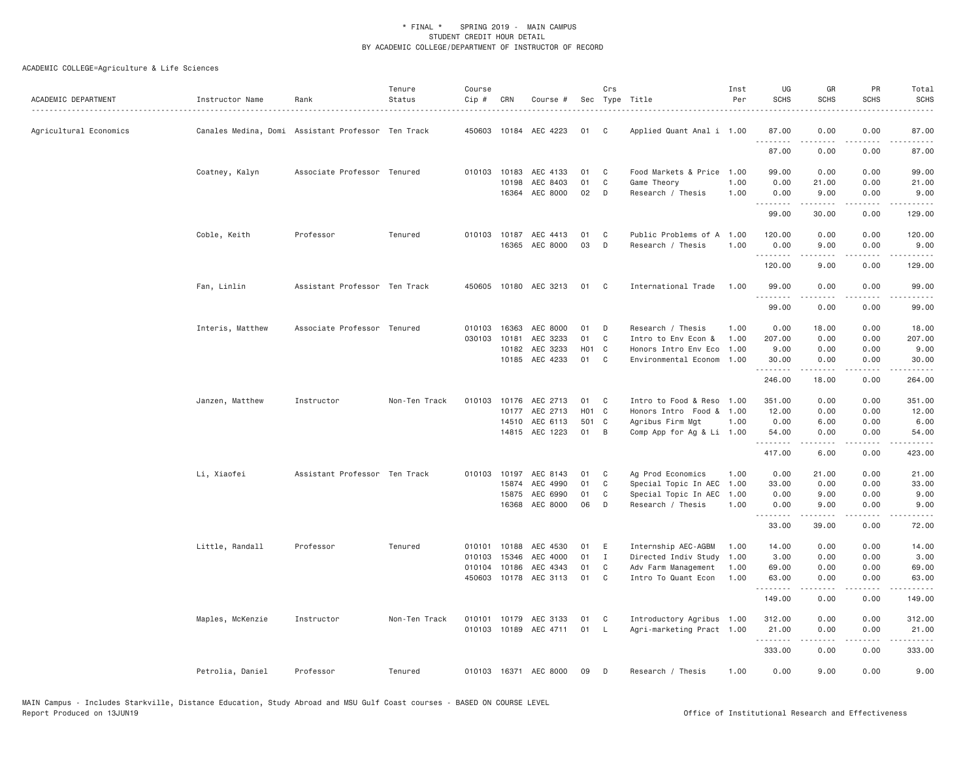| ACADEMIC DEPARTMENT    | Instructor Name  | Rank                                               | Tenure<br>Status | Course<br>Cip # | CRN          | Course #              |                   | Crs            | Sec Type Title            | Inst<br>Per | UG<br><b>SCHS</b> | GR<br><b>SCHS</b>                                                                                                                                            | PR<br>SCHS                                                                                                                        | Total<br><b>SCHS</b> |
|------------------------|------------------|----------------------------------------------------|------------------|-----------------|--------------|-----------------------|-------------------|----------------|---------------------------|-------------|-------------------|--------------------------------------------------------------------------------------------------------------------------------------------------------------|-----------------------------------------------------------------------------------------------------------------------------------|----------------------|
| Agricultural Economics |                  | Canales Medina, Domi Assistant Professor Ten Track |                  |                 |              | 450603 10184 AEC 4223 | 01                | C              | Applied Quant Anal i 1.00 |             | 87.00             | 0.00                                                                                                                                                         | 0.00                                                                                                                              | 87.00                |
|                        |                  |                                                    |                  |                 |              |                       |                   |                |                           |             | .<br>87.00        | $\frac{1}{2} \left( \frac{1}{2} \right) \left( \frac{1}{2} \right) \left( \frac{1}{2} \right) \left( \frac{1}{2} \right) \left( \frac{1}{2} \right)$<br>0.00 | $\frac{1}{2} \left( \frac{1}{2} \right) \left( \frac{1}{2} \right) \left( \frac{1}{2} \right) \left( \frac{1}{2} \right)$<br>0.00 | .<br>87.00           |
|                        | Coatney, Kalyn   | Associate Professor Tenured                        |                  |                 | 010103 10183 | AEC 4133              | 01                | C              | Food Markets & Price      | 1.00        | 99.00             | 0.00                                                                                                                                                         | 0.00                                                                                                                              | 99.00                |
|                        |                  |                                                    |                  |                 | 10198        | AEC 8403              | 01                | C              | Game Theory               | 1.00        | 0.00              | 21.00                                                                                                                                                        | 0.00                                                                                                                              | 21.00                |
|                        |                  |                                                    |                  |                 | 16364        | AEC 8000              | 02                | D              | Research / Thesis         | 1,00        | 0.00<br>.         | 9.00                                                                                                                                                         | 0.00                                                                                                                              | 9.00<br>.            |
|                        |                  |                                                    |                  |                 |              |                       |                   |                |                           |             | 99.00             | 30.00                                                                                                                                                        | 0.00                                                                                                                              | 129.00               |
|                        | Coble, Keith     | Professor                                          | Tenured          |                 |              | 010103 10187 AEC 4413 | 01                | C              | Public Problems of A      | 1.00        | 120.00            | 0.00                                                                                                                                                         | 0.00                                                                                                                              | 120.00               |
|                        |                  |                                                    |                  |                 |              | 16365 AEC 8000        | 03                | D              | Research / Thesis         | 1.00        | 0.00<br>.         | 9.00<br>-----                                                                                                                                                | 0.00<br>.                                                                                                                         | 9.00<br>.            |
|                        |                  |                                                    |                  |                 |              |                       |                   |                |                           |             | 120.00            | 9.00                                                                                                                                                         | 0.00                                                                                                                              | 129.00               |
|                        | Fan, Linlin      | Assistant Professor Ten Track                      |                  |                 |              | 450605 10180 AEC 3213 | 01                | C              | International Trade       | 1.00        | 99.00<br>.        | 0.00<br>$\frac{1}{2} \left( \frac{1}{2} \right) \left( \frac{1}{2} \right) \left( \frac{1}{2} \right) \left( \frac{1}{2} \right) \left( \frac{1}{2} \right)$ | 0.00<br>.                                                                                                                         | 99.00<br>.           |
|                        |                  |                                                    |                  |                 |              |                       |                   |                |                           |             | 99.00             | 0.00                                                                                                                                                         | 0.00                                                                                                                              | 99.00                |
|                        | Interis, Matthew | Associate Professor Tenured                        |                  | 010103          | 16363        | AEC 8000              | 01                | D              | Research / Thesis         | 1.00        | 0.00              | 18.00                                                                                                                                                        | 0.00                                                                                                                              | 18.00                |
|                        |                  |                                                    |                  | 030103          | 10181        | AEC 3233              | 01                | C              | Intro to Env Econ &       | 1.00        | 207.00            | 0.00                                                                                                                                                         | 0.00                                                                                                                              | 207.00               |
|                        |                  |                                                    |                  |                 | 10182        | AEC 3233              | H <sub>01</sub> C |                | Honors Intro Env Eco      | 1.00        | 9.00              | 0.00                                                                                                                                                         | 0.00                                                                                                                              | 9.00                 |
|                        |                  |                                                    |                  |                 |              | 10185 AEC 4233        | 01                | C              | Environmental Econom      | 1.00        | 30.00<br>.        | 0.00<br>.                                                                                                                                                    | 0.00<br>.                                                                                                                         | 30.00<br>.           |
|                        |                  |                                                    |                  |                 |              |                       |                   |                |                           |             | 246.00            | 18.00                                                                                                                                                        | 0.00                                                                                                                              | 264.00               |
|                        | Janzen, Matthew  | Instructor                                         | Non-Ten Track    | 010103          | 10176        | AEC 2713              | 01                | C              | Intro to Food & Reso      | 1.00        | 351.00            | 0.00                                                                                                                                                         | 0.00                                                                                                                              | 351.00               |
|                        |                  |                                                    |                  |                 |              | 10177 AEC 2713        | H <sub>01</sub> C |                | Honors Intro Food &       | 1.00        | 12.00             | 0.00                                                                                                                                                         | 0.00                                                                                                                              | 12.00                |
|                        |                  |                                                    |                  |                 |              | 14510 AEC 6113        | 501 C             |                | Agribus Firm Mgt          | 1.00        | 0.00              | 6.00                                                                                                                                                         | 0.00                                                                                                                              | 6.00                 |
|                        |                  |                                                    |                  |                 |              | 14815 AEC 1223        | 01                | B              | Comp App for Ag & Li 1.00 |             | 54.00<br>.        | 0.00<br>.                                                                                                                                                    | 0.00<br>.                                                                                                                         | 54.00<br>.           |
|                        |                  |                                                    |                  |                 |              |                       |                   |                |                           |             | 417.00            | 6.00                                                                                                                                                         | 0.00                                                                                                                              | 423.00               |
|                        | Li, Xiaofei      | Assistant Professor Ten Track                      |                  |                 | 010103 10197 | AEC 8143              | 01                | C              | Ag Prod Economics         | 1.00        | 0.00              | 21.00                                                                                                                                                        | 0.00                                                                                                                              | 21.00                |
|                        |                  |                                                    |                  |                 | 15874        | AEC 4990              | 01                | C              | Special Topic In AEC      | 1.00        | 33.00             | 0.00                                                                                                                                                         | 0.00                                                                                                                              | 33.00                |
|                        |                  |                                                    |                  |                 | 15875        | AEC 6990              | 01                | C              | Special Topic In AEC      | 1.00        | 0.00              | 9.00                                                                                                                                                         | 0.00                                                                                                                              | 9.00                 |
|                        |                  |                                                    |                  |                 | 16368        | AEC 8000              | 06                | D              | Research / Thesis         | 1.00        | 0.00<br>.         | 9.00<br>.                                                                                                                                                    | 0.00<br>.                                                                                                                         | 9.00<br>.            |
|                        |                  |                                                    |                  |                 |              |                       |                   |                |                           |             | 33.00             | 39.00                                                                                                                                                        | 0.00                                                                                                                              | 72.00                |
|                        | Little, Randall  | Professor                                          | Tenured          |                 | 010101 10188 | AEC 4530              | 01                | E              | Internship AEC-AGBM       | 1.00        | 14.00             | 0.00                                                                                                                                                         | 0.00                                                                                                                              | 14.00                |
|                        |                  |                                                    |                  | 010103          | 15346        | AEC 4000              | 01                | $\mathbf{I}$   | Directed Indiv Study      | 1.00        | 3.00              | 0.00                                                                                                                                                         | 0.00                                                                                                                              | 3.00                 |
|                        |                  |                                                    |                  | 010104          | 10186        | AEC 4343              | 01                | C              | Adv Farm Management       | 1.00        | 69.00             | 0.00                                                                                                                                                         | 0.00                                                                                                                              | 69.00                |
|                        |                  |                                                    |                  | 450603          | 10178        | AEC 3113              | 01                | C              | Intro To Quant Econ       | 1.00        | 63.00<br>.        | 0.00                                                                                                                                                         | 0.00                                                                                                                              | 63.00                |
|                        |                  |                                                    |                  |                 |              |                       |                   |                |                           |             | 149.00            | 0.00                                                                                                                                                         | 0.00                                                                                                                              | 149.00               |
|                        | Maples, McKenzie | Instructor                                         | Non-Ten Track    |                 |              | 010101 10179 AEC 3133 | 01                | C <sub>1</sub> | Introductory Agribus 1.00 |             | 312.00            | 0.00                                                                                                                                                         | 0.00                                                                                                                              | 312.00               |
|                        |                  |                                                    |                  |                 |              | 010103 10189 AEC 4711 | 01                | - L            | Agri-marketing Pract 1.00 |             | 21.00             | 0.00                                                                                                                                                         | 0.00                                                                                                                              | 21.00                |
|                        |                  |                                                    |                  |                 |              |                       |                   |                |                           |             | .<br>333.00       | 0.00                                                                                                                                                         | $\sim$ $\sim$ $\sim$<br>0.00                                                                                                      | . <b>.</b><br>333.00 |
|                        | Petrolia, Daniel | Professor                                          | Tenured          |                 |              | 010103 16371 AEC 8000 | 09                | D              | Research / Thesis         | 1.00        | 0.00              | 9.00                                                                                                                                                         | 0.00                                                                                                                              | 9.00                 |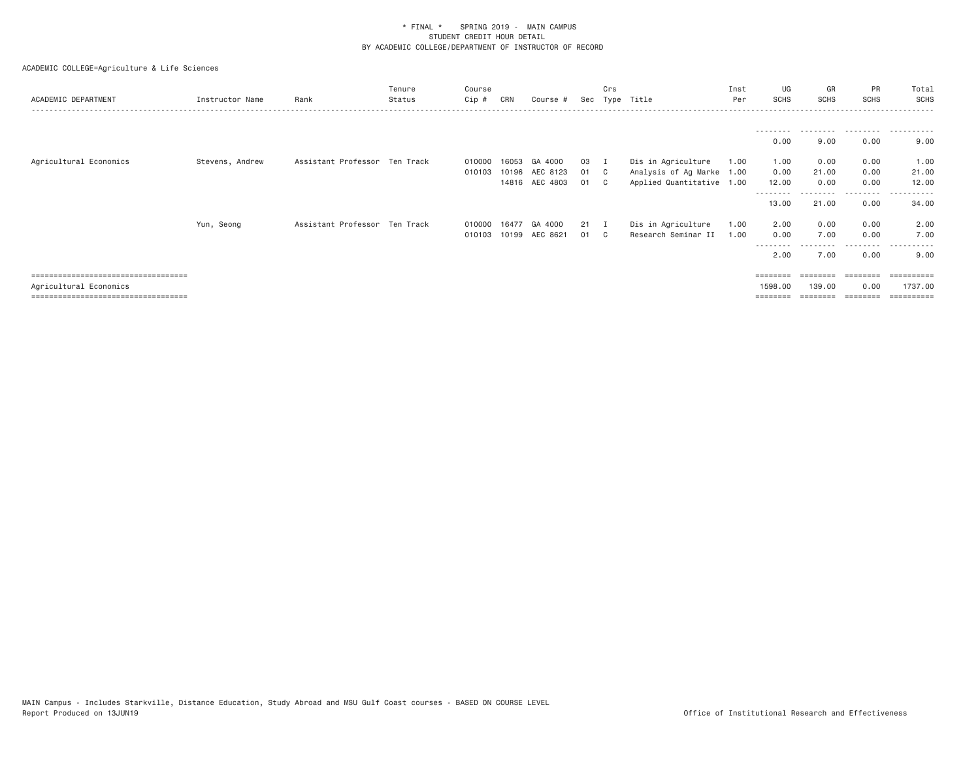ACADEMIC COLLEGE=Agriculture & Life Sciences

| ACADEMIC DEPARTMENT             | Instructor Name | Rank                          | Tenure<br>Status | Course<br>$Cip \#$ | CRN   | Course #       |    | Crs          | Sec Type Title            | Inst<br>Per | UG<br>SCHS        | GR<br><b>SCHS</b> | PR<br><b>SCHS</b> | Total<br><b>SCHS</b> |
|---------------------------------|-----------------|-------------------------------|------------------|--------------------|-------|----------------|----|--------------|---------------------------|-------------|-------------------|-------------------|-------------------|----------------------|
|                                 |                 |                               |                  |                    |       |                |    |              |                           |             | ---------         |                   |                   |                      |
|                                 |                 |                               |                  |                    |       |                |    |              |                           |             | 0.00              | 9.00              | 0.00              | 9.00                 |
| Agricultural Economics          | Stevens, Andrew | Assistant Professor Ten Track |                  | 010000             | 16053 | GA 4000        | 03 |              | Dis in Agriculture        | 1.00        | 1.00              | 0.00              | 0.00              | 1.00                 |
|                                 |                 |                               |                  | 010103             | 10196 | AEC 8123       | 01 | $\mathbb{C}$ | Analysis of Ag Marke 1.00 |             | 0.00              | 21.00             | 0.00              | 21.00                |
|                                 |                 |                               |                  |                    |       | 14816 AEC 4803 | 01 | $\mathbf{C}$ | Applied Quantitative 1.00 |             | 12.00             | 0.00              | 0.00              | 12.00                |
|                                 |                 |                               |                  |                    |       |                |    |              |                           |             | --------<br>13,00 | 21.00             | -----<br>0.00     | ----------<br>34.00  |
|                                 | Yun, Seong      | Assistant Professor Ten Track |                  | 010000 16477       |       | GA 4000        | 21 | $\mathbf{I}$ | Dis in Agriculture        | 1.00        | 2.00              | 0.00              | 0.00              | 2.00                 |
|                                 |                 |                               |                  | 010103             | 10199 | AEC 8621       | 01 | $\mathbb{C}$ | Research Seminar II       | 1.00        | 0.00              | 7.00              | 0.00              | 7.00                 |
|                                 |                 |                               |                  |                    |       |                |    |              |                           |             | --------          |                   | -----             | ----------           |
|                                 |                 |                               |                  |                    |       |                |    |              |                           |             | 2.00              | 7.00              | 0.00              | 9.00                 |
| ------------------------------- |                 |                               |                  |                    |       |                |    |              |                           |             | ========          |                   |                   | =========            |
| Agricultural Economics          |                 |                               |                  |                    |       |                |    |              |                           |             | 1598,00           | 139.00            | 0.00              | 1737.00              |

=================================== ======== ======== ======== ==========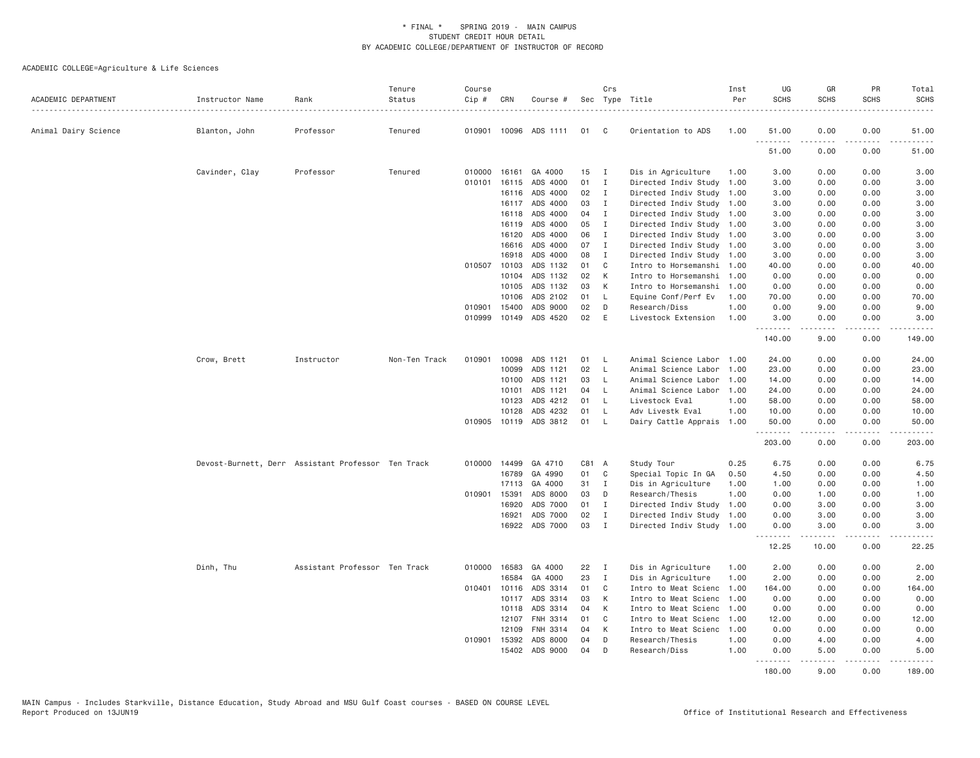| ACADEMIC DEPARTMENT  | Instructor Name | Rank                                               | Tenure<br>Status | Course<br>Cip # | CRN          | Course #              |       | Crs          | Sec Type Title            | Inst<br>Per | UG<br><b>SCHS</b> | GR<br><b>SCHS</b>                                                                                                                                            | PR<br><b>SCHS</b>                   | Total<br><b>SCHS</b> |
|----------------------|-----------------|----------------------------------------------------|------------------|-----------------|--------------|-----------------------|-------|--------------|---------------------------|-------------|-------------------|--------------------------------------------------------------------------------------------------------------------------------------------------------------|-------------------------------------|----------------------|
| Animal Dairy Science | Blanton, John   | Professor                                          | Tenured          | 010901          |              | 10096 ADS 1111        | 01    | C            | Orientation to ADS        | 1.00        | 51.00             | 0.00                                                                                                                                                         | 0.00                                | 51,00                |
|                      |                 |                                                    |                  |                 |              |                       |       |              |                           |             | .<br>51.00        | .<br>0.00                                                                                                                                                    | $   -$<br>0.00                      | .<br>51.00           |
|                      | Cavinder, Clay  | Professor                                          | Tenured          |                 | 010000 16161 | GA 4000               | 15    | $\mathbf{I}$ | Dis in Agriculture        | 1.00        | 3.00              | 0.00                                                                                                                                                         | 0.00                                | 3.00                 |
|                      |                 |                                                    |                  | 010101          | 16115        | ADS 4000              | 01    | $\mathbf{I}$ | Directed Indiv Study      | 1.00        | 3.00              | 0.00                                                                                                                                                         | 0.00                                | 3.00                 |
|                      |                 |                                                    |                  |                 | 16116        | ADS 4000              | 02    | $\mathbf{I}$ | Directed Indiv Study 1.00 |             | 3.00              | 0.00                                                                                                                                                         | 0.00                                | 3.00                 |
|                      |                 |                                                    |                  |                 | 16117        | ADS 4000              | 03    | I            | Directed Indiv Study      | 1.00        | 3.00              | 0.00                                                                                                                                                         | 0.00                                | 3.00                 |
|                      |                 |                                                    |                  |                 | 16118        | ADS 4000              | 04    | $\mathbf{I}$ | Directed Indiv Study 1.00 |             | 3.00              | 0.00                                                                                                                                                         | 0.00                                | 3.00                 |
|                      |                 |                                                    |                  |                 | 16119        | ADS 4000              | 05    | $\mathbf{I}$ | Directed Indiv Study 1.00 |             | 3.00              | 0.00                                                                                                                                                         | 0.00                                | 3.00                 |
|                      |                 |                                                    |                  |                 | 16120        | ADS 4000              | 06    | I            | Directed Indiv Study 1.00 |             | 3.00              | 0.00                                                                                                                                                         | 0.00                                | 3.00                 |
|                      |                 |                                                    |                  |                 | 16616        | ADS 4000              | 07    | $\mathbf{I}$ | Directed Indiv Study 1.00 |             | 3.00              | 0.00                                                                                                                                                         | 0.00                                | 3.00                 |
|                      |                 |                                                    |                  |                 | 16918        | ADS 4000              | 08    | $\mathbf{I}$ | Directed Indiv Study 1.00 |             | 3.00              | 0.00                                                                                                                                                         | 0.00                                | 3.00                 |
|                      |                 |                                                    |                  |                 | 010507 10103 | ADS 1132              | 01    | C            | Intro to Horsemanshi 1.00 |             | 40.00             | 0.00                                                                                                                                                         | 0.00                                | 40.00                |
|                      |                 |                                                    |                  |                 | 10104        | ADS 1132              | 02    | К            | Intro to Horsemanshi      | 1.00        | 0.00              | 0.00                                                                                                                                                         | 0.00                                | 0.00                 |
|                      |                 |                                                    |                  |                 | 10105        | ADS 1132              | 03    | К            | Intro to Horsemanshi      | 1.00        | 0.00              | 0.00                                                                                                                                                         | 0.00                                | 0.00                 |
|                      |                 |                                                    |                  |                 | 10106        | ADS 2102              | 01    | L            | Equine Conf/Perf Ev       | 1.00        | 70.00             | 0.00                                                                                                                                                         | 0.00                                | 70.00                |
|                      |                 |                                                    |                  | 010901          | 15400        | ADS 9000              | 02    | D            | Research/Diss             | 1.00        | 0.00              | 9.00                                                                                                                                                         | 0.00                                | 9.00                 |
|                      |                 |                                                    |                  | 010999          | 10149        | ADS 4520              | 02    | E            | Livestock Extension       | 1,00        | 3.00<br>.         | 0.00                                                                                                                                                         | 0.00<br>$\sim$ $\sim$ $\sim$ $\sim$ | 3.00                 |
|                      |                 |                                                    |                  |                 |              |                       |       |              |                           |             | 140.00            | 9.00                                                                                                                                                         | 0.00                                | 149.00               |
|                      | Crow, Brett     | Instructor                                         | Non-Ten Track    | 010901          | 10098        | ADS 1121              | 01    | <b>L</b>     | Animal Science Labor 1.00 |             | 24.00             | 0.00                                                                                                                                                         | 0.00                                | 24.00                |
|                      |                 |                                                    |                  |                 | 10099        | ADS 1121              | 02    | $\mathsf{L}$ | Animal Science Labor      | 1,00        | 23,00             | 0.00                                                                                                                                                         | 0.00                                | 23.00                |
|                      |                 |                                                    |                  |                 | 10100        | ADS 1121              | 03    | L            | Animal Science Labor      | 1.00        | 14.00             | 0.00                                                                                                                                                         | 0.00                                | 14.00                |
|                      |                 |                                                    |                  |                 | 10101        | ADS 1121              | 04    | $\mathsf{L}$ | Animal Science Labor      | 1.00        | 24.00             | 0.00                                                                                                                                                         | 0.00                                | 24.00                |
|                      |                 |                                                    |                  |                 | 10123        | ADS 4212              | 01    | <b>L</b>     | Livestock Eval            | 1.00        | 58.00             | 0.00                                                                                                                                                         | 0.00                                | 58.00                |
|                      |                 |                                                    |                  |                 | 10128        | ADS 4232              | 01    | L            | Adv Livestk Eval          | 1.00        | 10.00             | 0.00                                                                                                                                                         | 0.00                                | 10.00                |
|                      |                 |                                                    |                  |                 |              | 010905 10119 ADS 3812 | 01    | $\mathsf{L}$ | Dairy Cattle Apprais      | 1.00        | 50.00<br>.        | 0.00<br>.                                                                                                                                                    | 0.00<br>$- - - - -$                 | 50.00<br>.           |
|                      |                 |                                                    |                  |                 |              |                       |       |              |                           |             | 203.00            | 0.00                                                                                                                                                         | 0.00                                | 203.00               |
|                      |                 | Devost-Burnett, Derr Assistant Professor Ten Track |                  |                 | 010000 14499 | GA 4710               | C81 A |              | Study Tour                | 0.25        | 6.75              | 0.00                                                                                                                                                         | 0.00                                | 6.75                 |
|                      |                 |                                                    |                  |                 | 16789        | GA 4990               | 01    | $\mathbf C$  | Special Topic In GA       | 0.50        | 4.50              | 0.00                                                                                                                                                         | 0.00                                | 4.50                 |
|                      |                 |                                                    |                  |                 | 17113        | GA 4000               | 31    | $\mathbf{I}$ | Dis in Agriculture        | 1.00        | 1.00              | 0.00                                                                                                                                                         | 0.00                                | 1.00                 |
|                      |                 |                                                    |                  | 010901          | 15391        | ADS 8000              | 03    | D            | Research/Thesis           | 1.00        | 0.00              | 1.00                                                                                                                                                         | 0.00                                | 1.00                 |
|                      |                 |                                                    |                  |                 | 16920        | ADS 7000              | 01    | $\mathbf{I}$ | Directed Indiv Study      | 1.00        | 0.00              | 3,00                                                                                                                                                         | 0.00                                | 3.00                 |
|                      |                 |                                                    |                  |                 | 16921        | ADS 7000              | 02    | $\mathbf{I}$ | Directed Indiv Study      | 1.00        | 0.00              | 3.00                                                                                                                                                         | 0.00                                | 3.00                 |
|                      |                 |                                                    |                  |                 | 16922        | ADS 7000              | 03    | $\mathbf{I}$ | Directed Indiv Study 1.00 |             | 0.00<br>.         | 3.00<br>$\frac{1}{2} \left( \frac{1}{2} \right) \left( \frac{1}{2} \right) \left( \frac{1}{2} \right) \left( \frac{1}{2} \right) \left( \frac{1}{2} \right)$ | 0.00<br>.                           | 3.00<br>المتماما     |
|                      |                 |                                                    |                  |                 |              |                       |       |              |                           |             | 12.25             | 10.00                                                                                                                                                        | 0.00                                | 22.25                |
|                      | Dinh, Thu       | Assistant Professor Ten Track                      |                  |                 | 010000 16583 | GA 4000               | 22    | $\mathbf{I}$ | Dis in Agriculture        | 1.00        | 2.00              | 0.00                                                                                                                                                         | 0.00                                | 2.00                 |
|                      |                 |                                                    |                  |                 | 16584        | GA 4000               | 23    | $\mathbf{I}$ | Dis in Agriculture        | 1.00        | 2.00              | 0.00                                                                                                                                                         | 0.00                                | 2.00                 |
|                      |                 |                                                    |                  | 010401          | 10116        | ADS 3314              | 01    | C            | Intro to Meat Scienc      | 1.00        | 164.00            | 0.00                                                                                                                                                         | 0.00                                | 164.00               |
|                      |                 |                                                    |                  |                 | 10117        | ADS 3314              | 03    | K            | Intro to Meat Scienc      | 1.00        | 0.00              | 0.00                                                                                                                                                         | 0.00                                | 0.00                 |
|                      |                 |                                                    |                  |                 | 10118        | ADS 3314              | 04    | К            | Intro to Meat Scienc      | 1.00        | 0.00              | 0.00                                                                                                                                                         | 0.00                                | 0.00                 |
|                      |                 |                                                    |                  |                 | 12107        | FNH 3314              | 01    | C            | Intro to Meat Scienc      | 1.00        | 12.00             | 0.00                                                                                                                                                         | 0.00                                | 12.00                |
|                      |                 |                                                    |                  |                 | 12109        | FNH 3314              | 04    | К            | Intro to Meat Scienc      | 1.00        | 0.00              | 0.00                                                                                                                                                         | 0.00                                | 0.00                 |
|                      |                 |                                                    |                  |                 | 010901 15392 | ADS 8000              | 04    | D            | Research/Thesis           | 1.00        | 0.00              | 4.00                                                                                                                                                         | 0.00                                | 4.00                 |
|                      |                 |                                                    |                  |                 | 15402        | ADS 9000              | 04    | D            | Research/Diss             | 1.00        | 0.00<br>.         | 5.00                                                                                                                                                         | 0.00                                | 5.00                 |
|                      |                 |                                                    |                  |                 |              |                       |       |              |                           |             | 180.00            | 9.00                                                                                                                                                         | 0.00                                | 189.00               |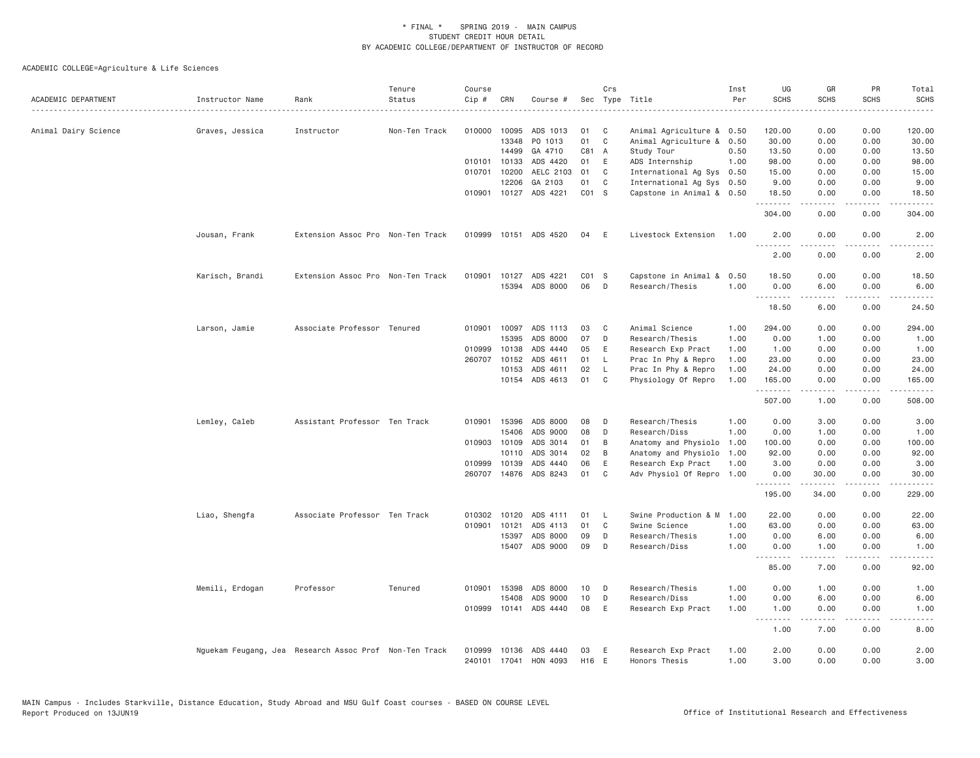| ACADEMIC DEPARTMENT  | Instructor Name | Rank                                                   | Tenure<br>Status | Course<br>Cip # | CRN          | Course #              |       | Crs         | Sec Type Title            | Inst<br>Per | UG<br><b>SCHS</b> | GR<br><b>SCHS</b>                        | PR<br><b>SCHS</b>                   | Total<br><b>SCHS</b><br>$\frac{1}{2} \left( \frac{1}{2} \right) \left( \frac{1}{2} \right) \left( \frac{1}{2} \right) \left( \frac{1}{2} \right)$ |
|----------------------|-----------------|--------------------------------------------------------|------------------|-----------------|--------------|-----------------------|-------|-------------|---------------------------|-------------|-------------------|------------------------------------------|-------------------------------------|---------------------------------------------------------------------------------------------------------------------------------------------------|
|                      |                 |                                                        |                  |                 |              |                       |       |             |                           |             |                   |                                          |                                     |                                                                                                                                                   |
| Animal Dairy Science | Graves, Jessica | Instructor                                             | Non-Ten Track    |                 | 010000 10095 | ADS 1013              | 01    | C           | Animal Agriculture & 0.50 |             | 120.00            | 0.00                                     | 0.00                                | 120.00                                                                                                                                            |
|                      |                 |                                                        |                  |                 | 13348        | PO 1013               | 01    | $\mathbb C$ | Animal Agriculture &      | 0.50        | 30.00             | 0.00                                     | 0.00                                | 30.00                                                                                                                                             |
|                      |                 |                                                        |                  |                 | 14499        | GA 4710               | C81 A |             | Study Tour                | 0.50        | 13.50             | 0.00                                     | 0.00                                | 13.50                                                                                                                                             |
|                      |                 |                                                        |                  |                 | 010101 10133 | ADS 4420              | 01    | E           | ADS Internship            | 1.00        | 98.00             | 0.00                                     | 0.00                                | 98.00                                                                                                                                             |
|                      |                 |                                                        |                  |                 | 010701 10200 | AELC 2103             | 01    | C           | International Ag Sys 0.50 |             | 15.00             | 0.00                                     | 0.00                                | 15.00                                                                                                                                             |
|                      |                 |                                                        |                  |                 | 12206        | GA 2103               | 01    | C           | International Ag Sys 0.50 |             | 9.00              | 0.00                                     | 0.00                                | 9.00                                                                                                                                              |
|                      |                 |                                                        |                  |                 |              | 010901 10127 ADS 4221 | CO1 S |             | Capstone in Animal & 0.50 |             | 18.50<br>.        | 0.00<br>.                                | 0.00<br>$\sim$ $\sim$ $\sim$ $\sim$ | 18.50<br>.                                                                                                                                        |
|                      |                 |                                                        |                  |                 |              |                       |       |             |                           |             | 304.00            | 0.00                                     | 0.00                                | 304.00                                                                                                                                            |
|                      | Jousan, Frank   | Extension Assoc Pro Non-Ten Track                      |                  |                 |              | 010999 10151 ADS 4520 | 04    | E           | Livestock Extension       | 1.00        | 2.00<br>$- - - -$ | 0.00<br>-----                            | 0.00<br>.                           | 2.00<br>$\frac{1}{2}$                                                                                                                             |
|                      |                 |                                                        |                  |                 |              |                       |       |             |                           |             | 2.00              | 0.00                                     | 0.00                                | 2.00                                                                                                                                              |
|                      | Karisch, Brandi | Extension Assoc Pro Non-Ten Track                      |                  | 010901          | 10127        | ADS 4221              | CO1 S |             | Capstone in Animal & 0.50 |             | 18.50             | 0.00                                     | 0.00                                | 18.50                                                                                                                                             |
|                      |                 |                                                        |                  |                 | 15394        | ADS 8000              | 06    | D           | Research/Thesis           | 1.00        | 0.00<br><u>.</u>  | 6.00<br>.                                | 0.00<br>$\frac{1}{2}$               | 6.00                                                                                                                                              |
|                      |                 |                                                        |                  |                 |              |                       |       |             |                           |             | 18.50             | 6.00                                     | 0.00                                | 24.50                                                                                                                                             |
|                      | Larson, Jamie   | Associate Professor Tenured                            |                  |                 | 010901 10097 | ADS 1113              | 03    | C           | Animal Science            | 1.00        | 294.00            | 0.00                                     | 0.00                                | 294.00                                                                                                                                            |
|                      |                 |                                                        |                  |                 | 15395        | ADS 8000              | 07    | D           | Research/Thesis           | 1.00        | 0.00              | 1.00                                     | 0.00                                | 1.00                                                                                                                                              |
|                      |                 |                                                        |                  | 010999          | 10138        | ADS 4440              | 05    | E           | Research Exp Pract        | 1.00        | 1.00              | 0.00                                     | 0.00                                | 1.00                                                                                                                                              |
|                      |                 |                                                        |                  |                 | 260707 10152 | ADS 4611              | 01    | L.          | Prac In Phy & Repro       | 1.00        | 23.00             | 0.00                                     | 0.00                                | 23.00                                                                                                                                             |
|                      |                 |                                                        |                  |                 | 10153        | ADS 4611              | 02    | <b>L</b>    | Prac In Phy & Repro       | 1.00        | 24.00             | 0.00                                     | 0.00                                | 24.00                                                                                                                                             |
|                      |                 |                                                        |                  |                 | 10154        | ADS 4613              | 01    | C           | Physiology Of Repro       | 1.00        | 165.00<br>.       | 0.00<br>$\omega$ is $\omega$ in $\omega$ | 0.00<br>.                           | 165.00<br>$\mathcal{L}^{\mathcal{A}}\left( \mathcal{A}^{\mathcal{A}}\right) =\mathcal{L}^{\mathcal{A}}\left( \mathcal{A}^{\mathcal{A}}\right)$    |
|                      |                 |                                                        |                  |                 |              |                       |       |             |                           |             | 507.00            | 1.00                                     | 0.00                                | 508.00                                                                                                                                            |
|                      | Lemley, Caleb   | Assistant Professor Ten Track                          |                  |                 | 010901 15396 | ADS 8000              | 08    | D           | Research/Thesis           | 1.00        | 0.00              | 3.00                                     | 0.00                                | 3.00                                                                                                                                              |
|                      |                 |                                                        |                  |                 | 15406        | ADS 9000              | 08    | D           | Research/Diss             | 1.00        | 0.00              | 1.00                                     | 0.00                                | 1.00                                                                                                                                              |
|                      |                 |                                                        |                  |                 | 010903 10109 | ADS 3014              | 01    | B           | Anatomy and Physiolo      | 1.00        | 100.00            | 0.00                                     | 0.00                                | 100.00                                                                                                                                            |
|                      |                 |                                                        |                  |                 | 10110        | ADS 3014              | 02    | B           | Anatomy and Physiolo      | 1.00        | 92.00             | 0.00                                     | 0.00                                | 92.00                                                                                                                                             |
|                      |                 |                                                        |                  |                 | 010999 10139 | ADS 4440              | 06    | $\mathsf E$ | Research Exp Pract        | 1.00        | 3.00              | 0.00                                     | 0.00                                | 3.00                                                                                                                                              |
|                      |                 |                                                        |                  |                 | 260707 14876 | ADS 8243              | 01    | C           | Adv Physiol Of Repro 1.00 |             | 0.00<br>.         | 30.00<br>د د د د د                       | 0.00<br>د د د د                     | 30.00<br>.                                                                                                                                        |
|                      |                 |                                                        |                  |                 |              |                       |       |             |                           |             | 195.00            | 34.00                                    | 0.00                                | 229.00                                                                                                                                            |
|                      | Liao, Shengfa   | Associate Professor Ten Track                          |                  | 010302          | 10120        | ADS 4111              | 01    | - L         | Swine Production & M      | 1.00        | 22.00             | 0.00                                     | 0.00                                | 22.00                                                                                                                                             |
|                      |                 |                                                        |                  | 010901          | 10121        | ADS 4113              | 01    | $\mathbb C$ | Swine Science             | 1.00        | 63.00             | 0.00                                     | 0.00                                | 63.00                                                                                                                                             |
|                      |                 |                                                        |                  |                 | 15397        | ADS 8000              | 09    | D           | Research/Thesis           | 1.00        | 0.00              | 6.00                                     | 0.00                                | 6.00                                                                                                                                              |
|                      |                 |                                                        |                  |                 | 15407        | ADS 9000              | 09    | D           | Research/Diss             | 1.00        | 0.00<br>.         | 1.00<br>-----                            | 0.00<br>.                           | 1.00<br>.                                                                                                                                         |
|                      |                 |                                                        |                  |                 |              |                       |       |             |                           |             | 85.00             | 7.00                                     | 0.00                                | 92.00                                                                                                                                             |
|                      | Memili, Erdogan | Professor                                              | Tenured          | 010901          | 15398        | ADS 8000              | 10    | D           | Research/Thesis           | 1.00        | 0.00              | 1.00                                     | 0.00                                | 1.00                                                                                                                                              |
|                      |                 |                                                        |                  |                 | 15408        | ADS 9000              | 10    | D           | Research/Diss             | 1.00        | 0.00              | 6.00                                     | 0.00                                | 6.00                                                                                                                                              |
|                      |                 |                                                        |                  |                 |              | 010999 10141 ADS 4440 | 08    | E           | Research Exp Pract        | 1.00        | 1.00<br>.         | 0.00<br>-----                            | 0.00<br>د د د د                     | 1.00<br>$\frac{1}{2} \left( \frac{1}{2} \right) \left( \frac{1}{2} \right) \left( \frac{1}{2} \right) \left( \frac{1}{2} \right)$                 |
|                      |                 |                                                        |                  |                 |              |                       |       |             |                           |             | 1.00              | 7.00                                     | 0.00                                | 8.00                                                                                                                                              |
|                      |                 | Nguekam Feugang, Jea Research Assoc Prof Non-Ten Track |                  | 010999          | 10136        | ADS 4440              | 03    | E           | Research Exp Pract        | 1.00        | 2.00              | 0.00                                     | 0.00                                | 2.00                                                                                                                                              |
|                      |                 |                                                        |                  |                 | 240101 17041 | HON 4093              | H16 E |             | Honors Thesis             | 1.00        | 3.00              | 0.00                                     | 0.00                                | 3.00                                                                                                                                              |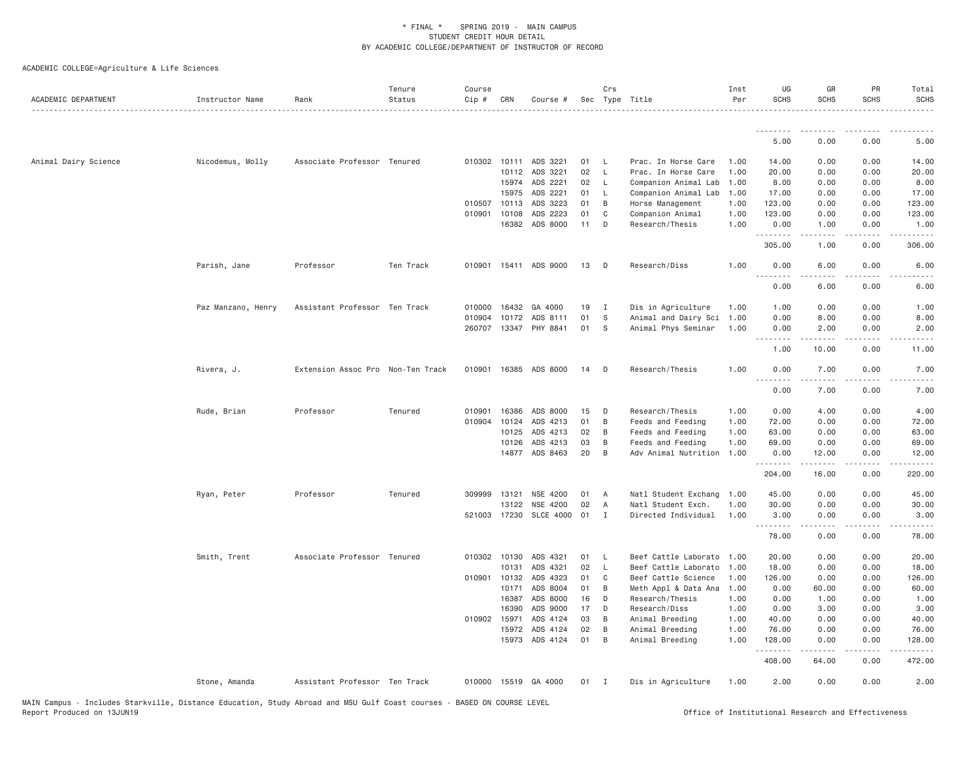| ACADEMIC DEPARTMENT  | Instructor Name    | Rank                              | Tenure<br>Status | Course<br>Cip # | CRN          | Course #              |    | Crs<br>Sec Type Title |                      | Inst<br>Per | UG<br><b>SCHS</b> | GR<br><b>SCHS</b>   | PR<br>SCHS                                                                                                                        | Total<br><b>SCHS</b>  |
|----------------------|--------------------|-----------------------------------|------------------|-----------------|--------------|-----------------------|----|-----------------------|----------------------|-------------|-------------------|---------------------|-----------------------------------------------------------------------------------------------------------------------------------|-----------------------|
|                      |                    |                                   |                  |                 |              |                       |    |                       |                      |             | .                 |                     |                                                                                                                                   |                       |
|                      |                    |                                   |                  |                 |              |                       |    |                       |                      |             | 5.00              | 0.00                | 0.00                                                                                                                              | 5.00                  |
| Animal Dairy Science | Nicodemus, Molly   | Associate Professor Tenured       |                  |                 |              | 010302 10111 ADS 3221 | 01 | L.                    | Prac. In Horse Care  | 1.00        | 14.00             | 0.00                | 0.00                                                                                                                              | 14.00                 |
|                      |                    |                                   |                  |                 | 10112        | ADS 3221              | 02 | $\mathsf{L}$          | Prac. In Horse Care  | 1.00        | 20.00             | 0.00                | 0.00                                                                                                                              | 20.00                 |
|                      |                    |                                   |                  |                 | 15974        | ADS 2221              | 02 | $\mathsf{L}$          | Companion Animal Lab | 1.00        | 8.00              | 0.00                | 0.00                                                                                                                              | 8.00                  |
|                      |                    |                                   |                  |                 | 15975        | ADS 2221              | 01 | L.                    | Companion Animal Lab | 1.00        | 17.00             | 0.00                | 0.00                                                                                                                              | 17.00                 |
|                      |                    |                                   |                  | 010507          | 10113        | ADS 3223              | 01 | B                     | Horse Management     | 1.00        | 123.00            | 0.00                | 0.00                                                                                                                              | 123.00                |
|                      |                    |                                   |                  | 010901          | 10108        | ADS 2223              | 01 | C                     | Companion Animal     | 1.00        | 123.00            | 0.00                | 0.00                                                                                                                              | 123.00                |
|                      |                    |                                   |                  |                 | 16382        | ADS 8000              | 11 | D                     | Research/Thesis      | 1.00        | 0.00              | 1.00                | 0.00<br>.                                                                                                                         | 1.00<br>.             |
|                      |                    |                                   |                  |                 |              |                       |    |                       |                      |             | .<br>305.00       | -----<br>1.00       | 0.00                                                                                                                              | 306.00                |
|                      | Parish, Jane       | Professor                         | Ten Track        | 010901          |              | 15411 ADS 9000        | 13 | D                     | Research/Diss        | 1.00        | 0.00<br>.         | 6.00<br>$- - - - -$ | 0.00<br>$- - - -$                                                                                                                 | 6.00<br>$\frac{1}{2}$ |
|                      |                    |                                   |                  |                 |              |                       |    |                       |                      |             | 0.00              | 6.00                | 0.00                                                                                                                              | 6.00                  |
|                      | Paz Manzano, Henry | Assistant Professor Ten Track     |                  | 010000          | 16432        | GA 4000               | 19 | $\mathbf{I}$          | Dis in Agriculture   | 1.00        | 1.00              | 0.00                | 0.00                                                                                                                              | 1.00                  |
|                      |                    |                                   |                  | 010904          | 10172        | ADS 8111              | 01 | S                     | Animal and Dairy Sci | 1.00        | 0.00              | 8.00                | 0.00                                                                                                                              | 8.00                  |
|                      |                    |                                   |                  |                 |              | 260707 13347 PHY 8841 | 01 | S                     | Animal Phys Seminar  | 1.00        | 0.00              | 2.00                | 0.00                                                                                                                              | 2.00                  |
|                      |                    |                                   |                  |                 |              |                       |    |                       |                      |             | .                 |                     |                                                                                                                                   |                       |
|                      |                    |                                   |                  |                 |              |                       |    |                       |                      |             | 1.00              | 10.00               | 0.00                                                                                                                              | 11.00                 |
|                      | Rivera, J.         | Extension Assoc Pro Non-Ten Track |                  |                 |              | 010901 16385 ADS 8000 | 14 | D                     | Research/Thesis      | 1.00        | 0.00<br>----      | 7.00                | 0.00<br>$\frac{1}{2} \left( \frac{1}{2} \right) \left( \frac{1}{2} \right) \left( \frac{1}{2} \right) \left( \frac{1}{2} \right)$ | 7.00                  |
|                      |                    |                                   |                  |                 |              |                       |    |                       |                      |             | 0.00              | 7.00                | 0.00                                                                                                                              | 7.00                  |
|                      | Rude, Brian        | Professor                         | Tenured          | 010901          | 16386        | ADS 8000              | 15 | D                     | Research/Thesis      | 1.00        | 0.00              | 4.00                | 0.00                                                                                                                              | 4.00                  |
|                      |                    |                                   |                  | 010904          | 10124        | ADS 4213              | 01 | B                     | Feeds and Feeding    | 1.00        | 72.00             | 0.00                | 0.00                                                                                                                              | 72.00                 |
|                      |                    |                                   |                  |                 | 10125        | ADS 4213              | 02 | B                     | Feeds and Feeding    | 1.00        | 63.00             | 0.00                | 0.00                                                                                                                              | 63.00                 |
|                      |                    |                                   |                  |                 | 10126        | ADS 4213              | 03 | B                     | Feeds and Feeding    | 1.00        | 69.00             | 0.00                | 0.00                                                                                                                              | 69.00                 |
|                      |                    |                                   |                  |                 |              | 14877 ADS 8463        | 20 | B                     | Adv Animal Nutrition | 1.00        | 0.00<br>.         | 12.00<br>.          | 0.00<br>.                                                                                                                         | 12.00<br>.            |
|                      |                    |                                   |                  |                 |              |                       |    |                       |                      |             | 204.00            | 16.00               | 0.00                                                                                                                              | 220.00                |
|                      | Ryan, Peter        | Professor                         | Tenured          | 309999          | 13121        | NSE 4200              | 01 | A                     | Natl Student Exchang | 1.00        | 45.00             | 0.00                | 0.00                                                                                                                              | 45.00                 |
|                      |                    |                                   |                  |                 | 13122        | NSE 4200              | 02 | A                     | Natl Student Exch.   | 1.00        | 30.00             | 0.00                | 0.00                                                                                                                              | 30.00                 |
|                      |                    |                                   |                  |                 | 521003 17230 | SLCE 4000 01          |    | $\mathbf{I}$          | Directed Individual  | 1.00        | 3.00              | 0.00                | 0.00                                                                                                                              | 3.00                  |
|                      |                    |                                   |                  |                 |              |                       |    |                       |                      |             | .<br>78.00        | -----<br>0.00       | $\sim$ $\sim$ $\sim$ $\sim$<br>0.00                                                                                               | .<br>78.00            |
|                      | Smith, Trent       | Associate Professor Tenured       |                  | 010302 10130    |              | ADS 4321              | 01 | L                     | Beef Cattle Laborato | 1.00        | 20.00             | 0.00                | 0.00                                                                                                                              | 20.00                 |
|                      |                    |                                   |                  |                 | 10131        | ADS 4321              | 02 | $\mathsf{L}$          | Beef Cattle Laborato | 1.00        | 18.00             | 0.00                | 0.00                                                                                                                              | 18.00                 |
|                      |                    |                                   |                  | 010901          | 10132        | ADS 4323              | 01 | C                     | Beef Cattle Science  | 1.00        | 126.00            | 0.00                | 0.00                                                                                                                              | 126.00                |
|                      |                    |                                   |                  |                 | 10171        | ADS 8004              | 01 | B                     | Meth Appl & Data Ana | 1.00        | 0.00              | 60.00               | 0.00                                                                                                                              | 60.00                 |
|                      |                    |                                   |                  |                 | 16387        | ADS 8000              | 16 | D                     | Research/Thesis      | 1.00        | 0.00              | 1.00                | 0.00                                                                                                                              | 1.00                  |
|                      |                    |                                   |                  |                 | 16390        | ADS 9000              | 17 | D                     | Research/Diss        | 1,00        | 0.00              | 3.00                | 0.00                                                                                                                              | 3.00                  |
|                      |                    |                                   |                  | 010902          | 15971        | ADS 4124              | 03 | B                     | Animal Breeding      | 1.00        | 40.00             | 0.00                | 0.00                                                                                                                              | 40.00                 |
|                      |                    |                                   |                  |                 | 15972        | ADS 4124              | 02 | B                     | Animal Breeding      | 1.00        | 76.00             | 0.00                | 0.00                                                                                                                              | 76.00                 |
|                      |                    |                                   |                  |                 |              | 15973 ADS 4124        | 01 | B                     | Animal Breeding      | 1.00        | 128.00<br>.       | 0.00<br>.           | 0.00<br>.                                                                                                                         | 128.00<br>$- - - - -$ |
|                      |                    |                                   |                  |                 |              |                       |    |                       |                      |             | 408.00            | 64.00               | 0.00                                                                                                                              | 472.00                |
|                      | Stone, Amanda      | Assistant Professor Ten Track     |                  |                 |              | 010000 15519 GA 4000  | 01 | $\mathbf{I}$          | Dis in Agriculture   | 1.00        | 2.00              | 0.00                | 0.00                                                                                                                              | 2.00                  |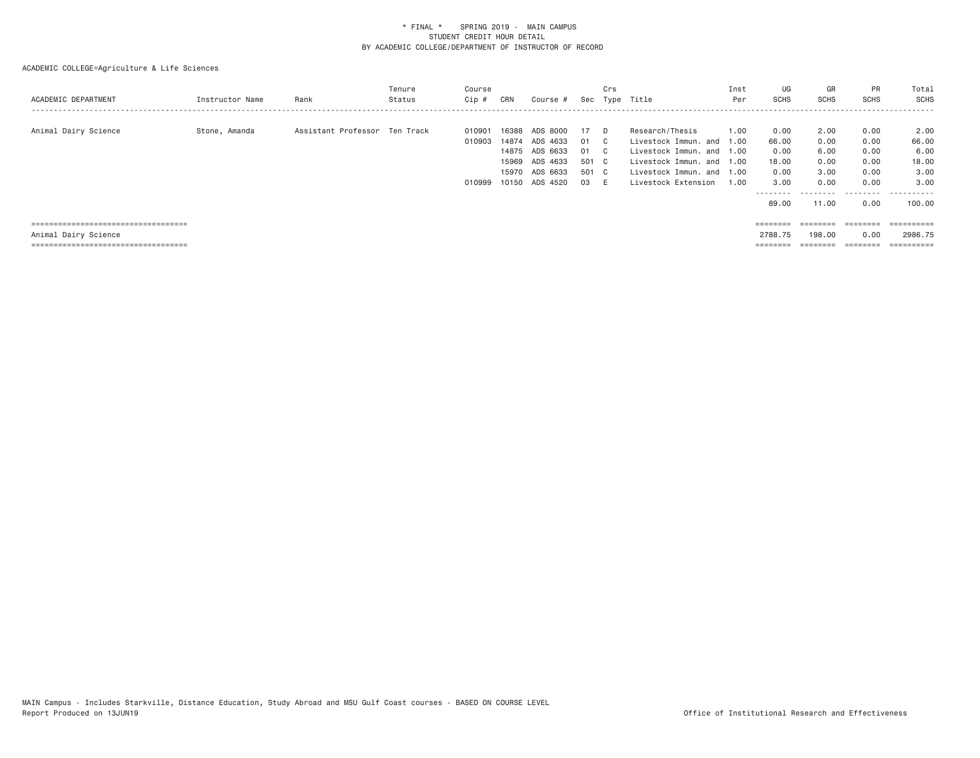| ACADEMIC DEPARTMENT                                                                                    | Instructor Name | Rank                          | Tenure<br>Status | Course<br>Cip #            | CRN                                       | Course #                                                                   |                                        | Crs                             | Sec Type Title                                                                                                                                             | Inst<br>Per  | UG<br>SCHS                                                          | GR<br><b>SCHS</b>                                          | <b>PR</b><br><b>SCHS</b>                                  | Total<br>SCHS                                                 |
|--------------------------------------------------------------------------------------------------------|-----------------|-------------------------------|------------------|----------------------------|-------------------------------------------|----------------------------------------------------------------------------|----------------------------------------|---------------------------------|------------------------------------------------------------------------------------------------------------------------------------------------------------|--------------|---------------------------------------------------------------------|------------------------------------------------------------|-----------------------------------------------------------|---------------------------------------------------------------|
| Animal Dairy Science                                                                                   | Stone, Amanda   | Assistant Professor Ten Track |                  | 010901<br>010903<br>010999 | 16388<br>14874<br>15969<br>15970<br>10150 | ADS 8000<br>ADS 4633<br>14875 ADS 6633<br>ADS 4633<br>ADS 6633<br>ADS 4520 | 17<br>01<br>01<br>501 C<br>501 C<br>03 | D.<br>C.<br>$\mathbb{C}$<br>- E | Research/Thesis<br>Livestock Immun. and 1.00<br>Livestock Immun. and 1.00<br>Livestock Immun, and 1.00<br>Livestock Immun, and 1.00<br>Livestock Extension | 1.00<br>1.00 | 0.00<br>66.00<br>0.00<br>18,00<br>0.00<br>3.00<br>--------<br>89.00 | 2,00<br>0.00<br>6,00<br>0.00<br>3,00<br>0.00<br>.<br>11,00 | 0.00<br>0.00<br>0.00<br>0.00<br>0.00<br>0.00<br>.<br>0.00 | 2.00<br>66.00<br>6.00<br>18,00<br>3.00<br>3,00<br>.<br>100,00 |
| =====================================<br>Animal Dairy Science<br>===================================== |                 |                               |                  |                            |                                           |                                                                            |                                        |                                 |                                                                                                                                                            |              | $=$ = = = = = = =<br>2788.75<br>========                            | ========<br>198,00                                         | ========<br>0.00<br>========                              | ==========<br>2986.75                                         |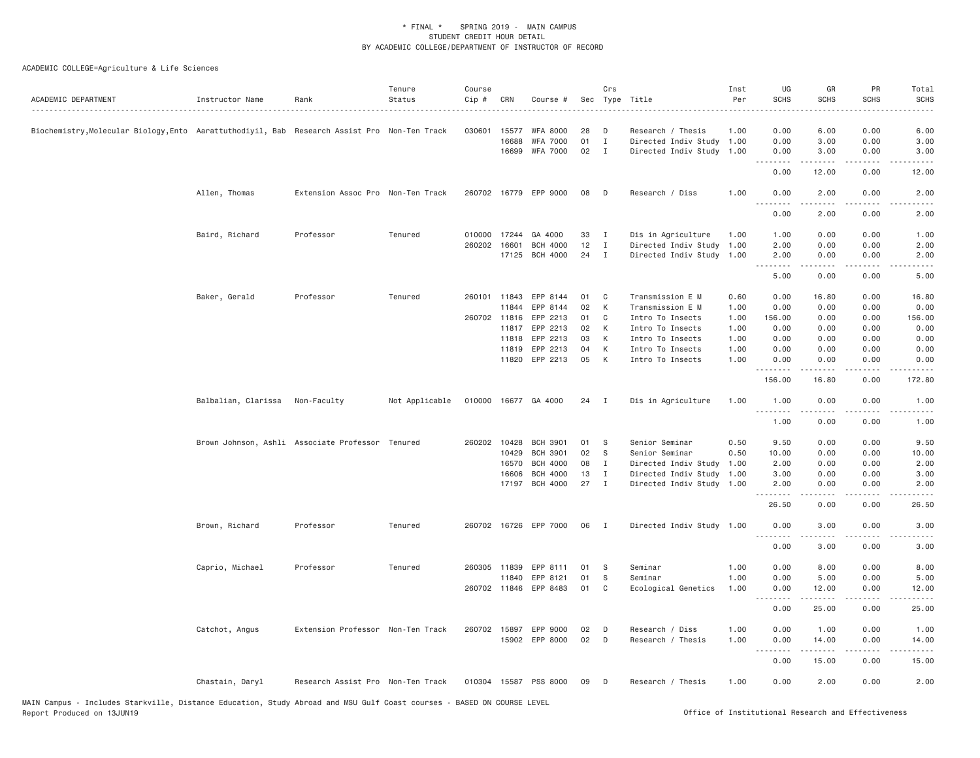| ACADEMIC DEPARTMENT                                                                           | Instructor Name     | Rank                                             | Tenure<br>Status | Course<br>Cip # | CRN   | Course #              |    | Crs          | Sec Type Title            | Inst<br>Per | UG<br><b>SCHS</b>               | GR<br><b>SCHS</b>                                                                                                                                            | PR<br>SCHS        | Total<br><b>SCHS</b>                                                                                                                                         |
|-----------------------------------------------------------------------------------------------|---------------------|--------------------------------------------------|------------------|-----------------|-------|-----------------------|----|--------------|---------------------------|-------------|---------------------------------|--------------------------------------------------------------------------------------------------------------------------------------------------------------|-------------------|--------------------------------------------------------------------------------------------------------------------------------------------------------------|
| Biochemistry,Molecular Biology,Ento  Aarattuthodiyil, Bab  Research Assist Pro  Non-Ten Track |                     |                                                  |                  | 030601          | 15577 | <b>WFA 8000</b>       | 28 | D            | Research / Thesis         | 1.00        | 0.00                            | 6.00                                                                                                                                                         | 0.00              | 6.00                                                                                                                                                         |
|                                                                                               |                     |                                                  |                  |                 | 16688 | <b>WFA 7000</b>       | 01 | $\mathbf I$  | Directed Indiv Study      | 1.00        | 0.00                            | 3.00                                                                                                                                                         | 0.00              | 3.00                                                                                                                                                         |
|                                                                                               |                     |                                                  |                  |                 | 16699 | <b>WFA 7000</b>       | 02 | $\mathbf{I}$ | Directed Indiv Study 1.00 |             | 0.00<br>.                       | 3.00<br>$\frac{1}{2} \left( \frac{1}{2} \right) \left( \frac{1}{2} \right) \left( \frac{1}{2} \right) \left( \frac{1}{2} \right) \left( \frac{1}{2} \right)$ | 0.00<br>.         | 3.00<br>$\sim$ $\sim$ $\sim$ $\sim$                                                                                                                          |
|                                                                                               |                     |                                                  |                  |                 |       |                       |    |              |                           |             | 0.00                            | 12.00                                                                                                                                                        | 0.00              | 12.00                                                                                                                                                        |
|                                                                                               | Allen, Thomas       | Extension Assoc Pro Non-Ten Track                |                  |                 |       | 260702 16779 EPP 9000 | 08 | D            | Research / Diss           | 1.00        | 0.00<br>$\omega$ is $\omega$ in | 2.00<br>.                                                                                                                                                    | 0.00              | 2.00                                                                                                                                                         |
|                                                                                               |                     |                                                  |                  |                 |       |                       |    |              |                           |             | 0.00                            | 2.00                                                                                                                                                         | 0.00              | 2.00                                                                                                                                                         |
|                                                                                               | Baird, Richard      | Professor                                        | Tenured          | 010000          | 17244 | GA 4000               | 33 | $\mathbf{I}$ | Dis in Agriculture        | 1.00        | 1.00                            | 0.00                                                                                                                                                         | 0.00              | 1.00                                                                                                                                                         |
|                                                                                               |                     |                                                  |                  | 260202 16601    |       | <b>BCH 4000</b>       | 12 | $\mathbf{I}$ | Directed Indiv Study      | 1.00        | 2.00                            | 0.00                                                                                                                                                         | 0.00              | 2.00                                                                                                                                                         |
|                                                                                               |                     |                                                  |                  |                 | 17125 | <b>BCH 4000</b>       | 24 | $\mathbf{I}$ | Directed Indiv Study 1.00 |             | 2.00<br>.                       | 0.00<br>$- - - - -$                                                                                                                                          | 0.00<br>$- - - -$ | 2.00<br>.                                                                                                                                                    |
|                                                                                               |                     |                                                  |                  |                 |       |                       |    |              |                           |             | 5.00                            | 0.00                                                                                                                                                         | 0.00              | 5.00                                                                                                                                                         |
|                                                                                               | Baker, Gerald       | Professor                                        | Tenured          | 260101 11843    |       | EPP 8144              | 01 | C            | Transmission E M          | 0.60        | 0.00                            | 16.80                                                                                                                                                        | 0.00              | 16.80                                                                                                                                                        |
|                                                                                               |                     |                                                  |                  |                 | 11844 | EPP 8144              | 02 | К            | Transmission E M          | 1.00        | 0.00                            | 0.00                                                                                                                                                         | 0.00              | 0.00                                                                                                                                                         |
|                                                                                               |                     |                                                  |                  | 260702 11816    |       | EPP 2213              | 01 | C            | Intro To Insects          | 1.00        | 156.00                          | 0.00                                                                                                                                                         | 0.00              | 156.00                                                                                                                                                       |
|                                                                                               |                     |                                                  |                  |                 | 11817 | EPP 2213              | 02 | К            | Intro To Insects          | 1.00        | 0.00                            | 0.00                                                                                                                                                         | 0.00              | 0.00                                                                                                                                                         |
|                                                                                               |                     |                                                  |                  |                 | 11818 | EPP 2213              | 03 | К            | Intro To Insects          | 1.00        | 0.00                            | 0.00                                                                                                                                                         | 0.00              | 0.00                                                                                                                                                         |
|                                                                                               |                     |                                                  |                  |                 | 11819 | EPP 2213              | 04 | К            | Intro To Insects          | 1.00        | 0.00                            | 0.00                                                                                                                                                         | 0.00              | 0.00                                                                                                                                                         |
|                                                                                               |                     |                                                  |                  |                 | 11820 | EPP 2213              | 05 | К            | Intro To Insects          | 1.00        | 0.00<br>.                       | 0.00                                                                                                                                                         | 0.00              | 0.00                                                                                                                                                         |
|                                                                                               |                     |                                                  |                  |                 |       |                       |    |              |                           |             | 156.00                          | 16.80                                                                                                                                                        | 0.00              | 172.80                                                                                                                                                       |
|                                                                                               | Balbalian, Clarissa | Non-Faculty                                      | Not Applicable   |                 |       | 010000 16677 GA 4000  | 24 | I            | Dis in Agriculture        | 1.00        | 1.00<br>.                       | 0.00                                                                                                                                                         | 0.00              | 1.00                                                                                                                                                         |
|                                                                                               |                     |                                                  |                  |                 |       |                       |    |              |                           |             | 1.00                            | 0.00                                                                                                                                                         | 0.00              | 1.00                                                                                                                                                         |
|                                                                                               |                     | Brown Johnson, Ashli Associate Professor Tenured |                  | 260202 10428    |       | <b>BCH 3901</b>       | 01 | -S           | Senior Seminar            | 0.50        | 9.50                            | 0.00                                                                                                                                                         | 0.00              | 9.50                                                                                                                                                         |
|                                                                                               |                     |                                                  |                  |                 | 10429 | <b>BCH 3901</b>       | 02 | S            | Senior Seminar            | 0.50        | 10.00                           | 0.00                                                                                                                                                         | 0.00              | 10.00                                                                                                                                                        |
|                                                                                               |                     |                                                  |                  |                 | 16570 | <b>BCH 4000</b>       | 08 | I            | Directed Indiv Study      | 1.00        | 2.00                            | 0.00                                                                                                                                                         | 0.00              | 2.00                                                                                                                                                         |
|                                                                                               |                     |                                                  |                  |                 | 16606 | <b>BCH 4000</b>       | 13 | I            | Directed Indiv Study      | 1.00        | 3.00                            | 0.00                                                                                                                                                         | 0.00              | 3.00                                                                                                                                                         |
|                                                                                               |                     |                                                  |                  |                 | 17197 | <b>BCH 4000</b>       | 27 | $\mathbf{I}$ | Directed Indiv Study 1.00 |             | 2.00<br>.                       | 0.00<br>.                                                                                                                                                    | 0.00              | 2.00                                                                                                                                                         |
|                                                                                               |                     |                                                  |                  |                 |       |                       |    |              |                           |             | 26.50                           | 0.00                                                                                                                                                         | 0.00              | 26.50                                                                                                                                                        |
|                                                                                               | Brown, Richard      | Professor                                        | Tenured          |                 |       | 260702 16726 EPP 7000 | 06 | $\mathbf{I}$ | Directed Indiv Study 1.00 |             | 0.00<br>.                       | 3.00<br>$\frac{1}{2} \left( \frac{1}{2} \right) \left( \frac{1}{2} \right) \left( \frac{1}{2} \right) \left( \frac{1}{2} \right) \left( \frac{1}{2} \right)$ | 0.00<br>----      | 3.00<br>$\frac{1}{2} \left( \frac{1}{2} \right) \left( \frac{1}{2} \right) \left( \frac{1}{2} \right) \left( \frac{1}{2} \right) \left( \frac{1}{2} \right)$ |
|                                                                                               |                     |                                                  |                  |                 |       |                       |    |              |                           |             | 0.00                            | 3.00                                                                                                                                                         | 0.00              | 3.00                                                                                                                                                         |
|                                                                                               | Caprio, Michael     | Professor                                        | Tenured          | 260305 11839    |       | EPP 8111              | 01 | S            | Seminar                   | 1.00        | 0.00                            | 8.00                                                                                                                                                         | 0.00              | 8.00                                                                                                                                                         |
|                                                                                               |                     |                                                  |                  |                 | 11840 | EPP 8121              | 01 | S            | Seminar                   | 1.00        | 0.00                            | 5.00                                                                                                                                                         | 0.00              | 5.00                                                                                                                                                         |
|                                                                                               |                     |                                                  |                  | 260702 11846    |       | EPP 8483              | 01 | C            | Ecological Genetics       | 1.00        | 0.00                            | 12.00                                                                                                                                                        | 0.00              | 12.00                                                                                                                                                        |
|                                                                                               |                     |                                                  |                  |                 |       |                       |    |              |                           |             | .<br>0.00                       | 25.00                                                                                                                                                        | 0.00              | 25.00                                                                                                                                                        |
|                                                                                               | Catchot, Angus      | Extension Professor Non-Ten Track                |                  |                 |       | 260702 15897 EPP 9000 | 02 | D            | Research / Diss           | 1.00        | 0.00                            | 1.00                                                                                                                                                         | 0.00              | 1.00                                                                                                                                                         |
|                                                                                               |                     |                                                  |                  |                 |       | 15902 EPP 8000        | 02 | D            | Research / Thesis         | 1.00        | 0.00                            | 14.00                                                                                                                                                        | 0.00              | 14.00                                                                                                                                                        |
|                                                                                               |                     |                                                  |                  |                 |       |                       |    |              |                           |             |                                 | .                                                                                                                                                            |                   | المستبدا                                                                                                                                                     |
|                                                                                               |                     |                                                  |                  |                 |       |                       |    |              |                           |             | 0.00                            | 15.00                                                                                                                                                        | 0.00              | 15.00                                                                                                                                                        |
|                                                                                               | Chastain, Daryl     | Research Assist Pro Non-Ten Track                |                  |                 |       | 010304 15587 PSS 8000 | 09 | D            | Research / Thesis         | 1.00        | 0.00                            | 2.00                                                                                                                                                         | 0.00              | 2.00                                                                                                                                                         |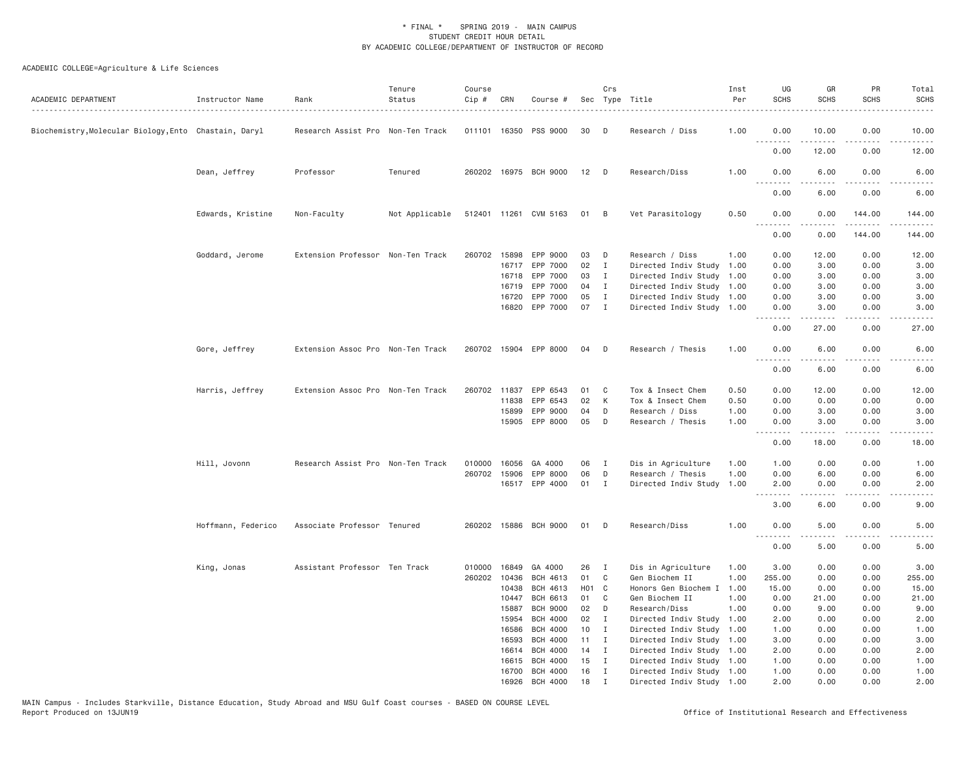| ACADEMIC DEPARTMENT                                   | Instructor Name    | Rank                              | Tenure<br>Status | Course<br>Cip # | CRN   | Course #              |                   | Crs          | Sec Type Title            | Inst<br>Per | UG<br><b>SCHS</b>                                                                                                                 | GR<br><b>SCHS</b> | PR<br><b>SCHS</b>                                                                                                                 | Total<br><b>SCHS</b>  |
|-------------------------------------------------------|--------------------|-----------------------------------|------------------|-----------------|-------|-----------------------|-------------------|--------------|---------------------------|-------------|-----------------------------------------------------------------------------------------------------------------------------------|-------------------|-----------------------------------------------------------------------------------------------------------------------------------|-----------------------|
| Biochemistry, Molecular Biology, Ento Chastain, Daryl |                    | Research Assist Pro Non-Ten Track |                  |                 |       | 011101 16350 PSS 9000 | 30                | D            | Research / Diss           | 1.00        | 0.00                                                                                                                              | 10.00             | 0.00                                                                                                                              | 10.00                 |
|                                                       |                    |                                   |                  |                 |       |                       |                   |              |                           |             | <u>.</u><br>0.00                                                                                                                  | -----<br>12.00    | $\frac{1}{2}$<br>0.00                                                                                                             | $   -$<br>12.00       |
|                                                       | Dean, Jeffrey      | Professor                         | Tenured          |                 |       | 260202 16975 BCH 9000 | 12                | $\Box$       | Research/Diss             | 1.00        | 0.00                                                                                                                              | 6.00              | 0.00                                                                                                                              | 6.00                  |
|                                                       |                    |                                   |                  |                 |       |                       |                   |              |                           |             | 0.00                                                                                                                              | 6.00              | 0.00                                                                                                                              | 6.00                  |
|                                                       | Edwards, Kristine  | Non-Faculty                       | Not Applicable   |                 |       | 512401 11261 CVM 5163 | 01                | B            | Vet Parasitology          | 0.50        | 0.00<br>.                                                                                                                         | 0.00<br>.         | 144.00<br>.                                                                                                                       | 144.00<br>$- - - - -$ |
|                                                       |                    |                                   |                  |                 |       |                       |                   |              |                           |             | 0.00                                                                                                                              | 0.00              | 144.00                                                                                                                            | 144.00                |
|                                                       | Goddard, Jerome    | Extension Professor Non-Ten Track |                  |                 |       | 260702 15898 EPP 9000 | 03                | D            | Research / Diss           | 1.00        | 0.00                                                                                                                              | 12.00             | 0.00                                                                                                                              | 12.00                 |
|                                                       |                    |                                   |                  |                 |       | 16717 EPP 7000        | 02                | $\mathbf{I}$ | Directed Indiv Study      | 1.00        | 0.00                                                                                                                              | 3.00              | 0.00                                                                                                                              | 3.00                  |
|                                                       |                    |                                   |                  |                 | 16718 | EPP 7000              | 03                | $\mathbf{I}$ | Directed Indiv Study      | 1.00        | 0.00                                                                                                                              | 3.00              | 0.00                                                                                                                              | 3.00                  |
|                                                       |                    |                                   |                  |                 | 16719 | EPP 7000              | 04                | $\mathbf I$  | Directed Indiv Study      | 1.00        | 0.00                                                                                                                              | 3.00              | 0.00                                                                                                                              | 3.00                  |
|                                                       |                    |                                   |                  |                 | 16720 | EPP 7000              | 05                | $\mathbf{I}$ | Directed Indiv Study 1.00 |             | 0.00                                                                                                                              | 3.00              | 0.00                                                                                                                              | 3.00                  |
|                                                       |                    |                                   |                  |                 | 16820 | EPP 7000              | 07                | $\mathbf{I}$ | Directed Indiv Study 1.00 |             | 0.00<br>.                                                                                                                         | 3.00              | 0.00                                                                                                                              | 3.00                  |
|                                                       |                    |                                   |                  |                 |       |                       |                   |              |                           |             | 0.00                                                                                                                              | 27.00             | 0.00                                                                                                                              | 27.00                 |
|                                                       | Gore, Jeffrey      | Extension Assoc Pro Non-Ten Track |                  |                 |       | 260702 15904 EPP 8000 | 04                | D            | Research / Thesis         | 1.00        | 0.00<br>$\frac{1}{2} \left( \frac{1}{2} \right) \left( \frac{1}{2} \right) \left( \frac{1}{2} \right) \left( \frac{1}{2} \right)$ | 6.00<br>.         | 0.00<br>$\frac{1}{2} \left( \frac{1}{2} \right) \left( \frac{1}{2} \right) \left( \frac{1}{2} \right) \left( \frac{1}{2} \right)$ | 6.00                  |
|                                                       |                    |                                   |                  |                 |       |                       |                   |              |                           |             | 0.00                                                                                                                              | 6.00              | 0.00                                                                                                                              | 6.00                  |
|                                                       | Harris, Jeffrey    | Extension Assoc Pro Non-Ten Track |                  | 260702 11837    |       | EPP 6543              | 01                | C            | Tox & Insect Chem         | 0.50        | 0.00                                                                                                                              | 12.00             | 0.00                                                                                                                              | 12.00                 |
|                                                       |                    |                                   |                  |                 | 11838 | EPP 6543              | 02                | K            | Tox & Insect Chem         | 0.50        | 0.00                                                                                                                              | 0.00              | 0.00                                                                                                                              |                       |
|                                                       |                    |                                   |                  |                 |       |                       |                   |              |                           |             |                                                                                                                                   |                   |                                                                                                                                   | 0.00                  |
|                                                       |                    |                                   |                  |                 | 15899 | EPP 9000              | 04                | D            | Research / Diss           | 1.00        | 0.00                                                                                                                              | 3.00              | 0.00                                                                                                                              | 3.00                  |
|                                                       |                    |                                   |                  |                 |       | 15905 EPP 8000        | 05                | D            | Research / Thesis         | 1.00        | 0.00<br>.                                                                                                                         | 3.00<br>.         | 0.00<br>$\frac{1}{2}$                                                                                                             | 3.00<br>$\frac{1}{2}$ |
|                                                       |                    |                                   |                  |                 |       |                       |                   |              |                           |             | 0.00                                                                                                                              | 18.00             | 0.00                                                                                                                              | 18.00                 |
|                                                       | Hill, Jovonn       | Research Assist Pro Non-Ten Track |                  | 010000          | 16056 | GA 4000               | 06                | I            | Dis in Agriculture        | 1.00        | 1.00                                                                                                                              | 0.00              | 0.00                                                                                                                              | 1.00                  |
|                                                       |                    |                                   |                  | 260702 15906    |       | EPP 8000              | 06                | D            | Research / Thesis         | 1.00        | 0.00                                                                                                                              | 6.00              | 0.00                                                                                                                              | 6.00                  |
|                                                       |                    |                                   |                  |                 |       | 16517 EPP 4000        | 01                | $\mathbf{I}$ | Directed Indiv Study      | 1.00        | 2.00<br>$\frac{1}{2}$                                                                                                             | 0.00              | 0.00                                                                                                                              | 2.00                  |
|                                                       |                    |                                   |                  |                 |       |                       |                   |              |                           |             | 3.00                                                                                                                              | 6.00              | 0.00                                                                                                                              | 9.00                  |
|                                                       | Hoffmann, Federico | Associate Professor Tenured       |                  |                 |       | 260202 15886 BCH 9000 | 01                | D            | Research/Diss             | 1.00        | 0.00                                                                                                                              | 5.00              | 0.00                                                                                                                              | 5.00                  |
|                                                       |                    |                                   |                  |                 |       |                       |                   |              |                           |             | $  -$<br>0.00                                                                                                                     | 5.00              | 0.00                                                                                                                              | 5.00                  |
|                                                       | King, Jonas        | Assistant Professor Ten Track     |                  | 010000          | 16849 | GA 4000               | 26                | $\mathbf{I}$ | Dis in Agriculture        | 1.00        | 3.00                                                                                                                              | 0.00              | 0.00                                                                                                                              | 3.00                  |
|                                                       |                    |                                   |                  | 260202 10436    |       | <b>BCH 4613</b>       | 01                | C            | Gen Biochem II            | 1.00        | 255.00                                                                                                                            | 0.00              | 0.00                                                                                                                              | 255.00                |
|                                                       |                    |                                   |                  |                 | 10438 | <b>BCH 4613</b>       | H <sub>01</sub> C |              | Honors Gen Biochem I      | 1.00        | 15.00                                                                                                                             | 0.00              | 0.00                                                                                                                              | 15.00                 |
|                                                       |                    |                                   |                  |                 | 10447 | BCH 6613              | 01                | C            | Gen Biochem II            | 1.00        | 0.00                                                                                                                              | 21.00             | 0.00                                                                                                                              | 21.00                 |
|                                                       |                    |                                   |                  |                 | 15887 | <b>BCH 9000</b>       | 02                | D            | Research/Diss             | 1.00        | 0.00                                                                                                                              | 9.00              | 0.00                                                                                                                              | 9.00                  |
|                                                       |                    |                                   |                  |                 | 15954 | <b>BCH 4000</b>       | 02                | $\mathbf{I}$ | Directed Indiv Study      | 1.00        | 2.00                                                                                                                              | 0.00              | 0.00                                                                                                                              | 2.00                  |
|                                                       |                    |                                   |                  |                 | 16586 | <b>BCH 4000</b>       | 10                | $\mathbf{I}$ | Directed Indiv Study      | 1.00        | 1.00                                                                                                                              | 0.00              | 0.00                                                                                                                              | 1.00                  |
|                                                       |                    |                                   |                  |                 | 16593 | <b>BCH 4000</b>       | 11                | I            | Directed Indiv Study 1.00 |             | 3.00                                                                                                                              | 0.00              | 0.00                                                                                                                              | 3.00                  |
|                                                       |                    |                                   |                  |                 | 16614 | <b>BCH 4000</b>       | 14                | $\mathbf{I}$ | Directed Indiv Study 1.00 |             | 2.00                                                                                                                              | 0.00              | 0.00                                                                                                                              | 2.00                  |
|                                                       |                    |                                   |                  |                 | 16615 | <b>BCH 4000</b>       | 15                | I            | Directed Indiv Study      |             | 1.00                                                                                                                              | 0.00              | 0.00                                                                                                                              | 1.00                  |
|                                                       |                    |                                   |                  |                 |       |                       | 16                | $\mathbf I$  |                           | 1.00        |                                                                                                                                   |                   |                                                                                                                                   |                       |
|                                                       |                    |                                   |                  |                 | 16700 | <b>BCH 4000</b>       |                   |              | Directed Indiv Study 1.00 |             | 1.00                                                                                                                              | 0.00              | 0.00                                                                                                                              | 1.00                  |
|                                                       |                    |                                   |                  |                 | 16926 | <b>BCH 4000</b>       | 18                | $\mathsf{T}$ | Directed Indiv Study 1.00 |             | 2.00                                                                                                                              | 0.00              | 0.00                                                                                                                              | 2.00                  |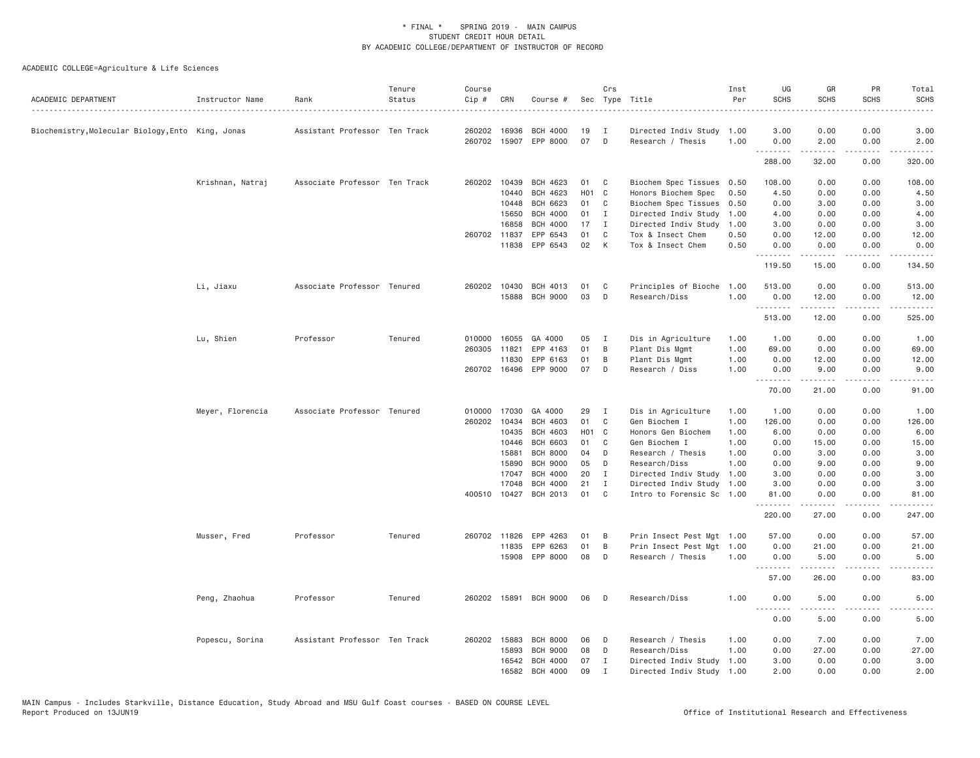| ACADEMIC DEPARTMENT                               | Instructor Name  | Rank                          | Tenure<br>Status | Course<br>Cip # | CRN   | Course #              |       | Crs<br>Sec Type Title |                           | Inst<br>Per | UG<br><b>SCHS</b>   | GR<br><b>SCHS</b>   | PR<br><b>SCHS</b>                                                                                                         | Total<br><b>SCHS</b>                                                                                                 |
|---------------------------------------------------|------------------|-------------------------------|------------------|-----------------|-------|-----------------------|-------|-----------------------|---------------------------|-------------|---------------------|---------------------|---------------------------------------------------------------------------------------------------------------------------|----------------------------------------------------------------------------------------------------------------------|
| Biochemistry, Molecular Biology, Ento King, Jonas |                  | Assistant Professor Ten Track |                  | 260202          | 16936 | <b>BCH 4000</b>       | 19    | Ι                     | Directed Indiv Study      | 1.00        | 3.00                | 0.00                | 0.00                                                                                                                      | 3.00                                                                                                                 |
|                                                   |                  |                               |                  | 260702 15907    |       | EPP 8000              | 07    | D                     | Research / Thesis         | 1.00        | 0.00<br>.           | 2.00<br>.           | 0.00<br>.                                                                                                                 | 2.00<br>.                                                                                                            |
|                                                   |                  |                               |                  |                 |       |                       |       |                       |                           |             | 288.00              | 32.00               | 0.00                                                                                                                      | 320.00                                                                                                               |
|                                                   | Krishnan, Natraj | Associate Professor Ten Track |                  | 260202          | 10439 | BCH 4623              | 01    | C                     | Biochem Spec Tissues      | 0.50        | 108.00              | 0.00                | 0.00                                                                                                                      | 108.00                                                                                                               |
|                                                   |                  |                               |                  |                 | 10440 | <b>BCH 4623</b>       | H01 C |                       | Honors Biochem Spec       | 0.50        | 4.50                | 0.00                | 0.00                                                                                                                      | 4.50                                                                                                                 |
|                                                   |                  |                               |                  |                 | 10448 | <b>BCH 6623</b>       | 01    | C                     | Biochem Spec Tissues      | 0.50        | 0.00                | 3.00                | 0.00                                                                                                                      | 3.00                                                                                                                 |
|                                                   |                  |                               |                  |                 | 15650 | <b>BCH 4000</b>       | 01    | $\mathbf{I}$          | Directed Indiv Study      | 1.00        | 4.00                | 0.00                | 0.00                                                                                                                      | 4.00                                                                                                                 |
|                                                   |                  |                               |                  |                 | 16858 | <b>BCH 4000</b>       | 17    | $\mathbf I$           | Directed Indiv Study      | 1,00        | 3.00                | 0.00                | 0.00                                                                                                                      | 3.00                                                                                                                 |
|                                                   |                  |                               |                  | 260702 11837    |       | EPP 6543              | 01    | C                     | Tox & Insect Chem         | 0.50        | 0.00                | 12.00               | 0.00                                                                                                                      | 12.00                                                                                                                |
|                                                   |                  |                               |                  |                 | 11838 | EPP 6543              | 02    | K                     | Tox & Insect Chem         | 0.50        | 0.00                | 0.00                | 0.00<br>.                                                                                                                 | 0.00<br>.                                                                                                            |
|                                                   |                  |                               |                  |                 |       |                       |       |                       |                           |             | .<br>119.50         | .<br>15.00          | 0.00                                                                                                                      | 134.50                                                                                                               |
|                                                   | Li, Jiaxu        | Associate Professor Tenured   |                  | 260202 10430    |       | BCH 4013              | 01    | C                     | Principles of Bioche      | 1.00        | 513.00              | 0.00                | 0.00                                                                                                                      | 513.00                                                                                                               |
|                                                   |                  |                               |                  |                 | 15888 | <b>BCH 9000</b>       | 03    | D                     | Research/Diss             | 1.00        | 0.00<br>.           | 12.00<br>.          | 0.00<br>.                                                                                                                 | 12.00<br>$\begin{array}{cccccccccc} \bullet & \bullet & \bullet & \bullet & \bullet & \bullet & \bullet \end{array}$ |
|                                                   |                  |                               |                  |                 |       |                       |       |                       |                           |             | 513.00              | 12.00               | 0.00                                                                                                                      | 525.00                                                                                                               |
|                                                   | Lu, Shien        | Professor                     | Tenured          | 010000          | 16055 | GA 4000               | 05    | I                     | Dis in Agriculture        | 1.00        | 1.00                | 0.00                | 0.00                                                                                                                      | 1.00                                                                                                                 |
|                                                   |                  |                               |                  | 260305          | 11821 | EPP 4163              | 01    | B                     | Plant Dis Mgmt            | 1.00        | 69.00               | 0.00                | 0.00                                                                                                                      | 69.00                                                                                                                |
|                                                   |                  |                               |                  |                 | 11830 | EPP 6163              | 01    | B                     | Plant Dis Mgmt            | 1.00        | 0.00                | 12.00               | 0.00                                                                                                                      | 12.00                                                                                                                |
|                                                   |                  |                               |                  | 260702 16496    |       | EPP 9000              | 07    | D                     | Research / Diss           | 1.00        | 0.00                | 9.00                | 0.00                                                                                                                      | 9.00                                                                                                                 |
|                                                   |                  |                               |                  |                 |       |                       |       |                       |                           |             | . <i>.</i><br>70.00 | .<br>21.00          | $\cdots$<br>0.00                                                                                                          | .<br>91.00                                                                                                           |
|                                                   | Meyer, Florencia | Associate Professor Tenured   |                  | 010000 17030    |       | GA 4000               | 29    | I                     | Dis in Agriculture        | 1.00        | 1.00                | 0.00                | 0.00                                                                                                                      | 1.00                                                                                                                 |
|                                                   |                  |                               |                  | 260202          | 10434 | <b>BCH 4603</b>       | 01    | C                     | Gen Biochem I             | 1.00        | 126.00              | 0.00                | 0.00                                                                                                                      | 126.00                                                                                                               |
|                                                   |                  |                               |                  |                 | 10435 | <b>BCH 4603</b>       | H01 C |                       | Honors Gen Biochem        | 1.00        | 6.00                | 0.00                | 0.00                                                                                                                      | 6.00                                                                                                                 |
|                                                   |                  |                               |                  |                 | 10446 | <b>BCH 6603</b>       | 01    | C                     | Gen Biochem I             | 1.00        | 0.00                | 15.00               | 0.00                                                                                                                      | 15.00                                                                                                                |
|                                                   |                  |                               |                  |                 | 15881 | <b>BCH 8000</b>       | 04    | D                     | Research / Thesis         | 1.00        | 0.00                | 3.00                | 0.00                                                                                                                      | 3.00                                                                                                                 |
|                                                   |                  |                               |                  |                 | 15890 | <b>BCH 9000</b>       | 05    | D                     | Research/Diss             | 1.00        | 0.00                | 9.00                | 0.00                                                                                                                      | 9.00                                                                                                                 |
|                                                   |                  |                               |                  |                 | 17047 | <b>BCH 4000</b>       | 20    | Ι                     | Directed Indiv Study      | 1.00        | 3.00                | 0.00                | 0.00                                                                                                                      | 3.00                                                                                                                 |
|                                                   |                  |                               |                  |                 | 17048 | <b>BCH 4000</b>       | 21    | I                     | Directed Indiv Study      | 1.00        | 3.00                | 0.00                | 0.00                                                                                                                      | 3.00                                                                                                                 |
|                                                   |                  |                               |                  | 400510 10427    |       | <b>BCH 2013</b>       | 01    | C                     | Intro to Forensic Sc      | 1.00        | 81.00<br>.          | 0.00                | 0.00                                                                                                                      | 81.00                                                                                                                |
|                                                   |                  |                               |                  |                 |       |                       |       |                       |                           |             | 220.00              | 27.00               | 0.00                                                                                                                      | 247.00                                                                                                               |
|                                                   | Musser, Fred     | Professor                     | Tenured          | 260702 11826    |       | EPP 4263              | 01    | B                     | Prin Insect Pest Mgt 1.00 |             | 57.00               | 0.00                | 0.00                                                                                                                      | 57.00                                                                                                                |
|                                                   |                  |                               |                  |                 | 11835 | EPP 6263              | 01    | B                     | Prin Insect Pest Mgt      | 1.00        | 0.00                | 21.00               | 0.00                                                                                                                      | 21.00                                                                                                                |
|                                                   |                  |                               |                  |                 | 15908 | EPP 8000              | 08    | D                     | Research / Thesis         | 1.00        | 0.00                | 5.00                | 0.00                                                                                                                      | 5.00                                                                                                                 |
|                                                   |                  |                               |                  |                 |       |                       |       |                       |                           |             | .                   | $- - - - -$         | $\frac{1}{2} \left( \frac{1}{2} \right) \left( \frac{1}{2} \right) \left( \frac{1}{2} \right) \left( \frac{1}{2} \right)$ | .                                                                                                                    |
|                                                   |                  |                               |                  |                 |       |                       |       |                       |                           |             | 57.00               | 26.00               | 0.00                                                                                                                      | 83.00                                                                                                                |
|                                                   | Peng, Zhaohua    | Professor                     | Tenured          |                 |       | 260202 15891 BCH 9000 | 06    | D                     | Research/Diss             | 1.00        | 0.00<br>.           | 5.00<br>$- - - - -$ | 0.00<br>.                                                                                                                 | 5.00                                                                                                                 |
|                                                   |                  |                               |                  |                 |       |                       |       |                       |                           |             | 0.00                | 5.00                | 0.00                                                                                                                      | 5.00                                                                                                                 |
|                                                   | Popescu, Sorina  | Assistant Professor Ten Track |                  | 260202 15883    |       | <b>BCH 8000</b>       | 06    | D                     | Research / Thesis         | 1.00        | 0.00                | 7.00                | 0.00                                                                                                                      | 7.00                                                                                                                 |
|                                                   |                  |                               |                  |                 | 15893 | <b>BCH 9000</b>       | 08    | D                     | Research/Diss             | 1.00        | 0.00                | 27.00               | 0.00                                                                                                                      | 27.00                                                                                                                |
|                                                   |                  |                               |                  |                 | 16542 | <b>BCH 4000</b>       | 07    | Ι.                    | Directed Indiv Study      | 1.00        | 3.00                | 0.00                | 0.00                                                                                                                      | 3.00                                                                                                                 |
|                                                   |                  |                               |                  |                 | 16582 | <b>BCH 4000</b>       | 09    | $\mathbf I$           | Directed Indiv Study 1.00 |             | 2.00                | 0.00                | 0.00                                                                                                                      | 2.00                                                                                                                 |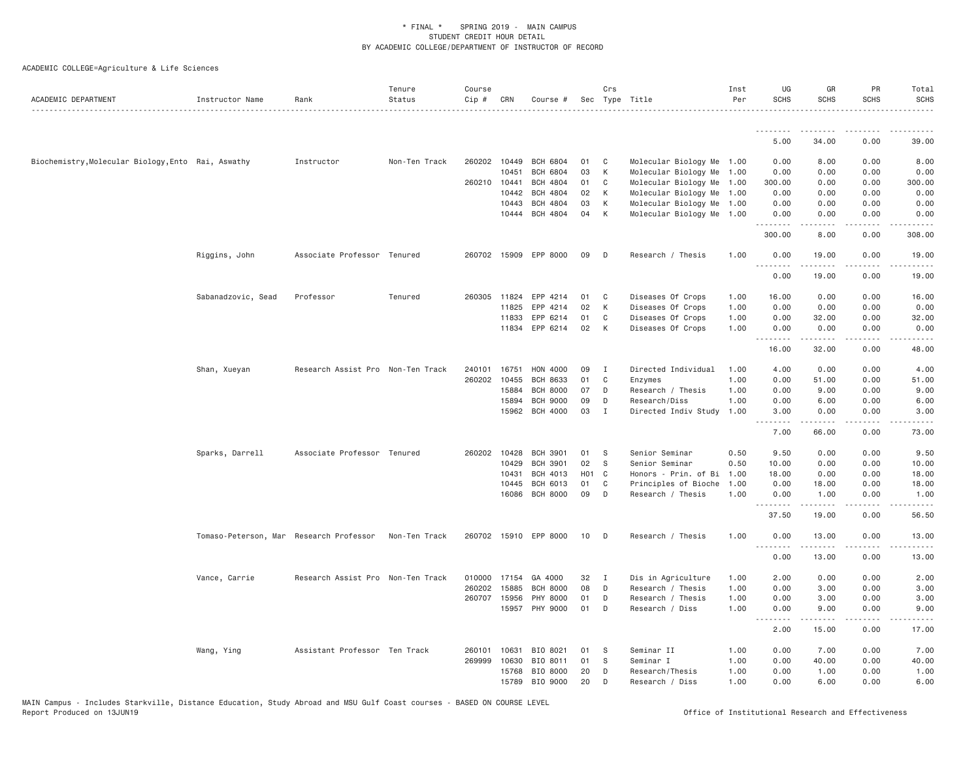| ACADEMIC DEPARTMENT                                | Instructor Name    | Rank                                                  | Tenure<br>Status | Course<br>Cip # | CRN          | Course #              |                   | Crs | Sec Type Title            | Inst<br>Per | UG<br><b>SCHS</b>               | GR<br><b>SCHS</b>                                                                                                                                            | PR<br>SCHS                          | Total<br><b>SCHS</b> |
|----------------------------------------------------|--------------------|-------------------------------------------------------|------------------|-----------------|--------------|-----------------------|-------------------|-----|---------------------------|-------------|---------------------------------|--------------------------------------------------------------------------------------------------------------------------------------------------------------|-------------------------------------|----------------------|
|                                                    |                    |                                                       |                  |                 |              |                       |                   |     |                           |             |                                 |                                                                                                                                                              |                                     |                      |
|                                                    |                    |                                                       |                  |                 |              |                       |                   |     |                           |             | 5.00                            | 34.00                                                                                                                                                        | 0.00                                | 39.00                |
| Biochemistry, Molecular Biology, Ento Rai, Aswathy |                    | Instructor                                            | Non-Ten Track    |                 | 260202 10449 | <b>BCH 6804</b>       | 01                | C   | Molecular Biology Me 1.00 |             | 0.00                            | 8.00                                                                                                                                                         | 0.00                                | 8.00                 |
|                                                    |                    |                                                       |                  |                 | 10451        | <b>BCH 6804</b>       | 03                | К   | Molecular Biology Me      | 1.00        | 0.00                            | 0.00                                                                                                                                                         | 0.00                                | 0.00                 |
|                                                    |                    |                                                       |                  | 260210 10441    |              | <b>BCH 4804</b>       | 01                | C   | Molecular Biology Me      | 1.00        | 300.00                          | 0.00                                                                                                                                                         | 0.00                                | 300.00               |
|                                                    |                    |                                                       |                  |                 | 10442        | <b>BCH 4804</b>       | 02                | K   | Molecular Biology Me      | 1.00        | 0.00                            | 0.00                                                                                                                                                         | 0.00                                | 0.00                 |
|                                                    |                    |                                                       |                  |                 | 10443        | <b>BCH 4804</b>       | 03                | К   | Molecular Biology Me      | 1.00        | 0.00                            | 0.00                                                                                                                                                         | 0.00                                | 0.00                 |
|                                                    |                    |                                                       |                  |                 | 10444        | <b>BCH 4804</b>       | 04                | К   | Molecular Biology Me 1.00 |             | 0.00<br>.                       | 0.00<br>$\frac{1}{2} \left( \frac{1}{2} \right) \left( \frac{1}{2} \right) \left( \frac{1}{2} \right) \left( \frac{1}{2} \right) \left( \frac{1}{2} \right)$ | 0.00<br>.                           | 0.00<br><u>.</u>     |
|                                                    |                    |                                                       |                  |                 |              |                       |                   |     |                           |             | 300.00                          | 8.00                                                                                                                                                         | 0.00                                | 308.00               |
|                                                    | Riggins, John      | Associate Professor Tenured                           |                  |                 |              | 260702 15909 EPP 8000 | 09                | D   | Research / Thesis         | 1.00        | 0.00<br>.                       | 19.00<br>.                                                                                                                                                   | 0.00<br>$\sim$ $\sim$ $\sim$        | 19.00<br>.           |
|                                                    |                    |                                                       |                  |                 |              |                       |                   |     |                           |             | 0.00                            | 19,00                                                                                                                                                        | 0.00                                | 19.00                |
|                                                    | Sabanadzovic, Sead | Professor                                             | Tenured          | 260305          | 11824        | EPP 4214              | 01                | C   | Diseases Of Crops         | 1.00        | 16.00                           | 0.00                                                                                                                                                         | 0.00                                | 16.00                |
|                                                    |                    |                                                       |                  |                 | 11825        | EPP 4214              | 02                | К   | Diseases Of Crops         | 1.00        | 0.00                            | 0.00                                                                                                                                                         | 0.00                                | 0.00                 |
|                                                    |                    |                                                       |                  |                 | 11833        | EPP 6214              | 01                | C   | Diseases Of Crops         | 1.00        | 0.00                            | 32.00                                                                                                                                                        | 0.00                                | 32.00                |
|                                                    |                    |                                                       |                  |                 | 11834        | EPP 6214              | 02                | K   | Diseases Of Crops         | 1.00        | 0.00                            | 0.00                                                                                                                                                         | 0.00<br>.                           | 0.00                 |
|                                                    |                    |                                                       |                  |                 |              |                       |                   |     |                           |             | .<br>16.00                      | .<br>32.00                                                                                                                                                   | 0.00                                | .<br>48.00           |
|                                                    | Shan, Xueyan       | Research Assist Pro Non-Ten Track                     |                  | 240101          | 16751        | HON 4000              | 09                | I   | Directed Individual       | 1.00        | 4.00                            | 0.00                                                                                                                                                         | 0.00                                | 4.00                 |
|                                                    |                    |                                                       |                  | 260202          | 10455        | <b>BCH 8633</b>       | 01                | C   | Enzymes                   | 1.00        | 0.00                            | 51.00                                                                                                                                                        | 0.00                                | 51.00                |
|                                                    |                    |                                                       |                  |                 | 15884        | <b>BCH 8000</b>       | 07                | D   | Research / Thesis         | 1.00        | 0.00                            | 9.00                                                                                                                                                         | 0.00                                | 9.00                 |
|                                                    |                    |                                                       |                  |                 | 15894        | <b>BCH 9000</b>       | 09                | D   | Research/Diss             | 1.00        | 0.00                            | 6.00                                                                                                                                                         | 0.00                                | 6.00                 |
|                                                    |                    |                                                       |                  |                 | 15962        | <b>BCH 4000</b>       | 03                | Ι.  | Directed Indiv Study      | 1.00        | 3.00                            | 0.00                                                                                                                                                         | 0.00                                | 3.00                 |
|                                                    |                    |                                                       |                  |                 |              |                       |                   |     |                           |             | $\omega$ is $\omega$ in<br>7.00 | 66.00                                                                                                                                                        | $\sim$ $\sim$ $\sim$<br>0.00        | 73.00                |
|                                                    | Sparks, Darrell    | Associate Professor Tenured                           |                  | 260202 10428    |              | <b>BCH 3901</b>       | 01                | S   | Senior Seminar            | 0.50        | 9.50                            | 0.00                                                                                                                                                         | 0.00                                | 9.50                 |
|                                                    |                    |                                                       |                  |                 | 10429        | <b>BCH 3901</b>       | 02                | S   | Senior Seminar            | 0.50        | 10.00                           | 0.00                                                                                                                                                         | 0.00                                | 10.00                |
|                                                    |                    |                                                       |                  |                 | 10431        | <b>BCH 4013</b>       | H <sub>01</sub> C |     | Honors - Prin. of Bi      | 1.00        | 18.00                           | 0.00                                                                                                                                                         | 0.00                                | 18.00                |
|                                                    |                    |                                                       |                  |                 | 10445        | <b>BCH 6013</b>       | 01                | C   | Principles of Bioche      | 1.00        | 0.00                            | 18.00                                                                                                                                                        | 0.00                                | 18.00                |
|                                                    |                    |                                                       |                  |                 | 16086        | <b>BCH 8000</b>       | 09                | D   | Research / Thesis         | 1.00        | 0.00                            | 1.00                                                                                                                                                         | 0.00                                | 1.00                 |
|                                                    |                    |                                                       |                  |                 |              |                       |                   |     |                           |             | .<br>37.50                      | .<br>19.00                                                                                                                                                   | $\sim$ $\sim$ $\sim$ $\sim$<br>0.00 | . د د د د<br>56.50   |
|                                                    |                    | Tomaso-Peterson, Mar Research Professor Non-Ten Track |                  |                 |              | 260702 15910 EPP 8000 | 10                | D   | Research / Thesis         | 1.00        | 0.00                            | 13.00                                                                                                                                                        | 0.00                                | 13.00                |
|                                                    |                    |                                                       |                  |                 |              |                       |                   |     |                           |             | <u>.</u><br>0.00                | .<br>13.00                                                                                                                                                   | .<br>0.00                           | .<br>13.00           |
|                                                    | Vance, Carrie      | Research Assist Pro Non-Ten Track                     |                  |                 |              | 010000 17154 GA 4000  | 32                | I   | Dis in Agriculture        | 1.00        | 2.00                            | 0.00                                                                                                                                                         | 0.00                                | 2.00                 |
|                                                    |                    |                                                       |                  | 260202          | 15885        | <b>BCH 8000</b>       | 08                | D   | Research / Thesis         | 1.00        | 0.00                            | 3.00                                                                                                                                                         | 0.00                                | 3.00                 |
|                                                    |                    |                                                       |                  | 260707          | 15956        | PHY 8000              | 01                | D   | Research / Thesis         | 1.00        | 0.00                            | 3.00                                                                                                                                                         | 0.00                                | 3.00                 |
|                                                    |                    |                                                       |                  |                 | 15957        | PHY 9000              | 01                | D   | Research / Diss           | 1.00        | 0.00                            | 9.00                                                                                                                                                         | 0.00                                | 9.00                 |
|                                                    |                    |                                                       |                  |                 |              |                       |                   |     |                           |             | .<br>2.00                       | .<br>15.00                                                                                                                                                   | $\sim$ $\sim$ $\sim$ $\sim$<br>0.00 | .<br>17.00           |
|                                                    | Wang, Ying         | Assistant Professor Ten Track                         |                  | 260101          | 10631        | BIO 8021              | 01                | -S  | Seminar II                | 1.00        | 0.00                            | 7.00                                                                                                                                                         | 0.00                                | 7.00                 |
|                                                    |                    |                                                       |                  | 269999          | 10630        | BIO 8011              | 01                | S   | Seminar I                 | 1.00        | 0.00                            | 40.00                                                                                                                                                        | 0.00                                | 40.00                |
|                                                    |                    |                                                       |                  |                 | 15768        | BIO 8000              | 20                | D   | Research/Thesis           | 1.00        | 0.00                            | 1.00                                                                                                                                                         | 0.00                                | 1.00                 |
|                                                    |                    |                                                       |                  |                 | 15789        | BIO 9000              | 20                | D   | Research / Diss           | 1.00        | 0.00                            | 6.00                                                                                                                                                         | 0.00                                | 6.00                 |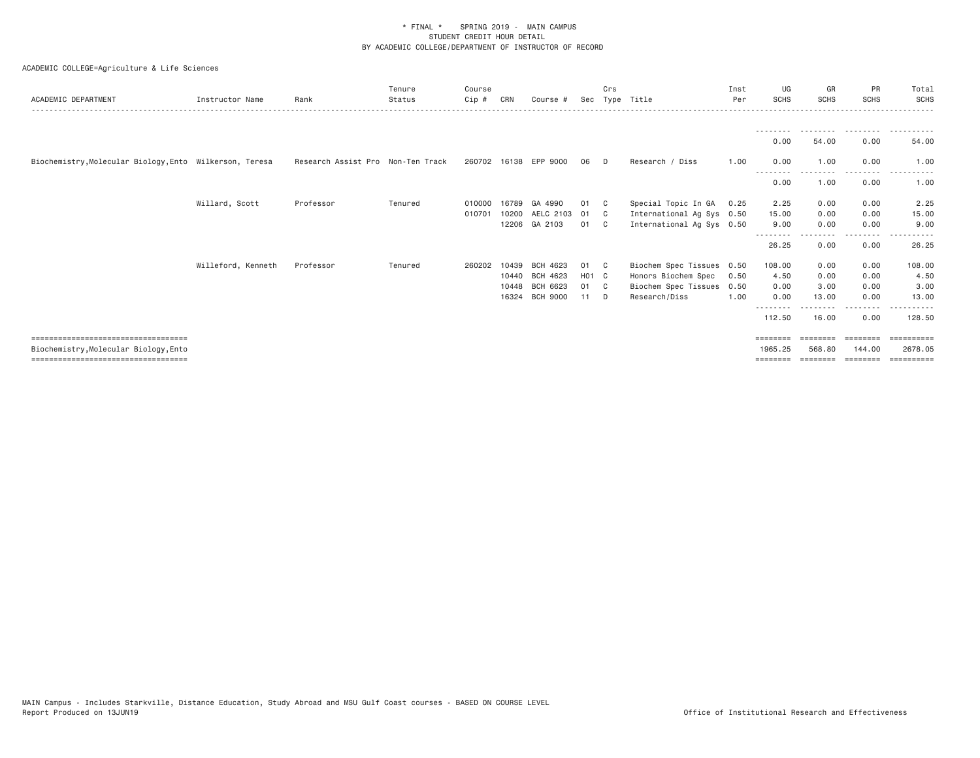| ACADEMIC DEPARTMENT                                     | Instructor Name    | Rank                              | Tenure<br>Status | Course<br>$Cip$ # | CRN   | Course #              |                   | Crs            | Sec Type Title            | Inst<br>Per | UG<br><b>SCHS</b> | GR<br><b>SCHS</b> | PR<br><b>SCHS</b> | Total<br><b>SCHS</b> |
|---------------------------------------------------------|--------------------|-----------------------------------|------------------|-------------------|-------|-----------------------|-------------------|----------------|---------------------------|-------------|-------------------|-------------------|-------------------|----------------------|
|                                                         |                    |                                   |                  |                   |       |                       |                   |                |                           |             | ---------         |                   | .                 | .                    |
|                                                         |                    |                                   |                  |                   |       |                       |                   |                |                           |             | 0.00              | 54.00             | 0.00              | 54.00                |
| Biochemistry, Molecular Biology, Ento Wilkerson, Teresa |                    | Research Assist Pro Non-Ten Track |                  |                   |       | 260702 16138 EPP 9000 | 06                | D.             | Research / Diss           | 1.00        | 0.00              | 1.00              | 0.00              | 1.00                 |
|                                                         |                    |                                   |                  |                   |       |                       |                   |                |                           |             | 0.00              | 1.00              | 0.00              | 1.00                 |
|                                                         | Willard, Scott     | Professor                         | Tenured          | 010000            |       | 16789 GA 4990         | 01                | C.             | Special Topic In GA       | 0.25        | 2.25              | 0.00              | 0.00              | 2.25                 |
|                                                         |                    |                                   |                  | 010701            |       | 10200 AELC 2103       | 01                | C <sub>c</sub> | International Ag Sys 0.50 |             | 15.00             | 0.00              | 0.00              | 15.00                |
|                                                         |                    |                                   |                  |                   |       | 12206 GA 2103         | 01                | $\mathbf{C}$   | International Ag Sys 0.50 |             | 9.00              | 0.00              | 0.00              | 9.00                 |
|                                                         |                    |                                   |                  |                   |       |                       |                   |                |                           |             | --------<br>26.25 | ---------<br>0.00 | --------<br>0.00  | 26.25                |
|                                                         | Willeford, Kenneth | Professor                         | Tenured          | 260202            | 10439 | BCH 4623              | 01                | - C            | Biochem Spec Tissues 0.50 |             | 108.00            | 0.00              | 0.00              | 108.00               |
|                                                         |                    |                                   |                  |                   | 10440 | BCH 4623              | H <sub>01</sub> C |                | Honors Biochem Spec       | 0.50        | 4.50              | 0.00              | 0.00              | 4.50                 |
|                                                         |                    |                                   |                  |                   |       | 10448 BCH 6623        | 01                | C.             | Biochem Spec Tissues      | 0.50        | 0.00              | 3.00              | 0.00              | 3.00                 |
|                                                         |                    |                                   |                  |                   | 16324 | <b>BCH 9000</b>       | 11                | - D            | Research/Diss             | 1.00        | 0.00              | 13.00             | 0.00              | 13.00                |
|                                                         |                    |                                   |                  |                   |       |                       |                   |                |                           |             | 112.50            | 16.00             | $- - - -$<br>0.00 | 128,50               |
| ======================================                  |                    |                                   |                  |                   |       |                       |                   |                |                           |             |                   |                   |                   |                      |
| Biochemistry, Molecular Biology, Ento                   |                    |                                   |                  |                   |       |                       |                   |                |                           |             | 1965.25           | 568.80            | 144.00            | 2678.05              |
| =====================================                   |                    |                                   |                  |                   |       |                       |                   |                |                           |             | ========          | ========          | ========          | ==========           |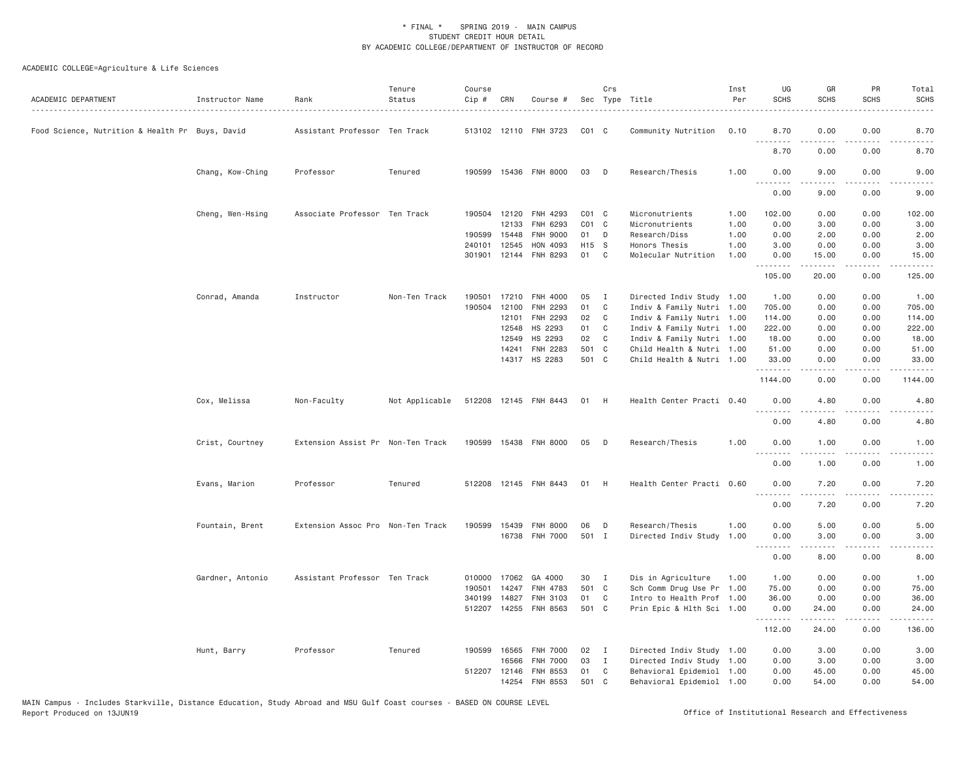| Food Science, Nutrition & Health Pr Buys, David<br>Assistant Professor Ten Track<br>513102 12110 FNH 3723<br>$CO1$ $C$<br>Community Nutrition<br>0.10<br>8.70<br>0.00<br>0.00<br>.<br>8.70<br>0.00<br>0.00<br>190599 15436 FNH 8000<br>Chang, Kow-Ching<br>Tenured<br>03<br>D<br>Research/Thesis<br>1.00<br>0.00<br>9.00<br>0.00<br>Professor<br>.<br>$- - -$<br>.<br>0.00<br>9.00<br>0.00<br>Associate Professor Ten Track<br>$CO1$ $C$<br>Micronutrients<br>102.00<br>0.00<br>0.00<br>Cheng, Wen-Hsing<br>190504 12120<br>FNH 4293<br>1.00<br>12133<br>$CO1$ $C$<br>Micronutrients<br>FNH 6293<br>1.00<br>0.00<br>3.00<br>0.00<br>190599 15448<br>FNH 9000<br>01<br>D<br>Research/Diss<br>1.00<br>0.00<br>2.00<br>0.00<br>H15 S<br>240101<br>12545<br>HON 4093<br>Honors Thesis<br>1.00<br>3.00<br>0.00<br>0.00<br>FNH 8293<br>01<br>$\mathbf{C}$<br>301901<br>12144<br>Molecular Nutrition<br>1.00<br>15.00<br>0.00<br>0.00<br>.<br>.<br>.<br>22222<br>105.00<br>20.00<br>0.00<br>Conrad, Amanda<br>Instructor<br>Non-Ten Track<br>190501<br>17210<br><b>FNH 4000</b><br>05<br>$\mathbf{I}$<br>Directed Indiv Study 1.00<br>1.00<br>0.00<br>0.00<br>1.00<br>01<br>190504<br>12100<br>FNH 2293<br>C<br>Indiv & Family Nutri 1.00<br>705.00<br>0.00<br>0.00<br>705.00<br>02<br>Indiv & Family Nutri 1.00<br>12101<br>FNH 2293<br>C<br>114.00<br>0.00<br>0.00<br>114.00<br>01<br>12548<br>HS 2293<br>C<br>Indiv & Family Nutri 1.00<br>0.00<br>0.00<br>222.00<br>222.00<br>02<br>12549<br>HS 2293<br>C<br>Indiv & Family Nutri 1.00<br>18.00<br>0.00<br>0.00<br>501 C<br>FNH 2283<br>14241<br>Child Health & Nutri 1.00<br>51.00<br>0.00<br>0.00<br>14317 HS 2283<br>501 C<br>Child Health & Nutri 1.00<br>33.00<br>0.00<br>0.00<br>.<br>$   -$<br>-----<br>1144.00<br>0.00<br>0.00<br>Cox, Melissa<br>Not Applicable<br>512208 12145 FNH 8443<br>Health Center Practi 0.40<br>4.80<br>0.00<br>Non-Faculty<br>01<br>- H<br>0.00<br>.<br>$   -$<br>-----<br>$\frac{1}{2}$<br>0.00<br>4.80<br>0.00<br>Crist, Courtney<br>Extension Assist Pr Non-Ten Track<br>190599<br>15438 FNH 8000<br>05<br>Research/Thesis<br>1,00<br>0.00<br>1.00<br>0.00<br>D<br>.<br>.<br>$- - - -$<br>$\frac{1}{2}$<br>0.00<br>1.00<br>0.00<br>0.00<br>Evans, Marion<br>Professor<br>Tenured<br>512208 12145 FNH 8443<br>01<br>H<br>Health Center Practi 0.60<br>0.00<br>7.20<br>.<br>.<br>$- - - -$<br>0.00<br>7.20<br>0.00<br>Fountain, Brent<br>Extension Assoc Pro Non-Ten Track<br>190599 15439<br><b>FNH 8000</b><br>06<br>D<br>Research/Thesis<br>1.00<br>0.00<br>5.00<br>0.00<br>5.00<br>16738 FNH 7000<br>501 I<br>Directed Indiv Study<br>1.00<br>0.00<br>3.00<br>0.00<br>.<br>$\frac{1}{2} \left( \frac{1}{2} \right) \left( \frac{1}{2} \right) \left( \frac{1}{2} \right) \left( \frac{1}{2} \right) \left( \frac{1}{2} \right) \left( \frac{1}{2} \right)$<br>$\sim$ $\sim$ $\sim$ $\sim$<br>$\frac{1}{2} \left( \frac{1}{2} \right) \left( \frac{1}{2} \right) \left( \frac{1}{2} \right) \left( \frac{1}{2} \right) \left( \frac{1}{2} \right)$<br>0.00<br>8.00<br>0.00<br>Gardner, Antonio<br>Assistant Professor Ten Track<br>010000 17062<br>GA 4000<br>30<br>$\mathbf{I}$<br>Dis in Agriculture<br>1.00<br>1.00<br>0.00<br>0.00<br>1.00<br>501 C<br>190501<br>14247<br>FNH 4783<br>Sch Comm Drug Use Pr 1.00<br>75.00<br>0.00<br>0.00<br>75.00<br>340199<br>14827<br>FNH 3103<br>01<br>C <sub>1</sub><br>Intro to Health Prof 1.00<br>36.00<br>0.00<br>0.00<br>36.00<br>512207 14255 FNH 8563<br>501 C<br>Prin Epic & Hlth Sci 1.00<br>24.00<br>0.00<br>0.00<br>.<br>.<br>.<br>.<br>112.00<br>24.00<br>0.00 | ACADEMIC DEPARTMENT | Instructor Name | Rank      | Tenure<br>Status | Course<br>Cip # | CRN   | Course #        |    | Crs | Sec Type Title       | Inst<br>Per | UG<br><b>SCHS</b> | GR<br><b>SCHS</b> | PR<br>SCHS | Total<br><b>SCHS</b> |
|--------------------------------------------------------------------------------------------------------------------------------------------------------------------------------------------------------------------------------------------------------------------------------------------------------------------------------------------------------------------------------------------------------------------------------------------------------------------------------------------------------------------------------------------------------------------------------------------------------------------------------------------------------------------------------------------------------------------------------------------------------------------------------------------------------------------------------------------------------------------------------------------------------------------------------------------------------------------------------------------------------------------------------------------------------------------------------------------------------------------------------------------------------------------------------------------------------------------------------------------------------------------------------------------------------------------------------------------------------------------------------------------------------------------------------------------------------------------------------------------------------------------------------------------------------------------------------------------------------------------------------------------------------------------------------------------------------------------------------------------------------------------------------------------------------------------------------------------------------------------------------------------------------------------------------------------------------------------------------------------------------------------------------------------------------------------------------------------------------------------------------------------------------------------------------------------------------------------------------------------------------------------------------------------------------------------------------------------------------------------------------------------------------------------------------------------------------------------------------------------------------------------------------------------------------------------------------------------------------------------------------------------------------------------------------------------------------------------------------------------------------------------------------------------------------------------------------------------------------------------------------------------------------------------------------------------------------------------------------------------------------------------------------------------------------------------------------------------------------------------------------------------------------------------------------------------------------------------------------------------------------------------------------------------------------------------------------------------------------------------------------------------------------------------------------------------------------------------------------------------------------------------------------------------------------------------------------------------------------|---------------------|-----------------|-----------|------------------|-----------------|-------|-----------------|----|-----|----------------------|-------------|-------------------|-------------------|------------|----------------------|
|                                                                                                                                                                                                                                                                                                                                                                                                                                                                                                                                                                                                                                                                                                                                                                                                                                                                                                                                                                                                                                                                                                                                                                                                                                                                                                                                                                                                                                                                                                                                                                                                                                                                                                                                                                                                                                                                                                                                                                                                                                                                                                                                                                                                                                                                                                                                                                                                                                                                                                                                                                                                                                                                                                                                                                                                                                                                                                                                                                                                                                                                                                                                                                                                                                                                                                                                                                                                                                                                                                                                                                                                        |                     |                 |           |                  |                 |       |                 |    |     |                      |             |                   |                   |            | 8.70                 |
|                                                                                                                                                                                                                                                                                                                                                                                                                                                                                                                                                                                                                                                                                                                                                                                                                                                                                                                                                                                                                                                                                                                                                                                                                                                                                                                                                                                                                                                                                                                                                                                                                                                                                                                                                                                                                                                                                                                                                                                                                                                                                                                                                                                                                                                                                                                                                                                                                                                                                                                                                                                                                                                                                                                                                                                                                                                                                                                                                                                                                                                                                                                                                                                                                                                                                                                                                                                                                                                                                                                                                                                                        |                     |                 |           |                  |                 |       |                 |    |     |                      |             |                   |                   |            | 8.70                 |
|                                                                                                                                                                                                                                                                                                                                                                                                                                                                                                                                                                                                                                                                                                                                                                                                                                                                                                                                                                                                                                                                                                                                                                                                                                                                                                                                                                                                                                                                                                                                                                                                                                                                                                                                                                                                                                                                                                                                                                                                                                                                                                                                                                                                                                                                                                                                                                                                                                                                                                                                                                                                                                                                                                                                                                                                                                                                                                                                                                                                                                                                                                                                                                                                                                                                                                                                                                                                                                                                                                                                                                                                        |                     |                 |           |                  |                 |       |                 |    |     |                      |             |                   |                   |            | 9.00                 |
|                                                                                                                                                                                                                                                                                                                                                                                                                                                                                                                                                                                                                                                                                                                                                                                                                                                                                                                                                                                                                                                                                                                                                                                                                                                                                                                                                                                                                                                                                                                                                                                                                                                                                                                                                                                                                                                                                                                                                                                                                                                                                                                                                                                                                                                                                                                                                                                                                                                                                                                                                                                                                                                                                                                                                                                                                                                                                                                                                                                                                                                                                                                                                                                                                                                                                                                                                                                                                                                                                                                                                                                                        |                     |                 |           |                  |                 |       |                 |    |     |                      |             |                   |                   |            | 9.00                 |
|                                                                                                                                                                                                                                                                                                                                                                                                                                                                                                                                                                                                                                                                                                                                                                                                                                                                                                                                                                                                                                                                                                                                                                                                                                                                                                                                                                                                                                                                                                                                                                                                                                                                                                                                                                                                                                                                                                                                                                                                                                                                                                                                                                                                                                                                                                                                                                                                                                                                                                                                                                                                                                                                                                                                                                                                                                                                                                                                                                                                                                                                                                                                                                                                                                                                                                                                                                                                                                                                                                                                                                                                        |                     |                 |           |                  |                 |       |                 |    |     |                      |             |                   |                   |            | 102.00               |
|                                                                                                                                                                                                                                                                                                                                                                                                                                                                                                                                                                                                                                                                                                                                                                                                                                                                                                                                                                                                                                                                                                                                                                                                                                                                                                                                                                                                                                                                                                                                                                                                                                                                                                                                                                                                                                                                                                                                                                                                                                                                                                                                                                                                                                                                                                                                                                                                                                                                                                                                                                                                                                                                                                                                                                                                                                                                                                                                                                                                                                                                                                                                                                                                                                                                                                                                                                                                                                                                                                                                                                                                        |                     |                 |           |                  |                 |       |                 |    |     |                      |             |                   |                   |            | 3.00                 |
|                                                                                                                                                                                                                                                                                                                                                                                                                                                                                                                                                                                                                                                                                                                                                                                                                                                                                                                                                                                                                                                                                                                                                                                                                                                                                                                                                                                                                                                                                                                                                                                                                                                                                                                                                                                                                                                                                                                                                                                                                                                                                                                                                                                                                                                                                                                                                                                                                                                                                                                                                                                                                                                                                                                                                                                                                                                                                                                                                                                                                                                                                                                                                                                                                                                                                                                                                                                                                                                                                                                                                                                                        |                     |                 |           |                  |                 |       |                 |    |     |                      |             |                   |                   |            | 2.00                 |
|                                                                                                                                                                                                                                                                                                                                                                                                                                                                                                                                                                                                                                                                                                                                                                                                                                                                                                                                                                                                                                                                                                                                                                                                                                                                                                                                                                                                                                                                                                                                                                                                                                                                                                                                                                                                                                                                                                                                                                                                                                                                                                                                                                                                                                                                                                                                                                                                                                                                                                                                                                                                                                                                                                                                                                                                                                                                                                                                                                                                                                                                                                                                                                                                                                                                                                                                                                                                                                                                                                                                                                                                        |                     |                 |           |                  |                 |       |                 |    |     |                      |             |                   |                   |            | 3.00                 |
|                                                                                                                                                                                                                                                                                                                                                                                                                                                                                                                                                                                                                                                                                                                                                                                                                                                                                                                                                                                                                                                                                                                                                                                                                                                                                                                                                                                                                                                                                                                                                                                                                                                                                                                                                                                                                                                                                                                                                                                                                                                                                                                                                                                                                                                                                                                                                                                                                                                                                                                                                                                                                                                                                                                                                                                                                                                                                                                                                                                                                                                                                                                                                                                                                                                                                                                                                                                                                                                                                                                                                                                                        |                     |                 |           |                  |                 |       |                 |    |     |                      |             |                   |                   |            | 15.00                |
|                                                                                                                                                                                                                                                                                                                                                                                                                                                                                                                                                                                                                                                                                                                                                                                                                                                                                                                                                                                                                                                                                                                                                                                                                                                                                                                                                                                                                                                                                                                                                                                                                                                                                                                                                                                                                                                                                                                                                                                                                                                                                                                                                                                                                                                                                                                                                                                                                                                                                                                                                                                                                                                                                                                                                                                                                                                                                                                                                                                                                                                                                                                                                                                                                                                                                                                                                                                                                                                                                                                                                                                                        |                     |                 |           |                  |                 |       |                 |    |     |                      |             |                   |                   |            | 125.00               |
|                                                                                                                                                                                                                                                                                                                                                                                                                                                                                                                                                                                                                                                                                                                                                                                                                                                                                                                                                                                                                                                                                                                                                                                                                                                                                                                                                                                                                                                                                                                                                                                                                                                                                                                                                                                                                                                                                                                                                                                                                                                                                                                                                                                                                                                                                                                                                                                                                                                                                                                                                                                                                                                                                                                                                                                                                                                                                                                                                                                                                                                                                                                                                                                                                                                                                                                                                                                                                                                                                                                                                                                                        |                     |                 |           |                  |                 |       |                 |    |     |                      |             |                   |                   |            |                      |
|                                                                                                                                                                                                                                                                                                                                                                                                                                                                                                                                                                                                                                                                                                                                                                                                                                                                                                                                                                                                                                                                                                                                                                                                                                                                                                                                                                                                                                                                                                                                                                                                                                                                                                                                                                                                                                                                                                                                                                                                                                                                                                                                                                                                                                                                                                                                                                                                                                                                                                                                                                                                                                                                                                                                                                                                                                                                                                                                                                                                                                                                                                                                                                                                                                                                                                                                                                                                                                                                                                                                                                                                        |                     |                 |           |                  |                 |       |                 |    |     |                      |             |                   |                   |            |                      |
|                                                                                                                                                                                                                                                                                                                                                                                                                                                                                                                                                                                                                                                                                                                                                                                                                                                                                                                                                                                                                                                                                                                                                                                                                                                                                                                                                                                                                                                                                                                                                                                                                                                                                                                                                                                                                                                                                                                                                                                                                                                                                                                                                                                                                                                                                                                                                                                                                                                                                                                                                                                                                                                                                                                                                                                                                                                                                                                                                                                                                                                                                                                                                                                                                                                                                                                                                                                                                                                                                                                                                                                                        |                     |                 |           |                  |                 |       |                 |    |     |                      |             |                   |                   |            |                      |
|                                                                                                                                                                                                                                                                                                                                                                                                                                                                                                                                                                                                                                                                                                                                                                                                                                                                                                                                                                                                                                                                                                                                                                                                                                                                                                                                                                                                                                                                                                                                                                                                                                                                                                                                                                                                                                                                                                                                                                                                                                                                                                                                                                                                                                                                                                                                                                                                                                                                                                                                                                                                                                                                                                                                                                                                                                                                                                                                                                                                                                                                                                                                                                                                                                                                                                                                                                                                                                                                                                                                                                                                        |                     |                 |           |                  |                 |       |                 |    |     |                      |             |                   |                   |            |                      |
|                                                                                                                                                                                                                                                                                                                                                                                                                                                                                                                                                                                                                                                                                                                                                                                                                                                                                                                                                                                                                                                                                                                                                                                                                                                                                                                                                                                                                                                                                                                                                                                                                                                                                                                                                                                                                                                                                                                                                                                                                                                                                                                                                                                                                                                                                                                                                                                                                                                                                                                                                                                                                                                                                                                                                                                                                                                                                                                                                                                                                                                                                                                                                                                                                                                                                                                                                                                                                                                                                                                                                                                                        |                     |                 |           |                  |                 |       |                 |    |     |                      |             |                   |                   |            | 18.00                |
|                                                                                                                                                                                                                                                                                                                                                                                                                                                                                                                                                                                                                                                                                                                                                                                                                                                                                                                                                                                                                                                                                                                                                                                                                                                                                                                                                                                                                                                                                                                                                                                                                                                                                                                                                                                                                                                                                                                                                                                                                                                                                                                                                                                                                                                                                                                                                                                                                                                                                                                                                                                                                                                                                                                                                                                                                                                                                                                                                                                                                                                                                                                                                                                                                                                                                                                                                                                                                                                                                                                                                                                                        |                     |                 |           |                  |                 |       |                 |    |     |                      |             |                   |                   |            | 51.00                |
|                                                                                                                                                                                                                                                                                                                                                                                                                                                                                                                                                                                                                                                                                                                                                                                                                                                                                                                                                                                                                                                                                                                                                                                                                                                                                                                                                                                                                                                                                                                                                                                                                                                                                                                                                                                                                                                                                                                                                                                                                                                                                                                                                                                                                                                                                                                                                                                                                                                                                                                                                                                                                                                                                                                                                                                                                                                                                                                                                                                                                                                                                                                                                                                                                                                                                                                                                                                                                                                                                                                                                                                                        |                     |                 |           |                  |                 |       |                 |    |     |                      |             |                   |                   |            | 33.00                |
|                                                                                                                                                                                                                                                                                                                                                                                                                                                                                                                                                                                                                                                                                                                                                                                                                                                                                                                                                                                                                                                                                                                                                                                                                                                                                                                                                                                                                                                                                                                                                                                                                                                                                                                                                                                                                                                                                                                                                                                                                                                                                                                                                                                                                                                                                                                                                                                                                                                                                                                                                                                                                                                                                                                                                                                                                                                                                                                                                                                                                                                                                                                                                                                                                                                                                                                                                                                                                                                                                                                                                                                                        |                     |                 |           |                  |                 |       |                 |    |     |                      |             |                   |                   |            | 1144.00              |
|                                                                                                                                                                                                                                                                                                                                                                                                                                                                                                                                                                                                                                                                                                                                                                                                                                                                                                                                                                                                                                                                                                                                                                                                                                                                                                                                                                                                                                                                                                                                                                                                                                                                                                                                                                                                                                                                                                                                                                                                                                                                                                                                                                                                                                                                                                                                                                                                                                                                                                                                                                                                                                                                                                                                                                                                                                                                                                                                                                                                                                                                                                                                                                                                                                                                                                                                                                                                                                                                                                                                                                                                        |                     |                 |           |                  |                 |       |                 |    |     |                      |             |                   |                   |            | 4.80                 |
|                                                                                                                                                                                                                                                                                                                                                                                                                                                                                                                                                                                                                                                                                                                                                                                                                                                                                                                                                                                                                                                                                                                                                                                                                                                                                                                                                                                                                                                                                                                                                                                                                                                                                                                                                                                                                                                                                                                                                                                                                                                                                                                                                                                                                                                                                                                                                                                                                                                                                                                                                                                                                                                                                                                                                                                                                                                                                                                                                                                                                                                                                                                                                                                                                                                                                                                                                                                                                                                                                                                                                                                                        |                     |                 |           |                  |                 |       |                 |    |     |                      |             |                   |                   |            | 4.80                 |
|                                                                                                                                                                                                                                                                                                                                                                                                                                                                                                                                                                                                                                                                                                                                                                                                                                                                                                                                                                                                                                                                                                                                                                                                                                                                                                                                                                                                                                                                                                                                                                                                                                                                                                                                                                                                                                                                                                                                                                                                                                                                                                                                                                                                                                                                                                                                                                                                                                                                                                                                                                                                                                                                                                                                                                                                                                                                                                                                                                                                                                                                                                                                                                                                                                                                                                                                                                                                                                                                                                                                                                                                        |                     |                 |           |                  |                 |       |                 |    |     |                      |             |                   |                   |            | 1.00                 |
|                                                                                                                                                                                                                                                                                                                                                                                                                                                                                                                                                                                                                                                                                                                                                                                                                                                                                                                                                                                                                                                                                                                                                                                                                                                                                                                                                                                                                                                                                                                                                                                                                                                                                                                                                                                                                                                                                                                                                                                                                                                                                                                                                                                                                                                                                                                                                                                                                                                                                                                                                                                                                                                                                                                                                                                                                                                                                                                                                                                                                                                                                                                                                                                                                                                                                                                                                                                                                                                                                                                                                                                                        |                     |                 |           |                  |                 |       |                 |    |     |                      |             |                   |                   |            | 1.00                 |
|                                                                                                                                                                                                                                                                                                                                                                                                                                                                                                                                                                                                                                                                                                                                                                                                                                                                                                                                                                                                                                                                                                                                                                                                                                                                                                                                                                                                                                                                                                                                                                                                                                                                                                                                                                                                                                                                                                                                                                                                                                                                                                                                                                                                                                                                                                                                                                                                                                                                                                                                                                                                                                                                                                                                                                                                                                                                                                                                                                                                                                                                                                                                                                                                                                                                                                                                                                                                                                                                                                                                                                                                        |                     |                 |           |                  |                 |       |                 |    |     |                      |             |                   |                   |            | 7.20                 |
|                                                                                                                                                                                                                                                                                                                                                                                                                                                                                                                                                                                                                                                                                                                                                                                                                                                                                                                                                                                                                                                                                                                                                                                                                                                                                                                                                                                                                                                                                                                                                                                                                                                                                                                                                                                                                                                                                                                                                                                                                                                                                                                                                                                                                                                                                                                                                                                                                                                                                                                                                                                                                                                                                                                                                                                                                                                                                                                                                                                                                                                                                                                                                                                                                                                                                                                                                                                                                                                                                                                                                                                                        |                     |                 |           |                  |                 |       |                 |    |     |                      |             |                   |                   |            | 7.20                 |
|                                                                                                                                                                                                                                                                                                                                                                                                                                                                                                                                                                                                                                                                                                                                                                                                                                                                                                                                                                                                                                                                                                                                                                                                                                                                                                                                                                                                                                                                                                                                                                                                                                                                                                                                                                                                                                                                                                                                                                                                                                                                                                                                                                                                                                                                                                                                                                                                                                                                                                                                                                                                                                                                                                                                                                                                                                                                                                                                                                                                                                                                                                                                                                                                                                                                                                                                                                                                                                                                                                                                                                                                        |                     |                 |           |                  |                 |       |                 |    |     |                      |             |                   |                   |            |                      |
|                                                                                                                                                                                                                                                                                                                                                                                                                                                                                                                                                                                                                                                                                                                                                                                                                                                                                                                                                                                                                                                                                                                                                                                                                                                                                                                                                                                                                                                                                                                                                                                                                                                                                                                                                                                                                                                                                                                                                                                                                                                                                                                                                                                                                                                                                                                                                                                                                                                                                                                                                                                                                                                                                                                                                                                                                                                                                                                                                                                                                                                                                                                                                                                                                                                                                                                                                                                                                                                                                                                                                                                                        |                     |                 |           |                  |                 |       |                 |    |     |                      |             |                   |                   |            | 3.00                 |
|                                                                                                                                                                                                                                                                                                                                                                                                                                                                                                                                                                                                                                                                                                                                                                                                                                                                                                                                                                                                                                                                                                                                                                                                                                                                                                                                                                                                                                                                                                                                                                                                                                                                                                                                                                                                                                                                                                                                                                                                                                                                                                                                                                                                                                                                                                                                                                                                                                                                                                                                                                                                                                                                                                                                                                                                                                                                                                                                                                                                                                                                                                                                                                                                                                                                                                                                                                                                                                                                                                                                                                                                        |                     |                 |           |                  |                 |       |                 |    |     |                      |             |                   |                   |            | 8.00                 |
|                                                                                                                                                                                                                                                                                                                                                                                                                                                                                                                                                                                                                                                                                                                                                                                                                                                                                                                                                                                                                                                                                                                                                                                                                                                                                                                                                                                                                                                                                                                                                                                                                                                                                                                                                                                                                                                                                                                                                                                                                                                                                                                                                                                                                                                                                                                                                                                                                                                                                                                                                                                                                                                                                                                                                                                                                                                                                                                                                                                                                                                                                                                                                                                                                                                                                                                                                                                                                                                                                                                                                                                                        |                     |                 |           |                  |                 |       |                 |    |     |                      |             |                   |                   |            |                      |
|                                                                                                                                                                                                                                                                                                                                                                                                                                                                                                                                                                                                                                                                                                                                                                                                                                                                                                                                                                                                                                                                                                                                                                                                                                                                                                                                                                                                                                                                                                                                                                                                                                                                                                                                                                                                                                                                                                                                                                                                                                                                                                                                                                                                                                                                                                                                                                                                                                                                                                                                                                                                                                                                                                                                                                                                                                                                                                                                                                                                                                                                                                                                                                                                                                                                                                                                                                                                                                                                                                                                                                                                        |                     |                 |           |                  |                 |       |                 |    |     |                      |             |                   |                   |            |                      |
|                                                                                                                                                                                                                                                                                                                                                                                                                                                                                                                                                                                                                                                                                                                                                                                                                                                                                                                                                                                                                                                                                                                                                                                                                                                                                                                                                                                                                                                                                                                                                                                                                                                                                                                                                                                                                                                                                                                                                                                                                                                                                                                                                                                                                                                                                                                                                                                                                                                                                                                                                                                                                                                                                                                                                                                                                                                                                                                                                                                                                                                                                                                                                                                                                                                                                                                                                                                                                                                                                                                                                                                                        |                     |                 |           |                  |                 |       |                 |    |     |                      |             |                   |                   |            |                      |
|                                                                                                                                                                                                                                                                                                                                                                                                                                                                                                                                                                                                                                                                                                                                                                                                                                                                                                                                                                                                                                                                                                                                                                                                                                                                                                                                                                                                                                                                                                                                                                                                                                                                                                                                                                                                                                                                                                                                                                                                                                                                                                                                                                                                                                                                                                                                                                                                                                                                                                                                                                                                                                                                                                                                                                                                                                                                                                                                                                                                                                                                                                                                                                                                                                                                                                                                                                                                                                                                                                                                                                                                        |                     |                 |           |                  |                 |       |                 |    |     |                      |             |                   |                   |            | 24.00                |
|                                                                                                                                                                                                                                                                                                                                                                                                                                                                                                                                                                                                                                                                                                                                                                                                                                                                                                                                                                                                                                                                                                                                                                                                                                                                                                                                                                                                                                                                                                                                                                                                                                                                                                                                                                                                                                                                                                                                                                                                                                                                                                                                                                                                                                                                                                                                                                                                                                                                                                                                                                                                                                                                                                                                                                                                                                                                                                                                                                                                                                                                                                                                                                                                                                                                                                                                                                                                                                                                                                                                                                                                        |                     |                 |           |                  |                 |       |                 |    |     |                      |             |                   |                   |            | 136.00               |
|                                                                                                                                                                                                                                                                                                                                                                                                                                                                                                                                                                                                                                                                                                                                                                                                                                                                                                                                                                                                                                                                                                                                                                                                                                                                                                                                                                                                                                                                                                                                                                                                                                                                                                                                                                                                                                                                                                                                                                                                                                                                                                                                                                                                                                                                                                                                                                                                                                                                                                                                                                                                                                                                                                                                                                                                                                                                                                                                                                                                                                                                                                                                                                                                                                                                                                                                                                                                                                                                                                                                                                                                        |                     | Hunt, Barry     | Professor | Tenured          | 190599          | 16565 | <b>FNH 7000</b> | 02 | I   | Directed Indiv Study | 1.00        | 0.00              | 3.00              | 0.00       | 3.00                 |
| 03<br>16566<br><b>FNH 7000</b><br>$\mathbf{I}$<br>Directed Indiv Study 1.00<br>0.00<br>3.00<br>0.00                                                                                                                                                                                                                                                                                                                                                                                                                                                                                                                                                                                                                                                                                                                                                                                                                                                                                                                                                                                                                                                                                                                                                                                                                                                                                                                                                                                                                                                                                                                                                                                                                                                                                                                                                                                                                                                                                                                                                                                                                                                                                                                                                                                                                                                                                                                                                                                                                                                                                                                                                                                                                                                                                                                                                                                                                                                                                                                                                                                                                                                                                                                                                                                                                                                                                                                                                                                                                                                                                                    |                     |                 |           |                  |                 |       |                 |    |     |                      |             |                   |                   |            | 3.00                 |
| 512207<br>12146<br>FNH 8553<br>01<br>Behavioral Epidemiol 1.00<br>0.00<br>45.00<br>0.00<br>C                                                                                                                                                                                                                                                                                                                                                                                                                                                                                                                                                                                                                                                                                                                                                                                                                                                                                                                                                                                                                                                                                                                                                                                                                                                                                                                                                                                                                                                                                                                                                                                                                                                                                                                                                                                                                                                                                                                                                                                                                                                                                                                                                                                                                                                                                                                                                                                                                                                                                                                                                                                                                                                                                                                                                                                                                                                                                                                                                                                                                                                                                                                                                                                                                                                                                                                                                                                                                                                                                                           |                     |                 |           |                  |                 |       |                 |    |     |                      |             |                   |                   |            | 45.00                |
| 14254 FNH 8553<br>501<br>$\mathbf{C}$<br>Behavioral Epidemiol 1.00<br>0.00<br>54.00<br>0.00                                                                                                                                                                                                                                                                                                                                                                                                                                                                                                                                                                                                                                                                                                                                                                                                                                                                                                                                                                                                                                                                                                                                                                                                                                                                                                                                                                                                                                                                                                                                                                                                                                                                                                                                                                                                                                                                                                                                                                                                                                                                                                                                                                                                                                                                                                                                                                                                                                                                                                                                                                                                                                                                                                                                                                                                                                                                                                                                                                                                                                                                                                                                                                                                                                                                                                                                                                                                                                                                                                            |                     |                 |           |                  |                 |       |                 |    |     |                      |             |                   |                   |            | 54.00                |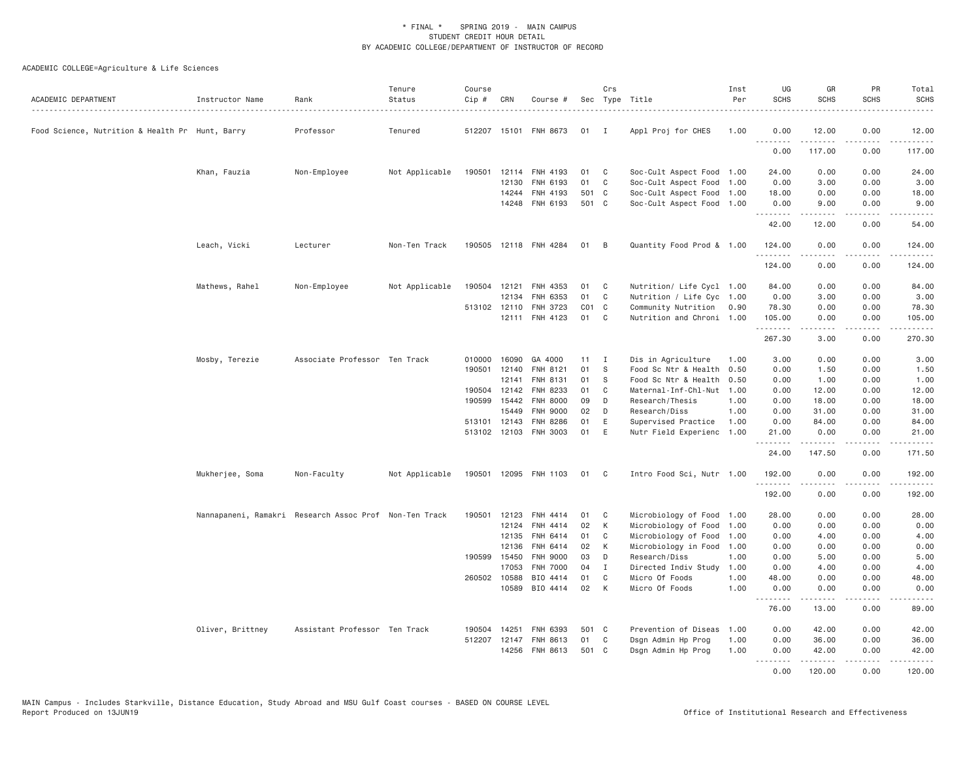| ACADEMIC DEPARTMENT                             | Instructor Name  | Rank                                                   | Tenure<br>Status | Course<br>Cip # | CRN          | Course #                          |             | Crs            | Sec Type Title                           | Inst<br>Per  | UG<br><b>SCHS</b>   | GR<br><b>SCHS</b>                                                                                                                                                                       | PR<br><b>SCHS</b>                                                                                                                 | Total<br><b>SCHS</b>                                                                                                                           |
|-------------------------------------------------|------------------|--------------------------------------------------------|------------------|-----------------|--------------|-----------------------------------|-------------|----------------|------------------------------------------|--------------|---------------------|-----------------------------------------------------------------------------------------------------------------------------------------------------------------------------------------|-----------------------------------------------------------------------------------------------------------------------------------|------------------------------------------------------------------------------------------------------------------------------------------------|
| Food Science, Nutrition & Health Pr Hunt, Barry |                  | Professor                                              | Tenured          |                 |              | 512207 15101 FNH 8673             | 01          | $\blacksquare$ | Appl Proj for CHES                       | 1.00         | 0.00                | 12.00                                                                                                                                                                                   | 0.00                                                                                                                              | 12.00                                                                                                                                          |
|                                                 |                  |                                                        |                  |                 |              |                                   |             |                |                                          |              | .<br>0.00           | .<br>117.00                                                                                                                                                                             | $\sim$ $\sim$ $\sim$<br>0.00                                                                                                      | $\mathcal{L}^{\mathcal{A}}\left( \mathcal{A}^{\mathcal{A}}\right) =\mathcal{L}^{\mathcal{A}}\left( \mathcal{A}^{\mathcal{A}}\right)$<br>117.00 |
|                                                 | Khan, Fauzia     | Non-Employee                                           | Not Applicable   |                 |              | 190501 12114 FNH 4193             | 01          | C              | Soc-Cult Aspect Food                     | 1.00         | 24.00               | 0.00                                                                                                                                                                                    | 0.00                                                                                                                              | 24.00                                                                                                                                          |
|                                                 |                  |                                                        |                  |                 | 12130        | FNH 6193                          | 01          | C              | Soc-Cult Aspect Food                     | 1.00         | 0.00                | 3.00                                                                                                                                                                                    | 0.00                                                                                                                              | 3.00                                                                                                                                           |
|                                                 |                  |                                                        |                  |                 | 14244        | FNH 4193                          | 501 C       |                | Soc-Cult Aspect Food 1.00                |              | 18.00               | 0.00                                                                                                                                                                                    | 0.00                                                                                                                              | 18.00                                                                                                                                          |
|                                                 |                  |                                                        |                  |                 |              | 14248 FNH 6193                    | 501 C       |                | Soc-Cult Aspect Food 1.00                |              | 0.00<br>.           | 9.00                                                                                                                                                                                    | 0.00                                                                                                                              | 9.00                                                                                                                                           |
|                                                 |                  |                                                        |                  |                 |              |                                   |             |                |                                          |              | 42.00               | 12.00                                                                                                                                                                                   | 0.00                                                                                                                              | 54.00                                                                                                                                          |
|                                                 | Leach, Vicki     | Lecturer                                               | Non-Ten Track    |                 |              | 190505 12118 FNH 4284             | 01          | - B            | Quantity Food Prod & 1.00                |              | 124.00<br>.         | 0.00<br>$\frac{1}{2} \left( \frac{1}{2} \right) \left( \frac{1}{2} \right) \left( \frac{1}{2} \right) \left( \frac{1}{2} \right) \left( \frac{1}{2} \right)$                            | 0.00<br>.                                                                                                                         | 124.00<br>$\begin{array}{cccccccccc} \bullet & \bullet & \bullet & \bullet & \bullet & \bullet & \bullet \end{array}$                          |
|                                                 |                  |                                                        |                  |                 |              |                                   |             |                |                                          |              | 124.00              | 0.00                                                                                                                                                                                    | 0.00                                                                                                                              | 124.00                                                                                                                                         |
|                                                 | Mathews, Rahel   | Non-Employee                                           | Not Applicable   | 190504 12121    |              | FNH 4353                          | 01          | C              | Nutrition/ Life Cycl 1.00                |              | 84.00               | 0.00                                                                                                                                                                                    | 0.00                                                                                                                              | 84.00                                                                                                                                          |
|                                                 |                  |                                                        |                  |                 | 12134        | FNH 6353                          | 01          | C              | Nutrition / Life Cyc 1.00                |              | 0.00                | 3.00                                                                                                                                                                                    | 0.00                                                                                                                              | 3.00                                                                                                                                           |
|                                                 |                  |                                                        |                  |                 | 513102 12110 | FNH 3723                          | $CO1$ C     |                | Community Nutrition                      | 0.90         | 78.30               | 0.00                                                                                                                                                                                    | 0.00                                                                                                                              | 78.30                                                                                                                                          |
|                                                 |                  |                                                        |                  |                 | 12111        | FNH 4123                          | 01          | C              | Nutrition and Chroni 1.00                |              | 105.00<br>.         | 0.00<br>.                                                                                                                                                                               | 0.00<br>$\frac{1}{2} \left( \frac{1}{2} \right) \left( \frac{1}{2} \right) \left( \frac{1}{2} \right) \left( \frac{1}{2} \right)$ | 105.00<br>.                                                                                                                                    |
|                                                 |                  |                                                        |                  |                 |              |                                   |             |                |                                          |              | 267.30              | 3.00                                                                                                                                                                                    | 0.00                                                                                                                              | 270.30                                                                                                                                         |
|                                                 | Mosby, Terezie   | Associate Professor Ten Track                          |                  |                 | 010000 16090 | GA 4000                           | 11          | $\blacksquare$ | Dis in Agriculture                       | 1.00         | 3.00                | 0.00                                                                                                                                                                                    | 0.00                                                                                                                              | 3.00                                                                                                                                           |
|                                                 |                  |                                                        |                  |                 | 190501 12140 | FNH 8121                          | 01          | S              | Food Sc Ntr & Health                     | 0.50         | 0.00                | 1.50                                                                                                                                                                                    | 0.00                                                                                                                              | 1.50                                                                                                                                           |
|                                                 |                  |                                                        |                  |                 | 12141        | FNH 8131                          | 01          | S              | Food Sc Ntr & Health                     | 0.50         | 0.00                | 1.00                                                                                                                                                                                    | 0.00                                                                                                                              | 1.00                                                                                                                                           |
|                                                 |                  |                                                        |                  |                 | 190504 12142 | FNH 8233                          | 01          | C              | Maternal-Inf-Chl-Nut                     | 1.00         | 0.00                | 12.00                                                                                                                                                                                   | 0.00                                                                                                                              | 12.00                                                                                                                                          |
|                                                 |                  |                                                        |                  |                 | 190599 15442 | <b>FNH 8000</b>                   | 09          | D              | Research/Thesis                          | 1.00         | 0.00                | 18.00                                                                                                                                                                                   | 0.00                                                                                                                              | 18.00                                                                                                                                          |
|                                                 |                  |                                                        |                  |                 | 15449        | <b>FNH 9000</b>                   | 02          | D              | Research/Diss                            | 1.00         | 0.00                | 31.00                                                                                                                                                                                   | 0.00                                                                                                                              | 31.00                                                                                                                                          |
|                                                 |                  |                                                        |                  |                 | 513101 12143 | FNH 8286                          | 01          | E              | Supervised Practice                      | 1.00         | 0.00                | 84.00                                                                                                                                                                                   | 0.00                                                                                                                              | 84.00                                                                                                                                          |
|                                                 |                  |                                                        |                  |                 |              | 513102 12103 FNH 3003             | 01          | E              | Nutr Field Experienc                     | 1.00         | 21.00<br>. <b>.</b> | 0.00<br>.                                                                                                                                                                               | 0.00<br>.                                                                                                                         | 21.00<br><u>.</u>                                                                                                                              |
|                                                 |                  |                                                        |                  |                 |              |                                   |             |                |                                          |              | 24.00               | 147.50                                                                                                                                                                                  | 0.00                                                                                                                              | 171.50                                                                                                                                         |
|                                                 | Mukherjee, Soma  | Non-Faculty                                            | Not Applicable   |                 |              | 190501 12095 FNH 1103             | 01 C        |                | Intro Food Sci, Nutr 1.00                |              | 192.00<br>.         | 0.00<br>$\frac{1}{2} \left( \frac{1}{2} \right) \left( \frac{1}{2} \right) \left( \frac{1}{2} \right) \left( \frac{1}{2} \right) \left( \frac{1}{2} \right) \left( \frac{1}{2} \right)$ | 0.00<br>.                                                                                                                         | 192.00<br>.                                                                                                                                    |
|                                                 |                  |                                                        |                  |                 |              |                                   |             |                |                                          |              | 192.00              | 0.00                                                                                                                                                                                    | 0.00                                                                                                                              | 192.00                                                                                                                                         |
|                                                 |                  | Nannapaneni, Ramakri Research Assoc Prof Non-Ten Track |                  |                 | 190501 12123 | FNH 4414                          | 01          | C              | Microbiology of Food 1.00                |              | 28.00               | 0.00                                                                                                                                                                                    | 0.00                                                                                                                              | 28.00                                                                                                                                          |
|                                                 |                  |                                                        |                  |                 | 12124        | <b>FNH 4414</b>                   | 02          | K              | Microbiology of Food                     | 1.00         | 0.00                | 0.00                                                                                                                                                                                    | 0.00                                                                                                                              | 0.00                                                                                                                                           |
|                                                 |                  |                                                        |                  |                 | 12135        | FNH 6414                          | 01          | C              | Microbiology of Food                     | 1.00         | 0.00                | 4.00                                                                                                                                                                                    | 0.00                                                                                                                              | 4.00                                                                                                                                           |
|                                                 |                  |                                                        |                  |                 | 12136        | FNH 6414                          | 02          | К              | Microbiology in Food                     | 1.00         | 0.00                | 0.00                                                                                                                                                                                    | 0.00                                                                                                                              | 0.00                                                                                                                                           |
|                                                 |                  |                                                        |                  |                 | 190599 15450 | <b>FNH 9000</b>                   | 03          | D              | Research/Diss                            | 1.00         | 0.00                | 5.00                                                                                                                                                                                    | 0.00                                                                                                                              | 5.00                                                                                                                                           |
|                                                 |                  |                                                        |                  |                 | 17053        | FNH 7000                          | 04          | Ι              | Directed Indiv Study                     | 1.00         | 0.00                | 4.00                                                                                                                                                                                    | 0.00                                                                                                                              | 4.00                                                                                                                                           |
|                                                 |                  |                                                        |                  |                 | 260502 10588 | BIO 4414                          | 01          | C              | Micro Of Foods                           | 1.00         | 48.00               | 0.00                                                                                                                                                                                    | 0.00                                                                                                                              | 48.00                                                                                                                                          |
|                                                 |                  |                                                        |                  |                 | 10589        | BIO 4414                          | 02          | K              | Micro Of Foods                           | 1.00         | 0.00<br>.           | 0.00                                                                                                                                                                                    | 0.00                                                                                                                              | 0.00                                                                                                                                           |
|                                                 |                  |                                                        |                  |                 |              |                                   |             |                |                                          |              | 76.00               | 13.00                                                                                                                                                                                   | 0.00                                                                                                                              | 89.00                                                                                                                                          |
|                                                 | Oliver, Brittney | Assistant Professor Ten Track                          |                  |                 | 190504 14251 | FNH 6393                          | 501 C       |                | Prevention of Diseas                     | 1.00         | 0.00                | 42.00                                                                                                                                                                                   | 0.00                                                                                                                              | 42.00                                                                                                                                          |
|                                                 |                  |                                                        |                  |                 | 14256        | 512207 12147 FNH 8613<br>FNH 8613 | 01<br>501 C | $\mathsf{C}$   | Dsgn Admin Hp Prog<br>Dsgn Admin Hp Prog | 1.00<br>1.00 | 0.00<br>0.00        | 36.00<br>42.00                                                                                                                                                                          | 0.00<br>0.00                                                                                                                      | 36.00<br>42.00                                                                                                                                 |
|                                                 |                  |                                                        |                  |                 |              |                                   |             |                |                                          |              | .<br>0.00           | 120,00                                                                                                                                                                                  | 0.00                                                                                                                              | 120,00                                                                                                                                         |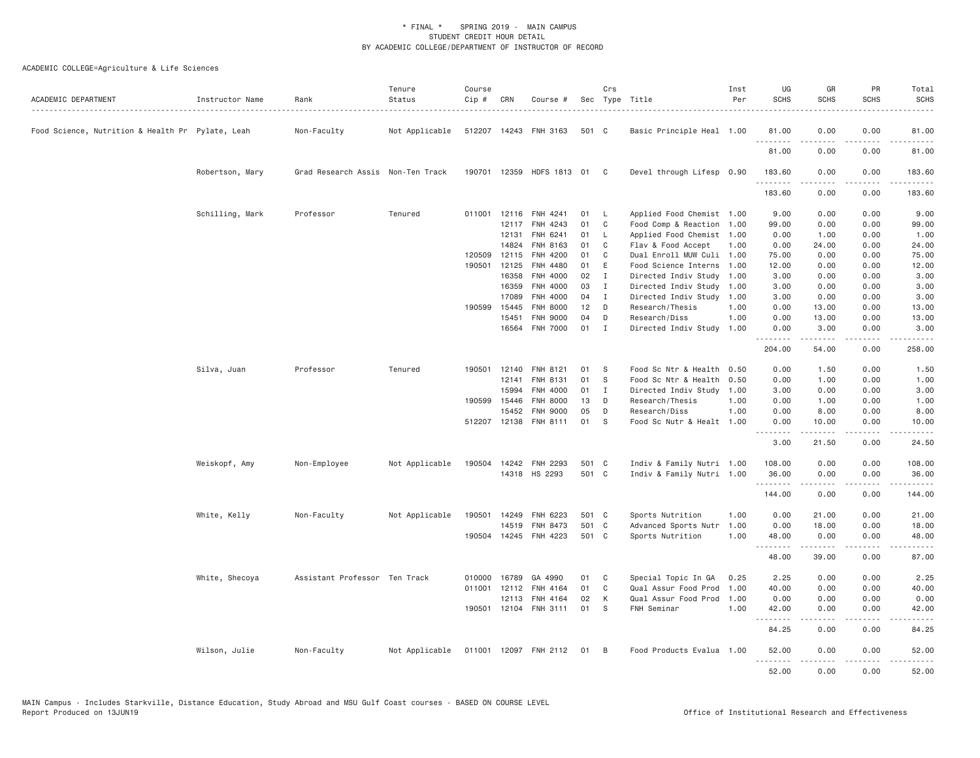| ACADEMIC DEPARTMENT                              | Instructor Name | Rank                              | Tenure<br>Status | Course<br>Cip # | CRN            | Course #                  |          | Crs               | Sec Type Title                               | Inst<br>Per  | UG<br><b>SCHS</b>    | GR<br><b>SCHS</b>   | PR<br><b>SCHS</b>     | Total<br><b>SCHS</b> |
|--------------------------------------------------|-----------------|-----------------------------------|------------------|-----------------|----------------|---------------------------|----------|-------------------|----------------------------------------------|--------------|----------------------|---------------------|-----------------------|----------------------|
| Food Science, Nutrition & Health Pr Pylate, Leah |                 | Non-Faculty                       | Not Applicable   |                 |                | 512207 14243 FNH 3163     | 501 C    |                   | Basic Principle Heal 1.00                    |              | 81.00<br>. <b>.</b>  | 0.00<br>.           | 0.00<br>$\frac{1}{2}$ | 81.00<br>.           |
|                                                  |                 |                                   |                  |                 |                |                           |          |                   |                                              |              | 81.00                | 0.00                | 0.00                  | 81.00                |
|                                                  | Robertson, Mary | Grad Research Assis Non-Ten Track |                  |                 |                | 190701 12359 HDFS 1813 01 |          | C <sub>c</sub>    | Devel through Lifesp 0.90                    |              | 183.60<br>. <b>.</b> | 0.00<br>.           | 0.00<br>.             | 183.60<br>.          |
|                                                  |                 |                                   |                  |                 |                |                           |          |                   |                                              |              | 183.60               | 0.00                | 0.00                  | 183.60               |
|                                                  | Schilling, Mark | Professor                         | Tenured          | 011001          | 12116          | FNH 4241                  | 01       | L                 | Applied Food Chemist 1.00                    |              | 9.00                 | 0.00                | 0.00                  | 9.00                 |
|                                                  |                 |                                   |                  |                 | 12117          | FNH 4243                  | 01       | C                 | Food Comp & Reaction                         | 1.00         | 99.00                | 0.00                | 0.00                  | 99.00                |
|                                                  |                 |                                   |                  |                 | 12131          | FNH 6241                  | 01       | L                 | Applied Food Chemist                         | 1.00         | 0.00                 | 1.00                | 0.00                  | 1.00                 |
|                                                  |                 |                                   |                  |                 | 14824          | FNH 8163                  | 01       | C                 | Flav & Food Accept                           | 1.00         | 0.00                 | 24.00               | 0.00                  | 24.00                |
|                                                  |                 |                                   |                  | 120509          | 12115          | FNH 4200                  | 01       | C                 | Dual Enroll MUW Culi                         | 1.00         | 75.00                | 0.00                | 0.00                  | 75.00                |
|                                                  |                 |                                   |                  | 190501          | 12125          | FNH 4480                  | 01       | E                 | Food Science Interns                         | 1.00         | 12.00                | 0.00                | 0.00                  | 12.00                |
|                                                  |                 |                                   |                  |                 | 16358          | FNH 4000<br>FNH 4000      | 02<br>03 | $\mathbf{I}$      | Directed Indiv Study                         | 1.00         | 3.00<br>3.00         | 0.00                | 0.00                  | 3.00                 |
|                                                  |                 |                                   |                  |                 | 16359<br>17089 | FNH 4000                  | 04       | $\mathbf{I}$<br>I | Directed Indiv Study<br>Directed Indiv Study | 1.00<br>1.00 | 3.00                 | 0.00<br>0.00        | 0.00<br>0.00          | 3.00<br>3.00         |
|                                                  |                 |                                   |                  | 190599          | 15445          | FNH 8000                  | 12       | D                 | Research/Thesis                              | 1.00         | 0.00                 | 13.00               | 0.00                  | 13.00                |
|                                                  |                 |                                   |                  |                 | 15451          | <b>FNH 9000</b>           | 04       | D                 | Research/Diss                                | 1.00         | 0.00                 | 13.00               | 0.00                  | 13.00                |
|                                                  |                 |                                   |                  |                 | 16564          | <b>FNH 7000</b>           | 01       | $\mathbf{I}$      | Directed Indiv Study                         | 1.00         | 0.00                 | 3.00                | 0.00                  | 3.00                 |
|                                                  |                 |                                   |                  |                 |                |                           |          |                   |                                              |              | <u>.</u><br>204.00   | -----<br>54.00      | .<br>0.00             | .<br>258.00          |
|                                                  |                 |                                   |                  |                 |                |                           |          |                   |                                              |              |                      |                     |                       |                      |
|                                                  | Silva, Juan     | Professor                         | Tenured          | 190501          | 12140          | <b>FNH 8121</b>           | 01       | S                 | Food Sc Ntr & Health 0.50                    |              | 0.00                 | 1.50                | 0.00                  | 1.50                 |
|                                                  |                 |                                   |                  |                 | 12141          | FNH 8131                  | 01       | S                 | Food Sc Ntr & Health                         | 0.50         | 0.00                 | 1.00                | 0.00                  | 1.00                 |
|                                                  |                 |                                   |                  |                 | 15994          | FNH 4000                  | 01       | <b>I</b>          | Directed Indiv Study                         | 1.00         | 3.00                 | 0.00                | 0.00                  | 3.00                 |
|                                                  |                 |                                   |                  | 190599          | 15446          | FNH 8000                  | 13       | D                 | Research/Thesis                              | 1.00         | 0.00                 | 1.00                | 0.00                  | 1.00                 |
|                                                  |                 |                                   |                  |                 | 15452          | <b>FNH 9000</b>           | 05       | D                 | Research/Diss                                | 1.00         | 0.00                 | 8.00                | 0.00                  | 8.00                 |
|                                                  |                 |                                   |                  |                 | 512207 12138   | FNH 8111                  | 01       | S                 | Food Sc Nutr & Healt 1.00                    |              | 0.00<br>.            | 10.00<br><u>.</u>   | 0.00<br>$   -$        | 10.00<br>.           |
|                                                  |                 |                                   |                  |                 |                |                           |          |                   |                                              |              | 3.00                 | 21.50               | 0.00                  | 24.50                |
|                                                  | Weiskopf, Amy   | Non-Employee                      | Not Applicable   | 190504          | 14242          | FNH 2293                  | 501 C    |                   | Indiv & Family Nutri 1.00                    |              | 108.00               | 0.00                | 0.00                  | 108.00               |
|                                                  |                 |                                   |                  |                 |                | 14318 HS 2293             | 501 C    |                   | Indiv & Family Nutri 1.00                    |              | 36.00                | 0.00                | 0.00                  | 36.00                |
|                                                  |                 |                                   |                  |                 |                |                           |          |                   |                                              |              | .<br>144.00          | 0.00                | .<br>0.00             | 144.00               |
|                                                  | White, Kelly    | Non-Faculty                       | Not Applicable   | 190501          | 14249          | FNH 6223                  | 501 C    |                   | Sports Nutrition                             | 1.00         | 0.00                 | 21.00               | 0.00                  | 21.00                |
|                                                  |                 |                                   |                  |                 | 14519          | <b>FNH 8473</b>           | 501 C    |                   | Advanced Sports Nutr                         | 1.00         | 0.00                 | 18.00               | 0.00                  | 18.00                |
|                                                  |                 |                                   |                  |                 |                | 190504 14245 FNH 4223     | 501 C    |                   | Sports Nutrition                             | 1.00         | 48.00                | 0.00                | 0.00                  | 48.00                |
|                                                  |                 |                                   |                  |                 |                |                           |          |                   |                                              |              | <u>.</u><br>48.00    | .<br>39.00          | .<br>0.00             | .<br>87.00           |
|                                                  | White, Shecoya  | Assistant Professor Ten Track     |                  | 010000          | 16789          | GA 4990                   | 01       | C                 | Special Topic In GA                          | 0.25         | 2.25                 | 0.00                | 0.00                  | 2.25                 |
|                                                  |                 |                                   |                  | 011001          | 12112          | FNH 4164                  | 01       | C                 | Qual Assur Food Prod                         | 1,00         | 40.00                | 0.00                | 0.00                  | 40.00                |
|                                                  |                 |                                   |                  |                 | 12113          | FNH 4164                  | 02       | К                 | Qual Assur Food Prod                         | 1.00         | 0.00                 | 0.00                | 0.00                  | 0.00                 |
|                                                  |                 |                                   |                  |                 |                | 190501 12104 FNH 3111     | 01       | S                 | FNH Seminar                                  | 1.00         | 42.00                | 0.00                | 0.00                  | 42.00                |
|                                                  |                 |                                   |                  |                 |                |                           |          |                   |                                              |              | <u>.</u><br>84.25    | 0.00                | $   -$<br>0.00        | 84.25                |
|                                                  | Wilson, Julie   | Non-Faculty                       | Not Applicable   |                 |                | 011001 12097 FNH 2112     | 01       | $\overline{B}$    | Food Products Evalua 1.00                    |              | 52.00<br>.           | 0.00<br>$- - - - -$ | 0.00<br>.             | 52.00<br><u>.</u>    |
|                                                  |                 |                                   |                  |                 |                |                           |          |                   |                                              |              | 52.00                | 0.00                | 0.00                  | 52.00                |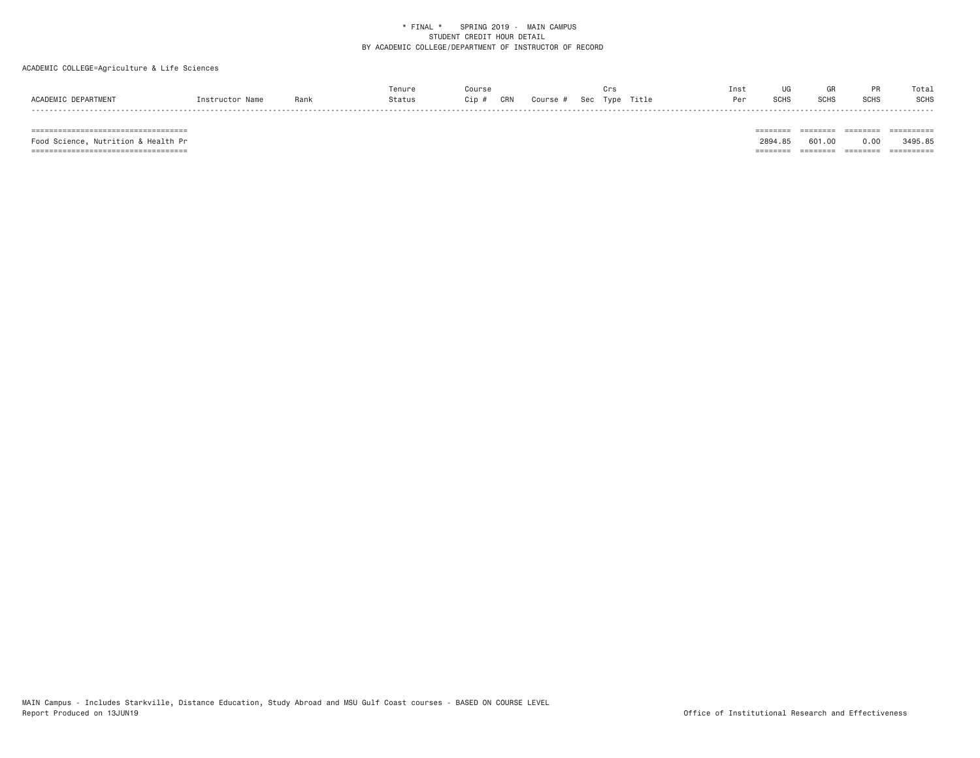# ACADEMIC COLLEGE=Agriculture & Life Sciences

|                     |                 |      | Tenure | ourse:     |        |             | Inst         |                          |               |             | Tota.       |
|---------------------|-----------------|------|--------|------------|--------|-------------|--------------|--------------------------|---------------|-------------|-------------|
| ACADEMIC DEPARTMENT | Instructor Name | Ranl | Status | CRN<br>Cip | Course | Sec<br>Type | Title<br>Dor | C <sub>CLC</sub><br>э∪пс | SCHS<br>יווטט | <b>SCHS</b> | <b>SCHS</b> |
|                     |                 |      |        |            |        |             |              |                          |               |             |             |

 =================================== ======== ======== ======== ========== Food Science, Nutrition & Health Pr 2894.85 601.00 0.00 3495.85 =================================== ======== ======== ======== ==========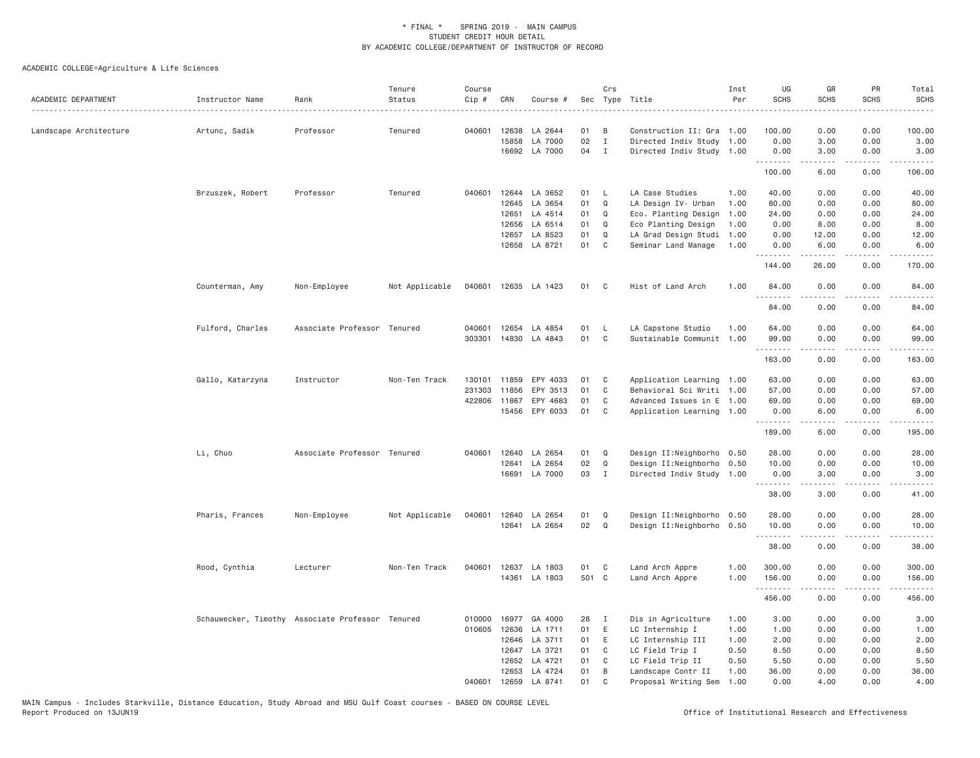| ACADEMIC DEPARTMENT    | Instructor Name                                  | Rank                        | Tenure<br>Status | Course<br>Cip # | CRN          | Course #             | Sec   | Crs            | Type Title                | Inst<br>Per | UG<br><b>SCHS</b> | GR<br><b>SCHS</b>                                                                                                                                            | PR<br><b>SCHS</b>                   | Total<br><b>SCHS</b>                                                                                                                                           |
|------------------------|--------------------------------------------------|-----------------------------|------------------|-----------------|--------------|----------------------|-------|----------------|---------------------------|-------------|-------------------|--------------------------------------------------------------------------------------------------------------------------------------------------------------|-------------------------------------|----------------------------------------------------------------------------------------------------------------------------------------------------------------|
| Landscape Architecture | Artunc, Sadik                                    | Professor                   | Tenured          | 040601          | 12638        | LA 2644              | 01    | B              | Construction II: Gra      | 1.00        | 100,00            | 0.00                                                                                                                                                         | 0.00                                | 100.00                                                                                                                                                         |
|                        |                                                  |                             |                  |                 | 15858        | LA 7000              | 02    | $\mathbf{I}$   | Directed Indiv Study 1.00 |             | 0.00              | 3.00                                                                                                                                                         | 0.00                                | 3.00                                                                                                                                                           |
|                        |                                                  |                             |                  |                 |              | 16692 LA 7000        | 04    | $\mathbf{I}$   | Directed Indiv Study 1.00 |             | 0.00<br>.         | 3.00<br>-----                                                                                                                                                | 0.00<br>.                           | 3.00<br>.                                                                                                                                                      |
|                        |                                                  |                             |                  |                 |              |                      |       |                |                           |             | 100.00            | 6.00                                                                                                                                                         | 0.00                                | 106.00                                                                                                                                                         |
|                        | Brzuszek, Robert                                 | Professor                   | Tenured          | 040601          | 12644        | LA 3652              | 01    | $\mathsf{L}$   | LA Case Studies           | 1,00        | 40.00             | 0.00                                                                                                                                                         | 0.00                                | 40.00                                                                                                                                                          |
|                        |                                                  |                             |                  |                 | 12645        | LA 3654              | 01    | Q              | LA Design IV- Urban       | 1.00        | 80.00             | 0.00                                                                                                                                                         | 0.00                                | 80.00                                                                                                                                                          |
|                        |                                                  |                             |                  |                 | 12651        | LA 4514              | 01    | Q              | Eco. Planting Design      | 1.00        | 24.00             | 0.00                                                                                                                                                         | 0.00                                | 24.00                                                                                                                                                          |
|                        |                                                  |                             |                  |                 | 12656        | LA 6514              | 01    | Q              | Eco Planting Design       | 1.00        | 0.00              | 8.00                                                                                                                                                         | 0.00                                | 8.00                                                                                                                                                           |
|                        |                                                  |                             |                  |                 | 12657        | LA 8523              | 01    | Q              | LA Grad Design Studi      | 1.00        | 0.00              | 12.00                                                                                                                                                        | 0.00                                | 12.00                                                                                                                                                          |
|                        |                                                  |                             |                  |                 |              | 12658 LA 8721        | 01    | C              | Seminar Land Manage       | 1.00        | 0.00<br>.         | 6.00                                                                                                                                                         | 0.00                                | 6.00<br>.                                                                                                                                                      |
|                        |                                                  |                             |                  |                 |              |                      |       |                |                           |             | 144.00            | 26.00                                                                                                                                                        | 0.00                                | 170.00                                                                                                                                                         |
|                        | Counterman, Amy                                  | Non-Employee                | Not Applicable   |                 |              | 040601 12635 LA 1423 | 01    | C <sub>c</sub> | Hist of Land Arch         | 1.00        | 84.00<br>.        | 0.00                                                                                                                                                         | 0.00<br>$- - - -$                   | 84.00<br>$\frac{1}{2} \left( \frac{1}{2} \right) \left( \frac{1}{2} \right) \left( \frac{1}{2} \right) \left( \frac{1}{2} \right)$                             |
|                        |                                                  |                             |                  |                 |              |                      |       |                |                           |             | 84.00             | 0.00                                                                                                                                                         | 0.00                                | 84.00                                                                                                                                                          |
|                        | Fulford, Charles                                 | Associate Professor Tenured |                  | 040601          | 12654        | LA 4854              | 01    | L              | LA Capstone Studio        | 1.00        | 64.00             | 0.00                                                                                                                                                         | 0.00                                | 64.00                                                                                                                                                          |
|                        |                                                  |                             |                  | 303301          | 14830        | LA 4843              | 01    | $\mathsf{C}$   | Sustainable Communit      | 1.00        | 99.00<br>.        | 0.00<br>$\frac{1}{2} \left( \frac{1}{2} \right) \left( \frac{1}{2} \right) \left( \frac{1}{2} \right) \left( \frac{1}{2} \right) \left( \frac{1}{2} \right)$ | 0.00<br>د د د د                     | 99.00<br>.                                                                                                                                                     |
|                        |                                                  |                             |                  |                 |              |                      |       |                |                           |             | 163.00            | 0.00                                                                                                                                                         | 0.00                                | 163.00                                                                                                                                                         |
|                        | Gallo, Katarzyna                                 | Instructor                  | Non-Ten Track    | 130101          | 11859        | EPY 4033             | 01    | C              | Application Learning 1.00 |             | 63.00             | 0.00                                                                                                                                                         | 0.00                                | 63.00                                                                                                                                                          |
|                        |                                                  |                             |                  | 231303          | 11856        | EPY 3513             | 01    | C              | Behavioral Sci Writi 1.00 |             | 57.00             | 0.00                                                                                                                                                         | 0.00                                | 57.00                                                                                                                                                          |
|                        |                                                  |                             |                  |                 | 422806 11867 | EPY 4683             | 01    | C              | Advanced Issues in E 1.00 |             | 69.00             | 0.00                                                                                                                                                         | 0.00                                | 69.00                                                                                                                                                          |
|                        |                                                  |                             |                  |                 | 15456        | EPY 6033             | 01    | C              | Application Learning 1.00 |             | 0.00<br>.         | 6.00<br>$\frac{1}{2} \left( \frac{1}{2} \right) \left( \frac{1}{2} \right) \left( \frac{1}{2} \right) \left( \frac{1}{2} \right) \left( \frac{1}{2} \right)$ | 0.00<br>.                           | 6.00<br>.                                                                                                                                                      |
|                        |                                                  |                             |                  |                 |              |                      |       |                |                           |             | 189.00            | 6.00                                                                                                                                                         | 0.00                                | 195.00                                                                                                                                                         |
|                        | Li, Chuo                                         | Associate Professor Tenured |                  | 040601          | 12640        | LA 2654              | 01    | Q              | Design II:Neighborho 0.50 |             | 28.00             | 0.00                                                                                                                                                         | 0.00                                | 28.00                                                                                                                                                          |
|                        |                                                  |                             |                  |                 | 12641        | LA 2654              | 02    | Q              | Design II:Neighborho 0.50 |             | 10.00             | 0.00                                                                                                                                                         | 0.00                                | 10.00                                                                                                                                                          |
|                        |                                                  |                             |                  |                 |              | 16691 LA 7000        | 03    | $\mathbf{I}$   | Directed Indiv Study 1.00 |             | 0.00              | 3.00                                                                                                                                                         | 0.00<br>.                           | 3.00                                                                                                                                                           |
|                        |                                                  |                             |                  |                 |              |                      |       |                |                           |             | <u>.</u><br>38.00 | .<br>3.00                                                                                                                                                    | 0.00                                | $\cdots$<br>41.00                                                                                                                                              |
|                        | Pharis, Frances                                  | Non-Employee                | Not Applicable   |                 |              | 040601 12640 LA 2654 | 01    | Q              | Design II:Neighborho 0.50 |             | 28.00             | 0.00                                                                                                                                                         | 0.00                                | 28.00                                                                                                                                                          |
|                        |                                                  |                             |                  |                 |              | 12641 LA 2654        | 02    | Q              | Design II:Neighborho 0.50 |             | 10.00             | 0.00                                                                                                                                                         | 0.00                                | 10.00                                                                                                                                                          |
|                        |                                                  |                             |                  |                 |              |                      |       |                |                           |             | .<br>38.00        | 0.00                                                                                                                                                         | $\sim$ $\sim$ $\sim$ $\sim$<br>0.00 | 38.00                                                                                                                                                          |
|                        | Rood, Cynthia                                    | Lecturer                    | Non-Ten Track    | 040601          | 12637        | LA 1803              | 01    | C              | Land Arch Appre           | 1.00        | 300.00            | 0.00                                                                                                                                                         | 0.00                                | 300.00                                                                                                                                                         |
|                        |                                                  |                             |                  |                 |              | 14361 LA 1803        | 501 C |                | Land Arch Appre           | 1.00        | 156.00<br>.       | 0.00<br>.                                                                                                                                                    | 0.00<br>$\sim$ $\sim$ $\sim$ $\sim$ | 156.00<br>$\frac{1}{2} \left( \frac{1}{2} \right) \left( \frac{1}{2} \right) \left( \frac{1}{2} \right) \left( \frac{1}{2} \right) \left( \frac{1}{2} \right)$ |
|                        |                                                  |                             |                  |                 |              |                      |       |                |                           |             | 456.00            | 0.00                                                                                                                                                         | 0.00                                | 456.00                                                                                                                                                         |
|                        | Schauwecker, Timothy Associate Professor Tenured |                             |                  |                 |              | 010000 16977 GA 4000 | 28    | $\mathbf{I}$   | Dis in Agriculture        | 1.00        | 3.00              | 0.00                                                                                                                                                         | 0.00                                | 3.00                                                                                                                                                           |
|                        |                                                  |                             |                  |                 | 010605 12636 | LA 1711              | 01    | E              | LC Internship I           | 1.00        | 1.00              | 0.00                                                                                                                                                         | 0.00                                | 1.00                                                                                                                                                           |
|                        |                                                  |                             |                  |                 | 12646        | LA 3711              | 01    | E              | LC Internship III         | 1.00        | 2.00              | 0.00                                                                                                                                                         | 0.00                                | 2.00                                                                                                                                                           |
|                        |                                                  |                             |                  |                 | 12647        | LA 3721              | 01    | C              | LC Field Trip I           | 0.50        | 8.50              | 0.00                                                                                                                                                         | 0.00                                | 8.50                                                                                                                                                           |
|                        |                                                  |                             |                  |                 | 12652        | LA 4721              | 01    | C              | LC Field Trip II          | 0.50        | 5.50              | 0.00                                                                                                                                                         | 0.00                                | 5.50                                                                                                                                                           |
|                        |                                                  |                             |                  |                 | 12653        | LA 4724              | 01    | B              | Landscape Contr II        | 1.00        | 36.00             | 0.00                                                                                                                                                         | 0.00                                | 36.00                                                                                                                                                          |
|                        |                                                  |                             |                  | 040601          | 12659        | LA 8741              | 01    | C              | Proposal Writing Sem      | 1.00        | 0.00              | 4.00                                                                                                                                                         | 0.00                                | 4.00                                                                                                                                                           |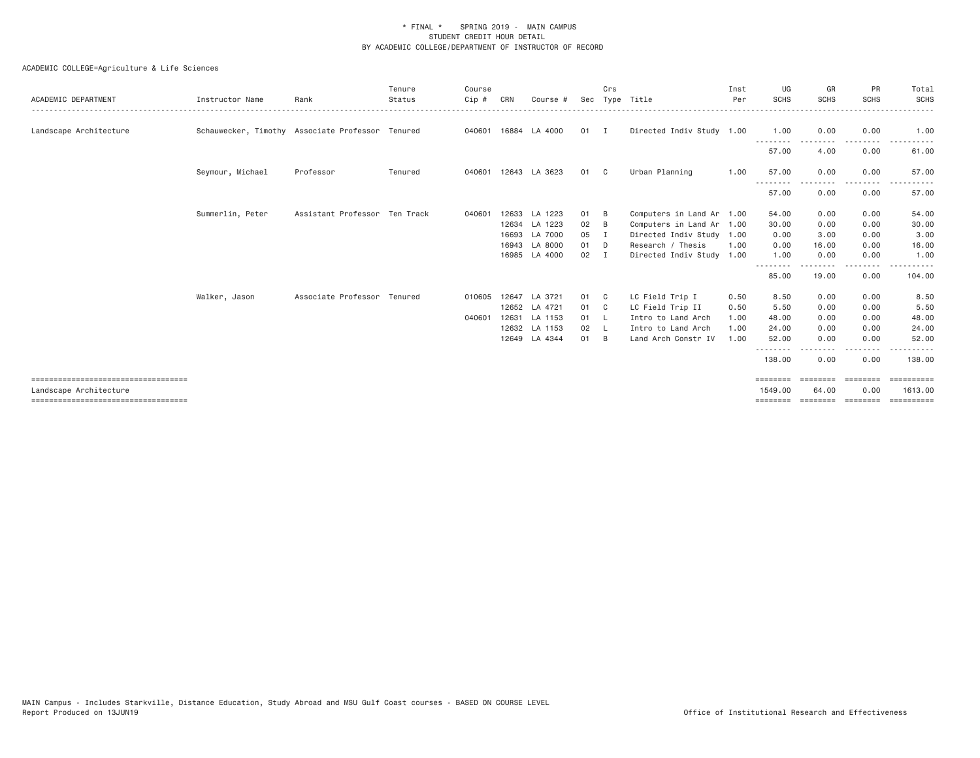| ACADEMIC DEPARTMENT                  | Instructor Name  | Rank                                             | Tenure<br>Status | Course<br>Cip# | CRN | Course #      |      | Crs            | Sec Type Title            | Inst<br>Per | UG<br>SCHS              | GR<br><b>SCHS</b> | PR<br><b>SCHS</b> | Total<br>SCHS |
|--------------------------------------|------------------|--------------------------------------------------|------------------|----------------|-----|---------------|------|----------------|---------------------------|-------------|-------------------------|-------------------|-------------------|---------------|
| Landscape Architecture               |                  | Schauwecker, Timothy Associate Professor Tenured |                  | 040601         |     | 16884 LA 4000 | 01 I |                | Directed Indiv Study 1.00 |             | 1.00                    | 0.00              | 0.00              | 1.00          |
|                                      |                  |                                                  |                  |                |     |               |      |                |                           |             | --------<br>57.00       | 4.00              | 0.00              | 61.00         |
|                                      | Seymour, Michael | Professor                                        | Tenured          | 040601         |     | 12643 LA 3623 | 01   | $\mathbb{C}$   | Urban Planning            | 1.00        | 57.00                   | 0.00              | 0.00<br>.         | 57.00         |
|                                      |                  |                                                  |                  |                |     |               |      |                |                           |             | 57.00                   | 0.00              | 0.00              | 57.00         |
|                                      | Summerlin, Peter | Assistant Professor Ten Track                    |                  | 040601         |     | 12633 LA 1223 | 01   | - B            | Computers in Land Ar 1.00 |             | 54.00                   | 0.00              | 0.00              | 54.00         |
|                                      |                  |                                                  |                  |                |     | 12634 LA 1223 | 02   | B              | Computers in Land Ar 1.00 |             | 30.00                   | 0.00              | 0.00              | 30.00         |
|                                      |                  |                                                  |                  |                |     | 16693 LA 7000 | 05   | I.             | Directed Indiv Study 1.00 |             | 0.00                    | 3.00              | 0.00              | 3.00          |
|                                      |                  |                                                  |                  |                |     | 16943 LA 8000 | 01 D |                | Research / Thesis         | 1.00        | 0.00                    | 16.00             | 0.00              | 16.00         |
|                                      |                  |                                                  |                  |                |     | 16985 LA 4000 | 02   | $\mathbf{I}$   | Directed Indiv Study 1.00 |             | 1.00<br>- - - - - - - - | 0.00              | 0.00<br>$- - - -$ | 1.00          |
|                                      |                  |                                                  |                  |                |     |               |      |                |                           |             | 85.00                   | 19.00             | 0.00              | 104.00        |
|                                      | Walker, Jason    | Associate Professor Tenured                      |                  | 010605         |     | 12647 LA 3721 | 01   | $\mathbf{C}$   | LC Field Trip I           | 0.50        | 8.50                    | 0.00              | 0.00              | 8.50          |
|                                      |                  |                                                  |                  |                |     | 12652 LA 4721 | 01   | $\mathbf{C}$   | LC Field Trip II          | 0.50        | 5.50                    | 0.00              | 0.00              | 5.50          |
|                                      |                  |                                                  |                  | 040601         |     | 12631 LA 1153 | 01   | - L            | Intro to Land Arch        | 1.00        | 48.00                   | 0.00              | 0.00              | 48.00         |
|                                      |                  |                                                  |                  |                |     | 12632 LA 1153 | 02   | - L            | Intro to Land Arch        | 1.00        | 24.00                   | 0.00              | 0.00              | 24.00         |
|                                      |                  |                                                  |                  |                |     | 12649 LA 4344 | 01   | $\overline{B}$ | Land Arch Constr IV       | 1.00        | 52.00                   | 0.00              | 0.00              | 52.00         |
|                                      |                  |                                                  |                  |                |     |               |      |                |                           |             | 138.00                  | 0.00              | 0.00              | 138.00        |
| ==================================== |                  |                                                  |                  |                |     |               |      |                |                           |             | ========                | -------           | ---------         | ==========    |
| Landscape Architecture               |                  |                                                  |                  |                |     |               |      |                |                           |             | 1549.00                 | 64,00             | 0.00              | 1613,00       |
| ==================================== |                  |                                                  |                  |                |     |               |      |                |                           |             | ========                | ========          | ========          | ==========    |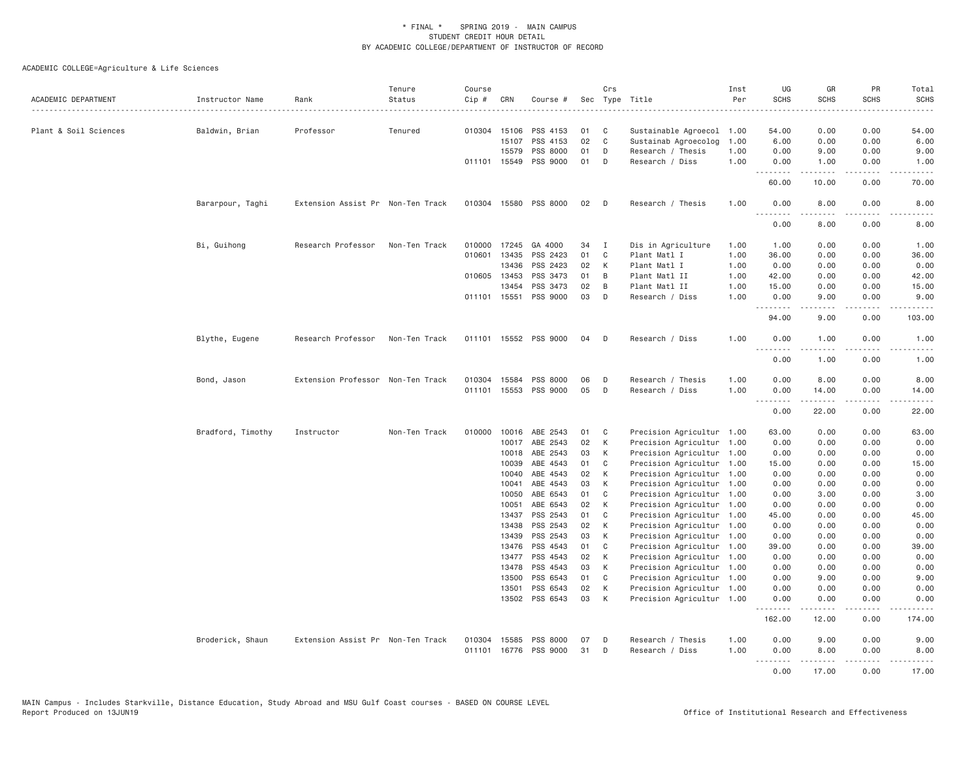| ACADEMIC DEPARTMENT   | Instructor Name   | Rank                              | Tenure<br>Status | Course<br>Cip # | CRN            | Course #              |          | Crs               | Sec Type Title                                         | Inst<br>Per | UG<br><b>SCHS</b>                 | GR<br><b>SCHS</b>                                                                                                                                            | PR<br><b>SCHS</b>                   | Total<br><b>SCHS</b><br>$\frac{1}{2}$    |
|-----------------------|-------------------|-----------------------------------|------------------|-----------------|----------------|-----------------------|----------|-------------------|--------------------------------------------------------|-------------|-----------------------------------|--------------------------------------------------------------------------------------------------------------------------------------------------------------|-------------------------------------|------------------------------------------|
| Plant & Soil Sciences | Baldwin, Brian    | Professor                         | Tenured          |                 | 010304 15106   | PSS 4153              | 01       | C                 | Sustainable Agroecol 1.00                              |             | 54.00                             | 0.00                                                                                                                                                         | 0.00                                | 54.00                                    |
|                       |                   |                                   |                  |                 | 15107          | PSS 4153              | 02       | $\mathsf{C}$      | Sustainab Agroecolog                                   | 1.00        | 6.00                              | 0.00                                                                                                                                                         | 0.00                                | 6.00                                     |
|                       |                   |                                   |                  |                 | 15579          | PSS 8000              | 01       | D                 | Research / Thesis                                      | 1.00        | 0.00                              | 9.00                                                                                                                                                         | 0.00                                | 9.00                                     |
|                       |                   |                                   |                  |                 | 011101 15549   | PSS 9000              | 01       | D                 | Research / Diss                                        | 1.00        | 0.00<br>.                         | 1.00<br>$\frac{1}{2} \left( \frac{1}{2} \right) \left( \frac{1}{2} \right) \left( \frac{1}{2} \right) \left( \frac{1}{2} \right) \left( \frac{1}{2} \right)$ | 0.00                                | 1.00                                     |
|                       |                   |                                   |                  |                 |                |                       |          |                   |                                                        |             | 60.00                             | 10.00                                                                                                                                                        | 0.00                                | 70.00                                    |
|                       | Bararpour, Taghi  | Extension Assist Pr Non-Ten Track |                  |                 | 010304 15580   | PSS 8000              | 02       | D                 | Research / Thesis                                      | 1.00        | 0.00<br>- - -<br>.                | 8.00                                                                                                                                                         | 0.00                                | 8.00                                     |
|                       |                   |                                   |                  |                 |                |                       |          |                   |                                                        |             | 0.00                              | 8,00                                                                                                                                                         | 0.00                                | 8.00                                     |
|                       | Bi, Guihong       | Research Professor                | Non-Ten Track    |                 | 010000 17245   | GA 4000               | 34       | I                 | Dis in Agriculture                                     | 1.00        | 1.00                              | 0.00                                                                                                                                                         | 0.00                                | 1.00                                     |
|                       |                   |                                   |                  | 010601          | 13435          | PSS 2423              | 01       | C                 | Plant Matl I                                           | 1.00        | 36.00                             | 0.00                                                                                                                                                         | 0.00                                | 36.00                                    |
|                       |                   |                                   |                  |                 | 13436          | PSS 2423              | 02       | K                 | Plant Matl I                                           | 1.00        | 0.00                              | 0.00                                                                                                                                                         | 0.00                                | 0.00                                     |
|                       |                   |                                   |                  |                 | 010605 13453   | PSS 3473              | 01       | B                 | Plant Matl II                                          | 1.00        | 42.00                             | 0.00                                                                                                                                                         | 0.00                                | 42.00                                    |
|                       |                   |                                   |                  |                 | 13454          | PSS 3473              | 02       | B                 | Plant Matl II                                          | 1.00        | 15.00                             | 0.00                                                                                                                                                         | 0.00                                | 15.00                                    |
|                       |                   |                                   |                  |                 | 011101 15551   | PSS 9000              | 03       | D                 | Research / Diss                                        | 1.00        | 0.00<br>.                         | 9.00<br>$\omega$ is $\omega$ in $\omega$                                                                                                                     | 0.00<br>.                           | 9.00<br>$\omega$ is $\omega$ in $\omega$ |
|                       |                   |                                   |                  |                 |                |                       |          |                   |                                                        |             | 94.00                             | 9.00                                                                                                                                                         | 0.00                                | 103.00                                   |
|                       | Blythe, Eugene    | Research Professor                | Non-Ten Track    |                 |                | 011101 15552 PSS 9000 | 04       | D                 | Research / Diss                                        | 1.00        | 0.00<br>$\sim$ $\sim$ $\sim$<br>. | 1.00                                                                                                                                                         | 0.00                                | 1.00                                     |
|                       |                   |                                   |                  |                 |                |                       |          |                   |                                                        |             | 0.00                              | 1.00                                                                                                                                                         | 0.00                                | 1.00                                     |
|                       | Bond, Jason       | Extension Professor Non-Ten Track |                  |                 | 010304 15584   | PSS 8000              | 06       | D                 | Research / Thesis                                      | 1.00        | 0.00                              | 8.00                                                                                                                                                         | 0.00                                | 8.00                                     |
|                       |                   |                                   |                  |                 | 011101 15553   | PSS 9000              | 05       | D                 | Research / Diss                                        | 1.00        | 0.00<br>.                         | 14.00<br>.                                                                                                                                                   | 0.00<br>.                           | 14.00<br>.                               |
|                       |                   |                                   |                  |                 |                |                       |          |                   |                                                        |             | 0.00                              | 22.00                                                                                                                                                        | 0.00                                | 22.00                                    |
|                       | Bradford, Timothy | Instructor                        | Non-Ten Track    | 010000          | 10016          | ABE 2543              | 01       | C                 | Precision Agricultur 1.00                              |             | 63.00                             | 0.00                                                                                                                                                         | 0.00                                | 63.00                                    |
|                       |                   |                                   |                  |                 | 10017          | ABE 2543              | 02       | К                 | Precision Agricultur 1.00                              |             | 0.00                              | 0.00                                                                                                                                                         | 0.00                                | 0.00                                     |
|                       |                   |                                   |                  |                 | 10018          | ABE 2543              | 03       | К                 | Precision Agricultur 1.00                              |             | 0.00                              | 0.00                                                                                                                                                         | 0.00                                | 0.00                                     |
|                       |                   |                                   |                  |                 | 10039          | ABE 4543              | 01       | C                 | Precision Agricultur 1.00                              |             | 15.00                             | 0.00                                                                                                                                                         | 0.00                                | 15.00                                    |
|                       |                   |                                   |                  |                 | 10040          | ABE 4543              | 02       | К                 | Precision Agricultur 1.00                              |             | 0.00                              | 0.00                                                                                                                                                         | 0.00                                | 0.00                                     |
|                       |                   |                                   |                  |                 | 10041          | ABE 4543              | 03       | К                 | Precision Agricultur 1.00                              |             | 0.00                              | 0.00                                                                                                                                                         | 0.00                                | 0.00                                     |
|                       |                   |                                   |                  |                 | 10050          | ABE 6543              | 01       | C                 | Precision Agricultur 1.00                              |             | 0.00                              | 3.00                                                                                                                                                         | 0.00                                | 3.00                                     |
|                       |                   |                                   |                  |                 | 10051          | ABE 6543              | 02       | К                 | Precision Agricultur 1.00                              |             | 0.00                              | 0.00                                                                                                                                                         | 0.00                                | 0.00                                     |
|                       |                   |                                   |                  |                 | 13437          | PSS 2543              | 01       | C                 | Precision Agricultur 1.00                              |             | 45.00                             | 0.00                                                                                                                                                         | 0.00                                | 45.00                                    |
|                       |                   |                                   |                  |                 | 13438          | PSS 2543              | 02       | K                 | Precision Agricultur 1.00                              |             | 0.00                              | 0.00                                                                                                                                                         | 0.00                                | 0.00                                     |
|                       |                   |                                   |                  |                 | 13439          | PSS 2543              | 03       | К<br>$\mathsf{C}$ | Precision Agricultur 1.00                              |             | 0.00                              | 0.00                                                                                                                                                         | 0.00                                | 0.00                                     |
|                       |                   |                                   |                  |                 | 13476          | PSS 4543              | 01       |                   | Precision Agricultur                                   | 1.00        | 39.00                             | 0.00                                                                                                                                                         | 0.00                                | 39.00                                    |
|                       |                   |                                   |                  |                 | 13477          | PSS 4543              | 02       | К                 | Precision Agricultur                                   | 1.00        | 0.00                              | 0.00                                                                                                                                                         | 0.00                                | 0.00                                     |
|                       |                   |                                   |                  |                 | 13478          | PSS 4543<br>PSS 6543  | 03<br>01 | К<br>C            | Precision Agricultur 1.00                              |             | 0.00<br>0.00                      | 0.00<br>9.00                                                                                                                                                 | 0.00<br>0.00                        | 0.00<br>9.00                             |
|                       |                   |                                   |                  |                 | 13500<br>13501 | PSS 6543              | 02       | K                 | Precision Agricultur 1.00<br>Precision Agricultur 1.00 |             | 0.00                              | 0.00                                                                                                                                                         | 0.00                                | 0.00                                     |
|                       |                   |                                   |                  |                 | 13502          | PSS 6543              | 03       | K                 | Precision Agricultur 1.00                              |             | 0.00                              | 0.00                                                                                                                                                         | 0.00                                | 0.00                                     |
|                       |                   |                                   |                  |                 |                |                       |          |                   |                                                        |             | .<br>162.00                       | $\omega$ is a set of<br>12.00                                                                                                                                | $\sim$ $\sim$ $\sim$ $\sim$<br>0.00 | 174.00                                   |
|                       | Broderick, Shaun  | Extension Assist Pr Non-Ten Track |                  | 010304          | 15585          | PSS 8000              | 07       | Ð                 | Research / Thesis                                      | 1.00        | 0.00                              | 9.00                                                                                                                                                         | 0.00                                | 9.00                                     |
|                       |                   |                                   |                  | 011101          | 16776          | <b>PSS 9000</b>       | 31       | D                 | Research / Diss                                        | 1,00        | 0.00<br>.                         | 8,00<br>.                                                                                                                                                    | 0.00<br>.                           | 8.00<br>.                                |
|                       |                   |                                   |                  |                 |                |                       |          |                   |                                                        |             | 0.00                              | 17.00                                                                                                                                                        | 0.00                                | 17.00                                    |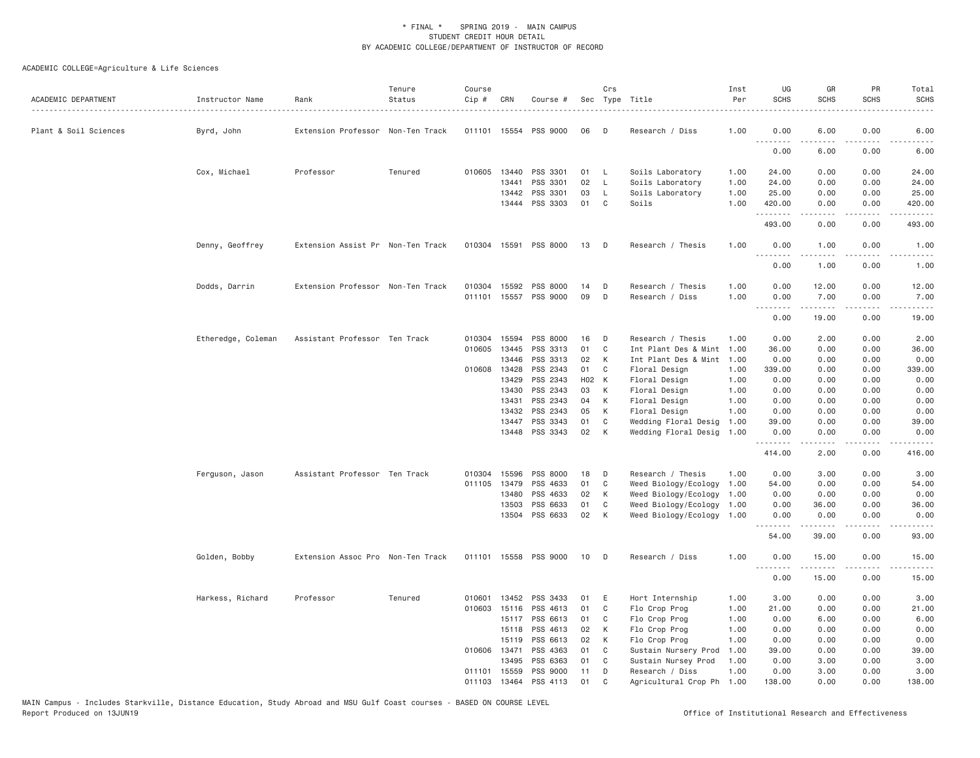| ACADEMIC DEPARTMENT   | Instructor Name    | Rank                              | Tenure<br>Status | Course<br>Cip # | CRN          | Course #              |       | Crs            | Sec Type Title            | Inst<br>Per | UG<br><b>SCHS</b>     | GR<br><b>SCHS</b>                                                                                                                                            | PR<br><b>SCHS</b> | Total<br><b>SCHS</b>                                                                                                                                                                      |
|-----------------------|--------------------|-----------------------------------|------------------|-----------------|--------------|-----------------------|-------|----------------|---------------------------|-------------|-----------------------|--------------------------------------------------------------------------------------------------------------------------------------------------------------|-------------------|-------------------------------------------------------------------------------------------------------------------------------------------------------------------------------------------|
| Plant & Soil Sciences | Byrd, John         | Extension Professor Non-Ten Track |                  |                 |              | 011101 15554 PSS 9000 | 06    | D              | Research / Diss           | 1.00        | 0.00                  | 6.00                                                                                                                                                         | 0.00              | 6.00                                                                                                                                                                                      |
|                       |                    |                                   |                  |                 |              |                       |       |                |                           |             | <u>.</u><br>0.00      | $\frac{1}{2} \left( \frac{1}{2} \right) \left( \frac{1}{2} \right) \left( \frac{1}{2} \right) \left( \frac{1}{2} \right)$<br>6.00                            | 0.00              | 6.00                                                                                                                                                                                      |
|                       | Cox, Michael       | Professor                         | Tenured          |                 | 010605 13440 | PSS 3301              | 01    | <b>L</b>       | Soils Laboratory          | 1.00        | 24.00                 | 0.00                                                                                                                                                         | 0.00              | 24.00                                                                                                                                                                                     |
|                       |                    |                                   |                  |                 | 13441        | PSS 3301              | 02    | L.             | Soils Laboratory          | 1.00        | 24.00                 | 0.00                                                                                                                                                         | 0.00              | 24.00                                                                                                                                                                                     |
|                       |                    |                                   |                  |                 | 13442        | PSS 3301              | 03    | L              | Soils Laboratory          | 1.00        | 25.00                 | 0.00                                                                                                                                                         | 0.00              | 25.00                                                                                                                                                                                     |
|                       |                    |                                   |                  |                 |              | 13444 PSS 3303        | 01    | C <sub>1</sub> | Soils                     | 1.00        | 420.00<br>.           | 0.00<br>2.2.2.2.2                                                                                                                                            | 0.00<br>.         | 420.00<br>$\frac{1}{2} \left( \frac{1}{2} \right) \left( \frac{1}{2} \right) \left( \frac{1}{2} \right) \left( \frac{1}{2} \right) \left( \frac{1}{2} \right) \left( \frac{1}{2} \right)$ |
|                       |                    |                                   |                  |                 |              |                       |       |                |                           |             | 493.00                | 0.00                                                                                                                                                         | 0.00              | 493.00                                                                                                                                                                                    |
|                       | Denny, Geoffrey    | Extension Assist Pr Non-Ten Track |                  |                 |              | 010304 15591 PSS 8000 | 13    | D              | Research / Thesis         | 1.00        | 0.00                  | 1.00<br>$\frac{1}{2} \left( \frac{1}{2} \right) \left( \frac{1}{2} \right) \left( \frac{1}{2} \right) \left( \frac{1}{2} \right) \left( \frac{1}{2} \right)$ | 0.00<br>.         | 1.00<br>$- - - - -$                                                                                                                                                                       |
|                       |                    |                                   |                  |                 |              |                       |       |                |                           |             | 0.00                  | 1.00                                                                                                                                                         | 0.00              | 1.00                                                                                                                                                                                      |
|                       | Dodds, Darrin      | Extension Professor Non-Ten Track |                  |                 |              | 010304 15592 PSS 8000 | 14    | D              | Research / Thesis         | 1.00        | 0.00                  | 12.00                                                                                                                                                        | 0.00              | 12.00                                                                                                                                                                                     |
|                       |                    |                                   |                  |                 |              | 011101 15557 PSS 9000 | 09    | D              | Research / Diss           | 1.00        | 0.00<br><u>.</u>      | 7.00<br>.                                                                                                                                                    | 0.00<br>.         | 7.00<br>.                                                                                                                                                                                 |
|                       |                    |                                   |                  |                 |              |                       |       |                |                           |             | 0.00                  | 19.00                                                                                                                                                        | 0.00              | 19.00                                                                                                                                                                                     |
|                       | Etheredge, Coleman | Assistant Professor Ten Track     |                  | 010304          | 15594        | PSS 8000              | 16    | D              | Research / Thesis         | 1.00        | 0.00                  | 2.00                                                                                                                                                         | 0.00              | 2.00                                                                                                                                                                                      |
|                       |                    |                                   |                  | 010605          | 13445        | PSS 3313              | 01    | C              | Int Plant Des & Mint 1.00 |             | 36.00                 | 0.00                                                                                                                                                         | 0.00              | 36.00                                                                                                                                                                                     |
|                       |                    |                                   |                  |                 | 13446        | PSS 3313              | 02    | K              | Int Plant Des & Mint 1.00 |             | 0.00                  | 0.00                                                                                                                                                         | 0.00              | 0.00                                                                                                                                                                                      |
|                       |                    |                                   |                  | 010608          | 13428        | PSS 2343              | 01    | C              | Floral Design             | 1.00        | 339.00                | 0.00                                                                                                                                                         | 0.00              | 339.00                                                                                                                                                                                    |
|                       |                    |                                   |                  |                 | 13429        | PSS 2343              | H02 K |                | Floral Design             | 1.00        | 0.00                  | 0.00                                                                                                                                                         | 0.00              | 0.00                                                                                                                                                                                      |
|                       |                    |                                   |                  |                 | 13430        | PSS 2343              | 03    | К              | Floral Design             | 1.00        | 0.00                  | 0.00                                                                                                                                                         | 0.00              | 0.00                                                                                                                                                                                      |
|                       |                    |                                   |                  |                 | 13431        | PSS 2343              | 04    | К              | Floral Design             | 1.00        | 0.00                  | 0.00                                                                                                                                                         | 0.00              | 0.00                                                                                                                                                                                      |
|                       |                    |                                   |                  |                 | 13432        | PSS 2343              | 05    | K              | Floral Design             | 1.00        | 0.00                  | 0.00                                                                                                                                                         | 0.00              | 0.00                                                                                                                                                                                      |
|                       |                    |                                   |                  |                 | 13447        | PSS 3343              | 01    | C              | Wedding Floral Desig      | 1.00        | 39.00                 | 0.00                                                                                                                                                         | 0.00              | 39.00                                                                                                                                                                                     |
|                       |                    |                                   |                  |                 |              | 13448 PSS 3343        | 02    | K              | Wedding Floral Desig 1.00 |             | 0.00                  | 0.00                                                                                                                                                         | 0.00              | 0.00                                                                                                                                                                                      |
|                       |                    |                                   |                  |                 |              |                       |       |                |                           |             | .                     | .                                                                                                                                                            | .                 | .                                                                                                                                                                                         |
|                       |                    |                                   |                  |                 |              |                       |       |                |                           |             | 414.00                | 2.00                                                                                                                                                         | 0.00              | 416.00                                                                                                                                                                                    |
|                       | Ferguson, Jason    | Assistant Professor Ten Track     |                  | 010304          | 15596        | PSS 8000              | 18    | D              | Research / Thesis         | 1,00        | 0.00                  | 3.00                                                                                                                                                         | 0.00              | 3.00                                                                                                                                                                                      |
|                       |                    |                                   |                  | 011105          | 13479        | PSS 4633              | 01    | C              | Weed Biology/Ecology      | 1.00        | 54.00                 | 0.00                                                                                                                                                         | 0.00              | 54.00                                                                                                                                                                                     |
|                       |                    |                                   |                  |                 | 13480        | PSS 4633              | 02    | К              | Weed Biology/Ecology      | 1.00        | 0.00                  | 0.00                                                                                                                                                         | 0.00              | 0.00                                                                                                                                                                                      |
|                       |                    |                                   |                  |                 | 13503        | PSS 6633              | 01    | C              | Weed Biology/Ecology 1.00 |             | 0.00                  | 36.00                                                                                                                                                        | 0.00              | 36.00                                                                                                                                                                                     |
|                       |                    |                                   |                  |                 | 13504        | PSS 6633              | 02    | K              | Weed Biology/Ecology 1.00 |             | 0.00<br>$\frac{1}{2}$ | 0.00<br>$\sim$ $\sim$ $\sim$ $\sim$                                                                                                                          | 0.00<br>.         | 0.00<br>.                                                                                                                                                                                 |
|                       |                    |                                   |                  |                 |              |                       |       |                |                           |             | 54.00                 | 39.00                                                                                                                                                        | 0.00              | 93.00                                                                                                                                                                                     |
|                       | Golden, Bobby      | Extension Assoc Pro Non-Ten Track |                  |                 |              | 011101 15558 PSS 9000 | 10    | D              | Research / Diss           | 1.00        | 0.00<br><u>.</u>      | 15.00                                                                                                                                                        | 0.00              | 15.00                                                                                                                                                                                     |
|                       |                    |                                   |                  |                 |              |                       |       |                |                           |             | 0.00                  | 15.00                                                                                                                                                        | 0.00              | 15.00                                                                                                                                                                                     |
|                       | Harkess, Richard   | Professor                         | Tenured          | 010601          | 13452        | PSS 3433              | 01    | E              | Hort Internship           | 1.00        | 3.00                  | 0.00                                                                                                                                                         | 0.00              | 3.00                                                                                                                                                                                      |
|                       |                    |                                   |                  | 010603          | 15116        | PSS 4613              | 01    | C              | Flo Crop Prog             | 1.00        | 21.00                 | 0.00                                                                                                                                                         | 0.00              | 21.00                                                                                                                                                                                     |
|                       |                    |                                   |                  |                 | 15117        | PSS 6613              | 01    | C              | Flo Crop Prog             | 1.00        | 0.00                  | 6.00                                                                                                                                                         | 0.00              | 6.00                                                                                                                                                                                      |
|                       |                    |                                   |                  |                 | 15118        | PSS 4613              | 02    | K              | Flo Crop Prog             | 1.00        | 0.00                  | 0.00                                                                                                                                                         | 0.00              | 0.00                                                                                                                                                                                      |
|                       |                    |                                   |                  |                 | 15119        | PSS 6613              | 02    | К              | Flo Crop Prog             | 1.00        | 0.00                  | 0.00                                                                                                                                                         | 0.00              | 0.00                                                                                                                                                                                      |
|                       |                    |                                   |                  |                 | 010606 13471 | PSS 4363              | 01    | C              | Sustain Nursery Prod      | 1.00        | 39.00                 | 0.00                                                                                                                                                         | 0.00              | 39.00                                                                                                                                                                                     |
|                       |                    |                                   |                  |                 | 13495        | PSS 6363              | 01    | C              | Sustain Nursey Prod       | 1.00        | 0.00                  | 3.00                                                                                                                                                         | 0.00              | 3.00                                                                                                                                                                                      |
|                       |                    |                                   |                  |                 | 011101 15559 | PSS 9000              | 11    | D              | Research / Diss           | 1.00        | 0.00                  | 3,00                                                                                                                                                         | 0.00              | 3,00                                                                                                                                                                                      |
|                       |                    |                                   |                  | 011103          | 13464        | PSS 4113              | 01    | $\mathsf{C}$   | Agricultural Crop Ph      | 1,00        | 138,00                | 0.00                                                                                                                                                         | 0.00              | 138,00                                                                                                                                                                                    |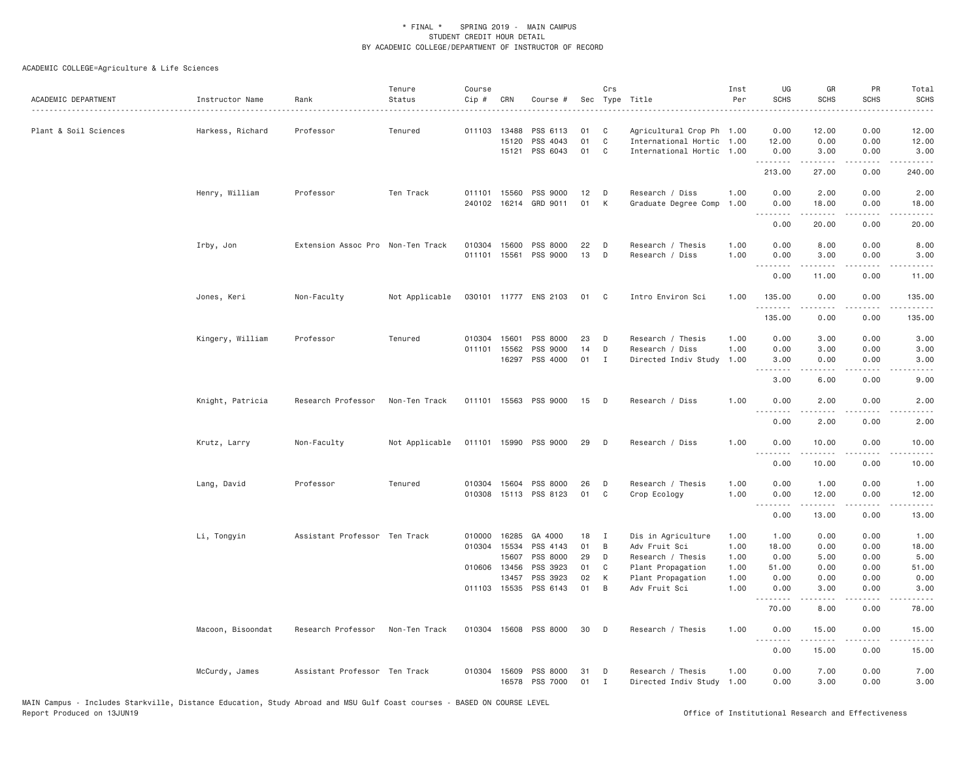| ACADEMIC DEPARTMENT   | Instructor Name   | Rank                              | Tenure<br>Status | Course<br>Cip # | CRN                   | Course #              |          | Crs               | Sec Type Title                                 | Inst<br>Per | UG<br><b>SCHS</b>                                                                                                                                            | GR<br><b>SCHS</b>     | PR<br><b>SCHS</b> | Total<br><b>SCHS</b><br>$\frac{1}{2}$ |
|-----------------------|-------------------|-----------------------------------|------------------|-----------------|-----------------------|-----------------------|----------|-------------------|------------------------------------------------|-------------|--------------------------------------------------------------------------------------------------------------------------------------------------------------|-----------------------|-------------------|---------------------------------------|
| Plant & Soil Sciences | Harkess, Richard  | Professor                         | Tenured          | 011103 13488    |                       | PSS 6113              | 01       | C                 | Agricultural Crop Ph 1.00                      |             | 0.00                                                                                                                                                         | 12.00                 | 0.00              | 12.00                                 |
|                       |                   |                                   |                  |                 | 15120                 | PSS 4043              | 01       | C                 | International Hortic                           | 1.00        | 12.00                                                                                                                                                        | 0.00                  | 0.00              | 12.00                                 |
|                       |                   |                                   |                  |                 | 15121                 | PSS 6043              | 01       | C                 | International Hortic                           | 1.00        | 0.00<br>.                                                                                                                                                    | 3.00<br>.             | 0.00<br>.         | 3.00<br>-----                         |
|                       |                   |                                   |                  |                 |                       |                       |          |                   |                                                |             | 213.00                                                                                                                                                       | 27.00                 | 0.00              | 240.00                                |
|                       | Henry, William    | Professor                         | Ten Track        | 011101 15560    |                       | PSS 9000              | 12       | D                 | Research / Diss                                | 1.00        | 0.00                                                                                                                                                         | 2.00                  | 0.00              | 2.00                                  |
|                       |                   |                                   |                  |                 | 240102 16214          | GRD 9011              | 01       | K                 | Graduate Degree Comp                           | 1.00        | 0.00                                                                                                                                                         | 18.00<br>.            | 0.00              | 18.00                                 |
|                       |                   |                                   |                  |                 |                       |                       |          |                   |                                                |             | .<br>0.00                                                                                                                                                    | 20.00                 | .<br>0.00         | .<br>20.00                            |
|                       | Irby, Jon         | Extension Assoc Pro Non-Ten Track |                  | 010304 15600    |                       | PSS 8000              | 22       | D                 | Research / Thesis                              | 1.00        | 0.00                                                                                                                                                         | 8.00                  | 0.00              | 8.00                                  |
|                       |                   |                                   |                  |                 | 011101 15561          | PSS 9000              | 13       | D                 | Research / Diss                                | 1.00        | 0.00                                                                                                                                                         | 3.00                  | 0.00              | 3.00                                  |
|                       |                   |                                   |                  |                 |                       |                       |          |                   |                                                |             | $\frac{1}{2} \left( \frac{1}{2} \right) \left( \frac{1}{2} \right) \left( \frac{1}{2} \right) \left( \frac{1}{2} \right) \left( \frac{1}{2} \right)$<br>0.00 | $- - - - -$<br>11.00  | $- - - -$<br>0.00 | 11.00                                 |
|                       | Jones, Keri       | Non-Faculty                       | Not Applicable   |                 |                       | 030101 11777 ENS 2103 | 01 C     |                   | Intro Environ Sci                              | 1.00        | 135.00<br>.                                                                                                                                                  | 0.00<br>$\frac{1}{2}$ | 0.00<br>.         | 135.00<br>$- - - - -$                 |
|                       |                   |                                   |                  |                 |                       |                       |          |                   |                                                |             | 135.00                                                                                                                                                       | 0.00                  | 0.00              | 135.00                                |
|                       | Kingery, William  | Professor                         | Tenured          | 010304 15601    |                       | PSS 8000              | 23       | D                 | Research / Thesis                              | 1.00        | 0.00                                                                                                                                                         | 3.00                  | 0.00              | 3.00                                  |
|                       |                   |                                   |                  |                 | 011101 15562          | PSS 9000              | 14       | D                 | Research / Diss                                | 1.00        | 0.00                                                                                                                                                         | 3.00                  | 0.00              | 3.00                                  |
|                       |                   |                                   |                  |                 | 16297                 | PSS 4000              | 01       | $\mathbf{I}$      | Directed Indiv Study                           | 1.00        | 3.00                                                                                                                                                         | 0.00                  | 0.00              | 3.00                                  |
|                       |                   |                                   |                  |                 |                       |                       |          |                   |                                                |             | .<br>3.00                                                                                                                                                    | $- - - - -$<br>6.00   | $- - - -$<br>0.00 | ----<br>9.00                          |
|                       | Knight, Patricia  | Research Professor                | Non-Ten Track    |                 |                       | 011101 15563 PSS 9000 | 15       | D                 | Research / Diss                                | 1.00        | 0.00<br>$\sim$ $\sim$ $\sim$                                                                                                                                 | 2.00                  | 0.00              | 2.00                                  |
|                       |                   |                                   |                  |                 |                       |                       |          |                   |                                                |             | 0.00                                                                                                                                                         | 2.00                  | 0.00              | 2.00                                  |
|                       | Krutz, Larry      | Non-Faculty                       | Not Applicable   |                 |                       | 011101 15990 PSS 9000 | 29       | D                 | Research / Diss                                | 1.00        | 0.00<br>.                                                                                                                                                    | 10.00<br>.            | 0.00<br>.         | 10.00<br>.                            |
|                       |                   |                                   |                  |                 |                       |                       |          |                   |                                                |             | 0.00                                                                                                                                                         | 10.00                 | 0.00              | 10.00                                 |
|                       | Lang, David       | Professor                         | Tenured          |                 | 010304 15604          | PSS 8000              | 26       | D                 | Research / Thesis                              | 1.00        | 0.00                                                                                                                                                         | 1.00                  | 0.00              | 1.00                                  |
|                       |                   |                                   |                  |                 |                       | 010308 15113 PSS 8123 | 01       | C                 | Crop Ecology                                   | 1.00        | 0.00                                                                                                                                                         | 12.00<br>.            | 0.00<br>.         | 12.00<br>.                            |
|                       |                   |                                   |                  |                 |                       |                       |          |                   |                                                |             | .<br>0.00                                                                                                                                                    | 13.00                 | 0.00              | 13.00                                 |
|                       | Li, Tongyin       | Assistant Professor Ten Track     |                  |                 | 010000 16285          | GA 4000               | 18       | $\mathbf{I}$      | Dis in Agriculture                             | 1.00        | 1.00                                                                                                                                                         | 0.00                  | 0.00              | 1.00                                  |
|                       |                   |                                   |                  | 010304 15534    |                       | PSS 4143              | 01       | B                 | Adv Fruit Sci                                  | 1.00        | 18.00                                                                                                                                                        | 0.00                  | 0.00              | 18.00                                 |
|                       |                   |                                   |                  |                 | 15607                 | PSS 8000              | 29       | D                 | Research / Thesis                              | 1.00        | 0.00                                                                                                                                                         | 5.00                  | 0.00              | 5.00                                  |
|                       |                   |                                   |                  | 010606          | 13456                 | PSS 3923              | 01       | C                 | Plant Propagation                              | 1.00        | 51.00                                                                                                                                                        | 0.00                  | 0.00              | 51.00                                 |
|                       |                   |                                   |                  |                 | 13457                 | PSS 3923              | 02       | К                 | Plant Propagation                              | 1.00        | 0.00                                                                                                                                                         | 0.00                  | 0.00              | 0.00                                  |
|                       |                   |                                   |                  |                 | 011103 15535          | PSS 6143              | 01       | B                 | Adv Fruit Sci                                  | 1.00        | 0.00<br><u>.</u>                                                                                                                                             | 3.00<br>-----         | 0.00<br>$   -$    | 3.00                                  |
|                       |                   |                                   |                  |                 |                       |                       |          |                   |                                                |             | 70.00                                                                                                                                                        | 8.00                  | 0.00              | 78.00                                 |
|                       | Macoon, Bisoondat | Research Professor                | Non-Ten Track    | 010304 15608    |                       | PSS 8000              | 30       | D                 | Research / Thesis                              | 1.00        | 0.00<br>.                                                                                                                                                    | 15.00<br>.            | 0.00<br>.         | 15.00                                 |
|                       |                   |                                   |                  |                 |                       |                       |          |                   |                                                |             | 0.00                                                                                                                                                         | 15.00                 | 0.00              | 15.00                                 |
|                       | McCurdy, James    | Assistant Professor Ten Track     |                  |                 | 010304 15609<br>16578 | PSS 8000<br>PSS 7000  | 31<br>01 | D<br>$\mathbf{I}$ | Research / Thesis<br>Directed Indiv Study 1.00 | 1.00        | 0.00<br>0.00                                                                                                                                                 | 7.00<br>3.00          | 0.00<br>0.00      | 7.00<br>3.00                          |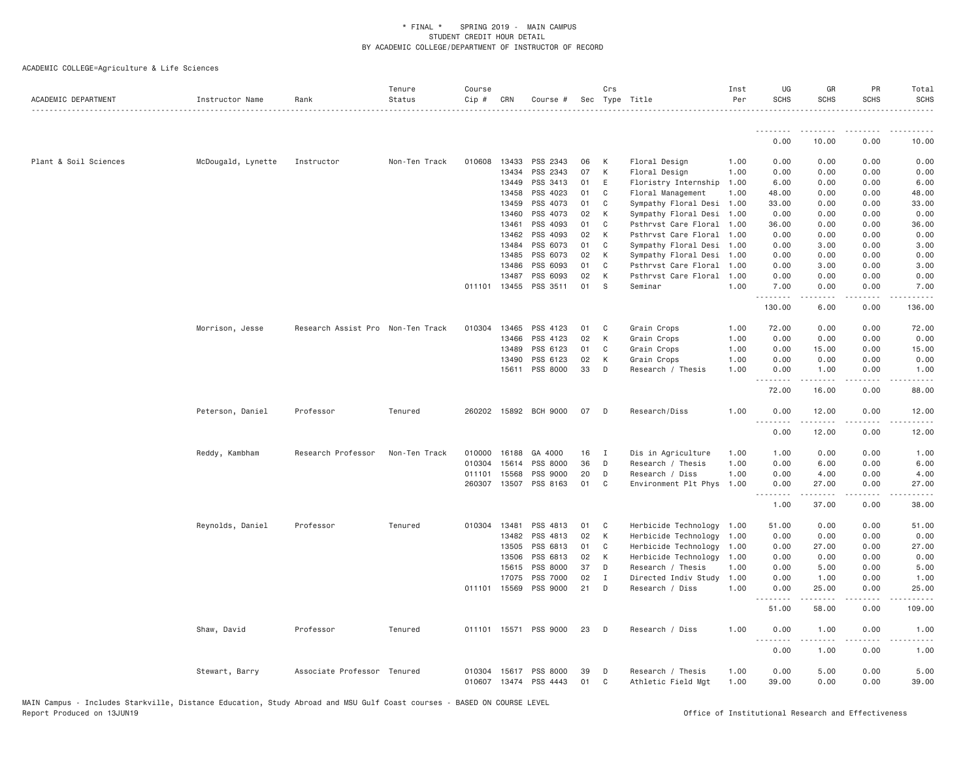| ACADEMIC DEPARTMENT   | Instructor Name    | Rank                              | Tenure<br>Status | Course<br>Cip #  | CRN   | Course #                         |          | Crs<br>Sec Type Title |                                         | Inst<br>Per  | UG<br><b>SCHS</b> | GR<br><b>SCHS</b>                          | PR<br><b>SCHS</b>               | Total<br><b>SCHS</b>          |
|-----------------------|--------------------|-----------------------------------|------------------|------------------|-------|----------------------------------|----------|-----------------------|-----------------------------------------|--------------|-------------------|--------------------------------------------|---------------------------------|-------------------------------|
|                       |                    |                                   |                  |                  |       |                                  |          |                       |                                         |              |                   |                                            |                                 |                               |
|                       |                    |                                   |                  |                  |       |                                  |          |                       |                                         |              | 0.00              | 10.00                                      | 0.00                            | 10.00                         |
| Plant & Soil Sciences | McDougald, Lynette | Instructor                        | Non-Ten Track    | 010608           | 13433 | PSS 2343                         | 06       | K                     | Floral Design                           | 1.00         | 0.00              | 0.00                                       | 0.00                            | 0.00                          |
|                       |                    |                                   |                  |                  | 13434 | PSS 2343                         | 07       | К                     | Floral Design                           | 1.00         | 0.00              | 0.00                                       | 0.00                            | 0.00                          |
|                       |                    |                                   |                  |                  | 13449 | PSS 3413                         | 01       | E                     | Floristry Internship                    | 1.00         | 6.00              | 0.00                                       | 0.00                            | 6.00                          |
|                       |                    |                                   |                  |                  | 13458 | PSS 4023                         | 01       | C                     | Floral Management                       | 1.00         | 48.00             | 0.00                                       | 0.00                            | 48.00                         |
|                       |                    |                                   |                  |                  | 13459 | PSS 4073                         | 01       | C                     | Sympathy Floral Desi                    | 1.00         | 33.00             | 0.00                                       | 0.00                            | 33.00                         |
|                       |                    |                                   |                  |                  | 13460 | PSS 4073                         | 02       | К                     | Sympathy Floral Desi                    | 1.00         | 0.00              | 0.00                                       | 0.00                            | 0.00                          |
|                       |                    |                                   |                  |                  | 13461 | PSS 4093                         | 01       | C                     | Psthrvst Care Floral                    | 1.00         | 36.00             | 0.00                                       | 0.00                            | 36.00                         |
|                       |                    |                                   |                  |                  | 13462 | PSS 4093                         | 02       | K                     | Psthrvst Care Floral                    | 1.00         | 0.00              | 0.00                                       | 0.00                            | 0.00                          |
|                       |                    |                                   |                  |                  | 13484 | PSS 6073                         | 01       | C                     | Sympathy Floral Desi                    | 1.00         | 0.00              | 3.00                                       | 0.00                            | 3.00                          |
|                       |                    |                                   |                  |                  | 13485 | PSS 6073                         | 02       | K                     | Sympathy Floral Desi                    | 1.00         | 0.00              | 0.00                                       | 0.00                            | 0.00                          |
|                       |                    |                                   |                  |                  | 13486 | PSS 6093                         | 01       | C                     | Psthrvst Care Floral                    | 1.00         | 0.00              | 3.00                                       | 0.00                            | 3.00                          |
|                       |                    |                                   |                  |                  | 13487 | PSS 6093                         | 02       | K                     | Psthrvst Care Floral                    | 1.00         | 0.00              | 0.00                                       | 0.00                            | 0.00                          |
|                       |                    |                                   |                  | 011101           |       | 13455 PSS 3511                   | 01       | <sub>S</sub>          | Seminar                                 | 1.00         | 7.00<br>.         | 0.00<br>.                                  | 0.00<br>$\omega$ is $\omega$ in | 7.00                          |
|                       |                    |                                   |                  |                  |       |                                  |          |                       |                                         |              | 130.00            | 6.00                                       | 0.00                            | 136.00                        |
|                       | Morrison, Jesse    | Research Assist Pro Non-Ten Track |                  | 010304           | 13465 | PSS 4123                         | 01       | C                     | Grain Crops                             | 1.00         | 72.00             | 0.00                                       | 0.00                            | 72.00                         |
|                       |                    |                                   |                  |                  | 13466 | PSS 4123                         | 02       | К                     | Grain Crops                             | 1.00         | 0.00              | 0.00                                       | 0.00                            | 0.00                          |
|                       |                    |                                   |                  |                  | 13489 | PSS 6123                         | 01       | C                     | Grain Crops                             | 1.00         | 0.00              | 15.00                                      | 0.00                            | 15.00                         |
|                       |                    |                                   |                  |                  | 13490 | PSS 6123                         | 02       | К                     | Grain Crops                             | 1.00         | 0.00              | 0.00                                       | 0.00                            | 0.00                          |
|                       |                    |                                   |                  |                  | 15611 | PSS 8000                         | 33       | D                     | Research / Thesis                       | 1.00         | 0.00              | 1.00                                       | 0.00                            | 1.00                          |
|                       |                    |                                   |                  |                  |       |                                  |          |                       |                                         |              | .<br>72.00        | المتمالي المالية<br>16.00                  | .<br>0.00                       | $\sim$ $\sim$ $\sim$<br>88.00 |
|                       | Peterson, Daniel   | Professor                         | Tenured          |                  |       | 260202 15892 BCH 9000            | 07       | D                     | Research/Diss                           | 1.00         | 0.00              | 12.00                                      | 0.00                            | 12.00                         |
|                       |                    |                                   |                  |                  |       |                                  |          |                       |                                         |              | <u>.</u><br>0.00  | .<br>12.00                                 | .<br>0.00                       | .<br>12.00                    |
|                       | Reddy, Kambham     | Research Professor                | Non-Ten Track    | 010000           | 16188 | GA 4000                          | 16       | $\mathbf{I}$          | Dis in Agriculture                      | 1.00         | 1.00              | 0.00                                       | 0.00                            | 1.00                          |
|                       |                    |                                   |                  | 010304           | 15614 | PSS 8000                         | 36       | D                     | Research / Thesis                       | 1.00         | 0.00              | 6.00                                       | 0.00                            | 6.00                          |
|                       |                    |                                   |                  | 011101           | 15568 | PSS 9000                         | 20       | D                     | Research / Diss                         | 1.00         | 0.00              | 4.00                                       | 0.00                            | 4.00                          |
|                       |                    |                                   |                  | 260307           | 13507 | PSS 8163                         | 01       | C                     | Environment Plt Phys                    | 1.00         | 0.00              | 27.00                                      | 0.00                            | 27.00                         |
|                       |                    |                                   |                  |                  |       |                                  |          |                       |                                         |              | .<br>1.00         | الدامات مالك<br>37.00                      | .<br>0.00                       | المتمامين<br>38.00            |
|                       | Reynolds, Daniel   | Professor                         | Tenured          | 010304           | 13481 | PSS 4813                         | 01       | C                     | Herbicide Technology                    | 1.00         | 51.00             | 0.00                                       | 0.00                            | 51.00                         |
|                       |                    |                                   |                  |                  | 13482 | PSS 4813                         | 02       | K                     | Herbicide Technology 1.00               |              | 0.00              | 0.00                                       | 0.00                            | 0.00                          |
|                       |                    |                                   |                  |                  | 13505 | PSS 6813                         | 01       | C                     | Herbicide Technology                    | 1.00         | 0.00              | 27.00                                      | 0.00                            | 27.00                         |
|                       |                    |                                   |                  |                  | 13506 | PSS 6813                         | 02       | K                     | Herbicide Technology                    | 1.00         | 0.00              | 0.00                                       | 0.00                            | 0.00                          |
|                       |                    |                                   |                  |                  | 15615 | PSS 8000                         | 37       | D                     | Research / Thesis                       | 1,00         | 0.00              | 5.00                                       | 0.00                            | 5.00                          |
|                       |                    |                                   |                  |                  | 17075 | PSS 7000                         | 02       | $\mathbf I$           | Directed Indiv Study                    | 1.00         | 0.00              | 1.00                                       | 0.00                            | 1.00                          |
|                       |                    |                                   |                  |                  |       | 011101 15569 PSS 9000            | 21       | D                     | Research / Diss                         | 1.00         | 0.00              | 25.00                                      | 0.00                            | 25.00                         |
|                       |                    |                                   |                  |                  |       |                                  |          |                       |                                         |              | .<br>51.00        | .<br>58.00                                 | .<br>0.00                       | .<br>109.00                   |
|                       | Shaw, David        | Professor                         | Tenured          | 011101           |       | 15571 PSS 9000                   | 23       | D                     | Research / Diss                         | 1.00         | 0.00              | 1.00<br>$\sim$ $\sim$ $\sim$ $\sim$ $\sim$ | 0.00<br>.                       | 1.00<br>$- - - -$             |
|                       |                    |                                   |                  |                  |       |                                  |          |                       |                                         |              | .<br>0.00         | 1.00                                       | 0.00                            | 1.00                          |
|                       | Stewart, Barry     | Associate Professor Tenured       |                  | 010304<br>010607 |       | 15617 PSS 8000<br>13474 PSS 4443 | 39<br>01 | D<br>C                | Research / Thesis<br>Athletic Field Mgt | 1.00<br>1.00 | 0.00<br>39.00     | 5.00<br>0.00                               | 0.00<br>0.00                    | 5.00<br>39.00                 |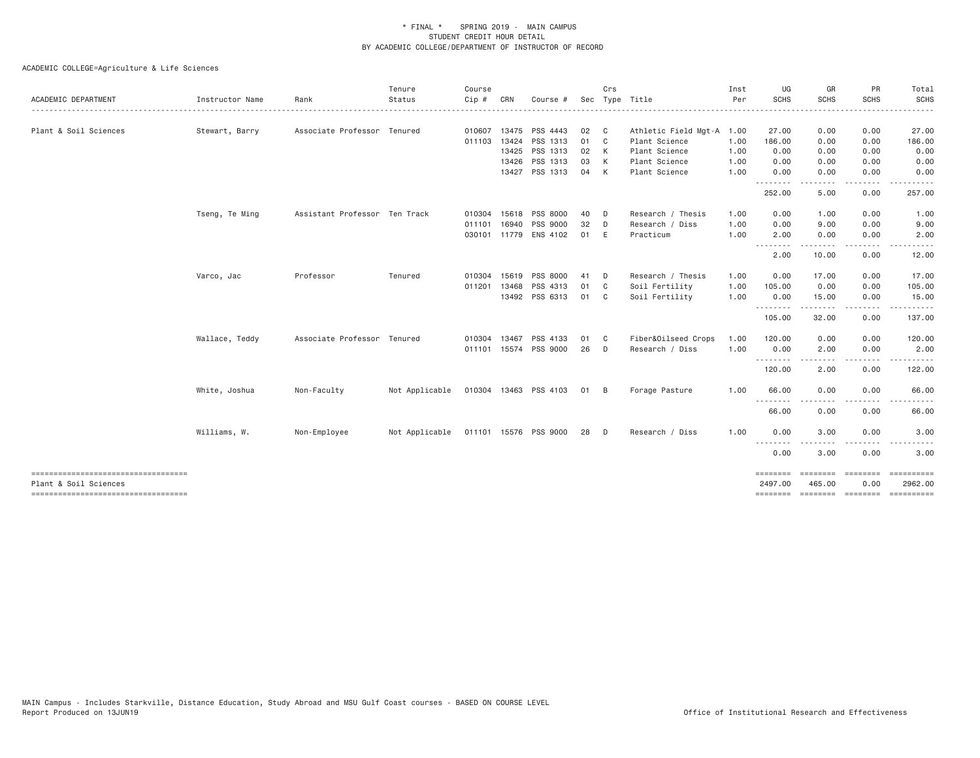| ACADEMIC DEPARTMENT                                         | Instructor Name | Rank                          | Tenure<br>Status | Course<br>$Cip \#$ | CRN   | Course #              |      | Crs            | Sec Type Title       | Inst<br>Per | UG<br>SCHS          | GR<br><b>SCHS</b>  | PR<br><b>SCHS</b> | Total<br><b>SCHS</b> |
|-------------------------------------------------------------|-----------------|-------------------------------|------------------|--------------------|-------|-----------------------|------|----------------|----------------------|-------------|---------------------|--------------------|-------------------|----------------------|
| Plant & Soil Sciences                                       | Stewart, Barry  | Associate Professor Tenured   |                  | 010607             | 13475 | PSS 4443              | 02   | C              | Athletic Field Mgt-A | 1.00        | 27.00               | 0.00               | 0.00              | 27.00                |
|                                                             |                 |                               |                  | 011103             | 13424 | PSS 1313              | 01   | C.             | Plant Science        | 1.00        | 186.00              | 0.00               | 0.00              | 186.00               |
|                                                             |                 |                               |                  |                    | 13425 | PSS 1313              | 02   | K              | Plant Science        | 1.00        | 0.00                | 0.00               | 0.00              | 0.00                 |
|                                                             |                 |                               |                  |                    | 13426 | PSS 1313              | 03   | K              | Plant Science        | 1.00        | 0.00                | 0.00               | 0.00              | 0.00                 |
|                                                             |                 |                               |                  |                    |       | 13427 PSS 1313        | 04   | K              | Plant Science        | 1.00        | 0.00<br><u>.</u>    | 0.00<br>.          | 0.00<br>----      | 0.00                 |
|                                                             |                 |                               |                  |                    |       |                       |      |                |                      |             | 252.00              | 5.00               | 0.00              | 257.00               |
|                                                             | Tseng, Te Ming  | Assistant Professor Ten Track |                  | 010304             | 15618 | PSS 8000              | 40   | D              | Research / Thesis    | 1.00        | 0.00                | 1.00               | 0.00              | 1.00                 |
|                                                             |                 |                               |                  | 011101             | 16940 | PSS 9000              | 32   | D              | Research / Diss      | 1.00        | 0.00                | 9.00               | 0.00              | 9.00                 |
|                                                             |                 |                               |                  |                    |       | 030101 11779 ENS 4102 | 01   | E              | Practicum            | 1.00        | 2.00<br>.           | 0.00               | 0.00              | 2.00                 |
|                                                             |                 |                               |                  |                    |       |                       |      |                |                      |             | 2.00                | 10.00              | 0.00              | 12.00                |
|                                                             | Varco, Jac      | Professor                     | Tenured          | 010304             | 15619 | PSS 8000              | 41   | D              | Research / Thesis    | 1.00        | 0.00                | 17.00              | 0.00              | 17.00                |
|                                                             |                 |                               |                  | 011201             | 13468 | PSS 4313              | 01   | C <sub>c</sub> | Soil Fertility       | 1.00        | 105.00              | 0.00               | 0.00              | 105.00               |
|                                                             |                 |                               |                  |                    |       | 13492 PSS 6313        | 01 C |                | Soil Fertility       | 1.00        | 0.00<br>.           | 15.00              | 0.00<br>$- - - -$ | 15.00                |
|                                                             |                 |                               |                  |                    |       |                       |      |                |                      |             | 105.00              | 32.00              | 0.00              | 137.00               |
|                                                             | Wallace, Teddy  | Associate Professor Tenured   |                  | 010304             | 13467 | PSS 4133              | 01   | C.             | Fiber&Oilseed Crops  | 1.00        | 120.00              | 0.00               | 0.00              | 120.00               |
|                                                             |                 |                               |                  |                    |       | 011101 15574 PSS 9000 | 26   | D              | Research / Diss      | 1.00        | 0.00                | 2.00               | 0.00              | 2.00                 |
|                                                             |                 |                               |                  |                    |       |                       |      |                |                      |             | .<br>120.00         | 2.00               | 0.00              | 122.00               |
|                                                             | White, Joshua   | Non-Faculty                   | Not Applicable   |                    |       | 010304 13463 PSS 4103 | 01 B |                | Forage Pasture       | 1.00        | 66.00               | 0.00               | 0.00              | 66.00                |
|                                                             |                 |                               |                  |                    |       |                       |      |                |                      |             | .<br>66.00          | 0.00               | 0.00              | 66.00                |
|                                                             | Williams, W.    | Non-Employee                  | Not Applicable   |                    |       | 011101 15576 PSS 9000 | 28   | $\Box$         | Research / Diss      | 1.00        | 0.00                | 3.00               | 0.00              | 3.00                 |
|                                                             |                 |                               |                  |                    |       |                       |      |                |                      |             | .<br>0.00           | 3.00               | 0.00              | 3.00                 |
| ----------------------------------<br>Plant & Soil Sciences |                 |                               |                  |                    |       |                       |      |                |                      |             | ========<br>2497.00 | ========<br>465.00 | ---------<br>0.00 | 2962.00              |
| ----------------------------------                          |                 |                               |                  |                    |       |                       |      |                |                      |             | ========            | --------- -------- |                   |                      |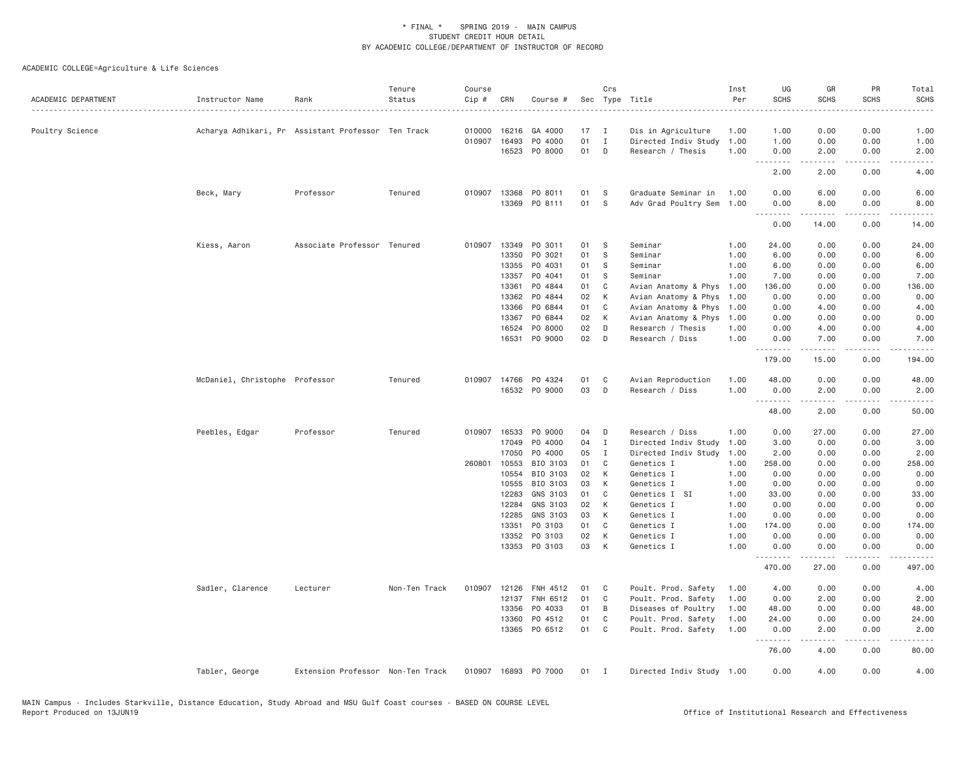| ACADEMIC DEPARTMENT | Instructor Name                | Rank                                               | Tenure<br>Status | Course<br>Cip # | CRN   | Course #             |    | Crs          | Sec Type Title            | Inst<br>Per | UG<br><b>SCHS</b> | GR<br><b>SCHS</b>                                                                                                                                             | <b>PR</b><br><b>SCHS</b> | Total<br><b>SCHS</b><br>. |
|---------------------|--------------------------------|----------------------------------------------------|------------------|-----------------|-------|----------------------|----|--------------|---------------------------|-------------|-------------------|---------------------------------------------------------------------------------------------------------------------------------------------------------------|--------------------------|---------------------------|
| Poultry Science     |                                | Acharya Adhikari, Pr Assistant Professor Ten Track |                  | 010000          | 16216 | GA 4000              | 17 | I            | Dis in Agriculture        | 1.00        | 1.00              | 0.00                                                                                                                                                          | 0.00                     | 1.00                      |
|                     |                                |                                                    |                  | 010907 16493    |       | P0 4000              | 01 | $\mathbf I$  | Directed Indiv Study      | 1.00        | 1.00              | 0.00                                                                                                                                                          | 0.00                     | 1.00                      |
|                     |                                |                                                    |                  |                 | 16523 | PO 8000              | 01 | D            | Research / Thesis         | 1.00        | 0.00<br>.         | 2.00<br>$- - - - - -$                                                                                                                                         | 0.00<br>.                | 2.00<br>$- - - - -$       |
|                     |                                |                                                    |                  |                 |       |                      |    |              |                           |             | 2.00              | 2.00                                                                                                                                                          | 0.00                     | 4.00                      |
|                     | Beck, Mary                     | Professor                                          | Tenured          | 010907 13368    |       | PO 8011              | 01 | -S           | Graduate Seminar in       | 1.00        | 0.00              | 6.00                                                                                                                                                          | 0.00                     | 6.00                      |
|                     |                                |                                                    |                  |                 | 13369 | PO 8111              | 01 | <b>S</b>     | Adv Grad Poultry Sem      | 1.00        | 0.00<br>.         | 8.00<br><u>.</u>                                                                                                                                              | 0.00<br>.                | 8.00<br>.                 |
|                     |                                |                                                    |                  |                 |       |                      |    |              |                           |             | 0.00              | 14.00                                                                                                                                                         | 0.00                     | 14.00                     |
|                     | Kiess, Aaron                   | Associate Professor Tenured                        |                  | 010907          | 13349 | PO 3011              | 01 | S            | Seminar                   | 1.00        | 24.00             | 0.00                                                                                                                                                          | 0.00                     | 24.00                     |
|                     |                                |                                                    |                  |                 | 13350 | PO 3021              | 01 | S            | Seminar                   | 1.00        | 6.00              | 0.00                                                                                                                                                          | 0.00                     | 6.00                      |
|                     |                                |                                                    |                  |                 | 13355 | PO 4031              | 01 | S            | Seminar                   | 1.00        | 6.00              | 0.00                                                                                                                                                          | 0.00                     | 6.00                      |
|                     |                                |                                                    |                  |                 | 13357 | PO 4041              | 01 | S            | Seminar                   | 1.00        | 7.00              | 0.00                                                                                                                                                          | 0.00                     | 7.00                      |
|                     |                                |                                                    |                  |                 | 13361 | PO 4844              | 01 | C            | Avian Anatomy & Phys      | 1.00        | 136.00            | 0.00                                                                                                                                                          | 0.00                     | 136.00                    |
|                     |                                |                                                    |                  |                 | 13362 | PO 4844              | 02 | K            | Avian Anatomy & Phys      | 1.00        | 0.00              | 0.00                                                                                                                                                          | 0.00                     | 0.00                      |
|                     |                                |                                                    |                  |                 | 13366 | PO 6844              | 01 | C            | Avian Anatomy & Phys      | 1.00        | 0.00              | 4.00                                                                                                                                                          | 0.00                     | 4.00                      |
|                     |                                |                                                    |                  |                 | 13367 | PO 6844              | 02 | К            | Avian Anatomy & Phys      | 1.00        | 0.00              | 0.00                                                                                                                                                          | 0.00                     | 0.00                      |
|                     |                                |                                                    |                  |                 | 16524 | PO 8000              | 02 | D            | Research / Thesis         | 1.00        | 0.00              | 4.00                                                                                                                                                          | 0.00                     | 4.00                      |
|                     |                                |                                                    |                  |                 | 16531 | PO 9000              | 02 | D            | Research / Diss           | 1.00        | 0.00<br>.         | 7.00<br>د د د د د                                                                                                                                             | 0.00<br>د د د د          | 7.00<br>.                 |
|                     |                                |                                                    |                  |                 |       |                      |    |              |                           |             | 179.00            | 15.00                                                                                                                                                         | 0.00                     | 194.00                    |
|                     | McDaniel, Christophe Professor |                                                    | Tenured          | 010907 14766    |       | PO 4324              | 01 | C            | Avian Reproduction        | 1.00        | 48.00             | 0.00                                                                                                                                                          | 0.00                     | 48.00                     |
|                     |                                |                                                    |                  |                 |       | 16532 PO 9000        | 03 | D            | Research / Diss           | 1.00        | 0.00              | 2.00                                                                                                                                                          | 0.00                     | 2.00                      |
|                     |                                |                                                    |                  |                 |       |                      |    |              |                           |             | .<br>48.00        | $\frac{1}{2} \left( \frac{1}{2} \right) \left( \frac{1}{2} \right) \left( \frac{1}{2} \right) \left( \frac{1}{2} \right) \left( \frac{1}{2} \right)$<br>2.00  | .<br>0.00                | المتمامين<br>50.00        |
|                     | Peebles, Edgar                 | Professor                                          | Tenured          | 010907 16533    |       | PO 9000              | 04 | D            | Research / Diss           | 1.00        | 0.00              | 27.00                                                                                                                                                         | 0.00                     | 27.00                     |
|                     |                                |                                                    |                  |                 | 17049 | P0 4000              | 04 | $\mathbf{I}$ | Directed Indiv Study      | 1.00        | 3.00              | 0.00                                                                                                                                                          | 0.00                     | 3.00                      |
|                     |                                |                                                    |                  |                 | 17050 | PO 4000              | 05 | I            | Directed Indiv Study      | 1.00        | 2.00              | 0.00                                                                                                                                                          | 0.00                     | 2.00                      |
|                     |                                |                                                    |                  | 260801 10553    |       | BIO 3103             | 01 | C            | Genetics I                | 1.00        | 258.00            | 0.00                                                                                                                                                          | 0.00                     | 258.00                    |
|                     |                                |                                                    |                  |                 | 10554 | BIO 3103             | 02 | К            | Genetics I                | 1.00        | 0.00              | 0.00                                                                                                                                                          | 0.00                     | 0.00                      |
|                     |                                |                                                    |                  |                 | 10555 | BIO 3103             | 03 | К            | Genetics I                | 1.00        | 0.00              | 0.00                                                                                                                                                          | 0.00                     | 0.00                      |
|                     |                                |                                                    |                  |                 | 12283 | GNS 3103             | 01 | C            | Genetics I SI             | 1.00        | 33.00             | 0.00                                                                                                                                                          | 0.00                     | 33.00                     |
|                     |                                |                                                    |                  |                 | 12284 | GNS 3103             | 02 | К            | Genetics I                | 1.00        | 0.00              | 0.00                                                                                                                                                          | 0.00                     | 0.00                      |
|                     |                                |                                                    |                  |                 | 12285 | GNS 3103             | 03 | К            | Genetics I                | 1.00        | 0.00              | 0.00                                                                                                                                                          | 0.00                     | 0.00                      |
|                     |                                |                                                    |                  |                 | 13351 | PO 3103              | 01 | C            | Genetics I                | 1.00        | 174.00            | 0.00                                                                                                                                                          | 0.00                     | 174.00                    |
|                     |                                |                                                    |                  |                 | 13352 | PO 3103              | 02 | К            | Genetics I                | 1.00        | 0.00              | 0.00                                                                                                                                                          | 0.00                     | 0.00                      |
|                     |                                |                                                    |                  |                 |       | 13353 PO 3103        | 03 | К            | Genetics I                | 1.00        | 0.00              | 0.00                                                                                                                                                          | 0.00                     | 0.00                      |
|                     |                                |                                                    |                  |                 |       |                      |    |              |                           |             | .<br>470.00       | $\frac{1}{2} \left( \frac{1}{2} \right) \left( \frac{1}{2} \right) \left( \frac{1}{2} \right) \left( \frac{1}{2} \right) \left( \frac{1}{2} \right)$<br>27.00 | والأمام<br>0.00          | -----<br>497.00           |
|                     | Sadler, Clarence               | Lecturer                                           | Non-Ten Track    | 010907 12126    |       | FNH 4512             | 01 | C            | Poult. Prod. Safety       | 1.00        | 4.00              | 0.00                                                                                                                                                          | 0.00                     | 4.00                      |
|                     |                                |                                                    |                  |                 | 12137 | FNH 6512             | 01 | C            | Poult. Prod. Safety       | 1.00        | 0.00              | 2.00                                                                                                                                                          | 0.00                     | 2.00                      |
|                     |                                |                                                    |                  |                 | 13356 | PO 4033              | 01 | B            | Diseases of Poultry       | 1.00        | 48.00             | 0.00                                                                                                                                                          | 0.00                     | 48.00                     |
|                     |                                |                                                    |                  |                 | 13360 | PO 4512              | 01 | C            | Poult. Prod. Safety       | 1.00        | 24.00             | 0.00                                                                                                                                                          | 0.00                     | 24.00                     |
|                     |                                |                                                    |                  |                 |       | 13365 PO 6512        | 01 | C            | Poult. Prod. Safety       | 1.00        | 0.00<br><u>.</u>  | 2.00<br>.                                                                                                                                                     | 0.00<br>.                | 2.00<br>.                 |
|                     |                                |                                                    |                  |                 |       |                      |    |              |                           |             | 76.00             | 4.00                                                                                                                                                          | 0.00                     | 80.00                     |
|                     | Tabler, George                 | Extension Professor Non-Ten Track                  |                  |                 |       | 010907 16893 PO 7000 | 01 | $\mathbf{I}$ | Directed Indiv Study 1.00 |             | 0.00              | 4.00                                                                                                                                                          | 0.00                     | 4.00                      |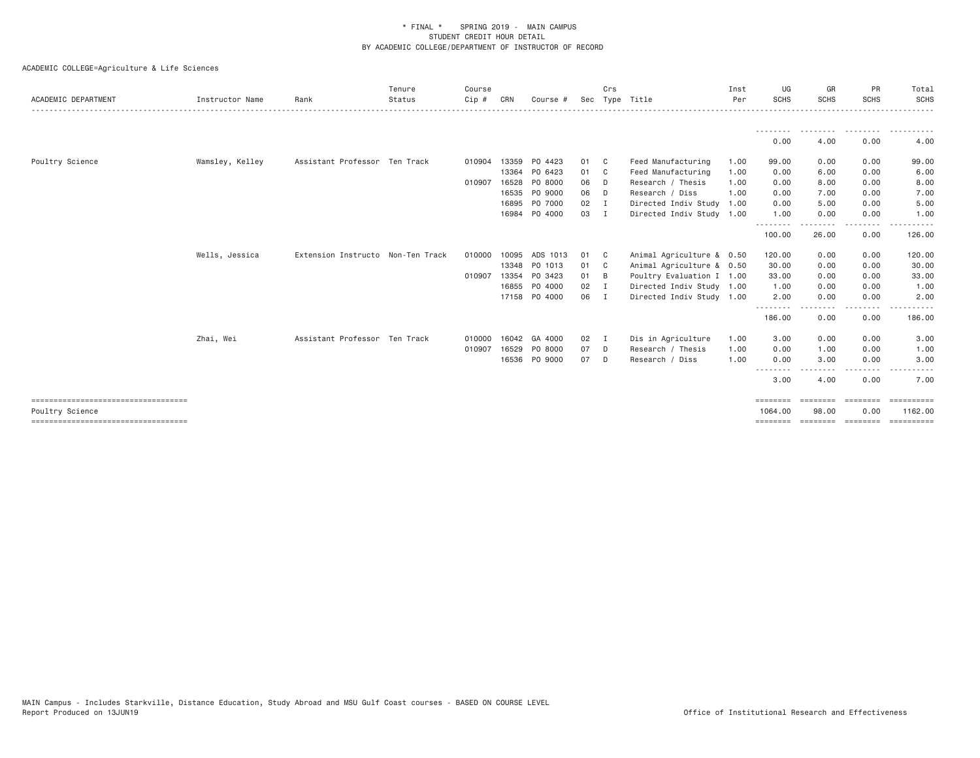| ACADEMIC DEPARTMENT                                     | Instructor Name | Rank                              | Tenure<br>Status | Course<br>Cip # | CRN   | Course #      |              | Crs            | Sec Type Title            | Inst<br>Per | UG<br><b>SCHS</b>   | GR<br><b>SCHS</b>    | PR<br><b>SCHS</b>      | Total<br><b>SCHS</b> |
|---------------------------------------------------------|-----------------|-----------------------------------|------------------|-----------------|-------|---------------|--------------|----------------|---------------------------|-------------|---------------------|----------------------|------------------------|----------------------|
|                                                         |                 |                                   |                  |                 |       |               |              |                |                           |             |                     | ---------            | .                      | ----------           |
|                                                         |                 |                                   |                  |                 |       |               |              |                |                           |             | 0.00                | 4.00                 | 0.00                   | 4.00                 |
| Poultry Science                                         | Wamsley, Kelley | Assistant Professor Ten Track     |                  | 010904          | 13359 | PO 4423       | 01 C         |                | Feed Manufacturing        | 1.00        | 99.00               | 0.00                 | 0.00                   | 99.00                |
|                                                         |                 |                                   |                  |                 | 13364 | PO 6423       | 01 C         |                | Feed Manufacturing        | 1.00        | 0.00                | 6.00                 | 0.00                   | 6.00                 |
|                                                         |                 |                                   |                  | 010907          | 16528 | PO 8000       | 06 D         |                | Research / Thesis         | 1.00        | 0.00                | 8.00                 | 0.00                   | 8.00                 |
|                                                         |                 |                                   |                  |                 | 16535 | PO 9000       | 06 D         |                | Research / Diss           | 1.00        | 0.00                | 7.00                 | 0.00                   | 7.00                 |
|                                                         |                 |                                   |                  |                 | 16895 | PO 7000       | 02           | $\blacksquare$ | Directed Indiv Study 1.00 |             | 0.00                | 5.00                 | 0.00                   | 5.00                 |
|                                                         |                 |                                   |                  |                 |       | 16984 PO 4000 | 03 I         |                | Directed Indiv Study 1.00 |             | 1.00                | 0.00                 | 0.00                   | 1.00                 |
|                                                         |                 |                                   |                  |                 |       |               |              |                |                           |             | 100.00              | . <u>.</u><br>26.00  | -----<br>0.00          | <u>.</u><br>126.00   |
|                                                         | Wells, Jessica  | Extension Instructo Non-Ten Track |                  | 010000          | 10095 | ADS 1013      | 01           | $\mathbf{C}$   | Animal Agriculture & 0.50 |             | 120.00              | 0.00                 | 0.00                   | 120.00               |
|                                                         |                 |                                   |                  |                 |       | 13348 PO 1013 | 01 C         |                | Animal Agriculture & 0.50 |             | 30.00               | 0.00                 | 0.00                   | 30.00                |
|                                                         |                 |                                   |                  | 010907          | 13354 | PO 3423       | $01 \quad B$ |                | Poultry Evaluation I 1.00 |             | 33.00               | 0.00                 | 0.00                   | 33.00                |
|                                                         |                 |                                   |                  |                 | 16855 | PO 4000       | 02           | $\mathbf I$    | Directed Indiv Study 1.00 |             | 1.00                | 0.00                 | 0.00                   | 1.00                 |
|                                                         |                 |                                   |                  |                 |       | 17158 PO 4000 | 06           | $\mathbf I$    | Directed Indiv Study 1.00 |             | 2.00                | 0.00                 | 0.00                   | 2.00                 |
|                                                         |                 |                                   |                  |                 |       |               |              |                |                           |             | --------<br>186.00  | . <u>.</u> .<br>0.00 | -----<br>0.00          | 186.00               |
|                                                         | Zhai, Wei       | Assistant Professor Ten Track     |                  | 010000          |       | 16042 GA 4000 | 02 I         |                | Dis in Agriculture        | 1.00        | 3.00                | 0.00                 | 0.00                   | 3.00                 |
|                                                         |                 |                                   |                  | 010907          | 16529 | PO 8000       | 07           | D.             | Research / Thesis         | 1.00        | 0.00                | 1.00                 | 0.00                   | 1.00                 |
|                                                         |                 |                                   |                  |                 |       | 16536 PO 9000 | 07           | D              | Research / Diss           | 1.00        | 0.00                | 3.00                 | 0.00                   | 3.00                 |
|                                                         |                 |                                   |                  |                 |       |               |              |                |                           |             | $- - -$<br>3.00     | 4.00                 | 0.00                   | 7.00                 |
| ====================================<br>Poultry Science |                 |                                   |                  |                 |       |               |              |                |                           |             | ========<br>1064,00 | ---------<br>98,00   | <b>EBBERED</b><br>0.00 | EEEEEEEEE<br>1162.00 |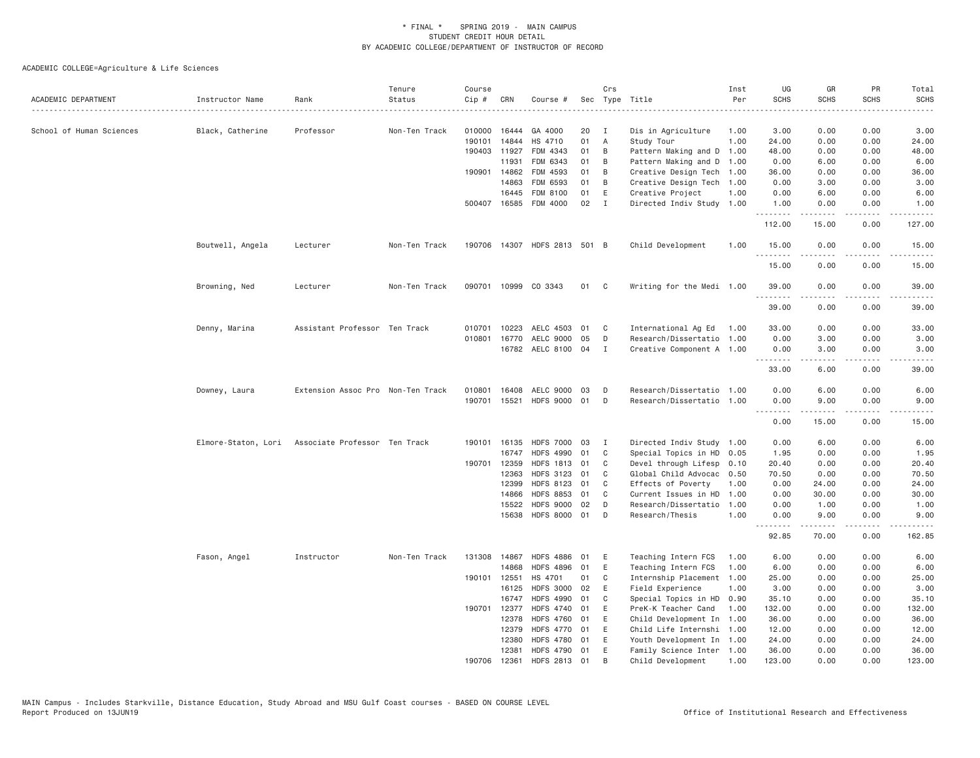| ACADEMIC DEPARTMENT      | Instructor Name     | Rank                              | Tenure<br>Status | Course<br>Cip # | CRN          | Course #                     |    | Crs            | Sec Type Title            | Inst<br>Per | UG<br><b>SCHS</b>  | GR<br><b>SCHS</b>                                                                                                                                                                                                                                                                                                                            | PR<br><b>SCHS</b> | Total<br><b>SCHS</b> |
|--------------------------|---------------------|-----------------------------------|------------------|-----------------|--------------|------------------------------|----|----------------|---------------------------|-------------|--------------------|----------------------------------------------------------------------------------------------------------------------------------------------------------------------------------------------------------------------------------------------------------------------------------------------------------------------------------------------|-------------------|----------------------|
|                          |                     |                                   | .                |                 |              |                              |    |                | .                         |             |                    |                                                                                                                                                                                                                                                                                                                                              |                   | $- - - -$            |
| School of Human Sciences | Black, Catherine    | Professor                         | Non-Ten Track    | 010000          | 16444        | GA 4000                      | 20 | $\mathbf{I}$   | Dis in Agriculture        | 1.00        | 3.00               | 0.00                                                                                                                                                                                                                                                                                                                                         | 0.00              | 3.00                 |
|                          |                     |                                   |                  | 190101          | 14844        | HS 4710                      | 01 | $\overline{A}$ | Study Tour                | 1.00        | 24.00              | 0.00                                                                                                                                                                                                                                                                                                                                         | 0.00              | 24.00                |
|                          |                     |                                   |                  | 190403          | 11927        | FDM 4343                     | 01 | B              | Pattern Making and D      | 1.00        | 48.00              | 0.00                                                                                                                                                                                                                                                                                                                                         | 0.00              | 48.00                |
|                          |                     |                                   |                  |                 | 11931        | FDM 6343                     | 01 | B              | Pattern Making and D      | 1.00        | 0.00               | 6.00                                                                                                                                                                                                                                                                                                                                         | 0.00              | 6.00                 |
|                          |                     |                                   |                  |                 | 190901 14862 | FDM 4593                     | 01 | B              | Creative Design Tech 1.00 |             | 36.00              | 0.00                                                                                                                                                                                                                                                                                                                                         | 0.00              | 36.00                |
|                          |                     |                                   |                  |                 | 14863        | FDM 6593                     | 01 | B              | Creative Design Tech 1.00 |             | 0.00               | 3.00                                                                                                                                                                                                                                                                                                                                         | 0.00              | 3.00                 |
|                          |                     |                                   |                  |                 | 16445        | FDM 8100                     | 01 | E              | Creative Project          | 1.00        | 0.00               | 6.00                                                                                                                                                                                                                                                                                                                                         | 0.00              | 6.00                 |
|                          |                     |                                   |                  |                 |              | 500407 16585 FDM 4000        | 02 | $\mathbf{I}$   | Directed Indiv Study 1.00 |             | 1.00<br>.          | 0.00<br>$\frac{1}{2} \left( \begin{array}{ccc} 1 & 0 & 0 & 0 \\ 0 & 0 & 0 & 0 \\ 0 & 0 & 0 & 0 \\ 0 & 0 & 0 & 0 \\ 0 & 0 & 0 & 0 \\ 0 & 0 & 0 & 0 \\ 0 & 0 & 0 & 0 \\ 0 & 0 & 0 & 0 \\ 0 & 0 & 0 & 0 \\ 0 & 0 & 0 & 0 \\ 0 & 0 & 0 & 0 & 0 \\ 0 & 0 & 0 & 0 & 0 \\ 0 & 0 & 0 & 0 & 0 \\ 0 & 0 & 0 & 0 & 0 \\ 0 & 0 & 0 & 0 & 0 \\ 0 & 0 & 0$ | 0.00<br>.         | 1.00<br>.            |
|                          |                     |                                   |                  |                 |              |                              |    |                |                           |             | 112.00             | 15.00                                                                                                                                                                                                                                                                                                                                        | 0.00              | 127.00               |
|                          | Boutwell, Angela    | Lecturer                          | Non-Ten Track    |                 |              | 190706 14307 HDFS 2813 501 B |    |                | Child Development         | 1.00        | 15.00<br>.         | 0.00                                                                                                                                                                                                                                                                                                                                         | 0.00              | 15.00                |
|                          |                     |                                   |                  |                 |              |                              |    |                |                           |             | 15.00              | 0.00                                                                                                                                                                                                                                                                                                                                         | 0.00              | 15.00                |
|                          | Browning, Ned       | Lecturer                          | Non-Ten Track    |                 |              | 090701 10999 CO 3343         | 01 | C <sub>c</sub> | Writing for the Medi 1.00 |             | 39.00<br>.         | 0.00<br>.                                                                                                                                                                                                                                                                                                                                    | 0.00<br>$- - - -$ | 39.00<br>.           |
|                          |                     |                                   |                  |                 |              |                              |    |                |                           |             | 39.00              | 0.00                                                                                                                                                                                                                                                                                                                                         | 0.00              | 39,00                |
|                          | Denny, Marina       | Assistant Professor Ten Track     |                  | 010701          | 10223        | AELC 4503                    | 01 | C              | International Ag Ed       | 1.00        | 33.00              | 0.00                                                                                                                                                                                                                                                                                                                                         | 0.00              | 33.00                |
|                          |                     |                                   |                  | 010801          | 16770        | AELC 9000                    | 05 | D              | Research/Dissertatio 1.00 |             | 0.00               | 3.00                                                                                                                                                                                                                                                                                                                                         | 0.00              | 3.00                 |
|                          |                     |                                   |                  |                 |              | 16782 AELC 8100 04           |    | I              | Creative Component A 1.00 |             | 0.00<br>. <i>.</i> | 3.00<br>.                                                                                                                                                                                                                                                                                                                                    | 0.00<br>$- - - -$ | 3.00                 |
|                          |                     |                                   |                  |                 |              |                              |    |                |                           |             | 33.00              | 6.00                                                                                                                                                                                                                                                                                                                                         | 0.00              | 39.00                |
|                          | Downey, Laura       | Extension Assoc Pro Non-Ten Track |                  | 010801          | 16408        | AELC 9000 03                 |    | D              | Research/Dissertatio 1.00 |             | 0.00               | 6.00                                                                                                                                                                                                                                                                                                                                         | 0.00              | 6.00                 |
|                          |                     |                                   |                  |                 | 190701 15521 | HDFS 9000 01                 |    | D              | Research/Dissertatio 1.00 |             | 0.00<br><b></b>    | 9.00<br>$- - - - -$                                                                                                                                                                                                                                                                                                                          | 0.00<br>.         | 9.00<br>.            |
|                          |                     |                                   |                  |                 |              |                              |    |                |                           |             | 0.00               | 15.00                                                                                                                                                                                                                                                                                                                                        | 0.00              | 15.00                |
|                          | Elmore-Staton, Lori | Associate Professor Ten Track     |                  |                 | 190101 16135 | <b>HDFS 7000</b>             | 03 | I              | Directed Indiv Study 1.00 |             | 0.00               | 6.00                                                                                                                                                                                                                                                                                                                                         | 0.00              | 6.00                 |
|                          |                     |                                   |                  |                 | 16747        | <b>HDFS 4990</b>             | 01 | C              | Special Topics in HD 0.05 |             | 1.95               | 0.00                                                                                                                                                                                                                                                                                                                                         | 0.00              | 1.95                 |
|                          |                     |                                   |                  | 190701          | 12359        | HDFS 1813 01                 |    | C              | Devel through Lifesp      | 0.10        | 20.40              | 0.00                                                                                                                                                                                                                                                                                                                                         | 0.00              | 20.40                |
|                          |                     |                                   |                  |                 | 12363        | <b>HDFS 3123</b>             | 01 | C              | Global Child Advocac      | 0.50        | 70.50              | 0.00                                                                                                                                                                                                                                                                                                                                         | 0.00              | 70.50                |
|                          |                     |                                   |                  |                 | 12399        | HDFS 8123 01                 |    | C              | Effects of Poverty        | 1.00        | 0.00               | 24.00                                                                                                                                                                                                                                                                                                                                        | 0.00              | 24.00                |
|                          |                     |                                   |                  |                 | 14866        | <b>HDFS 8853</b>             | 01 | C              | Current Issues in HD      | 1.00        | 0.00               | 30.00                                                                                                                                                                                                                                                                                                                                        | 0.00              | 30.00                |
|                          |                     |                                   |                  |                 | 15522        | <b>HDFS 9000</b>             | 02 | D              | Research/Dissertatio      | 1.00        | 0.00               | 1.00                                                                                                                                                                                                                                                                                                                                         | 0.00              | 1.00                 |
|                          |                     |                                   |                  |                 | 15638        | <b>HDFS 8000</b>             | 01 | D              | Research/Thesis           | 1.00        | 0.00<br><u>.</u>   | 9.00<br>$\frac{1}{2} \left( \frac{1}{2} \right) \left( \frac{1}{2} \right) \left( \frac{1}{2} \right) \left( \frac{1}{2} \right) \left( \frac{1}{2} \right)$                                                                                                                                                                                 | 0.00<br>.         | 9.00<br>.            |
|                          |                     |                                   |                  |                 |              |                              |    |                |                           |             | 92.85              | 70.00                                                                                                                                                                                                                                                                                                                                        | 0.00              | 162.85               |
|                          | Fason, Angel        | Instructor                        | Non-Ten Track    |                 | 131308 14867 | <b>HDFS 4886</b>             | 01 | Ε              | Teaching Intern FCS       | 1.00        | 6.00               | 0.00                                                                                                                                                                                                                                                                                                                                         | 0.00              | 6.00                 |
|                          |                     |                                   |                  |                 | 14868        | <b>HDFS 4896</b>             | 01 | Ε              | Teaching Intern FCS       | 1.00        | 6.00               | 0.00                                                                                                                                                                                                                                                                                                                                         | 0.00              | 6.00                 |
|                          |                     |                                   |                  | 190101          | 12551        | HS 4701                      | 01 | C              | Internship Placement 1.00 |             | 25.00              | 0.00                                                                                                                                                                                                                                                                                                                                         | 0.00              | 25.00                |
|                          |                     |                                   |                  |                 | 16125        | <b>HDFS 3000</b>             | 02 | Ε              | Field Experience          | 1.00        | 3.00               | 0.00                                                                                                                                                                                                                                                                                                                                         | 0.00              | 3.00                 |
|                          |                     |                                   |                  |                 | 16747        | <b>HDFS 4990</b>             | 01 | C              | Special Topics in HD      | 0.90        | 35.10              | 0.00                                                                                                                                                                                                                                                                                                                                         | 0.00              | 35.10                |
|                          |                     |                                   |                  |                 | 190701 12377 | <b>HDFS 4740</b>             | 01 | Ε              | PreK-K Teacher Cand       | 1,00        | 132.00             | 0.00                                                                                                                                                                                                                                                                                                                                         | 0.00              | 132.00               |
|                          |                     |                                   |                  |                 | 12378        | <b>HDFS 4760</b>             | 01 | Ε              | Child Development In      | 1.00        | 36.00              | 0.00                                                                                                                                                                                                                                                                                                                                         | 0.00              | 36.00                |
|                          |                     |                                   |                  |                 | 12379        | HDFS 4770 01                 |    | E              | Child Life Internshi 1.00 |             | 12.00              | 0.00                                                                                                                                                                                                                                                                                                                                         | 0.00              | 12.00                |
|                          |                     |                                   |                  |                 | 12380        | <b>HDFS 4780</b>             | 01 | Ε              | Youth Development In 1.00 |             | 24.00              | 0.00                                                                                                                                                                                                                                                                                                                                         | 0.00              | 24.00                |
|                          |                     |                                   |                  |                 | 12381        | HDFS 4790 01                 |    | E              | Family Science Inter 1.00 |             | 36.00              | 0.00                                                                                                                                                                                                                                                                                                                                         | 0.00              | 36.00                |
|                          |                     |                                   |                  | 190706          | 12361        | HDFS 2813 01                 |    | <b>B</b>       | Child Development         | 1.00        | 123,00             | 0.00                                                                                                                                                                                                                                                                                                                                         | 0.00              | 123.00               |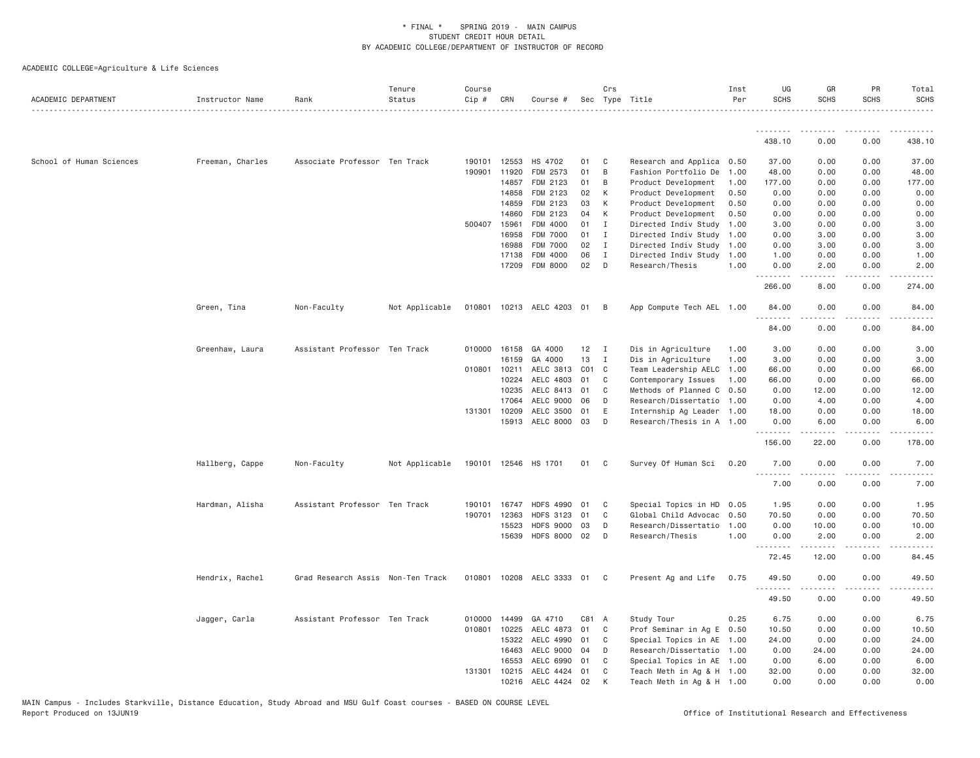| ACADEMIC DEPARTMENT      | Instructor Name  | Rank                              | Tenure<br>Status | Course<br>Cip # | CRN            | Course #                  |           | Crs            | Sec Type Title                                         | Inst<br>Per | UG<br><b>SCHS</b> | GR<br><b>SCHS</b>  | PR<br><b>SCHS</b>               | Total<br><b>SCHS</b>                                                                                                               |
|--------------------------|------------------|-----------------------------------|------------------|-----------------|----------------|---------------------------|-----------|----------------|--------------------------------------------------------|-------------|-------------------|--------------------|---------------------------------|------------------------------------------------------------------------------------------------------------------------------------|
|                          |                  |                                   |                  |                 |                |                           |           |                |                                                        |             | .                 |                    |                                 |                                                                                                                                    |
|                          |                  |                                   |                  |                 |                |                           |           |                |                                                        |             | 438.10            | 0.00               | 0.00                            | 438.10                                                                                                                             |
| School of Human Sciences | Freeman, Charles | Associate Professor Ten Track     |                  |                 | 190101 12553   | HS 4702                   | 01        | C              | Research and Applica 0.50                              |             | 37.00             | 0.00               | 0.00                            | 37.00                                                                                                                              |
|                          |                  |                                   |                  |                 | 190901 11920   | FDM 2573                  | 01        | B              | Fashion Portfolio De                                   | 1.00        | 48.00             | 0.00               | 0.00                            | 48.00                                                                                                                              |
|                          |                  |                                   |                  |                 | 14857          | FDM 2123                  | 01        | B              | Product Development                                    | 1.00        | 177.00            | 0.00               | 0.00                            | 177.00                                                                                                                             |
|                          |                  |                                   |                  |                 | 14858          | FDM 2123                  | 02        | К              | Product Development                                    | 0.50        | 0.00              | 0.00               | 0.00                            | 0.00                                                                                                                               |
|                          |                  |                                   |                  |                 | 14859          | FDM 2123                  | 03        | К              | Product Development                                    | 0.50        | 0.00              | 0.00               | 0.00                            | 0.00                                                                                                                               |
|                          |                  |                                   |                  |                 | 14860          | FDM 2123                  | 04        | K              | Product Development                                    | 0.50        | 0.00              | 0.00               | 0.00                            | 0.00                                                                                                                               |
|                          |                  |                                   |                  |                 | 500407 15961   | FDM 4000                  | 01        | $\mathbf{I}$   | Directed Indiv Study                                   | 1.00        | 3.00              | 0.00               | 0.00                            | 3.00                                                                                                                               |
|                          |                  |                                   |                  |                 | 16958          | FDM 7000                  | 01        | $\mathbf I$    | Directed Indiv Study                                   | 1.00        | 0.00              | 3.00               | 0.00                            | 3.00                                                                                                                               |
|                          |                  |                                   |                  |                 | 16988          | FDM 7000                  | 02        | $\mathbf I$    | Directed Indiv Study 1.00                              |             | 0.00              | 3.00               | 0.00                            | 3.00                                                                                                                               |
|                          |                  |                                   |                  |                 | 17138          | FDM 4000                  | 06        | $\mathbf{I}$   | Directed Indiv Study                                   | 1.00        | 1.00              | 0.00               | 0.00                            | 1.00                                                                                                                               |
|                          |                  |                                   |                  |                 | 17209          | FDM 8000                  | 02        | D              | Research/Thesis                                        | 1,00        | 0.00<br>.         | 2.00<br>.          | 0.00<br>$\omega$ is $\omega$ in | 2.00<br>.                                                                                                                          |
|                          |                  |                                   |                  |                 |                |                           |           |                |                                                        |             | 266.00            | 8.00               | 0.00                            | 274.00                                                                                                                             |
|                          | Green, Tina      | Non-Faculty                       | Not Applicable   |                 |                | 010801 10213 AELC 4203 01 |           | $\overline{B}$ | App Compute Tech AEL 1.00                              |             | 84.00             | 0.00               | 0.00                            | 84.00                                                                                                                              |
|                          |                  |                                   |                  |                 |                |                           |           |                |                                                        |             | .<br>84.00        | 0.00               | 0.00                            | 84.00                                                                                                                              |
|                          |                  |                                   |                  |                 |                |                           |           |                |                                                        |             |                   |                    |                                 |                                                                                                                                    |
|                          | Greenhaw, Laura  | Assistant Professor Ten Track     |                  |                 | 010000 16158   | GA 4000                   | 12        | I              | Dis in Agriculture                                     | 1.00        | 3.00              | 0.00               | 0.00                            | 3.00                                                                                                                               |
|                          |                  |                                   |                  |                 | 16159          | GA 4000                   | 13        | I              | Dis in Agriculture                                     | 1.00        | 3.00              | 0.00               | 0.00                            | 3.00                                                                                                                               |
|                          |                  |                                   |                  |                 | 010801 10211   | AELC 3813                 | $CO1$ $C$ |                | Team Leadership AELC                                   | 1.00        | 66.00             | 0.00               | 0.00                            | 66.00                                                                                                                              |
|                          |                  |                                   |                  |                 | 10224          | AELC 4803                 | 01        | C              | Contemporary Issues                                    | 1.00        | 66.00             | 0.00               | 0.00                            | 66.00                                                                                                                              |
|                          |                  |                                   |                  |                 | 10235          | AELC 8413                 | 01        | C              | Methods of Planned C                                   | 0.50        | 0.00              | 12.00              | 0.00                            | 12.00                                                                                                                              |
|                          |                  |                                   |                  |                 | 17064          | AELC 9000                 | 06        | D              | Research/Dissertatio 1.00                              |             | 0.00              | 4.00               | 0.00                            | 4.00                                                                                                                               |
|                          |                  |                                   |                  |                 | 131301 10209   | AELC 3500                 | 01        | E              | Internship Ag Leader 1.00                              |             | 18.00             | 0.00               | 0.00                            | 18.00                                                                                                                              |
|                          |                  |                                   |                  |                 |                | 15913 AELC 8000 03        |           | D              | Research/Thesis in A 1.00                              |             | 0.00<br>.         | 6.00               | 0.00                            | 6.00                                                                                                                               |
|                          |                  |                                   |                  |                 |                |                           |           |                |                                                        |             | 156.00            | 22.00              | 0.00                            | 178.00                                                                                                                             |
|                          | Hallberg, Cappe  | Non-Faculty                       | Not Applicable   |                 |                | 190101 12546 HS 1701      | 01        | C <sub>c</sub> | Survey Of Human Sci 0.20                               |             | 7.00              | 0.00               | 0.00                            | 7.00                                                                                                                               |
|                          |                  |                                   |                  |                 |                |                           |           |                |                                                        |             | .<br>7.00         | . <u>.</u><br>0.00 | .<br>0.00                       | $- - - - -$<br>7.00                                                                                                                |
|                          | Hardman, Alisha  | Assistant Professor Ten Track     |                  | 190101          | 16747          | <b>HDFS 4990</b>          | 01        | C              | Special Topics in HD                                   | 0.05        | 1.95              | 0.00               | 0.00                            | 1.95                                                                                                                               |
|                          |                  |                                   |                  | 190701          | 12363          | <b>HDFS 3123</b>          | 01        | C              | Global Child Advocac                                   | 0.50        | 70.50             | 0.00               | 0.00                            | 70.50                                                                                                                              |
|                          |                  |                                   |                  |                 | 15523          | <b>HDFS 9000</b>          | 03        | D              | Research/Dissertatio                                   | 1,00        | 0.00              | 10.00              | 0.00                            | 10.00                                                                                                                              |
|                          |                  |                                   |                  |                 | 15639          | HDFS 8000 02              |           | D              | Research/Thesis                                        | 1.00        | 0.00              | 2.00               | 0.00                            | 2.00                                                                                                                               |
|                          |                  |                                   |                  |                 |                |                           |           |                |                                                        |             | .<br>72.45        | .<br>12.00         | 0.00                            | $\frac{1}{2} \left( \frac{1}{2} \right) \left( \frac{1}{2} \right) \left( \frac{1}{2} \right) \left( \frac{1}{2} \right)$<br>84.45 |
|                          | Hendrix, Rachel  | Grad Research Assis Non-Ten Track |                  |                 |                | 010801 10208 AELC 3333 01 |           | C <sub>c</sub> | Present Ag and Life                                    | 0.75        | 49.50             | 0.00               | 0.00                            | 49.50                                                                                                                              |
|                          |                  |                                   |                  |                 |                |                           |           |                |                                                        |             | .<br>49.50        | 0.00               | $\sim$ $\sim$ $\sim$<br>0.00    | 49.50                                                                                                                              |
|                          |                  |                                   |                  |                 |                |                           |           |                |                                                        |             |                   |                    |                                 |                                                                                                                                    |
|                          | Jagger, Carla    | Assistant Professor Ten Track     |                  |                 | 010000 14499   | GA 4710                   | C81 A     |                | Study Tour                                             | 0.25        | 6.75              | 0.00               | 0.00                            | 6.75                                                                                                                               |
|                          |                  |                                   |                  |                 | 010801 10225   | AELC 4873                 | 01        | C              | Prof Seminar in Ag E 0.50                              |             | 10.50             | 0.00               | 0.00                            | 10.50                                                                                                                              |
|                          |                  |                                   |                  |                 | 15322          | AELC 4990                 | 01        | C<br>D         | Special Topics in AE 1.00                              |             | 24.00             | 0.00               | 0.00                            | 24.00                                                                                                                              |
|                          |                  |                                   |                  |                 | 16463          | AELC 9000                 | 04<br>01  | C              | Research/Dissertatio 1.00                              |             | 0.00              | 24.00              | 0.00                            | 24.00                                                                                                                              |
|                          |                  |                                   |                  | 131301          | 16553<br>10215 | AELC 6990<br>AELC 4424    | 01        | C              | Special Topics in AE 1.00<br>Teach Meth in Ag & H 1.00 |             | 0.00<br>32.00     | 6.00<br>0.00       | 0.00<br>0.00                    | 6.00<br>32.00                                                                                                                      |
|                          |                  |                                   |                  |                 |                | 10216 AELC 4424 02        |           | K              | Teach Meth in Ag & H 1.00                              |             | 0.00              | 0.00               | 0.00                            | 0.00                                                                                                                               |
|                          |                  |                                   |                  |                 |                |                           |           |                |                                                        |             |                   |                    |                                 |                                                                                                                                    |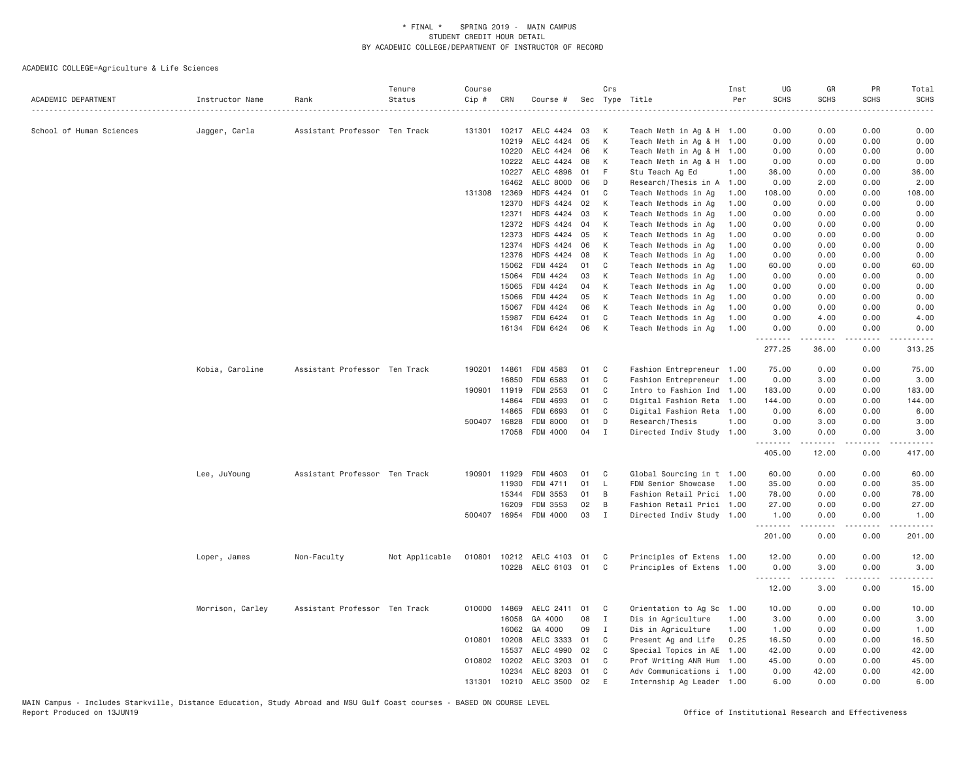| ACADEMIC DEPARTMENT      | Instructor Name  | Rank                          | Tenure<br>Status | Course<br>Cip # | CRN          | Course #                  |    | Crs<br>Sec Type Title |                           | Inst<br>Per | UG<br><b>SCHS</b><br>$\sim$ $\sim$ $\sim$ $\sim$ $\sim$ | GR<br><b>SCHS</b> | PR<br><b>SCHS</b> | Total<br>SCHS<br>.      |
|--------------------------|------------------|-------------------------------|------------------|-----------------|--------------|---------------------------|----|-----------------------|---------------------------|-------------|---------------------------------------------------------|-------------------|-------------------|-------------------------|
| School of Human Sciences | Jagger, Carla    | Assistant Professor Ten Track |                  | 131301          | 10217        | AELC 4424                 | 03 | К                     | Teach Meth in Ag & H 1.00 |             | 0.00                                                    | 0.00              | 0.00              | 0.00                    |
|                          |                  |                               |                  |                 | 10219        | AELC 4424                 | 05 | К                     | Teach Meth in Ag & H 1.00 |             | 0.00                                                    | 0.00              | 0.00              | 0.00                    |
|                          |                  |                               |                  |                 | 10220        | AELC 4424 06              |    | К                     | Teach Meth in Ag & H 1.00 |             | 0.00                                                    | 0.00              | 0.00              | 0.00                    |
|                          |                  |                               |                  |                 | 10222        | AELC 4424 08              |    | К                     | Teach Meth in Ag & H 1.00 |             | 0.00                                                    | 0.00              | 0.00              | 0.00                    |
|                          |                  |                               |                  |                 | 10227        | AELC 4896                 | 01 | F.                    | Stu Teach Ag Ed           | 1.00        | 36.00                                                   | 0.00              | 0.00              | 36.00                   |
|                          |                  |                               |                  |                 | 16462        | AELC 8000 06              |    | D                     | Research/Thesis in A 1.00 |             | 0.00                                                    | 2.00              | 0.00              | 2.00                    |
|                          |                  |                               |                  | 131308          | 12369        | <b>HDFS 4424</b>          | 01 | C                     | Teach Methods in Ag       | 1.00        | 108.00                                                  | 0.00              | 0.00              | 108.00                  |
|                          |                  |                               |                  |                 | 12370        | <b>HDFS 4424</b>          | 02 | К                     | Teach Methods in Ag       | 1.00        | 0.00                                                    | 0.00              | 0.00              | 0.00                    |
|                          |                  |                               |                  |                 | 12371        | <b>HDFS 4424</b>          | 03 | К                     | Teach Methods in Ag       | 1.00        | 0.00                                                    | 0.00              | 0.00              | 0.00                    |
|                          |                  |                               |                  |                 | 12372        | <b>HDFS 4424</b>          | 04 | К                     | Teach Methods in Ag       | 1.00        | 0.00                                                    | 0.00              | 0.00              | 0.00                    |
|                          |                  |                               |                  |                 | 12373        | <b>HDFS 4424</b>          | 05 | К                     | Teach Methods in Ag       | 1.00        | 0.00                                                    | 0.00              | 0.00              | 0.00                    |
|                          |                  |                               |                  |                 | 12374        | <b>HDFS 4424</b>          | 06 | K                     | Teach Methods in Ag       | 1.00        | 0.00                                                    | 0.00              | 0.00              | 0.00                    |
|                          |                  |                               |                  |                 | 12376        | <b>HDFS 4424</b>          | 08 | К                     | Teach Methods in Ag       | 1.00        | 0.00                                                    | 0.00              | 0.00              | 0.00                    |
|                          |                  |                               |                  |                 | 15062        | FDM 4424                  | 01 | C                     | Teach Methods in Ag       | 1.00        | 60.00                                                   | 0.00              | 0.00              | 60.00                   |
|                          |                  |                               |                  |                 | 15064        | FDM 4424                  | 03 | К                     | Teach Methods in Ag       | 1.00        | 0.00                                                    | 0.00              | 0.00              | 0.00                    |
|                          |                  |                               |                  |                 | 15065        | FDM 4424                  | 04 | К                     | Teach Methods in Ag       | 1.00        | 0.00                                                    | 0.00              | 0.00              | 0.00                    |
|                          |                  |                               |                  |                 | 15066        | FDM 4424                  | 05 | K                     | Teach Methods in Ag       | 1.00        | 0.00                                                    | 0.00              | 0.00              | 0.00                    |
|                          |                  |                               |                  |                 | 15067        | FDM 4424                  | 06 | K                     | Teach Methods in Ag       | 1.00        | 0.00                                                    | 0.00              | 0.00              | 0.00                    |
|                          |                  |                               |                  |                 | 15987        | FDM 6424                  | 01 | C                     | Teach Methods in Ag       | 1.00        | 0.00                                                    | 4.00              | 0.00              | 4.00                    |
|                          |                  |                               |                  |                 |              | 16134 FDM 6424            | 06 | K                     | Teach Methods in Ag       | 1.00        | 0.00<br><b></b>                                         | 0.00<br>.         | 0.00<br>.         | 0.00<br>.               |
|                          |                  |                               |                  |                 |              |                           |    |                       |                           |             | 277.25                                                  | 36.00             | 0.00              | 313.25                  |
|                          | Kobia, Caroline  | Assistant Professor Ten Track |                  | 190201          | 14861        | FDM 4583                  | 01 | C                     | Fashion Entrepreneur 1.00 |             | 75.00                                                   | 0.00              | 0.00              | 75.00                   |
|                          |                  |                               |                  |                 | 16850        | FDM 6583                  | 01 | C                     | Fashion Entrepreneur      | 1,00        | 0.00                                                    | 3.00              | 0.00              | 3.00                    |
|                          |                  |                               |                  | 190901          | 11919        | FDM 2553                  | 01 | C                     | Intro to Fashion Ind      | 1.00        | 183.00                                                  | 0.00              | 0.00              | 183.00                  |
|                          |                  |                               |                  |                 | 14864        | FDM 4693                  | 01 | C                     | Digital Fashion Reta      | 1.00        | 144.00                                                  | 0.00              | 0.00              | 144.00                  |
|                          |                  |                               |                  |                 | 14865        | FDM 6693                  | 01 | C                     | Digital Fashion Reta      | 1.00        | 0.00                                                    | 6.00              | 0.00              | 6.00                    |
|                          |                  |                               |                  | 500407          | 16828        | FDM 8000                  | 01 | D                     | Research/Thesis           | 1.00        | 0.00                                                    | 3.00              | 0.00              | 3.00                    |
|                          |                  |                               |                  |                 | 17058        | FDM 4000                  | 04 | $\mathbf{I}$          | Directed Indiv Study 1.00 |             | 3.00<br>$\frac{1}{2}$                                   | 0.00<br>.         | 0.00<br>$   -$    | 3.00                    |
|                          |                  |                               |                  |                 |              |                           |    |                       |                           |             | 405.00                                                  | 12.00             | 0.00              | 417.00                  |
|                          | Lee, JuYoung     | Assistant Professor Ten Track |                  |                 | 190901 11929 | FDM 4603                  | 01 | C                     | Global Sourcing in t 1.00 |             | 60.00                                                   | 0.00              | 0.00              | 60.00                   |
|                          |                  |                               |                  |                 | 11930        | FDM 4711                  | 01 | L                     | FDM Senior Showcase       | 1.00        | 35.00                                                   | 0.00              | 0.00              | 35.00                   |
|                          |                  |                               |                  |                 | 15344        | FDM 3553                  | 01 | B                     | Fashion Retail Prici 1.00 |             | 78.00                                                   | 0.00              | 0.00              | 78.00                   |
|                          |                  |                               |                  |                 | 16209        | FDM 3553                  | 02 | B                     | Fashion Retail Prici 1.00 |             | 27.00                                                   | 0.00              | 0.00              | 27.00                   |
|                          |                  |                               |                  | 500407          | 16954        | FDM 4000                  | 03 | $\mathbf I$           | Directed Indiv Study 1.00 |             | 1.00                                                    | 0.00              | 0.00              | 1.00                    |
|                          |                  |                               |                  |                 |              |                           |    |                       |                           |             | <b><i><u></u></i></b><br>201.00                         | .<br>0.00         | .<br>0.00         | $- - - - - -$<br>201.00 |
|                          | Loper, James     | Non-Faculty                   | Not Applicable   | 010801          |              | 10212 AELC 4103 01        |    | C                     | Principles of Extens 1.00 |             | 12.00                                                   | 0.00              | 0.00              | 12.00                   |
|                          |                  |                               |                  |                 |              | 10228 AELC 6103 01        |    | C                     | Principles of Extens 1.00 |             | 0.00                                                    | 3.00              | 0.00              | 3.00                    |
|                          |                  |                               |                  |                 |              |                           |    |                       |                           |             | .                                                       | .                 | .                 | .                       |
|                          |                  |                               |                  |                 |              |                           |    |                       |                           |             | 12.00                                                   | 3.00              | 0.00              | 15.00                   |
|                          | Morrison, Carley | Assistant Professor Ten Track |                  | 010000          | 14869        | AELC 2411 01              |    | C                     | Orientation to Ag Sc      | 1.00        | 10.00                                                   | 0.00              | 0.00              | 10.00                   |
|                          |                  |                               |                  |                 | 16058        | GA 4000                   | 08 | $\mathbf I$           | Dis in Agriculture        | 1.00        | 3.00                                                    | 0.00              | 0.00              | 3.00                    |
|                          |                  |                               |                  |                 | 16062        | GA 4000                   | 09 | $\mathbf{I}$          | Dis in Agriculture        | 1.00        | 1.00                                                    | 0.00              | 0.00              | 1.00                    |
|                          |                  |                               |                  |                 | 010801 10208 | AELC 3333                 | 01 | C                     | Present Ag and Life       | 0.25        | 16.50                                                   | 0.00              | 0.00              | 16.50                   |
|                          |                  |                               |                  |                 | 15537        | AELC 4990                 | 02 | C                     | Special Topics in AE      | 1.00        | 42.00                                                   | 0.00              | 0.00              | 42.00                   |
|                          |                  |                               |                  |                 | 010802 10202 | AELC 3203                 | 01 | C                     | Prof Writing ANR Hum      | 1.00        | 45.00                                                   | 0.00              | 0.00              | 45.00                   |
|                          |                  |                               |                  |                 | 10234        | AELC 8203                 | 01 | C                     | Adv Communications i 1.00 |             | 0.00                                                    | 42.00             | 0.00              | 42.00                   |
|                          |                  |                               |                  |                 |              | 131301 10210 AELC 3500 02 |    | E                     | Internship Ag Leader 1.00 |             | 6.00                                                    | 0.00              | 0.00              | 6.00                    |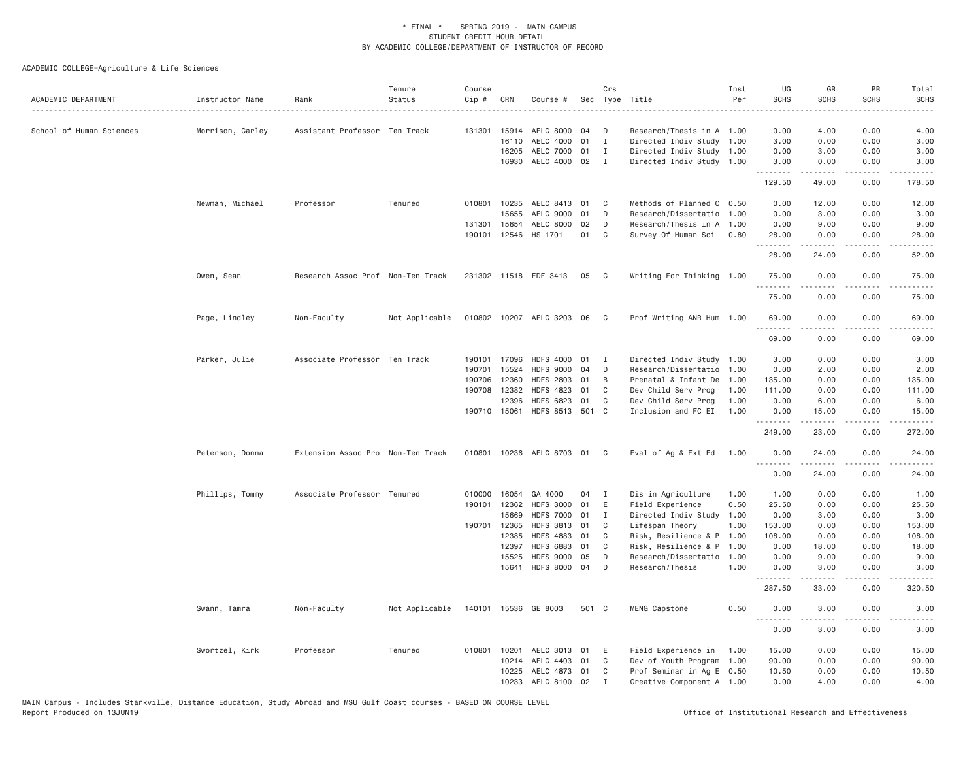| ACADEMIC DEPARTMENT      | Instructor Name  | Rank                              | Tenure<br>Status | Course<br>$Cip \#$ | CRN          | Course #                  |       | Crs          | Sec Type Title            | Inst<br>Per | UG<br><b>SCHS</b>     | GR<br><b>SCHS</b> | PR<br><b>SCHS</b>            | Total<br><b>SCHS</b><br>$\frac{1}{2} \left( \frac{1}{2} \right) \left( \frac{1}{2} \right) \left( \frac{1}{2} \right) \left( \frac{1}{2} \right)$ |
|--------------------------|------------------|-----------------------------------|------------------|--------------------|--------------|---------------------------|-------|--------------|---------------------------|-------------|-----------------------|-------------------|------------------------------|---------------------------------------------------------------------------------------------------------------------------------------------------|
| School of Human Sciences | Morrison, Carley | Assistant Professor Ten Track     |                  |                    |              | 131301  15914  AELC  8000 | 04    | D            | Research/Thesis in A 1.00 |             | 0.00                  | 4.00              | 0.00                         | 4.00                                                                                                                                              |
|                          |                  |                                   |                  |                    | 16110        | AELC 4000                 | 01    | $\mathbf I$  | Directed Indiv Study 1.00 |             | 3.00                  | 0.00              | 0.00                         | 3.00                                                                                                                                              |
|                          |                  |                                   |                  |                    | 16205        | AELC 7000                 | 01    | $\mathbf{I}$ | Directed Indiv Study 1.00 |             | 0.00                  | 3.00              | 0.00                         | 3.00                                                                                                                                              |
|                          |                  |                                   |                  |                    | 16930        | AELC 4000 02              |       | I            | Directed Indiv Study 1.00 |             | 3.00<br>.             | 0.00              | 0.00<br>$- - - -$            | 3.00                                                                                                                                              |
|                          |                  |                                   |                  |                    |              |                           |       |              |                           |             | 129.50                | 49.00             | 0.00                         | 178.50                                                                                                                                            |
|                          | Newman, Michael  | Professor                         | Tenured          |                    | 010801 10235 | AELC 8413 01              |       | C            | Methods of Planned C 0.50 |             | 0.00                  | 12.00             | 0.00                         | 12.00                                                                                                                                             |
|                          |                  |                                   |                  |                    | 15655        | AELC 9000                 | 01    | D            | Research/Dissertatio 1.00 |             | 0.00                  | 3.00              | 0.00                         | 3.00                                                                                                                                              |
|                          |                  |                                   |                  |                    | 131301 15654 | AELC 8000                 | 02    | D            | Research/Thesis in A 1.00 |             | 0.00                  | 9.00              | 0.00                         | 9.00                                                                                                                                              |
|                          |                  |                                   |                  |                    | 190101 12546 | HS 1701                   | 01    | C            | Survey Of Human Sci       | 0.80        | 28.00<br>.            | 0.00              | 0.00<br>$\sim$ $\sim$ $\sim$ | 28.00                                                                                                                                             |
|                          |                  |                                   |                  |                    |              |                           |       |              |                           |             | 28.00                 | 24.00             | 0.00                         | 52.00                                                                                                                                             |
|                          | Owen, Sean       | Research Assoc Prof Non-Ten Track |                  |                    |              | 231302 11518 EDF 3413     | 05    | $\mathbf{C}$ | Writing For Thinking 1.00 |             | 75.00                 | 0.00              | 0.00                         | 75.00                                                                                                                                             |
|                          |                  |                                   |                  |                    |              |                           |       |              |                           |             | 75.00                 | 0.00              | 0.00                         | 75.00                                                                                                                                             |
|                          | Page, Lindley    | Non-Faculty                       | Not Applicable   |                    |              | 010802 10207 AELC 3203 06 |       | - C          | Prof Writing ANR Hum 1.00 |             | 69.00<br>. <u>.</u> . | 0.00              | 0.00                         | 69.00                                                                                                                                             |
|                          |                  |                                   |                  |                    |              |                           |       |              |                           |             | 69.00                 | 0.00              | 0.00                         | 69.00                                                                                                                                             |
|                          | Parker, Julie    | Associate Professor Ten Track     |                  |                    | 190101 17096 | <b>HDFS 4000</b>          | 01    | I            | Directed Indiv Study 1.00 |             | 3.00                  | 0.00              | 0.00                         | 3.00                                                                                                                                              |
|                          |                  |                                   |                  | 190701             | 15524        | <b>HDFS 9000</b>          | 04    | D            | Research/Dissertatio 1.00 |             | 0.00                  | 2.00              | 0.00                         | 2.00                                                                                                                                              |
|                          |                  |                                   |                  | 190706             | 12360        | <b>HDFS 2803</b>          | 01    | B            | Prenatal & Infant De      | 1.00        | 135.00                | 0.00              | 0.00                         | 135.00                                                                                                                                            |
|                          |                  |                                   |                  | 190708             | 12382        | <b>HDFS 4823</b>          | 01    | C            | Dev Child Serv Prog       | 1.00        | 111.00                | 0.00              | 0.00                         | 111.00                                                                                                                                            |
|                          |                  |                                   |                  |                    | 12396        | <b>HDFS 6823</b>          | 01    | C            | Dev Child Serv Prog       | 1.00        | 0.00                  | 6.00              | 0.00                         | 6.00                                                                                                                                              |
|                          |                  |                                   |                  |                    | 190710 15061 | HDFS 8513 501 C           |       |              | Inclusion and FC EI       | 1.00        | 0.00<br>.             | 15.00<br>.        | 0.00<br>.                    | 15.00<br>.                                                                                                                                        |
|                          |                  |                                   |                  |                    |              |                           |       |              |                           |             | 249.00                | 23.00             | 0.00                         | 272.00                                                                                                                                            |
|                          | Peterson, Donna  | Extension Assoc Pro Non-Ten Track |                  |                    |              | 010801 10236 AELC 8703 01 |       | C.           | Eval of Ag & Ext Ed       | 1.00        | 0.00<br>.             | 24.00             | 0.00                         | 24.00                                                                                                                                             |
|                          |                  |                                   |                  |                    |              |                           |       |              |                           |             | 0.00                  | 24.00             | 0.00                         | 24.00                                                                                                                                             |
|                          | Phillips, Tommy  | Associate Professor Tenured       |                  |                    | 010000 16054 | GA 4000                   | 04    | $\mathbf{I}$ | Dis in Agriculture        | 1.00        | 1.00                  | 0.00              | 0.00                         | 1.00                                                                                                                                              |
|                          |                  |                                   |                  |                    | 190101 12362 | <b>HDFS 3000</b>          | 01    | E            | Field Experience          | 0.50        | 25.50                 | 0.00              | 0.00                         | 25.50                                                                                                                                             |
|                          |                  |                                   |                  |                    | 15669        | <b>HDFS 7000</b>          | 01    | $\mathbf I$  | Directed Indiv Study      | 1.00        | 0.00                  | 3.00              | 0.00                         | 3.00                                                                                                                                              |
|                          |                  |                                   |                  |                    | 190701 12365 | <b>HDFS 3813</b>          | 01    | C            | Lifespan Theory           | 1.00        | 153.00                | 0.00              | 0.00                         | 153.00                                                                                                                                            |
|                          |                  |                                   |                  |                    | 12385        | <b>HDFS 4883</b>          | 01    | C            | Risk, Resilience & P      | 1.00        | 108.00                | 0.00              | 0.00                         | 108.00                                                                                                                                            |
|                          |                  |                                   |                  |                    | 12397        | <b>HDFS 6883</b>          | 01    | C            | Risk, Resilience & P      | 1.00        | 0.00                  | 18.00             | 0.00                         | 18.00                                                                                                                                             |
|                          |                  |                                   |                  |                    | 15525        | <b>HDFS 9000</b>          | 05    | D            | Research/Dissertatio      | 1.00        | 0.00                  | 9.00              | 0.00                         | 9.00                                                                                                                                              |
|                          |                  |                                   |                  |                    | 15641        | <b>HDFS 8000</b>          | 04    | D            | Research/Thesis           | 1.00        | 0.00<br>.             | 3.00              | 0.00                         | 3.00                                                                                                                                              |
|                          |                  |                                   |                  |                    |              |                           |       |              |                           |             | 287.50                | 33.00             | 0.00                         | 320.50                                                                                                                                            |
|                          | Swann, Tamra     | Non-Faculty                       | Not Applicable   |                    |              | 140101 15536 GE 8003      | 501 C |              | MENG Capstone             | 0.50        | 0.00<br>.             | 3.00              | 0.00                         | 3.00                                                                                                                                              |
|                          |                  |                                   |                  |                    |              |                           |       |              |                           |             | 0.00                  | 3.00              | 0.00                         | 3.00                                                                                                                                              |
|                          | Swortzel, Kirk   | Professor                         | Tenured          |                    | 010801 10201 | AELC 3013 01              |       | E            | Field Experience in       | 1.00        | 15.00                 | 0.00              | 0.00                         | 15.00                                                                                                                                             |
|                          |                  |                                   |                  |                    | 10214        | AELC 4403 01              |       | C            | Dev of Youth Program 1.00 |             | 90.00                 | 0.00              | 0.00                         | 90.00                                                                                                                                             |
|                          |                  |                                   |                  |                    | 10225        | AELC 4873 01              |       | C            | Prof Seminar in Ag E 0.50 |             | 10.50                 | 0.00              | 0.00                         | 10.50                                                                                                                                             |
|                          |                  |                                   |                  |                    |              | 10233 AELC 8100 02        |       | $\mathbf I$  | Creative Component A 1.00 |             | 0.00                  | 4.00              | 0.00                         | 4.00                                                                                                                                              |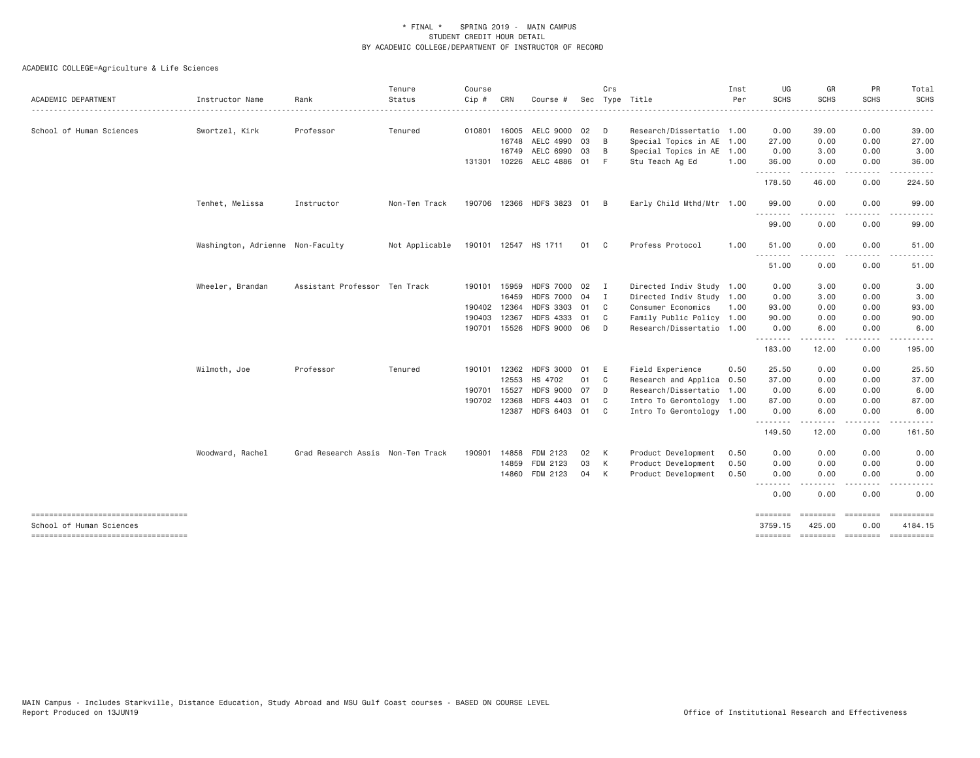| ACADEMIC DEPARTMENT                                              | Instructor Name                  | Rank                              | Tenure<br>Status | Course<br>$Cip$ # | CRN   | Course #                  |          | Crs            | Sec Type Title            | Inst<br>Per | UG<br><b>SCHS</b>   | GR<br><b>SCHS</b> | PR<br><b>SCHS</b>                   | Total<br><b>SCHS</b>                            |
|------------------------------------------------------------------|----------------------------------|-----------------------------------|------------------|-------------------|-------|---------------------------|----------|----------------|---------------------------|-------------|---------------------|-------------------|-------------------------------------|-------------------------------------------------|
|                                                                  |                                  |                                   |                  |                   |       |                           |          |                |                           |             |                     |                   |                                     | $\cdots$                                        |
| School of Human Sciences                                         | Swortzel, Kirk                   | Professor                         | Tenured          | 010801            | 16005 | AELC 9000                 | 02       | D              | Research/Dissertatio 1.00 |             | 0.00                | 39.00             | 0.00                                | 39.00                                           |
|                                                                  |                                  |                                   |                  |                   | 16748 | AELC 4990                 | 03<br>03 | B              | Special Topics in AE 1.00 |             | 27.00               | 0.00              | 0.00<br>0.00                        | 27.00<br>3.00                                   |
|                                                                  |                                  |                                   |                  |                   | 16749 | AELC 6990                 | 01       | B<br>$-F$      | Special Topics in AE 1.00 | 1.00        | 0.00                | 3.00              |                                     |                                                 |
|                                                                  |                                  |                                   |                  |                   |       | 131301 10226 AELC 4886    |          |                | Stu Teach Ag Ed           |             | 36.00<br>.          | 0.00              | 0.00<br>----                        | 36.00                                           |
|                                                                  |                                  |                                   |                  |                   |       |                           |          |                |                           |             | 178.50              | 46.00             | 0.00                                | 224.50                                          |
|                                                                  | Tenhet, Melissa                  | Instructor                        | Non-Ten Track    |                   |       | 190706 12366 HDFS 3823 01 |          | – B            | Early Child Mthd/Mtr 1.00 |             | 99.00<br>.          | 0.00              | 0.00                                | 99.00                                           |
|                                                                  |                                  |                                   |                  |                   |       |                           |          |                |                           |             | 99.00               | 0.00              | 0.00                                | 99.00                                           |
|                                                                  | Washington, Adrienne Non-Faculty |                                   | Not Applicable   |                   |       | 190101 12547 HS 1711      | 01 C     |                | Profess Protocol          | 1.00        | 51.00<br>$  -$<br>. | 0.00              | 0.00                                | 51.00                                           |
|                                                                  |                                  |                                   |                  |                   |       |                           |          |                |                           |             | 51.00               | 0.00              | 0.00                                | 51.00                                           |
|                                                                  | Wheeler, Brandan                 | Assistant Professor Ten Track     |                  | 190101            | 15959 | HDFS 7000 02              |          | $\blacksquare$ | Directed Indiv Study 1.00 |             | 0.00                | 3.00              | 0.00                                | 3.00                                            |
|                                                                  |                                  |                                   |                  |                   | 16459 | <b>HDFS 7000</b>          | 04       | I              | Directed Indiv Study 1.00 |             | 0.00                | 3.00              | 0.00                                | 3.00                                            |
|                                                                  |                                  |                                   |                  | 190402            | 12364 | HDFS 3303 01              |          | C              | Consumer Economics        | 1.00        | 93.00               | 0.00              | 0.00                                | 93.00                                           |
|                                                                  |                                  |                                   |                  | 190403            | 12367 | <b>HDFS 4333</b>          | 01       | C              | Family Public Policy 1.00 |             | 90.00               | 0.00              | 0.00                                | 90.00                                           |
|                                                                  |                                  |                                   |                  |                   |       | 190701 15526 HDFS 9000 06 |          | D              | Research/Dissertatio 1.00 |             | 0.00                | 6.00              | 0.00                                | 6.00                                            |
|                                                                  |                                  |                                   |                  |                   |       |                           |          |                |                           |             | .<br>183.00         | -----<br>12.00    | $\sim$ $\sim$ $\sim$ $\sim$<br>0.00 | .<br>195.00                                     |
|                                                                  | Wilmoth, Joe                     | Professor                         | Tenured          | 190101            | 12362 | <b>HDFS 3000</b>          | 01       | E              | Field Experience          | 0.50        | 25.50               | 0.00              | 0.00                                | 25.50                                           |
|                                                                  |                                  |                                   |                  |                   | 12553 | HS 4702                   | 01       | C <sub>c</sub> | Research and Applica 0.50 |             | 37.00               | 0.00              | 0.00                                | 37.00                                           |
|                                                                  |                                  |                                   |                  | 190701 15527      |       | <b>HDFS 9000</b>          | 07       | D              | Research/Dissertatio 1.00 |             | 0.00                | 6.00              | 0.00                                | 6.00                                            |
|                                                                  |                                  |                                   |                  | 190702            | 12368 | <b>HDFS 4403</b>          | 01       | C <sub>c</sub> | Intro To Gerontology 1.00 |             | 87.00               | 0.00              | 0.00                                | 87.00                                           |
|                                                                  |                                  |                                   |                  |                   | 12387 | HDFS 6403 01              |          | C              | Intro To Gerontology 1.00 |             | 0.00<br><u>.</u>    | 6.00              | 0.00                                | 6.00                                            |
|                                                                  |                                  |                                   |                  |                   |       |                           |          |                |                           |             | 149.50              | 12.00             | 0.00                                | 161.50                                          |
|                                                                  | Woodward, Rachel                 | Grad Research Assis Non-Ten Track |                  | 190901            | 14858 | FDM 2123                  | 02       | K              | Product Development       | 0.50        | 0.00                | 0.00              | 0.00                                | 0.00                                            |
|                                                                  |                                  |                                   |                  |                   | 14859 | FDM 2123                  | 03       | $\mathsf{K}$   | Product Development       | 0.50        | 0.00                | 0.00              | 0.00                                | 0.00                                            |
|                                                                  |                                  |                                   |                  |                   | 14860 | FDM 2123                  | 04       | K              | Product Development       | 0.50        | 0.00<br>.           | 0.00              | 0.00                                | 0.00                                            |
|                                                                  |                                  |                                   |                  |                   |       |                           |          |                |                           |             | 0.00                | 0.00              | 0.00                                | 0.00                                            |
| -----------------------------------                              |                                  |                                   |                  |                   |       |                           |          |                |                           |             | ========            | -------- -------  |                                     |                                                 |
| School of Human Sciences<br>------------------------------------ |                                  |                                   |                  |                   |       |                           |          |                |                           |             | 3759.15             | 425.00            | 0.00                                | 4184.15<br>======== ======== ======== ========= |
|                                                                  |                                  |                                   |                  |                   |       |                           |          |                |                           |             |                     |                   |                                     |                                                 |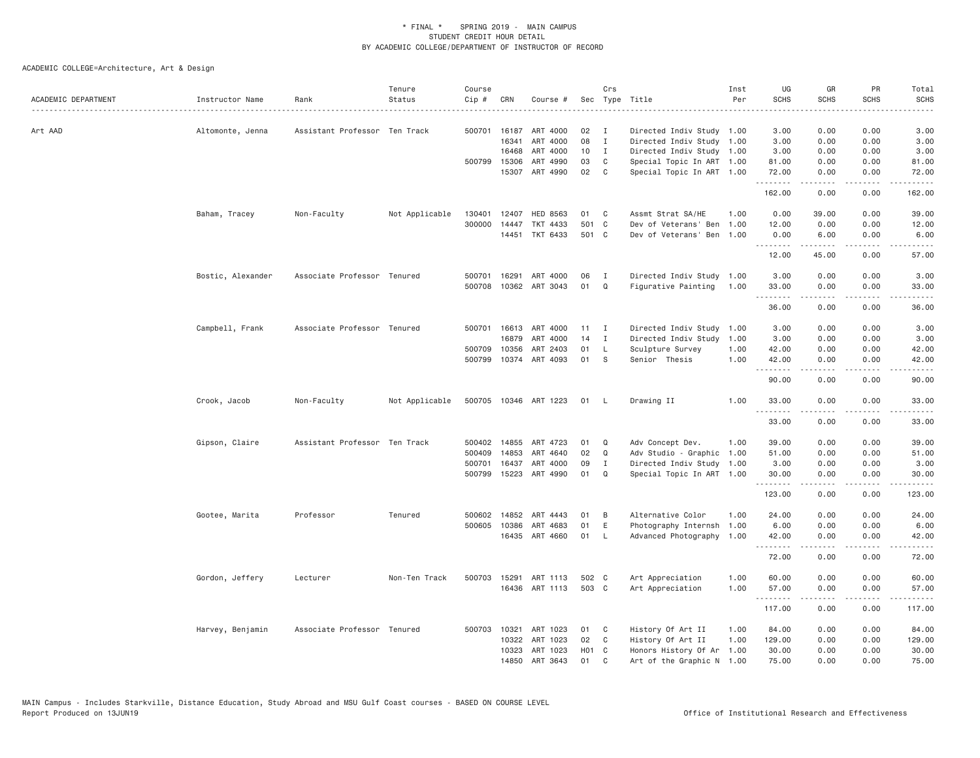| ACADEMIC DEPARTMENT | Instructor Name   | Rank                          | Tenure<br>Status | Course<br>Cip # | CRN          | Course #              |                 | Crs          | Sec Type Title            | Inst<br>Per | UG<br><b>SCHS</b>   | GR<br><b>SCHS</b>                   | PR<br><b>SCHS</b> | Total<br><b>SCHS</b> |
|---------------------|-------------------|-------------------------------|------------------|-----------------|--------------|-----------------------|-----------------|--------------|---------------------------|-------------|---------------------|-------------------------------------|-------------------|----------------------|
| Art AAD             | Altomonte, Jenna  | Assistant Professor Ten Track |                  |                 | 500701 16187 | ART 4000              | 02              | I            | Directed Indiv Study 1.00 |             | 3.00                | 0.00                                | 0.00              | 3.00                 |
|                     |                   |                               |                  |                 | 16341        | ART 4000              | 08              | $\mathbf{I}$ | Directed Indiv Study 1.00 |             | 3.00                | 0.00                                | 0.00              | 3.00                 |
|                     |                   |                               |                  |                 | 16468        | ART 4000              | 10              | $\mathbf{I}$ | Directed Indiv Study 1.00 |             | 3.00                | 0.00                                | 0.00              | 3.00                 |
|                     |                   |                               |                  |                 | 500799 15306 | ART 4990              | 03              | C            | Special Topic In ART 1.00 |             | 81.00               | 0.00                                | 0.00              | 81.00                |
|                     |                   |                               |                  |                 | 15307        | ART 4990              | 02              | C            | Special Topic In ART 1.00 |             | 72.00<br>. <b>.</b> | 0.00<br>-----                       | 0.00<br>.         | 72.00<br>.           |
|                     |                   |                               |                  |                 |              |                       |                 |              |                           |             | 162.00              | 0.00                                | 0.00              | 162.00               |
|                     | Baham, Tracey     | Non-Faculty                   | Not Applicable   | 130401          | 12407        | HED 8563              | 01              | C            | Assmt Strat SA/HE         | 1.00        | 0.00                | 39.00                               | 0.00              | 39.00                |
|                     |                   |                               |                  | 300000          | 14447        | TKT 4433              | 501 C           |              | Dev of Veterans' Ben      | 1.00        | 12.00               | 0.00                                | 0.00              | 12.00                |
|                     |                   |                               |                  |                 |              | 14451 TKT 6433        | 501 C           |              | Dev of Veterans' Ben 1.00 |             | 0.00<br>.           | 6.00<br>المتمام المتعاد             | 0.00<br>.         | 6.00<br>.            |
|                     |                   |                               |                  |                 |              |                       |                 |              |                           |             | 12.00               | 45.00                               | 0.00              | 57.00                |
|                     | Bostic, Alexander | Associate Professor Tenured   |                  | 500701          | 16291        | ART 4000              | 06              | <b>I</b>     | Directed Indiv Study 1.00 |             | 3.00                | 0.00                                | 0.00              | 3.00                 |
|                     |                   |                               |                  | 500708          |              | 10362 ART 3043        | 01              | Q            | Figurative Painting       | 1.00        | 33.00<br><u>.</u>   | 0.00<br>.                           | 0.00<br>.         | 33.00<br>$\cdots$    |
|                     |                   |                               |                  |                 |              |                       |                 |              |                           |             | 36.00               | 0.00                                | 0.00              | 36.00                |
|                     | Campbell, Frank   | Associate Professor Tenured   |                  |                 |              | 500701 16613 ART 4000 | 11              | $\mathbf{I}$ | Directed Indiv Study 1.00 |             | 3.00                | 0.00                                | 0.00              | 3.00                 |
|                     |                   |                               |                  |                 | 16879        | ART 4000              | 14              | I            | Directed Indiv Study      | 1.00        | 3.00                | 0.00                                | 0.00              | 3.00                 |
|                     |                   |                               |                  | 500709          | 10356        | ART 2403              | 01              | L            | Sculpture Survey          | 1.00        | 42.00               | 0.00                                | 0.00              | 42.00                |
|                     |                   |                               |                  |                 |              | 500799 10374 ART 4093 | 01              | -S           | Senior Thesis             | 1.00        | 42.00               | 0.00                                | 0.00<br>.         | 42.00                |
|                     |                   |                               |                  |                 |              |                       |                 |              |                           |             | .<br>90.00          | $\sim$ $\sim$ $\sim$ $\sim$<br>0.00 | 0.00              | .<br>90.00           |
|                     | Crook, Jacob      | Non-Faculty                   | Not Applicable   |                 |              | 500705 10346 ART 1223 | 01              | - L          | Drawing II                | 1.00        | 33.00<br>.          | 0.00                                | 0.00              | 33.00                |
|                     |                   |                               |                  |                 |              |                       |                 |              |                           |             | 33.00               | 0.00                                | 0.00              | 33.00                |
|                     | Gipson, Claire    | Assistant Professor Ten Track |                  |                 | 500402 14855 | ART 4723              | 01              | Q            | Adv Concept Dev.          | 1.00        | 39.00               | 0.00                                | 0.00              | 39.00                |
|                     |                   |                               |                  |                 | 500409 14853 | ART 4640              | 02              | $\Omega$     | Adv Studio - Graphic 1.00 |             | 51.00               | 0.00                                | 0.00              | 51.00                |
|                     |                   |                               |                  | 500701          | 16437        | ART 4000              | 09              | Ι.           | Directed Indiv Study 1.00 |             | 3.00                | 0.00                                | 0.00              | 3.00                 |
|                     |                   |                               |                  |                 |              | 500799 15223 ART 4990 | 01              | Q            | Special Topic In ART 1.00 |             | 30.00<br>. <b>.</b> | 0.00<br>.                           | 0.00<br>.         | 30.00<br>.           |
|                     |                   |                               |                  |                 |              |                       |                 |              |                           |             | 123.00              | 0.00                                | 0.00              | 123.00               |
|                     | Gootee, Marita    | Professor                     | Tenured          |                 | 500602 14852 | ART 4443              | 01              | B            | Alternative Color         | 1.00        | 24.00               | 0.00                                | 0.00              | 24.00                |
|                     |                   |                               |                  |                 | 500605 10386 | ART 4683              | 01              | E            | Photography Internsh      | 1.00        | 6.00                | 0.00                                | 0.00              | 6.00                 |
|                     |                   |                               |                  |                 |              | 16435 ART 4660        | 01              | - L          | Advanced Photography 1.00 |             | 42.00<br>.          | 0.00<br>.                           | 0.00<br>د د د د   | 42.00<br>.           |
|                     |                   |                               |                  |                 |              |                       |                 |              |                           |             | 72.00               | 0.00                                | 0.00              | 72.00                |
|                     | Gordon, Jeffery   | Lecturer                      | Non-Ten Track    |                 | 500703 15291 | ART 1113              | 502 C           |              | Art Appreciation          | 1.00        | 60.00               | 0.00                                | 0.00              | 60.00                |
|                     |                   |                               |                  |                 |              | 16436 ART 1113        | 503 C           |              | Art Appreciation          | 1.00        | 57.00<br>.          | 0.00                                | 0.00              | 57.00                |
|                     |                   |                               |                  |                 |              |                       |                 |              |                           |             | 117.00              | 0.00                                | 0.00              | 117.00               |
|                     | Harvey, Benjamin  | Associate Professor Tenured   |                  |                 | 500703 10321 | ART 1023              | 01              | C            | History Of Art II         | 1.00        | 84.00               | 0.00                                | 0.00              | 84.00                |
|                     |                   |                               |                  |                 | 10322        | ART 1023              | 02              | C            | History Of Art II         | 1.00        | 129.00              | 0.00                                | 0.00              | 129.00               |
|                     |                   |                               |                  |                 | 10323        | ART 1023              | HO <sub>1</sub> | C.           | Honors History Of Ar      | 1.00        | 30.00               | 0.00                                | 0.00              | 30.00                |
|                     |                   |                               |                  |                 | 14850        | ART 3643              | 01              | $\mathsf{C}$ | Art of the Graphic N 1.00 |             | 75.00               | 0.00                                | 0.00              | 75.00                |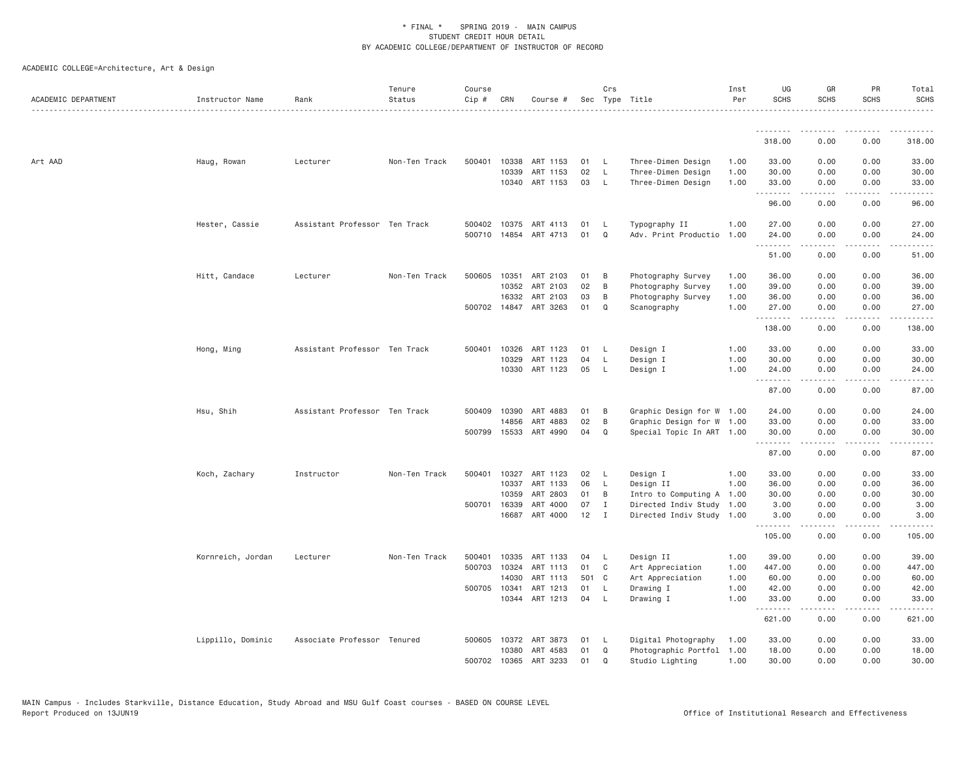| ACADEMIC DEPARTMENT | Instructor Name   | Rank                          | Tenure<br>Status | Course<br>Cip # | CRN          | Course #              |       | Crs         | Sec Type Title            | Inst<br>Per | UG<br><b>SCHS</b> | GR<br><b>SCHS</b>                   | PR<br><b>SCHS</b>                                                                                                                 | Total<br><b>SCHS</b>                                                                                                                                                                    |
|---------------------|-------------------|-------------------------------|------------------|-----------------|--------------|-----------------------|-------|-------------|---------------------------|-------------|-------------------|-------------------------------------|-----------------------------------------------------------------------------------------------------------------------------------|-----------------------------------------------------------------------------------------------------------------------------------------------------------------------------------------|
|                     |                   |                               |                  |                 |              |                       |       |             |                           |             |                   |                                     |                                                                                                                                   |                                                                                                                                                                                         |
|                     |                   |                               |                  |                 |              |                       |       |             |                           |             | 318.00            | 0.00                                | 0.00                                                                                                                              | 318.00                                                                                                                                                                                  |
| Art AAD             | Haug, Rowan       | Lecturer                      | Non-Ten Track    | 500401          | 10338        | ART 1153              | 01    | - L         | Three-Dimen Design        | 1.00        | 33.00             | 0.00                                | 0.00                                                                                                                              | 33.00                                                                                                                                                                                   |
|                     |                   |                               |                  |                 | 10339        | ART 1153              | 02    | - L         | Three-Dimen Design        | 1.00        | 30.00             | 0.00                                | 0.00                                                                                                                              | 30.00                                                                                                                                                                                   |
|                     |                   |                               |                  |                 | 10340        | ART 1153              | 03    | <b>L</b>    | Three-Dimen Design        | 1.00        | 33.00<br>.        | 0.00<br>.                           | 0.00                                                                                                                              | 33.00<br>د د د د د                                                                                                                                                                      |
|                     |                   |                               |                  |                 |              |                       |       |             |                           |             | 96.00             | 0.00                                | 0.00                                                                                                                              | 96.00                                                                                                                                                                                   |
|                     | Hester, Cassie    | Assistant Professor Ten Track |                  | 500402          | 10375        | ART 4113              | 01    | -L          | Typography II             | 1.00        | 27.00             | 0.00                                | 0.00                                                                                                                              | 27.00                                                                                                                                                                                   |
|                     |                   |                               |                  | 500710          | 14854        | ART 4713              | 01    | Q           | Adv. Print Productio      | 1.00        | 24.00<br>.        | 0.00<br>.                           | 0.00<br>$\frac{1}{2}$                                                                                                             | 24.00<br>.                                                                                                                                                                              |
|                     |                   |                               |                  |                 |              |                       |       |             |                           |             | 51.00             | 0.00                                | 0.00                                                                                                                              | 51.00                                                                                                                                                                                   |
|                     | Hitt, Candace     | Lecturer                      | Non-Ten Track    | 500605          | 10351        | ART 2103              | 01    | B           | Photography Survey        | 1.00        | 36.00             | 0.00                                | 0.00                                                                                                                              | 36.00                                                                                                                                                                                   |
|                     |                   |                               |                  |                 | 10352        | ART 2103              | 02    | B           | Photography Survey        | 1.00        | 39.00             | 0.00                                | 0.00                                                                                                                              | 39.00                                                                                                                                                                                   |
|                     |                   |                               |                  |                 | 16332        | ART 2103              | 03    | B           | Photography Survey        | 1.00        | 36.00             | 0.00                                | 0.00                                                                                                                              | 36.00                                                                                                                                                                                   |
|                     |                   |                               |                  |                 |              | 500702 14847 ART 3263 | 01    | Q           | Scanography               | 1.00        | 27.00<br>.        | 0.00<br><u>.</u>                    | 0.00<br>$  -$                                                                                                                     | 27.00<br>.                                                                                                                                                                              |
|                     |                   |                               |                  |                 |              |                       |       |             |                           |             | 138.00            | 0.00                                | 0.00                                                                                                                              | 138.00                                                                                                                                                                                  |
|                     | Hong, Ming        | Assistant Professor Ten Track |                  | 500401          | 10326        | ART 1123              | 01    | L           | Design I                  | 1.00        | 33.00             | 0.00                                | 0.00                                                                                                                              | 33.00                                                                                                                                                                                   |
|                     |                   |                               |                  |                 | 10329        | ART 1123              | 04    | L           | Design I                  | 1.00        | 30.00             | 0.00                                | 0.00                                                                                                                              | 30.00                                                                                                                                                                                   |
|                     |                   |                               |                  |                 |              | 10330 ART 1123        | 05    | - L         | Design I                  | 1.00        | 24.00<br><u>.</u> | 0.00                                | 0.00                                                                                                                              | 24.00                                                                                                                                                                                   |
|                     |                   |                               |                  |                 |              |                       |       |             |                           |             | 87.00             | 0.00                                | 0.00                                                                                                                              | 87.00                                                                                                                                                                                   |
|                     | Hsu, Shih         | Assistant Professor Ten Track |                  | 500409          | 10390        | ART 4883              | 01    | B           | Graphic Design for W 1.00 |             | 24.00             | 0.00                                | 0.00                                                                                                                              | 24.00                                                                                                                                                                                   |
|                     |                   |                               |                  |                 | 14856        | ART 4883              | 02    | B           | Graphic Design for W 1.00 |             | 33.00             | 0.00                                | 0.00                                                                                                                              | 33.00                                                                                                                                                                                   |
|                     |                   |                               |                  |                 |              | 500799 15533 ART 4990 | 04    | Q           | Special Topic In ART 1.00 |             | 30.00<br>.        | 0.00                                | 0.00                                                                                                                              | 30.00                                                                                                                                                                                   |
|                     |                   |                               |                  |                 |              |                       |       |             |                           |             | 87.00             | 0.00                                | 0.00                                                                                                                              | 87.00                                                                                                                                                                                   |
|                     | Koch, Zachary     | Instructor                    | Non-Ten Track    | 500401          | 10327        | ART 1123              | 02    | - L         | Design I                  | 1.00        | 33.00             | 0.00                                | 0.00                                                                                                                              | 33.00                                                                                                                                                                                   |
|                     |                   |                               |                  |                 | 10337        | ART 1133              | 06    | - L         | Design II                 | 1.00        | 36.00             | 0.00                                | 0.00                                                                                                                              | 36.00                                                                                                                                                                                   |
|                     |                   |                               |                  |                 | 10359        | ART 2803              | 01    | B           | Intro to Computing A 1.00 |             | 30.00             | 0.00                                | 0.00                                                                                                                              | 30.00                                                                                                                                                                                   |
|                     |                   |                               |                  | 500701          | 16339        | ART 4000              | 07    | $\mathbf I$ | Directed Indiv Study 1.00 |             | 3.00              | 0.00                                | 0.00                                                                                                                              | 3.00                                                                                                                                                                                    |
|                     |                   |                               |                  |                 | 16687        | ART 4000              | 12    | $\mathbf I$ | Directed Indiv Study 1.00 |             | 3.00<br>.         | 0.00<br>$\sim$ $\sim$ $\sim$ $\sim$ | 0.00<br>.                                                                                                                         | 3.00<br>$\frac{1}{2} \left( \frac{1}{2} \right) \left( \frac{1}{2} \right) \left( \frac{1}{2} \right) \left( \frac{1}{2} \right) \left( \frac{1}{2} \right) \left( \frac{1}{2} \right)$ |
|                     |                   |                               |                  |                 |              |                       |       |             |                           |             | 105.00            | 0.00                                | 0.00                                                                                                                              | 105.00                                                                                                                                                                                  |
|                     | Kornreich, Jordan | Lecturer                      | Non-Ten Track    | 500401          | 10335        | ART 1133              | 04    | L,          | Design II                 | 1.00        | 39.00             | 0.00                                | 0.00                                                                                                                              | 39.00                                                                                                                                                                                   |
|                     |                   |                               |                  | 500703          | 10324        | ART 1113              | 01    | C           | Art Appreciation          | 1.00        | 447.00            | 0.00                                | 0.00                                                                                                                              | 447.00                                                                                                                                                                                  |
|                     |                   |                               |                  |                 | 14030        | ART 1113              | 501 C |             | Art Appreciation          | 1.00        | 60.00             | 0.00                                | 0.00                                                                                                                              | 60.00                                                                                                                                                                                   |
|                     |                   |                               |                  |                 | 500705 10341 | ART 1213              | 01    | L           | Drawing I                 | 1.00        | 42.00             | 0.00                                | 0.00                                                                                                                              | 42.00                                                                                                                                                                                   |
|                     |                   |                               |                  |                 | 10344        | ART 1213              | 04    | L           | Drawing I                 | 1.00        | 33.00<br>.        | 0.00<br><u>.</u>                    | 0.00<br>$\frac{1}{2} \left( \frac{1}{2} \right) \left( \frac{1}{2} \right) \left( \frac{1}{2} \right) \left( \frac{1}{2} \right)$ | 33.00<br>.                                                                                                                                                                              |
|                     |                   |                               |                  |                 |              |                       |       |             |                           |             | 621.00            | 0.00                                | 0.00                                                                                                                              | 621.00                                                                                                                                                                                  |
|                     | Lippillo, Dominic | Associate Professor Tenured   |                  |                 | 500605 10372 | ART 3873              | 01    | - L         | Digital Photography       | 1.00        | 33.00             | 0.00                                | 0.00                                                                                                                              | 33.00                                                                                                                                                                                   |
|                     |                   |                               |                  |                 | 10380        | ART 4583              | 01    | Q           | Photographic Portfol 1.00 |             | 18.00             | 0.00                                | 0.00                                                                                                                              | 18.00                                                                                                                                                                                   |
|                     |                   |                               |                  | 500702          | 10365        | ART 3233              | 01    | $\Omega$    | Studio Lighting           | 1.00        | 30.00             | 0.00                                | 0.00                                                                                                                              | 30.00                                                                                                                                                                                   |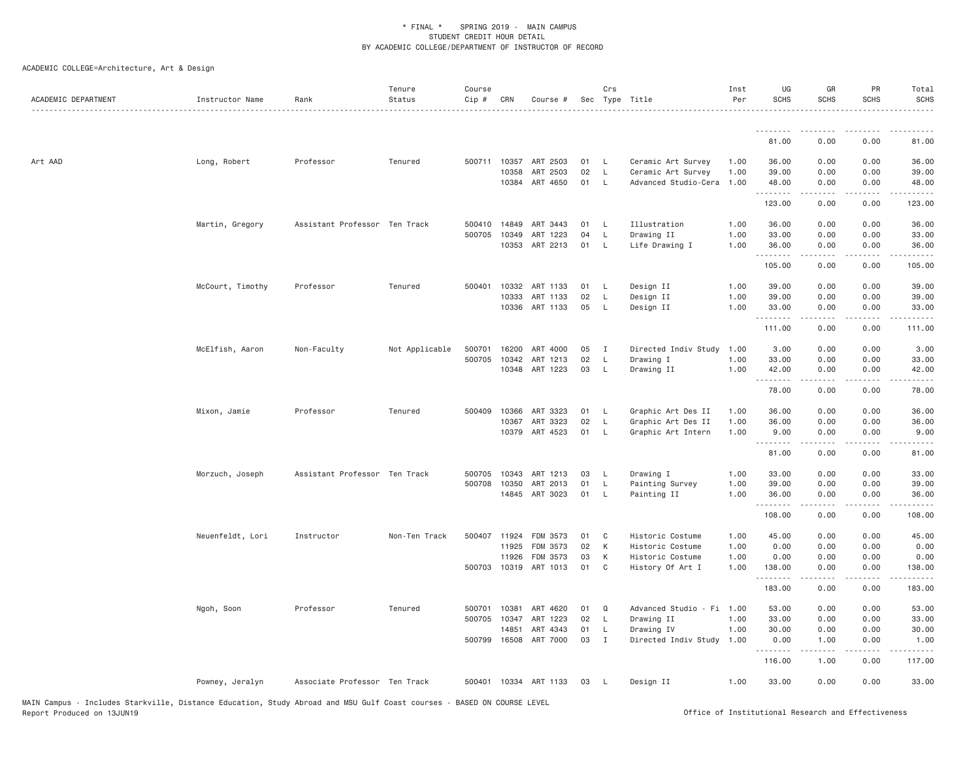| ACADEMIC DEPARTMENT | Instructor Name  | Rank                          | Tenure<br>Status | Course<br>$Cip \#$ | CRN          | Course #              |    | Crs          | Sec Type Title            | Inst<br>Per | UG<br><b>SCHS</b> | GR<br><b>SCHS</b>                                                                                                                                                                       | PR<br><b>SCHS</b>     | Total<br><b>SCHS</b> |
|---------------------|------------------|-------------------------------|------------------|--------------------|--------------|-----------------------|----|--------------|---------------------------|-------------|-------------------|-----------------------------------------------------------------------------------------------------------------------------------------------------------------------------------------|-----------------------|----------------------|
|                     |                  |                               |                  |                    |              |                       |    |              |                           |             | .                 |                                                                                                                                                                                         |                       |                      |
|                     |                  |                               |                  |                    |              |                       |    |              |                           |             | 81.00             | 0.00                                                                                                                                                                                    | 0.00                  | 81.00                |
| Art AAD             | Long, Robert     | Professor                     | Tenured          |                    | 500711 10357 | ART 2503              | 01 | - L          | Ceramic Art Survey        | 1.00        | 36.00             | 0.00                                                                                                                                                                                    | 0.00                  | 36.00                |
|                     |                  |                               |                  |                    | 10358        | ART 2503              | 02 | - L          | Ceramic Art Survey        | 1.00        | 39.00             | 0.00                                                                                                                                                                                    | 0.00                  | 39.00                |
|                     |                  |                               |                  |                    |              | 10384 ART 4650        | 01 | - L          | Advanced Studio-Cera      | 1.00        | 48.00<br>.        | 0.00<br>$- - - - -$                                                                                                                                                                     | 0.00<br>.             | 48.00<br>.           |
|                     |                  |                               |                  |                    |              |                       |    |              |                           |             | 123.00            | 0.00                                                                                                                                                                                    | 0.00                  | 123.00               |
|                     | Martin, Gregory  | Assistant Professor Ten Track |                  |                    | 500410 14849 | ART 3443              | 01 | - L          | Illustration              | 1.00        | 36.00             | 0.00                                                                                                                                                                                    | 0.00                  | 36.00                |
|                     |                  |                               |                  | 500705             | 10349        | 1223<br>ART           | 04 | <b>L</b>     | Drawing II                | 1.00        | 33.00             | 0.00                                                                                                                                                                                    | 0.00                  | 33.00                |
|                     |                  |                               |                  |                    |              | 10353 ART 2213        | 01 | $\mathsf{L}$ | Life Drawing I            | 1.00        | 36.00<br>.        | 0.00<br>.                                                                                                                                                                               | 0.00                  | 36.00<br>.           |
|                     |                  |                               |                  |                    |              |                       |    |              |                           |             | 105.00            | 0.00                                                                                                                                                                                    | 0.00                  | 105.00               |
|                     | McCourt, Timothy | Professor                     | Tenured          |                    | 500401 10332 | ART 1133              | 01 | - L          | Design II                 | 1.00        | 39.00             | 0.00                                                                                                                                                                                    | 0.00                  | 39.00                |
|                     |                  |                               |                  |                    | 10333        | ART 1133              | 02 | L            | Design II                 | 1.00        | 39.00             | 0.00                                                                                                                                                                                    | 0.00                  | 39.00                |
|                     |                  |                               |                  |                    | 10336        | ART 1133              | 05 | - L          | Design II                 | 1.00        | 33.00<br>.        | 0.00<br>.                                                                                                                                                                               | 0.00<br>$\frac{1}{2}$ | 33.00<br>.           |
|                     |                  |                               |                  |                    |              |                       |    |              |                           |             | 111.00            | 0.00                                                                                                                                                                                    | 0.00                  | 111.00               |
|                     | McElfish, Aaron  | Non-Faculty                   | Not Applicable   | 500701             | 16200        | ART 4000              | 05 | $\mathbf{I}$ | Directed Indiv Study      | 1.00        | 3.00              | 0.00                                                                                                                                                                                    | 0.00                  | 3.00                 |
|                     |                  |                               |                  | 500705             | 10342        | ART 1213              | 02 | L            | Drawing I                 | 1.00        | 33.00             | 0.00                                                                                                                                                                                    | 0.00                  | 33.00                |
|                     |                  |                               |                  |                    |              | 10348 ART 1223        | 03 | - L          | Drawing II                | 1.00        | 42.00             | 0.00                                                                                                                                                                                    | 0.00                  | 42.00                |
|                     |                  |                               |                  |                    |              |                       |    |              |                           |             | .<br>78.00        | 0.00                                                                                                                                                                                    | 0.00                  | 78.00                |
|                     | Mixon, Jamie     | Professor                     | Tenured          | 500409             | 10366        | ART 3323              | 01 | - L          | Graphic Art Des II        | 1.00        | 36.00             | 0.00                                                                                                                                                                                    | 0.00                  | 36.00                |
|                     |                  |                               |                  |                    | 10367        | ART 3323              | 02 | - L          | Graphic Art Des II        | 1.00        | 36.00             | 0.00                                                                                                                                                                                    | 0.00                  | 36.00                |
|                     |                  |                               |                  |                    |              | 10379 ART 4523        | 01 | $\mathsf{L}$ | Graphic Art Intern        | 1.00        | 9.00<br>.         | 0.00                                                                                                                                                                                    | 0.00                  | 9.00                 |
|                     |                  |                               |                  |                    |              |                       |    |              |                           |             | 81.00             | 0.00                                                                                                                                                                                    | 0.00                  | 81.00                |
|                     | Morzuch, Joseph  | Assistant Professor Ten Track |                  | 500705             | 10343        | ART 1213              | 03 | - L          | Drawing I                 | 1.00        | 33.00             | 0.00                                                                                                                                                                                    | 0.00                  | 33.00                |
|                     |                  |                               |                  | 500708             | 10350        | ART 2013              | 01 | L            | Painting Survey           | 1.00        | 39.00             | 0.00                                                                                                                                                                                    | 0.00                  | 39.00                |
|                     |                  |                               |                  |                    |              | 14845 ART 3023        | 01 | L            | Painting II               | 1.00        | 36.00             | 0.00                                                                                                                                                                                    | 0.00                  | 36.00                |
|                     |                  |                               |                  |                    |              |                       |    |              |                           |             | .<br>108.00       | $\frac{1}{2} \left( \frac{1}{2} \right) \left( \frac{1}{2} \right) \left( \frac{1}{2} \right) \left( \frac{1}{2} \right) \left( \frac{1}{2} \right) \left( \frac{1}{2} \right)$<br>0.00 | .<br>0.00             | .<br>108.00          |
|                     | Neuenfeldt, Lori | Instructor                    | Non-Ten Track    | 500407 11924       |              | FDM 3573              | 01 | C            | Historic Costume          | 1.00        | 45.00             | 0.00                                                                                                                                                                                    | 0.00                  | 45.00                |
|                     |                  |                               |                  |                    | 11925        | FDM 3573              | 02 | K            | Historic Costume          | 1.00        | 0.00              | 0.00                                                                                                                                                                                    | 0.00                  | 0.00                 |
|                     |                  |                               |                  |                    | 11926        | FDM 3573              | 03 | K            | Historic Costume          | 1.00        | 0.00              | 0.00                                                                                                                                                                                    | 0.00                  | 0.00                 |
|                     |                  |                               |                  |                    |              | 500703 10319 ART 1013 | 01 | $\mathbf C$  | History Of Art I          | 1.00        | 138.00<br>.       | 0.00<br>$- - - - -$                                                                                                                                                                     | 0.00<br>.             | 138.00<br>.          |
|                     |                  |                               |                  |                    |              |                       |    |              |                           |             | 183.00            | 0.00                                                                                                                                                                                    | 0.00                  | 183.00               |
|                     | Ngoh, Soon       | Professor                     | Tenured          | 500701             | 10381        | ART 4620              | 01 | Q            | Advanced Studio - Fi 1.00 |             | 53.00             | 0.00                                                                                                                                                                                    | 0.00                  | 53.00                |
|                     |                  |                               |                  | 500705             | 10347        | ART 1223              | 02 | L            | Drawing II                | 1.00        | 33.00             | 0.00                                                                                                                                                                                    | 0.00                  | 33.00                |
|                     |                  |                               |                  |                    | 14851        | ART 4343              | 01 | L            | Drawing IV                | 1.00        | 30.00             | 0.00                                                                                                                                                                                    | 0.00                  | 30.00                |
|                     |                  |                               |                  |                    |              | 500799 16508 ART 7000 | 03 | I            | Directed Indiv Study 1.00 |             | 0.00<br>.         | 1.00                                                                                                                                                                                    | 0.00                  | 1.00                 |
|                     |                  |                               |                  |                    |              |                       |    |              |                           |             | 116.00            | 1.00                                                                                                                                                                                    | 0.00                  | 117.00               |
|                     | Powney, Jeralyn  | Associate Professor Ten Track |                  |                    |              | 500401 10334 ART 1133 | 03 | - L          | Design II                 | 1.00        | 33.00             | 0.00                                                                                                                                                                                    | 0.00                  | 33.00                |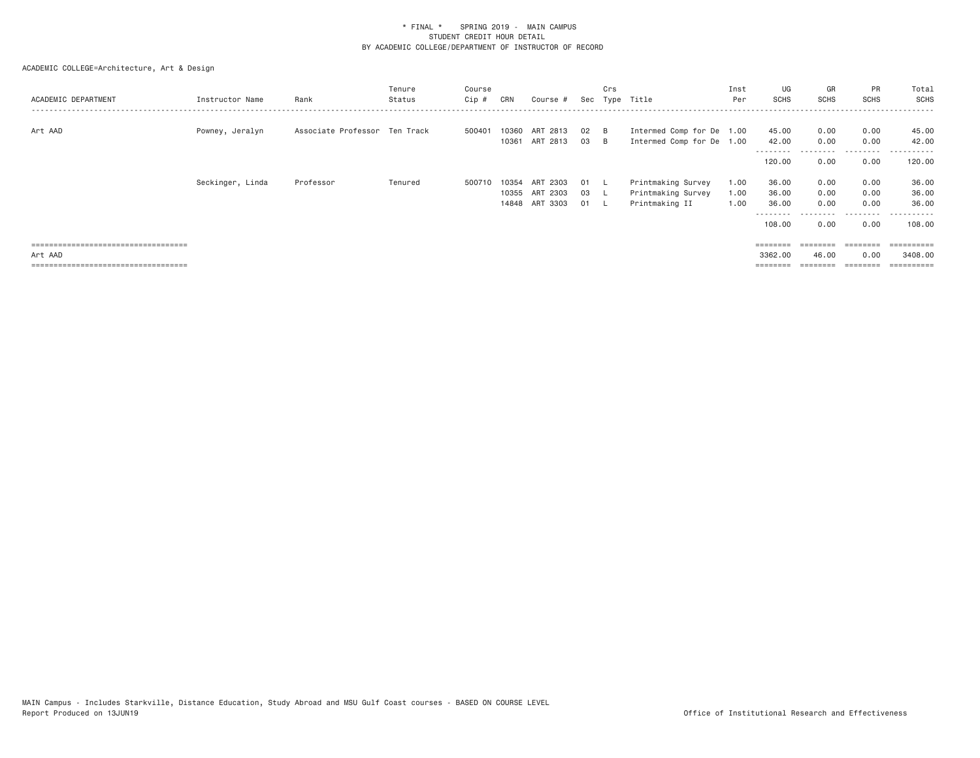| ACADEMIC DEPARTMENT                              | Instructor Name  | Rank                          | Tenure<br>Status | Course<br>Cip # | CRN            | Course #                |          | Crs        | Sec Type Title                                         | Inst<br>Per  | UG<br>SCHS                  | GR<br>SCHS                | PR<br>SCHS                | Total<br><b>SCHS</b>             |
|--------------------------------------------------|------------------|-------------------------------|------------------|-----------------|----------------|-------------------------|----------|------------|--------------------------------------------------------|--------------|-----------------------------|---------------------------|---------------------------|----------------------------------|
| Art AAD                                          | Powney, Jeralyn  | Associate Professor Ten Track |                  | 500401          | 10360<br>10361 | ART 2813<br>ART 2813    | 02<br>03 | – B<br>– B | Intermed Comp for De 1.00<br>Intermed Comp for De 1.00 |              | 45.00<br>42.00<br>--------  | 0.00<br>0.00              | 0.00<br>0.00<br>--------- | 45.00<br>42.00<br>.              |
|                                                  |                  |                               |                  |                 |                |                         |          |            |                                                        |              | 120.00                      | 0.00                      | 0.00                      | 120.00                           |
|                                                  | Seckinger, Linda | Professor                     | Tenured          | 500710          | 10354<br>10355 | 2303<br>ART<br>ART 2303 | 01<br>03 | . L        | Printmaking Survey<br>Printmaking Survey               | 1.00<br>1.00 | 36.00<br>36.00              | 0.00<br>0.00              | 0.00<br>0.00              | 36.00<br>36.00                   |
|                                                  |                  |                               |                  |                 |                | 14848 ART 3303          | 01       | . L        | Printmaking II                                         | 1.00         | 36.00<br>--------<br>108.00 | 0.00<br>---------<br>0.00 | 0.00<br>.<br>0.00         | 36.00<br>----------<br>108.00    |
| ====================================             |                  |                               |                  |                 |                |                         |          |            |                                                        |              | $=$ = = = = = = =           |                           | ========                  | $=$ = = = = = = = = =            |
| Art AAD<br>===================================== |                  |                               |                  |                 |                |                         |          |            |                                                        |              | 3362,00                     | 46.00                     | 0.00<br>========          | 3408,00<br>$=$ = = = = = = = = = |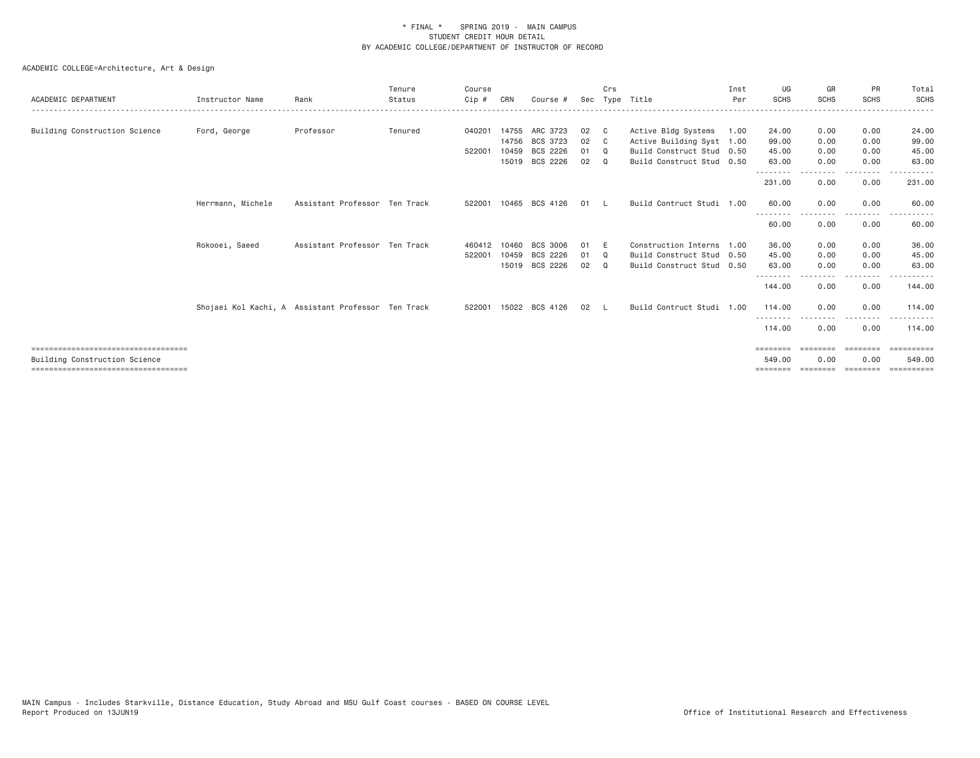| ACADEMIC DEPARTMENT                   | Instructor Name   | Rank                                               | Tenure<br>Status | Course<br>Cip # | CRN   | Course #       |    | Crs          | Sec Type Title            | Inst<br>Per | UG<br><b>SCHS</b>        | GR<br><b>SCHS</b> | PR<br><b>SCHS</b> | Total<br><b>SCHS</b> |
|---------------------------------------|-------------------|----------------------------------------------------|------------------|-----------------|-------|----------------|----|--------------|---------------------------|-------------|--------------------------|-------------------|-------------------|----------------------|
| Building Construction Science         | Ford, George      | Professor                                          | Tenured          | 040201          |       | 14755 ARC 3723 | 02 | $\mathbf{C}$ | Active Bldg Systems       | 1.00        | 24.00                    | 0.00              | 0.00              | 24.00                |
|                                       |                   |                                                    |                  |                 | 14756 | BCS 3723       | 02 | C.           | Active Building Syst 1.00 |             | 99.00                    | 0.00              | 0.00              | 99.00                |
|                                       |                   |                                                    |                  | 522001          | 10459 | BCS 2226       | 01 | $\Omega$     | Build Construct Stud 0.50 |             | 45.00                    | 0.00              | 0.00              | 45.00                |
|                                       |                   |                                                    |                  |                 |       | 15019 BCS 2226 | 02 | $\Omega$     | Build Construct Stud 0.50 |             | 63.00                    | 0.00              | 0.00              | 63.00                |
|                                       |                   |                                                    |                  |                 |       |                |    |              |                           |             | <u>.</u><br>231.00       | 0.00              | .<br>0.00         | 231.00               |
|                                       | Herrmann, Michele | Assistant Professor Ten Track                      |                  | 522001          |       | 10465 BCS 4126 | 01 |              | Build Contruct Studi 1.00 |             | 60.00                    | 0.00              | 0.00              | 60.00                |
|                                       |                   |                                                    |                  |                 |       |                |    |              |                           |             | --------<br>60.00        | 0.00              | 0.00              | 60.00                |
|                                       | Rokooei, Saeed    | Assistant Professor Ten Track                      |                  | 460412          | 10460 | BCS 3006       | 01 | E            | Construction Interns 1.00 |             | 36.00                    | 0.00              | 0.00              | 36.00                |
|                                       |                   |                                                    |                  | 522001          | 10459 | BCS 2226       | 01 | Q            | Build Construct Stud 0.50 |             | 45.00                    | 0.00              | 0.00              | 45.00                |
|                                       |                   |                                                    |                  |                 |       | 15019 BCS 2226 | 02 | $\Omega$     | Build Construct Stud 0.50 |             | 63.00<br>- - - - - - - - | 0.00              | 0.00<br>.         | 63.00                |
|                                       |                   |                                                    |                  |                 |       |                |    |              |                           |             | 144.00                   | 0.00              | 0.00              | 144.00               |
|                                       |                   | Shojaei Kol Kachi, A Assistant Professor Ten Track |                  | 522001          |       | 15022 BCS 4126 | 02 |              | Build Contruct Studi 1.00 |             | 114,00                   | 0.00              | 0.00              | 114.00               |
|                                       |                   |                                                    |                  |                 |       |                |    |              |                           |             | --------<br>114.00       | 0.00              | .<br>0.00         | 114.00               |
| ====================================  |                   |                                                    |                  |                 |       |                |    |              |                           |             | ========                 | ========          | <b>EEEEEEE</b>    | ==========           |
| Building Construction Science         |                   |                                                    |                  |                 |       |                |    |              |                           |             | 549.00                   | 0.00              | 0.00              | 549.00               |
| ===================================== |                   |                                                    |                  |                 |       |                |    |              |                           |             |                          |                   |                   | =========            |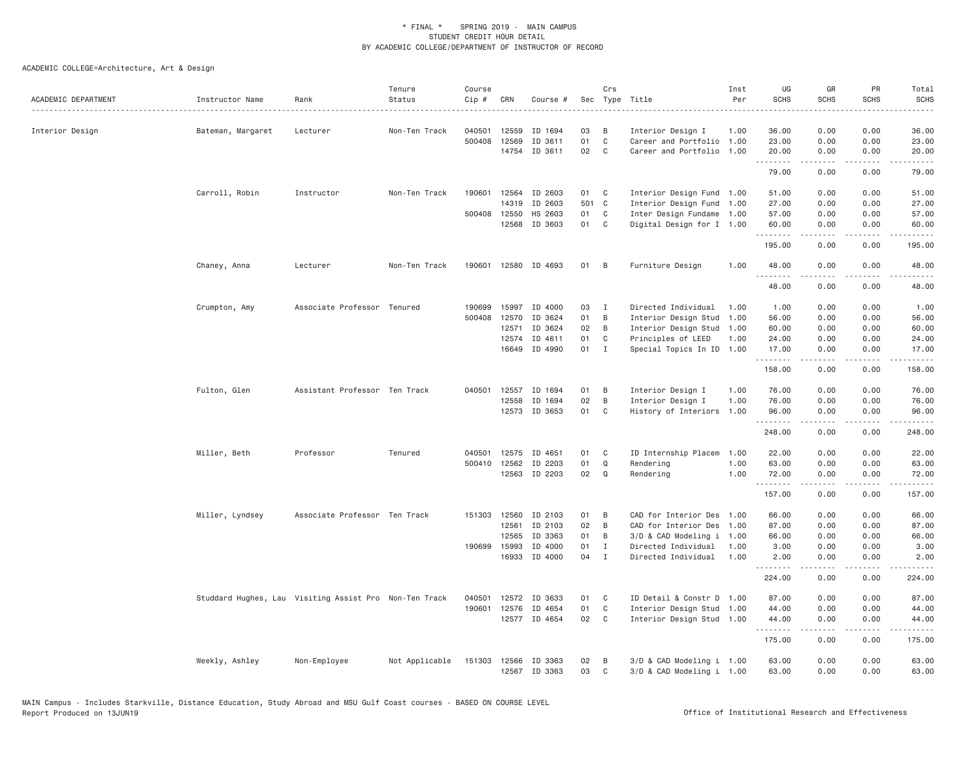| ACADEMIC DEPARTMENT | Instructor Name   | Rank                                                   | Tenure<br>Status | Course<br>Cip # | CRN          | Course #      |       | Crs          | Sec Type Title            | Inst<br>Per | UG<br><b>SCHS</b> | GR<br><b>SCHS</b>              | PR<br><b>SCHS</b> | Total<br><b>SCHS</b>    |
|---------------------|-------------------|--------------------------------------------------------|------------------|-----------------|--------------|---------------|-------|--------------|---------------------------|-------------|-------------------|--------------------------------|-------------------|-------------------------|
| Interior Design     | Bateman, Margaret | Lecturer                                               | Non-Ten Track    | 040501          | 12559        | ID 1694       | 03    | B            | Interior Design I         | 1.00        | 36.00             | 0.00                           | 0.00              | 36.00                   |
|                     |                   |                                                        |                  | 500408          | 12569        | ID 3611       | 01    | $\mathsf{C}$ | Career and Portfolio      | 1.00        | 23.00             | 0.00                           | 0.00              | 23.00                   |
|                     |                   |                                                        |                  |                 | 14754        | ID 3611       | 02    | C            | Career and Portfolio      | 1.00        | 20.00<br>.        | 0.00<br><b><i><u>.</u></i></b> | 0.00<br>.         | 20.00<br>.              |
|                     |                   |                                                        |                  |                 |              |               |       |              |                           |             | 79.00             | 0.00                           | 0.00              | 79.00                   |
|                     | Carroll, Robin    | Instructor                                             | Non-Ten Track    | 190601          | 12564        | ID 2603       | 01    | C            | Interior Design Fund 1.00 |             | 51.00             | 0.00                           | 0.00              | 51.00                   |
|                     |                   |                                                        |                  |                 | 14319        | ID 2603       | 501 C |              | Interior Design Fund 1.00 |             | 27.00             | 0.00                           | 0.00              | 27.00                   |
|                     |                   |                                                        |                  |                 | 500408 12550 | HS 2603       | 01    | C            | Inter Design Fundame 1.00 |             | 57.00             | 0.00                           | 0.00              | 57.00                   |
|                     |                   |                                                        |                  |                 | 12568        | ID 3603       | 01    | C            | Digital Design for I 1.00 |             | 60.00<br>.        | 0.00<br>.                      | 0.00<br>$  -$     | 60.00<br>$    -$        |
|                     |                   |                                                        |                  |                 |              |               |       |              |                           |             | 195.00            | 0.00                           | 0.00              | 195.00                  |
|                     | Chaney, Anna      | Lecturer                                               | Non-Ten Track    | 190601          |              | 12580 ID 4693 | 01    | B            | Furniture Design          | 1.00        | 48.00             | 0.00                           | 0.00              | 48.00                   |
|                     |                   |                                                        |                  |                 |              |               |       |              |                           |             | 48.00             | 0.00                           | 0.00              | 48.00                   |
|                     | Crumpton, Amy     | Associate Professor Tenured                            |                  | 190699          | 15997        | ID 4000       | 03    | $\mathbf{I}$ | Directed Individual       | 1.00        | 1.00              | 0.00                           | 0.00              | 1.00                    |
|                     |                   |                                                        |                  | 500408          | 12570        | ID 3624       | 01    | B            | Interior Design Stud      | 1.00        | 56.00             | 0.00                           | 0.00              | 56.00                   |
|                     |                   |                                                        |                  |                 | 12571        | ID 3624       | 02    | B            | Interior Design Stud 1.00 |             | 60.00             | 0.00                           | 0.00              | 60.00                   |
|                     |                   |                                                        |                  |                 | 12574        | ID 4611       | 01    | C            | Principles of LEED        | 1.00        | 24.00             | 0.00                           | 0.00              | 24.00                   |
|                     |                   |                                                        |                  |                 |              | 16649 ID 4990 | 01    | $\mathbf{I}$ | Special Topics In ID 1.00 |             | 17.00             | 0.00                           | 0.00              | 17.00                   |
|                     |                   |                                                        |                  |                 |              |               |       |              |                           |             | .<br>158.00       | .<br>0.00                      | .<br>0.00         | $- - - - - -$<br>158.00 |
|                     | Fulton, Glen      | Assistant Professor Ten Track                          |                  | 040501          | 12557        | ID 1694       | 01    | B            | Interior Design I         | 1.00        | 76.00             | 0.00                           | 0.00              | 76.00                   |
|                     |                   |                                                        |                  |                 | 12558        | ID 1694       | 02    | B            | Interior Design I         | 1.00        | 76.00             | 0.00                           | 0.00              | 76.00                   |
|                     |                   |                                                        |                  |                 |              | 12573 ID 3653 | 01    | C            | History of Interiors 1.00 |             | 96.00<br>.        | 0.00<br>-----                  | 0.00<br>.         | 96.00<br>.              |
|                     |                   |                                                        |                  |                 |              |               |       |              |                           |             | 248.00            | 0.00                           | 0.00              | 248.00                  |
|                     | Miller, Beth      | Professor                                              | Tenured          | 040501          | 12575        | ID 4651       | 01    | C            | ID Internship Placem      | 1.00        | 22.00             | 0.00                           | 0.00              | 22.00                   |
|                     |                   |                                                        |                  | 500410          | 12562        | ID 2203       | 01    | Q            | Rendering                 | 1.00        | 63.00             | 0.00                           | 0.00              | 63.00                   |
|                     |                   |                                                        |                  |                 |              | 12563 ID 2203 | 02    | Q            | Rendering                 | 1.00        | 72.00<br>.        | 0.00<br>.                      | 0.00<br>.         | 72.00<br>.              |
|                     |                   |                                                        |                  |                 |              |               |       |              |                           |             | 157.00            | 0.00                           | 0.00              | 157.00                  |
|                     | Miller, Lyndsey   | Associate Professor Ten Track                          |                  |                 | 151303 12560 | ID 2103       | 01    | B            | CAD for Interior Des      | 1.00        | 66.00             | 0.00                           | 0.00              | 66.00                   |
|                     |                   |                                                        |                  |                 | 12561        | ID 2103       | 02    | B            | CAD for Interior Des      | 1.00        | 87.00             | 0.00                           | 0.00              | 87.00                   |
|                     |                   |                                                        |                  |                 | 12565        | ID 3363       | 01    | B            | 3/D & CAD Modeling i 1.00 |             | 66.00             | 0.00                           | 0.00              | 66.00                   |
|                     |                   |                                                        |                  | 190699          | 15993        | ID 4000       | 01    | I            | Directed Individual       | 1.00        | 3.00              | 0.00                           | 0.00              | 3.00                    |
|                     |                   |                                                        |                  |                 | 16933        | ID 4000       | 04    | $\mathbf{I}$ | Directed Individual       | 1.00        | 2.00<br>.         | 0.00<br>.                      | 0.00<br>.         | 2.00<br>.               |
|                     |                   |                                                        |                  |                 |              |               |       |              |                           |             | 224.00            | 0.00                           | 0.00              | 224.00                  |
|                     |                   | Studdard Hughes, Lau Visiting Assist Pro Non-Ten Track |                  | 040501          | 12572        | ID 3633       | 01    | C            | ID Detail & Constr D 1.00 |             | 87.00             | 0.00                           | 0.00              | 87.00                   |
|                     |                   |                                                        |                  | 190601          | 12576        | ID 4654       | 01    | C            | Interior Design Stud 1.00 |             | 44.00             | 0.00                           | 0.00              | 44.00                   |
|                     |                   |                                                        |                  |                 |              | 12577 ID 4654 | 02    | C            | Interior Design Stud 1.00 |             | 44.00<br>.        | 0.00<br>$- - - - -$            | 0.00<br>.         | 44.00<br>.              |
|                     |                   |                                                        |                  |                 |              |               |       |              |                           |             | 175.00            | 0.00                           | 0.00              | 175.00                  |
|                     | Weekly, Ashley    | Non-Employee                                           | Not Applicable   | 151303          | 12566        | ID 3363       | 02    | B            | 3/D & CAD Modeling i 1.00 |             | 63.00             | 0.00                           | 0.00              | 63.00                   |
|                     |                   |                                                        |                  |                 |              | 12567 ID 3363 | 03    | $\mathbb C$  | 3/D & CAD Modeling i 1.00 |             | 63.00             | 0.00                           | 0.00              | 63.00                   |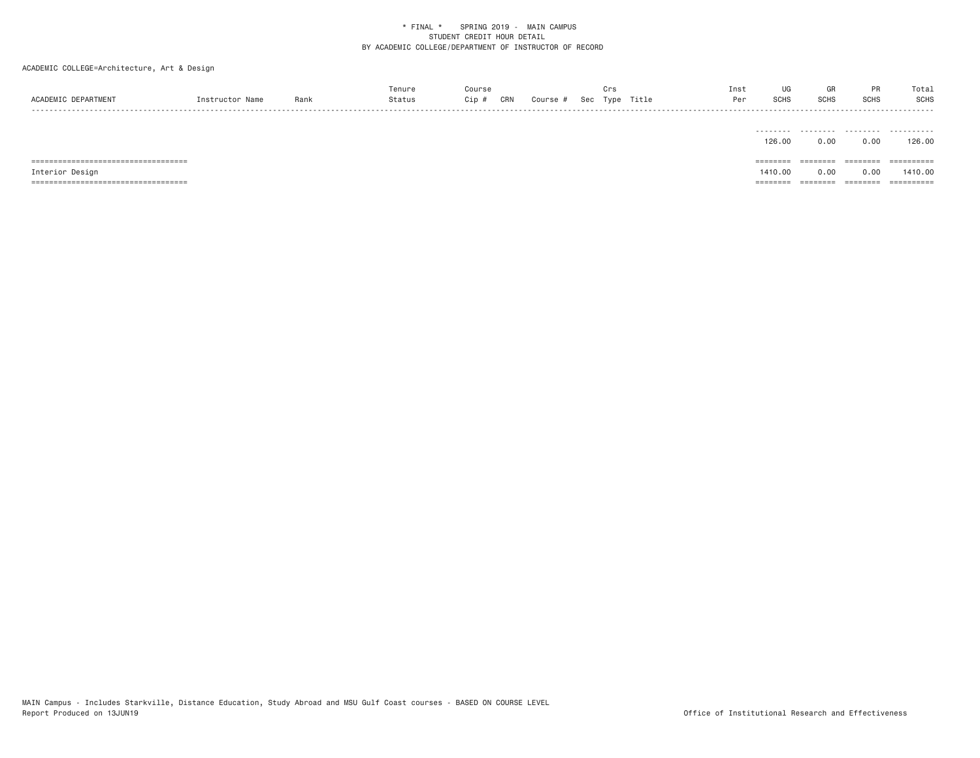ACADEMIC COLLEGE=Architecture, Art & Design

|                     |                |      | Tenure |     |     |        |     |      |       | Inst | UG           |             |             | Total |
|---------------------|----------------|------|--------|-----|-----|--------|-----|------|-------|------|--------------|-------------|-------------|-------|
| ACADEMIC DEPARTMENT | Instructor Nar | Rank | status | )ip | CRN | Course | Sec | Type | Title | Per  | erue<br>งบทง | <b>SCHS</b> | <b>SCHS</b> | SCHS  |
| - - - -             |                |      |        |     |     |        |     |      |       |      |              |             |             |       |

|                 | -------- | .     | .       | .          |
|-----------------|----------|-------|---------|------------|
|                 | 126.00   | 0.00  | 0.00    | 126.00     |
|                 |          |       |         |            |
|                 |          |       |         |            |
| ====            | ======== | ===== | ------- | ========== |
| Interior Design | 1410.00  | 0.00  | 0.00    | 1410.00    |

MAIN Campus - Includes Starkville, Distance Education, Study Abroad and MSU Gulf Coast courses - BASED ON COURSE LEVEL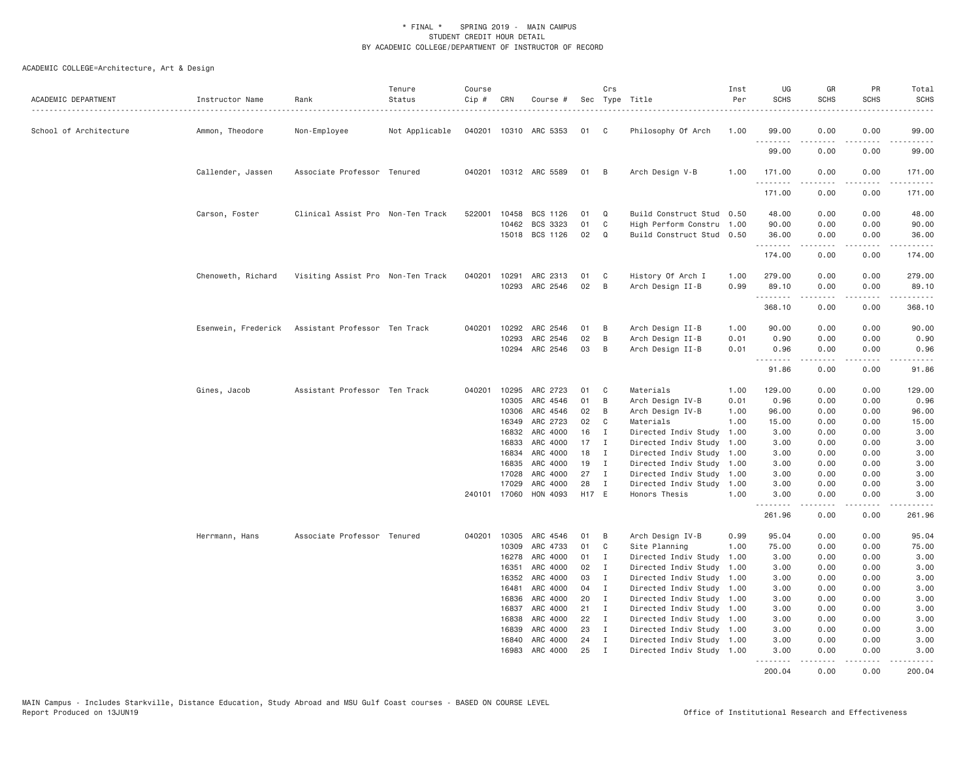| ACADEMIC DEPARTMENT    | Instructor Name     | Rank                              | Tenure<br>Status | Course<br>Cip # | CRN                   | Course #              |             | Crs                          | Sec Type Title                                         | Inst<br>Per  | UG<br><b>SCHS</b>   | GR<br><b>SCHS</b>  | PR<br><b>SCHS</b> | Total<br><b>SCHS</b>                                                                                                                                                                      |
|------------------------|---------------------|-----------------------------------|------------------|-----------------|-----------------------|-----------------------|-------------|------------------------------|--------------------------------------------------------|--------------|---------------------|--------------------|-------------------|-------------------------------------------------------------------------------------------------------------------------------------------------------------------------------------------|
| School of Architecture | Ammon, Theodore     | Non-Employee                      | Not Applicable   |                 |                       | 040201 10310 ARC 5353 | 01          | $\mathbf{C}$                 | Philosophy Of Arch                                     | 1.00         | 99.00               | 0.00               | 0.00              | 99.00                                                                                                                                                                                     |
|                        |                     |                                   |                  |                 |                       |                       |             |                              |                                                        |              | 99.00               | 0.00               | 0.00              | 99.00                                                                                                                                                                                     |
|                        | Callender, Jassen   | Associate Professor Tenured       |                  |                 |                       | 040201 10312 ARC 5589 | 01          | B                            | Arch Design V-B                                        | 1.00         | 171.00<br><u>.</u>  | 0.00               | 0.00<br>.         | 171.00<br>$- - - - - -$                                                                                                                                                                   |
|                        |                     |                                   |                  |                 |                       |                       |             |                              |                                                        |              | 171.00              | <u>.</u><br>0.00   | 0.00              | 171.00                                                                                                                                                                                    |
|                        | Carson, Foster      | Clinical Assist Pro Non-Ten Track |                  | 522001          | 10458                 | BCS 1126              | 01          | Q                            | Build Construct Stud                                   | 0.50         | 48.00               | 0.00               | 0.00              | 48.00                                                                                                                                                                                     |
|                        |                     |                                   |                  |                 | 10462                 | BCS 3323              | 01          | C                            | High Perform Constru                                   | 1.00         | 90.00               | 0.00               | 0.00              | 90.00                                                                                                                                                                                     |
|                        |                     |                                   |                  |                 |                       | 15018 BCS 1126        | 02          | Q                            | Build Construct Stud 0.50                              |              | 36.00               | 0.00               | 0.00              | 36.00                                                                                                                                                                                     |
|                        |                     |                                   |                  |                 |                       |                       |             |                              |                                                        |              | ---------<br>174.00 | -----<br>0.00      | -----<br>0.00     | $\begin{array}{cccccccccc} \bullet & \bullet & \bullet & \bullet & \bullet & \bullet & \bullet \end{array}$<br>174.00                                                                     |
|                        | Chenoweth, Richard  | Visiting Assist Pro Non-Ten Track |                  | 040201          | 10291                 | ARC 2313              | 01          | C                            | History Of Arch I                                      | 1.00         | 279.00              | 0.00               | 0.00              | 279.00                                                                                                                                                                                    |
|                        |                     |                                   |                  |                 |                       | 10293 ARC 2546        | 02          | B                            | Arch Design II-B                                       | 0.99         | 89.10               | 0.00               | 0.00              | 89.10                                                                                                                                                                                     |
|                        |                     |                                   |                  |                 |                       |                       |             |                              |                                                        |              | .<br>368.10         | .<br>0.00          | .<br>0.00         | $\frac{1}{2} \left( \frac{1}{2} \right) \left( \frac{1}{2} \right) \left( \frac{1}{2} \right) \left( \frac{1}{2} \right) \left( \frac{1}{2} \right) \left( \frac{1}{2} \right)$<br>368.10 |
|                        | Esenwein, Frederick | Assistant Professor Ten Track     |                  |                 | 040201 10292          | ARC 2546              | 01          | B                            | Arch Design II-B                                       | 1.00         | 90.00               | 0.00               | 0.00              | 90.00                                                                                                                                                                                     |
|                        |                     |                                   |                  |                 | 10293                 | ARC 2546              | 02          | B                            | Arch Design II-B                                       | 0.01         | 0.90                | 0.00               | 0.00              | 0.90                                                                                                                                                                                      |
|                        |                     |                                   |                  |                 | 10294                 | ARC 2546              | 03          | B                            | Arch Design II-B                                       | 0.01         | 0.96                | 0.00               | 0.00              | 0.96                                                                                                                                                                                      |
|                        |                     |                                   |                  |                 |                       |                       |             |                              |                                                        |              | .<br>91.86          | 0.00               | 0.00              | 91.86                                                                                                                                                                                     |
|                        | Gines, Jacob        | Assistant Professor Ten Track     |                  | 040201          | 10295                 | ARC 2723              | 01          | C                            | Materials                                              | 1.00         | 129.00              | 0.00               | 0.00              | 129.00                                                                                                                                                                                    |
|                        |                     |                                   |                  |                 | 10305                 | ARC 4546              | 01          | B                            | Arch Design IV-B                                       | 0.01         | 0.96                | 0.00               | 0.00              | 0.96                                                                                                                                                                                      |
|                        |                     |                                   |                  |                 | 10306                 | ARC 4546              | 02          | B                            | Arch Design IV-B                                       | 1.00         | 96.00               | 0.00               | 0.00              | 96.00                                                                                                                                                                                     |
|                        |                     |                                   |                  |                 | 16349                 | ARC 2723              | 02          | C                            | Materials                                              | 1,00         | 15.00               | 0.00               | 0.00              | 15.00                                                                                                                                                                                     |
|                        |                     |                                   |                  |                 | 16832                 | ARC 4000              | 16          | Ι.                           | Directed Indiv Study                                   | 1.00         | 3.00                | 0.00               | 0.00              | 3.00                                                                                                                                                                                      |
|                        |                     |                                   |                  |                 | 16833                 | ARC 4000              | 17          | $\mathbf{I}$                 | Directed Indiv Study                                   | 1.00         | 3.00                | 0.00               | 0.00              | 3.00                                                                                                                                                                                      |
|                        |                     |                                   |                  |                 | 16834                 | ARC 4000              | 18          | $\mathbf{I}$                 | Directed Indiv Study 1.00                              |              | 3.00                | 0.00               | 0.00              | 3.00                                                                                                                                                                                      |
|                        |                     |                                   |                  |                 | 16835                 | ARC 4000              | 19          | $\mathbf{I}$                 | Directed Indiv Study 1.00                              |              | 3.00                | 0.00               | 0.00              | 3.00                                                                                                                                                                                      |
|                        |                     |                                   |                  |                 | 17028                 | ARC 4000              | 27          | $\mathbf{I}$                 | Directed Indiv Study                                   | 1.00         | 3.00                | 0.00               | 0.00              | 3.00                                                                                                                                                                                      |
|                        |                     |                                   |                  |                 | 17029<br>240101 17060 | ARC 4000<br>HON 4093  | 28<br>H17 E | $\mathbf{I}$                 | Directed Indiv Study<br>Honors Thesis                  | 1.00<br>1.00 | 3.00<br>3.00        | 0.00<br>0.00       | 0.00<br>0.00      | 3.00<br>3.00                                                                                                                                                                              |
|                        |                     |                                   |                  |                 |                       |                       |             |                              |                                                        |              | .                   | .                  | $- - - -$         |                                                                                                                                                                                           |
|                        |                     |                                   |                  |                 |                       |                       |             |                              |                                                        |              | 261.96              | 0.00               | 0.00              | 261.96                                                                                                                                                                                    |
|                        | Herrmann, Hans      | Associate Professor Tenured       |                  |                 |                       | 040201 10305 ARC 4546 | 01          | B                            | Arch Design IV-B                                       | 0.99         | 95.04               | 0.00               | 0.00              | 95.04                                                                                                                                                                                     |
|                        |                     |                                   |                  |                 | 10309                 | ARC 4733              | 01          | C                            | Site Planning                                          | 1.00         | 75.00               | 0.00               | 0.00              | 75.00                                                                                                                                                                                     |
|                        |                     |                                   |                  |                 | 16278                 | ARC 4000              | 01          | I                            | Directed Indiv Study                                   | 1.00         | 3.00                | 0.00               | 0.00              | 3.00                                                                                                                                                                                      |
|                        |                     |                                   |                  |                 | 16351                 | ARC 4000              | 02          | $\mathbf{I}$                 | Directed Indiv Study                                   | 1.00         | 3.00                | 0.00               | 0.00              | 3.00                                                                                                                                                                                      |
|                        |                     |                                   |                  |                 | 16352                 | ARC 4000              | 03          | $\mathbf{I}$                 | Directed Indiv Study 1.00                              |              | 3.00                | 0.00               | 0.00              | 3.00                                                                                                                                                                                      |
|                        |                     |                                   |                  |                 | 16481                 | ARC 4000              | 04          | $\mathbf{I}$                 | Directed Indiv Study 1.00                              |              | 3.00                | 0.00               | 0.00              | 3.00                                                                                                                                                                                      |
|                        |                     |                                   |                  |                 | 16836                 | ARC 4000              | 20          | $\mathbf{I}$                 | Directed Indiv Study 1.00                              |              | 3.00                | 0.00               | 0.00              | 3.00                                                                                                                                                                                      |
|                        |                     |                                   |                  |                 | 16837                 | ARC 4000              | 21          | $\mathbf{I}$                 | Directed Indiv Study 1.00                              |              | 3.00                | 0.00               | 0.00              | 3.00                                                                                                                                                                                      |
|                        |                     |                                   |                  |                 | 16838                 | ARC 4000              | 22          | $\mathbf{I}$                 | Directed Indiv Study 1.00                              |              | 3.00                | 0.00               | 0.00              | 3.00                                                                                                                                                                                      |
|                        |                     |                                   |                  |                 | 16839                 | ARC 4000              | 23          | I                            | Directed Indiv Study 1.00                              |              | 3.00                | 0.00               | 0.00              | 3.00                                                                                                                                                                                      |
|                        |                     |                                   |                  |                 | 16840<br>16983        | ARC 4000<br>ARC 4000  | 24<br>25    | $\mathbf{I}$<br>$\mathbf{I}$ | Directed Indiv Study 1.00<br>Directed Indiv Study 1.00 |              | 3.00<br>3.00        | 0.00               | 0.00<br>0.00      | 3.00<br>3.00                                                                                                                                                                              |
|                        |                     |                                   |                  |                 |                       |                       |             |                              |                                                        |              | <u>.</u>            | 0.00<br>. <u>.</u> | .                 | . <u>.</u> .                                                                                                                                                                              |
|                        |                     |                                   |                  |                 |                       |                       |             |                              |                                                        |              | 200.04              | 0.00               | 0.00              | 200.04                                                                                                                                                                                    |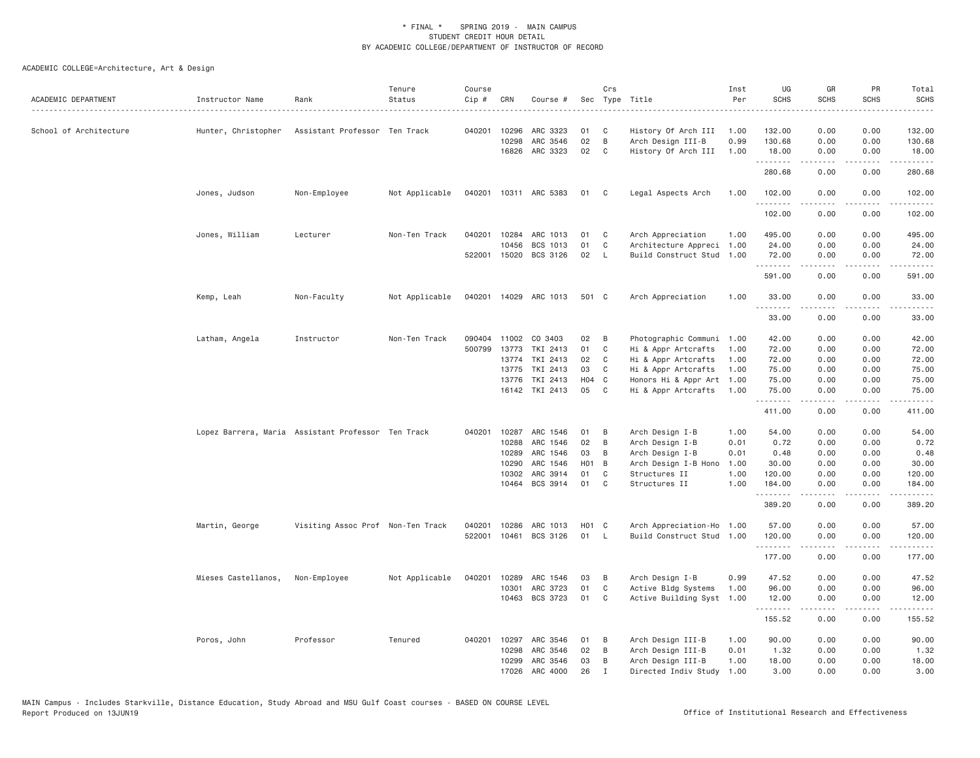| ACADEMIC DEPARTMENT    | Instructor Name                                    | Rank                              | Tenure<br>Status | Course<br>Cip # | CRN          | Course #              |                   | Crs          | Sec Type Title            | Inst<br>Per | UG<br><b>SCHS</b> | GR<br><b>SCHS</b>   | PR<br><b>SCHS</b>                                                                                                                 | Total<br><b>SCHS</b>                                                                                                                                          |
|------------------------|----------------------------------------------------|-----------------------------------|------------------|-----------------|--------------|-----------------------|-------------------|--------------|---------------------------|-------------|-------------------|---------------------|-----------------------------------------------------------------------------------------------------------------------------------|---------------------------------------------------------------------------------------------------------------------------------------------------------------|
| School of Architecture | Hunter, Christopher                                | Assistant Professor Ten Track     |                  | 040201          | 10296        | ARC 3323              | 01                | C            | History Of Arch III       | 1.00        | 132.00            | 0.00                | 0.00                                                                                                                              | 132.00                                                                                                                                                        |
|                        |                                                    |                                   |                  |                 | 10298        | ARC 3546              | 02                | B            | Arch Design III-B         | 0.99        | 130.68            | 0.00                | 0.00                                                                                                                              | 130.68                                                                                                                                                        |
|                        |                                                    |                                   |                  |                 | 16826        | ARC 3323              | 02                | C            | History Of Arch III       | 1.00        | 18.00<br>.        | 0.00<br>2.2.2.2.2   | 0.00<br>.                                                                                                                         | 18.00<br>$\frac{1}{2} \left( \frac{1}{2} \right) \left( \frac{1}{2} \right) \left( \frac{1}{2} \right) \left( \frac{1}{2} \right) \left( \frac{1}{2} \right)$ |
|                        |                                                    |                                   |                  |                 |              |                       |                   |              |                           |             | 280.68            | 0.00                | 0.00                                                                                                                              | 280.68                                                                                                                                                        |
|                        | Jones, Judson                                      | Non-Employee                      | Not Applicable   | 040201          |              | 10311 ARC 5383        | 01                | C            | Legal Aspects Arch        | 1.00        | 102.00<br>.       | 0.00                | 0.00                                                                                                                              | 102.00                                                                                                                                                        |
|                        |                                                    |                                   |                  |                 |              |                       |                   |              |                           |             | 102.00            | 0.00                | 0.00                                                                                                                              | 102.00                                                                                                                                                        |
|                        | Jones, William                                     | Lecturer                          | Non-Ten Track    | 040201          | 10284        | ARC 1013              | 01                | C            | Arch Appreciation         | 1.00        | 495.00            | 0.00                | 0.00                                                                                                                              | 495.00                                                                                                                                                        |
|                        |                                                    |                                   |                  |                 | 10456        | BCS 1013              | 01                | C            | Architecture Appreci 1.00 |             | 24.00             | 0.00                | 0.00                                                                                                                              | 24.00                                                                                                                                                         |
|                        |                                                    |                                   |                  |                 | 522001 15020 | BCS 3126              | 02                | $\mathsf{L}$ | Build Construct Stud 1.00 |             | 72.00<br>.        | 0.00<br>.           | 0.00<br>$\frac{1}{2} \left( \frac{1}{2} \right) \left( \frac{1}{2} \right) \left( \frac{1}{2} \right) \left( \frac{1}{2} \right)$ | 72.00<br>.                                                                                                                                                    |
|                        |                                                    |                                   |                  |                 |              |                       |                   |              |                           |             | 591.00            | 0.00                | 0.00                                                                                                                              | 591.00                                                                                                                                                        |
|                        | Kemp, Leah                                         | Non-Faculty                       | Not Applicable   |                 |              | 040201 14029 ARC 1013 | 501 C             |              | Arch Appreciation         | 1.00        | 33.00<br>.        | 0.00                | 0.00                                                                                                                              | 33.00                                                                                                                                                         |
|                        |                                                    |                                   |                  |                 |              |                       |                   |              |                           |             | 33.00             | 0.00                | 0.00                                                                                                                              | 33.00                                                                                                                                                         |
|                        | Latham, Angela                                     | Instructor                        | Non-Ten Track    | 090404          | 11002        | CO 3403               | 02                | B            | Photographic Communi 1.00 |             | 42.00             | 0.00                | 0.00                                                                                                                              | 42.00                                                                                                                                                         |
|                        |                                                    |                                   |                  | 500799          | 13773        | TKI 2413              | 01                | $\mathsf{C}$ | Hi & Appr Artcrafts       | 1.00        | 72.00             | 0.00                | 0.00                                                                                                                              | 72.00                                                                                                                                                         |
|                        |                                                    |                                   |                  |                 | 13774        | TKI 2413              | 02                | C            | Hi & Appr Artcrafts       | 1.00        | 72.00             | 0.00                | 0.00                                                                                                                              | 72.00                                                                                                                                                         |
|                        |                                                    |                                   |                  |                 | 13775        | TKI 2413              | 03                | C            | Hi & Appr Artcrafts       | 1.00        | 75.00             | 0.00                | 0.00                                                                                                                              | 75.00                                                                                                                                                         |
|                        |                                                    |                                   |                  |                 | 13776        | TKI 2413              | H04 C             |              | Honors Hi & Appr Art 1.00 |             | 75.00             | 0.00                | 0.00                                                                                                                              | 75.00                                                                                                                                                         |
|                        |                                                    |                                   |                  |                 |              | 16142 TKI 2413        | 05                | C            | Hi & Appr Artcrafts       | 1.00        | 75.00             | 0.00                | 0.00                                                                                                                              | 75.00                                                                                                                                                         |
|                        |                                                    |                                   |                  |                 |              |                       |                   |              |                           |             | .<br>411.00       | <b>.</b><br>0.00    | .<br>0.00                                                                                                                         | .<br>411.00                                                                                                                                                   |
|                        | Lopez Barrera, Maria Assistant Professor Ten Track |                                   |                  | 040201          | 10287        | ARC 1546              | 01                | B            | Arch Design I-B           | 1.00        | 54.00             | 0.00                | 0.00                                                                                                                              | 54.00                                                                                                                                                         |
|                        |                                                    |                                   |                  |                 | 10288        | ARC 1546              | 02                | B            | Arch Design I-B           | 0.01        | 0.72              | 0.00                | 0.00                                                                                                                              | 0.72                                                                                                                                                          |
|                        |                                                    |                                   |                  |                 | 10289        | ARC 1546              | 03                | B            | Arch Design I-B           | 0.01        | 0.48              | 0.00                | 0.00                                                                                                                              | 0.48                                                                                                                                                          |
|                        |                                                    |                                   |                  |                 | 10290        | ARC 1546              | H <sub>01</sub> B |              | Arch Design I-B Hono      | 1.00        | 30.00             | 0.00                | 0.00                                                                                                                              | 30.00                                                                                                                                                         |
|                        |                                                    |                                   |                  |                 | 10302        | ARC 3914              | 01                | C            | Structures II             | 1.00        | 120.00            | 0.00                | 0.00                                                                                                                              | 120.00                                                                                                                                                        |
|                        |                                                    |                                   |                  |                 |              | 10464 BCS 3914        | 01                | C            | Structures II             | 1.00        | 184.00<br>.       | 0.00<br>المتمالين   | 0.00<br>22222                                                                                                                     | 184.00<br>.                                                                                                                                                   |
|                        |                                                    |                                   |                  |                 |              |                       |                   |              |                           |             | 389.20            | 0.00                | 0.00                                                                                                                              | 389.20                                                                                                                                                        |
|                        | Martin, George                                     | Visiting Assoc Prof Non-Ten Track |                  | 040201          | 10286        | ARC 1013              | H01 C             |              | Arch Appreciation-Ho 1.00 |             | 57.00             | 0.00                | 0.00                                                                                                                              | 57.00                                                                                                                                                         |
|                        |                                                    |                                   |                  | 522001          |              | 10461 BCS 3126        | 01                | L.           | Build Construct Stud 1.00 |             | 120.00<br>.       | 0.00<br>$- - - - -$ | 0.00<br>.                                                                                                                         | 120.00<br>.                                                                                                                                                   |
|                        |                                                    |                                   |                  |                 |              |                       |                   |              |                           |             | 177.00            | 0.00                | 0.00                                                                                                                              | 177.00                                                                                                                                                        |
|                        | Mieses Castellanos,                                | Non-Employee                      | Not Applicable   | 040201          | 10289        | ARC 1546              | 03                | B            | Arch Design I-B           | 0.99        | 47.52             | 0.00                | 0.00                                                                                                                              | 47.52                                                                                                                                                         |
|                        |                                                    |                                   |                  |                 | 10301        | ARC 3723              | 01                | C            | Active Bldg Systems       | 1.00        | 96.00             | 0.00                | 0.00                                                                                                                              | 96.00                                                                                                                                                         |
|                        |                                                    |                                   |                  |                 |              | 10463 BCS 3723        | 01                | C            | Active Building Syst 1.00 |             | 12.00<br>.        | 0.00                | 0.00<br>.                                                                                                                         | 12.00                                                                                                                                                         |
|                        |                                                    |                                   |                  |                 |              |                       |                   |              |                           |             | 155.52            | 0.00                | 0.00                                                                                                                              | 155.52                                                                                                                                                        |
|                        | Poros, John                                        | Professor                         | Tenured          | 040201          | 10297        | ARC 3546              | 01                | B            | Arch Design III-B         | 1.00        | 90.00             | 0.00                | 0.00                                                                                                                              | 90.00                                                                                                                                                         |
|                        |                                                    |                                   |                  |                 | 10298        | ARC 3546              | 02                | B            | Arch Design III-B         | 0.01        | 1.32              | 0.00                | 0.00                                                                                                                              | 1.32                                                                                                                                                          |
|                        |                                                    |                                   |                  |                 | 10299        | ARC 3546              | 03                | B            | Arch Design III-B         | 1.00        | 18.00             | 0.00                | 0.00                                                                                                                              | 18.00                                                                                                                                                         |
|                        |                                                    |                                   |                  |                 | 17026        | ARC 4000              | 26                | $\mathbf I$  | Directed Indiv Study      | 1.00        | 3,00              | 0.00                | 0.00                                                                                                                              | 3.00                                                                                                                                                          |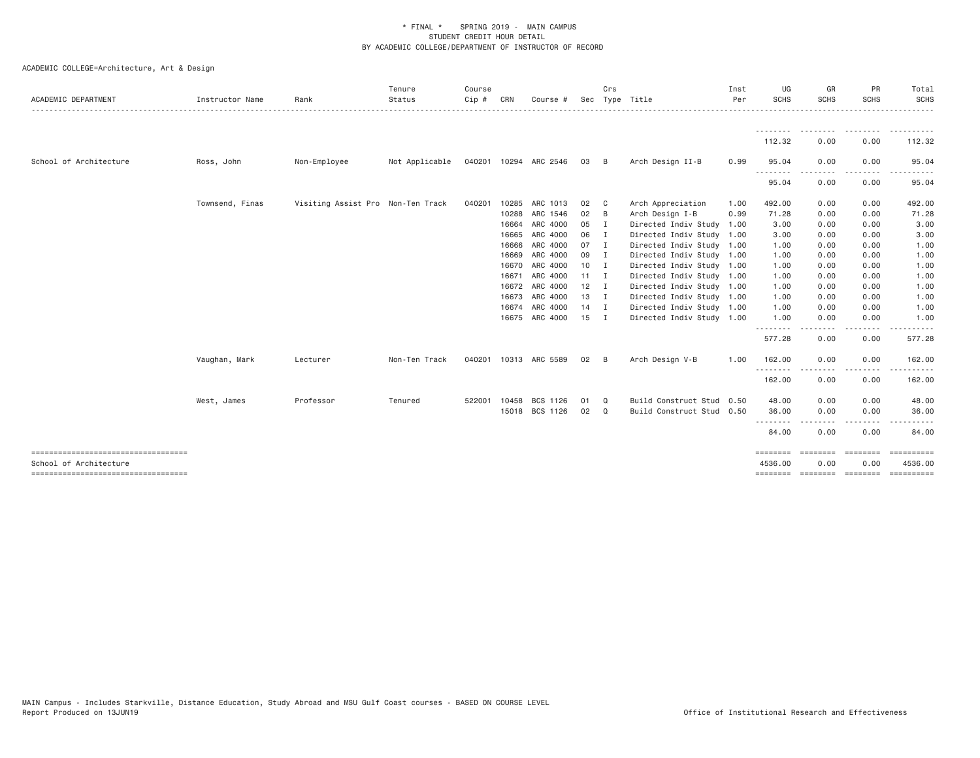| ACADEMIC DEPARTMENT                                            | Instructor Name | Rank                              | Tenure<br>Status<br>. <u>.</u> . | Course<br>Cip # | CRN   | Course #              |              | Crs<br>Sec Type Title |                           | Inst<br>Per | UG<br><b>SCHS</b> | GR<br><b>SCHS</b> | <b>PR</b><br>SCHS | Total<br>SCHS<br>.                               |
|----------------------------------------------------------------|-----------------|-----------------------------------|----------------------------------|-----------------|-------|-----------------------|--------------|-----------------------|---------------------------|-------------|-------------------|-------------------|-------------------|--------------------------------------------------|
|                                                                |                 |                                   |                                  |                 |       |                       |              |                       |                           |             | .                 | ---------         |                   | .                                                |
|                                                                |                 |                                   |                                  |                 |       |                       |              |                       |                           |             | 112.32            | 0.00              | 0.00              | 112.32                                           |
| School of Architecture                                         | Ross, John      | Non-Employee                      | Not Applicable                   |                 |       | 040201 10294 ARC 2546 | 03           | - B                   | Arch Design II-B          | 0.99        | 95.04<br>$- - -$  | 0.00              | 0.00              | 95.04                                            |
|                                                                |                 |                                   |                                  |                 |       |                       |              |                       |                           |             | 95.04             | 0.00              | 0.00              | 95.04                                            |
|                                                                | Townsend, Finas | Visiting Assist Pro Non-Ten Track |                                  | 040201          | 10285 | ARC 1013              | 02           | $\mathbf{C}$          | Arch Appreciation         | 1.00        | 492.00            | 0.00              | 0.00              | 492.00                                           |
|                                                                |                 |                                   |                                  |                 | 10288 | ARC 1546              | 02           | B                     | Arch Design I-B           | 0.99        | 71.28             | 0.00              | 0.00              | 71.28                                            |
|                                                                |                 |                                   |                                  |                 | 16664 | ARC 4000              | 05           | $\mathbf{I}$          | Directed Indiv Study 1.00 |             | 3.00              | 0.00              | 0.00              | 3.00                                             |
|                                                                |                 |                                   |                                  |                 | 16665 | ARC 4000              | 06           | I.                    | Directed Indiv Study 1.00 |             | 3.00              | 0.00              | 0.00              | 3.00                                             |
|                                                                |                 |                                   |                                  |                 | 16666 | ARC 4000              | 07           | $\blacksquare$        | Directed Indiv Study 1.00 |             | 1.00              | 0.00              | 0.00              | 1.00                                             |
|                                                                |                 |                                   |                                  |                 | 16669 | ARC 4000              | 09           | I                     | Directed Indiv Study 1.00 |             | 1.00              | 0.00              | 0.00              | 1.00                                             |
|                                                                |                 |                                   |                                  |                 | 16670 | ARC 4000              | 10           | - I                   | Directed Indiv Study 1.00 |             | 1.00              | 0.00              | 0.00              | 1.00                                             |
|                                                                |                 |                                   |                                  |                 | 16671 | ARC 4000              | $11 \quad I$ |                       | Directed Indiv Study 1.00 |             | 1.00              | 0.00              | 0.00              | 1.00                                             |
|                                                                |                 |                                   |                                  |                 |       | 16672 ARC 4000        | $12 \quad I$ |                       | Directed Indiv Study 1.00 |             | 1.00              | 0.00              | 0.00              | 1.00                                             |
|                                                                |                 |                                   |                                  |                 |       | 16673 ARC 4000        | 13 I         |                       | Directed Indiv Study 1.00 |             | 1.00              | 0.00              | 0.00              | 1.00                                             |
|                                                                |                 |                                   |                                  |                 | 16674 | ARC 4000              | $14$ I       |                       | Directed Indiv Study 1.00 |             | 1.00              | 0.00              | 0.00              | 1.00                                             |
|                                                                |                 |                                   |                                  |                 |       | 16675 ARC 4000        | $15$ I       |                       | Directed Indiv Study 1.00 |             | 1.00<br>.         | 0.00              | 0.00<br>.         | 1.00                                             |
|                                                                |                 |                                   |                                  |                 |       |                       |              |                       |                           |             | 577.28            | 0.00              | 0.00              | 577.28                                           |
|                                                                | Vaughan, Mark   | Lecturer                          | Non-Ten Track                    | 040201          |       | 10313 ARC 5589        | $02 \quad B$ |                       | Arch Design V-B           | 1.00        | 162.00            | 0.00              | 0.00              | 162.00                                           |
|                                                                |                 |                                   |                                  |                 |       |                       |              |                       |                           |             | .<br>162.00       | 0.00              | .<br>0.00         | .<br>162.00                                      |
|                                                                | West, James     | Professor                         | Tenured                          | 522001          | 10458 | BCS 1126              | 01           | Q                     | Build Construct Stud 0.50 |             | 48.00             | 0.00              | 0.00              | 48.00                                            |
|                                                                |                 |                                   |                                  |                 |       | 15018 BCS 1126        | 02           | Q                     | Build Construct Stud 0.50 |             | 36.00             | 0.00              | 0.00              | 36.00                                            |
|                                                                |                 |                                   |                                  |                 |       |                       |              |                       |                           |             | --------<br>84.00 | .<br>0.00         | .<br>0.00         | 84.00                                            |
|                                                                |                 |                                   |                                  |                 |       |                       |              |                       |                           |             | ========          | eeeeeee           | ========          |                                                  |
| School of Architecture<br>------------------------------------ |                 |                                   |                                  |                 |       |                       |              |                       |                           |             | 4536.00           | 0.00              | 0.00              | 4536.00<br>======== ======== ======== ========== |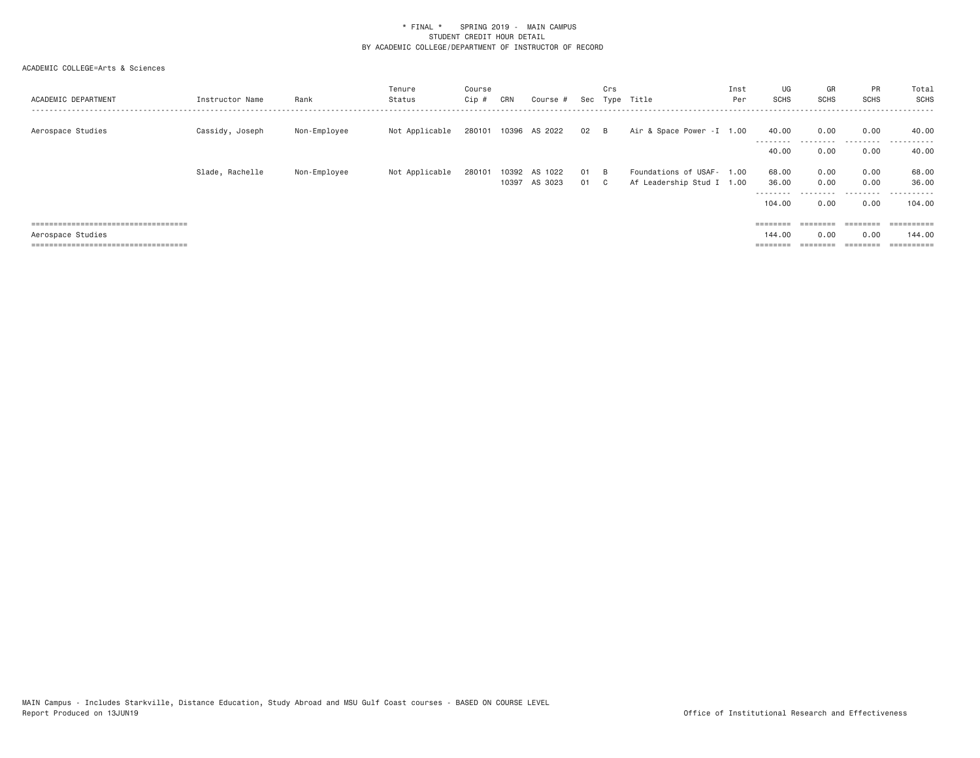| ACADEMIC DEPARTMENT                    | Instructor Name | Rank         | Tenure<br>Status | Course<br>Cip # | CRN            | Course #           |          | Crs<br>Sec Type       | Title                                                  | Inst<br>Per | UG<br>SCHS          | GR<br><b>SCHS</b> | <b>PR</b><br><b>SCHS</b> | Total<br>SCHS<br>- - - - - - - |
|----------------------------------------|-----------------|--------------|------------------|-----------------|----------------|--------------------|----------|-----------------------|--------------------------------------------------------|-------------|---------------------|-------------------|--------------------------|--------------------------------|
| Aerospace Studies                      | Cassidy, Joseph | Non-Employee | Not Applicable   | 280101          |                | 10396 AS 2022      | 02       | <b>B</b>              | Air & Space Power -I 1.00                              |             | 40.00<br>---------  | 0.00              | 0.00<br>.                | 40.00<br>.<br>$  -$            |
|                                        |                 |              |                  |                 |                |                    |          |                       |                                                        |             | 40.00               | 0.00              | 0.00                     | 40.00                          |
|                                        | Slade, Rachelle | Non-Employee | Not Applicable   | 280101          | 10392<br>10397 | AS 1022<br>AS 3023 | 01<br>01 | - B<br>$\overline{c}$ | Foundations of USAF- 1.00<br>Af Leadership Stud I 1.00 |             | 68.00<br>36.00      | 0.00<br>0.00      | 0.00<br>0.00             | 68.00<br>36.00                 |
|                                        |                 |              |                  |                 |                |                    |          |                       |                                                        |             | ---------<br>104.00 | ---------<br>0.00 | .<br>0.00                | .<br>$  -$<br>104,00           |
| ====================================== |                 |              |                  |                 |                |                    |          |                       |                                                        |             | $=$ = = = = = = =   | $=$ = = = = = = = |                          |                                |
| Aerospace Studies                      |                 |              |                  |                 |                |                    |          |                       |                                                        |             | 144,00              | 0.00              | 0.00                     | 144.00                         |
| =====================================  |                 |              |                  |                 |                |                    |          |                       |                                                        |             | $=$ = = = = = = =   | ========          | ---------<br>=======     |                                |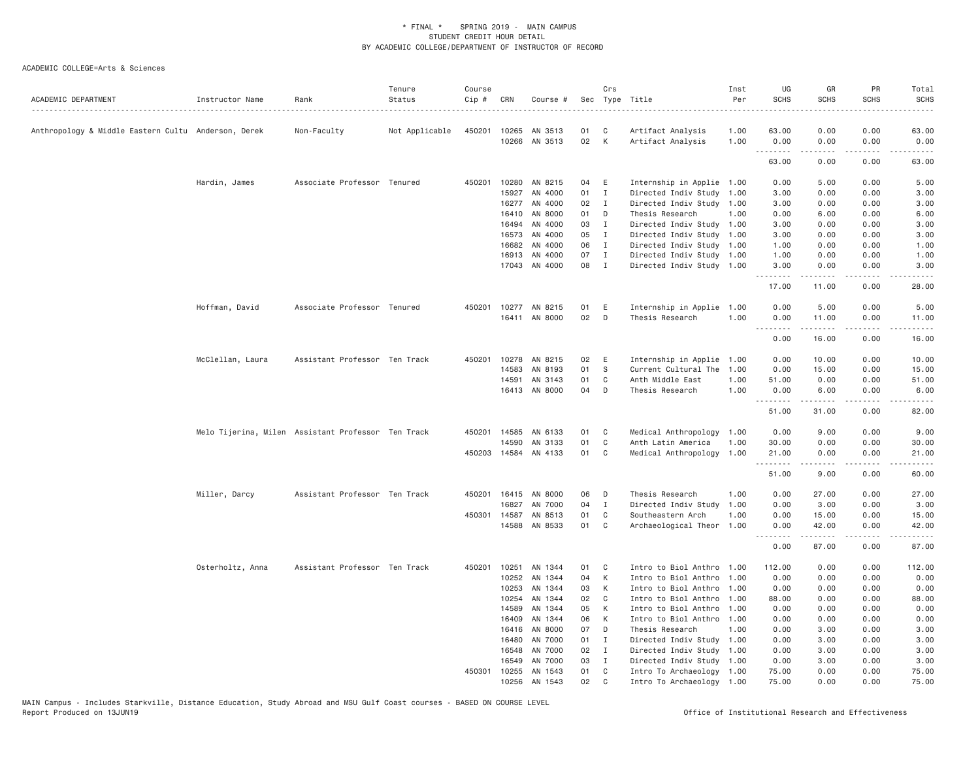| ACADEMIC DEPARTMENT                                 | Instructor Name  | Rank                                               | Tenure<br>Status    | Course<br>Cip # | CRN            | Course #             |          | Crs            | Sec Type Title                                         | Inst<br>Per | UG<br><b>SCHS</b> | GR<br><b>SCHS</b>  | PR<br><b>SCHS</b> | Total<br><b>SCHS</b> |
|-----------------------------------------------------|------------------|----------------------------------------------------|---------------------|-----------------|----------------|----------------------|----------|----------------|--------------------------------------------------------|-------------|-------------------|--------------------|-------------------|----------------------|
| Anthropology & Middle Eastern Cultu Anderson, Derek |                  | Non-Faculty                                        | .<br>Not Applicable |                 |                | 450201 10265 AN 3513 | 01       | C              | Artifact Analysis                                      | 1.00        | 63.00             | 0.00               | 0.00              | 63.00                |
|                                                     |                  |                                                    |                     |                 | 10266          | AN 3513              | 02       | $\mathsf{K}$   | Artifact Analysis                                      | 1.00        | 0.00              | 0.00               | 0.00              | 0.00                 |
|                                                     |                  |                                                    |                     |                 |                |                      |          |                |                                                        |             | .<br>63.00        | .<br>0.00          | .<br>0.00         | .<br>63.00           |
|                                                     | Hardin, James    | Associate Professor Tenured                        |                     | 450201          | 10280          | AN 8215              | 04       | E              | Internship in Applie 1.00                              |             | 0.00              | 5.00               | 0.00              | 5.00                 |
|                                                     |                  |                                                    |                     |                 | 15927          | AN 4000              | 01       | $\mathbf{I}$   | Directed Indiv Study 1.00                              |             | 3.00              | 0.00               | 0.00              | 3.00                 |
|                                                     |                  |                                                    |                     |                 |                | 16277 AN 4000        | 02       | $\mathbf{I}$   | Directed Indiv Study 1.00                              |             | 3.00              | 0.00               | 0.00              | 3.00                 |
|                                                     |                  |                                                    |                     |                 | 16410          | AN 8000              | 01       | D              | Thesis Research                                        | 1.00        | 0.00              | 6.00               | 0.00              | 6.00                 |
|                                                     |                  |                                                    |                     |                 | 16494          | AN 4000              | 03       | $\mathbf{I}$   | Directed Indiv Study 1.00                              |             | 3.00              | 0.00               | 0.00              | 3.00                 |
|                                                     |                  |                                                    |                     |                 | 16573          | AN 4000              | 05       | $\mathbf{I}$   | Directed Indiv Study 1.00                              |             | 3.00              | 0.00               | 0.00              | 3.00                 |
|                                                     |                  |                                                    |                     |                 | 16682          | AN 4000              | 06       | $\mathbf{I}$   | Directed Indiv Study 1.00                              |             | 1.00              | 0.00               | 0.00              | 1.00                 |
|                                                     |                  |                                                    |                     |                 | 16913          | AN 4000              | 07       | $\mathbf{I}$   | Directed Indiv Study 1.00                              |             | 1.00              | 0.00               | 0.00              | 1.00                 |
|                                                     |                  |                                                    |                     |                 |                | 17043 AN 4000        | 08       | $\mathbf{I}$   | Directed Indiv Study 1.00                              |             | 3.00<br>.         | 0.00<br>. <u>.</u> | 0.00<br>.         | 3.00<br>$\cdots$     |
|                                                     |                  |                                                    |                     |                 |                |                      |          |                |                                                        |             | 17.00             | 11.00              | 0.00              | 28.00                |
|                                                     | Hoffman, David   | Associate Professor Tenured                        |                     | 450201          |                | 10277 AN 8215        | 01       | E              | Internship in Applie                                   | 1.00        | 0.00              | 5.00               | 0.00              | 5.00                 |
|                                                     |                  |                                                    |                     |                 |                | 16411 AN 8000        | 02       | D              | Thesis Research                                        | 1.00        | 0.00<br>.         | 11.00<br>.         | 0.00<br>.         | 11.00<br>.           |
|                                                     |                  |                                                    |                     |                 |                |                      |          |                |                                                        |             | 0.00              | 16.00              | 0.00              | 16.00                |
|                                                     | McClellan, Laura | Assistant Professor Ten Track                      |                     | 450201          | 10278          | AN 8215              | 02       | E              | Internship in Applie                                   | 1.00        | 0.00              | 10.00              | 0.00              | 10.00                |
|                                                     |                  |                                                    |                     |                 | 14583          | AN 8193              | 01       | S              | Current Cultural The                                   | 1,00        | 0.00              | 15.00              | 0.00              | 15.00                |
|                                                     |                  |                                                    |                     |                 | 14591          | AN 3143              | 01       | C              | Anth Middle East                                       | 1.00        | 51.00             | 0.00               | 0.00              | 51.00                |
|                                                     |                  |                                                    |                     |                 |                | 16413 AN 8000        | 04       | D              | Thesis Research                                        | 1.00        | 0.00<br>.         | 6.00<br>.          | 0.00<br>.         | 6.00<br>.            |
|                                                     |                  |                                                    |                     |                 |                |                      |          |                |                                                        |             | 51.00             | 31.00              | 0.00              | 82.00                |
|                                                     |                  | Melo Tijerina, Milen Assistant Professor Ten Track |                     |                 |                | 450201 14585 AN 6133 | 01       | C              | Medical Anthropology                                   | 1.00        | 0.00              | 9.00               | 0.00              | 9.00                 |
|                                                     |                  |                                                    |                     |                 | 14590          | AN 3133              | 01       | C              | Anth Latin America                                     | 1.00        | 30.00             | 0.00               | 0.00              | 30.00                |
|                                                     |                  |                                                    |                     |                 |                | 450203 14584 AN 4133 | 01       | $\mathbf{C}$   | Medical Anthropology                                   | 1.00        | 21.00<br>.        | 0.00               | 0.00              | 21.00                |
|                                                     |                  |                                                    |                     |                 |                |                      |          |                |                                                        |             | 51.00             | 9.00               | 0.00              | 60.00                |
|                                                     | Miller, Darcy    | Assistant Professor Ten Track                      |                     |                 |                | 450201 16415 AN 8000 | 06       | D              | Thesis Research                                        | 1.00        | 0.00              | 27.00              | 0.00              | 27.00                |
|                                                     |                  |                                                    |                     |                 | 16827          | AN 7000              | 04       | $\mathbf{I}$   | Directed Indiv Study                                   | 1.00        | 0.00              | 3.00               | 0.00              | 3.00                 |
|                                                     |                  |                                                    |                     |                 | 450301 14587   | AN 8513              | 01       | C              | Southeastern Arch                                      | 1.00        | 0.00              | 15.00              | 0.00              | 15.00                |
|                                                     |                  |                                                    |                     |                 | 14588          | AN 8533              | 01       | C              | Archaeological Theor 1.00                              |             | 0.00<br>.         | 42.00<br>.         | 0.00<br>.         | 42.00<br>.           |
|                                                     |                  |                                                    |                     |                 |                |                      |          |                |                                                        |             | 0.00              | 87.00              | 0.00              | 87.00                |
|                                                     | Osterholtz, Anna | Assistant Professor Ten Track                      |                     | 450201          | 10251          | AN 1344              | 01       | C              | Intro to Biol Anthro                                   | 1,00        | 112.00            | 0.00               | 0.00              | 112.00               |
|                                                     |                  |                                                    |                     |                 | 10252          | AN 1344              | 04       | K              | Intro to Biol Anthro                                   | 1.00        | 0.00              | 0.00               | 0.00              | 0.00                 |
|                                                     |                  |                                                    |                     |                 | 10253          | AN 1344              | 03       | К              | Intro to Biol Anthro                                   | 1.00        | 0.00              | 0.00               | 0.00              | 0.00                 |
|                                                     |                  |                                                    |                     |                 | 10254          | AN 1344              | 02       | C              | Intro to Biol Anthro                                   | 1.00        | 88.00             | 0.00               | 0.00              | 88.00                |
|                                                     |                  |                                                    |                     |                 | 14589          | AN 1344              | 05       | К              | Intro to Biol Anthro                                   | 1.00        | 0.00              | 0.00               | 0.00              | 0.00                 |
|                                                     |                  |                                                    |                     |                 | 16409          | AN 1344              | 06       | K              | Intro to Biol Anthro                                   | 1.00        | 0.00              | 0.00               | 0.00              | 0.00                 |
|                                                     |                  |                                                    |                     |                 | 16416          | AN 8000              | 07       | D              | Thesis Research                                        | 1.00        | 0.00              | 3.00               | 0.00              | 3.00                 |
|                                                     |                  |                                                    |                     |                 | 16480          | AN 7000              | 01       | $\mathbf{I}$   | Directed Indiv Study 1.00                              |             | 0.00              | 3.00               | 0.00              | 3.00                 |
|                                                     |                  |                                                    |                     |                 | 16548          | AN 7000              | 02       | $\blacksquare$ | Directed Indiv Study 1.00                              |             | 0.00              | 3.00               | 0.00              | 3.00                 |
|                                                     |                  |                                                    |                     |                 | 16549          | AN 7000              | 03<br>01 | $\mathbf I$    | Directed Indiv Study                                   | 1.00        | 0.00              | 3.00               | 0.00<br>0.00      | 3.00                 |
|                                                     |                  |                                                    |                     | 450301          | 10255<br>10256 | AN 1543<br>AN 1543   | 02       | C<br>C         | Intro To Archaeology 1.00<br>Intro To Archaeology 1.00 |             | 75.00<br>75.00    | 0.00<br>0.00       | 0.00              | 75.00<br>75.00       |
|                                                     |                  |                                                    |                     |                 |                |                      |          |                |                                                        |             |                   |                    |                   |                      |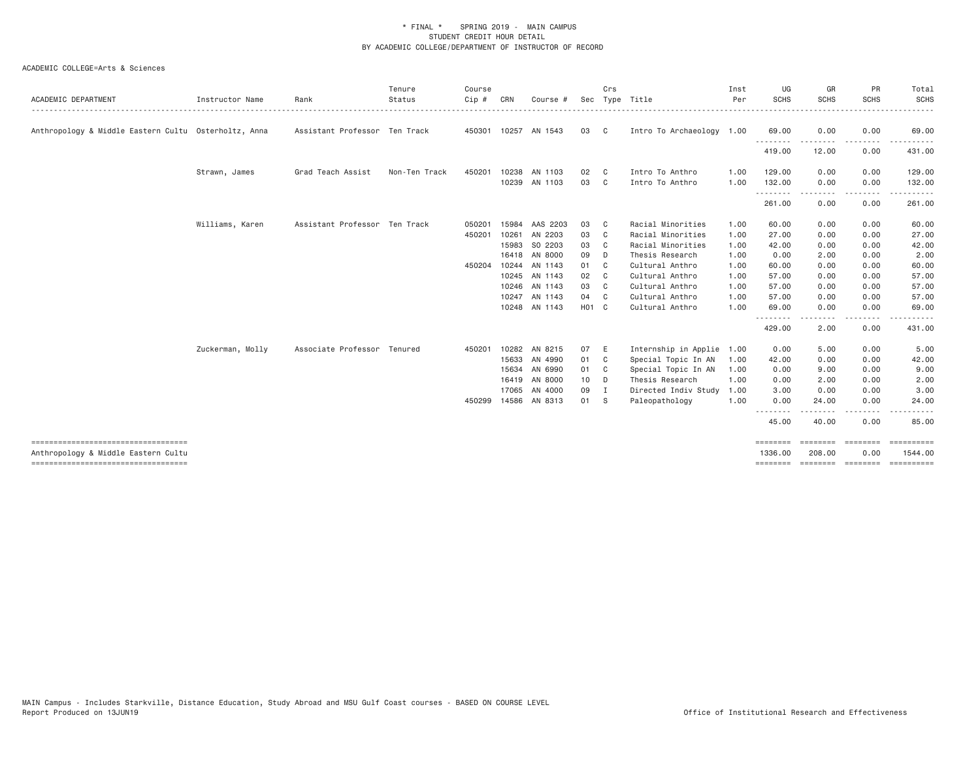| <b>ACADEMIC DEPARTMENT</b>                           | Instructor Name  | Rank                          | Tenure<br>Status<br>. | Course<br>Cip # | CRN   | Course #             |                   | Crs            | Sec Type Title            | Inst<br>Per | UG<br><b>SCHS</b> | GR<br><b>SCHS</b> | PR<br><b>SCHS</b>  | Total<br><b>SCHS</b><br>. <u>.</u> . |
|------------------------------------------------------|------------------|-------------------------------|-----------------------|-----------------|-------|----------------------|-------------------|----------------|---------------------------|-------------|-------------------|-------------------|--------------------|--------------------------------------|
| Anthropology & Middle Eastern Cultu Osterholtz, Anna |                  | Assistant Professor Ten Track |                       |                 |       | 450301 10257 AN 1543 | 03                | $\mathbf{C}$   | Intro To Archaeology 1.00 |             | 69.00             | 0.00<br>.         | 0.00<br>.          | 69.00                                |
|                                                      |                  |                               |                       |                 |       |                      |                   |                |                           |             | .<br>419.00       | 12.00             | 0.00               | 431.00                               |
|                                                      | Strawn, James    | Grad Teach Assist             | Non-Ten Track         | 450201          | 10238 | AN 1103              | 02                | C              | Intro To Anthro           | 1.00        | 129.00            | 0.00              | 0.00               | 129.00                               |
|                                                      |                  |                               |                       |                 |       | 10239 AN 1103        | 03                | $\mathbf{C}$   | Intro To Anthro           | 1.00        | 132.00            | 0.00              | 0.00               | 132.00                               |
|                                                      |                  |                               |                       |                 |       |                      |                   |                |                           |             | .<br>261.00       | .<br>0.00         | . <b>.</b><br>0.00 | .<br>261.00                          |
|                                                      | Williams, Karen  | Assistant Professor Ten Track |                       | 050201          | 15984 | AAS 2203             | 03                | C.             | Racial Minorities         | 1.00        | 60.00             | 0.00              | 0.00               | 60.00                                |
|                                                      |                  |                               |                       | 450201          | 10261 | AN 2203              | 03                | C.             | Racial Minorities         | 1.00        | 27.00             | 0.00              | 0.00               | 27.00                                |
|                                                      |                  |                               |                       |                 | 15983 | SO 2203              | 03                | C <sub>c</sub> | Racial Minorities         | 1.00        | 42.00             | 0.00              | 0.00               | 42.00                                |
|                                                      |                  |                               |                       |                 |       | 16418 AN 8000        | 09                | D              | Thesis Research           | 1.00        | 0.00              | 2.00              | 0.00               | 2.00                                 |
|                                                      |                  |                               |                       | 450204          |       | 10244 AN 1143        | 01                | C              | Cultural Anthro           | 1.00        | 60.00             | 0.00              | 0.00               | 60.00                                |
|                                                      |                  |                               |                       |                 |       | 10245 AN 1143        | 02                | C <sub>c</sub> | Cultural Anthro           | 1.00        | 57.00             | 0.00              | 0.00               | 57.00                                |
|                                                      |                  |                               |                       |                 |       | 10246 AN 1143        | 03                | C <sub>c</sub> | Cultural Anthro           | 1.00        | 57.00             | 0.00              | 0.00               | 57.00                                |
|                                                      |                  |                               |                       |                 | 10247 | AN 1143              | 04                | C <sub>c</sub> | Cultural Anthro           | 1.00        | 57.00             | 0.00              | 0.00               | 57.00                                |
|                                                      |                  |                               |                       |                 |       | 10248 AN 1143        | H <sub>01</sub> C |                | Cultural Anthro           | 1.00        | 69.00             | 0.00              | 0.00               | 69.00                                |
|                                                      |                  |                               |                       |                 |       |                      |                   |                |                           |             | .<br>429.00       | -----<br>2.00     | .<br>0.00          | .<br>431.00                          |
|                                                      | Zuckerman, Molly | Associate Professor Tenured   |                       | 450201          |       | 10282 AN 8215        | 07                | E              | Internship in Applie      | 1.00        | 0.00              | 5.00              | 0.00               | 5.00                                 |
|                                                      |                  |                               |                       |                 |       | 15633 AN 4990        | 01                | $\mathbf{C}$   | Special Topic In AN       | 1.00        | 42.00             | 0.00              | 0.00               | 42.00                                |
|                                                      |                  |                               |                       |                 |       | 15634 AN 6990        | 01                | $\mathbf{C}$   | Special Topic In AN       | 1.00        | 0.00              | 9.00              | 0.00               | 9.00                                 |
|                                                      |                  |                               |                       |                 | 16419 | AN 8000              | 10                | D              | Thesis Research           | 1.00        | 0.00              | 2.00              | 0.00               | 2.00                                 |
|                                                      |                  |                               |                       |                 |       | 17065 AN 4000        | 09                | $\blacksquare$ | Directed Indiv Study      | 1.00        | 3.00              | 0.00              | 0.00               | 3.00                                 |
|                                                      |                  |                               |                       | 450299          |       | 14586 AN 8313        | 01 S              |                | Paleopathology            | 1.00        | 0.00              | 24.00             | 0.00               | 24.00                                |
|                                                      |                  |                               |                       |                 |       |                      |                   |                |                           |             | .<br>45.00        | 40.00             | 0.00               | 85,00                                |
| ------------------------------------                 |                  |                               |                       |                 |       |                      |                   |                |                           |             | ========          |                   | <b>EBBERED</b>     | <b>EEEEEEEEE</b>                     |
| Anthropology & Middle Eastern Cultu                  |                  |                               |                       |                 |       |                      |                   |                |                           |             | 1336.00           | 208.00            | 0.00               | 1544.00                              |
| ------------------------------------                 |                  |                               |                       |                 |       |                      |                   |                |                           |             | ========          |                   | =================  | ==========                           |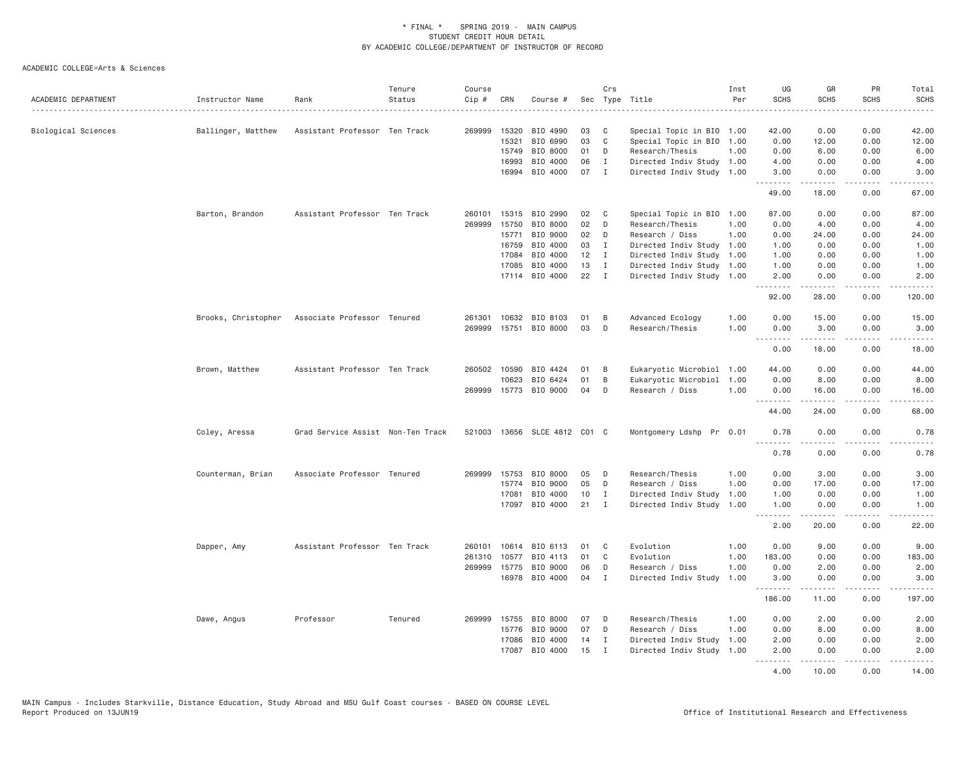| ACADEMIC DEPARTMENT | Instructor Name     | Rank                              | Tenure<br>Status | Course<br>Cip # | CRN   | Course #                     |    | Crs          | Sec Type Title            | Inst<br>Per | UG<br><b>SCHS</b> | GR<br><b>SCHS</b>                                                                                                                                             | PR<br><b>SCHS</b> | Total<br><b>SCHS</b>                                                                                                                                         |
|---------------------|---------------------|-----------------------------------|------------------|-----------------|-------|------------------------------|----|--------------|---------------------------|-------------|-------------------|---------------------------------------------------------------------------------------------------------------------------------------------------------------|-------------------|--------------------------------------------------------------------------------------------------------------------------------------------------------------|
|                     |                     |                                   |                  |                 |       |                              |    |              |                           |             |                   |                                                                                                                                                               |                   | $- - - - -$                                                                                                                                                  |
| Biological Sciences | Ballinger, Matthew  | Assistant Professor Ten Track     |                  | 269999          | 15320 | BIO 4990                     | 03 | C            | Special Topic in BIO 1.00 |             | 42.00             | 0.00                                                                                                                                                          | 0.00              | 42.00                                                                                                                                                        |
|                     |                     |                                   |                  |                 | 15321 | BIO 6990                     | 03 | C            | Special Topic in BIO 1.00 |             | 0.00              | 12.00                                                                                                                                                         | 0.00              | 12.00                                                                                                                                                        |
|                     |                     |                                   |                  |                 | 15749 | BIO 8000                     | 01 | D            | Research/Thesis           | 1.00        | 0.00              | 6.00                                                                                                                                                          | 0.00              | 6.00                                                                                                                                                         |
|                     |                     |                                   |                  |                 | 16993 | BIO 4000                     | 06 | $\mathbf{I}$ | Directed Indiv Study 1.00 |             | 4.00              | 0.00                                                                                                                                                          | 0.00              | 4.00                                                                                                                                                         |
|                     |                     |                                   |                  |                 |       | 16994 BIO 4000               | 07 | $\mathbf{I}$ | Directed Indiv Study 1.00 |             | 3.00<br>.         | 0.00<br>$\frac{1}{2} \left( \frac{1}{2} \right) \left( \frac{1}{2} \right) \left( \frac{1}{2} \right) \left( \frac{1}{2} \right) \left( \frac{1}{2} \right)$  | 0.00<br>د د د د   | 3.00<br>$\frac{1}{2} \left( \frac{1}{2} \right) \left( \frac{1}{2} \right) \left( \frac{1}{2} \right) \left( \frac{1}{2} \right) \left( \frac{1}{2} \right)$ |
|                     |                     |                                   |                  |                 |       |                              |    |              |                           |             | 49.00             | 18.00                                                                                                                                                         | 0.00              | 67.00                                                                                                                                                        |
|                     | Barton, Brandon     | Assistant Professor Ten Track     |                  | 260101          | 15315 | BIO 2990                     | 02 | C            | Special Topic in BIO 1.00 |             | 87.00             | 0.00                                                                                                                                                          | 0.00              | 87.00                                                                                                                                                        |
|                     |                     |                                   |                  | 269999          | 15750 | BIO 8000                     | 02 | D            | Research/Thesis           | 1.00        | 0.00              | 4.00                                                                                                                                                          | 0.00              | 4.00                                                                                                                                                         |
|                     |                     |                                   |                  |                 | 15771 | BIO 9000                     | 02 | D            | Research / Diss           | 1.00        | 0.00              | 24.00                                                                                                                                                         | 0.00              | 24.00                                                                                                                                                        |
|                     |                     |                                   |                  |                 | 16759 | BIO 4000                     | 03 | $\mathbf{I}$ | Directed Indiv Study 1.00 |             | 1.00              | 0.00                                                                                                                                                          | 0.00              | 1.00                                                                                                                                                         |
|                     |                     |                                   |                  |                 | 17084 | BIO 4000                     | 12 | I            | Directed Indiv Study 1.00 |             | 1.00              | 0.00                                                                                                                                                          | 0.00              | 1.00                                                                                                                                                         |
|                     |                     |                                   |                  |                 | 17085 | BIO 4000                     | 13 | $\mathbf I$  | Directed Indiv Study 1.00 |             | 1.00              | 0.00                                                                                                                                                          | 0.00              | 1.00                                                                                                                                                         |
|                     |                     |                                   |                  |                 |       | 17114 BIO 4000               | 22 | $\mathbf{I}$ | Directed Indiv Study 1.00 |             | 2.00<br>.         | 0.00<br><u>.</u>                                                                                                                                              | 0.00<br>.         | 2.00<br>.                                                                                                                                                    |
|                     |                     |                                   |                  |                 |       |                              |    |              |                           |             | 92.00             | 28.00                                                                                                                                                         | 0.00              | 120.00                                                                                                                                                       |
|                     | Brooks, Christopher | Associate Professor Tenured       |                  | 261301          | 10632 | BIO 8103                     | 01 | B            | Advanced Ecology          | 1.00        | 0.00              | 15.00                                                                                                                                                         | 0.00              | 15.00                                                                                                                                                        |
|                     |                     |                                   |                  | 269999          |       | 15751 BIO 8000               | 03 | D            | Research/Thesis           | 1.00        | 0.00              | 3.00                                                                                                                                                          | 0.00              | 3.00                                                                                                                                                         |
|                     |                     |                                   |                  |                 |       |                              |    |              |                           |             | .                 | .                                                                                                                                                             | .                 | .                                                                                                                                                            |
|                     |                     |                                   |                  |                 |       |                              |    |              |                           |             | 0.00              | 18.00                                                                                                                                                         | 0.00              | 18.00                                                                                                                                                        |
|                     | Brown, Matthew      | Assistant Professor Ten Track     |                  | 260502          | 10590 | BIO 4424                     | 01 | B            | Eukaryotic Microbiol 1.00 |             | 44.00             | 0.00                                                                                                                                                          | 0.00              | 44.00                                                                                                                                                        |
|                     |                     |                                   |                  |                 | 10623 | BIO 6424                     | 01 | B            | Eukaryotic Microbiol      | 1.00        | 0.00              | 8.00                                                                                                                                                          | 0.00              | 8.00                                                                                                                                                         |
|                     |                     |                                   |                  |                 |       | 269999 15773 BIO 9000        | 04 | D            | Research / Diss           | 1.00        | 0.00              | 16.00                                                                                                                                                         | 0.00              | 16.00                                                                                                                                                        |
|                     |                     |                                   |                  |                 |       |                              |    |              |                           |             | .<br>44.00        | .<br>24.00                                                                                                                                                    | .<br>0.00         | بالالالال<br>68.00                                                                                                                                           |
|                     | Coley, Aressa       | Grad Service Assist Non-Ten Track |                  |                 |       | 521003 13656 SLCE 4812 C01 C |    |              | Montgomery Ldshp Pr 0.01  |             | 0.78<br><u>.</u>  | 0.00<br>.                                                                                                                                                     | 0.00<br>.         | 0.78<br>-----                                                                                                                                                |
|                     |                     |                                   |                  |                 |       |                              |    |              |                           |             | 0.78              | 0.00                                                                                                                                                          | 0.00              | 0.78                                                                                                                                                         |
|                     | Counterman, Brian   | Associate Professor Tenured       |                  | 269999          |       | 15753 BIO 8000               | 05 | D            | Research/Thesis           | 1.00        | 0.00              | 3.00                                                                                                                                                          | 0.00              | 3.00                                                                                                                                                         |
|                     |                     |                                   |                  |                 | 15774 | BIO 9000                     | 05 | D            | Research / Diss           | 1.00        | 0.00              | 17.00                                                                                                                                                         | 0.00              | 17.00                                                                                                                                                        |
|                     |                     |                                   |                  |                 | 17081 | BIO 4000                     | 10 | I            | Directed Indiv Study 1.00 |             | 1.00              | 0.00                                                                                                                                                          | 0.00              | 1.00                                                                                                                                                         |
|                     |                     |                                   |                  |                 |       | 17097 BIO 4000               | 21 | $\mathbf I$  | Directed Indiv Study 1.00 |             | 1.00              | 0.00                                                                                                                                                          | 0.00              | 1.00                                                                                                                                                         |
|                     |                     |                                   |                  |                 |       |                              |    |              |                           |             | .<br>2.00         | $\frac{1}{2} \left( \frac{1}{2} \right) \left( \frac{1}{2} \right) \left( \frac{1}{2} \right) \left( \frac{1}{2} \right) \left( \frac{1}{2} \right)$<br>20.00 | .<br>0.00         | $    -$<br>22.00                                                                                                                                             |
|                     | Dapper, Amy         | Assistant Professor Ten Track     |                  | 260101          | 10614 | BIO 6113                     | 01 | C            | Evolution                 | 1.00        | 0.00              | 9.00                                                                                                                                                          | 0.00              | 9.00                                                                                                                                                         |
|                     |                     |                                   |                  | 261310          | 10577 | BIO 4113                     | 01 | C            | Evolution                 | 1.00        | 183.00            | 0.00                                                                                                                                                          | 0.00              | 183.00                                                                                                                                                       |
|                     |                     |                                   |                  | 269999 15775    |       | BIO 9000                     | 06 | D            | Research / Diss           | 1.00        | 0.00              | 2.00                                                                                                                                                          | 0.00              | 2.00                                                                                                                                                         |
|                     |                     |                                   |                  |                 | 16978 | BIO 4000                     | 04 | $\mathbf{I}$ | Directed Indiv Study      | 1.00        | 3.00              | 0.00                                                                                                                                                          | 0.00              | 3.00                                                                                                                                                         |
|                     |                     |                                   |                  |                 |       |                              |    |              |                           |             | .<br>186.00       | .<br>11.00                                                                                                                                                    | .<br>0.00         | .<br>197.00                                                                                                                                                  |
|                     | Dawe, Angus         | Professor                         | Tenured          | 269999          | 15755 | BIO 8000                     | 07 | D            | Research/Thesis           | 1.00        | 0.00              | 2.00                                                                                                                                                          | 0.00              | 2.00                                                                                                                                                         |
|                     |                     |                                   |                  |                 | 15776 | BIO 9000                     | 07 | D            | Research / Diss           | 1.00        | 0.00              | 8.00                                                                                                                                                          | 0.00              | 8.00                                                                                                                                                         |
|                     |                     |                                   |                  |                 | 17086 | BIO 4000                     | 14 | I            | Directed Indiv Study 1.00 |             | 2.00              | 0.00                                                                                                                                                          | 0.00              | 2.00                                                                                                                                                         |
|                     |                     |                                   |                  |                 | 17087 | BIO 4000                     | 15 | $\mathbf{I}$ | Directed Indiv Study      | 1.00        | 2.00              | 0.00                                                                                                                                                          | 0.00              | 2.00                                                                                                                                                         |
|                     |                     |                                   |                  |                 |       |                              |    |              |                           |             | .<br>4.00         | <u>.</u><br>10.00                                                                                                                                             | .<br>0.00         | . <u>.</u><br>14.00                                                                                                                                          |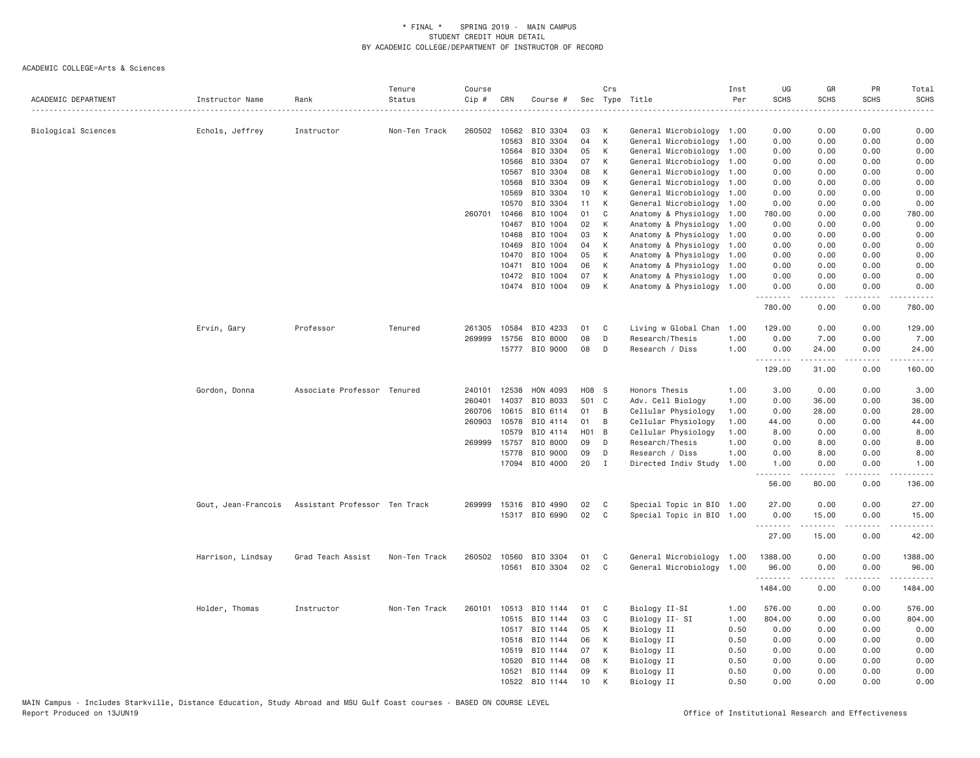| ACADEMIC DEPARTMENT | Instructor Name     | Rank                          | Tenure<br>Status | Course<br>Cip # | CRN          | Course #       |                   | Crs          | Sec Type Title            | Inst<br>Per | UG<br><b>SCHS</b><br>$- - - - - -$ | GR<br><b>SCHS</b>                                                                                                                                                                        | PR<br><b>SCHS</b> | Total<br><b>SCHS</b><br>2.2.2.2.1 |
|---------------------|---------------------|-------------------------------|------------------|-----------------|--------------|----------------|-------------------|--------------|---------------------------|-------------|------------------------------------|------------------------------------------------------------------------------------------------------------------------------------------------------------------------------------------|-------------------|-----------------------------------|
| Biological Sciences | Echols, Jeffrey     | Instructor                    | Non-Ten Track    |                 | 260502 10562 | BIO 3304       | 03                | К            | General Microbiology 1.00 |             | 0.00                               | 0.00                                                                                                                                                                                     | 0.00              | 0.00                              |
|                     |                     |                               |                  |                 | 10563        | BIO 3304       | 04                | К            | General Microbiology 1.00 |             | 0.00                               | 0.00                                                                                                                                                                                     | 0.00              | 0.00                              |
|                     |                     |                               |                  |                 | 10564        | BIO 3304       | 05                | К            | General Microbiology 1.00 |             | 0.00                               | 0.00                                                                                                                                                                                     | 0.00              | 0.00                              |
|                     |                     |                               |                  |                 | 10566        | BIO 3304       | 07                | К            | General Microbiology 1.00 |             | 0.00                               | 0.00                                                                                                                                                                                     | 0.00              | 0.00                              |
|                     |                     |                               |                  |                 | 10567        | BIO 3304       | 08                | K            | General Microbiology 1.00 |             | 0.00                               | 0.00                                                                                                                                                                                     | 0.00              | 0.00                              |
|                     |                     |                               |                  |                 | 10568        | BIO 3304       | 09                | К            | General Microbiology 1.00 |             | 0.00                               | 0.00                                                                                                                                                                                     | 0.00              | 0.00                              |
|                     |                     |                               |                  |                 | 10569        | BIO 3304       | 10                | К            | General Microbiology 1.00 |             | 0.00                               | 0.00                                                                                                                                                                                     | 0.00              | 0.00                              |
|                     |                     |                               |                  |                 | 10570        | BIO 3304       | 11                | К            | General Microbiology      | 1.00        | 0.00                               | 0.00                                                                                                                                                                                     | 0.00              | 0.00                              |
|                     |                     |                               |                  | 260701          | 10466        | BIO 1004       | 01                | C            | Anatomy & Physiology 1.00 |             | 780.00                             | 0.00                                                                                                                                                                                     | 0.00              | 780.00                            |
|                     |                     |                               |                  |                 | 10467        | BIO 1004       | 02                | К            | Anatomy & Physiology 1.00 |             | 0.00                               | 0.00                                                                                                                                                                                     | 0.00              | 0.00                              |
|                     |                     |                               |                  |                 | 10468        | BIO 1004       | 03                | К            | Anatomy & Physiology 1.00 |             | 0.00                               | 0.00                                                                                                                                                                                     | 0.00              | 0.00                              |
|                     |                     |                               |                  |                 | 10469        | BIO 1004       | 04                | K            | Anatomy & Physiology      | 1.00        | 0.00                               | 0.00                                                                                                                                                                                     | 0.00              | 0.00                              |
|                     |                     |                               |                  |                 | 10470        | BIO 1004       | 05                | К            | Anatomy & Physiology      | 1.00        | 0.00                               | 0.00                                                                                                                                                                                     | 0.00              | 0.00                              |
|                     |                     |                               |                  |                 | 10471        | BIO 1004       | 06                | К            | Anatomy & Physiology 1.00 |             | 0.00                               | 0.00                                                                                                                                                                                     | 0.00              | 0.00                              |
|                     |                     |                               |                  |                 | 10472        | BIO 1004       | 07                | К            | Anatomy & Physiology      | 1.00        | 0.00                               | 0.00                                                                                                                                                                                     | 0.00              | 0.00                              |
|                     |                     |                               |                  |                 |              | 10474 BIO 1004 | 09                | К            | Anatomy & Physiology 1.00 |             | 0.00<br>.                          | 0.00<br>. <b>.</b>                                                                                                                                                                       | 0.00<br>.         | 0.00<br>. <u>.</u> .              |
|                     |                     |                               |                  |                 |              |                |                   |              |                           |             | 780.00                             | 0.00                                                                                                                                                                                     | 0.00              | 780.00                            |
|                     | Ervin, Gary         | Professor                     | Tenured          | 261305          | 10584        | BIO 4233       | 01                | C            | Living w Global Chan      | 1.00        | 129.00                             | 0.00                                                                                                                                                                                     | 0.00              | 129.00                            |
|                     |                     |                               |                  | 269999          | 15756        | BIO 8000       | 08                | D            | Research/Thesis           | 1.00        | 0.00                               | 7.00                                                                                                                                                                                     | 0.00              | 7.00                              |
|                     |                     |                               |                  |                 |              | 15777 BIO 9000 | 08                | D            | Research / Diss           | 1,00        | 0.00                               | 24.00                                                                                                                                                                                    | 0.00              | 24.00                             |
|                     |                     |                               |                  |                 |              |                |                   |              |                           |             | .<br>129.00                        | $\frac{1}{2} \left( \frac{1}{2} \right) \left( \frac{1}{2} \right) \left( \frac{1}{2} \right) \left( \frac{1}{2} \right) \left( \frac{1}{2} \right) \left( \frac{1}{2} \right)$<br>31.00 | .<br>0.00         | المستبدا<br>160.00                |
|                     | Gordon, Donna       | Associate Professor Tenured   |                  | 240101          | 12538        | HON 4093       | H08 S             |              | Honors Thesis             | 1.00        | 3.00                               | 0.00                                                                                                                                                                                     | 0.00              | 3.00                              |
|                     |                     |                               |                  | 260401          | 14037        | BIO 8033       | 501 C             |              | Adv. Cell Biology         | 1.00        | 0.00                               | 36.00                                                                                                                                                                                    | 0.00              | 36.00                             |
|                     |                     |                               |                  | 260706          | 10615        | BIO 6114       | 01                | B            | Cellular Physiology       | 1.00        | 0.00                               | 28.00                                                                                                                                                                                    | 0.00              | 28.00                             |
|                     |                     |                               |                  | 260903          | 10578        | BIO 4114       | 01                | B            | Cellular Physiology       | 1.00        | 44.00                              | 0.00                                                                                                                                                                                     | 0.00              | 44.00                             |
|                     |                     |                               |                  |                 | 10579        | BIO 4114       | H <sub>01</sub> B |              | Cellular Physiology       | 1.00        | 8.00                               | 0.00                                                                                                                                                                                     | 0.00              | 8.00                              |
|                     |                     |                               |                  |                 | 269999 15757 | BIO 8000       | 09                | D            | Research/Thesis           | 1.00        | 0.00                               | 8.00                                                                                                                                                                                     | 0.00              | 8.00                              |
|                     |                     |                               |                  |                 | 15778        | BIO 9000       | 09                | D            | Research / Diss           | 1.00        | 0.00                               | 8.00                                                                                                                                                                                     | 0.00              | 8.00                              |
|                     |                     |                               |                  |                 | 17094        | BIO 4000       | 20                | $\mathbf{I}$ | Directed Indiv Study      | 1.00        | 1.00<br>.                          | 0.00<br>$\frac{1}{2} \left( \frac{1}{2} \right) \left( \frac{1}{2} \right) \left( \frac{1}{2} \right) \left( \frac{1}{2} \right) \left( \frac{1}{2} \right)$                             | 0.00<br>.         | 1.00                              |
|                     |                     |                               |                  |                 |              |                |                   |              |                           |             | 56.00                              | 80.00                                                                                                                                                                                    | 0.00              | 136.00                            |
|                     | Gout, Jean-Francois | Assistant Professor Ten Track |                  | 269999          |              | 15316 BIO 4990 | 02                | C            | Special Topic in BIO 1.00 |             | 27.00                              | 0.00                                                                                                                                                                                     | 0.00              | 27.00                             |
|                     |                     |                               |                  |                 |              | 15317 BIO 6990 | 02                | C            | Special Topic in BIO 1.00 |             | 0.00                               | 15.00                                                                                                                                                                                    | 0.00              | 15.00                             |
|                     |                     |                               |                  |                 |              |                |                   |              |                           |             | .                                  | .                                                                                                                                                                                        | .                 | .                                 |
|                     |                     |                               |                  |                 |              |                |                   |              |                           |             | 27.00                              | 15.00                                                                                                                                                                                    | 0.00              | 42.00                             |
|                     | Harrison, Lindsay   | Grad Teach Assist             | Non-Ten Track    | 260502          | 10560        | BIO 3304       | 01                | C            | General Microbiology 1.00 |             | 1388.00                            | 0.00                                                                                                                                                                                     | 0.00              | 1388.00                           |
|                     |                     |                               |                  |                 | 10561        | BIO 3304       | 02                | C            | General Microbiology      | 1.00        | 96.00                              | 0.00                                                                                                                                                                                     | 0.00              | 96.00                             |
|                     |                     |                               |                  |                 |              |                |                   |              |                           |             | .                                  | .                                                                                                                                                                                        | د د د د           | .                                 |
|                     |                     |                               |                  |                 |              |                |                   |              |                           |             | 1484.00                            | 0.00                                                                                                                                                                                     | 0.00              | 1484.00                           |
|                     | Holder, Thomas      | Instructor                    | Non-Ten Track    | 260101          | 10513        | BIO 1144       | 01                | C            | Biology II-SI             | 1.00        | 576.00                             | 0.00                                                                                                                                                                                     | 0.00              | 576.00                            |
|                     |                     |                               |                  |                 | 10515        | BIO 1144       | 03                | C            | Biology II-SI             | 1.00        | 804.00                             | 0.00                                                                                                                                                                                     | 0.00              | 804.00                            |
|                     |                     |                               |                  |                 | 10517        | BIO 1144       | 05                | К            | Biology II                | 0.50        | 0.00                               | 0.00                                                                                                                                                                                     | 0.00              | 0.00                              |
|                     |                     |                               |                  |                 | 10518        | BIO 1144       | 06                | К            | Biology II                | 0.50        | 0.00                               | 0.00                                                                                                                                                                                     | 0.00              | 0.00                              |
|                     |                     |                               |                  |                 | 10519        | BIO 1144       | 07                | К            | Biology II                | 0.50        | 0.00                               | 0.00                                                                                                                                                                                     | 0.00              | 0.00                              |
|                     |                     |                               |                  |                 | 10520        | BIO 1144       | 08                | К            | Biology II                | 0.50        | 0.00                               | 0.00                                                                                                                                                                                     | 0.00              | 0.00                              |
|                     |                     |                               |                  |                 | 10521        | BIO 1144       | 09                | К            | Biology II                | 0.50        | 0.00                               | 0.00                                                                                                                                                                                     | 0.00              | 0.00                              |
|                     |                     |                               |                  |                 |              | 10522 BIO 1144 | 10                | К            | Biology II                | 0.50        | 0.00                               | 0.00                                                                                                                                                                                     | 0.00              | 0.00                              |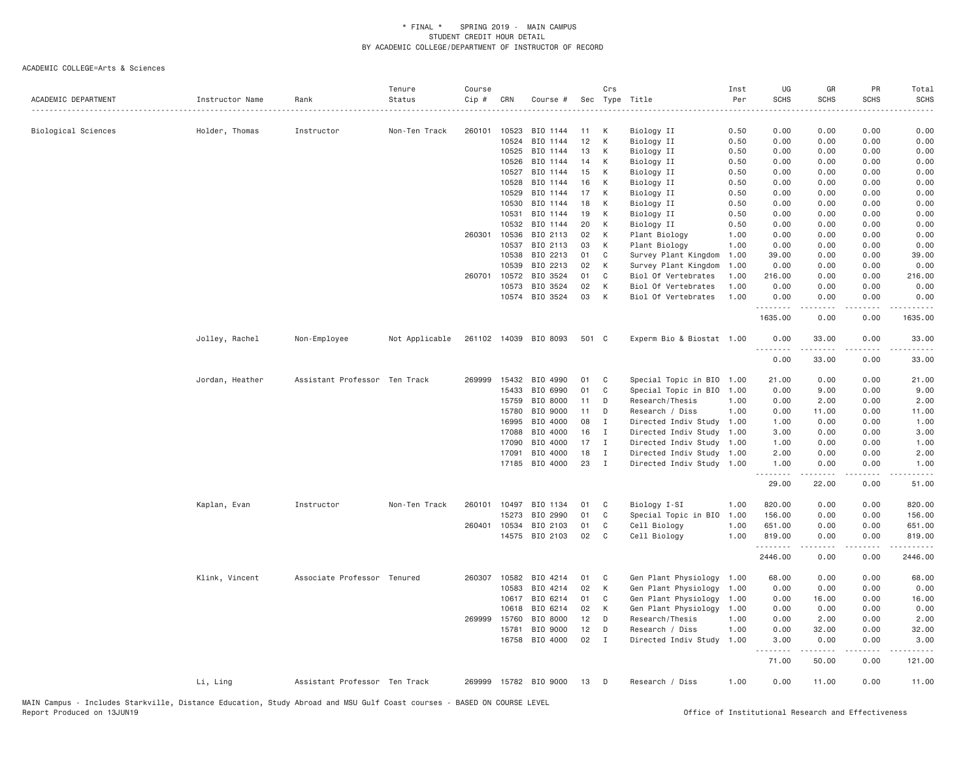| ACADEMIC DEPARTMENT | Instructor Name | Rank                          | Tenure<br>Status | Course<br>Cip # | CRN   | Course #              |       | Crs          | Sec Type Title            | Inst<br>Per | UG<br><b>SCHS</b>                   | GR<br><b>SCHS</b>   | PR<br><b>SCHS</b>                   | Total<br><b>SCHS</b>            |
|---------------------|-----------------|-------------------------------|------------------|-----------------|-------|-----------------------|-------|--------------|---------------------------|-------------|-------------------------------------|---------------------|-------------------------------------|---------------------------------|
| Biological Sciences | Holder, Thomas  | Instructor                    | Non-Ten Track    | 260101          | 10523 | BIO 1144              | 11    | К            | Biology II                | 0.50        | 0.00                                | 0.00                | 0.00                                | 0.00                            |
|                     |                 |                               |                  |                 | 10524 | BIO 1144              | 12    | K            | Biology II                | 0.50        | 0.00                                | 0.00                | 0.00                                | 0.00                            |
|                     |                 |                               |                  |                 | 10525 | BIO 1144              | 13    | К            | Biology II                | 0.50        | 0.00                                | 0.00                | 0.00                                | 0.00                            |
|                     |                 |                               |                  |                 | 10526 | BIO 1144              | 14    | К            | Biology II                | 0.50        | 0.00                                | 0.00                | 0.00                                | 0.00                            |
|                     |                 |                               |                  |                 | 10527 | BIO 1144              | 15    | К            | Biology II                | 0.50        | 0.00                                | 0.00                | 0.00                                | 0.00                            |
|                     |                 |                               |                  |                 | 10528 | BIO 1144              | 16    | К            | Biology II                | 0.50        | 0.00                                | 0.00                | 0.00                                | 0.00                            |
|                     |                 |                               |                  |                 | 10529 | BIO 1144              | 17    | K            | Biology II                | 0.50        | 0.00                                | 0.00                | 0.00                                | 0.00                            |
|                     |                 |                               |                  |                 | 10530 | BIO 1144              | 18    | К            | Biology II                | 0.50        | 0.00                                | 0.00                | 0.00                                | 0.00                            |
|                     |                 |                               |                  |                 | 10531 | BIO 1144              | 19    | K            | Biology II                | 0.50        | 0.00                                | 0.00                | 0.00                                | 0.00                            |
|                     |                 |                               |                  |                 | 10532 | BIO 1144              | 20    | К            | Biology II                | 0.50        | 0.00                                | 0.00                | 0.00                                | 0.00                            |
|                     |                 |                               |                  | 260301          | 10536 | BIO 2113              | 02    | К            | Plant Biology             | 1.00        | 0.00                                | 0.00                | 0.00                                | 0.00                            |
|                     |                 |                               |                  |                 | 10537 | BIO 2113              | 03    | K            | Plant Biology             | 1.00        | 0.00                                | 0.00                | 0.00                                | 0.00                            |
|                     |                 |                               |                  |                 | 10538 | BIO 2213              | 01    | C            | Survey Plant Kingdom      | 1.00        | 39.00                               | 0.00                | 0.00                                | 39.00                           |
|                     |                 |                               |                  |                 | 10539 | BIO 2213              | 02    | K            | Survey Plant Kingdom      | 1.00        | 0.00                                | 0.00                | 0.00                                | 0.00                            |
|                     |                 |                               |                  | 260701          | 10572 | BIO 3524              | 01    | C            | Biol Of Vertebrates       | 1.00        | 216.00                              | 0.00                | 0.00                                | 216.00                          |
|                     |                 |                               |                  |                 | 10573 | BIO 3524              | 02    | К            | Biol Of Vertebrates       | 1.00        | 0.00                                | 0.00                | 0.00                                | 0.00                            |
|                     |                 |                               |                  |                 | 10574 | BIO 3524              | 03    | К            | Biol Of Vertebrates       | 1.00        | 0.00<br>. <i>.</i>                  | 0.00<br>.           | 0.00<br>$- - - -$                   | 0.00<br>.                       |
|                     |                 |                               |                  |                 |       |                       |       |              |                           |             | 1635.00                             | 0.00                | 0.00                                | 1635.00                         |
|                     | Jolley, Rachel  | Non-Employee                  | Not Applicable   |                 |       | 261102 14039 BIO 8093 | 501 C |              | Experm Bio & Biostat 1.00 |             | 0.00<br>$\sim$ $\sim$ $\sim$ $\sim$ | 33.00               | 0.00                                | 33.00                           |
|                     |                 |                               |                  |                 |       |                       |       |              |                           |             | 0.00                                | 33.00               | 0.00                                | 33.00                           |
|                     | Jordan, Heather | Assistant Professor Ten Track |                  | 269999          | 15432 | BIO 4990              | 01    | C            | Special Topic in BIO      | 1.00        | 21.00                               | 0.00                | 0.00                                | 21.00                           |
|                     |                 |                               |                  |                 | 15433 | BIO 6990              | 01    | C            | Special Topic in BIO      | 1.00        | 0.00                                | 9.00                | 0.00                                | 9.00                            |
|                     |                 |                               |                  |                 | 15759 | BIO 8000              | 11    | D            | Research/Thesis           | 1.00        | 0.00                                | 2.00                | 0.00                                | 2.00                            |
|                     |                 |                               |                  |                 | 15780 | BIO 9000              | 11    | D            | Research / Diss           | 1.00        | 0.00                                | 11.00               | 0.00                                | 11.00                           |
|                     |                 |                               |                  |                 | 16995 | BIO 4000              | 08    | $\mathbf I$  | Directed Indiv Study 1.00 |             | 1.00                                | 0.00                | 0.00                                | 1.00                            |
|                     |                 |                               |                  |                 | 17088 | BIO 4000              | 16    | $\mathbf{I}$ | Directed Indiv Study      | 1.00        | 3.00                                | 0.00                | 0.00                                | 3.00                            |
|                     |                 |                               |                  |                 | 17090 | BIO 4000              | 17    | $\mathbf{I}$ | Directed Indiv Study 1.00 |             | 1.00                                | 0.00                | 0.00                                | 1.00                            |
|                     |                 |                               |                  |                 | 17091 | BIO 4000              | 18    | Ι.           | Directed Indiv Study      | 1.00        | 2.00                                | 0.00                | 0.00                                | 2.00                            |
|                     |                 |                               |                  |                 | 17185 | BIO 4000              | 23    | $\mathbf I$  | Directed Indiv Study 1.00 |             | 1.00<br>.                           | 0.00<br>$- - - - -$ | 0.00<br>$\sim$ $\sim$ $\sim$ $\sim$ | 1.00<br>$\omega$ is $\omega$ in |
|                     |                 |                               |                  |                 |       |                       |       |              |                           |             | 29.00                               | 22.00               | 0.00                                | 51.00                           |
|                     | Kaplan, Evan    | Instructor                    | Non-Ten Track    | 260101          | 10497 | BIO 1134              | 01    | C            | Biology I-SI              | 1.00        | 820.00                              | 0.00                | 0.00                                | 820.00                          |
|                     |                 |                               |                  |                 | 15273 | BIO 2990              | 01    | C            | Special Topic in BIO      | 1.00        | 156.00                              | 0.00                | 0.00                                | 156.00                          |
|                     |                 |                               |                  | 260401          | 10534 | BIO 2103              | 01    | C            | Cell Biology              | 1.00        | 651.00                              | 0.00                | 0.00                                | 651.00                          |
|                     |                 |                               |                  |                 |       | 14575 BIO 2103        | 02    | C            | Cell Biology              | 1.00        | 819.00<br>.                         | 0.00<br>-----       | 0.00<br>.                           | 819.00<br><u>.</u>              |
|                     |                 |                               |                  |                 |       |                       |       |              |                           |             | 2446.00                             | 0.00                | 0.00                                | 2446.00                         |
|                     | Klink, Vincent  | Associate Professor Tenured   |                  | 260307          | 10582 | BIO 4214              | 01    | C            | Gen Plant Physiology      | 1.00        | 68.00                               | 0.00                | 0.00                                | 68.00                           |
|                     |                 |                               |                  |                 | 10583 | BIO 4214              | 02    | К            | Gen Plant Physiology      | 1.00        | 0.00                                | 0.00                | 0.00                                | 0.00                            |
|                     |                 |                               |                  |                 | 10617 | BIO 6214              | 01    | C            | Gen Plant Physiology      | 1.00        | 0.00                                | 16.00               | 0.00                                | 16.00                           |
|                     |                 |                               |                  |                 | 10618 | BIO 6214              | 02    | K            | Gen Plant Physiology      | 1.00        | 0.00                                | 0.00                | 0.00                                | 0.00                            |
|                     |                 |                               |                  | 269999          | 15760 | BIO 8000              | 12    | D            | Research/Thesis           | 1.00        | 0.00                                | 2.00                | 0.00                                | 2.00                            |
|                     |                 |                               |                  |                 | 15781 | BIO 9000              | 12    | D            | Research / Diss           | 1.00        | 0.00                                | 32.00               | 0.00                                | 32.00                           |
|                     |                 |                               |                  |                 | 16758 | BIO 4000              | 02    | $\mathbf{I}$ | Directed Indiv Study      | 1.00        | 3.00<br>.                           | 0.00<br>$- - - - -$ | 0.00<br>.                           | 3.00<br>.                       |
|                     |                 |                               |                  |                 |       |                       |       |              |                           |             | 71.00                               | 50.00               | 0.00                                | 121.00                          |
|                     | Li, Ling        | Assistant Professor Ten Track |                  |                 |       | 269999 15782 BIO 9000 | 13    | D            | Research / Diss           | 1.00        | 0.00                                | 11.00               | 0.00                                | 11.00                           |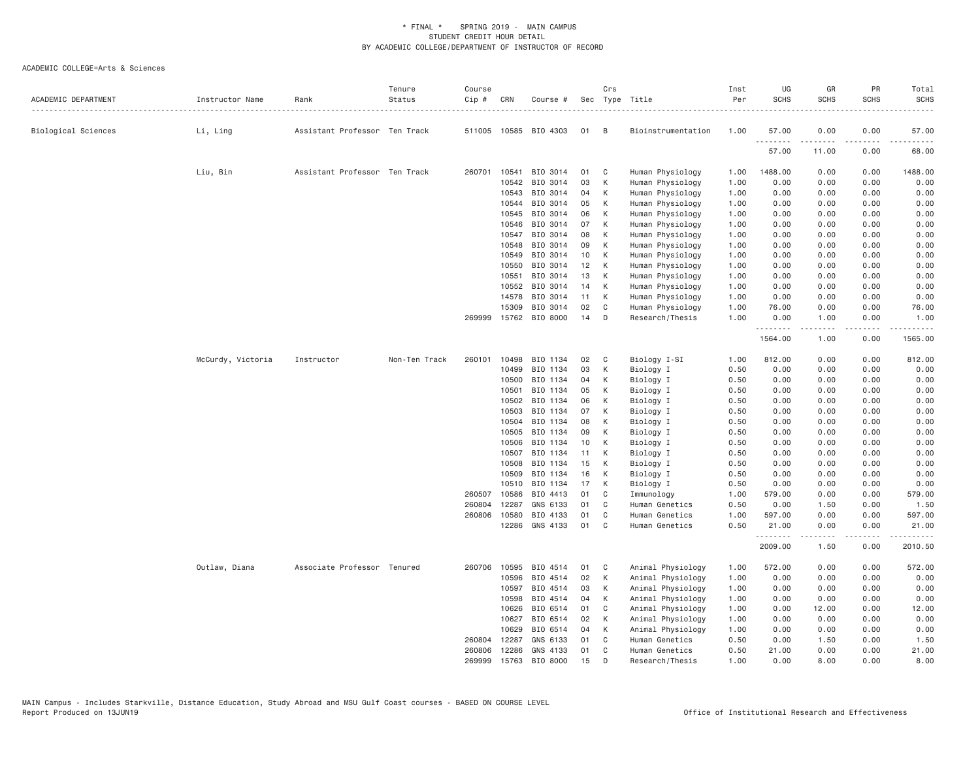| ACADEMIC DEPARTMENT | Instructor Name   | Rank                          | Tenure<br>Status | Course<br>Cip # | CRN          | Course #              |    | Crs | Sec Type Title     | Inst<br>Per | UG<br><b>SCHS</b> | GR<br><b>SCHS</b> | PR<br><b>SCHS</b> | Total<br><b>SCHS</b> |
|---------------------|-------------------|-------------------------------|------------------|-----------------|--------------|-----------------------|----|-----|--------------------|-------------|-------------------|-------------------|-------------------|----------------------|
| Biological Sciences | Li, Ling          | Assistant Professor Ten Track |                  |                 |              | 511005 10585 BIO 4303 | 01 | B   | Bioinstrumentation | 1.00        | 57.00             | 0.00              | 0.00              | 57.00                |
|                     |                   |                               |                  |                 |              |                       |    |     |                    |             | .<br>57.00        | 11.00             | $- - -$<br>0.00   | 68.00                |
|                     | Liu, Bin          | Assistant Professor Ten Track |                  | 260701          | 10541        | BIO 3014              | 01 | C   | Human Physiology   | 1.00        | 1488.00           | 0.00              | 0.00              | 1488.00              |
|                     |                   |                               |                  |                 | 10542        | BIO 3014              | 03 | К   | Human Physiology   | 1.00        | 0.00              | 0.00              | 0.00              | 0.00                 |
|                     |                   |                               |                  |                 | 10543        | BIO 3014              | 04 | K   | Human Physiology   | 1.00        | 0.00              | 0.00              | 0.00              | 0.00                 |
|                     |                   |                               |                  |                 | 10544        | BIO 3014              | 05 | К   | Human Physiology   | 1.00        | 0.00              | 0.00              | 0.00              | 0.00                 |
|                     |                   |                               |                  |                 | 10545        | BIO 3014              | 06 | К   | Human Physiology   | 1.00        | 0.00              | 0.00              | 0.00              | 0.00                 |
|                     |                   |                               |                  |                 | 10546        | BIO 3014              | 07 | K   | Human Physiology   | 1.00        | 0.00              | 0.00              | 0.00              | 0.00                 |
|                     |                   |                               |                  |                 | 10547        | BIO 3014              | 08 | К   | Human Physiology   | 1.00        | 0.00              | 0.00              | 0.00              | 0.00                 |
|                     |                   |                               |                  |                 | 10548        | BIO 3014              | 09 | К   | Human Physiology   | 1.00        | 0.00              | 0.00              | 0.00              | 0.00                 |
|                     |                   |                               |                  |                 | 10549        | BIO 3014              | 10 | К   | Human Physiology   | 1.00        | 0.00              | 0.00              | 0.00              | 0.00                 |
|                     |                   |                               |                  |                 | 10550        | BIO 3014              | 12 | К   | Human Physiology   | 1.00        | 0.00              | 0.00              | 0.00              | 0.00                 |
|                     |                   |                               |                  |                 | 10551        | BIO 3014              | 13 | К   | Human Physiology   | 1.00        | 0.00              | 0.00              | 0.00              | 0.00                 |
|                     |                   |                               |                  |                 | 10552        | BIO 3014              | 14 | К   | Human Physiology   | 1.00        | 0.00              | 0.00              | 0.00              | 0.00                 |
|                     |                   |                               |                  |                 | 14578        | BIO 3014              | 11 | К   | Human Physiology   | 1.00        | 0.00              | 0.00              | 0.00              | 0.00                 |
|                     |                   |                               |                  |                 | 15309        | BIO 3014              | 02 | C   | Human Physiology   | 1.00        | 76.00             | 0.00              | 0.00              | 76.00                |
|                     |                   |                               |                  | 269999          | 15762        | BIO 8000              | 14 | D   | Research/Thesis    | 1.00        | 0.00<br>.         | 1.00<br>.         | 0.00<br>.         | 1.00<br>.            |
|                     |                   |                               |                  |                 |              |                       |    |     |                    |             | 1564.00           | 1.00              | 0.00              | 1565.00              |
|                     | McCurdy, Victoria | Instructor                    | Non-Ten Track    | 260101          | 10498        | BIO 1134              | 02 | C   | Biology I-SI       | 1.00        | 812.00            | 0.00              | 0.00              | 812.00               |
|                     |                   |                               |                  |                 | 10499        | BIO 1134              | 03 | К   | Biology I          | 0.50        | 0.00              | 0.00              | 0.00              | 0.00                 |
|                     |                   |                               |                  |                 | 10500        | BIO 1134              | 04 | K   | Biology I          | 0.50        | 0.00              | 0.00              | 0.00              | 0.00                 |
|                     |                   |                               |                  |                 | 10501        | BIO 1134              | 05 | К   | Biology I          | 0.50        | 0.00              | 0.00              | 0.00              | 0.00                 |
|                     |                   |                               |                  |                 | 10502        | BIO 1134              | 06 | К   | Biology I          | 0.50        | 0.00              | 0.00              | 0.00              | 0.00                 |
|                     |                   |                               |                  |                 | 10503        | BIO 1134              | 07 | K   | Biology I          | 0.50        | 0.00              | 0.00              | 0.00              | 0.00                 |
|                     |                   |                               |                  |                 | 10504        | BIO 1134              | 08 | К   | Biology I          | 0.50        | 0.00              | 0.00              | 0.00              | 0.00                 |
|                     |                   |                               |                  |                 | 10505        | BIO 1134              | 09 | K   | Biology I          | 0.50        | 0.00              | 0.00              | 0.00              | 0.00                 |
|                     |                   |                               |                  |                 | 10506        | BIO 1134              | 10 | K   | Biology I          | 0.50        | 0.00              | 0.00              | 0.00              | 0.00                 |
|                     |                   |                               |                  |                 | 10507        | BIO 1134              | 11 | К   | Biology I          | 0.50        | 0.00              | 0.00              | 0.00              | 0.00                 |
|                     |                   |                               |                  |                 | 10508        | BIO 1134              | 15 | K   | Biology I          | 0.50        | 0.00              | 0.00              | 0.00              | 0.00                 |
|                     |                   |                               |                  |                 | 10509        | BIO 1134              | 16 | К   | Biology I          | 0.50        | 0.00              | 0.00              | 0.00              | 0.00                 |
|                     |                   |                               |                  |                 | 10510        | BIO 1134              | 17 | К   | Biology I          | 0.50        | 0.00              | 0.00              | 0.00              | 0.00                 |
|                     |                   |                               |                  | 260507          | 10586        | BIO 4413              | 01 | C   | Immunology         | 1.00        | 579.00            | 0.00              | 0.00              | 579.00               |
|                     |                   |                               |                  | 260804          | 12287        | GNS 6133              | 01 | C   | Human Genetics     | 0.50        | 0.00              | 1.50              | 0.00              | 1.50                 |
|                     |                   |                               |                  | 260806          | 10580        | BIO 4133              | 01 | C   | Human Genetics     | 1.00        | 597.00            | 0.00              | 0.00              | 597.00               |
|                     |                   |                               |                  |                 | 12286        | GNS 4133              | 01 | C   | Human Genetics     | 0.50        | 21.00<br>.        | 0.00<br>.         | 0.00<br>.         | 21.00<br>.           |
|                     |                   |                               |                  |                 |              |                       |    |     |                    |             | 2009.00           | 1.50              | 0.00              | 2010.50              |
|                     | Outlaw, Diana     | Associate Professor Tenured   |                  |                 | 260706 10595 | BIO 4514              | 01 | C   | Animal Physiology  | 1.00        | 572.00            | 0.00              | 0.00              | 572.00               |
|                     |                   |                               |                  |                 | 10596        | BIO 4514              | 02 | К   | Animal Physiology  | 1.00        | 0.00              | 0.00              | 0.00              | 0.00                 |
|                     |                   |                               |                  |                 | 10597        | BIO 4514              | 03 | К   | Animal Physiology  | 1.00        | 0.00              | 0.00              | 0.00              | 0.00                 |
|                     |                   |                               |                  |                 | 10598        | BIO 4514              | 04 | К   | Animal Physiology  | 1.00        | 0.00              | 0.00              | 0.00              | 0.00                 |
|                     |                   |                               |                  |                 | 10626        | BIO 6514              | 01 | C   | Animal Physiology  | 1.00        | 0.00              | 12.00             | 0.00              | 12.00                |
|                     |                   |                               |                  |                 | 10627        | BIO 6514              | 02 | К   | Animal Physiology  | 1.00        | 0.00              | 0.00              | 0.00              | 0.00                 |
|                     |                   |                               |                  |                 | 10629        | BIO 6514              | 04 | К   | Animal Physiology  | 1.00        | 0.00              | 0.00              | 0.00              | 0.00                 |
|                     |                   |                               |                  | 260804          | 12287        | GNS 6133              | 01 | C   | Human Genetics     | 0.50        | 0.00              | 1.50              | 0.00              | 1.50                 |
|                     |                   |                               |                  | 260806          | 12286        | GNS 4133              | 01 | C   | Human Genetics     | 0.50        | 21,00             | 0.00              | 0.00              | 21.00                |
|                     |                   |                               |                  | 269999          |              | 15763 BIO 8000        | 15 | D   | Research/Thesis    | 1.00        | 0.00              | 8.00              | 0.00              | 8.00                 |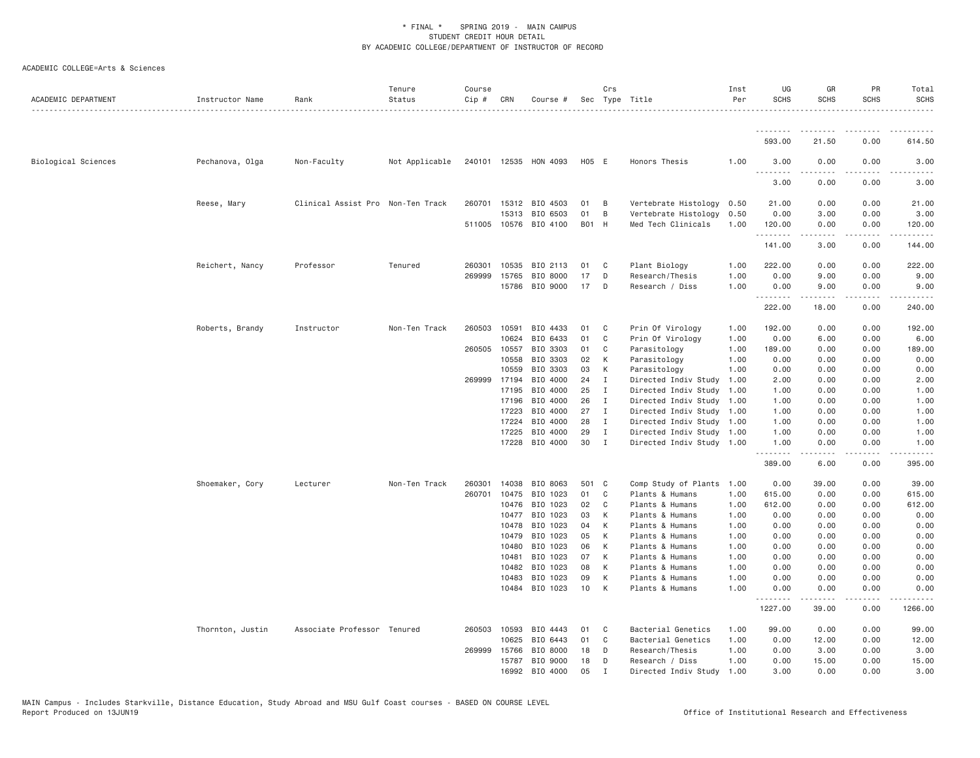| ACADEMIC DEPARTMENT | Instructor Name  | Rank                              | Tenure<br>Status | Course<br>Cip # | CRN          | Course #              |       | Crs          | Sec Type Title            | Inst<br>Per | UG<br><b>SCHS</b> | GR<br><b>SCHS</b> | PR<br><b>SCHS</b>                   | Total<br><b>SCHS</b> |
|---------------------|------------------|-----------------------------------|------------------|-----------------|--------------|-----------------------|-------|--------------|---------------------------|-------------|-------------------|-------------------|-------------------------------------|----------------------|
|                     |                  |                                   |                  |                 |              |                       |       |              |                           |             | .                 |                   |                                     |                      |
|                     |                  |                                   |                  |                 |              |                       |       |              |                           |             | 593.00            | 21.50             | 0.00                                | 614.50               |
| Biological Sciences | Pechanova, Olga  | Non-Faculty                       | Not Applicable   |                 |              | 240101 12535 HON 4093 | H05 E |              | Honors Thesis             | 1.00        | 3.00<br><u>.</u>  | 0.00              | 0.00                                | 3.00                 |
|                     |                  |                                   |                  |                 |              |                       |       |              |                           |             | 3.00              | 0.00              | 0.00                                | 3.00                 |
|                     | Reese, Mary      | Clinical Assist Pro Non-Ten Track |                  |                 |              | 260701 15312 BIO 4503 | 01    | B            | Vertebrate Histology      | 0.50        | 21.00             | 0.00              | 0.00                                | 21.00                |
|                     |                  |                                   |                  |                 | 15313        | BIO 6503              | 01    | B            | Vertebrate Histology      | 0.50        | 0.00              | 3.00              | 0.00                                | 3.00                 |
|                     |                  |                                   |                  |                 |              | 511005 10576 BIO 4100 | B01 H |              | Med Tech Clinicals        | 1.00        | 120.00<br>.       | 0.00              | 0.00                                | 120.00<br>.          |
|                     |                  |                                   |                  |                 |              |                       |       |              |                           |             | 141.00            | 3.00              | 0.00                                | 144.00               |
|                     | Reichert, Nancy  | Professor                         | Tenured          | 260301          | 10535        | BIO 2113              | 01    | C            | Plant Biology             | 1.00        | 222.00            | 0.00              | 0.00                                | 222.00               |
|                     |                  |                                   |                  | 269999          | 15765        | BIO 8000              | 17    | D            | Research/Thesis           | 1.00        | 0.00              | 9.00              | 0.00                                | 9.00                 |
|                     |                  |                                   |                  |                 | 15786        | BIO 9000              | 17    | D            | Research / Diss           | 1.00        | 0.00<br>.         | 9.00              | 0.00                                | 9.00                 |
|                     |                  |                                   |                  |                 |              |                       |       |              |                           |             | 222.00            | 18.00             | 0.00                                | 240.00               |
|                     | Roberts, Brandy  | Instructor                        | Non-Ten Track    | 260503          | 10591        | BIO 4433              | 01    | C            | Prin Of Virology          | 1.00        | 192.00            | 0.00              | 0.00                                | 192.00               |
|                     |                  |                                   |                  |                 | 10624        | BIO 6433              | 01    | C            | Prin Of Virology          | 1.00        | 0.00              | 6.00              | 0.00                                | 6.00                 |
|                     |                  |                                   |                  | 260505          | 10557        | BIO 3303              | 01    | C            | Parasitology              | 1.00        | 189.00            | 0.00              | 0.00                                | 189.00               |
|                     |                  |                                   |                  |                 | 10558        | BIO 3303              | 02    | K            | Parasitology              | 1.00        | 0.00              | 0.00              | 0.00                                | 0.00                 |
|                     |                  |                                   |                  |                 | 10559        | BIO 3303              | 03    | K            | Parasitology              | 1.00        | 0.00              | 0.00              | 0.00                                | 0.00                 |
|                     |                  |                                   |                  |                 | 269999 17194 | BIO 4000              | 24    | $\mathbf{I}$ | Directed Indiv Study      | 1.00        | 2.00              | 0.00              | 0.00                                | 2.00                 |
|                     |                  |                                   |                  |                 | 17195        | BIO 4000              | 25    | $\mathbf I$  | Directed Indiv Study      | 1.00        | 1.00              | 0.00              | 0.00                                | 1.00                 |
|                     |                  |                                   |                  |                 | 17196        | BIO 4000              | 26    | I            | Directed Indiv Study      | 1.00        | 1.00              | 0.00              | 0.00                                | 1.00                 |
|                     |                  |                                   |                  |                 | 17223        | BIO 4000              | 27    | $\mathbf I$  | Directed Indiv Study 1.00 |             | 1.00              | 0.00              | 0.00                                | 1.00                 |
|                     |                  |                                   |                  |                 | 17224        | BIO 4000              | 28    | I            | Directed Indiv Study 1.00 |             | 1.00              | 0.00              | 0.00                                | 1.00                 |
|                     |                  |                                   |                  |                 | 17225        | BIO 4000              | 29    | $\mathbf I$  | Directed Indiv Study 1.00 |             | 1.00              | 0.00              | 0.00                                | 1.00                 |
|                     |                  |                                   |                  |                 |              | 17228 BIO 4000        | 30    | $\mathbf I$  | Directed Indiv Study 1.00 |             | 1.00<br>.         | 0.00<br>.         | 0.00<br>$\sim$ $\sim$ $\sim$ $\sim$ | 1.00<br>.            |
|                     |                  |                                   |                  |                 |              |                       |       |              |                           |             | 389.00            | 6.00              | 0.00                                | 395.00               |
|                     | Shoemaker, Cory  | Lecturer                          | Non-Ten Track    | 260301          | 14038        | BIO 8063              | 501 C |              | Comp Study of Plants      | 1.00        | 0.00              | 39.00             | 0.00                                | 39.00                |
|                     |                  |                                   |                  | 260701          | 10475        | BIO 1023              | 01    | C            | Plants & Humans           | 1.00        | 615.00            | 0.00              | 0.00                                | 615.00               |
|                     |                  |                                   |                  |                 | 10476        | BIO 1023              | 02    | C            | Plants & Humans           | 1.00        | 612.00            | 0.00              | 0.00                                | 612.00               |
|                     |                  |                                   |                  |                 | 10477        | BIO 1023              | 03    | K            | Plants & Humans           | 1.00        | 0.00              | 0.00              | 0.00                                | 0.00                 |
|                     |                  |                                   |                  |                 | 10478        | BIO 1023              | 04    | K            | Plants & Humans           | 1.00        | 0.00              | 0.00              | 0.00                                | 0.00                 |
|                     |                  |                                   |                  |                 | 10479        | BIO 1023              | 05    | K            | Plants & Humans           | 1.00        | 0.00              | 0.00              | 0.00                                | 0.00                 |
|                     |                  |                                   |                  |                 | 10480        | BIO 1023              | 06    | K            | Plants & Humans           | 1.00        | 0.00              | 0.00              | 0.00                                | 0.00                 |
|                     |                  |                                   |                  |                 | 10481        | BIO 1023              | 07    | K            | Plants & Humans           | 1.00        | 0.00              | 0.00              | 0.00                                | 0.00                 |
|                     |                  |                                   |                  |                 | 10482        | BIO 1023              | 08    | K            | Plants & Humans           | 1.00        | 0.00              | 0.00              | 0.00                                | 0.00                 |
|                     |                  |                                   |                  |                 | 10483        | BIO 1023              | 09    | K            | Plants & Humans           | 1.00        | 0.00              | 0.00              | 0.00                                | 0.00                 |
|                     |                  |                                   |                  |                 | 10484        | BIO 1023              | 10    | K            | Plants & Humans           | 1,00        | 0.00<br>.         | 0.00              | 0.00                                | 0.00                 |
|                     |                  |                                   |                  |                 |              |                       |       |              |                           |             | 1227.00           | 39.00             | 0.00                                | 1266.00              |
|                     | Thornton, Justin | Associate Professor Tenured       |                  | 260503          | 10593        | BIO 4443              | 01    | C.           | Bacterial Genetics        | 1.00        | 99.00             | 0.00              | 0.00                                | 99.00                |
|                     |                  |                                   |                  |                 | 10625        | BIO 6443              | 01    | C            | Bacterial Genetics        | 1.00        | 0.00              | 12.00             | 0.00                                | 12.00                |
|                     |                  |                                   |                  | 269999          | 15766        | BIO 8000              | 18    | D            | Research/Thesis           | 1.00        | 0.00              | 3.00              | 0.00                                | 3.00                 |
|                     |                  |                                   |                  |                 | 15787        | BIO 9000              | 18    | D            | Research / Diss           | 1.00        | 0.00              | 15.00             | 0.00                                | 15.00                |
|                     |                  |                                   |                  |                 | 16992        | BIO 4000              | 05    | т            | Directed Indiv Study      | 1.00        | 3,00              | 0.00              | 0.00                                | 3.00                 |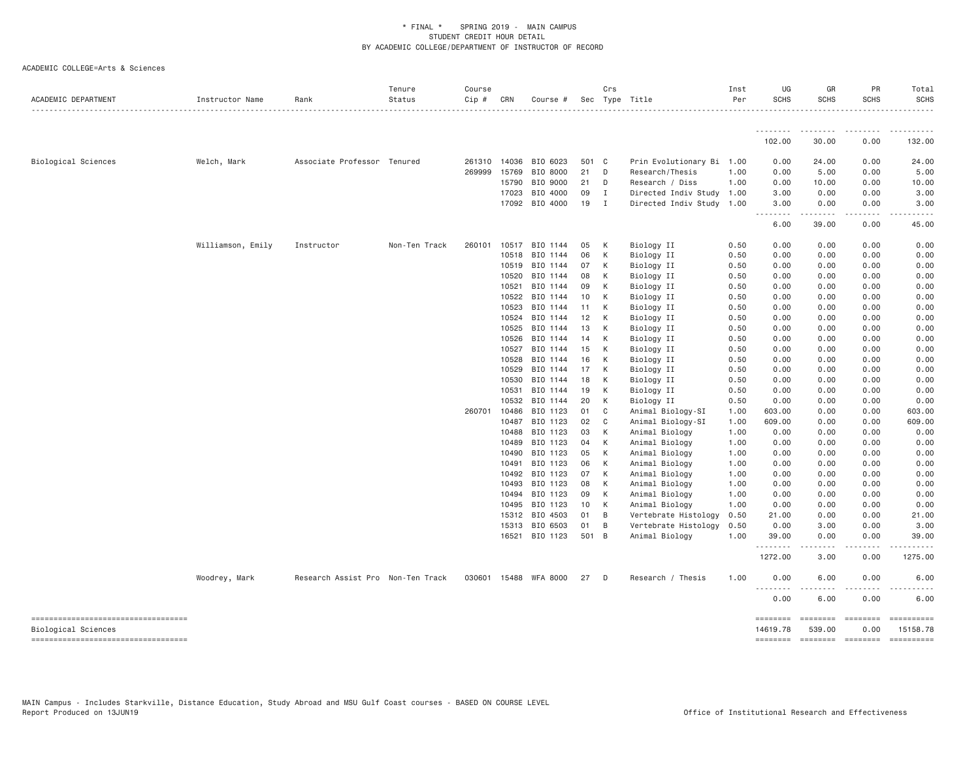| ACADEMIC DEPARTMENT                                       | Instructor Name   | Rank                              | Tenure<br>Status | Course<br>Cip # | CRN            | Course #             |          | Crs          | Sec Type Title            | Inst<br>Per  | UG<br><b>SCHS</b>                    | GR<br><b>SCHS</b>   | PR<br><b>SCHS</b>                  | Total<br><b>SCHS</b>                                                                                                                                                                                                                                                                                                                                                                                                                                                                               |
|-----------------------------------------------------------|-------------------|-----------------------------------|------------------|-----------------|----------------|----------------------|----------|--------------|---------------------------|--------------|--------------------------------------|---------------------|------------------------------------|----------------------------------------------------------------------------------------------------------------------------------------------------------------------------------------------------------------------------------------------------------------------------------------------------------------------------------------------------------------------------------------------------------------------------------------------------------------------------------------------------|
|                                                           |                   |                                   |                  |                 |                |                      |          |              |                           |              | .                                    | --------            | .                                  | .                                                                                                                                                                                                                                                                                                                                                                                                                                                                                                  |
|                                                           |                   |                                   |                  |                 |                |                      |          |              |                           |              | 102.00                               | 30.00               | 0.00                               | 132.00                                                                                                                                                                                                                                                                                                                                                                                                                                                                                             |
| Biological Sciences                                       | Welch, Mark       | Associate Professor Tenured       |                  | 261310          | 14036          | BIO 6023             | 501 C    |              | Prin Evolutionary Bi 1.00 |              | 0.00                                 | 24.00               | 0.00                               | 24.00                                                                                                                                                                                                                                                                                                                                                                                                                                                                                              |
|                                                           |                   |                                   |                  | 269999          | 15769          | BIO 8000             | 21       | D            | Research/Thesis           | 1.00         | 0.00                                 | 5.00                | 0.00                               | 5.00                                                                                                                                                                                                                                                                                                                                                                                                                                                                                               |
|                                                           |                   |                                   |                  |                 | 15790          | BIO 9000             | 21       | D            | Research / Diss           | 1.00         | 0.00                                 | 10.00               | 0.00                               | 10.00                                                                                                                                                                                                                                                                                                                                                                                                                                                                                              |
|                                                           |                   |                                   |                  |                 | 17023          | BIO 4000             | 09       | $\mathbf{I}$ | Directed Indiv Study 1.00 |              | 3.00                                 | 0.00                | 0.00                               | 3.00                                                                                                                                                                                                                                                                                                                                                                                                                                                                                               |
|                                                           |                   |                                   |                  |                 |                | 17092 BIO 4000       | 19       | $\mathbf{I}$ | Directed Indiv Study 1.00 |              | 3.00<br>$\sim$ $\sim$ .<br>$- - - -$ | 0.00<br>$- - - - -$ | 0.00<br>$  -$                      | 3.00                                                                                                                                                                                                                                                                                                                                                                                                                                                                                               |
|                                                           |                   |                                   |                  |                 |                |                      |          |              |                           |              | 6.00                                 | 39.00               | 0.00                               | 45.00                                                                                                                                                                                                                                                                                                                                                                                                                                                                                              |
|                                                           | Williamson, Emily | Instructor                        | Non-Ten Track    | 260101          | 10517          | BIO 1144             | 05       | K            | Biology II                | 0.50         | 0.00                                 | 0.00                | 0.00                               | 0.00                                                                                                                                                                                                                                                                                                                                                                                                                                                                                               |
|                                                           |                   |                                   |                  |                 | 10518          | BIO 1144             | 06       | K            | Biology II                | 0.50         | 0.00                                 | 0.00                | 0.00                               | 0.00                                                                                                                                                                                                                                                                                                                                                                                                                                                                                               |
|                                                           |                   |                                   |                  |                 | 10519          | BIO 1144             | 07       | K            | Biology II                | 0.50         | 0.00                                 | 0.00                | 0.00                               | 0.00                                                                                                                                                                                                                                                                                                                                                                                                                                                                                               |
|                                                           |                   |                                   |                  |                 | 10520          | BIO 1144             | 08       | К            | Biology II                | 0.50         | 0.00                                 | 0.00                | 0.00                               | 0.00                                                                                                                                                                                                                                                                                                                                                                                                                                                                                               |
|                                                           |                   |                                   |                  |                 | 10521          | BIO 1144             | 09       | К            | Biology II                | 0.50         | 0.00                                 | 0.00                | 0.00                               | 0.00                                                                                                                                                                                                                                                                                                                                                                                                                                                                                               |
|                                                           |                   |                                   |                  |                 | 10522          | BIO 1144             | 10       | K            | Biology II                | 0.50         | 0.00                                 | 0.00                | 0.00                               | 0.00                                                                                                                                                                                                                                                                                                                                                                                                                                                                                               |
|                                                           |                   |                                   |                  |                 | 10523          | BIO 1144             | 11       | К            | Biology II                | 0.50         | 0.00                                 | 0.00                | 0.00                               | 0.00                                                                                                                                                                                                                                                                                                                                                                                                                                                                                               |
|                                                           |                   |                                   |                  |                 | 10524          | BIO 1144             | 12       | K            | Biology II                | 0.50         | 0.00                                 | 0.00                | 0.00                               | 0.00                                                                                                                                                                                                                                                                                                                                                                                                                                                                                               |
|                                                           |                   |                                   |                  |                 | 10525          | BIO 1144             | 13       | К            | Biology II                | 0.50         | 0.00                                 | 0.00                | 0.00                               | 0.00                                                                                                                                                                                                                                                                                                                                                                                                                                                                                               |
|                                                           |                   |                                   |                  |                 | 10526          | BIO 1144             | 14       | К            | Biology II                | 0.50         | 0.00                                 | 0.00                | 0.00                               | 0.00                                                                                                                                                                                                                                                                                                                                                                                                                                                                                               |
|                                                           |                   |                                   |                  |                 | 10527          | BIO 1144             | 15<br>16 | K<br>К       | Biology II                | 0.50         | 0.00                                 | 0.00                | 0.00                               | 0.00<br>0.00                                                                                                                                                                                                                                                                                                                                                                                                                                                                                       |
|                                                           |                   |                                   |                  |                 | 10528          | BIO 1144             |          |              | Biology II                | 0.50         | 0.00                                 | 0.00                | 0.00                               |                                                                                                                                                                                                                                                                                                                                                                                                                                                                                                    |
|                                                           |                   |                                   |                  |                 | 10529<br>10530 | BIO 1144<br>BIO 1144 | 17<br>18 | К<br>К       | Biology II<br>Biology II  | 0.50<br>0.50 | 0.00<br>0.00                         | 0.00<br>0.00        | 0.00<br>0.00                       | 0.00<br>0.00                                                                                                                                                                                                                                                                                                                                                                                                                                                                                       |
|                                                           |                   |                                   |                  |                 | 10531          | BIO 1144             | 19       | К            | Biology II                | 0.50         | 0.00                                 | 0.00                | 0.00                               | 0.00                                                                                                                                                                                                                                                                                                                                                                                                                                                                                               |
|                                                           |                   |                                   |                  |                 | 10532          | BIO 1144             | 20       | K            | Biology II                | 0.50         | 0.00                                 | 0.00                | 0.00                               | 0.00                                                                                                                                                                                                                                                                                                                                                                                                                                                                                               |
|                                                           |                   |                                   |                  | 260701          | 10486          | BIO 1123             | 01       | C            | Animal Biology-SI         | 1.00         | 603.00                               | 0.00                | 0.00                               | 603.00                                                                                                                                                                                                                                                                                                                                                                                                                                                                                             |
|                                                           |                   |                                   |                  |                 | 10487          | BIO 1123             | 02       | C            | Animal Biology-SI         | 1.00         | 609.00                               | 0.00                | 0.00                               | 609.00                                                                                                                                                                                                                                                                                                                                                                                                                                                                                             |
|                                                           |                   |                                   |                  |                 | 10488          | BIO 1123             | 03       | K            | Animal Biology            | 1.00         | 0.00                                 | 0.00                | 0.00                               | 0.00                                                                                                                                                                                                                                                                                                                                                                                                                                                                                               |
|                                                           |                   |                                   |                  |                 | 10489          | BIO 1123             | 04       | К            | Animal Biology            | 1.00         | 0.00                                 | 0.00                | 0.00                               | 0.00                                                                                                                                                                                                                                                                                                                                                                                                                                                                                               |
|                                                           |                   |                                   |                  |                 | 10490          | BIO 1123             | 05       | K            | Animal Biology            | 1.00         | 0.00                                 | 0.00                | 0.00                               | 0.00                                                                                                                                                                                                                                                                                                                                                                                                                                                                                               |
|                                                           |                   |                                   |                  |                 | 10491          | BIO 1123             | 06       | К            | Animal Biology            | 1.00         | 0.00                                 | 0.00                | 0.00                               | 0.00                                                                                                                                                                                                                                                                                                                                                                                                                                                                                               |
|                                                           |                   |                                   |                  |                 | 10492          | BIO 1123             | 07       | К            | Animal Biology            | 1.00         | 0.00                                 | 0.00                | 0.00                               | 0.00                                                                                                                                                                                                                                                                                                                                                                                                                                                                                               |
|                                                           |                   |                                   |                  |                 | 10493          | BIO 1123             | 08       | K            | Animal Biology            | 1.00         | 0.00                                 | 0.00                | 0.00                               | 0.00                                                                                                                                                                                                                                                                                                                                                                                                                                                                                               |
|                                                           |                   |                                   |                  |                 | 10494          | BIO 1123             | 09       | K            | Animal Biology            | 1.00         | 0.00                                 | 0.00                | 0.00                               | 0.00                                                                                                                                                                                                                                                                                                                                                                                                                                                                                               |
|                                                           |                   |                                   |                  |                 | 10495          | BIO 1123             | 10       | K            | Animal Biology            | 1.00         | 0.00                                 | 0.00                | 0.00                               | 0.00                                                                                                                                                                                                                                                                                                                                                                                                                                                                                               |
|                                                           |                   |                                   |                  |                 | 15312          | BIO 4503             | 01       | B            | Vertebrate Histology      | 0.50         | 21.00                                | 0.00                | 0.00                               | 21.00                                                                                                                                                                                                                                                                                                                                                                                                                                                                                              |
|                                                           |                   |                                   |                  |                 | 15313          | BIO 6503             | 01       | B            | Vertebrate Histology      | 0.50         | 0.00                                 | 3.00                | 0.00                               | 3.00                                                                                                                                                                                                                                                                                                                                                                                                                                                                                               |
|                                                           |                   |                                   |                  |                 |                | 16521 BIO 1123       | 501 B    |              | Animal Biology            | 1.00         | 39.00<br>.                           | 0.00<br>.           | 0.00<br>.                          | 39.00<br>.                                                                                                                                                                                                                                                                                                                                                                                                                                                                                         |
|                                                           |                   |                                   |                  |                 |                |                      |          |              |                           |              | 1272.00                              | 3.00                | 0.00                               | 1275.00                                                                                                                                                                                                                                                                                                                                                                                                                                                                                            |
|                                                           | Woodrey, Mark     | Research Assist Pro Non-Ten Track |                  | 030601          |                | 15488 WFA 8000       | 27       | $\Box$       | Research / Thesis         | 1.00         | 0.00<br>.                            | 6.00                | 0.00                               | 6.00                                                                                                                                                                                                                                                                                                                                                                                                                                                                                               |
|                                                           |                   |                                   |                  |                 |                |                      |          |              |                           |              | 0.00                                 | 6.00                | 0.00                               | 6.00                                                                                                                                                                                                                                                                                                                                                                                                                                                                                               |
| -----------------------------------                       |                   |                                   |                  |                 |                |                      |          |              |                           |              | $=$ $=$ $=$ $=$ $=$ $=$ $=$          | ========            |                                    | ==========                                                                                                                                                                                                                                                                                                                                                                                                                                                                                         |
| Biological Sciences<br>---------------------------------- |                   |                                   |                  |                 |                |                      |          |              |                           |              | 14619.78                             | 539.00              | 0.00<br>======== ======== ======== | 15158.78<br>$\begin{array}{cccccccccc} \multicolumn{2}{c}{} & \multicolumn{2}{c}{} & \multicolumn{2}{c}{} & \multicolumn{2}{c}{} & \multicolumn{2}{c}{} & \multicolumn{2}{c}{} & \multicolumn{2}{c}{} & \multicolumn{2}{c}{} & \multicolumn{2}{c}{} & \multicolumn{2}{c}{} & \multicolumn{2}{c}{} & \multicolumn{2}{c}{} & \multicolumn{2}{c}{} & \multicolumn{2}{c}{} & \multicolumn{2}{c}{} & \multicolumn{2}{c}{} & \multicolumn{2}{c}{} & \multicolumn{2}{c}{} & \multicolumn{2}{c}{} & \mult$ |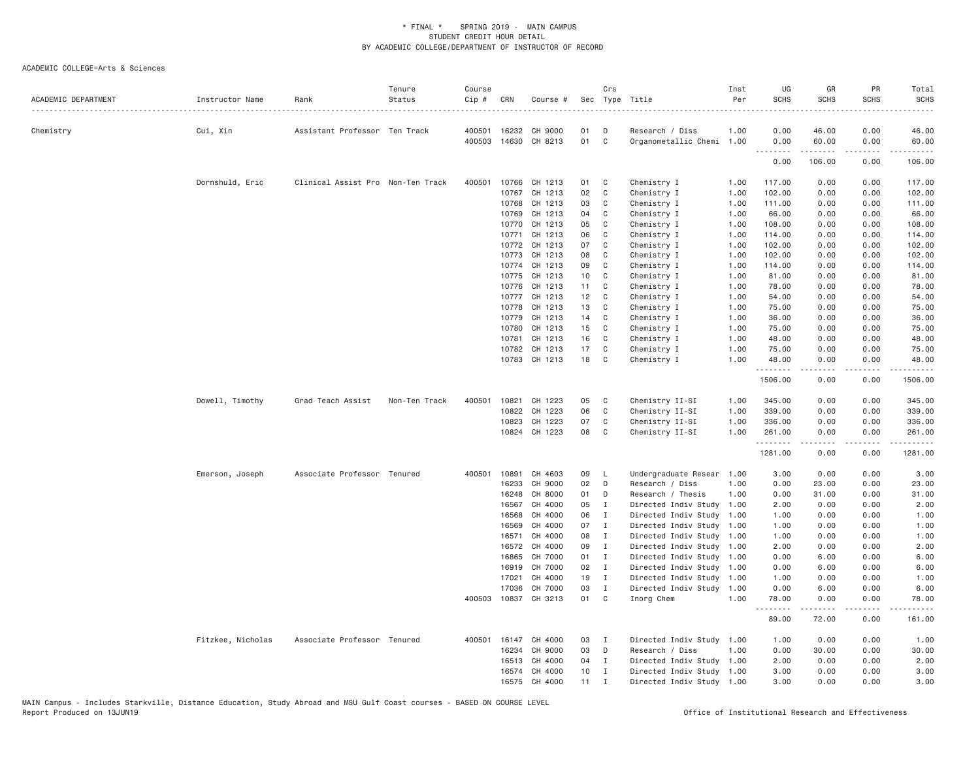| ACADEMIC DEPARTMENT | Instructor Name   | Rank                              | Tenure<br>Status | Course<br>Cip # | CRN          | Course #             |          | Crs          | Sec Type Title            | Inst<br>Per | UG<br><b>SCHS</b> | GR<br><b>SCHS</b> | PR<br><b>SCHS</b>                   | Total<br><b>SCHS</b>   |
|---------------------|-------------------|-----------------------------------|------------------|-----------------|--------------|----------------------|----------|--------------|---------------------------|-------------|-------------------|-------------------|-------------------------------------|------------------------|
| Chemistry           | Cui, Xin          | Assistant Professor Ten Track     |                  |                 | 400501 16232 | CH 9000              | 01       | D            | Research / Diss           | 1.00        | 0.00              | 46.00             | 0.00                                | 46.00                  |
|                     |                   |                                   |                  | 400503          |              | 14630 CH 8213        | 01       | $\mathbf{C}$ | Organometallic Chemi 1.00 |             | 0.00              | 60.00             | 0.00                                | 60.00                  |
|                     |                   |                                   |                  |                 |              |                      |          |              |                           |             | .<br>0.00         | .<br>106.00       | .<br>0.00                           | . <u>.</u> .<br>106.00 |
|                     | Dornshuld, Eric   | Clinical Assist Pro Non-Ten Track |                  | 400501          | 10766        | CH 1213              | 01       | C            | Chemistry I               | 1.00        | 117.00            | 0.00              | 0.00                                | 117.00                 |
|                     |                   |                                   |                  |                 | 10767        | CH 1213              | 02       | C            | Chemistry I               | 1.00        | 102.00            | 0.00              | 0.00                                | 102.00                 |
|                     |                   |                                   |                  |                 | 10768        | CH 1213              | 03       | C            | Chemistry I               | 1.00        | 111.00            | 0.00              | 0.00                                | 111.00                 |
|                     |                   |                                   |                  |                 | 10769        | CH 1213              | 04       | C            | Chemistry I               | 1.00        | 66.00             | 0.00              | 0.00                                | 66.00                  |
|                     |                   |                                   |                  |                 | 10770        | CH 1213              | 05       | C            | Chemistry I               | 1.00        | 108.00            | 0.00              | 0.00                                | 108.00                 |
|                     |                   |                                   |                  |                 | 10771        | CH 1213              | 06       | C            | Chemistry I               | 1.00        | 114.00            | 0.00              | 0.00                                | 114.00                 |
|                     |                   |                                   |                  |                 | 10772        | CH 1213              | 07       | C            | Chemistry I               | 1.00        | 102.00            | 0.00              | 0.00                                | 102.00                 |
|                     |                   |                                   |                  |                 | 10773        | CH 1213              | 08       | C            | Chemistry I               | 1.00        | 102.00            | 0.00              | 0.00                                | 102.00                 |
|                     |                   |                                   |                  |                 | 10774        | CH 1213              | 09       | C            | Chemistry I               | 1.00        | 114.00            | 0.00              | 0.00                                | 114.00                 |
|                     |                   |                                   |                  |                 |              | CH 1213              | 10       | C            |                           |             | 81.00             | 0.00              | 0.00                                | 81.00                  |
|                     |                   |                                   |                  |                 | 10775        |                      |          |              | Chemistry I               | 1.00        |                   |                   |                                     |                        |
|                     |                   |                                   |                  |                 | 10776        | CH 1213              | 11<br>12 | C            | Chemistry I               | 1.00        | 78.00             | 0.00              | 0.00                                | 78.00                  |
|                     |                   |                                   |                  |                 | 10777        | CH 1213              |          | C            | Chemistry I               | 1.00        | 54.00             | 0.00              | 0.00                                | 54.00                  |
|                     |                   |                                   |                  |                 | 10778        | CH 1213              | 13       | C            | Chemistry I               | 1.00        | 75.00             | 0.00              | 0.00                                | 75.00                  |
|                     |                   |                                   |                  |                 | 10779        | CH 1213              | 14       | C            | Chemistry I               | 1.00        | 36.00             | 0.00              | 0.00                                | 36.00                  |
|                     |                   |                                   |                  |                 | 10780        | CH 1213              | 15       | C            | Chemistry I               | 1.00        | 75.00             | 0.00              | 0.00                                | 75.00                  |
|                     |                   |                                   |                  |                 | 10781        | CH 1213              | 16       | C            | Chemistry I               | 1.00        | 48.00             | 0.00              | 0.00                                | 48.00                  |
|                     |                   |                                   |                  |                 | 10782        | CH 1213              | 17       | C            | Chemistry I               | 1.00        | 75.00             | 0.00              | 0.00                                | 75.00                  |
|                     |                   |                                   |                  |                 |              | 10783 CH 1213        | 18       | C            | Chemistry I               | 1.00        | 48.00<br>.        | 0.00              | 0.00                                | 48.00                  |
|                     |                   |                                   |                  |                 |              |                      |          |              |                           |             | 1506.00           | 0.00              | 0.00                                | 1506.00                |
|                     | Dowell, Timothy   | Grad Teach Assist                 | Non-Ten Track    |                 |              | 400501 10821 CH 1223 | 05       | C            | Chemistry II-SI           | 1.00        | 345.00            | 0.00              | 0.00                                | 345.00                 |
|                     |                   |                                   |                  |                 | 10822        | CH 1223              | 06       | $\mathsf{C}$ | Chemistry II-SI           | 1.00        | 339.00            | 0.00              | 0.00                                | 339.00                 |
|                     |                   |                                   |                  |                 | 10823        | CH 1223              | 07       | C            | Chemistry II-SI           | 1.00        | 336.00            | 0.00              | 0.00                                | 336.00                 |
|                     |                   |                                   |                  |                 |              | 10824 CH 1223        | 08       | C            | Chemistry II-SI           | 1.00        | 261.00<br>.       | 0.00              | 0.00<br>$\sim$ $\sim$ $\sim$ $\sim$ | 261.00                 |
|                     |                   |                                   |                  |                 |              |                      |          |              |                           |             | 1281.00           | 0.00              | 0.00                                | 1281.00                |
|                     | Emerson, Joseph   | Associate Professor Tenured       |                  | 400501          | 10891        | CH 4603              | 09       | $\mathsf{L}$ | Undergraduate Resear      | 1.00        | 3.00              | 0.00              | 0.00                                | 3.00                   |
|                     |                   |                                   |                  |                 | 16233        | CH 9000              | 02       | D            | Research / Diss           | 1.00        | 0.00              | 23.00             | 0.00                                | 23.00                  |
|                     |                   |                                   |                  |                 | 16248        | CH 8000              | 01       | D            | Research / Thesis         | 1.00        | 0.00              | 31.00             | 0.00                                | 31.00                  |
|                     |                   |                                   |                  |                 | 16567        | CH 4000              | 05       | $\mathbf I$  | Directed Indiv Study      | 1.00        | 2.00              | 0.00              | 0.00                                | 2.00                   |
|                     |                   |                                   |                  |                 | 16568        | CH 4000              | 06       | $\mathbf{I}$ | Directed Indiv Study      | 1.00        | 1.00              | 0.00              | 0.00                                | 1.00                   |
|                     |                   |                                   |                  |                 | 16569        | CH 4000              | 07       | $\mathbf{I}$ | Directed Indiv Study      | 1.00        | 1.00              | 0.00              | 0.00                                | 1.00                   |
|                     |                   |                                   |                  |                 | 16571        | CH 4000              | 08       | $\mathbf{I}$ | Directed Indiv Study      | 1.00        | 1.00              | 0.00              | 0.00                                | 1.00                   |
|                     |                   |                                   |                  |                 | 16572        | CH 4000              | 09       | $\mathbf{I}$ | Directed Indiv Study 1.00 |             | 2.00              | 0.00              | 0.00                                | 2.00                   |
|                     |                   |                                   |                  |                 | 16865        | CH 7000              | 01       | $\mathbf{I}$ | Directed Indiv Study      | 1.00        | 0.00              | 6.00              | 0.00                                | 6.00                   |
|                     |                   |                                   |                  |                 | 16919        | CH 7000              | 02       | $\mathbf{I}$ | Directed Indiv Study      | 1.00        | 0.00              | 6.00              | 0.00                                | 6.00                   |
|                     |                   |                                   |                  |                 | 17021        | CH 4000              | 19       | $\mathbf{I}$ | Directed Indiv Study 1.00 |             | 1.00              | 0.00              | 0.00                                | 1.00                   |
|                     |                   |                                   |                  |                 | 17036        | CH 7000              | 03       | $\mathbf{I}$ | Directed Indiv Study 1.00 |             | 0.00              | 6.00              | 0.00                                | 6.00                   |
|                     |                   |                                   |                  | 400503          | 10837        | CH 3213              | 01       | $\mathbf{C}$ | Inorg Chem                | 1.00        | 78.00<br>.        | 0.00              | 0.00                                | 78.00                  |
|                     |                   |                                   |                  |                 |              |                      |          |              |                           |             | 89.00             | 72.00             | 0.00                                | 161.00                 |
|                     | Fitzkee, Nicholas | Associate Professor Tenured       |                  |                 | 400501 16147 | CH 4000              | 03       | $\mathbf{I}$ | Directed Indiv Study 1.00 |             | 1.00              | 0.00              | 0.00                                | 1.00                   |
|                     |                   |                                   |                  |                 | 16234        | CH 9000              | 03       | D            | Research / Diss           | 1.00        | 0.00              | 30.00             | 0.00                                | 30.00                  |
|                     |                   |                                   |                  |                 | 16513        | CH 4000              | 04       | $\mathbf I$  | Directed Indiv Study 1.00 |             | 2.00              | 0.00              | 0.00                                | 2.00                   |
|                     |                   |                                   |                  |                 | 16574        | CH 4000              | 10       | $\mathbf I$  | Directed Indiv Study 1.00 |             | 3.00              | 0.00              | 0.00                                | 3.00                   |
|                     |                   |                                   |                  |                 | 16575        | CH 4000              | 11       | $\mathbf I$  | Directed Indiv Study 1.00 |             | 3.00              | 0.00              | 0.00                                | 3.00                   |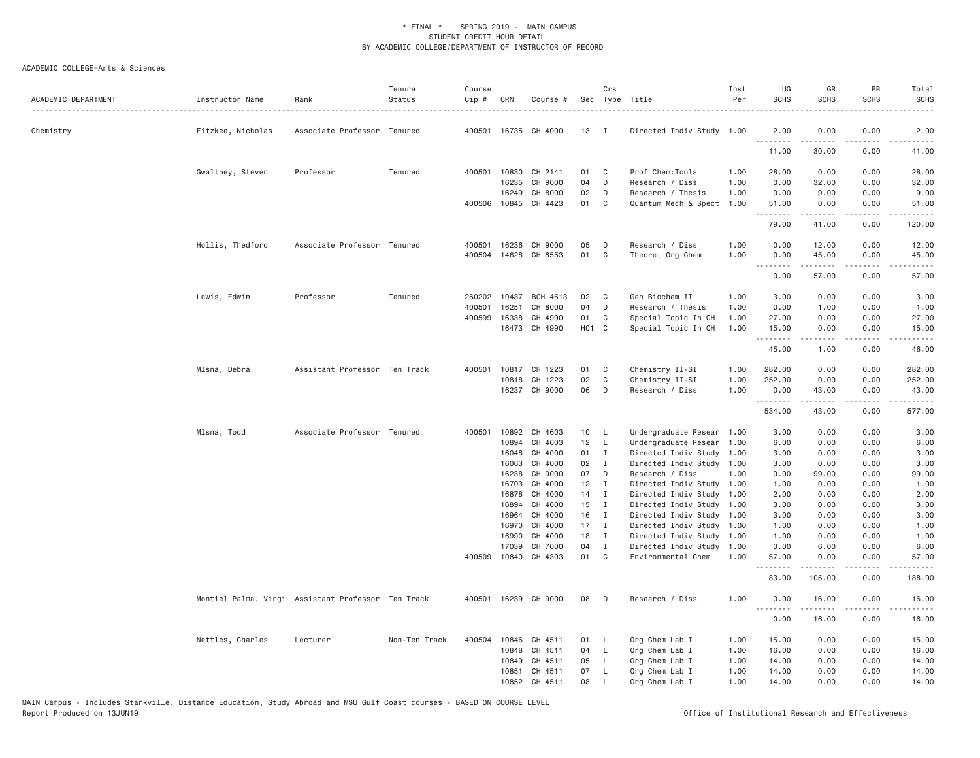| ACADEMIC DEPARTMENT | Instructor Name   | Rank                                               | Tenure<br>Status | Course<br>Cip #  | CRN            | Course #                        |                   | Crs                          | Sec Type Title                                  | Inst<br>Per  | UG<br><b>SCHS</b> | GR<br><b>SCHS</b> | PR<br><b>SCHS</b> | Total<br><b>SCHS</b> |
|---------------------|-------------------|----------------------------------------------------|------------------|------------------|----------------|---------------------------------|-------------------|------------------------------|-------------------------------------------------|--------------|-------------------|-------------------|-------------------|----------------------|
| Chemistry           | Fitzkee, Nicholas | Associate Professor Tenured                        |                  |                  |                | 400501 16735 CH 4000            | 13                | $\blacksquare$               | Directed Indiv Study 1.00                       |              | 2,00              | 0.00              | 0.00              | 2.00                 |
|                     |                   |                                                    |                  |                  |                |                                 |                   |                              |                                                 |              | .<br>11.00        | 30.00             | 0.00              | 41.00                |
|                     | Gwaltney, Steven  | Professor                                          | Tenured          |                  | 400501 10830   | CH 2141                         | 01                | C                            | Prof Chem:Tools                                 | 1.00         | 28.00             | 0.00              | 0.00              | 28.00                |
|                     |                   |                                                    |                  |                  | 16235          | CH 9000                         | 04                | D                            | Research / Diss                                 | 1.00         | 0.00              | 32.00             | 0.00              | 32.00                |
|                     |                   |                                                    |                  |                  | 16249          | CH 8000                         | 02                | D                            | Research / Thesis                               | 1.00         | 0.00              | 9.00              | 0.00              | 9.00                 |
|                     |                   |                                                    |                  |                  |                | 400506 10845 CH 4423            | 01                | $\mathbf{C}$                 | Quantum Mech & Spect                            | 1.00         | 51.00<br>.        | 0.00<br>.         | 0.00<br>.         | 51.00<br>.           |
|                     |                   |                                                    |                  |                  |                |                                 |                   |                              |                                                 |              | 79.00             | 41.00             | 0.00              | 120.00               |
|                     | Hollis, Thedford  | Associate Professor Tenured                        |                  |                  | 400501 16236   | CH 9000                         | 05                | D                            | Research / Diss                                 | 1.00         | 0.00              | 12.00             | 0.00              | 12.00                |
|                     |                   |                                                    |                  |                  |                | 400504 14628 CH 8553            | 01                | C <sub>1</sub>               | Theoret Org Chem                                | 1.00         | 0.00              | 45.00             | 0.00              | 45.00                |
|                     |                   |                                                    |                  |                  |                |                                 |                   |                              |                                                 |              | .<br>0.00         | .<br>57.00        | .<br>0.00         | .<br>57.00           |
|                     |                   |                                                    |                  |                  |                |                                 |                   |                              |                                                 |              |                   |                   |                   |                      |
|                     | Lewis, Edwin      | Professor                                          | Tenured          | 260202           | 10437          | <b>BCH 4613</b>                 | 02                | C                            | Gen Biochem II                                  | 1.00         | 3.00              | 0.00              | 0.00              | 3.00                 |
|                     |                   |                                                    |                  | 400501<br>400599 | 16251<br>16338 | CH 8000<br>CH 4990              | 04<br>01          | D<br>C                       | Research / Thesis<br>Special Topic In CH        | 1.00<br>1.00 | 0.00<br>27.00     | 1.00<br>0.00      | 0.00<br>0.00      | 1.00<br>27.00        |
|                     |                   |                                                    |                  |                  |                | 16473 CH 4990                   | H <sub>01</sub> C |                              | Special Topic In CH                             | 1.00         | 15.00             | 0.00              | 0.00              | 15.00                |
|                     |                   |                                                    |                  |                  |                |                                 |                   |                              |                                                 |              | .                 | .                 | .                 | .                    |
|                     |                   |                                                    |                  |                  |                |                                 |                   |                              |                                                 |              | 45.00             | 1.00              | 0.00              | 46.00                |
|                     | Mlsna, Debra      | Assistant Professor Ten Track                      |                  |                  |                | 400501 10817 CH 1223            | 01                | C                            | Chemistry II-SI                                 | 1.00         | 282.00            | 0.00              | 0.00              | 282.00               |
|                     |                   |                                                    |                  |                  | 10818          | CH 1223                         | 02                | C                            | Chemistry II-SI                                 | 1.00         | 252.00            | 0.00              | 0.00              | 252.00               |
|                     |                   |                                                    |                  |                  |                | 16237 CH 9000                   | 06                | D                            | Research / Diss                                 | 1.00         | 0.00<br>.         | 43.00<br>.        | 0.00<br>$\cdots$  | 43.00<br>.           |
|                     |                   |                                                    |                  |                  |                |                                 |                   |                              |                                                 |              | 534.00            | 43.00             | 0.00              | 577.00               |
|                     | Mlsna, Todd       | Associate Professor Tenured                        |                  |                  | 400501 10892   | CH 4603                         | 10 <sub>1</sub>   | - L                          | Undergraduate Resear                            | 1.00         | 3.00              | 0.00              | 0.00              | 3.00                 |
|                     |                   |                                                    |                  |                  | 10894          | CH 4603                         | 12                | $\mathsf{L}$                 | Undergraduate Resear                            | 1.00         | 6.00              | 0.00              | 0.00              | 6.00                 |
|                     |                   |                                                    |                  |                  | 16048          | CH 4000                         | 01                | $\mathbf{I}$                 | Directed Indiv Study 1.00                       |              | 3.00              | 0.00              | 0.00              | 3.00                 |
|                     |                   |                                                    |                  |                  | 16063          | CH 4000                         | 02                | $\mathbf{I}$                 | Directed Indiv Study 1.00                       |              | 3.00              | 0.00              | 0.00              | 3.00                 |
|                     |                   |                                                    |                  |                  | 16238          | CH 9000                         | 07                | D                            | Research / Diss                                 | 1.00         | 0.00              | 99.00             | 0.00              | 99.00                |
|                     |                   |                                                    |                  |                  | 16703          | CH 4000                         | 12                | $\mathbf{I}$                 | Directed Indiv Study                            | 1.00         | 1.00              | 0.00              | 0.00              | 1.00                 |
|                     |                   |                                                    |                  |                  | 16878          | CH 4000                         | 14                | $\mathbf{I}$                 | Directed Indiv Study 1.00                       |              | 2.00              | 0.00              | 0.00              | 2.00                 |
|                     |                   |                                                    |                  |                  | 16894          | CH 4000                         | 15                | $\mathbf{I}$                 | Directed Indiv Study 1.00                       |              | 3.00              | 0.00              | 0.00              | 3.00                 |
|                     |                   |                                                    |                  |                  | 16964          | CH 4000                         | 16                | $\mathbf{I}$                 | Directed Indiv Study 1.00                       |              | 3.00              | 0.00              | 0.00              | 3.00                 |
|                     |                   |                                                    |                  |                  | 16970          | CH 4000                         | 17                | $\blacksquare$               | Directed Indiv Study 1.00                       |              | 1.00              | 0.00              | 0.00              | 1.00                 |
|                     |                   |                                                    |                  |                  | 16990          | CH 4000                         | 18                | $\mathbf{I}$                 | Directed Indiv Study                            | 1.00         | 1.00              | 0.00              | 0.00              | 1.00                 |
|                     |                   |                                                    |                  |                  | 17039          | CH 7000<br>400509 10840 CH 4303 | 04<br>01          | $\mathbf{I}$<br>$\mathbf{C}$ | Directed Indiv Study 1.00<br>Environmental Chem | 1,00         | 0.00<br>57.00     | 6.00<br>0.00      | 0.00<br>0.00      | 6.00<br>57.00        |
|                     |                   |                                                    |                  |                  |                |                                 |                   |                              |                                                 |              | .<br>83.00        | 105.00            | .<br>0.00         | .<br>188.00          |
|                     |                   | Montiel Palma, Virgi Assistant Professor Ten Track |                  |                  |                | 400501 16239 CH 9000            | 08                | D                            | Research / Diss                                 | 1.00         | 0.00              | 16.00             | 0.00              | 16.00                |
|                     |                   |                                                    |                  |                  |                |                                 |                   |                              |                                                 |              |                   | .                 |                   | .                    |
|                     |                   |                                                    |                  |                  |                |                                 |                   |                              |                                                 |              | 0.00              | 16.00             | 0.00              | 16.00                |
|                     | Nettles, Charles  | Lecturer                                           | Non-Ten Track    |                  | 400504 10846   | CH 4511                         | 01                | L                            | Org Chem Lab I                                  | 1.00         | 15.00             | 0.00              | 0.00              | 15.00                |
|                     |                   |                                                    |                  |                  | 10848          | CH 4511                         | 04                | $\mathsf{L}$                 | Org Chem Lab I                                  | 1.00         | 16.00             | 0.00              | 0.00              | 16.00                |
|                     |                   |                                                    |                  |                  | 10849          | CH 4511                         | 05                | L                            | Org Chem Lab I                                  | 1.00         | 14.00             | 0.00              | 0.00              | 14.00                |
|                     |                   |                                                    |                  |                  | 10851          | CH 4511                         | 07                | L                            | Org Chem Lab I                                  | 1.00         | 14.00             | 0.00              | 0.00              | 14.00                |
|                     |                   |                                                    |                  |                  | 10852          | CH 4511                         | 08                |                              | Org Chem Lab I                                  | 1.00         | 14.00             | 0.00              | 0.00              | 14.00                |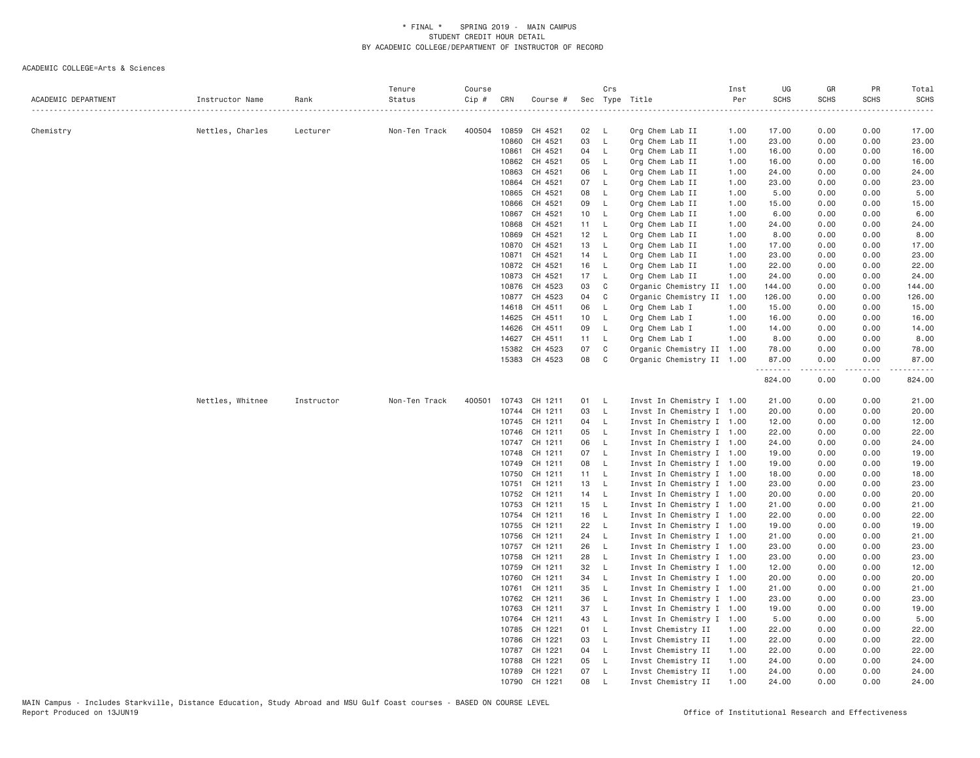| ACADEMIC DEPARTMENT | Instructor Name  | Rank       | Tenure<br>Status | Course<br>Cip # | CRN            | Course #                 |                 | Crs                      | Sec Type Title                                         | Inst<br>Per | UG<br><b>SCHS</b> | GR<br>SCHS   | PR<br><b>SCHS</b> | Total<br><b>SCHS</b><br>. |
|---------------------|------------------|------------|------------------|-----------------|----------------|--------------------------|-----------------|--------------------------|--------------------------------------------------------|-------------|-------------------|--------------|-------------------|---------------------------|
| Chemistry           | Nettles, Charles | Lecturer   | Non-Ten Track    |                 | 400504 10859   | CH 4521                  | 02 L            |                          | Org Chem Lab II                                        | 1.00        | 17.00             | 0.00         | 0.00              | 17.00                     |
|                     |                  |            |                  |                 | 10860          | CH 4521                  | 03              | $\mathsf{L}$             | Org Chem Lab II                                        | 1.00        | 23.00             | 0.00         | 0.00              | 23.00                     |
|                     |                  |            |                  |                 | 10861          | CH 4521                  | 04 L            |                          | Org Chem Lab II                                        | 1.00        | 16.00             | 0.00         | 0.00              | 16.00                     |
|                     |                  |            |                  |                 | 10862          | CH 4521                  | 05              | $\mathsf{L}$             | Org Chem Lab II                                        | 1.00        | 16.00             | 0.00         | 0.00              | 16.00                     |
|                     |                  |            |                  |                 | 10863          | CH 4521                  | 06              | $\mathsf{L}$             | Org Chem Lab II                                        | 1.00        | 24.00             | 0.00         | 0.00              | 24.00                     |
|                     |                  |            |                  |                 | 10864          | CH 4521                  | 07 L            |                          | Org Chem Lab II                                        | 1.00        | 23.00             | 0.00         | 0.00              | 23.00                     |
|                     |                  |            |                  |                 | 10865          | CH 4521                  | 08              | $\mathsf{L}$             | Org Chem Lab II                                        | 1.00        | 5.00              | 0.00         | 0.00              | 5.00                      |
|                     |                  |            |                  |                 | 10866          | CH 4521                  | 09              | $\mathsf{L}$             | Org Chem Lab II                                        | 1.00        | 15.00             | 0.00         | 0.00              | 15.00                     |
|                     |                  |            |                  |                 | 10867          | CH 4521                  | 10 <sup>1</sup> | $-L$                     | Org Chem Lab II                                        | 1.00        | 6.00              | 0.00         | 0.00              | 6.00                      |
|                     |                  |            |                  |                 | 10868          | CH 4521                  | 11 L            |                          | Org Chem Lab II                                        | 1.00        | 24.00             | 0.00         | 0.00              | 24.00                     |
|                     |                  |            |                  |                 | 10869          | CH 4521                  | $12 \quad L$    |                          | Org Chem Lab II                                        | 1.00        | 8.00              | 0.00         | 0.00              | 8.00                      |
|                     |                  |            |                  |                 | 10870          | CH 4521                  | 13              | $\overline{\phantom{a}}$ | Org Chem Lab II                                        | 1.00        | 17.00             | 0.00         | 0.00              | 17.00                     |
|                     |                  |            |                  |                 | 10871          | CH 4521                  | 14 L            |                          | Org Chem Lab II                                        | 1.00        | 23.00             | 0.00         | 0.00              | 23.00                     |
|                     |                  |            |                  |                 | 10872          | CH 4521                  | 16              | $\mathsf{L}$             | Org Chem Lab II                                        | 1.00        | 22.00             | 0.00         | 0.00              | 22.00                     |
|                     |                  |            |                  |                 | 10873          | CH 4521                  | 17              | <b>L</b>                 | Org Chem Lab II                                        | 1.00        | 24.00             | 0.00         | 0.00              | 24.00                     |
|                     |                  |            |                  |                 | 10876          | CH 4523                  | 03              | C                        | Organic Chemistry II 1.00                              |             | 144.00            | 0.00         | 0.00              | 144.00                    |
|                     |                  |            |                  |                 | 10877          | CH 4523                  | 04              | $\mathbf{C}$             | Organic Chemistry II 1.00                              |             | 126.00            | 0.00         | 0.00              | 126.00                    |
|                     |                  |            |                  |                 | 14618          | CH 4511                  | 06              | $\mathsf{L}$             | Org Chem Lab I                                         | 1.00        | 15.00             | 0.00         | 0.00              | 15.00                     |
|                     |                  |            |                  |                 | 14625          | CH 4511                  | 10              | $\mathsf{L}$             | Org Chem Lab I                                         | 1.00        | 16.00             | 0.00         | 0.00              | 16.00                     |
|                     |                  |            |                  |                 | 14626          | CH 4511                  | 09              | $\mathsf{L}$             | Org Chem Lab I                                         | 1.00        | 14.00             | 0.00         | 0.00              | 14.00                     |
|                     |                  |            |                  |                 | 14627          | CH 4511                  | 11 L            |                          | Org Chem Lab I                                         | 1.00        | 8.00              | 0.00         | 0.00              | 8.00                      |
|                     |                  |            |                  |                 | 15382          | CH 4523<br>15383 CH 4523 | 07<br>08        | C<br>$\mathbf{C}$        | Organic Chemistry II 1.00<br>Organic Chemistry II 1.00 |             | 78.00<br>87.00    | 0.00<br>0.00 | 0.00<br>0.00      | 78.00<br>87.00            |
|                     |                  |            |                  |                 |                |                          |                 |                          |                                                        |             | .<br>824.00       | .<br>0.00    | .<br>0.00         | 824.00                    |
|                     | Nettles, Whitnee | Instructor | Non-Ten Track    | 400501          |                | 10743 CH 1211            | 01 L            |                          | Invst In Chemistry I 1.00                              |             | 21.00             | 0.00         | 0.00              | 21.00                     |
|                     |                  |            |                  |                 | 10744          | CH 1211                  | 03              | $\mathsf{L}$             | Invst In Chemistry I 1.00                              |             | 20.00             | 0.00         | 0.00              | 20.00                     |
|                     |                  |            |                  |                 | 10745          | CH 1211                  | 04 L            |                          | Invst In Chemistry I 1.00                              |             | 12.00             | 0.00         | 0.00              | 12.00                     |
|                     |                  |            |                  |                 | 10746          | CH 1211                  | 05              | $\mathsf{L}$             | Invst In Chemistry I 1.00                              |             | 22.00             | 0.00         | 0.00              | 22.00                     |
|                     |                  |            |                  |                 | 10747          | CH 1211                  | 06              | $\mathsf{L}$             | Invst In Chemistry I 1.00                              |             | 24.00             | 0.00         | 0.00              | 24.00                     |
|                     |                  |            |                  |                 | 10748          | CH 1211                  | 07 L            |                          | Invst In Chemistry I 1.00                              |             | 19.00             | 0.00         | 0.00              | 19.00                     |
|                     |                  |            |                  |                 | 10749          | CH 1211                  | 08              | $\mathsf{L}$             | Invst In Chemistry I 1.00                              |             | 19.00             | 0.00         | 0.00              | 19.00                     |
|                     |                  |            |                  |                 | 10750          | CH 1211                  | 11 L            |                          | Invst In Chemistry I 1.00                              |             | 18.00             | 0.00         | 0.00              | 18.00                     |
|                     |                  |            |                  |                 | 10751          | CH 1211                  | 13 L            |                          | Invst In Chemistry I 1.00                              |             | 23.00             | 0.00         | 0.00              | 23.00                     |
|                     |                  |            |                  |                 | 10752          | CH 1211                  | 14 L            |                          | Invst In Chemistry I 1.00                              |             | 20.00             | 0.00         | 0.00              | 20.00                     |
|                     |                  |            |                  |                 | 10753<br>10754 | CH 1211<br>CH 1211       | 15 L<br>16      | $\mathsf{L}$             | Invst In Chemistry I 1.00<br>Invst In Chemistry I 1.00 |             | 21.00<br>22.00    | 0.00<br>0.00 | 0.00<br>0.00      | 21.00<br>22.00            |
|                     |                  |            |                  |                 | 10755          | CH 1211                  | 22 L            |                          | Invst In Chemistry I 1.00                              |             | 19.00             | 0.00         | 0.00              | 19.00                     |
|                     |                  |            |                  |                 | 10756          | CH 1211                  | 24              | $\mathsf{L}$             | Invst In Chemistry I 1.00                              |             | 21.00             | 0.00         | 0.00              | 21.00                     |
|                     |                  |            |                  |                 | 10757          | CH 1211                  | 26              | $\mathsf{L}$             | Invst In Chemistry I 1.00                              |             | 23.00             | 0.00         | 0.00              | 23.00                     |
|                     |                  |            |                  |                 | 10758          | CH 1211                  | 28              | $\mathsf{L}$             | Invst In Chemistry I 1.00                              |             | 23.00             | 0.00         | 0.00              | 23.00                     |
|                     |                  |            |                  |                 | 10759          | CH 1211                  | 32              | $\mathsf{L}$             | Invst In Chemistry I 1.00                              |             | 12.00             | 0.00         | 0.00              | 12.00                     |
|                     |                  |            |                  |                 | 10760          | CH 1211                  | 34              | $\mathsf{L}$             | Invst In Chemistry I 1.00                              |             | 20.00             | 0.00         | 0.00              | 20.00                     |
|                     |                  |            |                  |                 | 10761          | CH 1211                  | 35              | $\mathsf{L}$             | Invst In Chemistry I 1.00                              |             | 21.00             | 0.00         | 0.00              | 21.00                     |
|                     |                  |            |                  |                 | 10762          | CH 1211                  | 36              | $\mathsf{L}$             | Invst In Chemistry I 1.00                              |             | 23.00             | 0.00         | 0.00              | 23.00                     |
|                     |                  |            |                  |                 | 10763          | CH 1211                  | 37              | $\mathsf{L}$             | Invst In Chemistry I 1.00                              |             | 19.00             | 0.00         | 0.00              | 19.00                     |
|                     |                  |            |                  |                 | 10764          | CH 1211                  | 43              | $\mathsf{L}$             | Invst In Chemistry I 1.00                              |             | 5.00              | 0.00         | 0.00              | 5.00                      |
|                     |                  |            |                  |                 | 10785          | CH 1221                  | 01 L            |                          | Invst Chemistry II                                     | 1.00        | 22.00             | 0.00         | 0.00              | 22.00                     |
|                     |                  |            |                  |                 | 10786          | CH 1221                  | 03              | $\mathsf{L}$             | Invst Chemistry II                                     | 1.00        | 22.00             | 0.00         | 0.00              | 22.00                     |
|                     |                  |            |                  |                 |                | 10787 CH 1221            | 04 L            |                          | Invst Chemistry II                                     | 1.00        | 22.00             | 0.00         | 0.00              | 22.00                     |
|                     |                  |            |                  |                 | 10788          | CH 1221                  | 05              | - L                      | Invst Chemistry II                                     | 1.00        | 24.00             | 0.00         | 0.00              | 24.00                     |
|                     |                  |            |                  |                 |                | 10789 CH 1221            | 07              | - L                      | Invst Chemistry II                                     | 1.00        | 24.00             | 0.00         | 0.00              | 24.00                     |
|                     |                  |            |                  |                 | 10790          | CH 1221                  | 80              | L                        | Invst Chemistry II                                     | 1.00        | 24,00             | 0.00         | 0.00              | 24,00                     |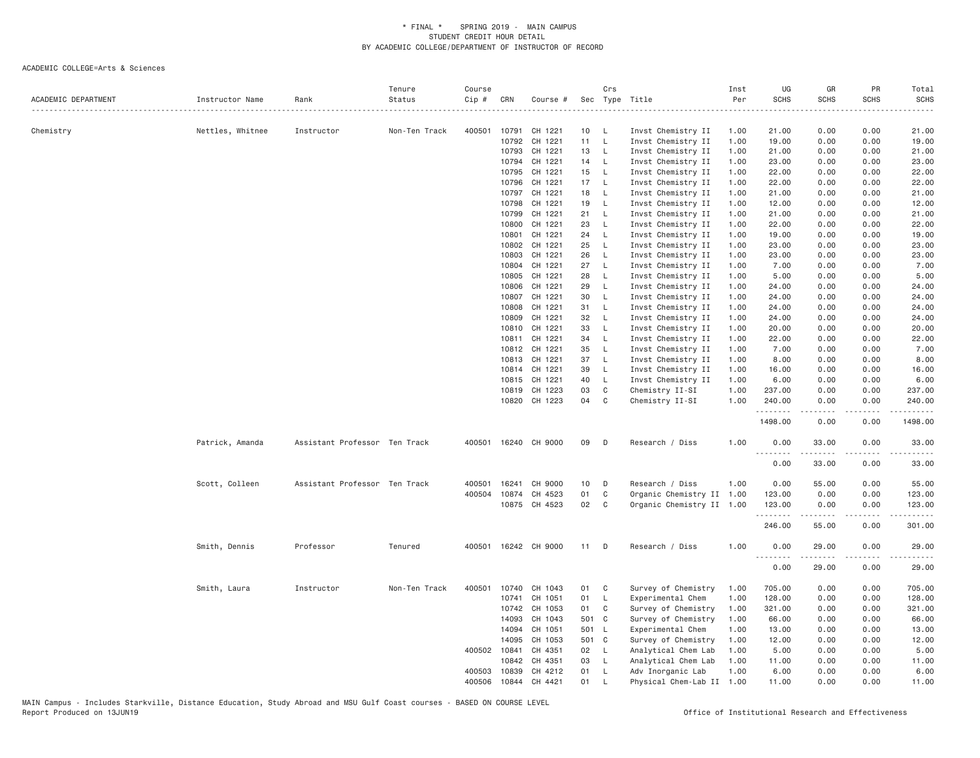| ACADEMIC DEPARTMENT | Instructor Name  | Rank                          | Tenure<br>Status<br>. | Course<br>Cip # | CRN          | Course #      |                 | Crs          | Sec Type Title            | Inst<br>Per | UG<br><b>SCHS</b> | GR<br><b>SCHS</b>                                                                                                                                             | PR<br><b>SCHS</b> | Total<br><b>SCHS</b><br>$\frac{1}{2}$ |
|---------------------|------------------|-------------------------------|-----------------------|-----------------|--------------|---------------|-----------------|--------------|---------------------------|-------------|-------------------|---------------------------------------------------------------------------------------------------------------------------------------------------------------|-------------------|---------------------------------------|
| Chemistry           | Nettles, Whitnee | Instructor                    | Non-Ten Track         | 400501          | 10791        | CH 1221       | 10              | - L          | Invst Chemistry II        | 1.00        | 21.00             | 0.00                                                                                                                                                          | 0.00              | 21.00                                 |
|                     |                  |                               |                       |                 | 10792        | CH 1221       | 11              | $\mathsf{L}$ | Invst Chemistry II        | 1.00        | 19.00             | 0.00                                                                                                                                                          | 0.00              | 19.00                                 |
|                     |                  |                               |                       |                 | 10793        | CH 1221       | 13              | L            | Invst Chemistry II        | 1.00        | 21.00             | 0.00                                                                                                                                                          | 0.00              | 21.00                                 |
|                     |                  |                               |                       |                 | 10794        | CH 1221       | 14              | L.           | Invst Chemistry II        | 1.00        | 23.00             | 0.00                                                                                                                                                          | 0.00              | 23.00                                 |
|                     |                  |                               |                       |                 | 10795        | CH 1221       | 15              | L.           | Invst Chemistry II        | 1.00        | 22.00             | 0.00                                                                                                                                                          | 0.00              | 22.00                                 |
|                     |                  |                               |                       |                 | 10796        | CH 1221       | 17              | $\mathsf{L}$ | Invst Chemistry II        | 1.00        | 22.00             | 0.00                                                                                                                                                          | 0.00              | 22.00                                 |
|                     |                  |                               |                       |                 | 10797        | CH 1221       | 18              | L            | Invst Chemistry II        | 1.00        | 21.00             | 0.00                                                                                                                                                          | 0.00              | 21.00                                 |
|                     |                  |                               |                       |                 | 10798        | CH 1221       | 19              | L            | Invst Chemistry II        | 1.00        | 12.00             | 0.00                                                                                                                                                          | 0.00              | 12.00                                 |
|                     |                  |                               |                       |                 | 10799        | CH 1221       | 21              | L            | Invst Chemistry II        | 1.00        | 21.00             | 0.00                                                                                                                                                          | 0.00              | 21.00                                 |
|                     |                  |                               |                       |                 | 10800        | CH 1221       | 23              | L.           | Invst Chemistry II        | 1.00        | 22.00             | 0.00                                                                                                                                                          | 0.00              | 22.00                                 |
|                     |                  |                               |                       |                 | 10801        | CH 1221       | 24              | L            | Invst Chemistry II        | 1.00        | 19.00             | 0.00                                                                                                                                                          | 0.00              | 19.00                                 |
|                     |                  |                               |                       |                 | 10802        | CH 1221       | 25              | $\mathsf{L}$ | Invst Chemistry II        | 1.00        | 23.00             | 0.00                                                                                                                                                          | 0.00              | 23.00                                 |
|                     |                  |                               |                       |                 | 10803        | CH 1221       | 26              | $\mathsf{L}$ | Invst Chemistry II        | 1.00        | 23.00             | 0.00                                                                                                                                                          | 0.00              | 23.00                                 |
|                     |                  |                               |                       |                 | 10804        | CH 1221       | 27              | L            | Invst Chemistry II        | 1.00        | 7.00              | 0.00                                                                                                                                                          | 0.00              | 7.00                                  |
|                     |                  |                               |                       |                 | 10805        | CH 1221       | 28              | L            | Invst Chemistry II        | 1.00        | 5.00              | 0.00                                                                                                                                                          | 0.00              | 5.00                                  |
|                     |                  |                               |                       |                 | 10806        | CH 1221       | 29              | L            | Invst Chemistry II        | 1.00        | 24.00             | 0.00                                                                                                                                                          | 0.00              | 24.00                                 |
|                     |                  |                               |                       |                 | 10807        | CH 1221       | 30              | $\mathsf{L}$ | Invst Chemistry II        | 1.00        | 24.00             | 0.00                                                                                                                                                          | 0.00              | 24.00                                 |
|                     |                  |                               |                       |                 | 10808        | CH 1221       | 31              | L.           | Invst Chemistry II        | 1.00        | 24.00             | 0.00                                                                                                                                                          | 0.00              | 24.00                                 |
|                     |                  |                               |                       |                 | 10809        | CH 1221       | 32              | L            | Invst Chemistry II        | 1.00        | 24.00             | 0.00                                                                                                                                                          | 0.00              | 24.00                                 |
|                     |                  |                               |                       |                 | 10810        | CH 1221       | 33              | $\mathsf L$  | Invst Chemistry II        | 1.00        | 20.00             | 0.00                                                                                                                                                          | 0.00              | 20.00                                 |
|                     |                  |                               |                       |                 | 10811        | CH 1221       | 34              | L            | Invst Chemistry II        | 1.00        | 22.00             | 0.00                                                                                                                                                          | 0.00              | 22.00                                 |
|                     |                  |                               |                       |                 | 10812        | CH 1221       | 35              | L            | Invst Chemistry II        | 1.00        | 7.00              | 0.00                                                                                                                                                          | 0.00              | 7.00                                  |
|                     |                  |                               |                       |                 | 10813        | CH 1221       | 37              | L            | Invst Chemistry II        | 1.00        | 8.00              | 0.00                                                                                                                                                          | 0.00              | 8.00                                  |
|                     |                  |                               |                       |                 | 10814        | CH 1221       | 39              | L.           | Invst Chemistry II        | 1.00        | 16.00             | 0.00                                                                                                                                                          | 0.00              | 16.00                                 |
|                     |                  |                               |                       |                 | 10815        | CH 1221       | 40              | $\mathsf{L}$ | Invst Chemistry II        | 1.00        | 6.00              | 0.00                                                                                                                                                          | 0.00              | 6.00                                  |
|                     |                  |                               |                       |                 | 10819        | CH 1223       | 03              | C            | Chemistry II-SI           | 1.00        | 237.00            | 0.00                                                                                                                                                          | 0.00              | 237.00                                |
|                     |                  |                               |                       |                 |              | 10820 CH 1223 | 04              | C            | Chemistry II-SI           | 1.00        | 240.00            | 0.00                                                                                                                                                          | 0.00              | 240.00                                |
|                     |                  |                               |                       |                 |              |               |                 |              |                           |             | 1498.00           | -----<br>0.00                                                                                                                                                 | .<br>0.00         | .<br>1498.00                          |
|                     | Patrick, Amanda  | Assistant Professor Ten Track |                       | 400501          |              | 16240 CH 9000 | 09              | D            | Research / Diss           | 1.00        | 0.00<br>.         | 33.00<br>.                                                                                                                                                    | 0.00<br>.         | 33.00<br>.                            |
|                     |                  |                               |                       |                 |              |               |                 |              |                           |             | 0.00              | 33.00                                                                                                                                                         | 0.00              | 33.00                                 |
|                     | Scott, Colleen   | Assistant Professor Ten Track |                       | 400501          | 16241        | CH 9000       | 10              | D            | Research / Diss           | 1.00        | 0.00              | 55.00                                                                                                                                                         | 0.00              | 55.00                                 |
|                     |                  |                               |                       | 400504          | 10874        | CH 4523       | 01              | C            | Organic Chemistry II 1.00 |             | 123.00            | 0.00                                                                                                                                                          | 0.00              | 123.00                                |
|                     |                  |                               |                       |                 |              | 10875 CH 4523 | 02 <sub>o</sub> | C            | Organic Chemistry II 1.00 |             | 123.00<br>.       | 0.00<br>$- - - - -$                                                                                                                                           | 0.00<br>.         | 123.00<br>.                           |
|                     |                  |                               |                       |                 |              |               |                 |              |                           |             | 246.00            | 55.00                                                                                                                                                         | 0.00              | 301.00                                |
|                     | Smith, Dennis    | Professor                     | Tenured               | 400501          |              | 16242 CH 9000 | 11              | D            | Research / Diss           | 1.00        | 0.00<br><u>.</u>  | 29.00<br>$\frac{1}{2} \left( \frac{1}{2} \right) \left( \frac{1}{2} \right) \left( \frac{1}{2} \right) \left( \frac{1}{2} \right) \left( \frac{1}{2} \right)$ | 0.00<br>.         | 29.00<br>.                            |
|                     |                  |                               |                       |                 |              |               |                 |              |                           |             | 0.00              | 29.00                                                                                                                                                         | 0.00              | 29.00                                 |
|                     | Smith, Laura     | Instructor                    | Non-Ten Track         | 400501          | 10740        | CH 1043       | 01              | C            | Survey of Chemistry       | 1.00        | 705.00            | 0.00                                                                                                                                                          | 0.00              | 705.00                                |
|                     |                  |                               |                       |                 | 10741        | CH 1051       | 01              | L.           | Experimental Chem         | 1.00        | 128.00            | 0.00                                                                                                                                                          | 0.00              | 128.00                                |
|                     |                  |                               |                       |                 | 10742        | CH 1053       | 01              | C            | Survey of Chemistry       | 1.00        | 321.00            | 0.00                                                                                                                                                          | 0.00              | 321.00                                |
|                     |                  |                               |                       |                 | 14093        | CH 1043       | 501 C           |              | Survey of Chemistry       | 1.00        | 66.00             | 0.00                                                                                                                                                          | 0.00              | 66.00                                 |
|                     |                  |                               |                       |                 | 14094        | CH 1051       | 501 L           |              | Experimental Chem         | 1.00        | 13.00             | 0.00                                                                                                                                                          | 0.00              | 13.00                                 |
|                     |                  |                               |                       |                 | 14095        | CH 1053       | 501 C           |              | Survey of Chemistry       | 1.00        | 12.00             | 0.00                                                                                                                                                          | 0.00              | 12.00                                 |
|                     |                  |                               |                       |                 | 400502 10841 | CH 4351       | 02 <sub>2</sub> | - L          | Analytical Chem Lab       | 1.00        | 5.00              | 0.00                                                                                                                                                          | 0.00              | 5.00                                  |
|                     |                  |                               |                       |                 | 10842        | CH 4351       | 03              | L            | Analytical Chem Lab       | 1.00        | 11.00             | 0.00                                                                                                                                                          | 0.00              | 11.00                                 |
|                     |                  |                               |                       | 400503          | 10839        | CH 4212       | 01              | $\mathsf{L}$ | Adv Inorganic Lab         | 1.00        | 6.00              | 0.00                                                                                                                                                          | 0.00              | 6.00                                  |
|                     |                  |                               |                       | 400506          | 10844        | CH 4421       | 01              | $\mathsf{L}$ | Physical Chem-Lab II      | 1.00        | 11.00             | 0.00                                                                                                                                                          | 0.00              | 11.00                                 |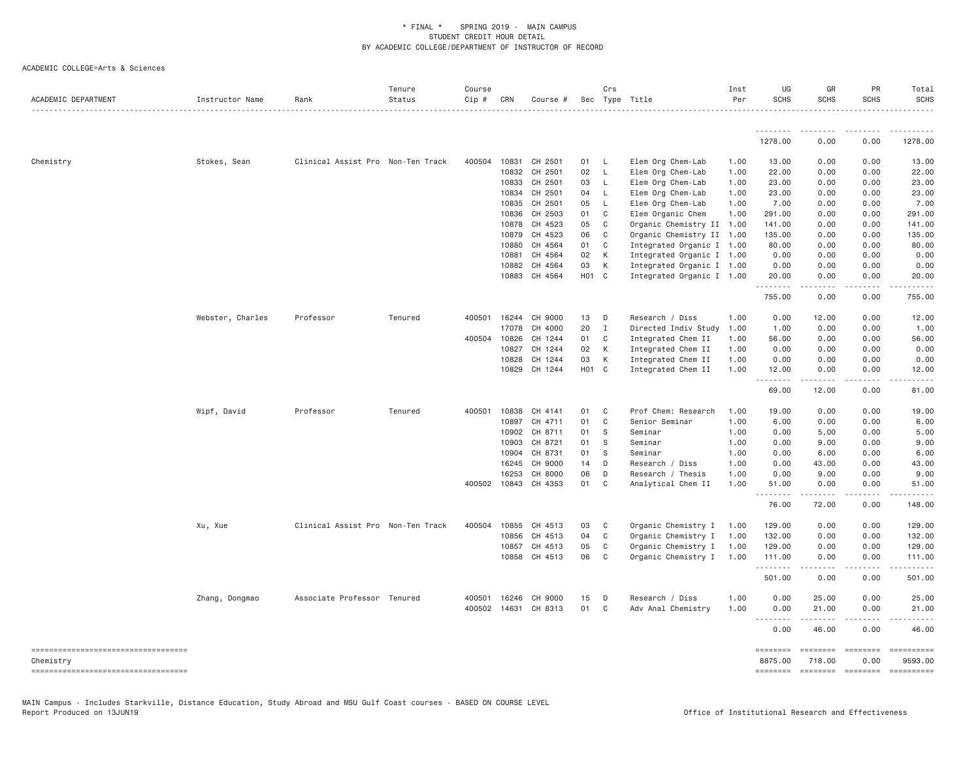ACADEMIC COLLEGE=Arts & Sciences

| ACADEMIC DEPARTMENT                                 | Instructor Name  | Rank                              | Tenure<br>Status | Course<br>$Cip \#$ | CRN          | Course # |                    | Crs            | Sec Type Title            | Inst<br>Per | UG<br><b>SCHS</b>                                                                                                                                                                                                                                                                                                                                                                                                                                                                                 | GR<br>SCHS         | PR<br><b>SCHS</b>        | Total<br><b>SCHS</b>       |
|-----------------------------------------------------|------------------|-----------------------------------|------------------|--------------------|--------------|----------|--------------------|----------------|---------------------------|-------------|---------------------------------------------------------------------------------------------------------------------------------------------------------------------------------------------------------------------------------------------------------------------------------------------------------------------------------------------------------------------------------------------------------------------------------------------------------------------------------------------------|--------------------|--------------------------|----------------------------|
|                                                     |                  |                                   |                  |                    |              |          |                    |                |                           |             | <u>.</u>                                                                                                                                                                                                                                                                                                                                                                                                                                                                                          | .                  |                          |                            |
|                                                     |                  |                                   |                  |                    |              |          |                    |                |                           |             | 1278.00                                                                                                                                                                                                                                                                                                                                                                                                                                                                                           | 0.00               | 0.00                     | 1278.00                    |
| Chemistry                                           | Stokes, Sean     | Clinical Assist Pro Non-Ten Track |                  | 400504 10831       |              | CH 2501  | 01                 | - L            | Elem Org Chem-Lab         | 1.00        | 13.00                                                                                                                                                                                                                                                                                                                                                                                                                                                                                             | 0.00               | 0.00                     | 13.00                      |
|                                                     |                  |                                   |                  |                    | 10832        | CH 2501  | 02                 | $\mathsf{L}$   | Elem Org Chem-Lab         | 1.00        | 22.00                                                                                                                                                                                                                                                                                                                                                                                                                                                                                             | 0.00               | 0.00                     | 22.00                      |
|                                                     |                  |                                   |                  |                    | 10833        | CH 2501  | 03                 | $\mathsf{L}$   | Elem Org Chem-Lab         | 1.00        | 23.00                                                                                                                                                                                                                                                                                                                                                                                                                                                                                             | 0.00               | 0.00                     | 23.00                      |
|                                                     |                  |                                   |                  |                    | 10834        | CH 2501  | 04                 | - L            | Elem Org Chem-Lab         | 1.00        | 23.00                                                                                                                                                                                                                                                                                                                                                                                                                                                                                             | 0.00               | 0.00                     | 23.00                      |
|                                                     |                  |                                   |                  |                    | 10835        | CH 2501  | 05                 | - L            | Elem Org Chem-Lab         | 1.00        | 7.00                                                                                                                                                                                                                                                                                                                                                                                                                                                                                              | 0.00               | 0.00                     | 7.00                       |
|                                                     |                  |                                   |                  |                    | 10836        | CH 2503  | 01                 | C              | Elem Organic Chem         | 1.00        | 291.00                                                                                                                                                                                                                                                                                                                                                                                                                                                                                            | 0.00               | 0.00                     | 291.00                     |
|                                                     |                  |                                   |                  |                    | 10878        | CH 4523  | 05                 | C              | Organic Chemistry II 1.00 |             | 141.00                                                                                                                                                                                                                                                                                                                                                                                                                                                                                            | 0.00               | 0.00                     | 141.00                     |
|                                                     |                  |                                   |                  |                    | 10879        | CH 4523  | 06                 | C              | Organic Chemistry II 1.00 |             | 135.00                                                                                                                                                                                                                                                                                                                                                                                                                                                                                            | 0.00               | 0.00                     | 135.00                     |
|                                                     |                  |                                   |                  |                    | 10880        | CH 4564  | 01                 | C              | Integrated Organic I 1.00 |             | 80.00                                                                                                                                                                                                                                                                                                                                                                                                                                                                                             | 0.00               | 0.00                     | 80.00                      |
|                                                     |                  |                                   |                  |                    | 10881        | CH 4564  | 02                 | К              | Integrated Organic I 1.00 |             | 0.00                                                                                                                                                                                                                                                                                                                                                                                                                                                                                              | 0.00               | 0.00                     | 0.00                       |
|                                                     |                  |                                   |                  |                    | 10882        | CH 4564  | 03                 | K              | Integrated Organic I 1.00 |             | 0.00                                                                                                                                                                                                                                                                                                                                                                                                                                                                                              | 0.00               | 0.00                     | 0.00                       |
|                                                     |                  |                                   |                  |                    | 10883        | CH 4564  | H <sub>0</sub> 1 C |                | Integrated Organic I 1.00 |             | 20.00<br><u>.</u>                                                                                                                                                                                                                                                                                                                                                                                                                                                                                 | 0.00<br>. <b>.</b> | 0.00<br>.                | 20.00<br>.                 |
|                                                     |                  |                                   |                  |                    |              |          |                    |                |                           |             | 755.00                                                                                                                                                                                                                                                                                                                                                                                                                                                                                            | 0.00               | 0.00                     | 755.00                     |
|                                                     | Webster, Charles | Professor                         | Tenured          | 400501 16244       |              | CH 9000  | 13                 | D              | Research / Diss           | 1.00        | 0.00                                                                                                                                                                                                                                                                                                                                                                                                                                                                                              | 12.00              | 0.00                     | 12.00                      |
|                                                     |                  |                                   |                  |                    | 17078        | CH 4000  | 20                 | I              | Directed Indiv Study      | 1.00        | 1.00                                                                                                                                                                                                                                                                                                                                                                                                                                                                                              | 0.00               | 0.00                     | 1.00                       |
|                                                     |                  |                                   |                  | 400504 10826       |              | CH 1244  | 01                 | C              | Integrated Chem II        | 1.00        | 56.00                                                                                                                                                                                                                                                                                                                                                                                                                                                                                             | 0.00               | 0.00                     | 56.00                      |
|                                                     |                  |                                   |                  |                    | 10827        | CH 1244  | 02                 | К              | Integrated Chem II        | 1.00        | 0.00                                                                                                                                                                                                                                                                                                                                                                                                                                                                                              | 0.00               | 0.00                     | 0.00                       |
|                                                     |                  |                                   |                  |                    | 10828        | CH 1244  | 03                 | $\,$ K         | Integrated Chem II        | 1.00        | 0.00                                                                                                                                                                                                                                                                                                                                                                                                                                                                                              | 0.00               | 0.00                     | 0.00                       |
|                                                     |                  |                                   |                  |                    | 10829        | CH 1244  | H01 C              |                | Integrated Chem II        | 1.00        | 12.00                                                                                                                                                                                                                                                                                                                                                                                                                                                                                             | 0.00               | 0.00                     | 12.00                      |
|                                                     |                  |                                   |                  |                    |              |          |                    |                |                           |             | .<br>69.00                                                                                                                                                                                                                                                                                                                                                                                                                                                                                        | 12.00              | 0.00                     | 81.00                      |
|                                                     | Wipf, David      | Professor                         | Tenured          | 400501 10838       |              | CH 4141  | 01                 | C <sub>1</sub> | Prof Chem: Research       | 1.00        | 19.00                                                                                                                                                                                                                                                                                                                                                                                                                                                                                             | 0.00               | 0.00                     | 19.00                      |
|                                                     |                  |                                   |                  |                    | 10897        | CH 4711  | 01                 | $\mathbf{C}$   | Senior Seminar            | 1.00        | 6.00                                                                                                                                                                                                                                                                                                                                                                                                                                                                                              | 0.00               | 0.00                     | 6.00                       |
|                                                     |                  |                                   |                  |                    | 10902        | CH 8711  | 01                 | <sub>S</sub>   | Seminar                   | 1.00        | 0.00                                                                                                                                                                                                                                                                                                                                                                                                                                                                                              | 5.00               | 0.00                     | 5.00                       |
|                                                     |                  |                                   |                  |                    | 10903        | CH 8721  | 01                 | S              | Seminar                   | 1.00        | 0.00                                                                                                                                                                                                                                                                                                                                                                                                                                                                                              | 9.00               | 0.00                     | 9.00                       |
|                                                     |                  |                                   |                  |                    | 10904        | CH 8731  | 01                 | -S             | Seminar                   | 1.00        | 0.00                                                                                                                                                                                                                                                                                                                                                                                                                                                                                              | 6.00               | 0.00                     | 6.00                       |
|                                                     |                  |                                   |                  |                    | 16245        | CH 9000  | 14                 | D              | Research / Diss           | 1.00        | 0.00                                                                                                                                                                                                                                                                                                                                                                                                                                                                                              | 43.00              | 0.00                     | 43.00                      |
|                                                     |                  |                                   |                  |                    | 16253        | CH 8000  | 06                 | D              | Research / Thesis         | 1.00        | 0.00                                                                                                                                                                                                                                                                                                                                                                                                                                                                                              | 9.00               | 0.00                     | 9.00                       |
|                                                     |                  |                                   |                  |                    | 400502 10843 | CH 4353  | 01                 | C              | Analytical Chem II        | 1.00        | 51.00<br><u>.</u>                                                                                                                                                                                                                                                                                                                                                                                                                                                                                 | 0.00               | 0.00                     | 51.00                      |
|                                                     |                  |                                   |                  |                    |              |          |                    |                |                           |             | 76.00                                                                                                                                                                                                                                                                                                                                                                                                                                                                                             | 72.00              | 0.00                     | 148.00                     |
|                                                     | Xu, Xue          | Clinical Assist Pro Non-Ten Track |                  | 400504 10855       |              | CH 4513  | 03                 | C              | Organic Chemistry I       | 1.00        | 129.00                                                                                                                                                                                                                                                                                                                                                                                                                                                                                            | 0.00               | 0.00                     | 129.00                     |
|                                                     |                  |                                   |                  |                    | 10856        | CH 4513  | 04                 | $\mathbf{C}$   | Organic Chemistry I       | 1.00        | 132.00                                                                                                                                                                                                                                                                                                                                                                                                                                                                                            | 0.00               | 0.00                     | 132.00                     |
|                                                     |                  |                                   |                  |                    | 10857        | CH 4513  | 05                 | C              | Organic Chemistry I       | 1.00        | 129.00                                                                                                                                                                                                                                                                                                                                                                                                                                                                                            | 0.00               | 0.00                     | 129.00                     |
|                                                     |                  |                                   |                  |                    | 10858        | CH 4513  | 06                 | C              | Organic Chemistry I 1.00  |             | 111.00<br>.                                                                                                                                                                                                                                                                                                                                                                                                                                                                                       | 0.00               | 0.00<br>.                | 111.00                     |
|                                                     |                  |                                   |                  |                    |              |          |                    |                |                           |             | 501.00                                                                                                                                                                                                                                                                                                                                                                                                                                                                                            | 0.00               | 0.00                     | 501.00                     |
|                                                     | Zhang, Dongmao   | Associate Professor Tenured       |                  | 400501             | 16246        | CH 9000  | 15                 | D              | Research / Diss           | 1.00        | 0.00                                                                                                                                                                                                                                                                                                                                                                                                                                                                                              | 25.00              | 0.00                     | 25.00                      |
|                                                     |                  |                                   |                  | 400502             | 14631        | CH 8313  | 01                 | C              | Adv Anal Chemistry        | 1.00        | 0.00<br>$\sim$ $\sim$ .                                                                                                                                                                                                                                                                                                                                                                                                                                                                           | 21.00              | 0.00                     | 21.00                      |
|                                                     |                  |                                   |                  |                    |              |          |                    |                |                           |             | 0.00                                                                                                                                                                                                                                                                                                                                                                                                                                                                                              | 46.00              | 0.00                     | 46.00                      |
| -----------------------------------                 |                  |                                   |                  |                    |              |          |                    |                |                           |             | <b>EEEEEEEE</b>                                                                                                                                                                                                                                                                                                                                                                                                                                                                                   | <b>ESSESSE</b>     | $= 222222222$            | ==========                 |
| Chemistry<br>====================================== |                  |                                   |                  |                    |              |          |                    |                |                           |             | 8875.00<br>$\begin{array}{cccccccccc} \multicolumn{2}{c}{} & \multicolumn{2}{c}{} & \multicolumn{2}{c}{} & \multicolumn{2}{c}{} & \multicolumn{2}{c}{} & \multicolumn{2}{c}{} & \multicolumn{2}{c}{} & \multicolumn{2}{c}{} & \multicolumn{2}{c}{} & \multicolumn{2}{c}{} & \multicolumn{2}{c}{} & \multicolumn{2}{c}{} & \multicolumn{2}{c}{} & \multicolumn{2}{c}{} & \multicolumn{2}{c}{} & \multicolumn{2}{c}{} & \multicolumn{2}{c}{} & \multicolumn{2}{c}{} & \multicolumn{2}{c}{} & \mult$ | 718.00             | 0.00<br>-------- ------- | 9593.00<br>$= 22222222222$ |

MAIN Campus - Includes Starkville, Distance Education, Study Abroad and MSU Gulf Coast courses - BASED ON COURSE LEVEL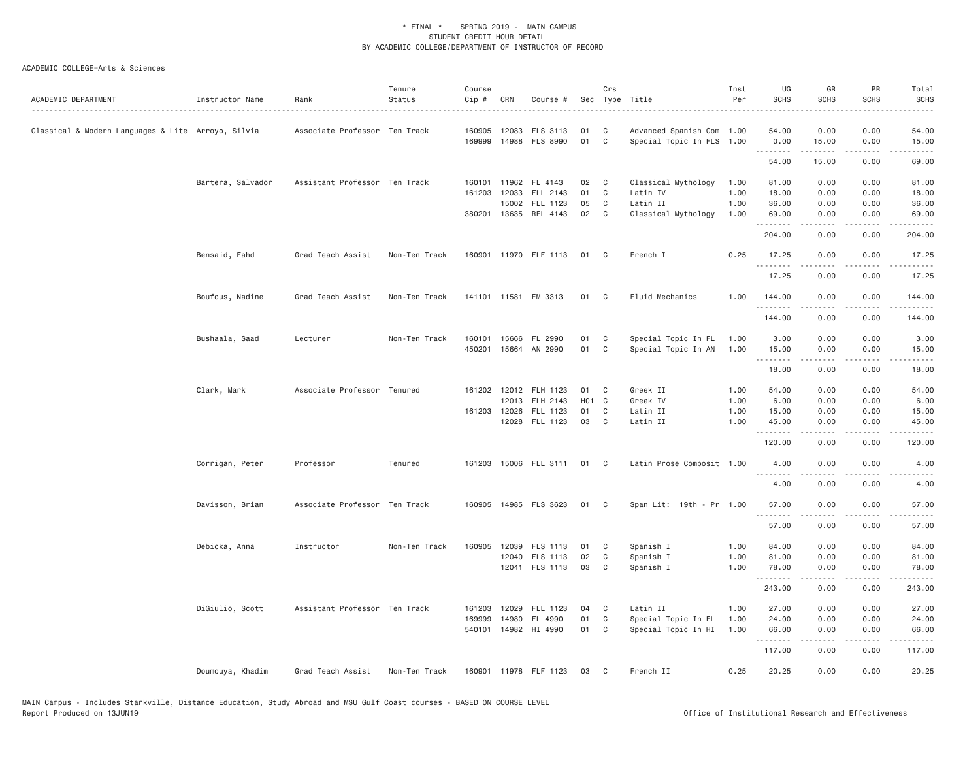| ACADEMIC DEPARTMENT                                | Instructor Name   | Rank                          | Tenure<br>Status | Course<br>Cip # | CRN          | Course #              |                    | Crs                        | Sec Type Title            | Inst<br>Per | UG<br><b>SCHS</b>   | GR<br><b>SCHS</b>    | PR<br><b>SCHS</b>                                                                                                                 | Total<br><b>SCHS</b> |
|----------------------------------------------------|-------------------|-------------------------------|------------------|-----------------|--------------|-----------------------|--------------------|----------------------------|---------------------------|-------------|---------------------|----------------------|-----------------------------------------------------------------------------------------------------------------------------------|----------------------|
| Classical & Modern Languages & Lite Arroyo, Silvia |                   | Associate Professor Ten Track |                  |                 | 160905 12083 | FLS 3113              | 01                 | C <sub>1</sub>             | Advanced Spanish Com 1.00 |             | 54.00               | 0.00                 | 0.00                                                                                                                              | 54.00                |
|                                                    |                   |                               |                  | 169999          |              | 14988 FLS 8990        | 01                 | C                          | Special Topic In FLS 1.00 |             | 0.00<br>.           | 15.00<br>$- - - - -$ | 0.00<br>$\sim$ $\sim$ $\sim$ $\sim$                                                                                               | 15.00<br>.           |
|                                                    |                   |                               |                  |                 |              |                       |                    |                            |                           |             | 54.00               | 15.00                | 0.00                                                                                                                              | 69.00                |
|                                                    | Bartera, Salvador | Assistant Professor Ten Track |                  |                 | 160101 11962 | FL 4143               | 02                 | $\mathbb{C}$               | Classical Mythology       | 1.00        | 81.00               | 0.00                 | 0.00                                                                                                                              | 81.00                |
|                                                    |                   |                               |                  | 161203          | 12033        | FLL 2143              | 01                 | C                          | Latin IV                  | 1.00        | 18.00               | 0.00                 | 0.00                                                                                                                              | 18.00                |
|                                                    |                   |                               |                  |                 | 15002        | FLL 1123              | 05                 | C                          | Latin II                  | 1.00        | 36.00               | 0.00                 | 0.00                                                                                                                              | 36.00                |
|                                                    |                   |                               |                  |                 |              | 380201 13635 REL 4143 | 02                 | $\mathbf{C}$               | Classical Mythology       | 1.00        | 69.00<br>. <u>.</u> | 0.00<br>.            | 0.00<br>.                                                                                                                         | 69.00                |
|                                                    |                   |                               |                  |                 |              |                       |                    |                            |                           |             | 204.00              | 0.00                 | 0.00                                                                                                                              | 204.00               |
|                                                    | Bensaid, Fahd     | Grad Teach Assist             | Non-Ten Track    |                 |              | 160901 11970 FLF 1113 | 01                 | $\mathbb C$                | French I                  | 0.25        | 17.25<br>.          | 0.00<br>.            | 0.00                                                                                                                              | 17.25<br>المتماما    |
|                                                    |                   |                               |                  |                 |              |                       |                    |                            |                           |             | 17.25               | 0.00                 | 0.00                                                                                                                              | 17.25                |
|                                                    | Boufous, Nadine   | Grad Teach Assist             | Non-Ten Track    |                 |              | 141101 11581 EM 3313  | 01                 | $\mathbf{C}$               | Fluid Mechanics           | 1.00        | 144.00<br>.         | 0.00                 | 0.00                                                                                                                              | 144.00               |
|                                                    |                   |                               |                  |                 |              |                       |                    |                            |                           |             | 144.00              | 0.00                 | 0.00                                                                                                                              | 144.00               |
|                                                    | Bushaala, Saad    | Lecturer                      | Non-Ten Track    |                 | 160101 15666 | FL 2990               | 01                 | $\mathbf{C}$               | Special Topic In FL       | 1.00        | 3.00                | 0.00                 | 0.00                                                                                                                              | 3.00                 |
|                                                    |                   |                               |                  |                 |              | 450201 15664 AN 2990  | 01                 | C                          | Special Topic In AN       | 1.00        | 15.00               | 0.00                 | 0.00                                                                                                                              | 15.00                |
|                                                    |                   |                               |                  |                 |              |                       |                    |                            |                           |             | .<br>18.00          | 0.00                 | $\sim$ $\sim$ $\sim$<br>0.00                                                                                                      | 18.00                |
|                                                    | Clark, Mark       | Associate Professor Tenured   |                  |                 |              | 161202 12012 FLH 1123 | 01 C               |                            | Greek II                  | 1.00        | 54.00               | 0.00                 | 0.00                                                                                                                              | 54.00                |
|                                                    |                   |                               |                  |                 | 12013        | FLH 2143              | H <sub>0</sub> 1 C |                            | Greek IV                  | 1.00        | 6.00                | 0.00                 | 0.00                                                                                                                              | 6.00                 |
|                                                    |                   |                               |                  |                 | 161203 12026 | FLL 1123              | 01                 | C                          | Latin II                  | 1.00        | 15.00               | 0.00                 | 0.00                                                                                                                              | 15.00                |
|                                                    |                   |                               |                  |                 |              | 12028 FLL 1123        | 03                 | $\overline{\phantom{a}}$ C | Latin II                  | 1.00        | 45.00<br>.          | 0.00<br><u>.</u>     | 0.00<br>.                                                                                                                         | 45.00<br>.           |
|                                                    |                   |                               |                  |                 |              |                       |                    |                            |                           |             | 120.00              | 0.00                 | 0.00                                                                                                                              | 120.00               |
|                                                    | Corrigan, Peter   | Professor                     | Tenured          |                 |              | 161203 15006 FLL 3111 | 01                 | $\mathbb C$                | Latin Prose Composit 1.00 |             | 4.00<br>.           | 0.00<br>.            | 0.00<br>$\frac{1}{2} \left( \frac{1}{2} \right) \left( \frac{1}{2} \right) \left( \frac{1}{2} \right) \left( \frac{1}{2} \right)$ | 4.00                 |
|                                                    |                   |                               |                  |                 |              |                       |                    |                            |                           |             | 4.00                | 0.00                 | 0.00                                                                                                                              | 4.00                 |
|                                                    | Davisson, Brian   | Associate Professor Ten Track |                  |                 |              | 160905 14985 FLS 3623 | 01 C               |                            | Span Lit: 19th - Pr 1.00  |             | 57.00<br>.          | 0.00                 | 0.00                                                                                                                              | 57.00                |
|                                                    |                   |                               |                  |                 |              |                       |                    |                            |                           |             | 57.00               | 0.00                 | 0.00                                                                                                                              | 57.00                |
|                                                    | Debicka, Anna     | Instructor                    | Non-Ten Track    | 160905          | 12039        | FLS 1113              | 01                 | C                          | Spanish I                 | 1.00        | 84.00               | 0.00                 | 0.00                                                                                                                              | 84.00                |
|                                                    |                   |                               |                  |                 | 12040        | FLS 1113              | 02                 | C                          | Spanish I                 | 1.00        | 81.00               | 0.00                 | 0.00                                                                                                                              | 81.00                |
|                                                    |                   |                               |                  |                 |              | 12041 FLS 1113        | 03                 | C                          | Spanish I                 | 1.00        | 78.00<br>.          | 0.00<br>.            | 0.00<br>.                                                                                                                         | 78.00<br>1.1.1.1.1   |
|                                                    |                   |                               |                  |                 |              |                       |                    |                            |                           |             | 243.00              | 0.00                 | 0.00                                                                                                                              | 243.00               |
|                                                    | DiGiulio, Scott   | Assistant Professor Ten Track |                  | 161203          | 12029        | FLL 1123              | 04                 | C                          | Latin II                  | 1.00        | 27.00               | 0.00                 | 0.00                                                                                                                              | 27.00                |
|                                                    |                   |                               |                  | 169999          | 14980        | FL 4990               | 01                 | C                          | Special Topic In FL       | 1.00        | 24.00               | 0.00                 | 0.00                                                                                                                              | 24.00                |
|                                                    |                   |                               |                  |                 |              | 540101 14982 HI 4990  | 01 C               |                            | Special Topic In HI       | 1.00        | 66.00<br>.          | 0.00<br>$- - - - -$  | 0.00<br>.                                                                                                                         | 66.00<br>.           |
|                                                    |                   |                               |                  |                 |              |                       |                    |                            |                           |             | 117.00              | 0.00                 | 0.00                                                                                                                              | 117.00               |
|                                                    | Doumouya, Khadim  | Grad Teach Assist             | Non-Ten Track    |                 |              | 160901 11978 FLF 1123 | 03                 | - C                        | French II                 | 0.25        | 20.25               | 0.00                 | 0.00                                                                                                                              | 20.25                |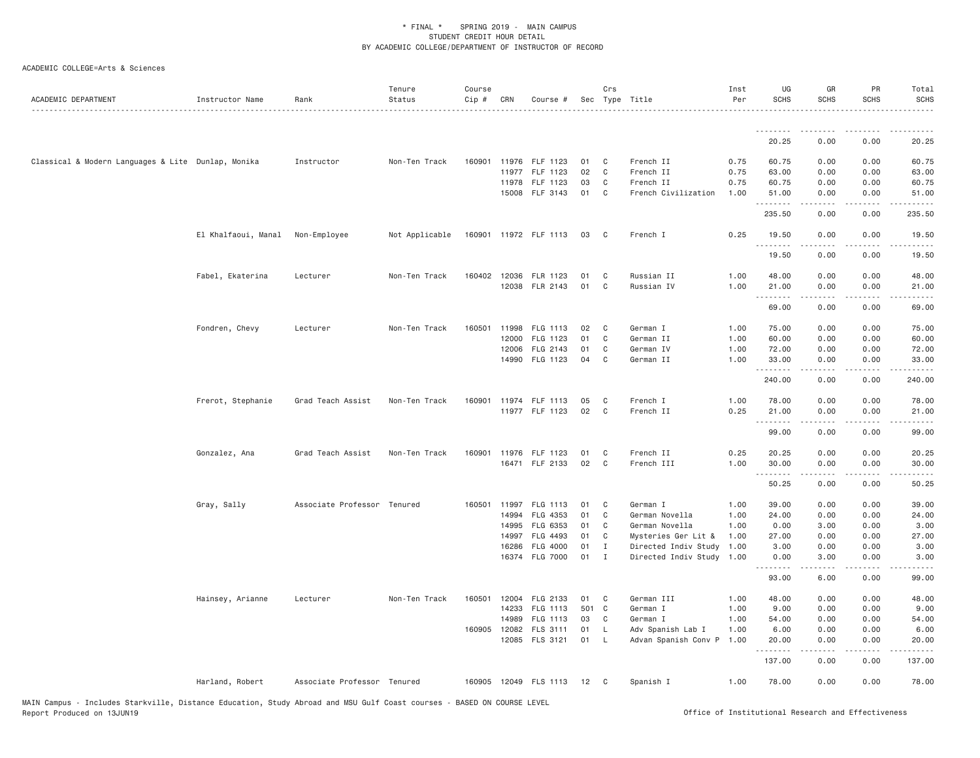| ACADEMIC DEPARTMENT                                | Instructor Name     | Rank                        | Tenure<br>Status | Course<br>Cip # | CRN          | Course #                   |            | Crs            | Sec Type Title                                    | Inst<br>Per | UG<br><b>SCHS</b> | GR<br><b>SCHS</b>   | PR<br><b>SCHS</b>                   | Total<br><b>SCHS</b> |
|----------------------------------------------------|---------------------|-----------------------------|------------------|-----------------|--------------|----------------------------|------------|----------------|---------------------------------------------------|-------------|-------------------|---------------------|-------------------------------------|----------------------|
|                                                    |                     |                             |                  |                 |              |                            |            |                |                                                   |             | --------          | . <u>.</u>          |                                     | .                    |
|                                                    |                     |                             |                  |                 |              |                            |            |                |                                                   |             | 20.25             | 0.00                | 0.00                                | 20.25                |
| Classical & Modern Languages & Lite Dunlap, Monika |                     | Instructor                  | Non-Ten Track    | 160901          |              | 11976 FLF 1123             | 01         | $\mathbf{C}$   | French II                                         | 0.75        | 60.75             | 0.00                | 0.00                                | 60.75                |
|                                                    |                     |                             |                  |                 | 11977        | FLF 1123                   | 02         | C <sub>1</sub> | French II                                         | 0.75        | 63.00             | 0.00                | 0.00                                | 63.00                |
|                                                    |                     |                             |                  |                 |              | 11978 FLF 1123             | 03         | C              | French II                                         | 0.75        | 60.75             | 0.00                | 0.00                                | 60.75                |
|                                                    |                     |                             |                  |                 |              | 15008 FLF 3143             | 01         | C              | French Civilization                               | 1.00        | 51.00<br>.        | 0.00<br>.           | 0.00<br>$\sim$ $\sim$ $\sim$ $\sim$ | 51.00<br>.           |
|                                                    |                     |                             |                  |                 |              |                            |            |                |                                                   |             | 235.50            | 0.00                | 0.00                                | 235.50               |
|                                                    | El Khalfaoui, Manal | Non-Employee                | Not Applicable   |                 |              | 160901 11972 FLF 1113      | 03         | $\overline{C}$ | French I                                          | 0.25        | 19.50<br>.        | 0.00                | 0.00                                | 19.50<br>.           |
|                                                    |                     |                             |                  |                 |              |                            |            |                |                                                   |             | 19.50             | 0.00                | 0.00                                | 19.50                |
|                                                    | Fabel, Ekaterina    | Lecturer                    | Non-Ten Track    | 160402          |              | 12036 FLR 1123             | 01         | C              | Russian II                                        | 1.00        | 48.00             | 0.00                | 0.00                                | 48.00                |
|                                                    |                     |                             |                  |                 |              | 12038 FLR 2143             | 01         | C              | Russian IV                                        | 1.00        | 21.00             | 0.00                | 0.00                                | 21.00                |
|                                                    |                     |                             |                  |                 |              |                            |            |                |                                                   |             | 69.00             | .<br>0.00           | 0.00                                | 69.00                |
|                                                    | Fondren, Chevy      | Lecturer                    | Non-Ten Track    | 160501          | 11998        | FLG 1113                   | 02         | $\mathbf{C}$   | German I                                          | 1.00        | 75.00             | 0.00                | 0.00                                | 75.00                |
|                                                    |                     |                             |                  |                 | 12000        | FLG 1123                   | 01         | C              | German II                                         | 1.00        | 60.00             | 0.00                | 0.00                                | 60.00                |
|                                                    |                     |                             |                  |                 | 12006        | FLG 2143                   | 01         | C              | German IV                                         | 1.00        | 72.00             | 0.00                | 0.00                                | 72.00                |
|                                                    |                     |                             |                  |                 |              | 14990 FLG 1123             | 04         | C              | German II                                         | 1.00        | 33.00<br>.        | 0.00                | 0.00                                | 33.00                |
|                                                    |                     |                             |                  |                 |              |                            |            |                |                                                   |             | 240.00            | 0.00                | 0.00                                | 240.00               |
|                                                    | Frerot, Stephanie   | Grad Teach Assist           | Non-Ten Track    |                 |              | 160901 11974 FLF 1113      | 05         | $\mathbf{C}$   | French I                                          | 1.00        | 78.00             | 0.00                | 0.00                                | 78.00                |
|                                                    |                     |                             |                  |                 |              | 11977 FLF 1123             | 02         | $\mathbf{C}$   | French II                                         | 0.25        | 21.00<br>.        | 0.00<br>$- - - - -$ | 0.00<br>.                           | 21.00<br>.           |
|                                                    |                     |                             |                  |                 |              |                            |            |                |                                                   |             | 99.00             | 0.00                | 0.00                                | 99.00                |
|                                                    | Gonzalez, Ana       | Grad Teach Assist           | Non-Ten Track    |                 |              | 160901 11976 FLF 1123      | 01         | $\mathbf{C}$   | French II                                         | 0.25        | 20.25             | 0.00                | 0.00                                | 20.25                |
|                                                    |                     |                             |                  |                 |              | 16471 FLF 2133             | 02         | C              | French III                                        | 1.00        | 30.00<br>.        | 0.00                | 0.00<br>.                           | 30.00                |
|                                                    |                     |                             |                  |                 |              |                            |            |                |                                                   |             | 50.25             | 0.00                | 0.00                                | 50.25                |
|                                                    | Gray, Sally         | Associate Professor Tenured |                  |                 | 160501 11997 | FLG 1113                   | 01         | $\mathbf{C}$   | German I                                          | 1.00        | 39.00             | 0.00                | 0.00                                | 39.00                |
|                                                    |                     |                             |                  |                 | 14994        | FLG 4353                   | 01         | C              | German Novella                                    | 1.00        | 24.00             | 0.00                | 0.00                                | 24.00                |
|                                                    |                     |                             |                  |                 | 14995        | FLG 6353                   | 01         | $\mathbf{C}$   | German Novella                                    | 1.00        | 0.00              | 3.00                | 0.00                                | 3.00                 |
|                                                    |                     |                             |                  |                 | 14997        | FLG 4493                   | 01         | $\mathbf{C}$   | Mysteries Ger Lit &                               | 1.00        | 27.00             | 0.00                | 0.00                                | 27.00                |
|                                                    |                     |                             |                  |                 | 16286        | FLG 4000<br>16374 FLG 7000 | 01<br>01 I | $\mathbf{I}$   | Directed Indiv Study<br>Directed Indiv Study 1.00 | 1.00        | 3.00<br>0.00      | 0.00<br>3.00        | 0.00<br>0.00                        | 3.00<br>3.00         |
|                                                    |                     |                             |                  |                 |              |                            |            |                |                                                   |             | .<br>93.00        | 6.00                | 0.00                                | 99.00                |
|                                                    | Hainsey, Arianne    | Lecturer                    | Non-Ten Track    |                 |              | 160501 12004 FLG 2133      | 01 C       |                | German III                                        | 1.00        | 48.00             | 0.00                | 0.00                                | 48.00                |
|                                                    |                     |                             |                  |                 | 14233        | FLG 1113                   | 501 C      |                | German I                                          | 1.00        | 9.00              | 0.00                | 0.00                                | 9.00                 |
|                                                    |                     |                             |                  |                 | 14989        | FLG 1113                   | 03         | $\mathbf{C}$   | German I                                          | 1.00        | 54.00             | 0.00                | 0.00                                | 54.00                |
|                                                    |                     |                             |                  |                 | 160905 12082 | FLS 3111                   | 01         | L.             | Adv Spanish Lab I                                 | 1.00        | 6.00              | 0.00                | 0.00                                | 6.00                 |
|                                                    |                     |                             |                  |                 |              | 12085 FLS 3121             | 01         | - L            | Advan Spanish Conv P                              | 1.00        | 20.00<br>.        | 0.00<br>.           | 0.00<br>. <b>.</b>                  | 20.00<br>.           |
|                                                    |                     |                             |                  |                 |              |                            |            |                |                                                   |             | 137.00            | 0.00                | 0.00                                | 137.00               |
|                                                    | Harland, Robert     | Associate Professor Tenured |                  |                 |              | 160905 12049 FLS 1113 12   |            | $\mathbf{C}$   | Spanish I                                         | 1.00        | 78.00             | 0.00                | 0.00                                | 78.00                |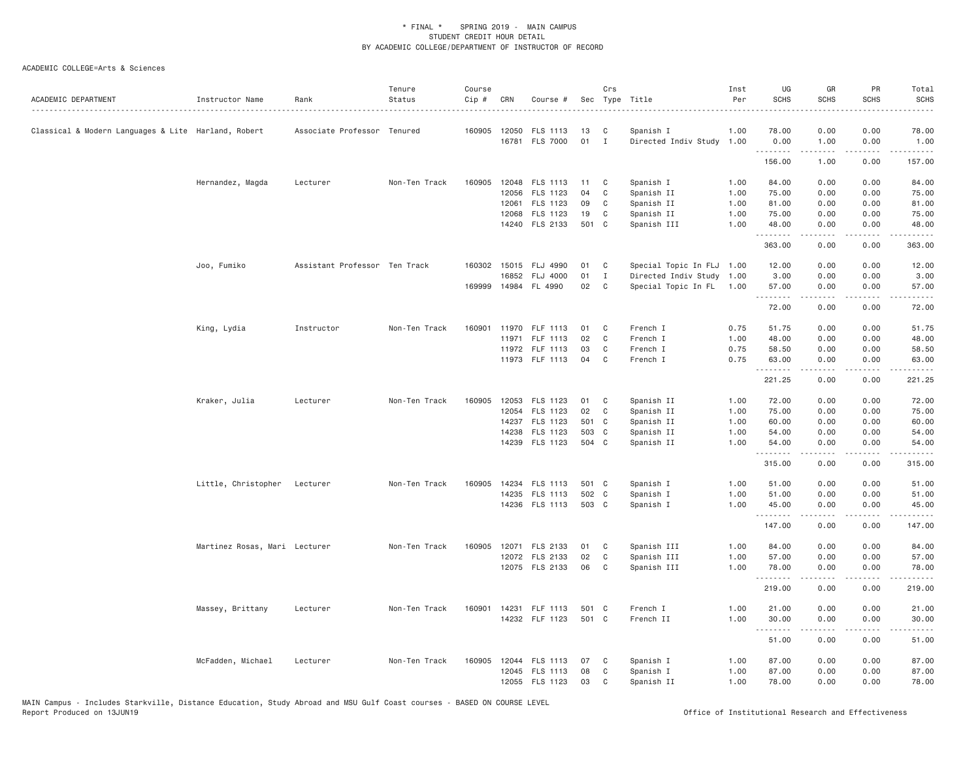| ACADEMIC DEPARTMENT                                 | Instructor Name               | Rank                          | Tenure<br>Status | Course<br>Cip # | CRN   | Course #              | Sec   | Crs          | Type Title                | Inst<br>Per | UG<br><b>SCHS</b> | GR<br><b>SCHS</b>                                                                                                                                                                                                                                                                                                                            | PR<br><b>SCHS</b>                                                                                                                 | Total<br><b>SCHS</b> |
|-----------------------------------------------------|-------------------------------|-------------------------------|------------------|-----------------|-------|-----------------------|-------|--------------|---------------------------|-------------|-------------------|----------------------------------------------------------------------------------------------------------------------------------------------------------------------------------------------------------------------------------------------------------------------------------------------------------------------------------------------|-----------------------------------------------------------------------------------------------------------------------------------|----------------------|
| Classical & Modern Languages & Lite Harland, Robert |                               | Associate Professor Tenured   |                  | 160905 12050    |       | FLS 1113              | 13    | C            | Spanish I                 | 1.00        | 78.00             | 0.00                                                                                                                                                                                                                                                                                                                                         | 0.00                                                                                                                              | 78.00                |
|                                                     |                               |                               |                  |                 |       | 16781 FLS 7000        | 01    | $\mathbf{I}$ | Directed Indiv Study 1.00 |             | 0.00<br>.         | 1.00<br>$\frac{1}{2} \left( \begin{array}{ccc} 1 & 0 & 0 & 0 \\ 0 & 0 & 0 & 0 \\ 0 & 0 & 0 & 0 \\ 0 & 0 & 0 & 0 \\ 0 & 0 & 0 & 0 \\ 0 & 0 & 0 & 0 \\ 0 & 0 & 0 & 0 \\ 0 & 0 & 0 & 0 \\ 0 & 0 & 0 & 0 \\ 0 & 0 & 0 & 0 \\ 0 & 0 & 0 & 0 & 0 \\ 0 & 0 & 0 & 0 & 0 \\ 0 & 0 & 0 & 0 & 0 \\ 0 & 0 & 0 & 0 & 0 \\ 0 & 0 & 0 & 0 & 0 \\ 0 & 0 & 0$ | 0.00<br>.                                                                                                                         | 1.00<br>.            |
|                                                     |                               |                               |                  |                 |       |                       |       |              |                           |             | 156.00            | 1.00                                                                                                                                                                                                                                                                                                                                         | 0.00                                                                                                                              | 157.00               |
|                                                     | Hernandez, Magda              | Lecturer                      | Non-Ten Track    | 160905          | 12048 | FLS 1113              | 11    | C            | Spanish I                 | 1.00        | 84.00             | 0.00                                                                                                                                                                                                                                                                                                                                         | 0.00                                                                                                                              | 84.00                |
|                                                     |                               |                               |                  |                 | 12056 | FLS 1123              | 04    | $\mathsf{C}$ | Spanish II                | 1.00        | 75.00             | 0.00                                                                                                                                                                                                                                                                                                                                         | 0.00                                                                                                                              | 75.00                |
|                                                     |                               |                               |                  |                 | 12061 | FLS 1123              | 09    | C            | Spanish II                | 1.00        | 81.00             | 0.00                                                                                                                                                                                                                                                                                                                                         | 0.00                                                                                                                              | 81.00                |
|                                                     |                               |                               |                  |                 | 12068 | FLS 1123              | 19    | C            | Spanish II                | 1.00        | 75.00             | 0.00                                                                                                                                                                                                                                                                                                                                         | 0.00                                                                                                                              | 75.00                |
|                                                     |                               |                               |                  |                 |       | 14240 FLS 2133        | 501 C |              | Spanish III               | 1.00        | 48.00<br>.        | 0.00<br>$\frac{1}{2} \left( \frac{1}{2} \right) \left( \frac{1}{2} \right) \left( \frac{1}{2} \right) \left( \frac{1}{2} \right) \left( \frac{1}{2} \right)$                                                                                                                                                                                 | 0.00<br>.                                                                                                                         | 48.00<br>.           |
|                                                     |                               |                               |                  |                 |       |                       |       |              |                           |             | 363.00            | 0.00                                                                                                                                                                                                                                                                                                                                         | 0.00                                                                                                                              | 363.00               |
|                                                     | Joo, Fumiko                   | Assistant Professor Ten Track |                  | 160302          |       | 15015 FLJ 4990        | 01    | C            | Special Topic In FLJ      | 1.00        | 12.00             | 0.00                                                                                                                                                                                                                                                                                                                                         | 0.00                                                                                                                              | 12.00                |
|                                                     |                               |                               |                  |                 | 16852 | <b>FLJ 4000</b>       | 01    | $\mathbf{I}$ | Directed Indiv Study 1.00 |             | 3.00              | 0.00                                                                                                                                                                                                                                                                                                                                         | 0.00                                                                                                                              | 3.00                 |
|                                                     |                               |                               |                  |                 |       | 169999 14984 FL 4990  | 02    | C            | Special Topic In FL       | 1.00        | 57.00<br>.        | 0.00<br>$\frac{1}{2} \left( \frac{1}{2} \right) \left( \frac{1}{2} \right) \left( \frac{1}{2} \right) \left( \frac{1}{2} \right) \left( \frac{1}{2} \right)$                                                                                                                                                                                 | 0.00<br>.                                                                                                                         | 57.00<br>.           |
|                                                     |                               |                               |                  |                 |       |                       |       |              |                           |             | 72.00             | 0.00                                                                                                                                                                                                                                                                                                                                         | 0.00                                                                                                                              | 72.00                |
|                                                     | King, Lydia                   | Instructor                    | Non-Ten Track    | 160901          | 11970 | FLF 1113              | 01    | C            | French I                  | 0.75        | 51.75             | 0.00                                                                                                                                                                                                                                                                                                                                         | 0.00                                                                                                                              | 51.75                |
|                                                     |                               |                               |                  |                 |       | 11971 FLF 1113        | 02    | C            | French I                  | 1.00        | 48.00             | 0.00                                                                                                                                                                                                                                                                                                                                         | 0.00                                                                                                                              | 48.00                |
|                                                     |                               |                               |                  |                 |       | 11972 FLF 1113        | 03    | C            | French I                  | 0.75        | 58.50             | 0.00                                                                                                                                                                                                                                                                                                                                         | 0.00                                                                                                                              | 58.50                |
|                                                     |                               |                               |                  |                 |       | 11973 FLF 1113        | 04    | C            | French I                  | 0.75        | 63.00<br>.        | 0.00<br>-----                                                                                                                                                                                                                                                                                                                                | 0.00<br>$\frac{1}{2} \left( \frac{1}{2} \right) \left( \frac{1}{2} \right) \left( \frac{1}{2} \right) \left( \frac{1}{2} \right)$ | 63.00<br>.           |
|                                                     |                               |                               |                  |                 |       |                       |       |              |                           |             | 221.25            | 0.00                                                                                                                                                                                                                                                                                                                                         | 0.00                                                                                                                              | 221.25               |
|                                                     | Kraker, Julia                 | Lecturer                      | Non-Ten Track    | 160905          |       | 12053 FLS 1123        | 01    | C            | Spanish II                | 1.00        | 72.00             | 0.00                                                                                                                                                                                                                                                                                                                                         | 0.00                                                                                                                              | 72.00                |
|                                                     |                               |                               |                  |                 |       | 12054 FLS 1123        | 02    | C            | Spanish II                | 1.00        | 75.00             | 0.00                                                                                                                                                                                                                                                                                                                                         | 0.00                                                                                                                              | 75.00                |
|                                                     |                               |                               |                  |                 | 14237 | FLS 1123              | 501 C |              | Spanish II                | 1.00        | 60.00             | 0.00                                                                                                                                                                                                                                                                                                                                         | 0.00                                                                                                                              | 60.00                |
|                                                     |                               |                               |                  |                 | 14238 | FLS 1123              | 503 C |              | Spanish II                | 1.00        | 54.00             | 0.00                                                                                                                                                                                                                                                                                                                                         | 0.00                                                                                                                              | 54.00                |
|                                                     |                               |                               |                  |                 |       | 14239 FLS 1123        | 504 C |              | Spanish II                | 1.00        | 54.00<br><u>.</u> | 0.00<br>$- - - - -$                                                                                                                                                                                                                                                                                                                          | 0.00<br>.                                                                                                                         | 54.00<br><u>.</u>    |
|                                                     |                               |                               |                  |                 |       |                       |       |              |                           |             | 315.00            | 0.00                                                                                                                                                                                                                                                                                                                                         | 0.00                                                                                                                              | 315.00               |
|                                                     | Little, Christopher           | Lecturer                      | Non-Ten Track    | 160905          |       | 14234 FLS 1113        | 501 C |              | Spanish I                 | 1.00        | 51.00             | 0.00                                                                                                                                                                                                                                                                                                                                         | 0.00                                                                                                                              | 51.00                |
|                                                     |                               |                               |                  |                 |       | 14235 FLS 1113        | 502 C |              | Spanish I                 | 1.00        | 51.00             | 0.00                                                                                                                                                                                                                                                                                                                                         | 0.00                                                                                                                              | 51.00                |
|                                                     |                               |                               |                  |                 |       | 14236 FLS 1113        | 503 C |              | Spanish I                 | 1.00        | 45.00<br>.        | 0.00<br>.                                                                                                                                                                                                                                                                                                                                    | 0.00<br>.                                                                                                                         | 45.00                |
|                                                     |                               |                               |                  |                 |       |                       |       |              |                           |             | 147.00            | 0.00                                                                                                                                                                                                                                                                                                                                         | 0.00                                                                                                                              | 147.00               |
|                                                     | Martinez Rosas, Mari Lecturer |                               | Non-Ten Track    | 160905          |       | 12071 FLS 2133        | 01    | C            | Spanish III               | 1.00        | 84.00             | 0.00                                                                                                                                                                                                                                                                                                                                         | 0.00                                                                                                                              | 84.00                |
|                                                     |                               |                               |                  |                 |       | 12072 FLS 2133        | 02    | C            | Spanish III               | 1.00        | 57.00             | 0.00                                                                                                                                                                                                                                                                                                                                         | 0.00                                                                                                                              | 57.00                |
|                                                     |                               |                               |                  |                 |       | 12075 FLS 2133        | 06    | C            | Spanish III               | 1.00        | 78.00             | 0.00                                                                                                                                                                                                                                                                                                                                         | 0.00                                                                                                                              | 78.00                |
|                                                     |                               |                               |                  |                 |       |                       |       |              |                           |             | .<br>219.00       | 0.00                                                                                                                                                                                                                                                                                                                                         | 0.00                                                                                                                              | 219.00               |
|                                                     | Massey, Brittany              | Lecturer                      | Non-Ten Track    |                 |       | 160901 14231 FLF 1113 | 501 C |              | French I                  | 1.00        | 21.00             | 0.00                                                                                                                                                                                                                                                                                                                                         | 0.00                                                                                                                              | 21.00                |
|                                                     |                               |                               |                  |                 |       | 14232 FLF 1123        | 501 C |              | French II                 | 1.00        | 30.00             | 0.00                                                                                                                                                                                                                                                                                                                                         | 0.00                                                                                                                              | 30.00                |
|                                                     |                               |                               |                  |                 |       |                       |       |              |                           |             | .<br>51.00        | 0.00                                                                                                                                                                                                                                                                                                                                         | 0.00                                                                                                                              | 51.00                |
|                                                     | McFadden, Michael             | Lecturer                      | Non-Ten Track    |                 |       | 160905 12044 FLS 1113 | 07    | C            | Spanish I                 | 1.00        | 87.00             | 0.00                                                                                                                                                                                                                                                                                                                                         | 0.00                                                                                                                              | 87.00                |
|                                                     |                               |                               |                  |                 |       | 12045 FLS 1113        | 08    | C            | Spanish I                 | 1.00        | 87.00             | 0.00                                                                                                                                                                                                                                                                                                                                         | 0.00                                                                                                                              | 87.00                |
|                                                     |                               |                               |                  |                 |       | 12055 FLS 1123        | 03    | C            | Spanish II                | 1.00        | 78.00             | 0.00                                                                                                                                                                                                                                                                                                                                         | 0.00                                                                                                                              | 78.00                |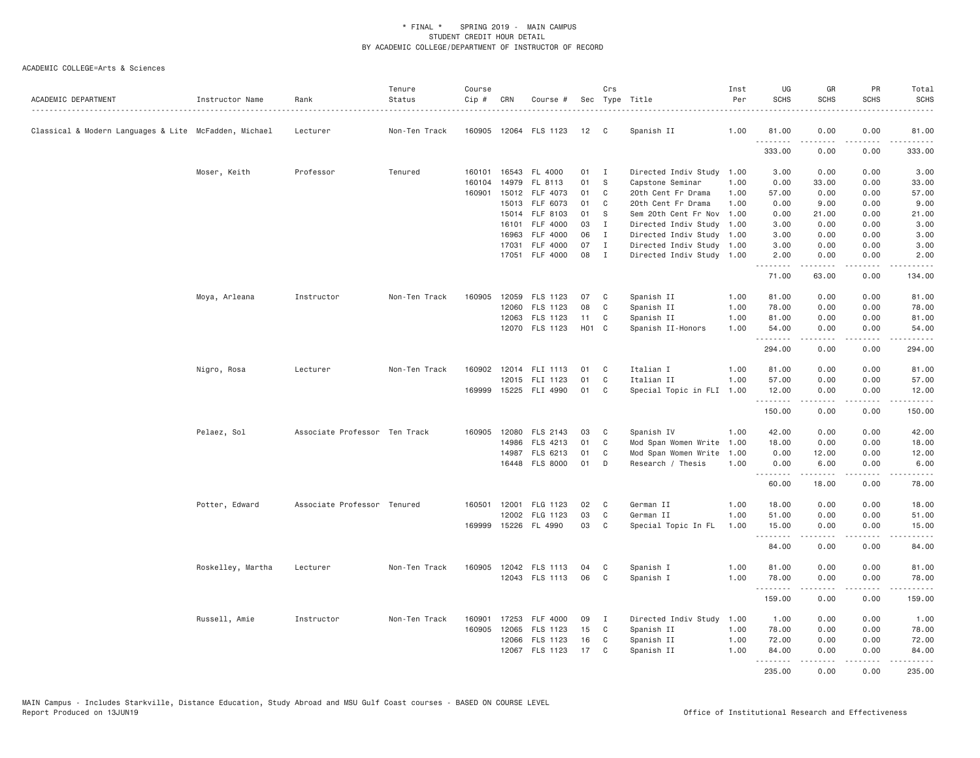| ACADEMIC DEPARTMENT                                   | Instructor Name   | Rank                          | Tenure<br>Status | Course<br>Cip # | CRN   | Course #              |                   | Crs          | Sec Type Title            | Inst<br>Per | UG<br><b>SCHS</b> | GR<br><b>SCHS</b>                                                                                                                                            | PR<br><b>SCHS</b>                                                                                                                                            | Total<br><b>SCHS</b>                                                                                                                                          |
|-------------------------------------------------------|-------------------|-------------------------------|------------------|-----------------|-------|-----------------------|-------------------|--------------|---------------------------|-------------|-------------------|--------------------------------------------------------------------------------------------------------------------------------------------------------------|--------------------------------------------------------------------------------------------------------------------------------------------------------------|---------------------------------------------------------------------------------------------------------------------------------------------------------------|
| Classical & Modern Languages & Lite McFadden, Michael |                   | Lecturer                      | Non-Ten Track    |                 |       | 160905 12064 FLS 1123 | 12                | $\mathbf{C}$ | Spanish II                | 1.00        | 81.00<br>.        | 0.00<br>.                                                                                                                                                    | 0.00<br>.                                                                                                                                                    | 81.00<br>$\frac{1}{2} \left( \frac{1}{2} \right) \left( \frac{1}{2} \right) \left( \frac{1}{2} \right) \left( \frac{1}{2} \right) \left( \frac{1}{2} \right)$ |
|                                                       |                   |                               |                  |                 |       |                       |                   |              |                           |             | 333.00            | 0.00                                                                                                                                                         | 0.00                                                                                                                                                         | 333.00                                                                                                                                                        |
|                                                       | Moser, Keith      | Professor                     | Tenured          | 160101          |       | 16543 FL 4000         | 01                | $\mathbf{I}$ | Directed Indiv Study 1.00 |             | 3.00              | 0.00                                                                                                                                                         | 0.00                                                                                                                                                         | 3.00                                                                                                                                                          |
|                                                       |                   |                               |                  | 160104          |       | 14979 FL 8113         | 01                | <sub>S</sub> | Capstone Seminar          | 1.00        | 0.00              | 33.00                                                                                                                                                        | 0.00                                                                                                                                                         | 33.00                                                                                                                                                         |
|                                                       |                   |                               |                  | 160901          | 15012 | FLF 4073              | 01                | C            | 20th Cent Fr Drama        | 1.00        | 57.00             | 0.00                                                                                                                                                         | 0.00                                                                                                                                                         | 57.00                                                                                                                                                         |
|                                                       |                   |                               |                  |                 |       | 15013 FLF 6073        | 01                | C            | 20th Cent Fr Drama        | 1.00        | 0.00              | 9.00                                                                                                                                                         | 0.00                                                                                                                                                         | 9.00                                                                                                                                                          |
|                                                       |                   |                               |                  |                 |       | 15014 FLF 8103        | 01                | <sub>S</sub> | Sem 20th Cent Fr Nov 1.00 |             | 0.00              | 21.00                                                                                                                                                        | 0.00                                                                                                                                                         | 21.00                                                                                                                                                         |
|                                                       |                   |                               |                  |                 | 16101 | FLF 4000              | 03                | $\mathbf{I}$ | Directed Indiv Study      | 1.00        | 3.00              | 0.00                                                                                                                                                         | 0.00                                                                                                                                                         | 3.00                                                                                                                                                          |
|                                                       |                   |                               |                  |                 | 16963 | <b>FLF 4000</b>       | 06                | $\mathbf{I}$ | Directed Indiv Study 1.00 |             | 3.00              | 0.00                                                                                                                                                         | 0.00                                                                                                                                                         | 3.00                                                                                                                                                          |
|                                                       |                   |                               |                  |                 | 17031 | FLF 4000              | 07                | $\mathbf{I}$ | Directed Indiv Study 1.00 |             | 3.00              | 0.00                                                                                                                                                         | 0.00                                                                                                                                                         | 3.00                                                                                                                                                          |
|                                                       |                   |                               |                  |                 | 17051 | FLF 4000              | 08                | $\mathbf{I}$ | Directed Indiv Study 1.00 |             | 2.00<br>.         | 0.00<br>.                                                                                                                                                    | 0.00<br>$\sim$ $\sim$ $\sim$ $\sim$                                                                                                                          | 2.00<br>.                                                                                                                                                     |
|                                                       |                   |                               |                  |                 |       |                       |                   |              |                           |             | 71.00             | 63.00                                                                                                                                                        | 0.00                                                                                                                                                         | 134.00                                                                                                                                                        |
|                                                       | Moya, Arleana     | Instructor                    | Non-Ten Track    | 160905          |       | 12059 FLS 1123        | 07                | C            | Spanish II                | 1.00        | 81.00             | 0.00                                                                                                                                                         | 0.00                                                                                                                                                         | 81.00                                                                                                                                                         |
|                                                       |                   |                               |                  |                 |       | 12060 FLS 1123        | 08                | C            | Spanish II                | 1.00        | 78.00             | 0.00                                                                                                                                                         | 0.00                                                                                                                                                         | 78.00                                                                                                                                                         |
|                                                       |                   |                               |                  |                 |       | 12063 FLS 1123        | 11                | C            | Spanish II                | 1.00        | 81.00             | 0.00                                                                                                                                                         | 0.00                                                                                                                                                         | 81.00                                                                                                                                                         |
|                                                       |                   |                               |                  |                 |       | 12070 FLS 1123        | H <sub>01</sub> C |              | Spanish II-Honors         | 1.00        | 54.00             | 0.00                                                                                                                                                         | 0.00                                                                                                                                                         | 54.00                                                                                                                                                         |
|                                                       |                   |                               |                  |                 |       |                       |                   |              |                           |             | .                 | .                                                                                                                                                            | .                                                                                                                                                            | .                                                                                                                                                             |
|                                                       |                   |                               |                  |                 |       |                       |                   |              |                           |             | 294.00            | 0.00                                                                                                                                                         | 0.00                                                                                                                                                         | 294.00                                                                                                                                                        |
|                                                       | Nigro, Rosa       | Lecturer                      | Non-Ten Track    | 160902          |       | 12014 FLI 1113        | 01                | C            | Italian I                 | 1.00        | 81.00             | 0.00                                                                                                                                                         | 0.00                                                                                                                                                         | 81.00                                                                                                                                                         |
|                                                       |                   |                               |                  |                 |       | 12015 FLI 1123        | 01                | C            | Italian II                | 1.00        | 57.00             | 0.00                                                                                                                                                         | 0.00                                                                                                                                                         | 57.00                                                                                                                                                         |
|                                                       |                   |                               |                  |                 |       | 169999 15225 FLI 4990 | 01                | C            | Special Topic in FLI 1.00 |             | 12.00<br>.        | 0.00<br>.                                                                                                                                                    | 0.00<br>.                                                                                                                                                    | 12.00<br>.                                                                                                                                                    |
|                                                       |                   |                               |                  |                 |       |                       |                   |              |                           |             | 150.00            | 0.00                                                                                                                                                         | 0.00                                                                                                                                                         | 150.00                                                                                                                                                        |
|                                                       | Pelaez, Sol       | Associate Professor Ten Track |                  |                 |       | 160905 12080 FLS 2143 | 03                | C            | Spanish IV                | 1.00        | 42.00             | 0.00                                                                                                                                                         | 0.00                                                                                                                                                         | 42.00                                                                                                                                                         |
|                                                       |                   |                               |                  |                 | 14986 | FLS 4213              | 01                | C            | Mod Span Women Write 1.00 |             | 18.00             | 0.00                                                                                                                                                         | 0.00                                                                                                                                                         | 18.00                                                                                                                                                         |
|                                                       |                   |                               |                  |                 |       | 14987 FLS 6213        | 01                | C            | Mod Span Women Write      | 1.00        | 0.00              | 12.00                                                                                                                                                        | 0.00                                                                                                                                                         | 12.00                                                                                                                                                         |
|                                                       |                   |                               |                  |                 |       | 16448 FLS 8000        | 01                | D            | Research / Thesis         | 1.00        | 0.00              | 6.00                                                                                                                                                         | 0.00                                                                                                                                                         | 6.00                                                                                                                                                          |
|                                                       |                   |                               |                  |                 |       |                       |                   |              |                           |             | .<br>60.00        | -----<br>18.00                                                                                                                                               | .<br>0.00                                                                                                                                                    | .<br>78.00                                                                                                                                                    |
|                                                       | Potter, Edward    | Associate Professor Tenured   |                  |                 |       | 160501 12001 FLG 1123 | 02                | C            | German II                 | 1.00        | 18.00             | 0.00                                                                                                                                                         | 0.00                                                                                                                                                         | 18.00                                                                                                                                                         |
|                                                       |                   |                               |                  |                 |       | 12002 FLG 1123        | 03                | C            | German II                 | 1.00        | 51.00             | 0.00                                                                                                                                                         | 0.00                                                                                                                                                         | 51.00                                                                                                                                                         |
|                                                       |                   |                               |                  | 169999          |       | 15226 FL 4990         | 03                | C            | Special Topic In FL       | 1.00        | 15.00             | 0.00                                                                                                                                                         | 0.00                                                                                                                                                         | 15.00                                                                                                                                                         |
|                                                       |                   |                               |                  |                 |       |                       |                   |              |                           |             | .<br>84.00        | .<br>0.00                                                                                                                                                    | $- - - -$<br>0.00                                                                                                                                            | $- - - - -$<br>84.00                                                                                                                                          |
|                                                       | Roskelley, Martha | Lecturer                      | Non-Ten Track    |                 |       | 160905 12042 FLS 1113 | 04                | C            | Spanish I                 | 1.00        | 81.00             | 0.00                                                                                                                                                         | 0.00                                                                                                                                                         | 81.00                                                                                                                                                         |
|                                                       |                   |                               |                  |                 |       | 12043 FLS 1113        | 06                | C            | Spanish I                 | 1.00        | 78.00             | 0.00                                                                                                                                                         | 0.00                                                                                                                                                         | 78.00                                                                                                                                                         |
|                                                       |                   |                               |                  |                 |       |                       |                   |              |                           |             | .                 |                                                                                                                                                              | $\sim$ $\sim$ $\sim$                                                                                                                                         |                                                                                                                                                               |
|                                                       |                   |                               |                  |                 |       |                       |                   |              |                           |             | 159.00            | 0.00                                                                                                                                                         | 0.00                                                                                                                                                         | 159.00                                                                                                                                                        |
|                                                       | Russell, Amie     | Instructor                    | Non-Ten Track    | 160901          |       | 17253 FLF 4000        | 09                | $\mathbf{I}$ | Directed Indiv Study 1.00 |             | 1.00              | 0.00                                                                                                                                                         | 0.00                                                                                                                                                         | 1.00                                                                                                                                                          |
|                                                       |                   |                               |                  | 160905          | 12065 | FLS 1123              | 15                | C            | Spanish II                | 1.00        | 78.00             | 0.00                                                                                                                                                         | 0.00                                                                                                                                                         | 78.00                                                                                                                                                         |
|                                                       |                   |                               |                  |                 |       | 12066 FLS 1123        | 16                | C            | Spanish II                | 1.00        | 72.00             | 0.00                                                                                                                                                         | 0.00                                                                                                                                                         | 72.00                                                                                                                                                         |
|                                                       |                   |                               |                  |                 |       | 12067 FLS 1123        | 17                | C            | Spanish II                | 1.00        | 84.00<br>.        | 0.00<br>$\frac{1}{2} \left( \frac{1}{2} \right) \left( \frac{1}{2} \right) \left( \frac{1}{2} \right) \left( \frac{1}{2} \right) \left( \frac{1}{2} \right)$ | 0.00<br>$\frac{1}{2} \left( \frac{1}{2} \right) \left( \frac{1}{2} \right) \left( \frac{1}{2} \right) \left( \frac{1}{2} \right) \left( \frac{1}{2} \right)$ | 84.00<br>.                                                                                                                                                    |
|                                                       |                   |                               |                  |                 |       |                       |                   |              |                           |             | 235.00            | 0.00                                                                                                                                                         | 0.00                                                                                                                                                         | 235.00                                                                                                                                                        |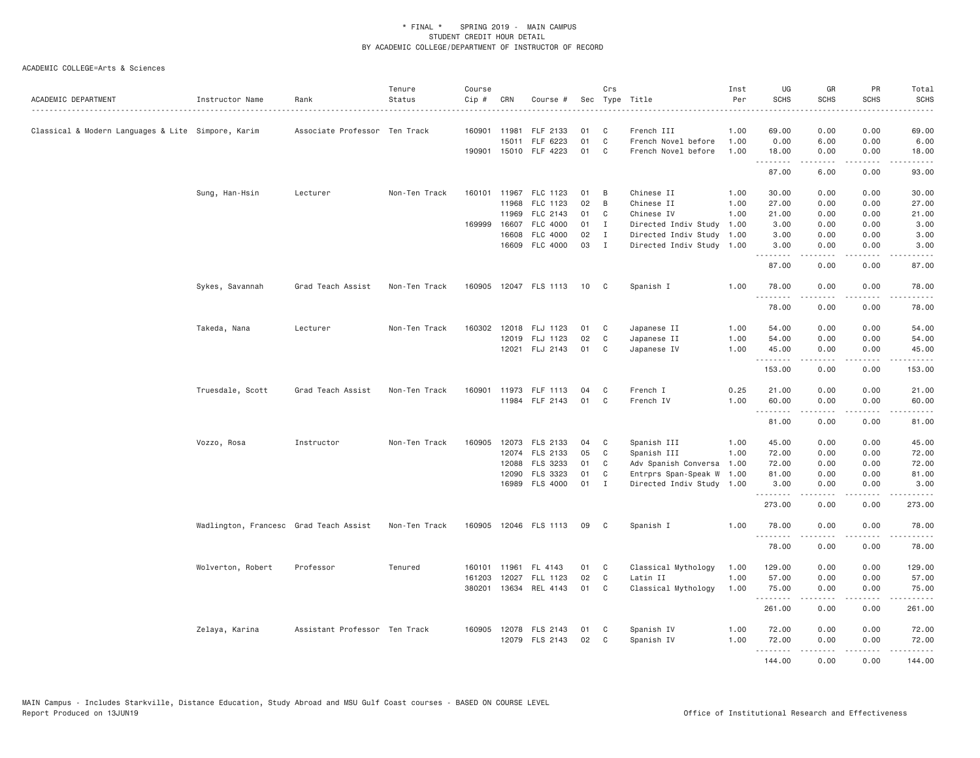| ACADEMIC DEPARTMENT                                | Instructor Name                        | Rank                          | Tenure<br>Status | Course<br>Cip # | CRN            | Course #                 |          | Crs              | Sec Type Title                                    | Inst<br>Per | UG<br><b>SCHS</b> | GR<br><b>SCHS</b>   | PR<br>SCHS                                                                                                                | Total<br><b>SCHS</b> |
|----------------------------------------------------|----------------------------------------|-------------------------------|------------------|-----------------|----------------|--------------------------|----------|------------------|---------------------------------------------------|-------------|-------------------|---------------------|---------------------------------------------------------------------------------------------------------------------------|----------------------|
| Classical & Modern Languages & Lite Simpore, Karim |                                        | Associate Professor Ten Track |                  | 160901 11981    |                | FLF 2133                 | 01       | C                | French III                                        | 1.00        | 69.00             | 0.00                | 0.00                                                                                                                      | 69.00                |
|                                                    |                                        |                               |                  |                 | 15011          | FLF 6223                 | 01       | $\mathsf{C}$     | French Novel before                               | 1.00        | 0.00              | 6.00                | 0.00                                                                                                                      | 6.00                 |
|                                                    |                                        |                               |                  |                 |                | 190901 15010 FLF 4223    | 01       | C.               | French Novel before                               | 1.00        | 18.00             | 0.00<br>$- - - - -$ | 0.00<br>.                                                                                                                 | 18.00<br>.           |
|                                                    |                                        |                               |                  |                 |                |                          |          |                  |                                                   |             | .<br>87.00        | 6.00                | 0.00                                                                                                                      | 93.00                |
|                                                    | Sung, Han-Hsin                         | Lecturer                      | Non-Ten Track    |                 |                | 160101 11967 FLC 1123    | 01       | B                | Chinese II                                        | 1.00        | 30.00             | 0.00                | 0.00                                                                                                                      | 30.00                |
|                                                    |                                        |                               |                  |                 | 11968          | FLC 1123                 | 02       | B                | Chinese II                                        | 1.00        | 27.00             | 0.00                | 0.00                                                                                                                      | 27.00                |
|                                                    |                                        |                               |                  |                 | 11969          | FLC 2143                 | 01       | C                | Chinese IV                                        | 1.00        | 21.00             | 0.00                | 0.00                                                                                                                      | 21.00                |
|                                                    |                                        |                               |                  | 169999          | 16607          | FLC 4000                 | 01       | $\mathbf{I}$     | Directed Indiv Study                              | 1.00        | 3.00              | 0.00                | 0.00                                                                                                                      | 3.00                 |
|                                                    |                                        |                               |                  |                 | 16608<br>16609 | FLC 4000<br>FLC 4000     | 02<br>03 | $\mathbf I$<br>I | Directed Indiv Study<br>Directed Indiv Study 1.00 | 1.00        | 3.00<br>3.00      | 0.00<br>0.00        | 0.00<br>0.00                                                                                                              | 3.00<br>3.00         |
|                                                    |                                        |                               |                  |                 |                |                          |          |                  |                                                   |             | .                 | -----               | $\frac{1}{2} \left( \frac{1}{2} \right) \left( \frac{1}{2} \right) \left( \frac{1}{2} \right) \left( \frac{1}{2} \right)$ | .                    |
|                                                    |                                        |                               |                  |                 |                |                          |          |                  |                                                   |             | 87.00             | 0.00                | 0.00                                                                                                                      | 87.00                |
|                                                    | Sykes, Savannah                        | Grad Teach Assist             | Non-Ten Track    |                 |                | 160905 12047 FLS 1113 10 |          | C <sub>1</sub>   | Spanish I                                         | 1.00        | 78.00<br>.        | 0.00<br>.           | 0.00<br>$  -$                                                                                                             | 78.00<br>.           |
|                                                    |                                        |                               |                  |                 |                |                          |          |                  |                                                   |             | 78.00             | 0.00                | 0.00                                                                                                                      | 78.00                |
|                                                    | Takeda, Nana                           | Lecturer                      | Non-Ten Track    |                 |                | 160302 12018 FLJ 1123    | 01       | C                | Japanese II                                       | 1.00        | 54.00             | 0.00                | 0.00                                                                                                                      | 54.00                |
|                                                    |                                        |                               |                  |                 | 12019          | FLJ 1123                 | 02       | C                | Japanese II                                       | 1.00        | 54.00             | 0.00                | 0.00                                                                                                                      | 54.00                |
|                                                    |                                        |                               |                  |                 |                | 12021 FLJ 2143           | 01       | C                | Japanese IV                                       | 1.00        | 45.00<br>.        | 0.00<br>.           | 0.00<br>$\frac{1}{2}$                                                                                                     | 45.00<br>.           |
|                                                    |                                        |                               |                  |                 |                |                          |          |                  |                                                   |             | 153.00            | 0.00                | 0.00                                                                                                                      | 153.00               |
|                                                    | Truesdale, Scott                       | Grad Teach Assist             | Non-Ten Track    |                 |                | 160901 11973 FLF 1113    | 04       | C                | French I                                          | 0.25        | 21.00             | 0.00                | 0.00                                                                                                                      | 21.00                |
|                                                    |                                        |                               |                  |                 |                | 11984 FLF 2143           | 01       | C                | French IV                                         | 1.00        | 60.00<br>.        | 0.00<br>-----       | 0.00<br>$\sim$ $\sim$ $\sim$ $\sim$                                                                                       | 60.00<br>.           |
|                                                    |                                        |                               |                  |                 |                |                          |          |                  |                                                   |             | 81.00             | 0.00                | 0.00                                                                                                                      | 81.00                |
|                                                    | Vozzo, Rosa                            | Instructor                    | Non-Ten Track    | 160905          |                | 12073 FLS 2133           | 04       | C                | Spanish III                                       | 1.00        | 45.00             | 0.00                | 0.00                                                                                                                      | 45.00                |
|                                                    |                                        |                               |                  |                 |                | 12074 FLS 2133           | 05       | C                | Spanish III                                       | 1.00        | 72.00             | 0.00                | 0.00                                                                                                                      | 72.00                |
|                                                    |                                        |                               |                  |                 | 12088          | FLS 3233                 | 01       | C                | Adv Spanish Conversa                              | 1.00        | 72.00             | 0.00                | 0.00                                                                                                                      | 72.00                |
|                                                    |                                        |                               |                  |                 | 12090          | FLS 3323                 | 01       | C                | Entrprs Span-Speak W                              | 1.00        | 81.00             | 0.00                | 0.00                                                                                                                      | 81.00                |
|                                                    |                                        |                               |                  |                 |                | 16989 FLS 4000           | 01       | $\mathbf{I}$     | Directed Indiv Study 1.00                         |             | 3.00<br>.         | 0.00<br>.           | 0.00<br>.                                                                                                                 | 3.00<br>.            |
|                                                    |                                        |                               |                  |                 |                |                          |          |                  |                                                   |             | 273.00            | 0.00                | 0.00                                                                                                                      | 273.00               |
|                                                    | Wadlington, Francesc Grad Teach Assist |                               | Non-Ten Track    | 160905          |                | 12046 FLS 1113           | 09       | C                | Spanish I                                         | 1.00        | 78.00<br>.        | 0.00                | 0.00                                                                                                                      | 78.00                |
|                                                    |                                        |                               |                  |                 |                |                          |          |                  |                                                   |             | 78.00             | 0.00                | 0.00                                                                                                                      | 78.00                |
|                                                    | Wolverton, Robert                      | Professor                     | Tenured          | 160101          | 11961          | FL 4143                  | 01       | C                | Classical Mythology                               | 1.00        | 129.00            | 0.00                | 0.00                                                                                                                      | 129.00               |
|                                                    |                                        |                               |                  | 161203          | 12027          | FLL 1123                 | 02       | C                | Latin II                                          | 1.00        | 57.00             | 0.00                | 0.00                                                                                                                      | 57.00                |
|                                                    |                                        |                               |                  |                 | 380201 13634   | REL 4143                 | 01       | C                | Classical Mythology                               | 1.00        | 75.00<br>.        | 0.00<br>-----       | 0.00<br>$\sim$ $\sim$ $\sim$                                                                                              | 75.00<br>.           |
|                                                    |                                        |                               |                  |                 |                |                          |          |                  |                                                   |             | 261.00            | 0.00                | 0.00                                                                                                                      | 261.00               |
|                                                    | Zelaya, Karina                         | Assistant Professor Ten Track |                  |                 |                | 160905 12078 FLS 2143    | 01       | C                | Spanish IV                                        | 1.00        | 72.00             | 0.00                | 0.00                                                                                                                      | 72.00                |
|                                                    |                                        |                               |                  |                 |                | 12079 FLS 2143           | 02       | C                | Spanish IV                                        | 1.00        | 72.00             | 0.00                | 0.00                                                                                                                      | 72.00                |
|                                                    |                                        |                               |                  |                 |                |                          |          |                  |                                                   |             | <u>.</u>          | $- - - - -$         | .                                                                                                                         | $- - - - - - -$      |
|                                                    |                                        |                               |                  |                 |                |                          |          |                  |                                                   |             | 144.00            | 0.00                | 0.00                                                                                                                      | 144,00               |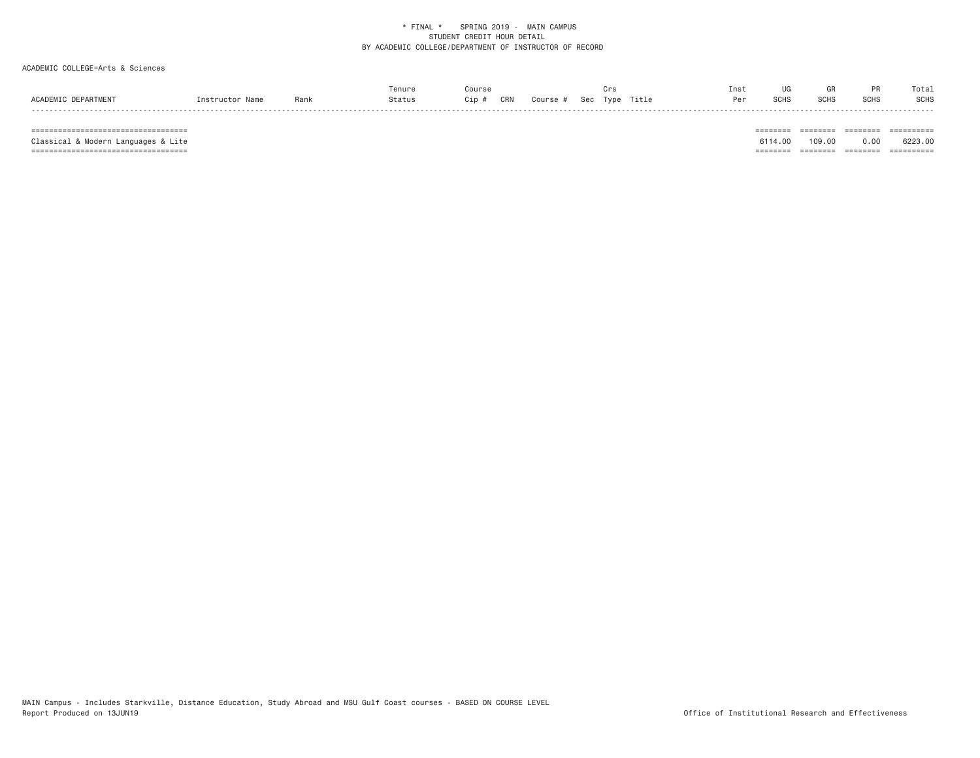# ACADEMIC COLLEGE=Arts & Sciences

|                     |                |     | Tenure |    |     |        |     |      |       | Inst |                |                  |             | Totai       |
|---------------------|----------------|-----|--------|----|-----|--------|-----|------|-------|------|----------------|------------------|-------------|-------------|
| ACADEMIC DEPARTMENT | Instructor Nam | Ran | status | ip | CRN | Course | Sec | Type | Title | Per  | הוות ה<br>o∪⊓∖ | SCH <sup>5</sup> | <b>SCHS</b> | <b>SCHS</b> |
|                     |                |     |        |    |     |        |     |      |       |      |                |                  |             | -----       |

 =================================== ======== ======== ======== ========== Classical & Modern Languages & Lite 6114.00 109.00 0.00 6223.00 =================================== ======== ======== ======== ==========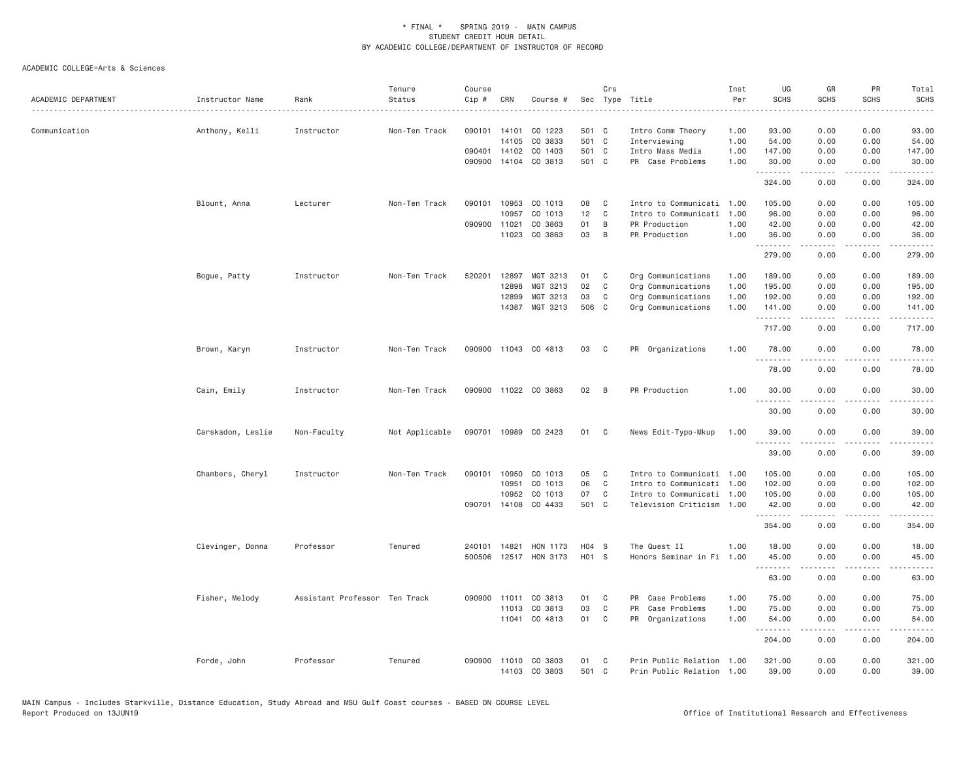| ACADEMIC DEPARTMENT | Instructor Name   | Rank                          | Tenure<br>Status | Course<br>Cip # | CRN          | Course #                       |             | Crs          | Sec Type Title                                         | Inst<br>Per | UG<br><b>SCHS</b> | GR<br><b>SCHS</b> | PR<br>SCHS                                                                                                                        | Total<br><b>SCHS</b>                                                                                                                                                                     |
|---------------------|-------------------|-------------------------------|------------------|-----------------|--------------|--------------------------------|-------------|--------------|--------------------------------------------------------|-------------|-------------------|-------------------|-----------------------------------------------------------------------------------------------------------------------------------|------------------------------------------------------------------------------------------------------------------------------------------------------------------------------------------|
| Communication       | Anthony, Kelli    | Instructor                    | Non-Ten Track    | 090101 14101    |              | CO 1223                        | 501 C       |              | Intro Comm Theory                                      | 1.00        | 93.00             | 0.00              | 0.00                                                                                                                              | 93.00                                                                                                                                                                                    |
|                     |                   |                               |                  |                 | 14105        | CO 3833                        | 501 C       |              | Interviewing                                           | 1.00        | 54.00             | 0.00              | 0.00                                                                                                                              | 54.00                                                                                                                                                                                    |
|                     |                   |                               |                  |                 | 090401 14102 | CO 1403                        | 501 C       |              | Intro Mass Media                                       | 1.00        | 147.00            | 0.00              | 0.00                                                                                                                              | 147.00                                                                                                                                                                                   |
|                     |                   |                               |                  | 090900          |              | 14104 CO 3813                  | 501 C       |              | PR Case Problems                                       | 1.00        | 30.00<br>.        | 0.00<br>.         | 0.00                                                                                                                              | 30.00<br>$\frac{1}{2} \left( \frac{1}{2} \right) \left( \frac{1}{2} \right) \left( \frac{1}{2} \right) \left( \frac{1}{2} \right) \left( \frac{1}{2} \right)$                            |
|                     |                   |                               |                  |                 |              |                                |             |              |                                                        |             | 324.00            | 0.00              | 0.00                                                                                                                              | 324.00                                                                                                                                                                                   |
|                     | Blount, Anna      | Lecturer                      | Non-Ten Track    |                 | 090101 10953 | CO 1013                        | 08          | C            | Intro to Communicati                                   | 1.00        | 105.00            | 0.00              | 0.00                                                                                                                              | 105.00                                                                                                                                                                                   |
|                     |                   |                               |                  |                 | 10957        | CO 1013                        | 12          | C            | Intro to Communicati                                   | 1.00        | 96.00             | 0.00              | 0.00                                                                                                                              | 96.00                                                                                                                                                                                    |
|                     |                   |                               |                  | 090900          | 11021        | CO 3863                        | 01          | B            | PR Production                                          | 1.00        | 42.00             | 0.00              | 0.00                                                                                                                              | 42.00                                                                                                                                                                                    |
|                     |                   |                               |                  |                 | 11023        | CO 3863                        | 03          | B            | PR Production                                          | 1.00        | 36.00<br>.        | 0.00<br>.         | 0.00<br>$\sim$ $\sim$ $\sim$                                                                                                      | 36.00<br>.                                                                                                                                                                               |
|                     |                   |                               |                  |                 |              |                                |             |              |                                                        |             | 279.00            | 0.00              | 0.00                                                                                                                              | 279.00                                                                                                                                                                                   |
|                     | Bogue, Patty      | Instructor                    | Non-Ten Track    | 520201          | 12897        | MGT 3213                       | 01          | C            | Org Communications                                     | 1.00        | 189.00            | 0.00              | 0.00                                                                                                                              | 189.00                                                                                                                                                                                   |
|                     |                   |                               |                  |                 | 12898        | MGT 3213                       | 02          | $\mathsf{C}$ | Org Communications                                     | 1.00        | 195.00            | 0.00              | 0.00                                                                                                                              | 195.00                                                                                                                                                                                   |
|                     |                   |                               |                  |                 | 12899        | MGT 3213                       | 03          | C            | Org Communications                                     | 1.00        | 192.00            | 0.00              | 0.00                                                                                                                              | 192.00                                                                                                                                                                                   |
|                     |                   |                               |                  |                 | 14387        | MGT 3213                       | 506 C       |              | Org Communications                                     | 1.00        | 141.00<br>.       | 0.00<br><u>.</u>  | 0.00<br>.                                                                                                                         | 141.00<br>$- - - - - -$                                                                                                                                                                  |
|                     |                   |                               |                  |                 |              |                                |             |              |                                                        |             | 717.00            | 0.00              | 0.00                                                                                                                              | 717.00                                                                                                                                                                                   |
|                     | Brown, Karyn      | Instructor                    | Non-Ten Track    | 090900          |              | 11043 CO 4813                  | 03          | C            | PR Organizations                                       | 1.00        | 78.00<br>.        | 0.00<br>.         | 0.00                                                                                                                              | 78.00<br>.                                                                                                                                                                               |
|                     |                   |                               |                  |                 |              |                                |             |              |                                                        |             | 78.00             | 0.00              | 0.00                                                                                                                              | 78.00                                                                                                                                                                                    |
|                     | Cain, Emily       | Instructor                    | Non-Ten Track    |                 |              | 090900 11022 CO 3863           | 02          | B            | PR Production                                          | 1.00        | 30.00             | 0.00              | 0.00                                                                                                                              | 30.00                                                                                                                                                                                    |
|                     |                   |                               |                  |                 |              |                                |             |              |                                                        |             | 30.00             | 0.00              | 0.00                                                                                                                              | 30.00                                                                                                                                                                                    |
|                     | Carskadon, Leslie | Non-Faculty                   | Not Applicable   |                 |              | 090701 10989 CO 2423           | 01          | $\mathbf{C}$ | News Edit-Typo-Mkup                                    | 1.00        | 39.00             | 0.00              | 0.00                                                                                                                              | 39.00                                                                                                                                                                                    |
|                     |                   |                               |                  |                 |              |                                |             |              |                                                        |             | .<br>39.00        | 0.00              | 0.00                                                                                                                              | 39.00                                                                                                                                                                                    |
|                     | Chambers, Cheryl  | Instructor                    | Non-Ten Track    |                 | 090101 10950 | CO 1013                        | 05          | C            | Intro to Communicati 1.00                              |             | 105.00            | 0.00              | 0.00                                                                                                                              | 105.00                                                                                                                                                                                   |
|                     |                   |                               |                  |                 | 10951        | CO 1013                        | 06          | $\mathsf{C}$ | Intro to Communicati                                   | 1.00        | 102.00            | 0.00              | 0.00                                                                                                                              | 102.00                                                                                                                                                                                   |
|                     |                   |                               |                  |                 | 10952        | CO 1013                        | 07          | C            | Intro to Communicati 1.00                              |             | 105.00            | 0.00              | 0.00                                                                                                                              | 105.00                                                                                                                                                                                   |
|                     |                   |                               |                  |                 | 090701 14108 | CO 4433                        | 501 C       |              | Television Criticism 1.00                              |             | 42.00<br>.        | 0.00<br>.         | 0.00<br>$\frac{1}{2}$                                                                                                             | 42.00<br>$\frac{1}{2} \left( \frac{1}{2} \right) \left( \frac{1}{2} \right) \left( \frac{1}{2} \right) \left( \frac{1}{2} \right) \left( \frac{1}{2} \right) \left( \frac{1}{2} \right)$ |
|                     |                   |                               |                  |                 |              |                                |             |              |                                                        |             | 354.00            | 0.00              | 0.00                                                                                                                              | 354.00                                                                                                                                                                                   |
|                     | Clevinger, Donna  | Professor                     | Tenured          | 240101          | 14821        | HON 1173                       | H04 S       |              | The Quest II                                           | 1.00        | 18.00             | 0.00              | 0.00                                                                                                                              | 18.00                                                                                                                                                                                    |
|                     |                   |                               |                  | 500506          |              | 12517 HON 3173                 | H01 S       |              | Honors Seminar in Fi 1.00                              |             | 45.00<br>.        | 0.00<br>.         | 0.00<br>$\frac{1}{2} \left( \frac{1}{2} \right) \left( \frac{1}{2} \right) \left( \frac{1}{2} \right) \left( \frac{1}{2} \right)$ | 45.00<br>.                                                                                                                                                                               |
|                     |                   |                               |                  |                 |              |                                |             |              |                                                        |             | 63.00             | 0.00              | 0.00                                                                                                                              | 63.00                                                                                                                                                                                    |
|                     | Fisher, Melody    | Assistant Professor Ten Track |                  | 090900 11011    |              | CO 3813                        | 01          | C            | PR Case Problems                                       | 1.00        | 75.00             | 0.00              | 0.00                                                                                                                              | 75.00                                                                                                                                                                                    |
|                     |                   |                               |                  |                 | 11013        | CO 3813                        | 03          | C            | PR Case Problems                                       | 1.00        | 75.00             | 0.00              | 0.00                                                                                                                              | 75.00                                                                                                                                                                                    |
|                     |                   |                               |                  |                 |              | 11041 CO 4813                  | 01          | $\mathsf{C}$ | PR Organizations                                       | 1.00        | 54.00<br>.        | 0.00<br>-----     | 0.00<br>.                                                                                                                         | 54.00<br>.                                                                                                                                                                               |
|                     |                   |                               |                  |                 |              |                                |             |              |                                                        |             | 204.00            | 0.00              | 0.00                                                                                                                              | 204.00                                                                                                                                                                                   |
|                     | Forde, John       | Professor                     | Tenured          | 090900          |              | 11010 CO 3803<br>14103 CO 3803 | 01<br>501 C | C            | Prin Public Relation 1.00<br>Prin Public Relation 1.00 |             | 321.00<br>39.00   | 0.00<br>0.00      | 0.00<br>0.00                                                                                                                      | 321.00<br>39.00                                                                                                                                                                          |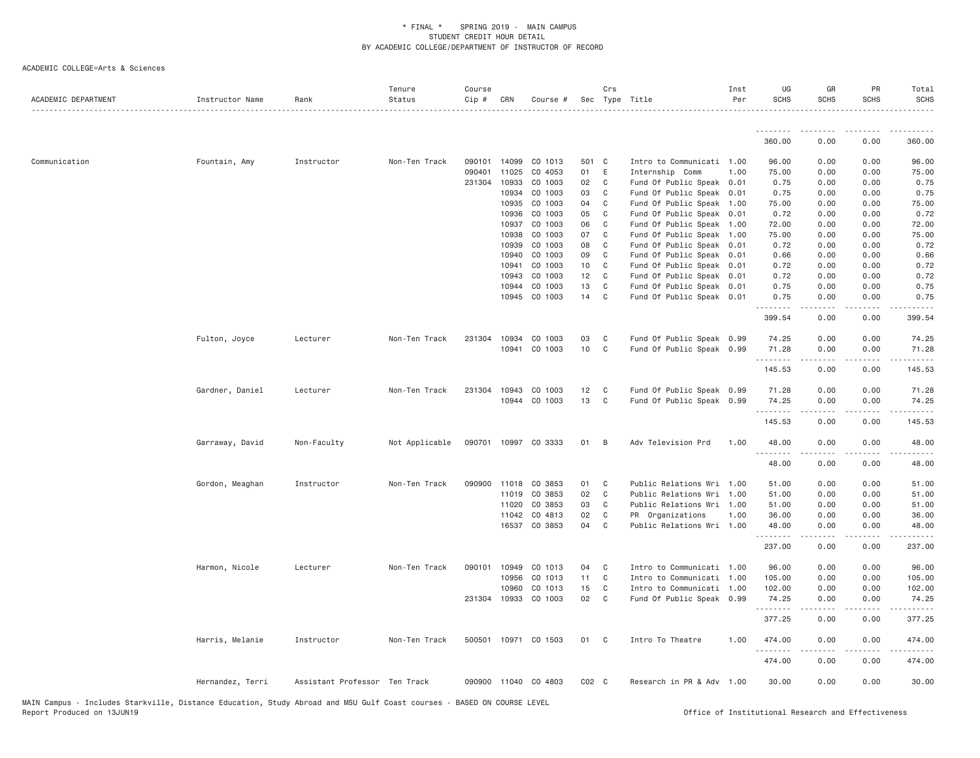| .<br>. <u>.</u><br>.<br>$\frac{1}{2} \left( \frac{1}{2} \right) \left( \frac{1}{2} \right) \left( \frac{1}{2} \right) \left( \frac{1}{2} \right) \left( \frac{1}{2} \right)$<br>360.00<br>360.00<br>0.00<br>0.00<br>96.00<br>Communication<br>Fountain, Amy<br>Instructor<br>Non-Ten Track<br>090101<br>14099<br>CO 1013<br>501 C<br>Intro to Communicati 1.00<br>96.00<br>0.00<br>0.00<br>11025<br>01<br>090401<br>CO 4053<br>E<br>Internship Comm<br>1.00<br>75.00<br>0.00<br>0.00<br>75.00<br>231304 10933<br>CO 1003<br>02<br>0.75<br>C<br>Fund Of Public Speak 0.01<br>0.75<br>0.00<br>0.00<br>10934<br>CO 1003<br>03<br>Fund Of Public Speak 0.01<br>0.75<br>0.00<br>0.00<br>0.75<br>C<br>10935<br>CO 1003<br>04<br>Fund Of Public Speak 1.00<br>75.00<br>0.00<br>75.00<br>C.<br>0.00<br>10936<br>CO 1003<br>05<br>C <sub>1</sub><br>Fund Of Public Speak 0.01<br>0.72<br>0.00<br>0.00<br>0.72<br>10937<br>CO 1003<br>06<br>C<br>Fund Of Public Speak 1.00<br>72.00<br>0.00<br>0.00<br>72.00<br>75.00<br>10938<br>CO 1003<br>07<br>Fund Of Public Speak 1.00<br>75.00<br>0.00<br>0.00<br>C<br>10939<br>CO 1003<br>08<br>C<br>Fund Of Public Speak 0.01<br>0.72<br>0.00<br>0.00<br>0.72<br>09<br>0.66<br>10940<br>CO 1003<br>C<br>Fund Of Public Speak 0.01<br>0.66<br>0.00<br>0.00<br>10<br>10941<br>CO 1003<br>$\mathbf{C}$<br>Fund Of Public Speak 0.01<br>0.72<br>0.00<br>0.00<br>0.72<br>Fund Of Public Speak 0.01<br>10943<br>CO 1003<br>12<br>C<br>0.72<br>0.00<br>0.72<br>0.00<br>13<br>10944<br>CO 1003<br>C<br>Fund Of Public Speak 0.01<br>0.75<br>0.00<br>0.00<br>0.75<br>14 C<br>0.75<br>10945<br>CO 1003<br>Fund Of Public Speak 0.01<br>0.75<br>0.00<br>0.00<br>399.54<br>399.54<br>0.00<br>0.00<br>231304 10934<br>CO 1003<br>03<br>Fund Of Public Speak 0.99<br>0.00<br>0.00<br>74.25<br>Fulton, Joyce<br>Lecturer<br>Non-Ten Track<br>C<br>74.25<br>10941<br>CO 1003<br>10<br>$\mathbf{C}$<br>Fund Of Public Speak 0.99<br>71.28<br>0.00<br>0.00<br>71.28<br>.<br>.<br>.<br>.<br>0.00<br>145.53<br>145.53<br>0.00<br>Fund Of Public Speak 0.99<br>Gardner, Daniel<br>Non-Ten Track<br>231304<br>10943<br>CO 1003<br>12<br>$\mathbf{C}$<br>71.28<br>0.00<br>0.00<br>71.28<br>Lecturer<br>13<br>10944 CO 1003<br>$\mathbf{C}$<br>Fund Of Public Speak 0.99<br>74.25<br>0.00<br>0.00<br>74.25<br>145.53<br>0.00<br>0.00<br>145.53<br>Garraway, David<br>Not Applicable<br>090701 10997 CO 3333<br>01<br>$\overline{B}$<br>Adv Television Prd<br>1,00<br>48.00<br>0.00<br>0.00<br>48.00<br>Non-Faculty<br>.<br>48.00<br>0.00<br>0.00<br>48.00<br>01<br>51.00<br>Gordon, Meaghan<br>Instructor<br>Non-Ten Track<br>090900 11018<br>CO 3853<br>$\mathbf{C}$<br>Public Relations Wri 1.00<br>51.00<br>0.00<br>0.00<br>CO 3853<br>02<br>$\mathbf{C}$<br>0.00<br>11019<br>Public Relations Wri 1.00<br>51.00<br>0.00<br>51.00<br>CO 3853<br>03<br>51.00<br>11020<br>C<br>Public Relations Wri 1.00<br>51.00<br>0.00<br>0.00<br>02<br>11042<br>CO 4813<br>C<br>PR Organizations<br>1.00<br>36.00<br>0.00<br>0.00<br>36.00<br>16537 CO 3853<br>04<br>48.00<br>C<br>Public Relations Wri 1.00<br>48.00<br>0.00<br>0.00<br>.<br>237.00<br>0.00<br>0.00<br>237.00<br>Harmon, Nicole<br>Lecturer<br>Non-Ten Track<br>090101 10949<br>CO 1013<br>04<br>Intro to Communicati 1.00<br>96.00<br>0.00<br>0.00<br>96.00<br>$\mathbf{C}$<br>10956<br>CO 1013<br>11<br>$\mathbf{C}$<br>Intro to Communicati 1.00<br>105.00<br>0.00<br>0.00<br>105.00<br>10960<br>CO 1013<br>15<br>$\mathbf{C}$<br>102.00<br>0.00<br>0.00<br>102.00<br>Intro to Communicati 1.00<br>02<br>231304 10933<br>CO 1003<br>$\mathbb{C}$<br>Fund Of Public Speak 0.99<br>0.00<br>0.00<br>74.25<br>74.25<br>.<br>$\frac{1}{2}$<br>0.00<br>0.00<br>377.25<br>377.25<br>500501 10971 CO 1503<br>01 C<br>Intro To Theatre<br>0.00<br>474.00<br>Harris, Melanie<br>Instructor<br>Non-Ten Track<br>1.00<br>474.00<br>0.00<br>474.00<br>0.00<br>0.00<br>474.00<br>0.00<br>0.00<br>30.00<br>Hernandez, Terri<br>Assistant Professor Ten Track<br>090900 11040 CO 4803<br>$CO2$ $C$<br>Research in PR & Adv 1.00<br>30.00 | ACADEMIC DEPARTMENT | Instructor Name | Rank | Tenure<br>Status | Course<br>Cip # | CRN | Course # | Crs | Sec Type Title | Inst<br>Per | UG<br><b>SCHS</b> | GR<br><b>SCHS</b> | PR<br><b>SCHS</b> | Total<br><b>SCHS</b> |
|------------------------------------------------------------------------------------------------------------------------------------------------------------------------------------------------------------------------------------------------------------------------------------------------------------------------------------------------------------------------------------------------------------------------------------------------------------------------------------------------------------------------------------------------------------------------------------------------------------------------------------------------------------------------------------------------------------------------------------------------------------------------------------------------------------------------------------------------------------------------------------------------------------------------------------------------------------------------------------------------------------------------------------------------------------------------------------------------------------------------------------------------------------------------------------------------------------------------------------------------------------------------------------------------------------------------------------------------------------------------------------------------------------------------------------------------------------------------------------------------------------------------------------------------------------------------------------------------------------------------------------------------------------------------------------------------------------------------------------------------------------------------------------------------------------------------------------------------------------------------------------------------------------------------------------------------------------------------------------------------------------------------------------------------------------------------------------------------------------------------------------------------------------------------------------------------------------------------------------------------------------------------------------------------------------------------------------------------------------------------------------------------------------------------------------------------------------------------------------------------------------------------------------------------------------------------------------------------------------------------------------------------------------------------------------------------------------------------------------------------------------------------------------------------------------------------------------------------------------------------------------------------------------------------------------------------------------------------------------------------------------------------------------------------------------------------------------------------------------------------------------------------------------------------------------------------------------------------------------------------------------------------------------------------------------------------------------------------------------------------------------------------------------------------------------------------------------------------------------------------------------------------------------------------------------------------------------------------------------------------------------------------------------------------------------------------------------------------------------------------------------------------------------------------------------------------------------------------------------------------------------------------------------------------------------------------------------------------------------------------------------------------------------------------------------------------------------------|---------------------|-----------------|------|------------------|-----------------|-----|----------|-----|----------------|-------------|-------------------|-------------------|-------------------|----------------------|
|                                                                                                                                                                                                                                                                                                                                                                                                                                                                                                                                                                                                                                                                                                                                                                                                                                                                                                                                                                                                                                                                                                                                                                                                                                                                                                                                                                                                                                                                                                                                                                                                                                                                                                                                                                                                                                                                                                                                                                                                                                                                                                                                                                                                                                                                                                                                                                                                                                                                                                                                                                                                                                                                                                                                                                                                                                                                                                                                                                                                                                                                                                                                                                                                                                                                                                                                                                                                                                                                                                                                                                                                                                                                                                                                                                                                                                                                                                                                                                                                                                                                                          |                     |                 |      |                  |                 |     |          |     |                |             |                   |                   |                   |                      |
|                                                                                                                                                                                                                                                                                                                                                                                                                                                                                                                                                                                                                                                                                                                                                                                                                                                                                                                                                                                                                                                                                                                                                                                                                                                                                                                                                                                                                                                                                                                                                                                                                                                                                                                                                                                                                                                                                                                                                                                                                                                                                                                                                                                                                                                                                                                                                                                                                                                                                                                                                                                                                                                                                                                                                                                                                                                                                                                                                                                                                                                                                                                                                                                                                                                                                                                                                                                                                                                                                                                                                                                                                                                                                                                                                                                                                                                                                                                                                                                                                                                                                          |                     |                 |      |                  |                 |     |          |     |                |             |                   |                   |                   |                      |
|                                                                                                                                                                                                                                                                                                                                                                                                                                                                                                                                                                                                                                                                                                                                                                                                                                                                                                                                                                                                                                                                                                                                                                                                                                                                                                                                                                                                                                                                                                                                                                                                                                                                                                                                                                                                                                                                                                                                                                                                                                                                                                                                                                                                                                                                                                                                                                                                                                                                                                                                                                                                                                                                                                                                                                                                                                                                                                                                                                                                                                                                                                                                                                                                                                                                                                                                                                                                                                                                                                                                                                                                                                                                                                                                                                                                                                                                                                                                                                                                                                                                                          |                     |                 |      |                  |                 |     |          |     |                |             |                   |                   |                   |                      |
|                                                                                                                                                                                                                                                                                                                                                                                                                                                                                                                                                                                                                                                                                                                                                                                                                                                                                                                                                                                                                                                                                                                                                                                                                                                                                                                                                                                                                                                                                                                                                                                                                                                                                                                                                                                                                                                                                                                                                                                                                                                                                                                                                                                                                                                                                                                                                                                                                                                                                                                                                                                                                                                                                                                                                                                                                                                                                                                                                                                                                                                                                                                                                                                                                                                                                                                                                                                                                                                                                                                                                                                                                                                                                                                                                                                                                                                                                                                                                                                                                                                                                          |                     |                 |      |                  |                 |     |          |     |                |             |                   |                   |                   |                      |
|                                                                                                                                                                                                                                                                                                                                                                                                                                                                                                                                                                                                                                                                                                                                                                                                                                                                                                                                                                                                                                                                                                                                                                                                                                                                                                                                                                                                                                                                                                                                                                                                                                                                                                                                                                                                                                                                                                                                                                                                                                                                                                                                                                                                                                                                                                                                                                                                                                                                                                                                                                                                                                                                                                                                                                                                                                                                                                                                                                                                                                                                                                                                                                                                                                                                                                                                                                                                                                                                                                                                                                                                                                                                                                                                                                                                                                                                                                                                                                                                                                                                                          |                     |                 |      |                  |                 |     |          |     |                |             |                   |                   |                   |                      |
|                                                                                                                                                                                                                                                                                                                                                                                                                                                                                                                                                                                                                                                                                                                                                                                                                                                                                                                                                                                                                                                                                                                                                                                                                                                                                                                                                                                                                                                                                                                                                                                                                                                                                                                                                                                                                                                                                                                                                                                                                                                                                                                                                                                                                                                                                                                                                                                                                                                                                                                                                                                                                                                                                                                                                                                                                                                                                                                                                                                                                                                                                                                                                                                                                                                                                                                                                                                                                                                                                                                                                                                                                                                                                                                                                                                                                                                                                                                                                                                                                                                                                          |                     |                 |      |                  |                 |     |          |     |                |             |                   |                   |                   |                      |
|                                                                                                                                                                                                                                                                                                                                                                                                                                                                                                                                                                                                                                                                                                                                                                                                                                                                                                                                                                                                                                                                                                                                                                                                                                                                                                                                                                                                                                                                                                                                                                                                                                                                                                                                                                                                                                                                                                                                                                                                                                                                                                                                                                                                                                                                                                                                                                                                                                                                                                                                                                                                                                                                                                                                                                                                                                                                                                                                                                                                                                                                                                                                                                                                                                                                                                                                                                                                                                                                                                                                                                                                                                                                                                                                                                                                                                                                                                                                                                                                                                                                                          |                     |                 |      |                  |                 |     |          |     |                |             |                   |                   |                   |                      |
|                                                                                                                                                                                                                                                                                                                                                                                                                                                                                                                                                                                                                                                                                                                                                                                                                                                                                                                                                                                                                                                                                                                                                                                                                                                                                                                                                                                                                                                                                                                                                                                                                                                                                                                                                                                                                                                                                                                                                                                                                                                                                                                                                                                                                                                                                                                                                                                                                                                                                                                                                                                                                                                                                                                                                                                                                                                                                                                                                                                                                                                                                                                                                                                                                                                                                                                                                                                                                                                                                                                                                                                                                                                                                                                                                                                                                                                                                                                                                                                                                                                                                          |                     |                 |      |                  |                 |     |          |     |                |             |                   |                   |                   |                      |
|                                                                                                                                                                                                                                                                                                                                                                                                                                                                                                                                                                                                                                                                                                                                                                                                                                                                                                                                                                                                                                                                                                                                                                                                                                                                                                                                                                                                                                                                                                                                                                                                                                                                                                                                                                                                                                                                                                                                                                                                                                                                                                                                                                                                                                                                                                                                                                                                                                                                                                                                                                                                                                                                                                                                                                                                                                                                                                                                                                                                                                                                                                                                                                                                                                                                                                                                                                                                                                                                                                                                                                                                                                                                                                                                                                                                                                                                                                                                                                                                                                                                                          |                     |                 |      |                  |                 |     |          |     |                |             |                   |                   |                   |                      |
|                                                                                                                                                                                                                                                                                                                                                                                                                                                                                                                                                                                                                                                                                                                                                                                                                                                                                                                                                                                                                                                                                                                                                                                                                                                                                                                                                                                                                                                                                                                                                                                                                                                                                                                                                                                                                                                                                                                                                                                                                                                                                                                                                                                                                                                                                                                                                                                                                                                                                                                                                                                                                                                                                                                                                                                                                                                                                                                                                                                                                                                                                                                                                                                                                                                                                                                                                                                                                                                                                                                                                                                                                                                                                                                                                                                                                                                                                                                                                                                                                                                                                          |                     |                 |      |                  |                 |     |          |     |                |             |                   |                   |                   |                      |
|                                                                                                                                                                                                                                                                                                                                                                                                                                                                                                                                                                                                                                                                                                                                                                                                                                                                                                                                                                                                                                                                                                                                                                                                                                                                                                                                                                                                                                                                                                                                                                                                                                                                                                                                                                                                                                                                                                                                                                                                                                                                                                                                                                                                                                                                                                                                                                                                                                                                                                                                                                                                                                                                                                                                                                                                                                                                                                                                                                                                                                                                                                                                                                                                                                                                                                                                                                                                                                                                                                                                                                                                                                                                                                                                                                                                                                                                                                                                                                                                                                                                                          |                     |                 |      |                  |                 |     |          |     |                |             |                   |                   |                   |                      |
|                                                                                                                                                                                                                                                                                                                                                                                                                                                                                                                                                                                                                                                                                                                                                                                                                                                                                                                                                                                                                                                                                                                                                                                                                                                                                                                                                                                                                                                                                                                                                                                                                                                                                                                                                                                                                                                                                                                                                                                                                                                                                                                                                                                                                                                                                                                                                                                                                                                                                                                                                                                                                                                                                                                                                                                                                                                                                                                                                                                                                                                                                                                                                                                                                                                                                                                                                                                                                                                                                                                                                                                                                                                                                                                                                                                                                                                                                                                                                                                                                                                                                          |                     |                 |      |                  |                 |     |          |     |                |             |                   |                   |                   |                      |
|                                                                                                                                                                                                                                                                                                                                                                                                                                                                                                                                                                                                                                                                                                                                                                                                                                                                                                                                                                                                                                                                                                                                                                                                                                                                                                                                                                                                                                                                                                                                                                                                                                                                                                                                                                                                                                                                                                                                                                                                                                                                                                                                                                                                                                                                                                                                                                                                                                                                                                                                                                                                                                                                                                                                                                                                                                                                                                                                                                                                                                                                                                                                                                                                                                                                                                                                                                                                                                                                                                                                                                                                                                                                                                                                                                                                                                                                                                                                                                                                                                                                                          |                     |                 |      |                  |                 |     |          |     |                |             |                   |                   |                   |                      |
|                                                                                                                                                                                                                                                                                                                                                                                                                                                                                                                                                                                                                                                                                                                                                                                                                                                                                                                                                                                                                                                                                                                                                                                                                                                                                                                                                                                                                                                                                                                                                                                                                                                                                                                                                                                                                                                                                                                                                                                                                                                                                                                                                                                                                                                                                                                                                                                                                                                                                                                                                                                                                                                                                                                                                                                                                                                                                                                                                                                                                                                                                                                                                                                                                                                                                                                                                                                                                                                                                                                                                                                                                                                                                                                                                                                                                                                                                                                                                                                                                                                                                          |                     |                 |      |                  |                 |     |          |     |                |             |                   |                   |                   |                      |
|                                                                                                                                                                                                                                                                                                                                                                                                                                                                                                                                                                                                                                                                                                                                                                                                                                                                                                                                                                                                                                                                                                                                                                                                                                                                                                                                                                                                                                                                                                                                                                                                                                                                                                                                                                                                                                                                                                                                                                                                                                                                                                                                                                                                                                                                                                                                                                                                                                                                                                                                                                                                                                                                                                                                                                                                                                                                                                                                                                                                                                                                                                                                                                                                                                                                                                                                                                                                                                                                                                                                                                                                                                                                                                                                                                                                                                                                                                                                                                                                                                                                                          |                     |                 |      |                  |                 |     |          |     |                |             |                   |                   |                   |                      |
|                                                                                                                                                                                                                                                                                                                                                                                                                                                                                                                                                                                                                                                                                                                                                                                                                                                                                                                                                                                                                                                                                                                                                                                                                                                                                                                                                                                                                                                                                                                                                                                                                                                                                                                                                                                                                                                                                                                                                                                                                                                                                                                                                                                                                                                                                                                                                                                                                                                                                                                                                                                                                                                                                                                                                                                                                                                                                                                                                                                                                                                                                                                                                                                                                                                                                                                                                                                                                                                                                                                                                                                                                                                                                                                                                                                                                                                                                                                                                                                                                                                                                          |                     |                 |      |                  |                 |     |          |     |                |             |                   |                   |                   |                      |
|                                                                                                                                                                                                                                                                                                                                                                                                                                                                                                                                                                                                                                                                                                                                                                                                                                                                                                                                                                                                                                                                                                                                                                                                                                                                                                                                                                                                                                                                                                                                                                                                                                                                                                                                                                                                                                                                                                                                                                                                                                                                                                                                                                                                                                                                                                                                                                                                                                                                                                                                                                                                                                                                                                                                                                                                                                                                                                                                                                                                                                                                                                                                                                                                                                                                                                                                                                                                                                                                                                                                                                                                                                                                                                                                                                                                                                                                                                                                                                                                                                                                                          |                     |                 |      |                  |                 |     |          |     |                |             |                   |                   |                   |                      |
|                                                                                                                                                                                                                                                                                                                                                                                                                                                                                                                                                                                                                                                                                                                                                                                                                                                                                                                                                                                                                                                                                                                                                                                                                                                                                                                                                                                                                                                                                                                                                                                                                                                                                                                                                                                                                                                                                                                                                                                                                                                                                                                                                                                                                                                                                                                                                                                                                                                                                                                                                                                                                                                                                                                                                                                                                                                                                                                                                                                                                                                                                                                                                                                                                                                                                                                                                                                                                                                                                                                                                                                                                                                                                                                                                                                                                                                                                                                                                                                                                                                                                          |                     |                 |      |                  |                 |     |          |     |                |             |                   |                   |                   |                      |
|                                                                                                                                                                                                                                                                                                                                                                                                                                                                                                                                                                                                                                                                                                                                                                                                                                                                                                                                                                                                                                                                                                                                                                                                                                                                                                                                                                                                                                                                                                                                                                                                                                                                                                                                                                                                                                                                                                                                                                                                                                                                                                                                                                                                                                                                                                                                                                                                                                                                                                                                                                                                                                                                                                                                                                                                                                                                                                                                                                                                                                                                                                                                                                                                                                                                                                                                                                                                                                                                                                                                                                                                                                                                                                                                                                                                                                                                                                                                                                                                                                                                                          |                     |                 |      |                  |                 |     |          |     |                |             |                   |                   |                   |                      |
|                                                                                                                                                                                                                                                                                                                                                                                                                                                                                                                                                                                                                                                                                                                                                                                                                                                                                                                                                                                                                                                                                                                                                                                                                                                                                                                                                                                                                                                                                                                                                                                                                                                                                                                                                                                                                                                                                                                                                                                                                                                                                                                                                                                                                                                                                                                                                                                                                                                                                                                                                                                                                                                                                                                                                                                                                                                                                                                                                                                                                                                                                                                                                                                                                                                                                                                                                                                                                                                                                                                                                                                                                                                                                                                                                                                                                                                                                                                                                                                                                                                                                          |                     |                 |      |                  |                 |     |          |     |                |             |                   |                   |                   |                      |
|                                                                                                                                                                                                                                                                                                                                                                                                                                                                                                                                                                                                                                                                                                                                                                                                                                                                                                                                                                                                                                                                                                                                                                                                                                                                                                                                                                                                                                                                                                                                                                                                                                                                                                                                                                                                                                                                                                                                                                                                                                                                                                                                                                                                                                                                                                                                                                                                                                                                                                                                                                                                                                                                                                                                                                                                                                                                                                                                                                                                                                                                                                                                                                                                                                                                                                                                                                                                                                                                                                                                                                                                                                                                                                                                                                                                                                                                                                                                                                                                                                                                                          |                     |                 |      |                  |                 |     |          |     |                |             |                   |                   |                   |                      |
|                                                                                                                                                                                                                                                                                                                                                                                                                                                                                                                                                                                                                                                                                                                                                                                                                                                                                                                                                                                                                                                                                                                                                                                                                                                                                                                                                                                                                                                                                                                                                                                                                                                                                                                                                                                                                                                                                                                                                                                                                                                                                                                                                                                                                                                                                                                                                                                                                                                                                                                                                                                                                                                                                                                                                                                                                                                                                                                                                                                                                                                                                                                                                                                                                                                                                                                                                                                                                                                                                                                                                                                                                                                                                                                                                                                                                                                                                                                                                                                                                                                                                          |                     |                 |      |                  |                 |     |          |     |                |             |                   |                   |                   |                      |
|                                                                                                                                                                                                                                                                                                                                                                                                                                                                                                                                                                                                                                                                                                                                                                                                                                                                                                                                                                                                                                                                                                                                                                                                                                                                                                                                                                                                                                                                                                                                                                                                                                                                                                                                                                                                                                                                                                                                                                                                                                                                                                                                                                                                                                                                                                                                                                                                                                                                                                                                                                                                                                                                                                                                                                                                                                                                                                                                                                                                                                                                                                                                                                                                                                                                                                                                                                                                                                                                                                                                                                                                                                                                                                                                                                                                                                                                                                                                                                                                                                                                                          |                     |                 |      |                  |                 |     |          |     |                |             |                   |                   |                   |                      |
|                                                                                                                                                                                                                                                                                                                                                                                                                                                                                                                                                                                                                                                                                                                                                                                                                                                                                                                                                                                                                                                                                                                                                                                                                                                                                                                                                                                                                                                                                                                                                                                                                                                                                                                                                                                                                                                                                                                                                                                                                                                                                                                                                                                                                                                                                                                                                                                                                                                                                                                                                                                                                                                                                                                                                                                                                                                                                                                                                                                                                                                                                                                                                                                                                                                                                                                                                                                                                                                                                                                                                                                                                                                                                                                                                                                                                                                                                                                                                                                                                                                                                          |                     |                 |      |                  |                 |     |          |     |                |             |                   |                   |                   |                      |
|                                                                                                                                                                                                                                                                                                                                                                                                                                                                                                                                                                                                                                                                                                                                                                                                                                                                                                                                                                                                                                                                                                                                                                                                                                                                                                                                                                                                                                                                                                                                                                                                                                                                                                                                                                                                                                                                                                                                                                                                                                                                                                                                                                                                                                                                                                                                                                                                                                                                                                                                                                                                                                                                                                                                                                                                                                                                                                                                                                                                                                                                                                                                                                                                                                                                                                                                                                                                                                                                                                                                                                                                                                                                                                                                                                                                                                                                                                                                                                                                                                                                                          |                     |                 |      |                  |                 |     |          |     |                |             |                   |                   |                   |                      |
|                                                                                                                                                                                                                                                                                                                                                                                                                                                                                                                                                                                                                                                                                                                                                                                                                                                                                                                                                                                                                                                                                                                                                                                                                                                                                                                                                                                                                                                                                                                                                                                                                                                                                                                                                                                                                                                                                                                                                                                                                                                                                                                                                                                                                                                                                                                                                                                                                                                                                                                                                                                                                                                                                                                                                                                                                                                                                                                                                                                                                                                                                                                                                                                                                                                                                                                                                                                                                                                                                                                                                                                                                                                                                                                                                                                                                                                                                                                                                                                                                                                                                          |                     |                 |      |                  |                 |     |          |     |                |             |                   |                   |                   |                      |
|                                                                                                                                                                                                                                                                                                                                                                                                                                                                                                                                                                                                                                                                                                                                                                                                                                                                                                                                                                                                                                                                                                                                                                                                                                                                                                                                                                                                                                                                                                                                                                                                                                                                                                                                                                                                                                                                                                                                                                                                                                                                                                                                                                                                                                                                                                                                                                                                                                                                                                                                                                                                                                                                                                                                                                                                                                                                                                                                                                                                                                                                                                                                                                                                                                                                                                                                                                                                                                                                                                                                                                                                                                                                                                                                                                                                                                                                                                                                                                                                                                                                                          |                     |                 |      |                  |                 |     |          |     |                |             |                   |                   |                   |                      |
|                                                                                                                                                                                                                                                                                                                                                                                                                                                                                                                                                                                                                                                                                                                                                                                                                                                                                                                                                                                                                                                                                                                                                                                                                                                                                                                                                                                                                                                                                                                                                                                                                                                                                                                                                                                                                                                                                                                                                                                                                                                                                                                                                                                                                                                                                                                                                                                                                                                                                                                                                                                                                                                                                                                                                                                                                                                                                                                                                                                                                                                                                                                                                                                                                                                                                                                                                                                                                                                                                                                                                                                                                                                                                                                                                                                                                                                                                                                                                                                                                                                                                          |                     |                 |      |                  |                 |     |          |     |                |             |                   |                   |                   |                      |
|                                                                                                                                                                                                                                                                                                                                                                                                                                                                                                                                                                                                                                                                                                                                                                                                                                                                                                                                                                                                                                                                                                                                                                                                                                                                                                                                                                                                                                                                                                                                                                                                                                                                                                                                                                                                                                                                                                                                                                                                                                                                                                                                                                                                                                                                                                                                                                                                                                                                                                                                                                                                                                                                                                                                                                                                                                                                                                                                                                                                                                                                                                                                                                                                                                                                                                                                                                                                                                                                                                                                                                                                                                                                                                                                                                                                                                                                                                                                                                                                                                                                                          |                     |                 |      |                  |                 |     |          |     |                |             |                   |                   |                   |                      |
|                                                                                                                                                                                                                                                                                                                                                                                                                                                                                                                                                                                                                                                                                                                                                                                                                                                                                                                                                                                                                                                                                                                                                                                                                                                                                                                                                                                                                                                                                                                                                                                                                                                                                                                                                                                                                                                                                                                                                                                                                                                                                                                                                                                                                                                                                                                                                                                                                                                                                                                                                                                                                                                                                                                                                                                                                                                                                                                                                                                                                                                                                                                                                                                                                                                                                                                                                                                                                                                                                                                                                                                                                                                                                                                                                                                                                                                                                                                                                                                                                                                                                          |                     |                 |      |                  |                 |     |          |     |                |             |                   |                   |                   |                      |
|                                                                                                                                                                                                                                                                                                                                                                                                                                                                                                                                                                                                                                                                                                                                                                                                                                                                                                                                                                                                                                                                                                                                                                                                                                                                                                                                                                                                                                                                                                                                                                                                                                                                                                                                                                                                                                                                                                                                                                                                                                                                                                                                                                                                                                                                                                                                                                                                                                                                                                                                                                                                                                                                                                                                                                                                                                                                                                                                                                                                                                                                                                                                                                                                                                                                                                                                                                                                                                                                                                                                                                                                                                                                                                                                                                                                                                                                                                                                                                                                                                                                                          |                     |                 |      |                  |                 |     |          |     |                |             |                   |                   |                   |                      |
|                                                                                                                                                                                                                                                                                                                                                                                                                                                                                                                                                                                                                                                                                                                                                                                                                                                                                                                                                                                                                                                                                                                                                                                                                                                                                                                                                                                                                                                                                                                                                                                                                                                                                                                                                                                                                                                                                                                                                                                                                                                                                                                                                                                                                                                                                                                                                                                                                                                                                                                                                                                                                                                                                                                                                                                                                                                                                                                                                                                                                                                                                                                                                                                                                                                                                                                                                                                                                                                                                                                                                                                                                                                                                                                                                                                                                                                                                                                                                                                                                                                                                          |                     |                 |      |                  |                 |     |          |     |                |             |                   |                   |                   |                      |
|                                                                                                                                                                                                                                                                                                                                                                                                                                                                                                                                                                                                                                                                                                                                                                                                                                                                                                                                                                                                                                                                                                                                                                                                                                                                                                                                                                                                                                                                                                                                                                                                                                                                                                                                                                                                                                                                                                                                                                                                                                                                                                                                                                                                                                                                                                                                                                                                                                                                                                                                                                                                                                                                                                                                                                                                                                                                                                                                                                                                                                                                                                                                                                                                                                                                                                                                                                                                                                                                                                                                                                                                                                                                                                                                                                                                                                                                                                                                                                                                                                                                                          |                     |                 |      |                  |                 |     |          |     |                |             |                   |                   |                   |                      |
|                                                                                                                                                                                                                                                                                                                                                                                                                                                                                                                                                                                                                                                                                                                                                                                                                                                                                                                                                                                                                                                                                                                                                                                                                                                                                                                                                                                                                                                                                                                                                                                                                                                                                                                                                                                                                                                                                                                                                                                                                                                                                                                                                                                                                                                                                                                                                                                                                                                                                                                                                                                                                                                                                                                                                                                                                                                                                                                                                                                                                                                                                                                                                                                                                                                                                                                                                                                                                                                                                                                                                                                                                                                                                                                                                                                                                                                                                                                                                                                                                                                                                          |                     |                 |      |                  |                 |     |          |     |                |             |                   |                   |                   |                      |
|                                                                                                                                                                                                                                                                                                                                                                                                                                                                                                                                                                                                                                                                                                                                                                                                                                                                                                                                                                                                                                                                                                                                                                                                                                                                                                                                                                                                                                                                                                                                                                                                                                                                                                                                                                                                                                                                                                                                                                                                                                                                                                                                                                                                                                                                                                                                                                                                                                                                                                                                                                                                                                                                                                                                                                                                                                                                                                                                                                                                                                                                                                                                                                                                                                                                                                                                                                                                                                                                                                                                                                                                                                                                                                                                                                                                                                                                                                                                                                                                                                                                                          |                     |                 |      |                  |                 |     |          |     |                |             |                   |                   |                   |                      |
|                                                                                                                                                                                                                                                                                                                                                                                                                                                                                                                                                                                                                                                                                                                                                                                                                                                                                                                                                                                                                                                                                                                                                                                                                                                                                                                                                                                                                                                                                                                                                                                                                                                                                                                                                                                                                                                                                                                                                                                                                                                                                                                                                                                                                                                                                                                                                                                                                                                                                                                                                                                                                                                                                                                                                                                                                                                                                                                                                                                                                                                                                                                                                                                                                                                                                                                                                                                                                                                                                                                                                                                                                                                                                                                                                                                                                                                                                                                                                                                                                                                                                          |                     |                 |      |                  |                 |     |          |     |                |             |                   |                   |                   |                      |
|                                                                                                                                                                                                                                                                                                                                                                                                                                                                                                                                                                                                                                                                                                                                                                                                                                                                                                                                                                                                                                                                                                                                                                                                                                                                                                                                                                                                                                                                                                                                                                                                                                                                                                                                                                                                                                                                                                                                                                                                                                                                                                                                                                                                                                                                                                                                                                                                                                                                                                                                                                                                                                                                                                                                                                                                                                                                                                                                                                                                                                                                                                                                                                                                                                                                                                                                                                                                                                                                                                                                                                                                                                                                                                                                                                                                                                                                                                                                                                                                                                                                                          |                     |                 |      |                  |                 |     |          |     |                |             |                   |                   |                   |                      |
|                                                                                                                                                                                                                                                                                                                                                                                                                                                                                                                                                                                                                                                                                                                                                                                                                                                                                                                                                                                                                                                                                                                                                                                                                                                                                                                                                                                                                                                                                                                                                                                                                                                                                                                                                                                                                                                                                                                                                                                                                                                                                                                                                                                                                                                                                                                                                                                                                                                                                                                                                                                                                                                                                                                                                                                                                                                                                                                                                                                                                                                                                                                                                                                                                                                                                                                                                                                                                                                                                                                                                                                                                                                                                                                                                                                                                                                                                                                                                                                                                                                                                          |                     |                 |      |                  |                 |     |          |     |                |             |                   |                   |                   |                      |
|                                                                                                                                                                                                                                                                                                                                                                                                                                                                                                                                                                                                                                                                                                                                                                                                                                                                                                                                                                                                                                                                                                                                                                                                                                                                                                                                                                                                                                                                                                                                                                                                                                                                                                                                                                                                                                                                                                                                                                                                                                                                                                                                                                                                                                                                                                                                                                                                                                                                                                                                                                                                                                                                                                                                                                                                                                                                                                                                                                                                                                                                                                                                                                                                                                                                                                                                                                                                                                                                                                                                                                                                                                                                                                                                                                                                                                                                                                                                                                                                                                                                                          |                     |                 |      |                  |                 |     |          |     |                |             |                   |                   |                   |                      |
|                                                                                                                                                                                                                                                                                                                                                                                                                                                                                                                                                                                                                                                                                                                                                                                                                                                                                                                                                                                                                                                                                                                                                                                                                                                                                                                                                                                                                                                                                                                                                                                                                                                                                                                                                                                                                                                                                                                                                                                                                                                                                                                                                                                                                                                                                                                                                                                                                                                                                                                                                                                                                                                                                                                                                                                                                                                                                                                                                                                                                                                                                                                                                                                                                                                                                                                                                                                                                                                                                                                                                                                                                                                                                                                                                                                                                                                                                                                                                                                                                                                                                          |                     |                 |      |                  |                 |     |          |     |                |             |                   |                   |                   |                      |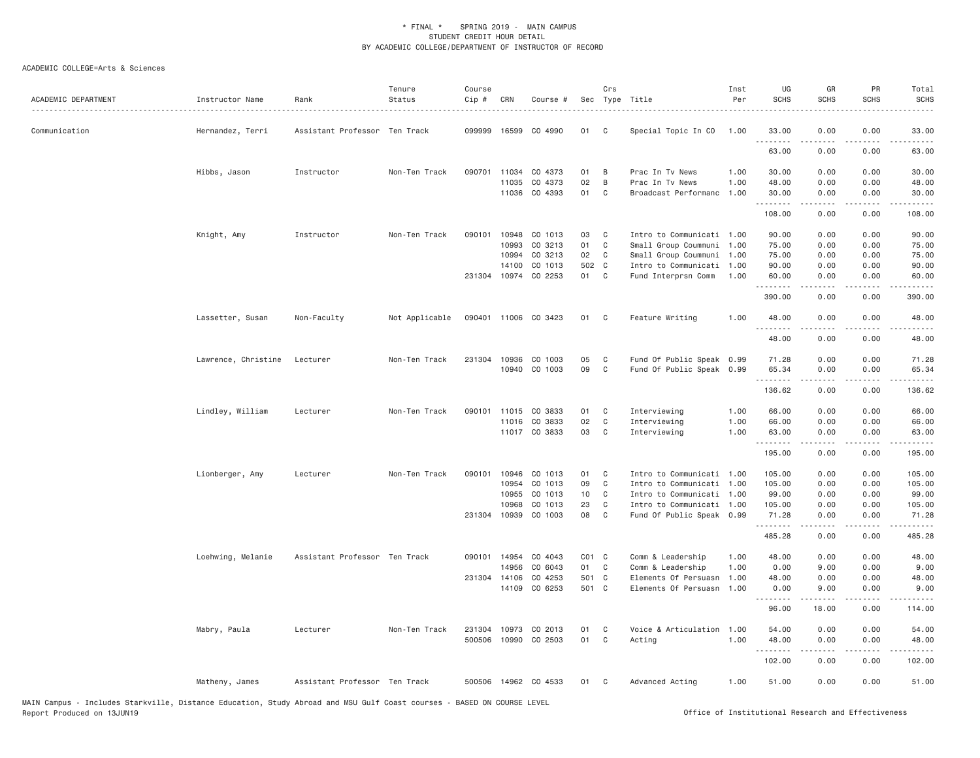| ACADEMIC DEPARTMENT | Instructor Name     | Rank                          | Tenure<br>Status | Course<br>Cip # | CRN          | Course #             |           | Crs          | Sec Type Title            | Inst<br>Per | UG<br><b>SCHS</b> | GR<br><b>SCHS</b> | PR<br><b>SCHS</b>                   | Total<br>SCHS                                                                                                                                                                            |
|---------------------|---------------------|-------------------------------|------------------|-----------------|--------------|----------------------|-----------|--------------|---------------------------|-------------|-------------------|-------------------|-------------------------------------|------------------------------------------------------------------------------------------------------------------------------------------------------------------------------------------|
| Communication       | Hernandez, Terri    | Assistant Professor Ten Track |                  | 099999          | 16599        | CO 4990              | 01        | C            | Special Topic In CO       | 1.00        | 33.00             | 0.00              | 0.00<br>.                           | 33.00<br>$\omega$ and $\omega$ .                                                                                                                                                         |
|                     |                     |                               |                  |                 |              |                      |           |              |                           |             | 63.00             | 0.00              | 0.00                                | 63.00                                                                                                                                                                                    |
|                     | Hibbs, Jason        | Instructor                    | Non-Ten Track    | 090701          | 11034        | CO 4373              | 01        | B            | Prac In Tv News           | 1.00        | 30.00             | 0.00              | 0.00                                | 30.00                                                                                                                                                                                    |
|                     |                     |                               |                  |                 | 11035        | CO 4373              | 02        | B            | Prac In Tv News           | 1.00        | 48.00             | 0.00              | 0.00                                | 48.00                                                                                                                                                                                    |
|                     |                     |                               |                  |                 |              | 11036 CO 4393        | 01        | C            | Broadcast Performanc      | 1.00        | 30.00<br>.        | 0.00<br>.         | 0.00<br>.                           | 30.00<br>.                                                                                                                                                                               |
|                     |                     |                               |                  |                 |              |                      |           |              |                           |             | 108.00            | 0.00              | 0.00                                | 108.00                                                                                                                                                                                   |
|                     | Knight, Amy         | Instructor                    | Non-Ten Track    | 090101          | 10948        | CO 1013              | 03        | C            | Intro to Communicati 1.00 |             | 90.00             | 0.00              | 0.00                                | 90.00                                                                                                                                                                                    |
|                     |                     |                               |                  |                 | 10993        | CO 3213              | 01        | C            | Small Group Coummuni      | 1.00        | 75.00             | 0.00              | 0.00                                | 75.00                                                                                                                                                                                    |
|                     |                     |                               |                  |                 | 10994        | CO 3213              | 02        | C            | Small Group Coummuni      | 1.00        | 75.00             | 0.00              | 0.00                                | 75.00                                                                                                                                                                                    |
|                     |                     |                               |                  |                 | 14100        | CO 1013              | 502 C     |              | Intro to Communicati      | 1.00        | 90.00             | 0.00              | 0.00                                | 90.00                                                                                                                                                                                    |
|                     |                     |                               |                  | 231304          | 10974        | CO 2253              | 01        | C            | Fund Interprsn Comm       | 1.00        | 60.00<br>.        | 0.00<br>.         | 0.00<br>.                           | 60.00<br>.                                                                                                                                                                               |
|                     |                     |                               |                  |                 |              |                      |           |              |                           |             | 390.00            | 0.00              | 0.00                                | 390.00                                                                                                                                                                                   |
|                     | Lassetter, Susan    | Non-Faculty                   | Not Applicable   |                 |              | 090401 11006 CO 3423 | 01        | $\mathbf{C}$ | Feature Writing           | 1.00        | 48.00<br>.        | 0.00              | 0.00<br>.                           | 48.00                                                                                                                                                                                    |
|                     |                     |                               |                  |                 |              |                      |           |              |                           |             | 48.00             | 0.00              | 0.00                                | 48.00                                                                                                                                                                                    |
|                     | Lawrence, Christine | Lecturer                      | Non-Ten Track    |                 | 231304 10936 | CO 1003              | 05        | C            | Fund Of Public Speak 0.99 |             | 71.28             | 0.00              | 0.00                                | 71.28                                                                                                                                                                                    |
|                     |                     |                               |                  |                 |              | 10940 CO 1003        | 09        | C            | Fund Of Public Speak 0.99 |             | 65.34             | 0.00              | 0.00                                | 65.34                                                                                                                                                                                    |
|                     |                     |                               |                  |                 |              |                      |           |              |                           |             | .<br>136.62       | .<br>0.00         | .<br>0.00                           | .<br>136.62                                                                                                                                                                              |
|                     |                     |                               |                  |                 |              |                      |           |              |                           |             |                   |                   |                                     |                                                                                                                                                                                          |
|                     | Lindley, William    | Lecturer                      | Non-Ten Track    | 090101          | 11015        | CO 3833              | 01        | C            | Interviewing              | 1.00        | 66.00             | 0.00              | 0.00                                | 66.00                                                                                                                                                                                    |
|                     |                     |                               |                  |                 |              | 11016 CO 3833        | 02        | $\mathbb C$  | Interviewing              | 1.00        | 66.00             | 0.00              | 0.00                                | 66.00                                                                                                                                                                                    |
|                     |                     |                               |                  |                 |              | 11017 CO 3833        | 03        | C            | Interviewing              | 1.00        | 63.00<br>.        | 0.00              | 0.00<br>$\sim$ $\sim$ $\sim$ $\sim$ | 63.00<br>$\sim$ $\sim$ $\sim$ $\sim$ $\sim$                                                                                                                                              |
|                     |                     |                               |                  |                 |              |                      |           |              |                           |             | 195.00            | 0.00              | 0.00                                | 195.00                                                                                                                                                                                   |
|                     | Lionberger, Amy     | Lecturer                      | Non-Ten Track    | 090101          | 10946        | CO 1013              | 01        | C            | Intro to Communicati 1.00 |             | 105.00            | 0.00              | 0.00                                | 105.00                                                                                                                                                                                   |
|                     |                     |                               |                  |                 | 10954        | CO 1013              | 09        | $\mathsf{C}$ | Intro to Communicati 1.00 |             | 105.00            | 0.00              | 0.00                                | 105.00                                                                                                                                                                                   |
|                     |                     |                               |                  |                 | 10955        | CO 1013              | 10        | C            | Intro to Communicati 1.00 |             | 99.00             | 0.00              | 0.00                                | 99.00                                                                                                                                                                                    |
|                     |                     |                               |                  |                 | 10968        | CO 1013              | 23        | C            | Intro to Communicati      | 1.00        | 105.00            | 0.00              | 0.00                                | 105.00                                                                                                                                                                                   |
|                     |                     |                               |                  |                 |              | 231304 10939 CO 1003 | 08        | C            | Fund Of Public Speak 0.99 |             | 71.28<br><u>.</u> | 0.00<br>.         | 0.00<br>.                           | 71.28<br>$\frac{1}{2} \left( \frac{1}{2} \right) \left( \frac{1}{2} \right) \left( \frac{1}{2} \right) \left( \frac{1}{2} \right) \left( \frac{1}{2} \right) \left( \frac{1}{2} \right)$ |
|                     |                     |                               |                  |                 |              |                      |           |              |                           |             | 485.28            | 0.00              | 0.00                                | 485.28                                                                                                                                                                                   |
|                     | Loehwing, Melanie   | Assistant Professor Ten Track |                  | 090101 14954    |              | CO 4043              | $CO1$ $C$ |              | Comm & Leadership         | 1.00        | 48.00             | 0.00              | 0.00                                | 48.00                                                                                                                                                                                    |
|                     |                     |                               |                  |                 | 14956        | CO 6043              | 01        | $\mathbf{C}$ | Comm & Leadership         | 1.00        | 0.00              | 9.00              | 0.00                                | 9.00                                                                                                                                                                                     |
|                     |                     |                               |                  | 231304 14106    |              | CO 4253              | 501 C     |              | Elements Of Persuasn      | 1.00        | 48.00             | 0.00              | 0.00                                | 48.00                                                                                                                                                                                    |
|                     |                     |                               |                  |                 |              | 14109 CO 6253        | 501 C     |              | Elements Of Persuasn      | 1.00        | 0.00<br>.         | 9.00              | 0.00<br>.                           | 9.00<br>.                                                                                                                                                                                |
|                     |                     |                               |                  |                 |              |                      |           |              |                           |             | 96.00             | 18.00             | 0.00                                | 114.00                                                                                                                                                                                   |
|                     | Mabry, Paula        | Lecturer                      | Non-Ten Track    | 231304          |              | 10973 CO 2013        | 01        | C            | Voice & Articulation 1.00 |             | 54.00             | 0.00              | 0.00                                | 54.00                                                                                                                                                                                    |
|                     |                     |                               |                  |                 |              | 500506 10990 CO 2503 | 01        | C            | Acting                    | 1.00        | 48.00             | 0.00              | 0.00                                | 48.00                                                                                                                                                                                    |
|                     |                     |                               |                  |                 |              |                      |           |              |                           |             | .                 | .                 | .                                   | .                                                                                                                                                                                        |
|                     |                     |                               |                  |                 |              |                      |           |              |                           |             | 102.00            | 0.00              | 0.00                                | 102.00                                                                                                                                                                                   |
|                     | Matheny, James      | Assistant Professor Ten Track |                  |                 |              | 500506 14962 CO 4533 | 01        | C            | Advanced Acting           | 1.00        | 51.00             | 0.00              | 0.00                                | 51.00                                                                                                                                                                                    |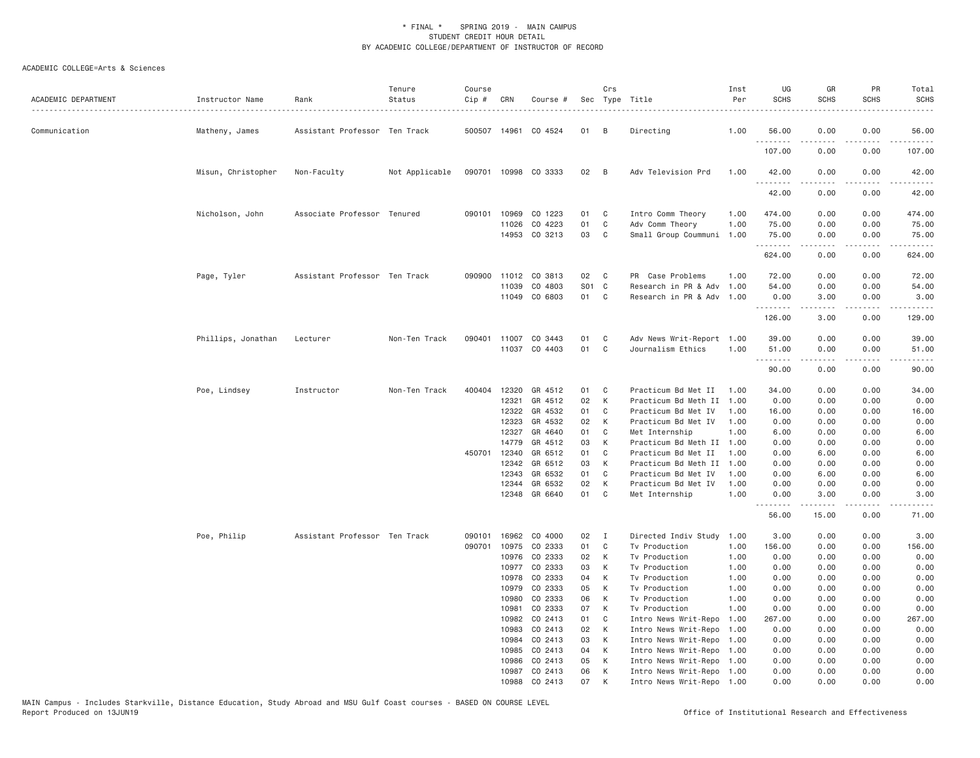| ACADEMIC DEPARTMENT | Instructor Name    | Rank                          | Tenure<br>Status | Course<br>Cip # | CRN            | Course #             |          | Crs          | Sec Type Title<br>.                        | Inst<br>Per  | UG<br><b>SCHS</b> | GR<br><b>SCHS</b>                                                                                                                                                                       | PR<br><b>SCHS</b> | Total<br><b>SCHS</b>           |
|---------------------|--------------------|-------------------------------|------------------|-----------------|----------------|----------------------|----------|--------------|--------------------------------------------|--------------|-------------------|-----------------------------------------------------------------------------------------------------------------------------------------------------------------------------------------|-------------------|--------------------------------|
| Communication       | Matheny, James     | Assistant Professor Ten Track |                  |                 |                | 500507 14961 CO 4524 | 01       | В            | Directing                                  | 1.00         | 56.00             | 0.00                                                                                                                                                                                    | 0.00              | 56.00                          |
|                     |                    |                               |                  |                 |                |                      |          |              |                                            |              | .<br>107.00       | $\frac{1}{2} \left( \frac{1}{2} \right) \left( \frac{1}{2} \right) \left( \frac{1}{2} \right) \left( \frac{1}{2} \right) \left( \frac{1}{2} \right) \left( \frac{1}{2} \right)$<br>0.00 | .<br>0.00         | $\omega$ is a set of<br>107.00 |
|                     | Misun, Christopher | Non-Faculty                   | Not Applicable   |                 |                | 090701 10998 CO 3333 | 02       | B            | Adv Television Prd                         | 1.00         | 42.00<br><u>.</u> | 0.00<br>.                                                                                                                                                                               | 0.00<br>.         | 42.00<br>.                     |
|                     |                    |                               |                  |                 |                |                      |          |              |                                            |              | 42.00             | 0.00                                                                                                                                                                                    | 0.00              | 42.00                          |
|                     | Nicholson, John    | Associate Professor Tenured   |                  | 090101          | 10969          | CO 1223              | 01       | C            | Intro Comm Theory                          | 1.00         | 474.00            | 0.00                                                                                                                                                                                    | 0.00              | 474.00                         |
|                     |                    |                               |                  |                 | 11026          | CO 4223              | 01       | C            | Adv Comm Theory                            | 1.00         | 75.00             | 0.00                                                                                                                                                                                    | 0.00              | 75.00                          |
|                     |                    |                               |                  |                 |                | 14953 CO 3213        | 03       | C            | Small Group Coummuni                       | 1.00         | 75.00             | 0.00                                                                                                                                                                                    | 0.00              | 75.00                          |
|                     |                    |                               |                  |                 |                |                      |          |              |                                            |              | .<br>624.00       | $- - - - -$<br>0.00                                                                                                                                                                     | .<br>0.00         | <u>.</u><br>624.00             |
|                     |                    |                               |                  |                 |                |                      |          |              |                                            |              |                   |                                                                                                                                                                                         |                   |                                |
|                     | Page, Tyler        | Assistant Professor Ten Track |                  |                 |                | 090900 11012 CO 3813 | 02       | C            | PR Case Problems                           | 1.00         | 72.00             | 0.00                                                                                                                                                                                    | 0.00              | 72.00                          |
|                     |                    |                               |                  |                 |                | 11039 CO 4803        | S01 C    |              | Research in PR & Adv                       | 1.00         | 54.00             | 0.00                                                                                                                                                                                    | 0.00              | 54.00                          |
|                     |                    |                               |                  |                 |                | 11049 CO 6803        | 01       | C            | Research in PR & Adv 1.00                  |              | 0.00<br>.         | 3.00<br>المتمامين                                                                                                                                                                       | 0.00<br>-----     | 3.00<br>.                      |
|                     |                    |                               |                  |                 |                |                      |          |              |                                            |              | 126.00            | 3.00                                                                                                                                                                                    | 0.00              | 129.00                         |
|                     | Phillips, Jonathan | Lecturer                      | Non-Ten Track    | 090401          | 11007          | CO 3443              | 01       | C            | Adv News Writ-Report 1.00                  |              | 39.00             | 0.00                                                                                                                                                                                    | 0.00              | 39.00                          |
|                     |                    |                               |                  |                 |                | 11037 CO 4403        | 01       | C            | Journalism Ethics                          | 1.00         | 51.00             | 0.00                                                                                                                                                                                    | 0.00              | 51.00                          |
|                     |                    |                               |                  |                 |                |                      |          |              |                                            |              | .<br>90.00        | $\frac{1}{2} \left( \frac{1}{2} \right) \left( \frac{1}{2} \right) \left( \frac{1}{2} \right) \left( \frac{1}{2} \right) \left( \frac{1}{2} \right)$<br>0.00                            | -----<br>0.00     | .<br>90.00                     |
|                     |                    |                               |                  |                 |                |                      |          |              |                                            |              |                   |                                                                                                                                                                                         |                   |                                |
|                     | Poe, Lindsey       | Instructor                    | Non-Ten Track    | 400404          | 12320          | GR 4512              | 01       | C            | Practicum Bd Met II                        | 1.00         | 34.00             | 0.00                                                                                                                                                                                    | 0.00              | 34.00                          |
|                     |                    |                               |                  |                 | 12321          | GR 4512              | 02       | K            | Practicum Bd Meth II                       | 1.00         | 0.00              | 0.00                                                                                                                                                                                    | 0.00              | 0.00                           |
|                     |                    |                               |                  |                 | 12322          | GR 4532              | 01       | C            | Practicum Bd Met IV                        | 1.00         | 16.00             | 0.00                                                                                                                                                                                    | 0.00              | 16.00                          |
|                     |                    |                               |                  |                 | 12323          | GR 4532              | 02       | K            | Practicum Bd Met IV                        | 1.00         | 0.00              | 0.00                                                                                                                                                                                    | 0.00              | 0.00                           |
|                     |                    |                               |                  |                 | 12327          | GR 4640              | 01       | C            | Met Internship                             | 1.00         | 6.00              | 0.00                                                                                                                                                                                    | 0.00              | 6.00                           |
|                     |                    |                               |                  |                 | 14779          | GR 4512              | 03       | K            | Practicum Bd Meth II 1.00                  |              | 0.00              | 0.00                                                                                                                                                                                    | 0.00              | 0.00                           |
|                     |                    |                               |                  | 450701          | 12340          | GR 6512              | 01       | C<br>K       | Practicum Bd Met II                        | 1.00         | 0.00              | 6.00                                                                                                                                                                                    | 0.00              | 6.00                           |
|                     |                    |                               |                  |                 | 12342<br>12343 | GR 6512<br>GR 6532   | 03<br>01 | C            | Practicum Bd Meth II                       | 1.00<br>1.00 | 0.00<br>0.00      | 0.00<br>6.00                                                                                                                                                                            | 0.00<br>0.00      | 0.00                           |
|                     |                    |                               |                  |                 | 12344          | GR 6532              | 02       | K            | Practicum Bd Met IV<br>Practicum Bd Met IV | 1.00         | 0.00              | 0.00                                                                                                                                                                                    | 0.00              | 6.00<br>0.00                   |
|                     |                    |                               |                  |                 |                | 12348 GR 6640        | 01       | C            | Met Internship                             | 1,00         | 0.00              | 3.00                                                                                                                                                                                    | 0.00              | 3.00                           |
|                     |                    |                               |                  |                 |                |                      |          |              |                                            |              | .<br>56.00        | .<br>15.00                                                                                                                                                                              | .<br>0.00         | .<br>71.00                     |
|                     |                    |                               |                  |                 |                |                      |          |              |                                            |              |                   |                                                                                                                                                                                         |                   |                                |
|                     | Poe, Philip        | Assistant Professor Ten Track |                  | 090101          | 16962          | CO 4000              | 02       | I            | Directed Indiv Study                       | 1.00         | 3.00              | 0.00                                                                                                                                                                                    | 0.00              | 3.00                           |
|                     |                    |                               |                  | 090701          | 10975          | CO 2333              | 01       | C            | Tv Production                              | 1.00         | 156.00            | 0.00                                                                                                                                                                                    | 0.00              | 156.00                         |
|                     |                    |                               |                  |                 | 10976          | CO 2333              | 02       | K            | Tv Production                              | 1.00         | 0.00              | 0.00                                                                                                                                                                                    | 0.00              | 0.00                           |
|                     |                    |                               |                  |                 | 10977          | CO 2333              | 03       | K            | Tv Production                              | 1.00         | 0.00              | 0.00                                                                                                                                                                                    | 0.00              | 0.00                           |
|                     |                    |                               |                  |                 | 10978<br>10979 | CO 2333<br>CO 2333   | 04<br>05 | К<br>K       | Tv Production<br>Tv Production             | 1.00<br>1.00 | 0.00<br>0.00      | 0.00<br>0.00                                                                                                                                                                            | 0.00<br>0.00      | 0.00<br>0.00                   |
|                     |                    |                               |                  |                 | 10980          | CO 2333              | 06       | K            | Tv Production                              | 1.00         | 0.00              | 0.00                                                                                                                                                                                    | 0.00              | 0.00                           |
|                     |                    |                               |                  |                 | 10981          | CO 2333              | 07       | K            | Tv Production                              | 1.00         | 0.00              | 0.00                                                                                                                                                                                    | 0.00              | 0.00                           |
|                     |                    |                               |                  |                 | 10982          | CO 2413              | 01       | C            | Intro News Writ-Repo                       | 1.00         | 267.00            | 0.00                                                                                                                                                                                    | 0.00              | 267.00                         |
|                     |                    |                               |                  |                 | 10983          | CO 2413              | 02       | $\mathsf{K}$ | Intro News Writ-Repo                       | 1.00         | 0.00              | 0.00                                                                                                                                                                                    | 0.00              | 0.00                           |
|                     |                    |                               |                  |                 | 10984          | CO 2413              | 03       | K            | Intro News Writ-Repo 1.00                  |              | 0.00              | 0.00                                                                                                                                                                                    | 0.00              | 0.00                           |
|                     |                    |                               |                  |                 | 10985          | CO 2413              | 04       | K            | Intro News Writ-Repo 1.00                  |              | 0.00              | 0.00                                                                                                                                                                                    | 0.00              | 0.00                           |
|                     |                    |                               |                  |                 | 10986          | CO 2413              | 05       | K            | Intro News Writ-Repo 1.00                  |              | 0.00              | 0.00                                                                                                                                                                                    | 0.00              | 0.00                           |
|                     |                    |                               |                  |                 | 10987          | CO 2413              | 06       | К            | Intro News Writ-Repo 1.00                  |              | 0.00              | 0.00                                                                                                                                                                                    | 0.00              | 0.00                           |
|                     |                    |                               |                  |                 | 10988          | CO 2413              | 07       | K            | Intro News Writ-Repo 1.00                  |              | 0.00              | 0.00                                                                                                                                                                                    | 0.00              | 0.00                           |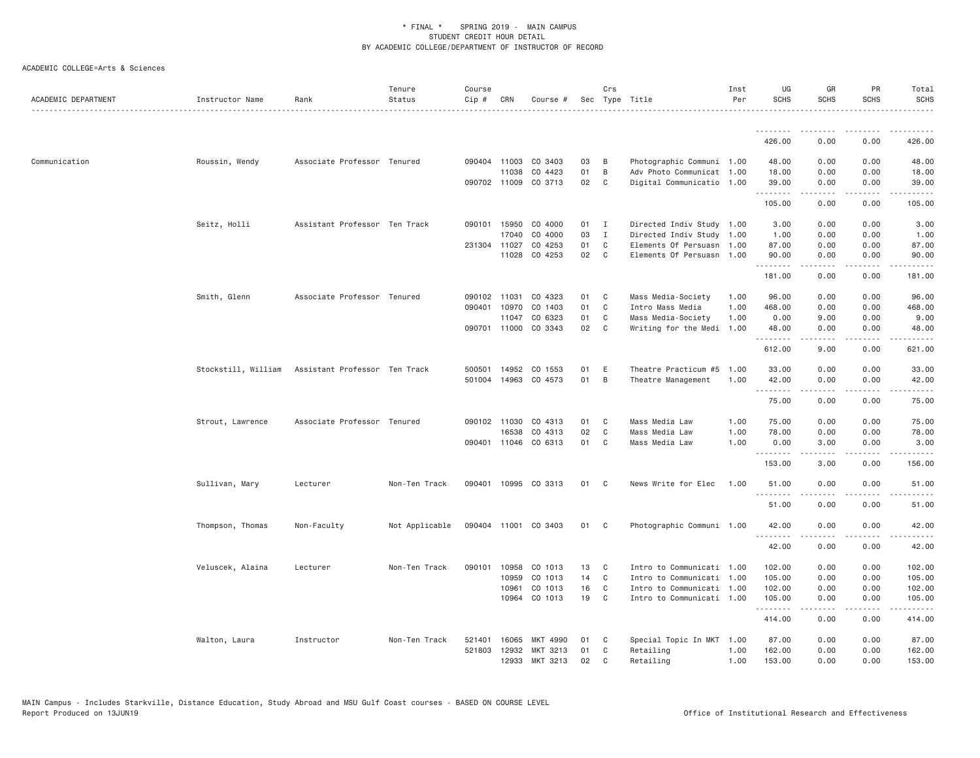| ACADEMIC DEPARTMENT | Instructor Name     | Rank                          | Tenure<br>Status | Course<br>$Cip \#$ | CRN          | Course #             |    | Crs          | Sec Type Title            | Inst<br>Per | UG<br><b>SCHS</b> | GR<br><b>SCHS</b> | PR<br><b>SCHS</b>     | Total<br><b>SCHS</b>      |
|---------------------|---------------------|-------------------------------|------------------|--------------------|--------------|----------------------|----|--------------|---------------------------|-------------|-------------------|-------------------|-----------------------|---------------------------|
|                     |                     |                               |                  |                    |              |                      |    |              |                           |             | <u>.</u>          |                   |                       |                           |
|                     |                     |                               |                  |                    |              |                      |    |              |                           |             | 426.00            | 0.00              | 0.00                  | 426.00                    |
| Communication       | Roussin, Wendy      | Associate Professor Tenured   |                  |                    | 090404 11003 | CO 3403              | 03 | B            | Photographic Communi 1.00 |             | 48.00             | 0.00              | 0.00                  | 48.00                     |
|                     |                     |                               |                  |                    | 11038        | CO 4423              | 01 | B            | Adv Photo Communicat 1.00 |             | 18.00             | 0.00              | 0.00                  | 18.00                     |
|                     |                     |                               |                  |                    |              | 090702 11009 CO 3713 | 02 | $\mathbf{C}$ | Digital Communicatio 1.00 |             | 39.00<br>.        | 0.00<br>.         | 0.00<br>.             | 39.00                     |
|                     |                     |                               |                  |                    |              |                      |    |              |                           |             | 105.00            | 0.00              | 0.00                  | 105.00                    |
|                     | Seitz, Holli        | Assistant Professor Ten Track |                  |                    | 090101 15950 | CO 4000              | 01 | $\mathbf{I}$ | Directed Indiv Study 1.00 |             | 3.00              | 0.00              | 0.00                  | 3.00                      |
|                     |                     |                               |                  |                    | 17040        | CO 4000              | 03 | $\mathbf{I}$ | Directed Indiv Study 1.00 |             | 1.00              | 0.00              | 0.00                  | 1.00                      |
|                     |                     |                               |                  |                    | 231304 11027 | CO 4253              | 01 | C            | Elements Of Persuasn 1.00 |             | 87.00             | 0.00              | 0.00                  | 87.00                     |
|                     |                     |                               |                  |                    | 11028        | CO 4253              | 02 | C            | Elements Of Persuasn 1.00 |             | 90.00<br>.        | 0.00              | 0.00                  | 90.00                     |
|                     |                     |                               |                  |                    |              |                      |    |              |                           |             | 181.00            | 0.00              | 0.00                  | 181.00                    |
|                     | Smith, Glenn        | Associate Professor Tenured   |                  |                    | 090102 11031 | CO 4323              | 01 | C            | Mass Media-Society        | 1.00        | 96.00             | 0.00              | 0.00                  | 96.00                     |
|                     |                     |                               |                  | 090401             | 10970        | CO 1403              | 01 | C            | Intro Mass Media          | 1.00        | 468.00            | 0.00              | 0.00                  | 468.00                    |
|                     |                     |                               |                  |                    | 11047        | CO 6323              | 01 | C            | Mass Media-Society        | 1.00        | 0.00              | 9.00              | 0.00                  | 9.00                      |
|                     |                     |                               |                  |                    |              | 090701 11000 CO 3343 | 02 | C            | Writing for the Medi      | 1.00        | 48.00<br>.        | 0.00<br>.         | 0.00<br>.             | 48.00<br>.                |
|                     |                     |                               |                  |                    |              |                      |    |              |                           |             | 612.00            | 9.00              | 0.00                  | 621.00                    |
|                     | Stockstill, William | Assistant Professor Ten Track |                  | 500501             | 14952        | CO 1553              | 01 | E            | Theatre Practicum #5      | 1.00        | 33.00             | 0.00              | 0.00                  | 33.00                     |
|                     |                     |                               |                  |                    | 501004 14963 | CO 4573              | 01 | B            | Theatre Management        | 1.00        | 42.00<br>.        | 0.00<br>.         | 0.00<br>$\frac{1}{2}$ | 42.00<br>.                |
|                     |                     |                               |                  |                    |              |                      |    |              |                           |             | 75.00             | 0.00              | 0.00                  | 75.00                     |
|                     | Strout, Lawrence    | Associate Professor Tenured   |                  |                    | 090102 11030 | CO 4313              | 01 | C            | Mass Media Law            | 1.00        | 75.00             | 0.00              | 0.00                  | 75.00                     |
|                     |                     |                               |                  |                    | 16538        | CO 4313              | 02 | C            | Mass Media Law            | 1.00        | 78.00             | 0.00              | 0.00                  | 78.00                     |
|                     |                     |                               |                  |                    | 090401 11046 | CO 6313              | 01 | C            | Mass Media Law            | 1.00        | 0.00<br>.         | 3.00<br>.         | 0.00<br>$- - - -$     | 3.00<br>.                 |
|                     |                     |                               |                  |                    |              |                      |    |              |                           |             | 153.00            | 3.00              | 0.00                  | 156.00                    |
|                     | Sullivan, Mary      | Lecturer                      | Non-Ten Track    |                    |              | 090401 10995 CO 3313 | 01 | C            | News Write for Elec       | 1.00        | 51.00<br>.        | 0.00              | 0.00<br>.             | 51.00<br>.                |
|                     |                     |                               |                  |                    |              |                      |    |              |                           |             | 51.00             | -----<br>0.00     | 0.00                  | 51.00                     |
|                     | Thompson, Thomas    | Non-Faculty                   | Not Applicable   |                    |              | 090404 11001 CO 3403 | 01 | $\mathbf{C}$ | Photographic Communi 1.00 |             | 42.00             | 0.00              | 0.00                  | 42.00                     |
|                     |                     |                               |                  |                    |              |                      |    |              |                           |             | .<br>42.00        | 0.00              | 0.00                  | 42.00                     |
|                     | Veluscek, Alaina    | Lecturer                      | Non-Ten Track    | 090101             | 10958        | CO 1013              | 13 | C            | Intro to Communicati 1.00 |             | 102.00            | 0.00              | 0.00                  | 102.00                    |
|                     |                     |                               |                  |                    | 10959        | CO 1013              | 14 | C            | Intro to Communicati 1.00 |             | 105.00            | 0.00              | 0.00                  | 105.00                    |
|                     |                     |                               |                  |                    | 10961        | CO 1013              | 16 | C            | Intro to Communicati 1.00 |             | 102.00            | 0.00              | 0.00                  | 102.00                    |
|                     |                     |                               |                  |                    | 10964        | CO 1013              | 19 | C            | Intro to Communicati 1.00 |             | 105.00<br>.       | 0.00<br>.         | 0.00<br>$\cdots$      | 105.00<br>$- - - - - - -$ |
|                     |                     |                               |                  |                    |              |                      |    |              |                           |             | 414.00            | 0.00              | 0.00                  | 414.00                    |
|                     | Walton, Laura       | Instructor                    | Non-Ten Track    | 521401             | 16065        | MKT 4990             | 01 | C            | Special Topic In MKT 1.00 |             | 87.00             | 0.00              | 0.00                  | 87.00                     |
|                     |                     |                               |                  | 521803             | 12932        | MKT 3213             | 01 | C            | Retailing                 | 1.00        | 162.00            | 0.00              | 0.00                  | 162.00                    |
|                     |                     |                               |                  |                    | 12933        | MKT 3213             | 02 | $\mathsf{C}$ | Retailing                 | 1.00        | 153.00            | 0.00              | 0.00                  | 153.00                    |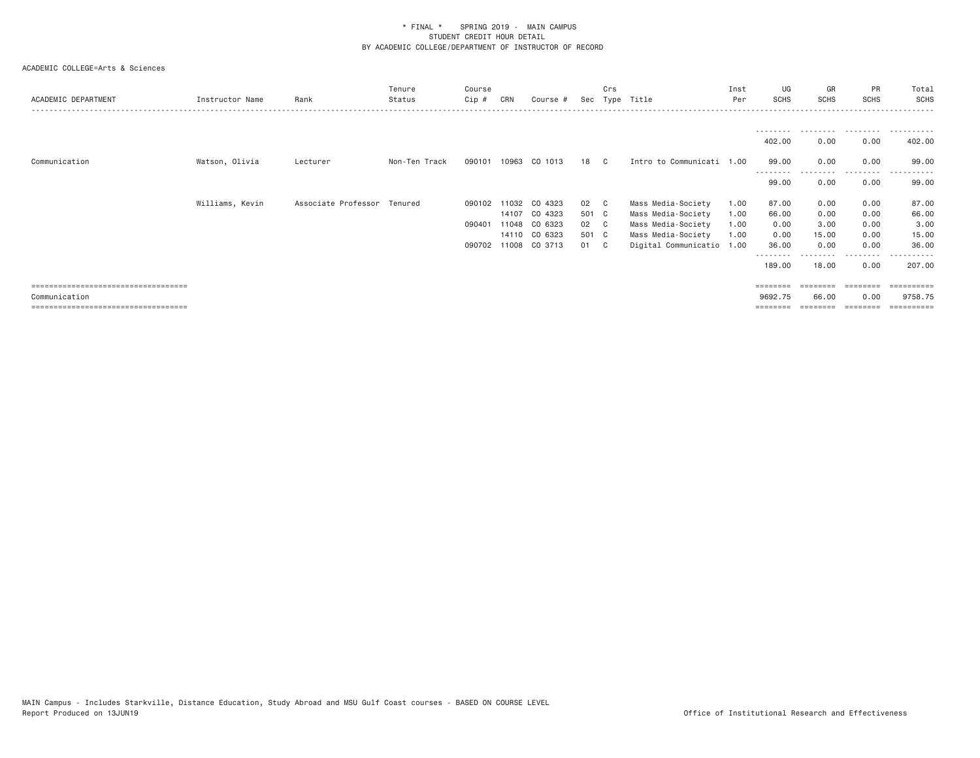| ACADEMIC DEPARTMENT                   | Instructor Name | Rank                        | Tenure<br>Status | Course<br>Cip # | CRN   | Course #      |       | Crs            | Sec Type Title            | Inst<br>Per | UG<br><b>SCHS</b> | GR<br>SCHS | PR<br><b>SCHS</b>    | Total<br><b>SCHS</b>  |
|---------------------------------------|-----------------|-----------------------------|------------------|-----------------|-------|---------------|-------|----------------|---------------------------|-------------|-------------------|------------|----------------------|-----------------------|
|                                       |                 |                             |                  |                 |       |               |       |                |                           |             | --------          | .          | .                    | .                     |
|                                       |                 |                             |                  |                 |       |               |       |                |                           |             | 402.00            | 0.00       | 0.00                 | 402.00                |
| Communication                         | Watson, Olivia  | Lecturer                    | Non-Ten Track    | 090101          | 10963 | CO 1013       | 18    | $\mathbf{C}$   | Intro to Communicati 1.00 |             | 99.00             | 0.00       | 0.00                 | 99.00                 |
|                                       |                 |                             |                  |                 |       |               |       |                |                           |             | --------<br>99.00 | 0.00       | --------<br>0.00     | .<br>99.00            |
|                                       | Williams, Kevin | Associate Professor Tenured |                  | 090102          | 11032 | CO 4323       | 02    | $\overline{c}$ | Mass Media-Society        | 1.00        | 87.00             | 0.00       | 0.00                 | 87.00                 |
|                                       |                 |                             |                  |                 |       | 14107 CO 4323 | 501 C |                | Mass Media-Society        | 1.00        | 66.00             | 0.00       | 0.00                 | 66.00                 |
|                                       |                 |                             |                  | 090401          | 11048 | CO 6323       | 02 C  |                | Mass Media-Society        | 1.00        | 0.00              | 3.00       | 0.00                 | 3.00                  |
|                                       |                 |                             |                  |                 |       | 14110 CO 6323 | 501 C |                | Mass Media-Society        | 1.00        | 0.00              | 15.00      | 0.00                 | 15.00                 |
|                                       |                 |                             |                  | 090702          | 11008 | CO 3713       | 01 C  |                | Digital Communicatio      | 1.00        | 36.00             | 0.00       | 0.00<br>. <u>.</u> . | 36.00<br>-------      |
|                                       |                 |                             |                  |                 |       |               |       |                |                           |             | 189.00            | 18.00      | 0.00                 | 207.00                |
| ===================================== |                 |                             |                  |                 |       |               |       |                |                           |             | ========          |            | ========             | ==========            |
| Communication                         |                 |                             |                  |                 |       |               |       |                |                           |             | 9692.75           | 66.00      | 0.00                 | 9758.75               |
| ===================================== |                 |                             |                  |                 |       |               |       |                |                           |             | ========          |            | ========             | $=$ = = = = = = = = = |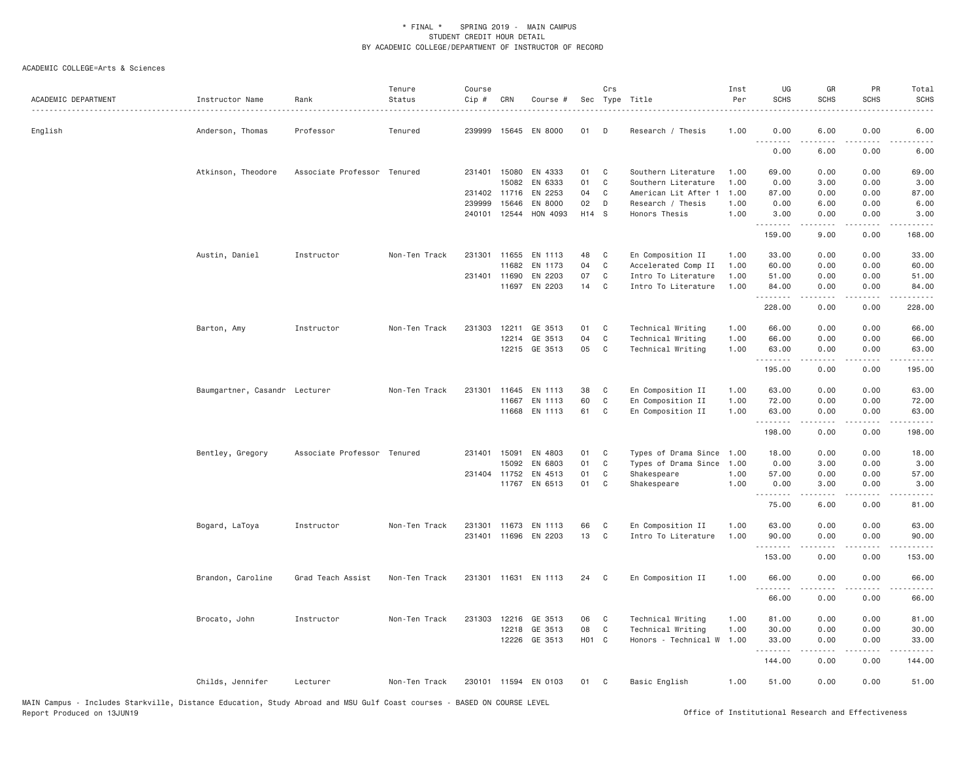| ACADEMIC DEPARTMENT | Instructor Name               | Rank                        | Tenure<br>Status | Course<br>Cip # | CRN          | Course #             |                   | Crs          | Sec Type Title       | Inst<br>Per | UG<br><b>SCHS</b> | GR<br><b>SCHS</b>                                                                                                                                                                       | PR<br><b>SCHS</b>                   | Total<br><b>SCHS</b> |
|---------------------|-------------------------------|-----------------------------|------------------|-----------------|--------------|----------------------|-------------------|--------------|----------------------|-------------|-------------------|-----------------------------------------------------------------------------------------------------------------------------------------------------------------------------------------|-------------------------------------|----------------------|
| English             | Anderson, Thomas              | Professor                   | Tenured          | 239999          | 15645        | EN 8000              | 01                | D            | Research / Thesis    | 1.00        | 0.00              | 6.00                                                                                                                                                                                    | 0.00                                | 6.00                 |
|                     |                               |                             |                  |                 |              |                      |                   |              |                      |             | .<br>0.00         | 6.00                                                                                                                                                                                    | 0.00                                | 6.00                 |
|                     | Atkinson, Theodore            | Associate Professor Tenured |                  | 231401          | 15080        | EN 4333              | 01                | C            | Southern Literature  | 1.00        | 69.00             | 0.00                                                                                                                                                                                    | 0.00                                | 69.00                |
|                     |                               |                             |                  |                 | 15082        | EN 6333              | 01                | C            | Southern Literature  | 1.00        | 0.00              | 3.00                                                                                                                                                                                    | 0.00                                | 3.00                 |
|                     |                               |                             |                  |                 | 231402 11716 | EN 2253              | 04                | $\mathsf{C}$ | American Lit After 1 | 1.00        | 87.00             | 0.00                                                                                                                                                                                    | 0.00                                | 87.00                |
|                     |                               |                             |                  | 239999          | 15646        | EN 8000              | 02                | D            | Research / Thesis    | 1.00        | 0.00              | 6.00                                                                                                                                                                                    | 0.00                                | 6.00                 |
|                     |                               |                             |                  |                 | 240101 12544 | HON 4093             | H14 S             |              | Honors Thesis        | 1.00        | 3.00<br>.         | 0.00                                                                                                                                                                                    | 0.00                                | 3.00                 |
|                     |                               |                             |                  |                 |              |                      |                   |              |                      |             | 159.00            | 9.00                                                                                                                                                                                    | 0.00                                | 168.00               |
|                     | Austin, Daniel                | Instructor                  | Non-Ten Track    |                 | 231301 11655 | EN 1113              | 48                | C            | En Composition II    | 1.00        | 33.00             | 0.00                                                                                                                                                                                    | 0.00                                | 33.00                |
|                     |                               |                             |                  |                 | 11682        | EN 1173              | 04                | C            | Accelerated Comp II  | 1.00        | 60.00             | 0.00                                                                                                                                                                                    | 0.00                                | 60.00                |
|                     |                               |                             |                  |                 | 231401 11690 | EN 2203              | 07                | C            | Intro To Literature  | 1.00        | 51.00             | 0.00                                                                                                                                                                                    | 0.00                                | 51.00                |
|                     |                               |                             |                  |                 | 11697        | EN 2203              | 14                | C            | Intro To Literature  | 1.00        | 84.00<br>.        | 0.00<br>-----                                                                                                                                                                           | 0.00<br>$\sim$ $\sim$ $\sim$ $\sim$ | 84.00<br>.           |
|                     |                               |                             |                  |                 |              |                      |                   |              |                      |             | 228.00            | 0.00                                                                                                                                                                                    | 0.00                                | 228.00               |
|                     | Barton, Amy                   | Instructor                  | Non-Ten Track    | 231303          | 12211        | GE 3513              | 01                | C            | Technical Writing    | 1.00        | 66.00             | 0.00                                                                                                                                                                                    | 0.00                                | 66.00                |
|                     |                               |                             |                  |                 | 12214        | GE 3513              | 04                | C            | Technical Writing    | 1.00        | 66.00             | 0.00                                                                                                                                                                                    | 0.00                                | 66.00                |
|                     |                               |                             |                  |                 |              | 12215 GE 3513        | 05                | C            | Technical Writing    | 1.00        | 63.00             | 0.00                                                                                                                                                                                    | 0.00                                | 63.00                |
|                     |                               |                             |                  |                 |              |                      |                   |              |                      |             | .<br>195.00       | $- - - - -$<br>0.00                                                                                                                                                                     | .<br>0.00                           | .<br>195.00          |
|                     | Baumgartner, Casandr Lecturer |                             | Non-Ten Track    | 231301          | 11645        | EN 1113              | 38                | C            | En Composition II    | 1.00        | 63.00             | 0.00                                                                                                                                                                                    | 0.00                                | 63.00                |
|                     |                               |                             |                  |                 | 11667        | EN 1113              | 60                | C            | En Composition II    | 1.00        | 72.00             | 0.00                                                                                                                                                                                    | 0.00                                | 72.00                |
|                     |                               |                             |                  |                 | 11668        | EN 1113              | 61                | C            | En Composition II    | 1.00        | 63.00             | 0.00                                                                                                                                                                                    | 0.00                                | 63.00                |
|                     |                               |                             |                  |                 |              |                      |                   |              |                      |             | .<br>198.00       | -----<br>0.00                                                                                                                                                                           | $\frac{1}{2}$<br>0.00               | .<br>198.00          |
|                     | Bentley, Gregory              | Associate Professor Tenured |                  | 231401 15091    |              | EN 4803              | 01                | C            | Types of Drama Since | 1.00        | 18.00             | 0.00                                                                                                                                                                                    | 0.00                                | 18.00                |
|                     |                               |                             |                  |                 | 15092        | EN 6803              | 01                | C            | Types of Drama Since | 1.00        | 0.00              | 3.00                                                                                                                                                                                    | 0.00                                | 3.00                 |
|                     |                               |                             |                  |                 | 231404 11752 | EN 4513              | 01                | C            | Shakespeare          | 1.00        | 57.00             | 0.00                                                                                                                                                                                    | 0.00                                | 57.00                |
|                     |                               |                             |                  |                 |              | 11767 EN 6513        | 01                | C            | Shakespeare          | 1.00        | 0.00              | 3.00                                                                                                                                                                                    | 0.00                                | 3.00                 |
|                     |                               |                             |                  |                 |              |                      |                   |              |                      |             | .<br>75.00        | $\frac{1}{2} \left( \frac{1}{2} \right) \left( \frac{1}{2} \right) \left( \frac{1}{2} \right) \left( \frac{1}{2} \right) \left( \frac{1}{2} \right) \left( \frac{1}{2} \right)$<br>6.00 | .<br>0.00                           | .<br>81.00           |
|                     | Bogard, LaToya                | Instructor                  | Non-Ten Track    | 231301          | 11673        | EN 1113              | 66                | C            | En Composition II    | 1.00        | 63.00             | 0.00                                                                                                                                                                                    | 0.00                                | 63.00                |
|                     |                               |                             |                  |                 |              | 231401 11696 EN 2203 | 13                | C            | Intro To Literature  | 1.00        | 90.00             | 0.00                                                                                                                                                                                    | 0.00                                | 90.00                |
|                     |                               |                             |                  |                 |              |                      |                   |              |                      |             | .                 | $\frac{1}{2} \left( \frac{1}{2} \right) \left( \frac{1}{2} \right) \left( \frac{1}{2} \right) \left( \frac{1}{2} \right) \left( \frac{1}{2} \right)$                                    | .                                   | .                    |
|                     |                               |                             |                  |                 |              |                      |                   |              |                      |             | 153.00            | 0.00                                                                                                                                                                                    | 0.00                                | 153.00               |
|                     | Brandon, Caroline             | Grad Teach Assist           | Non-Ten Track    |                 |              | 231301 11631 EN 1113 | 24                | C            | En Composition II    | 1.00        | 66.00<br>.        | 0.00<br>$\frac{1}{2}$                                                                                                                                                                   | 0.00<br>.                           | 66.00<br><u>.</u>    |
|                     |                               |                             |                  |                 |              |                      |                   |              |                      |             | 66.00             | 0.00                                                                                                                                                                                    | 0.00                                | 66.00                |
|                     | Brocato, John                 | Instructor                  | Non-Ten Track    | 231303          | 12216        | GE 3513              | 06                | C            | Technical Writing    | 1.00        | 81.00             | 0.00                                                                                                                                                                                    | 0.00                                | 81.00                |
|                     |                               |                             |                  |                 | 12218        | GE 3513              | 08                | C            | Technical Writing    | 1.00        | 30.00             | 0.00                                                                                                                                                                                    | 0.00                                | 30.00                |
|                     |                               |                             |                  |                 |              | 12226 GE 3513        | H <sub>01</sub> C |              | Honors - Technical W | 1.00        | 33.00<br>.        | 0.00                                                                                                                                                                                    | 0.00                                | 33.00                |
|                     |                               |                             |                  |                 |              |                      |                   |              |                      |             | 144.00            | 0.00                                                                                                                                                                                    | 0.00                                | .<br>144.00          |
|                     | Childs, Jennifer              | Lecturer                    | Non-Ten Track    |                 |              | 230101 11594 EN 0103 | 01                | - C          | Basic English        | 1.00        | 51.00             | 0.00                                                                                                                                                                                    | 0.00                                | 51.00                |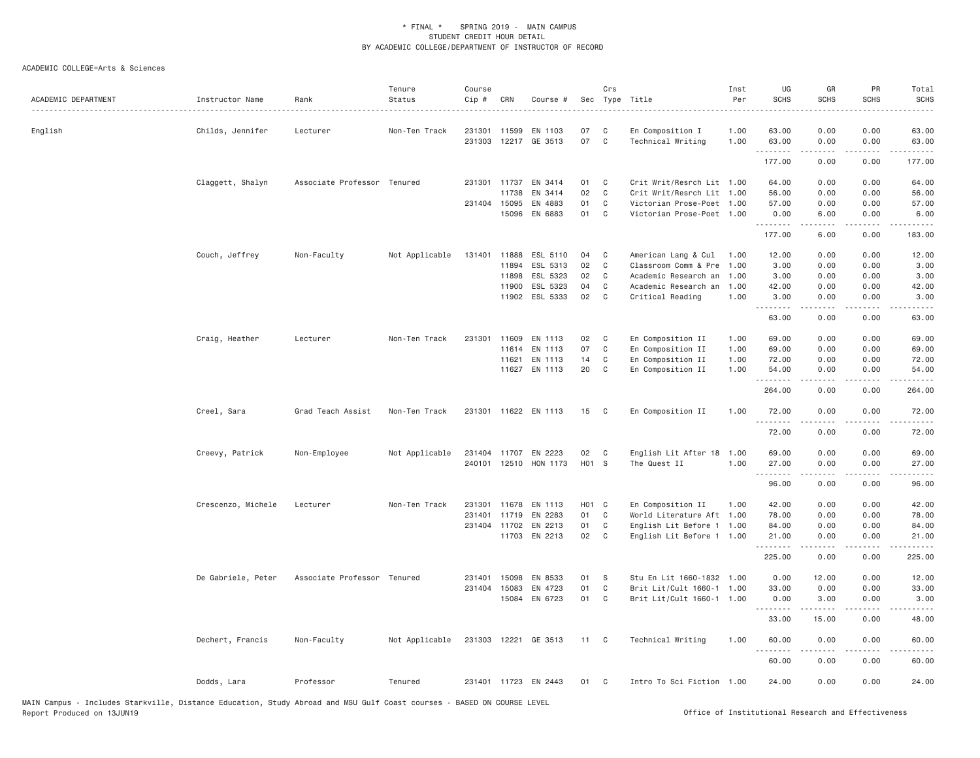| ACADEMIC DEPARTMENT | Instructor Name    | Rank                        | Tenure<br>Status | Course<br>Cip # | CRN          | Course #             | Sec   | Crs          | Type Title                | Inst<br>Per | UG<br><b>SCHS</b>  | GR<br><b>SCHS</b>                                                                                                                                             | PR<br><b>SCHS</b>            | Total<br><b>SCHS</b>                                                                                                                                          |
|---------------------|--------------------|-----------------------------|------------------|-----------------|--------------|----------------------|-------|--------------|---------------------------|-------------|--------------------|---------------------------------------------------------------------------------------------------------------------------------------------------------------|------------------------------|---------------------------------------------------------------------------------------------------------------------------------------------------------------|
| English             | Childs, Jennifer   | Lecturer                    | Non-Ten Track    |                 | 231301 11599 | EN 1103              | 07    | C            | En Composition I          | 1.00        | 63.00              | 0.00                                                                                                                                                          | 0.00                         | 63.00                                                                                                                                                         |
|                     |                    |                             |                  | 231303          |              | 12217 GE 3513        | 07    | C            | Technical Writing         | 1.00        | 63.00<br>.         | 0.00<br>.                                                                                                                                                     | 0.00<br>$\sim$ $\sim$ $\sim$ | 63.00<br>$\frac{1}{2} \left( \frac{1}{2} \right) \left( \frac{1}{2} \right) \left( \frac{1}{2} \right) \left( \frac{1}{2} \right) \left( \frac{1}{2} \right)$ |
|                     |                    |                             |                  |                 |              |                      |       |              |                           |             | 177.00             | 0.00                                                                                                                                                          | 0.00                         | 177.00                                                                                                                                                        |
|                     | Claggett, Shalyn   | Associate Professor Tenured |                  |                 | 231301 11737 | EN 3414              | 01    | C            | Crit Writ/Resrch Lit 1.00 |             | 64.00              | 0.00                                                                                                                                                          | 0.00                         | 64.00                                                                                                                                                         |
|                     |                    |                             |                  |                 | 11738        | EN 3414              | 02    | $\mathsf{C}$ | Crit Writ/Resrch Lit 1.00 |             | 56.00              | 0.00                                                                                                                                                          | 0.00                         | 56.00                                                                                                                                                         |
|                     |                    |                             |                  | 231404          | 15095        | EN 4883              | 01    | C            | Victorian Prose-Poet      | 1.00        | 57.00              | 0.00                                                                                                                                                          | 0.00                         | 57.00                                                                                                                                                         |
|                     |                    |                             |                  |                 | 15096        | EN 6883              | 01    | C            | Victorian Prose-Poet 1.00 |             | 0.00<br>.          | 6.00<br>.                                                                                                                                                     | 0.00                         | 6.00<br>-----                                                                                                                                                 |
|                     |                    |                             |                  |                 |              |                      |       |              |                           |             | 177.00             | 6.00                                                                                                                                                          | 0.00                         | 183.00                                                                                                                                                        |
|                     | Couch, Jeffrey     | Non-Faculty                 | Not Applicable   |                 | 131401 11888 | ESL 5110             | 04    | C            | American Lang & Cul       | 1.00        | 12.00              | 0.00                                                                                                                                                          | 0.00                         | 12.00                                                                                                                                                         |
|                     |                    |                             |                  |                 | 11894        | ESL 5313             | 02    | $\mathsf{C}$ | Classroom Comm & Pre      | 1.00        | 3.00               | 0.00                                                                                                                                                          | 0.00                         | 3.00                                                                                                                                                          |
|                     |                    |                             |                  |                 | 11898        | ESL 5323             | 02    | C            | Academic Research an      | 1.00        | 3.00               | 0.00                                                                                                                                                          | 0.00                         | 3.00                                                                                                                                                          |
|                     |                    |                             |                  |                 | 11900        | ESL 5323             | 04    | C            | Academic Research an      | 1.00        | 42.00              | 0.00                                                                                                                                                          | 0.00                         | 42.00                                                                                                                                                         |
|                     |                    |                             |                  |                 |              | 11902 ESL 5333       | 02    | C            | Critical Reading          | 1.00        | 3.00               | 0.00                                                                                                                                                          | 0.00                         | 3.00                                                                                                                                                          |
|                     |                    |                             |                  |                 |              |                      |       |              |                           |             | .<br>63.00         | 0.00                                                                                                                                                          | $  -$<br>0.00                | 63.00                                                                                                                                                         |
|                     | Craig, Heather     | Lecturer                    | Non-Ten Track    |                 | 231301 11609 | EN 1113              | 02    | C            | En Composition II         | 1.00        | 69.00              | 0.00                                                                                                                                                          | 0.00                         | 69.00                                                                                                                                                         |
|                     |                    |                             |                  |                 | 11614        | EN 1113              | 07    | $\mathsf{C}$ | En Composition II         | 1.00        | 69.00              | 0.00                                                                                                                                                          | 0.00                         | 69.00                                                                                                                                                         |
|                     |                    |                             |                  |                 | 11621        | EN 1113              | 14    | C            | En Composition II         | 1.00        | 72.00              | 0.00                                                                                                                                                          | 0.00                         | 72.00                                                                                                                                                         |
|                     |                    |                             |                  |                 |              | 11627 EN 1113        | 20    | C            | En Composition II         | 1.00        | 54.00              | 0.00                                                                                                                                                          | 0.00                         | 54.00                                                                                                                                                         |
|                     |                    |                             |                  |                 |              |                      |       |              |                           |             | <u>.</u><br>264.00 | 0.00                                                                                                                                                          | $- - -$<br>0.00              | 264.00                                                                                                                                                        |
|                     | Creel, Sara        | Grad Teach Assist           | Non-Ten Track    |                 |              | 231301 11622 EN 1113 | 15    | $\mathbf{C}$ | En Composition II         | 1.00        | 72.00              | 0.00                                                                                                                                                          | 0.00                         | 72.00                                                                                                                                                         |
|                     |                    |                             |                  |                 |              |                      |       |              |                           |             | <u>.</u><br>72.00  | <u>.</u><br>0.00                                                                                                                                              | .<br>0.00                    | .<br>72.00                                                                                                                                                    |
|                     | Creevy, Patrick    | Non-Employee                | Not Applicable   |                 |              | 231404 11707 EN 2223 | 02    | C            | English Lit After 18      | 1.00        | 69.00              | 0.00                                                                                                                                                          | 0.00                         | 69.00                                                                                                                                                         |
|                     |                    |                             |                  |                 | 240101 12510 | HON 1173             | H01 S |              | The Quest II              | 1.00        | 27.00              | 0.00                                                                                                                                                          | 0.00                         | 27.00                                                                                                                                                         |
|                     |                    |                             |                  |                 |              |                      |       |              |                           |             | .                  |                                                                                                                                                               |                              |                                                                                                                                                               |
|                     |                    |                             |                  |                 |              |                      |       |              |                           |             | 96.00              | 0.00                                                                                                                                                          | 0.00                         | 96.00                                                                                                                                                         |
|                     | Crescenzo, Michele | Lecturer                    | Non-Ten Track    |                 | 231301 11678 | EN 1113              | HO1 C |              | En Composition II         | 1.00        | 42.00              | 0.00                                                                                                                                                          | 0.00                         | 42.00                                                                                                                                                         |
|                     |                    |                             |                  |                 | 231401 11719 | EN 2283              | 01    | C            | World Literature Aft 1.00 |             | 78.00              | 0.00                                                                                                                                                          | 0.00                         | 78.00                                                                                                                                                         |
|                     |                    |                             |                  |                 | 231404 11702 | EN 2213              | 01    | $\mathsf{C}$ | English Lit Before 1 1.00 |             | 84.00              | 0.00                                                                                                                                                          | 0.00                         | 84.00                                                                                                                                                         |
|                     |                    |                             |                  |                 | 11703        | EN 2213              | 02    | C            | English Lit Before 1 1.00 |             | 21.00<br>.         | 0.00<br>.                                                                                                                                                     | 0.00<br>$\frac{1}{2}$        | 21.00<br>.                                                                                                                                                    |
|                     |                    |                             |                  |                 |              |                      |       |              |                           |             | 225.00             | 0.00                                                                                                                                                          | 0.00                         | 225.00                                                                                                                                                        |
|                     | De Gabriele, Peter | Associate Professor Tenured |                  | 231401          | 15098        | EN 8533              | 01    | S            | Stu En Lit 1660-1832 1.00 |             | 0.00               | 12.00                                                                                                                                                         | 0.00                         | 12.00                                                                                                                                                         |
|                     |                    |                             |                  |                 | 231404 15083 | EN 4723              | 01    | C            | Brit Lit/Cult 1660-1 1.00 |             | 33.00              | 0.00                                                                                                                                                          | 0.00                         | 33.00                                                                                                                                                         |
|                     |                    |                             |                  |                 |              | 15084 EN 6723        | 01    | C            | Brit Lit/Cult 1660-1 1.00 |             | 0.00               | 3.00                                                                                                                                                          | 0.00                         | 3.00                                                                                                                                                          |
|                     |                    |                             |                  |                 |              |                      |       |              |                           |             | .<br>33.00         | $\frac{1}{2} \left( \frac{1}{2} \right) \left( \frac{1}{2} \right) \left( \frac{1}{2} \right) \left( \frac{1}{2} \right) \left( \frac{1}{2} \right)$<br>15.00 | .<br>0.00                    | .<br>48.00                                                                                                                                                    |
|                     | Dechert, Francis   | Non-Faculty                 | Not Applicable   |                 |              | 231303 12221 GE 3513 | 11 C  |              | Technical Writing         | 1.00        | 60.00<br>.         | 0.00<br>$\frac{1}{2}$                                                                                                                                         | 0.00<br>.                    | 60.00<br>.                                                                                                                                                    |
|                     |                    |                             |                  |                 |              |                      |       |              |                           |             | 60.00              | 0.00                                                                                                                                                          | 0.00                         | 60.00                                                                                                                                                         |
|                     | Dodds, Lara        | Professor                   | Tenured          |                 |              | 231401 11723 EN 2443 | 01    | C            | Intro To Sci Fiction 1.00 |             | 24.00              | 0.00                                                                                                                                                          | 0.00                         | 24.00                                                                                                                                                         |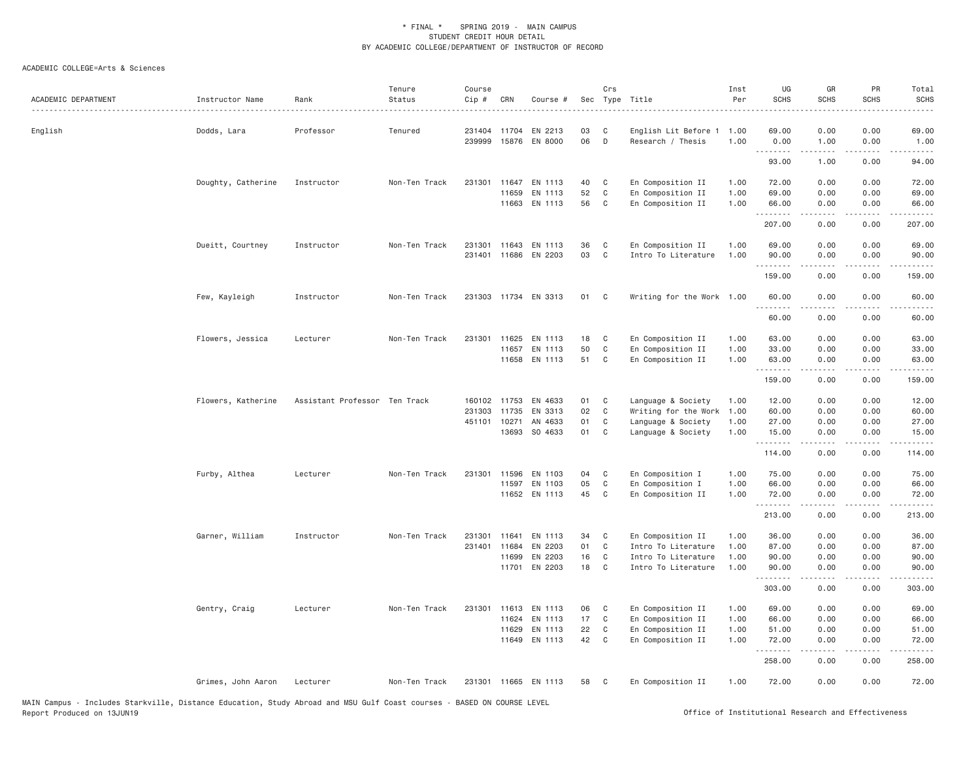| ACADEMIC DEPARTMENT | Instructor Name    | Rank                          | Tenure<br>Status | Course<br>Cip #  | CRN   | Course #                       |          | Crs         | Sec Type Title                            | Inst<br>Per  | UG<br><b>SCHS</b> | GR<br><b>SCHS</b> | PR<br><b>SCHS</b>                                                                                                                 | Total<br><b>SCHS</b><br>. |
|---------------------|--------------------|-------------------------------|------------------|------------------|-------|--------------------------------|----------|-------------|-------------------------------------------|--------------|-------------------|-------------------|-----------------------------------------------------------------------------------------------------------------------------------|---------------------------|
| English             | Dodds, Lara        | Professor                     | Tenured          | 231404<br>239999 |       | 11704 EN 2213<br>15876 EN 8000 | 03<br>06 | C<br>D      | English Lit Before 1<br>Research / Thesis | 1.00<br>1.00 | 69.00<br>0.00     | 0.00<br>1.00      | 0.00<br>0.00                                                                                                                      | 69.00<br>1.00             |
|                     |                    |                               |                  |                  |       |                                |          |             |                                           |              | .<br>93.00        | .<br>1.00         | $- - - -$<br>0.00                                                                                                                 | .<br>94.00                |
|                     | Doughty, Catherine | Instructor                    | Non-Ten Track    | 231301           |       | 11647 EN 1113                  | 40       | C           | En Composition II                         | 1.00         | 72.00             | 0.00              | 0.00                                                                                                                              | 72.00                     |
|                     |                    |                               |                  |                  | 11659 | EN 1113                        | 52       | $\mathbb C$ | En Composition II                         | 1.00         | 69,00             | 0.00              | 0.00                                                                                                                              | 69.00                     |
|                     |                    |                               |                  |                  |       | 11663 EN 1113                  | 56       | C           | En Composition II                         | 1.00         | 66,00<br>.        | 0.00              | 0.00                                                                                                                              | 66.00<br>.                |
|                     |                    |                               |                  |                  |       |                                |          |             |                                           |              | 207.00            | 0.00              | $\frac{1}{2} \left( \frac{1}{2} \right) \left( \frac{1}{2} \right) \left( \frac{1}{2} \right) \left( \frac{1}{2} \right)$<br>0.00 | 207.00                    |
|                     | Dueitt, Courtney   | Instructor                    | Non-Ten Track    | 231301           |       | 11643 EN 1113                  | 36       | C           | En Composition II                         | 1.00         | 69.00             | 0.00              | 0.00                                                                                                                              | 69.00                     |
|                     |                    |                               |                  |                  |       | 231401 11686 EN 2203           | 03       | $\mathbb C$ | Intro To Literature                       | 1.00         | 90.00             | 0.00              | 0.00                                                                                                                              | 90.00                     |
|                     |                    |                               |                  |                  |       |                                |          |             |                                           |              | .                 | $  -$             | $\frac{1}{2}$                                                                                                                     | .                         |
|                     |                    |                               |                  |                  |       |                                |          |             |                                           |              | 159.00            | 0.00              | 0.00                                                                                                                              | 159.00                    |
|                     | Few, Kayleigh      | Instructor                    | Non-Ten Track    |                  |       | 231303 11734 EN 3313           | 01       | C           | Writing for the Work 1.00                 |              | 60.00             | 0.00              | 0.00                                                                                                                              | 60.00                     |
|                     |                    |                               |                  |                  |       |                                |          |             |                                           |              | 60.00             | 0.00              | 0.00                                                                                                                              | 60.00                     |
|                     | Flowers, Jessica   | Lecturer                      | Non-Ten Track    |                  |       | 231301 11625 EN 1113           | 18       | C           | En Composition II                         | 1.00         | 63.00             | 0.00              | 0.00                                                                                                                              | 63.00                     |
|                     |                    |                               |                  |                  | 11657 | EN 1113                        | 50       | C           | En Composition II                         | 1.00         | 33.00             | 0.00              | 0.00                                                                                                                              | 33.00                     |
|                     |                    |                               |                  |                  |       | 11658 EN 1113                  | 51       | C           | En Composition II                         | 1.00         | 63.00             | 0.00              | 0.00                                                                                                                              | 63.00                     |
|                     |                    |                               |                  |                  |       |                                |          |             |                                           |              | .<br>159.00       | 0.00              | $   -$<br>0.00                                                                                                                    | .<br>159.00               |
|                     | Flowers, Katherine | Assistant Professor Ten Track |                  | 160102 11753     |       | EN 4633                        | 01       | C           | Language & Society                        | 1.00         | 12.00             | 0.00              | 0.00                                                                                                                              | 12.00                     |
|                     |                    |                               |                  | 231303           | 11735 | EN 3313                        | 02       | C           | Writing for the Work                      | 1.00         | 60.00             | 0.00              | 0.00                                                                                                                              | 60.00                     |
|                     |                    |                               |                  | 451101           | 10271 | AN 4633                        | 01       | C           | Language & Society                        | 1.00         | 27.00             | 0.00              | 0.00                                                                                                                              | 27.00                     |
|                     |                    |                               |                  |                  |       | 13693 SO 4633                  | 01       | C           | Language & Society                        | 1.00         | 15,00<br>.        | 0.00              | 0.00                                                                                                                              | 15.00                     |
|                     |                    |                               |                  |                  |       |                                |          |             |                                           |              | 114.00            | 0.00              | 0.00                                                                                                                              | 114.00                    |
|                     | Furby, Althea      | Lecturer                      | Non-Ten Track    | 231301           | 11596 | EN 1103                        | 04       | C           | En Composition I                          | 1.00         | 75.00             | 0.00              | 0.00                                                                                                                              | 75.00                     |
|                     |                    |                               |                  |                  | 11597 | EN 1103                        | 05       | $\mathbb C$ | En Composition I                          | 1.00         | 66.00             | 0.00              | 0.00                                                                                                                              | 66.00                     |
|                     |                    |                               |                  |                  |       | 11652 EN 1113                  | 45       | $\mathbb C$ | En Composition II                         | 1.00         | 72.00<br>.        | 0.00<br>.         | 0.00<br>.                                                                                                                         | 72.00<br>.                |
|                     |                    |                               |                  |                  |       |                                |          |             |                                           |              | 213.00            | 0.00              | 0.00                                                                                                                              | 213.00                    |
|                     | Garner, William    | Instructor                    | Non-Ten Track    | 231301           | 11641 | EN 1113                        | 34       | C           | En Composition II                         | 1.00         | 36.00             | 0.00              | 0.00                                                                                                                              | 36.00                     |
|                     |                    |                               |                  | 231401           | 11684 | EN 2203                        | 01       | C           | Intro To Literature                       | 1.00         | 87.00             | 0.00              | 0.00                                                                                                                              | 87.00                     |
|                     |                    |                               |                  |                  | 11699 | EN 2203                        | 16       | C           | Intro To Literature                       | 1.00         | 90.00             | 0.00              | 0.00                                                                                                                              | 90.00                     |
|                     |                    |                               |                  |                  |       | 11701 EN 2203                  | 18       | C           | Intro To Literature                       | 1.00         | 90.00<br>.        | 0.00<br>-----     | 0.00<br>.                                                                                                                         | 90.00<br>.                |
|                     |                    |                               |                  |                  |       |                                |          |             |                                           |              | 303.00            | 0.00              | 0.00                                                                                                                              | 303.00                    |
|                     | Gentry, Craig      | Lecturer                      | Non-Ten Track    | 231301           |       | 11613 EN 1113                  | 06       | C           | En Composition II                         | 1.00         | 69.00             | 0.00              | 0.00                                                                                                                              | 69.00                     |
|                     |                    |                               |                  |                  | 11624 | EN 1113                        | 17       | C           | En Composition II                         | 1.00         | 66.00             | 0.00              | 0.00                                                                                                                              | 66.00                     |
|                     |                    |                               |                  |                  | 11629 | EN 1113                        | 22       | C           | En Composition II                         | 1.00         | 51.00             | 0.00              | 0.00                                                                                                                              | 51.00                     |
|                     |                    |                               |                  |                  |       | 11649 EN 1113                  | 42       | C           | En Composition II                         | 1.00         | 72.00<br><u>.</u> | 0.00              | 0.00<br>$\frac{1}{2}$                                                                                                             | 72.00<br>.                |
|                     |                    |                               |                  |                  |       |                                |          |             |                                           |              | 258.00            | 0.00              | 0.00                                                                                                                              | 258.00                    |
|                     | Grimes, John Aaron | Lecturer                      | Non-Ten Track    |                  |       | 231301 11665 EN 1113           | 58       | C           | En Composition II                         | 1.00         | 72.00             | 0.00              | 0.00                                                                                                                              | 72.00                     |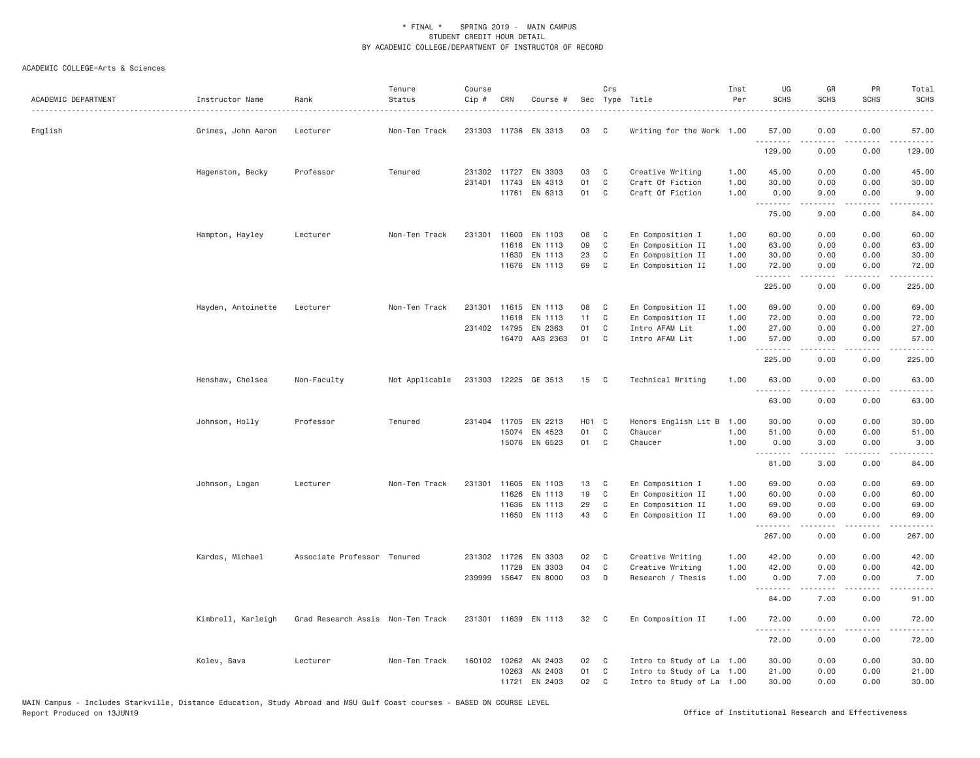| ACADEMIC DEPARTMENT | Instructor Name    | Rank                              | Tenure<br>Status<br>. | Course<br>Cip # | CRN                   | Course #             |                   | Crs               | Sec Type Title                       | Inst<br>Per  | UG<br><b>SCHS</b>                      | GR<br><b>SCHS</b>  | PR<br><b>SCHS</b>                   | Total<br><b>SCHS</b><br>$\omega$ is $\omega$ in . |
|---------------------|--------------------|-----------------------------------|-----------------------|-----------------|-----------------------|----------------------|-------------------|-------------------|--------------------------------------|--------------|----------------------------------------|--------------------|-------------------------------------|---------------------------------------------------|
| English             | Grimes, John Aaron | Lecturer                          | Non-Ten Track         |                 |                       | 231303 11736 EN 3313 | 03                | C                 | Writing for the Work 1.00            |              | 57.00<br>.                             | 0.00               | 0.00<br>$\sim 100$                  | 57.00<br>.                                        |
|                     |                    |                                   |                       |                 |                       |                      |                   |                   |                                      |              | 129.00                                 | 0.00               | 0.00                                | 129.00                                            |
|                     | Hagenston, Becky   | Professor                         | Tenured               |                 | 231302 11727          | EN 3303              | 03                | C                 | Creative Writing                     | 1.00         | 45.00                                  | 0.00               | 0.00                                | 45.00                                             |
|                     |                    |                                   |                       |                 | 231401 11743<br>11761 | EN 4313<br>EN 6313   | 01<br>01          | $\mathsf{C}$<br>C | Craft Of Fiction<br>Craft Of Fiction | 1.00<br>1.00 | 30.00<br>0.00                          | 0.00<br>9.00       | 0.00<br>0.00                        | 30.00<br>9.00                                     |
|                     |                    |                                   |                       |                 |                       |                      |                   |                   |                                      |              | <b><i><u><u>.</u></u></i></b><br>75.00 | .<br>9.00          | .<br>0.00                           | .<br>84.00                                        |
|                     |                    | Lecturer                          | Non-Ten Track         | 231301          | 11600                 | EN 1103              | 08                | C                 | En Composition I                     | 1.00         | 60.00                                  | 0.00               | 0.00                                | 60.00                                             |
|                     | Hampton, Hayley    |                                   |                       |                 | 11616                 | EN 1113              | 09                | $\mathbb C$       | En Composition II                    | 1.00         | 63.00                                  | 0.00               | 0.00                                | 63.00                                             |
|                     |                    |                                   |                       |                 | 11630                 | EN 1113              | 23                | C                 | En Composition II                    | 1.00         | 30.00                                  | 0.00               | 0.00                                | 30.00                                             |
|                     |                    |                                   |                       |                 |                       | 11676 EN 1113        | 69                | C                 | En Composition II                    | 1.00         | 72.00                                  | 0.00               | 0.00                                | 72.00                                             |
|                     |                    |                                   |                       |                 |                       |                      |                   |                   |                                      |              | .<br>225.00                            | . <b>.</b><br>0.00 | .<br>0.00                           | <u>.</u><br>225.00                                |
|                     |                    |                                   |                       |                 |                       |                      |                   |                   |                                      |              |                                        |                    |                                     |                                                   |
|                     | Hayden, Antoinette | Lecturer                          | Non-Ten Track         | 231301          | 11615                 | EN 1113              | 08                | C                 | En Composition II                    | 1.00         | 69.00                                  | 0.00               | 0.00                                | 69.00                                             |
|                     |                    |                                   |                       |                 | 11618<br>231402 14795 | EN 1113<br>EN 2363   | 11<br>01          | C<br>$\mathsf{C}$ | En Composition II<br>Intro AFAM Lit  | 1.00<br>1.00 | 72.00<br>27.00                         | 0.00<br>0.00       | 0.00<br>0.00                        | 72.00<br>27.00                                    |
|                     |                    |                                   |                       |                 | 16470                 | AAS 2363             | 01                | C                 | Intro AFAM Lit                       | 1.00         | 57.00                                  | 0.00               | 0.00                                | 57.00                                             |
|                     |                    |                                   |                       |                 |                       |                      |                   |                   |                                      |              | .                                      | .                  | $   -$                              | .                                                 |
|                     |                    |                                   |                       |                 |                       |                      |                   |                   |                                      |              | 225.00                                 | 0.00               | 0.00                                | 225.00                                            |
|                     | Henshaw, Chelsea   | Non-Faculty                       | Not Applicable        |                 |                       | 231303 12225 GE 3513 | 15                | $\mathbf{C}$      | Technical Writing                    | 1.00         | 63,00<br>.                             | 0.00               | 0.00                                | 63,00                                             |
|                     |                    |                                   |                       |                 |                       |                      |                   |                   |                                      |              | 63.00                                  | 0.00               | 0.00                                | 63.00                                             |
|                     | Johnson, Holly     | Professor                         | Tenured               | 231404          | 11705                 | EN 2213              | H <sub>01</sub> C |                   | Honors English Lit B                 | 1.00         | 30.00                                  | 0.00               | 0.00                                | 30.00                                             |
|                     |                    |                                   |                       |                 | 15074                 | EN 4523              | 01                | $\mathbb C$       | Chaucer                              | 1.00         | 51.00                                  | 0.00               | 0.00                                | 51.00                                             |
|                     |                    |                                   |                       |                 |                       | 15076 EN 6523        | 01                | C                 | Chaucer                              | 1.00         | 0.00                                   | 3.00               | 0.00                                | 3.00                                              |
|                     |                    |                                   |                       |                 |                       |                      |                   |                   |                                      |              | .<br>81.00                             | -----<br>3.00      | .<br>0.00                           | . د د د د<br>84.00                                |
|                     | Johnson, Logan     | Lecturer                          | Non-Ten Track         | 231301          | 11605                 | EN 1103              | 13                | C                 | En Composition I                     | 1.00         | 69.00                                  | 0.00               | 0.00                                | 69.00                                             |
|                     |                    |                                   |                       |                 | 11626                 | EN 1113              | 19                | C                 | En Composition II                    | 1.00         | 60.00                                  | 0.00               | 0.00                                | 60.00                                             |
|                     |                    |                                   |                       |                 | 11636                 | EN 1113              | 29                | C                 | En Composition II                    | 1.00         | 69.00                                  | 0.00               | 0.00                                | 69.00                                             |
|                     |                    |                                   |                       |                 |                       | 11650 EN 1113        | 43                | $\mathbb C$       | En Composition II                    | 1.00         | 69.00                                  | 0.00<br>.          | 0.00<br>.                           | 69.00<br>2.2.2.2.2.                               |
|                     |                    |                                   |                       |                 |                       |                      |                   |                   |                                      |              | 267.00                                 | 0.00               | 0.00                                | 267.00                                            |
|                     | Kardos, Michael    | Associate Professor Tenured       |                       |                 | 231302 11726          | EN 3303              | 02                | C                 | Creative Writing                     | 1.00         | 42.00                                  | 0.00               | 0.00                                | 42.00                                             |
|                     |                    |                                   |                       |                 | 11728                 | EN 3303              | 04                | C                 | Creative Writing                     | 1.00         | 42.00                                  | 0.00               | 0.00                                | 42.00                                             |
|                     |                    |                                   |                       |                 |                       | 239999 15647 EN 8000 | 03                | D                 | Research / Thesis                    | 1.00         | 0.00<br>.                              | 7.00               | 0.00<br>$\sim$ $\sim$ $\sim$ $\sim$ | 7.00<br>المتمامين                                 |
|                     |                    |                                   |                       |                 |                       |                      |                   |                   |                                      |              | 84.00                                  | 7.00               | 0.00                                | 91.00                                             |
|                     | Kimbrell, Karleigh | Grad Research Assis Non-Ten Track |                       |                 |                       | 231301 11639 EN 1113 | 32                | C                 | En Composition II                    | 1.00         | 72.00<br>.                             | 0.00<br><u>.</u>   | 0.00<br>.                           | 72.00<br>.                                        |
|                     |                    |                                   |                       |                 |                       |                      |                   |                   |                                      |              | 72.00                                  | 0.00               | 0.00                                | 72.00                                             |
|                     | Kolev, Sava        | Lecturer                          | Non-Ten Track         |                 | 160102 10262          | AN 2403              | 02                | C                 | Intro to Study of La 1.00            |              | 30.00                                  | 0.00               | 0.00                                | 30.00                                             |
|                     |                    |                                   |                       |                 | 10263                 | AN 2403              | 01                | C                 | Intro to Study of La 1.00            |              | 21.00                                  | 0.00               | 0.00                                | 21.00                                             |
|                     |                    |                                   |                       |                 | 11721                 | EN 2403              | 02                | $\mathsf{C}$      | Intro to Study of La 1.00            |              | 30.00                                  | 0.00               | 0.00                                | 30.00                                             |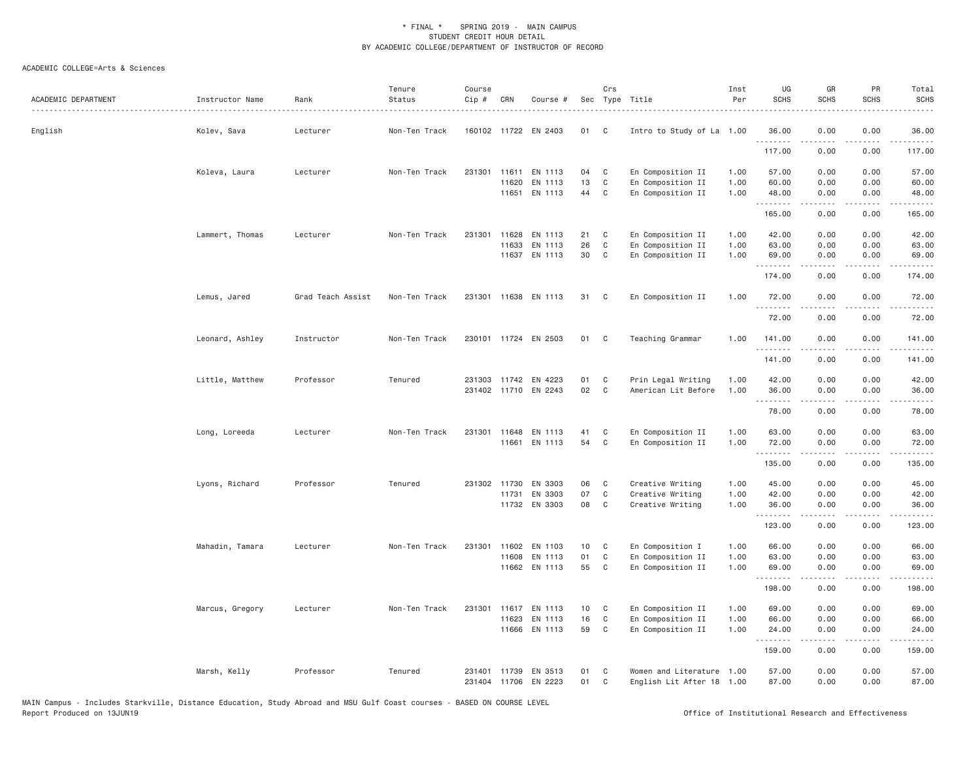| ACADEMIC DEPARTMENT | Instructor Name | Rank              | Tenure<br>Status | Course<br>Cip # | CRN          | Course #             |    | Crs          | Sec Type Title            | Inst<br>Per | UG<br><b>SCHS</b> | GR<br><b>SCHS</b>                                                                                                                                                                       | PR<br><b>SCHS</b>           | Total<br><b>SCHS</b>                                                                                                                                 |
|---------------------|-----------------|-------------------|------------------|-----------------|--------------|----------------------|----|--------------|---------------------------|-------------|-------------------|-----------------------------------------------------------------------------------------------------------------------------------------------------------------------------------------|-----------------------------|------------------------------------------------------------------------------------------------------------------------------------------------------|
| English             | Kolev, Sava     | Lecturer          | Non-Ten Track    |                 |              | 160102 11722 EN 2403 | 01 | C            | Intro to Study of La 1.00 |             | 36.00<br>.        | 0.00                                                                                                                                                                                    | 0.00                        | 36.00                                                                                                                                                |
|                     |                 |                   |                  |                 |              |                      |    |              |                           |             | 117.00            | 0.00                                                                                                                                                                                    | 0.00                        | 117.00                                                                                                                                               |
|                     | Koleva, Laura   | Lecturer          | Non-Ten Track    | 231301          | 11611        | EN 1113              | 04 | C            | En Composition II         | 1.00        | 57.00             | 0.00                                                                                                                                                                                    | 0.00                        | 57.00                                                                                                                                                |
|                     |                 |                   |                  |                 | 11620        | EN 1113              | 13 | C            | En Composition II         | 1.00        | 60.00             | 0.00                                                                                                                                                                                    | 0.00                        | 60.00                                                                                                                                                |
|                     |                 |                   |                  |                 | 11651        | EN 1113              | 44 | $\mathbb C$  | En Composition II         | 1.00        | 48.00<br>.        | 0.00<br>$- - - - -$                                                                                                                                                                     | 0.00<br>.                   | 48.00<br>.                                                                                                                                           |
|                     |                 |                   |                  |                 |              |                      |    |              |                           |             | 165.00            | 0.00                                                                                                                                                                                    | 0.00                        | 165.00                                                                                                                                               |
|                     | Lammert, Thomas | Lecturer          | Non-Ten Track    | 231301          | 11628        | EN 1113              | 21 | C            | En Composition II         | 1.00        | 42.00             | 0.00                                                                                                                                                                                    | 0.00                        | 42.00                                                                                                                                                |
|                     |                 |                   |                  |                 | 11633        | EN 1113              | 26 | C            | En Composition II         | 1.00        | 63.00             | 0.00                                                                                                                                                                                    | 0.00                        | 63.00                                                                                                                                                |
|                     |                 |                   |                  |                 |              | 11637 EN 1113        | 30 | $\mathbb C$  | En Composition II         | 1.00        | 69.00<br>.        | 0.00<br>.                                                                                                                                                                               | 0.00<br>د د د د             | 69.00                                                                                                                                                |
|                     |                 |                   |                  |                 |              |                      |    |              |                           |             | 174.00            | 0.00                                                                                                                                                                                    | 0.00                        | 174.00                                                                                                                                               |
|                     | Lemus, Jared    | Grad Teach Assist | Non-Ten Track    |                 |              | 231301 11638 EN 1113 | 31 | C            | En Composition II         | 1.00        | 72.00             | 0.00                                                                                                                                                                                    | 0.00                        | 72.00                                                                                                                                                |
|                     |                 |                   |                  |                 |              |                      |    |              |                           |             | .<br>72.00        | $\frac{1}{2} \left( \frac{1}{2} \right) \left( \frac{1}{2} \right) \left( \frac{1}{2} \right) \left( \frac{1}{2} \right) \left( \frac{1}{2} \right) \left( \frac{1}{2} \right)$<br>0.00 | .<br>0.00                   | .<br>72.00                                                                                                                                           |
|                     | Leonard, Ashley | Instructor        | Non-Ten Track    |                 |              | 230101 11724 EN 2503 | 01 | C            | Teaching Grammar          | 1.00        | 141.00            | 0.00                                                                                                                                                                                    | 0.00                        | 141.00                                                                                                                                               |
|                     |                 |                   |                  |                 |              |                      |    |              |                           |             | .                 | .                                                                                                                                                                                       | $\sim$ $\sim$ $\sim$ $\sim$ | $\frac{1}{2} \left( \frac{1}{2} \right) \left( \frac{1}{2} \right) \left( \frac{1}{2} \right) \left( \frac{1}{2} \right) \left( \frac{1}{2} \right)$ |
|                     |                 |                   |                  |                 |              |                      |    |              |                           |             | 141.00            | 0.00                                                                                                                                                                                    | 0.00                        | 141.00                                                                                                                                               |
|                     | Little, Matthew | Professor         | Tenured          |                 |              | 231303 11742 EN 4223 | 01 | C            | Prin Legal Writing        | 1.00        | 42.00             | 0.00                                                                                                                                                                                    | 0.00                        | 42.00                                                                                                                                                |
|                     |                 |                   |                  |                 |              | 231402 11710 EN 2243 | 02 | $\mathsf{C}$ | American Lit Before       | 1.00        | 36.00<br>.        | 0.00                                                                                                                                                                                    | 0.00                        | 36.00<br>.                                                                                                                                           |
|                     |                 |                   |                  |                 |              |                      |    |              |                           |             | 78.00             | 0.00                                                                                                                                                                                    | 0.00                        | 78.00                                                                                                                                                |
|                     | Long, Loreeda   | Lecturer          | Non-Ten Track    |                 |              | 231301 11648 EN 1113 | 41 | C            | En Composition II         | 1.00        | 63.00             | 0.00                                                                                                                                                                                    | 0.00                        | 63.00                                                                                                                                                |
|                     |                 |                   |                  |                 |              | 11661 EN 1113        | 54 | $\mathbb C$  | En Composition II         | 1.00        | 72.00             | 0.00                                                                                                                                                                                    | 0.00                        | 72.00                                                                                                                                                |
|                     |                 |                   |                  |                 |              |                      |    |              |                           |             | .<br>135.00       | $- - - - -$<br>0.00                                                                                                                                                                     | .<br>0.00                   | .<br>135.00                                                                                                                                          |
|                     | Lyons, Richard  | Professor         | Tenured          |                 | 231302 11730 | EN 3303              | 06 | C            | Creative Writing          | 1.00        | 45.00             | 0.00                                                                                                                                                                                    | 0.00                        | 45.00                                                                                                                                                |
|                     |                 |                   |                  |                 | 11731        | EN 3303              | 07 | C            | Creative Writing          | 1.00        | 42.00             | 0.00                                                                                                                                                                                    | 0.00                        | 42.00                                                                                                                                                |
|                     |                 |                   |                  |                 |              | 11732 EN 3303        | 08 | C            | Creative Writing          | 1.00        | 36.00<br><u>.</u> | 0.00<br>.                                                                                                                                                                               | 0.00                        | 36.00<br>.                                                                                                                                           |
|                     |                 |                   |                  |                 |              |                      |    |              |                           |             | 123.00            | 0.00                                                                                                                                                                                    | 0.00                        | 123.00                                                                                                                                               |
|                     | Mahadin, Tamara | Lecturer          | Non-Ten Track    |                 |              | 231301 11602 EN 1103 | 10 | C            | En Composition I          | 1.00        | 66.00             | 0.00                                                                                                                                                                                    | 0.00                        | 66.00                                                                                                                                                |
|                     |                 |                   |                  |                 | 11608        | EN 1113              | 01 | C            | En Composition II         | 1.00        | 63.00             | 0.00                                                                                                                                                                                    | 0.00                        | 63.00                                                                                                                                                |
|                     |                 |                   |                  |                 |              | 11662 EN 1113        | 55 | C            | En Composition II         | 1.00        | 69.00<br>.        | 0.00                                                                                                                                                                                    | 0.00                        | 69.00                                                                                                                                                |
|                     |                 |                   |                  |                 |              |                      |    |              |                           |             | 198.00            | 0.00                                                                                                                                                                                    | 0.00                        | 198.00                                                                                                                                               |
|                     | Marcus, Gregory | Lecturer          | Non-Ten Track    |                 |              | 231301 11617 EN 1113 | 10 | C            | En Composition II         | 1.00        | 69.00             | 0.00                                                                                                                                                                                    | 0.00                        | 69.00                                                                                                                                                |
|                     |                 |                   |                  |                 | 11623        | EN 1113              | 16 | C            | En Composition II         | 1.00        | 66.00             | 0.00                                                                                                                                                                                    | 0.00                        | 66.00                                                                                                                                                |
|                     |                 |                   |                  |                 | 11666        | EN 1113              | 59 | C            | En Composition II         | 1.00        | 24.00<br>.        | 0.00<br>$- - - - -$                                                                                                                                                                     | 0.00<br>.                   | 24.00<br>.                                                                                                                                           |
|                     |                 |                   |                  |                 |              |                      |    |              |                           |             | 159.00            | 0.00                                                                                                                                                                                    | 0.00                        | 159.00                                                                                                                                               |
|                     | Marsh, Kelly    | Professor         | Tenured          | 231401          | 11739        | EN 3513              | 01 | C            | Women and Literature 1.00 |             | 57.00             | 0.00                                                                                                                                                                                    | 0.00                        | 57.00                                                                                                                                                |
|                     |                 |                   |                  | 231404          |              | 11706 EN 2223        | 01 | C            | English Lit After 18      | 1.00        | 87.00             | 0.00                                                                                                                                                                                    | 0.00                        | 87.00                                                                                                                                                |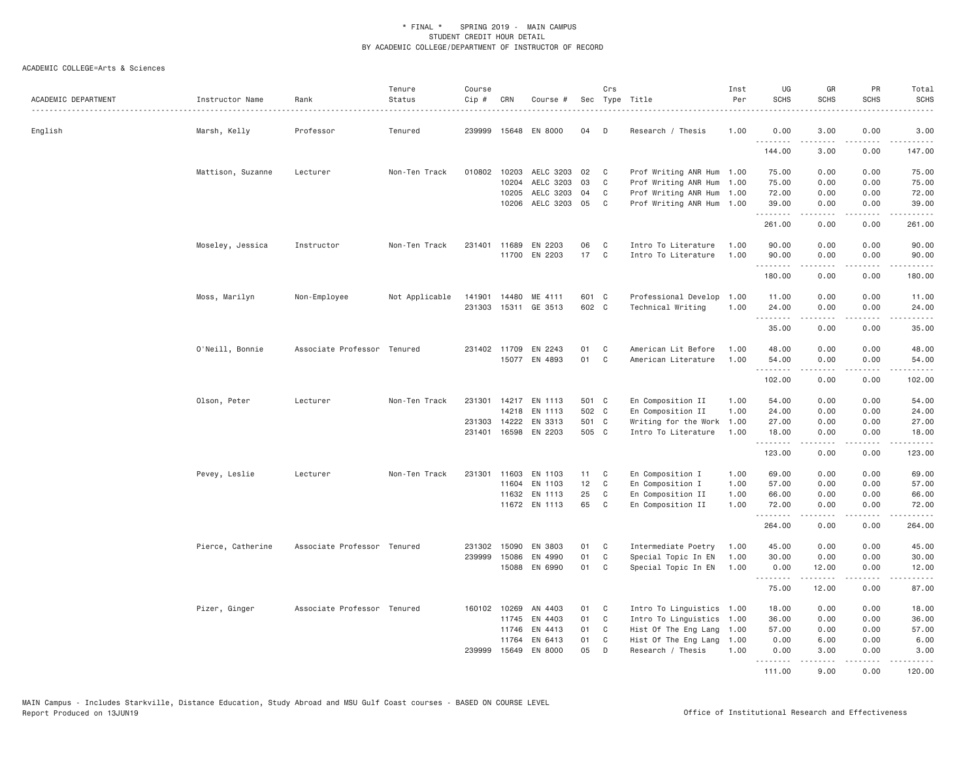| ACADEMIC DEPARTMENT | Instructor Name   | Rank                        | Tenure<br>Status | Course<br>$Cip$ # | CRN          | Course #             | Sec   | Crs | Type Title                | Inst<br>Per | UG<br><b>SCHS</b>               | GR<br><b>SCHS</b>                                                                                                                                             | PR<br><b>SCHS</b>                   | Total<br><b>SCHS</b>                        |
|---------------------|-------------------|-----------------------------|------------------|-------------------|--------------|----------------------|-------|-----|---------------------------|-------------|---------------------------------|---------------------------------------------------------------------------------------------------------------------------------------------------------------|-------------------------------------|---------------------------------------------|
| English             | Marsh, Kelly      | Professor                   | Tenured          | 239999            |              | 15648 EN 8000        | 04    | D   | Research / Thesis         | 1.00        | 0.00                            | 3.00<br>.                                                                                                                                                     | 0.00<br>.                           | 3.00<br>$\omega$ is $\omega$ in $\omega$ is |
|                     |                   |                             |                  |                   |              |                      |       |     |                           |             | 144.00                          | 3.00                                                                                                                                                          | 0.00                                | 147.00                                      |
|                     | Mattison, Suzanne | Lecturer                    | Non-Ten Track    |                   | 010802 10203 | AELC 3203            | 02    | C   | Prof Writing ANR Hum 1.00 |             | 75.00                           | 0.00                                                                                                                                                          | 0.00                                | 75.00                                       |
|                     |                   |                             |                  |                   | 10204        | AELC 3203            | 03    | C   | Prof Writing ANR Hum      | 1.00        | 75.00                           | 0.00                                                                                                                                                          | 0.00                                | 75.00                                       |
|                     |                   |                             |                  |                   | 10205        | AELC 3203            | 04    | C   | Prof Writing ANR Hum 1.00 |             | 72.00                           | 0.00                                                                                                                                                          | 0.00                                | 72.00                                       |
|                     |                   |                             |                  |                   |              | 10206 AELC 3203 05   |       | C   | Prof Writing ANR Hum 1.00 |             | 39.00<br>.                      | 0.00<br>.                                                                                                                                                     | 0.00<br>$\sim$ $\sim$ $\sim$ $\sim$ | 39.00<br>.                                  |
|                     |                   |                             |                  |                   |              |                      |       |     |                           |             | 261.00                          | 0.00                                                                                                                                                          | 0.00                                | 261.00                                      |
|                     | Moseley, Jessica  | Instructor                  | Non-Ten Track    | 231401            | 11689        | EN 2203              | 06    | C   | Intro To Literature       | 1.00        | 90.00                           | 0.00                                                                                                                                                          | 0.00                                | 90.00                                       |
|                     |                   |                             |                  |                   | 11700        | EN 2203              | 17    | C   | Intro To Literature       | 1,00        | 90.00                           | 0.00                                                                                                                                                          | 0.00                                | 90.00                                       |
|                     |                   |                             |                  |                   |              |                      |       |     |                           |             | .<br>180.00                     | 0.00                                                                                                                                                          | $\sim$ $\sim$ $\sim$<br>0.00        | المتمامين<br>180.00                         |
|                     | Moss, Marilyn     | Non-Employee                | Not Applicable   | 141901            |              | 14480 ME 4111        | 601 C |     | Professional Develop 1.00 |             | 11.00                           | 0.00                                                                                                                                                          | 0.00                                | 11.00                                       |
|                     |                   |                             |                  | 231303            |              | 15311 GE 3513        | 602 C |     | Technical Writing         | 1.00        | 24.00                           | 0.00                                                                                                                                                          | 0.00                                | 24.00                                       |
|                     |                   |                             |                  |                   |              |                      |       |     |                           |             | <b></b>                         | <u>.</u>                                                                                                                                                      | .                                   | .                                           |
|                     |                   |                             |                  |                   |              |                      |       |     |                           |             | 35.00                           | 0.00                                                                                                                                                          | 0.00                                | 35.00                                       |
|                     | O'Neill, Bonnie   | Associate Professor Tenured |                  |                   |              | 231402 11709 EN 2243 | 01    | C   | American Lit Before       | 1.00        | 48.00                           | 0.00                                                                                                                                                          | 0.00                                | 48.00                                       |
|                     |                   |                             |                  |                   |              | 15077 EN 4893        | 01    | C   | American Literature       | 1.00        | 54.00                           | 0.00                                                                                                                                                          | 0.00                                | 54.00                                       |
|                     |                   |                             |                  |                   |              |                      |       |     |                           |             | .<br>102.00                     | .<br>0.00                                                                                                                                                     | .<br>0.00                           | .<br>102.00                                 |
|                     | Olson, Peter      | Lecturer                    | Non-Ten Track    |                   |              | 231301 14217 EN 1113 | 501 C |     | En Composition II         | 1.00        | 54.00                           | 0.00                                                                                                                                                          | 0.00                                | 54.00                                       |
|                     |                   |                             |                  |                   |              | 14218 EN 1113        | 502 C |     | En Composition II         | 1.00        | 24.00                           | 0.00                                                                                                                                                          | 0.00                                | 24.00                                       |
|                     |                   |                             |                  | 231303            |              | 14222 EN 3313        | 501 C |     | Writing for the Work      | 1.00        | 27.00                           | 0.00                                                                                                                                                          | 0.00                                | 27.00                                       |
|                     |                   |                             |                  |                   |              | 231401 16598 EN 2203 | 505 C |     | Intro To Literature       | 1.00        | 18.00                           | 0.00                                                                                                                                                          | 0.00                                | 18.00                                       |
|                     |                   |                             |                  |                   |              |                      |       |     |                           |             | <b><i><u></u></i></b><br>123.00 | .<br>0.00                                                                                                                                                     | د د د د<br>0.00                     | .<br>123.00                                 |
|                     | Pevey, Leslie     | Lecturer                    | Non-Ten Track    |                   |              | 231301 11603 EN 1103 | 11    | C   | En Composition I          | 1.00        | 69.00                           | 0.00                                                                                                                                                          | 0.00                                | 69.00                                       |
|                     |                   |                             |                  |                   | 11604        | EN 1103              | 12    | C   | En Composition I          | 1.00        | 57.00                           | 0.00                                                                                                                                                          | 0.00                                | 57.00                                       |
|                     |                   |                             |                  |                   | 11632        | EN 1113              | 25    | C   | En Composition II         | 1.00        | 66.00                           | 0.00                                                                                                                                                          | 0.00                                | 66.00                                       |
|                     |                   |                             |                  |                   |              | 11672 EN 1113        | 65    | C   | En Composition II         | 1.00        | 72.00                           | 0.00                                                                                                                                                          | 0.00<br>.                           | 72.00                                       |
|                     |                   |                             |                  |                   |              |                      |       |     |                           |             | --------<br>264.00              | -----<br>0.00                                                                                                                                                 | 0.00                                | .<br>264.00                                 |
|                     | Pierce, Catherine | Associate Professor Tenured |                  | 231302            | 15090        | EN 3803              | 01    | C   | Intermediate Poetry       | 1.00        | 45.00                           | 0.00                                                                                                                                                          | 0.00                                | 45.00                                       |
|                     |                   |                             |                  | 239999            | 15086        | EN 4990              | 01    | C   | Special Topic In EN       | 1.00        | 30.00                           | 0.00                                                                                                                                                          | 0.00                                | 30.00                                       |
|                     |                   |                             |                  |                   |              | 15088 EN 6990        | 01    | C   | Special Topic In EN       | 1.00        | 0.00                            | 12.00                                                                                                                                                         | 0.00                                | 12.00                                       |
|                     |                   |                             |                  |                   |              |                      |       |     |                           |             | .<br>75.00                      | $\frac{1}{2} \left( \frac{1}{2} \right) \left( \frac{1}{2} \right) \left( \frac{1}{2} \right) \left( \frac{1}{2} \right) \left( \frac{1}{2} \right)$<br>12.00 | د د د د<br>0.00                     | د د د د د<br>87.00                          |
|                     | Pizer, Ginger     | Associate Professor Tenured |                  | 160102 10269      |              | AN 4403              | 01    | C   | Intro To Linguistics      | 1.00        | 18.00                           | 0.00                                                                                                                                                          | 0.00                                | 18.00                                       |
|                     |                   |                             |                  |                   | 11745        | EN 4403              | 01    | C   | Intro To Linguistics      | 1.00        | 36.00                           | 0.00                                                                                                                                                          | 0.00                                | 36.00                                       |
|                     |                   |                             |                  |                   |              | 11746 EN 4413        | 01    | C   | Hist Of The Eng Lang 1.00 |             | 57.00                           | 0.00                                                                                                                                                          | 0.00                                | 57.00                                       |
|                     |                   |                             |                  |                   | 11764        | EN 6413              | 01    | C   | Hist Of The Eng Lang      | 1.00        | 0.00                            | 6.00                                                                                                                                                          | 0.00                                | 6.00                                        |
|                     |                   |                             |                  | 239999            | 15649        | EN 8000              | 05    | D   | Research / Thesis         | 1.00        | 0.00                            | 3.00                                                                                                                                                          | 0.00                                | 3.00                                        |
|                     |                   |                             |                  |                   |              |                      |       |     |                           |             | .<br>111.00                     | 9.00                                                                                                                                                          | .<br>0.00                           | 120.00                                      |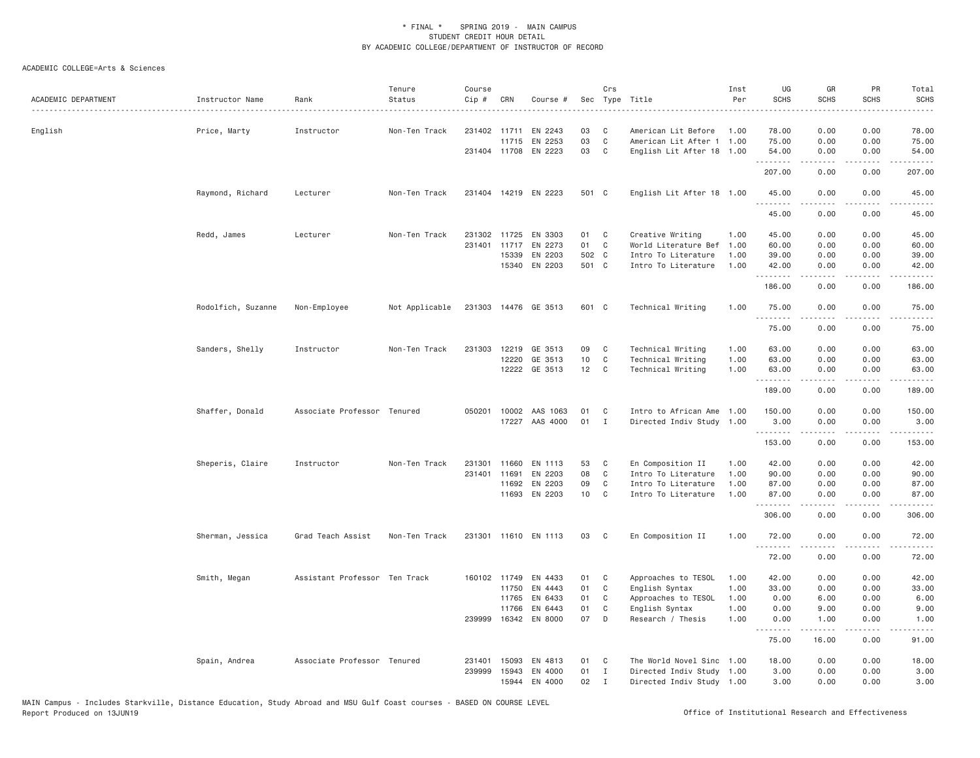| ACADEMIC DEPARTMENT | Instructor Name    | Rank                          | Tenure<br>Status | Course<br>Cip # | CRN          | Course #             | Sec   | Crs          | Type Title                | Inst<br>Per | UG<br><b>SCHS</b>    | GR<br><b>SCHS</b> | PR<br><b>SCHS</b> | Total<br><b>SCHS</b> |
|---------------------|--------------------|-------------------------------|------------------|-----------------|--------------|----------------------|-------|--------------|---------------------------|-------------|----------------------|-------------------|-------------------|----------------------|
| English             | Price, Marty       | Instructor                    | Non-Ten Track    |                 |              | 231402 11711 EN 2243 | 03    | C            | American Lit Before       | 1,00        | 78,00                | 0.00              | 0.00              | 78,00                |
|                     |                    |                               |                  |                 |              | 11715 EN 2253        | 03    | $\mathsf{C}$ | American Lit After 1 1.00 |             | 75.00                | 0.00              | 0.00              | 75.00                |
|                     |                    |                               |                  |                 |              | 231404 11708 EN 2223 | 03    | C            | English Lit After 18 1.00 |             | 54.00<br>.           | 0.00<br>.         | 0.00<br>.         | 54.00<br>.           |
|                     |                    |                               |                  |                 |              |                      |       |              |                           |             | 207.00               | 0.00              | 0.00              | 207.00               |
|                     | Raymond, Richard   | Lecturer                      | Non-Ten Track    |                 |              | 231404 14219 EN 2223 | 501 C |              | English Lit After 18 1.00 |             | 45.00<br>.           | 0.00<br>.         | 0.00<br>.         | 45.00<br>.           |
|                     |                    |                               |                  |                 |              |                      |       |              |                           |             | 45.00                | 0.00              | 0.00              | 45.00                |
|                     | Redd, James        | Lecturer                      | Non-Ten Track    | 231302          | 11725        | EN 3303              | 01    | C            | Creative Writing          | 1.00        | 45.00                | 0.00              | 0.00              | 45.00                |
|                     |                    |                               |                  | 231401          | 11717        | EN 2273              | 01    | C            | World Literature Bef      | 1.00        | 60.00                | 0.00              | 0.00              | 60.00                |
|                     |                    |                               |                  |                 | 15339        | EN 2203              | 502 C |              | Intro To Literature       | 1.00        | 39.00                | 0.00              | 0.00              | 39.00                |
|                     |                    |                               |                  |                 |              | 15340 EN 2203        | 501 C |              | Intro To Literature       | 1.00        | 42.00<br>.           | 0.00<br>.         | 0.00<br>.         | 42.00<br>.           |
|                     |                    |                               |                  |                 |              |                      |       |              |                           |             | 186.00               | 0.00              | 0.00              | 186.00               |
|                     | Rodolfich, Suzanne | Non-Employee                  | Not Applicable   | 231303          |              | 14476 GE 3513        | 601 C |              | Technical Writing         | 1.00        | 75.00<br>.           | 0.00              | 0.00<br>.         | 75.00<br>.           |
|                     |                    |                               |                  |                 |              |                      |       |              |                           |             | 75.00                | 0.00              | 0.00              | 75.00                |
|                     | Sanders, Shelly    | Instructor                    | Non-Ten Track    | 231303          | 12219        | GE 3513              | 09    | C            | Technical Writing         | 1.00        | 63.00                | 0.00              | 0.00              | 63.00                |
|                     |                    |                               |                  |                 | 12220        | GE 3513              | 10    | C            | Technical Writing         | 1.00        | 63.00                | 0.00              | 0.00              | 63.00                |
|                     |                    |                               |                  |                 |              | 12222 GE 3513        | 12    | C            | Technical Writing         | 1.00        | 63.00                | 0.00              | 0.00              | 63.00<br>.           |
|                     |                    |                               |                  |                 |              |                      |       |              |                           |             | .<br>189.00          | -----<br>0.00     | .<br>0.00         | 189.00               |
|                     | Shaffer, Donald    | Associate Professor Tenured   |                  | 050201          | 10002        | AAS 1063             | 01    | C            | Intro to African Ame      | 1.00        | 150.00               | 0.00              | 0.00              | 150.00               |
|                     |                    |                               |                  |                 |              | 17227 AAS 4000       | 01    | $\mathbf{I}$ | Directed Indiv Study 1.00 |             | 3.00                 | 0.00              | 0.00              | 3.00                 |
|                     |                    |                               |                  |                 |              |                      |       |              |                           |             | . <i>.</i><br>153.00 | 0.00              | د د د د<br>0.00   | .<br>153.00          |
|                     | Sheperis, Claire   | Instructor                    | Non-Ten Track    | 231301          | 11660        | EN 1113              | 53    | C            | En Composition II         | 1.00        | 42.00                | 0.00              | 0.00              | 42.00                |
|                     |                    |                               |                  | 231401          | 11691        | EN 2203              | 08    | C            | Intro To Literature       | 1.00        | 90.00                | 0.00              | 0.00              | 90.00                |
|                     |                    |                               |                  |                 | 11692        | EN 2203              | 09    | C            | Intro To Literature       | 1.00        | 87.00                | 0.00              | 0.00              | 87.00                |
|                     |                    |                               |                  |                 |              | 11693 EN 2203        | 10    | $\mathbf{C}$ | Intro To Literature       | 1.00        | 87.00                | 0.00              | 0.00              | 87.00                |
|                     |                    |                               |                  |                 |              |                      |       |              |                           |             | .<br>306.00          | .<br>0.00         | .<br>0.00         | .<br>306.00          |
|                     | Sherman, Jessica   | Grad Teach Assist             | Non-Ten Track    |                 |              | 231301 11610 EN 1113 | 03    | C            | En Composition II         | 1.00        | 72.00                | 0.00              | 0.00              | 72.00                |
|                     |                    |                               |                  |                 |              |                      |       |              |                           |             | .<br>72.00           | 0.00              | 0.00              | 72.00                |
|                     | Smith, Megan       | Assistant Professor Ten Track |                  |                 | 160102 11749 | EN 4433              | 01    | C            | Approaches to TESOL       | 1.00        | 42.00                | 0.00              | 0.00              | 42.00                |
|                     |                    |                               |                  |                 | 11750        | EN 4443              | 01    | C            | English Syntax            | 1.00        | 33.00                | 0.00              | 0.00              | 33.00                |
|                     |                    |                               |                  |                 | 11765        | EN 6433              | 01    | C            | Approaches to TESOL       | 1.00        | 0.00                 | 6.00              | 0.00              | 6.00                 |
|                     |                    |                               |                  |                 | 11766        | EN 6443              | 01    | C            | English Syntax            | 1.00        | 0.00                 | 9.00              | 0.00              | 9.00                 |
|                     |                    |                               |                  |                 |              | 239999 16342 EN 8000 | 07    | D            | Research / Thesis         | 1.00        | 0.00                 | 1.00              | 0.00              | 1.00                 |
|                     |                    |                               |                  |                 |              |                      |       |              |                           |             | .<br>75.00           | .<br>16.00        | .<br>0.00         | .<br>91.00           |
|                     | Spain, Andrea      | Associate Professor Tenured   |                  | 231401          | 15093        | EN 4813              | 01    | C            | The World Novel Sinc 1.00 |             | 18.00                | 0.00              | 0.00              | 18.00                |
|                     |                    |                               |                  | 239999          | 15943        | EN 4000              | 01    | $\mathbf{I}$ | Directed Indiv Study 1.00 |             | 3.00                 | 0.00              | 0.00              | 3.00                 |
|                     |                    |                               |                  |                 |              | 15944 EN 4000        | 02    | $\mathbf{I}$ | Directed Indiv Study 1.00 |             | 3,00                 | 0.00              | 0.00              | 3.00                 |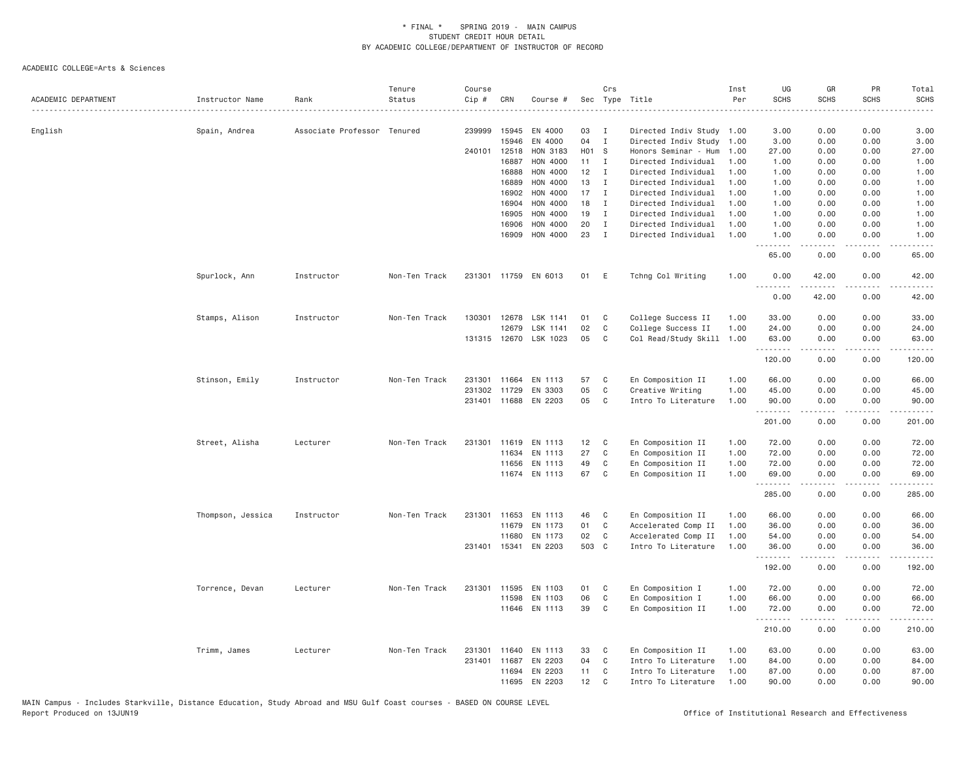| ACADEMIC DEPARTMENT | Instructor Name   | Rank                        | Tenure<br>Status | Course<br>Cip # | CRN          | Course #             | Sec   | Crs          | Type Title           | Inst<br>Per | UG<br><b>SCHS</b> | GR<br><b>SCHS</b> | PR<br><b>SCHS</b>                   | Total<br><b>SCHS</b>                                                                                                                                          |
|---------------------|-------------------|-----------------------------|------------------|-----------------|--------------|----------------------|-------|--------------|----------------------|-------------|-------------------|-------------------|-------------------------------------|---------------------------------------------------------------------------------------------------------------------------------------------------------------|
|                     |                   | Associate Professor Tenured |                  | 239999          | 15945        | EN 4000              | 03    | I            | Directed Indiv Study | 1.00        | 3.00              | 0.00              | 0.00                                | 3.00                                                                                                                                                          |
| English             | Spain, Andrea     |                             |                  |                 | 15946        | EN 4000              | 04    | $\mathbf{I}$ | Directed Indiv Study | 1.00        | 3.00              | 0.00              | 0.00                                | 3.00                                                                                                                                                          |
|                     |                   |                             |                  |                 | 240101 12518 | HON 3183             | H01 S |              | Honors Seminar - Hum | 1.00        | 27.00             | 0.00              | 0.00                                | 27.00                                                                                                                                                         |
|                     |                   |                             |                  |                 | 16887        | HON 4000             | 11    | $\mathbf{I}$ | Directed Individual  | 1.00        | 1.00              | 0.00              | 0.00                                | 1.00                                                                                                                                                          |
|                     |                   |                             |                  |                 | 16888        | HON 4000             | 12    | $\mathbf{I}$ | Directed Individual  | 1.00        | 1.00              | 0.00              | 0.00                                | 1.00                                                                                                                                                          |
|                     |                   |                             |                  |                 | 16889        | HON 4000             | 13    | $\mathbf I$  | Directed Individual  | 1.00        | 1.00              | 0.00              | 0.00                                | 1.00                                                                                                                                                          |
|                     |                   |                             |                  |                 | 16902        | HON 4000             | 17    | $\mathbf{I}$ | Directed Individual  | 1,00        | 1.00              | 0.00              | 0.00                                | 1.00                                                                                                                                                          |
|                     |                   |                             |                  |                 | 16904        | HON 4000             | 18    | I            | Directed Individual  | 1.00        | 1.00              | 0.00              | 0.00                                | 1.00                                                                                                                                                          |
|                     |                   |                             |                  |                 | 16905        | HON 4000             | 19    | I            | Directed Individual  | 1.00        | 1.00              | 0.00              | 0.00                                | 1.00                                                                                                                                                          |
|                     |                   |                             |                  |                 | 16906        | HON 4000             | 20    | $\mathbf I$  | Directed Individual  | 1.00        | 1.00              | 0.00              | 0.00                                | 1.00                                                                                                                                                          |
|                     |                   |                             |                  |                 | 16909        | HON 4000             | 23    | $\mathbf{I}$ | Directed Individual  | 1.00        | 1.00<br>.         | 0.00<br>.         | 0.00<br>$- - - -$                   | 1.00<br>$\sim$ $\sim$ $\sim$ $\sim$                                                                                                                           |
|                     |                   |                             |                  |                 |              |                      |       |              |                      |             | 65.00             | 0.00              | 0.00                                | 65.00                                                                                                                                                         |
|                     | Spurlock, Ann     | Instructor                  | Non-Ten Track    |                 |              | 231301 11759 EN 6013 | 01    | E            | Tchng Col Writing    | 1.00        | 0.00<br><u>.</u>  | 42.00             | 0.00                                | 42.00                                                                                                                                                         |
|                     |                   |                             |                  |                 |              |                      |       |              |                      |             | 0.00              | 42.00             | 0.00                                | 42.00                                                                                                                                                         |
|                     | Stamps, Alison    | Instructor                  | Non-Ten Track    | 130301          | 12678        | LSK 1141             | 01    | C            | College Success II   | 1.00        | 33.00             | 0.00              | 0.00                                | 33.00                                                                                                                                                         |
|                     |                   |                             |                  |                 | 12679        | LSK 1141             | 02    | C            | College Success II   | 1.00        | 24.00             | 0.00              | 0.00                                | 24.00                                                                                                                                                         |
|                     |                   |                             |                  |                 | 131315 12670 | LSK 1023             | 05    | C            | Col Read/Study Skill | 1,00        | 63,00             | 0.00              | 0.00                                | 63.00                                                                                                                                                         |
|                     |                   |                             |                  |                 |              |                      |       |              |                      |             | .                 | -----             | .                                   | .                                                                                                                                                             |
|                     |                   |                             |                  |                 |              |                      |       |              |                      |             | 120.00            | 0.00              | 0.00                                | 120.00                                                                                                                                                        |
|                     | Stinson, Emily    | Instructor                  | Non-Ten Track    | 231301          | 11664        | EN 1113              | 57    | C            | En Composition II    | 1.00        | 66.00             | 0.00              | 0.00                                | 66.00                                                                                                                                                         |
|                     |                   |                             |                  | 231302          | 11729        | EN 3303              | 05    | $\mathsf{C}$ | Creative Writing     | 1.00        | 45.00             | 0.00              | 0.00                                | 45.00                                                                                                                                                         |
|                     |                   |                             |                  |                 | 231401 11688 | EN 2203              | 05    | C            | Intro To Literature  | 1,00        | 90.00<br>.        | 0.00<br>-----     | 0.00<br>$\sim$ $\sim$ $\sim$        | 90.00<br>.                                                                                                                                                    |
|                     |                   |                             |                  |                 |              |                      |       |              |                      |             | 201.00            | 0.00              | 0.00                                | 201.00                                                                                                                                                        |
|                     | Street, Alisha    | Lecturer                    | Non-Ten Track    |                 | 231301 11619 | EN 1113              | 12    | C            | En Composition II    | 1.00        | 72.00             | 0.00              | 0.00                                | 72.00                                                                                                                                                         |
|                     |                   |                             |                  |                 | 11634        | EN 1113              | 27    | C            | En Composition II    | 1.00        | 72.00             | 0.00              | 0.00                                | 72.00                                                                                                                                                         |
|                     |                   |                             |                  |                 | 11656        | EN 1113              | 49    | C            | En Composition II    | 1.00        | 72.00             | 0.00              | 0.00                                | 72.00                                                                                                                                                         |
|                     |                   |                             |                  |                 |              | 11674 EN 1113        | 67    | C            | En Composition II    | 1.00        | 69.00<br>.        | 0.00              | 0.00<br>$- - - -$                   | 69.00                                                                                                                                                         |
|                     |                   |                             |                  |                 |              |                      |       |              |                      |             | 285.00            | .<br>0.00         | 0.00                                | 285.00                                                                                                                                                        |
|                     | Thompson, Jessica | Instructor                  | Non-Ten Track    |                 | 231301 11653 | EN 1113              | 46    | C            | En Composition II    | 1.00        | 66.00             | 0.00              | 0.00                                | 66.00                                                                                                                                                         |
|                     |                   |                             |                  |                 | 11679        | EN 1173              | 01    | C            | Accelerated Comp II  | 1.00        | 36.00             | 0.00              | 0.00                                | 36.00                                                                                                                                                         |
|                     |                   |                             |                  |                 | 11680        | EN 1173              | 02    | C            | Accelerated Comp II  | 1.00        | 54.00             | 0.00              | 0.00                                | 54.00                                                                                                                                                         |
|                     |                   |                             |                  |                 |              | 231401 15341 EN 2203 | 503 C |              | Intro To Literature  | 1.00        | 36.00<br>.        | 0.00<br><u>.</u>  | 0.00<br>.                           | 36.00<br>.                                                                                                                                                    |
|                     |                   |                             |                  |                 |              |                      |       |              |                      |             | 192.00            | 0.00              | 0.00                                | 192.00                                                                                                                                                        |
|                     | Torrence, Devan   | Lecturer                    | Non-Ten Track    | 231301          | 11595        | EN 1103              | 01    | C            | En Composition I     | 1.00        | 72.00             | 0.00              | 0.00                                | 72.00                                                                                                                                                         |
|                     |                   |                             |                  |                 | 11598        | EN 1103              | 06    | C            | En Composition I     | 1.00        | 66.00             | 0.00              | 0.00                                | 66.00                                                                                                                                                         |
|                     |                   |                             |                  |                 | 11646        | EN 1113              | 39    | C            | En Composition II    | 1.00        | 72.00<br>.        | 0.00<br>.         | 0.00<br>$\sim$ $\sim$ $\sim$ $\sim$ | 72.00<br>$\frac{1}{2} \left( \frac{1}{2} \right) \left( \frac{1}{2} \right) \left( \frac{1}{2} \right) \left( \frac{1}{2} \right) \left( \frac{1}{2} \right)$ |
|                     |                   |                             |                  |                 |              |                      |       |              |                      |             | 210.00            | 0.00              | 0.00                                | 210.00                                                                                                                                                        |
|                     | Trimm, James      | Lecturer                    | Non-Ten Track    | 231301          | 11640        | EN 1113              | 33    | C            | En Composition II    | 1.00        | 63.00             | 0.00              | 0.00                                | 63.00                                                                                                                                                         |
|                     |                   |                             |                  | 231401          | 11687        | EN 2203              | 04    | C            | Intro To Literature  | 1,00        | 84.00             | 0.00              | 0.00                                | 84.00                                                                                                                                                         |
|                     |                   |                             |                  |                 | 11694        | EN 2203              | 11    | C            | Intro To Literature  | 1.00        | 87.00             | 0.00              | 0.00                                | 87.00                                                                                                                                                         |
|                     |                   |                             |                  |                 | 11695        | EN 2203              | 12    | C            | Intro To Literature  | 1,00        | 90.00             | 0.00              | 0.00                                | 90.00                                                                                                                                                         |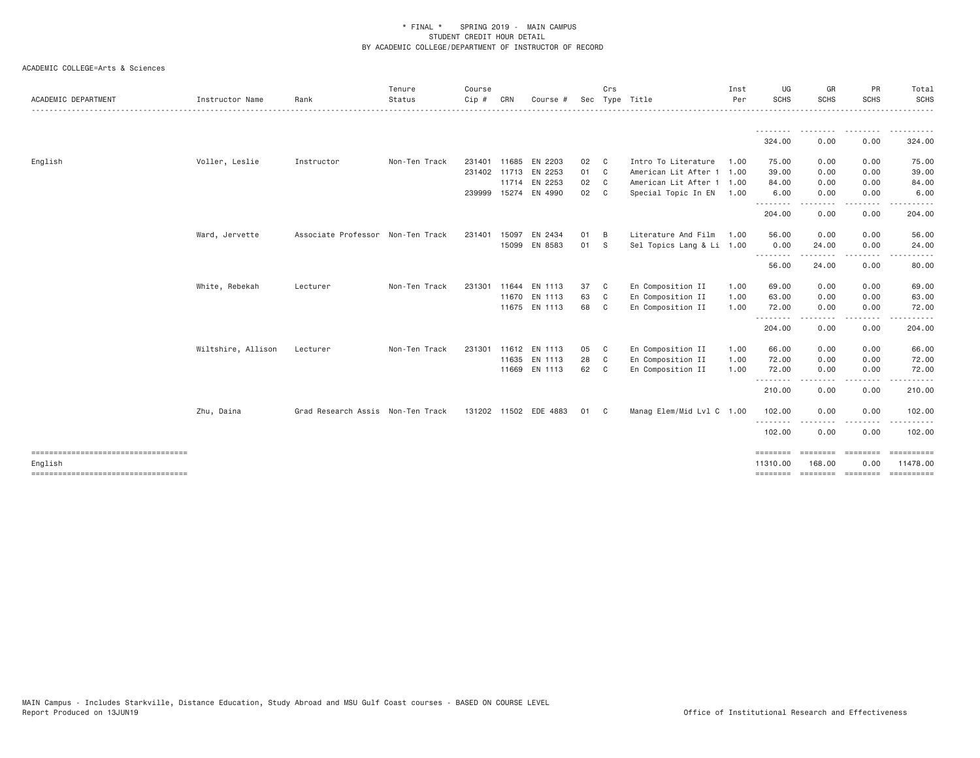| ACADEMIC DEPARTMENT                  | Instructor Name    | Rank                              | Tenure<br>Status<br>--------------------------------- | Course<br>Cip # | CRN   | Course #              |      | Crs          | Sec Type Title            | Inst<br>Per | UG<br><b>SCHS</b> | GR<br><b>SCHS</b>  | PR<br><b>SCHS</b>                                                                                                                 | Total<br><b>SCHS</b><br>. |
|--------------------------------------|--------------------|-----------------------------------|-------------------------------------------------------|-----------------|-------|-----------------------|------|--------------|---------------------------|-------------|-------------------|--------------------|-----------------------------------------------------------------------------------------------------------------------------------|---------------------------|
|                                      |                    |                                   |                                                       |                 |       |                       |      |              |                           |             | .<br>324.00       | .<br>0.00          | .<br>0.00                                                                                                                         | .<br>324.00               |
|                                      |                    |                                   |                                                       |                 |       |                       |      |              |                           |             |                   |                    |                                                                                                                                   |                           |
| English                              | Voller, Leslie     | Instructor                        | Non-Ten Track                                         | 231401          | 11685 | EN 2203               | 02 C |              | Intro To Literature       | 1.00        | 75.00             | 0.00               | 0.00                                                                                                                              | 75.00                     |
|                                      |                    |                                   |                                                       |                 |       | 231402 11713 EN 2253  | 01 C |              | American Lit After 1 1.00 |             | 39.00             | 0.00               | 0.00                                                                                                                              | 39.00                     |
|                                      |                    |                                   |                                                       |                 |       | 11714 EN 2253         | 02 C |              | American Lit After 1 1.00 |             | 84.00             | 0.00               | 0.00                                                                                                                              | 84.00                     |
|                                      |                    |                                   |                                                       |                 |       | 239999 15274 EN 4990  | 02 C |              | Special Topic In EN 1.00  |             | 6.00<br>.         | 0.00<br>.          | 0.00<br>$\frac{1}{2} \left( \frac{1}{2} \right) \left( \frac{1}{2} \right) \left( \frac{1}{2} \right) \left( \frac{1}{2} \right)$ | 6.00                      |
|                                      |                    |                                   |                                                       |                 |       |                       |      |              |                           |             | 204.00            | 0.00               | 0.00                                                                                                                              | 204.00                    |
|                                      | Ward, Jervette     | Associate Professor Non-Ten Track |                                                       | 231401          | 15097 | EN 2434               | 01   | B            | Literature And Film       | 1.00        | 56.00             | 0.00               | 0.00                                                                                                                              | 56.00                     |
|                                      |                    |                                   |                                                       |                 |       | 15099 EN 8583         | 01 S |              | Sel Topics Lang & Li 1.00 |             | 0.00              | 24.00              | 0.00                                                                                                                              | 24.00                     |
|                                      |                    |                                   |                                                       |                 |       |                       |      |              |                           |             | --------<br>56.00 | ------<br>24.00    | .<br>0.00                                                                                                                         | 80.00                     |
|                                      | White, Rebekah     | Lecturer                          | Non-Ten Track                                         | 231301          |       | 11644 EN 1113         | 37   | $\mathbf{C}$ | En Composition II         | 1.00        | 69.00             | 0.00               | 0.00                                                                                                                              | 69.00                     |
|                                      |                    |                                   |                                                       |                 |       | 11670 EN 1113         | 63   | $\mathbf{C}$ | En Composition II         | 1.00        | 63.00             | 0.00               | 0.00                                                                                                                              | 63.00                     |
|                                      |                    |                                   |                                                       |                 |       | 11675 EN 1113         | 68 C |              | En Composition II         | 1.00        | 72.00             | 0.00               | 0.00                                                                                                                              | 72.00                     |
|                                      |                    |                                   |                                                       |                 |       |                       |      |              |                           |             | .<br>204.00       | - - - - -<br>0.00  | .<br>0.00                                                                                                                         | .<br>204.00               |
|                                      | Wiltshire, Allison | Lecturer                          | Non-Ten Track                                         |                 |       | 231301 11612 EN 1113  | 05   | $\mathbf{C}$ | En Composition II         | 1.00        | 66.00             | 0.00               | 0.00                                                                                                                              | 66.00                     |
|                                      |                    |                                   |                                                       |                 |       | 11635 EN 1113         | 28   | $\mathbf{C}$ | En Composition II         | 1.00        | 72.00             | 0.00               | 0.00                                                                                                                              | 72.00                     |
|                                      |                    |                                   |                                                       |                 |       | 11669 EN 1113         | 62 C |              | En Composition II         | 1.00        | 72.00             | 0.00               | 0.00                                                                                                                              | 72.00                     |
|                                      |                    |                                   |                                                       |                 |       |                       |      |              |                           |             | .<br>210.00       | . <b>.</b><br>0.00 | .<br>0.00                                                                                                                         | 210.00                    |
|                                      | Zhu, Daina         | Grad Research Assis Non-Ten Track |                                                       |                 |       | 131202 11502 EDE 4883 | 01 C |              | Manag Elem/Mid Lvl C 1.00 |             | 102.00            | 0.00               | 0.00                                                                                                                              | 102.00                    |
|                                      |                    |                                   |                                                       |                 |       |                       |      |              |                           |             | 102.00            | 0.00               | 0.00                                                                                                                              | ------<br>102.00          |
| -----------------------------------  |                    |                                   |                                                       |                 |       |                       |      |              |                           |             | ========          | <b>ESSESSE</b>     | $=$ =======                                                                                                                       | ==========                |
| English                              |                    |                                   |                                                       |                 |       |                       |      |              |                           |             | 11310.00          | 168.00             | 0.00                                                                                                                              | 11478.00                  |
| ==================================== |                    |                                   |                                                       |                 |       |                       |      |              |                           |             | ========          | ------------------ |                                                                                                                                   | EEEEEEEEE                 |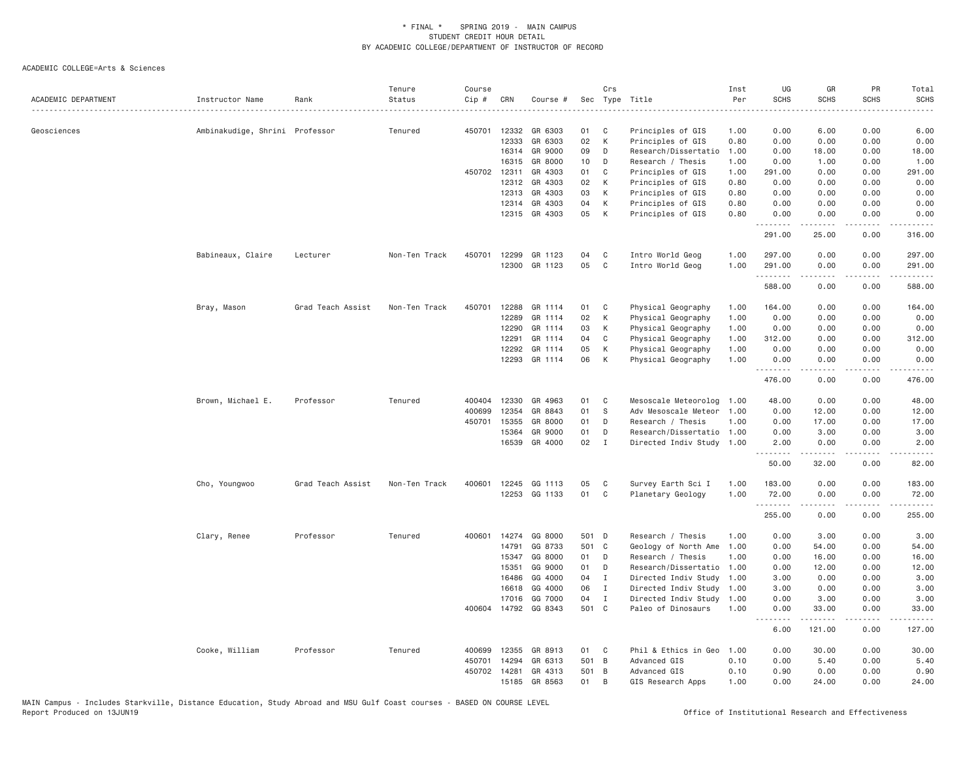| ACADEMIC DEPARTMENT | Instructor Name                | Rank              | Tenure<br>Status | Course<br>Cip # | CRN          | Course #             |       | Crs          | Sec Type Title            | Inst<br>Per | UG<br><b>SCHS</b> | GR<br><b>SCHS</b>                                                                                                                  | PR<br><b>SCHS</b>     | Total<br><b>SCHS</b>            |
|---------------------|--------------------------------|-------------------|------------------|-----------------|--------------|----------------------|-------|--------------|---------------------------|-------------|-------------------|------------------------------------------------------------------------------------------------------------------------------------|-----------------------|---------------------------------|
| Geosciences         | Ambinakudige, Shrini Professor |                   | Tenured          | 450701          | 12332        | GR 6303              | 01    | C            | .<br>Principles of GIS    | 1.00        | 0.00              | 6.00                                                                                                                               | 0.00                  | 6.00                            |
|                     |                                |                   |                  |                 | 12333        | GR 6303              | 02    | К            | Principles of GIS         | 0.80        | 0.00              | 0.00                                                                                                                               | 0.00                  | 0.00                            |
|                     |                                |                   |                  |                 | 16314        | GR 9000              | 09    | D            | Research/Dissertatio      | 1.00        | 0.00              | 18.00                                                                                                                              | 0.00                  | 18.00                           |
|                     |                                |                   |                  |                 | 16315        | GR 8000              | 10    | D            | Research / Thesis         | 1.00        | 0.00              | 1.00                                                                                                                               | 0.00                  | 1.00                            |
|                     |                                |                   |                  |                 | 450702 12311 | GR 4303              | 01    | C            | Principles of GIS         | 1.00        | 291.00            | 0.00                                                                                                                               | 0.00                  | 291.00                          |
|                     |                                |                   |                  |                 | 12312        | GR 4303              | 02    | К            | Principles of GIS         | 0.80        | 0.00              | 0.00                                                                                                                               | 0.00                  | 0.00                            |
|                     |                                |                   |                  |                 | 12313        | GR 4303              | 03    | К            | Principles of GIS         | 0.80        | 0.00              | 0.00                                                                                                                               | 0.00                  | 0.00                            |
|                     |                                |                   |                  |                 | 12314        | GR 4303              | 04    | К            | Principles of GIS         | 0.80        | 0.00              | 0.00                                                                                                                               | 0.00                  | 0.00                            |
|                     |                                |                   |                  |                 |              | 12315 GR 4303        | 05    | K            | Principles of GIS         | 0.80        | 0.00<br>.         | 0.00                                                                                                                               | 0.00<br>$\frac{1}{2}$ | 0.00<br>.                       |
|                     |                                |                   |                  |                 |              |                      |       |              |                           |             | 291.00            | $- - - - -$<br>25.00                                                                                                               | 0.00                  | 316.00                          |
|                     | Babineaux, Claire              | Lecturer          | Non-Ten Track    | 450701          | 12299        | GR 1123              | 04    | C            | Intro World Geog          | 1.00        | 297.00            | 0.00                                                                                                                               | 0.00                  | 297.00                          |
|                     |                                |                   |                  |                 | 12300        | GR 1123              | 05    | C            | Intro World Geog          | 1.00        | 291.00<br>.       | 0.00<br>2.2.2.2.2                                                                                                                  | 0.00<br>.             | 291.00<br>.                     |
|                     |                                |                   |                  |                 |              |                      |       |              |                           |             | 588.00            | 0.00                                                                                                                               | 0.00                  | 588.00                          |
|                     | Bray, Mason                    | Grad Teach Assist | Non-Ten Track    | 450701          | 12288        | GR 1114              | 01    | C            | Physical Geography        | 1.00        | 164.00            | 0.00                                                                                                                               | 0.00                  | 164.00                          |
|                     |                                |                   |                  |                 | 12289        | GR 1114              | 02    | К            | Physical Geography        | 1.00        | 0.00              | 0.00                                                                                                                               | 0.00                  | 0.00                            |
|                     |                                |                   |                  |                 | 12290        | GR 1114              | 03    | К            | Physical Geography        | 1.00        | 0.00              | 0.00                                                                                                                               | 0.00                  | 0.00                            |
|                     |                                |                   |                  |                 | 12291        | GR 1114              | 04    | C            | Physical Geography        | 1.00        | 312.00            | 0.00                                                                                                                               | 0.00                  | 312.00                          |
|                     |                                |                   |                  |                 | 12292        | GR 1114              | 05    | К            | Physical Geography        | 1.00        | 0.00              | 0.00                                                                                                                               | 0.00                  | 0.00                            |
|                     |                                |                   |                  |                 | 12293        | GR 1114              | 06    | К            | Physical Geography        | 1.00        | 0.00<br>.         | 0.00                                                                                                                               | 0.00                  | 0.00                            |
|                     |                                |                   |                  |                 |              |                      |       |              |                           |             | 476.00            | 0.00                                                                                                                               | 0.00                  | 476.00                          |
|                     | Brown, Michael E.              | Professor         | Tenured          |                 | 400404 12330 | GR 4963              | 01    | C            | Mesoscale Meteorolog      | 1.00        | 48.00             | 0.00                                                                                                                               | 0.00                  | 48.00                           |
|                     |                                |                   |                  | 400699          | 12354        | GR 8843              | 01    | S            | Adv Mesoscale Meteor      | 1.00        | 0.00              | 12.00                                                                                                                              | 0.00                  | 12.00                           |
|                     |                                |                   |                  | 450701          | 15355        | GR 8000              | 01    | D            | Research / Thesis         | 1.00        | 0.00              | 17.00                                                                                                                              | 0.00                  | 17.00                           |
|                     |                                |                   |                  |                 | 15364        | GR 9000              | 01    | D            | Research/Dissertatio      | 1.00        | 0.00              | 3.00                                                                                                                               | 0.00                  | 3.00                            |
|                     |                                |                   |                  |                 | 16539        | GR 4000              | 02    | $\mathbf{I}$ | Directed Indiv Study 1.00 |             | 2.00<br>.         | 0.00<br>المتمالين                                                                                                                  | 0.00<br>د د د د       | 2.00<br>$\omega$ and $\omega$ . |
|                     |                                |                   |                  |                 |              |                      |       |              |                           |             | 50.00             | 32.00                                                                                                                              | 0.00                  | 82.00                           |
|                     | Cho, Youngwoo                  | Grad Teach Assist | Non-Ten Track    | 400601          | 12245        | GG 1113              | 05    | C            | Survey Earth Sci I        | 1.00        | 183.00            | 0.00                                                                                                                               | 0.00                  | 183.00                          |
|                     |                                |                   |                  |                 |              | 12253 GG 1133        | 01    | C            | Planetary Geology         | 1.00        | 72.00<br>.        | 0.00<br>د د د د د                                                                                                                  | 0.00<br>.             | 72.00<br>.                      |
|                     |                                |                   |                  |                 |              |                      |       |              |                           |             | 255.00            | 0.00                                                                                                                               | 0.00                  | 255.00                          |
|                     | Clary, Renee                   | Professor         | Tenured          | 400601          | 14274        | GG 8000              | 501 D |              | Research / Thesis         | 1.00        | 0.00              | 3.00                                                                                                                               | 0.00                  | 3.00                            |
|                     |                                |                   |                  |                 | 14791        | GG 8733              |       | 501 C        | Geology of North Ame      | 1.00        | 0.00              | 54.00                                                                                                                              | 0.00                  | 54.00                           |
|                     |                                |                   |                  |                 | 15347        | GG 8000              | 01    | D            | Research / Thesis         | 1,00        | 0.00              | 16.00                                                                                                                              | 0.00                  | 16.00                           |
|                     |                                |                   |                  |                 | 15351        | GG 9000              | 01    | D            | Research/Dissertatio      | 1.00        | 0.00              | 12.00                                                                                                                              | 0.00                  | 12.00                           |
|                     |                                |                   |                  |                 | 16486        | GG 4000              | 04    | $\mathbf I$  | Directed Indiv Study 1.00 |             | 3.00              | 0.00                                                                                                                               | 0.00                  | 3.00                            |
|                     |                                |                   |                  |                 | 16618        | GG 4000              | 06    | $\mathbf{I}$ | Directed Indiv Study      | 1.00        | 3.00              | 0.00                                                                                                                               | 0.00                  | 3.00                            |
|                     |                                |                   |                  |                 | 17016        | GG 7000              | 04    | $\mathbf{I}$ | Directed Indiv Study      | 1.00        | 0.00              | 3.00                                                                                                                               | 0.00                  | 3.00                            |
|                     |                                |                   |                  |                 |              | 400604 14792 GG 8343 | 501 C |              | Paleo of Dinosaurs        | 1.00        | 0.00<br>د د د د   | 33.00<br>$\begin{array}{cccccccccccccc} \bullet & \bullet & \bullet & \bullet & \bullet & \bullet & \bullet & \bullet \end{array}$ | 0.00<br>د د د د       | 33.00<br>.                      |
|                     |                                |                   |                  |                 |              |                      |       |              |                           |             | 6.00              | 121.00                                                                                                                             | 0.00                  | 127.00                          |
|                     | Cooke, William                 | Professor         | Tenured          | 400699          | 12355        | GR 8913              | 01    | C.           | Phil & Ethics in Geo      | 1.00        | 0.00              | 30.00                                                                                                                              | 0.00                  | 30.00                           |
|                     |                                |                   |                  | 450701          | 14294        | GR 6313              | 501 B |              | Advanced GIS              | 0.10        | 0.00              | 5.40                                                                                                                               | 0.00                  | 5.40                            |
|                     |                                |                   |                  |                 | 450702 14281 | GR 4313              | 501 B |              | Advanced GIS              | 0.10        | 0.90              | 0.00                                                                                                                               | 0.00                  | 0.90                            |
|                     |                                |                   |                  |                 | 15185        | GR 8563              | 01    | B            | GIS Research Apps         | 1,00        | 0.00              | 24,00                                                                                                                              | 0.00                  | 24.00                           |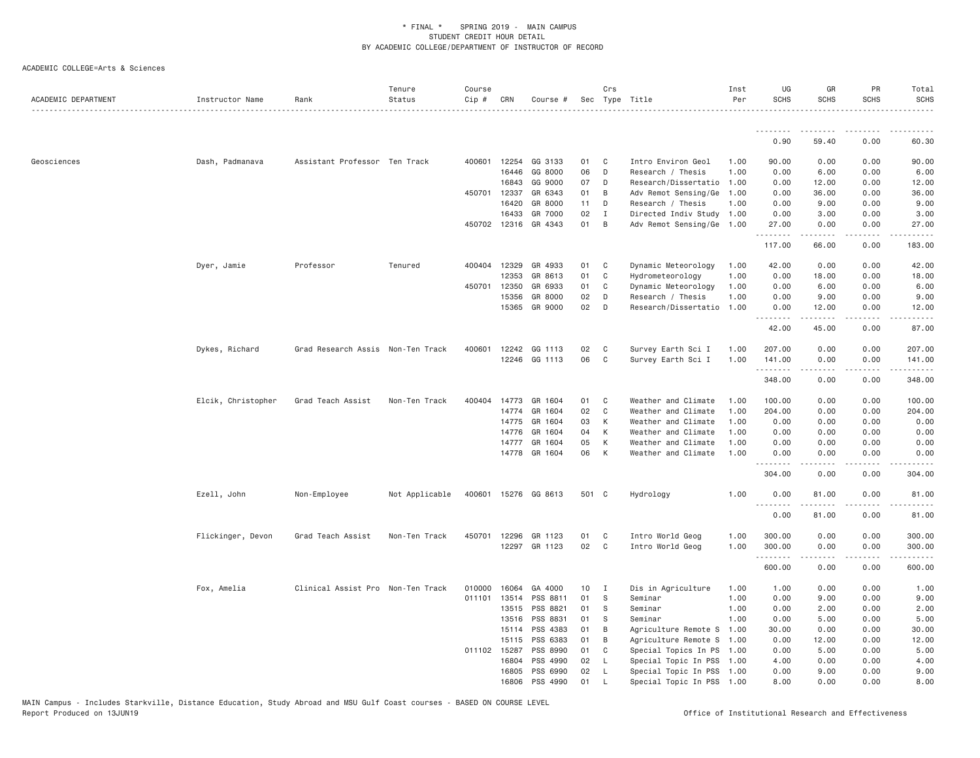| ACADEMIC DEPARTMENT | Instructor Name    | Rank                              | Tenure<br>Status | Course<br>Cip # | CRN          | Course #             |       | Crs          | Sec Type Title            | Inst<br>Per | UG<br><b>SCHS</b> | GR<br><b>SCHS</b>   | PR<br><b>SCHS</b> | Total<br><b>SCHS</b>      |
|---------------------|--------------------|-----------------------------------|------------------|-----------------|--------------|----------------------|-------|--------------|---------------------------|-------------|-------------------|---------------------|-------------------|---------------------------|
|                     |                    |                                   |                  |                 |              |                      |       |              |                           |             |                   |                     |                   |                           |
|                     |                    |                                   |                  |                 |              |                      |       |              |                           |             | 0.90              | 59.40               | 0.00              | 60.30                     |
| Geosciences         | Dash, Padmanava    | Assistant Professor Ten Track     |                  |                 | 400601 12254 | GG 3133              | 01    | $\mathbf{C}$ | Intro Environ Geol        | 1.00        | 90.00             | 0.00                | 0.00              | 90.00                     |
|                     |                    |                                   |                  |                 | 16446        | GG 8000              | 06    | D            | Research / Thesis         | 1.00        | 0.00              | 6.00                | 0.00              | 6.00                      |
|                     |                    |                                   |                  |                 | 16843        | GG 9000              | 07    | D            | Research/Dissertatio 1.00 |             | 0.00              | 12.00               | 0.00              | 12.00                     |
|                     |                    |                                   |                  | 450701          | 12337        | GR 6343              | 01    | B            | Adv Remot Sensing/Ge      | 1.00        | 0.00              | 36.00               | 0.00              | 36.00                     |
|                     |                    |                                   |                  |                 | 16420        | GR 8000              | 11    | D            | Research / Thesis         | 1.00        | 0.00              | 9.00                | 0.00              | 9.00                      |
|                     |                    |                                   |                  |                 | 16433        | GR 7000              | 02    | $\mathbf{I}$ | Directed Indiv Study 1.00 |             | 0.00              | 3.00                | 0.00              | 3.00                      |
|                     |                    |                                   |                  |                 | 450702 12316 | GR 4343              | 01    | B            | Adv Remot Sensing/Ge 1.00 |             | 27.00<br>.        | 0.00                | 0.00              | 27.00                     |
|                     |                    |                                   |                  |                 |              |                      |       |              |                           |             | 117.00            | .<br>66.00          | .<br>0.00         | .<br>183.00               |
|                     | Dyer, Jamie        | Professor                         | Tenured          | 400404          | 12329        | GR 4933              | 01    | $\mathbf{C}$ | Dynamic Meteorology       | 1.00        | 42.00             | 0.00                | 0.00              | 42.00                     |
|                     |                    |                                   |                  |                 | 12353        | GR 8613              | 01    | C            | Hydrometeorology          | 1.00        | 0.00              | 18.00               | 0.00              | 18.00                     |
|                     |                    |                                   |                  |                 | 450701 12350 | GR 6933              | 01    | C            | Dynamic Meteorology       | 1.00        | 0.00              | 6.00                | 0.00              | 6.00                      |
|                     |                    |                                   |                  |                 | 15356        | GR 8000              | 02    | D            | Research / Thesis         | 1.00        | 0.00              | 9.00                | 0.00              | 9.00                      |
|                     |                    |                                   |                  |                 | 15365        | GR 9000              | 02    | D            | Research/Dissertatio      | 1.00        | 0.00              | 12.00               | 0.00              | 12.00                     |
|                     |                    |                                   |                  |                 |              |                      |       |              |                           |             | .<br>42.00        | 45.00               | 0.00              | 87.00                     |
|                     | Dykes, Richard     | Grad Research Assis Non-Ten Track |                  | 400601          | 12242        | GG 1113              | 02    | C            | Survey Earth Sci I        | 1.00        | 207.00            | 0.00                | 0.00              | 207.00                    |
|                     |                    |                                   |                  |                 |              | 12246 GG 1113        | 06    | C            | Survey Earth Sci I        | 1.00        | 141.00            | 0.00                | 0.00              | 141.00                    |
|                     |                    |                                   |                  |                 |              |                      |       |              |                           |             | .<br>348.00       | $- - - - -$<br>0.00 | .<br>0.00         | $- - - - - - -$<br>348.00 |
|                     | Elcik, Christopher | Grad Teach Assist                 | Non-Ten Track    | 400404          | 14773        | GR 1604              | 01    | C            | Weather and Climate       | 1.00        | 100.00            | 0.00                | 0.00              | 100.00                    |
|                     |                    |                                   |                  |                 | 14774        | GR 1604              | 02    | C            | Weather and Climate       | 1.00        | 204.00            | 0.00                | 0.00              | 204.00                    |
|                     |                    |                                   |                  |                 | 14775        | GR 1604              | 03    | K            | Weather and Climate       | 1.00        | 0.00              | 0.00                | 0.00              | 0.00                      |
|                     |                    |                                   |                  |                 | 14776        | GR 1604              | 04    | K            | Weather and Climate       | 1.00        | 0.00              | 0.00                | 0.00              | 0.00                      |
|                     |                    |                                   |                  |                 | 14777        | GR 1604              | 05    | K            | Weather and Climate       | 1.00        | 0.00              | 0.00                | 0.00              | 0.00                      |
|                     |                    |                                   |                  |                 | 14778        | GR 1604              | 06    | K            | Weather and Climate       | 1.00        | 0.00              | 0.00                | 0.00              | 0.00                      |
|                     |                    |                                   |                  |                 |              |                      |       |              |                           |             | .<br>304.00       | 0.00                | 0.00              | 304.00                    |
|                     | Ezell, John        | Non-Employee                      | Not Applicable   |                 |              | 400601 15276 GG 8613 | 501 C |              | Hydrology                 | 1.00        | 0.00              | 81.00               | 0.00              | 81.00                     |
|                     |                    |                                   |                  |                 |              |                      |       |              |                           |             | .<br>0.00         | .<br>81.00          | .<br>0.00         | .<br>81.00                |
|                     | Flickinger, Devon  | Grad Teach Assist                 | Non-Ten Track    | 450701          | 12296        | GR 1123              | 01    | C            | Intro World Geog          | 1.00        | 300.00            | 0.00                | 0.00              | 300.00                    |
|                     |                    |                                   |                  |                 | 12297        | GR 1123              | 02    | C            | Intro World Geog          | 1.00        | 300.00            | 0.00                | 0.00              | 300.00                    |
|                     |                    |                                   |                  |                 |              |                      |       |              |                           |             | .<br>600.00       | .<br>0.00           | $\cdots$<br>0.00  | .<br>600.00               |
|                     | Fox, Amelia        | Clinical Assist Pro Non-Ten Track |                  | 010000          | 16064        | GA 4000              | 10    | $\mathbf{I}$ | Dis in Agriculture        | 1.00        | 1.00              | 0.00                | 0.00              | 1.00                      |
|                     |                    |                                   |                  | 011101          | 13514        | PSS 8811             | 01    | -S           | Seminar                   | 1.00        | 0.00              | 9.00                | 0.00              | 9.00                      |
|                     |                    |                                   |                  |                 | 13515        | PSS 8821             | 01    | - S          | Seminar                   | 1.00        | 0.00              | 2.00                | 0.00              | 2.00                      |
|                     |                    |                                   |                  |                 | 13516        | PSS 8831             | 01    | - S          | Seminar                   | 1.00        | 0.00              | 5.00                | 0.00              | 5.00                      |
|                     |                    |                                   |                  |                 | 15114        | PSS 4383             | 01    | B            | Agriculture Remote S      | 1.00        | 30.00             | 0.00                | 0.00              | 30.00                     |
|                     |                    |                                   |                  |                 | 15115        | PSS 6383             | 01    | B            | Agriculture Remote S 1.00 |             | 0.00              | 12.00               | 0.00              | 12.00                     |
|                     |                    |                                   |                  |                 | 011102 15287 | PSS 8990             | 01    | C            | Special Topics In PS 1.00 |             | 0.00              | 5.00                | 0.00              | 5.00                      |
|                     |                    |                                   |                  |                 | 16804        | PSS 4990             | 02    | - L          | Special Topic In PSS 1.00 |             | 4.00              | 0.00                | 0.00              | 4.00                      |
|                     |                    |                                   |                  |                 | 16805        | PSS 6990             | 02    | -L           | Special Topic In PSS 1.00 |             | 0.00              | 9.00                | 0.00              | 9.00                      |
|                     |                    |                                   |                  |                 | 16806        | PSS 4990             | 01    |              | Special Topic In PSS 1.00 |             | 8,00              | 0.00                | 0.00              | 8,00                      |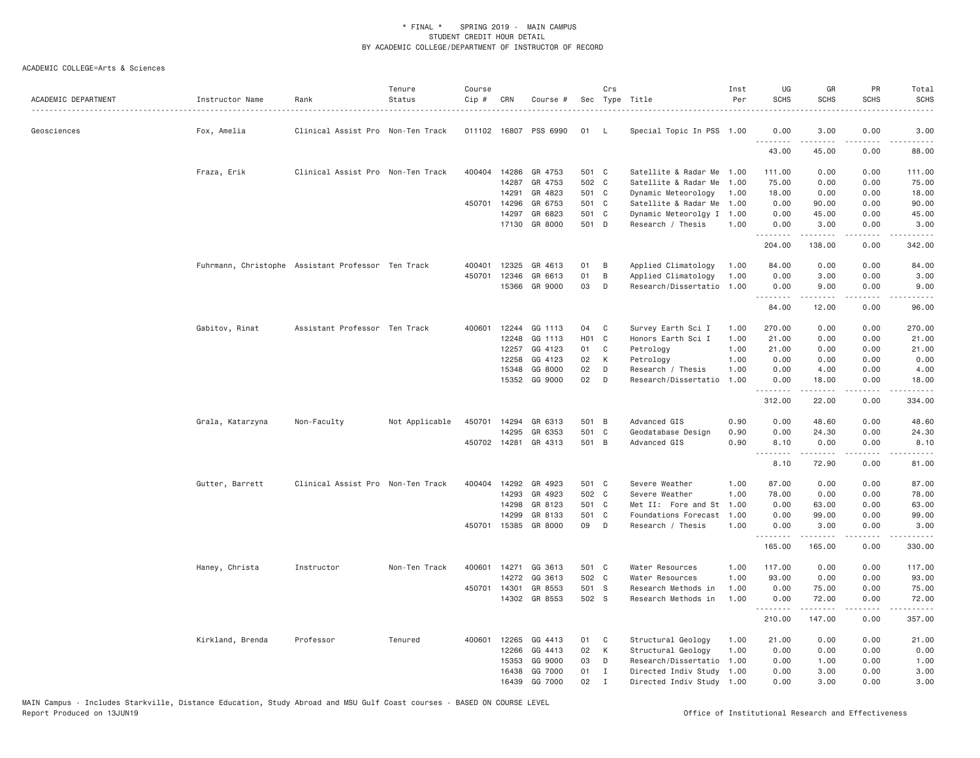| ACADEMIC DEPARTMENT | Instructor Name  | Rank                                               | Tenure<br>Status | Course<br>Cip # | CRN   | Course #              |       | Crs          | Sec Type Title            | Inst<br>Per | UG<br><b>SCHS</b> | GR<br><b>SCHS</b> | PR<br><b>SCHS</b> | Total<br><b>SCHS</b> |
|---------------------|------------------|----------------------------------------------------|------------------|-----------------|-------|-----------------------|-------|--------------|---------------------------|-------------|-------------------|-------------------|-------------------|----------------------|
| Geosciences         | Fox, Amelia      | Clinical Assist Pro Non-Ten Track                  |                  |                 |       | 011102 16807 PSS 6990 | 01    | -L           | Special Topic In PSS 1.00 |             | 0.00              | 3.00              | 0.00              | 3.00                 |
|                     |                  |                                                    |                  |                 |       |                       |       |              |                           |             | 43.00             | 45.00             | 0.00              | 88.00                |
|                     | Fraza, Erik      | Clinical Assist Pro Non-Ten Track                  |                  | 400404          | 14286 | GR 4753               | 501 C |              | Satellite & Radar Me      | 1.00        | 111.00            | 0.00              | 0.00              | 111.00               |
|                     |                  |                                                    |                  |                 | 14287 | GR 4753               | 502 C |              | Satellite & Radar Me      | 1.00        | 75.00             | 0.00              | 0.00              | 75.00                |
|                     |                  |                                                    |                  |                 | 14291 | GR 4823               | 501 C |              | Dynamic Meteorology       | 1.00        | 18.00             | 0.00              | 0.00              | 18.00                |
|                     |                  |                                                    |                  | 450701          | 14296 | GR 6753               | 501 C |              | Satellite & Radar Me      | 1.00        | 0.00              | 90.00             | 0.00              | 90.00                |
|                     |                  |                                                    |                  |                 | 14297 | GR 6823               | 501 C |              | Dynamic Meteorolgy I 1.00 |             | 0.00              | 45.00             | 0.00              | 45.00                |
|                     |                  |                                                    |                  |                 |       | 17130 GR 8000         | 501 D |              | Research / Thesis         | 1.00        | 0.00<br>.         | 3.00<br>.         | 0.00<br>.         | 3.00<br>.            |
|                     |                  |                                                    |                  |                 |       |                       |       |              |                           |             | 204.00            | 138.00            | 0.00              | 342.00               |
|                     |                  | Fuhrmann, Christophe Assistant Professor Ten Track |                  | 400401          | 12325 | GR 4613               | 01    | B            | Applied Climatology       | 1.00        | 84.00             | 0.00              | 0.00              | 84.00                |
|                     |                  |                                                    |                  | 450701          | 12346 | GR 6613               | 01    | B            | Applied Climatology       | 1.00        | 0.00              | 3.00              | 0.00              | 3.00                 |
|                     |                  |                                                    |                  |                 | 15366 | GR 9000               | 03    | D            | Research/Dissertatio 1.00 |             | 0.00<br>.         | 9.00<br><u>.</u>  | 0.00<br>.         | 9.00<br>.            |
|                     |                  |                                                    |                  |                 |       |                       |       |              |                           |             | 84.00             | 12.00             | 0.00              | 96.00                |
|                     | Gabitov, Rinat   | Assistant Professor Ten Track                      |                  | 400601          | 12244 | GG 1113               | 04    | C            | Survey Earth Sci I        | 1.00        | 270.00            | 0.00              | 0.00              | 270.00               |
|                     |                  |                                                    |                  |                 | 12248 | GG 1113               | H01 C |              | Honors Earth Sci I        | 1.00        | 21.00             | 0.00              | 0.00              | 21.00                |
|                     |                  |                                                    |                  |                 | 12257 | GG 4123               | 01    | C            | Petrology                 | 1.00        | 21.00             | 0.00              | 0.00              | 21.00                |
|                     |                  |                                                    |                  |                 | 12258 | GG 4123               | 02    | К            | Petrology                 | 1.00        | 0.00              | 0.00              | 0.00              | 0.00                 |
|                     |                  |                                                    |                  |                 | 15348 | GG 8000               | 02    | D            | Research / Thesis         | 1.00        | 0.00              | 4.00              | 0.00              | 4.00                 |
|                     |                  |                                                    |                  |                 | 15352 | GG 9000               | 02    | D            | Research/Dissertatio      | 1.00        | 0.00              | 18.00             | 0.00              | 18.00                |
|                     |                  |                                                    |                  |                 |       |                       |       |              |                           |             | .<br>312.00       | .<br>22.00        | .<br>0.00         | .<br>334.00          |
|                     | Grala, Katarzyna | Non-Faculty                                        | Not Applicable   | 450701          | 14294 | GR 6313               | 501 B |              | Advanced GIS              | 0.90        | 0.00              | 48.60             | 0.00              | 48.60                |
|                     |                  |                                                    |                  |                 | 14295 | GR 6353               | 501   | $\mathsf{C}$ | Geodatabase Design        | 0.90        | 0.00              | 24.30             | 0.00              | 24.30                |
|                     |                  |                                                    |                  |                 |       | 450702 14281 GR 4313  | 501 B |              | Advanced GIS              | 0.90        | 8.10<br><u>.</u>  | 0.00<br>.         | 0.00<br>.         | 8.10                 |
|                     |                  |                                                    |                  |                 |       |                       |       |              |                           |             | 8.10              | 72.90             | 0.00              | .<br>81.00           |
|                     | Gutter, Barrett  | Clinical Assist Pro Non-Ten Track                  |                  | 400404          | 14292 | GR 4923               | 501 C |              | Severe Weather            | 1.00        | 87.00             | 0.00              | 0.00              | 87.00                |
|                     |                  |                                                    |                  |                 | 14293 | GR 4923               | 502 C |              | Severe Weather            | 1.00        | 78.00             | 0.00              | 0.00              | 78.00                |
|                     |                  |                                                    |                  |                 | 14298 | GR 8123               | 501   | C            | Met II: Fore and St       | 1.00        | 0.00              | 63.00             | 0.00              | 63.00                |
|                     |                  |                                                    |                  |                 | 14299 | GR 8133               | 501 C |              | Foundations Forecast      | 1.00        | 0.00              | 99.00             | 0.00              | 99.00                |
|                     |                  |                                                    |                  |                 |       | 450701 15385 GR 8000  | 09    | D            | Research / Thesis         | 1.00        | 0.00<br>.         | 3.00<br>.         | 0.00<br>.         | 3.00<br>.            |
|                     |                  |                                                    |                  |                 |       |                       |       |              |                           |             | 165.00            | 165.00            | 0.00              | 330.00               |
|                     | Haney, Christa   | Instructor                                         | Non-Ten Track    | 400601          | 14271 | GG 3613               | 501 C |              | Water Resources           | 1.00        | 117.00            | 0.00              | 0.00              | 117.00               |
|                     |                  |                                                    |                  |                 | 14272 | GG 3613               | 502 C |              | Water Resources           | 1.00        | 93.00             | 0.00              | 0.00              | 93.00                |
|                     |                  |                                                    |                  | 450701          | 14301 | GR 8553               | 501 S |              | Research Methods in       | 1.00        | 0.00              | 75.00             | 0.00              | 75.00                |
|                     |                  |                                                    |                  |                 |       | 14302 GR 8553         | 502 S |              | Research Methods in       | 1.00        | 0.00<br>.         | 72.00             | 0.00<br>.         | 72.00<br>.           |
|                     |                  |                                                    |                  |                 |       |                       |       |              |                           |             | 210.00            | 147.00            | 0.00              | 357.00               |
|                     | Kirkland, Brenda | Professor                                          | Tenured          | 400601          | 12265 | GG 4413               | 01    | C            | Structural Geology        | 1.00        | 21.00             | 0.00              | 0.00              | 21.00                |
|                     |                  |                                                    |                  |                 | 12266 | GG 4413               | 02    | К            | Structural Geology        | 1.00        | 0.00              | 0.00              | 0.00              | 0.00                 |
|                     |                  |                                                    |                  |                 | 15353 | GG 9000               | 03    | D            | Research/Dissertatio      | 1.00        | 0.00              | 1.00              | 0.00              | 1.00                 |
|                     |                  |                                                    |                  |                 | 16438 | GG 7000               | 01    | I            | Directed Indiv Study      | 1.00        | 0.00              | 3,00              | 0.00              | 3.00                 |
|                     |                  |                                                    |                  |                 | 16439 | GG 7000               | 02    | $\mathbf I$  | Directed Indiv Study 1.00 |             | 0.00              | 3,00              | 0.00              | 3.00                 |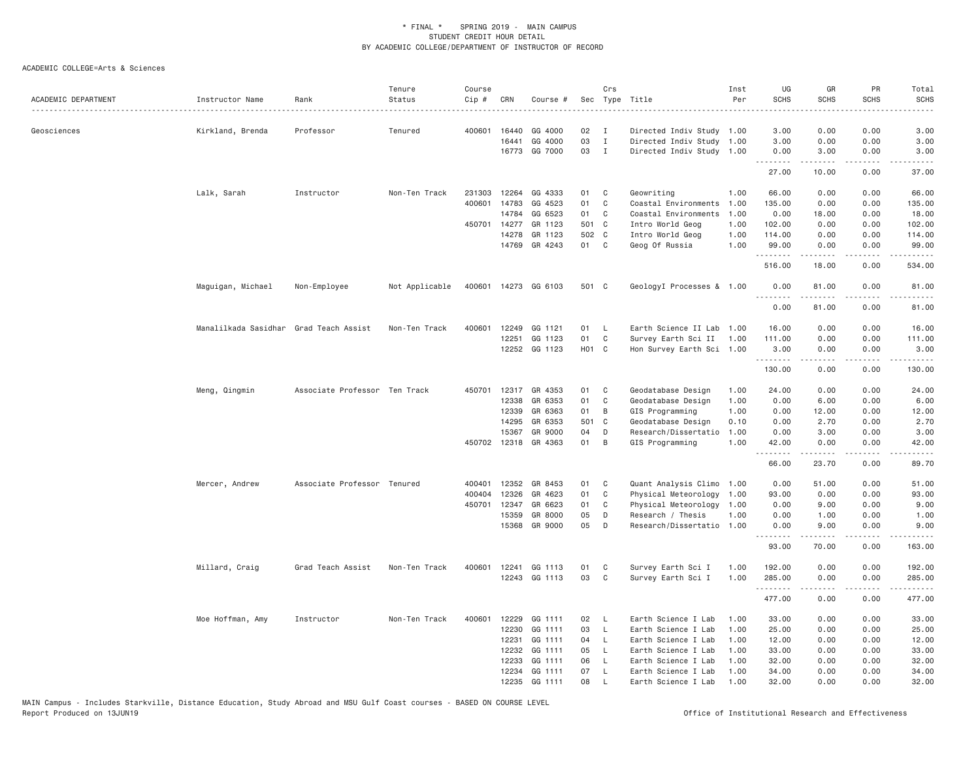| ACADEMIC DEPARTMENT | Instructor Name                        | Rank                          | Tenure<br>Status | Course<br>$Cip \#$ | CRN          | Course #             |                   | Crs          | Sec Type Title            | Inst<br>Per | UG<br><b>SCHS</b><br>. | GR<br><b>SCHS</b> | PR<br><b>SCHS</b> | Total<br><b>SCHS</b><br>$\omega$ is a $\omega$ .                                         |
|---------------------|----------------------------------------|-------------------------------|------------------|--------------------|--------------|----------------------|-------------------|--------------|---------------------------|-------------|------------------------|-------------------|-------------------|------------------------------------------------------------------------------------------|
| Geosciences         | Kirkland, Brenda                       | Professor                     | Tenured          | 400601             | 16440        | GG 4000              | 02                | $\mathbf{I}$ | Directed Indiv Study 1.00 |             | 3.00                   | 0.00              | 0.00              | 3.00                                                                                     |
|                     |                                        |                               |                  |                    | 16441        | GG 4000              | 03                | $\mathbf{I}$ | Directed Indiv Study 1.00 |             | 3.00                   | 0.00              | 0.00              | 3.00                                                                                     |
|                     |                                        |                               |                  |                    |              | 16773 GG 7000        | 03                | $\mathbf{I}$ | Directed Indiv Study 1.00 |             | 0.00<br>.              | 3.00<br>.         | 0.00<br>.         | 3.00<br>.                                                                                |
|                     |                                        |                               |                  |                    |              |                      |                   |              |                           |             | 27.00                  | 10.00             | 0.00              | 37.00                                                                                    |
|                     | Lalk, Sarah                            | Instructor                    | Non-Ten Track    | 231303             | 12264        | GG 4333              | 01                | C            | Geowriting                | 1.00        | 66.00                  | 0.00              | 0.00              | 66.00                                                                                    |
|                     |                                        |                               |                  | 400601             | 14783        | GG 4523              | 01                | C            | Coastal Environments      | 1.00        | 135.00                 | 0.00              | 0.00              | 135.00                                                                                   |
|                     |                                        |                               |                  |                    | 14784        | GG 6523              | 01                | C            | Coastal Environments      | 1.00        | 0.00                   | 18.00             | 0.00              | 18.00                                                                                    |
|                     |                                        |                               |                  |                    | 450701 14277 | GR 1123              | 501 C             |              | Intro World Geog          | 1.00        | 102.00                 | 0.00              | 0.00              | 102.00                                                                                   |
|                     |                                        |                               |                  |                    | 14278        | GR 1123<br>GR 4243   | 502 C<br>01 C     |              | Intro World Geog          | 1.00        | 114.00                 | 0.00              | 0.00              | 114.00                                                                                   |
|                     |                                        |                               |                  |                    | 14769        |                      |                   |              | Geog Of Russia            | 1.00        | 99.00<br>.             | 0.00              | 0.00              | 99.00                                                                                    |
|                     |                                        |                               |                  |                    |              |                      |                   |              |                           |             | 516.00                 | 18.00             | 0.00              | 534.00                                                                                   |
|                     | Maguigan, Michael                      | Non-Employee                  | Not Applicable   |                    |              | 400601 14273 GG 6103 | 501 C             |              | GeologyI Processes & 1.00 |             | 0.00<br>.              | 81.00<br>.        | 0.00<br>$   -$    | 81.00<br>.                                                                               |
|                     |                                        |                               |                  |                    |              |                      |                   |              |                           |             | 0.00                   | 81.00             | 0.00              | 81.00                                                                                    |
|                     | Manalilkada Sasidhar Grad Teach Assist |                               | Non-Ten Track    | 400601             | 12249        | GG 1121              | 01                | L            | Earth Science II Lab      | 1.00        | 16.00                  | 0.00              | 0.00              | 16.00                                                                                    |
|                     |                                        |                               |                  |                    | 12251        | GG 1123              | 01                | C            | Survey Earth Sci II       | 1.00        | 111.00                 | 0.00              | 0.00              | 111.00                                                                                   |
|                     |                                        |                               |                  |                    |              | 12252 GG 1123        | H <sub>01</sub> C |              | Hon Survey Earth Sci 1.00 |             | 3,00<br>.              | 0.00<br>-----     | 0.00<br>.         | 3.00<br>$\mathbf{1} \cdot \mathbf{1} \cdot \mathbf{1} \cdot \mathbf{1} \cdot \mathbf{1}$ |
|                     |                                        |                               |                  |                    |              |                      |                   |              |                           |             | 130.00                 | 0.00              | 0.00              | 130.00                                                                                   |
|                     | Meng, Qingmin                          | Associate Professor Ten Track |                  |                    |              | 450701 12317 GR 4353 | 01                | C            | Geodatabase Design        | 1.00        | 24.00                  | 0.00              | 0.00              | 24.00                                                                                    |
|                     |                                        |                               |                  |                    | 12338        | GR 6353              | 01                | $\mathsf{C}$ | Geodatabase Design        | 1.00        | 0.00                   | 6.00              | 0.00              | 6.00                                                                                     |
|                     |                                        |                               |                  |                    | 12339        | GR 6363              | 01                | B            | GIS Programming           | 1.00        | 0.00                   | 12.00             | 0.00              | 12.00                                                                                    |
|                     |                                        |                               |                  |                    | 14295        | GR 6353              | 501 C             |              | Geodatabase Design        | 0.10        | 0.00                   | 2.70              | 0.00              | 2.70                                                                                     |
|                     |                                        |                               |                  |                    | 15367        | GR 9000              | 04                | D            | Research/Dissertatio      | 1.00        | 0.00                   | 3.00              | 0.00              | 3.00                                                                                     |
|                     |                                        |                               |                  |                    |              | 450702 12318 GR 4363 | 01                | B            | GIS Programming           | 1.00        | 42.00<br>.             | 0.00<br>.         | 0.00<br>.         | 42.00<br>.                                                                               |
|                     |                                        |                               |                  |                    |              |                      |                   |              |                           |             | 66.00                  | 23.70             | 0.00              | 89.70                                                                                    |
|                     | Mercer, Andrew                         | Associate Professor Tenured   |                  | 400401             | 12352        | GR 8453              | 01                | C            | Quant Analysis Climo      | 1.00        | 0.00                   | 51.00             | 0.00              | 51.00                                                                                    |
|                     |                                        |                               |                  | 400404             | 12326        | GR 4623              | 01                | C            | Physical Meteorology      | 1.00        | 93.00                  | 0.00              | 0.00              | 93.00                                                                                    |
|                     |                                        |                               |                  | 450701             | 12347        | GR 6623              | 01                | C            | Physical Meteorology 1.00 |             | 0.00                   | 9.00              | 0.00              | 9.00                                                                                     |
|                     |                                        |                               |                  |                    | 15359        | GR 8000              | 05                | D            | Research / Thesis         | 1.00        | 0.00                   | 1.00              | 0.00              | 1.00                                                                                     |
|                     |                                        |                               |                  |                    | 15368        | GR 9000              | 05                | D            | Research/Dissertatio 1.00 |             | 0.00<br>.              | 9.00<br>.         | 0.00<br>.         | 9.00<br>$- - - - - -$                                                                    |
|                     |                                        |                               |                  |                    |              |                      |                   |              |                           |             | 93.00                  | 70.00             | 0.00              | 163.00                                                                                   |
|                     | Millard, Craig                         | Grad Teach Assist             | Non-Ten Track    | 400601             | 12241        | GG 1113              | 01                | C            | Survey Earth Sci I        | 1.00        | 192.00                 | 0.00              | 0.00              | 192.00                                                                                   |
|                     |                                        |                               |                  |                    |              | 12243 GG 1113        | 03                | C            | Survey Earth Sci I        | 1.00        | 285.00<br>.            | 0.00<br>.         | 0.00              | 285.00<br>.                                                                              |
|                     |                                        |                               |                  |                    |              |                      |                   |              |                           |             | 477.00                 | 0.00              | 0.00              | 477.00                                                                                   |
|                     | Moe Hoffman, Amy                       | Instructor                    | Non-Ten Track    | 400601             | 12229        | GG 1111              | 02                | L            | Earth Science I Lab       | 1.00        | 33.00                  | 0.00              | 0.00              | 33.00                                                                                    |
|                     |                                        |                               |                  |                    | 12230        | GG 1111              | 03                | $\mathsf{L}$ | Earth Science I Lab       | 1,00        | 25.00                  | 0.00              | 0.00              | 25.00                                                                                    |
|                     |                                        |                               |                  |                    | 12231        | GG 1111              | 04                | L            | Earth Science I Lab       | 1.00        | 12.00                  | 0.00              | 0.00              | 12.00                                                                                    |
|                     |                                        |                               |                  |                    | 12232        | GG 1111              | 05                | L            | Earth Science I Lab       | 1.00        | 33.00                  | 0.00              | 0.00              | 33.00                                                                                    |
|                     |                                        |                               |                  |                    | 12233        | GG 1111              | 06                | L.           | Earth Science I Lab       | 1.00        | 32.00                  | 0.00              | 0.00              | 32.00                                                                                    |
|                     |                                        |                               |                  |                    | 12234        | GG 1111              | 07                | L            | Earth Science I Lab       | 1.00        | 34.00                  | 0.00              | 0.00              | 34.00                                                                                    |
|                     |                                        |                               |                  |                    | 12235        | GG 1111              | 08                | $\mathsf{L}$ | Earth Science I Lab       | 1.00        | 32.00                  | 0.00              | 0.00              | 32.00                                                                                    |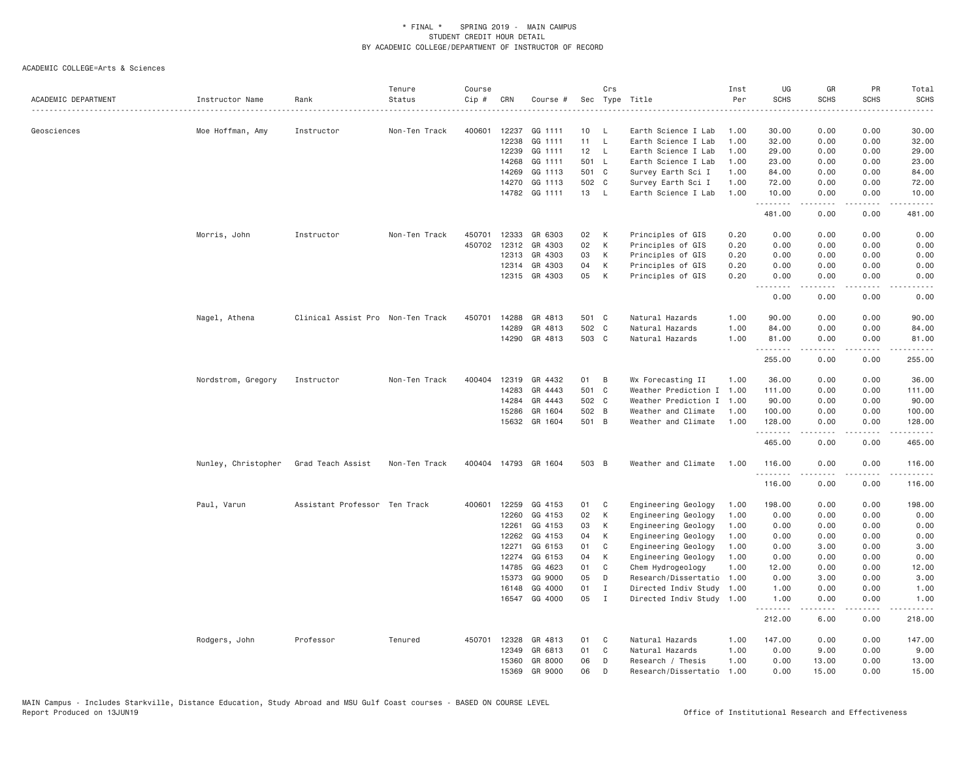| ACADEMIC DEPARTMENT | Instructor Name     | Rank                              | Tenure<br>Status | Course<br>Cip# | CRN            | Course #                 |          | Crs                          | Sec Type Title                                    | Inst<br>Per  | UG<br><b>SCHS</b> | GR<br><b>SCHS</b> | PR<br><b>SCHS</b>                   | Total<br><b>SCHS</b>                                                                                                  |
|---------------------|---------------------|-----------------------------------|------------------|----------------|----------------|--------------------------|----------|------------------------------|---------------------------------------------------|--------------|-------------------|-------------------|-------------------------------------|-----------------------------------------------------------------------------------------------------------------------|
|                     |                     |                                   | .                |                |                |                          |          |                              |                                                   |              |                   |                   | $- - - -$                           | المستبدا                                                                                                              |
| Geosciences         | Moe Hoffman, Amy    | Instructor                        | Non-Ten Track    | 400601         | 12237<br>12238 | GG 1111<br>GG 1111       | 10<br>11 | L<br>L                       | Earth Science I Lab<br>Earth Science I Lab        | 1.00<br>1.00 | 30.00<br>32.00    | 0.00<br>0.00      | 0.00<br>0.00                        | 30.00<br>32.00                                                                                                        |
|                     |                     |                                   |                  |                | 12239          | GG 1111                  | 12       | L.                           | Earth Science I Lab                               | 1.00         | 29.00             | 0.00              | 0.00                                | 29.00                                                                                                                 |
|                     |                     |                                   |                  |                | 14268          | GG 1111                  | 501 L    |                              | Earth Science I Lab                               | 1.00         | 23.00             | 0.00              | 0.00                                | 23.00                                                                                                                 |
|                     |                     |                                   |                  |                | 14269          | GG 1113                  | 501 C    |                              | Survey Earth Sci I                                | 1.00         | 84.00             | 0.00              | 0.00                                | 84.00                                                                                                                 |
|                     |                     |                                   |                  |                | 14270          | GG 1113                  | 502 C    |                              | Survey Earth Sci I                                | 1.00         | 72.00             | 0.00              | 0.00                                | 72.00                                                                                                                 |
|                     |                     |                                   |                  |                |                | 14782 GG 1111            | 13 L     |                              | Earth Science I Lab                               | 1,00         | 10.00<br>.        | 0.00              | 0.00<br>.                           | 10.00<br>.                                                                                                            |
|                     |                     |                                   |                  |                |                |                          |          |                              |                                                   |              | 481.00            | 0.00              | 0.00                                | 481.00                                                                                                                |
|                     | Morris, John        | Instructor                        | Non-Ten Track    | 450701         | 12333          | GR 6303                  | 02       | К                            | Principles of GIS                                 | 0.20         | 0.00              | 0.00              | 0.00                                | 0.00                                                                                                                  |
|                     |                     |                                   |                  | 450702         | 12312          | GR 4303                  | 02       | К                            | Principles of GIS                                 | 0.20         | 0.00              | 0.00              | 0.00                                | 0.00                                                                                                                  |
|                     |                     |                                   |                  |                | 12313          | GR 4303                  | 03       | К                            | Principles of GIS                                 | 0.20         | 0.00              | 0.00              | 0.00                                | 0.00                                                                                                                  |
|                     |                     |                                   |                  |                | 12314          | GR 4303                  | 04       | К                            | Principles of GIS                                 | 0.20         | 0.00              | 0.00              | 0.00                                | 0.00                                                                                                                  |
|                     |                     |                                   |                  |                |                | 12315 GR 4303            | 05       | K                            | Principles of GIS                                 | 0.20         | 0.00<br>.         | 0.00<br>.         | 0.00<br>.                           | 0.00<br>----                                                                                                          |
|                     |                     |                                   |                  |                |                |                          |          |                              |                                                   |              | 0.00              | 0.00              | 0.00                                | 0.00                                                                                                                  |
|                     | Nagel, Athena       | Clinical Assist Pro Non-Ten Track |                  | 450701         | 14288          | GR 4813                  | 501 C    |                              | Natural Hazards                                   | 1.00         | 90.00             | 0.00              | 0.00                                | 90.00                                                                                                                 |
|                     |                     |                                   |                  |                | 14289          | GR 4813                  | 502 C    |                              | Natural Hazards                                   | 1.00         | 84.00             | 0.00              | 0.00                                | 84.00                                                                                                                 |
|                     |                     |                                   |                  |                | 14290          | GR 4813                  | 503 C    |                              | Natural Hazards                                   | 1.00         | 81.00<br><u>.</u> | 0.00<br>.         | 0.00<br>$\sim$ $\sim$ $\sim$ $\sim$ | 81.00<br>.                                                                                                            |
|                     |                     |                                   |                  |                |                |                          |          |                              |                                                   |              | 255.00            | 0.00              | 0.00                                | 255.00                                                                                                                |
|                     | Nordstrom, Gregory  | Instructor                        | Non-Ten Track    | 400404         |                | 12319 GR 4432            | 01       | B                            | Wx Forecasting II                                 | 1.00         | 36.00             | 0.00              | 0.00                                | 36.00                                                                                                                 |
|                     |                     |                                   |                  |                | 14283          | GR 4443                  | 501 C    |                              | Weather Prediction I                              | 1.00         | 111.00            | 0.00              | 0.00                                | 111.00                                                                                                                |
|                     |                     |                                   |                  |                | 14284          | GR 4443                  | 502 C    |                              | Weather Prediction I                              | 1.00         | 90.00             | 0.00              | 0.00                                | 90.00                                                                                                                 |
|                     |                     |                                   |                  |                | 15286          | GR 1604                  | 502 B    |                              | Weather and Climate                               | 1.00         | 100.00            | 0.00              | 0.00                                | 100.00                                                                                                                |
|                     |                     |                                   |                  |                | 15632          | GR 1604                  | 501 B    |                              | Weather and Climate                               | 1.00         | 128.00<br>.       | 0.00<br>.         | 0.00<br>.                           | 128.00<br>$\begin{array}{cccccccccc} \bullet & \bullet & \bullet & \bullet & \bullet & \bullet & \bullet \end{array}$ |
|                     |                     |                                   |                  |                |                |                          |          |                              |                                                   |              | 465.00            | 0.00              | 0.00                                | 465.00                                                                                                                |
|                     | Nunley, Christopher | Grad Teach Assist                 | Non-Ten Track    |                |                | 400404 14793 GR 1604     | 503 B    |                              | Weather and Climate                               | 1.00         | 116.00<br>.       | 0.00              | 0.00                                | 116.00<br>$- - - - - -$                                                                                               |
|                     |                     |                                   |                  |                |                |                          |          |                              |                                                   |              | 116.00            | 0.00              | 0.00                                | 116.00                                                                                                                |
|                     | Paul, Varun         | Assistant Professor Ten Track     |                  | 400601         | 12259          | GG 4153                  | 01       | C                            | Engineering Geology                               | 1.00         | 198.00            | 0.00              | 0.00                                | 198.00                                                                                                                |
|                     |                     |                                   |                  |                | 12260          | GG 4153                  | 02       | К                            | Engineering Geology                               | 1.00         | 0.00              | 0.00              | 0.00                                | 0.00                                                                                                                  |
|                     |                     |                                   |                  |                | 12261          | GG 4153                  | 03       | К                            | Engineering Geology                               | 1.00         | 0.00              | 0.00              | 0.00                                | 0.00                                                                                                                  |
|                     |                     |                                   |                  |                | 12262          | GG 4153                  | 04       | K                            | Engineering Geology                               | 1.00         | 0.00              | 0.00              | 0.00                                | 0.00                                                                                                                  |
|                     |                     |                                   |                  |                | 12271          | GG 6153                  | 01       | C                            | Engineering Geology                               | 1.00         | 0.00              | 3.00              | 0.00                                | 3.00                                                                                                                  |
|                     |                     |                                   |                  |                | 12274          | GG 6153                  | 04       | К                            | Engineering Geology                               | 1.00         | 0.00              | 0.00              | 0.00                                | 0.00                                                                                                                  |
|                     |                     |                                   |                  |                | 14785          | GG 4623                  | 01       | C                            | Chem Hydrogeology                                 | 1.00         | 12.00             | 0.00              | 0.00                                | 12.00                                                                                                                 |
|                     |                     |                                   |                  |                | 15373          | GG 9000                  | 05       | D                            | Research/Dissertatio                              | 1.00         | 0.00              | 3.00              | 0.00                                | 3.00                                                                                                                  |
|                     |                     |                                   |                  |                | 16148          | GG 4000<br>16547 GG 4000 | 01<br>05 | $\mathbf{I}$<br>$\mathbf{I}$ | Directed Indiv Study<br>Directed Indiv Study 1.00 | 1.00         | 1.00<br>1.00      | 0.00<br>0.00      | 0.00<br>0.00                        | 1.00<br>1.00                                                                                                          |
|                     |                     |                                   |                  |                |                |                          |          |                              |                                                   |              | .<br>212.00       | 6.00              | .<br>0.00                           | .<br>218.00                                                                                                           |
|                     | Rodgers, John       | Professor                         | Tenured          | 450701         | 12328          | GR 4813                  | 01       | C                            | Natural Hazards                                   | 1.00         | 147.00            | 0.00              | 0.00                                | 147.00                                                                                                                |
|                     |                     |                                   |                  |                | 12349          | GR 6813                  | 01       | C                            | Natural Hazards                                   | 1.00         | 0.00              | 9.00              | 0.00                                | 9.00                                                                                                                  |
|                     |                     |                                   |                  |                | 15360          | GR 8000                  | 06       | D                            | Research / Thesis                                 | 1.00         | 0.00              | 13.00             | 0.00                                | 13.00                                                                                                                 |
|                     |                     |                                   |                  |                | 15369          | GR 9000                  | 06       | D                            | Research/Dissertatio                              | 1.00         | 0.00              | 15.00             | 0.00                                | 15.00                                                                                                                 |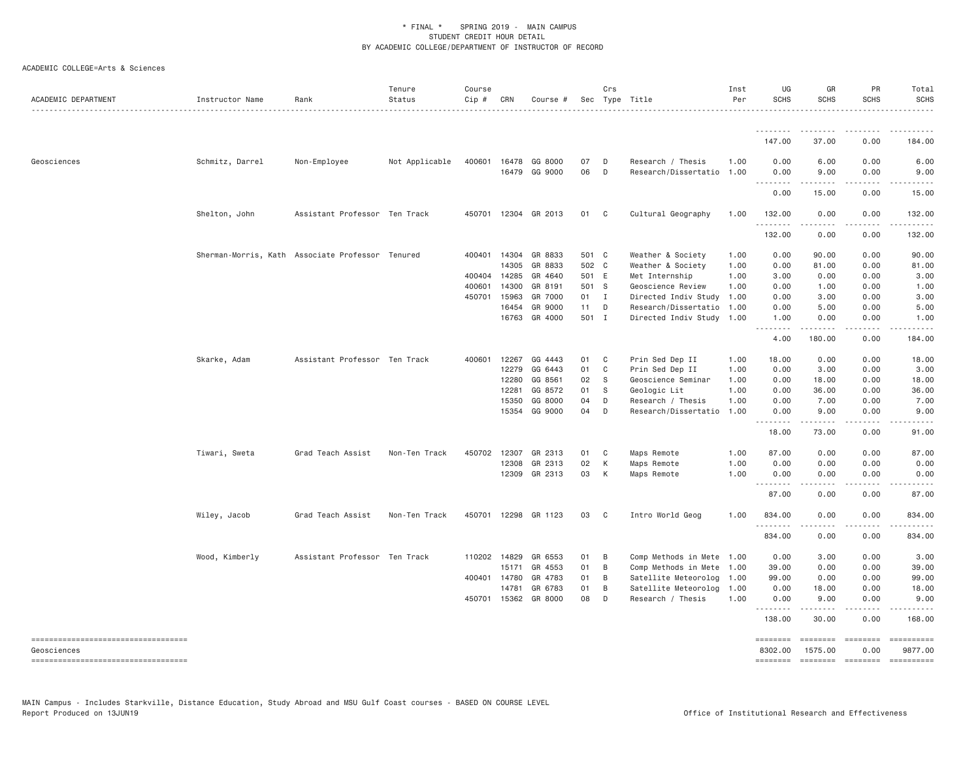| ACADEMIC DEPARTMENT                                | Instructor Name                                  | Rank                          | Tenure<br>Status | Course<br>Cip # | CRN          | Course #             |          | Crs          | Sec Type Title            | Inst<br>Per | UG<br><b>SCHS</b>                 | GR<br><b>SCHS</b> | PR<br><b>SCHS</b> | Total<br><b>SCHS</b>  |
|----------------------------------------------------|--------------------------------------------------|-------------------------------|------------------|-----------------|--------------|----------------------|----------|--------------|---------------------------|-------------|-----------------------------------|-------------------|-------------------|-----------------------|
|                                                    |                                                  |                               |                  |                 |              |                      |          |              |                           |             |                                   |                   |                   |                       |
|                                                    |                                                  |                               |                  |                 |              |                      |          |              |                           |             | 147.00                            | 37.00             | 0.00              | 184.00                |
| Geosciences                                        | Schmitz, Darrel                                  | Non-Employee                  | Not Applicable   | 400601          | 16478        | GG 8000<br>GG 9000   | 07<br>06 | D<br>D       | Research / Thesis         | 1.00        | 0.00                              | 6.00              | 0.00              | 6.00                  |
|                                                    |                                                  |                               |                  |                 | 16479        |                      |          |              | Research/Dissertatio 1.00 |             | 0.00<br>.                         | 9.00<br>.         | 0.00<br>.         | 9.00<br>$\cdots$      |
|                                                    |                                                  |                               |                  |                 |              |                      |          |              |                           |             | 0.00                              | 15.00             | 0.00              | 15.00                 |
|                                                    | Shelton, John                                    | Assistant Professor Ten Track |                  |                 |              | 450701 12304 GR 2013 | 01       | $\mathbf{C}$ | Cultural Geography        | 1.00        | 132.00<br>.                       | 0.00              | 0.00              | 132.00                |
|                                                    |                                                  |                               |                  |                 |              |                      |          |              |                           |             | 132.00                            | 0.00              | 0.00              | 132.00                |
|                                                    | Sherman-Morris, Kath Associate Professor Tenured |                               |                  |                 | 400401 14304 | GR 8833              | 501 C    |              | Weather & Society         | 1.00        | 0.00                              | 90.00             | 0.00              | 90.00                 |
|                                                    |                                                  |                               |                  |                 | 14305        | GR 8833              | 502 C    |              | Weather & Society         | 1.00        | 0.00                              | 81.00             | 0.00              | 81.00                 |
|                                                    |                                                  |                               |                  | 400404          | 14285        | GR 4640              | 501 E    |              | Met Internship            | 1.00        | 3.00                              | 0.00              | 0.00              | 3.00                  |
|                                                    |                                                  |                               |                  | 400601          | 14300        | GR 8191              | 501 S    |              | Geoscience Review         | 1.00        | 0.00                              | 1.00              | 0.00              | 1.00                  |
|                                                    |                                                  |                               |                  | 450701          | 15963        | GR 7000              | 01 I     |              | Directed Indiv Study 1.00 |             | 0.00                              | 3.00              | 0.00              | 3.00                  |
|                                                    |                                                  |                               |                  |                 | 16454        | GR 9000              | 11       | D            | Research/Dissertatio      | 1.00        | 0.00                              | 5.00              | 0.00              | 5.00                  |
|                                                    |                                                  |                               |                  |                 | 16763        | GR 4000              | 501 I    |              | Directed Indiv Study 1.00 |             | 1.00<br>$\sim$ $\sim$ $\sim$<br>. | 0.00              | 0.00              | 1.00                  |
|                                                    |                                                  |                               |                  |                 |              |                      |          |              |                           |             | 4.00                              | 180.00            | 0.00              | 184.00                |
|                                                    | Skarke, Adam                                     | Assistant Professor Ten Track |                  |                 | 400601 12267 | GG 4443              | 01       | C            | Prin Sed Dep II           | 1.00        | 18.00                             | 0.00              | 0.00              | 18.00                 |
|                                                    |                                                  |                               |                  |                 | 12279        | GG 6443              | 01       | C            | Prin Sed Dep II           | 1.00        | 0.00                              | 3.00              | 0.00              | 3.00                  |
|                                                    |                                                  |                               |                  |                 | 12280        | GG 8561              | 02       | S            | Geoscience Seminar        | 1.00        | 0.00                              | 18.00             | 0.00              | 18.00                 |
|                                                    |                                                  |                               |                  |                 | 12281        | GG 8572              | 01       | S.           | Geologic Lit              | 1.00        | 0.00                              | 36.00             | 0.00              | 36.00                 |
|                                                    |                                                  |                               |                  |                 | 15350        | GG 8000              | 04       | D            | Research / Thesis         | 1.00        | 0.00                              | 7.00              | 0.00              | 7.00                  |
|                                                    |                                                  |                               |                  |                 | 15354        | GG 9000              | 04       | D            | Research/Dissertatio      | 1.00        | 0.00<br><u>.</u>                  | 9.00<br>.         | 0.00              | 9.00                  |
|                                                    |                                                  |                               |                  |                 |              |                      |          |              |                           |             | 18.00                             | 73.00             | 0.00              | 91.00                 |
|                                                    | Tiwari, Sweta                                    | Grad Teach Assist             | Non-Ten Track    |                 | 450702 12307 | GR 2313              | 01       | C            | Maps Remote               | 1.00        | 87.00                             | 0.00              | 0.00              | 87.00                 |
|                                                    |                                                  |                               |                  |                 | 12308        | GR 2313              | 02       | К            | Maps Remote               | 1.00        | 0.00                              | 0.00              | 0.00              | 0.00                  |
|                                                    |                                                  |                               |                  |                 | 12309        | GR 2313              | 03       | К            | Maps Remote               | 1.00        | 0.00<br>.                         | 0.00              | 0.00              | 0.00                  |
|                                                    |                                                  |                               |                  |                 |              |                      |          |              |                           |             | 87.00                             | 0.00              | 0.00              | 87.00                 |
|                                                    | Wiley, Jacob                                     | Grad Teach Assist             | Non-Ten Track    |                 |              | 450701 12298 GR 1123 | 03       | C            | Intro World Geog          | 1.00        | 834.00                            | 0.00              | 0.00              | 834.00                |
|                                                    |                                                  |                               |                  |                 |              |                      |          |              |                           |             | .<br>834.00                       | .<br>0.00         | .<br>0.00         | .<br>834.00           |
|                                                    | Wood, Kimberly                                   | Assistant Professor Ten Track |                  | 110202          | 14829        | GR 6553              | 01       | B            | Comp Methods in Mete 1.00 |             | 0.00                              | 3.00              | 0.00              | 3.00                  |
|                                                    |                                                  |                               |                  |                 | 15171        | GR 4553              | 01       | B            | Comp Methods in Mete 1.00 |             | 39.00                             | 0.00              | 0.00              | 39.00                 |
|                                                    |                                                  |                               |                  |                 | 400401 14780 | GR 4783              | 01       | B            | Satellite Meteorolog 1.00 |             | 99.00                             | 0.00              | 0.00              | 99.00                 |
|                                                    |                                                  |                               |                  |                 | 14781        | GR 6783              | 01       | B            | Satellite Meteorolog      | 1.00        | 0.00                              | 18.00             | 0.00              | 18.00                 |
|                                                    |                                                  |                               |                  | 450701          | 15362        | GR 8000              | 08       | D            | Research / Thesis         | 1.00        | 0.00<br>.                         | 9.00              | 0.00              | 9.00                  |
|                                                    |                                                  |                               |                  |                 |              |                      |          |              |                           |             | 138.00                            | 30.00             | 0.00              | 168.00                |
| ===================================<br>Geosciences |                                                  |                               |                  |                 |              |                      |          |              |                           |             | $=$ =======<br>8302.00            | 1575.00           | $=$<br>0.00       | ==========<br>9877.00 |
| ----------------------------------                 |                                                  |                               |                  |                 |              |                      |          |              |                           |             | ========                          | $= 222222222$     | $= 222222222$     |                       |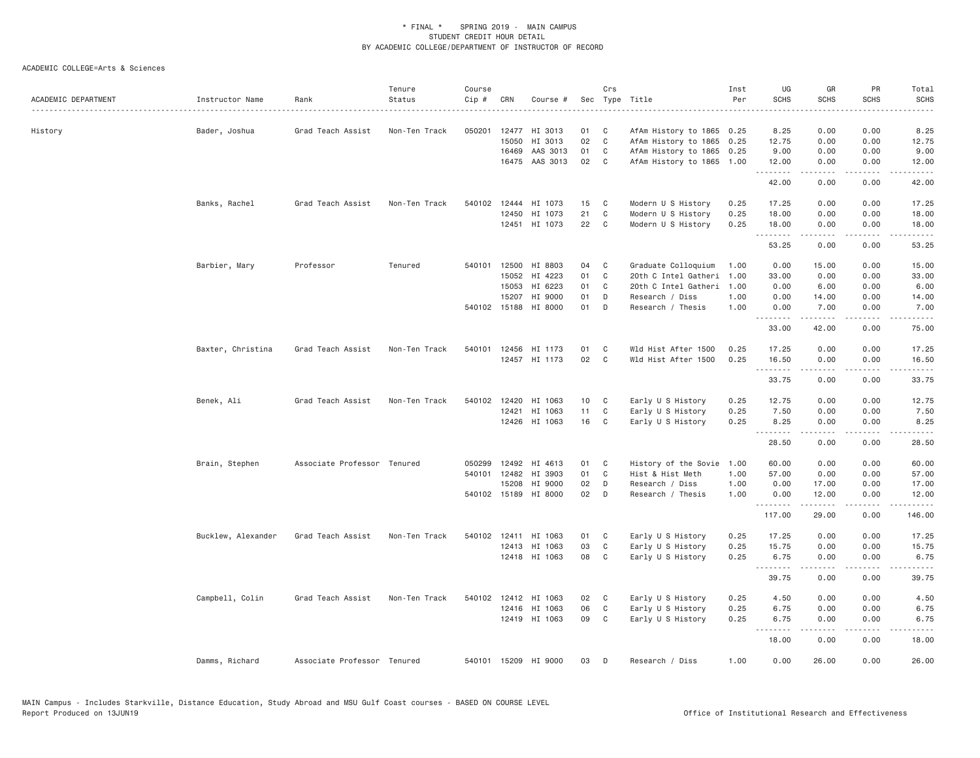| ACADEMIC DEPARTMENT | Instructor Name    | Rank                        | Tenure<br>Status | Course<br>Cip # | CRN          | Course #             |                 | Crs            | Sec Type Title            | Inst<br>Per | UG<br><b>SCHS</b> | GR<br><b>SCHS</b>                                                                                                                                            | PR<br><b>SCHS</b>            | Total<br><b>SCHS</b><br>$- - - -$ |
|---------------------|--------------------|-----------------------------|------------------|-----------------|--------------|----------------------|-----------------|----------------|---------------------------|-------------|-------------------|--------------------------------------------------------------------------------------------------------------------------------------------------------------|------------------------------|-----------------------------------|
| History             | Bader, Joshua      | Grad Teach Assist           | Non-Ten Track    | 050201          |              | 12477 HI 3013        | 01              | C              | AfAm History to 1865 0.25 |             | 8.25              | 0.00                                                                                                                                                         | 0.00                         | 8.25                              |
|                     |                    |                             |                  |                 | 15050        | HI 3013              | 02              | $\mathsf{C}$   | AfAm History to 1865      | 0.25        | 12.75             | 0.00                                                                                                                                                         | 0.00                         | 12.75                             |
|                     |                    |                             |                  |                 | 16469        | AAS 3013             | 01              | C              | AfAm History to 1865      | 0.25        | 9.00              | 0.00                                                                                                                                                         | 0.00                         | 9.00                              |
|                     |                    |                             |                  |                 |              | 16475 AAS 3013       | 02              | C              | AfAm History to 1865 1.00 |             | 12.00<br>.        | 0.00<br>.                                                                                                                                                    | 0.00<br>$\sim$ $\sim$ $\sim$ | 12.00<br>.                        |
|                     |                    |                             |                  |                 |              |                      |                 |                |                           |             | 42.00             | 0.00                                                                                                                                                         | 0.00                         | 42.00                             |
|                     | Banks, Rachel      | Grad Teach Assist           | Non-Ten Track    |                 | 540102 12444 | HI 1073              | 15              | C              | Modern U S History        | 0.25        | 17.25             | 0.00                                                                                                                                                         | 0.00                         | 17.25                             |
|                     |                    |                             |                  |                 | 12450        | HI 1073              | 21              | C              | Modern U S History        | 0.25        | 18.00             | 0.00                                                                                                                                                         | 0.00                         | 18.00                             |
|                     |                    |                             |                  |                 |              | 12451 HI 1073        | 22              | C              | Modern U S History        | 0.25        | 18.00<br>.        | 0.00<br>$\frac{1}{2} \left( \frac{1}{2} \right) \left( \frac{1}{2} \right) \left( \frac{1}{2} \right) \left( \frac{1}{2} \right) \left( \frac{1}{2} \right)$ | 0.00                         | 18.00                             |
|                     |                    |                             |                  |                 |              |                      |                 |                |                           |             | 53.25             | 0.00                                                                                                                                                         | 0.00                         | 53.25                             |
|                     | Barbier, Mary      | Professor                   | Tenured          |                 | 540101 12500 | HI 8803              | 04              | C              | Graduate Colloquium       | 1.00        | 0.00              | 15.00                                                                                                                                                        | 0.00                         | 15.00                             |
|                     |                    |                             |                  |                 | 15052        | HI 4223              | 01              | C              | 20th C Intel Gatheri      | 1.00        | 33.00             | 0.00                                                                                                                                                         | 0.00                         | 33.00                             |
|                     |                    |                             |                  |                 | 15053        | HI 6223              | 01              | C              | 20th C Intel Gatheri      | 1.00        | 0.00              | 6.00                                                                                                                                                         | 0.00                         | 6.00                              |
|                     |                    |                             |                  |                 | 15207        | HI 9000              | 01              | D              | Research / Diss           | 1.00        | 0.00              | 14.00                                                                                                                                                        | 0.00                         | 14.00                             |
|                     |                    |                             |                  |                 | 540102 15188 | HI 8000              | 01              | D              | Research / Thesis         | 1.00        | 0.00<br>.         | 7.00<br>.                                                                                                                                                    | 0.00<br>.                    | 7.00<br>.                         |
|                     |                    |                             |                  |                 |              |                      |                 |                |                           |             | 33.00             | 42.00                                                                                                                                                        | 0.00                         | 75.00                             |
|                     | Baxter, Christina  | Grad Teach Assist           | Non-Ten Track    |                 | 540101 12456 | HI 1173              | 01              | C              | Wld Hist After 1500       | 0.25        | 17.25             | 0.00                                                                                                                                                         | 0.00                         | 17.25                             |
|                     |                    |                             |                  |                 |              | 12457 HI 1173        | 02              | $\mathbf{C}$   | Wld Hist After 1500       | 0.25        | 16.50             | 0.00                                                                                                                                                         | 0.00                         | 16.50                             |
|                     |                    |                             |                  |                 |              |                      |                 |                |                           |             | .<br>33.75        | .<br>0.00                                                                                                                                                    | .<br>0.00                    | .<br>33.75                        |
|                     | Benek, Ali         | Grad Teach Assist           | Non-Ten Track    |                 | 540102 12420 | HI 1063              | 10 <sub>1</sub> | C <sub>1</sub> | Early U S History         | 0.25        | 12.75             | 0.00                                                                                                                                                         | 0.00                         | 12.75                             |
|                     |                    |                             |                  |                 | 12421        | HI 1063              | 11              | C              | Early U S History         | 0.25        | 7.50              | 0.00                                                                                                                                                         | 0.00                         | 7.50                              |
|                     |                    |                             |                  |                 |              | 12426 HI 1063        | 16              | C              | Early U S History         | 0.25        | 8.25<br>.         | 0.00<br>$\frac{1}{2} \left( \frac{1}{2} \right) \left( \frac{1}{2} \right) \left( \frac{1}{2} \right) \left( \frac{1}{2} \right) \left( \frac{1}{2} \right)$ | 0.00<br>.                    | 8.25<br>.                         |
|                     |                    |                             |                  |                 |              |                      |                 |                |                           |             | 28.50             | 0.00                                                                                                                                                         | 0.00                         | 28.50                             |
|                     | Brain, Stephen     | Associate Professor Tenured |                  | 050299          | 12492        | HI 4613              | 01              | $\mathbf{C}$   | History of the Sovie      | 1.00        | 60.00             | 0.00                                                                                                                                                         | 0.00                         | 60.00                             |
|                     |                    |                             |                  | 540101          | 12482        | HI 3903              | 01              | C              | Hist & Hist Meth          | 1.00        | 57.00             | 0.00                                                                                                                                                         | 0.00                         | 57.00                             |
|                     |                    |                             |                  |                 | 15208        | HI 9000              | 02              | D              | Research / Diss           | 1.00        | 0.00              | 17.00                                                                                                                                                        | 0.00                         | 17.00                             |
|                     |                    |                             |                  |                 |              | 540102 15189 HI 8000 | 02              | D              | Research / Thesis         | 1.00        | 0.00<br>.         | 12.00<br>.                                                                                                                                                   | 0.00<br>.                    | 12.00<br>.                        |
|                     |                    |                             |                  |                 |              |                      |                 |                |                           |             | 117.00            | 29.00                                                                                                                                                        | 0.00                         | 146.00                            |
|                     | Bucklew, Alexander | Grad Teach Assist           | Non-Ten Track    |                 |              | 540102 12411 HI 1063 | 01              | <b>C</b>       | Early U S History         | 0.25        | 17.25             | 0.00                                                                                                                                                         | 0.00                         | 17.25                             |
|                     |                    |                             |                  |                 |              | 12413 HI 1063        | 03              | C              | Early U S History         | 0.25        | 15.75             | 0.00                                                                                                                                                         | 0.00                         | 15.75                             |
|                     |                    |                             |                  |                 |              | 12418 HI 1063        | 08              | C              | Early U S History         | 0.25        | 6.75              | 0.00                                                                                                                                                         | 0.00                         | 6.75                              |
|                     |                    |                             |                  |                 |              |                      |                 |                |                           |             | 39.75             | .<br>0.00                                                                                                                                                    | $\sim$ $\sim$ $\sim$<br>0.00 | 39.75                             |
|                     | Campbell, Colin    | Grad Teach Assist           | Non-Ten Track    |                 |              | 540102 12412 HI 1063 | 02              | C              | Early U S History         | 0.25        | 4.50              | 0.00                                                                                                                                                         | 0.00                         | 4.50                              |
|                     |                    |                             |                  |                 |              | 12416 HI 1063        | 06              | C              | Early U S History         | 0.25        | 6.75              | 0.00                                                                                                                                                         | 0.00                         | 6.75                              |
|                     |                    |                             |                  |                 |              | 12419 HI 1063        | 09              | C              | Early U S History         | 0.25        | 6.75              | 0.00                                                                                                                                                         | 0.00                         | 6.75                              |
|                     |                    |                             |                  |                 |              |                      |                 |                |                           |             | .<br>18.00        | 0.00                                                                                                                                                         | .<br>0.00                    | 18.00                             |
|                     | Damms, Richard     | Associate Professor Tenured |                  |                 |              | 540101 15209 HI 9000 | 03              | D              | Research / Diss           | 1.00        | 0.00              | 26.00                                                                                                                                                        | 0.00                         | 26.00                             |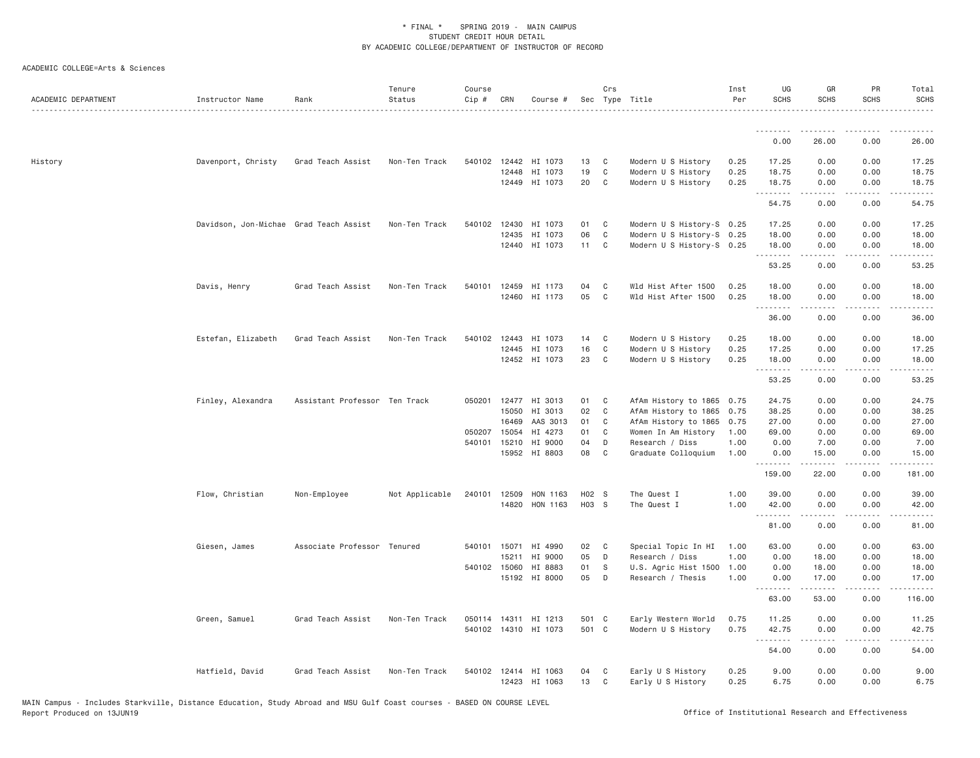| ACADEMIC DEPARTMENT | Instructor Name                        | Rank                          | Tenure<br>Status | Course<br>$Cip \#$ | CRN          | Course #                 |          | Crs          | Sec Type Title                         | Inst<br>Per  | UG<br><b>SCHS</b>   | GR<br><b>SCHS</b>   | PR<br><b>SCHS</b>            | Total<br><b>SCHS</b> |
|---------------------|----------------------------------------|-------------------------------|------------------|--------------------|--------------|--------------------------|----------|--------------|----------------------------------------|--------------|---------------------|---------------------|------------------------------|----------------------|
|                     |                                        |                               |                  |                    |              |                          |          |              |                                        |              | <u>.</u>            | .                   |                              |                      |
|                     |                                        |                               |                  |                    |              |                          |          |              |                                        |              | 0.00                | 26.00               | 0.00                         | 26.00                |
| History             | Davenport, Christy                     | Grad Teach Assist             | Non-Ten Track    |                    |              | 540102 12442 HI 1073     | 13       | C.           | Modern U S History                     | 0.25         | 17.25               | 0.00                | 0.00                         | 17.25                |
|                     |                                        |                               |                  |                    | 12448        | HI 1073                  | 19       | $\mathbb C$  | Modern U S History                     | 0.25         | 18.75               | 0.00                | 0.00                         | 18.75                |
|                     |                                        |                               |                  |                    |              | 12449 HI 1073            | 20       | C            | Modern U S History                     | 0.25         | 18.75<br>.          | 0.00<br>2.2.2.2.2   | 0.00<br>.                    | 18.75<br>.           |
|                     |                                        |                               |                  |                    |              |                          |          |              |                                        |              | 54.75               | 0.00                | 0.00                         | 54.75                |
|                     | Davidson, Jon-Michae Grad Teach Assist |                               | Non-Ten Track    | 540102 12430       |              | HI 1073                  | 01       | C            | Modern U S History-S 0.25              |              | 17.25               | 0.00                | 0.00                         | 17.25                |
|                     |                                        |                               |                  |                    | 12435        | HI 1073                  | 06       | C            | Modern U S History-S 0.25              |              | 18.00               | 0.00                | 0.00                         | 18.00                |
|                     |                                        |                               |                  |                    |              | 12440 HI 1073            | 11       | $\mathbf{C}$ | Modern U S History-S 0.25              |              | 18.00<br>.          | 0.00<br><b>.</b>    | 0.00<br>.                    | 18.00<br>.           |
|                     |                                        |                               |                  |                    |              |                          |          |              |                                        |              | 53.25               | 0.00                | 0.00                         | 53.25                |
|                     | Davis, Henry                           | Grad Teach Assist             | Non-Ten Track    |                    |              | 540101 12459 HI 1173     | 04       | C            | Wld Hist After 1500                    | 0.25         | 18.00               | 0.00                | 0.00                         | 18.00                |
|                     |                                        |                               |                  |                    |              | 12460 HI 1173            | 05       | C            | Wld Hist After 1500                    | 0.25         | 18.00               | 0.00                | 0.00                         | 18.00                |
|                     |                                        |                               |                  |                    |              |                          |          |              |                                        |              | .<br>36.00          | .<br>0.00           | .<br>0.00                    | .<br>36.00           |
|                     | Estefan, Elizabeth                     | Grad Teach Assist             | Non-Ten Track    | 540102             |              | 12443 HI 1073            | 14       | C            | Modern U S History                     | 0.25         | 18.00               | 0.00                | 0.00                         | 18.00                |
|                     |                                        |                               |                  |                    | 12445        | HI 1073                  | 16       | $\mathbb C$  | Modern U S History                     | 0.25         | 17.25               | 0.00                | 0.00                         | 17.25                |
|                     |                                        |                               |                  |                    |              | 12452 HI 1073            | 23       | C            | Modern U S History                     | 0.25         | 18.00               | 0.00                | 0.00                         | 18.00                |
|                     |                                        |                               |                  |                    |              |                          |          |              |                                        |              | .<br>53.25          | .<br>0.00           | .<br>0.00                    | .<br>53.25           |
|                     | Finley, Alexandra                      | Assistant Professor Ten Track |                  |                    |              | 050201 12477 HI 3013     | 01       | C            | AfAm History to 1865 0.75              |              | 24.75               | 0.00                | 0.00                         | 24.75                |
|                     |                                        |                               |                  |                    | 15050        | HI 3013                  | 02       | C            | AfAm History to 1865                   | 0.75         | 38.25               | 0.00                | 0.00                         | 38.25                |
|                     |                                        |                               |                  |                    | 16469        | AAS 3013                 | 01       | C            | AfAm History to 1865                   | 0.75         | 27.00               | 0.00                | 0.00                         | 27.00                |
|                     |                                        |                               |                  | 050207 15054       |              | HI 4273                  | 01       | C            | Women In Am History                    | 1.00         | 69.00               | 0.00                | 0.00                         | 69.00                |
|                     |                                        |                               |                  |                    | 540101 15210 | HI 9000<br>15952 HI 8803 | 04<br>08 | D<br>C       | Research / Diss<br>Graduate Colloquium | 1.00<br>1.00 | 0.00<br>0.00        | 7.00<br>15.00       | 0.00<br>0.00                 | 7.00<br>15.00        |
|                     |                                        |                               |                  |                    |              |                          |          |              |                                        |              | .<br>159.00         | 22.00               | $\sim$ $\sim$ $\sim$<br>0.00 | .<br>181.00          |
|                     |                                        |                               |                  |                    |              |                          |          |              |                                        |              |                     |                     |                              |                      |
|                     | Flow, Christian                        | Non-Employee                  | Not Applicable   | 240101 12509       |              | HON 1163                 | H02 S    |              | The Quest I                            | 1.00         | 39.00               | 0.00                | 0.00                         | 39.00                |
|                     |                                        |                               |                  |                    |              | 14820 HON 1163           | H03 S    |              | The Quest I                            | 1.00         | 42.00<br>. <b>.</b> | 0.00<br>$- - - - -$ | 0.00<br>.                    | 42.00<br>.           |
|                     |                                        |                               |                  |                    |              |                          |          |              |                                        |              | 81.00               | 0.00                | 0.00                         | 81.00                |
|                     | Giesen, James                          | Associate Professor Tenured   |                  |                    |              | 540101 15071 HI 4990     | 02       | C            | Special Topic In HI                    | 1.00         | 63.00               | 0.00                | 0.00                         | 63.00                |
|                     |                                        |                               |                  |                    | 15211        | HI 9000                  | 05       | D            | Research / Diss                        | 1.00         | 0.00                | 18.00               | 0.00                         | 18.00                |
|                     |                                        |                               |                  |                    | 540102 15060 | HI 8883                  | 01       | S            | U.S. Agric Hist 1500                   | 1.00         | 0.00                | 18.00               | 0.00                         | 18.00                |
|                     |                                        |                               |                  |                    |              | 15192 HI 8000            | 05       | D            | Research / Thesis                      | 1.00         | 0.00<br>.           | 17.00<br>.          | 0.00<br>.                    | 17.00                |
|                     |                                        |                               |                  |                    |              |                          |          |              |                                        |              | 63.00               | 53.00               | 0.00                         | 116.00               |
|                     | Green, Samuel                          | Grad Teach Assist             | Non-Ten Track    |                    |              | 050114 14311 HI 1213     | 501 C    |              | Early Western World                    | 0.75         | 11.25               | 0.00                | 0.00                         | 11.25                |
|                     |                                        |                               |                  |                    |              | 540102 14310 HI 1073     | 501 C    |              | Modern U S History                     | 0.75         | 42.75               | 0.00                | 0.00                         | 42.75                |
|                     |                                        |                               |                  |                    |              |                          |          |              |                                        |              | .<br>54.00          | -----<br>0.00       | .<br>0.00                    | .<br>54.00           |
|                     | Hatfield, David                        | Grad Teach Assist             | Non-Ten Track    |                    |              | 540102 12414 HI 1063     | 04       | C            | Early U S History                      | 0.25         | 9.00                | 0.00                | 0.00                         | 9.00                 |
|                     |                                        |                               |                  |                    |              | 12423 HI 1063            | 13       | C            | Early U S History                      | 0.25         | 6.75                | 0.00                | 0.00                         | 6.75                 |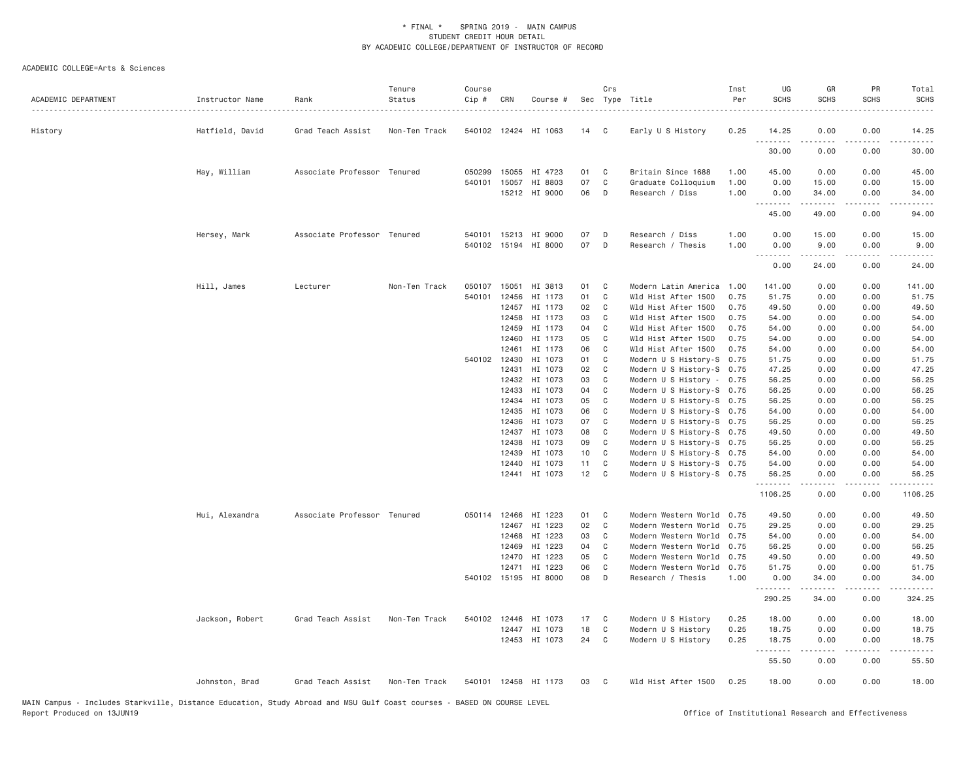| ACADEMIC DEPARTMENT | Instructor Name | Rank                        | Tenure<br>Status<br>. | Course<br>Cip # | CRN            | Course #             |          | Crs            | Sec Type Title                                         | Inst<br>Per | UG<br><b>SCHS</b>   | GR<br><b>SCHS</b> | PR<br><b>SCHS</b> | Total<br><b>SCHS</b><br>. |
|---------------------|-----------------|-----------------------------|-----------------------|-----------------|----------------|----------------------|----------|----------------|--------------------------------------------------------|-------------|---------------------|-------------------|-------------------|---------------------------|
| History             | Hatfield, David | Grad Teach Assist           | Non-Ten Track         |                 |                | 540102 12424 HI 1063 | 14       | $\mathbf{C}$   | Early U S History                                      | 0.25        | 14.25<br>.          | 0.00<br>.         | 0.00<br>.         | 14.25<br>.                |
|                     |                 |                             |                       |                 |                |                      |          |                |                                                        |             | 30.00               | 0.00              | 0.00              | 30.00                     |
|                     | Hay, William    | Associate Professor Tenured |                       | 050299          | 15055          | HI 4723              | 01       | C              | Britain Since 1688                                     | 1.00        | 45.00               | 0.00              | 0.00              | 45.00                     |
|                     |                 |                             |                       | 540101          | 15057          | HI 8803              | 07       | C              | Graduate Colloquium                                    | 1.00        | 0.00                | 15.00             | 0.00              | 15.00                     |
|                     |                 |                             |                       |                 |                | 15212 HI 9000        | 06       | D              | Research / Diss                                        | 1.00        | 0.00                | 34.00<br>.        | 0.00<br>.         | 34.00<br>.                |
|                     |                 |                             |                       |                 |                |                      |          |                |                                                        |             | 45.00               | 49.00             | 0.00              | 94.00                     |
|                     | Hersey, Mark    | Associate Professor Tenured |                       | 540101          |                | 15213 HI 9000        | 07       | D              | Research / Diss                                        | 1.00        | 0.00                | 15.00             | 0.00              | 15.00                     |
|                     |                 |                             |                       |                 |                | 540102 15194 HI 8000 | 07       | D              | Research / Thesis                                      | 1.00        | 0.00<br>.           | 9.00              | 0.00              | 9.00                      |
|                     |                 |                             |                       |                 |                |                      |          |                |                                                        |             | 0.00                | 24.00             | 0.00              | 24.00                     |
|                     | Hill, James     | Lecturer                    | Non-Ten Track         | 050107          | 15051          | HI 3813              | 01       | C              | Modern Latin America                                   | 1.00        | 141.00              | 0.00              | 0.00              | 141.00                    |
|                     |                 |                             |                       | 540101          | 12456          | HI 1173              | 01       | $\mathsf{C}$   | Wld Hist After 1500                                    | 0.75        | 51.75               | 0.00              | 0.00              | 51.75                     |
|                     |                 |                             |                       |                 | 12457          | HI 1173              | 02       | C              | Wld Hist After 1500                                    | 0.75        | 49.50               | 0.00              | 0.00              | 49.50                     |
|                     |                 |                             |                       |                 | 12458          | HI 1173              | 03       | C              | Wld Hist After 1500                                    | 0.75        | 54.00               | 0.00              | 0.00              | 54.00                     |
|                     |                 |                             |                       |                 | 12459          | HI 1173              | 04       | C              | Wld Hist After 1500                                    | 0.75        | 54.00               | 0.00              | 0.00              | 54.00                     |
|                     |                 |                             |                       |                 | 12460          | HI 1173              | 05       | C              | Wld Hist After 1500                                    | 0.75        | 54.00               | 0.00              | 0.00              | 54.00                     |
|                     |                 |                             |                       |                 | 12461          | HI 1173              | 06       | C              | Wld Hist After 1500                                    | 0.75        | 54.00               | 0.00              | 0.00              | 54.00                     |
|                     |                 |                             |                       | 540102 12430    |                | HI 1073              | 01       | C              | Modern U S History-S                                   | 0.75        | 51.75               | 0.00              | 0.00              | 51.75                     |
|                     |                 |                             |                       |                 | 12431<br>12432 | HI 1073<br>HI 1073   | 02<br>03 | C<br>C         | Modern U S History-S 0.75                              |             | 47.25<br>56.25      | 0.00<br>0.00      | 0.00<br>0.00      | 47.25<br>56.25            |
|                     |                 |                             |                       |                 | 12433          | HI 1073              | 04       | C              | Modern U S History - 0.75<br>Modern U S History-S 0.75 |             | 56.25               | 0.00              | 0.00              | 56.25                     |
|                     |                 |                             |                       |                 | 12434          | HI 1073              | 05       | C              | Modern U S History-S 0.75                              |             | 56.25               | 0.00              | 0.00              | 56.25                     |
|                     |                 |                             |                       |                 | 12435          | HI 1073              | 06       | C              | Modern U S History-S 0.75                              |             | 54.00               | 0.00              | 0.00              | 54.00                     |
|                     |                 |                             |                       |                 | 12436          | HI 1073              | 07       | C              | Modern U S History-S 0.75                              |             | 56.25               | 0.00              | 0.00              | 56.25                     |
|                     |                 |                             |                       |                 | 12437          | HI 1073              | 08       | C              | Modern U S History-S 0.75                              |             | 49.50               | 0.00              | 0.00              | 49.50                     |
|                     |                 |                             |                       |                 | 12438          | HI 1073              | 09       | C              | Modern U S History-S 0.75                              |             | 56.25               | 0.00              | 0.00              | 56.25                     |
|                     |                 |                             |                       |                 | 12439          | HI 1073              | 10       | C              | Modern U S History-S 0.75                              |             | 54.00               | 0.00              | 0.00              | 54.00                     |
|                     |                 |                             |                       |                 | 12440          | HI 1073              | 11       | C              | Modern U S History-S 0.75                              |             | 54.00               | 0.00              | 0.00              | 54.00                     |
|                     |                 |                             |                       |                 | 12441          | HI 1073              | 12       | $\mathbf{C}$   | Modern U S History-S 0.75                              |             | 56.25               | 0.00              | 0.00              | 56.25                     |
|                     |                 |                             |                       |                 |                |                      |          |                |                                                        |             | <u>.</u><br>1106.25 | 0.00              | 0.00              | 1106.25                   |
|                     | Hui, Alexandra  | Associate Professor Tenured |                       | 050114 12466    |                | HI 1223              | 01       | C <sub>1</sub> | Modern Western World 0.75                              |             | 49.50               | 0.00              | 0.00              | 49.50                     |
|                     |                 |                             |                       |                 | 12467          | HI 1223              | 02       | $\mathsf{C}$   | Modern Western World                                   | 0.75        | 29.25               | 0.00              | 0.00              | 29.25                     |
|                     |                 |                             |                       |                 | 12468          | HI 1223              | 03       | C              | Modern Western World                                   | 0.75        | 54.00               | 0.00              | 0.00              | 54.00                     |
|                     |                 |                             |                       |                 | 12469          | HI 1223              | 04       | C              | Modern Western World                                   | 0.75        | 56.25               | 0.00              | 0.00              | 56.25                     |
|                     |                 |                             |                       |                 | 12470          | HI 1223              | 05       | C              | Modern Western World                                   | 0.75        | 49.50               | 0.00              | 0.00              | 49.50                     |
|                     |                 |                             |                       |                 | 12471          | HI 1223              | 06       | C              | Modern Western World                                   | 0.75        | 51.75               | 0.00              | 0.00              | 51.75                     |
|                     |                 |                             |                       |                 |                | 540102 15195 HI 8000 | 08       | D              | Research / Thesis                                      | 1.00        | 0.00                | 34.00<br>.        | 0.00<br>.         | 34.00<br>.                |
|                     |                 |                             |                       |                 |                |                      |          |                |                                                        |             | 290.25              | 34.00             | 0.00              | 324.25                    |
|                     | Jackson, Robert | Grad Teach Assist           | Non-Ten Track         | 540102          |                | 12446 HI 1073        | 17       | C              | Modern U S History                                     | 0.25        | 18.00               | 0.00              | 0.00              | 18.00                     |
|                     |                 |                             |                       |                 | 12447          | HI 1073              | 18       | C              | Modern U S History                                     | 0.25        | 18.75               | 0.00              | 0.00              | 18.75                     |
|                     |                 |                             |                       |                 |                | 12453 HI 1073        | 24       | C              | Modern U S History                                     | 0.25        | 18.75<br><u>.</u>   | 0.00<br>.         | 0.00<br>.         | 18.75<br>.                |
|                     |                 |                             |                       |                 |                |                      |          |                |                                                        |             | 55.50               | 0.00              | 0.00              | 55.50                     |
|                     | Johnston, Brad  | Grad Teach Assist           | Non-Ten Track         |                 |                | 540101 12458 HI 1173 | 03       | C              | Wld Hist After 1500                                    | 0.25        | 18.00               | 0.00              | 0.00              | 18.00                     |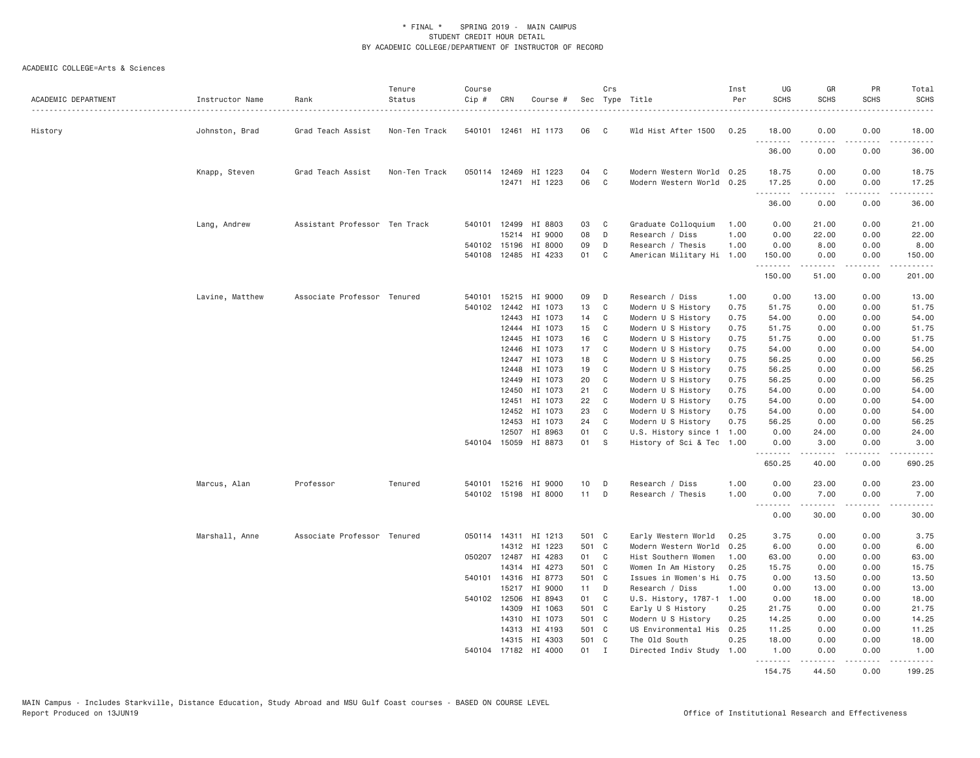| ACADEMIC DEPARTMENT | Instructor Name | Rank                          | Tenure<br>Status | Course<br>Cip # | CRN          | Course #                              |          | Crs            | Sec Type Title                                         | Inst<br>Per | UG<br><b>SCHS</b>     | GR<br><b>SCHS</b>                                                                                                                                            | PR<br><b>SCHS</b> | Total<br><b>SCHS</b> |
|---------------------|-----------------|-------------------------------|------------------|-----------------|--------------|---------------------------------------|----------|----------------|--------------------------------------------------------|-------------|-----------------------|--------------------------------------------------------------------------------------------------------------------------------------------------------------|-------------------|----------------------|
| History             | Johnston, Brad  | Grad Teach Assist             | Non-Ten Track    |                 |              | 540101 12461 HI 1173                  | 06       | C              | Wld Hist After 1500                                    | 0.25        | 18.00<br><u>.</u>     | 0.00<br><u>.</u>                                                                                                                                             | 0.00<br>.         | 18.00<br>.           |
|                     |                 |                               |                  |                 |              |                                       |          |                |                                                        |             | 36.00                 | 0.00                                                                                                                                                         | 0.00              | 36.00                |
|                     | Knapp, Steven   | Grad Teach Assist             | Non-Ten Track    |                 |              | 050114 12469 HI 1223<br>12471 HI 1223 | 04<br>06 | C<br>C         | Modern Western World 0.25<br>Modern Western World 0.25 |             | 18.75<br>17.25        | 0.00<br>0.00                                                                                                                                                 | 0.00<br>0.00      | 18.75<br>17.25       |
|                     |                 |                               |                  |                 |              |                                       |          |                |                                                        |             | .<br>36.00            | $\frac{1}{2} \left( \frac{1}{2} \right) \left( \frac{1}{2} \right) \left( \frac{1}{2} \right) \left( \frac{1}{2} \right) \left( \frac{1}{2} \right)$<br>0.00 | .<br>0.00         | .<br>36.00           |
|                     | Lang, Andrew    | Assistant Professor Ten Track |                  |                 |              | 540101 12499 HI 8803                  | 03       | C              | Graduate Colloquium                                    | 1.00        | 0.00                  | 21.00                                                                                                                                                        | 0.00              | 21.00                |
|                     |                 |                               |                  |                 | 15214        | HI 9000                               | 08       | D              | Research / Diss                                        | 1.00        | 0.00                  | 22.00                                                                                                                                                        | 0.00              | 22.00                |
|                     |                 |                               |                  |                 | 540102 15196 | HI 8000                               | 09       | D              | Research / Thesis                                      | 1.00        | 0.00                  | 8.00                                                                                                                                                         | 0.00              | 8.00                 |
|                     |                 |                               |                  | 540108          |              | 12485 HI 4233                         | 01       | C              | American Military Hi 1.00                              |             | 150.00<br>.           | 0.00<br>-----                                                                                                                                                | 0.00<br>.         | 150.00<br>.          |
|                     |                 |                               |                  |                 |              |                                       |          |                |                                                        |             | 150.00                | 51.00                                                                                                                                                        | 0.00              | 201.00               |
|                     | Lavine, Matthew | Associate Professor Tenured   |                  |                 |              | 540101 15215 HI 9000                  | 09       | D              | Research / Diss                                        | 1.00        | 0.00                  | 13.00                                                                                                                                                        | 0.00              | 13.00                |
|                     |                 |                               |                  |                 |              | 540102 12442 HI 1073                  | 13       | C              | Modern U S History                                     | 0.75        | 51.75                 | 0.00                                                                                                                                                         | 0.00              | 51.75                |
|                     |                 |                               |                  |                 | 12443        | HI 1073                               | 14       | C              | Modern U S History                                     | 0.75        | 54.00                 | 0.00                                                                                                                                                         | 0.00              | 54.00                |
|                     |                 |                               |                  |                 | 12444        | HI 1073                               | 15       | C              | Modern U S History                                     | 0.75        | 51.75                 | 0.00                                                                                                                                                         | 0.00              | 51.75                |
|                     |                 |                               |                  |                 | 12445        | HI 1073                               | 16       | C              | Modern U S History                                     | 0.75        | 51.75                 | 0.00                                                                                                                                                         | 0.00              | 51.75                |
|                     |                 |                               |                  |                 | 12446        | HI 1073                               | 17       | C              | Modern U S History                                     | 0.75        | 54.00                 | 0.00                                                                                                                                                         | 0.00              | 54.00                |
|                     |                 |                               |                  |                 | 12447        | HI 1073                               | 18       | C              | Modern U S History                                     | 0.75        | 56.25                 | 0.00                                                                                                                                                         | 0.00              | 56.25                |
|                     |                 |                               |                  |                 | 12448        | HI 1073                               | 19       | C              | Modern U S History                                     | 0.75        | 56.25                 | 0.00                                                                                                                                                         | 0.00              | 56.25                |
|                     |                 |                               |                  |                 | 12449        | HI 1073                               | 20       | C              | Modern U S History                                     | 0.75        | 56.25                 | 0.00                                                                                                                                                         | 0.00              | 56.25                |
|                     |                 |                               |                  |                 | 12450        | HI 1073                               | 21       | C              | Modern U S History                                     | 0.75        | 54.00                 | 0.00                                                                                                                                                         | 0.00              | 54.00                |
|                     |                 |                               |                  |                 | 12451        | HI 1073                               | 22       | C              | Modern U S History                                     | 0.75        | 54.00                 | 0.00                                                                                                                                                         | 0.00              | 54.00                |
|                     |                 |                               |                  |                 | 12452        | HI 1073                               | 23       | C              | Modern U S History                                     | 0.75        | 54.00                 | 0.00                                                                                                                                                         | 0.00              | 54.00                |
|                     |                 |                               |                  |                 | 12453        | HI 1073                               | 24       | C              | Modern U S History                                     | 0.75        | 56.25                 | 0.00                                                                                                                                                         | 0.00              | 56.25                |
|                     |                 |                               |                  |                 | 12507        | HI 8963                               | 01       | C              | U.S. History since 1 1.00                              |             | 0.00                  | 24.00                                                                                                                                                        | 0.00              | 24.00                |
|                     |                 |                               |                  |                 |              | 540104 15059 HI 8873                  | 01       | <b>S</b>       | History of Sci & Tec 1.00                              |             | 0.00<br>.             | 3.00<br>.                                                                                                                                                    | 0.00<br>.         | 3.00<br>.            |
|                     |                 |                               |                  |                 |              |                                       |          |                |                                                        |             | 650.25                | 40.00                                                                                                                                                        | 0.00              | 690.25               |
|                     | Marcus, Alan    | Professor                     | Tenured          | 540101          |              | 15216 HI 9000                         | 10       | D              | Research / Diss                                        | 1.00        | 0.00                  | 23.00                                                                                                                                                        | 0.00              | 23.00                |
|                     |                 |                               |                  |                 |              | 540102 15198 HI 8000                  | 11       | D              | Research / Thesis                                      | 1.00        | 0.00<br>1.1.1.1.1.1.1 | 7.00                                                                                                                                                         | 0.00<br>.         | 7.00<br>د د د د د    |
|                     |                 |                               |                  |                 |              |                                       |          |                |                                                        |             | 0.00                  | 30.00                                                                                                                                                        | 0.00              | 30.00                |
|                     | Marshall, Anne  | Associate Professor Tenured   |                  |                 |              | 050114 14311 HI 1213                  | 501 C    |                | Early Western World                                    | 0.25        | 3.75                  | 0.00                                                                                                                                                         | 0.00              | 3.75                 |
|                     |                 |                               |                  |                 |              | 14312 HI 1223                         | 501 C    |                | Modern Western World                                   | 0.25        | 6.00                  | 0.00                                                                                                                                                         | 0.00              | 6.00                 |
|                     |                 |                               |                  | 050207          | 12487        | HI 4283                               | 01       | C <sub>1</sub> | Hist Southern Women                                    | 1.00        | 63.00                 | 0.00                                                                                                                                                         | 0.00              | 63.00                |
|                     |                 |                               |                  |                 |              | 14314 HI 4273                         | 501 C    |                | Women In Am History                                    | 0.25        | 15.75                 | 0.00                                                                                                                                                         | 0.00              | 15.75                |
|                     |                 |                               |                  |                 |              | 540101 14316 HI 8773                  | 501 C    |                | Issues in Women's Hi 0.75                              |             | 0.00                  | 13.50                                                                                                                                                        | 0.00              | 13.50                |
|                     |                 |                               |                  |                 | 15217        | HI 9000                               | 11       | D              | Research / Diss                                        | 1.00        | 0.00                  | 13.00                                                                                                                                                        | 0.00              | 13.00                |
|                     |                 |                               |                  |                 | 540102 12506 | HI 8943                               | 01       | C <sub>1</sub> | U.S. History, 1787-1 1.00                              |             | 0.00                  | 18.00                                                                                                                                                        | 0.00              | 18.00                |
|                     |                 |                               |                  |                 | 14309        | HI 1063                               | 501 C    |                | Early U S History                                      | 0.25        | 21.75                 | 0.00                                                                                                                                                         | 0.00              | 21.75                |
|                     |                 |                               |                  |                 | 14310        | HI 1073                               | 501 C    |                | Modern U S History                                     | 0.25        | 14.25                 | 0.00                                                                                                                                                         | 0.00              | 14.25                |
|                     |                 |                               |                  |                 |              | 14313 HI 4193                         | 501 C    |                | US Environmental His 0.25                              |             | 11.25                 | 0.00                                                                                                                                                         | 0.00              | 11.25                |
|                     |                 |                               |                  |                 |              | 14315 HI 4303                         | 501 C    |                | The Old South                                          | 0.25        | 18.00                 | 0.00                                                                                                                                                         | 0.00              | 18.00                |
|                     |                 |                               |                  |                 |              | 540104 17182 HI 4000                  | 01       | I              | Directed Indiv Study                                   | 1.00        | 1.00<br>.             | 0.00<br>$\frac{1}{2} \left( \frac{1}{2} \right) \left( \frac{1}{2} \right) \left( \frac{1}{2} \right) \left( \frac{1}{2} \right) \left( \frac{1}{2} \right)$ | 0.00<br>.         | 1.00<br>.            |
|                     |                 |                               |                  |                 |              |                                       |          |                |                                                        |             | 154.75                | 44.50                                                                                                                                                        | 0.00              | 199.25               |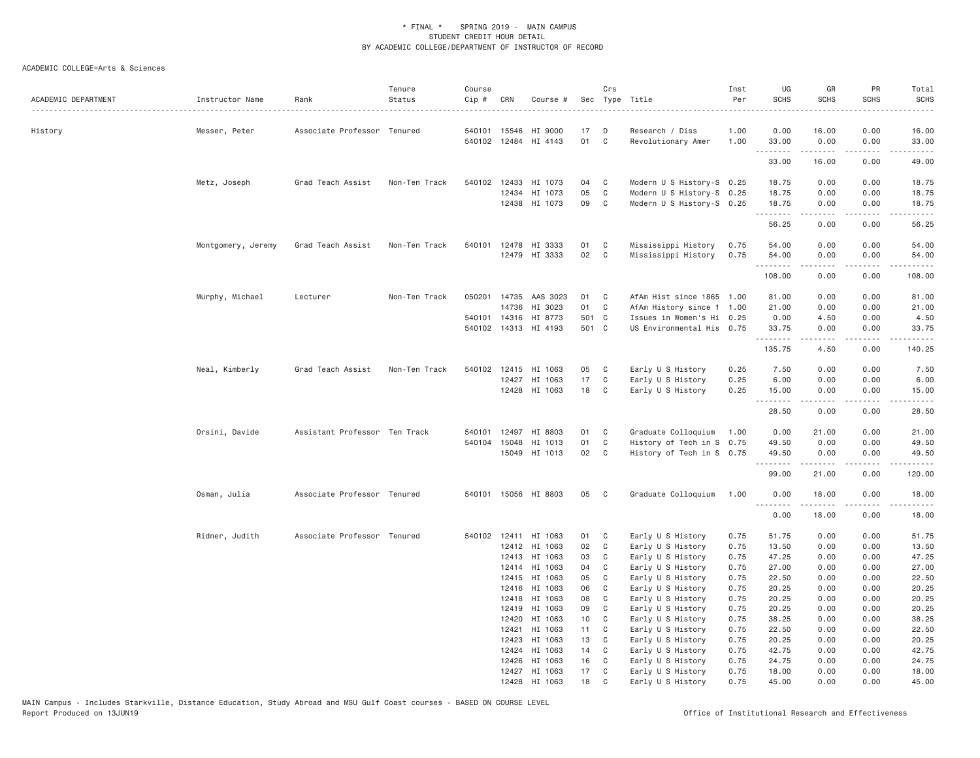| ACADEMIC DEPARTMENT | Instructor Name    | Rank                          | Tenure<br>Status | Course<br>Cip # | CRN          | Course #             |       | Crs            | Sec Type Title            | Inst<br>Per | UG<br><b>SCHS</b> | GR<br><b>SCHS</b>                                                                                                                                            | PR<br><b>SCHS</b>                   | Total<br><b>SCHS</b><br>$\omega$ is a set   |
|---------------------|--------------------|-------------------------------|------------------|-----------------|--------------|----------------------|-------|----------------|---------------------------|-------------|-------------------|--------------------------------------------------------------------------------------------------------------------------------------------------------------|-------------------------------------|---------------------------------------------|
| History             | Messer, Peter      | Associate Professor Tenured   |                  |                 | 540101 15546 | HI 9000              | 17    | D              | Research / Diss           | 1.00        | 0.00              | 16.00                                                                                                                                                        | 0.00                                | 16.00                                       |
|                     |                    |                               |                  |                 |              | 540102 12484 HI 4143 | 01    | $\mathbb C$    | Revolutionary Amer        | 1.00        | 33.00<br>.        | 0.00<br><b>.</b>                                                                                                                                             | 0.00<br>$\sim$ $\sim$ $\sim$ $\sim$ | 33.00<br>$\sim$ $\sim$ $\sim$ $\sim$ $\sim$ |
|                     |                    |                               |                  |                 |              |                      |       |                |                           |             | 33.00             | 16.00                                                                                                                                                        | 0.00                                | 49.00                                       |
|                     | Metz, Joseph       | Grad Teach Assist             | Non-Ten Track    |                 |              | 540102 12433 HI 1073 | 04    | C              | Modern U S History-S 0.25 |             | 18.75             | 0.00                                                                                                                                                         | 0.00                                | 18.75                                       |
|                     |                    |                               |                  |                 | 12434        | HI 1073              | 05    | $\mathbb C$    | Modern U S History-S 0.25 |             | 18.75             | 0.00                                                                                                                                                         | 0.00                                | 18.75                                       |
|                     |                    |                               |                  |                 |              | 12438 HI 1073        | 09    | C              | Modern U S History-S 0.25 |             | 18.75             | 0.00                                                                                                                                                         | 0.00                                | 18.75                                       |
|                     |                    |                               |                  |                 |              |                      |       |                |                           |             | .<br>56.25        | -----<br>0.00                                                                                                                                                | .<br>0.00                           | .<br>56.25                                  |
|                     | Montgomery, Jeremy | Grad Teach Assist             | Non-Ten Track    |                 |              | 540101 12478 HI 3333 | 01    | C              | Mississippi History       | 0.75        | 54.00             | 0.00                                                                                                                                                         | 0.00                                | 54.00                                       |
|                     |                    |                               |                  |                 |              | 12479 HI 3333        | 02    | C              | Mississippi History       | 0.75        | 54.00             | 0.00                                                                                                                                                         | 0.00                                | 54.00                                       |
|                     |                    |                               |                  |                 |              |                      |       |                |                           |             | .<br>108.00       | .<br>0.00                                                                                                                                                    | .<br>0.00                           | .<br>108.00                                 |
|                     |                    |                               |                  |                 |              |                      |       |                |                           |             |                   |                                                                                                                                                              |                                     |                                             |
|                     | Murphy, Michael    | Lecturer                      | Non-Ten Track    | 050201          |              | 14735 AAS 3023       | 01    | C              | AfAm Hist since 1865 1.00 |             | 81.00             | 0.00                                                                                                                                                         | 0.00                                | 81.00                                       |
|                     |                    |                               |                  |                 |              | 14736 HI 3023        | 01    | C              | AfAm History since 1 1.00 |             | 21.00             | 0.00                                                                                                                                                         | 0.00                                | 21.00                                       |
|                     |                    |                               |                  |                 |              | 540101 14316 HI 8773 | 501 C |                | Issues in Women's Hi 0.25 |             | 0.00              | 4.50                                                                                                                                                         | 0.00                                | 4.50                                        |
|                     |                    |                               |                  |                 |              | 540102 14313 HI 4193 | 501 C |                | US Environmental His 0.75 |             | 33.75<br>.        | 0.00<br>$\frac{1}{2} \left( \frac{1}{2} \right) \left( \frac{1}{2} \right) \left( \frac{1}{2} \right) \left( \frac{1}{2} \right) \left( \frac{1}{2} \right)$ | 0.00<br>.                           | 33.75<br>.                                  |
|                     |                    |                               |                  |                 |              |                      |       |                |                           |             | 135.75            | 4.50                                                                                                                                                         | 0.00                                | 140.25                                      |
|                     | Neal, Kimberly     | Grad Teach Assist             | Non-Ten Track    |                 |              | 540102 12415 HI 1063 | 05    | C              | Early U S History         | 0.25        | 7.50              | 0.00                                                                                                                                                         | 0.00                                | 7.50                                        |
|                     |                    |                               |                  |                 |              | 12427 HI 1063        | 17    | C              | Early U S History         | 0.25        | 6.00              | 0.00                                                                                                                                                         | 0.00                                | 6.00                                        |
|                     |                    |                               |                  |                 |              | 12428 HI 1063        | 18    | C              | Early U S History         | 0.25        | 15.00<br>.        | 0.00<br>.                                                                                                                                                    | 0.00<br>$\frac{1}{2}$               | 15.00<br>$\frac{1}{2}$                      |
|                     |                    |                               |                  |                 |              |                      |       |                |                           |             | 28.50             | 0.00                                                                                                                                                         | 0.00                                | 28.50                                       |
|                     | Orsini, Davide     | Assistant Professor Ten Track |                  |                 |              | 540101 12497 HI 8803 | 01    | C              | Graduate Colloquium       | 1.00        | 0.00              | 21.00                                                                                                                                                        | 0.00                                | 21.00                                       |
|                     |                    |                               |                  | 540104          | 15048        | HI 1013              | 01    | C              | History of Tech in S 0.75 |             | 49.50             | 0.00                                                                                                                                                         | 0.00                                | 49.50                                       |
|                     |                    |                               |                  |                 |              | 15049 HI 1013        | 02    | C              | History of Tech in S 0.75 |             | 49.50             | 0.00                                                                                                                                                         | 0.00                                | 49.50                                       |
|                     |                    |                               |                  |                 |              |                      |       |                |                           |             | .<br>99.00        | <u>.</u><br>21.00                                                                                                                                            | .<br>0.00                           | .<br>120.00                                 |
|                     | Osman, Julia       | Associate Professor Tenured   |                  |                 |              | 540101 15056 HI 8803 | 05    | C              | Graduate Colloquium       | 1.00        | 0.00              | 18,00                                                                                                                                                        | 0.00                                | 18,00                                       |
|                     |                    |                               |                  |                 |              |                      |       |                |                           |             | <u>.</u><br>0.00  | .<br>18.00                                                                                                                                                   | .<br>0.00                           | .<br>18.00                                  |
|                     | Ridner, Judith     | Associate Professor Tenured   |                  |                 | 540102 12411 | HI 1063              | 01    | C              | Early U S History         | 0.75        | 51.75             | 0.00                                                                                                                                                         | 0.00                                | 51.75                                       |
|                     |                    |                               |                  |                 |              | 12412 HI 1063        | 02    | C              | Early U S History         | 0.75        | 13.50             | 0.00                                                                                                                                                         | 0.00                                | 13.50                                       |
|                     |                    |                               |                  |                 | 12413        | HI 1063              | 03    | C              | Early U S History         | 0.75        | 47.25             | 0.00                                                                                                                                                         | 0.00                                | 47.25                                       |
|                     |                    |                               |                  |                 |              | 12414 HI 1063        | 04    | C              | Early U S History         | 0.75        | 27.00             | 0.00                                                                                                                                                         | 0.00                                | 27.00                                       |
|                     |                    |                               |                  |                 |              | 12415 HI 1063        | 05    | C              | Early U S History         | 0.75        | 22.50             | 0.00                                                                                                                                                         | 0.00                                | 22.50                                       |
|                     |                    |                               |                  |                 | 12416        | HI 1063              | 06    | C              | Early U S History         | 0.75        | 20.25             | 0.00                                                                                                                                                         | 0.00                                | 20.25                                       |
|                     |                    |                               |                  |                 |              | 12418 HI 1063        | 08    | C              | Early U S History         | 0.75        | 20.25             | 0.00                                                                                                                                                         | 0.00                                | 20.25                                       |
|                     |                    |                               |                  |                 | 12419        | HI 1063              | 09    | C              | Early U S History         | 0.75        | 20.25             | 0.00                                                                                                                                                         | 0.00                                | 20.25                                       |
|                     |                    |                               |                  |                 | 12420        | HI 1063              | 10    | $\mathbf{C}$   | Early U S History         | 0.75        | 38.25             | 0.00                                                                                                                                                         | 0.00                                | 38.25                                       |
|                     |                    |                               |                  |                 | 12421        | HI 1063              | 11    | C <sub>1</sub> | Early U S History         | 0.75        | 22.50             | 0.00                                                                                                                                                         | 0.00                                | 22.50                                       |
|                     |                    |                               |                  |                 | 12423        | HI 1063              | 13    | C              | Early U S History         | 0.75        | 20.25             | 0.00                                                                                                                                                         | 0.00                                | 20.25                                       |
|                     |                    |                               |                  |                 | 12424        | HI 1063              | 14    | C              | Early U S History         | 0.75        | 42.75             | 0.00                                                                                                                                                         | 0.00                                | 42.75                                       |
|                     |                    |                               |                  |                 | 12426        | HI 1063              | 16    | C              | Early U S History         | 0.75        | 24.75             | 0.00                                                                                                                                                         | 0.00                                | 24.75                                       |
|                     |                    |                               |                  |                 |              | 12427 HI 1063        | 17    | C              | Early U S History         | 0.75        | 18.00             | 0.00                                                                                                                                                         | 0.00                                | 18.00                                       |
|                     |                    |                               |                  |                 |              | 12428 HI 1063        | 18    | $\mathsf{C}$   | Early U S History         | 0.75        | 45.00             | 0.00                                                                                                                                                         | 0.00                                | 45.00                                       |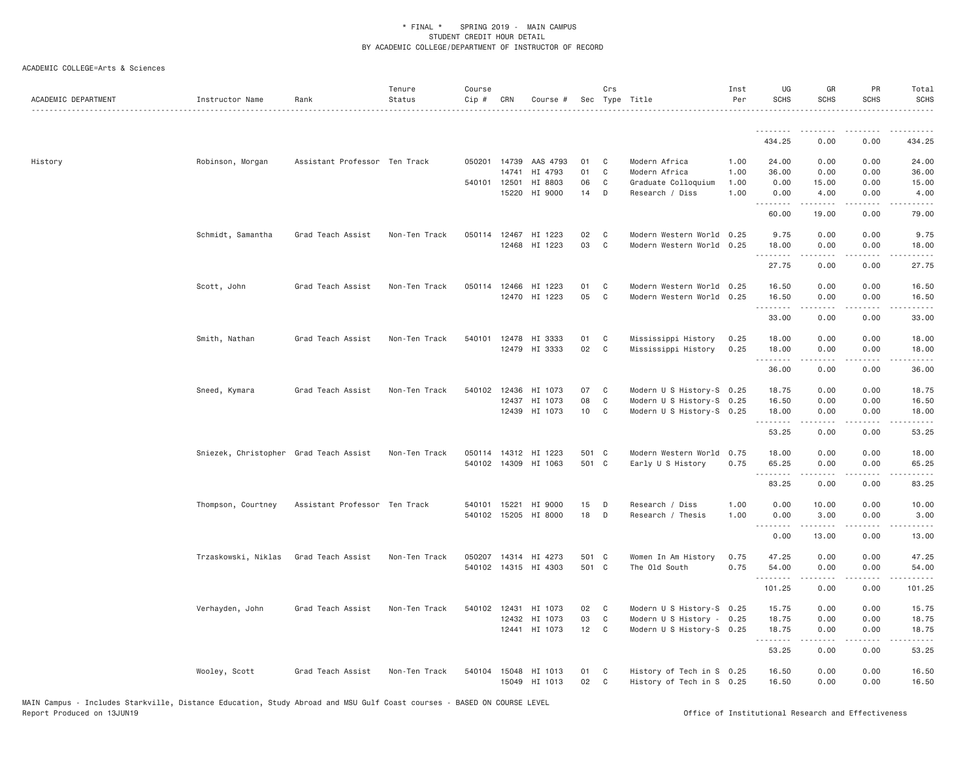| ACADEMIC DEPARTMENT | Instructor Name                        | Rank                          | Tenure<br>Status | Course<br>Cip # | CRN   | Course #              |       | Crs            | Sec Type Title            | Inst<br>Per | UG<br><b>SCHS</b> | GR<br><b>SCHS</b>                                                                                                                                                                                                                                                                                                                            | PR<br>SCHS                          | Total<br><b>SCHS</b>   |
|---------------------|----------------------------------------|-------------------------------|------------------|-----------------|-------|-----------------------|-------|----------------|---------------------------|-------------|-------------------|----------------------------------------------------------------------------------------------------------------------------------------------------------------------------------------------------------------------------------------------------------------------------------------------------------------------------------------------|-------------------------------------|------------------------|
|                     |                                        |                               |                  |                 |       |                       |       |                |                           |             | 434.25            | 0.00                                                                                                                                                                                                                                                                                                                                         | 0.00                                | 434.25                 |
| History             | Robinson, Morgan                       | Assistant Professor Ten Track |                  |                 |       | 050201 14739 AAS 4793 | 01    | C              | Modern Africa             | 1.00        | 24.00             | 0.00                                                                                                                                                                                                                                                                                                                                         | 0.00                                | 24.00                  |
|                     |                                        |                               |                  |                 | 14741 | HI 4793               | 01    | C              | Modern Africa             | 1.00        | 36.00             | 0.00                                                                                                                                                                                                                                                                                                                                         | 0.00                                | 36.00                  |
|                     |                                        |                               |                  | 540101 12501    |       | HI 8803               | 06    | $\mathbb C$    | Graduate Colloquium       | 1.00        | 0.00              | 15.00                                                                                                                                                                                                                                                                                                                                        | 0.00                                | 15.00                  |
|                     |                                        |                               |                  |                 | 15220 | HI 9000               | 14    | D              | Research / Diss           | 1.00        | 0.00<br><u>.</u>  | 4.00<br>.                                                                                                                                                                                                                                                                                                                                    | 0.00<br>$\sim$ $\sim$ $\sim$ $\sim$ | 4.00<br>الأمالات       |
|                     |                                        |                               |                  |                 |       |                       |       |                |                           |             | 60.00             | 19.00                                                                                                                                                                                                                                                                                                                                        | 0.00                                | 79.00                  |
|                     | Schmidt, Samantha                      | Grad Teach Assist             | Non-Ten Track    |                 |       | 050114 12467 HI 1223  | 02    | C <sub>1</sub> | Modern Western World 0.25 |             | 9.75              | 0.00                                                                                                                                                                                                                                                                                                                                         | 0.00                                | 9.75                   |
|                     |                                        |                               |                  |                 |       | 12468 HI 1223         | 03    | C              | Modern Western World 0.25 |             | 18.00             | 0.00<br>.                                                                                                                                                                                                                                                                                                                                    | 0.00<br>.                           | 18.00<br>المستبدا      |
|                     |                                        |                               |                  |                 |       |                       |       |                |                           |             | 27.75             | 0.00                                                                                                                                                                                                                                                                                                                                         | 0.00                                | 27.75                  |
|                     | Scott, John                            | Grad Teach Assist             | Non-Ten Track    |                 |       | 050114 12466 HI 1223  | 01    | C              | Modern Western World 0.25 |             | 16.50             | 0.00                                                                                                                                                                                                                                                                                                                                         | 0.00                                | 16.50                  |
|                     |                                        |                               |                  |                 |       | 12470 HI 1223         | 05    | $\mathbf C$    | Modern Western World 0.25 |             | 16.50<br><u>.</u> | 0.00<br>$\mathcal{L}^{\mathcal{A}}\left( \mathcal{A}^{\mathcal{A}}\right) =\mathcal{L}^{\mathcal{A}}\left( \mathcal{A}^{\mathcal{A}}\right)$                                                                                                                                                                                                 | 0.00<br>.                           | 16.50<br>.             |
|                     |                                        |                               |                  |                 |       |                       |       |                |                           |             | 33.00             | 0.00                                                                                                                                                                                                                                                                                                                                         | 0.00                                | 33.00                  |
|                     | Smith, Nathan                          | Grad Teach Assist             | Non-Ten Track    | 540101          | 12478 | HI 3333               | 01    | C              | Mississippi History       | 0.25        | 18.00             | 0.00                                                                                                                                                                                                                                                                                                                                         | 0.00                                | 18.00                  |
|                     |                                        |                               |                  |                 |       | 12479 HI 3333         | 02    | C              | Mississippi History       | 0.25        | 18.00<br>.        | 0.00<br>.                                                                                                                                                                                                                                                                                                                                    | 0.00<br>.                           | 18.00<br>.             |
|                     |                                        |                               |                  |                 |       |                       |       |                |                           |             | 36.00             | 0.00                                                                                                                                                                                                                                                                                                                                         | 0.00                                | 36.00                  |
|                     | Sneed, Kymara                          | Grad Teach Assist             | Non-Ten Track    |                 |       | 540102 12436 HI 1073  | 07    | C              | Modern U S History-S 0.25 |             | 18.75             | 0.00                                                                                                                                                                                                                                                                                                                                         | 0.00                                | 18.75                  |
|                     |                                        |                               |                  |                 | 12437 | HI 1073               | 08    | $\mathbb C$    | Modern U S History-S 0.25 |             | 16.50             | 0.00                                                                                                                                                                                                                                                                                                                                         | 0.00                                | 16.50                  |
|                     |                                        |                               |                  |                 | 12439 | HI 1073               | 10    | C              | Modern U S History-S 0.25 |             | 18.00<br>.        | 0.00                                                                                                                                                                                                                                                                                                                                         | 0.00<br>$\sim$ $\sim$ $\sim$        | 18.00<br>الداعات الدار |
|                     |                                        |                               |                  |                 |       |                       |       |                |                           |             | 53.25             | 0.00                                                                                                                                                                                                                                                                                                                                         | 0.00                                | 53.25                  |
|                     | Sniezek, Christopher Grad Teach Assist |                               | Non-Ten Track    |                 |       | 050114 14312 HI 1223  | 501 C |                | Modern Western World      | 0.75        | 18.00             | 0.00                                                                                                                                                                                                                                                                                                                                         | 0.00                                | 18.00                  |
|                     |                                        |                               |                  |                 |       | 540102 14309 HI 1063  | 501 C |                | Early U S History         | 0.75        | 65.25<br>.        | 0.00<br><u>.</u>                                                                                                                                                                                                                                                                                                                             | 0.00<br>.                           | 65.25<br>.             |
|                     |                                        |                               |                  |                 |       |                       |       |                |                           |             | 83.25             | 0.00                                                                                                                                                                                                                                                                                                                                         | 0.00                                | 83.25                  |
|                     | Thompson, Courtney                     | Assistant Professor Ten Track |                  | 540101          | 15221 | HI 9000               | 15    | D              | Research / Diss           | 1.00        | 0.00              | 10.00                                                                                                                                                                                                                                                                                                                                        | 0.00                                | 10.00                  |
|                     |                                        |                               |                  |                 |       | 540102 15205 HI 8000  | 18    | D              | Research / Thesis         | 1.00        | 0.00<br><u>.</u>  | 3.00<br>$\frac{1}{2} \left( \begin{array}{ccc} 1 & 0 & 0 & 0 \\ 0 & 0 & 0 & 0 \\ 0 & 0 & 0 & 0 \\ 0 & 0 & 0 & 0 \\ 0 & 0 & 0 & 0 \\ 0 & 0 & 0 & 0 \\ 0 & 0 & 0 & 0 \\ 0 & 0 & 0 & 0 \\ 0 & 0 & 0 & 0 \\ 0 & 0 & 0 & 0 \\ 0 & 0 & 0 & 0 & 0 \\ 0 & 0 & 0 & 0 & 0 \\ 0 & 0 & 0 & 0 & 0 \\ 0 & 0 & 0 & 0 & 0 \\ 0 & 0 & 0 & 0 & 0 \\ 0 & 0 & 0$ | 0.00<br>.                           | 3.00<br>المستبدا       |
|                     |                                        |                               |                  |                 |       |                       |       |                |                           |             | 0.00              | 13.00                                                                                                                                                                                                                                                                                                                                        | 0.00                                | 13.00                  |
|                     | Trzaskowski, Niklas                    | Grad Teach Assist             | Non-Ten Track    | 050207          |       | 14314 HI 4273         | 501 C |                | Women In Am History       | 0.75        | 47.25             | 0.00                                                                                                                                                                                                                                                                                                                                         | 0.00                                | 47.25                  |
|                     |                                        |                               |                  |                 |       | 540102 14315 HI 4303  | 501 C |                | The Old South             | 0.75        | 54.00             | 0.00<br>.                                                                                                                                                                                                                                                                                                                                    | 0.00<br>$\sim$ $\sim$ $\sim$        | 54.00<br>.             |
|                     |                                        |                               |                  |                 |       |                       |       |                |                           |             | 101.25            | 0.00                                                                                                                                                                                                                                                                                                                                         | 0.00                                | 101.25                 |
|                     | Verhayden, John                        | Grad Teach Assist             | Non-Ten Track    |                 |       | 540102 12431 HI 1073  | 02    | C              | Modern U S History-S 0.25 |             | 15.75             | 0.00                                                                                                                                                                                                                                                                                                                                         | 0.00                                | 15.75                  |
|                     |                                        |                               |                  |                 | 12432 | HI 1073               | 03    | $\mathbb C$    | Modern U S History - 0.25 |             | 18.75             | 0.00                                                                                                                                                                                                                                                                                                                                         | 0.00                                | 18.75                  |
|                     |                                        |                               |                  |                 | 12441 | HI 1073               | 12    | C              | Modern U S History-S 0.25 |             | 18.75<br><u>.</u> | 0.00<br>.                                                                                                                                                                                                                                                                                                                                    | 0.00<br>.                           | 18.75<br>.             |
|                     |                                        |                               |                  |                 |       |                       |       |                |                           |             | 53.25             | 0.00                                                                                                                                                                                                                                                                                                                                         | 0.00                                | 53.25                  |
|                     | Wooley, Scott                          | Grad Teach Assist             | Non-Ten Track    | 540104          |       | 15048 HI 1013         | 01    | C              | History of Tech in S 0.25 |             | 16.50             | 0.00                                                                                                                                                                                                                                                                                                                                         | 0.00                                | 16.50                  |
|                     |                                        |                               |                  |                 |       | 15049 HI 1013         | 02    | C              | History of Tech in S 0.25 |             | 16.50             | 0.00                                                                                                                                                                                                                                                                                                                                         | 0.00                                | 16.50                  |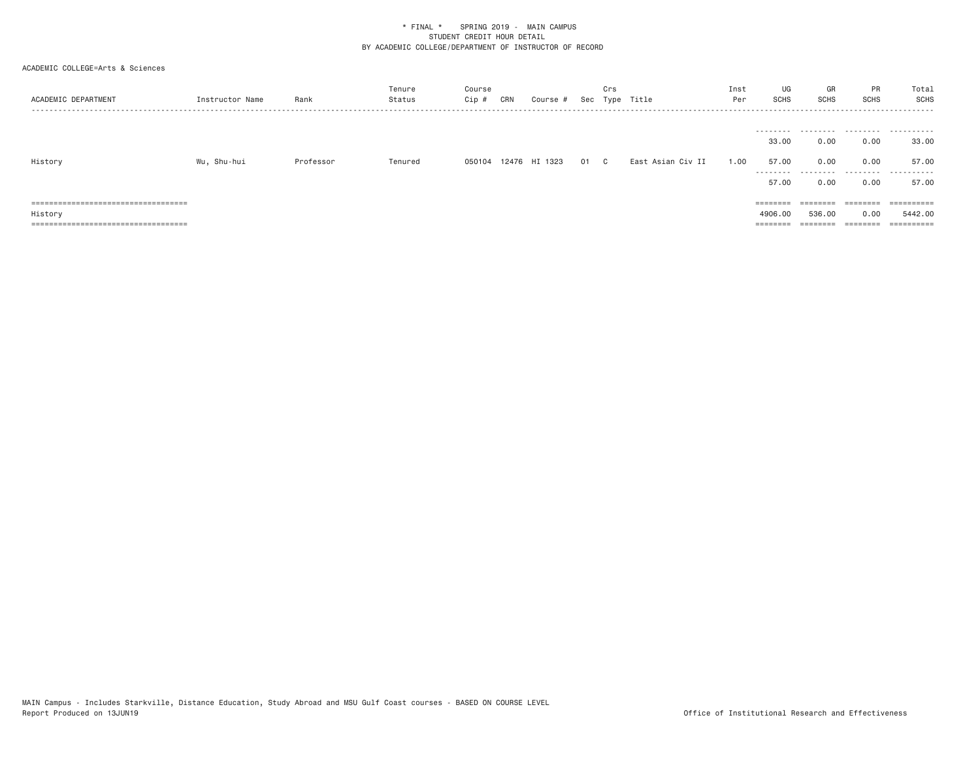| ACADEMIC DEPARTMENT                    | Instructor Name | Rank      | Tenure<br>Status | Course<br>$Cip \#$ | CRN | Course #             | Sec | Crs | Type Title        | Inst<br>Per | UG<br>SCHS                           | GR<br><b>SCHS</b>         | PR<br>SCHS                                                              | Total<br>SCHS           |
|----------------------------------------|-----------------|-----------|------------------|--------------------|-----|----------------------|-----|-----|-------------------|-------------|--------------------------------------|---------------------------|-------------------------------------------------------------------------|-------------------------|
| History                                | Wu, Shu-hui     | Professor | Tenured          |                    |     | 050104 12476 HI 1323 | 01  | C.  | East Asian Civ II | 1.00        | 33,00<br>57.00<br>---------<br>57.00 | 0.00<br>0.00<br>.<br>0.00 | 0.00<br>0.00<br>0.00                                                    | 33,00<br>57.00<br>57.00 |
| ====================================== |                 |           |                  |                    |     |                      |     |     |                   |             | $=$ = = = = = = =                    | ========                  | ---------<br>--------                                                   | ==========              |
| History                                |                 |           |                  |                    |     |                      |     |     |                   |             | 4906,00                              | 536,00                    | 0.00                                                                    | 5442.00                 |
| ====================================== |                 |           |                  |                    |     |                      |     |     |                   |             | $=$ = = = = = = =                    | ========                  | $\qquad \qquad \equiv \equiv \equiv \equiv \equiv \equiv \equiv \equiv$ | $=$ = = = = = = = = =   |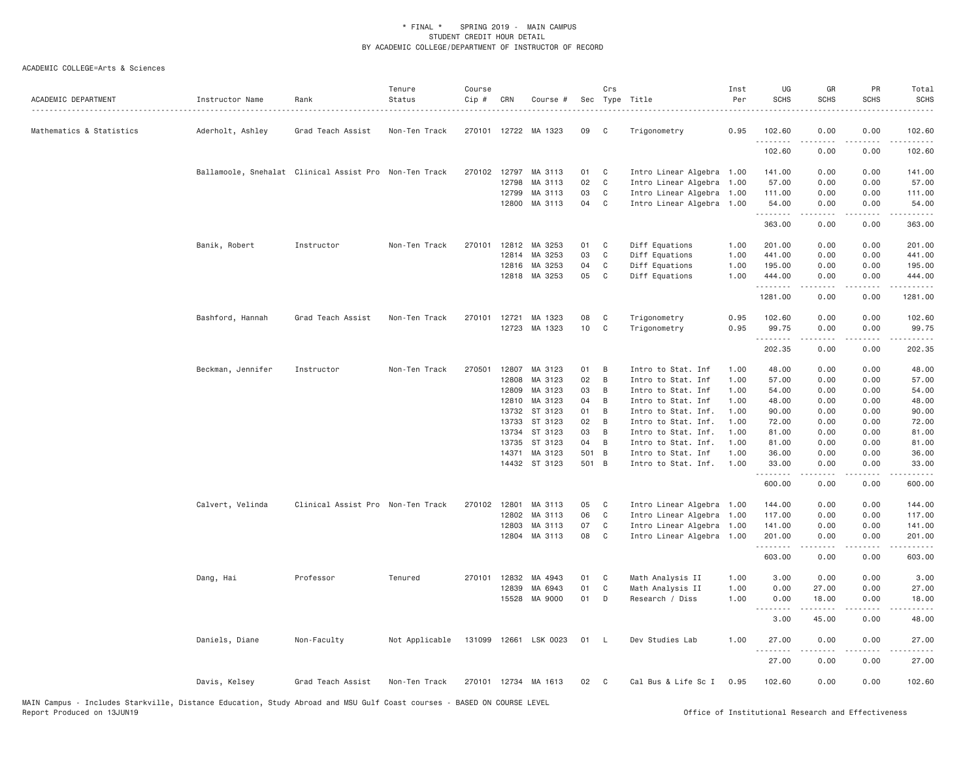| ACADEMIC DEPARTMENT      | Instructor Name   | Rank                                                   | Tenure<br>Status | Course<br>Cip # | CRN   | Course #              |       | Crs          | Sec Type Title            | Inst<br>Per | UG<br><b>SCHS</b>          | GR<br><b>SCHS</b>                                                                                                                                            | PR<br><b>SCHS</b>                   | Total<br><b>SCHS</b>                                                                                                                                          |
|--------------------------|-------------------|--------------------------------------------------------|------------------|-----------------|-------|-----------------------|-------|--------------|---------------------------|-------------|----------------------------|--------------------------------------------------------------------------------------------------------------------------------------------------------------|-------------------------------------|---------------------------------------------------------------------------------------------------------------------------------------------------------------|
| Mathematics & Statistics | Aderholt, Ashley  | Grad Teach Assist                                      | Non-Ten Track    |                 |       | 270101 12722 MA 1323  | 09    | C            | Trigonometry              | 0.95        | 102.60<br>.                | 0.00                                                                                                                                                         | 0.00<br>$- - -$                     | 102.60<br>-----                                                                                                                                               |
|                          |                   |                                                        |                  |                 |       |                       |       |              |                           |             | 102.60                     | 0.00                                                                                                                                                         | 0.00                                | 102.60                                                                                                                                                        |
|                          |                   | Ballamoole, Snehalat Clinical Assist Pro Non-Ten Track |                  | 270102 12797    |       | MA 3113               | 01    | C.           | Intro Linear Algebra 1.00 |             | 141.00                     | 0.00                                                                                                                                                         | 0.00                                | 141.00                                                                                                                                                        |
|                          |                   |                                                        |                  |                 | 12798 | MA 3113               | 02    | $\mathbb C$  | Intro Linear Algebra      | 1.00        | 57.00                      | 0.00                                                                                                                                                         | 0.00                                | 57.00                                                                                                                                                         |
|                          |                   |                                                        |                  |                 | 12799 | MA 3113               | 03    | $\mathbb C$  | Intro Linear Algebra 1.00 |             | 111.00                     | 0.00                                                                                                                                                         | 0.00                                | 111.00                                                                                                                                                        |
|                          |                   |                                                        |                  |                 | 12800 | MA 3113               | 04    | $\mathbf{C}$ | Intro Linear Algebra 1.00 |             | 54.00<br>.                 | 0.00<br>.                                                                                                                                                    | 0.00<br>.                           | 54.00<br>$\frac{1}{2} \left( \frac{1}{2} \right) \left( \frac{1}{2} \right) \left( \frac{1}{2} \right) \left( \frac{1}{2} \right) \left( \frac{1}{2} \right)$ |
|                          |                   |                                                        |                  |                 |       |                       |       |              |                           |             | 363.00                     | 0.00                                                                                                                                                         | 0.00                                | 363.00                                                                                                                                                        |
|                          | Banik, Robert     | Instructor                                             | Non-Ten Track    | 270101          | 12812 | MA 3253               | 01    | C            | Diff Equations            | 1.00        | 201.00                     | 0.00                                                                                                                                                         | 0.00                                | 201.00                                                                                                                                                        |
|                          |                   |                                                        |                  |                 | 12814 | MA 3253               | 03    | $\mathbb C$  | Diff Equations            | 1.00        | 441.00                     | 0.00                                                                                                                                                         | 0.00                                | 441.00                                                                                                                                                        |
|                          |                   |                                                        |                  |                 | 12816 | MA 3253               | 04    | C            | Diff Equations            | 1.00        | 195.00                     | 0.00                                                                                                                                                         | 0.00                                | 195.00                                                                                                                                                        |
|                          |                   |                                                        |                  |                 | 12818 | MA 3253               | 05    | C            | Diff Equations            | 1.00        | 444.00<br>.                | 0.00<br>.                                                                                                                                                    | 0.00<br>لأعاجب                      | 444.00<br>.                                                                                                                                                   |
|                          |                   |                                                        |                  |                 |       |                       |       |              |                           |             | 1281.00                    | 0.00                                                                                                                                                         | 0.00                                | 1281.00                                                                                                                                                       |
|                          | Bashford, Hannah  | Grad Teach Assist                                      | Non-Ten Track    | 270101 12721    |       | MA 1323               | 08    | C            | Trigonometry              | 0.95        | 102.60                     | 0.00                                                                                                                                                         | 0.00                                | 102.60                                                                                                                                                        |
|                          |                   |                                                        |                  |                 |       | 12723 MA 1323         | 10    | C            | Trigonometry              | 0.95        | 99.75                      | 0.00                                                                                                                                                         | 0.00                                | 99.75                                                                                                                                                         |
|                          |                   |                                                        |                  |                 |       |                       |       |              |                           |             | .<br>202.35                | <b>.</b><br>0.00                                                                                                                                             | .<br>0.00                           | .<br>202.35                                                                                                                                                   |
|                          | Beckman, Jennifer | Instructor                                             | Non-Ten Track    | 270501          | 12807 | MA 3123               | 01    | B            | Intro to Stat. Inf        | 1.00        | 48.00                      | 0.00                                                                                                                                                         | 0.00                                | 48.00                                                                                                                                                         |
|                          |                   |                                                        |                  |                 | 12808 | MA 3123               | 02    | B            | Intro to Stat. Inf        | 1.00        | 57.00                      | 0.00                                                                                                                                                         | 0.00                                | 57.00                                                                                                                                                         |
|                          |                   |                                                        |                  |                 | 12809 | MA 3123               | 03    | B            | Intro to Stat. Inf        | 1.00        | 54.00                      | 0.00                                                                                                                                                         | 0.00                                | 54.00                                                                                                                                                         |
|                          |                   |                                                        |                  |                 | 12810 | MA 3123               | 04    | B            | Intro to Stat. Inf        | 1.00        | 48.00                      | 0.00                                                                                                                                                         | 0.00                                | 48.00                                                                                                                                                         |
|                          |                   |                                                        |                  |                 | 13732 | ST 3123               | 01    | B            | Intro to Stat. Inf.       | 1.00        | 90.00                      | 0.00                                                                                                                                                         | 0.00                                | 90.00                                                                                                                                                         |
|                          |                   |                                                        |                  |                 | 13733 | ST 3123               | 02    | B            | Intro to Stat. Inf.       | 1.00        | 72.00                      | 0.00                                                                                                                                                         | 0.00                                | 72.00                                                                                                                                                         |
|                          |                   |                                                        |                  |                 | 13734 | ST 3123               | 03    | B            | Intro to Stat. Inf.       | 1.00        | 81.00                      | 0.00                                                                                                                                                         | 0.00                                | 81.00                                                                                                                                                         |
|                          |                   |                                                        |                  |                 | 13735 | ST 3123               | 04    | B            | Intro to Stat. Inf.       | 1.00        | 81.00                      | 0.00                                                                                                                                                         | 0.00                                | 81.00                                                                                                                                                         |
|                          |                   |                                                        |                  |                 | 14371 | MA 3123               | 501 B |              | Intro to Stat. Inf        | 1.00        | 36.00                      | 0.00                                                                                                                                                         | 0.00                                | 36.00                                                                                                                                                         |
|                          |                   |                                                        |                  |                 |       | 14432 ST 3123         | 501 B |              | Intro to Stat. Inf.       | 1.00        | 33.00                      | 0.00<br>.                                                                                                                                                    | 0.00<br>المتمامين                   | 33.00<br>.                                                                                                                                                    |
|                          |                   |                                                        |                  |                 |       |                       |       |              |                           |             | 600.00                     | 0.00                                                                                                                                                         | 0.00                                | 600.00                                                                                                                                                        |
|                          | Calvert, Velinda  | Clinical Assist Pro Non-Ten Track                      |                  | 270102          | 12801 | MA 3113               | 05    | C            | Intro Linear Algebra 1.00 |             | 144.00                     | 0.00                                                                                                                                                         | 0.00                                | 144.00                                                                                                                                                        |
|                          |                   |                                                        |                  |                 | 12802 | MA 3113               | 06    | C            | Intro Linear Algebra      | 1.00        | 117.00                     | 0.00                                                                                                                                                         | 0.00                                | 117.00                                                                                                                                                        |
|                          |                   |                                                        |                  |                 | 12803 | MA 3113               | 07    | C            | Intro Linear Algebra 1.00 |             | 141.00                     | 0.00                                                                                                                                                         | 0.00                                | 141.00                                                                                                                                                        |
|                          |                   |                                                        |                  |                 | 12804 | MA 3113               | 08    | C            | Intro Linear Algebra 1.00 |             | 201.00<br>.                | 0.00<br>$\frac{1}{2} \left( \frac{1}{2} \right) \left( \frac{1}{2} \right) \left( \frac{1}{2} \right) \left( \frac{1}{2} \right) \left( \frac{1}{2} \right)$ | 0.00<br>.                           | 201.00<br>.                                                                                                                                                   |
|                          |                   |                                                        |                  |                 |       |                       |       |              |                           |             | 603.00                     | 0.00                                                                                                                                                         | 0.00                                | 603.00                                                                                                                                                        |
|                          | Dang, Hai         | Professor                                              | Tenured          | 270101          | 12832 | MA 4943               | 01    | C            | Math Analysis II          | 1.00        | 3.00                       | 0.00                                                                                                                                                         | 0.00                                | 3.00                                                                                                                                                          |
|                          |                   |                                                        |                  |                 | 12839 | MA 6943               | 01    | C            | Math Analysis II          | 1.00        | 0.00                       | 27.00                                                                                                                                                        | 0.00                                | 27.00                                                                                                                                                         |
|                          |                   |                                                        |                  |                 | 15528 | MA 9000               | 01    | D            | Research / Diss           | 1.00        | 0.00<br>$  -$<br>المتمالين | 18.00                                                                                                                                                        | 0.00<br>$\sim$ $\sim$ $\sim$ $\sim$ | 18.00                                                                                                                                                         |
|                          |                   |                                                        |                  |                 |       |                       |       |              |                           |             | 3.00                       | 45.00                                                                                                                                                        | 0.00                                | 48.00                                                                                                                                                         |
|                          | Daniels, Diane    | Non-Faculty                                            | Not Applicable   |                 |       | 131099 12661 LSK 0023 | 01 L  |              | Dev Studies Lab           | 1.00        | 27.00<br>.                 | 0.00<br>-----                                                                                                                                                | 0.00<br>.                           | 27.00                                                                                                                                                         |
|                          |                   |                                                        |                  |                 |       |                       |       |              |                           |             | 27.00                      | 0.00                                                                                                                                                         | 0.00                                | 27.00                                                                                                                                                         |
|                          | Davis, Kelsey     | Grad Teach Assist                                      | Non-Ten Track    |                 |       | 270101 12734 MA 1613  | 02    | C            | Cal Bus & Life Sc I       | 0.95        | 102.60                     | 0.00                                                                                                                                                         | 0.00                                | 102.60                                                                                                                                                        |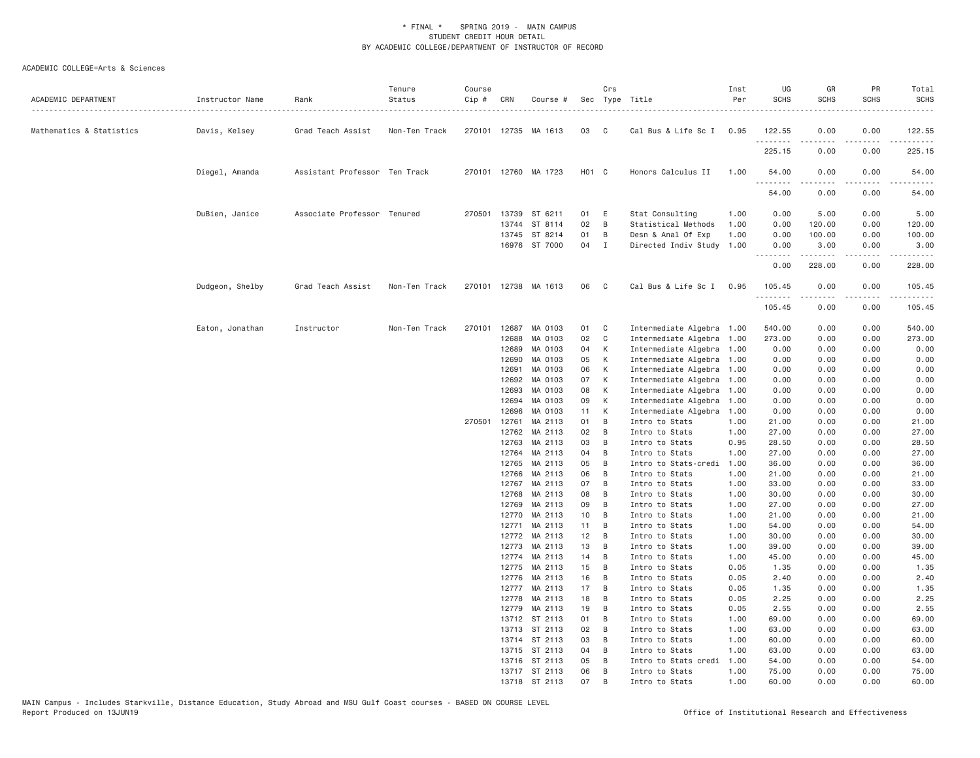| ACADEMIC DEPARTMENT      | Instructor Name | Rank                          | Tenure<br>Status<br>. | Course<br>Cip # | CRN            | Course #             |          | Crs                 | Sec Type Title                   | Inst<br>Per  | UG<br><b>SCHS</b> | GR<br><b>SCHS</b>   | PR<br><b>SCHS</b>     | Total<br><b>SCHS</b>   |
|--------------------------|-----------------|-------------------------------|-----------------------|-----------------|----------------|----------------------|----------|---------------------|----------------------------------|--------------|-------------------|---------------------|-----------------------|------------------------|
| Mathematics & Statistics | Davis, Kelsey   | Grad Teach Assist             | Non-Ten Track         |                 |                | 270101 12735 MA 1613 | 03       | $\mathbf{C}$        | Cal Bus & Life Sc I 0.95         |              | 122.55            | 0.00                | 0.00                  | 122.55                 |
|                          |                 |                               |                       |                 |                |                      |          |                     |                                  |              | .<br>225.15       | .<br>0.00           | $\frac{1}{2}$<br>0.00 | . <u>.</u> .<br>225.15 |
|                          | Diegel, Amanda  | Assistant Professor Ten Track |                       |                 |                | 270101 12760 MA 1723 | HO1 C    |                     | Honors Calculus II               | 1.00         | 54.00<br>.        | 0.00<br>$- - - - -$ | 0.00<br>.             | 54.00                  |
|                          |                 |                               |                       |                 |                |                      |          |                     |                                  |              | 54.00             | 0.00                | 0.00                  | 54.00                  |
|                          | DuBien, Janice  | Associate Professor Tenured   |                       | 270501          | 13739          | ST 6211              | 01 E     |                     | Stat Consulting                  | 1.00         | 0.00              | 5.00                | 0.00                  | 5.00                   |
|                          |                 |                               |                       |                 | 13744          | ST 8114              | 02       | $\overline{B}$      | Statistical Methods              | 1.00         | 0.00              | 120.00              | 0.00                  | 120.00                 |
|                          |                 |                               |                       |                 | 13745          | ST 8214              | 01       | B                   | Desn & Anal Of Exp               | 1.00         | 0.00              | 100.00              | 0.00                  | 100.00                 |
|                          |                 |                               |                       |                 |                | 16976 ST 7000        | 04 I     |                     | Directed Indiv Study 1.00        |              | 0.00<br>.         | 3.00<br><u>.</u>    | 0.00<br>.             | 3.00<br>.              |
|                          |                 |                               |                       |                 |                |                      |          |                     |                                  |              | 0.00              | 228.00              | 0.00                  | 228.00                 |
|                          | Dudgeon, Shelby | Grad Teach Assist             | Non-Ten Track         |                 |                | 270101 12738 MA 1613 | 06       | C <sub>1</sub>      | Cal Bus & Life Sc I 0.95         |              | 105.45<br>.       | 0.00<br>.           | 0.00<br>.             | 105.45<br>. <u>.</u> . |
|                          |                 |                               |                       |                 |                |                      |          |                     |                                  |              | 105.45            | 0.00                | 0.00                  | 105.45                 |
|                          | Eaton, Jonathan | Instructor                    | Non-Ten Track         | 270101          | 12687          | MA 0103              | 01       | $\mathbf{C}$        | Intermediate Algebra 1.00        |              | 540.00            | 0.00                | 0.00                  | 540.00                 |
|                          |                 |                               |                       |                 | 12688          | MA 0103              | 02       | $\mathbf{C}$        | Intermediate Algebra 1.00        |              | 273.00            | 0.00                | 0.00                  | 273.00                 |
|                          |                 |                               |                       |                 | 12689          | MA 0103              | 04       | K                   | Intermediate Algebra 1.00        |              | 0.00              | 0.00                | 0.00                  | 0.00                   |
|                          |                 |                               |                       |                 | 12690          | MA 0103              | 05       | K                   | Intermediate Algebra 1.00        |              | 0.00              | 0.00                | 0.00                  | 0.00                   |
|                          |                 |                               |                       |                 | 12691          | MA 0103              | 06       | K                   | Intermediate Algebra 1.00        |              | 0.00              | 0.00                | 0.00                  | 0.00                   |
|                          |                 |                               |                       |                 | 12692          | MA 0103              | 07       | K                   | Intermediate Algebra 1.00        |              | 0.00              | 0.00                | 0.00                  | 0.00                   |
|                          |                 |                               |                       |                 | 12693          | MA 0103              | 08       | K                   | Intermediate Algebra 1.00        |              | 0.00              | 0.00                | 0.00                  | 0.00                   |
|                          |                 |                               |                       |                 | 12694          | MA 0103              | 09       | K                   | Intermediate Algebra 1.00        |              | 0.00              | 0.00                | 0.00                  | 0.00                   |
|                          |                 |                               |                       |                 | 12696          | MA 0103              | 11       | K                   | Intermediate Algebra             | 1.00         | 0.00              | 0.00                | 0.00                  | 0.00                   |
|                          |                 |                               |                       | 270501          | 12761          | MA 2113              | 01       | B                   | Intro to Stats                   | 1.00         | 21.00             | 0.00                | 0.00                  | 21.00                  |
|                          |                 |                               |                       |                 | 12762          | MA 2113              | 02       | B                   | Intro to Stats                   | 1.00         | 27.00             | 0.00                | 0.00                  | 27.00                  |
|                          |                 |                               |                       |                 | 12763          | MA 2113              | 03       | $\overline{B}$      | Intro to Stats                   | 0.95         | 28.50             | 0.00                | 0.00                  | 28.50                  |
|                          |                 |                               |                       |                 | 12764          | MA 2113              | 04       | B                   | Intro to Stats                   | 1.00         | 27.00             | 0.00                | 0.00                  | 27.00                  |
|                          |                 |                               |                       |                 | 12765          | MA 2113              | 05       | B                   | Intro to Stats-credi             | 1.00         | 36.00             | 0.00                | 0.00                  | 36.00                  |
|                          |                 |                               |                       |                 | 12766<br>12767 | MA 2113<br>MA 2113   | 06<br>07 | $\overline{B}$<br>B | Intro to Stats                   | 1.00         | 21.00             | 0.00<br>0.00        | 0.00<br>0.00          | 21.00                  |
|                          |                 |                               |                       |                 | 12768          | MA 2113              | 80       | B                   | Intro to Stats<br>Intro to Stats | 1.00<br>1.00 | 33.00<br>30.00    | 0.00                | 0.00                  | 33.00<br>30.00         |
|                          |                 |                               |                       |                 | 12769          | MA 2113              | 09       | $\overline{B}$      | Intro to Stats                   | 1.00         | 27.00             | 0.00                | 0.00                  | 27.00                  |
|                          |                 |                               |                       |                 | 12770          | MA 2113              | 10       | $\overline{B}$      | Intro to Stats                   | 1.00         | 21.00             | 0.00                | 0.00                  | 21.00                  |
|                          |                 |                               |                       |                 | 12771          | MA 2113              | 11       | B                   | Intro to Stats                   | 1.00         | 54.00             | 0.00                | 0.00                  | 54.00                  |
|                          |                 |                               |                       |                 | 12772          | MA 2113              | 12       | B                   | Intro to Stats                   | 1.00         | 30.00             | 0.00                | 0.00                  | 30.00                  |
|                          |                 |                               |                       |                 | 12773          | MA 2113              | 13       | B                   | Intro to Stats                   | 1.00         | 39.00             | 0.00                | 0.00                  | 39.00                  |
|                          |                 |                               |                       |                 | 12774          | MA 2113              | 14       | $\overline{B}$      | Intro to Stats                   | 1.00         | 45.00             | 0.00                | 0.00                  | 45.00                  |
|                          |                 |                               |                       |                 | 12775          | MA 2113              | 15       | B                   | Intro to Stats                   | 0.05         | 1.35              | 0.00                | 0.00                  | 1.35                   |
|                          |                 |                               |                       |                 | 12776          | MA 2113              | 16       | $\overline{B}$      | Intro to Stats                   | 0.05         | 2.40              | 0.00                | 0.00                  | 2.40                   |
|                          |                 |                               |                       |                 | 12777          | MA 2113              | 17       | $\overline{B}$      | Intro to Stats                   | 0.05         | 1.35              | 0.00                | 0.00                  | 1.35                   |
|                          |                 |                               |                       |                 | 12778          | MA 2113              | 18       | B                   | Intro to Stats                   | 0.05         | 2.25              | 0.00                | 0.00                  | 2.25                   |
|                          |                 |                               |                       |                 | 12779          | MA 2113              | 19       | B                   | Intro to Stats                   | 0.05         | 2.55              | 0.00                | 0.00                  | 2.55                   |
|                          |                 |                               |                       |                 | 13712          | ST 2113              | 01       | $\overline{B}$      | Intro to Stats                   | 1.00         | 69.00             | 0.00                | 0.00                  | 69.00                  |
|                          |                 |                               |                       |                 | 13713          | ST 2113              | 02       | B                   | Intro to Stats                   | 1.00         | 63.00             | 0.00                | 0.00                  | 63.00                  |
|                          |                 |                               |                       |                 |                | 13714 ST 2113        | 03       | B                   | Intro to Stats                   | 1.00         | 60.00             | 0.00                | 0.00                  | 60.00                  |
|                          |                 |                               |                       |                 |                | 13715 ST 2113        | 04       | B                   | Intro to Stats                   | 1.00         | 63.00             | 0.00                | 0.00                  | 63.00                  |
|                          |                 |                               |                       |                 |                | 13716 ST 2113        | 05       | B                   | Intro to Stats credi             | 1.00         | 54.00             | 0.00                | 0.00                  | 54.00                  |
|                          |                 |                               |                       |                 |                | 13717 ST 2113        | 06       | B                   | Intro to Stats                   | 1.00         | 75.00             | 0.00                | 0.00                  | 75.00                  |
|                          |                 |                               |                       |                 |                | 13718 ST 2113        | 07       | B                   | Intro to Stats                   | 1.00         | 60.00             | 0.00                | 0.00                  | 60.00                  |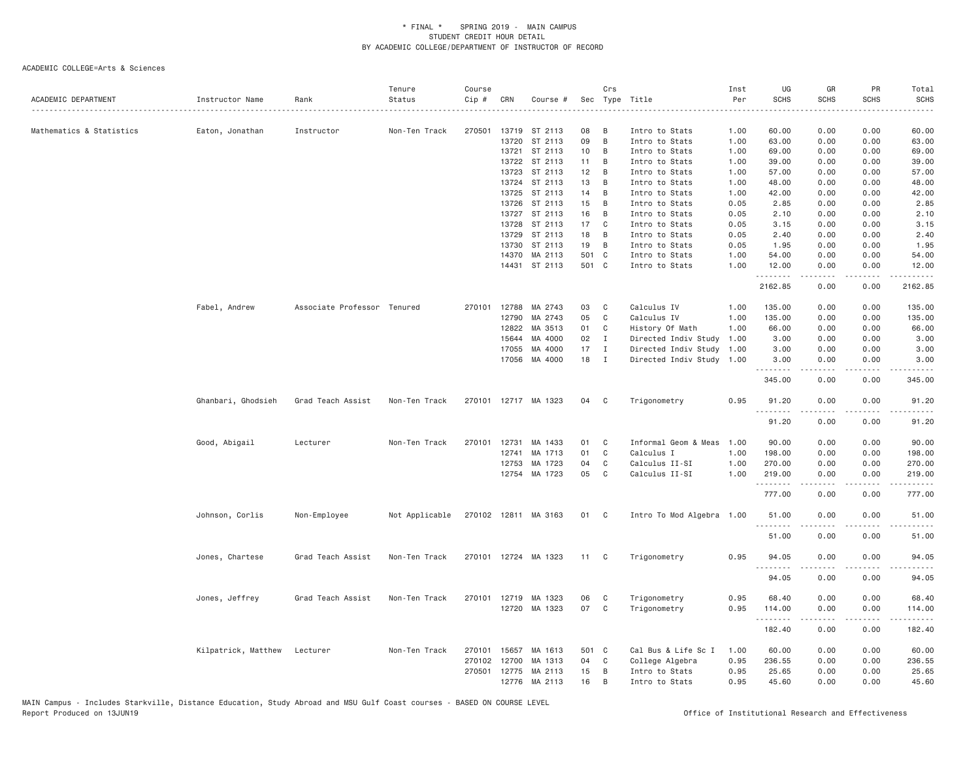| ACADEMIC DEPARTMENT      | Instructor Name     | Rank                        | Tenure<br>Status | Course<br>Cip # | CRN            | Course #             |          | Crs          | Sec Type Title            | Inst<br>Per | UG<br><b>SCHS</b> | GR<br><b>SCHS</b>   | PR<br>SCHS            | Total<br><b>SCHS</b> |
|--------------------------|---------------------|-----------------------------|------------------|-----------------|----------------|----------------------|----------|--------------|---------------------------|-------------|-------------------|---------------------|-----------------------|----------------------|
|                          |                     |                             |                  |                 |                |                      |          |              |                           |             |                   |                     |                       | $- - - -$            |
| Mathematics & Statistics | Eaton, Jonathan     | Instructor                  | Non-Ten Track    | 270501          |                | 13719 ST 2113        | 08       | B            | Intro to Stats            | 1.00        | 60.00             | 0.00                | 0.00                  | 60.00                |
|                          |                     |                             |                  |                 | 13720          | ST 2113              | 09       | B            | Intro to Stats            | 1.00        | 63.00             | 0.00                | 0.00                  | 63.00                |
|                          |                     |                             |                  |                 | 13721          | ST 2113              | 10       | B            | Intro to Stats            | 1.00        | 69.00             | 0.00                | 0.00                  | 69.00                |
|                          |                     |                             |                  |                 |                | 13722 ST 2113        | 11       | B            | Intro to Stats            | 1.00        | 39.00             | 0.00                | 0.00                  | 39.00                |
|                          |                     |                             |                  |                 | 13723          | ST 2113              | 12       | B            | Intro to Stats            | 1.00        | 57.00             | 0.00                | 0.00                  | 57.00                |
|                          |                     |                             |                  |                 |                | 13724 ST 2113        | 13       | B            | Intro to Stats            | 1.00        | 48.00             | 0.00                | 0.00                  | 48.00                |
|                          |                     |                             |                  |                 | 13725          | ST 2113              | 14       | B            | Intro to Stats            | 1.00        | 42.00             | 0.00                | 0.00                  | 42.00                |
|                          |                     |                             |                  |                 | 13726          | ST 2113              | 15       | B            | Intro to Stats            | 0.05        | 2.85              | 0.00                | 0.00                  | 2.85                 |
|                          |                     |                             |                  |                 | 13727<br>13728 | ST 2113              | 16<br>17 | B<br>C       | Intro to Stats            | 0.05        | 2.10              | 0.00                | 0.00                  | 2.10                 |
|                          |                     |                             |                  |                 |                | ST 2113              |          |              | Intro to Stats            | 0.05        | 3.15              | 0.00                | 0.00                  | 3.15                 |
|                          |                     |                             |                  |                 | 13729          | ST 2113              | 18       | B            | Intro to Stats            | 0.05        | 2.40              | 0.00                | 0.00                  | 2.40                 |
|                          |                     |                             |                  |                 | 13730          | ST 2113              | 19       | B            | Intro to Stats            | 0.05        | 1.95              | 0.00                | 0.00                  | 1.95                 |
|                          |                     |                             |                  |                 | 14370          | MA 2113              | 501 C    |              | Intro to Stats            | 1.00        | 54.00             | 0.00                | 0.00                  | 54.00                |
|                          |                     |                             |                  |                 | 14431          | ST 2113              | 501 C    |              | Intro to Stats            | 1.00        | 12.00<br>.        | 0.00<br>.           | 0.00<br>د د د د       | 12.00<br>$- - - - -$ |
|                          |                     |                             |                  |                 |                |                      |          |              |                           |             | 2162.85           | 0.00                | 0.00                  | 2162.85              |
|                          | Fabel, Andrew       | Associate Professor Tenured |                  | 270101          | 12788          | MA 2743              | 03       | C            | Calculus IV               | 1.00        | 135.00            | 0.00                | 0.00                  | 135.00               |
|                          |                     |                             |                  |                 | 12790          | MA 2743              | 05       | C            | Calculus IV               | 1.00        | 135.00            | 0.00                | 0.00                  | 135.00               |
|                          |                     |                             |                  |                 | 12822          | MA 3513              | 01       | C            | History Of Math           | 1.00        | 66.00             | 0.00                | 0.00                  | 66.00                |
|                          |                     |                             |                  |                 | 15644          | MA 4000              | 02       | $\mathbf{I}$ | Directed Indiv Study      | 1.00        | 3.00              | 0.00                | 0.00                  | 3.00                 |
|                          |                     |                             |                  |                 | 17055          | MA 4000              | 17       | $\mathbf I$  | Directed Indiv Study 1.00 |             | 3.00              | 0.00                | 0.00                  | 3.00                 |
|                          |                     |                             |                  |                 |                | 17056 MA 4000        | 18       | $\mathbf{I}$ | Directed Indiv Study 1.00 |             | 3.00<br>.         | 0.00                | 0.00<br>.             | 3.00                 |
|                          |                     |                             |                  |                 |                |                      |          |              |                           |             | 345.00            | .<br>0.00           | 0.00                  | .<br>345.00          |
|                          | Ghanbari, Ghodsieh  | Grad Teach Assist           | Non-Ten Track    |                 |                | 270101 12717 MA 1323 | 04       | C            | Trigonometry              | 0.95        | 91.20             | 0.00                | 0.00                  | 91.20                |
|                          |                     |                             |                  |                 |                |                      |          |              |                           |             | .<br>91.20        | -----<br>0.00       | .<br>0.00             | .<br>91.20           |
|                          | Good, Abigail       | Lecturer                    | Non-Ten Track    | 270101          | 12731          | MA 1433              | 01       | C            | Informal Geom & Meas      | 1.00        | 90.00             | 0.00                | 0.00                  | 90.00                |
|                          |                     |                             |                  |                 | 12741          | MA 1713              | 01       | C            | Calculus I                | 1.00        | 198.00            | 0.00                | 0.00                  | 198.00               |
|                          |                     |                             |                  |                 | 12753          | MA 1723              | 04       | C            | Calculus II-SI            | 1.00        | 270.00            | 0.00                | 0.00                  | 270.00               |
|                          |                     |                             |                  |                 |                | 12754 MA 1723        | 05       | $\mathsf{C}$ | Calculus II-SI            | 1.00        | 219.00<br>.       | 0.00<br>$- - - - -$ | 0.00<br>.             | 219.00<br>.          |
|                          |                     |                             |                  |                 |                |                      |          |              |                           |             | 777.00            | 0.00                | 0.00                  | 777.00               |
|                          | Johnson, Corlis     | Non-Employee                | Not Applicable   |                 |                | 270102 12811 MA 3163 | 01       | C            | Intro To Mod Algebra 1.00 |             | 51.00<br>.        | 0.00                | 0.00<br>$\frac{1}{2}$ | 51.00<br>$\cdots$    |
|                          |                     |                             |                  |                 |                |                      |          |              |                           |             | 51.00             | .<br>0.00           | 0.00                  | 51.00                |
|                          | Jones, Chartese     | Grad Teach Assist           | Non-Ten Track    |                 |                | 270101 12724 MA 1323 | 11 C     |              | Trigonometry              | 0.95        | 94.05<br>.        | 0.00                | 0.00<br>$\frac{1}{2}$ | 94.05                |
|                          |                     |                             |                  |                 |                |                      |          |              |                           |             | 94.05             | 0.00                | 0.00                  | .<br>94.05           |
|                          | Jones, Jeffrey      | Grad Teach Assist           | Non-Ten Track    | 270101 12719    |                | MA 1323              | 06       | C            | Trigonometry              | 0.95        | 68,40             | 0.00                | 0.00                  | 68.40                |
|                          |                     |                             |                  |                 |                | 12720 MA 1323        | 07       | $\mathbf{C}$ | Trigonometry              | 0.95        | 114.00<br>.       | 0.00<br>-----       | 0.00<br>.             | 114.00<br>.          |
|                          |                     |                             |                  |                 |                |                      |          |              |                           |             | 182.40            | 0.00                | 0.00                  | 182.40               |
|                          | Kilpatrick, Matthew | Lecturer                    | Non-Ten Track    | 270101          | 15657          | MA 1613              | 501 C    |              | Cal Bus & Life Sc I       | 1.00        | 60.00             | 0.00                | 0.00                  | 60.00                |
|                          |                     |                             |                  | 270102          | 12700          | MA 1313              | 04       | C            | College Algebra           | 0.95        | 236.55            | 0.00                | 0.00                  | 236.55               |
|                          |                     |                             |                  |                 |                | 270501 12775 MA 2113 | 15       | B            | Intro to Stats            | 0.95        | 25.65             | 0.00                | 0.00                  | 25.65                |
|                          |                     |                             |                  |                 |                | 12776 MA 2113        | 16       | B            | Intro to Stats            | 0.95        | 45.60             | 0.00                | 0.00                  | 45.60                |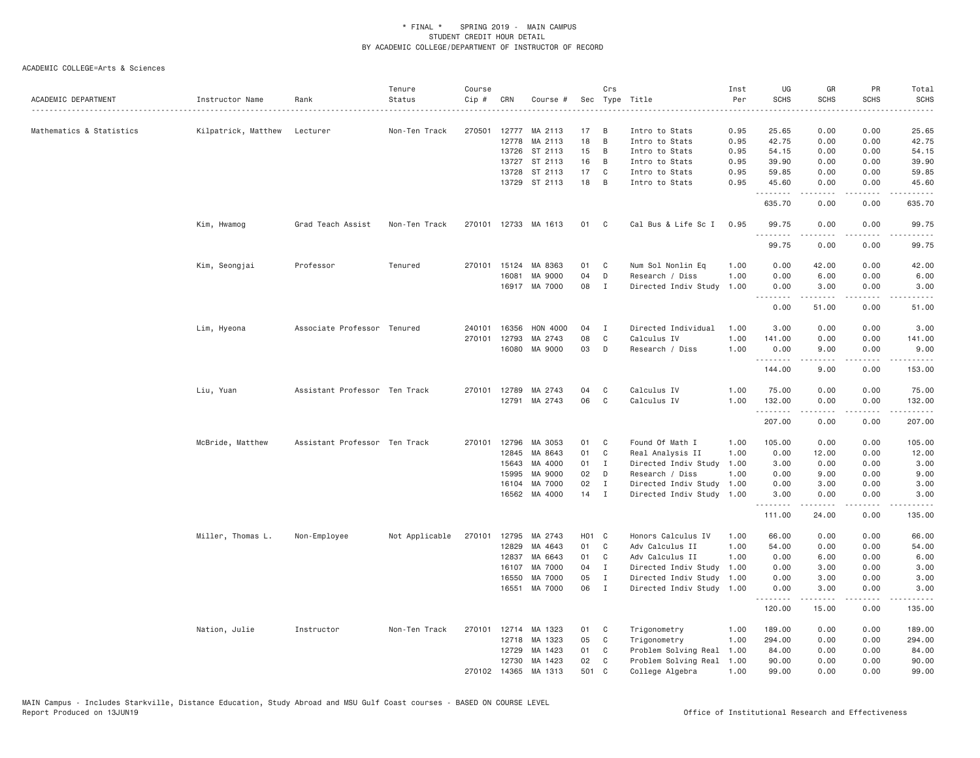| ACADEMIC DEPARTMENT      | Instructor Name     | Rank                          | Tenure<br>Status | Course<br>Cip # | CRN          | Course #             |                   | Crs            | Sec Type Title            | Inst<br>Per | UG<br><b>SCHS</b> | GR<br><b>SCHS</b>                                                                                                                                             | PR<br><b>SCHS</b>               | Total<br><b>SCHS</b> |
|--------------------------|---------------------|-------------------------------|------------------|-----------------|--------------|----------------------|-------------------|----------------|---------------------------|-------------|-------------------|---------------------------------------------------------------------------------------------------------------------------------------------------------------|---------------------------------|----------------------|
|                          | .                   |                               |                  |                 |              |                      |                   |                |                           |             |                   |                                                                                                                                                               |                                 |                      |
| Mathematics & Statistics | Kilpatrick, Matthew | Lecturer                      | Non-Ten Track    |                 |              | 270501 12777 MA 2113 | 17                | B              | Intro to Stats            | 0.95        | 25.65             | 0.00                                                                                                                                                          | 0.00                            | 25.65                |
|                          |                     |                               |                  |                 |              | 12778 MA 2113        | 18                | B              | Intro to Stats            | 0.95        | 42.75             | 0.00                                                                                                                                                          | 0.00                            | 42.75                |
|                          |                     |                               |                  |                 | 13726        | ST 2113              | 15                | B              | Intro to Stats            | 0.95        | 54.15             | 0.00                                                                                                                                                          | 0.00                            | 54.15                |
|                          |                     |                               |                  |                 | 13727        | ST 2113              | 16                | B              | Intro to Stats            | 0.95        | 39.90             | 0.00                                                                                                                                                          | 0.00                            | 39.90                |
|                          |                     |                               |                  |                 | 13728        | ST 2113              | 17                | C              | Intro to Stats            | 0.95        | 59.85             | 0.00                                                                                                                                                          | 0.00                            | 59.85                |
|                          |                     |                               |                  |                 | 13729        | ST 2113              | 18                | B              | Intro to Stats            | 0.95        | 45.60<br>.        | 0.00<br>. <u>.</u> .                                                                                                                                          | 0.00<br>$\omega$ is $\omega$ in | 45.60<br>.           |
|                          |                     |                               |                  |                 |              |                      |                   |                |                           |             | 635.70            | 0.00                                                                                                                                                          | 0.00                            | 635.70               |
|                          | Kim, Hwamog         | Grad Teach Assist             | Non-Ten Track    |                 |              | 270101 12733 MA 1613 | 01                | C <sub>1</sub> | Cal Bus & Life Sc I       | 0.95        | 99.75             | 0.00                                                                                                                                                          | 0.00                            | 99.75                |
|                          |                     |                               |                  |                 |              |                      |                   |                |                           |             | 99.75             | 0.00                                                                                                                                                          | 0.00                            | 99.75                |
|                          | Kim, Seongjai       | Professor                     | Tenured          |                 | 270101 15124 | MA 8363              | 01                | C              | Num Sol Nonlin Eq         | 1.00        | 0.00              | 42.00                                                                                                                                                         | 0.00                            | 42.00                |
|                          |                     |                               |                  |                 | 16081        | MA 9000              | 04                | D              | Research / Diss           | 1.00        | 0.00              | 6.00                                                                                                                                                          | 0.00                            | 6.00                 |
|                          |                     |                               |                  |                 |              | 16917 MA 7000        | 08                | $\mathbf{I}$   | Directed Indiv Study      | 1.00        | 0.00<br>.         | 3.00                                                                                                                                                          | 0.00                            | 3.00                 |
|                          |                     |                               |                  |                 |              |                      |                   |                |                           |             | 0.00              | 51.00                                                                                                                                                         | 0.00                            | 51.00                |
|                          | Lim, Hyeona         | Associate Professor Tenured   |                  | 240101          | 16356        | HON 4000             | 04                | Ι              | Directed Individual       | 1.00        | 3.00              | 0.00                                                                                                                                                          | 0.00                            | 3.00                 |
|                          |                     |                               |                  |                 | 270101 12793 | MA 2743              | 08                | C              | Calculus IV               | 1.00        | 141.00            | 0.00                                                                                                                                                          | 0.00                            | 141.00               |
|                          |                     |                               |                  |                 | 16080        | MA 9000              | 03                | D              | Research / Diss           | 1.00        | 0.00              | 9.00                                                                                                                                                          | 0.00                            | 9.00                 |
|                          |                     |                               |                  |                 |              |                      |                   |                |                           |             | .<br>144.00       | .<br>9.00                                                                                                                                                     | د د د د<br>0.00                 | .<br>153.00          |
|                          | Liu, Yuan           | Assistant Professor Ten Track |                  |                 | 270101 12789 | MA 2743              | 04                | C              | Calculus IV               | 1.00        | 75.00             | 0.00                                                                                                                                                          | 0.00                            | 75.00                |
|                          |                     |                               |                  |                 |              | 12791 MA 2743        | 06                | C              | Calculus IV               | 1.00        | 132.00            | 0.00                                                                                                                                                          | 0.00                            | 132.00               |
|                          |                     |                               |                  |                 |              |                      |                   |                |                           |             | .                 |                                                                                                                                                               | $\sim$ $\sim$ $\sim$            | .                    |
|                          |                     |                               |                  |                 |              |                      |                   |                |                           |             | 207.00            | 0.00                                                                                                                                                          | 0.00                            | 207.00               |
|                          | McBride, Matthew    | Assistant Professor Ten Track |                  |                 | 270101 12796 | MA 3053              | 01                | C              | Found Of Math I           | 1.00        | 105.00            | 0.00                                                                                                                                                          | 0.00                            | 105.00               |
|                          |                     |                               |                  |                 | 12845        | MA 8643              | 01                | C              | Real Analysis II          | 1.00        | 0.00              | 12.00                                                                                                                                                         | 0.00                            | 12.00                |
|                          |                     |                               |                  |                 | 15643        | MA 4000              | 01                | $\mathbf{I}$   | Directed Indiv Study      | 1.00        | 3.00              | 0.00                                                                                                                                                          | 0.00                            | 3.00                 |
|                          |                     |                               |                  |                 | 15995        | MA 9000              | 02                | D              | Research / Diss           | 1.00        | 0.00              | 9.00                                                                                                                                                          | 0.00                            | 9.00                 |
|                          |                     |                               |                  |                 | 16104        | MA 7000              | 02                | $\mathbf{I}$   | Directed Indiv Study      | 1.00        | 0.00              | 3.00                                                                                                                                                          | 0.00                            | 3.00                 |
|                          |                     |                               |                  |                 |              | 16562 MA 4000        | 14                | $\mathbf{I}$   | Directed Indiv Study 1.00 |             | 3.00<br>.         | 0.00                                                                                                                                                          | 0.00                            | 3.00                 |
|                          |                     |                               |                  |                 |              |                      |                   |                |                           |             | 111.00            | $\frac{1}{2} \left( \frac{1}{2} \right) \left( \frac{1}{2} \right) \left( \frac{1}{2} \right) \left( \frac{1}{2} \right) \left( \frac{1}{2} \right)$<br>24.00 | 0.00                            | .<br>135.00          |
|                          | Miller, Thomas L.   | Non-Employee                  | Not Applicable   |                 |              | 270101 12795 MA 2743 | H <sub>01</sub> C |                | Honors Calculus IV        | 1.00        | 66.00             | 0.00                                                                                                                                                          | 0.00                            | 66.00                |
|                          |                     |                               |                  |                 | 12829        | MA 4643              | 01                | C              | Adv Calculus II           | 1.00        | 54.00             | 0.00                                                                                                                                                          | 0.00                            | 54.00                |
|                          |                     |                               |                  |                 | 12837        | MA 6643              | 01                | C              | Adv Calculus II           | 1.00        | 0.00              | 6.00                                                                                                                                                          | 0.00                            | 6.00                 |
|                          |                     |                               |                  |                 | 16107        | MA 7000              | 04                | $\mathbf{I}$   | Directed Indiv Study      | 1.00        | 0.00              | 3.00                                                                                                                                                          | 0.00                            | 3.00                 |
|                          |                     |                               |                  |                 | 16550        | MA 7000              | 05                | I              | Directed Indiv Study 1.00 |             | 0.00              | 3.00                                                                                                                                                          | 0.00                            | 3.00                 |
|                          |                     |                               |                  |                 | 16551        | MA 7000              | 06                | $\mathbf{I}$   | Directed Indiv Study 1.00 |             | 0.00              | 3.00                                                                                                                                                          | 0.00                            | 3.00                 |
|                          |                     |                               |                  |                 |              |                      |                   |                |                           |             | .                 |                                                                                                                                                               |                                 |                      |
|                          |                     |                               |                  |                 |              |                      |                   |                |                           |             | 120.00            | 15.00                                                                                                                                                         | 0.00                            | 135.00               |
|                          | Nation, Julie       | Instructor                    | Non-Ten Track    |                 |              | 270101 12714 MA 1323 | 01                | C              | Trigonometry              | 1.00        | 189.00            | 0.00                                                                                                                                                          | 0.00                            | 189.00               |
|                          |                     |                               |                  |                 |              | 12718 MA 1323        | 05                | C              | Trigonometry              | 1.00        | 294.00            | 0.00                                                                                                                                                          | 0.00                            | 294.00               |
|                          |                     |                               |                  |                 | 12729        | MA 1423              | 01                | C              | Problem Solving Real      | 1.00        | 84.00             | 0.00                                                                                                                                                          | 0.00                            | 84.00                |
|                          |                     |                               |                  |                 |              | 12730 MA 1423        | 02                | C              | Problem Solving Real      | 1.00        | 90.00             | 0.00                                                                                                                                                          | 0.00                            | 90.00                |
|                          |                     |                               |                  | 270102          |              | 14365 MA 1313        | 501               | C              | College Algebra           | 1.00        | 99.00             | 0.00                                                                                                                                                          | 0.00                            | 99.00                |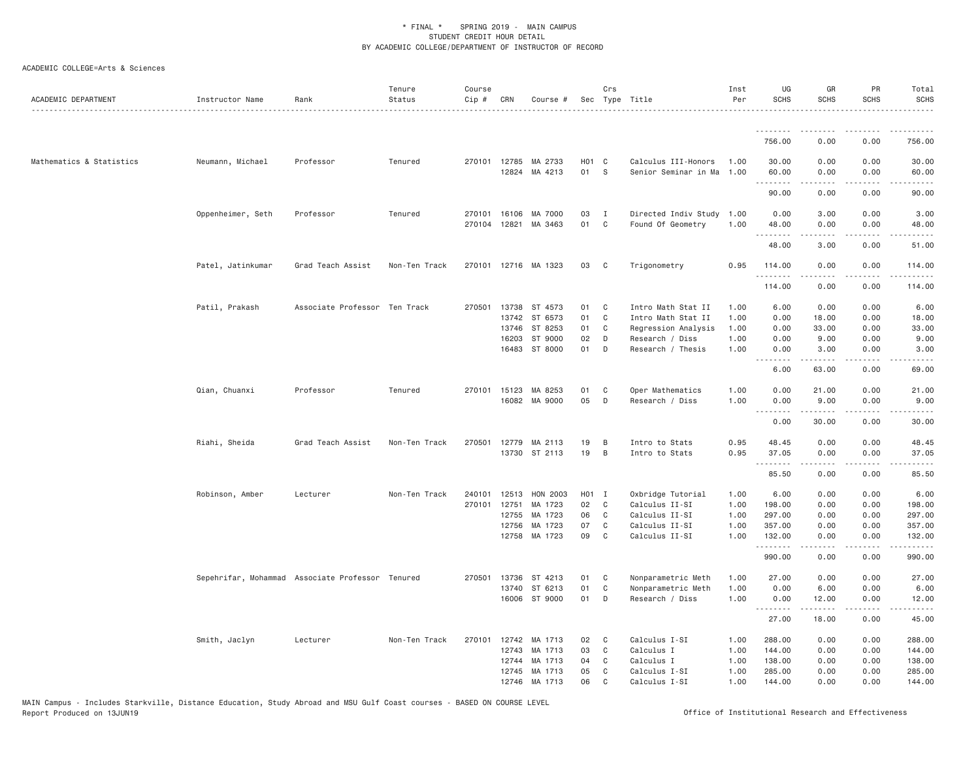| ACADEMIC DEPARTMENT      | Instructor Name                                  | Rank                          | Tenure<br>Status | Course<br>Cip #  | CRN                                       | Course #                                                  |                               | Crs                   | Sec Type Title                                                                                          | Inst<br>Per                          | UG<br><b>SCHS</b>                                           | GR<br>SCHS                                        | PR<br><b>SCHS</b>                                                           | Total<br><b>SCHS</b>                                                                                                                                                                                           |
|--------------------------|--------------------------------------------------|-------------------------------|------------------|------------------|-------------------------------------------|-----------------------------------------------------------|-------------------------------|-----------------------|---------------------------------------------------------------------------------------------------------|--------------------------------------|-------------------------------------------------------------|---------------------------------------------------|-----------------------------------------------------------------------------|----------------------------------------------------------------------------------------------------------------------------------------------------------------------------------------------------------------|
|                          |                                                  |                               |                  |                  |                                           |                                                           |                               |                       |                                                                                                         |                                      | .                                                           | <u>.</u>                                          | .                                                                           | .                                                                                                                                                                                                              |
|                          |                                                  |                               |                  |                  |                                           |                                                           |                               |                       |                                                                                                         |                                      | 756.00                                                      | 0.00                                              | 0.00                                                                        | 756.00                                                                                                                                                                                                         |
| Mathematics & Statistics | Neumann, Michael                                 | Professor                     | Tenured          | 270101 12785     |                                           | MA 2733<br>12824 MA 4213                                  | H <sub>0</sub> 1 C<br>01      | S                     | Calculus III-Honors<br>Senior Seminar in Ma 1.00                                                        | 1.00                                 | 30.00<br>60.00<br>.                                         | 0.00<br>0.00<br><b><i><u>.</u></i></b>            | 0.00<br>0.00<br>.                                                           | 30.00<br>60.00<br>.                                                                                                                                                                                            |
|                          |                                                  |                               |                  |                  |                                           |                                                           |                               |                       |                                                                                                         |                                      | 90.00                                                       | 0.00                                              | 0.00                                                                        | 90.00                                                                                                                                                                                                          |
|                          | Oppenheimer, Seth                                | Professor                     | Tenured          | 270101<br>270104 | 16106<br>12821                            | MA 7000<br>MA 3463                                        | 03<br>01                      | I<br>$\mathbb C$      | Directed Indiv Study<br>Found Of Geometry                                                               | 1.00<br>1.00                         | 0.00<br>48.00<br>.                                          | 3.00<br>0.00<br>.                                 | 0.00<br>0.00<br>$\sim$ $\sim$ $\sim$ $\sim$                                 | 3.00<br>48.00<br>الداعات الدار                                                                                                                                                                                 |
|                          |                                                  |                               |                  |                  |                                           |                                                           |                               |                       |                                                                                                         |                                      | 48.00                                                       | 3.00                                              | 0.00                                                                        | 51.00                                                                                                                                                                                                          |
|                          | Patel, Jatinkumar                                | Grad Teach Assist             | Non-Ten Track    | 270101           |                                           | 12716 MA 1323                                             | 03                            | C                     | Trigonometry                                                                                            | 0.95                                 | 114.00<br>.                                                 | 0.00<br>.                                         | 0.00<br>.                                                                   | 114.00<br><u>.</u>                                                                                                                                                                                             |
|                          |                                                  |                               |                  |                  |                                           |                                                           |                               |                       |                                                                                                         |                                      | 114.00                                                      | 0.00                                              | 0.00                                                                        | 114.00                                                                                                                                                                                                         |
|                          | Patil, Prakash                                   | Associate Professor Ten Track |                  | 270501           | 13738<br>13742<br>13746<br>16203          | ST 4573<br>ST 6573<br>ST 8253<br>ST 9000<br>16483 ST 8000 | 01<br>01<br>01<br>02<br>01    | C<br>C<br>C<br>D<br>D | Intro Math Stat II<br>Intro Math Stat II<br>Regression Analysis<br>Research / Diss<br>Research / Thesis | 1,00<br>1.00<br>1.00<br>1.00<br>1.00 | 6.00<br>0.00<br>0.00<br>0.00<br>0.00<br>.                   | 0.00<br>18.00<br>33.00<br>9.00<br>3.00<br>.       | 0.00<br>0.00<br>0.00<br>0.00<br>0.00<br>.                                   | 6.00<br>18.00<br>33.00<br>9.00<br>3.00<br>.                                                                                                                                                                    |
|                          |                                                  |                               |                  |                  |                                           |                                                           |                               |                       |                                                                                                         |                                      | 6.00                                                        | 63.00                                             | 0.00                                                                        | 69.00                                                                                                                                                                                                          |
|                          | Qian, Chuanxi                                    | Professor                     | Tenured          | 270101           | 15123                                     | MA 8253<br>16082 MA 9000                                  | 01<br>05                      | C<br>D                | Oper Mathematics<br>Research / Diss                                                                     | 1.00<br>1.00                         | 0.00<br>0.00<br>.                                           | 21.00<br>9.00<br>.                                | 0.00<br>0.00<br>.                                                           | 21.00<br>9.00<br>المتمامات                                                                                                                                                                                     |
|                          |                                                  |                               |                  |                  |                                           |                                                           |                               |                       |                                                                                                         |                                      | 0.00                                                        | 30.00                                             | 0.00                                                                        | 30.00                                                                                                                                                                                                          |
|                          | Riahi, Sheida                                    | Grad Teach Assist             | Non-Ten Track    | 270501           | 12779                                     | MA 2113<br>13730 ST 2113                                  | 19<br>19                      | B<br>B                | Intro to Stats<br>Intro to Stats                                                                        | 0.95<br>0.95                         | 48.45<br>37.05                                              | 0.00<br>0.00                                      | 0.00<br>0.00                                                                | 48.45<br>37.05                                                                                                                                                                                                 |
|                          |                                                  |                               |                  |                  |                                           |                                                           |                               |                       |                                                                                                         |                                      | 85.50                                                       | 0.00                                              | 0.00                                                                        | 85.50                                                                                                                                                                                                          |
|                          | Robinson, Amber                                  | Lecturer                      | Non-Ten Track    | 240101<br>270101 | 12513<br>12751<br>12755<br>12756<br>12758 | HON 2003<br>MA 1723<br>MA 1723<br>MA 1723<br>MA 1723      | H01 I<br>02<br>06<br>07<br>09 | C<br>C<br>C<br>C      | Oxbridge Tutorial<br>Calculus II-SI<br>Calculus II-SI<br>Calculus II-SI<br>Calculus II-SI               | 1.00<br>1.00<br>1.00<br>1.00<br>1.00 | 6.00<br>198.00<br>297.00<br>357.00<br>132.00<br>.<br>990.00 | 0.00<br>0.00<br>0.00<br>0.00<br>0.00<br>.<br>0.00 | 0.00<br>0.00<br>0.00<br>0.00<br>0.00<br>$\sim$ $\sim$ $\sim$ $\sim$<br>0.00 | 6.00<br>198.00<br>297.00<br>357.00<br>132.00<br>$\frac{1}{2} \left( \frac{1}{2} \right) \left( \frac{1}{2} \right) \left( \frac{1}{2} \right) \left( \frac{1}{2} \right) \left( \frac{1}{2} \right)$<br>990.00 |
|                          | Sepehrifar, Mohammad Associate Professor Tenured |                               |                  | 270501           | 13736                                     | ST 4213                                                   | 01                            | C                     | Nonparametric Meth                                                                                      | 1.00                                 | 27.00                                                       | 0.00                                              | 0.00                                                                        | 27.00                                                                                                                                                                                                          |
|                          |                                                  |                               |                  |                  | 13740<br>16006                            | ST 6213<br>ST 9000                                        | 01<br>01                      | C<br>D                | Nonparametric Meth<br>Research / Diss                                                                   | 1.00<br>1.00                         | 0.00<br>0.00<br>.                                           | 6.00<br>12.00                                     | 0.00<br>0.00                                                                | 6.00<br>12.00                                                                                                                                                                                                  |
|                          |                                                  |                               |                  |                  |                                           |                                                           |                               |                       |                                                                                                         |                                      | 27.00                                                       | 18.00                                             | 0.00                                                                        | 45.00                                                                                                                                                                                                          |
|                          | Smith, Jaclyn                                    | Lecturer                      | Non-Ten Track    | 270101           | 12742<br>12743<br>12744<br>12745          | MA 1713<br>MA 1713<br>MA 1713<br>MA 1713<br>12746 MA 1713 | 02<br>03<br>04<br>05<br>06    | C<br>C<br>C<br>C<br>C | Calculus I-SI<br>Calculus I<br>Calculus I<br>Calculus I-SI<br>Calculus I-SI                             | 1.00<br>1.00<br>1.00<br>1.00<br>1.00 | 288.00<br>144.00<br>138.00<br>285.00<br>144.00              | 0.00<br>0.00<br>0.00<br>0.00<br>0.00              | 0.00<br>0.00<br>0.00<br>0.00<br>0.00                                        | 288.00<br>144.00<br>138.00<br>285.00<br>144.00                                                                                                                                                                 |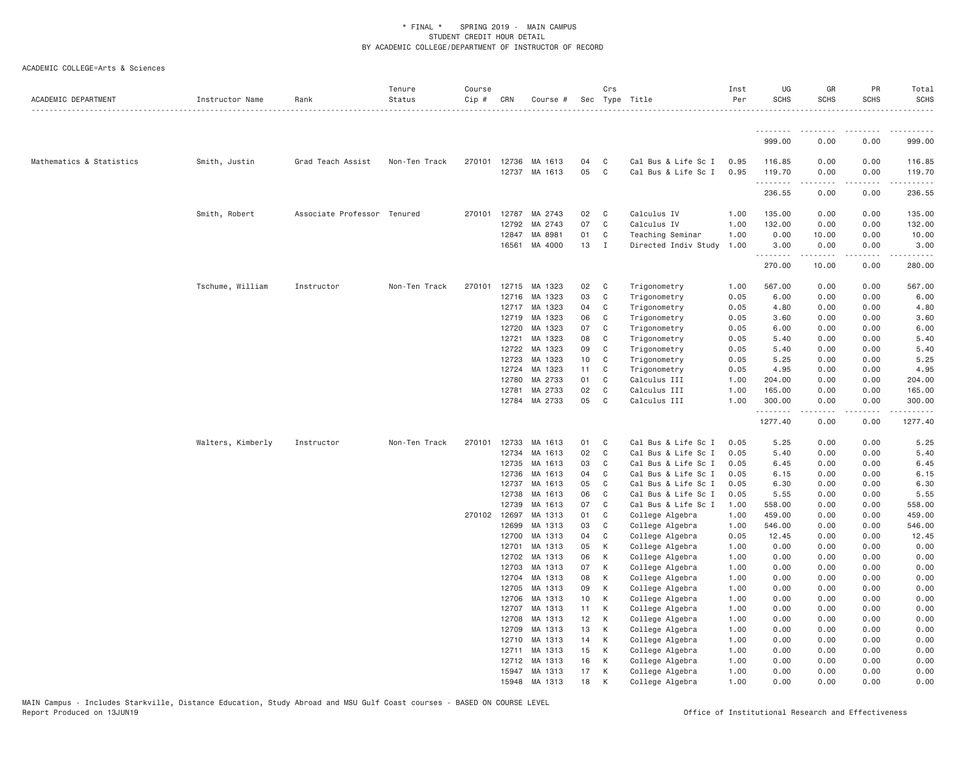| ACADEMIC DEPARTMENT      | Instructor Name   | Rank                        | Tenure<br>Status | Course<br>Cip # | CRN            | Course #                 |                 | Crs            | Sec Type Title                             | Inst<br>Per  | UG<br><b>SCHS</b>     | GR<br><b>SCHS</b>                                                                                                                                            | PR<br><b>SCHS</b> | Total<br><b>SCHS</b> |
|--------------------------|-------------------|-----------------------------|------------------|-----------------|----------------|--------------------------|-----------------|----------------|--------------------------------------------|--------------|-----------------------|--------------------------------------------------------------------------------------------------------------------------------------------------------------|-------------------|----------------------|
|                          |                   |                             |                  |                 |                |                          |                 |                |                                            |              | .                     | .                                                                                                                                                            | .                 | .                    |
|                          |                   |                             |                  |                 |                |                          |                 |                |                                            |              | 999.00                | 0.00                                                                                                                                                         | 0.00              | 999.00               |
| Mathematics & Statistics | Smith, Justin     | Grad Teach Assist           | Non-Ten Track    |                 | 270101 12736   | MA 1613<br>12737 MA 1613 | 04<br>05        | C<br>C         | Cal Bus & Life Sc I<br>Cal Bus & Life Sc I | 0.95<br>0.95 | 116.85<br>119.70<br>. | 0.00<br>0.00                                                                                                                                                 | 0.00<br>0.00<br>. | 116.85<br>119.70     |
|                          |                   |                             |                  |                 |                |                          |                 |                |                                            |              | 236.55                | 0.00                                                                                                                                                         | 0.00              | 236.55               |
|                          | Smith, Robert     | Associate Professor Tenured |                  |                 | 270101 12787   | MA 2743                  | 02              | $\mathbf{C}$   | Calculus IV                                | 1.00         | 135.00                | 0.00                                                                                                                                                         | 0.00              | 135.00               |
|                          |                   |                             |                  |                 | 12792          | MA 2743                  | 07              | C              | Calculus IV                                | 1.00         | 132.00                | 0.00                                                                                                                                                         | 0.00              | 132.00               |
|                          |                   |                             |                  |                 | 12847          | MA 8981                  | 01              | C              | Teaching Seminar                           | 1.00         | 0.00                  | 10.00                                                                                                                                                        | 0.00              | 10.00                |
|                          |                   |                             |                  |                 |                | 16561 MA 4000            | 13              | $\blacksquare$ | Directed Indiv Study                       | 1.00         | 3.00<br>.             | 0.00<br>$\frac{1}{2} \left( \frac{1}{2} \right) \left( \frac{1}{2} \right) \left( \frac{1}{2} \right) \left( \frac{1}{2} \right) \left( \frac{1}{2} \right)$ | 0.00<br>د د د د   | 3.00                 |
|                          |                   |                             |                  |                 |                |                          |                 |                |                                            |              | 270.00                | 10.00                                                                                                                                                        | 0.00              | 280.00               |
|                          | Tschume, William  | Instructor                  | Non-Ten Track    |                 |                | 270101 12715 MA 1323     | 02              | $\mathbb{C}$   | Trigonometry                               | 1.00         | 567.00                | 0.00                                                                                                                                                         | 0.00              | 567.00               |
|                          |                   |                             |                  |                 | 12716          | MA 1323                  | 03              | C              | Trigonometry                               | 0.05         | 6.00                  | 0.00                                                                                                                                                         | 0.00              | 6.00                 |
|                          |                   |                             |                  |                 | 12717          | MA 1323                  | 04              | C              | Trigonometry                               | 0.05         | 4.80                  | 0.00                                                                                                                                                         | 0.00              | 4.80                 |
|                          |                   |                             |                  |                 | 12719          | MA 1323                  | 06              | C              | Trigonometry                               | 0.05         | 3.60                  | 0.00                                                                                                                                                         | 0.00              | 3.60                 |
|                          |                   |                             |                  |                 | 12720          | MA 1323                  | 07              | C              | Trigonometry                               | 0.05         | 6.00                  | 0.00                                                                                                                                                         | 0.00              | 6.00                 |
|                          |                   |                             |                  |                 | 12721          | MA 1323                  | 08              | C              | Trigonometry                               | 0.05         | 5.40                  | 0.00                                                                                                                                                         | 0.00              | 5.40                 |
|                          |                   |                             |                  |                 | 12722          | MA 1323                  | 09              | C <sub>1</sub> | Trigonometry                               | 0.05         | 5.40                  | 0.00                                                                                                                                                         | 0.00              | 5.40                 |
|                          |                   |                             |                  |                 | 12723          | MA 1323                  | 10 <sub>1</sub> | C              | Trigonometry                               | 0.05         | 5.25                  | 0.00                                                                                                                                                         | 0.00              | 5.25                 |
|                          |                   |                             |                  |                 | 12724          | MA 1323<br>MA 2733       | 11<br>01        | C              | Trigonometry                               | 0.05         | 4.95<br>204.00        | 0.00                                                                                                                                                         | 0.00              | 4.95                 |
|                          |                   |                             |                  |                 | 12780<br>12781 | MA 2733                  | 02              | C<br>C         | Calculus III<br>Calculus III               | 1.00<br>1.00 | 165.00                | 0.00<br>0.00                                                                                                                                                 | 0.00<br>0.00      | 204.00<br>165.00     |
|                          |                   |                             |                  |                 |                | 12784 MA 2733            | 05              | C              | Calculus III                               | 1.00         | 300.00                | 0.00                                                                                                                                                         | 0.00              | 300.00               |
|                          |                   |                             |                  |                 |                |                          |                 |                |                                            |              | .<br>1277.40          | $\frac{1}{2} \left( \frac{1}{2} \right) \left( \frac{1}{2} \right) \left( \frac{1}{2} \right) \left( \frac{1}{2} \right) \left( \frac{1}{2} \right)$<br>0.00 | .<br>0.00         | .<br>1277.40         |
|                          | Walters, Kimberly | Instructor                  | Non-Ten Track    | 270101          | 12733          | MA 1613                  | 01              | $\mathbf{C}$   | Cal Bus & Life Sc I                        | 0.05         | 5.25                  | 0.00                                                                                                                                                         | 0.00              | 5.25                 |
|                          |                   |                             |                  |                 | 12734          | MA 1613                  | 02              | C              | Cal Bus & Life Sc I                        | 0.05         | 5.40                  | 0.00                                                                                                                                                         | 0.00              | 5.40                 |
|                          |                   |                             |                  |                 | 12735          | MA 1613                  | 03              | C              | Cal Bus & Life Sc I                        | 0.05         | 6.45                  | 0.00                                                                                                                                                         | 0.00              | 6.45                 |
|                          |                   |                             |                  |                 | 12736          | MA 1613                  | 04              | C              | Cal Bus & Life Sc I                        | 0.05         | 6.15                  | 0.00                                                                                                                                                         | 0.00              | 6.15                 |
|                          |                   |                             |                  |                 | 12737          | MA 1613                  | 05              | C              | Cal Bus & Life Sc I                        | 0.05         | 6.30                  | 0.00                                                                                                                                                         | 0.00              | 6.30                 |
|                          |                   |                             |                  |                 | 12738          | MA 1613                  | 06              | C              | Cal Bus & Life Sc I                        | 0.05         | 5.55                  | 0.00                                                                                                                                                         | 0.00              | 5.55                 |
|                          |                   |                             |                  |                 | 12739          | MA 1613                  | 07              | C              | Cal Bus & Life Sc I                        | 1.00         | 558.00                | 0.00                                                                                                                                                         | 0.00              | 558.00               |
|                          |                   |                             |                  |                 | 270102 12697   | MA 1313                  | 01              | $\mathbf{C}$   | College Algebra                            | 1.00         | 459.00                | 0.00                                                                                                                                                         | 0.00              | 459.00               |
|                          |                   |                             |                  |                 | 12699          | MA 1313                  | 03              | C              | College Algebra                            | 1.00         | 546.00                | 0.00                                                                                                                                                         | 0.00              | 546.00               |
|                          |                   |                             |                  |                 | 12700          | MA 1313                  | 04              | C              | College Algebra                            | 0.05         | 12.45                 | 0.00                                                                                                                                                         | 0.00              | 12.45                |
|                          |                   |                             |                  |                 | 12701          | MA 1313                  | 05              | K              | College Algebra                            | 1.00         | 0.00                  | 0.00                                                                                                                                                         | 0.00              | 0.00                 |
|                          |                   |                             |                  |                 | 12702          | MA 1313                  | 06              | K              | College Algebra                            | 1.00         | 0.00                  | 0.00                                                                                                                                                         | 0.00              | 0.00                 |
|                          |                   |                             |                  |                 | 12703<br>12704 | MA 1313<br>MA 1313       | 07<br>08        | К<br>К         | College Algebra                            | 1.00<br>1.00 | 0.00<br>0.00          | 0.00<br>0.00                                                                                                                                                 | 0.00<br>0.00      | 0.00<br>0.00         |
|                          |                   |                             |                  |                 | 12705          | MA 1313                  | 09              | К              | College Algebra<br>College Algebra         | 1.00         | 0.00                  | 0.00                                                                                                                                                         | 0.00              | 0.00                 |
|                          |                   |                             |                  |                 | 12706          | MA 1313                  | 10              | К              | College Algebra                            | 1.00         | 0.00                  | 0.00                                                                                                                                                         | 0.00              | 0.00                 |
|                          |                   |                             |                  |                 | 12707          | MA 1313                  | 11              | К              | College Algebra                            | 1.00         | 0.00                  | 0.00                                                                                                                                                         | 0.00              | 0.00                 |
|                          |                   |                             |                  |                 | 12708          | MA 1313                  | 12              | K              | College Algebra                            | 1.00         | 0.00                  | 0.00                                                                                                                                                         | 0.00              | 0.00                 |
|                          |                   |                             |                  |                 | 12709          | MA 1313                  | 13              | K              | College Algebra                            | 1.00         | 0.00                  | 0.00                                                                                                                                                         | 0.00              | 0.00                 |
|                          |                   |                             |                  |                 | 12710          | MA 1313                  | 14              | K              | College Algebra                            | 1.00         | 0.00                  | 0.00                                                                                                                                                         | 0.00              | 0.00                 |
|                          |                   |                             |                  |                 | 12711          | MA 1313                  | 15              | К              | College Algebra                            | 1.00         | 0.00                  | 0.00                                                                                                                                                         | 0.00              | 0.00                 |
|                          |                   |                             |                  |                 | 12712          | MA 1313                  | 16              | К              | College Algebra                            | 1.00         | 0.00                  | 0.00                                                                                                                                                         | 0.00              | 0.00                 |
|                          |                   |                             |                  |                 | 15947          | MA 1313                  | 17              | К              | College Algebra                            | 1.00         | 0.00                  | 0.00                                                                                                                                                         | 0.00              | 0.00                 |
|                          |                   |                             |                  |                 | 15948          | MA 1313                  | 18              | K              | College Algebra                            | 1.00         | 0.00                  | 0.00                                                                                                                                                         | 0.00              | 0.00                 |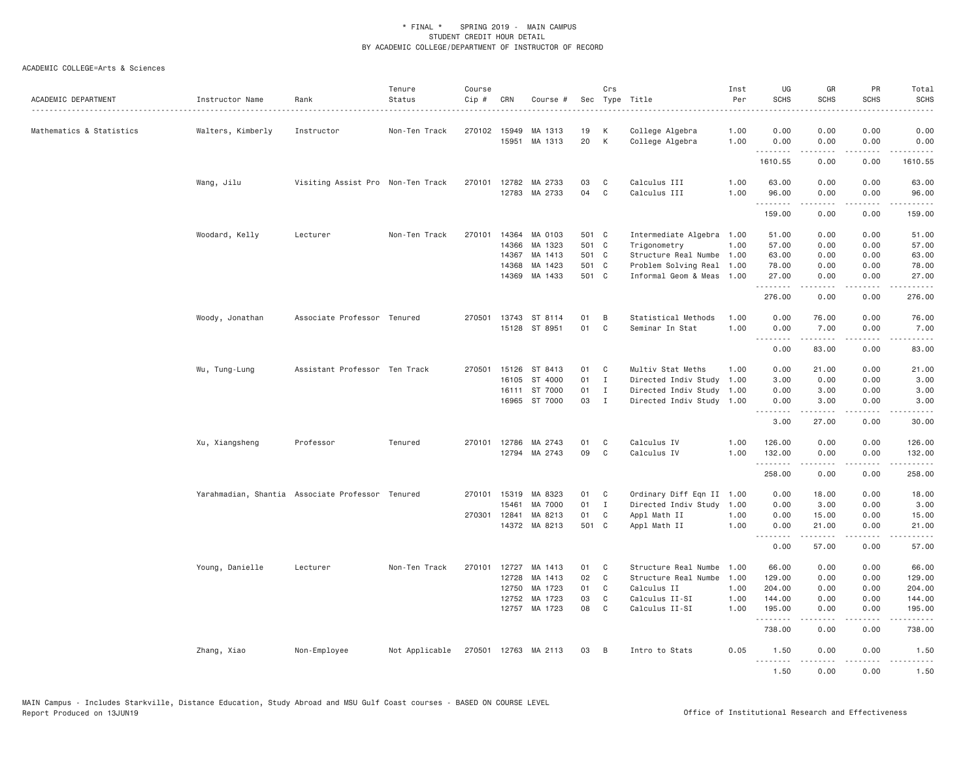| ACADEMIC DEPARTMENT      | Instructor Name                                  | Rank                              | Tenure<br>Status | Course<br>Cip# | CRN          | Course #             |       | Crs          | Sec Type Title            | Inst<br>Per | UG<br><b>SCHS</b> | GR<br><b>SCHS</b>   | PR<br><b>SCHS</b>           | Total<br><b>SCHS</b>                                                                                                                                          |
|--------------------------|--------------------------------------------------|-----------------------------------|------------------|----------------|--------------|----------------------|-------|--------------|---------------------------|-------------|-------------------|---------------------|-----------------------------|---------------------------------------------------------------------------------------------------------------------------------------------------------------|
| Mathematics & Statistics | Walters, Kimberly                                | Instructor                        | Non-Ten Track    |                | 270102 15949 | MA 1313              | 19    | К            | College Algebra           | 1.00        | 0.00              | 0.00                | 0.00                        | 0.00                                                                                                                                                          |
|                          |                                                  |                                   |                  |                |              | 15951 MA 1313        | 20    | K            | College Algebra           | 1.00        | 0.00<br><b></b>   | 0.00<br><u>.</u>    | 0.00<br>.                   | 0.00<br><u>.</u>                                                                                                                                              |
|                          |                                                  |                                   |                  |                |              |                      |       |              |                           |             | 1610.55           | 0.00                | 0.00                        | 1610.55                                                                                                                                                       |
|                          | Wang, Jilu                                       | Visiting Assist Pro Non-Ten Track |                  | 270101         |              | 12782 MA 2733        | 03    | C            | Calculus III              | 1.00        | 63.00             | 0.00                | 0.00                        | 63.00                                                                                                                                                         |
|                          |                                                  |                                   |                  |                |              | 12783 MA 2733        | 04    | $\mathsf{C}$ | Calculus III              | 1.00        | 96.00<br>.        | 0.00                | 0.00<br>د د د د             | 96.00<br>.                                                                                                                                                    |
|                          |                                                  |                                   |                  |                |              |                      |       |              |                           |             | 159.00            | 0.00                | 0.00                        | 159.00                                                                                                                                                        |
|                          | Woodard, Kelly                                   | Lecturer                          | Non-Ten Track    |                | 270101 14364 | MA 0103              | 501 C |              | Intermediate Algebra 1.00 |             | 51.00             | 0.00                | 0.00                        | 51.00                                                                                                                                                         |
|                          |                                                  |                                   |                  |                | 14366        | MA 1323              | 501 C |              | Trigonometry              | 1.00        | 57.00             | 0.00                | 0.00                        | 57.00                                                                                                                                                         |
|                          |                                                  |                                   |                  |                | 14367        | MA 1413              | 501 C |              | Structure Real Numbe      | 1.00        | 63.00             | 0.00                | 0.00                        | 63.00                                                                                                                                                         |
|                          |                                                  |                                   |                  |                | 14368        | MA 1423              | 501 C |              | Problem Solving Real      | 1.00        | 78.00             | 0.00                | 0.00                        | 78.00                                                                                                                                                         |
|                          |                                                  |                                   |                  |                |              | 14369 MA 1433        | 501 C |              | Informal Geom & Meas      | 1.00        | 27.00<br>.        | 0.00<br><b>.</b>    | 0.00<br>.                   | 27.00<br>.                                                                                                                                                    |
|                          |                                                  |                                   |                  |                |              |                      |       |              |                           |             | 276.00            | 0.00                | 0.00                        | 276.00                                                                                                                                                        |
|                          | Woody, Jonathan                                  | Associate Professor Tenured       |                  | 270501         |              | 13743 ST 8114        | 01    | B            | Statistical Methods       | 1.00        | 0.00              | 76.00               | 0.00                        | 76.00                                                                                                                                                         |
|                          |                                                  |                                   |                  |                |              | 15128 ST 8951        | 01    | C            | Seminar In Stat           | 1.00        | 0.00              | 7.00                | 0.00                        | 7.00                                                                                                                                                          |
|                          |                                                  |                                   |                  |                |              |                      |       |              |                           |             | 0.00              | .<br>83.00          | .<br>0.00                   | .<br>83.00                                                                                                                                                    |
|                          | Wu, Tung-Lung                                    | Assistant Professor Ten Track     |                  | 270501         | 15126        | ST 8413              | 01    | C            | Multiv Stat Meths         | 1.00        | 0.00              | 21.00               | 0.00                        | 21.00                                                                                                                                                         |
|                          |                                                  |                                   |                  |                | 16105        | ST 4000              | 01    | $\mathbf{I}$ | Directed Indiv Study      | 1.00        | 3.00              | 0.00                | 0.00                        | 3.00                                                                                                                                                          |
|                          |                                                  |                                   |                  |                |              | 16111 ST 7000        | 01 I  |              | Directed Indiv Study      | 1.00        | 0.00              | 3.00                | 0.00                        | 3.00                                                                                                                                                          |
|                          |                                                  |                                   |                  |                |              | 16965 ST 7000        | 03    | $\mathbf{I}$ | Directed Indiv Study 1.00 |             | 0.00              | 3.00                | 0.00                        | 3.00                                                                                                                                                          |
|                          |                                                  |                                   |                  |                |              |                      |       |              |                           |             | .<br>3.00         | <b>.</b><br>27.00   | د د د د<br>0.00             | $\frac{1}{2} \left( \frac{1}{2} \right) \left( \frac{1}{2} \right) \left( \frac{1}{2} \right) \left( \frac{1}{2} \right) \left( \frac{1}{2} \right)$<br>30.00 |
|                          | Xu, Xiangsheng                                   | Professor                         | Tenured          |                |              | 270101 12786 MA 2743 | 01    | C            | Calculus IV               | 1.00        | 126.00            | 0.00                | 0.00                        | 126.00                                                                                                                                                        |
|                          |                                                  |                                   |                  |                | 12794        | MA 2743              | 09    | C            | Calculus IV               | 1.00        | 132.00            | 0.00                | 0.00                        | 132.00                                                                                                                                                        |
|                          |                                                  |                                   |                  |                |              |                      |       |              |                           |             | .                 |                     | $\sim$ $\sim$ $\sim$ $\sim$ | .                                                                                                                                                             |
|                          |                                                  |                                   |                  |                |              |                      |       |              |                           |             | 258.00            | 0.00                | 0.00                        | 258.00                                                                                                                                                        |
|                          | Yarahmadian, Shantia Associate Professor Tenured |                                   |                  |                | 270101 15319 | MA 8323              | 01    | $\mathbf{C}$ | Ordinary Diff Eqn II 1.00 |             | 0.00              | 18.00               | 0.00                        | 18.00                                                                                                                                                         |
|                          |                                                  |                                   |                  |                | 15461        | MA 7000              | 01    | $\mathbf{I}$ | Directed Indiv Study      | 1.00        | 0.00              | 3.00                | 0.00                        | 3.00                                                                                                                                                          |
|                          |                                                  |                                   |                  |                | 270301 12841 | MA 8213              | 01    | C            | Appl Math II              | 1.00        | 0.00              | 15.00               | 0.00                        | 15.00                                                                                                                                                         |
|                          |                                                  |                                   |                  |                |              | 14372 MA 8213        | 501 C |              | Appl Math II              | 1.00        | 0.00<br>.         | 21.00<br>.          | 0.00<br>.                   | 21.00<br>.                                                                                                                                                    |
|                          |                                                  |                                   |                  |                |              |                      |       |              |                           |             | 0.00              | 57.00               | 0.00                        | 57.00                                                                                                                                                         |
|                          | Young, Danielle                                  | Lecturer                          | Non-Ten Track    |                | 270101 12727 | MA 1413              | 01    | C            | Structure Real Numbe      | 1.00        | 66.00             | 0.00                | 0.00                        | 66.00                                                                                                                                                         |
|                          |                                                  |                                   |                  |                | 12728        | MA 1413              | 02    | $\mathbb C$  | Structure Real Numbe      | 1.00        | 129.00            | 0.00                | 0.00                        | 129.00                                                                                                                                                        |
|                          |                                                  |                                   |                  |                | 12750        | MA 1723              | 01    | C            | Calculus II               | 1.00        | 204.00            | 0.00                | 0.00                        | 204.00                                                                                                                                                        |
|                          |                                                  |                                   |                  |                | 12752        | MA 1723              | 03    | C            | Calculus II-SI            | 1.00        | 144.00            | 0.00                | 0.00                        | 144.00                                                                                                                                                        |
|                          |                                                  |                                   |                  |                |              | 12757 MA 1723        | 08    | C            | Calculus II-SI            | 1.00        | 195.00<br>.       | 0.00<br>$- - - - -$ | 0.00<br>.                   | 195.00<br>.                                                                                                                                                   |
|                          |                                                  |                                   |                  |                |              |                      |       |              |                           |             | 738.00            | 0.00                | 0.00                        | 738.00                                                                                                                                                        |
|                          | Zhang, Xiao                                      | Non-Employee                      | Not Applicable   |                |              | 270501 12763 MA 2113 | 03    | B            | Intro to Stats            | 0.05        | 1.50<br>.         | 0.00<br>.           | 0.00<br>.                   | 1.50<br>.                                                                                                                                                     |
|                          |                                                  |                                   |                  |                |              |                      |       |              |                           |             | 1.50              | 0.00                | 0.00                        | 1.50                                                                                                                                                          |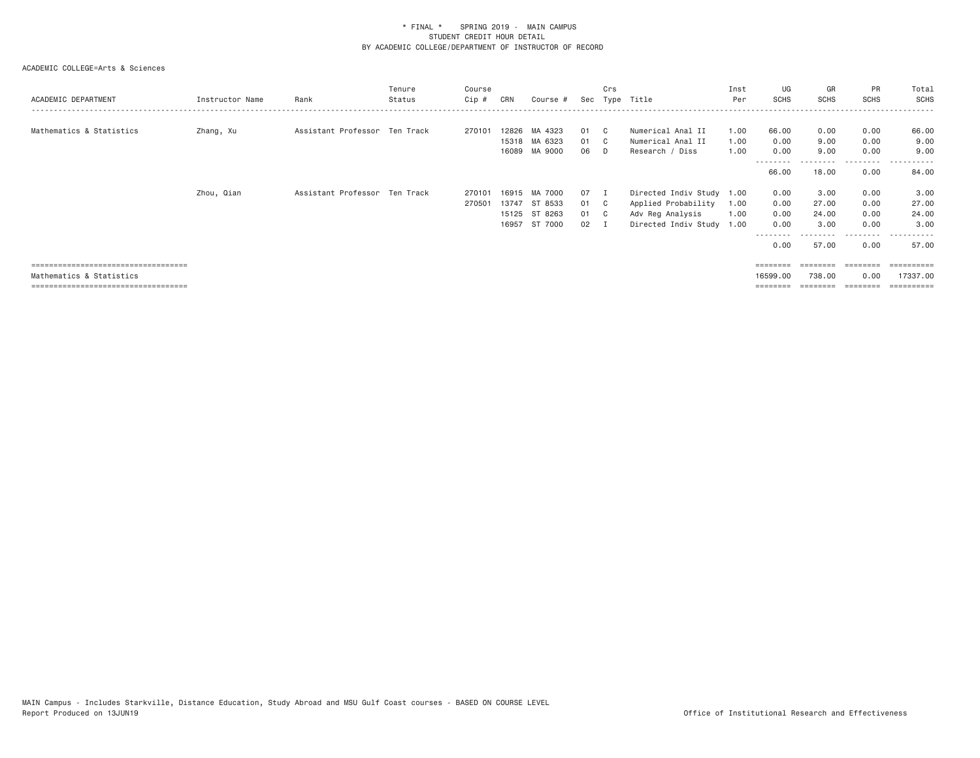| ACADEMIC DEPARTMENT                                                                                        | Instructor Name | Rank                          | Tenure<br>Status | Course<br>Cip #  | CRN                              | Course #                                 |                            | Crs        | Sec Type Title                                                                               | Inst<br>Per          | UG<br><b>SCHS</b>                    | GR<br><b>SCHS</b>                       | PR<br><b>SCHS</b>                    | Total<br>SCHS                           |
|------------------------------------------------------------------------------------------------------------|-----------------|-------------------------------|------------------|------------------|----------------------------------|------------------------------------------|----------------------------|------------|----------------------------------------------------------------------------------------------|----------------------|--------------------------------------|-----------------------------------------|--------------------------------------|-----------------------------------------|
| Mathematics & Statistics                                                                                   | Zhang, Xu       | Assistant Professor Ten Track |                  | 270101           | 12826<br>16089                   | MA 4323<br>15318 MA 6323<br>MA 9000      | 01<br>01<br>06             | - C<br>- D | Numerical Anal II<br>Numerical Anal II<br>Research / Diss                                    | 1.00<br>1.00<br>1.00 | 66.00<br>0.00<br>0.00                | 0.00<br>9.00<br>9.00                    | 0.00<br>0.00<br>0.00                 | 66.00<br>9.00<br>9,00                   |
|                                                                                                            |                 |                               |                  |                  |                                  |                                          |                            |            |                                                                                              |                      | 66.00                                | 18.00                                   | .<br>0.00                            | 84.00                                   |
|                                                                                                            | Zhou, Qian      | Assistant Professor Ten Track |                  | 270101<br>270501 | 16915<br>13747<br>15125<br>16957 | MA 7000<br>ST 8533<br>ST 8263<br>ST 7000 | 07 I<br>01 C<br>01 C<br>02 |            | Directed Indiv Study 1.00<br>Applied Probability<br>Adv Reg Analysis<br>Directed Indiv Study | 1.00<br>1.00<br>1.00 | 0.00<br>0.00<br>0.00<br>0.00<br>0.00 | 3.00<br>27.00<br>24.00<br>3.00<br>57.00 | 0.00<br>0.00<br>0.00<br>0.00<br>0.00 | 3.00<br>27.00<br>24.00<br>3,00<br>57.00 |
| =====================================<br>Mathematics & Statistics<br>===================================== |                 |                               |                  |                  |                                  |                                          |                            |            |                                                                                              |                      | 16599.00<br>========                 | ========<br>738,00<br>========          | ---------<br>0.00<br>---------       | ==========<br>17337.00<br>==========    |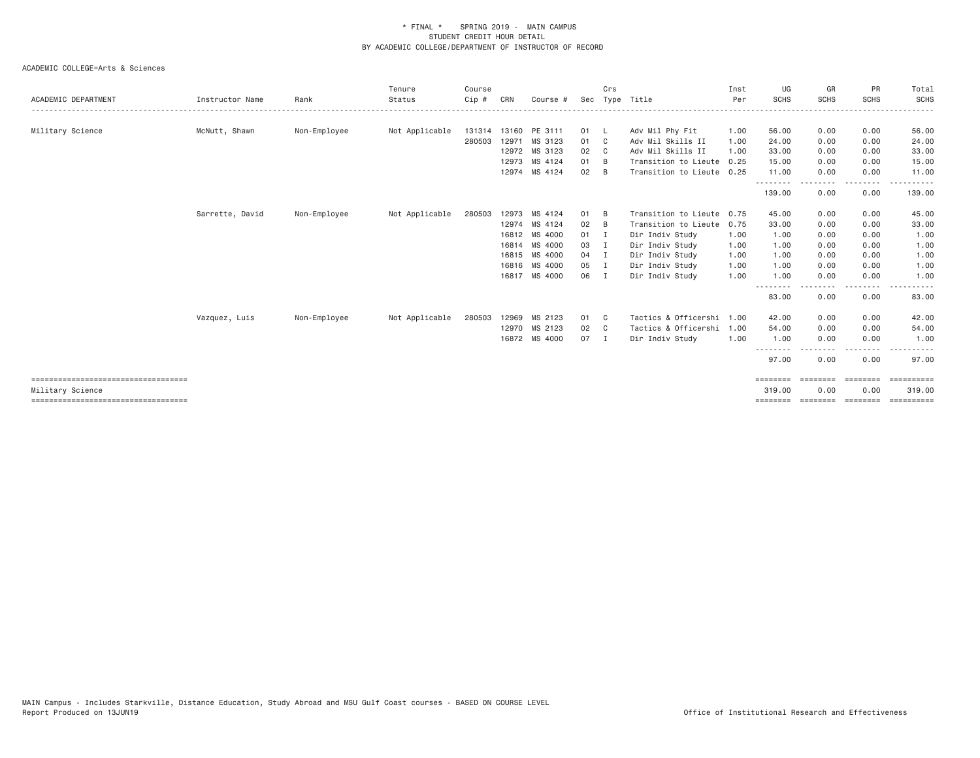| ACADEMIC DEPARTMENT                   | Instructor Name | Rank         | Tenure<br>Status | Course<br>Cip # | CRN | Course #             | Sec          | Crs            | Type Title                | Inst<br>Per | UG<br><b>SCHS</b> | GR<br><b>SCHS</b> | PR<br><b>SCHS</b>  | Total<br><b>SCHS</b> |
|---------------------------------------|-----------------|--------------|------------------|-----------------|-----|----------------------|--------------|----------------|---------------------------|-------------|-------------------|-------------------|--------------------|----------------------|
|                                       |                 |              |                  |                 |     |                      |              |                |                           |             |                   |                   |                    |                      |
| Military Science                      | McNutt, Shawn   | Non-Employee | Not Applicable   |                 |     | 131314 13160 PE 3111 | 01           | <b>L</b>       | Adv Mil Phy Fit           | 1.00        | 56.00             | 0.00              | 0.00               | 56.00                |
|                                       |                 |              |                  | 280503          |     | 12971 MS 3123        | 01           | C <sub>c</sub> | Adv Mil Skills II         | 1.00        | 24.00             | 0.00              | 0.00               | 24.00                |
|                                       |                 |              |                  |                 |     | 12972 MS 3123        | 02           | - C            | Adv Mil Skills II         | 1.00        | 33.00             | 0.00              | 0.00               | 33.00                |
|                                       |                 |              |                  |                 |     | 12973 MS 4124        | 01           | - B            | Transition to Lieute      | 0.25        | 15.00             | 0.00              | 0.00               | 15.00                |
|                                       |                 |              |                  |                 |     | 12974 MS 4124        | 02           | <b>B</b>       | Transition to Lieute 0.25 |             | 11.00<br>.        | 0.00              | 0.00<br>. <b>.</b> | 11.00                |
|                                       |                 |              |                  |                 |     |                      |              |                |                           |             | 139.00            | -----<br>0.00     | 0.00               | 139.00               |
|                                       | Sarrette, David | Non-Employee | Not Applicable   | 280503          |     | 12973 MS 4124        | 01           | B              | Transition to Lieute 0.75 |             | 45.00             | 0.00              | 0.00               | 45.00                |
|                                       |                 |              |                  |                 |     | 12974 MS 4124        | 02           | B              | Transition to Lieute      | 0.75        | 33.00             | 0.00              | 0.00               | 33.00                |
|                                       |                 |              |                  |                 |     | 16812 MS 4000        | $01 \quad I$ |                | Dir Indiv Study           | 1.00        | 1.00              | 0.00              | 0.00               | 1.00                 |
|                                       |                 |              |                  |                 |     | 16814 MS 4000        | 03           | I.             | Dir Indiv Study           | 1.00        | 1.00              | 0.00              | 0.00               | 1.00                 |
|                                       |                 |              |                  |                 |     | 16815 MS 4000        | 04           | $\blacksquare$ | Dir Indiv Study           | 1.00        | 1.00              | 0.00              | 0.00               | 1.00                 |
|                                       |                 |              |                  |                 |     | 16816 MS 4000        | 05           | I.             | Dir Indiv Study           | 1.00        | 1.00              | 0.00              | 0.00               | 1.00                 |
|                                       |                 |              |                  |                 |     | 16817 MS 4000        | 06           | $\blacksquare$ | Dir Indiv Study           | 1.00        | 1.00              | 0.00              | 0.00               | 1.00                 |
|                                       |                 |              |                  |                 |     |                      |              |                |                           |             | 83.00             | 0.00              | 0.00               | 83.00                |
|                                       | Vazquez, Luis   | Non-Employee | Not Applicable   | 280503          |     | 12969 MS 2123        | 01           | $\mathbf{C}$   | Tactics & Officershi 1.00 |             | 42.00             | 0.00              | 0.00               | 42.00                |
|                                       |                 |              |                  |                 |     | 12970 MS 2123        | 02           | $\mathbf{C}$   | Tactics & Officershi      | 1.00        | 54.00             | 0.00              | 0.00               | 54.00                |
|                                       |                 |              |                  |                 |     | 16872 MS 4000        | 07           | $\blacksquare$ | Dir Indiv Study           | 1.00        | 1.00              | 0.00              | 0.00               | 1.00                 |
|                                       |                 |              |                  |                 |     |                      |              |                |                           |             | 97.00             | 0.00              | 0.00               | 97.00                |
| ====================================  |                 |              |                  |                 |     |                      |              |                |                           |             | ========          | <b>ESSESSE</b>    | ========           | EEEEEEEEE            |
| Military Science                      |                 |              |                  |                 |     |                      |              |                |                           |             | 319.00            | 0.00              | 0.00               | 319.00               |
| ===================================== |                 |              |                  |                 |     |                      |              |                |                           |             | ========          | ========          | ========           | ==========           |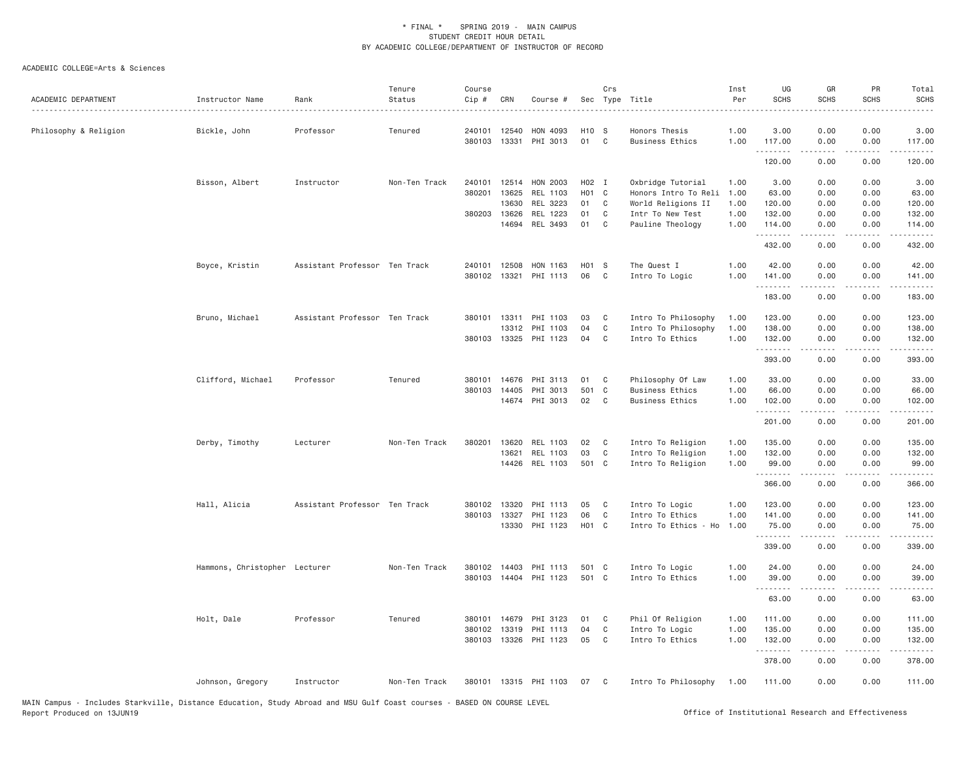| ACADEMIC DEPARTMENT   | Instructor Name               | Rank                          | Tenure<br>Status | Course<br>Cip # | CRN   | Course #                   |                         | Crs          | Sec Type Title                          | Inst<br>Per  | UG<br><b>SCHS</b> | GR<br><b>SCHS</b>                                                                                                                                            | PR<br><b>SCHS</b> | Total<br><b>SCHS</b> |
|-----------------------|-------------------------------|-------------------------------|------------------|-----------------|-------|----------------------------|-------------------------|--------------|-----------------------------------------|--------------|-------------------|--------------------------------------------------------------------------------------------------------------------------------------------------------------|-------------------|----------------------|
| Philosophy & Religion | Bickle, John                  | Professor                     | Tenured          | 240101 12540    |       | HON 4093                   | H <sub>10</sub> S       |              | Honors Thesis                           | 1.00         | 3.00              | 0.00                                                                                                                                                         | 0.00              | 3.00                 |
|                       |                               |                               |                  | 380103          |       | 13331 PHI 3013             | 01                      | $\mathbf{C}$ | <b>Business Ethics</b>                  | 1.00         | 117.00<br>.       | 0.00<br>$\frac{1}{2} \left( \frac{1}{2} \right) \left( \frac{1}{2} \right) \left( \frac{1}{2} \right) \left( \frac{1}{2} \right) \left( \frac{1}{2} \right)$ | 0.00<br>.         | 117.00<br>.          |
|                       |                               |                               |                  |                 |       |                            |                         |              |                                         |              | 120.00            | 0.00                                                                                                                                                         | 0.00              | 120.00               |
|                       | Bisson, Albert                | Instructor                    | Non-Ten Track    | 240101          | 12514 | HON 2003                   | H02 I                   |              | Oxbridge Tutorial                       | 1.00         | 3.00              | 0.00                                                                                                                                                         | 0.00              | 3.00                 |
|                       |                               |                               |                  | 380201          | 13625 | REL 1103                   | HO1 C                   |              | Honors Intro To Reli 1.00               |              | 63.00             | 0.00                                                                                                                                                         | 0.00              | 63.00                |
|                       |                               |                               |                  |                 | 13630 | REL 3223                   | 01                      | C            | World Religions II                      | 1.00         | 120.00            | 0.00                                                                                                                                                         | 0.00              | 120.00               |
|                       |                               |                               |                  | 380203          | 13626 | REL 1223                   | 01                      | C            | Intr To New Test                        | 1.00         | 132.00            | 0.00                                                                                                                                                         | 0.00              | 132.00               |
|                       |                               |                               |                  |                 |       | 14694 REL 3493             | 01                      | $\mathbf{C}$ | Pauline Theology                        | 1.00         | 114.00<br>.       | 0.00<br>.                                                                                                                                                    | 0.00              | 114.00<br>.          |
|                       |                               |                               |                  |                 |       |                            |                         |              |                                         |              | 432.00            | 0.00                                                                                                                                                         | 0.00              | 432.00               |
|                       | Boyce, Kristin                | Assistant Professor Ten Track |                  | 240101          | 12508 | HON 1163                   | H01 S                   |              | The Quest I                             | 1.00         | 42.00             | 0.00                                                                                                                                                         | 0.00              | 42.00                |
|                       |                               |                               |                  | 380102          | 13321 | PHI 1113                   | 06                      | C            | Intro To Logic                          | 1.00         | 141.00<br>.       | 0.00                                                                                                                                                         | 0.00<br>.         | 141.00<br>.          |
|                       |                               |                               |                  |                 |       |                            |                         |              |                                         |              | 183.00            | .<br>0.00                                                                                                                                                    | 0.00              | 183.00               |
|                       | Bruno, Michael                | Assistant Professor Ten Track |                  | 380101          | 13311 | PHI 1103                   | 03                      | C            | Intro To Philosophy                     | 1.00         | 123.00            | 0.00                                                                                                                                                         | 0.00              | 123.00               |
|                       |                               |                               |                  |                 | 13312 | PHI 1103                   | 04                      | C            | Intro To Philosophy                     | 1.00         | 138.00            | 0.00                                                                                                                                                         | 0.00              | 138.00               |
|                       |                               |                               |                  | 380103          |       | 13325 PHI 1123             | 04                      | C            | Intro To Ethics                         | 1.00         | 132.00            | 0.00                                                                                                                                                         | 0.00              | 132.00               |
|                       |                               |                               |                  |                 |       |                            |                         |              |                                         |              | .<br>393.00       | .<br>0.00                                                                                                                                                    | د د د د<br>0.00   | 2.2.2.2.2.<br>393.00 |
|                       | Clifford, Michael             | Professor                     | Tenured          | 380101          | 14676 | PHI 3113                   | 01                      | $\mathbf{C}$ | Philosophy Of Law                       | 1.00         | 33.00             | 0.00                                                                                                                                                         | 0.00              | 33.00                |
|                       |                               |                               |                  | 380103          | 14405 | PHI 3013                   | 501 C                   |              | <b>Business Ethics</b>                  | 1.00         | 66.00             | 0.00                                                                                                                                                         | 0.00              | 66.00                |
|                       |                               |                               |                  |                 |       | 14674 PHI 3013             | 02                      | $\mathbf{C}$ | <b>Business Ethics</b>                  | 1.00         | 102.00            | 0.00                                                                                                                                                         | 0.00              | 102.00               |
|                       |                               |                               |                  |                 |       |                            |                         |              |                                         |              | .<br>201.00       | 0.00                                                                                                                                                         | .<br>0.00         | <u>.</u><br>201.00   |
|                       |                               |                               | Non-Ten Track    | 380201          | 13620 | REL 1103                   | 02                      | C            |                                         | 1.00         | 135.00            | 0.00                                                                                                                                                         | 0.00              |                      |
|                       | Derby, Timothy                | Lecturer                      |                  |                 | 13621 | REL 1103                   | 03                      | C            | Intro To Religion<br>Intro To Religion  | 1.00         | 132.00            | 0.00                                                                                                                                                         | 0.00              | 135.00<br>132.00     |
|                       |                               |                               |                  |                 |       | 14426 REL 1103             | 501 C                   |              | Intro To Religion                       | 1.00         | 99.00             | 0.00                                                                                                                                                         | 0.00              | 99.00                |
|                       |                               |                               |                  |                 |       |                            |                         |              |                                         |              | .<br>366.00       | .<br>0.00                                                                                                                                                    | د د د د<br>0.00   | .<br>366.00          |
|                       |                               |                               |                  |                 |       |                            |                         |              |                                         |              |                   |                                                                                                                                                              |                   |                      |
|                       | Hall, Alicia                  | Assistant Professor Ten Track |                  | 380102          | 13320 | PHI 1113                   | 05                      | C            | Intro To Logic                          | 1.00         | 123.00            | 0.00                                                                                                                                                         | 0.00              | 123.00               |
|                       |                               |                               |                  | 380103 13327    |       | PHI 1123<br>13330 PHI 1123 | 06<br>H <sub>01</sub> C | C            | Intro To Ethics<br>Intro To Ethics - Ho | 1.00<br>1.00 | 141.00<br>75.00   | 0.00<br>0.00                                                                                                                                                 | 0.00<br>0.00      | 141.00<br>75.00      |
|                       |                               |                               |                  |                 |       |                            |                         |              |                                         |              | .<br>339.00       | .<br>0.00                                                                                                                                                    | .<br>0.00         | .<br>339.00          |
|                       |                               |                               |                  |                 |       |                            |                         |              |                                         |              |                   |                                                                                                                                                              |                   |                      |
|                       | Hammons, Christopher Lecturer |                               | Non-Ten Track    | 380102 14403    |       | PHI 1113                   | 501 C                   |              | Intro To Logic                          | 1.00         | 24.00             | 0.00                                                                                                                                                         | 0.00              | 24.00                |
|                       |                               |                               |                  | 380103          |       | 14404 PHI 1123             | 501 C                   |              | Intro To Ethics                         | 1.00         | 39.00<br>.        | 0.00<br>-----                                                                                                                                                | 0.00<br>.         | 39.00<br>ه د د د د   |
|                       |                               |                               |                  |                 |       |                            |                         |              |                                         |              | 63.00             | 0.00                                                                                                                                                         | 0.00              | 63.00                |
|                       | Holt, Dale                    | Professor                     | Tenured          | 380101          | 14679 | PHI 3123                   | 01                      | C            | Phil Of Religion                        | 1.00         | 111.00            | 0.00                                                                                                                                                         | 0.00              | 111.00               |
|                       |                               |                               |                  | 380102 13319    |       | PHI 1113                   | 04                      | C            | Intro To Logic                          | 1.00         | 135.00            | 0.00                                                                                                                                                         | 0.00              | 135.00               |
|                       |                               |                               |                  |                 |       | 380103 13326 PHI 1123      | 05                      | C            | Intro To Ethics                         | 1.00         | 132.00<br>.       | 0.00<br>.                                                                                                                                                    | 0.00<br>.         | 132.00<br>.          |
|                       |                               |                               |                  |                 |       |                            |                         |              |                                         |              | 378.00            | 0.00                                                                                                                                                         | 0.00              | 378.00               |
|                       | Johnson, Gregory              | Instructor                    | Non-Ten Track    |                 |       | 380101 13315 PHI 1103      | 07                      | $\mathbf{C}$ | Intro To Philosophy                     | 1.00         | 111.00            | 0.00                                                                                                                                                         | 0.00              | 111.00               |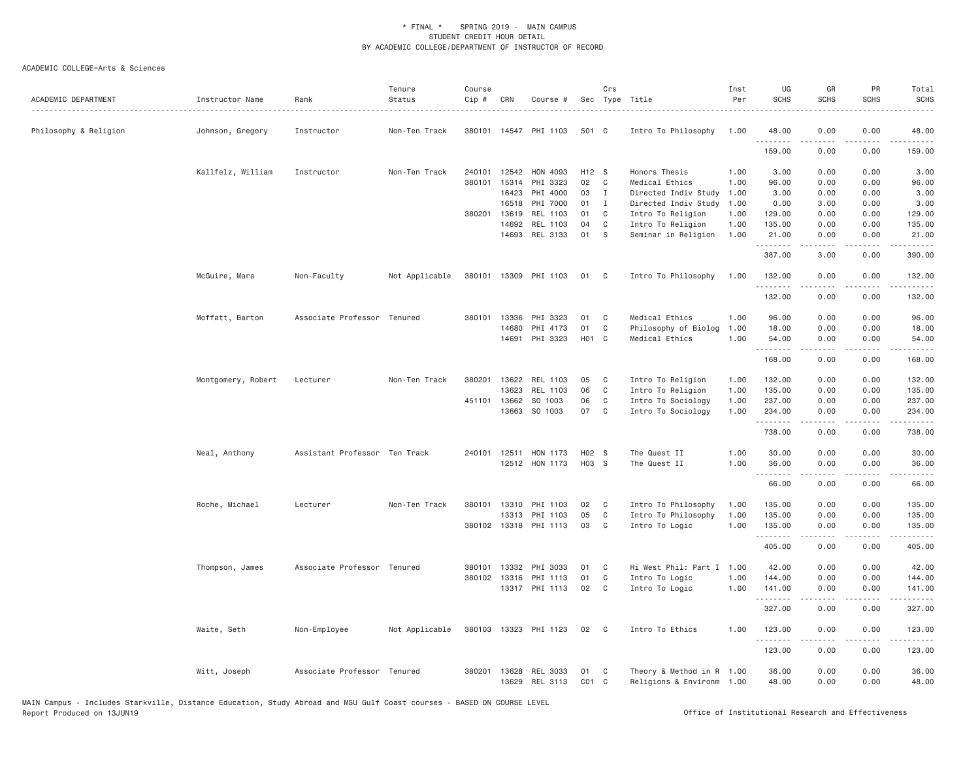| ACADEMIC DEPARTMENT   | Instructor Name    | Rank                          | Tenure<br>Status | Course<br>Cip # | CRN          | Course #              |              | Crs          | Sec Type Title            | Inst<br>Per | UG<br><b>SCHS</b> | GR<br><b>SCHS</b>                                                                                                                                            | PR<br><b>SCHS</b> | Total<br><b>SCHS</b> |
|-----------------------|--------------------|-------------------------------|------------------|-----------------|--------------|-----------------------|--------------|--------------|---------------------------|-------------|-------------------|--------------------------------------------------------------------------------------------------------------------------------------------------------------|-------------------|----------------------|
| Philosophy & Religion | Johnson, Gregory   | Instructor                    | Non-Ten Track    |                 |              | 380101 14547 PHI 1103 | 501 C        |              | Intro To Philosophy       | 1.00        | 48.00             | 0.00                                                                                                                                                         | 0.00              | 48.00                |
|                       |                    |                               |                  |                 |              |                       |              |              |                           |             | 159.00            | 0.00                                                                                                                                                         | 0.00              | 159.00               |
|                       | Kallfelz, William  | Instructor                    | Non-Ten Track    |                 | 240101 12542 | HON 4093              | H12 S        |              | Honors Thesis             | 1.00        | 3.00              | 0.00                                                                                                                                                         | 0.00              | 3.00                 |
|                       |                    |                               |                  |                 | 380101 15314 | PHI 3323              | 02           | C            | Medical Ethics            | 1.00        | 96.00             | 0.00                                                                                                                                                         | 0.00              | 96.00                |
|                       |                    |                               |                  |                 | 16423        | PHI 4000              | 03           | $\mathbf{I}$ | Directed Indiv Study      | 1.00        | 3.00              | 0.00                                                                                                                                                         | 0.00              | 3.00                 |
|                       |                    |                               |                  |                 | 16518        | PHI 7000              | $01 \quad I$ |              | Directed Indiv Study      | 1.00        | 0.00              | 3.00                                                                                                                                                         | 0.00              | 3.00                 |
|                       |                    |                               |                  | 380201          | 13619        | REL 1103              | 01           | $\mathbf{C}$ | Intro To Religion         | 1.00        | 129.00            | 0.00                                                                                                                                                         | 0.00              | 129.00               |
|                       |                    |                               |                  |                 | 14692        | REL 1103              | 04           | $\mathbf{C}$ | Intro To Religion         | 1.00        | 135.00            | 0.00                                                                                                                                                         | 0.00              | 135.00               |
|                       |                    |                               |                  |                 | 14693        | REL 3133              | 01           | S            | Seminar in Religion       | 1.00        | 21.00<br>.        | 0.00<br>$\frac{1}{2} \left( \frac{1}{2} \right) \left( \frac{1}{2} \right) \left( \frac{1}{2} \right) \left( \frac{1}{2} \right) \left( \frac{1}{2} \right)$ | 0.00<br>.         | 21.00<br>.           |
|                       |                    |                               |                  |                 |              |                       |              |              |                           |             | 387.00            | 3.00                                                                                                                                                         | 0.00              | 390.00               |
|                       | McGuire, Mara      | Non-Faculty                   | Not Applicable   |                 |              | 380101 13309 PHI 1103 | 01 C         |              | Intro To Philosophy       | 1.00        | 132.00            | 0.00                                                                                                                                                         | 0.00              | 132.00               |
|                       |                    |                               |                  |                 |              |                       |              |              |                           |             | 132.00            | 0.00                                                                                                                                                         | 0.00              | 132.00               |
|                       | Moffatt, Barton    | Associate Professor Tenured   |                  |                 | 380101 13336 | PHI 3323              | 01           | C            | Medical Ethics            | 1.00        | 96.00             | 0.00                                                                                                                                                         | 0.00              | 96.00                |
|                       |                    |                               |                  |                 | 14680        | PHI 4173              | 01           | $\mathbf{C}$ | Philosophy of Biolog      | 1.00        | 18.00             | 0.00                                                                                                                                                         | 0.00              | 18.00                |
|                       |                    |                               |                  |                 | 14691        | PHI 3323              | H01 C        |              | Medical Ethics            | 1.00        | 54.00             | 0.00                                                                                                                                                         | 0.00              | 54.00                |
|                       |                    |                               |                  |                 |              |                       |              |              |                           |             | .<br>168.00       | .<br>0.00                                                                                                                                                    | .<br>0.00         | .<br>168.00          |
|                       | Montgomery, Robert | Lecturer                      | Non-Ten Track    | 380201          | 13622        | REL 1103              | 05           | $\mathbf{C}$ | Intro To Religion         | 1.00        | 132.00            | 0.00                                                                                                                                                         | 0.00              | 132.00               |
|                       |                    |                               |                  |                 | 13623        | REL 1103              | 06           | $\mathbf{C}$ | Intro To Religion         | 1.00        | 135.00            | 0.00                                                                                                                                                         | 0.00              | 135.00               |
|                       |                    |                               |                  |                 | 451101 13662 | SO 1003               | 06           | C            | Intro To Sociology        | 1.00        | 237.00            | 0.00                                                                                                                                                         | 0.00              | 237.00               |
|                       |                    |                               |                  |                 | 13663        | SO 1003               | 07           | $\mathbf{C}$ | Intro To Sociology        | 1.00        | 234.00<br>.       | 0.00<br>المتمام المتعاد                                                                                                                                      | 0.00<br>.         | 234.00               |
|                       |                    |                               |                  |                 |              |                       |              |              |                           |             | 738.00            | 0.00                                                                                                                                                         | 0.00              | 738.00               |
|                       | Neal, Anthony      | Assistant Professor Ten Track |                  |                 | 240101 12511 | HON 1173              | H02 S        |              | The Quest II              | 1.00        | 30.00             | 0.00                                                                                                                                                         | 0.00              | 30.00                |
|                       |                    |                               |                  |                 |              | 12512 HON 1173        | H03 S        |              | The Quest II              | 1.00        | 36.00<br>.        | 0.00                                                                                                                                                         | 0.00              | 36.00                |
|                       |                    |                               |                  |                 |              |                       |              |              |                           |             | 66.00             | 0.00                                                                                                                                                         | 0.00              | 66.00                |
|                       | Roche, Michael     | Lecturer                      | Non-Ten Track    |                 | 380101 13310 | PHI 1103              | 02           | $\mathbf{C}$ | Intro To Philosophy       | 1.00        | 135.00            | 0.00                                                                                                                                                         | 0.00              | 135.00               |
|                       |                    |                               |                  |                 | 13313        | PHI 1103              | 05           | $\mathbf{C}$ | Intro To Philosophy       | 1.00        | 135.00            | 0.00                                                                                                                                                         | 0.00              | 135.00               |
|                       |                    |                               |                  |                 |              | 380102 13318 PHI 1113 | 03           | $\mathbf{C}$ | Intro To Logic            | 1.00        | 135.00<br>.       | 0.00<br><b>.</b>                                                                                                                                             | 0.00<br>.         | 135.00<br><u>.</u>   |
|                       |                    |                               |                  |                 |              |                       |              |              |                           |             | 405.00            | 0.00                                                                                                                                                         | 0.00              | 405.00               |
|                       | Thompson, James    | Associate Professor Tenured   |                  | 380101          | 13332        | PHI 3033              | 01           | C            | Hi West Phil: Part I 1.00 |             | 42.00             | 0.00                                                                                                                                                         | 0.00              | 42.00                |
|                       |                    |                               |                  |                 | 380102 13316 | PHI 1113              | 01           | $\mathbf{C}$ | Intro To Logic            | 1.00        | 144.00            | 0.00                                                                                                                                                         | 0.00              | 144.00               |
|                       |                    |                               |                  |                 |              | 13317 PHI 1113        | 02 C         |              | Intro To Logic            | 1.00        | 141.00<br>.       | 0.00<br>. <u>.</u>                                                                                                                                           | 0.00<br>-----     | 141.00<br>.          |
|                       |                    |                               |                  |                 |              |                       |              |              |                           |             | 327.00            | 0.00                                                                                                                                                         | 0.00              | 327.00               |
|                       | Waite, Seth        | Non-Employee                  | Not Applicable   | 380103          |              | 13323 PHI 1123        | 02           | $\mathbf{C}$ | Intro To Ethics           | 1.00        | 123.00<br>.       | 0.00<br>$- - - - -$                                                                                                                                          | 0.00<br>.         | 123.00<br>1.1.1.1.1  |
|                       |                    |                               |                  |                 |              |                       |              |              |                           |             | 123.00            | 0.00                                                                                                                                                         | 0.00              | 123.00               |
|                       | Witt, Joseph       | Associate Professor Tenured   |                  |                 | 380201 13628 | REL 3033              | 01           | $\mathbf{C}$ | Theory & Method in R 1.00 |             | 36.00             | 0.00                                                                                                                                                         | 0.00              | 36.00                |
|                       |                    |                               |                  |                 | 13629        | REL 3113              | $CO1$ $C$    |              | Religions & Environm 1.00 |             | 48.00             | 0.00                                                                                                                                                         | 0.00              | 48.00                |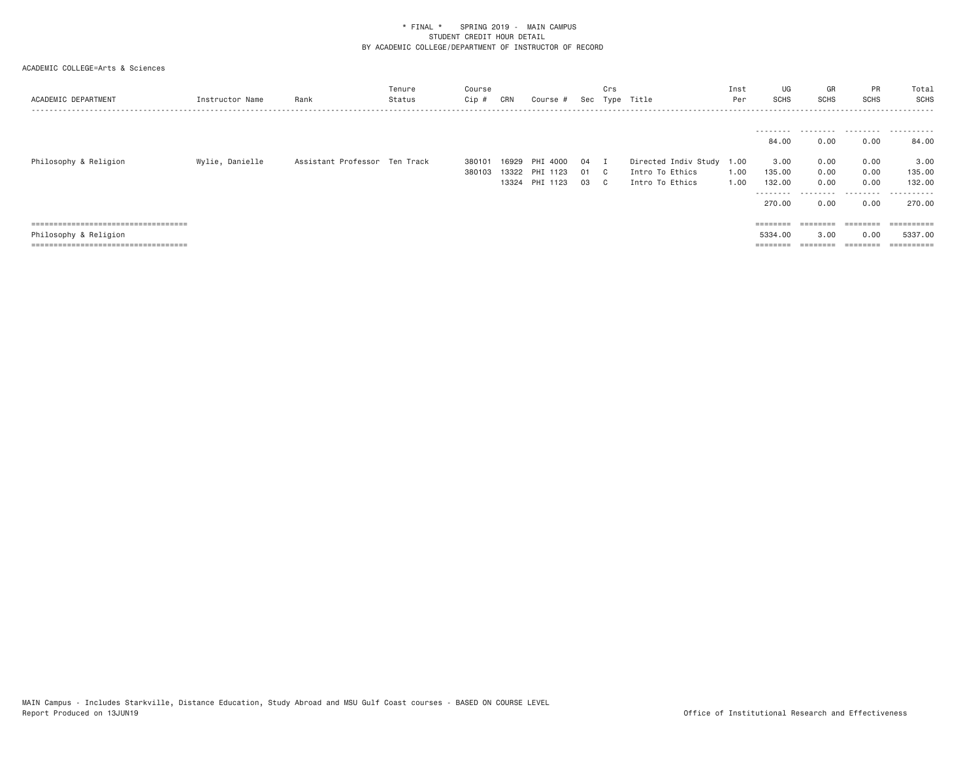| ACADEMIC DEPARTMENT                                                          | Instructor Name | Rank                          | Tenure<br>Status | Course<br>Cip #  | CRN   | Course #                                     |                | Crs<br>Sec Type              | Title                                                           | Inst<br>Per  | UG<br>SCHS                                                            | GR<br>SCHS                                     | PR<br><b>SCHS</b>                              | Total<br>SCHS                                         |
|------------------------------------------------------------------------------|-----------------|-------------------------------|------------------|------------------|-------|----------------------------------------------|----------------|------------------------------|-----------------------------------------------------------------|--------------|-----------------------------------------------------------------------|------------------------------------------------|------------------------------------------------|-------------------------------------------------------|
| Philosophy & Religion                                                        | Wylie, Danielle | Assistant Professor Ten Track |                  | 380101<br>380103 | 16929 | PHI 4000<br>13322 PHI 1123<br>13324 PHI 1123 | 04<br>01<br>03 | $\mathbb{C}$<br>$\mathbf{C}$ | Directed Indiv Study 1.00<br>Intro To Ethics<br>Intro To Ethics | 1.00<br>1.00 | ---------<br>84.00<br>3.00<br>135.00<br>132.00<br>---------<br>270.00 | .<br>0.00<br>0.00<br>0.00<br>0.00<br>.<br>0.00 | .<br>0.00<br>0.00<br>0.00<br>0.00<br>.<br>0.00 | .<br>84.00<br>3.00<br>135.00<br>132,00<br>.<br>270.00 |
| ------------------------------------<br>------------------------------------ |                 |                               |                  |                  |       |                                              |                |                              |                                                                 |              |                                                                       | --------<br>--------                           | --------<br>--------                           |                                                       |
| Philosophy & Religion                                                        |                 |                               |                  |                  |       |                                              |                |                              |                                                                 |              | 5334.00                                                               | 3,00                                           | 0.00                                           | 5337.00                                               |
| .===============================                                             |                 |                               |                  |                  |       |                                              |                |                              |                                                                 |              | $=$ = = = = = = =                                                     |                                                |                                                | $=$ ==========                                        |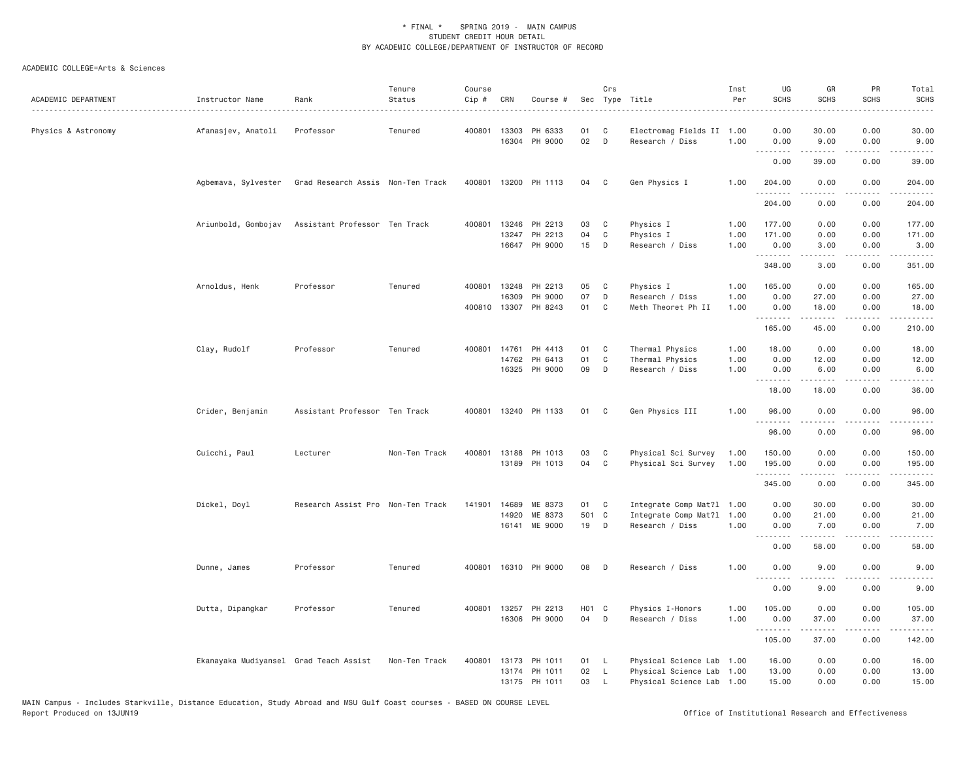| ACADEMIC DEPARTMENT | Instructor Name                        | Rank                                                  | Tenure<br>Status | Course<br>Cip # | CRN          | Course #                 |                   | Crs          | Sec Type Title                               | Inst<br>Per  | UG<br><b>SCHS</b>                   | GR<br><b>SCHS</b>                                                                                                                                    | PR<br>SCHS                          | Total<br><b>SCHS</b><br>$- - - -$                                                                                                                                                        |
|---------------------|----------------------------------------|-------------------------------------------------------|------------------|-----------------|--------------|--------------------------|-------------------|--------------|----------------------------------------------|--------------|-------------------------------------|------------------------------------------------------------------------------------------------------------------------------------------------------|-------------------------------------|------------------------------------------------------------------------------------------------------------------------------------------------------------------------------------------|
| Physics & Astronomy | Afanasjev, Anatoli                     | Professor                                             | Tenured          |                 | 400801 13303 | PH 6333<br>16304 PH 9000 | 01<br>02          | C<br>D       | Electromag Fields II 1.00<br>Research / Diss | 1.00         | 0.00<br>0.00                        | 30.00<br>9.00                                                                                                                                        | 0.00<br>0.00                        | 30.00<br>9.00                                                                                                                                                                            |
|                     |                                        |                                                       |                  |                 |              |                          |                   |              |                                              |              | $\sim$ $\sim$ $\sim$ $\sim$<br>0.00 | 39.00                                                                                                                                                | $\sim$ $\sim$ $\sim$ $\sim$<br>0.00 | 39.00                                                                                                                                                                                    |
|                     |                                        | Agbemava, Sylvester Grad Research Assis Non-Ten Track |                  |                 |              | 400801 13200 PH 1113     | 04                | $\mathbf{C}$ | Gen Physics I                                | 1.00         | 204.00                              | 0.00                                                                                                                                                 | 0.00                                | 204.00                                                                                                                                                                                   |
|                     |                                        |                                                       |                  |                 |              |                          |                   |              |                                              |              | .<br>204.00                         | .<br>0.00                                                                                                                                            | .<br>0.00                           | .<br>204.00                                                                                                                                                                              |
|                     | Ariunbold, Gombojav                    | Assistant Professor Ten Track                         |                  |                 |              | 400801 13246 PH 2213     | 03                | C            | Physics I                                    | 1.00         | 177.00                              | 0.00                                                                                                                                                 | 0.00                                | 177.00                                                                                                                                                                                   |
|                     |                                        |                                                       |                  |                 | 13247        | PH 2213<br>16647 PH 9000 | 04<br>15          | C<br>D       | Physics I<br>Research / Diss                 | 1.00<br>1.00 | 171.00<br>0.00                      | 0.00<br>3.00                                                                                                                                         | 0.00<br>0.00                        | 171.00<br>3.00                                                                                                                                                                           |
|                     |                                        |                                                       |                  |                 |              |                          |                   |              |                                              |              | .<br>348.00                         | $\mathcal{L}^{\mathcal{A}}\left( \mathcal{A}^{\mathcal{A}}\right) =\mathcal{L}^{\mathcal{A}}\left( \mathcal{A}^{\mathcal{A}}\right)$<br>3.00         | المتمامين<br>0.00                   | .<br>351.00                                                                                                                                                                              |
|                     | Arnoldus, Henk                         | Professor                                             | Tenured          |                 | 400801 13248 | PH 2213                  | 05                | C            | Physics I                                    | 1.00         | 165.00                              | 0.00                                                                                                                                                 | 0.00                                | 165.00                                                                                                                                                                                   |
|                     |                                        |                                                       |                  |                 | 16309        | PH 9000                  | 07                | D            | Research / Diss                              | 1.00         | 0.00                                | 27.00                                                                                                                                                | 0.00                                | 27.00                                                                                                                                                                                    |
|                     |                                        |                                                       |                  |                 | 400810 13307 | PH 8243                  | 01                | C            | Meth Theoret Ph II                           | 1,00         | 0.00                                | 18.00<br>.                                                                                                                                           | 0.00<br>.                           | 18.00<br>$\frac{1}{2} \left( \frac{1}{2} \right) \left( \frac{1}{2} \right) \left( \frac{1}{2} \right) \left( \frac{1}{2} \right) \left( \frac{1}{2} \right) \left( \frac{1}{2} \right)$ |
|                     |                                        |                                                       |                  |                 |              |                          |                   |              |                                              |              | 165.00                              | 45.00                                                                                                                                                | 0.00                                | 210.00                                                                                                                                                                                   |
|                     | Clay, Rudolf                           | Professor                                             | Tenured          | 400801 14761    |              | PH 4413                  | 01                | C            | Thermal Physics                              | 1.00         | 18.00                               | 0.00                                                                                                                                                 | 0.00                                | 18.00                                                                                                                                                                                    |
|                     |                                        |                                                       |                  |                 | 14762        | PH 6413                  | 01                | $\mathbb C$  | Thermal Physics                              | 1.00         | 0.00                                | 12.00                                                                                                                                                | 0.00                                | 12.00                                                                                                                                                                                    |
|                     |                                        |                                                       |                  |                 | 16325        | PH 9000                  | 09                | D            | Research / Diss                              | 1.00         | 0.00<br>.                           | 6.00<br>المتمالين                                                                                                                                    | 0.00<br>د د د د                     | 6.00<br>$\sim$ $\sim$ $\sim$ $\sim$ $\sim$                                                                                                                                               |
|                     |                                        |                                                       |                  |                 |              |                          |                   |              |                                              |              | 18.00                               | 18.00                                                                                                                                                | 0.00                                | 36.00                                                                                                                                                                                    |
|                     | Crider, Benjamin                       | Assistant Professor Ten Track                         |                  |                 |              | 400801 13240 PH 1133     | 01                | C            | Gen Physics III                              | 1.00         | 96.00<br>.                          | 0.00<br>.                                                                                                                                            | 0.00<br>.                           | 96.00<br>.                                                                                                                                                                               |
|                     |                                        |                                                       |                  |                 |              |                          |                   |              |                                              |              | 96.00                               | 0.00                                                                                                                                                 | 0.00                                | 96.00                                                                                                                                                                                    |
|                     | Cuicchi, Paul                          | Lecturer                                              | Non-Ten Track    | 400801          | 13188        | PH 1013                  | 03                | C            | Physical Sci Survey                          | 1.00         | 150.00                              | 0.00                                                                                                                                                 | 0.00                                | 150.00                                                                                                                                                                                   |
|                     |                                        |                                                       |                  |                 |              | 13189 PH 1013            | 04                | C            | Physical Sci Survey                          | 1.00         | 195.00<br>.                         | 0.00<br>.                                                                                                                                            | 0.00<br>.                           | 195.00<br>.                                                                                                                                                                              |
|                     |                                        |                                                       |                  |                 |              |                          |                   |              |                                              |              | 345.00                              | 0.00                                                                                                                                                 | 0.00                                | 345.00                                                                                                                                                                                   |
|                     | Dickel, Doyl                           | Research Assist Pro Non-Ten Track                     |                  | 141901          | 14689        | ME 8373                  | 01                | C            | Integrate Comp Mat?1 1.00                    |              | 0.00                                | 30.00                                                                                                                                                | 0.00                                | 30.00                                                                                                                                                                                    |
|                     |                                        |                                                       |                  |                 | 14920        | ME 8373                  | 501 C             | D            | Integrate Comp Mat?1                         | 1.00<br>1,00 | 0.00<br>0.00                        | 21.00<br>7.00                                                                                                                                        | 0.00<br>0.00                        | 21.00                                                                                                                                                                                    |
|                     |                                        |                                                       |                  |                 |              | 16141 ME 9000            | 19                |              | Research / Diss                              |              | .                                   | $\frac{1}{2} \left( \frac{1}{2} \right) \left( \frac{1}{2} \right) \left( \frac{1}{2} \right) \left( \frac{1}{2} \right) \left( \frac{1}{2} \right)$ | .                                   | 7.00<br>.                                                                                                                                                                                |
|                     |                                        |                                                       |                  |                 |              |                          |                   |              |                                              |              | 0.00                                | 58.00                                                                                                                                                | 0.00                                | 58.00                                                                                                                                                                                    |
|                     | Dunne, James                           | Professor                                             | Tenured          |                 |              | 400801 16310 PH 9000     | 08                | D            | Research / Diss                              | 1.00         | 0.00<br>.                           | 9.00                                                                                                                                                 | 0.00                                | 9.00                                                                                                                                                                                     |
|                     |                                        |                                                       |                  |                 |              |                          |                   |              |                                              |              | 0.00                                | 9.00                                                                                                                                                 | 0.00                                | 9.00                                                                                                                                                                                     |
|                     | Dutta, Dipangkar                       | Professor                                             | Tenured          |                 |              | 400801 13257 PH 2213     | H <sub>01</sub> C |              | Physics I-Honors                             | 1.00         | 105.00                              | 0.00                                                                                                                                                 | 0.00                                | 105.00                                                                                                                                                                                   |
|                     |                                        |                                                       |                  |                 |              | 16306 PH 9000            | 04                | $\mathsf{D}$ | Research / Diss                              | 1.00         | 0.00<br>.                           | 37.00<br><b><i><u></u></i></b>                                                                                                                       | 0.00<br>.                           | 37.00                                                                                                                                                                                    |
|                     |                                        |                                                       |                  |                 |              |                          |                   |              |                                              |              | 105.00                              | 37.00                                                                                                                                                | 0.00                                | 142.00                                                                                                                                                                                   |
|                     | Ekanayaka Mudiyansel Grad Teach Assist |                                                       | Non-Ten Track    | 400801          | 13173        | PH 1011                  | 01                | - L          | Physical Science Lab 1.00                    |              | 16.00                               | 0.00                                                                                                                                                 | 0.00                                | 16.00                                                                                                                                                                                    |
|                     |                                        |                                                       |                  |                 | 13174        | PH 1011                  | 02                | - L          | Physical Science Lab                         | 1.00         | 13.00                               | 0.00                                                                                                                                                 | 0.00                                | 13.00                                                                                                                                                                                    |
|                     |                                        |                                                       |                  |                 |              | 13175 PH 1011            | 03                | $\mathsf{L}$ | Physical Science Lab 1.00                    |              | 15.00                               | 0.00                                                                                                                                                 | 0.00                                | 15.00                                                                                                                                                                                    |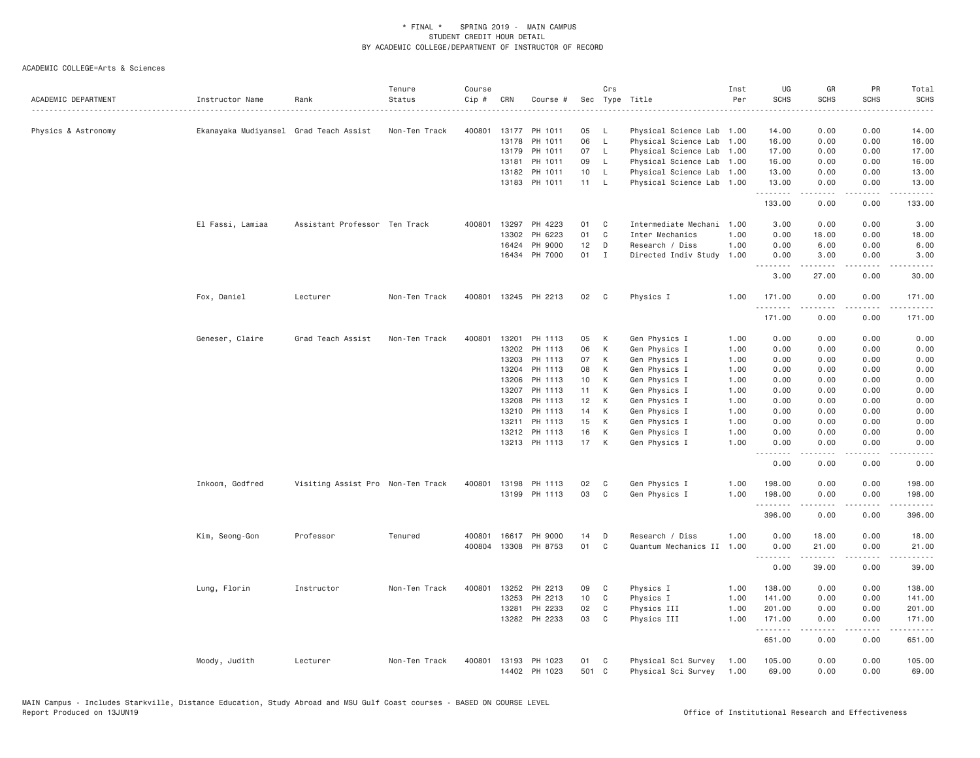| ACADEMIC DEPARTMENT | Instructor Name                        | Rank                              | Tenure<br>Status | Course<br>Cip # | CRN   | Course #             |                 | Crs            | Sec Type Title            | Inst<br>Per | UG<br><b>SCHS</b>                                                                                                                                                                                                                                                                                                                                                                                                                                                                              | GR<br><b>SCHS</b> | PR<br><b>SCHS</b>     | Total<br><b>SCHS</b><br>-----                                                                                                                                                             |
|---------------------|----------------------------------------|-----------------------------------|------------------|-----------------|-------|----------------------|-----------------|----------------|---------------------------|-------------|------------------------------------------------------------------------------------------------------------------------------------------------------------------------------------------------------------------------------------------------------------------------------------------------------------------------------------------------------------------------------------------------------------------------------------------------------------------------------------------------|-------------------|-----------------------|-------------------------------------------------------------------------------------------------------------------------------------------------------------------------------------------|
| Physics & Astronomy | Ekanayaka Mudiyansel Grad Teach Assist |                                   | Non-Ten Track    | 400801          |       | 13177 PH 1011        | 05              | <b>L</b>       | Physical Science Lab 1.00 |             | 14.00                                                                                                                                                                                                                                                                                                                                                                                                                                                                                          | 0.00              | 0.00                  | 14.00                                                                                                                                                                                     |
|                     |                                        |                                   |                  |                 |       | 13178 PH 1011        | 06              | $\mathsf{L}$   | Physical Science Lab 1.00 |             | 16.00                                                                                                                                                                                                                                                                                                                                                                                                                                                                                          | 0.00              | 0.00                  | 16.00                                                                                                                                                                                     |
|                     |                                        |                                   |                  |                 | 13179 | PH 1011              | 07              | $\mathsf{L}$   | Physical Science Lab 1.00 |             | 17.00                                                                                                                                                                                                                                                                                                                                                                                                                                                                                          | 0.00              | 0.00                  | 17.00                                                                                                                                                                                     |
|                     |                                        |                                   |                  |                 | 13181 | PH 1011              | 09              | <b>L</b>       | Physical Science Lab 1.00 |             | 16.00                                                                                                                                                                                                                                                                                                                                                                                                                                                                                          | 0.00              | 0.00                  | 16.00                                                                                                                                                                                     |
|                     |                                        |                                   |                  |                 | 13182 | PH 1011              | 10 <sup>1</sup> | <b>L</b>       | Physical Science Lab 1.00 |             | 13.00                                                                                                                                                                                                                                                                                                                                                                                                                                                                                          | 0.00              | 0.00                  | 13.00                                                                                                                                                                                     |
|                     |                                        |                                   |                  |                 |       | 13183 PH 1011        | 11              | - L            | Physical Science Lab 1.00 |             | 13.00<br>.                                                                                                                                                                                                                                                                                                                                                                                                                                                                                     | 0.00<br>.         | 0.00<br>.             | 13.00<br>.                                                                                                                                                                                |
|                     |                                        |                                   |                  |                 |       |                      |                 |                |                           |             | 133.00                                                                                                                                                                                                                                                                                                                                                                                                                                                                                         | 0.00              | 0.00                  | 133.00                                                                                                                                                                                    |
|                     | El Fassi, Lamiaa                       | Assistant Professor Ten Track     |                  | 400801          |       | 13297 PH 4223        | 01              | C              | Intermediate Mechani 1.00 |             | 3.00                                                                                                                                                                                                                                                                                                                                                                                                                                                                                           | 0.00              | 0.00                  | 3.00                                                                                                                                                                                      |
|                     |                                        |                                   |                  |                 | 13302 | PH 6223              | 01              | $\mathbb C$    | Inter Mechanics           | 1.00        | 0.00                                                                                                                                                                                                                                                                                                                                                                                                                                                                                           | 18.00             | 0.00                  | 18.00                                                                                                                                                                                     |
|                     |                                        |                                   |                  |                 | 16424 | PH 9000              | 12              | D              | Research / Diss           | 1.00        | 0.00                                                                                                                                                                                                                                                                                                                                                                                                                                                                                           | 6.00              | 0.00                  | 6.00                                                                                                                                                                                      |
|                     |                                        |                                   |                  |                 |       | 16434 PH 7000        | 01              | $\blacksquare$ | Directed Indiv Study      | 1.00        | 0.00<br>.                                                                                                                                                                                                                                                                                                                                                                                                                                                                                      | 3.00<br>.         | 0.00<br>.             | 3.00<br>$\frac{1}{2} \left( \frac{1}{2} \right) \left( \frac{1}{2} \right) \left( \frac{1}{2} \right) \left( \frac{1}{2} \right) \left( \frac{1}{2} \right)$                              |
|                     |                                        |                                   |                  |                 |       |                      |                 |                |                           |             | 3.00                                                                                                                                                                                                                                                                                                                                                                                                                                                                                           | 27.00             | 0.00                  | 30.00                                                                                                                                                                                     |
|                     | Fox, Daniel                            | Lecturer                          | Non-Ten Track    | 400801          |       | 13245 PH 2213        | 02              | C              | Physics I                 | 1.00        | 171.00<br>.                                                                                                                                                                                                                                                                                                                                                                                                                                                                                    | 0.00<br>.         | 0.00<br>.             | 171.00<br>$\frac{1}{2} \left( \frac{1}{2} \right) \left( \frac{1}{2} \right) \left( \frac{1}{2} \right) \left( \frac{1}{2} \right) \left( \frac{1}{2} \right) \left( \frac{1}{2} \right)$ |
|                     |                                        |                                   |                  |                 |       |                      |                 |                |                           |             | 171.00                                                                                                                                                                                                                                                                                                                                                                                                                                                                                         | 0.00              | 0.00                  | 171.00                                                                                                                                                                                    |
|                     | Geneser, Claire                        | Grad Teach Assist                 | Non-Ten Track    | 400801          | 13201 | PH 1113              | 05              | К              | Gen Physics I             | 1.00        | 0.00                                                                                                                                                                                                                                                                                                                                                                                                                                                                                           | 0.00              | 0.00                  | 0.00                                                                                                                                                                                      |
|                     |                                        |                                   |                  |                 | 13202 | PH 1113              | 06              | К              | Gen Physics I             | 1.00        | 0.00                                                                                                                                                                                                                                                                                                                                                                                                                                                                                           | 0.00              | 0.00                  | 0.00                                                                                                                                                                                      |
|                     |                                        |                                   |                  |                 | 13203 | PH 1113              | 07              | K              | Gen Physics I             | 1.00        | 0.00                                                                                                                                                                                                                                                                                                                                                                                                                                                                                           | 0.00              | 0.00                  | 0.00                                                                                                                                                                                      |
|                     |                                        |                                   |                  |                 | 13204 | PH 1113              | 08              | К              | Gen Physics I             | 1.00        | 0.00                                                                                                                                                                                                                                                                                                                                                                                                                                                                                           | 0.00              | 0.00                  | 0.00                                                                                                                                                                                      |
|                     |                                        |                                   |                  |                 | 13206 | PH 1113              | 10              | K              | Gen Physics I             | 1.00        | 0.00                                                                                                                                                                                                                                                                                                                                                                                                                                                                                           | 0.00              | 0.00                  | 0.00                                                                                                                                                                                      |
|                     |                                        |                                   |                  |                 | 13207 | PH 1113              | 11              | K              | Gen Physics I             | 1.00        | 0.00                                                                                                                                                                                                                                                                                                                                                                                                                                                                                           | 0.00              | 0.00                  | 0.00                                                                                                                                                                                      |
|                     |                                        |                                   |                  |                 | 13208 | PH 1113              | 12              | К              | Gen Physics I             | 1.00        | 0.00                                                                                                                                                                                                                                                                                                                                                                                                                                                                                           | 0.00              | 0.00                  | 0.00                                                                                                                                                                                      |
|                     |                                        |                                   |                  |                 | 13210 | PH 1113              | 14              | К              | Gen Physics I             | 1.00        | 0.00                                                                                                                                                                                                                                                                                                                                                                                                                                                                                           | 0.00              | 0.00                  | 0.00                                                                                                                                                                                      |
|                     |                                        |                                   |                  |                 | 13211 | PH 1113              | 15              | К              | Gen Physics I             | 1.00        | 0.00                                                                                                                                                                                                                                                                                                                                                                                                                                                                                           | 0.00              | 0.00                  | 0.00                                                                                                                                                                                      |
|                     |                                        |                                   |                  |                 |       | 13212 PH 1113        | 16              | К              | Gen Physics I             | 1.00        | 0.00                                                                                                                                                                                                                                                                                                                                                                                                                                                                                           | 0.00              | 0.00                  | 0.00                                                                                                                                                                                      |
|                     |                                        |                                   |                  |                 |       | 13213 PH 1113        | 17              | K              | Gen Physics I             | 1.00        | 0.00                                                                                                                                                                                                                                                                                                                                                                                                                                                                                           | 0.00              | 0.00                  | 0.00                                                                                                                                                                                      |
|                     |                                        |                                   |                  |                 |       |                      |                 |                |                           |             | .<br>0.00                                                                                                                                                                                                                                                                                                                                                                                                                                                                                      | .<br>0.00         | .<br>0.00             | $\frac{1}{2} \left( \frac{1}{2} \right) \left( \frac{1}{2} \right) \left( \frac{1}{2} \right) \left( \frac{1}{2} \right) \left( \frac{1}{2} \right)$<br>0.00                              |
|                     | Inkoom, Godfred                        | Visiting Assist Pro Non-Ten Track |                  | 400801          |       | 13198 PH 1113        | 02              | C              | Gen Physics I             | 1.00        | 198.00                                                                                                                                                                                                                                                                                                                                                                                                                                                                                         | 0.00              | 0.00                  | 198.00                                                                                                                                                                                    |
|                     |                                        |                                   |                  |                 |       | 13199 PH 1113        | 03              | C              | Gen Physics I             | 1.00        | 198.00<br>.                                                                                                                                                                                                                                                                                                                                                                                                                                                                                    | 0.00              | 0.00<br>$   -$        | 198.00<br>------                                                                                                                                                                          |
|                     |                                        |                                   |                  |                 |       |                      |                 |                |                           |             | 396.00                                                                                                                                                                                                                                                                                                                                                                                                                                                                                         | 0.00              | 0.00                  | 396.00                                                                                                                                                                                    |
|                     | Kim, Seong-Gon                         | Professor                         | Tenured          | 400801          |       | 16617 PH 9000        | 14              | D              | Research / Diss           | 1.00        | 0.00                                                                                                                                                                                                                                                                                                                                                                                                                                                                                           | 18.00             | 0.00                  | 18.00                                                                                                                                                                                     |
|                     |                                        |                                   |                  |                 |       | 400804 13308 PH 8753 | 01              | $\mathbb C$    | Quantum Mechanics II 1.00 |             | 0.00<br>$\begin{array}{cccccccccccccc} \multicolumn{2}{c}{} & \multicolumn{2}{c}{} & \multicolumn{2}{c}{} & \multicolumn{2}{c}{} & \multicolumn{2}{c}{} & \multicolumn{2}{c}{} & \multicolumn{2}{c}{} & \multicolumn{2}{c}{} & \multicolumn{2}{c}{} & \multicolumn{2}{c}{} & \multicolumn{2}{c}{} & \multicolumn{2}{c}{} & \multicolumn{2}{c}{} & \multicolumn{2}{c}{} & \multicolumn{2}{c}{} & \multicolumn{2}{c}{} & \multicolumn{2}{c}{} & \multicolumn{2}{c}{} & \multicolumn{2}{c}{} & \$ | 21.00<br>.        | 0.00<br>.             | 21.00<br>.                                                                                                                                                                                |
|                     |                                        |                                   |                  |                 |       |                      |                 |                |                           |             | 0.00                                                                                                                                                                                                                                                                                                                                                                                                                                                                                           | 39.00             | 0.00                  | 39.00                                                                                                                                                                                     |
|                     | Lung, Florin                           | Instructor                        | Non-Ten Track    | 400801          | 13252 | PH 2213              | 09              | C              | Physics I                 | 1.00        | 138.00                                                                                                                                                                                                                                                                                                                                                                                                                                                                                         | 0.00              | 0.00                  | 138.00                                                                                                                                                                                    |
|                     |                                        |                                   |                  |                 | 13253 | PH 2213              | 10              | C              | Physics I                 | 1.00        | 141.00                                                                                                                                                                                                                                                                                                                                                                                                                                                                                         | 0.00              | 0.00                  | 141.00                                                                                                                                                                                    |
|                     |                                        |                                   |                  |                 | 13281 | PH 2233              | 02              | C              | Physics III               | 1.00        | 201.00                                                                                                                                                                                                                                                                                                                                                                                                                                                                                         | 0.00              | 0.00                  | 201.00                                                                                                                                                                                    |
|                     |                                        |                                   |                  |                 | 13282 | PH 2233              | 03              | C              | Physics III               | 1.00        | 171.00<br>.                                                                                                                                                                                                                                                                                                                                                                                                                                                                                    | 0.00<br>.         | 0.00<br>$\frac{1}{2}$ | 171.00<br>.                                                                                                                                                                               |
|                     |                                        |                                   |                  |                 |       |                      |                 |                |                           |             | 651.00                                                                                                                                                                                                                                                                                                                                                                                                                                                                                         | 0.00              | 0.00                  | 651.00                                                                                                                                                                                    |
|                     | Moody, Judith                          | Lecturer                          | Non-Ten Track    | 400801          |       | 13193 PH 1023        | 01              | C<br>C         | Physical Sci Survey       | 1.00        | 105.00                                                                                                                                                                                                                                                                                                                                                                                                                                                                                         | 0.00              | 0.00                  | 105.00                                                                                                                                                                                    |
|                     |                                        |                                   |                  |                 |       | 14402 PH 1023        | 501             |                | Physical Sci Survey       | 1.00        | 69.00                                                                                                                                                                                                                                                                                                                                                                                                                                                                                          | 0.00              | 0.00                  | 69.00                                                                                                                                                                                     |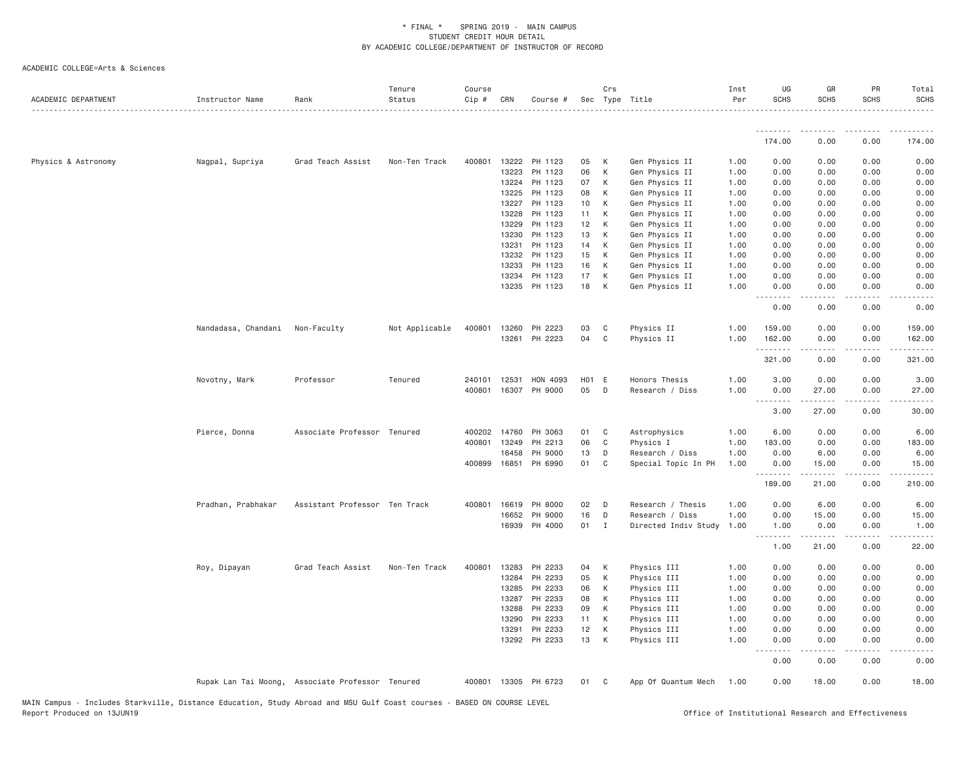| ACADEMIC DEPARTMENT | Instructor Name     | Rank                                             | Tenure<br>Status | Course<br>Cip # | CRN          | Course #             |                 | Crs          | Sec Type Title       | Inst<br>Per | UG<br><b>SCHS</b> | GR<br><b>SCHS</b>                                                                                                                                            | PR<br><b>SCHS</b>              | Total<br>SCHS                                                                                                                                                                             |
|---------------------|---------------------|--------------------------------------------------|------------------|-----------------|--------------|----------------------|-----------------|--------------|----------------------|-------------|-------------------|--------------------------------------------------------------------------------------------------------------------------------------------------------------|--------------------------------|-------------------------------------------------------------------------------------------------------------------------------------------------------------------------------------------|
|                     |                     |                                                  |                  |                 |              |                      |                 |              |                      |             | .                 |                                                                                                                                                              |                                |                                                                                                                                                                                           |
|                     |                     |                                                  |                  |                 |              |                      |                 |              |                      |             | 174.00            | 0.00                                                                                                                                                         | 0.00                           | 174.00                                                                                                                                                                                    |
| Physics & Astronomy | Nagpal, Supriya     | Grad Teach Assist                                | Non-Ten Track    | 400801          | 13222        | PH 1123              | 05              | K            | Gen Physics II       | 1.00        | 0.00              | 0.00                                                                                                                                                         | 0.00                           | 0.00                                                                                                                                                                                      |
|                     |                     |                                                  |                  |                 | 13223        | PH 1123              | 06              | K            | Gen Physics II       | 1.00        | 0.00              | 0.00                                                                                                                                                         | 0.00                           | 0.00                                                                                                                                                                                      |
|                     |                     |                                                  |                  |                 | 13224        | PH 1123              | 07              | K            | Gen Physics II       | 1.00        | 0.00              | 0.00                                                                                                                                                         | 0.00                           | 0.00                                                                                                                                                                                      |
|                     |                     |                                                  |                  |                 | 13225        | PH 1123              | 08              | K            | Gen Physics II       | 1.00        | 0.00              | 0.00                                                                                                                                                         | 0.00                           | 0.00                                                                                                                                                                                      |
|                     |                     |                                                  |                  |                 | 13227        | PH 1123              | 10 <sub>1</sub> | K            | Gen Physics II       | 1.00        | 0.00              | 0.00                                                                                                                                                         | 0.00                           | 0.00                                                                                                                                                                                      |
|                     |                     |                                                  |                  |                 | 13228        | PH 1123              | 11              | K            | Gen Physics II       | 1.00        | 0.00              | 0.00                                                                                                                                                         | 0.00                           | 0.00                                                                                                                                                                                      |
|                     |                     |                                                  |                  |                 | 13229        | PH 1123              | 12              | $\mathsf{K}$ | Gen Physics II       | 1.00        | 0.00              | 0.00                                                                                                                                                         | 0.00                           | 0.00                                                                                                                                                                                      |
|                     |                     |                                                  |                  |                 | 13230        | PH 1123              | 13              | K            | Gen Physics II       | 1.00        | 0.00              | 0.00                                                                                                                                                         | 0.00                           | 0.00                                                                                                                                                                                      |
|                     |                     |                                                  |                  |                 | 13231        | PH 1123              | 14              | K            | Gen Physics II       | 1.00        | 0.00              | 0.00                                                                                                                                                         | 0.00                           | 0.00                                                                                                                                                                                      |
|                     |                     |                                                  |                  |                 | 13232        | PH 1123              | 15              | K            | Gen Physics II       | 1.00        | 0.00              | 0.00                                                                                                                                                         | 0.00                           | 0.00                                                                                                                                                                                      |
|                     |                     |                                                  |                  |                 | 13233        | PH 1123              | 16              | K            | Gen Physics II       | 1.00        | 0.00              | 0.00                                                                                                                                                         | 0.00                           | 0.00                                                                                                                                                                                      |
|                     |                     |                                                  |                  |                 | 13234        | PH 1123              | 17              | K            | Gen Physics II       | 1.00        | 0.00              | 0.00                                                                                                                                                         | 0.00                           | 0.00                                                                                                                                                                                      |
|                     |                     |                                                  |                  |                 |              | 13235 PH 1123        | 18              | K            | Gen Physics II       | 1.00        | 0.00<br>.         | 0.00<br>.                                                                                                                                                    | 0.00                           | 0.00                                                                                                                                                                                      |
|                     |                     |                                                  |                  |                 |              |                      |                 |              |                      |             | 0.00              | 0.00                                                                                                                                                         | 0.00                           | 0.00                                                                                                                                                                                      |
|                     | Nandadasa, Chandani | Non-Faculty                                      | Not Applicable   | 400801          | 13260        | PH 2223              | 03              | C            | Physics II           | 1.00        | 159.00            | 0.00                                                                                                                                                         | 0.00                           | 159.00                                                                                                                                                                                    |
|                     |                     |                                                  |                  |                 |              | 13261 PH 2223        | 04              | $\mathbf C$  | Physics II           | 1.00        | 162.00<br>.       | 0.00<br>$\frac{1}{2} \left( \frac{1}{2} \right) \left( \frac{1}{2} \right) \left( \frac{1}{2} \right) \left( \frac{1}{2} \right) \left( \frac{1}{2} \right)$ | 0.00<br>.                      | 162.00<br>$\frac{1}{2} \left( \frac{1}{2} \right) \left( \frac{1}{2} \right) \left( \frac{1}{2} \right) \left( \frac{1}{2} \right) \left( \frac{1}{2} \right) \left( \frac{1}{2} \right)$ |
|                     |                     |                                                  |                  |                 |              |                      |                 |              |                      |             | 321.00            | 0.00                                                                                                                                                         | 0.00                           | 321.00                                                                                                                                                                                    |
|                     | Novotny, Mark       | Professor                                        | Tenured          | 240101          | 12531        | HON 4093             | H01 E           |              | Honors Thesis        | 1.00        | 3.00              | 0.00                                                                                                                                                         | 0.00                           | 3.00                                                                                                                                                                                      |
|                     |                     |                                                  |                  | 400801          | 16307        | PH 9000              | 05              | D            | Research / Diss      | 1.00        | 0.00<br>.         | 27.00<br>.                                                                                                                                                   | 0.00<br>$\omega$ is a $\omega$ | 27.00                                                                                                                                                                                     |
|                     |                     |                                                  |                  |                 |              |                      |                 |              |                      |             | 3.00              | 27.00                                                                                                                                                        | 0.00                           | 30.00                                                                                                                                                                                     |
|                     | Pierce, Donna       | Associate Professor Tenured                      |                  | 400202          | 14760        | PH 3063              | 01              | C            | Astrophysics         | 1.00        | 6.00              | 0.00                                                                                                                                                         | 0.00                           | 6.00                                                                                                                                                                                      |
|                     |                     |                                                  |                  | 400801          | 13249        | PH 2213              | 06              | C            | Physics I            | 1.00        | 183.00            | 0.00                                                                                                                                                         | 0.00                           | 183.00                                                                                                                                                                                    |
|                     |                     |                                                  |                  |                 | 16458        | PH 9000              | 13              | D            | Research / Diss      | 1.00        | 0.00              | 6.00                                                                                                                                                         | 0.00                           | 6.00                                                                                                                                                                                      |
|                     |                     |                                                  |                  |                 | 400899 16851 | PH 6990              | 01              | C            | Special Topic In PH  | 1.00        | 0.00<br>.         | 15.00<br>.                                                                                                                                                   | 0.00<br>.                      | 15.00<br>.                                                                                                                                                                                |
|                     |                     |                                                  |                  |                 |              |                      |                 |              |                      |             | 189.00            | 21.00                                                                                                                                                        | 0.00                           | 210.00                                                                                                                                                                                    |
|                     | Pradhan, Prabhakar  | Assistant Professor Ten Track                    |                  | 400801          | 16619        | PH 8000              | 02              | D            | Research / Thesis    | 1.00        | 0.00              | 6.00                                                                                                                                                         | 0.00                           | 6.00                                                                                                                                                                                      |
|                     |                     |                                                  |                  |                 | 16652        | PH 9000              | 16              | D            | Research / Diss      | 1.00        | 0.00              | 15.00                                                                                                                                                        | 0.00                           | 15.00                                                                                                                                                                                     |
|                     |                     |                                                  |                  |                 |              | 16939 PH 4000        | 01              | I            | Directed Indiv Study | 1.00        | 1.00<br>.         | 0.00                                                                                                                                                         | 0.00                           | 1.00                                                                                                                                                                                      |
|                     |                     |                                                  |                  |                 |              |                      |                 |              |                      |             | 1.00              | 21.00                                                                                                                                                        | 0.00                           | 22.00                                                                                                                                                                                     |
|                     | Roy, Dipayan        | Grad Teach Assist                                | Non-Ten Track    | 400801          | 13283        | PH 2233              | 04              | K            | Physics III          | 1.00        | 0.00              | 0.00                                                                                                                                                         | 0.00                           | 0.00                                                                                                                                                                                      |
|                     |                     |                                                  |                  |                 | 13284        | PH 2233              | 05              | K            | Physics III          | 1.00        | 0.00              | 0.00                                                                                                                                                         | 0.00                           | 0.00                                                                                                                                                                                      |
|                     |                     |                                                  |                  |                 | 13285        | PH 2233              | 06              | K            | Physics III          | 1.00        | 0.00              | 0.00                                                                                                                                                         | 0.00                           | 0.00                                                                                                                                                                                      |
|                     |                     |                                                  |                  |                 | 13287        | PH 2233              | 08              | K            | Physics III          | 1.00        | 0.00              | 0.00                                                                                                                                                         | 0.00                           | 0.00                                                                                                                                                                                      |
|                     |                     |                                                  |                  |                 | 13288        | PH 2233              | 09              | K            | Physics III          | 1.00        | 0.00              | 0.00                                                                                                                                                         | 0.00                           | 0.00                                                                                                                                                                                      |
|                     |                     |                                                  |                  |                 | 13290        | PH 2233              | 11              | K            | Physics III          | 1.00        | 0.00              | 0.00                                                                                                                                                         | 0.00                           | 0.00                                                                                                                                                                                      |
|                     |                     |                                                  |                  |                 | 13291        | PH 2233              | 12              | $\mathsf{K}$ | Physics III          | 1.00        | 0.00              | 0.00                                                                                                                                                         | 0.00                           | 0.00                                                                                                                                                                                      |
|                     |                     |                                                  |                  |                 |              | 13292 PH 2233        | 13 K            |              | Physics III          | 1.00        | 0.00<br>.         | 0.00<br>.                                                                                                                                                    | 0.00<br>$\cdots$               | 0.00                                                                                                                                                                                      |
|                     |                     |                                                  |                  |                 |              |                      |                 |              |                      |             | 0.00              | 0.00                                                                                                                                                         | 0.00                           | 0.00                                                                                                                                                                                      |
|                     |                     | Rupak Lan Tai Moong, Associate Professor Tenured |                  |                 |              | 400801 13305 PH 6723 | 01              | C            | App Of Quantum Mech  | 1.00        | 0.00              | 18.00                                                                                                                                                        | 0.00                           | 18.00                                                                                                                                                                                     |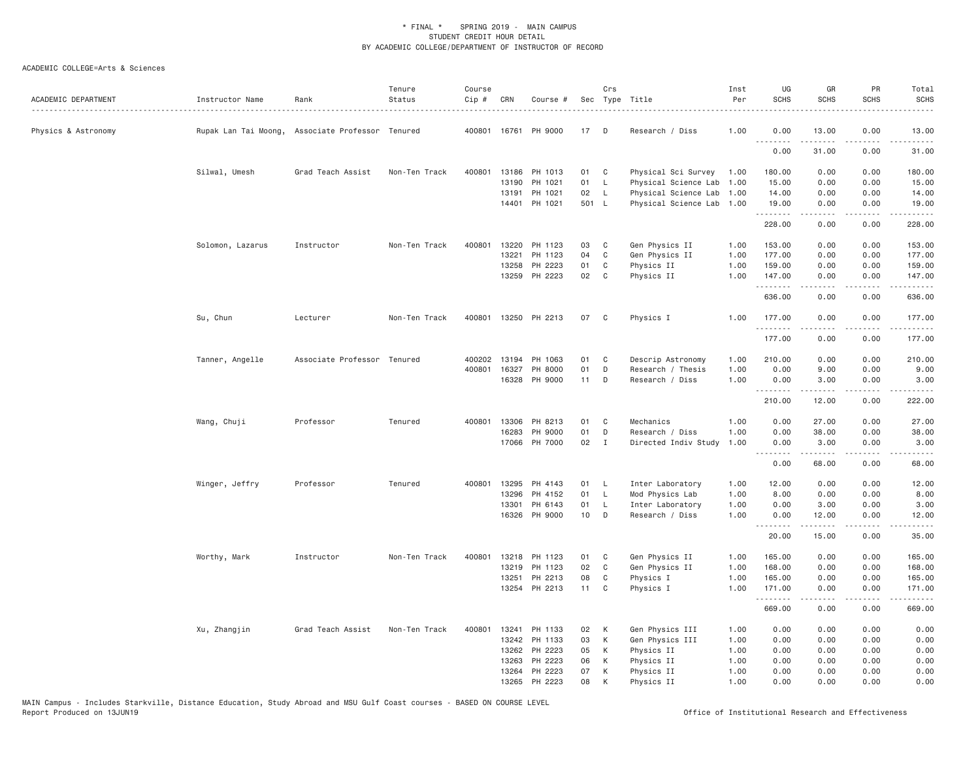| ACADEMIC DEPARTMENT | Instructor Name                                  | Rank                        | Tenure<br>Status | Course<br>Cip # | CRN   | Course #             |       | Crs          | Sec Type Title            | Inst<br>Per | UG<br><b>SCHS</b>  | GR<br><b>SCHS</b> | PR<br><b>SCHS</b>                   | Total<br><b>SCHS</b><br>$- - - -$            |
|---------------------|--------------------------------------------------|-----------------------------|------------------|-----------------|-------|----------------------|-------|--------------|---------------------------|-------------|--------------------|-------------------|-------------------------------------|----------------------------------------------|
| Physics & Astronomy | Rupak Lan Tai Moong, Associate Professor Tenured |                             |                  |                 |       | 400801 16761 PH 9000 | 17    | D            | Research / Diss           | 1.00        | 0.00               | 13.00             | 0.00                                | 13.00                                        |
|                     |                                                  |                             |                  |                 |       |                      |       |              |                           |             | .<br>0.00          | 31.00             | 0.00                                | 31.00                                        |
|                     | Silwal, Umesh                                    | Grad Teach Assist           | Non-Ten Track    | 400801          |       | 13186 PH 1013        | 01    | C            | Physical Sci Survey 1.00  |             | 180.00             | 0.00              | 0.00                                | 180.00                                       |
|                     |                                                  |                             |                  |                 | 13190 | PH 1021              | 01    | $\mathsf{L}$ | Physical Science Lab 1.00 |             | 15.00              | 0.00              | 0.00                                | 15.00                                        |
|                     |                                                  |                             |                  |                 | 13191 | PH 1021              | 02    | $\mathsf{L}$ | Physical Science Lab      | 1.00        | 14.00              | 0.00              | 0.00                                | 14.00                                        |
|                     |                                                  |                             |                  |                 |       | 14401 PH 1021        | 501 L |              | Physical Science Lab 1.00 |             | 19.00<br>.         | 0.00<br>-----     | 0.00<br>.                           | 19.00<br>------                              |
|                     |                                                  |                             |                  |                 |       |                      |       |              |                           |             | 228.00             | 0.00              | 0.00                                | 228.00                                       |
|                     | Solomon, Lazarus                                 | Instructor                  | Non-Ten Track    | 400801          | 13220 | PH 1123              | 03    | C            | Gen Physics II            | 1.00        | 153.00             | 0.00              | 0.00                                | 153.00                                       |
|                     |                                                  |                             |                  |                 | 13221 | PH 1123              | 04    | C            | Gen Physics II            | 1.00        | 177.00             | 0.00              | 0.00                                | 177.00                                       |
|                     |                                                  |                             |                  |                 | 13258 | PH 2223              | 01    | C            | Physics II                | 1.00        | 159.00             | 0.00              | 0.00                                | 159.00                                       |
|                     |                                                  |                             |                  |                 |       | 13259 PH 2223        | 02    | C            | Physics II                | 1.00        | 147.00<br>.        | 0.00<br>.         | 0.00<br>$\sim$ $\sim$ $\sim$ $\sim$ | 147.00<br>$\omega$ is $\omega$ in $\omega$ . |
|                     |                                                  |                             |                  |                 |       |                      |       |              |                           |             | 636.00             | 0.00              | 0.00                                | 636.00                                       |
|                     | Su, Chun                                         | Lecturer                    | Non-Ten Track    | 400801          |       | 13250 PH 2213        | 07    | C            | Physics I                 | 1.00        | 177.00             | 0.00              | 0.00                                | 177.00                                       |
|                     |                                                  |                             |                  |                 |       |                      |       |              |                           |             | .<br>177.00        | .<br>0.00         | $- - - -$<br>0.00                   | $- - - - - -$<br>177.00                      |
|                     | Tanner, Angelle                                  | Associate Professor Tenured |                  | 400202          | 13194 | PH 1063              | 01    | C            | Descrip Astronomy         | 1.00        | 210.00             | 0.00              | 0.00                                | 210.00                                       |
|                     |                                                  |                             |                  | 400801          | 16327 | PH 8000              | 01    | D            | Research / Thesis         | 1.00        | 0.00               | 9.00              | 0.00                                | 9.00                                         |
|                     |                                                  |                             |                  |                 |       | 16328 PH 9000        | 11    | D            | Research / Diss           | 1.00        | 0.00<br>. <i>.</i> | 3.00<br>-----     | 0.00<br>.                           | 3.00<br>.                                    |
|                     |                                                  |                             |                  |                 |       |                      |       |              |                           |             | 210.00             | 12.00             | 0.00                                | 222.00                                       |
|                     | Wang, Chuji                                      | Professor                   | Tenured          | 400801          | 13306 | PH 8213              | 01    | C            | Mechanics                 | 1.00        | 0.00               | 27.00             | 0.00                                | 27.00                                        |
|                     |                                                  |                             |                  |                 | 16283 | PH 9000              | 01    | D            | Research / Diss           | 1.00        | 0.00               | 38.00             | 0.00                                | 38.00                                        |
|                     |                                                  |                             |                  |                 |       | 17066 PH 7000        | 02    | $\mathbf{I}$ | Directed Indiv Study      | 1.00        | 0.00<br><u>.</u>   | 3.00<br>.         | 0.00<br>.                           | 3.00<br>.                                    |
|                     |                                                  |                             |                  |                 |       |                      |       |              |                           |             | 0.00               | 68.00             | 0.00                                | 68.00                                        |
|                     | Winger, Jeffry                                   | Professor                   | Tenured          | 400801          | 13295 | PH 4143              | 01    | L.           | Inter Laboratory          | 1.00        | 12.00              | 0.00              | 0.00                                | 12.00                                        |
|                     |                                                  |                             |                  |                 | 13296 | PH 4152              | 01    | $\mathsf{L}$ | Mod Physics Lab           | 1.00        | 8.00               | 0.00              | 0.00                                | 8.00                                         |
|                     |                                                  |                             |                  |                 | 13301 | PH 6143              | 01    | $\mathsf{L}$ | Inter Laboratory          | 1.00        | 0.00               | 3.00              | 0.00                                | 3.00                                         |
|                     |                                                  |                             |                  |                 | 16326 | PH 9000              | 10    | D            | Research / Diss           | 1.00        | 0.00<br>.          | 12.00<br>.        | 0.00<br>$\sim$ $\sim$ $\sim$ $\sim$ | 12.00<br>المستبدا                            |
|                     |                                                  |                             |                  |                 |       |                      |       |              |                           |             | 20.00              | 15.00             | 0.00                                | 35.00                                        |
|                     | Worthy, Mark                                     | Instructor                  | Non-Ten Track    | 400801          | 13218 | PH 1123              | 01    | C            | Gen Physics II            | 1.00        | 165.00             | 0.00              | 0.00                                | 165.00                                       |
|                     |                                                  |                             |                  |                 | 13219 | PH 1123              | 02    | C            | Gen Physics II            | 1.00        | 168.00             | 0.00              | 0.00                                | 168.00                                       |
|                     |                                                  |                             |                  |                 | 13251 | PH 2213              | 08    | C            | Physics I                 | 1.00        | 165.00             | 0.00              | 0.00                                | 165.00                                       |
|                     |                                                  |                             |                  |                 |       | 13254 PH 2213        | 11    | C            | Physics I                 | 1.00        | 171.00<br>.        | 0.00<br>.         | 0.00<br>.                           | 171.00<br>.                                  |
|                     |                                                  |                             |                  |                 |       |                      |       |              |                           |             | 669.00             | 0.00              | 0.00                                | 669.00                                       |
|                     | Xu, Zhangjin                                     | Grad Teach Assist           | Non-Ten Track    | 400801          | 13241 | PH 1133              | 02    | К            | Gen Physics III           | 1.00        | 0.00               | 0.00              | 0.00                                | 0.00                                         |
|                     |                                                  |                             |                  |                 |       | 13242 PH 1133        | 03    | К            | Gen Physics III           | 1.00        | 0.00               | 0.00              | 0.00                                | 0.00                                         |
|                     |                                                  |                             |                  |                 |       | 13262 PH 2223        | 05    | К            | Physics II                | 1.00        | 0.00               | 0.00              | 0.00                                | 0.00                                         |
|                     |                                                  |                             |                  |                 | 13263 | PH 2223              | 06    | К            | Physics II                | 1.00        | 0.00               | 0.00              | 0.00                                | 0.00                                         |
|                     |                                                  |                             |                  |                 |       | 13264 PH 2223        | 07    | K            | Physics II                | 1.00        | 0.00               | 0.00              | 0.00                                | 0.00                                         |
|                     |                                                  |                             |                  |                 | 13265 | PH 2223              | 08    | K            | Physics II                | 1.00        | 0.00               | 0.00              | 0.00                                | 0.00                                         |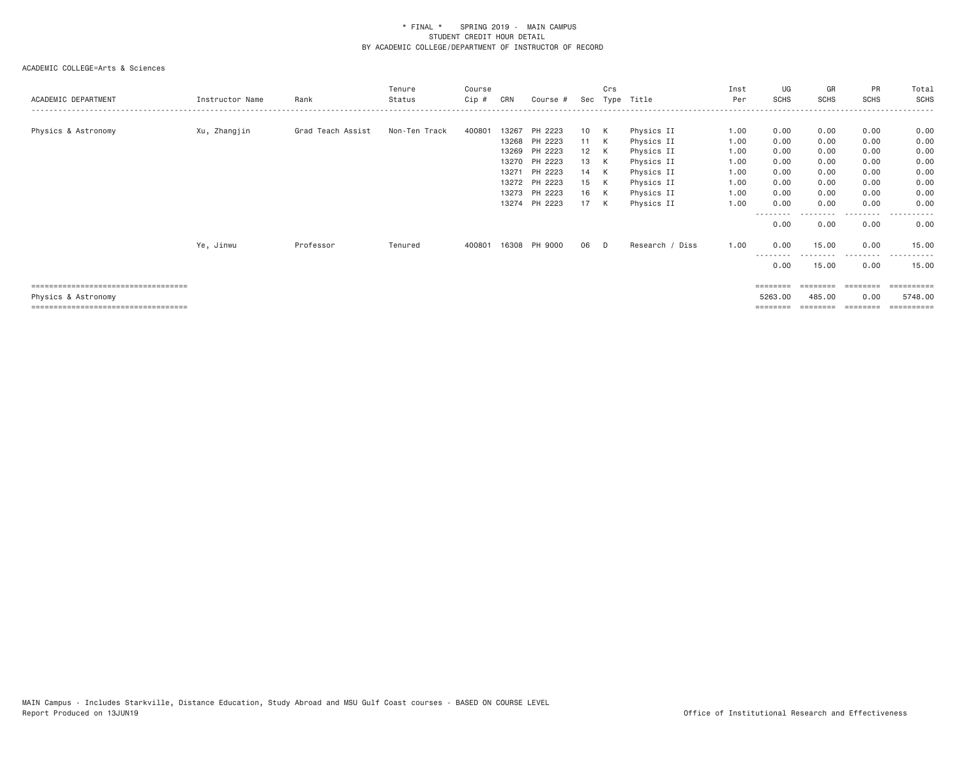| ACADEMIC DEPARTMENT                                          | Instructor Name | Rank              | Tenure<br>Status | Course<br>$Cip \#$ | CRN   | Course #                                  | Sec              | Crs    | Type Title                             | Inst<br>Per          | UG<br>SCHS           | GR<br><b>SCHS</b>    | PR<br><b>SCHS</b>    | Total<br><b>SCHS</b>            |
|--------------------------------------------------------------|-----------------|-------------------|------------------|--------------------|-------|-------------------------------------------|------------------|--------|----------------------------------------|----------------------|----------------------|----------------------|----------------------|---------------------------------|
| Physics & Astronomy                                          | Xu, Zhangjin    | Grad Teach Assist | Non-Ten Track    | 400801             | 13267 | PH 2223<br>13268 PH 2223<br>13269 PH 2223 | 10<br>11 K<br>12 | K<br>K | Physics II<br>Physics II<br>Physics II | 1.00<br>1.00<br>1.00 | 0.00<br>0.00<br>0.00 | 0.00<br>0.00<br>0.00 | 0.00<br>0.00<br>0.00 | 0.00<br>0.00<br>0.00            |
|                                                              |                 |                   |                  |                    |       | 13270 PH 2223                             | 13               | K      | Physics II                             | 1.00                 | 0.00                 | 0.00                 | 0.00                 | 0.00                            |
|                                                              |                 |                   |                  |                    | 13271 | PH 2223<br>13272 PH 2223                  | 14<br>15         | K<br>K | Physics II<br>Physics II               | 1.00<br>1.00         | 0.00<br>0.00         | 0.00<br>0.00         | 0.00<br>0.00         | 0.00<br>0.00                    |
|                                                              |                 |                   |                  |                    |       | 13273 PH 2223<br>13274 PH 2223            | 16<br>17         | K<br>K | Physics II<br>Physics II               | 1.00<br>1.00         | 0.00<br>0.00         | 0.00<br>0.00         | 0.00<br>0.00         | 0.00<br>0.00                    |
|                                                              |                 |                   |                  |                    |       |                                           |                  |        |                                        |                      | --------<br>0.00     | 0.00                 | --------<br>0.00     | $\cdots$<br>- - - - - -<br>0.00 |
|                                                              | Ye, Jinwu       | Professor         | Tenured          | 400801             |       | 16308 PH 9000                             | 06               | D.     | Research / Diss                        | 1.00                 | 0.00                 | 15.00                | 0.00                 | 15.00                           |
|                                                              |                 |                   |                  |                    |       |                                           |                  |        |                                        |                      | 0.00                 | 15.00                | ----<br>0.00         | 15.00                           |
| =====================================                        |                 |                   |                  |                    |       |                                           |                  |        |                                        |                      | ========             | --------             |                      | $=$ ==========                  |
| Physics & Astronomy<br>===================================== |                 |                   |                  |                    |       |                                           |                  |        |                                        |                      | 5263.00              | 485.00               | 0.00                 | 5748.00<br>==========           |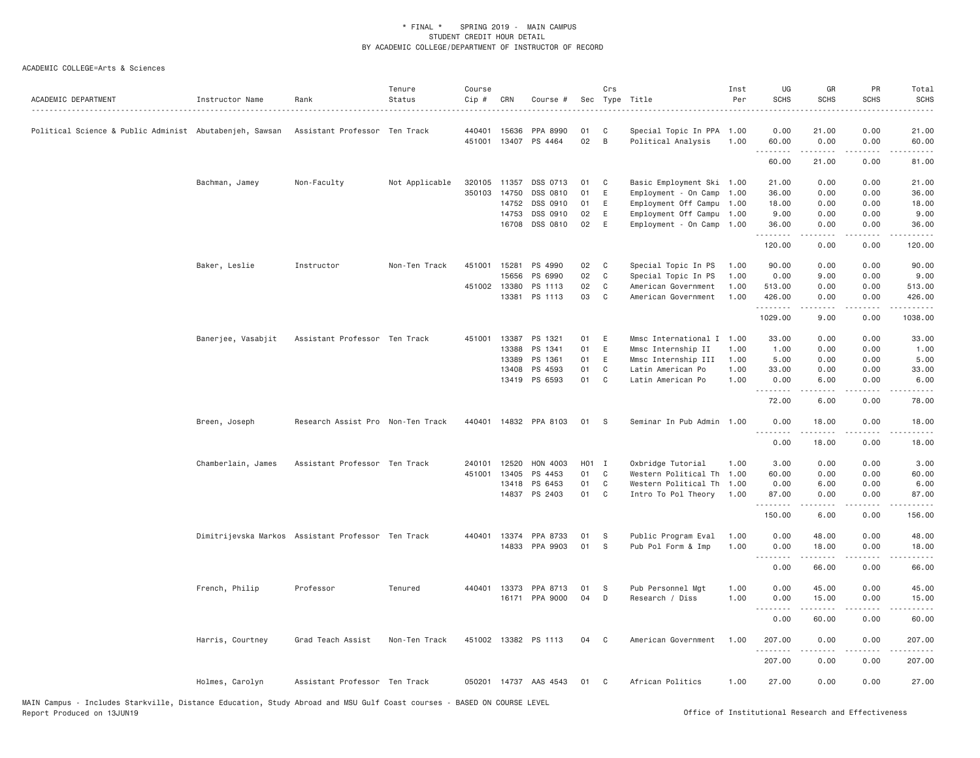| ACADEMIC DEPARTMENT                                     | Instructor Name    | Rank                                               | Tenure<br>Status | Course<br>Cip # | CRN          | Course #              |                   | Crs          | Sec Type Title            | Inst<br>Per | UG<br><b>SCHS</b>  | GR<br><b>SCHS</b>                                                                                                                                            | PR<br><b>SCHS</b> | Total<br><b>SCHS</b> |
|---------------------------------------------------------|--------------------|----------------------------------------------------|------------------|-----------------|--------------|-----------------------|-------------------|--------------|---------------------------|-------------|--------------------|--------------------------------------------------------------------------------------------------------------------------------------------------------------|-------------------|----------------------|
| Political Science & Public Administ Abutabenjeh, Sawsan |                    | Assistant Professor Ten Track                      |                  | 440401          | 15636        | PPA 8990              | 01                | C            | Special Topic In PPA 1.00 |             | 0.00               | 21.00                                                                                                                                                        | 0.00              | 21.00                |
|                                                         |                    |                                                    |                  | 451001          | 13407        | PS 4464               | 02                | B            | Political Analysis        | 1.00        | 60.00<br>.         | 0.00<br>.                                                                                                                                                    | 0.00<br>.         | 60.00                |
|                                                         |                    |                                                    |                  |                 |              |                       |                   |              |                           |             | 60.00              | 21.00                                                                                                                                                        | 0.00              | 81.00                |
|                                                         | Bachman, Jamey     | Non-Faculty                                        | Not Applicable   | 320105          | 11357        | DSS 0713              | 01                | C            | Basic Employment Ski 1.00 |             | 21.00              | 0.00                                                                                                                                                         | 0.00              | 21.00                |
|                                                         |                    |                                                    |                  |                 | 350103 14750 | DSS 0810              | 01                | E            | Employment - On Camp 1.00 |             | 36.00              | 0.00                                                                                                                                                         | 0.00              | 36.00                |
|                                                         |                    |                                                    |                  |                 | 14752        | DSS 0910              | 01                | E            | Employment Off Campu 1.00 |             | 18.00              | 0.00                                                                                                                                                         | 0.00              | 18.00                |
|                                                         |                    |                                                    |                  |                 | 14753        | DSS 0910              | 02                | E            | Employment Off Campu 1.00 |             | 9.00               | 0.00                                                                                                                                                         | 0.00              | 9.00                 |
|                                                         |                    |                                                    |                  |                 | 16708        | DSS 0810              | 02                | E            | Employment - On Camp 1.00 |             | 36.00<br>.         | 0.00<br>$\frac{1}{2} \left( \frac{1}{2} \right) \left( \frac{1}{2} \right) \left( \frac{1}{2} \right) \left( \frac{1}{2} \right) \left( \frac{1}{2} \right)$ | 0.00<br>.         | 36.00<br>.           |
|                                                         |                    |                                                    |                  |                 |              |                       |                   |              |                           |             | 120.00             | 0.00                                                                                                                                                         | 0.00              | 120.00               |
|                                                         | Baker, Leslie      | Instructor                                         | Non-Ten Track    |                 | 451001 15281 | PS 4990               | 02                | $\mathbf{C}$ | Special Topic In PS       | 1.00        | 90.00              | 0.00                                                                                                                                                         | 0.00              | 90.00                |
|                                                         |                    |                                                    |                  |                 | 15656        | PS 6990               | 02                | $\mathbf{C}$ | Special Topic In PS       | 1,00        | 0.00               | 9.00                                                                                                                                                         | 0.00              | 9.00                 |
|                                                         |                    |                                                    |                  |                 | 451002 13380 | PS 1113               | 02                | C            | American Government       | 1.00        | 513.00             | 0.00                                                                                                                                                         | 0.00              | 513.00               |
|                                                         |                    |                                                    |                  |                 |              | 13381 PS 1113         | 03                | $\mathbf{C}$ | American Government       | 1.00        | 426.00<br>.        | 0.00<br>.                                                                                                                                                    | 0.00              | 426.00<br>.          |
|                                                         |                    |                                                    |                  |                 |              |                       |                   |              |                           |             | 1029.00            | 9.00                                                                                                                                                         | 0.00              | 1038.00              |
|                                                         | Banerjee, Vasabjit | Assistant Professor Ten Track                      |                  |                 | 451001 13387 | PS 1321               | 01                | E            | Mmsc International I 1.00 |             | 33.00              | 0.00                                                                                                                                                         | 0.00              | 33.00                |
|                                                         |                    |                                                    |                  |                 | 13388        | PS 1341               | 01                | E            | Mmsc Internship II        | 1.00        | 1.00               | 0.00                                                                                                                                                         | 0.00              | 1.00                 |
|                                                         |                    |                                                    |                  |                 | 13389        | PS 1361               | 01                | E            | Mmsc Internship III       | 1.00        | 5.00               | 0.00                                                                                                                                                         | 0.00              | 5.00                 |
|                                                         |                    |                                                    |                  |                 | 13408        | PS 4593               | 01                | C            | Latin American Po         | 1.00        | 33.00              | 0.00                                                                                                                                                         | 0.00              | 33.00                |
|                                                         |                    |                                                    |                  |                 |              | 13419 PS 6593         | 01 C              |              | Latin American Po         | 1.00        | 0.00               | 6.00                                                                                                                                                         | 0.00              | 6.00                 |
|                                                         |                    |                                                    |                  |                 |              |                       |                   |              |                           |             | .<br>72.00         | 6.00                                                                                                                                                         | 0.00              | 78.00                |
|                                                         | Breen, Joseph      | Research Assist Pro Non-Ten Track                  |                  |                 |              | 440401 14832 PPA 8103 | 01                | <b>S</b>     | Seminar In Pub Admin 1.00 |             | 0.00<br>.          | 18.00<br>. <u>.</u>                                                                                                                                          | 0.00<br>.         | 18.00                |
|                                                         |                    |                                                    |                  |                 |              |                       |                   |              |                           |             | 0.00               | 18.00                                                                                                                                                        | 0.00              | 18.00                |
|                                                         | Chamberlain, James | Assistant Professor Ten Track                      |                  |                 | 240101 12520 | HON 4003              | H <sub>01</sub> I |              | Oxbridge Tutorial         | 1.00        | 3.00               | 0.00                                                                                                                                                         | 0.00              | 3.00                 |
|                                                         |                    |                                                    |                  | 451001          | 13405        | PS 4453               | 01                | $\mathbf{C}$ | Western Political Th 1.00 |             | 60.00              | 0.00                                                                                                                                                         | 0.00              | 60.00                |
|                                                         |                    |                                                    |                  |                 | 13418        | PS 6453               | 01                | C            | Western Political Th 1.00 |             | 0.00               | 6.00                                                                                                                                                         | 0.00              | 6.00                 |
|                                                         |                    |                                                    |                  |                 |              | 14837 PS 2403         | 01 C              |              | Intro To Pol Theory 1.00  |             | 87.00              | 0.00                                                                                                                                                         | 0.00              | 87.00                |
|                                                         |                    |                                                    |                  |                 |              |                       |                   |              |                           |             | .<br>150.00        | 6.00                                                                                                                                                         | 0.00              | 156.00               |
|                                                         |                    | Dimitrijevska Markos Assistant Professor Ten Track |                  |                 |              | 440401 13374 PPA 8733 | 01                | S.           | Public Program Eval       | 1.00        | 0.00               | 48.00                                                                                                                                                        | 0.00              | 48.00                |
|                                                         |                    |                                                    |                  |                 |              | 14833 PPA 9903        | 01                | -S           | Pub Pol Form & Imp        | 1.00        | 0.00               | 18.00                                                                                                                                                        | 0.00              | 18.00                |
|                                                         |                    |                                                    |                  |                 |              |                       |                   |              |                           |             | .                  | .                                                                                                                                                            | -----             | .                    |
|                                                         |                    |                                                    |                  |                 |              |                       |                   |              |                           |             | 0.00               | 66.00                                                                                                                                                        | 0.00              | 66.00                |
|                                                         | French, Philip     | Professor                                          | Tenured          | 440401          | 13373        | PPA 8713              | 01                | - S          | Pub Personnel Mgt         | 1.00        | 0.00               | 45.00                                                                                                                                                        | 0.00              | 45.00                |
|                                                         |                    |                                                    |                  |                 |              | 16171 PPA 9000        | 04                | D            | Research / Diss           | 1.00        | 0.00<br>$  -$<br>. | 15.00                                                                                                                                                        | 0.00              | 15.00                |
|                                                         |                    |                                                    |                  |                 |              |                       |                   |              |                           |             | 0.00               | 60.00                                                                                                                                                        | 0.00              | 60.00                |
|                                                         | Harris, Courtney   | Grad Teach Assist                                  | Non-Ten Track    |                 |              | 451002 13382 PS 1113  | 04                | $\mathbf{C}$ | American Government       | 1,00        | 207.00<br>.        | 0.00                                                                                                                                                         | 0.00              | 207.00<br>.          |
|                                                         |                    |                                                    |                  |                 |              |                       |                   |              |                           |             | 207.00             | 0.00                                                                                                                                                         | 0.00              | 207.00               |
|                                                         | Holmes, Carolyn    | Assistant Professor Ten Track                      |                  |                 |              | 050201 14737 AAS 4543 | 01                | $\mathbf{C}$ | African Politics          | 1.00        | 27.00              | 0.00                                                                                                                                                         | 0.00              | 27.00                |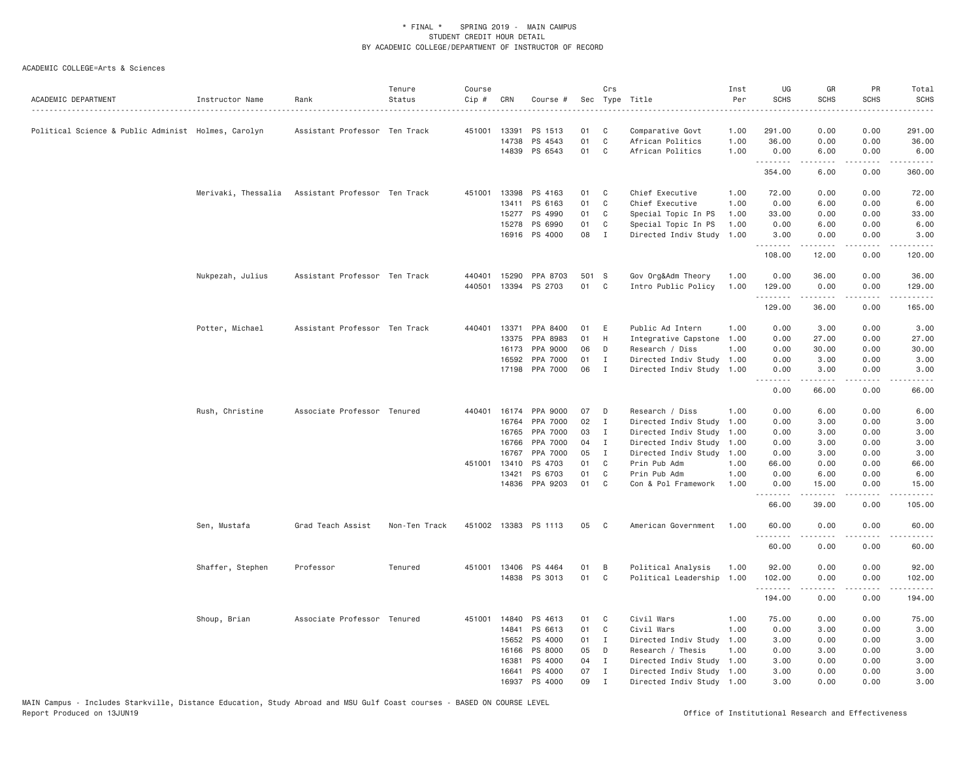| ACADEMIC DEPARTMENT                                 | Instructor Name     | Rank                          | Tenure<br>Status | Course<br>Cip # | CRN   | Course #             |       | Crs          | Sec Type Title<br>.       | Inst<br>Per | UG<br><b>SCHS</b> | GR<br><b>SCHS</b>                                                                                                                                             | <b>PR</b><br><b>SCHS</b>        | Total<br><b>SCHS</b><br>$\cdots$                                                                                                                             |
|-----------------------------------------------------|---------------------|-------------------------------|------------------|-----------------|-------|----------------------|-------|--------------|---------------------------|-------------|-------------------|---------------------------------------------------------------------------------------------------------------------------------------------------------------|---------------------------------|--------------------------------------------------------------------------------------------------------------------------------------------------------------|
| Political Science & Public Administ Holmes, Carolyn |                     | Assistant Professor Ten Track |                  | 451001          | 13391 | PS 1513              | 01    | C            | Comparative Govt          | 1.00        | 291.00            | 0.00                                                                                                                                                          | 0.00                            | 291.00                                                                                                                                                       |
|                                                     |                     |                               |                  |                 | 14738 | PS 4543              | 01    | $\mathbb C$  | African Politics          | 1.00        | 36.00             | 0.00                                                                                                                                                          | 0.00                            | 36.00                                                                                                                                                        |
|                                                     |                     |                               |                  |                 |       | 14839 PS 6543        | 01    | $\mathsf{C}$ | African Politics          | 1.00        | 0.00<br>.         | 6.00<br>$- - - - -$                                                                                                                                           | 0.00<br>.                       | 6.00<br>$\frac{1}{2} \left( \frac{1}{2} \right) \left( \frac{1}{2} \right) \left( \frac{1}{2} \right) \left( \frac{1}{2} \right) \left( \frac{1}{2} \right)$ |
|                                                     |                     |                               |                  |                 |       |                      |       |              |                           |             | 354.00            | 6.00                                                                                                                                                          | 0.00                            | 360.00                                                                                                                                                       |
|                                                     | Merivaki, Thessalia | Assistant Professor Ten Track |                  | 451001          | 13398 | PS 4163              | 01    | C            | Chief Executive           | 1.00        | 72.00             | 0.00                                                                                                                                                          | 0.00                            | 72.00                                                                                                                                                        |
|                                                     |                     |                               |                  |                 | 13411 | PS 6163              | 01    | $\mathsf{C}$ | Chief Executive           | 1.00        | 0.00              | 6.00                                                                                                                                                          | 0.00                            | 6.00                                                                                                                                                         |
|                                                     |                     |                               |                  |                 | 15277 | PS 4990              | 01    | C            | Special Topic In PS       | 1.00        | 33.00             | 0.00                                                                                                                                                          | 0.00                            | 33.00                                                                                                                                                        |
|                                                     |                     |                               |                  |                 | 15278 | PS 6990              | 01    | C            | Special Topic In PS       | 1.00        | 0.00              | 6.00                                                                                                                                                          | 0.00                            | 6.00                                                                                                                                                         |
|                                                     |                     |                               |                  |                 |       | 16916 PS 4000        | 08    | $\mathbf{I}$ | Directed Indiv Study      | 1.00        | 3.00<br>.         | 0.00<br>$\frac{1}{2} \left( \frac{1}{2} \right) \left( \frac{1}{2} \right) \left( \frac{1}{2} \right) \left( \frac{1}{2} \right) \left( \frac{1}{2} \right)$  | 0.00<br>.                       | 3.00                                                                                                                                                         |
|                                                     |                     |                               |                  |                 |       |                      |       |              |                           |             | 108.00            | 12.00                                                                                                                                                         | 0.00                            | 120.00                                                                                                                                                       |
|                                                     | Nukpezah, Julius    | Assistant Professor Ten Track |                  | 440401          | 15290 | PPA 8703             | 501 S |              | Gov Org&Adm Theory        | 1.00        | 0.00              | 36.00                                                                                                                                                         | 0.00                            | 36.00                                                                                                                                                        |
|                                                     |                     |                               |                  | 440501          |       | 13394 PS 2703        | 01    | C            | Intro Public Policy       | 1.00        | 129.00<br>.       | 0.00<br>د د د د د                                                                                                                                             | 0.00<br>د د د د                 | 129.00<br>.                                                                                                                                                  |
|                                                     |                     |                               |                  |                 |       |                      |       |              |                           |             | 129.00            | 36.00                                                                                                                                                         | 0.00                            | 165.00                                                                                                                                                       |
|                                                     | Potter, Michael     | Assistant Professor Ten Track |                  | 440401          | 13371 | PPA 8400             | 01    | E            | Public Ad Intern          | 1.00        | 0.00              | 3.00                                                                                                                                                          | 0.00                            | 3.00                                                                                                                                                         |
|                                                     |                     |                               |                  |                 | 13375 | PPA 8983             | 01    | H            | Integrative Capstone      | 1.00        | 0.00              | 27.00                                                                                                                                                         | 0.00                            | 27.00                                                                                                                                                        |
|                                                     |                     |                               |                  |                 | 16173 | PPA 9000             | 06    | D            | Research / Diss           | 1.00        | 0.00              | 30.00                                                                                                                                                         | 0.00                            | 30.00                                                                                                                                                        |
|                                                     |                     |                               |                  |                 | 16592 | PPA 7000             | 01    | I            | Directed Indiv Study      | 1.00        | 0.00              | 3.00                                                                                                                                                          | 0.00                            | 3.00                                                                                                                                                         |
|                                                     |                     |                               |                  |                 |       | 17198 PPA 7000       | 06    | $\mathbf{I}$ | Directed Indiv Study 1.00 |             | 0.00<br>.         | 3.00<br>د د د د د                                                                                                                                             | 0.00<br>.                       | 3.00<br>$\sim$ $\sim$ $\sim$ $\sim$                                                                                                                          |
|                                                     |                     |                               |                  |                 |       |                      |       |              |                           |             | 0.00              | 66.00                                                                                                                                                         | 0.00                            | 66.00                                                                                                                                                        |
|                                                     | Rush, Christine     | Associate Professor Tenured   |                  | 440401          | 16174 | PPA 9000             | 07    | D            | Research / Diss           | 1.00        | 0.00              | 6.00                                                                                                                                                          | 0.00                            | 6.00                                                                                                                                                         |
|                                                     |                     |                               |                  |                 | 16764 | PPA 7000             | 02    | $\mathbf{I}$ | Directed Indiv Study      | 1.00        | 0.00              | 3.00                                                                                                                                                          | 0.00                            | 3.00                                                                                                                                                         |
|                                                     |                     |                               |                  |                 | 16765 | PPA 7000             | 03    | I            | Directed Indiv Study      | 1.00        | 0.00              | 3.00                                                                                                                                                          | 0.00                            | 3.00                                                                                                                                                         |
|                                                     |                     |                               |                  |                 | 16766 | PPA 7000             | 04    | I            | Directed Indiv Study      | 1.00        | 0.00              | 3.00                                                                                                                                                          | 0.00                            | 3.00                                                                                                                                                         |
|                                                     |                     |                               |                  |                 | 16767 | PPA 7000             | 05    | I            | Directed Indiv Study      | 1.00        | 0.00              | 3.00                                                                                                                                                          | 0.00                            | 3.00                                                                                                                                                         |
|                                                     |                     |                               |                  | 451001          | 13410 | PS 4703              | 01    | C            | Prin Pub Adm              | 1.00        | 66.00             | 0.00                                                                                                                                                          | 0.00                            | 66.00                                                                                                                                                        |
|                                                     |                     |                               |                  |                 | 13421 | PS 6703              | 01    | C            | Prin Pub Adm              | 1.00        | 0.00              | 6.00                                                                                                                                                          | 0.00                            | 6.00                                                                                                                                                         |
|                                                     |                     |                               |                  |                 | 14836 | PPA 9203             | 01    | C            | Con & Pol Framework       | 1.00        | 0.00<br>.         | 15.00<br>$\frac{1}{2} \left( \frac{1}{2} \right) \left( \frac{1}{2} \right) \left( \frac{1}{2} \right) \left( \frac{1}{2} \right) \left( \frac{1}{2} \right)$ | 0.00<br>.                       | 15.00<br>.                                                                                                                                                   |
|                                                     |                     |                               |                  |                 |       |                      |       |              |                           |             | 66.00             | 39.00                                                                                                                                                         | 0.00                            | 105.00                                                                                                                                                       |
|                                                     | Sen, Mustafa        | Grad Teach Assist             | Non-Ten Track    |                 |       | 451002 13383 PS 1113 | 05    | C            | American Government       | 1.00        | 60.00             | 0.00                                                                                                                                                          | 0.00                            | 60.00                                                                                                                                                        |
|                                                     |                     |                               |                  |                 |       |                      |       |              |                           |             | 60.00             | 0.00                                                                                                                                                          | 0.00                            | 60.00                                                                                                                                                        |
|                                                     | Shaffer, Stephen    | Professor                     | Tenured          | 451001          | 13406 | PS 4464              | 01    | B            | Political Analysis        | 1.00        | 92.00             | 0.00                                                                                                                                                          | 0.00                            | 92.00                                                                                                                                                        |
|                                                     |                     |                               |                  |                 |       | 14838 PS 3013        | 01    | C            | Political Leadership 1.00 |             | 102.00<br>.       | 0.00<br>.                                                                                                                                                     | 0.00<br>$\omega$ is $\omega$ in | 102.00<br>.                                                                                                                                                  |
|                                                     |                     |                               |                  |                 |       |                      |       |              |                           |             | 194.00            | 0.00                                                                                                                                                          | 0.00                            | 194.00                                                                                                                                                       |
|                                                     | Shoup, Brian        | Associate Professor Tenured   |                  | 451001          |       | 14840 PS 4613        | 01    | C            | Civil Wars                | 1.00        | 75.00             | 0.00                                                                                                                                                          | 0.00                            | 75.00                                                                                                                                                        |
|                                                     |                     |                               |                  |                 | 14841 | PS 6613              | 01    | C            | Civil Wars                | 1.00        | 0.00              | 3.00                                                                                                                                                          | 0.00                            | 3.00                                                                                                                                                         |
|                                                     |                     |                               |                  |                 | 15652 | PS 4000              | 01    | I            | Directed Indiv Study      | 1.00        | 3.00              | 0.00                                                                                                                                                          | 0.00                            | 3.00                                                                                                                                                         |
|                                                     |                     |                               |                  |                 | 16166 | PS 8000              | 05    | D            | Research / Thesis         | 1.00        | 0.00              | 3.00                                                                                                                                                          | 0.00                            | 3.00                                                                                                                                                         |
|                                                     |                     |                               |                  |                 | 16381 | PS 4000              | 04    | $\mathbf{I}$ | Directed Indiv Study      | 1.00        | 3.00              | 0.00                                                                                                                                                          | 0.00                            | 3.00                                                                                                                                                         |
|                                                     |                     |                               |                  |                 | 16641 | PS 4000              | 07    | $\mathbf{I}$ | Directed Indiv Study      | 1.00        | 3.00              | 0.00                                                                                                                                                          | 0.00                            | 3.00                                                                                                                                                         |
|                                                     |                     |                               |                  |                 |       | 16937 PS 4000        | 09    | $\mathbf I$  | Directed Indiv Study 1.00 |             | 3,00              | 0.00                                                                                                                                                          | 0.00                            | 3.00                                                                                                                                                         |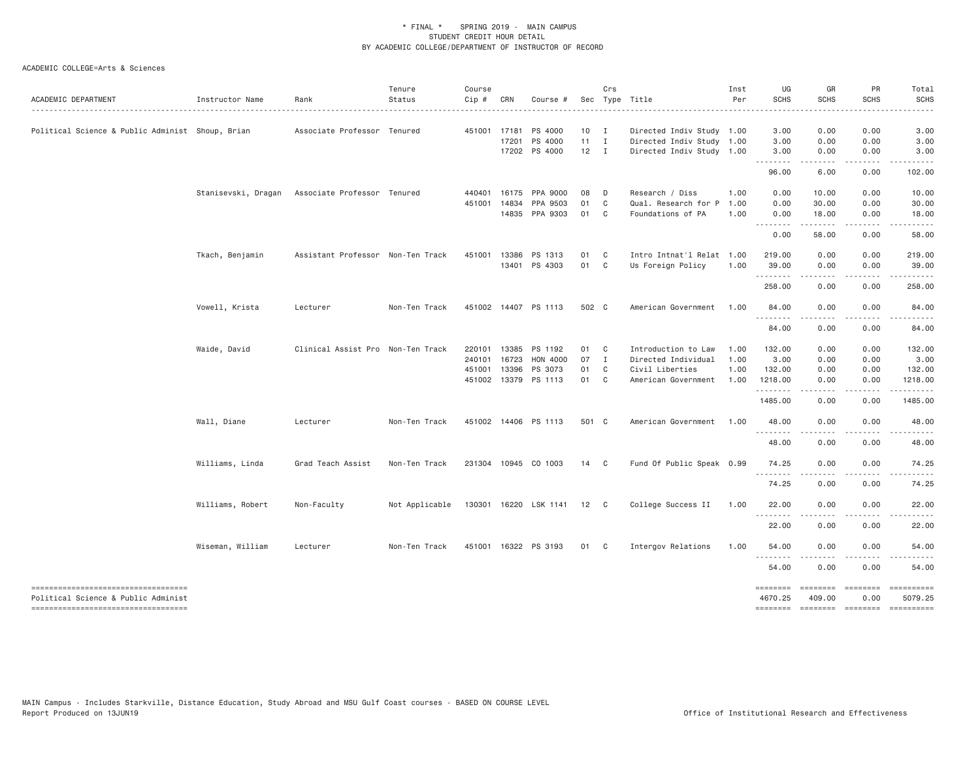| ACADEMIC DEPARTMENT                                                        | Instructor Name  | Rank                                            | Tenure<br>Status | Course<br>Cip # | CRN   | Course #              |              | Crs            | Sec Type Title            | Inst<br>Per | UG<br><b>SCHS</b><br>.               | GR<br><b>SCHS</b>      | PR<br><b>SCHS</b>    | Total<br><b>SCHS</b><br>$\frac{1}{2} \left( \frac{1}{2} \right) \left( \frac{1}{2} \right) \left( \frac{1}{2} \right) \left( \frac{1}{2} \right) \left( \frac{1}{2} \right) \left( \frac{1}{2} \right)$                                                                                                                                                                                                                          |
|----------------------------------------------------------------------------|------------------|-------------------------------------------------|------------------|-----------------|-------|-----------------------|--------------|----------------|---------------------------|-------------|--------------------------------------|------------------------|----------------------|----------------------------------------------------------------------------------------------------------------------------------------------------------------------------------------------------------------------------------------------------------------------------------------------------------------------------------------------------------------------------------------------------------------------------------|
| Political Science & Public Administ Shoup, Brian                           |                  | Associate Professor Tenured                     |                  | 451001          | 17181 | PS 4000               | 10           | $\mathbf{I}$   | Directed Indiv Study 1.00 |             | 3.00                                 | 0.00                   | 0.00                 | 3.00                                                                                                                                                                                                                                                                                                                                                                                                                             |
|                                                                            |                  |                                                 |                  |                 | 17201 | PS 4000               | $11 \quad I$ |                | Directed Indiv Study 1.00 |             | 3.00                                 | 0.00                   | 0.00                 | 3.00                                                                                                                                                                                                                                                                                                                                                                                                                             |
|                                                                            |                  |                                                 |                  |                 |       | 17202 PS 4000         | $12 \quad I$ |                | Directed Indiv Study 1.00 |             | 3.00<br>.                            | 0.00                   | 0.00                 | 3.00                                                                                                                                                                                                                                                                                                                                                                                                                             |
|                                                                            |                  |                                                 |                  |                 |       |                       |              |                |                           |             | 96.00                                | 6.00                   | 0.00                 | 102.00                                                                                                                                                                                                                                                                                                                                                                                                                           |
|                                                                            |                  | Stanisevski, Dragan Associate Professor Tenured |                  | 440401          | 16175 | PPA 9000              | 08           | $\Box$         | Research / Diss           | 1.00        | 0.00                                 | 10.00                  | 0.00                 | 10.00                                                                                                                                                                                                                                                                                                                                                                                                                            |
|                                                                            |                  |                                                 |                  | 451001          | 14834 | PPA 9503              | 01           | $\mathbf C$    | Qual. Research for P      | 1.00        | 0.00                                 | 30.00                  | 0.00                 | 30.00                                                                                                                                                                                                                                                                                                                                                                                                                            |
|                                                                            |                  |                                                 |                  |                 |       | 14835 PPA 9303        | 01           | $\mathbf{C}$   | Foundations of PA         | 1.00        | 0.00<br>.                            | 18.00<br>.             | 0.00<br>.            | 18.00<br>.                                                                                                                                                                                                                                                                                                                                                                                                                       |
|                                                                            |                  |                                                 |                  |                 |       |                       |              |                |                           |             | 0.00                                 | 58.00                  | 0.00                 | 58.00                                                                                                                                                                                                                                                                                                                                                                                                                            |
|                                                                            | Tkach, Benjamin  | Assistant Professor Non-Ten Track               |                  | 451001          | 13386 | PS 1313               | 01           | C <sub>c</sub> | Intro Intnat'l Relat 1.00 |             | 219.00                               | 0.00                   | 0.00                 | 219.00                                                                                                                                                                                                                                                                                                                                                                                                                           |
|                                                                            |                  |                                                 |                  |                 |       | 13401 PS 4303         | 01 C         |                | Us Foreign Policy         | 1.00        | 39.00                                | 0.00                   | 0.00                 | 39.00                                                                                                                                                                                                                                                                                                                                                                                                                            |
|                                                                            |                  |                                                 |                  |                 |       |                       |              |                |                           |             | 258.00                               | 0.00                   | 0.00                 | 258.00                                                                                                                                                                                                                                                                                                                                                                                                                           |
|                                                                            | Vowell, Krista   | Lecturer                                        | Non-Ten Track    |                 |       | 451002 14407 PS 1113  | 502 C        |                | American Government       | 1.00        | 84.00                                | 0.00                   | 0.00                 | 84.00                                                                                                                                                                                                                                                                                                                                                                                                                            |
|                                                                            |                  |                                                 |                  |                 |       |                       |              |                |                           |             | 84.00                                | 0.00                   | 0.00                 | 84.00                                                                                                                                                                                                                                                                                                                                                                                                                            |
|                                                                            | Waide, David     | Clinical Assist Pro Non-Ten Track               |                  | 220101 13385    |       | PS 1192               | 01 C         |                | Introduction to Law       | 1.00        | 132.00                               | 0.00                   | 0.00                 | 132.00                                                                                                                                                                                                                                                                                                                                                                                                                           |
|                                                                            |                  |                                                 |                  | 240101 16723    |       | HON 4000              | 07           | $\mathbf{I}$   | Directed Individual       | 1.00        | 3.00                                 | 0.00                   | 0.00                 | 3.00                                                                                                                                                                                                                                                                                                                                                                                                                             |
|                                                                            |                  |                                                 |                  | 451001 13396    |       | PS 3073               | 01           | C              | Civil Liberties           | 1.00        | 132.00                               | 0.00                   | 0.00                 | 132.00                                                                                                                                                                                                                                                                                                                                                                                                                           |
|                                                                            |                  |                                                 |                  |                 |       | 451002 13379 PS 1113  | 01 C         |                | American Government       | 1.00        | 1218.00<br>.                         | 0.00                   | 0.00                 | 1218.00                                                                                                                                                                                                                                                                                                                                                                                                                          |
|                                                                            |                  |                                                 |                  |                 |       |                       |              |                |                           |             | 1485.00                              | 0.00                   | 0.00                 | 1485.00                                                                                                                                                                                                                                                                                                                                                                                                                          |
|                                                                            | Wall, Diane      | Lecturer                                        | Non-Ten Track    |                 |       | 451002 14406 PS 1113  | 501 C        |                | American Government       | 1.00        | 48.00                                | 0.00                   | 0.00                 | 48.00                                                                                                                                                                                                                                                                                                                                                                                                                            |
|                                                                            |                  |                                                 |                  |                 |       |                       |              |                |                           |             | 48.00                                | 0.00                   | 0.00                 | 48.00                                                                                                                                                                                                                                                                                                                                                                                                                            |
|                                                                            | Williams, Linda  | Grad Teach Assist                               | Non-Ten Track    |                 |       | 231304 10945 CO 1003  | 14 C         |                | Fund Of Public Speak 0.99 |             | 74.25                                | 0.00                   | 0.00                 | 74.25                                                                                                                                                                                                                                                                                                                                                                                                                            |
|                                                                            |                  |                                                 |                  |                 |       |                       |              |                |                           |             | 74.25                                | 0.00                   | 0.00                 | 74.25                                                                                                                                                                                                                                                                                                                                                                                                                            |
|                                                                            | Williams, Robert | Non-Faculty                                     | Not Applicable   |                 |       | 130301 16220 LSK 1141 | 12 C         |                | College Success II        | 1.00        | 22.00                                | 0.00                   | 0.00                 | 22.00                                                                                                                                                                                                                                                                                                                                                                                                                            |
|                                                                            |                  |                                                 |                  |                 |       |                       |              |                |                           |             | .<br>22.00                           | -----<br>0.00          | .<br>0.00            | 22.00                                                                                                                                                                                                                                                                                                                                                                                                                            |
|                                                                            | Wiseman, William | Lecturer                                        | Non-Ten Track    |                 |       | 451001 16322 PS 3193  | 01 C         |                | Intergov Relations        | 1.00        | 54.00                                | 0.00                   | 0.00                 | 54.00                                                                                                                                                                                                                                                                                                                                                                                                                            |
|                                                                            |                  |                                                 |                  |                 |       |                       |              |                |                           |             | $\sim$ $\sim$ $\sim$ $\sim$<br>54.00 | 0.00                   | 0.00                 | 54.00                                                                                                                                                                                                                                                                                                                                                                                                                            |
|                                                                            |                  |                                                 |                  |                 |       |                       |              |                |                           |             |                                      |                        |                      |                                                                                                                                                                                                                                                                                                                                                                                                                                  |
| -----------------------------------<br>Political Science & Public Administ |                  |                                                 |                  |                 |       |                       |              |                |                           |             | ========<br>4670.25                  | $=$ ========<br>409.00 | $=$ ========<br>0.00 | ==========<br>5079.25                                                                                                                                                                                                                                                                                                                                                                                                            |
| ----------------------------------                                         |                  |                                                 |                  |                 |       |                       |              |                |                           |             | <b>SEBSEBED</b>                      | ======== ========      |                      | $\begin{minipage}{0.9\linewidth} \hspace*{-0.2cm} \textbf{1} & \textbf{1} & \textbf{1} & \textbf{1} & \textbf{1} & \textbf{1} & \textbf{1} & \textbf{1} & \textbf{1} & \textbf{1} & \textbf{1} & \textbf{1} & \textbf{1} & \textbf{1} & \textbf{1} & \textbf{1} & \textbf{1} & \textbf{1} & \textbf{1} & \textbf{1} & \textbf{1} & \textbf{1} & \textbf{1} & \textbf{1} & \textbf{1} & \textbf{1} & \textbf{1} & \textbf{1} & \$ |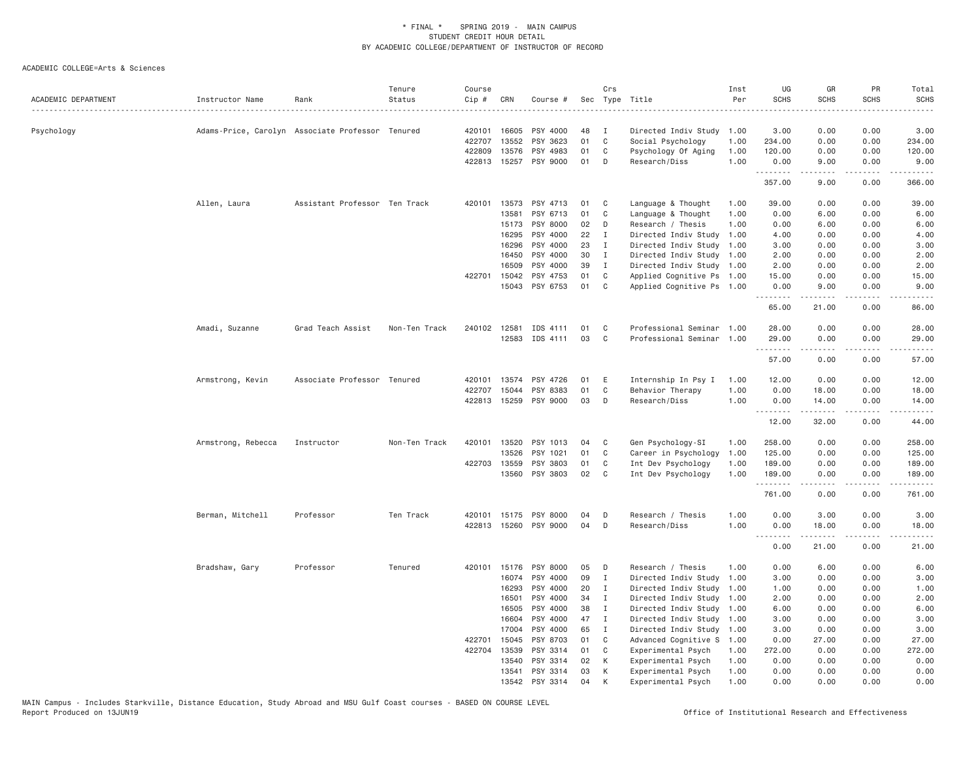| ACADEMIC DEPARTMENT | Instructor Name    | Rank                                             | Tenure<br>Status | Course<br>Cip # | CRN          | Course #       |    | Crs          | Sec Type Title<br>.       | Inst<br>Per | UG<br><b>SCHS</b>               | GR<br><b>SCHS</b> | PR<br><b>SCHS</b> | Total<br><b>SCHS</b><br>$\frac{1}{2}$                                                                                                                        |
|---------------------|--------------------|--------------------------------------------------|------------------|-----------------|--------------|----------------|----|--------------|---------------------------|-------------|---------------------------------|-------------------|-------------------|--------------------------------------------------------------------------------------------------------------------------------------------------------------|
| Psychology          |                    | Adams-Price, Carolyn Associate Professor Tenured |                  | 420101          | 16605        | PSY 4000       | 48 | I            | Directed Indiv Study 1.00 |             | 3.00                            | 0.00              | 0.00              | 3.00                                                                                                                                                         |
|                     |                    |                                                  |                  | 422707          | 13552        | PSY 3623       | 01 | $\mathsf{C}$ | Social Psychology         | 1.00        | 234.00                          | 0.00              | 0.00              | 234.00                                                                                                                                                       |
|                     |                    |                                                  |                  | 422809          | 13576        | PSY 4983       | 01 | C            | Psychology Of Aging       | 1.00        | 120.00                          | 0.00              | 0.00              | 120.00                                                                                                                                                       |
|                     |                    |                                                  |                  | 422813          | 15257        | PSY 9000       | 01 | D            | Research/Diss             | 1.00        | 0.00                            | 9.00              | 0.00              | 9.00                                                                                                                                                         |
|                     |                    |                                                  |                  |                 |              |                |    |              |                           |             | .<br>357.00                     | 9.00              | .<br>0.00         | $- - - - -$<br>366.00                                                                                                                                        |
|                     | Allen, Laura       | Assistant Professor Ten Track                    |                  | 420101          | 13573        | PSY 4713       | 01 | C            | Language & Thought        | 1.00        | 39.00                           | 0.00              | 0.00              | 39.00                                                                                                                                                        |
|                     |                    |                                                  |                  |                 | 13581        | PSY 6713       | 01 | C            | Language & Thought        | 1.00        | 0.00                            | 6.00              | 0.00              | 6.00                                                                                                                                                         |
|                     |                    |                                                  |                  |                 | 15173        | PSY 8000       | 02 | D            | Research / Thesis         | 1.00        | 0.00                            | 6.00              | 0.00              | 6.00                                                                                                                                                         |
|                     |                    |                                                  |                  |                 | 16295        | PSY 4000       | 22 | Ι.           | Directed Indiv Study      | 1.00        | 4.00                            | 0.00              | 0.00              | 4.00                                                                                                                                                         |
|                     |                    |                                                  |                  |                 | 16296        | PSY 4000       | 23 | Ι.           | Directed Indiv Study 1.00 |             | 3.00                            | 0.00              | 0.00              | 3.00                                                                                                                                                         |
|                     |                    |                                                  |                  |                 | 16450        | PSY 4000       | 30 | $\mathbf I$  | Directed Indiv Study 1.00 |             | 2.00                            | 0.00              | 0.00              | 2.00                                                                                                                                                         |
|                     |                    |                                                  |                  |                 | 16509        | PSY 4000       | 39 | <b>I</b>     | Directed Indiv Study 1.00 |             | 2.00                            | 0.00              | 0.00              | 2.00                                                                                                                                                         |
|                     |                    |                                                  |                  | 422701          | 15042        | PSY 4753       | 01 | C            | Applied Cognitive Ps 1.00 |             | 15.00                           | 0.00              | 0.00              | 15.00                                                                                                                                                        |
|                     |                    |                                                  |                  |                 | 15043        | PSY 6753       | 01 | C            | Applied Cognitive Ps 1.00 |             | 0.00<br>.                       | 9.00<br>-----     | 0.00<br>د د د د   | 9.00<br>$\frac{1}{2} \left( \frac{1}{2} \right) \left( \frac{1}{2} \right) \left( \frac{1}{2} \right) \left( \frac{1}{2} \right) \left( \frac{1}{2} \right)$ |
|                     |                    |                                                  |                  |                 |              |                |    |              |                           |             | 65.00                           | 21.00             | 0.00              | 86.00                                                                                                                                                        |
|                     | Amadi, Suzanne     | Grad Teach Assist                                | Non-Ten Track    |                 | 240102 12581 | IDS 4111       | 01 | C            | Professional Seminar 1.00 |             | 28.00                           | 0.00              | 0.00              | 28.00                                                                                                                                                        |
|                     |                    |                                                  |                  |                 | 12583        | IDS 4111       | 03 | C            | Professional Seminar      | 1.00        | 29.00<br>.                      | 0.00              | 0.00              | 29.00                                                                                                                                                        |
|                     |                    |                                                  |                  |                 |              |                |    |              |                           |             | 57.00                           | 0.00              | 0.00              | 57.00                                                                                                                                                        |
|                     | Armstrong, Kevin   | Associate Professor Tenured                      |                  | 420101          | 13574        | PSY 4726       | 01 | E            | Internship In Psy I       | 1.00        | 12.00                           | 0.00              | 0.00              | 12.00                                                                                                                                                        |
|                     |                    |                                                  |                  | 422707          | 15044        | PSY 8383       | 01 | C            | Behavior Therapy          | 1.00        | 0.00                            | 18.00             | 0.00              | 18.00                                                                                                                                                        |
|                     |                    |                                                  |                  | 422813          | 15259        | PSY 9000       | 03 | D            | Research/Diss             | 1.00        | 0.00<br>.                       | 14.00<br>.        | 0.00<br>.         | 14.00<br>.                                                                                                                                                   |
|                     |                    |                                                  |                  |                 |              |                |    |              |                           |             | 12.00                           | 32.00             | 0.00              | 44.00                                                                                                                                                        |
|                     | Armstrong, Rebecca | Instructor                                       | Non-Ten Track    | 420101          | 13520        | PSY 1013       | 04 | C            | Gen Psychology-SI         | 1.00        | 258.00                          | 0.00              | 0.00              | 258.00                                                                                                                                                       |
|                     |                    |                                                  |                  |                 | 13526        | PSY 1021       | 01 | C            | Career in Psychology      | 1.00        | 125.00                          | 0.00              | 0.00              | 125.00                                                                                                                                                       |
|                     |                    |                                                  |                  | 422703          | 13559        | PSY 3803       | 01 | C            | Int Dev Psychology        | 1.00        | 189.00                          | 0.00              | 0.00              | 189.00                                                                                                                                                       |
|                     |                    |                                                  |                  |                 | 13560        | PSY 3803       | 02 | C            | Int Dev Psychology        | 1.00        | 189.00                          | 0.00<br>-----     | 0.00<br>بالمحام   | 189.00<br>.                                                                                                                                                  |
|                     |                    |                                                  |                  |                 |              |                |    |              |                           |             | 761.00                          | 0.00              | 0.00              | 761.00                                                                                                                                                       |
|                     | Berman, Mitchell   | Professor                                        | Ten Track        | 420101          | 15175        | PSY 8000       | 04 | D            | Research / Thesis         | 1.00        | 0.00                            | 3.00              | 0.00              | 3.00                                                                                                                                                         |
|                     |                    |                                                  |                  | 422813          |              | 15260 PSY 9000 | 04 | D            | Research/Diss             | 1.00        | 0.00<br><u> - - - - - - - -</u> | 18.00<br>-----    | 0.00<br>.         | 18.00<br>.                                                                                                                                                   |
|                     |                    |                                                  |                  |                 |              |                |    |              |                           |             | 0.00                            | 21.00             | 0.00              | 21.00                                                                                                                                                        |
|                     | Bradshaw, Gary     | Professor                                        | Tenured          | 420101          | 15176        | PSY 8000       | 05 | D            | Research / Thesis         | 1.00        | 0.00                            | 6.00              | 0.00              | 6.00                                                                                                                                                         |
|                     |                    |                                                  |                  |                 | 16074        | PSY 4000       | 09 | Ι.           | Directed Indiv Study 1.00 |             | 3.00                            | 0.00              | 0.00              | 3.00                                                                                                                                                         |
|                     |                    |                                                  |                  |                 | 16293        | PSY 4000       | 20 | Ι.           | Directed Indiv Study      | 1.00        | 1.00                            | 0.00              | 0.00              | 1.00                                                                                                                                                         |
|                     |                    |                                                  |                  |                 | 16501        | PSY 4000       | 34 | I            | Directed Indiv Study      | 1.00        | 2.00                            | 0.00              | 0.00              | 2.00                                                                                                                                                         |
|                     |                    |                                                  |                  |                 | 16505        | PSY 4000       | 38 | Ι.           | Directed Indiv Study 1.00 |             | 6.00                            | 0.00              | 0.00              | 6.00                                                                                                                                                         |
|                     |                    |                                                  |                  |                 | 16604        | PSY 4000       | 47 | I            | Directed Indiv Study 1.00 |             | 3.00                            | 0.00              | 0.00              | 3.00                                                                                                                                                         |
|                     |                    |                                                  |                  |                 | 17004        | PSY 4000       | 65 | $\mathbf I$  | Directed Indiv Study 1.00 |             | 3.00                            | 0.00              | 0.00              | 3.00                                                                                                                                                         |
|                     |                    |                                                  |                  | 422701          | 15045        | PSY 8703       | 01 | C            | Advanced Cognitive S      | 1.00        | 0.00                            | 27.00             | 0.00              | 27.00                                                                                                                                                        |
|                     |                    |                                                  |                  | 422704          | 13539        | PSY 3314       | 01 | C            | Experimental Psych        | 1.00        | 272.00                          | 0.00              | 0.00              | 272.00                                                                                                                                                       |
|                     |                    |                                                  |                  |                 | 13540        | PSY 3314       | 02 | К            | Experimental Psych        | 1.00        | 0.00                            | 0.00              | 0.00              | 0.00                                                                                                                                                         |
|                     |                    |                                                  |                  |                 | 13541        | PSY 3314       | 03 | К            | Experimental Psych        | 1.00        | 0.00                            | 0.00              | 0.00              | 0.00                                                                                                                                                         |
|                     |                    |                                                  |                  |                 | 13542        | PSY 3314       | 04 | K            | Experimental Psych        | 1,00        | 0.00                            | 0.00              | 0.00              | 0.00                                                                                                                                                         |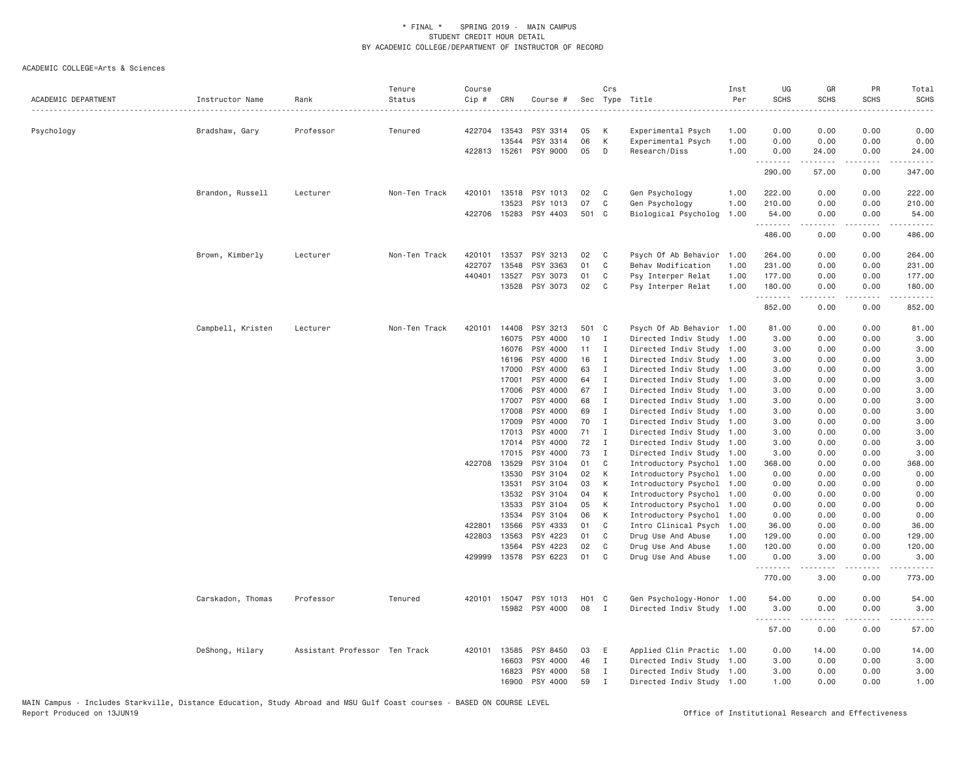| ACADEMIC DEPARTMENT | Instructor Name   | Rank                          | Tenure<br>Status | Course<br>Cip # | CRN            | Course #             |          | Crs               | Sec Type Title                                         | Inst<br>Per | UG<br><b>SCHS</b> | GR<br><b>SCHS</b>   | PR<br><b>SCHS</b>                                                                                                                 | Total<br>SCHS<br>$\frac{1}{2} \left( \frac{1}{2} \right) \left( \frac{1}{2} \right) \left( \frac{1}{2} \right) \left( \frac{1}{2} \right) \left( \frac{1}{2} \right)$ |
|---------------------|-------------------|-------------------------------|------------------|-----------------|----------------|----------------------|----------|-------------------|--------------------------------------------------------|-------------|-------------------|---------------------|-----------------------------------------------------------------------------------------------------------------------------------|-----------------------------------------------------------------------------------------------------------------------------------------------------------------------|
| Psychology          | Bradshaw, Gary    | Professor                     | Tenured          |                 | 422704 13543   | PSY 3314             | 05       | K                 | Experimental Psych                                     | 1.00        | 0.00              | 0.00                | 0.00                                                                                                                              | 0.00                                                                                                                                                                  |
|                     |                   |                               |                  |                 | 13544          | PSY 3314             | 06       | K                 | Experimental Psych                                     | 1.00        | 0.00              | 0.00                | 0.00                                                                                                                              | 0.00                                                                                                                                                                  |
|                     |                   |                               |                  |                 | 422813 15261   | PSY 9000             | 05       | D                 | Research/Diss                                          | 1.00        | 0.00              | 24.00               | 0.00                                                                                                                              | 24.00                                                                                                                                                                 |
|                     |                   |                               |                  |                 |                |                      |          |                   |                                                        |             | .<br>290.00       | .<br>57.00          | .<br>0.00                                                                                                                         | .<br>347.00                                                                                                                                                           |
|                     | Brandon, Russell  | Lecturer                      | Non-Ten Track    |                 | 420101 13518   | PSY 1013             | 02       | $\mathbb{C}$      | Gen Psychology                                         | 1.00        | 222.00            | 0.00                | 0.00                                                                                                                              | 222.00                                                                                                                                                                |
|                     |                   |                               |                  |                 | 13523          | PSY 1013             | 07       | C                 | Gen Psychology                                         | 1.00        | 210.00            | 0.00                | 0.00                                                                                                                              | 210.00                                                                                                                                                                |
|                     |                   |                               |                  |                 | 422706 15283   | PSY 4403             | 501 C    |                   | Biological Psycholog                                   | 1.00        | 54.00<br>.        | 0.00<br>.           | 0.00<br>$\frac{1}{2} \left( \frac{1}{2} \right) \left( \frac{1}{2} \right) \left( \frac{1}{2} \right) \left( \frac{1}{2} \right)$ | 54.00<br>.                                                                                                                                                            |
|                     |                   |                               |                  |                 |                |                      |          |                   |                                                        |             | 486.00            | 0.00                | 0.00                                                                                                                              | 486.00                                                                                                                                                                |
|                     | Brown, Kimberly   | Lecturer                      | Non-Ten Track    | 420101          | 13537          | PSY 3213             | 02       | C <sub>c</sub>    | Psych Of Ab Behavior                                   | 1.00        | 264.00            | 0.00                | 0.00                                                                                                                              | 264.00                                                                                                                                                                |
|                     |                   |                               |                  | 422707          | 13548          | PSY 3363             | 01       | C                 | Behav Modification                                     | 1.00        | 231.00            | 0.00                | 0.00                                                                                                                              | 231.00                                                                                                                                                                |
|                     |                   |                               |                  | 440401          | 13527          | PSY 3073             | 01       | C                 | Psy Interper Relat                                     | 1.00        | 177.00            | 0.00                | 0.00                                                                                                                              | 177.00                                                                                                                                                                |
|                     |                   |                               |                  |                 | 13528          | PSY 3073             | 02       | C                 | Psy Interper Relat                                     | 1.00        | 180.00<br>.       | 0.00                | 0.00<br>$\cdots$                                                                                                                  | 180.00<br>$\frac{1}{2} \left( \frac{1}{2} \right) \left( \frac{1}{2} \right) \left( \frac{1}{2} \right) \left( \frac{1}{2} \right) \left( \frac{1}{2} \right)$        |
|                     |                   |                               |                  |                 |                |                      |          |                   |                                                        |             | 852.00            | 0.00                | 0.00                                                                                                                              | 852.00                                                                                                                                                                |
|                     | Campbell, Kristen | Lecturer                      | Non-Ten Track    | 420101          | 14408          | PSY 3213             | 501 C    |                   | Psych Of Ab Behavior 1.00                              |             | 81.00             | 0.00                | 0.00                                                                                                                              | 81.00                                                                                                                                                                 |
|                     |                   |                               |                  |                 | 16075          | PSY 4000             | 10       | $\mathbf{I}$      | Directed Indiv Study 1.00                              |             | 3.00              | 0.00                | 0.00                                                                                                                              | 3.00                                                                                                                                                                  |
|                     |                   |                               |                  |                 | 16076          | PSY 4000             | 11       | I                 | Directed Indiv Study 1.00                              |             | 3.00              | 0.00                | 0.00                                                                                                                              | 3.00                                                                                                                                                                  |
|                     |                   |                               |                  |                 | 16196          | PSY 4000             | 16       | I                 | Directed Indiv Study 1.00                              |             | 3.00              | 0.00                | 0.00                                                                                                                              | 3.00                                                                                                                                                                  |
|                     |                   |                               |                  |                 | 17000          | PSY 4000             | 63       | $\mathbf I$       | Directed Indiv Study 1.00                              |             | 3.00              | 0.00                | 0.00                                                                                                                              | 3.00                                                                                                                                                                  |
|                     |                   |                               |                  |                 | 17001          | PSY 4000             | 64       | I                 | Directed Indiv Study 1.00                              |             | 3.00              | 0.00                | 0.00                                                                                                                              | 3.00                                                                                                                                                                  |
|                     |                   |                               |                  |                 | 17006          | PSY 4000             | 67       | I                 | Directed Indiv Study 1.00                              |             | 3.00              | 0.00                | 0.00                                                                                                                              | 3.00                                                                                                                                                                  |
|                     |                   |                               |                  |                 | 17007          | PSY 4000             | 68       | $\mathbf I$       | Directed Indiv Study 1.00                              |             | 3.00              | 0.00                | 0.00                                                                                                                              | 3.00                                                                                                                                                                  |
|                     |                   |                               |                  |                 | 17008          | PSY 4000             | 69       | $\mathbf{I}$      | Directed Indiv Study 1.00                              |             | 3.00              | 0.00                | 0.00                                                                                                                              | 3.00                                                                                                                                                                  |
|                     |                   |                               |                  |                 | 17009          | PSY 4000             | 70       | I                 | Directed Indiv Study 1.00                              |             | 3.00              | 0.00                | 0.00                                                                                                                              | 3.00                                                                                                                                                                  |
|                     |                   |                               |                  |                 | 17013<br>17014 | PSY 4000<br>PSY 4000 | 71<br>72 | I<br>$\mathbf{I}$ | Directed Indiv Study 1.00                              |             | 3.00<br>3.00      | 0.00<br>0.00        | 0.00<br>0.00                                                                                                                      | 3.00<br>3.00                                                                                                                                                          |
|                     |                   |                               |                  |                 | 17015          | PSY 4000             | 73       | $\mathbf I$       | Directed Indiv Study 1.00<br>Directed Indiv Study 1.00 |             | 3,00              | 0.00                | 0.00                                                                                                                              | 3,00                                                                                                                                                                  |
|                     |                   |                               |                  | 422708 13529    |                | PSY 3104             | 01       | C                 | Introductory Psychol                                   | 1.00        | 368.00            | 0.00                | 0.00                                                                                                                              | 368.00                                                                                                                                                                |
|                     |                   |                               |                  |                 | 13530          | PSY 3104             | 02       | K                 | Introductory Psychol 1.00                              |             | 0.00              | 0.00                | 0.00                                                                                                                              | 0.00                                                                                                                                                                  |
|                     |                   |                               |                  |                 | 13531          | PSY 3104             | 03       | K                 | Introductory Psychol                                   | 1.00        | 0.00              | 0.00                | 0.00                                                                                                                              | 0.00                                                                                                                                                                  |
|                     |                   |                               |                  |                 | 13532          | PSY 3104             | 04       | K                 | Introductory Psychol 1.00                              |             | 0.00              | 0.00                | 0.00                                                                                                                              | 0.00                                                                                                                                                                  |
|                     |                   |                               |                  |                 | 13533          | PSY 3104             | 05       | K                 | Introductory Psychol                                   | 1.00        | 0.00              | 0.00                | 0.00                                                                                                                              | 0.00                                                                                                                                                                  |
|                     |                   |                               |                  |                 | 13534          | PSY 3104             | 06       | K                 | Introductory Psychol                                   | 1.00        | 0.00              | 0.00                | 0.00                                                                                                                              | 0.00                                                                                                                                                                  |
|                     |                   |                               |                  | 422801          | 13566          | PSY 4333             | 01       | C                 | Intro Clinical Psych                                   | 1.00        | 36.00             | 0.00                | 0.00                                                                                                                              | 36.00                                                                                                                                                                 |
|                     |                   |                               |                  | 422803          | 13563          | PSY 4223             | 01       | C                 | Drug Use And Abuse                                     | 1.00        | 129.00            | 0.00                | 0.00                                                                                                                              | 129.00                                                                                                                                                                |
|                     |                   |                               |                  |                 | 13564          | PSY 4223             | 02       | C                 | Drug Use And Abuse                                     | 1.00        | 120.00            | 0.00                | 0.00                                                                                                                              | 120.00                                                                                                                                                                |
|                     |                   |                               |                  |                 | 429999 13578   | PSY 6223             | 01       | $\mathbf{C}$      | Drug Use And Abuse                                     | 1.00        | 0.00<br>.         | 3.00<br>.           | 0.00<br>.                                                                                                                         | 3.00<br>.                                                                                                                                                             |
|                     |                   |                               |                  |                 |                |                      |          |                   |                                                        |             | 770.00            | 3.00                | 0.00                                                                                                                              | 773.00                                                                                                                                                                |
|                     | Carskadon, Thomas | Professor                     | Tenured          | 420101          | 15047          | PSY 1013             | H01 C    |                   | Gen Psychology-Honor 1.00                              |             | 54.00             | 0.00                | 0.00                                                                                                                              | 54.00                                                                                                                                                                 |
|                     |                   |                               |                  |                 |                | 15982 PSY 4000       | 08       | $\blacksquare$    | Directed Indiv Study 1.00                              |             | 3.00<br>.         | 0.00<br>$- - - - -$ | 0.00<br>$\frac{1}{2} \frac{1}{2} \frac{1}{2} \frac{1}{2} \frac{1}{2} \frac{1}{2} \frac{1}{2}$                                     | 3.00<br>.                                                                                                                                                             |
|                     |                   |                               |                  |                 |                |                      |          |                   |                                                        |             | 57.00             | 0.00                | 0.00                                                                                                                              | 57.00                                                                                                                                                                 |
|                     | DeShong, Hilary   | Assistant Professor Ten Track |                  | 420101          | 13585          | PSY 8450             | 03       | E                 | Applied Clin Practic 1.00                              |             | 0.00              | 14.00               | 0.00                                                                                                                              | 14.00                                                                                                                                                                 |
|                     |                   |                               |                  |                 | 16603          | PSY 4000             | 46       | $\mathbf{I}$      | Directed Indiv Study 1.00                              |             | 3.00              | 0.00                | 0.00                                                                                                                              | 3.00                                                                                                                                                                  |
|                     |                   |                               |                  |                 | 16823          | PSY 4000             | 58       | Ι.                | Directed Indiv Study 1.00                              |             | 3.00              | 0.00                | 0.00                                                                                                                              | 3.00                                                                                                                                                                  |
|                     |                   |                               |                  |                 | 16900          | PSY 4000             | 59       | $\mathbf I$       | Directed Indiv Study 1.00                              |             | 1.00              | 0.00                | 0.00                                                                                                                              | 1.00                                                                                                                                                                  |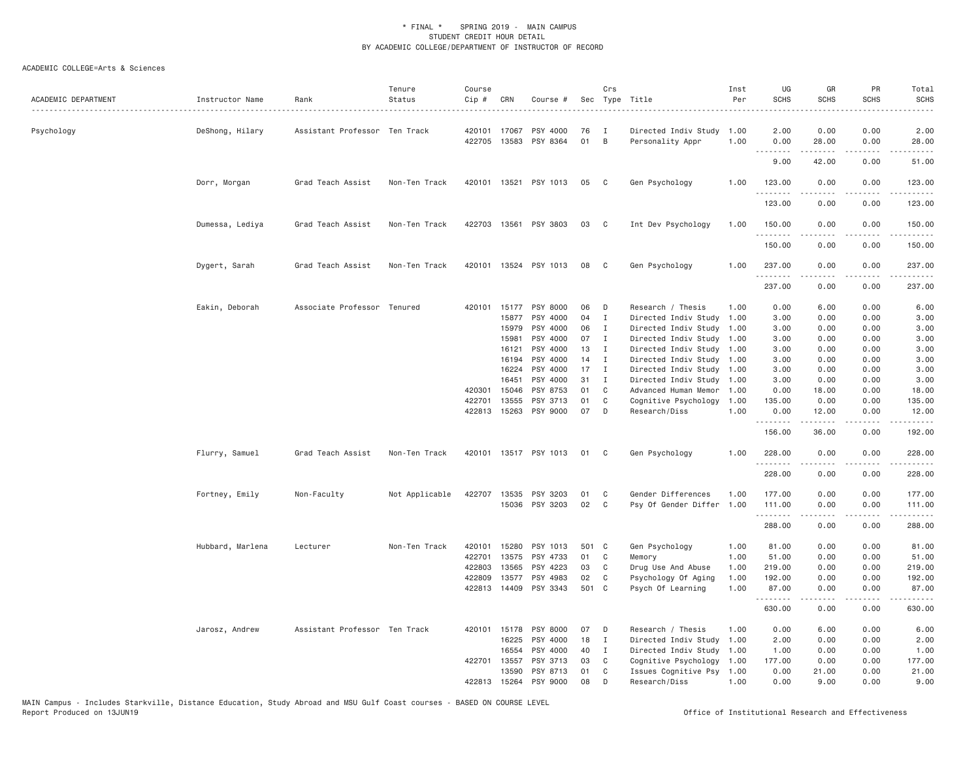| ACADEMIC DEPARTMENT | Instructor Name  | Rank                          | Tenure<br>Status | Course<br>Cip # | CRN          | Course #                          |          | Crs          | Sec Type Title<br>.                      | Inst<br>Per  | UG<br><b>SCHS</b>              | GR<br>SCHS                                                                                                                                                    | PR<br><b>SCHS</b>                   | Total<br><b>SCHS</b> |
|---------------------|------------------|-------------------------------|------------------|-----------------|--------------|-----------------------------------|----------|--------------|------------------------------------------|--------------|--------------------------------|---------------------------------------------------------------------------------------------------------------------------------------------------------------|-------------------------------------|----------------------|
| Psychology          | DeShong, Hilary  | Assistant Professor Ten Track |                  | 420101          | 17067        | PSY 4000<br>422705 13583 PSY 8364 | 76<br>01 | I<br>B       | Directed Indiv Study<br>Personality Appr | 1.00<br>1.00 | 2.00<br>0.00                   | 0.00<br>28.00                                                                                                                                                 | 0.00<br>0.00                        | 2.00<br>28.00        |
|                     |                  |                               |                  |                 |              |                                   |          |              |                                          |              | $\omega$ is a $\omega$<br>9.00 | $\frac{1}{2} \left( \frac{1}{2} \right) \left( \frac{1}{2} \right) \left( \frac{1}{2} \right) \left( \frac{1}{2} \right) \left( \frac{1}{2} \right)$<br>42.00 | .<br>0.00                           | المتمامين<br>51.00   |
|                     | Dorr, Morgan     | Grad Teach Assist             | Non-Ten Track    |                 |              | 420101 13521 PSY 1013             | 05       | $\mathbf{C}$ | Gen Psychology                           | 1.00         | 123.00                         | 0.00                                                                                                                                                          | 0.00                                | 123.00               |
|                     |                  |                               |                  |                 |              |                                   |          |              |                                          |              | .<br>123.00                    | $\omega$ is a set of<br>0.00                                                                                                                                  | .<br>0.00                           | .<br>123.00          |
|                     | Dumessa, Lediya  | Grad Teach Assist             | Non-Ten Track    |                 |              | 422703 13561 PSY 3803             | 03       | C            | Int Dev Psychology                       | 1.00         | 150.00                         | 0.00                                                                                                                                                          | 0.00                                | 150.00               |
|                     |                  |                               |                  |                 |              |                                   |          |              |                                          |              | .<br>150.00                    | <u>.</u><br>0.00                                                                                                                                              | .<br>0.00                           | .<br>150.00          |
|                     | Dygert, Sarah    | Grad Teach Assist             | Non-Ten Track    |                 |              | 420101 13524 PSY 1013             | 08       | C            | Gen Psychology                           | 1.00         | 237.00<br>.                    | 0.00                                                                                                                                                          | 0.00<br>$\sim$ $\sim$ $\sim$ $\sim$ | 237.00               |
|                     |                  |                               |                  |                 |              |                                   |          |              |                                          |              | 237.00                         | 0.00                                                                                                                                                          | 0.00                                | 237.00               |
|                     | Eakin, Deborah   | Associate Professor Tenured   |                  |                 |              | 420101 15177 PSY 8000             | 06       | D            | Research / Thesis                        | 1.00         | 0.00                           | 6.00                                                                                                                                                          | 0.00                                | 6.00                 |
|                     |                  |                               |                  |                 | 15877        | PSY 4000                          | 04       | $\mathbf I$  | Directed Indiv Study                     | 1.00         | 3.00                           | 0.00                                                                                                                                                          | 0.00                                | 3.00                 |
|                     |                  |                               |                  |                 | 15979        | PSY 4000                          | 06       | $\mathbf{I}$ | Directed Indiv Study 1.00                |              | 3.00                           | 0.00                                                                                                                                                          | 0.00                                | 3.00                 |
|                     |                  |                               |                  |                 | 15981        | PSY 4000                          | 07       | $\mathbf{I}$ | Directed Indiv Study                     | 1.00         | 3.00                           | 0.00                                                                                                                                                          | 0.00                                | 3.00                 |
|                     |                  |                               |                  |                 | 16121        | PSY 4000                          | 13       | $\mathbf{I}$ | Directed Indiv Study 1.00                |              | 3.00                           | 0.00                                                                                                                                                          | 0.00                                | 3.00                 |
|                     |                  |                               |                  |                 | 16194        | PSY 4000                          | 14       | $\mathbf{I}$ | Directed Indiv Study 1.00                |              | 3.00                           | 0.00                                                                                                                                                          | 0.00                                | 3.00                 |
|                     |                  |                               |                  |                 | 16224        | PSY 4000                          | 17       | $\mathbf{I}$ | Directed Indiv Study 1.00                |              | 3.00                           | 0.00                                                                                                                                                          | 0.00                                | 3.00                 |
|                     |                  |                               |                  |                 | 16451        | PSY 4000                          | 31       | $\mathbf{I}$ | Directed Indiv Study 1.00                |              | 3.00                           | 0.00                                                                                                                                                          | 0.00                                | 3.00                 |
|                     |                  |                               |                  | 420301          | 15046        | PSY 8753                          | 01       | C            | Advanced Human Memor                     | 1.00         | 0.00                           | 18.00                                                                                                                                                         | 0.00                                | 18.00                |
|                     |                  |                               |                  | 422701          | 13555        | PSY 3713                          | 01       | $\mathbb C$  | Cognitive Psychology                     | 1.00         | 135.00                         | 0.00                                                                                                                                                          | 0.00                                | 135.00               |
|                     |                  |                               |                  |                 |              | 422813 15263 PSY 9000             | 07       | D            | Research/Diss                            | 1.00         | 0.00<br>.                      | 12.00<br>$- - - - -$                                                                                                                                          | 0.00<br>.                           | 12.00<br>.           |
|                     |                  |                               |                  |                 |              |                                   |          |              |                                          |              | 156.00                         | 36.00                                                                                                                                                         | 0.00                                | 192.00               |
|                     | Flurry, Samuel   | Grad Teach Assist             | Non-Ten Track    |                 |              | 420101 13517 PSY 1013             | 01       | C            | Gen Psychology                           | 1.00         | 228.00<br>.                    | 0.00                                                                                                                                                          | 0.00                                | 228.00<br>.          |
|                     |                  |                               |                  |                 |              |                                   |          |              |                                          |              | 228.00                         | 0.00                                                                                                                                                          | 0.00                                | 228.00               |
|                     | Fortney, Emily   | Non-Faculty                   | Not Applicable   |                 |              | 422707 13535 PSY 3203             | 01       | C            | Gender Differences                       | 1.00         | 177.00                         | 0.00                                                                                                                                                          | 0.00                                | 177.00               |
|                     |                  |                               |                  |                 |              | 15036 PSY 3203                    | 02       | C            | Psy Of Gender Differ 1.00                |              | 111.00                         | 0.00                                                                                                                                                          | 0.00                                | 111.00               |
|                     |                  |                               |                  |                 |              |                                   |          |              |                                          |              | .<br>288.00                    | $\frac{1}{2} \left( \frac{1}{2} \right) \left( \frac{1}{2} \right) \left( \frac{1}{2} \right) \left( \frac{1}{2} \right) \left( \frac{1}{2} \right)$<br>0.00  | .<br>0.00                           | .<br>288.00          |
|                     | Hubbard, Marlena | Lecturer                      | Non-Ten Track    | 420101          |              | 15280 PSY 1013                    | 501 C    |              | Gen Psychology                           | 1.00         | 81.00                          | 0.00                                                                                                                                                          | 0.00                                | 81.00                |
|                     |                  |                               |                  | 422701          | 13575        | PSY 4733                          | 01       | C            | Memory                                   | 1.00         | 51.00                          | 0.00                                                                                                                                                          | 0.00                                | 51.00                |
|                     |                  |                               |                  | 422803          | 13565        | PSY 4223                          | 03       | C            | Drug Use And Abuse                       | 1.00         | 219.00                         | 0.00                                                                                                                                                          | 0.00                                | 219.00               |
|                     |                  |                               |                  | 422809          | 13577        | PSY 4983                          | 02       | C            | Psychology Of Aging                      | 1.00         | 192.00                         | 0.00                                                                                                                                                          | 0.00                                | 192.00               |
|                     |                  |                               |                  |                 | 422813 14409 | PSY 3343                          | 501 C    |              | Psych Of Learning                        | 1.00         | 87.00<br>.                     | 0.00<br>.                                                                                                                                                     | 0.00<br>$\sim$ $\sim$ $\sim$        | 87.00<br>.           |
|                     |                  |                               |                  |                 |              |                                   |          |              |                                          |              | 630.00                         | 0.00                                                                                                                                                          | 0.00                                | 630.00               |
|                     | Jarosz, Andrew   | Assistant Professor Ten Track |                  |                 | 420101 15178 | PSY 8000                          | 07       | D            | Research / Thesis                        | 1.00         | 0.00                           | 6.00                                                                                                                                                          | 0.00                                | 6.00                 |
|                     |                  |                               |                  |                 | 16225        | PSY 4000                          | 18       | $\mathbf{I}$ | Directed Indiv Study 1.00                |              | 2.00                           | 0.00                                                                                                                                                          | 0.00                                | 2.00                 |
|                     |                  |                               |                  |                 | 16554        | PSY 4000                          | 40       | $\mathbf{I}$ | Directed Indiv Study 1.00                |              | 1.00                           | 0.00                                                                                                                                                          | 0.00                                | 1.00                 |
|                     |                  |                               |                  | 422701          | 13557        | PSY 3713                          | 03       | C            | Cognitive Psychology                     | 1.00         | 177.00                         | 0.00                                                                                                                                                          | 0.00                                | 177.00               |
|                     |                  |                               |                  |                 |              | 13590 PSY 8713                    | 01       | C            | Issues Cognitive Psy 1.00                |              | 0.00                           | 21.00                                                                                                                                                         | 0.00                                | 21.00                |
|                     |                  |                               |                  |                 |              | 422813 15264 PSY 9000             | 08       | D            | Research/Diss                            | 1.00         | 0.00                           | 9,00                                                                                                                                                          | 0.00                                | 9,00                 |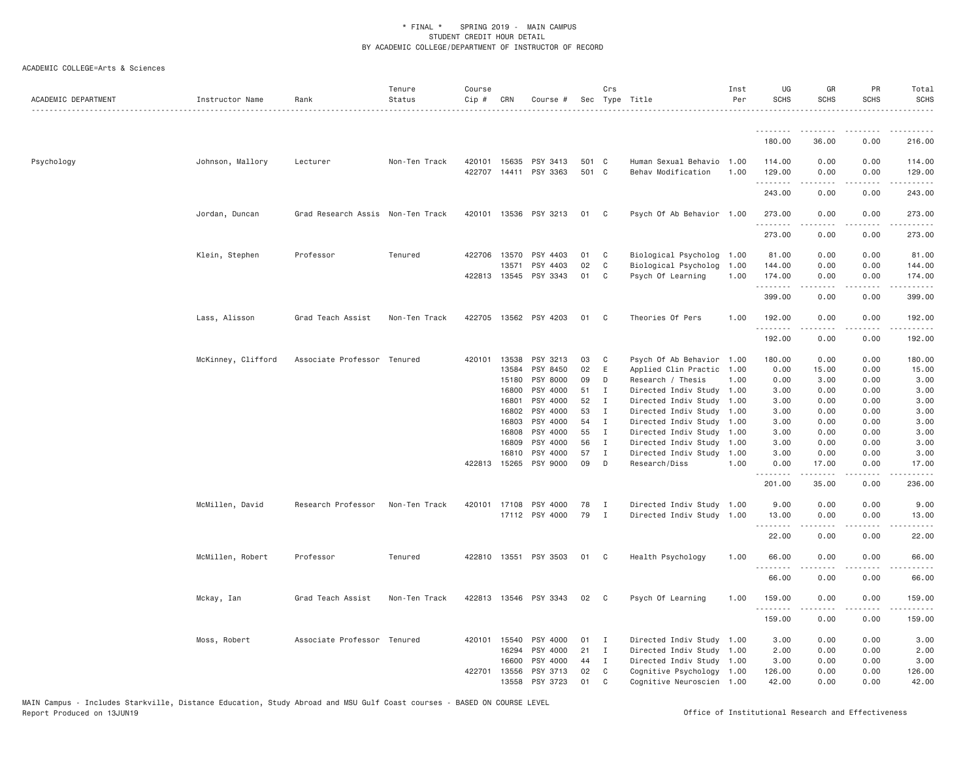| ACADEMIC DEPARTMENT | Instructor Name    | Rank                              | Tenure<br>Status | Course<br>Cip # | CRN          | Course #                          |                | Crs            | Sec Type Title                                  | Inst<br>Per  | UG<br><b>SCHS</b>           | GR<br><b>SCHS</b>   | PR<br><b>SCHS</b>                                                                                                                                                    | Total<br><b>SCHS</b>                                                                                                                          |
|---------------------|--------------------|-----------------------------------|------------------|-----------------|--------------|-----------------------------------|----------------|----------------|-------------------------------------------------|--------------|-----------------------------|---------------------|----------------------------------------------------------------------------------------------------------------------------------------------------------------------|-----------------------------------------------------------------------------------------------------------------------------------------------|
|                     |                    |                                   |                  |                 |              |                                   |                |                |                                                 |              |                             |                     |                                                                                                                                                                      |                                                                                                                                               |
|                     |                    |                                   |                  |                 |              |                                   |                |                |                                                 |              | 180.00                      | 36.00               | 0.00                                                                                                                                                                 | 216.00                                                                                                                                        |
| Psychology          | Johnson, Mallory   | Lecturer                          | Non-Ten Track    |                 | 420101 15635 | PSY 3413<br>422707 14411 PSY 3363 | 501 C<br>501 C |                | Human Sexual Behavio 1.00<br>Behav Modification | 1.00         | 114.00<br>129.00<br>.       | 0.00<br>0.00<br>.   | 0.00<br>0.00<br>$\frac{1}{2} \left( \frac{1}{2} \right) \left( \frac{1}{2} \right) \left( \frac{1}{2} \right) \left( \frac{1}{2} \right) \left( \frac{1}{2} \right)$ | 114.00<br>129.00<br>$\begin{array}{cccccccccccccc} \bullet & \bullet & \bullet & \bullet & \bullet & \bullet & \bullet & \bullet \end{array}$ |
|                     |                    |                                   |                  |                 |              |                                   |                |                |                                                 |              | 243.00                      | 0.00                | 0.00                                                                                                                                                                 | 243.00                                                                                                                                        |
|                     | Jordan, Duncan     | Grad Research Assis Non-Ten Track |                  |                 |              | 420101 13536 PSY 3213             | 01 C           |                | Psych Of Ab Behavior 1.00                       |              | 273.00<br>.                 | 0.00<br>$- - - - -$ | 0.00<br>.                                                                                                                                                            | 273.00                                                                                                                                        |
|                     |                    |                                   |                  |                 |              |                                   |                |                |                                                 |              | 273.00                      | 0.00                | 0.00                                                                                                                                                                 | 273.00                                                                                                                                        |
|                     | Klein, Stephen     | Professor                         | Tenured          |                 | 422706 13570 | PSY 4403                          | 01             | $\mathbf{C}$   | Biological Psycholog 1.00                       |              | 81.00                       | 0.00                | 0.00                                                                                                                                                                 | 81.00                                                                                                                                         |
|                     |                    |                                   |                  |                 | 13571        | PSY 4403<br>422813 13545 PSY 3343 | 02<br>01       | C<br>C         | Biological Psycholog<br>Psych Of Learning       | 1.00<br>1.00 | 144.00<br>174.00            | 0.00<br>0.00        | 0.00<br>0.00                                                                                                                                                         | 144.00<br>174.00                                                                                                                              |
|                     |                    |                                   |                  |                 |              |                                   |                |                |                                                 |              | 1.1.1.1.1.1<br>399.00       | 0.00                | 0.00                                                                                                                                                                 | .<br>399.00                                                                                                                                   |
|                     | Lass, Alisson      | Grad Teach Assist                 | Non-Ten Track    |                 |              | 422705 13562 PSY 4203             | 01             | C <sub>c</sub> | Theories Of Pers                                | 1.00         | 192.00                      | 0.00                | 0.00                                                                                                                                                                 | 192.00                                                                                                                                        |
|                     |                    |                                   |                  |                 |              |                                   |                |                |                                                 |              | 192.00                      | 0.00                | 0.00                                                                                                                                                                 | 192.00                                                                                                                                        |
|                     | McKinney, Clifford | Associate Professor Tenured       |                  |                 | 420101 13538 | PSY 3213                          | 03             | $\mathbb{C}$   | Psych Of Ab Behavior 1.00                       |              | 180.00                      | 0.00                | 0.00                                                                                                                                                                 | 180.00                                                                                                                                        |
|                     |                    |                                   |                  |                 | 13584        | PSY 8450                          | 02             | E              | Applied Clin Practic 1.00                       |              | 0.00                        | 15.00               | 0.00                                                                                                                                                                 | 15.00                                                                                                                                         |
|                     |                    |                                   |                  |                 | 15180        | PSY 8000                          | 09             | D              | Research / Thesis                               | 1.00         | 0.00                        | 3.00                | 0.00                                                                                                                                                                 | 3.00                                                                                                                                          |
|                     |                    |                                   |                  |                 | 16800        | PSY 4000                          | 51             | I              | Directed Indiv Study 1.00                       |              | 3.00                        | 0.00                | 0.00                                                                                                                                                                 | 3.00                                                                                                                                          |
|                     |                    |                                   |                  |                 | 16801        | PSY 4000                          | 52             | I              | Directed Indiv Study 1.00                       |              | 3.00                        | 0.00                | 0.00                                                                                                                                                                 | 3.00                                                                                                                                          |
|                     |                    |                                   |                  |                 | 16802        | PSY 4000                          | 53             | $\mathbf I$    | Directed Indiv Study 1.00                       |              | 3.00                        | 0.00                | 0.00                                                                                                                                                                 | 3.00                                                                                                                                          |
|                     |                    |                                   |                  |                 | 16803        | PSY 4000                          | 54             | $\mathbf I$    | Directed Indiv Study 1.00                       |              | 3.00                        | 0.00                | 0.00                                                                                                                                                                 | 3.00                                                                                                                                          |
|                     |                    |                                   |                  |                 | 16808        | PSY 4000                          | 55             | $\mathbf I$    | Directed Indiv Study 1.00                       |              | 3.00                        | 0.00                | 0.00                                                                                                                                                                 | 3.00                                                                                                                                          |
|                     |                    |                                   |                  |                 | 16809        | PSY 4000                          | 56             | $\mathbf{I}$   | Directed Indiv Study 1.00                       |              | 3.00                        | 0.00                | 0.00                                                                                                                                                                 | 3.00                                                                                                                                          |
|                     |                    |                                   |                  |                 | 16810        | PSY 4000                          | 57             | I              | Directed Indiv Study 1.00                       |              | 3.00                        | 0.00                | 0.00                                                                                                                                                                 | 3.00                                                                                                                                          |
|                     |                    |                                   |                  |                 | 422813 15265 | PSY 9000                          | 09             | D              | Research/Diss                                   | 1.00         | 0.00                        | 17.00               | 0.00                                                                                                                                                                 | 17.00                                                                                                                                         |
|                     |                    |                                   |                  |                 |              |                                   |                |                |                                                 |              | $\sim$ $\sim$ $\sim$ $\sim$ |                     |                                                                                                                                                                      |                                                                                                                                               |
|                     |                    |                                   |                  |                 |              |                                   |                |                |                                                 |              | 201.00                      | 35.00               | 0.00                                                                                                                                                                 | 236.00                                                                                                                                        |
|                     | McMillen, David    | Research Professor                | Non-Ten Track    |                 | 420101 17108 | PSY 4000                          | 78             | I              | Directed Indiv Study 1.00                       |              | 9.00                        | 0.00                | 0.00                                                                                                                                                                 | 9.00                                                                                                                                          |
|                     |                    |                                   |                  |                 |              | 17112 PSY 4000                    | 79             | $\mathbf{I}$   | Directed Indiv Study 1.00                       |              | 13.00<br>.                  | 0.00                | 0.00                                                                                                                                                                 | 13.00                                                                                                                                         |
|                     |                    |                                   |                  |                 |              |                                   |                |                |                                                 |              | 22.00                       | 0.00                | 0.00                                                                                                                                                                 | 22.00                                                                                                                                         |
|                     | McMillen, Robert   | Professor                         | Tenured          |                 |              | 422810 13551 PSY 3503             | 01 C           |                | Health Psychology                               | 1.00         | 66.00<br><u>.</u>           | 0.00                | 0.00                                                                                                                                                                 | 66.00                                                                                                                                         |
|                     |                    |                                   |                  |                 |              |                                   |                |                |                                                 |              | 66.00                       | 0.00                | 0.00                                                                                                                                                                 | 66.00                                                                                                                                         |
|                     | Mckay, Ian         | Grad Teach Assist                 | Non-Ten Track    |                 |              | 422813 13546 PSY 3343             | 02             | $\mathbf{C}$   | Psych Of Learning                               | 1.00         | 159.00<br>.                 | 0.00                | 0.00                                                                                                                                                                 | 159.00                                                                                                                                        |
|                     |                    |                                   |                  |                 |              |                                   |                |                |                                                 |              | 159.00                      | 0.00                | 0.00                                                                                                                                                                 | 159.00                                                                                                                                        |
|                     | Moss, Robert       | Associate Professor Tenured       |                  |                 | 420101 15540 | PSY 4000                          | 01             | I              | Directed Indiv Study 1.00                       |              | 3.00                        | 0.00                | 0.00                                                                                                                                                                 | 3.00                                                                                                                                          |
|                     |                    |                                   |                  |                 | 16294        | PSY 4000                          | 21             | $\mathbf{I}$   | Directed Indiv Study 1.00                       |              | 2.00                        | 0.00                | 0.00                                                                                                                                                                 | 2.00                                                                                                                                          |
|                     |                    |                                   |                  |                 | 16600        | PSY 4000                          | 44             | I              | Directed Indiv Study 1.00                       |              | 3.00                        | 0.00                | 0.00                                                                                                                                                                 | 3.00                                                                                                                                          |
|                     |                    |                                   |                  |                 | 422701 13556 | PSY 3713                          | 02             | C              | Cognitive Psychology 1.00                       |              | 126.00                      | 0.00                | 0.00                                                                                                                                                                 | 126.00                                                                                                                                        |
|                     |                    |                                   |                  |                 | 13558        | PSY 3723                          | 01             | C              | Cognitive Neuroscien 1.00                       |              | 42.00                       | 0.00                | 0.00                                                                                                                                                                 | 42.00                                                                                                                                         |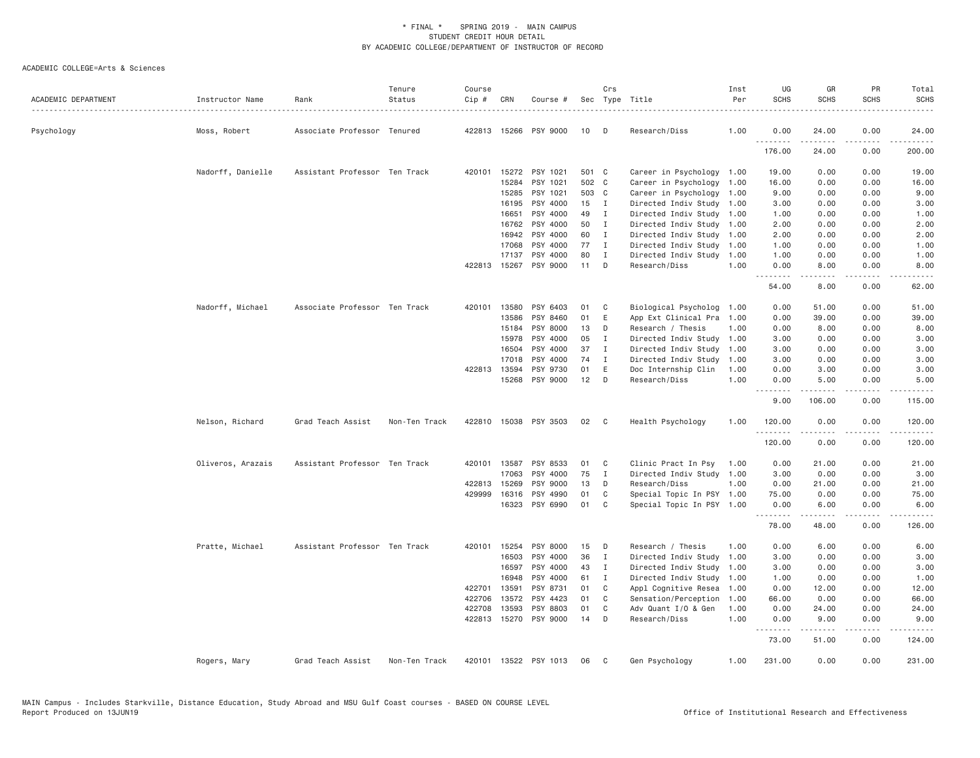| ACADEMIC DEPARTMENT | Instructor Name   | Rank                          | Tenure<br>Status | Course<br>Cip # | CRN          | Course #              |       | Crs            | Sec Type Title            | Inst<br>Per | UG<br><b>SCHS</b> | GR<br><b>SCHS</b> | PR<br><b>SCHS</b> | Total<br><b>SCHS</b>                                                                                                                                                                      |
|---------------------|-------------------|-------------------------------|------------------|-----------------|--------------|-----------------------|-------|----------------|---------------------------|-------------|-------------------|-------------------|-------------------|-------------------------------------------------------------------------------------------------------------------------------------------------------------------------------------------|
| Psychology          | Moss, Robert      | Associate Professor Tenured   |                  |                 |              | 422813 15266 PSY 9000 | 10    | D              | Research/Diss             | 1.00        | 0.00              | 24.00             | 0.00              | 24.00                                                                                                                                                                                     |
|                     |                   |                               |                  |                 |              |                       |       |                |                           |             | .<br>176.00       | .<br>24.00        | .<br>0.00         | $\frac{1}{2} \left( \frac{1}{2} \right) \left( \frac{1}{2} \right) \left( \frac{1}{2} \right) \left( \frac{1}{2} \right) \left( \frac{1}{2} \right) \left( \frac{1}{2} \right)$<br>200.00 |
|                     | Nadorff, Danielle | Assistant Professor Ten Track |                  |                 |              | 420101 15272 PSY 1021 | 501 C |                | Career in Psychology 1.00 |             | 19.00             | 0.00              | 0.00              | 19.00                                                                                                                                                                                     |
|                     |                   |                               |                  |                 | 15284        | PSY 1021              | 502 C |                | Career in Psychology      | 1.00        | 16.00             | 0.00              | 0.00              | 16.00                                                                                                                                                                                     |
|                     |                   |                               |                  |                 | 15285        | PSY 1021              | 503 C |                | Career in Psychology      | 1.00        | 9.00              | 0.00              | 0.00              | 9.00                                                                                                                                                                                      |
|                     |                   |                               |                  |                 | 16195        | PSY 4000              | 15    | $\blacksquare$ | Directed Indiv Study 1.00 |             | 3.00              | 0.00              | 0.00              | 3.00                                                                                                                                                                                      |
|                     |                   |                               |                  |                 | 16651        | PSY 4000              | 49    | $\mathbf{I}$   | Directed Indiv Study 1.00 |             | 1.00              | 0.00              | 0.00              | 1.00                                                                                                                                                                                      |
|                     |                   |                               |                  |                 | 16762        | PSY 4000              | 50    | Ι.             | Directed Indiv Study 1.00 |             | 2.00              | 0.00              | 0.00              | 2.00                                                                                                                                                                                      |
|                     |                   |                               |                  |                 | 16942        | PSY 4000              | 60    | I              | Directed Indiv Study      | 1.00        | 2.00              | 0.00              | 0.00              | 2.00                                                                                                                                                                                      |
|                     |                   |                               |                  |                 | 17068        | PSY 4000              | 77    | $\mathbf{I}$   | Directed Indiv Study 1.00 |             | 1.00              | 0.00              | 0.00              | 1.00                                                                                                                                                                                      |
|                     |                   |                               |                  |                 | 17137        | PSY 4000              | 80    | I              | Directed Indiv Study      | 1.00        | 1.00              | 0.00              | 0.00              | 1.00                                                                                                                                                                                      |
|                     |                   |                               |                  |                 |              | 422813 15267 PSY 9000 | 11    | D              | Research/Diss             | 1.00        | 0.00<br>.         | 8.00<br>-----     | 0.00<br>.         | 8.00<br>.                                                                                                                                                                                 |
|                     |                   |                               |                  |                 |              |                       |       |                |                           |             | 54.00             | 8.00              | 0.00              | 62.00                                                                                                                                                                                     |
|                     | Nadorff, Michael  | Associate Professor Ten Track |                  | 420101          | 13580        | PSY 6403              | 01    | C              | Biological Psycholog      | 1.00        | 0.00              | 51.00             | 0.00              | 51.00                                                                                                                                                                                     |
|                     |                   |                               |                  |                 | 13586        | PSY 8460              | 01    | Ε              | App Ext Clinical Pra      | 1.00        | 0.00              | 39.00             | 0.00              | 39.00                                                                                                                                                                                     |
|                     |                   |                               |                  |                 | 15184        | PSY 8000              | 13    | D              | Research / Thesis         | 1,00        | 0.00              | 8.00              | 0.00              | 8.00                                                                                                                                                                                      |
|                     |                   |                               |                  |                 | 15978        | PSY 4000              | 05    | I              | Directed Indiv Study 1.00 |             | 3.00              | 0.00              | 0.00              | 3.00                                                                                                                                                                                      |
|                     |                   |                               |                  |                 | 16504        | PSY 4000              | 37    | I              | Directed Indiv Study 1.00 |             | 3.00              | 0.00              | 0.00              | 3.00                                                                                                                                                                                      |
|                     |                   |                               |                  |                 | 17018        | PSY 4000              | 74    | $\mathbf{I}$   | Directed Indiv Study      | 1.00        | 3.00              | 0.00              | 0.00              | 3.00                                                                                                                                                                                      |
|                     |                   |                               |                  |                 | 422813 13594 | PSY 9730              | 01    | Ε              | Doc Internship Clin       | 1.00        | 0.00              | 3.00              | 0.00              | 3.00                                                                                                                                                                                      |
|                     |                   |                               |                  |                 | 15268        | PSY 9000              | 12    | D              | Research/Diss             | 1.00        | 0.00              | 5.00              | 0.00              | 5.00                                                                                                                                                                                      |
|                     |                   |                               |                  |                 |              |                       |       |                |                           |             | <u>.</u><br>9.00  | 106.00            | 0.00              | 115.00                                                                                                                                                                                    |
|                     | Nelson, Richard   | Grad Teach Assist             | Non-Ten Track    |                 |              | 422810 15038 PSY 3503 | 02    | $\mathbf{C}$   | Health Psychology         | 1,00        | 120.00            | 0.00              | 0.00              | 120,00                                                                                                                                                                                    |
|                     |                   |                               |                  |                 |              |                       |       |                |                           |             | .<br>120.00       | .<br>0.00         | .<br>0.00         | <b>.</b><br>120.00                                                                                                                                                                        |
|                     | Oliveros, Arazais | Assistant Professor Ten Track |                  | 420101          | 13587        | PSY 8533              | 01    | C              | Clinic Pract In Psy       | 1.00        | 0.00              | 21.00             | 0.00              | 21.00                                                                                                                                                                                     |
|                     |                   |                               |                  |                 | 17063        | PSY 4000              | 75    | I              | Directed Indiv Study 1.00 |             | 3.00              | 0.00              | 0.00              | 3.00                                                                                                                                                                                      |
|                     |                   |                               |                  |                 | 422813 15269 | PSY 9000              | 13    | D              | Research/Diss             | 1.00        | 0.00              | 21.00             | 0.00              | 21.00                                                                                                                                                                                     |
|                     |                   |                               |                  | 429999          | 16316        | PSY 4990              | 01    | C              | Special Topic In PSY 1.00 |             | 75.00             | 0.00              | 0.00              | 75.00                                                                                                                                                                                     |
|                     |                   |                               |                  |                 | 16323        | PSY 6990              | 01    | C              | Special Topic In PSY 1.00 |             | 0.00              | 6.00              | 0.00              | 6.00                                                                                                                                                                                      |
|                     |                   |                               |                  |                 |              |                       |       |                |                           |             | .<br>78.00        | 48.00             | 0.00              | 126.00                                                                                                                                                                                    |
|                     | Pratte, Michael   | Assistant Professor Ten Track |                  |                 | 420101 15254 | PSY 8000              | 15    | D              | Research / Thesis         | 1.00        | 0.00              | 6.00              | 0.00              | 6.00                                                                                                                                                                                      |
|                     |                   |                               |                  |                 | 16503        | PSY 4000              | 36    | $\mathbf{I}$   | Directed Indiv Study      | 1.00        | 3.00              | 0.00              | 0.00              | 3.00                                                                                                                                                                                      |
|                     |                   |                               |                  |                 | 16597        | PSY 4000              | 43    | I              | Directed Indiv Study      | 1.00        | 3.00              | 0.00              | 0.00              | 3.00                                                                                                                                                                                      |
|                     |                   |                               |                  |                 | 16948        | PSY 4000              | 61    | Ι.             | Directed Indiv Study      | 1.00        | 1.00              | 0.00              | 0.00              | 1.00                                                                                                                                                                                      |
|                     |                   |                               |                  | 422701          | 13591        | PSY 8731              | 01    | C              | Appl Cognitive Resea      | 1.00        | 0.00              | 12.00             | 0.00              | 12.00                                                                                                                                                                                     |
|                     |                   |                               |                  | 422706          | 13572        | PSY 4423              | 01    | C              | Sensation/Perception      | 1.00        | 66.00             | 0.00              | 0.00              | 66.00                                                                                                                                                                                     |
|                     |                   |                               |                  | 422708          | 13593        | PSY 8803              | 01    | C              | Adv Quant I/O & Gen       | 1.00        | 0.00              | 24.00             | 0.00              | 24.00                                                                                                                                                                                     |
|                     |                   |                               |                  |                 |              | 422813 15270 PSY 9000 | 14    | D              | Research/Diss             | 1.00        | 0.00              | 9.00              | 0.00              | 9.00                                                                                                                                                                                      |
|                     |                   |                               |                  |                 |              |                       |       |                |                           |             | .<br>73.00        | .<br>51.00        | .<br>0.00         | $\begin{array}{cccccccccc} \bullet & \bullet & \bullet & \bullet & \bullet & \bullet & \bullet \end{array}$<br>124.00                                                                     |
|                     | Rogers, Mary      | Grad Teach Assist             | Non-Ten Track    |                 |              | 420101 13522 PSY 1013 | 06    | C              | Gen Psychology            | 1.00        | 231.00            | 0.00              | 0.00              | 231.00                                                                                                                                                                                    |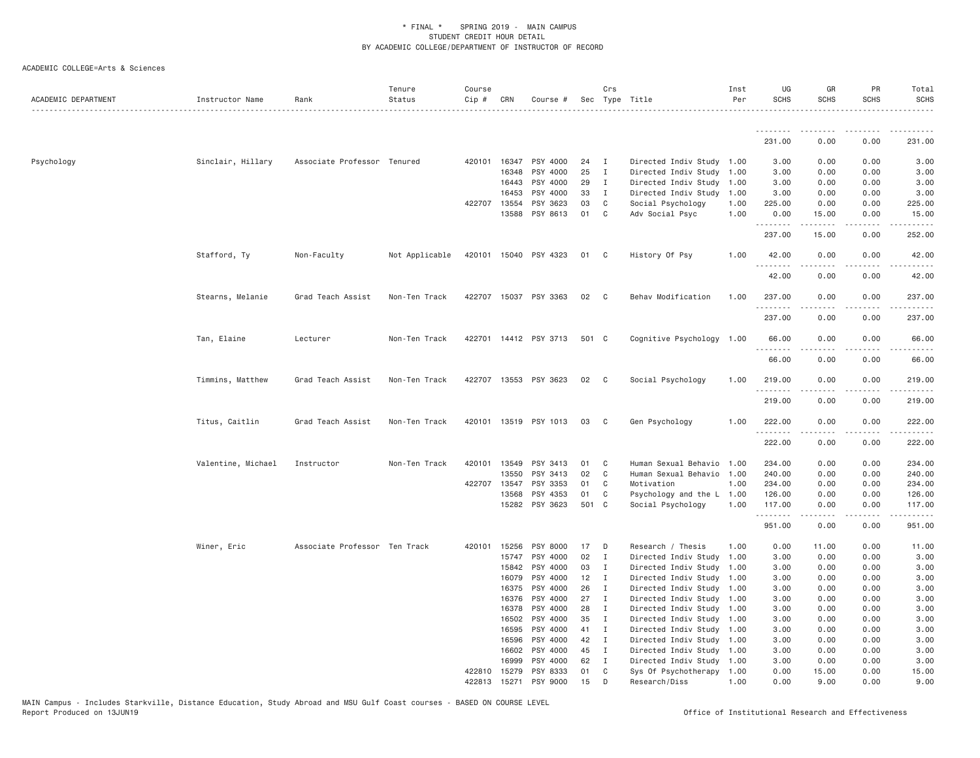| ACADEMIC DEPARTMENT | Instructor Name    | Rank                          | Tenure<br>Status | Course<br>Cip # | CRN            | Course #              |              | Crs                          | Sec Type Title                                         | Inst<br>Per | UG<br><b>SCHS</b> | GR<br><b>SCHS</b>     | PR<br>SCHS   | Total<br><b>SCHS</b>                                                        |
|---------------------|--------------------|-------------------------------|------------------|-----------------|----------------|-----------------------|--------------|------------------------------|--------------------------------------------------------|-------------|-------------------|-----------------------|--------------|-----------------------------------------------------------------------------|
|                     |                    |                               |                  |                 |                |                       |              |                              |                                                        |             |                   |                       |              |                                                                             |
|                     |                    |                               |                  |                 |                |                       |              |                              |                                                        |             | 231.00            | 0.00                  | 0.00         | 231.00                                                                      |
| Psychology          | Sinclair, Hillary  | Associate Professor Tenured   |                  |                 | 420101 16347   | PSY 4000              | 24           | $\mathbf{I}$                 | Directed Indiv Study 1.00                              |             | 3.00              | 0.00                  | 0.00         | 3.00                                                                        |
|                     |                    |                               |                  |                 | 16348          | PSY 4000              | 25           | $\mathbf{I}$                 | Directed Indiv Study 1.00                              |             | 3.00              | 0.00                  | 0.00         | 3.00                                                                        |
|                     |                    |                               |                  |                 | 16443          | PSY 4000              | 29           | $\blacksquare$               | Directed Indiv Study 1.00                              |             | 3.00              | 0.00                  | 0.00         | 3.00                                                                        |
|                     |                    |                               |                  |                 | 16453          | PSY 4000              | 33           | $\mathbf{I}$                 | Directed Indiv Study 1.00                              |             | 3.00              | 0.00                  | 0.00         | 3.00                                                                        |
|                     |                    |                               |                  |                 | 422707 13554   | PSY 3623              | 03           | C <sub>1</sub>               | Social Psychology                                      | 1.00        | 225.00            | 0.00                  | 0.00         | 225.00                                                                      |
|                     |                    |                               |                  |                 | 13588          | PSY 8613              | 01           | C                            | Adv Social Psyc                                        | 1.00        | 0.00<br>.         | 15.00<br>.            | 0.00<br>.    | 15.00<br>.                                                                  |
|                     |                    |                               |                  |                 |                |                       |              |                              |                                                        |             | 237.00            | 15.00                 | 0.00         | 252.00                                                                      |
|                     | Stafford, Ty       | Non-Faculty                   | Not Applicable   |                 |                | 420101 15040 PSY 4323 | 01           | $\mathbf{C}$                 | History Of Psy                                         | 1.00        | 42.00<br>.        | 0.00<br>$\frac{1}{2}$ | 0.00         | 42.00<br>$- - - - -$                                                        |
|                     |                    |                               |                  |                 |                |                       |              |                              |                                                        |             | 42.00             | 0.00                  | 0.00         | 42.00                                                                       |
|                     | Stearns, Melanie   | Grad Teach Assist             | Non-Ten Track    | 422707          |                | 15037 PSY 3363        | 02           | $\mathbf{C}$                 | Behav Modification                                     | 1.00        | 237.00<br>.       | 0.00                  | 0.00         | 237.00                                                                      |
|                     |                    |                               |                  |                 |                |                       |              |                              |                                                        |             | 237.00            | 0.00                  | 0.00         | 237.00                                                                      |
|                     | Tan, Elaine        | Lecturer                      | Non-Ten Track    |                 |                | 422701 14412 PSY 3713 | 501 C        |                              | Cognitive Psychology 1.00                              |             | 66.00             | 0.00                  | 0.00         | 66.00                                                                       |
|                     |                    |                               |                  |                 |                |                       |              |                              |                                                        |             | 66.00             | 0.00                  | 0.00         | 66.00                                                                       |
|                     | Timmins, Matthew   | Grad Teach Assist             | Non-Ten Track    |                 |                | 422707 13553 PSY 3623 | 02           | $\mathbf{C}$                 | Social Psychology                                      | 1.00        | 219.00            | 0.00                  | 0.00         | 219.00                                                                      |
|                     |                    |                               |                  |                 |                |                       |              |                              |                                                        |             | 219.00            | 0.00                  | 0.00         | 219.00                                                                      |
|                     | Titus, Caitlin     | Grad Teach Assist             | Non-Ten Track    |                 |                | 420101 13519 PSY 1013 | 03           | $\mathbf{C}$                 | Gen Psychology                                         | 1.00        | 222.00            | 0.00                  | 0.00         | 222.00<br>-----                                                             |
|                     |                    |                               |                  |                 |                |                       |              |                              |                                                        |             | 222.00            | 0.00                  | 0.00         | 222.00                                                                      |
|                     | Valentine, Michael | Instructor                    | Non-Ten Track    |                 | 420101 13549   | PSY 3413              | 01           | $\mathbf{C}$                 | Human Sexual Behavio 1.00                              |             | 234.00            | 0.00                  | 0.00         | 234.00                                                                      |
|                     |                    |                               |                  |                 | 13550          | PSY 3413              | 02           | $\mathbf{C}$                 | Human Sexual Behavio 1.00                              |             | 240.00            | 0.00                  | 0.00         | 240.00                                                                      |
|                     |                    |                               |                  | 422707          | 13547          | PSY 3353              | 01           | C                            | Motivation                                             | 1.00        | 234.00            | 0.00                  | 0.00         | 234.00                                                                      |
|                     |                    |                               |                  |                 | 13568          | PSY 4353              | 01           | C                            | Psychology and the L 1.00                              |             | 126.00            | 0.00                  | 0.00         | 126.00                                                                      |
|                     |                    |                               |                  |                 | 15282          | PSY 3623              | 501 C        |                              | Social Psychology                                      | 1.00        | 117.00<br>.       | 0.00<br>-----         | 0.00<br>.    | 117.00<br>$\omega_{\alpha}=\omega_{\alpha}=\omega_{\alpha}=\omega_{\alpha}$ |
|                     |                    |                               |                  |                 |                |                       |              |                              |                                                        |             | 951.00            | 0.00                  | 0.00         | 951.00                                                                      |
|                     | Winer, Eric        | Associate Professor Ten Track |                  |                 | 420101 15256   | PSY 8000              | 17           | $\Box$                       | Research / Thesis                                      | 1.00        | 0.00              | 11.00                 | 0.00         | 11.00                                                                       |
|                     |                    |                               |                  |                 | 15747          | PSY 4000              | 02           | $\mathbf{I}$                 | Directed Indiv Study 1.00                              |             | 3.00              | 0.00                  | 0.00         | 3.00                                                                        |
|                     |                    |                               |                  |                 | 15842          | PSY 4000              | 03           | $\mathbf{I}$                 | Directed Indiv Study 1.00                              |             | 3.00              | 0.00                  | 0.00         | 3.00                                                                        |
|                     |                    |                               |                  |                 | 16079          | PSY 4000              | $12 \quad I$ |                              | Directed Indiv Study 1.00                              |             | 3.00              | 0.00                  | 0.00         | 3.00                                                                        |
|                     |                    |                               |                  |                 | 16375          | PSY 4000              | 26           | $\mathbf{I}$                 | Directed Indiv Study 1.00                              |             | 3.00              | 0.00                  | 0.00         | 3.00                                                                        |
|                     |                    |                               |                  |                 | 16376          | PSY 4000              | 27           | $\mathbf{I}$                 | Directed Indiv Study 1.00                              |             | 3.00              | 0.00                  | 0.00         | 3.00                                                                        |
|                     |                    |                               |                  |                 | 16378<br>16502 | PSY 4000<br>PSY 4000  | 28<br>35     | $\mathbf{I}$<br>$\mathbf{I}$ | Directed Indiv Study 1.00<br>Directed Indiv Study 1.00 |             | 3.00<br>3.00      | 0.00<br>0.00          | 0.00<br>0.00 | 3.00<br>3.00                                                                |
|                     |                    |                               |                  |                 | 16595          | PSY 4000              | 41           | $\mathbf{I}$                 | Directed Indiv Study 1.00                              |             | 3.00              | 0.00                  | 0.00         | 3.00                                                                        |
|                     |                    |                               |                  |                 | 16596          | PSY 4000              | 42           | $\mathbf{I}$                 | Directed Indiv Study 1.00                              |             | 3.00              | 0.00                  | 0.00         | 3.00                                                                        |
|                     |                    |                               |                  |                 | 16602          | PSY 4000              | 45           | $\blacksquare$               | Directed Indiv Study 1.00                              |             | 3.00              | 0.00                  | 0.00         | 3.00                                                                        |
|                     |                    |                               |                  |                 | 16999          | PSY 4000              | 62           | $\blacksquare$               | Directed Indiv Study 1.00                              |             | 3.00              | 0.00                  | 0.00         | 3.00                                                                        |
|                     |                    |                               |                  |                 | 422810 15279   | PSY 8333              | 01           | C                            | Sys Of Psychotherapy 1.00                              |             | 0.00              | 15.00                 | 0.00         | 15.00                                                                       |
|                     |                    |                               |                  | 422813          | 15271          | PSY 9000              | 15           | D                            | Research/Diss<br>1.00                                  |             | 0.00              | 9.00                  | 0.00         | 9.00                                                                        |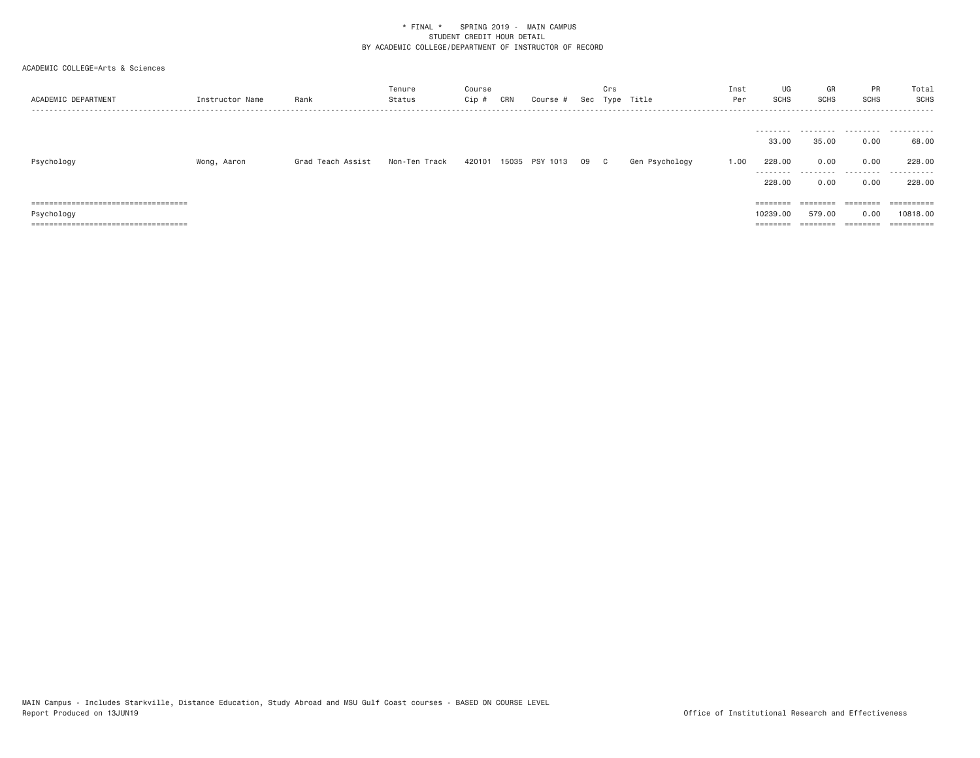| ACADEMIC DEPARTMENT                 | Instructor Name | Rank              | Tenure<br>Status | Course<br>Cip # | CRN | Course #              |      | Crs | Sec Type Title | Inst<br>Per | UG<br>SCHS          | GR<br>SCHS     | PR<br><b>SCHS</b>     | Total<br>SCHS         |
|-------------------------------------|-----------------|-------------------|------------------|-----------------|-----|-----------------------|------|-----|----------------|-------------|---------------------|----------------|-----------------------|-----------------------|
|                                     |                 |                   |                  |                 |     |                       |      |     |                |             | ---------<br>33.00  | 35.00          | .<br>0.00             | .<br>68.00            |
| Psychology                          | Wong, Aaron     | Grad Teach Assist | Non-Ten Track    |                 |     | 420101 15035 PSY 1013 | 09 C |     | Gen Psychology | 1.00        | 228,00<br>--------- | 0.00<br>------ | 0.00<br>.             | 228.00<br>.           |
|                                     |                 |                   |                  |                 |     |                       |      |     |                |             | 228,00              | 0.00           | 0.00                  | 228.00                |
| ----------------------------------- |                 |                   |                  |                 |     |                       |      |     |                |             | $=$ = = = = = = =   | --------       | ---------<br>-------- | $=$ = = = = = = = = = |
| Psychology                          |                 |                   |                  |                 |     |                       |      |     |                |             | 10239,00            | 579.00         | 0.00                  | 10818,00              |
| ===============                     |                 |                   |                  |                 |     |                       |      |     |                |             | <b>EEEE</b>         |                | ========              | $=$ = = = = = = = = = |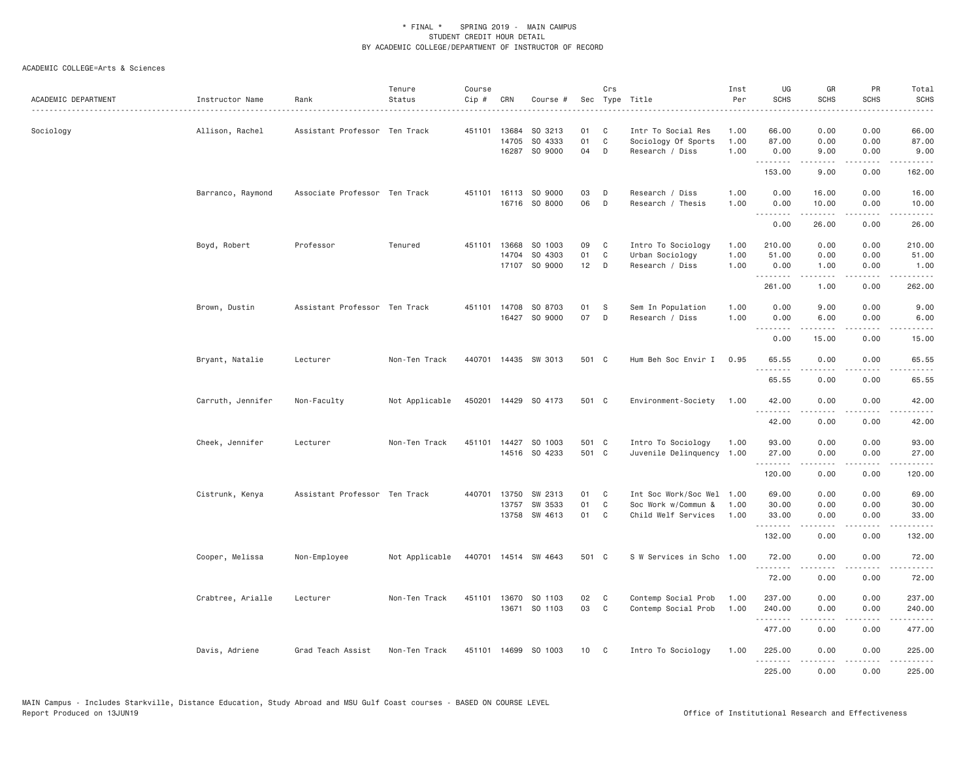| ACADEMIC DEPARTMENT | Instructor Name   | Rank                          | Tenure<br>Status | Course<br>$Cip \#$ | CRN                   | Course #                              | Sec            | Crs                    | Type Title                                                              | Inst<br>Per          | UG<br><b>SCHS</b>             | GR<br><b>SCHS</b>                                                                                                                                            | PR<br><b>SCHS</b>         | Total<br>SCHS<br>$\frac{1}{2} \left( \frac{1}{2} \right) \left( \frac{1}{2} \right) \left( \frac{1}{2} \right) \left( \frac{1}{2} \right) \left( \frac{1}{2} \right)$ |
|---------------------|-------------------|-------------------------------|------------------|--------------------|-----------------------|---------------------------------------|----------------|------------------------|-------------------------------------------------------------------------|----------------------|-------------------------------|--------------------------------------------------------------------------------------------------------------------------------------------------------------|---------------------------|-----------------------------------------------------------------------------------------------------------------------------------------------------------------------|
| Sociology           | Allison, Rachel   | Assistant Professor Ten Track |                  |                    | 451101 13684<br>14705 | SO 3213<br>SO 4333<br>16287 SO 9000   | 01<br>01<br>04 | C<br>$\mathbb C$<br>D  | Intr To Social Res<br>Sociology Of Sports<br>Research / Diss            | 1.00<br>1.00<br>1.00 | 66.00<br>87.00<br>0.00        | 0.00<br>0.00<br>9.00                                                                                                                                         | 0.00<br>0.00<br>0.00      | 66.00<br>87.00<br>9.00                                                                                                                                                |
|                     |                   |                               |                  |                    |                       |                                       |                |                        |                                                                         |                      | <u>.</u><br>153.00            | $\frac{1}{2} \left( \frac{1}{2} \right) \left( \frac{1}{2} \right) \left( \frac{1}{2} \right) \left( \frac{1}{2} \right) \left( \frac{1}{2} \right)$<br>9.00 | .<br>0.00                 | .<br>162.00                                                                                                                                                           |
|                     | Barranco, Raymond | Associate Professor Ten Track |                  |                    |                       | 451101 16113 SO 9000<br>16716 SO 8000 | 03<br>06       | D<br>D                 | Research / Diss<br>Research / Thesis                                    | 1.00<br>1.00         | 0.00<br>0.00<br>.             | 16,00<br>10.00<br>$- - - - - - - -$                                                                                                                          | 0.00<br>0.00<br>.         | 16.00<br>10.00<br>.                                                                                                                                                   |
|                     |                   |                               |                  |                    |                       |                                       |                |                        |                                                                         |                      | 0.00                          | 26.00                                                                                                                                                        | 0.00                      | 26.00                                                                                                                                                                 |
|                     | Boyd, Robert      | Professor                     | Tenured          |                    | 451101 13668<br>14704 | SO 1003<br>SO 4303<br>17107 SO 9000   | 09<br>01<br>12 | C<br>C<br>D            | Intro To Sociology<br>Urban Sociology<br>Research / Diss                | 1.00<br>1.00<br>1.00 | 210.00<br>51.00<br>0.00       | 0.00<br>0.00<br>1.00                                                                                                                                         | 0.00<br>0.00<br>0.00      | 210.00<br>51.00<br>1.00                                                                                                                                               |
|                     |                   |                               |                  |                    |                       |                                       |                |                        |                                                                         |                      | 261.00                        | $\omega$ is a set of<br>1.00                                                                                                                                 | .<br>0.00                 | .<br>262.00                                                                                                                                                           |
|                     | Brown, Dustin     | Assistant Professor Ten Track |                  |                    | 451101 14708          | SO 8703<br>16427 SO 9000              | 01<br>07       | S<br>D                 | Sem In Population<br>Research / Diss                                    | 1.00<br>1.00         | 0.00<br>0.00                  | 9.00<br>6.00                                                                                                                                                 | 0.00<br>0.00              | 9.00<br>6.00                                                                                                                                                          |
|                     |                   |                               |                  |                    |                       |                                       |                |                        |                                                                         |                      | <b><i><u></u></i></b><br>0.00 | $\omega$ is a set of<br>15.00                                                                                                                                | .<br>0.00                 | $\sim$ $\sim$ $\sim$ $\sim$ $\sim$<br>15.00                                                                                                                           |
|                     | Bryant, Natalie   | Lecturer                      | Non-Ten Track    |                    |                       | 440701 14435 SW 3013                  | 501 C          |                        | Hum Beh Soc Envir I                                                     | 0.95                 | 65.55<br>.                    | 0.00<br>.                                                                                                                                                    | 0.00<br>د د د د           | 65.55<br>.                                                                                                                                                            |
|                     |                   |                               |                  |                    |                       |                                       |                |                        |                                                                         |                      | 65.55                         | 0.00                                                                                                                                                         | 0.00                      | 65.55                                                                                                                                                                 |
|                     | Carruth, Jennifer | Non-Faculty                   | Not Applicable   |                    |                       | 450201 14429 SO 4173                  | 501 C          |                        | Environment-Society                                                     | 1.00                 | 42.00                         | 0.00<br>.                                                                                                                                                    | 0.00<br>-----             | 42.00<br>.                                                                                                                                                            |
|                     |                   |                               |                  |                    |                       |                                       |                |                        |                                                                         |                      | 42.00                         | 0.00                                                                                                                                                         | 0.00                      | 42.00                                                                                                                                                                 |
|                     | Cheek, Jennifer   | Lecturer                      | Non-Ten Track    |                    |                       | 451101 14427 SO 1003<br>14516 SO 4233 | 501 C<br>501 C |                        | Intro To Sociology<br>Juvenile Delinquency                              | 1.00<br>1.00         | 93.00<br>27.00<br><u>.</u>    | 0.00<br>0.00<br>$2 - 2 - 2 - 2$                                                                                                                              | 0.00<br>0.00<br>.         | 93.00<br>27.00<br><u>.</u>                                                                                                                                            |
|                     |                   |                               |                  |                    |                       |                                       |                |                        |                                                                         |                      | 120.00                        | 0.00                                                                                                                                                         | 0.00                      | 120.00                                                                                                                                                                |
|                     | Cistrunk, Kenya   | Assistant Professor Ten Track |                  | 440701             | 13750<br>13757        | SW 2313<br>SW 3533<br>13758 SW 4613   | 01<br>01<br>01 | C<br>C<br>$\mathbf{C}$ | Int Soc Work/Soc Wel 1.00<br>Soc Work w/Commun &<br>Child Welf Services | 1.00<br>1.00         | 69.00<br>30.00<br>33.00<br>.  | 0.00<br>0.00<br>0.00<br><b>.</b>                                                                                                                             | 0.00<br>0.00<br>0.00<br>. | 69.00<br>30.00<br>33.00<br>.                                                                                                                                          |
|                     |                   |                               |                  |                    |                       |                                       |                |                        |                                                                         |                      | 132.00                        | 0.00                                                                                                                                                         | 0.00                      | 132.00                                                                                                                                                                |
|                     | Cooper, Melissa   | Non-Employee                  | Not Applicable   |                    |                       | 440701 14514 SW 4643                  | 501 C          |                        | S W Services in Scho 1.00                                               |                      | 72.00<br>.                    | 0.00<br>.                                                                                                                                                    | 0.00<br>.                 | 72.00<br>.                                                                                                                                                            |
|                     |                   |                               |                  |                    |                       |                                       |                |                        |                                                                         |                      | 72.00                         | 0.00                                                                                                                                                         | 0.00                      | 72.00                                                                                                                                                                 |
|                     | Crabtree, Arialle | Lecturer                      | Non-Ten Track    |                    |                       | 451101 13670 SO 1103<br>13671 SO 1103 | 02<br>03       | $\mathbf{C}$<br>C      | Contemp Social Prob<br>Contemp Social Prob                              | 1.00<br>1.00         | 237.00<br>240.00<br>.         | 0.00<br>0.00                                                                                                                                                 | 0.00<br>0.00<br>$   -$    | 237.00<br>240.00<br><u>.</u>                                                                                                                                          |
|                     |                   |                               |                  |                    |                       |                                       |                |                        |                                                                         |                      | 477.00                        | 0.00                                                                                                                                                         | 0.00                      | 477.00                                                                                                                                                                |
|                     | Davis, Adriene    | Grad Teach Assist             | Non-Ten Track    |                    |                       | 451101 14699 SO 1003                  | 10 C           |                        | Intro To Sociology                                                      | 1.00                 | 225.00<br>.                   | 0.00<br>$- - - - -$                                                                                                                                          | 0.00<br>.                 | 225.00<br>.                                                                                                                                                           |
|                     |                   |                               |                  |                    |                       |                                       |                |                        |                                                                         |                      | 225.00                        | 0.00                                                                                                                                                         | 0.00                      | 225.00                                                                                                                                                                |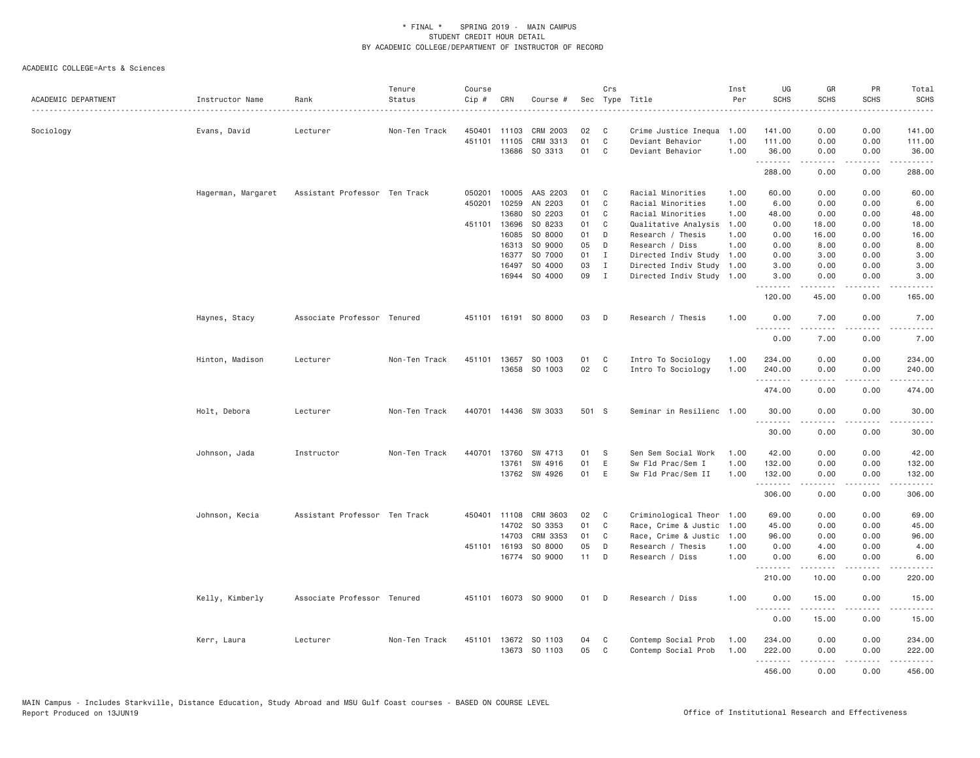| ACADEMIC DEPARTMENT | Instructor Name    | Rank                          | Tenure<br>Status | Course<br>Cip # | CRN          | Course #             |       | Crs          | Sec Type Title            | Inst<br>Per | UG<br><b>SCHS</b> | GR<br><b>SCHS</b>                                                                                                                                                                       | PR<br><b>SCHS</b>                                                                                                                 | Total<br><b>SCHS</b>                                                                                                                                                                     |
|---------------------|--------------------|-------------------------------|------------------|-----------------|--------------|----------------------|-------|--------------|---------------------------|-------------|-------------------|-----------------------------------------------------------------------------------------------------------------------------------------------------------------------------------------|-----------------------------------------------------------------------------------------------------------------------------------|------------------------------------------------------------------------------------------------------------------------------------------------------------------------------------------|
| Sociology           | Evans, David       | Lecturer                      | Non-Ten Track    |                 | 450401 11103 | CRM 2003             | 02    | C            | Crime Justice Inequa      | 1.00        | 141.00            | 0.00                                                                                                                                                                                    | 0.00                                                                                                                              | 141.00                                                                                                                                                                                   |
|                     |                    |                               |                  |                 | 451101 11105 | CRM 3313             | 01    | $\mathsf{C}$ | Deviant Behavior          | 1.00        | 111.00            | 0.00                                                                                                                                                                                    | 0.00                                                                                                                              | 111.00                                                                                                                                                                                   |
|                     |                    |                               |                  |                 | 13686        | SO 3313              | 01    | C            | Deviant Behavior          | 1.00        | 36.00<br>.        | 0.00<br>$\frac{1}{2} \left( \frac{1}{2} \right) \left( \frac{1}{2} \right) \left( \frac{1}{2} \right) \left( \frac{1}{2} \right) \left( \frac{1}{2} \right)$                            | 0.00<br>.                                                                                                                         | 36.00<br>$\frac{1}{2} \left( \frac{1}{2} \right) \left( \frac{1}{2} \right) \left( \frac{1}{2} \right) \left( \frac{1}{2} \right) \left( \frac{1}{2} \right) \left( \frac{1}{2} \right)$ |
|                     |                    |                               |                  |                 |              |                      |       |              |                           |             | 288.00            | 0.00                                                                                                                                                                                    | 0.00                                                                                                                              | 288.00                                                                                                                                                                                   |
|                     | Hagerman, Margaret | Assistant Professor Ten Track |                  | 050201          | 10005        | AAS 2203             | 01    | C            | Racial Minorities         | 1.00        | 60.00             | 0.00                                                                                                                                                                                    | 0.00                                                                                                                              | 60.00                                                                                                                                                                                    |
|                     |                    |                               |                  | 450201          | 10259        | AN 2203              | 01    | C            | Racial Minorities         | 1.00        | 6.00              | 0.00                                                                                                                                                                                    | 0.00                                                                                                                              | 6.00                                                                                                                                                                                     |
|                     |                    |                               |                  |                 | 13680        | SO 2203              | 01    | C            | Racial Minorities         | 1.00        | 48.00             | 0.00                                                                                                                                                                                    | 0.00                                                                                                                              | 48.00                                                                                                                                                                                    |
|                     |                    |                               |                  |                 | 451101 13696 | SO 8233              | 01    | C            | Qualitative Analysis      | 1.00        | 0.00              | 18.00                                                                                                                                                                                   | 0.00                                                                                                                              | 18.00                                                                                                                                                                                    |
|                     |                    |                               |                  |                 | 16085        | SO 8000              | 01    | D            | Research / Thesis         | 1.00        | 0.00              | 16.00                                                                                                                                                                                   | 0.00                                                                                                                              | 16.00                                                                                                                                                                                    |
|                     |                    |                               |                  |                 | 16313        | SO 9000              | 05    | D            | Research / Diss           | 1.00        | 0.00              | 8.00                                                                                                                                                                                    | 0.00                                                                                                                              | 8.00                                                                                                                                                                                     |
|                     |                    |                               |                  |                 | 16377        | SO 7000              | 01    | $\mathbf{I}$ | Directed Indiv Study 1.00 |             | 0.00              | 3.00                                                                                                                                                                                    | 0.00                                                                                                                              | 3.00                                                                                                                                                                                     |
|                     |                    |                               |                  |                 | 16497        | SO 4000              | 03    | $\mathbf{I}$ | Directed Indiv Study      | 1.00        | 3.00              | 0.00                                                                                                                                                                                    | 0.00                                                                                                                              | 3.00                                                                                                                                                                                     |
|                     |                    |                               |                  |                 | 16944        | SO 4000              | 09    | $\mathbf{I}$ | Directed Indiv Study 1.00 |             | 3.00<br>.         | 0.00                                                                                                                                                                                    | 0.00<br>$  -$                                                                                                                     | 3.00                                                                                                                                                                                     |
|                     |                    |                               |                  |                 |              |                      |       |              |                           |             | 120.00            | 45.00                                                                                                                                                                                   | 0.00                                                                                                                              | 165.00                                                                                                                                                                                   |
|                     | Haynes, Stacy      | Associate Professor Tenured   |                  |                 |              | 451101 16191 SO 8000 | 03    | D            | Research / Thesis         | 1.00        | 0.00<br>.         | 7.00<br>$\frac{1}{2} \left( \frac{1}{2} \right) \left( \frac{1}{2} \right) \left( \frac{1}{2} \right) \left( \frac{1}{2} \right) \left( \frac{1}{2} \right) \left( \frac{1}{2} \right)$ | 0.00<br>$\frac{1}{2}$                                                                                                             | 7.00<br>.                                                                                                                                                                                |
|                     |                    |                               |                  |                 |              |                      |       |              |                           |             | 0.00              | 7.00                                                                                                                                                                                    | 0.00                                                                                                                              | 7.00                                                                                                                                                                                     |
|                     | Hinton, Madison    | Lecturer                      | Non-Ten Track    | 451101          | 13657        | SO 1003              | 01    | C            | Intro To Sociology        | 1.00        | 234.00            | 0.00                                                                                                                                                                                    | 0.00                                                                                                                              | 234.00                                                                                                                                                                                   |
|                     |                    |                               |                  |                 | 13658        | SO 1003              | 02    | C            | Intro To Sociology        | 1.00        | 240.00            | 0.00                                                                                                                                                                                    | 0.00                                                                                                                              | 240.00                                                                                                                                                                                   |
|                     |                    |                               |                  |                 |              |                      |       |              |                           |             | .<br>474.00       | .<br>0.00                                                                                                                                                                               | $\sim$ $\sim$ $\sim$ $\sim$<br>0.00                                                                                               | $\frac{1}{2} \left( \frac{1}{2} \right) \left( \frac{1}{2} \right) \left( \frac{1}{2} \right) \left( \frac{1}{2} \right) \left( \frac{1}{2} \right)$<br>474.00                           |
|                     | Holt, Debora       | Lecturer                      | Non-Ten Track    |                 |              | 440701 14436 SW 3033 | 501 S |              | Seminar in Resilienc 1.00 |             | 30.00             | 0.00                                                                                                                                                                                    | 0.00                                                                                                                              | 30.00                                                                                                                                                                                    |
|                     |                    |                               |                  |                 |              |                      |       |              |                           |             | .<br>30.00        | -----<br>0.00                                                                                                                                                                           | $\sim$ $\sim$ $\sim$ $\sim$<br>0.00                                                                                               | 30.00                                                                                                                                                                                    |
|                     | Johnson, Jada      | Instructor                    | Non-Ten Track    | 440701          | 13760        | SW 4713              | 01    | S            | Sen Sem Social Work       | 1.00        | 42.00             | 0.00                                                                                                                                                                                    | 0.00                                                                                                                              | 42.00                                                                                                                                                                                    |
|                     |                    |                               |                  |                 | 13761        | SW 4916              | 01    | Ε            | Sw Fld Prac/Sem I         | 1.00        | 132.00            | 0.00                                                                                                                                                                                    | 0.00                                                                                                                              | 132.00                                                                                                                                                                                   |
|                     |                    |                               |                  |                 |              | 13762 SW 4926        | 01    | E            | Sw Fld Prac/Sem II        | 1.00        | 132.00            | 0.00                                                                                                                                                                                    | 0.00                                                                                                                              | 132.00                                                                                                                                                                                   |
|                     |                    |                               |                  |                 |              |                      |       |              |                           |             | .<br>306.00       | $- - - - -$<br>0.00                                                                                                                                                                     | .<br>0.00                                                                                                                         | .<br>306.00                                                                                                                                                                              |
|                     | Johnson, Kecia     | Assistant Professor Ten Track |                  |                 | 450401 11108 | CRM 3603             | 02    | C            | Criminological Theor      | 1.00        | 69.00             | 0.00                                                                                                                                                                                    | 0.00                                                                                                                              | 69.00                                                                                                                                                                                    |
|                     |                    |                               |                  |                 | 14702        | SO 3353              | 01    | C            | Race, Crime & Justic      | 1.00        | 45.00             | 0.00                                                                                                                                                                                    | 0.00                                                                                                                              | 45.00                                                                                                                                                                                    |
|                     |                    |                               |                  |                 | 14703        | CRM 3353             | 01    | C            | Race, Crime & Justic      | 1.00        | 96.00             | 0.00                                                                                                                                                                                    | 0.00                                                                                                                              | 96.00                                                                                                                                                                                    |
|                     |                    |                               |                  |                 | 451101 16193 | SO 8000              | 05    | D            | Research / Thesis         | 1.00        | 0.00              | 4.00                                                                                                                                                                                    | 0.00                                                                                                                              | 4.00                                                                                                                                                                                     |
|                     |                    |                               |                  |                 | 16774        | SO 9000              | 11    | D            | Research / Diss           | 1.00        | 0.00              | 6.00                                                                                                                                                                                    | 0.00                                                                                                                              | 6.00                                                                                                                                                                                     |
|                     |                    |                               |                  |                 |              |                      |       |              |                           |             | .<br>210.00       | $- - - - -$<br>10.00                                                                                                                                                                    | $\frac{1}{2} \left( \frac{1}{2} \right) \left( \frac{1}{2} \right) \left( \frac{1}{2} \right) \left( \frac{1}{2} \right)$<br>0.00 | .<br>220.00                                                                                                                                                                              |
|                     | Kelly, Kimberly    | Associate Professor Tenured   |                  |                 |              | 451101 16073 SO 9000 | 01    | D            | Research / Diss           | 1.00        | 0.00              | 15.00                                                                                                                                                                                   | 0.00                                                                                                                              | 15.00                                                                                                                                                                                    |
|                     |                    |                               |                  |                 |              |                      |       |              |                           |             | .                 | $\frac{1}{2} \left( \frac{1}{2} \right) \left( \frac{1}{2} \right) \left( \frac{1}{2} \right) \left( \frac{1}{2} \right) \left( \frac{1}{2} \right)$                                    | .                                                                                                                                 | .                                                                                                                                                                                        |
|                     |                    |                               |                  |                 |              |                      |       |              |                           |             | 0.00              | 15.00                                                                                                                                                                                   | 0.00                                                                                                                              | 15.00                                                                                                                                                                                    |
|                     | Kerr, Laura        | Lecturer                      | Non-Ten Track    |                 | 451101 13672 | SO 1103              | 04    | C            | Contemp Social Prob       | 1.00        | 234.00            | 0.00                                                                                                                                                                                    | 0.00                                                                                                                              | 234.00                                                                                                                                                                                   |
|                     |                    |                               |                  |                 |              | 13673 SO 1103        | 05    | C            | Contemp Social Prob       | 1.00        | 222.00            | 0.00                                                                                                                                                                                    | 0.00                                                                                                                              | 222.00                                                                                                                                                                                   |
|                     |                    |                               |                  |                 |              |                      |       |              |                           |             | .<br>456.00       | $- - - - -$<br>0.00                                                                                                                                                                     | .<br>0.00                                                                                                                         | . <u>.</u> .<br>456.00                                                                                                                                                                   |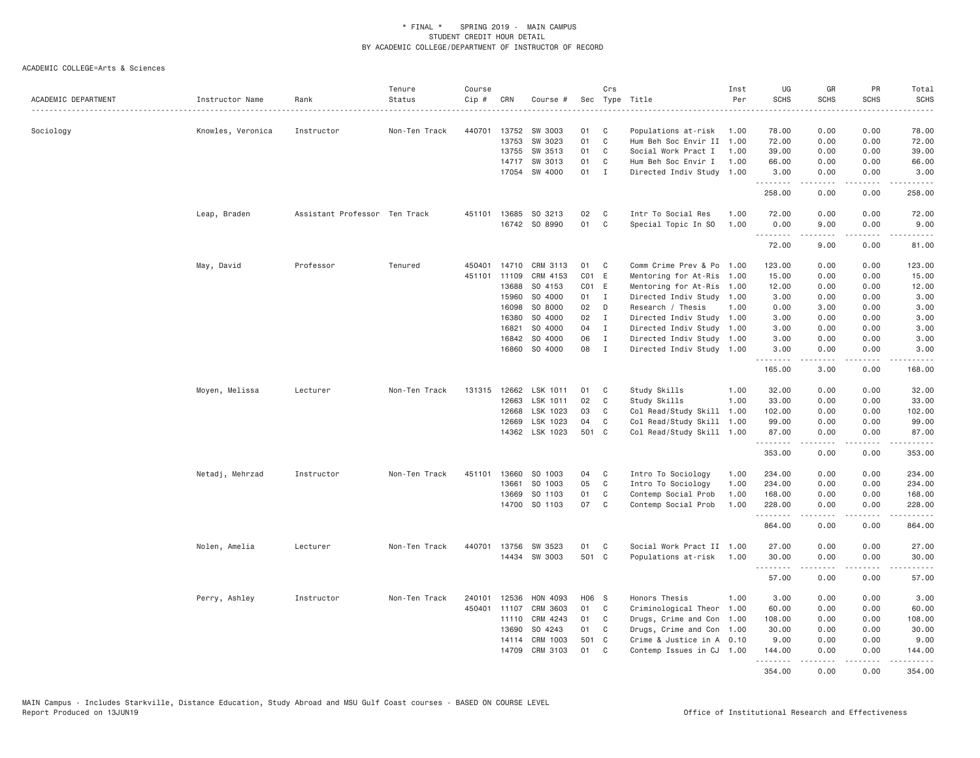| ACADEMIC DEPARTMENT | Instructor Name   | Rank                          | Tenure<br>Status | Course<br>Cip # | CRN   | Course #       |                   | Crs          | Sec Type Title            | Inst<br>Per | UG<br><b>SCHS</b> | GR<br><b>SCHS</b>                                                                                                                                            | PR<br><b>SCHS</b>                   | Total<br><b>SCHS</b><br>. |
|---------------------|-------------------|-------------------------------|------------------|-----------------|-------|----------------|-------------------|--------------|---------------------------|-------------|-------------------|--------------------------------------------------------------------------------------------------------------------------------------------------------------|-------------------------------------|---------------------------|
| Sociology           | Knowles, Veronica | Instructor                    | Non-Ten Track    | 440701          | 13752 | SW 3003        | 01                | C            | Populations at-risk       | 1.00        | 78.00             | 0.00                                                                                                                                                         | 0.00                                | 78.00                     |
|                     |                   |                               |                  |                 | 13753 | SW 3023        | 01                | $\mathbf{C}$ | Hum Beh Soc Envir II 1.00 |             | 72.00             | 0.00                                                                                                                                                         | 0.00                                | 72.00                     |
|                     |                   |                               |                  |                 | 13755 | SW 3513        | 01                | C            | Social Work Pract I       | 1.00        | 39.00             | 0.00                                                                                                                                                         | 0.00                                | 39.00                     |
|                     |                   |                               |                  |                 | 14717 | SW 3013        | 01                | C            | Hum Beh Soc Envir I       | 1.00        | 66.00             | 0.00                                                                                                                                                         | 0.00                                | 66.00                     |
|                     |                   |                               |                  |                 |       | 17054 SW 4000  | $01$ I            |              | Directed Indiv Study 1.00 |             | 3.00<br>.         | 0.00<br>.                                                                                                                                                    | 0.00<br>$\sim$ $\sim$ $\sim$        | 3,00<br>. <b>.</b>        |
|                     |                   |                               |                  |                 |       |                |                   |              |                           |             | 258.00            | 0.00                                                                                                                                                         | 0.00                                | 258.00                    |
|                     | Leap, Braden      | Assistant Professor Ten Track |                  | 451101          | 13685 | SO 3213        | 02                | C            | Intr To Social Res        | 1.00        | 72.00             | 0.00                                                                                                                                                         | 0.00                                | 72.00                     |
|                     |                   |                               |                  |                 |       | 16742 SO 8990  | 01                | C            | Special Topic In SO       | 1.00        | 0.00              | 9.00                                                                                                                                                         | 0.00                                | 9.00                      |
|                     |                   |                               |                  |                 |       |                |                   |              |                           |             | .                 |                                                                                                                                                              | $- - - -$                           | .                         |
|                     |                   |                               |                  |                 |       |                |                   |              |                           |             | 72.00             | 9.00                                                                                                                                                         | 0.00                                | 81.00                     |
|                     | May, David        | Professor                     | Tenured          | 450401          | 14710 | CRM 3113       | 01                | C            | Comm Crime Prev & Po 1.00 |             | 123.00            | 0.00                                                                                                                                                         | 0.00                                | 123.00                    |
|                     |                   |                               |                  | 451101          | 11109 | CRM 4153       | CO <sub>1</sub>   | E            | Mentoring for At-Ris      | 1.00        | 15.00             | 0.00                                                                                                                                                         | 0.00                                | 15.00                     |
|                     |                   |                               |                  |                 | 13688 | SO 4153        | CO <sub>1</sub> E |              | Mentoring for At-Ris      | 1.00        | 12.00             | 0.00                                                                                                                                                         | 0.00                                | 12.00                     |
|                     |                   |                               |                  |                 | 15960 | SO 4000        | 01                | $\mathbf{I}$ | Directed Indiv Study 1.00 |             | 3.00              | 0.00                                                                                                                                                         | 0.00                                | 3.00                      |
|                     |                   |                               |                  |                 | 16098 | SO 8000        | 02                | D            | Research / Thesis         | 1.00        | 0.00              | 3.00                                                                                                                                                         | 0.00                                | 3.00                      |
|                     |                   |                               |                  |                 | 16380 | SO 4000        | 02                | $\mathbf{I}$ | Directed Indiv Study 1.00 |             | 3.00              | 0.00                                                                                                                                                         | 0.00                                | 3.00                      |
|                     |                   |                               |                  |                 | 16821 | SO 4000        | 04                | $\mathbf{I}$ | Directed Indiv Study 1.00 |             | 3.00              | 0.00                                                                                                                                                         | 0.00                                | 3.00                      |
|                     |                   |                               |                  |                 | 16842 | SO 4000        | 06                | $\mathbf{I}$ | Directed Indiv Study 1.00 |             | 3.00              | 0.00                                                                                                                                                         | 0.00                                | 3.00                      |
|                     |                   |                               |                  |                 | 16860 | SO 4000        | 08                | $\mathbf{I}$ | Directed Indiv Study 1.00 |             | 3.00<br>.         | 0.00<br>2.2.2.2.2                                                                                                                                            | 0.00<br>.                           | 3.00<br>.                 |
|                     |                   |                               |                  |                 |       |                |                   |              |                           |             | 165.00            | 3.00                                                                                                                                                         | 0.00                                | 168.00                    |
|                     | Moyen, Melissa    | Lecturer                      | Non-Ten Track    | 131315          | 12662 | LSK 1011       | 01                | C            | Study Skills              | 1.00        | 32.00             | 0.00                                                                                                                                                         | 0.00                                | 32.00                     |
|                     |                   |                               |                  |                 | 12663 | LSK 1011       | 02                | C            | Study Skills              | 1.00        | 33.00             | 0.00                                                                                                                                                         | 0.00                                | 33.00                     |
|                     |                   |                               |                  |                 | 12668 | LSK 1023       | 03                | C            | Col Read/Study Skill 1.00 |             | 102.00            | 0.00                                                                                                                                                         | 0.00                                | 102.00                    |
|                     |                   |                               |                  |                 | 12669 | LSK 1023       | 04                | C            | Col Read/Study Skill 1.00 |             | 99.00             | 0.00                                                                                                                                                         | 0.00                                | 99.00                     |
|                     |                   |                               |                  |                 |       | 14362 LSK 1023 | 501 C             |              | Col Read/Study Skill 1.00 |             | 87.00             | 0.00<br>.                                                                                                                                                    | 0.00<br>.                           | 87.00                     |
|                     |                   |                               |                  |                 |       |                |                   |              |                           |             | .<br>353.00       | 0.00                                                                                                                                                         | 0.00                                | 353.00                    |
|                     | Netadj, Mehrzad   | Instructor                    | Non-Ten Track    | 451101          | 13660 | SO 1003        | 04                | C            | Intro To Sociology        | 1.00        | 234.00            | 0.00                                                                                                                                                         | 0.00                                | 234.00                    |
|                     |                   |                               |                  |                 | 13661 | SO 1003        | 05                | C            | Intro To Sociology        | 1.00        | 234.00            | 0.00                                                                                                                                                         | 0.00                                | 234.00                    |
|                     |                   |                               |                  |                 | 13669 | SO 1103        | 01                | C            | Contemp Social Prob       | 1.00        | 168.00            | 0.00                                                                                                                                                         | 0.00                                | 168.00                    |
|                     |                   |                               |                  |                 |       | 14700 SO 1103  | 07                | $\mathbf{C}$ | Contemp Social Prob       | 1.00        | 228.00<br>.       | 0.00                                                                                                                                                         | 0.00<br>$\sim$ $\sim$ $\sim$ $\sim$ | 228.00<br>.               |
|                     |                   |                               |                  |                 |       |                |                   |              |                           |             | 864.00            | 0.00                                                                                                                                                         | 0.00                                | 864.00                    |
|                     | Nolen, Amelia     | Lecturer                      | Non-Ten Track    | 440701          | 13756 | SW 3523        | 01                | C            | Social Work Pract II 1.00 |             | 27.00             | 0.00                                                                                                                                                         | 0.00                                | 27.00                     |
|                     |                   |                               |                  |                 |       | 14434 SW 3003  | 501 C             |              | Populations at-risk       | 1.00        | 30.00             | 0.00                                                                                                                                                         | 0.00                                | 30.00                     |
|                     |                   |                               |                  |                 |       |                |                   |              |                           |             | .<br>57.00        | 0.00                                                                                                                                                         | .<br>0.00                           | .<br>57.00                |
|                     | Perry, Ashley     | Instructor                    | Non-Ten Track    | 240101          | 12536 | HON 4093       | H06 S             |              | Honors Thesis             | 1.00        | 3.00              | 0.00                                                                                                                                                         | 0.00                                | 3.00                      |
|                     |                   |                               |                  | 450401          | 11107 | CRM 3603       | 01                | C            | Criminological Theor 1.00 |             | 60.00             | 0.00                                                                                                                                                         | 0.00                                | 60.00                     |
|                     |                   |                               |                  |                 | 11110 | CRM 4243       | 01                | C            | Drugs, Crime and Con 1.00 |             | 108.00            | 0.00                                                                                                                                                         | 0.00                                | 108.00                    |
|                     |                   |                               |                  |                 | 13690 | SO 4243        | 01                | C            | Drugs, Crime and Con 1.00 |             | 30.00             | 0.00                                                                                                                                                         | 0.00                                | 30.00                     |
|                     |                   |                               |                  |                 | 14114 | CRM 1003       | 501               | C            | Crime & Justice in A 0.10 |             | 9.00              | 0.00                                                                                                                                                         | 0.00                                | 9.00                      |
|                     |                   |                               |                  |                 | 14709 | CRM 3103       | 01                | C            | Contemp Issues in CJ 1.00 |             | 144.00            | 0.00                                                                                                                                                         | 0.00                                | 144.00                    |
|                     |                   |                               |                  |                 |       |                |                   |              |                           |             | .<br>354.00       | $\frac{1}{2} \left( \frac{1}{2} \right) \left( \frac{1}{2} \right) \left( \frac{1}{2} \right) \left( \frac{1}{2} \right) \left( \frac{1}{2} \right)$<br>0.00 | .<br>0.00                           | .<br>354.00               |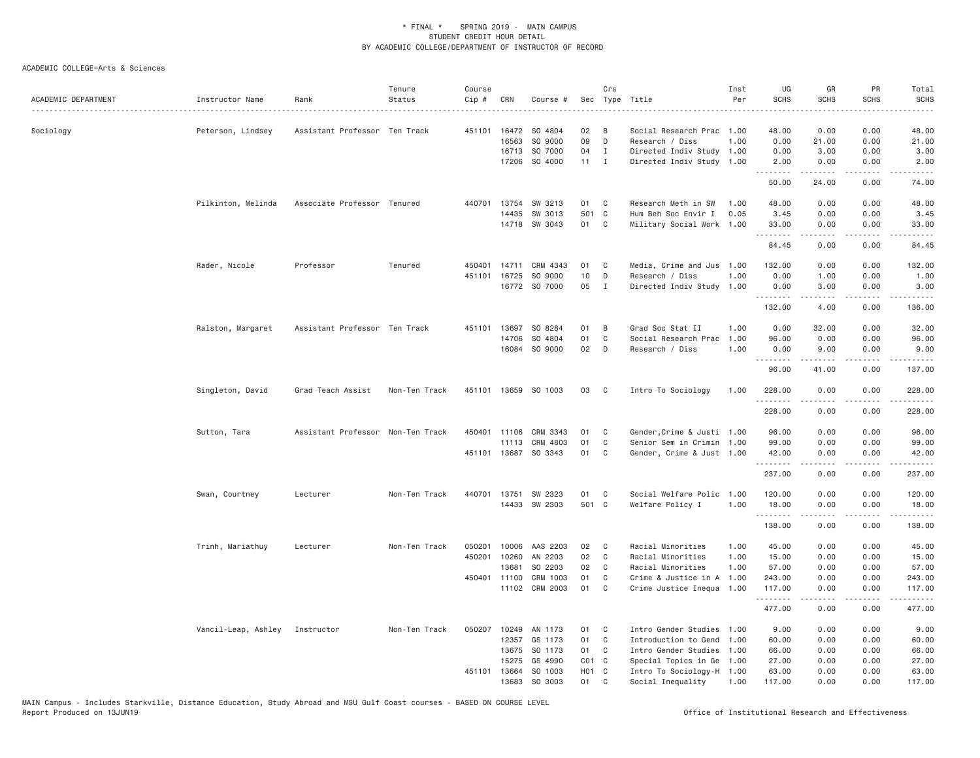| ACADEMIC DEPARTMENT | Instructor Name     | Rank                              | Tenure<br>Status | Course<br>Cip # | CRN          | Course #                 |                    | Crs               | Sec Type Title             | Inst<br>Per | UG<br><b>SCHS</b>  | GR<br><b>SCHS</b>                                                                                                                                    | PR<br><b>SCHS</b>            | Total<br><b>SCHS</b><br>$\sim$ $\sim$ $\sim$ $\sim$ $\sim$ |
|---------------------|---------------------|-----------------------------------|------------------|-----------------|--------------|--------------------------|--------------------|-------------------|----------------------------|-------------|--------------------|------------------------------------------------------------------------------------------------------------------------------------------------------|------------------------------|------------------------------------------------------------|
| Sociology           | Peterson, Lindsey   | Assistant Professor Ten Track     |                  |                 |              | 451101 16472 SO 4804     | 02                 | B                 | Social Research Prac 1.00  |             | 48.00              | 0.00                                                                                                                                                 | 0.00                         | 48.00                                                      |
|                     |                     |                                   |                  |                 | 16563        | SO 9000                  | 09                 | D                 | Research / Diss            | 1.00        | 0.00               | 21.00                                                                                                                                                | 0.00                         | 21.00                                                      |
|                     |                     |                                   |                  |                 |              | 16713 SO 7000            | 04                 | $\mathbf I$       | Directed Indiv Study 1.00  |             | 0.00               | 3.00                                                                                                                                                 | 0.00                         | 3.00                                                       |
|                     |                     |                                   |                  |                 |              | 17206 SO 4000            | $11 \quad I$       |                   | Directed Indiv Study       | 1.00        | 2.00<br>.          | 0.00                                                                                                                                                 | 0.00<br>.                    | 2.00                                                       |
|                     |                     |                                   |                  |                 |              |                          |                    |                   |                            |             | 50.00              | 24.00                                                                                                                                                | 0.00                         | 74.00                                                      |
|                     | Pilkinton, Melinda  | Associate Professor Tenured       |                  |                 | 440701 13754 | SW 3213                  | 01                 | $\mathbf{C}$      | Research Meth in SW        | 1.00        | 48.00              | 0.00                                                                                                                                                 | 0.00                         | 48.00                                                      |
|                     |                     |                                   |                  |                 | 14435        | SW 3013<br>14718 SW 3043 | 501<br>01          | $\mathbf{C}$<br>C | Hum Beh Soc Envir I        | 0.05        | 3.45<br>33.00      | 0.00<br>0.00                                                                                                                                         | 0.00<br>0.00                 | 3.45<br>33.00                                              |
|                     |                     |                                   |                  |                 |              |                          |                    |                   | Military Social Work 1.00  |             | .                  | $\frac{1}{2} \left( \frac{1}{2} \right) \left( \frac{1}{2} \right) \left( \frac{1}{2} \right) \left( \frac{1}{2} \right) \left( \frac{1}{2} \right)$ | .                            | .                                                          |
|                     |                     |                                   |                  |                 |              |                          |                    |                   |                            |             | 84.45              | 0.00                                                                                                                                                 | 0.00                         | 84.45                                                      |
|                     | Rader, Nicole       | Professor                         | Tenured          | 450401          | 14711        | CRM 4343                 | 01                 | C                 | Media, Crime and Jus 1.00  |             | 132.00             | 0.00                                                                                                                                                 | 0.00                         | 132.00                                                     |
|                     |                     |                                   |                  | 451101          | 16725        | SO 9000                  | 10                 | D                 | Research / Diss            | 1.00        | 0.00               | 1.00                                                                                                                                                 | 0.00                         | 1.00                                                       |
|                     |                     |                                   |                  |                 |              | 16772 SO 7000            | 05                 | $\mathbf{I}$      | Directed Indiv Study 1.00  |             | 0.00<br>.          | 3.00<br>-----                                                                                                                                        | 0.00<br>د د د د              | 3.00<br>.                                                  |
|                     |                     |                                   |                  |                 |              |                          |                    |                   |                            |             | 132.00             | 4.00                                                                                                                                                 | 0.00                         | 136.00                                                     |
|                     | Ralston, Margaret   | Assistant Professor Ten Track     |                  | 451101          | 13697        | SO 8284                  | 01                 | B                 | Grad Soc Stat II           | 1.00        | 0.00               | 32.00                                                                                                                                                | 0.00                         | 32.00                                                      |
|                     |                     |                                   |                  |                 | 14706        | SO 4804                  | 01                 | C                 | Social Research Prac       | 1.00        | 96.00              | 0.00                                                                                                                                                 | 0.00                         | 96.00                                                      |
|                     |                     |                                   |                  |                 |              | 16084 SO 9000            | 02                 | D                 | Research / Diss            | 1.00        | 0.00<br>.          | 9.00                                                                                                                                                 | 0.00<br>.                    | 9.00<br>.                                                  |
|                     |                     |                                   |                  |                 |              |                          |                    |                   |                            |             | 96.00              | 41.00                                                                                                                                                | 0.00                         | 137.00                                                     |
|                     | Singleton, David    | Grad Teach Assist                 | Non-Ten Track    |                 |              | 451101 13659 SO 1003     | 03                 | C                 | Intro To Sociology         | 1.00        | 228.00<br>.        | 0.00                                                                                                                                                 | 0.00<br>.                    | 228.00<br>.                                                |
|                     |                     |                                   |                  |                 |              |                          |                    |                   |                            |             | 228.00             | .<br>0.00                                                                                                                                            | 0.00                         | 228.00                                                     |
|                     | Sutton, Tara        | Assistant Professor Non-Ten Track |                  |                 | 450401 11106 | CRM 3343                 | 01                 | C                 | Gender, Crime & Justi 1.00 |             | 96.00              | 0.00                                                                                                                                                 | 0.00                         | 96.00                                                      |
|                     |                     |                                   |                  |                 |              | 11113 CRM 4803           | 01                 | $\mathbb C$       | Senior Sem in Crimin 1.00  |             | 99.00              | 0.00                                                                                                                                                 | 0.00                         | 99.00                                                      |
|                     |                     |                                   |                  |                 |              | 451101 13687 SO 3343     | 01                 | C                 | Gender, Crime & Just 1.00  |             | 42.00              | 0.00                                                                                                                                                 | 0.00                         | 42.00                                                      |
|                     |                     |                                   |                  |                 |              |                          |                    |                   |                            |             | 237.00             | 0.00                                                                                                                                                 | $\sim$ $\sim$ $\sim$<br>0.00 | .<br>237.00                                                |
|                     | Swan, Courtney      | Lecturer                          | Non-Ten Track    |                 |              | 440701 13751 SW 2323     | 01                 | $\mathbf{C}$      | Social Welfare Polic 1.00  |             | 120.00             | 0.00                                                                                                                                                 | 0.00                         | 120.00                                                     |
|                     |                     |                                   |                  |                 |              | 14433 SW 2303            | 501 C              |                   | Welfare Policy I           | 1.00        | 18.00              | 0.00                                                                                                                                                 | 0.00                         | 18.00                                                      |
|                     |                     |                                   |                  |                 |              |                          |                    |                   |                            |             | <u>.</u><br>138.00 | 0.00                                                                                                                                                 | $- - - -$<br>0.00            | .<br>138.00                                                |
|                     | Trinh, Mariathuy    | Lecturer                          | Non-Ten Track    | 050201          |              | 10006 AAS 2203           | 02                 | $\mathbf{C}$      | Racial Minorities          | 1.00        | 45.00              | 0.00                                                                                                                                                 | 0.00                         | 45.00                                                      |
|                     |                     |                                   |                  | 450201          | 10260        | AN 2203                  | 02                 | $\mathbb C$       | Racial Minorities          | 1.00        | 15.00              | 0.00                                                                                                                                                 | 0.00                         | 15.00                                                      |
|                     |                     |                                   |                  |                 | 13681        | SO 2203                  | 02                 | C                 | Racial Minorities          | 1.00        | 57.00              | 0.00                                                                                                                                                 | 0.00                         | 57.00                                                      |
|                     |                     |                                   |                  |                 | 450401 11100 | CRM 1003                 | 01                 | C                 | Crime & Justice in A       | 1.00        | 243.00             | 0.00                                                                                                                                                 | 0.00                         | 243.00                                                     |
|                     |                     |                                   |                  |                 |              | 11102 CRM 2003           | 01                 | C                 | Crime Justice Inequa       | 1.00        | 117.00             | 0.00                                                                                                                                                 | 0.00                         | 117.00                                                     |
|                     |                     |                                   |                  |                 |              |                          |                    |                   |                            |             | .<br>477.00        | .<br>0.00                                                                                                                                            | .<br>0.00                    | د د د د د د<br>477.00                                      |
|                     | Vancil-Leap, Ashley | Instructor                        | Non-Ten Track    | 050207          | 10249        | AN 1173                  | 01                 | C                 | Intro Gender Studies       | 1.00        | 9.00               | 0.00                                                                                                                                                 | 0.00                         | 9.00                                                       |
|                     |                     |                                   |                  |                 | 12357        | GS 1173                  | 01                 | C                 | Introduction to Gend       | 1.00        | 60.00              | 0.00                                                                                                                                                 | 0.00                         | 60.00                                                      |
|                     |                     |                                   |                  |                 | 13675        | SO 1173                  | 01                 | C                 | Intro Gender Studies       | 1.00        | 66.00              | 0.00                                                                                                                                                 | 0.00                         | 66.00                                                      |
|                     |                     |                                   |                  |                 | 15275        | GS 4990                  | $CO1$ $C$          |                   | Special Topics in Ge       | 1.00        | 27,00              | 0.00                                                                                                                                                 | 0.00                         | 27.00                                                      |
|                     |                     |                                   |                  | 451101          | 13664        | SO 1003                  | H <sub>0</sub> 1 C |                   | Intro To Sociology-H 1.00  |             | 63.00              | 0.00                                                                                                                                                 | 0.00                         | 63.00                                                      |
|                     |                     |                                   |                  |                 |              | 13683 SO 3003            | 01                 | C                 | Social Inequality          | 1.00        | 117.00             | 0.00                                                                                                                                                 | 0.00                         | 117.00                                                     |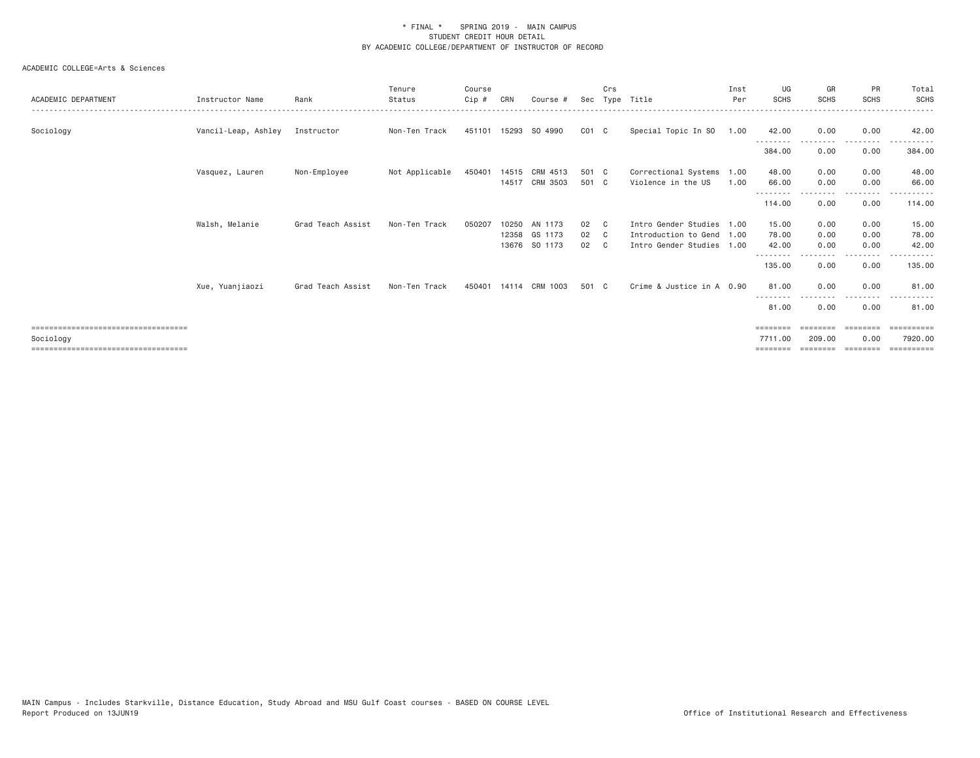| ACADEMIC DEPARTMENT                                                                         | Instructor Name     | Rank              | Tenure<br>Status | Course<br>$C$ ip # | CRN   | Course #                                  | Sec              | Crs<br>Type                  | Title                                                                     | Inst<br>Per  | UG<br><b>SCHS</b>                        | GR<br><b>SCHS</b>              | <b>PR</b><br><b>SCHS</b>                                                                    | Total<br>SCHS                       |
|---------------------------------------------------------------------------------------------|---------------------|-------------------|------------------|--------------------|-------|-------------------------------------------|------------------|------------------------------|---------------------------------------------------------------------------|--------------|------------------------------------------|--------------------------------|---------------------------------------------------------------------------------------------|-------------------------------------|
| Sociology                                                                                   | Vancil-Leap, Ashley | Instructor        | Non-Ten Track    |                    |       | 451101 15293 SO 4990                      | $CO1$ $C$        |                              | Special Topic In SO                                                       | 1.00         | 42.00                                    | 0.00                           | 0.00<br>- - - - -                                                                           | 42.00                               |
|                                                                                             |                     |                   |                  |                    |       |                                           |                  |                              |                                                                           |              | 384.00                                   | 0.00                           | 0.00                                                                                        | 384.00                              |
|                                                                                             | Vasquez, Lauren     | Non-Employee      | Not Applicable   | 450401             |       | 14515 CRM 4513<br>14517 CRM 3503          | 501 C<br>501 C   |                              | Correctional Systems<br>Violence in the US                                | 1.00<br>1.00 | 48.00<br>66.00                           | 0.00<br>0.00                   | 0.00<br>0.00                                                                                | 48.00<br>66.00                      |
|                                                                                             |                     |                   |                  |                    |       |                                           |                  |                              |                                                                           |              | 114.00                                   | 0.00                           | 0.00                                                                                        | 114.00                              |
|                                                                                             | Walsh, Melanie      | Grad Teach Assist | Non-Ten Track    | 050207             | 10250 | AN 1173<br>12358 GS 1173<br>13676 SO 1173 | 02<br>02 C<br>02 | $\mathbf{C}$<br>$\mathbf{C}$ | Intro Gender Studies<br>Introduction to Gend 1.00<br>Intro Gender Studies | 1.00<br>1.00 | 15.00<br>78.00<br>42.00                  | 0.00<br>0.00<br>0.00           | 0.00<br>0.00<br>0.00                                                                        | 15.00<br>78.00<br>42.00             |
|                                                                                             |                     |                   |                  |                    |       |                                           |                  |                              |                                                                           |              | ---------<br>135.00                      | 0.00                           | .<br>0.00                                                                                   | 135.00                              |
|                                                                                             | Xue, Yuanjiaozi     | Grad Teach Assist | Non-Ten Track    | 450401             | 14114 | CRM 1003                                  | 501 C            |                              | Crime & Justice in A 0.90                                                 |              | 81.00                                    | 0.00                           | 0.00                                                                                        | 81,00                               |
|                                                                                             |                     |                   |                  |                    |       |                                           |                  |                              |                                                                           |              | 81.00                                    | 0.00                           | 0.00                                                                                        | 81.00                               |
| =====================================<br>Sociology<br>===================================== |                     |                   |                  |                    |       |                                           |                  |                              |                                                                           |              | $=$ = = = = = = =<br>7711.00<br>======== | --------<br>209,00<br>======== | $\qquad \qquad \equiv \equiv \equiv \equiv \equiv \equiv \equiv \equiv$<br>0.00<br>======== | ==========<br>7920,00<br>========== |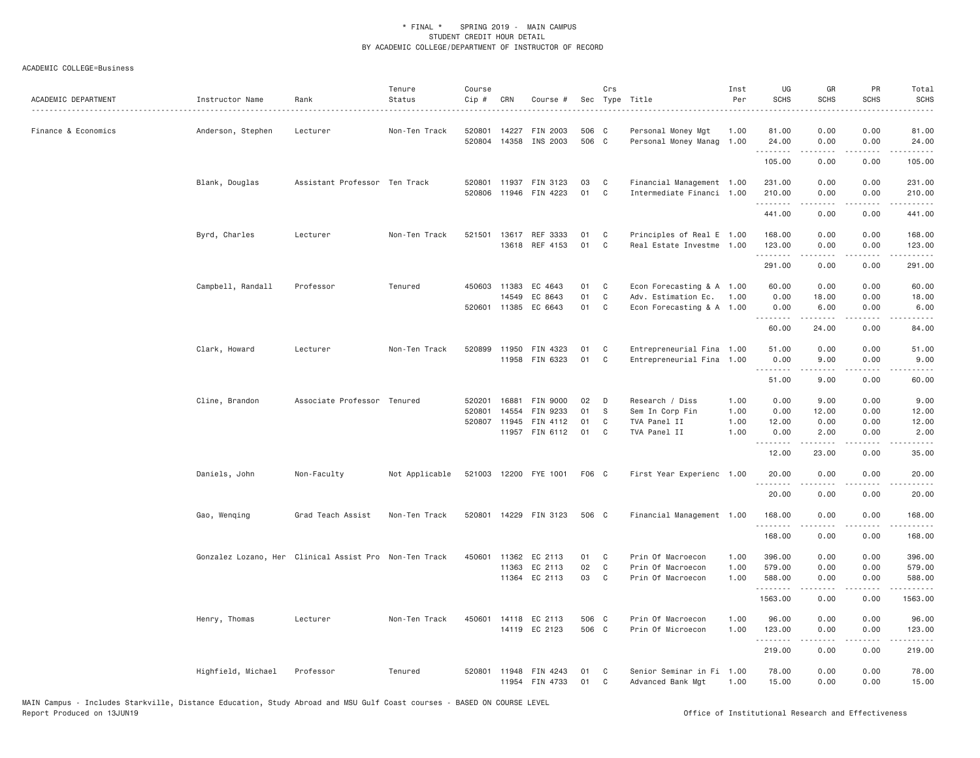| ACADEMIC DEPARTMENT | Instructor Name                                        | Rank                          | Tenure<br>Status | Course<br>Cip # | CRN                   | Course #                          |                | Crs               | Sec Type Title                                   | Inst<br>Per  | UG<br><b>SCHS</b>     | GR<br><b>SCHS</b> | PR<br><b>SCHS</b> | Total<br><b>SCHS</b>                                                                                                                                           |
|---------------------|--------------------------------------------------------|-------------------------------|------------------|-----------------|-----------------------|-----------------------------------|----------------|-------------------|--------------------------------------------------|--------------|-----------------------|-------------------|-------------------|----------------------------------------------------------------------------------------------------------------------------------------------------------------|
| Finance & Economics | Anderson, Stephen                                      | Lecturer                      | Non-Ten Track    | 520801          | 14227                 | FIN 2003<br>520804 14358 INS 2003 | 506 C<br>506 C |                   | Personal Money Mgt<br>Personal Money Manag 1.00  | 1.00         | 81.00<br>24.00        | 0.00<br>0.00      | 0.00<br>0.00      | 81.00<br>24.00                                                                                                                                                 |
|                     |                                                        |                               |                  |                 |                       |                                   |                |                   |                                                  |              | <u>.</u><br>105.00    | .<br>0.00         | .<br>0.00         | .<br>105.00                                                                                                                                                    |
|                     | Blank, Douglas                                         | Assistant Professor Ten Track |                  | 520801          | 11937                 | FIN 3123                          | 03             | C                 | Financial Management 1.00                        |              | 231.00                | 0.00              | 0.00              | 231.00                                                                                                                                                         |
|                     |                                                        |                               |                  | 520806          | 11946                 | FIN 4223                          | 01             | C                 | Intermediate Financi 1.00                        |              | 210.00<br>1.1.1.1.1.1 | 0.00              | 0.00<br>.         | 210.00<br>.                                                                                                                                                    |
|                     |                                                        |                               |                  |                 |                       |                                   |                |                   |                                                  |              | 441.00                | 0.00              | 0.00              | 441.00                                                                                                                                                         |
|                     | Byrd, Charles                                          | Lecturer                      | Non-Ten Track    | 521501          |                       | 13617 REF 3333                    | 01             | C <sub>1</sub>    | Principles of Real E 1.00                        |              | 168.00                | 0.00              | 0.00              | 168.00                                                                                                                                                         |
|                     |                                                        |                               |                  |                 |                       | 13618 REF 4153                    | 01             | C                 | Real Estate Investme 1.00                        |              | 123.00<br>.           | 0.00<br>.         | 0.00<br>.         | 123.00<br>.                                                                                                                                                    |
|                     |                                                        |                               |                  |                 |                       |                                   |                |                   |                                                  |              | 291.00                | 0.00              | 0.00              | 291.00                                                                                                                                                         |
|                     | Campbell, Randall                                      | Professor                     | Tenured          |                 | 450603 11383          | EC 4643                           | 01             | C                 | Econ Forecasting & A 1.00                        |              | 60.00                 | 0.00              | 0.00              | 60.00                                                                                                                                                          |
|                     |                                                        |                               |                  |                 | 14549<br>520601 11385 | EC 8643<br>EC 6643                | 01<br>01       | C<br>$\mathbf{C}$ | Adv. Estimation Ec.<br>Econ Forecasting & A 1.00 | 1.00         | 0.00<br>0.00          | 18.00<br>6.00     | 0.00<br>0.00      | 18.00<br>6.00                                                                                                                                                  |
|                     |                                                        |                               |                  |                 |                       |                                   |                |                   |                                                  |              | .                     |                   | .                 | $\cdots$                                                                                                                                                       |
|                     |                                                        |                               |                  |                 |                       |                                   |                |                   |                                                  |              | 60.00                 | 24.00             | 0.00              | 84.00                                                                                                                                                          |
|                     | Clark, Howard                                          | Lecturer                      | Non-Ten Track    | 520899          | 11950                 | FIN 4323                          | 01             | C                 | Entrepreneurial Fina 1.00                        |              | 51.00                 | 0.00              | 0.00              | 51.00                                                                                                                                                          |
|                     |                                                        |                               |                  |                 |                       | 11958 FIN 6323                    | 01             | C                 | Entrepreneurial Fina 1.00                        |              | 0.00                  | 9.00              | 0.00<br>$  -$     | 9.00                                                                                                                                                           |
|                     |                                                        |                               |                  |                 |                       |                                   |                |                   |                                                  |              | 51.00                 | 9.00              | 0.00              | 60.00                                                                                                                                                          |
|                     | Cline, Brandon                                         | Associate Professor Tenured   |                  | 520201          |                       | 16881 FIN 9000                    | 02             | D                 | Research / Diss                                  | 1.00         | 0.00                  | 9.00              | 0.00              | 9.00                                                                                                                                                           |
|                     |                                                        |                               |                  | 520801          | 14554                 | FIN 9233                          | 01             | S                 | Sem In Corp Fin                                  | 1.00         | 0.00                  | 12.00             | 0.00              | 12.00                                                                                                                                                          |
|                     |                                                        |                               |                  | 520807          | 11945                 | FIN 4112<br>11957 FIN 6112        | 01<br>01       | C<br>C            | TVA Panel II<br>TVA Panel II                     | 1.00<br>1.00 | 12.00<br>0.00         | 0.00<br>2.00      | 0.00<br>0.00      | 12.00<br>2.00                                                                                                                                                  |
|                     |                                                        |                               |                  |                 |                       |                                   |                |                   |                                                  |              | <u>.</u>              | <b>.</b>          | $\frac{1}{2}$     | $    -$                                                                                                                                                        |
|                     |                                                        |                               |                  |                 |                       |                                   |                |                   |                                                  |              | 12.00                 | 23.00             | 0.00              | 35.00                                                                                                                                                          |
|                     | Daniels, John                                          | Non-Faculty                   | Not Applicable   |                 |                       | 521003 12200 FYE 1001             | F06 C          |                   | First Year Experienc 1.00                        |              | 20.00                 | 0.00              | 0.00              | 20.00                                                                                                                                                          |
|                     |                                                        |                               |                  |                 |                       |                                   |                |                   |                                                  |              | .<br>20.00            | .<br>0.00         | .<br>0.00         | $\sim$ $\sim$ $\sim$ $\sim$<br>20.00                                                                                                                           |
|                     | Gao, Wenqing                                           | Grad Teach Assist             | Non-Ten Track    |                 |                       | 520801 14229 FIN 3123             | 506 C          |                   | Financial Management 1.00                        |              | 168.00                | 0.00              | 0.00              | 168.00                                                                                                                                                         |
|                     |                                                        |                               |                  |                 |                       |                                   |                |                   |                                                  |              | .<br>168.00           | <b>.</b><br>0.00  | .<br>0.00         | .<br>168.00                                                                                                                                                    |
|                     | Gonzalez Lozano, Her Clinical Assist Pro Non-Ten Track |                               |                  | 450601          | 11362                 | EC 2113                           | 01             | C                 | Prin Of Macroecon                                | 1.00         | 396.00                | 0.00              | 0.00              | 396.00                                                                                                                                                         |
|                     |                                                        |                               |                  |                 | 11363                 | EC 2113                           | 02             | $\mathbf{C}$      | Prin Of Macroecon                                | 1.00         | 579.00                | 0.00              | 0.00              | 579.00                                                                                                                                                         |
|                     |                                                        |                               |                  |                 |                       | 11364 EC 2113                     | 03             | $\mathbf{C}$      | Prin Of Macroecon                                | 1.00         | 588.00                | 0.00              | 0.00              | 588.00                                                                                                                                                         |
|                     |                                                        |                               |                  |                 |                       |                                   |                |                   |                                                  |              | .<br>1563.00          | .<br>0.00         | .<br>0.00         | .<br>1563.00                                                                                                                                                   |
|                     | Henry, Thomas                                          | Lecturer                      | Non-Ten Track    | 450601          |                       | 14118 EC 2113                     | 506 C          |                   | Prin Of Macroecon                                | 1.00         | 96.00                 | 0.00              | 0.00              | 96.00                                                                                                                                                          |
|                     |                                                        |                               |                  |                 |                       | 14119 EC 2123                     | 506 C          |                   | Prin Of Microecon                                | 1.00         | 123.00                | 0.00              | 0.00              | 123.00                                                                                                                                                         |
|                     |                                                        |                               |                  |                 |                       |                                   |                |                   |                                                  |              | .<br>219.00           | .<br>0.00         | د د د د<br>0.00   | $\frac{1}{2} \left( \frac{1}{2} \right) \left( \frac{1}{2} \right) \left( \frac{1}{2} \right) \left( \frac{1}{2} \right) \left( \frac{1}{2} \right)$<br>219.00 |
|                     | Highfield, Michael                                     | Professor                     | Tenured          | 520801          |                       | 11948 FIN 4243<br>11954 FIN 4733  | 01<br>01       | C<br>C            | Senior Seminar in Fi 1.00<br>Advanced Bank Mgt   | 1.00         | 78.00<br>15.00        | 0.00<br>0.00      | 0.00<br>0.00      | 78.00<br>15.00                                                                                                                                                 |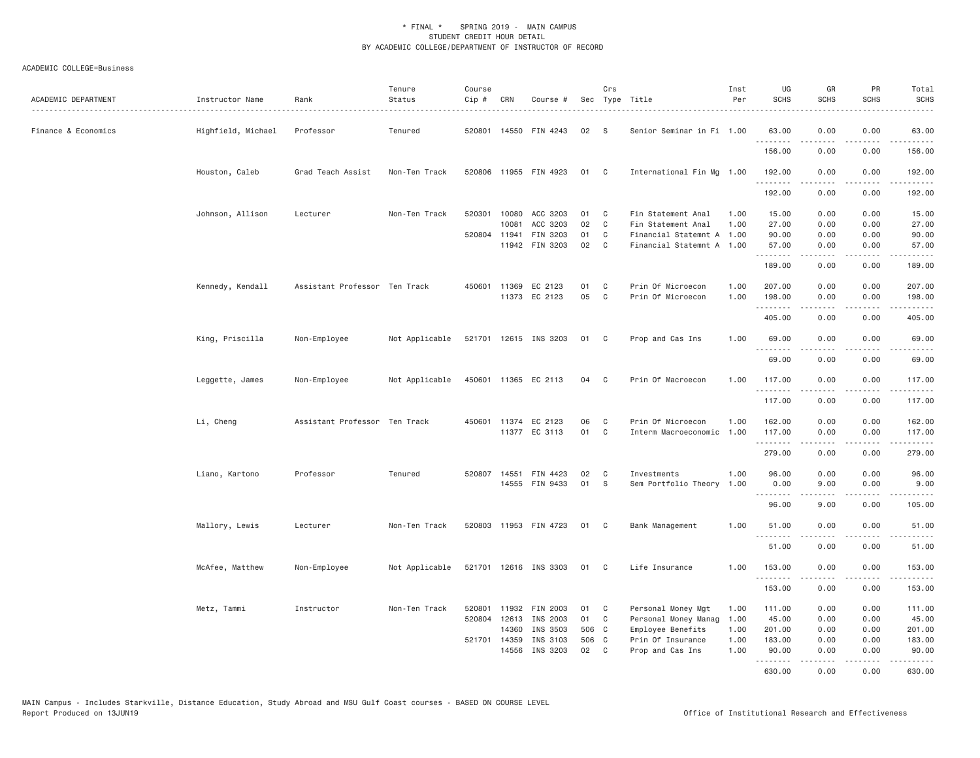| ACADEMIC DEPARTMENT | Instructor Name    | Rank                          | Tenure<br>Status | Course<br>Cip# | CRN          | Course #              |       | Crs            | Sec Type Title            | Inst<br>Per | UG<br><b>SCHS</b> | GR<br><b>SCHS</b>                                                                                                                    | PR<br><b>SCHS</b>                   | Total<br><b>SCHS</b>                                                                                                                                                                                                                                                                                                                                                                                                                                                                            |
|---------------------|--------------------|-------------------------------|------------------|----------------|--------------|-----------------------|-------|----------------|---------------------------|-------------|-------------------|--------------------------------------------------------------------------------------------------------------------------------------|-------------------------------------|-------------------------------------------------------------------------------------------------------------------------------------------------------------------------------------------------------------------------------------------------------------------------------------------------------------------------------------------------------------------------------------------------------------------------------------------------------------------------------------------------|
| Finance & Economics | Highfield, Michael | Professor                     | Tenured          | 520801         |              | 14550 FIN 4243        | 02    | -S             | Senior Seminar in Fi 1.00 |             | 63.00<br><u>.</u> | 0.00<br>.                                                                                                                            | 0.00<br>$- - - -$                   | 63.00<br>$\begin{array}{cccccccccccccc} \multicolumn{2}{c}{} & \multicolumn{2}{c}{} & \multicolumn{2}{c}{} & \multicolumn{2}{c}{} & \multicolumn{2}{c}{} & \multicolumn{2}{c}{} & \multicolumn{2}{c}{} & \multicolumn{2}{c}{} & \multicolumn{2}{c}{} & \multicolumn{2}{c}{} & \multicolumn{2}{c}{} & \multicolumn{2}{c}{} & \multicolumn{2}{c}{} & \multicolumn{2}{c}{} & \multicolumn{2}{c}{} & \multicolumn{2}{c}{} & \multicolumn{2}{c}{} & \multicolumn{2}{c}{} & \multicolumn{2}{c}{} & \$ |
|                     |                    |                               |                  |                |              |                       |       |                |                           |             | 156.00            | 0.00                                                                                                                                 | 0.00                                | 156.00                                                                                                                                                                                                                                                                                                                                                                                                                                                                                          |
|                     | Houston, Caleb     | Grad Teach Assist             | Non-Ten Track    |                |              | 520806 11955 FIN 4923 | 01 C  |                | International Fin Mg 1.00 |             | 192.00<br>.       | 0.00<br>.                                                                                                                            | 0.00<br>$\sim$ $\sim$ $\sim$        | 192,00<br>.                                                                                                                                                                                                                                                                                                                                                                                                                                                                                     |
|                     |                    |                               |                  |                |              |                       |       |                |                           |             | 192.00            | 0.00                                                                                                                                 | 0.00                                | 192.00                                                                                                                                                                                                                                                                                                                                                                                                                                                                                          |
|                     | Johnson, Allison   | Lecturer                      | Non-Ten Track    | 520301         | 10080        | ACC 3203              | 01    | C              | Fin Statement Anal        | 1.00        | 15.00             | 0.00                                                                                                                                 | 0.00                                | 15.00                                                                                                                                                                                                                                                                                                                                                                                                                                                                                           |
|                     |                    |                               |                  |                | 10081        | ACC 3203              | 02    | C              | Fin Statement Anal        | 1.00        | 27.00             | 0.00                                                                                                                                 | 0.00                                | 27.00                                                                                                                                                                                                                                                                                                                                                                                                                                                                                           |
|                     |                    |                               |                  |                |              | 520804 11941 FIN 3203 | 01    | C              | Financial Statemnt A 1.00 |             | 90.00             | 0.00                                                                                                                                 | 0.00                                | 90.00                                                                                                                                                                                                                                                                                                                                                                                                                                                                                           |
|                     |                    |                               |                  |                |              | 11942 FIN 3203        | 02    | $\mathbf{C}$   | Financial Statemnt A 1.00 |             | 57.00<br>.        | 0.00<br>$\omega = \omega \omega + \omega$                                                                                            | 0.00<br>.                           | 57.00<br>------                                                                                                                                                                                                                                                                                                                                                                                                                                                                                 |
|                     |                    |                               |                  |                |              |                       |       |                |                           |             | 189.00            | 0.00                                                                                                                                 | 0.00                                | 189.00                                                                                                                                                                                                                                                                                                                                                                                                                                                                                          |
|                     | Kennedy, Kendall   | Assistant Professor Ten Track |                  | 450601         |              | 11369 EC 2123         | 01    | C              | Prin Of Microecon         | 1.00        | 207.00            | 0.00                                                                                                                                 | 0.00                                | 207.00                                                                                                                                                                                                                                                                                                                                                                                                                                                                                          |
|                     |                    |                               |                  |                |              | 11373 EC 2123         | 05    | C              | Prin Of Microecon         | 1.00        | 198.00            | 0.00                                                                                                                                 | 0.00                                | 198.00                                                                                                                                                                                                                                                                                                                                                                                                                                                                                          |
|                     |                    |                               |                  |                |              |                       |       |                |                           |             | .                 | $- - - - -$                                                                                                                          | .                                   | .                                                                                                                                                                                                                                                                                                                                                                                                                                                                                               |
|                     |                    |                               |                  |                |              |                       |       |                |                           |             | 405.00            | 0.00                                                                                                                                 | 0.00                                | 405.00                                                                                                                                                                                                                                                                                                                                                                                                                                                                                          |
|                     | King, Priscilla    | Non-Employee                  | Not Applicable   |                |              | 521701 12615 INS 3203 | 01 C  |                | Prop and Cas Ins          | 1.00        | 69.00             | 0.00                                                                                                                                 | 0.00                                | 69.00                                                                                                                                                                                                                                                                                                                                                                                                                                                                                           |
|                     |                    |                               |                  |                |              |                       |       |                |                           |             | .<br>69.00        | .<br>0.00                                                                                                                            | $\sim$ $\sim$ $\sim$ $\sim$<br>0.00 | .<br>69.00                                                                                                                                                                                                                                                                                                                                                                                                                                                                                      |
|                     |                    |                               |                  |                |              |                       |       |                |                           |             |                   |                                                                                                                                      |                                     |                                                                                                                                                                                                                                                                                                                                                                                                                                                                                                 |
|                     | Leggette, James    | Non-Employee                  | Not Applicable   |                |              | 450601 11365 EC 2113  | 04    | C <sub>c</sub> | Prin Of Macroecon         | 1.00        | 117.00<br>.       | 0.00<br>.                                                                                                                            | 0.00<br>$\sim$ $\sim$ $\sim$ $\sim$ | 117.00<br>.                                                                                                                                                                                                                                                                                                                                                                                                                                                                                     |
|                     |                    |                               |                  |                |              |                       |       |                |                           |             | 117.00            | 0.00                                                                                                                                 | 0.00                                | 117.00                                                                                                                                                                                                                                                                                                                                                                                                                                                                                          |
|                     | Li, Cheng          | Assistant Professor Ten Track |                  | 450601         |              | 11374 EC 2123         | 06    | C              | Prin Of Microecon         | 1.00        | 162.00            | 0.00                                                                                                                                 | 0.00                                | 162.00                                                                                                                                                                                                                                                                                                                                                                                                                                                                                          |
|                     |                    |                               |                  |                |              | 11377 EC 3113         | 01    | C              | Interm Macroeconomic 1.00 |             | 117.00            | 0.00                                                                                                                                 | 0.00                                | 117.00                                                                                                                                                                                                                                                                                                                                                                                                                                                                                          |
|                     |                    |                               |                  |                |              |                       |       |                |                           |             | .                 | .                                                                                                                                    | .                                   | .                                                                                                                                                                                                                                                                                                                                                                                                                                                                                               |
|                     |                    |                               |                  |                |              |                       |       |                |                           |             | 279.00            | 0.00                                                                                                                                 | 0.00                                | 279.00                                                                                                                                                                                                                                                                                                                                                                                                                                                                                          |
|                     | Liano, Kartono     | Professor                     | Tenured          |                |              | 520807 14551 FIN 4423 | 02    | C              | Investments               | 1.00        | 96.00             | 0.00                                                                                                                                 | 0.00                                | 96.00                                                                                                                                                                                                                                                                                                                                                                                                                                                                                           |
|                     |                    |                               |                  |                |              | 14555 FIN 9433        | 01    | -S             | Sem Portfolio Theory 1.00 |             | 0.00              | 9,00                                                                                                                                 | 0.00                                | 9.00                                                                                                                                                                                                                                                                                                                                                                                                                                                                                            |
|                     |                    |                               |                  |                |              |                       |       |                |                           |             | .                 | -----                                                                                                                                | .                                   | .                                                                                                                                                                                                                                                                                                                                                                                                                                                                                               |
|                     |                    |                               |                  |                |              |                       |       |                |                           |             | 96.00             | 9.00                                                                                                                                 | 0.00                                | 105.00                                                                                                                                                                                                                                                                                                                                                                                                                                                                                          |
|                     | Mallory, Lewis     | Lecturer                      | Non-Ten Track    |                |              | 520803 11953 FIN 4723 | 01 C  |                | Bank Management           | 1,00        | 51.00             | 0.00                                                                                                                                 | 0.00                                | 51.00                                                                                                                                                                                                                                                                                                                                                                                                                                                                                           |
|                     |                    |                               |                  |                |              |                       |       |                |                           |             | 51.00             | 0.00                                                                                                                                 | 0.00                                | .<br>51.00                                                                                                                                                                                                                                                                                                                                                                                                                                                                                      |
|                     |                    |                               |                  |                |              |                       |       |                |                           |             |                   |                                                                                                                                      |                                     |                                                                                                                                                                                                                                                                                                                                                                                                                                                                                                 |
|                     | McAfee, Matthew    | Non-Employee                  | Not Applicable   |                |              | 521701 12616 INS 3303 | 01    | $\mathbf{C}$   | Life Insurance            | 1.00        | 153.00<br>.       | 0.00<br>.                                                                                                                            | 0.00<br>$\cdots$                    | 153.00<br>.                                                                                                                                                                                                                                                                                                                                                                                                                                                                                     |
|                     |                    |                               |                  |                |              |                       |       |                |                           |             | 153.00            | 0.00                                                                                                                                 | 0.00                                | 153.00                                                                                                                                                                                                                                                                                                                                                                                                                                                                                          |
|                     |                    | Instructor                    | Non-Ten Track    | 520801         |              | 11932 FIN 2003        | 01    | C              | Personal Money Mgt        | 1.00        | 111.00            | 0.00                                                                                                                                 | 0.00                                | 111.00                                                                                                                                                                                                                                                                                                                                                                                                                                                                                          |
|                     | Metz, Tammi        |                               |                  | 520804         |              | 12613 INS 2003        | 01    | $\mathbf{C}$   | Personal Money Manag      | 1.00        | 45.00             | 0.00                                                                                                                                 | 0.00                                | 45.00                                                                                                                                                                                                                                                                                                                                                                                                                                                                                           |
|                     |                    |                               |                  |                | 14360        | INS 3503              | 506 C |                | Employee Benefits         | 1.00        | 201.00            | 0.00                                                                                                                                 | 0.00                                | 201.00                                                                                                                                                                                                                                                                                                                                                                                                                                                                                          |
|                     |                    |                               |                  |                | 521701 14359 | INS 3103              | 506   | $\mathbf{C}$   | Prin Of Insurance         | 1.00        | 183.00            | 0.00                                                                                                                                 | 0.00                                | 183.00                                                                                                                                                                                                                                                                                                                                                                                                                                                                                          |
|                     |                    |                               |                  |                | 14556        | INS 3203              | 02    | C              | Prop and Cas Ins          | 1.00        | 90.00             | 0.00                                                                                                                                 | 0.00                                | 90.00                                                                                                                                                                                                                                                                                                                                                                                                                                                                                           |
|                     |                    |                               |                  |                |              |                       |       |                |                           |             | .                 | $\mathcal{L}^{\mathcal{A}}\left( \mathcal{A}^{\mathcal{A}}\right) =\mathcal{L}^{\mathcal{A}}\left( \mathcal{A}^{\mathcal{A}}\right)$ | .                                   | .                                                                                                                                                                                                                                                                                                                                                                                                                                                                                               |
|                     |                    |                               |                  |                |              |                       |       |                |                           |             | 630.00            | 0.00                                                                                                                                 | 0.00                                | 630.00                                                                                                                                                                                                                                                                                                                                                                                                                                                                                          |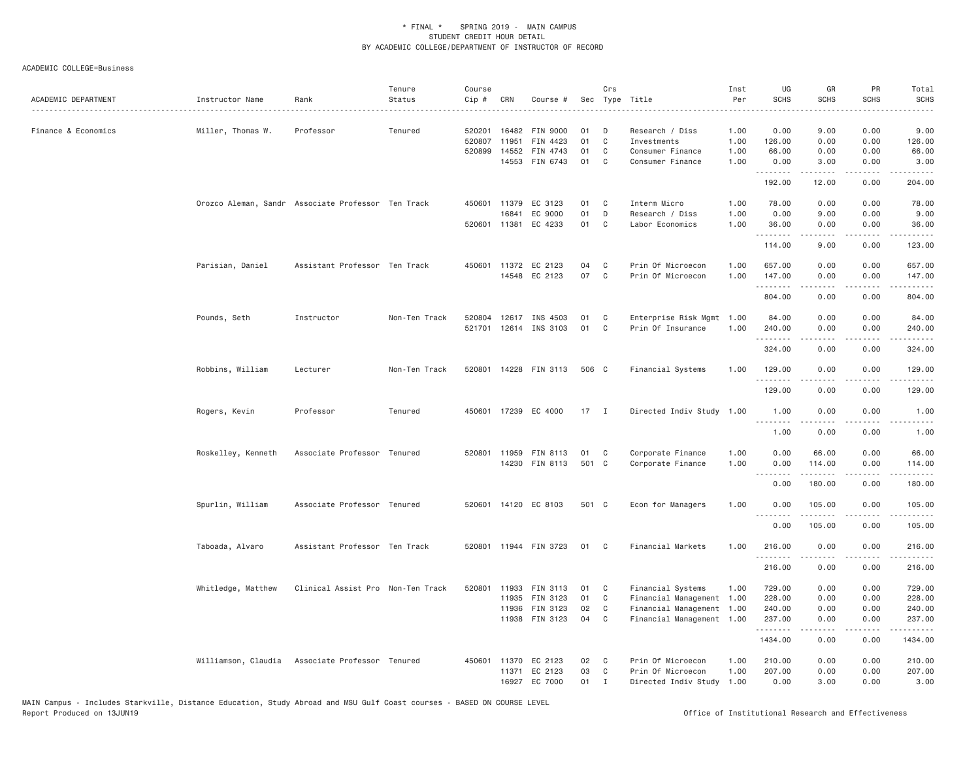| ACADEMIC DEPARTMENT | Instructor Name                                    | Rank                              | Tenure<br>Status | Course<br>Cip #            | CRN                                   | Course #                                       |                | Crs                    | Sec Type Title                                                         | Inst<br>Per          | UG<br><b>SCHS</b>          | GR<br><b>SCHS</b>                                                                                                                            | PR<br>SCHS           | Total<br><b>SCHS</b>               |
|---------------------|----------------------------------------------------|-----------------------------------|------------------|----------------------------|---------------------------------------|------------------------------------------------|----------------|------------------------|------------------------------------------------------------------------|----------------------|----------------------------|----------------------------------------------------------------------------------------------------------------------------------------------|----------------------|------------------------------------|
| Finance & Economics | Miller, Thomas W.                                  | Professor                         | Tenured          | 520201<br>520807<br>520899 | 16482<br>11951<br>14552               | <b>FIN 9000</b><br>FIN 4423<br>FIN 4743        | 01<br>01<br>01 | D<br>C<br>C            | Research / Diss<br>Investments<br>Consumer Finance                     | 1.00<br>1.00<br>1.00 | 0.00<br>126.00<br>66.00    | 9.00<br>0.00<br>0.00                                                                                                                         | 0.00<br>0.00<br>0.00 | 9.00<br>126.00<br>66.00            |
|                     |                                                    |                                   |                  |                            | 14553                                 | FIN 6743                                       | 01             | C                      | Consumer Finance                                                       | 1.00                 | 0.00<br><u>.</u>           | 3.00                                                                                                                                         | 0.00                 | 3.00<br>.                          |
|                     |                                                    |                                   |                  |                            |                                       |                                                |                |                        |                                                                        |                      | 192.00                     | 12.00                                                                                                                                        | 0.00                 | 204.00                             |
|                     | Orozco Aleman, Sandr Associate Professor Ten Track |                                   |                  |                            | 450601 11379<br>16841<br>520601 11381 | EC 3123<br>EC 9000<br>EC 4233                  | 01<br>01<br>01 | C<br>D<br>C            | Interm Micro<br>Research / Diss<br>Labor Economics                     | 1.00<br>1.00<br>1.00 | 78.00<br>0.00<br>36.00     | 0.00<br>9.00<br>0.00                                                                                                                         | 0.00<br>0.00<br>0.00 | 78.00<br>9.00<br>36.00             |
|                     |                                                    |                                   |                  |                            |                                       |                                                |                |                        |                                                                        |                      | .<br>114.00                | $\mathcal{L}^{\mathcal{A}}\left( \mathcal{A}^{\mathcal{A}}\right) =\mathcal{L}^{\mathcal{A}}\left( \mathcal{A}^{\mathcal{A}}\right)$<br>9.00 | .<br>0.00            | 123.00                             |
|                     | Parisian, Daniel                                   | Assistant Professor Ten Track     |                  |                            | 450601 11372                          | EC 2123<br>14548 EC 2123                       | 04<br>07       | C<br>C                 | Prin Of Microecon<br>Prin Of Microecon                                 | 1.00<br>1.00         | 657.00<br>147.00           | 0.00<br>0.00                                                                                                                                 | 0.00<br>0.00         | 657.00<br>147.00                   |
|                     |                                                    |                                   |                  |                            |                                       |                                                |                |                        |                                                                        |                      | .<br>804.00                | -----<br>0.00                                                                                                                                | $- - - -$<br>0.00    | .<br>804.00                        |
|                     | Pounds, Seth                                       | Instructor                        | Non-Ten Track    |                            |                                       | 520804 12617 INS 4503<br>521701 12614 INS 3103 | 01<br>01       | C<br>C                 | Enterprise Risk Mgmt 1.00<br>Prin Of Insurance                         | 1.00                 | 84.00<br>240.00<br>.       | 0.00<br>0.00<br>$- - - - -$                                                                                                                  | 0.00<br>0.00<br>.    | 84.00<br>240.00<br>$- - - - - - -$ |
|                     |                                                    |                                   |                  |                            |                                       |                                                |                |                        |                                                                        |                      | 324.00                     | 0.00                                                                                                                                         | 0.00                 | 324.00                             |
|                     | Robbins, William                                   | Lecturer                          | Non-Ten Track    |                            |                                       | 520801 14228 FIN 3113                          | 506 C          |                        | Financial Systems                                                      | 1.00                 | 129.00<br>.                | 0.00<br>.                                                                                                                                    | 0.00<br>$\cdots$     | 129.00<br>.                        |
|                     |                                                    |                                   |                  |                            |                                       |                                                |                |                        |                                                                        |                      | 129.00                     | 0.00                                                                                                                                         | 0.00                 | 129.00                             |
|                     | Rogers, Kevin                                      | Professor                         | Tenured          |                            | 450601 17239                          | EC 4000                                        | 17 I           |                        | Directed Indiv Study 1.00                                              |                      | 1.00<br>.                  | 0.00                                                                                                                                         | 0.00                 | 1.00                               |
|                     |                                                    |                                   |                  |                            |                                       |                                                |                |                        |                                                                        |                      | 1.00                       | 0.00                                                                                                                                         | 0.00                 | 1.00                               |
|                     | Roskelley, Kenneth                                 | Associate Professor Tenured       |                  |                            | 520801 11959                          | FIN 8113<br>14230 FIN 8113                     | 01<br>501 C    | C                      | Corporate Finance<br>Corporate Finance                                 | 1.00<br>1.00         | 0.00<br>0.00<br>.          | 66.00<br>114.00<br>. <b>.</b>                                                                                                                | 0.00<br>0.00<br>.    | 66.00<br>114.00<br>.               |
|                     |                                                    |                                   |                  |                            |                                       |                                                |                |                        |                                                                        |                      | 0.00                       | 180.00                                                                                                                                       | 0.00                 | 180.00                             |
|                     | Spurlin, William                                   | Associate Professor Tenured       |                  |                            |                                       | 520601 14120 EC 8103                           | 501 C          |                        | Econ for Managers                                                      | 1.00                 | 0.00<br>.                  | 105.00                                                                                                                                       | 0.00<br>.            | 105.00<br>-----                    |
|                     |                                                    |                                   |                  |                            |                                       |                                                |                |                        |                                                                        |                      | 0.00                       | 105.00                                                                                                                                       | 0.00                 | 105.00                             |
|                     | Taboada, Alvaro                                    | Assistant Professor Ten Track     |                  |                            |                                       | 520801 11944 FIN 3723                          | 01             | $\mathbf{C}$           | Financial Markets                                                      | 1.00                 | 216.00                     | 0.00<br>.                                                                                                                                    | 0.00<br>.            | 216.00<br>.                        |
|                     |                                                    |                                   |                  |                            |                                       |                                                |                |                        |                                                                        |                      | .<br>216.00                | 0.00                                                                                                                                         | 0.00                 | 216.00                             |
|                     | Whitledge, Matthew                                 | Clinical Assist Pro Non-Ten Track |                  | 520801                     | 11933<br>11935<br>11936               | FIN 3113<br>FIN 3123<br>FIN 3123               | 01<br>01<br>02 | C<br>C<br>C            | Financial Systems<br>Financial Management<br>Financial Management 1.00 | 1,00<br>1.00         | 729.00<br>228.00<br>240.00 | 0.00<br>0.00<br>0.00                                                                                                                         | 0.00<br>0.00<br>0.00 | 729.00<br>228.00<br>240.00         |
|                     |                                                    |                                   |                  |                            |                                       | 11938 FIN 3123                                 | 04             | C                      | Financial Management 1.00                                              |                      | 237.00<br>.                | 0.00<br>$- - - - -$                                                                                                                          | 0.00<br>.            | 237.00<br>.                        |
|                     |                                                    |                                   |                  |                            |                                       |                                                |                |                        |                                                                        |                      | 1434.00                    | 0.00                                                                                                                                         | 0.00                 | 1434.00                            |
|                     | Williamson, Claudia                                | Associate Professor Tenured       |                  |                            | 450601 11370<br>11371                 | EC 2123<br>EC 2123<br>16927 EC 7000            | 02<br>03<br>01 | C<br>C<br>$\mathsf{T}$ | Prin Of Microecon<br>Prin Of Microecon<br>Directed Indiv Study         | 1.00<br>1.00<br>1.00 | 210.00<br>207.00<br>0.00   | 0.00<br>0.00<br>3,00                                                                                                                         | 0.00<br>0.00<br>0.00 | 210.00<br>207.00<br>3.00           |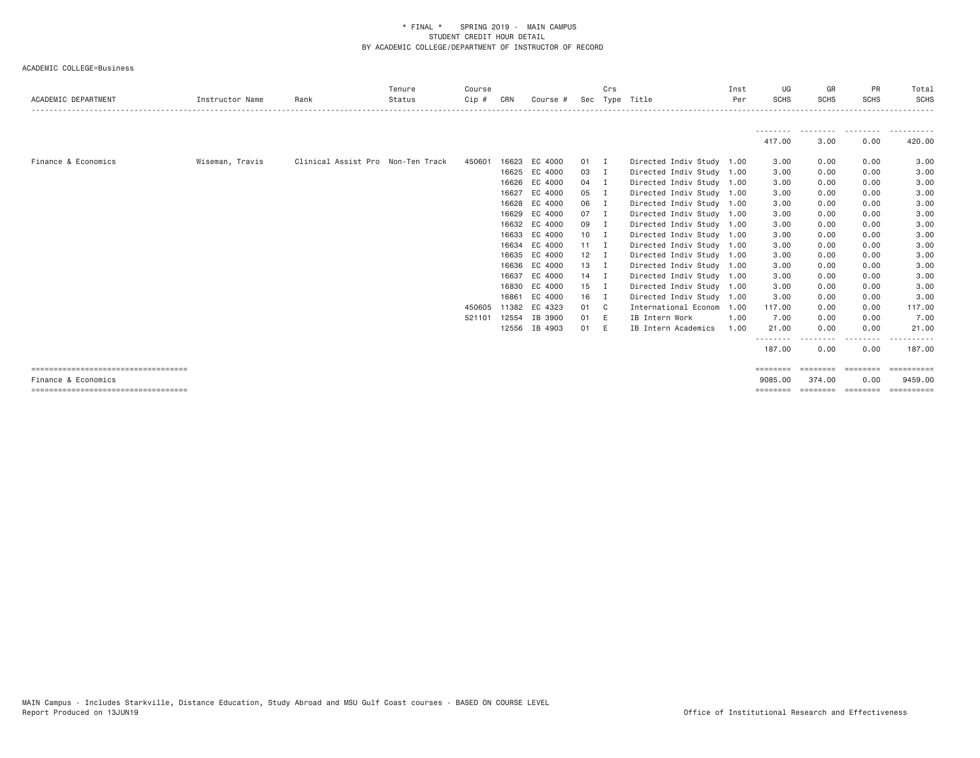|                                        |                 |                                   | Tenure | Course  |       |               |              | Crs            |                           | Inst | UG          | GR          | PR               | Total                |
|----------------------------------------|-----------------|-----------------------------------|--------|---------|-------|---------------|--------------|----------------|---------------------------|------|-------------|-------------|------------------|----------------------|
| ACADEMIC DEPARTMENT                    | Instructor Name | Rank                              | Status | $Cip$ # | CRN   | Course #      |              |                | Sec Type Title            | Per  | <b>SCHS</b> | <b>SCHS</b> | <b>SCHS</b>      | <b>SCHS</b>          |
|                                        |                 |                                   |        |         |       |               |              |                |                           |      |             |             |                  |                      |
|                                        |                 |                                   |        |         |       |               |              |                |                           |      | 417.00      | 3.00        | .<br>0.00        | ----------<br>420.00 |
| Finance & Economics                    | Wiseman, Travis | Clinical Assist Pro Non-Ten Track |        | 450601  | 16623 | EC 4000       | $01$ I       |                | Directed Indiv Study 1.00 |      | 3.00        | 0.00        | 0.00             | 3.00                 |
|                                        |                 |                                   |        |         | 16625 | EC 4000       | 03           | I.             | Directed Indiv Study 1.00 |      | 3.00        | 0.00        | 0.00             | 3.00                 |
|                                        |                 |                                   |        |         | 16626 | EC 4000       | 04           | I.             | Directed Indiv Study 1.00 |      | 3.00        | 0.00        | 0.00             | 3.00                 |
|                                        |                 |                                   |        |         | 16627 | EC 4000       | 05           | I              | Directed Indiv Study 1.00 |      | 3.00        | 0.00        | 0.00             | 3.00                 |
|                                        |                 |                                   |        |         | 16628 | EC 4000       | 06           | - 1            | Directed Indiv Study 1.00 |      | 3.00        | 0.00        | 0.00             | 3.00                 |
|                                        |                 |                                   |        |         | 16629 | EC 4000       | $07$ I       |                | Directed Indiv Study 1.00 |      | 3.00        | 0.00        | 0.00             | 3.00                 |
|                                        |                 |                                   |        |         | 16632 | EC 4000       | 09           | I.             | Directed Indiv Study 1.00 |      | 3.00        | 0.00        | 0.00             | 3.00                 |
|                                        |                 |                                   |        |         | 16633 | EC 4000       | 10           | $\blacksquare$ | Directed Indiv Study 1.00 |      | 3.00        | 0.00        | 0.00             | 3.00                 |
|                                        |                 |                                   |        |         |       | 16634 EC 4000 | $11 \quad I$ |                | Directed Indiv Study 1.00 |      | 3.00        | 0.00        | 0.00             | 3.00                 |
|                                        |                 |                                   |        |         | 16635 | EC 4000       | $12$ I       |                | Directed Indiv Study 1.00 |      | 3.00        | 0.00        | 0.00             | 3.00                 |
|                                        |                 |                                   |        |         |       | 16636 EC 4000 | 13 I         |                | Directed Indiv Study 1.00 |      | 3.00        | 0.00        | 0.00             | 3.00                 |
|                                        |                 |                                   |        |         | 16637 | EC 4000       | $14$ I       |                | Directed Indiv Study 1.00 |      | 3.00        | 0.00        | 0.00             | 3.00                 |
|                                        |                 |                                   |        |         | 16830 | EC 4000       | $15$ I       |                | Directed Indiv Study 1.00 |      | 3.00        | 0.00        | 0.00             | 3.00                 |
|                                        |                 |                                   |        |         | 16861 | EC 4000       | 16 I         |                | Directed Indiv Study 1.00 |      | 3.00        | 0.00        | 0.00             | 3.00                 |
|                                        |                 |                                   |        | 450605  | 11382 | EC 4323       | 01 C         |                | International Econom 1.00 |      | 117.00      | 0.00        | 0.00             | 117.00               |
|                                        |                 |                                   |        | 521101  | 12554 | IB 3900       | 01           | - E            | IB Intern Work            | 1,00 | 7.00        | 0.00        | 0.00             | 7.00                 |
|                                        |                 |                                   |        |         | 12556 | IB 4903       | 01           | E              | IB Intern Academics       | 1.00 | 21.00       | 0.00        | 0.00             | 21.00                |
|                                        |                 |                                   |        |         |       |               |              |                |                           |      | 187.00      | 0.00        | --------<br>0.00 | 187,00               |
| ====================================   |                 |                                   |        |         |       |               |              |                |                           |      | ========    | ========    | ========         |                      |
| Finance & Economics                    |                 |                                   |        |         |       |               |              |                |                           |      | 9085.00     | 374.00      | 0.00             | 9459,00              |
| ====================================== |                 |                                   |        |         |       |               |              |                |                           |      | ========    | ========    | ---------        |                      |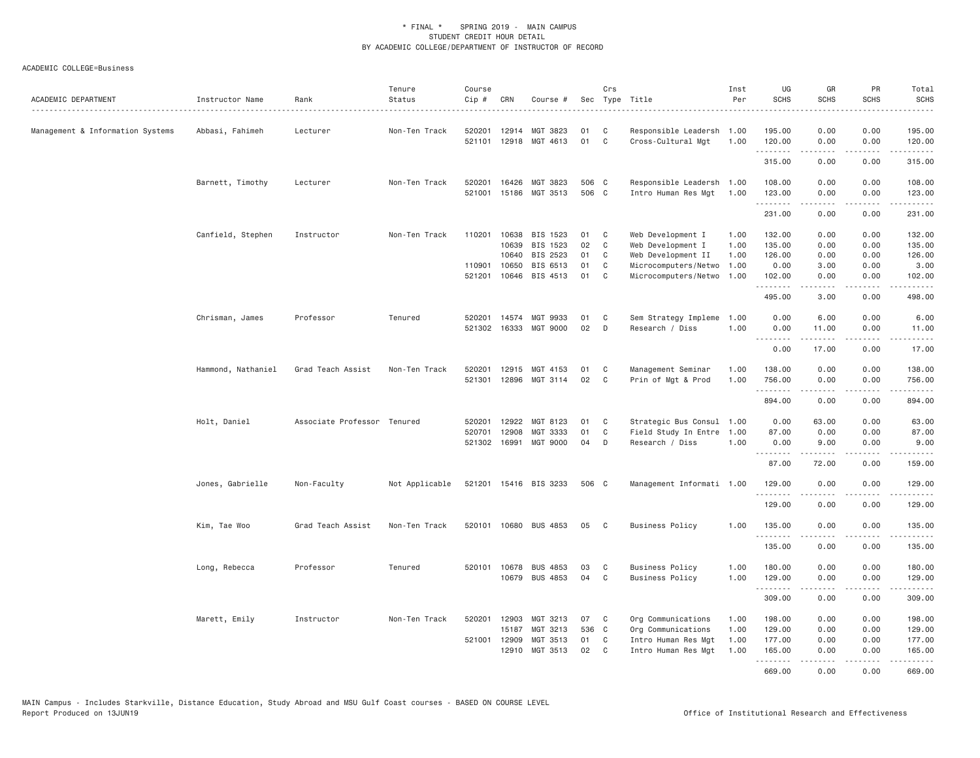| ACADEMIC DEPARTMENT              | Instructor Name    | Rank                        | Tenure<br>Status | Course<br>Cip #  | CRN            | Course #                   |          | Crs<br>Sec Type Title |                                                 | Inst<br>Per  | UG<br><b>SCHS</b> | GR<br><b>SCHS</b> | PR<br><b>SCHS</b> | Total<br><b>SCHS</b>                                                                                                                                                                      |
|----------------------------------|--------------------|-----------------------------|------------------|------------------|----------------|----------------------------|----------|-----------------------|-------------------------------------------------|--------------|-------------------|-------------------|-------------------|-------------------------------------------------------------------------------------------------------------------------------------------------------------------------------------------|
| Management & Information Systems | Abbasi, Fahimeh    | Lecturer                    | Non-Ten Track    | 520201<br>521101 | 12914          | MGT 3823<br>12918 MGT 4613 | 01<br>01 | C<br>$\mathbb C$      | Responsible Leadersh 1.00<br>Cross-Cultural Mgt | 1.00         | 195.00<br>120.00  | 0.00<br>0.00      | 0.00<br>0.00      | 195.00<br>120.00                                                                                                                                                                          |
|                                  |                    |                             |                  |                  |                |                            |          |                       |                                                 |              | .<br>315.00       | -----<br>0.00     | .<br>0.00         | $\omega$ is $\omega$ in $\omega$ in<br>315.00                                                                                                                                             |
|                                  | Barnett, Timothy   | Lecturer                    | Non-Ten Track    | 520201           | 16426          | MGT 3823                   | 506 C    |                       | Responsible Leadersh 1.00                       |              | 108.00            | 0.00              | 0.00              | 108.00                                                                                                                                                                                    |
|                                  |                    |                             |                  | 521001           |                | 15186 MGT 3513             | 506 C    |                       | Intro Human Res Mgt                             | 1.00         | 123.00<br>.       | 0.00<br>.         | 0.00<br>.         | 123.00<br>.                                                                                                                                                                               |
|                                  |                    |                             |                  |                  |                |                            |          |                       |                                                 |              | 231.00            | 0.00              | 0.00              | 231.00                                                                                                                                                                                    |
|                                  | Canfield, Stephen  | Instructor                  | Non-Ten Track    | 110201           | 10638          | BIS 1523                   | 01       | C                     | Web Development I                               | 1.00         | 132.00            | 0.00              | 0.00              | 132.00                                                                                                                                                                                    |
|                                  |                    |                             |                  |                  | 10639          | BIS 1523                   | 02       | C                     | Web Development I                               | 1.00         | 135.00            | 0.00              | 0.00              | 135.00                                                                                                                                                                                    |
|                                  |                    |                             |                  |                  | 10640          | BIS 2523                   | 01       | C                     | Web Development II                              | 1.00         | 126.00            | 0.00              | 0.00              | 126.00                                                                                                                                                                                    |
|                                  |                    |                             |                  | 110901           | 10650          | BIS 6513                   | 01       | C                     | Microcomputers/Netwo                            | 1.00         | 0.00              | 3.00              | 0.00              | 3.00                                                                                                                                                                                      |
|                                  |                    |                             |                  | 521201           |                | 10646 BIS 4513             | 01       | C                     | Microcomputers/Netwo                            | 1.00         | 102.00<br>.       | 0.00<br>.         | 0.00<br>د د د د   | 102.00<br>$\frac{1}{2} \left( \frac{1}{2} \right) \left( \frac{1}{2} \right) \left( \frac{1}{2} \right) \left( \frac{1}{2} \right) \left( \frac{1}{2} \right) \left( \frac{1}{2} \right)$ |
|                                  |                    |                             |                  |                  |                |                            |          |                       |                                                 |              | 495.00            | 3.00              | 0.00              | 498.00                                                                                                                                                                                    |
|                                  | Chrisman, James    | Professor                   | Tenured          | 520201           | 14574          | MGT 9933                   | 01       | C                     | Sem Strategy Impleme                            | 1.00         | 0.00              | 6.00              | 0.00              | 6.00                                                                                                                                                                                      |
|                                  |                    |                             |                  | 521302           |                | 16333 MGT 9000             | 02       | D                     | Research / Diss                                 | 1.00         | 0.00              | 11.00             | 0.00              | 11.00                                                                                                                                                                                     |
|                                  |                    |                             |                  |                  |                |                            |          |                       |                                                 |              | .                 | .                 | .                 | .                                                                                                                                                                                         |
|                                  |                    |                             |                  |                  |                |                            |          |                       |                                                 |              | 0.00              | 17.00             | 0.00              | 17.00                                                                                                                                                                                     |
|                                  |                    |                             |                  |                  |                |                            |          |                       |                                                 |              |                   |                   |                   |                                                                                                                                                                                           |
|                                  | Hammond, Nathaniel | Grad Teach Assist           | Non-Ten Track    | 520201<br>521301 | 12915<br>12896 | MGT 4153<br>MGT 3114       | 01<br>02 | C<br>C                | Management Seminar<br>Prin of Mgt & Prod        | 1.00<br>1.00 | 138.00<br>756.00  | 0.00<br>0.00      | 0.00<br>0.00      | 138.00<br>756.00                                                                                                                                                                          |
|                                  |                    |                             |                  |                  |                |                            |          |                       |                                                 |              | .                 | .                 | .                 | د د د د د د                                                                                                                                                                               |
|                                  |                    |                             |                  |                  |                |                            |          |                       |                                                 |              | 894.00            | 0.00              | 0.00              | 894.00                                                                                                                                                                                    |
|                                  | Holt, Daniel       | Associate Professor Tenured |                  | 520201           | 12922          | MGT 8123                   | 01       | C                     | Strategic Bus Consul 1.00                       |              | 0.00              | 63.00             | 0.00              | 63.00                                                                                                                                                                                     |
|                                  |                    |                             |                  | 520701           | 12908          | MGT 3333                   | 01       | C                     | Field Study In Entre                            | 1.00         | 87.00             | 0.00              | 0.00              | 87.00                                                                                                                                                                                     |
|                                  |                    |                             |                  | 521302           |                | 16991 MGT 9000             | 04       | D                     | Research / Diss                                 | 1.00         | 0.00              | 9.00              | 0.00              | 9.00                                                                                                                                                                                      |
|                                  |                    |                             |                  |                  |                |                            |          |                       |                                                 |              | .                 | .                 | .                 | .                                                                                                                                                                                         |
|                                  |                    |                             |                  |                  |                |                            |          |                       |                                                 |              | 87.00             | 72.00             | 0.00              | 159.00                                                                                                                                                                                    |
|                                  | Jones, Gabrielle   | Non-Faculty                 | Not Applicable   |                  |                | 521201 15416 BIS 3233      | 506 C    |                       | Management Informati 1.00                       |              | 129.00<br>.       | 0.00<br>.         | 0.00<br>$\cdots$  | 129.00<br><u>.</u>                                                                                                                                                                        |
|                                  |                    |                             |                  |                  |                |                            |          |                       |                                                 |              | 129.00            | 0.00              | 0.00              | 129.00                                                                                                                                                                                    |
|                                  | Kim, Tae Woo       | Grad Teach Assist           | Non-Ten Track    |                  |                | 520101 10680 BUS 4853      | 05       | C                     | <b>Business Policy</b>                          | 1.00         | 135.00            | 0.00              | 0.00              | 135.00                                                                                                                                                                                    |
|                                  |                    |                             |                  |                  |                |                            |          |                       |                                                 |              | .<br>135.00       | 0.00              | 0.00              | .<br>135.00                                                                                                                                                                               |
|                                  |                    |                             |                  |                  |                |                            |          |                       |                                                 |              |                   |                   |                   |                                                                                                                                                                                           |
|                                  | Long, Rebecca      | Professor                   | Tenured          |                  |                | 520101 10678 BUS 4853      | 03       | C                     | <b>Business Policy</b>                          | 1.00         | 180.00            | 0.00              | 0.00              | 180.00                                                                                                                                                                                    |
|                                  |                    |                             |                  |                  |                | 10679 BUS 4853             | 04       | $\mathbb C$           | <b>Business Policy</b>                          | 1.00         | 129.00            | 0.00              | 0.00              | 129.00                                                                                                                                                                                    |
|                                  |                    |                             |                  |                  |                |                            |          |                       |                                                 |              | .<br>309.00       | .<br>0.00         | .<br>0.00         | .<br>309.00                                                                                                                                                                               |
|                                  | Marett, Emily      | Instructor                  | Non-Ten Track    | 520201           | 12903          | MGT 3213                   | 07       | C                     | Org Communications                              | 1.00         | 198.00            | 0.00              | 0.00              | 198.00                                                                                                                                                                                    |
|                                  |                    |                             |                  |                  |                |                            |          |                       |                                                 |              |                   |                   |                   |                                                                                                                                                                                           |
|                                  |                    |                             |                  |                  | 15187          | MGT 3213                   | 536 C    |                       | Org Communications                              | 1.00         | 129.00            | 0.00              | 0.00              | 129.00                                                                                                                                                                                    |
|                                  |                    |                             |                  |                  | 521001 12909   | MGT 3513                   | 01       | C                     | Intro Human Res Mgt                             | 1.00         | 177.00            | 0.00              | 0.00              | 177.00                                                                                                                                                                                    |
|                                  |                    |                             |                  |                  | 12910          | MGT 3513                   | 02       | C                     | Intro Human Res Mgt                             | 1.00         | 165.00            | 0.00              | 0.00              | 165.00                                                                                                                                                                                    |
|                                  |                    |                             |                  |                  |                |                            |          |                       |                                                 |              | .                 | -----             | .                 | .                                                                                                                                                                                         |
|                                  |                    |                             |                  |                  |                |                            |          |                       |                                                 |              | 669.00            | 0.00              | 0.00              | 669.00                                                                                                                                                                                    |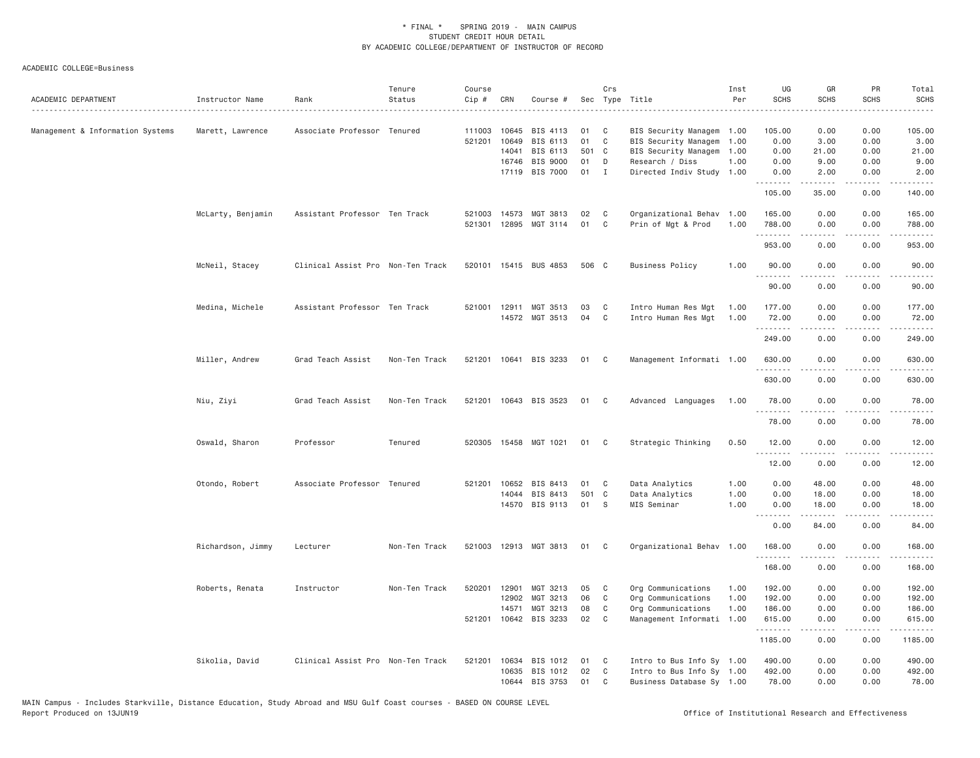| ACADEMIC DEPARTMENT              | Instructor Name   | Rank                              | Tenure<br>Status | Course<br>Cip # | CRN   | Course #              |       | Crs            | Sec Type Title<br>.       | Inst<br>Per | UG<br><b>SCHS</b> | GR<br><b>SCHS</b>                                                                                                                                            | PR<br><b>SCHS</b>                   | Total<br>SCHS<br>.                                                                                                                                                                        |
|----------------------------------|-------------------|-----------------------------------|------------------|-----------------|-------|-----------------------|-------|----------------|---------------------------|-------------|-------------------|--------------------------------------------------------------------------------------------------------------------------------------------------------------|-------------------------------------|-------------------------------------------------------------------------------------------------------------------------------------------------------------------------------------------|
| Management & Information Systems | Marett, Lawrence  | Associate Professor Tenured       |                  | 111003          | 10645 | BIS 4113              | 01    | C              | BIS Security Managem 1.00 |             | 105.00            | 0.00                                                                                                                                                         | 0.00                                | 105.00                                                                                                                                                                                    |
|                                  |                   |                                   |                  | 521201          | 10649 | BIS 6113              | 01    | C              | BIS Security Managem      | 1.00        | 0.00              | 3.00                                                                                                                                                         | 0.00                                | 3.00                                                                                                                                                                                      |
|                                  |                   |                                   |                  |                 | 14041 | BIS 6113              | 501 C |                | BIS Security Managem      | 1.00        | 0.00              | 21.00                                                                                                                                                        | 0.00                                | 21.00                                                                                                                                                                                     |
|                                  |                   |                                   |                  |                 | 16746 | BIS 9000              | 01    | D              | Research / Diss           | 1.00        | 0.00              | 9.00                                                                                                                                                         | 0.00                                | 9.00                                                                                                                                                                                      |
|                                  |                   |                                   |                  |                 |       | 17119 BIS 7000        | 01    | $\mathbf{I}$   | Directed Indiv Study 1.00 |             | 0.00<br>.         | 2.00<br>.                                                                                                                                                    | 0.00<br>.                           | 2.00<br>.                                                                                                                                                                                 |
|                                  |                   |                                   |                  |                 |       |                       |       |                |                           |             | 105.00            | 35.00                                                                                                                                                        | 0.00                                | 140.00                                                                                                                                                                                    |
|                                  | McLarty, Benjamin | Assistant Professor Ten Track     |                  | 521003          | 14573 | MGT 3813              | 02    | C              | Organizational Behav 1.00 |             | 165.00            | 0.00                                                                                                                                                         | 0.00                                | 165.00                                                                                                                                                                                    |
|                                  |                   |                                   |                  | 521301          | 12895 | MGT 3114              | 01    | C              | Prin of Mgt & Prod        | 1.00        | 788.00            | 0.00                                                                                                                                                         | 0.00                                | 788.00                                                                                                                                                                                    |
|                                  |                   |                                   |                  |                 |       |                       |       |                |                           |             | .<br>953.00       | .<br>0.00                                                                                                                                                    | .<br>0.00                           | .<br>953.00                                                                                                                                                                               |
|                                  | McNeil, Stacey    | Clinical Assist Pro Non-Ten Track |                  |                 |       | 520101 15415 BUS 4853 | 506 C |                | <b>Business Policy</b>    | 1.00        | 90.00             | 0.00                                                                                                                                                         | 0.00                                | 90.00                                                                                                                                                                                     |
|                                  |                   |                                   |                  |                 |       |                       |       |                |                           |             | .<br>90.00        | .<br>0.00                                                                                                                                                    | $\sim$ $\sim$ $\sim$ $\sim$<br>0.00 | .<br>90.00                                                                                                                                                                                |
|                                  | Medina, Michele   | Assistant Professor Ten Track     |                  | 521001          |       | 12911 MGT 3513        | 03    | C              | Intro Human Res Mgt       | 1.00        | 177.00            | 0.00                                                                                                                                                         | 0.00                                | 177.00                                                                                                                                                                                    |
|                                  |                   |                                   |                  |                 |       | 14572 MGT 3513        | 04    | C <sub>1</sub> | Intro Human Res Mgt       | 1.00        | 72.00             | 0.00                                                                                                                                                         | 0.00                                | 72.00                                                                                                                                                                                     |
|                                  |                   |                                   |                  |                 |       |                       |       |                |                           |             | .<br>249.00       | $\frac{1}{2} \left( \frac{1}{2} \right) \left( \frac{1}{2} \right) \left( \frac{1}{2} \right) \left( \frac{1}{2} \right) \left( \frac{1}{2} \right)$<br>0.00 | .<br>0.00                           | .<br>249.00                                                                                                                                                                               |
|                                  | Miller, Andrew    | Grad Teach Assist                 | Non-Ten Track    |                 |       | 521201 10641 BIS 3233 | 01    | $\mathbf{C}$   | Management Informati 1.00 |             | 630.00            | 0.00                                                                                                                                                         | 0.00                                | 630.00                                                                                                                                                                                    |
|                                  |                   |                                   |                  |                 |       |                       |       |                |                           |             | 630.00            | 0.00                                                                                                                                                         | 0.00                                | 630.00                                                                                                                                                                                    |
|                                  | Niu, Ziyi         | Grad Teach Assist                 | Non-Ten Track    |                 |       | 521201 10643 BIS 3523 | 01 C  |                | Advanced Languages        | 1.00        | 78.00             | 0.00                                                                                                                                                         | 0.00                                | 78.00                                                                                                                                                                                     |
|                                  |                   |                                   |                  |                 |       |                       |       |                |                           |             | .<br>78.00        | .<br>0.00                                                                                                                                                    | .<br>0.00                           | .<br>78.00                                                                                                                                                                                |
|                                  | Oswald, Sharon    | Professor                         | Tenured          |                 |       | 520305 15458 MGT 1021 | 01    | C <sub>1</sub> | Strategic Thinking        | 0.50        | 12.00<br>.        | 0.00<br>.                                                                                                                                                    | 0.00<br>د د د د                     | 12.00<br>.                                                                                                                                                                                |
|                                  |                   |                                   |                  |                 |       |                       |       |                |                           |             | 12.00             | 0.00                                                                                                                                                         | 0.00                                | 12.00                                                                                                                                                                                     |
|                                  | Otondo, Robert    | Associate Professor Tenured       |                  | 521201          | 10652 | BIS 8413              | 01    | C              | Data Analytics            | 1.00        | 0.00              | 48.00                                                                                                                                                        | 0.00                                | 48.00                                                                                                                                                                                     |
|                                  |                   |                                   |                  |                 | 14044 | BIS 8413              | 501 C |                | Data Analytics            | 1.00        | 0.00              | 18.00                                                                                                                                                        | 0.00                                | 18.00                                                                                                                                                                                     |
|                                  |                   |                                   |                  |                 |       | 14570 BIS 9113        | 01    | S.             | MIS Seminar               | 1.00        | 0.00              | 18.00                                                                                                                                                        | 0.00                                | 18.00                                                                                                                                                                                     |
|                                  |                   |                                   |                  |                 |       |                       |       |                |                           |             | .<br>0.00         | -----<br>84.00                                                                                                                                               | $\sim$ $\sim$ $\sim$<br>0.00        | المستبدا<br>84.00                                                                                                                                                                         |
|                                  | Richardson, Jimmy | Lecturer                          | Non-Ten Track    |                 |       | 521003 12913 MGT 3813 | 01 C  |                | Organizational Behav 1.00 |             | 168.00<br>.       | 0.00<br>.                                                                                                                                                    | 0.00<br>.                           | 168.00<br>$\frac{1}{2} \left( \frac{1}{2} \right) \left( \frac{1}{2} \right) \left( \frac{1}{2} \right) \left( \frac{1}{2} \right) \left( \frac{1}{2} \right) \left( \frac{1}{2} \right)$ |
|                                  |                   |                                   |                  |                 |       |                       |       |                |                           |             | 168.00            | 0.00                                                                                                                                                         | 0.00                                | 168.00                                                                                                                                                                                    |
|                                  | Roberts, Renata   | Instructor                        | Non-Ten Track    | 520201          | 12901 | MGT 3213              | 05    | C              | Org Communications        | 1.00        | 192.00            | 0.00                                                                                                                                                         | 0.00                                | 192.00                                                                                                                                                                                    |
|                                  |                   |                                   |                  |                 | 12902 | MGT 3213              | 06    | C              | Org Communications        | 1.00        | 192.00            | 0.00                                                                                                                                                         | 0.00                                | 192.00                                                                                                                                                                                    |
|                                  |                   |                                   |                  |                 | 14571 | MGT 3213              | 08    | C              | Org Communications        | 1.00        | 186.00            | 0.00                                                                                                                                                         | 0.00                                | 186.00                                                                                                                                                                                    |
|                                  |                   |                                   |                  |                 |       | 521201 10642 BIS 3233 | 02    | C              | Management Informati 1.00 |             | 615.00<br>.       | 0.00                                                                                                                                                         | 0.00<br>.                           | 615.00                                                                                                                                                                                    |
|                                  |                   |                                   |                  |                 |       |                       |       |                |                           |             | 1185.00           | $\frac{1}{2} \left( \frac{1}{2} \right) \left( \frac{1}{2} \right) \left( \frac{1}{2} \right) \left( \frac{1}{2} \right) \left( \frac{1}{2} \right)$<br>0.00 | 0.00                                | .<br>1185.00                                                                                                                                                                              |
|                                  | Sikolia, David    | Clinical Assist Pro Non-Ten Track |                  | 521201          | 10634 | BIS 1012              | 01    | C              | Intro to Bus Info Sy 1.00 |             | 490.00            | 0.00                                                                                                                                                         | 0.00                                | 490.00                                                                                                                                                                                    |
|                                  |                   |                                   |                  |                 | 10635 | BIS 1012              | 02    | C              | Intro to Bus Info Sy 1.00 |             | 492.00            | 0.00                                                                                                                                                         | 0.00                                | 492.00                                                                                                                                                                                    |
|                                  |                   |                                   |                  |                 |       | 10644 BIS 3753        | 01    | C              | Business Database Sy 1.00 |             | 78,00             | 0.00                                                                                                                                                         | 0.00                                | 78.00                                                                                                                                                                                     |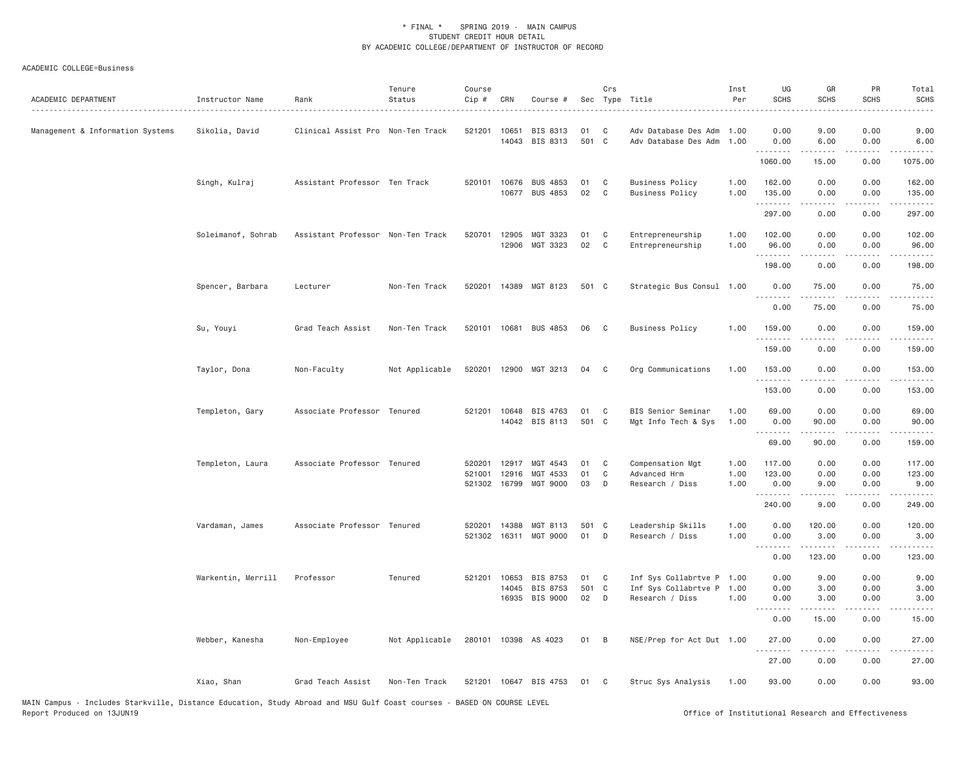| ACADEMIC DEPARTMENT              | Instructor Name    | Rank                              | Tenure<br>Status | Course<br>$Cip \#$ | CRN            | Course #                   |             | Crs         | Sec Type Title                               | Inst<br>Per  | UG<br><b>SCHS</b> | GR<br><b>SCHS</b>    | PR<br><b>SCHS</b>                                                                                                                 | Total<br><b>SCHS</b>                                                                                                                                          |
|----------------------------------|--------------------|-----------------------------------|------------------|--------------------|----------------|----------------------------|-------------|-------------|----------------------------------------------|--------------|-------------------|----------------------|-----------------------------------------------------------------------------------------------------------------------------------|---------------------------------------------------------------------------------------------------------------------------------------------------------------|
| Management & Information Systems | Sikolia, David     | Clinical Assist Pro Non-Ten Track |                  | 521201             | 10651          | BIS 8313<br>14043 BIS 8313 | 01<br>501 C | C           | Adv Database Des Adm<br>Adv Database Des Adm | 1.00<br>1.00 | 0.00<br>0.00      | 9.00<br>6.00         | 0.00<br>0.00                                                                                                                      | 9.00<br>6.00                                                                                                                                                  |
|                                  |                    |                                   |                  |                    |                |                            |             |             |                                              |              | .<br>1060.00      | 15.00                | .<br>0.00                                                                                                                         | 1075.00                                                                                                                                                       |
|                                  | Singh, Kulraj      | Assistant Professor Ten Track     |                  | 520101             | 10676          | <b>BUS 4853</b>            | 01          | C           | <b>Business Policy</b>                       | 1.00         | 162.00            | 0.00                 | 0.00                                                                                                                              | 162.00                                                                                                                                                        |
|                                  |                    |                                   |                  |                    | 10677          | BUS 4853                   | 02          | $\mathbf C$ | <b>Business Policy</b>                       | 1.00         | 135.00<br>.       | 0.00<br>.            | 0.00<br>$\frac{1}{2} \left( \frac{1}{2} \right) \left( \frac{1}{2} \right) \left( \frac{1}{2} \right) \left( \frac{1}{2} \right)$ | 135.00<br>$- - - - - -$                                                                                                                                       |
|                                  |                    |                                   |                  |                    |                |                            |             |             |                                              |              | 297.00            | 0.00                 | 0.00                                                                                                                              | 297.00                                                                                                                                                        |
|                                  | Soleimanof, Sohrab | Assistant Professor Non-Ten Track |                  | 520701             | 12905          | MGT 3323                   | 01          | C           | Entrepreneurship                             | 1.00         | 102.00            | 0.00                 | 0.00                                                                                                                              | 102.00                                                                                                                                                        |
|                                  |                    |                                   |                  |                    | 12906          | MGT 3323                   | 02          | C           | Entrepreneurship                             | 1.00         | 96.00<br>.        | 0.00                 | 0.00                                                                                                                              | 96.00                                                                                                                                                         |
|                                  |                    |                                   |                  |                    |                |                            |             |             |                                              |              | 198.00            | 0.00                 | 0.00                                                                                                                              | 198.00                                                                                                                                                        |
|                                  | Spencer, Barbara   | Lecturer                          | Non-Ten Track    | 520201             |                | 14389 MGT 8123             | 501 C       |             | Strategic Bus Consul 1.00                    |              | 0.00<br>.         | 75.00<br>-----       | 0.00                                                                                                                              | 75.00<br>.                                                                                                                                                    |
|                                  |                    |                                   |                  |                    |                |                            |             |             |                                              |              | 0.00              | 75.00                | 0.00                                                                                                                              | 75.00                                                                                                                                                         |
|                                  | Su, Youyi          | Grad Teach Assist                 | Non-Ten Track    |                    |                | 520101 10681 BUS 4853      | 06          | C           | <b>Business Policy</b>                       | 1.00         | 159.00            | 0.00                 | 0.00                                                                                                                              | 159.00                                                                                                                                                        |
|                                  |                    |                                   |                  |                    |                |                            |             |             |                                              |              | .<br>159.00       | $- - - - -$<br>0.00  | .<br>0.00                                                                                                                         | .<br>159.00                                                                                                                                                   |
|                                  | Taylor, Dona       | Non-Faculty                       | Not Applicable   | 520201             |                | 12900 MGT 3213             | 04          | C           | Org Communications                           | 1.00         | 153.00            | 0.00                 | 0.00                                                                                                                              | 153.00                                                                                                                                                        |
|                                  |                    |                                   |                  |                    |                |                            |             |             |                                              |              | 153.00            | 0.00                 | $- - - -$<br>0.00                                                                                                                 | .<br>153.00                                                                                                                                                   |
|                                  | Templeton, Gary    | Associate Professor Tenured       |                  | 521201             | 10648          | BIS 4763                   | 01          | C           | BIS Senior Seminar                           | 1.00         | 69.00             | 0.00                 | 0.00                                                                                                                              | 69.00                                                                                                                                                         |
|                                  |                    |                                   |                  |                    |                | 14042 BIS 8113             | 501 C       |             | Mgt Info Tech & Sys                          | 1.00         | 0.00<br>.         | 90.00<br>المتمالين   | 0.00<br>.                                                                                                                         | 90.00<br>.                                                                                                                                                    |
|                                  |                    |                                   |                  |                    |                |                            |             |             |                                              |              | 69.00             | 90.00                | 0.00                                                                                                                              | 159.00                                                                                                                                                        |
|                                  | Templeton, Laura   | Associate Professor Tenured       |                  | 520201             | 12917          | MGT 4543                   | 01          | C           | Compensation Mgt                             | 1.00         | 117.00            | 0.00                 | 0.00                                                                                                                              | 117.00                                                                                                                                                        |
|                                  |                    |                                   |                  | 521001<br>521302   | 12916<br>16799 | MGT 4533<br>MGT 9000       | 01<br>03    | C<br>D      | Advanced Hrm<br>Research / Diss              | 1.00<br>1.00 | 123.00<br>0.00    | 0.00<br>9.00         | 0.00<br>0.00                                                                                                                      | 123.00<br>9.00                                                                                                                                                |
|                                  |                    |                                   |                  |                    |                |                            |             |             |                                              |              | .<br>240.00       | -----<br>9.00        | .<br>0.00                                                                                                                         | .<br>249.00                                                                                                                                                   |
|                                  | Vardaman, James    | Associate Professor Tenured       |                  | 520201             | 14388          | MGT 8113                   | 501         | C           | Leadership Skills                            | 1.00         | 0.00              | 120.00               | 0.00                                                                                                                              | 120.00                                                                                                                                                        |
|                                  |                    |                                   |                  | 521302             | 16311          | MGT 9000                   | 01          | D           | Research / Diss                              | 1.00         | 0.00<br>.         | 3.00<br>.            | 0.00<br>.                                                                                                                         | 3.00<br>.                                                                                                                                                     |
|                                  |                    |                                   |                  |                    |                |                            |             |             |                                              |              | 0.00              | 123.00               | 0.00                                                                                                                              | 123.00                                                                                                                                                        |
|                                  | Warkentin, Merrill | Professor                         | Tenured          | 521201             | 10653          | BIS 8753                   | 01          | C           | Inf Sys Collabrtve P 1.00                    |              | 0.00              | 9.00                 | 0.00                                                                                                                              | 9.00                                                                                                                                                          |
|                                  |                    |                                   |                  |                    | 14045          | BIS 8753<br>16935 BIS 9000 | 501 C<br>02 | D           | Inf Sys Collabrtve P<br>Research / Diss      | 1.00<br>1,00 | 0.00<br>0.00      | 3.00<br>3.00         | 0.00<br>0.00                                                                                                                      | 3.00<br>3.00                                                                                                                                                  |
|                                  |                    |                                   |                  |                    |                |                            |             |             |                                              |              | .<br>0.00         | $- - - - -$<br>15.00 | $\frac{1}{2}$<br>0.00                                                                                                             | $\frac{1}{2} \left( \frac{1}{2} \right) \left( \frac{1}{2} \right) \left( \frac{1}{2} \right) \left( \frac{1}{2} \right) \left( \frac{1}{2} \right)$<br>15.00 |
|                                  |                    |                                   |                  |                    |                |                            |             |             |                                              |              |                   |                      |                                                                                                                                   |                                                                                                                                                               |
|                                  | Webber, Kanesha    | Non-Employee                      | Not Applicable   |                    |                | 280101 10398 AS 4023       | 01          | B           | NSE/Prep for Act Dut 1.00                    |              | 27.00<br>.        | 0.00<br>.            | 0.00<br>. <u>. .</u>                                                                                                              | 27.00<br>$\frac{1}{2}$                                                                                                                                        |
|                                  |                    |                                   |                  |                    |                |                            |             |             |                                              |              | 27.00             | 0.00                 | 0.00                                                                                                                              | 27.00                                                                                                                                                         |
|                                  | Xiao, Shan         | Grad Teach Assist                 | Non-Ten Track    |                    |                | 521201 10647 BIS 4753      | 01          | C           | Struc Sys Analysis                           | 1.00         | 93.00             | 0.00                 | 0.00                                                                                                                              | 93.00                                                                                                                                                         |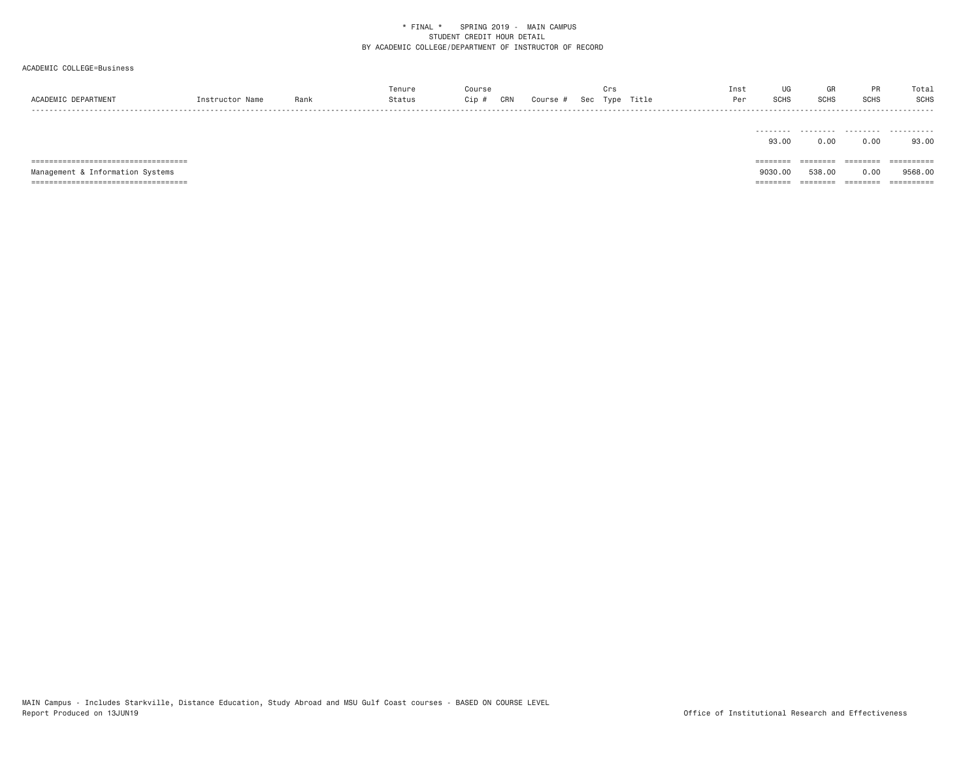ACADEMIC COLLEGE=Business

|                 |      | ™enur              |             |        |     |      |       | Ins        | UG |             |             | Total       |
|-----------------|------|--------------------|-------------|--------|-----|------|-------|------------|----|-------------|-------------|-------------|
| <b>ACADEMTC</b> | Rank | <sup>n+</sup> atus | CRI<br>∵in. | Course | Sec | Type | Title | $D \cap r$ |    | <b>SCHS</b> | <b>SCHS</b> | <b>SCHS</b> |
| -----           |      |                    |             |        |     |      |       |            |    |             |             | .           |
|                 |      |                    |             |        |     |      |       |            |    |             |             |             |

|                                  | 93.00    | 0.00     | 0.00      | 93.00      |
|----------------------------------|----------|----------|-----------|------------|
|                                  | ======== | ======== | - SEEEEEE | ========== |
|                                  |          |          |           |            |
|                                  |          |          |           |            |
| Management & Information Systems | 9030.00  | 538.00   | 0.00      | 9568.00    |

MAIN Campus - Includes Starkville, Distance Education, Study Abroad and MSU Gulf Coast courses - BASED ON COURSE LEVEL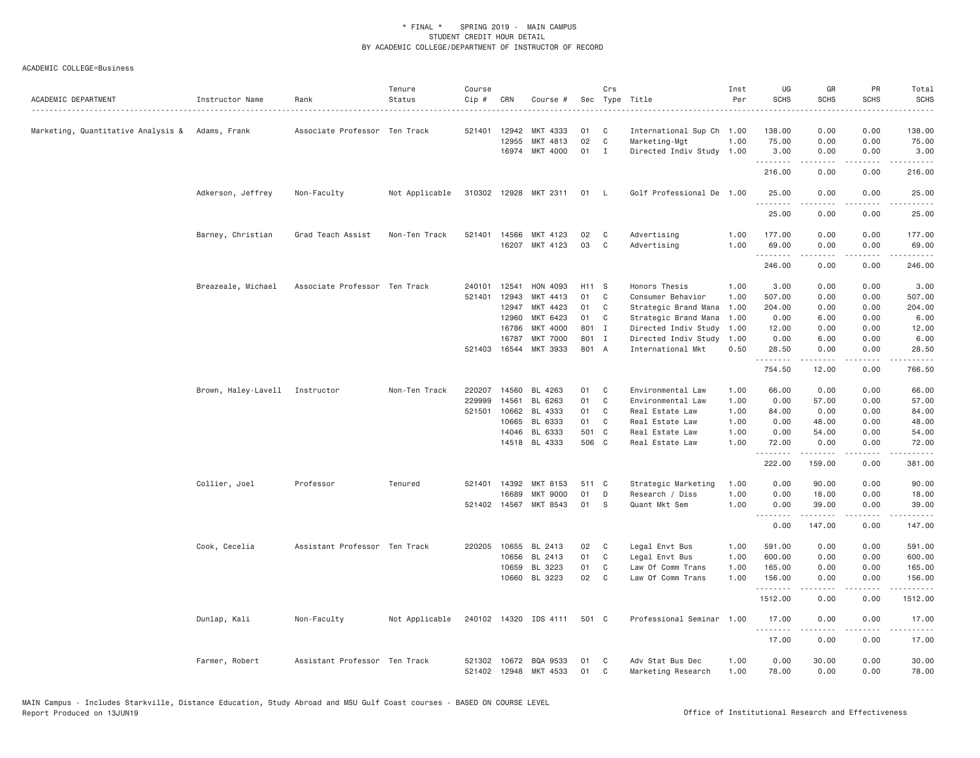| ACADEMIC DEPARTMENT                             | Instructor Name                | Rank                          | Tenure<br>Status | Course<br>Cip # | CRN          | Course #                          |          | Crs          | Sec Type Title                         | Inst<br>Per  | UG<br><b>SCHS</b> | GR<br><b>SCHS</b>                                                                                                                                            | PR<br><b>SCHS</b>                   | Total<br><b>SCHS</b>                  |
|-------------------------------------------------|--------------------------------|-------------------------------|------------------|-----------------|--------------|-----------------------------------|----------|--------------|----------------------------------------|--------------|-------------------|--------------------------------------------------------------------------------------------------------------------------------------------------------------|-------------------------------------|---------------------------------------|
| Marketing, Quantitative Analysis & Adams, Frank |                                | Associate Professor Ten Track |                  |                 | 521401 12942 | MKT 4333                          | 01       | C            | International Sup Ch 1.00              |              | 138.00            | 0.00                                                                                                                                                         | 0.00                                | 138.00                                |
|                                                 |                                |                               |                  |                 | 12955        | MKT 4813                          | 02       | C            | Marketing-Mgt                          | 1.00         | 75.00             | 0.00                                                                                                                                                         | 0.00                                | 75.00                                 |
|                                                 |                                |                               |                  |                 | 16974        | MKT 4000                          | 01       | $\mathbf{I}$ | Directed Indiv Study 1.00              |              | 3.00              | 0.00                                                                                                                                                         | 0.00                                | 3.00                                  |
|                                                 |                                |                               |                  |                 |              |                                   |          |              |                                        |              | .<br>216.00       | 0.00                                                                                                                                                         | 0.00                                | $\sim$ $\sim$ $\sim$ $\sim$<br>216.00 |
|                                                 | Adkerson, Jeffrey              | Non-Faculty                   | Not Applicable   |                 |              | 310302 12928 MKT 2311             | 01       | $\mathsf{L}$ | Golf Professional De 1.00              |              | 25.00             | 0.00                                                                                                                                                         | 0.00                                | 25.00                                 |
|                                                 |                                |                               |                  |                 |              |                                   |          |              |                                        |              | 25.00             | 0.00                                                                                                                                                         | 0.00                                | 25.00                                 |
|                                                 | Barney, Christian              | Grad Teach Assist             | Non-Ten Track    |                 | 521401 14566 | MKT 4123                          | 02       | C            | Advertising                            | 1.00         | 177.00            | 0.00                                                                                                                                                         | 0.00                                | 177.00                                |
|                                                 |                                |                               |                  |                 |              | 16207 MKT 4123                    | 03       | C            | Advertising                            | 1.00         | 69.00<br>.        | 0.00<br>$\frac{1}{2} \left( \frac{1}{2} \right) \left( \frac{1}{2} \right) \left( \frac{1}{2} \right) \left( \frac{1}{2} \right) \left( \frac{1}{2} \right)$ | 0.00<br>.                           | 69.00<br>.                            |
|                                                 |                                |                               |                  |                 |              |                                   |          |              |                                        |              | 246.00            | 0.00                                                                                                                                                         | 0.00                                | 246.00                                |
|                                                 | Breazeale, Michael             | Associate Professor Ten Track |                  | 240101          | 12541        | HON 4093                          | H11 S    |              | Honors Thesis                          | 1.00         | 3.00              | 0.00                                                                                                                                                         | 0.00                                | 3.00                                  |
|                                                 |                                |                               |                  | 521401          | 12943        | MKT 4413                          | 01       | C            | Consumer Behavior                      | 1.00         | 507.00            | 0.00                                                                                                                                                         | 0.00                                | 507.00                                |
|                                                 |                                |                               |                  |                 | 12947        | MKT 4423                          | 01       | C            | Strategic Brand Mana                   | 1.00         | 204.00            | 0.00                                                                                                                                                         | 0.00                                | 204.00                                |
|                                                 |                                |                               |                  |                 | 12960        | MKT 6423                          | 01       | C            | Strategic Brand Mana                   | 1.00         | 0.00              | 6.00                                                                                                                                                         | 0.00                                | 6.00                                  |
|                                                 |                                |                               |                  |                 | 16786        | MKT 4000                          | 801 I    |              | Directed Indiv Study                   | 1.00         | 12.00             | 0.00                                                                                                                                                         | 0.00                                | 12.00                                 |
|                                                 |                                |                               |                  |                 | 16787        | <b>MKT 7000</b>                   | 801 I    |              | Directed Indiv Study                   | 1.00         | 0.00              | 6.00                                                                                                                                                         | 0.00                                | 6.00                                  |
|                                                 |                                |                               |                  |                 | 521403 16544 | MKT 3933                          | 801 A    |              | International Mkt                      | 0.50         | 28.50<br>.        | 0.00<br>المتمام المتعاد                                                                                                                                      | 0.00<br>الأعامات                    | 28.50<br>.                            |
|                                                 |                                |                               |                  |                 |              |                                   |          |              |                                        |              | 754.50            | 12.00                                                                                                                                                        | 0.00                                | 766.50                                |
|                                                 | Brown, Haley-Lavell Instructor |                               | Non-Ten Track    | 220207          | 14560        | BL 4263                           | 01       | C            | Environmental Law                      | 1.00         | 66.00             | 0.00                                                                                                                                                         | 0.00                                | 66.00                                 |
|                                                 |                                |                               |                  | 229999          | 14561        | BL 6263                           | 01       | C            | Environmental Law                      | 1.00         | 0.00              | 57.00                                                                                                                                                        | 0.00                                | 57.00                                 |
|                                                 |                                |                               |                  | 521501          | 10662        | BL 4333                           | 01       | C            | Real Estate Law                        | 1.00         | 84.00             | 0.00                                                                                                                                                         | 0.00                                | 84.00                                 |
|                                                 |                                |                               |                  |                 | 10665        | BL 6333                           | 01       | C            | Real Estate Law                        | 1.00         | 0.00              | 48.00                                                                                                                                                        | 0.00                                | 48.00                                 |
|                                                 |                                |                               |                  |                 | 14046        | BL 6333                           | 501 C    |              | Real Estate Law                        | 1.00         | 0.00              | 54.00                                                                                                                                                        | 0.00                                | 54.00                                 |
|                                                 |                                |                               |                  |                 |              | 14518 BL 4333                     | 506 C    |              | Real Estate Law                        | 1.00         | 72.00<br>.        | 0.00<br>.                                                                                                                                                    | 0.00<br>.                           | 72.00<br>.                            |
|                                                 |                                |                               |                  |                 |              |                                   |          |              |                                        |              | 222.00            | 159.00                                                                                                                                                       | 0.00                                | 381.00                                |
|                                                 | Collier, Joel                  | Professor                     | Tenured          |                 | 521401 14392 | MKT 8153                          | 511 C    |              | Strategic Marketing                    | 1.00         | 0.00              | 90.00                                                                                                                                                        | 0.00                                | 90.00                                 |
|                                                 |                                |                               |                  |                 | 16689        | <b>MKT 9000</b>                   | 01       | D            | Research / Diss                        | 1.00         | 0.00              | 18.00                                                                                                                                                        | 0.00                                | 18.00                                 |
|                                                 |                                |                               |                  |                 |              | 521402 14567 MKT 8543             | 01       | S            | Quant Mkt Sem                          | 1.00         | 0.00<br>.         | 39.00<br>.                                                                                                                                                   | 0.00<br>.                           | 39.00<br><u>.</u>                     |
|                                                 |                                |                               |                  |                 |              |                                   |          |              |                                        |              | 0.00              | 147.00                                                                                                                                                       | 0.00                                | 147.00                                |
|                                                 | Cook, Cecelia                  | Assistant Professor Ten Track |                  | 220205          | 10655        | BL 2413                           | 02       | C            | Legal Envt Bus                         | 1.00         | 591.00            | 0.00                                                                                                                                                         | 0.00                                | 591.00                                |
|                                                 |                                |                               |                  |                 | 10656        | BL 2413                           | 01       | C            | Legal Envt Bus                         | 1.00         | 600.00            | 0.00                                                                                                                                                         | 0.00                                | 600.00                                |
|                                                 |                                |                               |                  |                 | 10659        | BL 3223                           | 01       | C            | Law Of Comm Trans                      | 1.00         | 165.00            | 0.00                                                                                                                                                         | 0.00                                | 165.00                                |
|                                                 |                                |                               |                  |                 | 10660        | BL 3223                           | 02       | C            | Law Of Comm Trans                      | 1.00         | 156.00<br>.       | 0.00                                                                                                                                                         | 0.00<br>$\sim$ $\sim$ $\sim$ $\sim$ | 156.00<br>.                           |
|                                                 |                                |                               |                  |                 |              |                                   |          |              |                                        |              | 1512.00           | 0.00                                                                                                                                                         | 0.00                                | 1512.00                               |
|                                                 | Dunlap, Kali                   | Non-Faculty                   | Not Applicable   |                 |              | 240102 14320 IDS 4111             | 501 C    |              | Professional Seminar 1.00              |              | 17.00<br>.        | 0.00<br>-----                                                                                                                                                | 0.00<br>د د د د                     | 17.00<br>.                            |
|                                                 |                                |                               |                  |                 |              |                                   |          |              |                                        |              | 17.00             | 0.00                                                                                                                                                         | 0.00                                | 17.00                                 |
|                                                 | Farmer, Robert                 | Assistant Professor Ten Track |                  |                 | 521402 12948 | 521302 10672 BQA 9533<br>MKT 4533 | 01<br>01 | C<br>C       | Adv Stat Bus Dec<br>Marketing Research | 1.00<br>1.00 | 0.00<br>78.00     | 30.00<br>0.00                                                                                                                                                | 0.00<br>0.00                        | 30.00<br>78.00                        |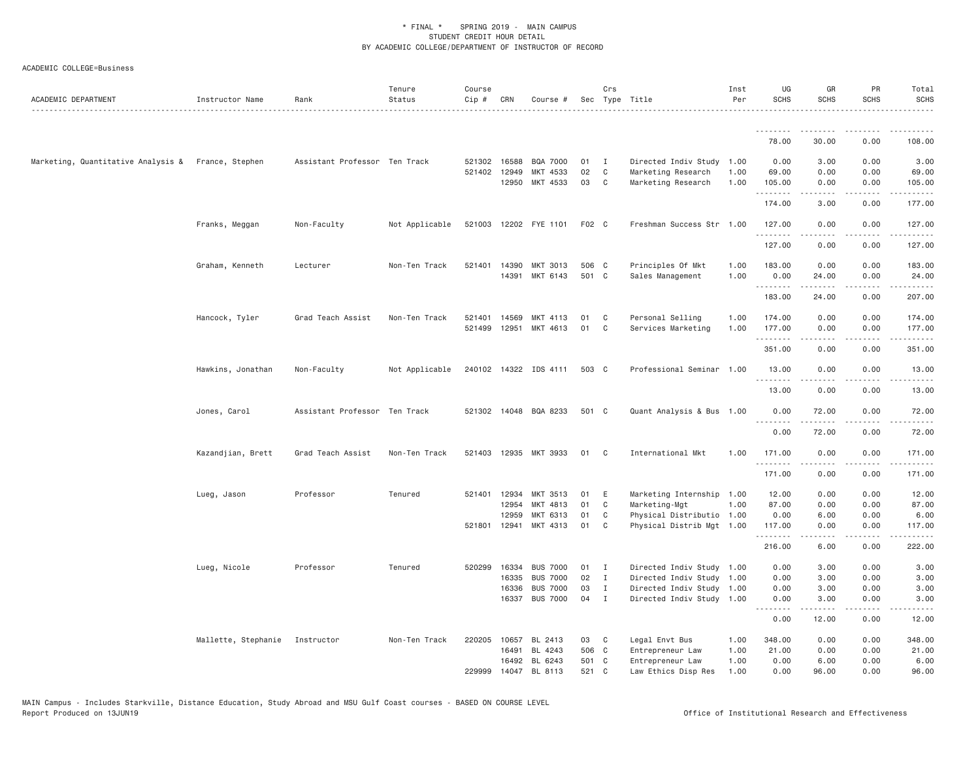| ACADEMIC DEPARTMENT                                | Instructor Name                | Rank                          | Tenure<br>Status | Course<br>Cip # | CRN            | Course #                           |                | Crs                         | Sec Type Title                                         | Inst<br>Per  | UG<br><b>SCHS</b> | GR<br><b>SCHS</b>                                                                                                                                                                       | PR<br><b>SCHS</b>                   | Total<br><b>SCHS</b>   |
|----------------------------------------------------|--------------------------------|-------------------------------|------------------|-----------------|----------------|------------------------------------|----------------|-----------------------------|--------------------------------------------------------|--------------|-------------------|-----------------------------------------------------------------------------------------------------------------------------------------------------------------------------------------|-------------------------------------|------------------------|
|                                                    |                                |                               |                  |                 |                |                                    |                |                             |                                                        |              | <u>.</u>          |                                                                                                                                                                                         |                                     |                        |
|                                                    |                                |                               |                  |                 |                |                                    |                |                             |                                                        |              | 78.00             | 30.00                                                                                                                                                                                   | 0.00                                | 108.00                 |
| Marketing, Quantitative Analysis & France, Stephen |                                | Assistant Professor Ten Track |                  |                 | 521302 16588   | BQA 7000                           | 01             | $\mathbf{I}$                | Directed Indiv Study 1.00                              |              | 0.00              | 3.00                                                                                                                                                                                    | 0.00                                | 3.00                   |
|                                                    |                                |                               |                  |                 | 521402 12949   | MKT 4533                           | 02             | $\mathsf{C}$                | Marketing Research                                     | 1.00         | 69.00             | 0.00                                                                                                                                                                                    | 0.00                                | 69.00                  |
|                                                    |                                |                               |                  |                 | 12950          | MKT 4533                           | 03             | C                           | Marketing Research                                     | 1.00         | 105.00<br>.       | 0.00<br>.                                                                                                                                                                               | 0.00<br>$\sim$ $\sim$ $\sim$        | 105.00<br>.            |
|                                                    |                                |                               |                  |                 |                |                                    |                |                             |                                                        |              | 174.00            | 3,00                                                                                                                                                                                    | 0.00                                | 177.00                 |
|                                                    | Franks, Meggan                 | Non-Faculty                   | Not Applicable   |                 |                | 521003 12202 FYE 1101              | F02 C          |                             | Freshman Success Str 1.00                              |              | 127.00<br>.       | 0.00                                                                                                                                                                                    | 0.00                                | 127.00<br>.            |
|                                                    |                                |                               |                  |                 |                |                                    |                |                             |                                                        |              | 127.00            | 0.00                                                                                                                                                                                    | 0.00                                | 127.00                 |
|                                                    | Graham, Kenneth                | Lecturer                      | Non-Ten Track    |                 | 521401 14390   | MKT 3013                           | 506 C          |                             | Principles Of Mkt                                      | 1.00         | 183.00            | 0.00                                                                                                                                                                                    | 0.00                                | 183.00                 |
|                                                    |                                |                               |                  |                 |                | 14391 MKT 6143                     | 501 C          |                             | Sales Management                                       | 1.00         | 0.00              | 24.00                                                                                                                                                                                   | 0.00                                | 24.00                  |
|                                                    |                                |                               |                  |                 |                |                                    |                |                             |                                                        |              | .<br>183.00       | .<br>24.00                                                                                                                                                                              | .<br>0.00                           | 207.00                 |
|                                                    | Hancock, Tyler                 | Grad Teach Assist             | Non-Ten Track    | 521401          | 14569          | MKT 4113                           | 01             | C                           | Personal Selling                                       | 1.00         | 174.00            | 0.00                                                                                                                                                                                    | 0.00                                | 174.00                 |
|                                                    |                                |                               |                  | 521499          | 12951          | MKT 4613                           | 01             | C                           | Services Marketing                                     | 1.00         | 177.00            | 0.00                                                                                                                                                                                    | 0.00                                | 177.00                 |
|                                                    |                                |                               |                  |                 |                |                                    |                |                             |                                                        |              | .<br>351.00       | $\frac{1}{2} \left( \frac{1}{2} \right) \left( \frac{1}{2} \right) \left( \frac{1}{2} \right) \left( \frac{1}{2} \right) \left( \frac{1}{2} \right) \left( \frac{1}{2} \right)$<br>0.00 | .<br>0.00                           | .<br>351.00            |
|                                                    |                                |                               |                  |                 |                |                                    |                |                             |                                                        |              |                   |                                                                                                                                                                                         |                                     |                        |
|                                                    | Hawkins, Jonathan              | Non-Faculty                   | Not Applicable   |                 |                | 240102 14322 IDS 4111              | 503 C          |                             | Professional Seminar 1.00                              |              | 13.00<br>.        | 0.00                                                                                                                                                                                    | 0.00                                | 13.00                  |
|                                                    |                                |                               |                  |                 |                |                                    |                |                             |                                                        |              | 13.00             | 0.00                                                                                                                                                                                    | 0.00                                | 13.00                  |
|                                                    | Jones, Carol                   | Assistant Professor Ten Track |                  |                 |                | 521302 14048 BQA 8233              | 501 C          |                             | Quant Analysis & Bus 1.00                              |              | 0.00<br>.         | 72.00<br>.                                                                                                                                                                              | 0.00<br>$\sim$ $\sim$ $\sim$ $\sim$ | 72.00<br>.             |
|                                                    |                                |                               |                  |                 |                |                                    |                |                             |                                                        |              | 0.00              | 72.00                                                                                                                                                                                   | 0.00                                | 72.00                  |
|                                                    | Kazandjian, Brett              | Grad Teach Assist             | Non-Ten Track    | 521403          | 12935          | MKT 3933                           | 01             | C                           | International Mkt                                      | 1.00         | 171.00<br>.       | 0.00<br>$- - - - -$                                                                                                                                                                     | 0.00<br>$\sim$ $\sim$ $\sim$        | 171.00<br>$-1 - 1 - 1$ |
|                                                    |                                |                               |                  |                 |                |                                    |                |                             |                                                        |              | 171.00            | 0.00                                                                                                                                                                                    | 0.00                                | 171.00                 |
|                                                    | Lueg, Jason                    | Professor                     | Tenured          | 521401          | 12934          | MKT 3513                           | 01             | Ε                           | Marketing Internship                                   | 1.00         | 12.00             | 0.00                                                                                                                                                                                    | 0.00                                | 12.00                  |
|                                                    |                                |                               |                  |                 | 12954          | MKT 4813                           | 01             | C                           | Marketing-Mgt                                          | 1.00         | 87.00             | 0.00                                                                                                                                                                                    | 0.00                                | 87.00                  |
|                                                    |                                |                               |                  |                 | 12959          | MKT 6313                           | 01             | C                           | Physical Distributio 1.00                              |              | 0.00              | 6.00                                                                                                                                                                                    | 0.00                                | 6.00                   |
|                                                    |                                |                               |                  |                 | 521801 12941   | MKT 4313                           | 01             | C                           | Physical Distrib Mgt 1.00                              |              | 117.00<br>.       | 0.00                                                                                                                                                                                    | 0.00                                | 117.00                 |
|                                                    |                                |                               |                  |                 |                |                                    |                |                             |                                                        |              | 216.00            | 6.00                                                                                                                                                                                    | 0.00                                | 222.00                 |
|                                                    | Lueg, Nicole                   | Professor                     | Tenured          | 520299          | 16334          | <b>BUS 7000</b>                    | 01             | $\mathbf{I}$                | Directed Indiv Study 1.00                              |              | 0.00              | 3.00                                                                                                                                                                                    | 0.00                                | 3.00                   |
|                                                    |                                |                               |                  |                 | 16335          | <b>BUS 7000</b>                    | 02             | $\mathbf{I}$                | Directed Indiv Study 1.00                              |              | 0.00              | 3.00                                                                                                                                                                                    | 0.00                                | 3.00                   |
|                                                    |                                |                               |                  |                 | 16336<br>16337 | <b>BUS 7000</b><br><b>BUS 7000</b> | 03<br>04       | $\mathbf I$<br>$\mathbf{I}$ | Directed Indiv Study 1.00<br>Directed Indiv Study 1.00 |              | 0.00<br>0.00      | 3.00<br>3.00                                                                                                                                                                            | 0.00<br>0.00                        | 3.00<br>3.00           |
|                                                    |                                |                               |                  |                 |                |                                    |                |                             |                                                        |              | .                 | .                                                                                                                                                                                       | $\sim$ $\sim$ $\sim$                | .                      |
|                                                    |                                |                               |                  |                 |                |                                    |                |                             |                                                        |              | 0.00              | 12.00                                                                                                                                                                                   | 0.00                                | 12.00                  |
|                                                    | Mallette, Stephanie Instructor |                               | Non-Ten Track    | 220205          | 10657          | BL 2413                            | 03             | C                           | Legal Envt Bus                                         | 1.00         | 348.00            | 0.00                                                                                                                                                                                    | 0.00                                | 348.00                 |
|                                                    |                                |                               |                  |                 | 16491          | BL 4243                            | 506 C          |                             | Entrepreneur Law                                       | 1.00         | 21.00             | 0.00                                                                                                                                                                                    | 0.00                                | 21.00                  |
|                                                    |                                |                               |                  | 229999          |                | 16492 BL 6243<br>14047 BL 8113     | 501 C<br>521 C |                             | Entrepreneur Law<br>Law Ethics Disp Res                | 1.00<br>1.00 | 0.00<br>0.00      | 6.00<br>96.00                                                                                                                                                                           | 0.00<br>0.00                        | 6.00<br>96.00          |
|                                                    |                                |                               |                  |                 |                |                                    |                |                             |                                                        |              |                   |                                                                                                                                                                                         |                                     |                        |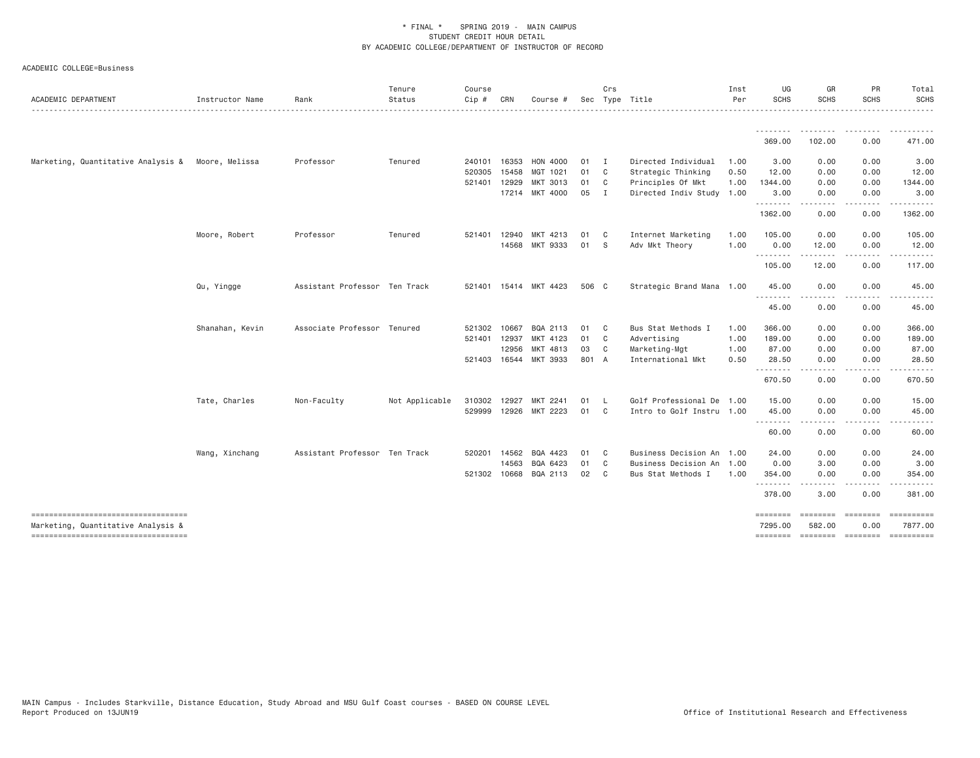| ACADEMIC DEPARTMENT                                                      | Instructor Name | Rank                          | Tenure<br>Status | Course<br>Cip # | CRN   | Course #              |       | Crs            | Sec Type Title            | Inst<br>Per | UG<br><b>SCHS</b>                | GR<br>SCHS         | PR<br><b>SCHS</b>                    | Total<br><b>SCHS</b> |
|--------------------------------------------------------------------------|-----------------|-------------------------------|------------------|-----------------|-------|-----------------------|-------|----------------|---------------------------|-------------|----------------------------------|--------------------|--------------------------------------|----------------------|
|                                                                          |                 |                               |                  |                 |       |                       |       |                |                           |             |                                  |                    |                                      |                      |
|                                                                          |                 |                               |                  |                 |       |                       |       |                |                           |             | --------<br>369.00               | 102.00             | 0.00                                 | 471.00               |
| Marketing, Quantitative Analysis &                                       | Moore, Melissa  | Professor                     | Tenured          | 240101          | 16353 | HON 4000              | 01    | $\blacksquare$ | Directed Individual       | 1.00        | 3.00                             | 0.00               | 0.00                                 | 3.00                 |
|                                                                          |                 |                               |                  | 520305          | 15458 | MGT 1021              | 01    | $\mathbf{C}$   | Strategic Thinking        | 0.50        | 12.00                            | 0.00               | 0.00                                 | 12.00                |
|                                                                          |                 |                               |                  | 521401          | 12929 | MKT 3013              | 01    | C              | Principles Of Mkt         | 1.00        | 1344.00                          | 0.00               | 0.00                                 | 1344.00              |
|                                                                          |                 |                               |                  |                 | 17214 | MKT 4000              | 05    | $\blacksquare$ | Directed Indiv Study 1.00 |             | 3.00<br><u>.</u>                 | 0.00               | 0.00                                 | 3.00                 |
|                                                                          |                 |                               |                  |                 |       |                       |       |                |                           |             | 1362.00                          | 0.00               | 0.00                                 | 1362.00              |
|                                                                          | Moore, Robert   | Professor                     | Tenured          | 521401          | 12940 | MKT<br>4213           | 01    | $\mathbf{C}$   | Internet Marketing        | 1.00        | 105.00                           | 0.00               | 0.00                                 | 105.00               |
|                                                                          |                 |                               |                  |                 | 14568 | MKT 9333              | 01    | - S            | Adv Mkt Theory            | 1.00        | 0.00<br>. <b>.</b>               | 12.00<br>- - - - - | 0.00<br>$\cdots$                     | 12.00                |
|                                                                          |                 |                               |                  |                 |       |                       |       |                |                           |             | 105.00                           | 12.00              | 0.00                                 | 117.00               |
|                                                                          | Qu, Yingge      | Assistant Professor Ten Track |                  |                 |       | 521401 15414 MKT 4423 | 506 C |                | Strategic Brand Mana 1.00 |             | 45.00                            | 0.00               | 0.00                                 | 45.00                |
|                                                                          |                 |                               |                  |                 |       |                       |       |                |                           |             | <u> - - - - - - - -</u><br>45.00 | 0.00               | 0.00                                 | 45.00                |
|                                                                          | Shanahan, Kevin | Associate Professor Tenured   |                  | 521302          | 10667 | BQA 2113              | 01    | $\mathbf{C}$   | Bus Stat Methods I        | 1.00        | 366.00                           | 0.00               | 0.00                                 | 366.00               |
|                                                                          |                 |                               |                  | 521401          | 12937 | MKT 4123              | 01    | C              | Advertising               | 1.00        | 189.00                           | 0.00               | 0.00                                 | 189.00               |
|                                                                          |                 |                               |                  |                 | 12956 | MKT 4813              | 03    | C              | Marketing-Mgt             | 1.00        | 87.00                            | 0.00               | 0.00                                 | 87.00                |
|                                                                          |                 |                               |                  | 521403 16544    |       | MKT 3933              | 801 A |                | International Mkt         | 0.50        | 28.50<br><u>.</u>                | 0.00               | 0.00                                 | 28.50                |
|                                                                          |                 |                               |                  |                 |       |                       |       |                |                           |             | 670.50                           | 0.00               | 0.00                                 | 670.50               |
|                                                                          | Tate, Charles   | Non-Faculty                   | Not Applicable   | 310302 12927    |       | MKT 2241              | 01    | - L            | Golf Professional De 1.00 |             | 15.00                            | 0.00               | 0.00                                 | 15.00                |
|                                                                          |                 |                               |                  | 529999 12926    |       | MKT 2223              | 01    | $\mathbf{C}$   | Intro to Golf Instru 1.00 |             | 45.00<br>--------                | 0.00<br>.          | 0.00                                 | 45.00                |
|                                                                          |                 |                               |                  |                 |       |                       |       |                |                           |             | 60.00                            | 0.00               | 0.00                                 | 60.00                |
|                                                                          | Wang, Xinchang  | Assistant Professor Ten Track |                  | 520201          | 14562 | BQA 4423              | 01    | $\mathbf{C}$   | Business Decision An 1.00 |             | 24.00                            | 0.00               | 0.00                                 | 24.00                |
|                                                                          |                 |                               |                  |                 | 14563 | BQA 6423              | 01    | $\mathbf{C}$   | Business Decision An 1.00 |             | 0.00                             | 3.00               | 0.00                                 | 3.00                 |
|                                                                          |                 |                               |                  | 521302 10668    |       | BQA 2113              | 02    | $\mathbf{C}$   | Bus Stat Methods I        | 1.00        | 354.00<br><u>.</u>               | 0.00               | 0.00                                 | 354.00               |
|                                                                          |                 |                               |                  |                 |       |                       |       |                |                           |             | 378.00                           | 3.00               | 0.00                                 | 381.00               |
| ----------------------------------                                       |                 |                               |                  |                 |       |                       |       |                |                           |             | ========                         | ========           | ========                             | 7877.00              |
| Marketing, Quantitative Analysis &<br>---------------------------------- |                 |                               |                  |                 |       |                       |       |                |                           |             | 7295.00<br>========              | 582.00             | 0.00<br>--------- -------- --------- |                      |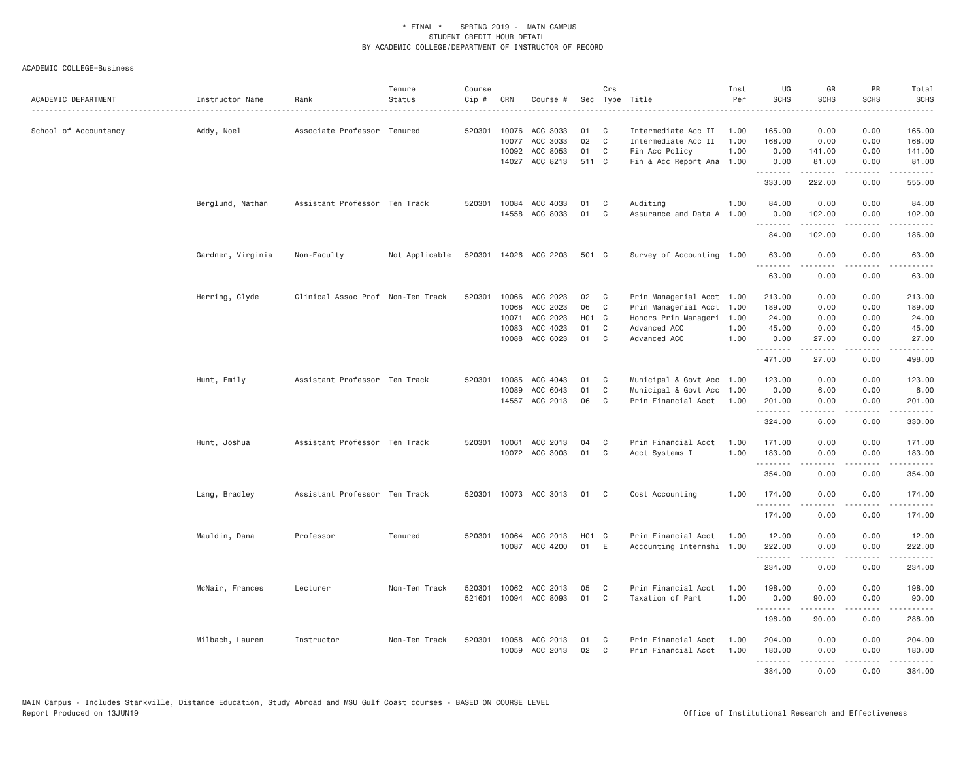| ACADEMIC DEPARTMENT   | Instructor Name   | Rank                              | Tenure<br>Status | Course<br>Cip #  | CRN                     | Course #                         |                    | Crs         | Sec Type Title                                               | Inst<br>Per          | UG<br><b>SCHS</b>                       | GR<br>SCHS             | PR<br><b>SCHS</b>                    | Total<br><b>SCHS</b><br>.                                                                                             |
|-----------------------|-------------------|-----------------------------------|------------------|------------------|-------------------------|----------------------------------|--------------------|-------------|--------------------------------------------------------------|----------------------|-----------------------------------------|------------------------|--------------------------------------|-----------------------------------------------------------------------------------------------------------------------|
| School of Accountancy | Addy, Noel        | Associate Professor Tenured       |                  | 520301           | 10076<br>10077<br>10092 | ACC 3033<br>ACC 3033<br>ACC 8053 | 01<br>02<br>01     | C<br>C<br>C | Intermediate Acc II<br>Intermediate Acc II<br>Fin Acc Policy | 1.00<br>1.00<br>1.00 | 165.00<br>168.00<br>0.00                | 0.00<br>0.00<br>141.00 | 0.00<br>0.00<br>0.00                 | 165.00<br>168.00<br>141.00                                                                                            |
|                       |                   |                                   |                  |                  |                         | 14027 ACC 8213                   | 511 C              |             | Fin & Acc Report Ana 1.00                                    |                      | 0.00<br>333.00                          | 81.00<br>.<br>222.00   | 0.00<br>.<br>0.00                    | 81.00<br>.<br>555.00                                                                                                  |
|                       | Berglund, Nathan  | Assistant Professor Ten Track     |                  |                  |                         | 520301 10084 ACC 4033            | 01                 | C           | Auditing                                                     | 1.00                 | 84.00                                   | 0.00                   | 0.00                                 | 84.00                                                                                                                 |
|                       |                   |                                   |                  |                  |                         | 14558 ACC 8033                   | 01                 | C           | Assurance and Data A 1.00                                    |                      | 0.00<br>.                               | 102.00<br>.            | 0.00<br>.                            | 102.00<br>.                                                                                                           |
|                       |                   |                                   |                  |                  |                         |                                  |                    |             |                                                              |                      | 84.00                                   | 102.00                 | 0.00                                 | 186.00                                                                                                                |
|                       | Gardner, Virginia | Non-Faculty                       | Not Applicable   | 520301           |                         | 14026 ACC 2203                   | 501 C              |             | Survey of Accounting 1.00                                    |                      | 63.00<br>.<br>63.00                     | 0.00<br>0.00           | 0.00<br>$\sim$ $\sim$ $\sim$<br>0.00 | 63.00<br>المتمامين<br>63.00                                                                                           |
|                       | Herring, Clyde    | Clinical Assoc Prof Non-Ten Track |                  | 520301           | 10066                   | ACC 2023                         | 02                 | C           | Prin Managerial Acct 1.00                                    |                      | 213.00                                  | 0.00                   | 0.00                                 | 213.00                                                                                                                |
|                       |                   |                                   |                  |                  | 10068                   | ACC 2023                         | 06                 | C           | Prin Managerial Acct 1.00                                    |                      | 189.00                                  | 0.00                   | 0.00                                 | 189.00                                                                                                                |
|                       |                   |                                   |                  |                  | 10071                   | ACC 2023                         | H <sub>0</sub> 1 C |             | Honors Prin Manageri 1.00                                    |                      | 24.00                                   | 0.00                   | 0.00                                 | 24.00                                                                                                                 |
|                       |                   |                                   |                  |                  | 10083                   | ACC 4023                         | 01                 | C           | Advanced ACC                                                 | 1.00                 | 45.00                                   | 0.00                   | 0.00                                 | 45.00                                                                                                                 |
|                       |                   |                                   |                  |                  | 10088                   | ACC 6023                         | 01                 | C           | Advanced ACC                                                 | 1.00                 | 0.00<br><b></b>                         | 27.00<br>.             | 0.00<br>.                            | 27.00<br>.                                                                                                            |
|                       |                   |                                   |                  |                  |                         |                                  |                    |             |                                                              |                      | 471.00                                  | 27.00                  | 0.00                                 | 498.00                                                                                                                |
|                       | Hunt, Emily       | Assistant Professor Ten Track     |                  | 520301           |                         | 10085 ACC 4043                   | 01                 | C           | Municipal & Govt Acc 1.00                                    |                      | 123.00                                  | 0.00                   | 0.00                                 | 123.00                                                                                                                |
|                       |                   |                                   |                  |                  | 10089                   | ACC 6043                         | 01                 | C           | Municipal & Govt Acc 1.00                                    |                      | 0.00                                    | 6.00                   | 0.00                                 | 6.00                                                                                                                  |
|                       |                   |                                   |                  |                  |                         | 14557 ACC 2013                   | 06                 | C           | Prin Financial Acct 1.00                                     |                      | 201.00<br>.                             | 0.00<br>.              | 0.00<br>.                            | 201.00<br>.                                                                                                           |
|                       |                   |                                   |                  |                  |                         |                                  |                    |             |                                                              |                      | 324.00                                  | 6.00                   | 0.00                                 | 330.00                                                                                                                |
|                       | Hunt, Joshua      | Assistant Professor Ten Track     |                  |                  | 520301 10061            | ACC 2013                         | 04                 | C           | Prin Financial Acct                                          | 1.00                 | 171.00                                  | 0.00                   | 0.00                                 | 171.00                                                                                                                |
|                       |                   |                                   |                  |                  |                         | 10072 ACC 3003                   | 01                 | C           | Acct Systems I                                               | 1.00                 | 183.00<br>.                             | 0.00<br>.              | 0.00<br>.                            | 183.00<br>.                                                                                                           |
|                       |                   |                                   |                  |                  |                         |                                  |                    |             |                                                              |                      | 354.00                                  | 0.00                   | 0.00                                 | 354.00                                                                                                                |
|                       | Lang, Bradley     | Assistant Professor Ten Track     |                  | 520301           |                         | 10073 ACC 3013                   | 01                 | C           | Cost Accounting                                              | 1,00                 | 174.00<br>.                             | 0.00                   | 0.00<br>.                            | 174.00<br>.                                                                                                           |
|                       |                   |                                   |                  |                  |                         |                                  |                    |             |                                                              |                      | 174.00                                  | 0.00                   | 0.00                                 | 174.00                                                                                                                |
|                       | Mauldin, Dana     | Professor                         | Tenured          |                  | 520301 10064            | ACC 2013<br>10087 ACC 4200       | H01 C<br>01 E      |             | Prin Financial Acct<br>Accounting Internshi 1.00             | 1.00                 | 12.00<br>222.00<br>.                    | 0.00<br>0.00<br>-----  | 0.00<br>0.00<br>.                    | 12.00<br>222.00<br>$- - - - - -$                                                                                      |
|                       |                   |                                   |                  |                  |                         |                                  |                    |             |                                                              |                      | 234.00                                  | 0.00                   | 0.00                                 | 234.00                                                                                                                |
|                       | McNair, Frances   | Lecturer                          | Non-Ten Track    | 520301<br>521601 |                         | 10062 ACC 2013<br>10094 ACC 8093 | 05<br>01           | C<br>C      | Prin Financial Acct<br>Taxation of Part                      | 1.00<br>1,00         | 198.00<br>0.00                          | 0.00<br>90.00          | 0.00<br>0.00                         | 198.00<br>90.00                                                                                                       |
|                       |                   |                                   |                  |                  |                         |                                  |                    |             |                                                              |                      | <b><i><u><u>.</u></u></i></b><br>198.00 | .<br>90.00             | -----<br>0.00                        | $\begin{array}{cccccccccc} \bullet & \bullet & \bullet & \bullet & \bullet & \bullet & \bullet \end{array}$<br>288.00 |
|                       | Milbach, Lauren   | Instructor                        | Non-Ten Track    | 520301           | 10058                   | ACC 2013                         | 01                 | C           | Prin Financial Acct                                          | 1.00                 | 204,00                                  | 0.00                   | 0.00                                 | 204.00                                                                                                                |
|                       |                   |                                   |                  |                  |                         | 10059 ACC 2013                   | 02                 | C           | Prin Financial Acct                                          | 1.00                 | 180.00<br>.                             | 0.00<br>-----          | 0.00<br>.                            | 180.00<br>.                                                                                                           |
|                       |                   |                                   |                  |                  |                         |                                  |                    |             |                                                              |                      | 384.00                                  | 0.00                   | 0.00                                 | 384.00                                                                                                                |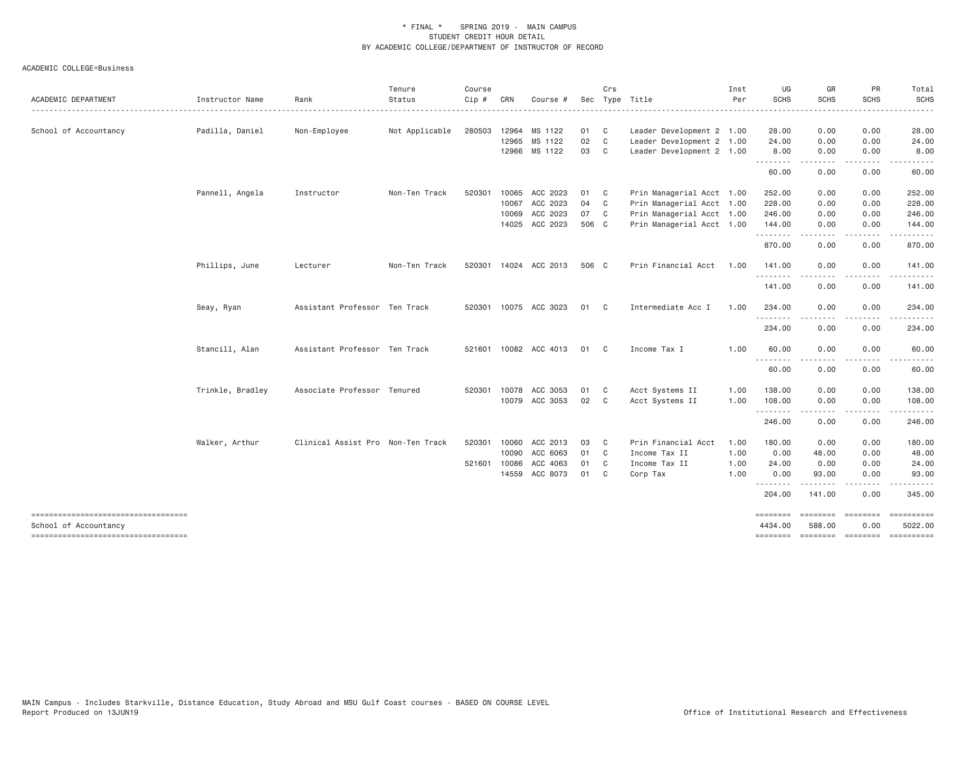ACADEMIC COLLEGE=Business

| ACADEMIC DEPARTMENT                                         | Instructor Name  | Rank                              | Tenure<br>Status | Course<br>Cip # | CRN   | Course #              |       | Crs            | Sec Type Title            | Inst<br>Per | UG<br><b>SCHS</b>   | GR<br>SCHS               | PR<br><b>SCHS</b>    | Total<br><b>SCHS</b>  |
|-------------------------------------------------------------|------------------|-----------------------------------|------------------|-----------------|-------|-----------------------|-------|----------------|---------------------------|-------------|---------------------|--------------------------|----------------------|-----------------------|
|                                                             |                  |                                   |                  |                 |       |                       |       |                |                           |             |                     |                          |                      |                       |
| School of Accountancy                                       | Padilla, Daniel  | Non-Employee                      | Not Applicable   | 280503          | 12964 | MS 1122               | 01 C  |                | Leader Development 2 1.00 |             | 28.00               | 0.00                     | 0.00                 | 28.00                 |
|                                                             |                  |                                   |                  |                 | 12965 | MS 1122               | 02 C  |                | Leader Development 2 1.00 |             | 24.00               | 0.00                     | 0.00                 | 24.00                 |
|                                                             |                  |                                   |                  |                 |       | 12966 MS 1122         | 03    | C <sub>1</sub> | Leader Development 2 1.00 |             | 8.00<br>.           | 0.00<br>$\cdots$         | 0.00<br>.            | 8.00                  |
|                                                             |                  |                                   |                  |                 |       |                       |       |                |                           |             | 60.00               | 0.00                     | 0.00                 | 60.00                 |
|                                                             | Pannell, Angela  | Instructor                        | Non-Ten Track    | 520301          | 10065 | ACC 2023              | 01    | $\overline{c}$ | Prin Managerial Acct 1.00 |             | 252.00              | 0.00                     | 0.00                 | 252.00                |
|                                                             |                  |                                   |                  |                 |       | 10067 ACC 2023        | 04 C  |                | Prin Managerial Acct 1.00 |             | 228.00              | 0.00                     | 0.00                 | 228.00                |
|                                                             |                  |                                   |                  |                 | 10069 | ACC 2023              | 07 C  |                | Prin Managerial Acct 1.00 |             | 246.00              | 0.00                     | 0.00                 | 246.00                |
|                                                             |                  |                                   |                  |                 |       | 14025 ACC 2023        | 506 C |                | Prin Managerial Acct 1.00 |             | 144.00<br>.         | 0.00<br>-----            | 0.00<br>-----        | 144.00                |
|                                                             |                  |                                   |                  |                 |       |                       |       |                |                           |             | 870.00              | 0.00                     | 0.00                 | 870.00                |
|                                                             | Phillips, June   | Lecturer                          | Non-Ten Track    |                 |       | 520301 14024 ACC 2013 | 506 C |                | Prin Financial Acct       | 1.00        | 141.00              | 0.00                     | 0.00                 | 141.00                |
|                                                             |                  |                                   |                  |                 |       |                       |       |                |                           |             | .<br>141.00         | 0.00                     | 0.00                 | 141.00                |
|                                                             | Seay, Ryan       | Assistant Professor Ten Track     |                  |                 |       | 520301 10075 ACC 3023 | 01    | $\mathbf{C}$   | Intermediate Acc I        | 1.00        | 234.00              | 0.00                     | 0.00                 | 234.00                |
|                                                             |                  |                                   |                  |                 |       |                       |       |                |                           |             | .<br>234.00         | $\cdots$<br>0.00         | .<br>0.00            | .<br>234.00           |
|                                                             | Stancill, Alan   | Assistant Professor Ten Track     |                  |                 |       | 521601 10082 ACC 4013 | 01    | $\mathbf{C}$   | Income Tax I              | 1.00        | 60.00               | 0.00                     | 0.00                 | 60.00                 |
|                                                             |                  |                                   |                  |                 |       |                       |       |                |                           |             | <u>.</u><br>60.00   | 0.00                     | 0.00                 | 60.00                 |
|                                                             | Trinkle, Bradley | Associate Professor Tenured       |                  | 520301 10078    |       | ACC 3053              | 01    | $\mathbf{C}$   | Acct Systems II           | 1.00        | 138.00              | 0.00                     | 0.00                 | 138.00                |
|                                                             |                  |                                   |                  |                 |       | 10079 ACC 3053        | 02 C  |                | Acct Systems II           | 1.00        | 108.00              | 0.00                     | 0.00                 | 108.00                |
|                                                             |                  |                                   |                  |                 |       |                       |       |                |                           |             | .<br>246.00         | $- - -$<br>0.00          | .<br>0.00            | .<br>246.00           |
|                                                             | Walker, Arthur   | Clinical Assist Pro Non-Ten Track |                  | 520301 10060    |       | ACC 2013              | 03    | $\mathbf{C}$   | Prin Financial Acct       | 1.00        | 180.00              | 0.00                     | 0.00                 | 180.00                |
|                                                             |                  |                                   |                  |                 | 10090 | ACC 6063              | 01 C  |                | Income Tax II             | 1.00        | 0.00                | 48.00                    | 0.00                 | 48.00                 |
|                                                             |                  |                                   |                  | 521601 10086    |       | ACC 4063              | 01    | C              | Income Tax II             | 1.00        | 24.00               | 0.00                     | 0.00                 | 24.00                 |
|                                                             |                  |                                   |                  |                 | 14559 | ACC 8073              | 01    | $\mathbf{C}$   | Corp Tax                  | 1.00        | 0.00                | 93.00                    | 0.00                 | 93.00                 |
|                                                             |                  |                                   |                  |                 |       |                       |       |                |                           |             | --------<br>204.00  | .<br>141.00              | 0.00                 | 345.00                |
| ----------------------------------<br>School of Accountancy |                  |                                   |                  |                 |       |                       |       |                |                           |             | ========<br>4434.00 | <b>ESSESSE</b><br>588.00 | $=$ ========<br>0.00 | ==========<br>5022.00 |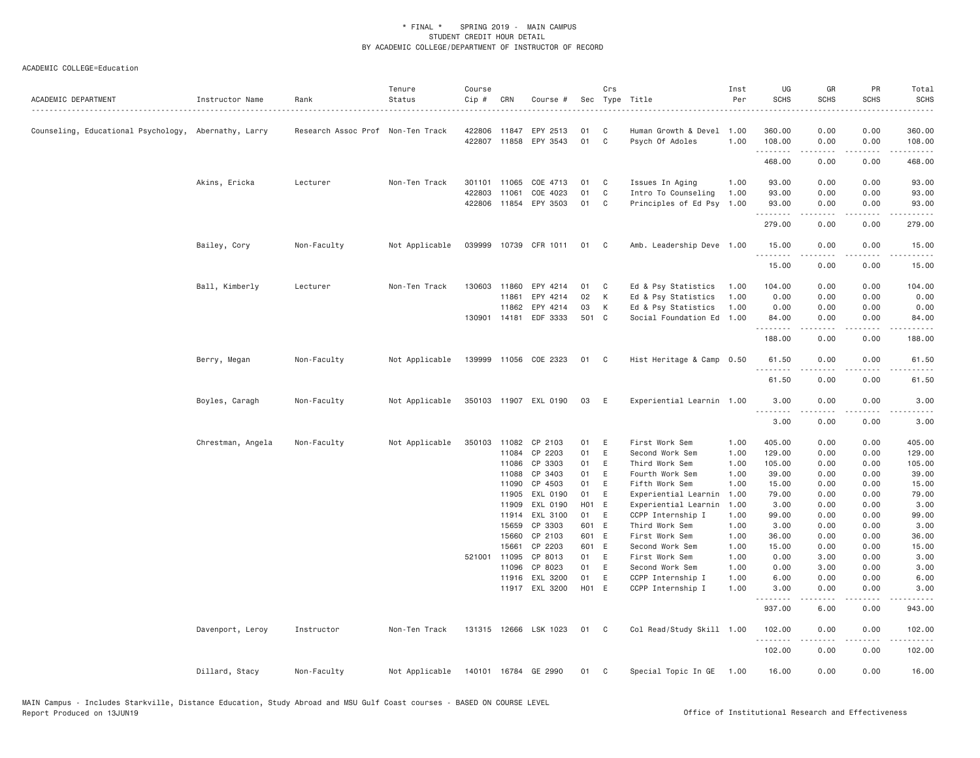| ACADEMIC DEPARTMENT                                  | Instructor Name   | Rank                              | Tenure<br>Status | Course<br>Cip # | CRN          | Course #              |       | Crs          | Sec Type Title            | Inst<br>Per | UG<br><b>SCHS</b>  | GR<br><b>SCHS</b>                                                                                                                                            | PR<br><b>SCHS</b>                                                                                                                 | Total<br><b>SCHS</b>                                                                                                  |
|------------------------------------------------------|-------------------|-----------------------------------|------------------|-----------------|--------------|-----------------------|-------|--------------|---------------------------|-------------|--------------------|--------------------------------------------------------------------------------------------------------------------------------------------------------------|-----------------------------------------------------------------------------------------------------------------------------------|-----------------------------------------------------------------------------------------------------------------------|
| Counseling, Educational Psychology, Abernathy, Larry |                   | Research Assoc Prof Non-Ten Track |                  | 422806          | 11847        | EPY 2513              | 01    | C            | Human Growth & Devel 1.00 |             | 360.00             | 0.00                                                                                                                                                         | 0.00                                                                                                                              | 360.00                                                                                                                |
|                                                      |                   |                                   |                  |                 | 422807 11858 | EPY 3543              | 01    | $\mathbf{C}$ | Psych Of Adoles           | 1.00        | 108.00             | 0.00                                                                                                                                                         | 0.00                                                                                                                              | 108.00                                                                                                                |
|                                                      |                   |                                   |                  |                 |              |                       |       |              |                           |             | .<br>468.00        | -----<br>0.00                                                                                                                                                | .<br>0.00                                                                                                                         | $\begin{array}{cccccccccc} \bullet & \bullet & \bullet & \bullet & \bullet & \bullet & \bullet \end{array}$<br>468.00 |
|                                                      | Akins, Ericka     | Lecturer                          | Non-Ten Track    | 301101          | 11065        | COE 4713              | 01    | $\mathbf{C}$ | Issues In Aging           | 1.00        | 93.00              | 0.00                                                                                                                                                         | 0.00                                                                                                                              | 93.00                                                                                                                 |
|                                                      |                   |                                   |                  | 422803          | 11061        | COE 4023              | 01    | C            | Intro To Counseling       | 1.00        | 93.00              | 0.00                                                                                                                                                         | 0.00                                                                                                                              | 93.00                                                                                                                 |
|                                                      |                   |                                   |                  |                 |              | 422806 11854 EPY 3503 | 01 C  |              | Principles of Ed Psy 1.00 |             | 93.00              | 0.00                                                                                                                                                         | 0.00                                                                                                                              | 93.00                                                                                                                 |
|                                                      |                   |                                   |                  |                 |              |                       |       |              |                           |             | .                  |                                                                                                                                                              |                                                                                                                                   |                                                                                                                       |
|                                                      |                   |                                   |                  |                 |              |                       |       |              |                           |             | 279.00             | 0.00                                                                                                                                                         | 0.00                                                                                                                              | 279.00                                                                                                                |
|                                                      | Bailey, Cory      | Non-Faculty                       | Not Applicable   |                 |              | 039999 10739 CFR 1011 | 01 C  |              | Amb. Leadership Deve 1.00 |             | 15.00<br>.         | 0.00<br>$\frac{1}{2} \left( \frac{1}{2} \right) \left( \frac{1}{2} \right) \left( \frac{1}{2} \right) \left( \frac{1}{2} \right) \left( \frac{1}{2} \right)$ | 0.00<br>.                                                                                                                         | 15.00<br>.                                                                                                            |
|                                                      |                   |                                   |                  |                 |              |                       |       |              |                           |             | 15.00              | 0.00                                                                                                                                                         | 0.00                                                                                                                              | 15.00                                                                                                                 |
|                                                      | Ball, Kimberly    | Lecturer                          | Non-Ten Track    | 130603          | 11860        | EPY 4214              | 01    | $\mathbf{C}$ | Ed & Psy Statistics       | 1.00        | 104.00             | 0.00                                                                                                                                                         | 0.00                                                                                                                              | 104.00                                                                                                                |
|                                                      |                   |                                   |                  |                 | 11861        | EPY 4214              | 02    | K            | Ed & Psy Statistics       | 1.00        | 0.00               | 0.00                                                                                                                                                         | 0.00                                                                                                                              | 0.00                                                                                                                  |
|                                                      |                   |                                   |                  |                 | 11862        | EPY 4214              | 03    | K            | Ed & Psy Statistics       | 1.00        | 0.00               | 0.00                                                                                                                                                         | 0.00                                                                                                                              | 0.00                                                                                                                  |
|                                                      |                   |                                   |                  |                 | 130901 14181 | EDF 3333              | 501 C |              | Social Foundation Ed 1.00 |             | 84.00              | 0.00                                                                                                                                                         | 0.00                                                                                                                              | 84.00                                                                                                                 |
|                                                      |                   |                                   |                  |                 |              |                       |       |              |                           |             | .<br>188.00        | .<br>0.00                                                                                                                                                    | $\frac{1}{2} \left( \frac{1}{2} \right) \left( \frac{1}{2} \right) \left( \frac{1}{2} \right) \left( \frac{1}{2} \right)$<br>0.00 | .<br>188.00                                                                                                           |
|                                                      | Berry, Megan      | Non-Faculty                       | Not Applicable   |                 |              | 139999 11056 COE 2323 | 01 C  |              | Hist Heritage & Camp 0.50 |             | 61.50              | 0.00                                                                                                                                                         | 0.00                                                                                                                              | 61.50                                                                                                                 |
|                                                      |                   |                                   |                  |                 |              |                       |       |              |                           |             | 61.50              | 0.00                                                                                                                                                         | 0.00                                                                                                                              | 61.50                                                                                                                 |
|                                                      | Boyles, Caragh    | Non-Faculty                       | Not Applicable   |                 |              | 350103 11907 EXL 0190 | 03    | E            | Experiential Learnin 1.00 |             | 3.00               | 0.00                                                                                                                                                         | 0.00                                                                                                                              | 3.00                                                                                                                  |
|                                                      |                   |                                   |                  |                 |              |                       |       |              |                           |             | .<br>3.00          | 0.00                                                                                                                                                         | 0.00                                                                                                                              | 3.00                                                                                                                  |
|                                                      | Chrestman, Angela | Non-Faculty                       | Not Applicable   |                 | 350103 11082 | CP 2103               | 01    | E            | First Work Sem            | 1.00        | 405.00             | 0.00                                                                                                                                                         | 0.00                                                                                                                              | 405.00                                                                                                                |
|                                                      |                   |                                   |                  |                 | 11084        | CP 2203               | 01    | E            | Second Work Sem           | 1.00        | 129.00             | 0.00                                                                                                                                                         | 0.00                                                                                                                              | 129.00                                                                                                                |
|                                                      |                   |                                   |                  |                 | 11086        | CP 3303               | 01    | E            | Third Work Sem            | 1.00        | 105.00             | 0.00                                                                                                                                                         | 0.00                                                                                                                              | 105.00                                                                                                                |
|                                                      |                   |                                   |                  |                 | 11088        | CP 3403               | 01    | E            | Fourth Work Sem           | 1.00        | 39.00              | 0.00                                                                                                                                                         | 0.00                                                                                                                              | 39.00                                                                                                                 |
|                                                      |                   |                                   |                  |                 | 11090        | CP 4503               | 01 E  |              | Fifth Work Sem            | 1.00        | 15.00              | 0.00                                                                                                                                                         | 0.00                                                                                                                              | 15.00                                                                                                                 |
|                                                      |                   |                                   |                  |                 | 11905        | EXL 0190              | 01    | E            | Experiential Learnin      | 1.00        | 79.00              | 0.00                                                                                                                                                         | 0.00                                                                                                                              | 79.00                                                                                                                 |
|                                                      |                   |                                   |                  |                 | 11909        | EXL 0190              | HO1 E |              | Experiential Learnin      | 1.00        | 3.00               | 0.00                                                                                                                                                         | 0.00                                                                                                                              | 3.00                                                                                                                  |
|                                                      |                   |                                   |                  |                 | 11914        | EXL 3100              | 01    | E            | CCPP Internship I         | 1.00        | 99.00              | 0.00                                                                                                                                                         | 0.00                                                                                                                              | 99.00                                                                                                                 |
|                                                      |                   |                                   |                  |                 | 15659        | CP 3303               | 601 E |              | Third Work Sem            | 1.00        | 3.00               | 0.00                                                                                                                                                         | 0.00                                                                                                                              | 3.00                                                                                                                  |
|                                                      |                   |                                   |                  |                 | 15660        | CP 2103               | 601 E |              | First Work Sem            | 1.00        | 36.00              | 0.00                                                                                                                                                         | 0.00                                                                                                                              | 36.00                                                                                                                 |
|                                                      |                   |                                   |                  |                 | 15661        | CP 2203               | 601 E |              | Second Work Sem           | 1.00        | 15.00              | 0.00                                                                                                                                                         | 0.00                                                                                                                              | 15.00                                                                                                                 |
|                                                      |                   |                                   |                  |                 | 521001 11095 | CP 8013               | 01 E  |              | First Work Sem            | 1.00        | 0.00               | 3.00                                                                                                                                                         | 0.00                                                                                                                              | 3.00                                                                                                                  |
|                                                      |                   |                                   |                  |                 | 11096        | CP 8023               | 01    | E            | Second Work Sem           | 1.00        | 0.00               | 3.00                                                                                                                                                         | 0.00                                                                                                                              | 3.00                                                                                                                  |
|                                                      |                   |                                   |                  |                 | 11916        | EXL 3200              | 01    | E            | CCPP Internship I         | 1.00        | 6.00               | 0.00                                                                                                                                                         | 0.00                                                                                                                              | 6.00                                                                                                                  |
|                                                      |                   |                                   |                  |                 |              | 11917 EXL 3200        | H01 E |              | CCPP Internship I         | 1.00        | 3.00               | 0.00                                                                                                                                                         | 0.00                                                                                                                              | 3.00                                                                                                                  |
|                                                      |                   |                                   |                  |                 |              |                       |       |              |                           |             | <u>.</u><br>937.00 | <u>.</u><br>6.00                                                                                                                                             | .<br>0.00                                                                                                                         | -----<br>943.00                                                                                                       |
|                                                      | Davenport, Leroy  | Instructor                        | Non-Ten Track    |                 |              | 131315 12666 LSK 1023 | 01 C  |              | Col Read/Study Skill 1.00 |             | 102.00             | 0.00                                                                                                                                                         | 0.00                                                                                                                              | 102.00                                                                                                                |
|                                                      |                   |                                   |                  |                 |              |                       |       |              |                           |             | .<br>102.00        | $- - - - -$<br>0.00                                                                                                                                          | .<br>0.00                                                                                                                         | . <u>.</u> .<br>102.00                                                                                                |
|                                                      | Dillard, Stacy    | Non-Faculty                       | Not Applicable   |                 |              | 140101 16784 GE 2990  | 01    | C            | Special Topic In GE 1.00  |             | 16.00              | 0.00                                                                                                                                                         | 0.00                                                                                                                              | 16.00                                                                                                                 |
|                                                      |                   |                                   |                  |                 |              |                       |       |              |                           |             |                    |                                                                                                                                                              |                                                                                                                                   |                                                                                                                       |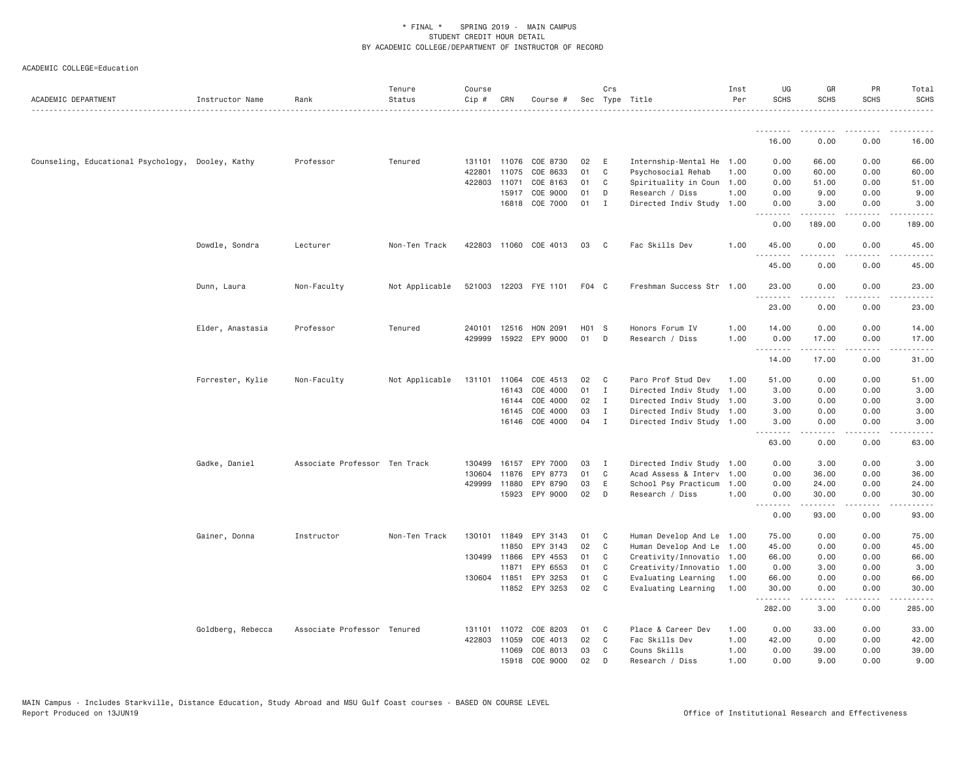| ACADEMIC DEPARTMENT                               | Instructor Name   | Rank                          | Tenure<br>Status | Course<br>Cip # | CRN          | Course #              |       | Crs            | Sec Type Title            | Inst<br>Per | UG<br><b>SCHS</b> | GR<br><b>SCHS</b>   | PR<br><b>SCHS</b>                                                                                                                 | Total<br><b>SCHS</b>                                                                                                                                                                                                                                                                                                                        |
|---------------------------------------------------|-------------------|-------------------------------|------------------|-----------------|--------------|-----------------------|-------|----------------|---------------------------|-------------|-------------------|---------------------|-----------------------------------------------------------------------------------------------------------------------------------|---------------------------------------------------------------------------------------------------------------------------------------------------------------------------------------------------------------------------------------------------------------------------------------------------------------------------------------------|
|                                                   |                   |                               |                  |                 |              |                       |       |                |                           |             | .                 |                     |                                                                                                                                   |                                                                                                                                                                                                                                                                                                                                             |
|                                                   |                   |                               |                  |                 |              |                       |       |                |                           |             | 16.00             | 0.00                | 0.00                                                                                                                              | 16.00                                                                                                                                                                                                                                                                                                                                       |
| Counseling, Educational Psychology, Dooley, Kathy |                   | Professor                     | Tenured          |                 |              | 131101 11076 COE 8730 | 02    | E              | Internship-Mental He 1.00 |             | 0.00              | 66.00               | 0.00                                                                                                                              | 66.00                                                                                                                                                                                                                                                                                                                                       |
|                                                   |                   |                               |                  | 422801          | 11075        | COE 8633              | 01    | C              | Psychosocial Rehab        | 1.00        | 0.00              | 60.00               | 0.00                                                                                                                              | 60.00                                                                                                                                                                                                                                                                                                                                       |
|                                                   |                   |                               |                  | 422803          | 11071        | COE 8163              | 01    | C              | Spirituality in Coun 1.00 |             | 0.00              | 51.00               | 0.00                                                                                                                              | 51.00                                                                                                                                                                                                                                                                                                                                       |
|                                                   |                   |                               |                  |                 | 15917        | COE 9000              | 01    | D              | Research / Diss           | 1.00        | 0.00              | 9.00                | 0.00                                                                                                                              | 9.00                                                                                                                                                                                                                                                                                                                                        |
|                                                   |                   |                               |                  |                 | 16818        | COE 7000              | 01    | $\mathbf{I}$   | Directed Indiv Study 1.00 |             | 0.00<br>.         | 3.00<br>.           | 0.00<br>$\frac{1}{2}$                                                                                                             | 3.00                                                                                                                                                                                                                                                                                                                                        |
|                                                   |                   |                               |                  |                 |              |                       |       |                |                           |             | 0.00              | 189.00              | 0.00                                                                                                                              | 189.00                                                                                                                                                                                                                                                                                                                                      |
|                                                   | Dowdle, Sondra    | Lecturer                      | Non-Ten Track    |                 |              | 422803 11060 COE 4013 | 03    | $\mathbf{C}$   | Fac Skills Dev            | 1.00        | 45.00<br>.        | 0.00                | 0.00                                                                                                                              | 45.00                                                                                                                                                                                                                                                                                                                                       |
|                                                   |                   |                               |                  |                 |              |                       |       |                |                           |             | 45.00             | 0.00                | 0.00                                                                                                                              | 45.00                                                                                                                                                                                                                                                                                                                                       |
|                                                   | Dunn, Laura       | Non-Faculty                   | Not Applicable   |                 |              | 521003 12203 FYE 1101 | F04 C |                | Freshman Success Str 1.00 |             | 23.00<br>.        | 0.00<br>$- - - - -$ | 0.00<br>. <b>.</b>                                                                                                                | 23.00                                                                                                                                                                                                                                                                                                                                       |
|                                                   |                   |                               |                  |                 |              |                       |       |                |                           |             | 23.00             | 0.00                | 0.00                                                                                                                              | 23.00                                                                                                                                                                                                                                                                                                                                       |
|                                                   | Elder, Anastasia  | Professor                     | Tenured          |                 | 240101 12516 | HON 2091              | H01 S |                | Honors Forum IV           | 1.00        | 14.00             | 0.00                | 0.00                                                                                                                              | 14.00                                                                                                                                                                                                                                                                                                                                       |
|                                                   |                   |                               |                  | 429999          |              | 15922 EPY 9000        | 01    | D              | Research / Diss           | 1.00        | 0.00              | 17.00               | 0.00                                                                                                                              | 17.00                                                                                                                                                                                                                                                                                                                                       |
|                                                   |                   |                               |                  |                 |              |                       |       |                |                           |             | .<br>14.00        | .<br>17.00          | .<br>0.00                                                                                                                         | $\frac{1}{2} \left( \begin{array}{ccc} 1 & 0 & 0 & 0 & 0 \\ 0 & 0 & 0 & 0 & 0 \\ 0 & 0 & 0 & 0 & 0 \\ 0 & 0 & 0 & 0 & 0 \\ 0 & 0 & 0 & 0 & 0 \\ 0 & 0 & 0 & 0 & 0 \\ 0 & 0 & 0 & 0 & 0 \\ 0 & 0 & 0 & 0 & 0 \\ 0 & 0 & 0 & 0 & 0 \\ 0 & 0 & 0 & 0 & 0 \\ 0 & 0 & 0 & 0 & 0 \\ 0 & 0 & 0 & 0 & 0 \\ 0 & 0 & 0 & 0 & 0 \\ 0 & 0 & 0$<br>31.00 |
|                                                   | Forrester, Kylie  | Non-Faculty                   | Not Applicable   | 131101          | 11064        | COE 4513              | 02    | C              | Paro Prof Stud Dev        | 1.00        | 51.00             | 0.00                | 0.00                                                                                                                              | 51.00                                                                                                                                                                                                                                                                                                                                       |
|                                                   |                   |                               |                  |                 | 16143        | COE 4000              | 01    | $\mathbf{I}$   | Directed Indiv Study 1.00 |             | 3.00              | 0.00                | 0.00                                                                                                                              | 3.00                                                                                                                                                                                                                                                                                                                                        |
|                                                   |                   |                               |                  |                 | 16144        | COE 4000              | 02    | $\blacksquare$ | Directed Indiv Study 1.00 |             | 3.00              | 0.00                | 0.00                                                                                                                              | 3.00                                                                                                                                                                                                                                                                                                                                        |
|                                                   |                   |                               |                  |                 | 16145        | COE 4000              | 03    | I              | Directed Indiv Study 1.00 |             | 3.00              | 0.00                | 0.00                                                                                                                              | 3.00                                                                                                                                                                                                                                                                                                                                        |
|                                                   |                   |                               |                  |                 | 16146        | COE 4000              | 04    | $\mathbf{I}$   | Directed Indiv Study 1.00 |             | 3.00<br>.         | 0.00<br>.           | 0.00<br>$\frac{1}{2} \left( \frac{1}{2} \right) \left( \frac{1}{2} \right) \left( \frac{1}{2} \right) \left( \frac{1}{2} \right)$ | 3.00<br>.                                                                                                                                                                                                                                                                                                                                   |
|                                                   |                   |                               |                  |                 |              |                       |       |                |                           |             | 63.00             | 0.00                | 0.00                                                                                                                              | 63.00                                                                                                                                                                                                                                                                                                                                       |
|                                                   | Gadke, Daniel     | Associate Professor Ten Track |                  | 130499          | 16157        | EPY 7000              | 03    | $\mathbf{I}$   | Directed Indiv Study 1.00 |             | 0.00              | 3.00                | 0.00                                                                                                                              | 3.00                                                                                                                                                                                                                                                                                                                                        |
|                                                   |                   |                               |                  | 130604          | 11876        | EPY 8773              | 01    | C              | Acad Assess & Interv 1.00 |             | 0.00              | 36.00               | 0.00                                                                                                                              | 36.00                                                                                                                                                                                                                                                                                                                                       |
|                                                   |                   |                               |                  | 429999          | 11880        | EPY 8790              | 03    | E              | School Psy Practicum      | 1.00        | 0.00              | 24.00               | 0.00                                                                                                                              | 24.00                                                                                                                                                                                                                                                                                                                                       |
|                                                   |                   |                               |                  |                 |              | 15923 EPY 9000        | 02    | D              | Research / Diss           | 1.00        | 0.00<br>.         | 30.00<br>.          | 0.00<br>.                                                                                                                         | 30.00<br>.                                                                                                                                                                                                                                                                                                                                  |
|                                                   |                   |                               |                  |                 |              |                       |       |                |                           |             | 0.00              | 93.00               | 0.00                                                                                                                              | 93.00                                                                                                                                                                                                                                                                                                                                       |
|                                                   | Gainer, Donna     | Instructor                    | Non-Ten Track    |                 | 130101 11849 | EPY 3143              | 01    | C              | Human Develop And Le 1.00 |             | 75.00             | 0.00                | 0.00                                                                                                                              | 75.00                                                                                                                                                                                                                                                                                                                                       |
|                                                   |                   |                               |                  |                 | 11850        | EPY 3143              | 02    | $\mathbf{C}$   | Human Develop And Le 1.00 |             | 45.00             | 0.00                | 0.00                                                                                                                              | 45.00                                                                                                                                                                                                                                                                                                                                       |
|                                                   |                   |                               |                  |                 | 130499 11866 | EPY 4553              | 01    | C              | Creativity/Innovatio 1.00 |             | 66.00             | 0.00                | 0.00                                                                                                                              | 66.00                                                                                                                                                                                                                                                                                                                                       |
|                                                   |                   |                               |                  |                 | 11871        | EPY 6553              | 01    | C              | Creativity/Innovatio 1.00 |             | 0.00              | 3.00                | 0.00                                                                                                                              | 3.00                                                                                                                                                                                                                                                                                                                                        |
|                                                   |                   |                               |                  |                 | 130604 11851 | EPY 3253              | 01    | C              | Evaluating Learning       | 1.00        | 66.00             | 0.00                | 0.00                                                                                                                              | 66.00                                                                                                                                                                                                                                                                                                                                       |
|                                                   |                   |                               |                  |                 |              | 11852 EPY 3253        | 02    | $\mathbf{C}$   | Evaluating Learning       | 1.00        | 30.00<br>.        | 0.00                | 0.00                                                                                                                              | 30.00                                                                                                                                                                                                                                                                                                                                       |
|                                                   |                   |                               |                  |                 |              |                       |       |                |                           |             | 282.00            | 3.00                | 0.00                                                                                                                              | 285.00                                                                                                                                                                                                                                                                                                                                      |
|                                                   | Goldberg, Rebecca | Associate Professor Tenured   |                  | 131101          | 11072        | COE 8203              | 01    | C              | Place & Career Dev        | 1.00        | 0.00              | 33.00               | 0.00                                                                                                                              | 33.00                                                                                                                                                                                                                                                                                                                                       |
|                                                   |                   |                               |                  | 422803          | 11059        | COE 4013              | 02    | C              | Fac Skills Dev            | 1.00        | 42.00             | 0.00                | 0.00                                                                                                                              | 42.00                                                                                                                                                                                                                                                                                                                                       |
|                                                   |                   |                               |                  |                 | 11069        | COE 8013              | 03    | C              | Couns Skills              | 1.00        | 0.00              | 39.00               | 0.00                                                                                                                              | 39.00                                                                                                                                                                                                                                                                                                                                       |
|                                                   |                   |                               |                  |                 | 15918        | COE 9000              | 02    | D              | Research / Diss           | 1.00        | 0.00              | 9.00                | 0.00                                                                                                                              | 9.00                                                                                                                                                                                                                                                                                                                                        |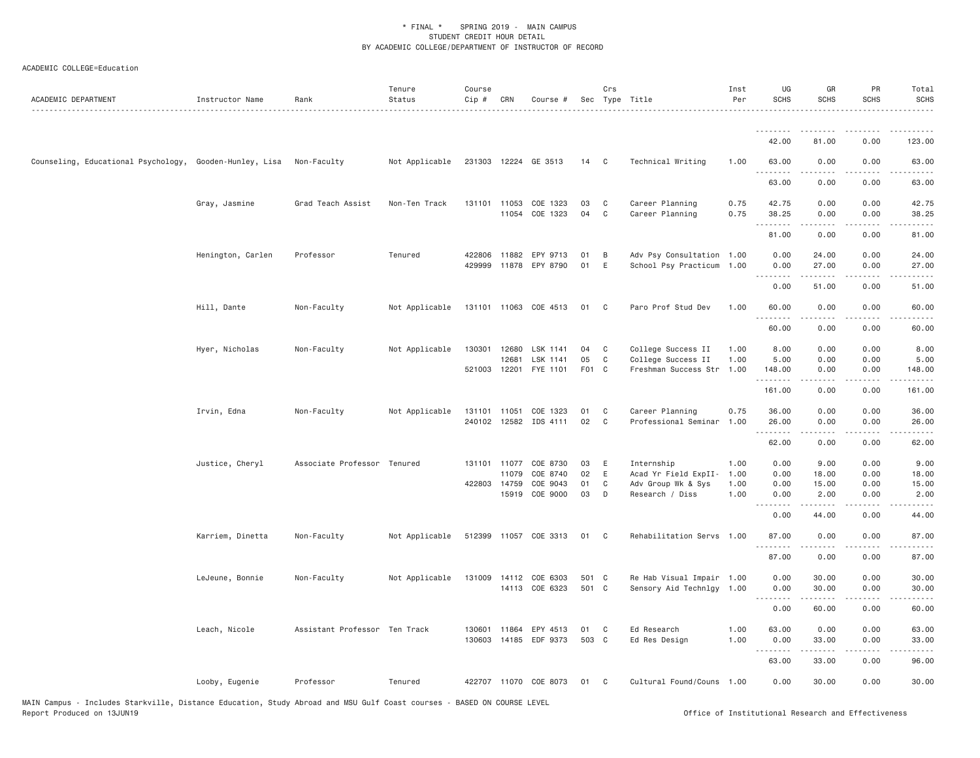| ACADEMIC DEPARTMENT                                     | Instructor Name   | Rank                          | Tenure<br>Status | Course<br>Cip # | CRN          | Course #                                |          | Crs          | Sec Type Title                                         | Inst<br>Per | UG<br><b>SCHS</b>        | GR<br>SCHS                                                                                                                                                   | PR<br><b>SCHS</b>                   | Total<br><b>SCHS</b>                                                                                                                                                                     |
|---------------------------------------------------------|-------------------|-------------------------------|------------------|-----------------|--------------|-----------------------------------------|----------|--------------|--------------------------------------------------------|-------------|--------------------------|--------------------------------------------------------------------------------------------------------------------------------------------------------------|-------------------------------------|------------------------------------------------------------------------------------------------------------------------------------------------------------------------------------------|
|                                                         |                   |                               |                  |                 |              |                                         |          |              |                                                        |             | <u>.</u>                 |                                                                                                                                                              |                                     |                                                                                                                                                                                          |
|                                                         |                   |                               |                  |                 |              |                                         |          |              |                                                        |             | 42.00                    | 81.00                                                                                                                                                        | 0.00                                | 123.00                                                                                                                                                                                   |
| Counseling, Educational Psychology, Gooden-Hunley, Lisa |                   | Non-Faculty                   | Not Applicable   |                 |              | 231303 12224 GE 3513                    | 14 C     |              | Technical Writing                                      | 1.00        | 63.00<br><u>.</u>        | 0.00                                                                                                                                                         | 0.00                                | 63.00                                                                                                                                                                                    |
|                                                         |                   |                               |                  |                 |              |                                         |          |              |                                                        |             | 63.00                    | 0.00                                                                                                                                                         | 0.00                                | 63.00                                                                                                                                                                                    |
|                                                         | Gray, Jasmine     | Grad Teach Assist             | Non-Ten Track    |                 | 131101 11053 | COE 1323                                | 03       | $\mathbf{C}$ | Career Planning                                        | 0.75        | 42.75                    | 0.00                                                                                                                                                         | 0.00                                | 42.75                                                                                                                                                                                    |
|                                                         |                   |                               |                  |                 |              | 11054 COE 1323                          | 04 C     |              | Career Planning                                        | 0.75        | 38.25                    | 0.00                                                                                                                                                         | 0.00                                | 38.25                                                                                                                                                                                    |
|                                                         |                   |                               |                  |                 |              |                                         |          |              |                                                        |             | 81.00                    | 0.00                                                                                                                                                         | 0.00                                | 81.00                                                                                                                                                                                    |
|                                                         | Henington, Carlen | Professor                     | Tenured          | 429999          |              | 422806 11882 EPY 9713<br>11878 EPY 8790 | 01<br>01 | B<br>E       | Adv Psy Consultation 1.00<br>School Psy Practicum 1.00 |             | 0.00<br>0.00             | 24.00<br>27.00                                                                                                                                               | 0.00<br>0.00                        | 24.00<br>27.00                                                                                                                                                                           |
|                                                         |                   |                               |                  |                 |              |                                         |          |              |                                                        |             | 0.00                     | .<br>51.00                                                                                                                                                   | .<br>0.00                           | .<br>51.00                                                                                                                                                                               |
|                                                         |                   |                               |                  |                 |              |                                         |          |              |                                                        |             |                          |                                                                                                                                                              |                                     |                                                                                                                                                                                          |
|                                                         | Hill, Dante       | Non-Faculty                   | Not Applicable   |                 |              | 131101 11063 COE 4513                   | 01       | $\mathbf{C}$ | Paro Prof Stud Dev                                     | 1.00        | 60.00<br>.               | 0.00<br>.                                                                                                                                                    | 0.00<br>$\cdots$                    | 60.00<br>$\frac{1}{2} \left( \frac{1}{2} \right) \left( \frac{1}{2} \right) \left( \frac{1}{2} \right) \left( \frac{1}{2} \right) \left( \frac{1}{2} \right)$                            |
|                                                         |                   |                               |                  |                 |              |                                         |          |              |                                                        |             | 60.00                    | 0.00                                                                                                                                                         | 0.00                                | 60.00                                                                                                                                                                                    |
|                                                         | Hyer, Nicholas    | Non-Faculty                   | Not Applicable   | 130301          | 12680        | LSK 1141                                | 04       | $\mathbf{C}$ | College Success II                                     | 1.00        | 8.00                     | 0.00                                                                                                                                                         | 0.00                                | 8.00                                                                                                                                                                                     |
|                                                         |                   |                               |                  |                 | 12681        | LSK 1141                                | 05       | $\mathbf{C}$ | College Success II                                     | 1.00        | 5.00                     | 0.00                                                                                                                                                         | 0.00                                | 5.00                                                                                                                                                                                     |
|                                                         |                   |                               |                  | 521003 12201    |              | FYE 1101                                | F01 C    |              | Freshman Success Str 1.00                              |             | 148.00                   | 0.00                                                                                                                                                         | 0.00                                | 148.00                                                                                                                                                                                   |
|                                                         |                   |                               |                  |                 |              |                                         |          |              |                                                        |             | 161.00                   | 0.00                                                                                                                                                         | 0.00                                | 161.00                                                                                                                                                                                   |
|                                                         | Irvin, Edna       | Non-Faculty                   | Not Applicable   | 131101          | 11051        | COE 1323                                | 01       | C            | Career Planning                                        | 0.75        | 36.00                    | 0.00                                                                                                                                                         | 0.00                                | 36.00                                                                                                                                                                                    |
|                                                         |                   |                               |                  | 240102          | 12582        | IDS 4111                                | 02       | $\mathbf{C}$ | Professional Seminar                                   | 1.00        | 26.00<br>.               | 0.00                                                                                                                                                         | 0.00<br>$\sim$ $\sim$ $\sim$ $\sim$ | 26.00<br>$\frac{1}{2} \left( \frac{1}{2} \right) \left( \frac{1}{2} \right) \left( \frac{1}{2} \right) \left( \frac{1}{2} \right) \left( \frac{1}{2} \right) \left( \frac{1}{2} \right)$ |
|                                                         |                   |                               |                  |                 |              |                                         |          |              |                                                        |             | 62.00                    | 0.00                                                                                                                                                         | 0.00                                | 62.00                                                                                                                                                                                    |
|                                                         | Justice, Cheryl   | Associate Professor Tenured   |                  | 131101          | 11077        | COE 8730                                | 03       | E            | Internship                                             | 1.00        | 0.00                     | 9.00                                                                                                                                                         | 0.00                                | 9.00                                                                                                                                                                                     |
|                                                         |                   |                               |                  |                 | 11079        | COE 8740                                | 02       | E            | Acad Yr Field ExpII-                                   | 1.00        | 0.00                     | 18.00                                                                                                                                                        | 0.00                                | 18.00                                                                                                                                                                                    |
|                                                         |                   |                               |                  | 422803 14759    |              | COE 9043                                | 01       | C            | Adv Group Wk & Sys                                     | 1.00        | 0.00                     | 15.00                                                                                                                                                        | 0.00                                | 15.00                                                                                                                                                                                    |
|                                                         |                   |                               |                  |                 | 15919        | COE 9000                                | 03       | D            | Research / Diss                                        | 1.00        | 0.00<br>-----<br>$- - -$ | 2.00<br>$\frac{1}{2} \left( \frac{1}{2} \right) \left( \frac{1}{2} \right) \left( \frac{1}{2} \right) \left( \frac{1}{2} \right) \left( \frac{1}{2} \right)$ | 0.00<br>$\cdots$                    | 2.00                                                                                                                                                                                     |
|                                                         |                   |                               |                  |                 |              |                                         |          |              |                                                        |             | 0.00                     | 44.00                                                                                                                                                        | 0.00                                | 44.00                                                                                                                                                                                    |
|                                                         | Karriem, Dinetta  | Non-Faculty                   | Not Applicable   |                 |              | 512399 11057 COE 3313                   | 01 C     |              | Rehabilitation Servs 1.00                              |             | 87.00<br>.               | 0.00<br>- - - - -                                                                                                                                            | 0.00<br>$\cdots$                    | 87.00                                                                                                                                                                                    |
|                                                         |                   |                               |                  |                 |              |                                         |          |              |                                                        |             | 87.00                    | 0.00                                                                                                                                                         | 0.00                                | 87.00                                                                                                                                                                                    |
|                                                         | LeJeune, Bonnie   | Non-Faculty                   | Not Applicable   |                 |              | 131009 14112 COE 6303                   | 501 C    |              | Re Hab Visual Impair 1.00                              |             | 0.00                     | 30.00                                                                                                                                                        | 0.00                                | 30.00                                                                                                                                                                                    |
|                                                         |                   |                               |                  |                 |              | 14113 COE 6323                          | 501 C    |              | Sensory Aid Technlgy 1.00                              |             | 0.00                     | 30.00                                                                                                                                                        | 0.00                                | 30.00                                                                                                                                                                                    |
|                                                         |                   |                               |                  |                 |              |                                         |          |              |                                                        |             | .<br>0.00                | 60.00                                                                                                                                                        | 0.00                                | $- - - - -$<br>60.00                                                                                                                                                                     |
|                                                         | Leach, Nicole     | Assistant Professor Ten Track |                  | 130601          | 11864        | EPY 4513                                | 01       | $\mathbf{C}$ | Ed Research                                            | 1.00        | 63.00                    | 0.00                                                                                                                                                         | 0.00                                | 63.00                                                                                                                                                                                    |
|                                                         |                   |                               |                  | 130603          |              | 14185 EDF 9373                          | 503 C    |              | Ed Res Design                                          | 1.00        | 0.00                     | 33.00                                                                                                                                                        | 0.00                                | 33.00                                                                                                                                                                                    |
|                                                         |                   |                               |                  |                 |              |                                         |          |              |                                                        |             | 63.00                    | 33.00                                                                                                                                                        | 0.00                                | 96.00                                                                                                                                                                                    |
|                                                         | Looby, Eugenie    | Professor                     | Tenured          |                 |              | 422707 11070 COE 8073                   | 01       | $\mathbf{C}$ | Cultural Found/Couns 1.00                              |             | 0.00                     | 30.00                                                                                                                                                        | 0.00                                | 30.00                                                                                                                                                                                    |
|                                                         |                   |                               |                  |                 |              |                                         |          |              |                                                        |             |                          |                                                                                                                                                              |                                     |                                                                                                                                                                                          |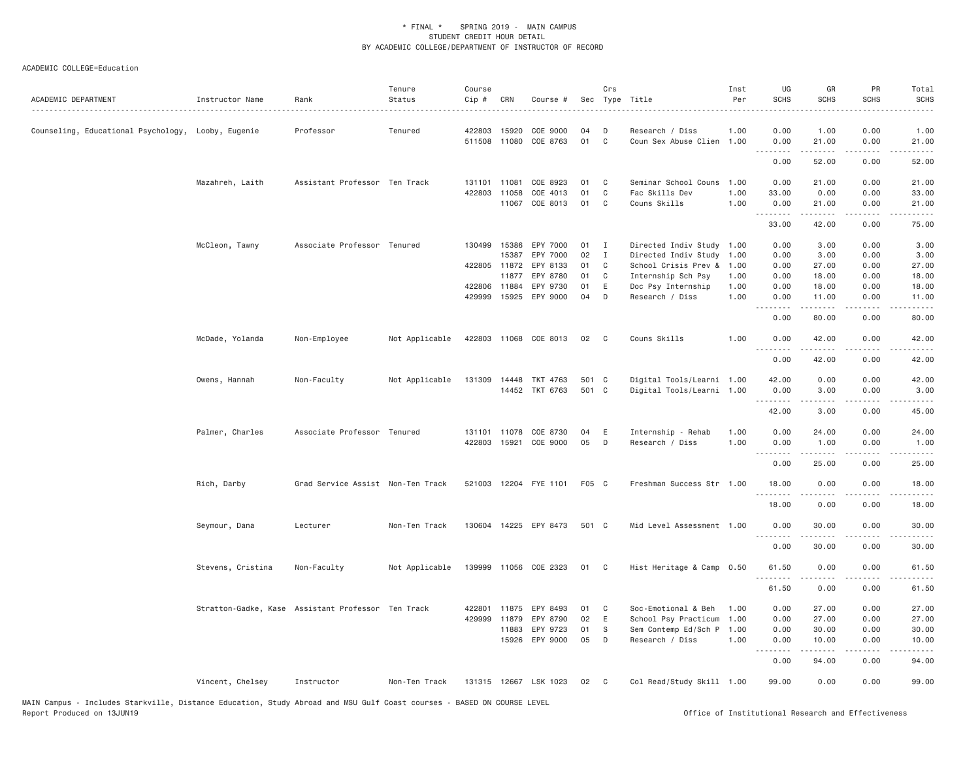| ACADEMIC DEPARTMENT                                | Instructor Name                                    | Rank                              | Tenure<br>Status | Course<br>Cip # | CRN          | Course #              |       | Crs          | Sec Type Title            | Inst<br>Per | UG<br><b>SCHS</b>    | GR<br><b>SCHS</b>                                                                                                                                            | PR<br><b>SCHS</b>                                                                                                                 | Total<br><b>SCHS</b> |
|----------------------------------------------------|----------------------------------------------------|-----------------------------------|------------------|-----------------|--------------|-----------------------|-------|--------------|---------------------------|-------------|----------------------|--------------------------------------------------------------------------------------------------------------------------------------------------------------|-----------------------------------------------------------------------------------------------------------------------------------|----------------------|
| Counseling, Educational Psychology, Looby, Eugenie |                                                    | Professor                         | Tenured          | 422803          | 15920        | COE 9000              | 04    | D            | Research / Diss           | 1.00        | 0.00                 | 1.00                                                                                                                                                         | 0.00                                                                                                                              | 1.00                 |
|                                                    |                                                    |                                   |                  |                 | 511508 11080 | COE 8763              | 01    | $\mathbf c$  | Coun Sex Abuse Clien 1.00 |             | 0.00<br>.            | 21.00<br>$- - - - -$                                                                                                                                         | 0.00<br>$\sim$ $\sim$ $\sim$ $\sim$                                                                                               | 21.00<br>.           |
|                                                    |                                                    |                                   |                  |                 |              |                       |       |              |                           |             | 0.00                 | 52.00                                                                                                                                                        | 0.00                                                                                                                              | 52.00                |
|                                                    | Mazahreh, Laith                                    | Assistant Professor Ten Track     |                  | 131101          | 11081        | COE 8923              | 01    | C            | Seminar School Couns 1.00 |             | 0.00                 | 21.00                                                                                                                                                        | 0.00                                                                                                                              | 21.00                |
|                                                    |                                                    |                                   |                  | 422803          | 11058        | COE 4013              | 01    | C            | Fac Skills Dev            | 1.00        | 33.00                | 0.00                                                                                                                                                         | 0.00                                                                                                                              | 33.00                |
|                                                    |                                                    |                                   |                  |                 | 11067        | COE 8013              | 01    | C            | Couns Skills              | 1.00        | 0.00<br>.            | 21.00                                                                                                                                                        | 0.00                                                                                                                              | 21.00                |
|                                                    |                                                    |                                   |                  |                 |              |                       |       |              |                           |             | 33.00                | 42.00                                                                                                                                                        | 0.00                                                                                                                              | 75.00                |
|                                                    | McCleon, Tawny                                     | Associate Professor Tenured       |                  | 130499          | 15386        | EPY 7000              | 01    | $\mathbf{I}$ | Directed Indiv Study 1.00 |             | 0.00                 | 3.00                                                                                                                                                         | 0.00                                                                                                                              | 3.00                 |
|                                                    |                                                    |                                   |                  |                 | 15387        | EPY 7000              | 02    | I            | Directed Indiv Study 1.00 |             | 0.00                 | 3.00                                                                                                                                                         | 0.00                                                                                                                              | 3.00                 |
|                                                    |                                                    |                                   |                  |                 | 422805 11872 | EPY 8133              | 01    | C            | School Crisis Prev &      | 1.00        | 0.00                 | 27.00                                                                                                                                                        | 0.00                                                                                                                              | 27.00                |
|                                                    |                                                    |                                   |                  |                 | 11877        | EPY 8780              | 01    | $\mathbf{C}$ | Internship Sch Psy        | 1.00        | 0.00                 | 18.00                                                                                                                                                        | 0.00                                                                                                                              | 18.00                |
|                                                    |                                                    |                                   |                  |                 | 422806 11884 | EPY 9730              | 01    | E            | Doc Psy Internship        | 1.00        | 0.00                 | 18.00                                                                                                                                                        | 0.00                                                                                                                              | 18.00                |
|                                                    |                                                    |                                   |                  |                 | 429999 15925 | EPY 9000              | 04    | D            | Research / Diss           | 1.00        | 0.00<br>.            | 11.00                                                                                                                                                        | 0.00                                                                                                                              | 11.00<br>د د د د د   |
|                                                    |                                                    |                                   |                  |                 |              |                       |       |              |                           |             | 0.00                 | 80.00                                                                                                                                                        | 0.00                                                                                                                              | 80.00                |
|                                                    | McDade, Yolanda                                    | Non-Employee                      | Not Applicable   |                 |              | 422803 11068 COE 8013 | 02    | $\mathbf{C}$ | Couns Skills              | 1.00        | 0.00<br>. <i>. .</i> | 42.00<br><u>.</u>                                                                                                                                            | 0.00                                                                                                                              | 42.00                |
|                                                    |                                                    |                                   |                  |                 |              |                       |       |              |                           |             | 0.00                 | 42.00                                                                                                                                                        | 0.00                                                                                                                              | 42.00                |
|                                                    | Owens, Hannah                                      | Non-Faculty                       | Not Applicable   |                 | 131309 14448 | TKT 4763              | 501 C |              | Digital Tools/Learni 1.00 |             | 42.00                | 0.00                                                                                                                                                         | 0.00                                                                                                                              | 42.00                |
|                                                    |                                                    |                                   |                  |                 |              | 14452 TKT 6763        | 501 C |              | Digital Tools/Learni 1.00 |             | 0.00                 | 3.00                                                                                                                                                         | 0.00                                                                                                                              | 3.00                 |
|                                                    |                                                    |                                   |                  |                 |              |                       |       |              |                           |             | .<br>42.00           | $\frac{1}{2} \left( \frac{1}{2} \right) \left( \frac{1}{2} \right) \left( \frac{1}{2} \right) \left( \frac{1}{2} \right) \left( \frac{1}{2} \right)$<br>3.00 | .<br>0.00                                                                                                                         | .<br>45.00           |
|                                                    |                                                    |                                   |                  |                 |              |                       |       |              |                           |             |                      |                                                                                                                                                              |                                                                                                                                   |                      |
|                                                    | Palmer, Charles                                    | Associate Professor Tenured       |                  |                 | 131101 11078 | COE 8730              | 04    | E            | Internship - Rehab        | 1.00        | 0.00                 | 24.00                                                                                                                                                        | 0.00                                                                                                                              | 24.00                |
|                                                    |                                                    |                                   |                  | 422803          | 15921        | COE 9000              | 05    | D            | Research / Diss           | 1.00        | 0.00<br>.            | 1.00<br>.                                                                                                                                                    | 0.00<br>$\frac{1}{2} \left( \frac{1}{2} \right) \left( \frac{1}{2} \right) \left( \frac{1}{2} \right) \left( \frac{1}{2} \right)$ | 1.00<br>.            |
|                                                    |                                                    |                                   |                  |                 |              |                       |       |              |                           |             | 0.00                 | 25.00                                                                                                                                                        | 0.00                                                                                                                              | 25.00                |
|                                                    | Rich, Darby                                        | Grad Service Assist Non-Ten Track |                  |                 |              | 521003 12204 FYE 1101 | F05 C |              | Freshman Success Str 1.00 |             | 18.00                | 0.00                                                                                                                                                         | 0.00                                                                                                                              | 18.00                |
|                                                    |                                                    |                                   |                  |                 |              |                       |       |              |                           |             | .                    | $- - - - -$                                                                                                                                                  | $\sim$ $\sim$ $\sim$ $\sim$                                                                                                       | .                    |
|                                                    |                                                    |                                   |                  |                 |              |                       |       |              |                           |             | 18.00                | 0.00                                                                                                                                                         | 0.00                                                                                                                              | 18.00                |
|                                                    | Seymour, Dana                                      | Lecturer                          | Non-Ten Track    | 130604          |              | 14225 EPY 8473        | 501 C |              | Mid Level Assessment 1.00 |             | 0.00<br>.            | 30.00<br><u>.</u>                                                                                                                                            | 0.00                                                                                                                              | 30.00                |
|                                                    |                                                    |                                   |                  |                 |              |                       |       |              |                           |             | 0.00                 | 30.00                                                                                                                                                        | 0.00                                                                                                                              | 30.00                |
|                                                    | Stevens, Cristina                                  | Non-Faculty                       | Not Applicable   |                 |              | 139999 11056 COE 2323 | 01 C  |              | Hist Heritage & Camp 0.50 |             | 61.50                | 0.00                                                                                                                                                         | 0.00                                                                                                                              | 61.50                |
|                                                    |                                                    |                                   |                  |                 |              |                       |       |              |                           |             | .<br>61.50           | .<br>0.00                                                                                                                                                    | 0.00                                                                                                                              | 61.50                |
|                                                    | Stratton-Gadke, Kase Assistant Professor Ten Track |                                   |                  | 422801          | 11875        | EPY 8493              | 01    | C            | Soc-Emotional & Beh       | 1.00        | 0.00                 | 27.00                                                                                                                                                        | 0.00                                                                                                                              | 27.00                |
|                                                    |                                                    |                                   |                  | 429999          | 11879        | EPY 8790              | 02    | E            | School Psy Practicum 1.00 |             | 0.00                 | 27.00                                                                                                                                                        | 0.00                                                                                                                              | 27.00                |
|                                                    |                                                    |                                   |                  |                 | 11883        | EPY 9723              | 01    | S            | Sem Contemp Ed/Sch P 1.00 |             | 0.00                 | 30.00                                                                                                                                                        | 0.00                                                                                                                              | 30.00                |
|                                                    |                                                    |                                   |                  |                 | 15926        | EPY 9000              | 05    | D            | Research / Diss           | 1.00        | 0.00<br>.            | 10.00<br>.                                                                                                                                                   | 0.00<br>.                                                                                                                         | 10.00<br>.           |
|                                                    |                                                    |                                   |                  |                 |              |                       |       |              |                           |             | 0.00                 | 94.00                                                                                                                                                        | 0.00                                                                                                                              | 94.00                |
|                                                    | Vincent, Chelsey                                   | Instructor                        | Non-Ten Track    |                 |              | 131315 12667 LSK 1023 | 02    | $\mathbf{C}$ | Col Read/Study Skill 1.00 |             | 99.00                | 0.00                                                                                                                                                         | 0.00                                                                                                                              | 99.00                |
|                                                    |                                                    |                                   |                  |                 |              |                       |       |              |                           |             |                      |                                                                                                                                                              |                                                                                                                                   |                      |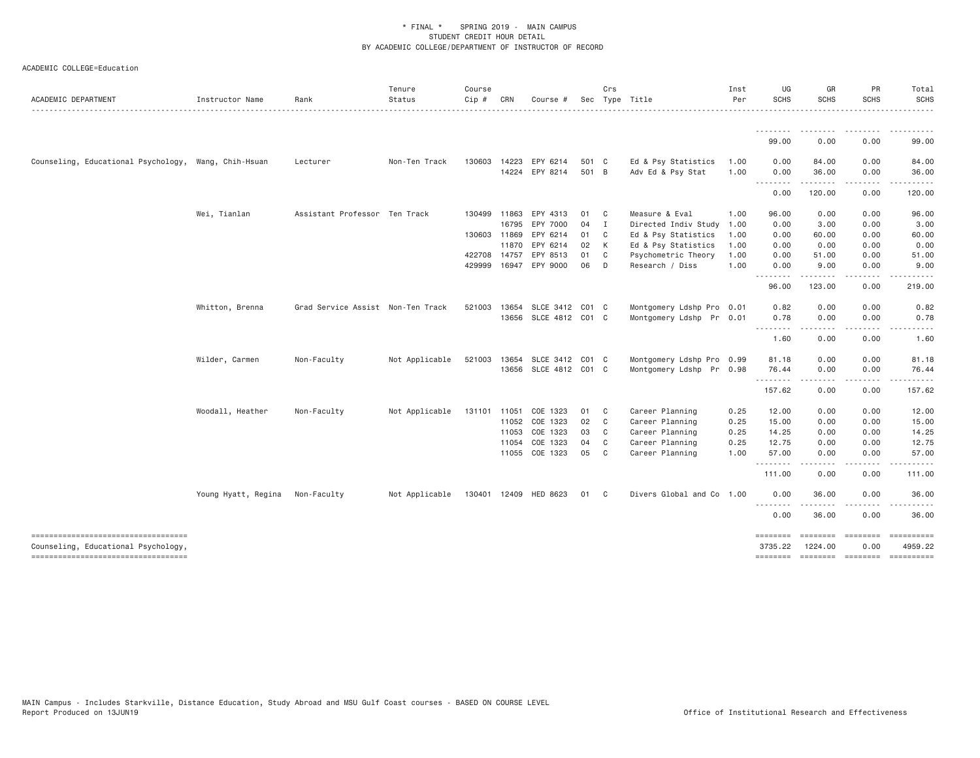| ACADEMIC DEPARTMENT                                                        | Instructor Name     | Rank                              | Tenure<br>Status | Course<br>Cip # | CRN   | Course #              |       | Crs            | Sec Type Title<br>.       | Inst<br>Per | UG<br><b>SCHS</b> | GR<br><b>SCHS</b>               | PR<br><b>SCHS</b> | Total<br><b>SCHS</b> |
|----------------------------------------------------------------------------|---------------------|-----------------------------------|------------------|-----------------|-------|-----------------------|-------|----------------|---------------------------|-------------|-------------------|---------------------------------|-------------------|----------------------|
|                                                                            |                     |                                   |                  |                 |       |                       |       |                |                           |             | <u>.</u>          | -----                           |                   | <u>.</u>             |
|                                                                            |                     |                                   |                  |                 |       |                       |       |                |                           |             | 99.00             | 0.00                            | 0.00              | 99.00                |
| Counseling, Educational Psychology, Wang, Chih-Hsuan                       |                     | Lecturer                          | Non-Ten Track    | 130603          | 14223 | EPY 6214              | 501 C |                | Ed & Psy Statistics       | 1.00        | 0.00              | 84.00                           | 0.00              | 84.00                |
|                                                                            |                     |                                   |                  |                 |       | 14224 EPY 8214        | 501 B |                | Adv Ed & Psy Stat         | 1.00        | 0.00<br>--------- | 36.00<br>.                      | 0.00<br>$\cdots$  | 36.00<br>.           |
|                                                                            |                     |                                   |                  |                 |       |                       |       |                |                           |             | 0.00              | 120.00                          | 0.00              | 120.00               |
|                                                                            | Wei, Tianlan        | Assistant Professor Ten Track     |                  | 130499 11863    |       | EPY 4313              | 01    | C              | Measure & Eval            | 1.00        | 96.00             | 0.00                            | 0.00              | 96.00                |
|                                                                            |                     |                                   |                  |                 | 16795 | EPY 7000              | 04    | I              | Directed Indiv Study      | 1.00        | 0.00              | 3.00                            | 0.00              | 3.00                 |
|                                                                            |                     |                                   |                  | 130603 11869    |       | EPY 6214              | 01    | C              | Ed & Psy Statistics       | 1.00        | 0.00              | 60.00                           | 0.00              | 60.00                |
|                                                                            |                     |                                   |                  |                 | 11870 | EPY 6214              | 02    | К              | Ed & Psy Statistics       | 1.00        | 0.00              | 0.00                            | 0.00              | 0.00                 |
|                                                                            |                     |                                   |                  | 422708 14757    |       | EPY 8513              | 01    | C              | Psychometric Theory       | 1.00        | 0.00              | 51.00                           | 0.00              | 51.00                |
|                                                                            |                     |                                   |                  | 429999          |       | 16947 EPY 9000        | 06    | D              | Research / Diss           | 1.00        | 0.00<br><u>.</u>  | 9.00<br>---------               | 0.00<br>.         | 9.00<br><u>.</u>     |
|                                                                            |                     |                                   |                  |                 |       |                       |       |                |                           |             | 96.00             | 123.00                          | 0.00              | 219.00               |
|                                                                            | Whitton, Brenna     | Grad Service Assist Non-Ten Track |                  | 521003          | 13654 | SLCE 3412 C01 C       |       |                | Montgomery Ldshp Pro 0.01 |             | 0.82              | 0.00                            | 0.00              | 0.82                 |
|                                                                            |                     |                                   |                  |                 | 13656 | SLCE 4812 C01 C       |       |                | Montgomery Ldshp Pr 0.01  |             | 0.78              | 0.00                            | 0.00              | 0.78                 |
|                                                                            |                     |                                   |                  |                 |       |                       |       |                |                           |             | .<br>1.60         | .<br>0.00                       | .<br>0.00         | $- - - - -$<br>1.60  |
|                                                                            | Wilder, Carmen      | Non-Faculty                       | Not Applicable   | 521003          | 13654 | SLCE 3412 C01 C       |       |                | Montgomery Ldshp Pro 0.99 |             | 81.18             | 0.00                            | 0.00              | 81.18                |
|                                                                            |                     |                                   |                  |                 |       | 13656 SLCE 4812 C01 C |       |                | Montgomery Ldshp Pr 0.98  |             | 76.44             | 0.00                            | 0.00              | 76.44                |
|                                                                            |                     |                                   |                  |                 |       |                       |       |                |                           |             | .<br>157.62       | -----<br>0.00                   | المستبدة<br>0.00  | .<br>157.62          |
|                                                                            | Woodall, Heather    | Non-Faculty                       | Not Applicable   | 131101 11051    |       | COE 1323              | 01    | C              | Career Planning           | 0.25        | 12.00             | 0.00                            | 0.00              | 12.00                |
|                                                                            |                     |                                   |                  |                 | 11052 | COE 1323              | 02    | C              | Career Planning           | 0.25        | 15.00             | 0.00                            | 0.00              | 15.00                |
|                                                                            |                     |                                   |                  |                 | 11053 | COE 1323              | 03    | C              | Career Planning           | 0.25        | 14.25             | 0.00                            | 0.00              | 14.25                |
|                                                                            |                     |                                   |                  |                 | 11054 | COE 1323              | 04    | C              | Career Planning           | 0.25        | 12.75             | 0.00                            | 0.00              | 12.75                |
|                                                                            |                     |                                   |                  |                 |       | 11055 COE 1323        | 05    | C              | Career Planning           | 1.00        | 57.00             | 0.00                            | 0.00<br>----      | 57.00<br>.           |
|                                                                            |                     |                                   |                  |                 |       |                       |       |                |                           |             | .<br>111.00       | .<br>0.00                       | 0.00              | 111.00               |
|                                                                            | Young Hyatt, Regina | Non-Faculty                       | Not Applicable   |                 |       | 130401 12409 HED 8623 | 01    | C <sub>c</sub> | Divers Global and Co 1.00 |             | 0.00              | 36.00                           | 0.00              | 36.00                |
|                                                                            |                     |                                   |                  |                 |       |                       |       |                |                           |             | .<br>0.00         | .<br>36.00                      | .<br>0.00         | .<br>36.00           |
| ----------------------------------                                         |                     |                                   |                  |                 |       |                       |       |                |                           |             | ========          | $=$ $=$ $=$ $=$ $=$ $=$ $=$ $=$ | <b>ESSESSES</b>   |                      |
| Counseling, Educational Psychology,<br>----------------------------------- |                     |                                   |                  |                 |       |                       |       |                |                           |             | 3735.22           | 1224.00                         | 0.00              | 4959.22              |
|                                                                            |                     |                                   |                  |                 |       |                       |       |                |                           |             |                   |                                 |                   |                      |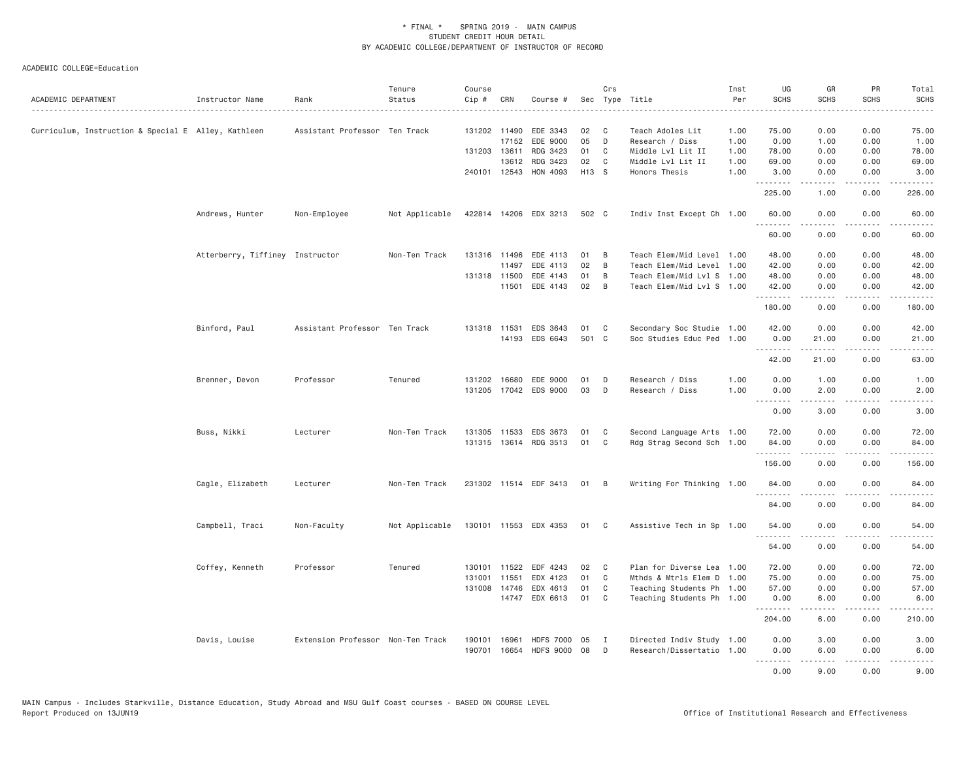| ACADEMIC DEPARTMENT                                 | Instructor Name                 | Rank                              | Tenure<br>Status | Course<br>Cip # | CRN          | Course #                  |       | Crs          | Sec Type Title<br>.       | Inst<br>Per<br>. <b>.</b> | UG<br><b>SCHS</b>   | GR<br><b>SCHS</b>                                                                                                                                        | PR<br><b>SCHS</b><br>$- - - -$      | Total<br><b>SCHS</b><br>.                                                                                                                                                                 |
|-----------------------------------------------------|---------------------------------|-----------------------------------|------------------|-----------------|--------------|---------------------------|-------|--------------|---------------------------|---------------------------|---------------------|----------------------------------------------------------------------------------------------------------------------------------------------------------|-------------------------------------|-------------------------------------------------------------------------------------------------------------------------------------------------------------------------------------------|
| Curriculum, Instruction & Special E Alley, Kathleen |                                 | Assistant Professor Ten Track     |                  |                 | 131202 11490 | EDE 3343                  | 02    | - C          | Teach Adoles Lit          | 1.00                      | 75.00               | 0.00                                                                                                                                                     | 0.00                                | 75.00                                                                                                                                                                                     |
|                                                     |                                 |                                   |                  |                 | 17152        | EDE 9000                  | 05    | D            | Research / Diss           | 1.00                      | 0.00                | 1.00                                                                                                                                                     | 0.00                                | 1.00                                                                                                                                                                                      |
|                                                     |                                 |                                   |                  | 131203 13611    |              | RDG 3423                  | 01    | C            | Middle Lvl Lit II         | 1.00                      | 78.00               | 0.00                                                                                                                                                     | 0.00                                | 78.00                                                                                                                                                                                     |
|                                                     |                                 |                                   |                  |                 | 13612        | RDG 3423                  | 02    | C            | Middle Lvl Lit II         | 1.00                      | 69.00               | 0.00                                                                                                                                                     | 0.00                                | 69.00                                                                                                                                                                                     |
|                                                     |                                 |                                   |                  |                 | 240101 12543 | HON 4093                  | H13 S |              | Honors Thesis             | 1.00                      | 3.00<br>.           | 0.00<br>.                                                                                                                                                | 0.00<br>$\sim$ $\sim$ $\sim$ $\sim$ | 3.00<br>.                                                                                                                                                                                 |
|                                                     |                                 |                                   |                  |                 |              |                           |       |              |                           |                           | 225.00              | 1.00                                                                                                                                                     | 0.00                                | 226.00                                                                                                                                                                                    |
|                                                     | Andrews, Hunter                 | Non-Employee                      | Not Applicable   |                 |              | 422814 14206 EDX 3213     | 502 C |              | Indiv Inst Except Ch 1.00 |                           | 60.00<br>.          | 0.00<br>.                                                                                                                                                | 0.00<br>.                           | 60.00<br>.                                                                                                                                                                                |
|                                                     |                                 |                                   |                  |                 |              |                           |       |              |                           |                           | 60.00               | 0.00                                                                                                                                                     | 0.00                                | 60.00                                                                                                                                                                                     |
|                                                     | Atterberry, Tiffiney Instructor |                                   | Non-Ten Track    |                 | 131316 11496 | EDE 4113                  | 01    | B            | Teach Elem/Mid Level 1.00 |                           | 48.00               | 0.00                                                                                                                                                     | 0.00                                | 48.00                                                                                                                                                                                     |
|                                                     |                                 |                                   |                  |                 | 11497        | EDE 4113                  | 02    | B            | Teach Elem/Mid Level 1.00 |                           | 42.00               | 0.00                                                                                                                                                     | 0.00                                | 42.00                                                                                                                                                                                     |
|                                                     |                                 |                                   |                  |                 | 131318 11500 | EDE 4143                  | 01    | B            | Teach Elem/Mid Lvl S 1.00 |                           | 48.00               | 0.00                                                                                                                                                     | 0.00                                | 48.00                                                                                                                                                                                     |
|                                                     |                                 |                                   |                  |                 | 11501        | EDE 4143                  | 02    | B            | Teach Elem/Mid Lvl S 1.00 |                           | 42.00<br>.          | 0.00<br>.                                                                                                                                                | 0.00<br>.                           | 42.00<br>.                                                                                                                                                                                |
|                                                     |                                 |                                   |                  |                 |              |                           |       |              |                           |                           | 180.00              | 0.00                                                                                                                                                     | 0.00                                | 180.00                                                                                                                                                                                    |
|                                                     | Binford, Paul                   | Assistant Professor Ten Track     |                  |                 | 131318 11531 | EDS 3643                  | 01    | C            | Secondary Soc Studie 1.00 |                           | 42.00               | 0.00                                                                                                                                                     | 0.00                                | 42.00                                                                                                                                                                                     |
|                                                     |                                 |                                   |                  |                 |              | 14193 EDS 6643            | 501 C |              | Soc Studies Educ Ped 1.00 |                           | 0.00                | 21.00                                                                                                                                                    | 0.00                                | 21.00                                                                                                                                                                                     |
|                                                     |                                 |                                   |                  |                 |              |                           |       |              |                           |                           | . <i>.</i><br>42.00 | <u>.</u><br>21.00                                                                                                                                        | د د د د<br>0.00                     | .<br>63.00                                                                                                                                                                                |
|                                                     | Brenner, Devon                  | Professor                         | Tenured          |                 |              | 131202 16680 EDE 9000     | 01    | D            | Research / Diss           | 1.00                      | 0.00                | 1.00                                                                                                                                                     | 0.00                                | 1.00                                                                                                                                                                                      |
|                                                     |                                 |                                   |                  |                 |              | 131205 17042 EDS 9000     | 03    | D            | Research / Diss           | 1.00                      | 0.00                | 2.00                                                                                                                                                     | 0.00                                | 2.00                                                                                                                                                                                      |
|                                                     |                                 |                                   |                  |                 |              |                           |       |              |                           |                           | .<br>0.00           | .<br>3.00                                                                                                                                                | $\sim$ $\sim$ $\sim$ $\sim$<br>0.00 | 3.00                                                                                                                                                                                      |
|                                                     |                                 |                                   |                  |                 |              |                           |       |              |                           |                           |                     |                                                                                                                                                          |                                     |                                                                                                                                                                                           |
|                                                     | Buss, Nikki                     | Lecturer                          | Non-Ten Track    |                 | 131305 11533 | EDS 3673                  | 01    | C            | Second Language Arts 1.00 |                           | 72.00               | 0.00                                                                                                                                                     | 0.00                                | 72.00                                                                                                                                                                                     |
|                                                     |                                 |                                   |                  |                 |              | 131315 13614 RDG 3513     | 01    | C            | Rdg Strag Second Sch 1.00 |                           | 84.00<br>.          | 0.00                                                                                                                                                     | 0.00<br>$\sim$ $\sim$ $\sim$ $\sim$ | 84.00<br>.                                                                                                                                                                                |
|                                                     |                                 |                                   |                  |                 |              |                           |       |              |                           |                           | 156.00              | 0.00                                                                                                                                                     | 0.00                                | 156.00                                                                                                                                                                                    |
|                                                     | Cagle, Elizabeth                | Lecturer                          | Non-Ten Track    |                 |              | 231302 11514 EDF 3413     | 01    | - B          | Writing For Thinking 1.00 |                           | 84.00<br>.          | 0.00<br>.                                                                                                                                                | 0.00<br>.                           | 84.00<br>.                                                                                                                                                                                |
|                                                     |                                 |                                   |                  |                 |              |                           |       |              |                           |                           | 84.00               | 0.00                                                                                                                                                     | 0.00                                | 84.00                                                                                                                                                                                     |
|                                                     | Campbell, Traci                 | Non-Faculty                       | Not Applicable   |                 |              | 130101 11553 EDX 4353     | 01    | C            | Assistive Tech in Sp 1.00 |                           | 54.00               | 0.00                                                                                                                                                     | 0.00                                | 54.00                                                                                                                                                                                     |
|                                                     |                                 |                                   |                  |                 |              |                           |       |              |                           |                           | 54.00               | 0.00                                                                                                                                                     | .<br>0.00                           | 54.00                                                                                                                                                                                     |
|                                                     | Coffey, Kenneth                 | Professor                         | Tenured          |                 |              | 130101 11522 EDF 4243     | 02    | C            | Plan for Diverse Lea 1.00 |                           | 72.00               | 0.00                                                                                                                                                     | 0.00                                | 72.00                                                                                                                                                                                     |
|                                                     |                                 |                                   |                  | 131001          | 11551        | EDX 4123                  | 01    | C            | Mthds & Mtrls Elem D 1.00 |                           | 75.00               | 0.00                                                                                                                                                     | 0.00                                | 75.00                                                                                                                                                                                     |
|                                                     |                                 |                                   |                  | 131008          | 14746        | EDX 4613                  | 01    | C            | Teaching Students Ph 1.00 |                           | 57.00               | 0.00                                                                                                                                                     | 0.00                                | 57.00                                                                                                                                                                                     |
|                                                     |                                 |                                   |                  |                 |              | 14747 EDX 6613            | 01    | C            | Teaching Students Ph 1.00 |                           | 0.00                | 6.00                                                                                                                                                     | 0.00                                | 6.00                                                                                                                                                                                      |
|                                                     |                                 |                                   |                  |                 |              |                           |       |              |                           |                           | .<br>204.00         | -----<br>6.00                                                                                                                                            | .<br>0.00                           | $\frac{1}{2} \left( \frac{1}{2} \right) \left( \frac{1}{2} \right) \left( \frac{1}{2} \right) \left( \frac{1}{2} \right) \left( \frac{1}{2} \right) \left( \frac{1}{2} \right)$<br>210.00 |
|                                                     | Davis, Louise                   | Extension Professor Non-Ten Track |                  | 190101          | 16961        | <b>HDFS 7000</b>          | 05    | $\mathbf{I}$ | Directed Indiv Study 1.00 |                           | 0.00                | 3.00                                                                                                                                                     | 0.00                                | 3.00                                                                                                                                                                                      |
|                                                     |                                 |                                   |                  |                 |              | 190701 16654 HDFS 9000 08 |       | D            | Research/Dissertatio 1.00 |                           | 0.00                | 6.00                                                                                                                                                     | 0.00                                | 6.00                                                                                                                                                                                      |
|                                                     |                                 |                                   |                  |                 |              |                           |       |              |                           |                           | .                   | $\mathcal{L}^{\mathcal{L}}\mathcal{L}^{\mathcal{L}}\mathcal{L}^{\mathcal{L}}\mathcal{L}^{\mathcal{L}}\mathcal{L}^{\mathcal{L}}\mathcal{L}^{\mathcal{L}}$ | .                                   | .                                                                                                                                                                                         |
|                                                     |                                 |                                   |                  |                 |              |                           |       |              |                           |                           | 0.00                | 9.00                                                                                                                                                     | 0.00                                | 9.00                                                                                                                                                                                      |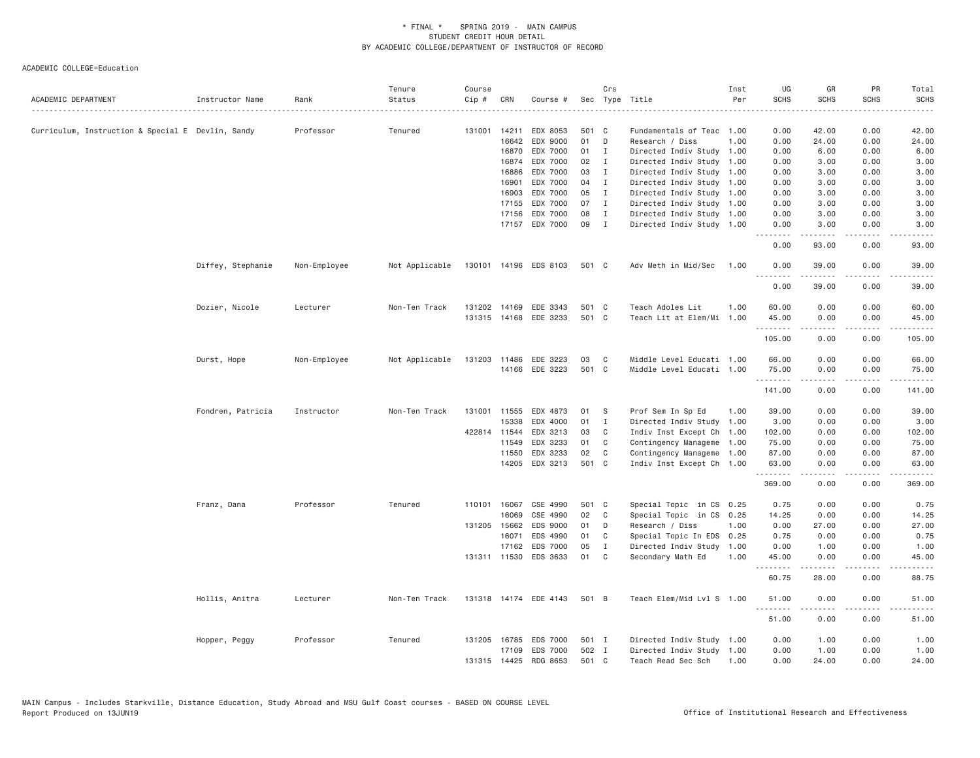|                                                   |                   |              | Tenure         | Course |              |                       |       | Crs          |                           | Inst | UG                                                                                                                                                                                                                                                                                                                                                                                                                                                                                               | GR            | PR          | Total                                      |
|---------------------------------------------------|-------------------|--------------|----------------|--------|--------------|-----------------------|-------|--------------|---------------------------|------|--------------------------------------------------------------------------------------------------------------------------------------------------------------------------------------------------------------------------------------------------------------------------------------------------------------------------------------------------------------------------------------------------------------------------------------------------------------------------------------------------|---------------|-------------|--------------------------------------------|
| ACADEMIC DEPARTMENT                               | Instructor Name   | Rank         | Status         | Cip #  | CRN          | Course #              |       |              | Sec Type Title            | Per  | <b>SCHS</b>                                                                                                                                                                                                                                                                                                                                                                                                                                                                                      | <b>SCHS</b>   | <b>SCHS</b> | <b>SCHS</b><br>$\sim$ $\sim$ $\sim$ $\sim$ |
|                                                   |                   |              |                |        |              |                       |       |              |                           |      |                                                                                                                                                                                                                                                                                                                                                                                                                                                                                                  |               |             |                                            |
| Curriculum, Instruction & Special E Devlin, Sandy |                   | Professor    | Tenured        | 131001 | 14211        | EDX 8053              | 501 C |              | Fundamentals of Teac 1.00 |      | 0.00                                                                                                                                                                                                                                                                                                                                                                                                                                                                                             | 42.00         | 0.00        | 42.00                                      |
|                                                   |                   |              |                |        | 16642        | EDX 9000              | 01    | D            | Research / Diss           | 1.00 | 0.00                                                                                                                                                                                                                                                                                                                                                                                                                                                                                             | 24.00         | 0.00        | 24.00                                      |
|                                                   |                   |              |                |        | 16870        | EDX 7000              | 01    | $\mathbf{I}$ | Directed Indiv Study 1.00 |      | 0.00                                                                                                                                                                                                                                                                                                                                                                                                                                                                                             | 6.00          | 0.00        | 6.00                                       |
|                                                   |                   |              |                |        | 16874        | EDX 7000              | 02    | $\mathbf{I}$ | Directed Indiv Study 1.00 |      | 0.00                                                                                                                                                                                                                                                                                                                                                                                                                                                                                             | 3.00          | 0.00        | 3.00                                       |
|                                                   |                   |              |                |        | 16886        | EDX 7000              | 03    | $\mathbf{I}$ | Directed Indiv Study 1.00 |      | 0.00                                                                                                                                                                                                                                                                                                                                                                                                                                                                                             | 3.00          | 0.00        | 3.00                                       |
|                                                   |                   |              |                |        | 16901        | EDX 7000              | 04    | $\mathbf{I}$ | Directed Indiv Study 1.00 |      | 0.00                                                                                                                                                                                                                                                                                                                                                                                                                                                                                             | 3.00          | 0.00        | 3.00                                       |
|                                                   |                   |              |                |        | 16903        | EDX 7000              | 05    | $\mathbf{I}$ | Directed Indiv Study 1.00 |      | 0.00                                                                                                                                                                                                                                                                                                                                                                                                                                                                                             | 3.00          | 0.00        | 3.00                                       |
|                                                   |                   |              |                |        | 17155        | EDX 7000              | 07    | $\mathbf{I}$ | Directed Indiv Study 1.00 |      | 0.00                                                                                                                                                                                                                                                                                                                                                                                                                                                                                             | 3.00          | 0.00        | 3.00                                       |
|                                                   |                   |              |                |        | 17156        | EDX 7000              | 08    | $\mathbf{I}$ | Directed Indiv Study 1.00 |      | 0.00                                                                                                                                                                                                                                                                                                                                                                                                                                                                                             | 3.00          | 0.00        | 3.00                                       |
|                                                   |                   |              |                |        |              | 17157 EDX 7000        | 09    | $\mathbf{I}$ | Directed Indiv Study 1.00 |      | 0.00                                                                                                                                                                                                                                                                                                                                                                                                                                                                                             | 3.00<br>----- | 0.00        | 3.00<br>$\sim 100$ km s $^{-1}$            |
|                                                   |                   |              |                |        |              |                       |       |              |                           |      | 0.00                                                                                                                                                                                                                                                                                                                                                                                                                                                                                             | 93.00         | 0.00        | 93.00                                      |
|                                                   | Diffey, Stephanie | Non-Employee | Not Applicable |        |              | 130101 14196 EDS 8103 | 501 C |              | Adv Meth in Mid/Sec       | 1.00 | 0.00<br>$\frac{1}{2} \left( \frac{1}{2} \right) \left( \frac{1}{2} \right) \left( \frac{1}{2} \right) \left( \frac{1}{2} \right)$                                                                                                                                                                                                                                                                                                                                                                | 39.00<br>.    | 0.00<br>.   | 39.00<br>.                                 |
|                                                   |                   |              |                |        |              |                       |       |              |                           |      | 0.00                                                                                                                                                                                                                                                                                                                                                                                                                                                                                             | 39.00         | 0.00        | 39.00                                      |
|                                                   | Dozier, Nicole    | Lecturer     | Non-Ten Track  |        | 131202 14169 | EDE 3343              | 501 C |              | Teach Adoles Lit          | 1.00 | 60.00                                                                                                                                                                                                                                                                                                                                                                                                                                                                                            | 0.00          | 0.00        | 60.00                                      |
|                                                   |                   |              |                |        |              | 131315 14168 EDE 3233 | 501 C |              | Teach Lit at Elem/Mi      | 1.00 | 45.00                                                                                                                                                                                                                                                                                                                                                                                                                                                                                            | 0.00          | 0.00        | 45.00                                      |
|                                                   |                   |              |                |        |              |                       |       |              |                           |      | $\begin{array}{cccccccccccccc} \multicolumn{2}{c}{} & \multicolumn{2}{c}{} & \multicolumn{2}{c}{} & \multicolumn{2}{c}{} & \multicolumn{2}{c}{} & \multicolumn{2}{c}{} & \multicolumn{2}{c}{} & \multicolumn{2}{c}{} & \multicolumn{2}{c}{} & \multicolumn{2}{c}{} & \multicolumn{2}{c}{} & \multicolumn{2}{c}{} & \multicolumn{2}{c}{} & \multicolumn{2}{c}{} & \multicolumn{2}{c}{} & \multicolumn{2}{c}{} & \multicolumn{2}{c}{} & \multicolumn{2}{c}{} & \multicolumn{2}{c}{} & \$<br>105.00 | .<br>0.00     | .<br>0.00   | -----<br>105.00                            |
|                                                   |                   |              |                |        |              |                       |       |              |                           |      |                                                                                                                                                                                                                                                                                                                                                                                                                                                                                                  |               |             |                                            |
|                                                   | Durst, Hope       | Non-Employee | Not Applicable |        |              | 131203 11486 EDE 3223 | 03    | C            | Middle Level Educati 1.00 |      | 66.00                                                                                                                                                                                                                                                                                                                                                                                                                                                                                            | 0.00          | 0.00        | 66.00                                      |
|                                                   |                   |              |                |        |              | 14166 EDE 3223        | 501 C |              | Middle Level Educati 1.00 |      | 75.00<br>.                                                                                                                                                                                                                                                                                                                                                                                                                                                                                       | 0.00<br>.     | 0.00<br>.   | 75.00<br>.                                 |
|                                                   |                   |              |                |        |              |                       |       |              |                           |      | 141.00                                                                                                                                                                                                                                                                                                                                                                                                                                                                                           | 0.00          | 0.00        | 141.00                                     |
|                                                   | Fondren, Patricia | Instructor   | Non-Ten Track  |        | 131001 11555 | EDX 4873              | 01    | - S          | Prof Sem In Sp Ed         | 1.00 | 39.00                                                                                                                                                                                                                                                                                                                                                                                                                                                                                            | 0.00          | 0.00        | 39.00                                      |
|                                                   |                   |              |                |        | 15338        | EDX 4000              | 01    | I            | Directed Indiv Study 1.00 |      | 3.00                                                                                                                                                                                                                                                                                                                                                                                                                                                                                             | 0.00          | 0.00        | 3.00                                       |
|                                                   |                   |              |                |        | 422814 11544 | EDX 3213              | 03    | C            | Indiv Inst Except Ch 1.00 |      | 102.00                                                                                                                                                                                                                                                                                                                                                                                                                                                                                           | 0.00          | 0.00        | 102.00                                     |
|                                                   |                   |              |                |        | 11549        | EDX 3233              | 01    | C            | Contingency Manageme 1.00 |      | 75.00                                                                                                                                                                                                                                                                                                                                                                                                                                                                                            | 0.00          | 0.00        | 75.00                                      |
|                                                   |                   |              |                |        | 11550        | EDX 3233              | 02    | C            | Contingency Manageme      | 1.00 | 87.00                                                                                                                                                                                                                                                                                                                                                                                                                                                                                            | 0.00          | 0.00        | 87.00                                      |
|                                                   |                   |              |                |        | 14205        | EDX 3213              | 501 C |              | Indiv Inst Except Ch 1.00 |      | 63.00                                                                                                                                                                                                                                                                                                                                                                                                                                                                                            | 0.00          | 0.00        | 63.00                                      |
|                                                   |                   |              |                |        |              |                       |       |              |                           |      | . <b>.</b><br>369.00                                                                                                                                                                                                                                                                                                                                                                                                                                                                             | .<br>0.00     | .<br>0.00   | .<br>369.00                                |
|                                                   | Franz, Dana       | Professor    | Tenured        |        | 110101 16067 | CSE 4990              | 501 C |              | Special Topic in CS 0.25  |      | 0.75                                                                                                                                                                                                                                                                                                                                                                                                                                                                                             | 0.00          | 0.00        | 0.75                                       |
|                                                   |                   |              |                |        | 16069        | CSE 4990              | 02    | C            | Special Topic in CS 0.25  |      | 14.25                                                                                                                                                                                                                                                                                                                                                                                                                                                                                            | 0.00          | 0.00        | 14.25                                      |
|                                                   |                   |              |                |        | 131205 15662 | EDS 9000              | 01    | D            | Research / Diss           | 1.00 | 0.00                                                                                                                                                                                                                                                                                                                                                                                                                                                                                             | 27.00         | 0.00        | 27.00                                      |
|                                                   |                   |              |                |        | 16071        | EDS 4990              | 01    | C            | Special Topic In EDS 0.25 |      | 0.75                                                                                                                                                                                                                                                                                                                                                                                                                                                                                             | 0.00          | 0.00        | 0.75                                       |
|                                                   |                   |              |                |        | 17162        | EDS 7000              | 05    | Ι.           | Directed Indiv Study      | 1.00 | 0.00                                                                                                                                                                                                                                                                                                                                                                                                                                                                                             | 1.00          | 0.00        | 1.00                                       |
|                                                   |                   |              |                |        |              | 131311 11530 EDS 3633 | 01    | C            | Secondary Math Ed         | 1,00 | 45.00                                                                                                                                                                                                                                                                                                                                                                                                                                                                                            | 0.00          | 0.00        | 45.00                                      |
|                                                   |                   |              |                |        |              |                       |       |              |                           |      | .<br>60.75                                                                                                                                                                                                                                                                                                                                                                                                                                                                                       | .<br>28.00    | .<br>0.00   | .<br>88.75                                 |
|                                                   | Hollis, Anitra    | Lecturer     | Non-Ten Track  |        |              | 131318 14174 EDE 4143 | 501 B |              | Teach Elem/Mid Lvl S 1.00 |      | 51.00                                                                                                                                                                                                                                                                                                                                                                                                                                                                                            | 0.00          | 0.00        | 51.00                                      |
|                                                   |                   |              |                |        |              |                       |       |              |                           |      | <u>.</u><br>51.00                                                                                                                                                                                                                                                                                                                                                                                                                                                                                | 0.00          | 0.00        | 51.00                                      |
|                                                   | Hopper, Peggy     | Professor    | Tenured        |        | 131205 16785 | EDS 7000              | 501 I |              | Directed Indiv Study 1.00 |      | 0.00                                                                                                                                                                                                                                                                                                                                                                                                                                                                                             | 1.00          | 0.00        | 1.00                                       |
|                                                   |                   |              |                |        | 17109        | <b>EDS 7000</b>       | 502 I |              | Directed Indiv Study 1.00 |      | 0.00                                                                                                                                                                                                                                                                                                                                                                                                                                                                                             | 1.00          | 0.00        | 1.00                                       |
|                                                   |                   |              |                |        | 131315 14425 | RDG 8653              | 501 C |              | Teach Read Sec Sch        | 1.00 | 0.00                                                                                                                                                                                                                                                                                                                                                                                                                                                                                             | 24.00         | 0.00        | 24.00                                      |
|                                                   |                   |              |                |        |              |                       |       |              |                           |      |                                                                                                                                                                                                                                                                                                                                                                                                                                                                                                  |               |             |                                            |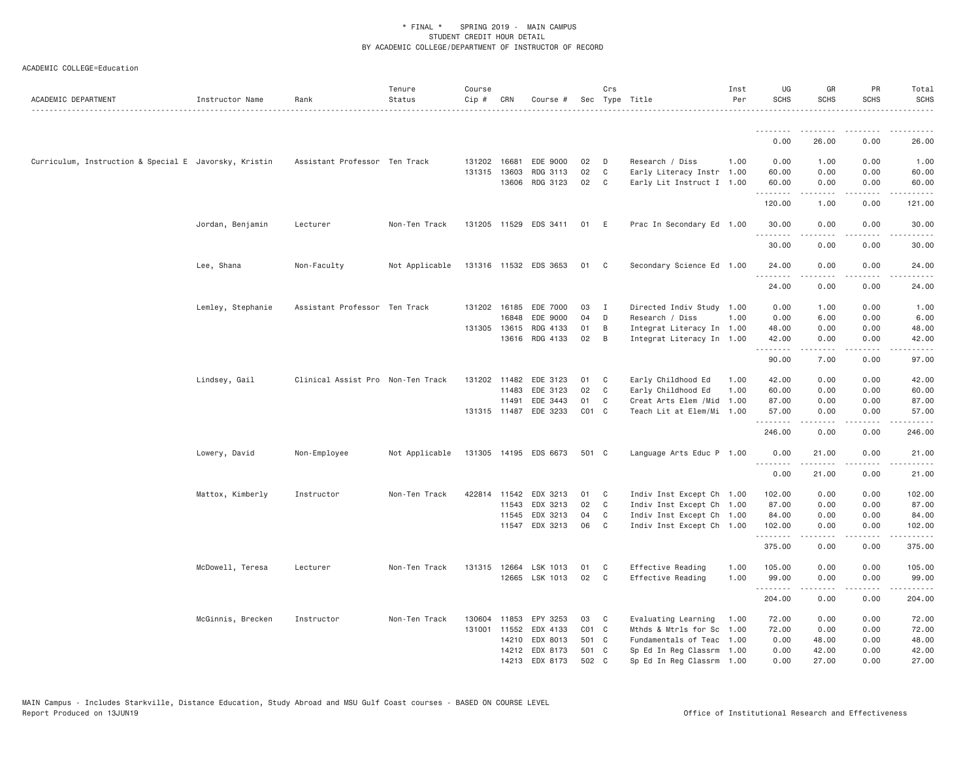| ACADEMIC DEPARTMENT                                   | Instructor Name   | Rank                              | Tenure<br>Status | Course<br>Cip # | CRN          | Course #              |           | Crs            | Sec Type Title            | Inst<br>Per | UG<br><b>SCHS</b> | GR<br>SCHS                                                                                                                                                       | PR<br><b>SCHS</b>                   | Total<br><b>SCHS</b>                                                                                                                                                                      |
|-------------------------------------------------------|-------------------|-----------------------------------|------------------|-----------------|--------------|-----------------------|-----------|----------------|---------------------------|-------------|-------------------|------------------------------------------------------------------------------------------------------------------------------------------------------------------|-------------------------------------|-------------------------------------------------------------------------------------------------------------------------------------------------------------------------------------------|
|                                                       |                   |                                   |                  |                 |              |                       |           |                |                           |             | <b></b>           | <u>.</u>                                                                                                                                                         |                                     |                                                                                                                                                                                           |
|                                                       |                   |                                   |                  |                 |              |                       |           |                |                           |             | 0.00              | 26.00                                                                                                                                                            | 0.00                                | 26.00                                                                                                                                                                                     |
| Curriculum, Instruction & Special E Javorsky, Kristin |                   | Assistant Professor Ten Track     |                  | 131202 16681    |              | EDE 9000              | 02        | D              | Research / Diss           | 1.00        | 0.00              | 1.00                                                                                                                                                             | 0.00                                | 1.00                                                                                                                                                                                      |
|                                                       |                   |                                   |                  |                 | 131315 13603 | RDG 3113              | 02        | C              | Early Literacy Instr 1.00 |             | 60.00             | 0.00                                                                                                                                                             | 0.00                                | 60.00                                                                                                                                                                                     |
|                                                       |                   |                                   |                  |                 |              | 13606 RDG 3123        | 02        | C.             | Early Lit Instruct I 1.00 |             | 60.00<br>.        | 0.00<br>$\mathcal{L}^{\mathcal{L}}\mathcal{L}^{\mathcal{L}}\mathcal{L}^{\mathcal{L}}\mathcal{L}^{\mathcal{L}}\mathcal{L}^{\mathcal{L}}\mathcal{L}^{\mathcal{L}}$ | 0.00<br>.                           | 60.00<br>$\frac{1}{2} \left( \frac{1}{2} \right) \left( \frac{1}{2} \right) \left( \frac{1}{2} \right) \left( \frac{1}{2} \right) \left( \frac{1}{2} \right) \left( \frac{1}{2} \right)$  |
|                                                       |                   |                                   |                  |                 |              |                       |           |                |                           |             | 120.00            | 1.00                                                                                                                                                             | 0.00                                | 121.00                                                                                                                                                                                    |
|                                                       | Jordan, Benjamin  | Lecturer                          | Non-Ten Track    |                 |              | 131205 11529 EDS 3411 | 01        | E              | Prac In Secondary Ed 1.00 |             | 30.00<br>.        | 0.00                                                                                                                                                             | 0.00<br>$- - -$                     | 30.00                                                                                                                                                                                     |
|                                                       |                   |                                   |                  |                 |              |                       |           |                |                           |             | 30.00             | 0.00                                                                                                                                                             | 0.00                                | 30.00                                                                                                                                                                                     |
|                                                       | Lee, Shana        | Non-Faculty                       | Not Applicable   |                 |              | 131316 11532 EDS 3653 | 01        | C              | Secondary Science Ed 1.00 |             | 24.00             | 0.00                                                                                                                                                             | 0.00                                | 24.00                                                                                                                                                                                     |
|                                                       |                   |                                   |                  |                 |              |                       |           |                |                           |             | .                 | .                                                                                                                                                                | .                                   | المستبدا                                                                                                                                                                                  |
|                                                       |                   |                                   |                  |                 |              |                       |           |                |                           |             | 24.00             | 0.00                                                                                                                                                             | 0.00                                | 24.00                                                                                                                                                                                     |
|                                                       | Lemley, Stephanie | Assistant Professor Ten Track     |                  |                 |              | 131202 16185 EDE 7000 | 03        | $\blacksquare$ | Directed Indiv Study 1.00 |             | 0.00              | 1.00                                                                                                                                                             | 0.00                                | 1.00                                                                                                                                                                                      |
|                                                       |                   |                                   |                  |                 | 16848        | EDE 9000              | 04        | D              | Research / Diss           | 1.00        | 0.00              | 6.00                                                                                                                                                             | 0.00                                | 6.00                                                                                                                                                                                      |
|                                                       |                   |                                   |                  |                 | 131305 13615 | RDG 4133              | 01        | B              | Integrat Literacy In 1.00 |             | 48.00             | 0.00                                                                                                                                                             | 0.00                                | 48.00                                                                                                                                                                                     |
|                                                       |                   |                                   |                  |                 |              | 13616 RDG 4133        | 02        | $\overline{B}$ | Integrat Literacy In 1.00 |             | 42.00<br>.        | 0.00<br><u>.</u>                                                                                                                                                 | 0.00<br>.                           | 42.00<br>.                                                                                                                                                                                |
|                                                       |                   |                                   |                  |                 |              |                       |           |                |                           |             | 90.00             | 7.00                                                                                                                                                             | 0.00                                | 97.00                                                                                                                                                                                     |
|                                                       | Lindsey, Gail     | Clinical Assist Pro Non-Ten Track |                  | 131202 11482    |              | EDE 3123              | 01        | C              | Early Childhood Ed        | 1.00        | 42.00             | 0.00                                                                                                                                                             | 0.00                                | 42.00                                                                                                                                                                                     |
|                                                       |                   |                                   |                  |                 | 11483        | EDE 3123              | 02        | C              | Early Childhood Ed        | 1.00        | 60.00             | 0.00                                                                                                                                                             | 0.00                                | 60.00                                                                                                                                                                                     |
|                                                       |                   |                                   |                  |                 | 11491        | EDE 3443              | 01        | C              | Creat Arts Elem /Mid      | 1.00        | 87.00             | 0.00                                                                                                                                                             | 0.00                                | 87.00                                                                                                                                                                                     |
|                                                       |                   |                                   |                  |                 |              | 131315 11487 EDE 3233 | $CO1$ C   |                | Teach Lit at Elem/Mi 1.00 |             | 57.00             | 0.00                                                                                                                                                             | 0.00                                | 57.00                                                                                                                                                                                     |
|                                                       |                   |                                   |                  |                 |              |                       |           |                |                           |             | .<br>246.00       | .<br>0.00                                                                                                                                                        | $\sim$ $\sim$ $\sim$ $\sim$<br>0.00 | .<br>246.00                                                                                                                                                                               |
|                                                       | Lowery, David     | Non-Employee                      | Not Applicable   |                 |              | 131305 14195 EDS 6673 | 501 C     |                | Language Arts Educ P 1.00 |             | 0.00<br>.         | 21.00<br>.                                                                                                                                                       | 0.00<br>.                           | 21.00<br>.                                                                                                                                                                                |
|                                                       |                   |                                   |                  |                 |              |                       |           |                |                           |             | 0.00              | 21.00                                                                                                                                                            | 0.00                                | 21.00                                                                                                                                                                                     |
|                                                       | Mattox, Kimberly  | Instructor                        | Non-Ten Track    |                 |              | 422814 11542 EDX 3213 | 01        | C              | Indiv Inst Except Ch 1.00 |             | 102.00            | 0.00                                                                                                                                                             | 0.00                                | 102.00                                                                                                                                                                                    |
|                                                       |                   |                                   |                  |                 | 11543        | EDX 3213              | 02        | C              | Indiv Inst Except Ch 1.00 |             | 87.00             | 0.00                                                                                                                                                             | 0.00                                | 87.00                                                                                                                                                                                     |
|                                                       |                   |                                   |                  |                 | 11545        | EDX 3213              | 04        | C              | Indiv Inst Except Ch 1.00 |             | 84.00             | 0.00                                                                                                                                                             | 0.00                                | 84.00                                                                                                                                                                                     |
|                                                       |                   |                                   |                  |                 |              | 11547 EDX 3213        | 06        | C              | Indiv Inst Except Ch 1.00 |             | 102.00            | 0.00                                                                                                                                                             | 0.00<br>.                           | 102.00                                                                                                                                                                                    |
|                                                       |                   |                                   |                  |                 |              |                       |           |                |                           |             | .<br>375.00       | 0.00                                                                                                                                                             | 0.00                                | <u>.</u><br>375.00                                                                                                                                                                        |
|                                                       | McDowell, Teresa  | Lecturer                          | Non-Ten Track    | 131315 12664    |              | LSK 1013              | 01        | C              | Effective Reading         | 1.00        | 105.00            | 0.00                                                                                                                                                             | 0.00                                | 105.00                                                                                                                                                                                    |
|                                                       |                   |                                   |                  |                 |              | 12665 LSK 1013        | 02        | C              | Effective Reading         | 1.00        | 99.00             | 0.00                                                                                                                                                             | 0.00                                | 99.00                                                                                                                                                                                     |
|                                                       |                   |                                   |                  |                 |              |                       |           |                |                           |             | .<br>204.00       | .<br>0.00                                                                                                                                                        | .<br>0.00                           | $\frac{1}{2} \left( \frac{1}{2} \right) \left( \frac{1}{2} \right) \left( \frac{1}{2} \right) \left( \frac{1}{2} \right) \left( \frac{1}{2} \right) \left( \frac{1}{2} \right)$<br>204.00 |
|                                                       |                   |                                   |                  |                 |              |                       |           |                |                           |             |                   |                                                                                                                                                                  |                                     |                                                                                                                                                                                           |
|                                                       | McGinnis, Brecken | Instructor                        | Non-Ten Track    |                 |              | 130604 11853 EPY 3253 | 03        | C <sub>1</sub> | Evaluating Learning       | 1.00        | 72.00             | 0.00                                                                                                                                                             | 0.00                                | 72.00                                                                                                                                                                                     |
|                                                       |                   |                                   |                  | 131001          | 11552        | EDX 4133              | $CO1$ $C$ |                | Mthds & Mtrls for Sc      | 1.00        | 72.00             | 0.00                                                                                                                                                             | 0.00                                | 72.00                                                                                                                                                                                     |
|                                                       |                   |                                   |                  |                 | 14210        | EDX 8013              | 501 C     |                | Fundamentals of Teac 1.00 |             | 0.00              | 48.00                                                                                                                                                            | 0.00                                | 48.00                                                                                                                                                                                     |
|                                                       |                   |                                   |                  |                 |              | 14212 EDX 8173        | 501 C     |                | Sp Ed In Reg Classrm 1.00 |             | 0.00              | 42.00                                                                                                                                                            | 0.00                                | 42.00                                                                                                                                                                                     |
|                                                       |                   |                                   |                  |                 |              | 14213 EDX 8173        | 502       | C              | Sp Ed In Reg Classrm 1.00 |             | 0.00              | 27,00                                                                                                                                                            | 0.00                                | 27.00                                                                                                                                                                                     |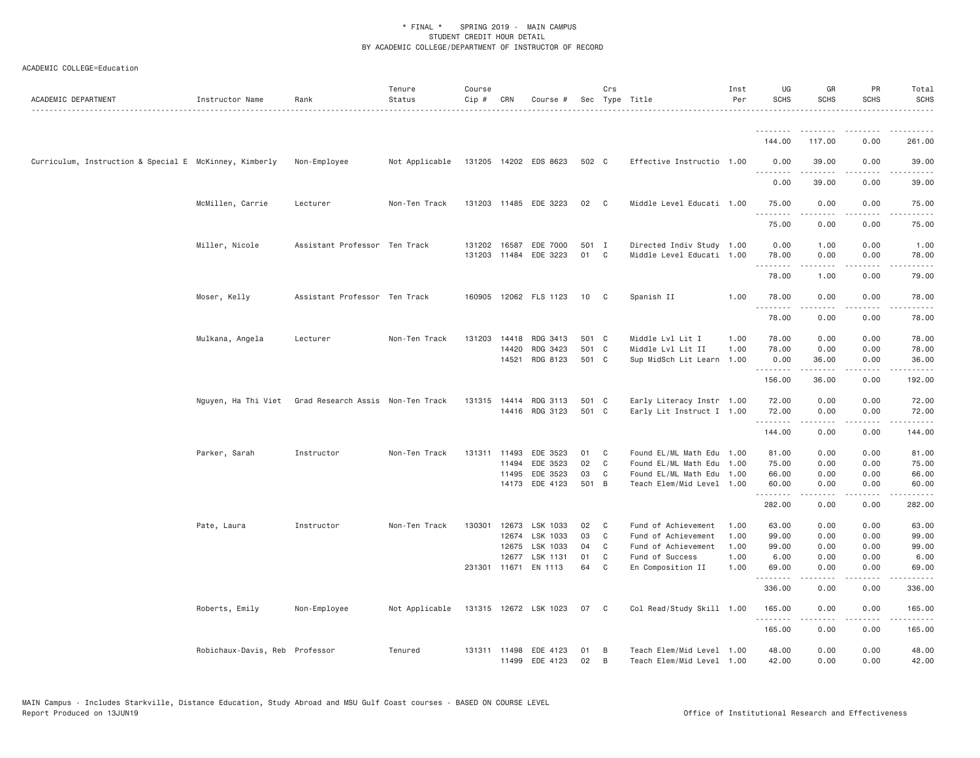| ACADEMIC DEPARTMENT                                    | Instructor Name                | Rank                                                  | Tenure<br>Status | Course<br>Cip # | CRN          | Course #              |       | Crs            | Sec Type Title            | Inst<br>Per | UG<br><b>SCHS</b>   | GR<br><b>SCHS</b>                                                                                                                                            | PR<br><b>SCHS</b>                   | Total<br><b>SCHS</b> |
|--------------------------------------------------------|--------------------------------|-------------------------------------------------------|------------------|-----------------|--------------|-----------------------|-------|----------------|---------------------------|-------------|---------------------|--------------------------------------------------------------------------------------------------------------------------------------------------------------|-------------------------------------|----------------------|
|                                                        |                                |                                                       |                  |                 |              |                       |       |                |                           |             |                     |                                                                                                                                                              |                                     |                      |
|                                                        |                                |                                                       |                  |                 |              |                       |       |                |                           |             | 144.00              | 117.00                                                                                                                                                       | 0.00                                | 261.00               |
| Curriculum, Instruction & Special E McKinney, Kimberly |                                | Non-Employee                                          | Not Applicable   |                 |              | 131205 14202 EDS 8623 | 502 C |                | Effective Instructio 1.00 |             | 0.00<br>.           | 39.00                                                                                                                                                        | 0.00                                | 39.00                |
|                                                        |                                |                                                       |                  |                 |              |                       |       |                |                           |             | 0.00                | 39.00                                                                                                                                                        | 0.00                                | 39.00                |
|                                                        | McMillen, Carrie               | Lecturer                                              | Non-Ten Track    |                 |              | 131203 11485 EDE 3223 | 02    | $\mathbf{C}$   | Middle Level Educati 1.00 |             | 75.00<br>.          | 0.00<br>.                                                                                                                                                    | 0.00<br>$\frac{1}{2}$               | 75.00<br>.           |
|                                                        |                                |                                                       |                  |                 |              |                       |       |                |                           |             | 75.00               | 0.00                                                                                                                                                         | 0.00                                | 75.00                |
|                                                        | Miller, Nicole                 | Assistant Professor Ten Track                         |                  |                 | 131202 16587 | EDE 7000              | 501 I |                | Directed Indiv Study 1.00 |             | 0.00                | 1.00                                                                                                                                                         | 0.00                                | 1.00                 |
|                                                        |                                |                                                       |                  |                 |              | 131203 11484 EDE 3223 | 01    | $\mathbf{C}$   | Middle Level Educati 1.00 |             | 78.00<br>. <b>.</b> | 0.00                                                                                                                                                         | 0.00                                | 78.00                |
|                                                        |                                |                                                       |                  |                 |              |                       |       |                |                           |             | 78.00               | 1.00                                                                                                                                                         | 0.00                                | 79.00                |
|                                                        | Moser, Kelly                   | Assistant Professor Ten Track                         |                  |                 |              | 160905 12062 FLS 1123 | 10    | C              | Spanish II                | 1.00        | 78.00<br>.          | 0.00<br>.                                                                                                                                                    | 0.00<br>$\sim$ $\sim$ $\sim$        | 78.00<br>المستبدا    |
|                                                        |                                |                                                       |                  |                 |              |                       |       |                |                           |             | 78.00               | 0.00                                                                                                                                                         | 0.00                                | 78.00                |
|                                                        | Mulkana, Angela                | Lecturer                                              | Non-Ten Track    | 131203          | 14418        | RDG 3413              | 501 C |                | Middle Lvl Lit I          | 1.00        | 78.00               | 0.00                                                                                                                                                         | 0.00                                | 78.00                |
|                                                        |                                |                                                       |                  |                 | 14420        | RDG 3423              | 501 C |                | Middle Lvl Lit II         | 1.00        | 78.00               | 0.00                                                                                                                                                         | 0.00                                | 78.00                |
|                                                        |                                |                                                       |                  |                 | 14521        | RDG 8123              | 501 C |                | Sup MidSch Lit Learn 1.00 |             | 0.00<br>.           | 36.00<br>.                                                                                                                                                   | 0.00<br>.                           | 36.00<br>.           |
|                                                        |                                |                                                       |                  |                 |              |                       |       |                |                           |             | 156.00              | 36.00                                                                                                                                                        | 0.00                                | 192.00               |
|                                                        |                                | Nguyen, Ha Thi Viet Grad Research Assis Non-Ten Track |                  |                 |              | 131315 14414 RDG 3113 | 501 C |                | Early Literacy Instr 1.00 |             | 72.00               | 0.00                                                                                                                                                         | 0.00                                | 72.00                |
|                                                        |                                |                                                       |                  |                 |              | 14416 RDG 3123        | 501 C |                | Early Lit Instruct I 1.00 |             | 72.00<br>.          | 0.00                                                                                                                                                         | 0.00<br>$\sim$ $\sim$ $\sim$ $\sim$ | 72.00                |
|                                                        |                                |                                                       |                  |                 |              |                       |       |                |                           |             | 144.00              | 0.00                                                                                                                                                         | 0.00                                | 144.00               |
|                                                        | Parker, Sarah                  | Instructor                                            | Non-Ten Track    |                 | 131311 11493 | EDE 3523              | 01    | C              | Found EL/ML Math Edu 1.00 |             | 81.00               | 0.00                                                                                                                                                         | 0.00                                | 81.00                |
|                                                        |                                |                                                       |                  |                 | 11494        | EDE 3523              | 02    | C <sub>1</sub> | Found EL/ML Math Edu 1.00 |             | 75.00               | 0.00                                                                                                                                                         | 0.00                                | 75.00                |
|                                                        |                                |                                                       |                  |                 | 11495        | EDE 3523              | 03    | C              | Found EL/ML Math Edu 1.00 |             | 66.00               | 0.00                                                                                                                                                         | 0.00                                | 66.00                |
|                                                        |                                |                                                       |                  |                 | 14173        | EDE 4123              | 501 B |                | Teach Elem/Mid Level 1.00 |             | 60.00<br>.          | 0.00<br>.                                                                                                                                                    | 0.00<br>.                           | 60.00<br>.           |
|                                                        |                                |                                                       |                  |                 |              |                       |       |                |                           |             | 282.00              | 0.00                                                                                                                                                         | 0.00                                | 282.00               |
|                                                        | Pate, Laura                    | Instructor                                            | Non-Ten Track    |                 | 130301 12673 | LSK 1033              | 02    | C              | Fund of Achievement       | 1.00        | 63.00               | 0.00                                                                                                                                                         | 0.00                                | 63.00                |
|                                                        |                                |                                                       |                  |                 | 12674        | LSK 1033              | 03    | C              | Fund of Achievement       | 1.00        | 99.00               | 0.00                                                                                                                                                         | 0.00                                | 99.00                |
|                                                        |                                |                                                       |                  |                 | 12675        | LSK 1033              | 04    | C              | Fund of Achievement       | 1.00        | 99.00               | 0.00                                                                                                                                                         | 0.00                                | 99.00                |
|                                                        |                                |                                                       |                  |                 |              | 12677 LSK 1131        | 01    | C              | Fund of Success           | 1.00        | 6.00                | 0.00                                                                                                                                                         | 0.00                                | 6.00                 |
|                                                        |                                |                                                       |                  |                 |              | 231301 11671 EN 1113  | 64    | C              | En Composition II         | 1.00        | 69.00<br>.          | 0.00                                                                                                                                                         | 0.00<br>$\sim$ $\sim$ $\sim$ $\sim$ | 69.00                |
|                                                        |                                |                                                       |                  |                 |              |                       |       |                |                           |             | 336.00              | 0.00                                                                                                                                                         | 0.00                                | 336.00               |
|                                                        | Roberts, Emily                 | Non-Employee                                          | Not Applicable   |                 |              | 131315 12672 LSK 1023 | 07    | C.             | Col Read/Study Skill 1.00 |             | 165.00<br>.         | 0.00<br>$\frac{1}{2} \left( \frac{1}{2} \right) \left( \frac{1}{2} \right) \left( \frac{1}{2} \right) \left( \frac{1}{2} \right) \left( \frac{1}{2} \right)$ | 0.00<br>.                           | 165.00<br>.          |
|                                                        |                                |                                                       |                  |                 |              |                       |       |                |                           |             | 165.00              | 0.00                                                                                                                                                         | 0.00                                | 165.00               |
|                                                        | Robichaux-Davis, Reb Professor |                                                       | Tenured          |                 | 131311 11498 | EDE 4123              | 01    | B              | Teach Elem/Mid Level 1.00 |             | 48.00               | 0.00                                                                                                                                                         | 0.00                                | 48.00                |
|                                                        |                                |                                                       |                  |                 | 11499        | EDE 4123              | 02    | B              | Teach Elem/Mid Level 1.00 |             | 42.00               | 0.00                                                                                                                                                         | 0.00                                | 42.00                |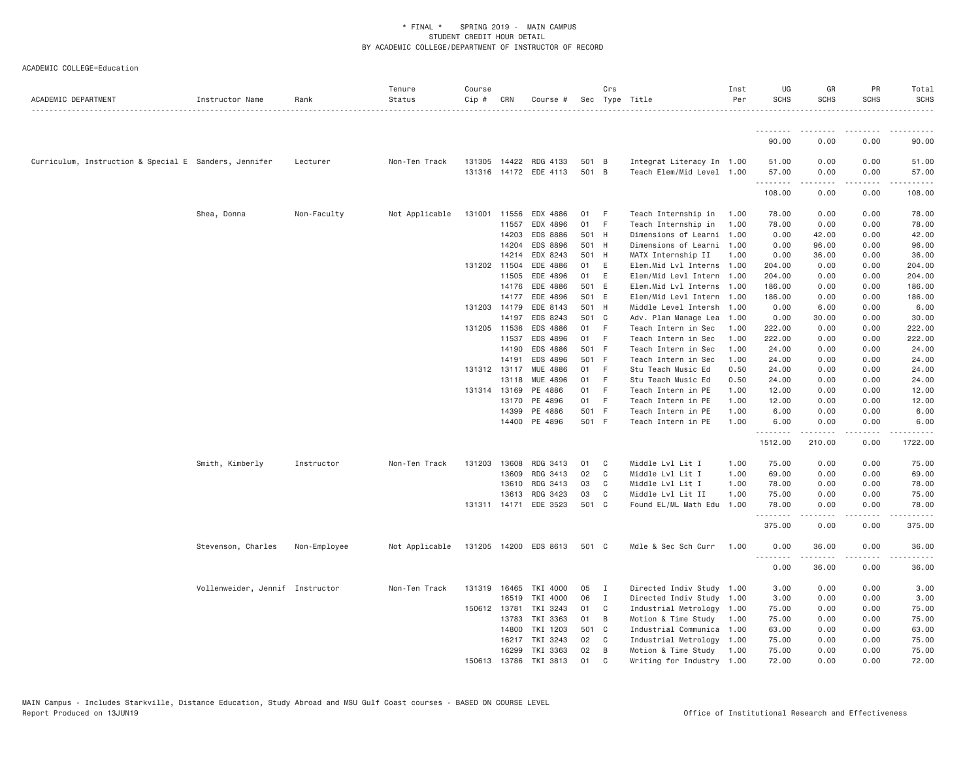| ACADEMIC DEPARTMENT                                   | Instructor Name                 | Rank         | Tenure<br>Status | Course<br>Cip # | CRN          | Course #              |       | Crs          | Sec Type Title            | Inst<br>Per | UG<br><b>SCHS</b> | GR<br><b>SCHS</b> | PR<br><b>SCHS</b> | Total<br><b>SCHS</b> |
|-------------------------------------------------------|---------------------------------|--------------|------------------|-----------------|--------------|-----------------------|-------|--------------|---------------------------|-------------|-------------------|-------------------|-------------------|----------------------|
|                                                       |                                 |              |                  |                 |              |                       |       |              |                           |             | .                 |                   |                   |                      |
|                                                       |                                 |              |                  |                 |              |                       |       |              |                           |             | 90.00             | 0.00              | 0.00              | 90.00                |
| Curriculum, Instruction & Special E Sanders, Jennifer |                                 | Lecturer     | Non-Ten Track    | 131305          | 14422        | RDG 4133              | 501 B |              | Integrat Literacy In 1.00 |             | 51.00             | 0.00              | 0.00              | 51.00                |
|                                                       |                                 |              |                  | 131316          |              | 14172 EDE 4113        | 501 B |              | Teach Elem/Mid Level 1.00 |             | 57.00<br>.        | 0.00<br>.         | 0.00<br>.         | 57.00<br>.           |
|                                                       |                                 |              |                  |                 |              |                       |       |              |                           |             | 108.00            | 0.00              | 0.00              | 108.00               |
|                                                       | Shea, Donna                     | Non-Faculty  | Not Applicable   | 131001 11556    |              | EDX 4886              | 01    | - F          | Teach Internship in       | 1.00        | 78.00             | 0.00              | 0.00              | 78.00                |
|                                                       |                                 |              |                  |                 | 11557        | EDX 4896              | 01    | - F          | Teach Internship in       | 1.00        | 78.00             | 0.00              | 0.00              | 78.00                |
|                                                       |                                 |              |                  |                 | 14203        | EDS 8886              | 501 H |              | Dimensions of Learni 1.00 |             | 0.00              | 42.00             | 0.00              | 42.00                |
|                                                       |                                 |              |                  |                 | 14204        | EDS 8896              | 501 H |              | Dimensions of Learni 1.00 |             | 0.00              | 96.00             | 0.00              | 96.00                |
|                                                       |                                 |              |                  |                 | 14214        | EDX 8243              | 501 H |              | MATX Internship II        | 1.00        | 0.00              | 36.00             | 0.00              | 36.00                |
|                                                       |                                 |              |                  | 131202 11504    |              | EDE 4886              | 01    | E            | Elem.Mid Lvl Interns 1.00 |             | 204.00            | 0.00              | 0.00              | 204.00               |
|                                                       |                                 |              |                  |                 | 11505        | EDE 4896              | 01    | E            | Elem/Mid Levl Intern 1.00 |             | 204.00            | 0.00              | 0.00              | 204.00               |
|                                                       |                                 |              |                  |                 | 14176        | EDE 4886              | 501 E |              | Elem.Mid Lvl Interns 1.00 |             | 186.00            | 0.00              | 0.00              | 186.00               |
|                                                       |                                 |              |                  |                 | 14177        | EDE 4896              | 501 E |              | Elem/Mid Levl Intern 1.00 |             | 186.00            | 0.00              | 0.00              | 186.00               |
|                                                       |                                 |              |                  |                 | 131203 14179 | EDE 8143              | 501 H |              | Middle Level Intersh 1.00 |             | 0.00              | 6.00              | 0.00              | 6.00                 |
|                                                       |                                 |              |                  |                 | 14197        | EDS 8243              | 501 C |              | Adv. Plan Manage Lea      | 1.00        | 0.00              | 30.00             | 0.00              | 30.00                |
|                                                       |                                 |              |                  |                 | 131205 11536 | EDS 4886              | 01 F  |              | Teach Intern in Sec       | 1.00        | 222.00            | 0.00              | 0.00              | 222.00               |
|                                                       |                                 |              |                  |                 | 11537        | EDS 4896              | 01 F  |              | Teach Intern in Sec       | 1.00        | 222.00            | 0.00              | 0.00              | 222.00               |
|                                                       |                                 |              |                  |                 | 14190        | EDS 4886              | 501 F |              | Teach Intern in Sec       | 1.00        | 24.00             | 0.00              | 0.00              | 24.00                |
|                                                       |                                 |              |                  |                 | 14191        | EDS 4896              | 501 F |              | Teach Intern in Sec       | 1.00        | 24.00             | 0.00              | 0.00              | 24.00                |
|                                                       |                                 |              |                  |                 | 131312 13117 | MUE 4886              | 01 F  |              | Stu Teach Music Ed        | 0.50        | 24.00             | 0.00              | 0.00              | 24.00                |
|                                                       |                                 |              |                  |                 | 13118        | MUE 4896              | 01 F  |              | Stu Teach Music Ed        | 0.50        | 24.00             | 0.00              | 0.00              | 24.00                |
|                                                       |                                 |              |                  |                 | 131314 13169 | PE 4886               | 01 F  |              | Teach Intern in PE        | 1.00        | 12.00             | 0.00              | 0.00              | 12.00                |
|                                                       |                                 |              |                  |                 | 13170        | PE 4896               | 01 F  |              | Teach Intern in PE        | 1.00        | 12.00             | 0.00              | 0.00              | 12.00                |
|                                                       |                                 |              |                  |                 | 14399        | PE 4886               | 501 F |              | Teach Intern in PE        | 1.00        | 6.00              | 0.00              | 0.00              | 6.00                 |
|                                                       |                                 |              |                  |                 | 14400        | PE 4896               | 501 F |              | Teach Intern in PE        | 1.00        | 6.00<br>.         | 0.00<br>------    | 0.00<br>.         | 6.00<br>.            |
|                                                       |                                 |              |                  |                 |              |                       |       |              |                           |             | 1512.00           | 210.00            | 0.00              | 1722.00              |
|                                                       | Smith, Kimberly                 | Instructor   | Non-Ten Track    | 131203          | 13608        | RDG 3413              | 01    | C            | Middle Lvl Lit I          | 1.00        | 75.00             | 0.00              | 0.00              | 75.00                |
|                                                       |                                 |              |                  |                 | 13609        | RDG 3413              | 02    | C            | Middle Lvl Lit I          | 1.00        | 69.00             | 0.00              | 0.00              | 69.00                |
|                                                       |                                 |              |                  |                 | 13610        | RDG 3413              | 03    | C.           | Middle Lvl Lit I          | 1.00        | 78.00             | 0.00              | 0.00              | 78.00                |
|                                                       |                                 |              |                  |                 | 13613        | RDG 3423              | 03    | C            | Middle Lvl Lit II         | 1.00        | 75.00             | 0.00              | 0.00              | 75.00                |
|                                                       |                                 |              |                  |                 | 131311 14171 | EDE 3523              | 501 C |              | Found EL/ML Math Edu 1.00 |             | 78.00<br>.        | 0.00              | 0.00              | 78.00<br>.           |
|                                                       |                                 |              |                  |                 |              |                       |       |              |                           |             | 375.00            | 0.00              | 0.00              | 375.00               |
|                                                       | Stevenson, Charles              | Non-Employee | Not Applicable   |                 |              | 131205 14200 EDS 8613 | 501 C |              | Mdle & Sec Sch Curr       | 1.00        | 0.00<br>.         | 36.00<br>.        | 0.00<br>.         | 36.00<br>.           |
|                                                       |                                 |              |                  |                 |              |                       |       |              |                           |             | 0.00              | 36.00             | 0.00              | 36.00                |
|                                                       | Vollenweider, Jennif Instructor |              | Non-Ten Track    | 131319          | 16465        | TKI 4000              | 05    | $\mathbf{I}$ | Directed Indiv Study 1.00 |             | 3.00              | 0.00              | 0.00              | 3.00                 |
|                                                       |                                 |              |                  |                 | 16519        | TKI 4000              | 06    | $\mathbf{I}$ | Directed Indiv Study 1.00 |             | 3.00              | 0.00              | 0.00              | 3.00                 |
|                                                       |                                 |              |                  | 150612 13781    |              | TKI 3243              | 01    | $\mathbf{C}$ | Industrial Metrology 1.00 |             | 75.00             | 0.00              | 0.00              | 75.00                |
|                                                       |                                 |              |                  |                 | 13783        | TKI 3363              | 01    | B            | Motion & Time Study       | 1.00        | 75.00             | 0.00              | 0.00              | 75.00                |
|                                                       |                                 |              |                  |                 | 14800        | TKI 1203              | 501 C |              | Industrial Communica 1.00 |             | 63.00             | 0.00              | 0.00              | 63.00                |
|                                                       |                                 |              |                  |                 | 16217        | TKI 3243              | 02 C  |              | Industrial Metrology 1.00 |             | 75.00             | 0.00              | 0.00              | 75.00                |
|                                                       |                                 |              |                  |                 | 16299        | TKI 3363              | 02    | B            | Motion & Time Study       | 1.00        | 75.00             | 0.00              | 0.00              | 75.00                |
|                                                       |                                 |              |                  | 150613          | 13786        | TKI 3813              | 01    | $\mathbf{C}$ | Writing for Industry 1.00 |             | 72.00             | 0.00              | 0.00              | 72.00                |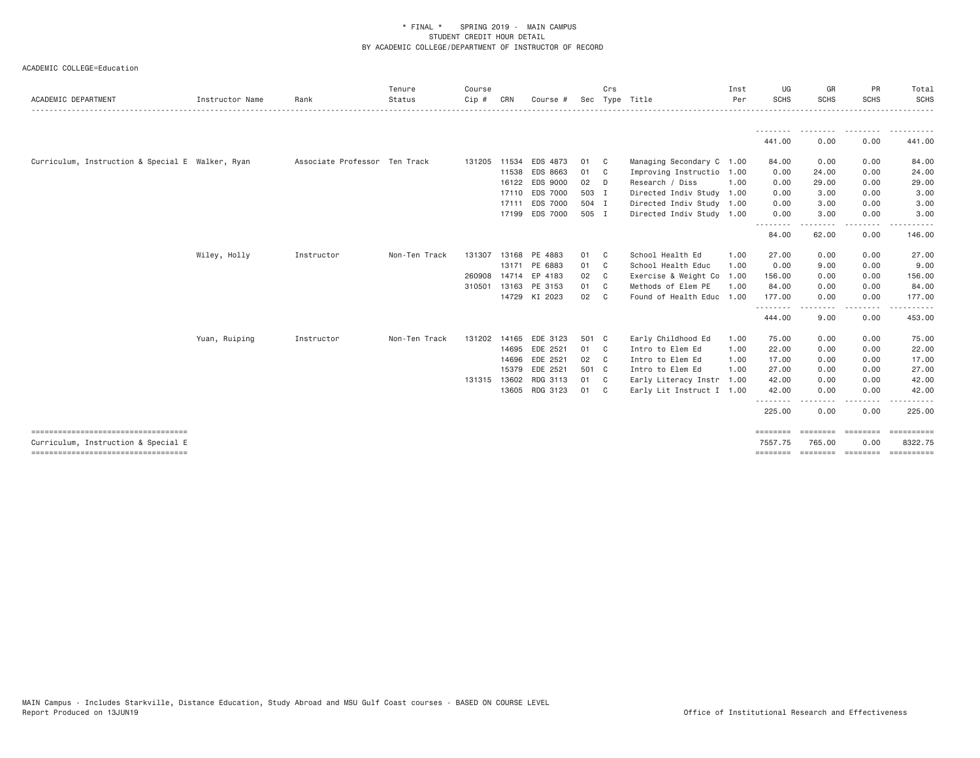| ACADEMIC DEPARTMENT                                                         | Instructor Name | Rank                          | Tenure<br>Status | Course<br>$Cip$ # | CRN          | Course #       |       | Crs            | Sec Type Title            | Inst<br>Per | UG<br><b>SCHS</b>   | GR<br><b>SCHS</b> | PR<br><b>SCHS</b> | Total<br><b>SCHS</b>                    |
|-----------------------------------------------------------------------------|-----------------|-------------------------------|------------------|-------------------|--------------|----------------|-------|----------------|---------------------------|-------------|---------------------|-------------------|-------------------|-----------------------------------------|
|                                                                             |                 |                               |                  |                   |              |                |       |                |                           |             |                     |                   |                   | .                                       |
|                                                                             |                 |                               |                  |                   |              |                |       |                |                           |             | 441.00              | 0.00              | 0.00              | 441.00                                  |
| Curriculum, Instruction & Special E Walker, Ryan                            |                 | Associate Professor Ten Track |                  |                   | 131205 11534 | EDS 4873       | 01    | $\mathbf{C}$   | Managing Secondary C 1.00 |             | 84.00               | 0.00              | 0.00              | 84.00                                   |
|                                                                             |                 |                               |                  |                   | 11538        | EDS 8663       | 01    | C <sub>c</sub> | Improving Instructio 1.00 |             | 0.00                | 24.00             | 0.00              | 24.00                                   |
|                                                                             |                 |                               |                  |                   | 16122        | EDS 9000       | 02    | - D            | Research / Diss           | 1.00        | 0.00                | 29.00             | 0.00              | 29.00                                   |
|                                                                             |                 |                               |                  |                   | 17110        | EDS 7000       | 503 I |                | Directed Indiv Study 1.00 |             | 0.00                | 3.00              | 0.00              | 3.00                                    |
|                                                                             |                 |                               |                  |                   | 17111        | EDS 7000       | 504 I |                | Directed Indiv Study 1.00 |             | 0.00                | 3.00              | 0.00              | 3.00                                    |
|                                                                             |                 |                               |                  |                   |              | 17199 EDS 7000 | 505 I |                | Directed Indiv Study 1.00 |             | 0.00                | 3.00              | 0.00              | 3.00                                    |
|                                                                             |                 |                               |                  |                   |              |                |       |                |                           |             | --------<br>84.00   | 62.00             | $\cdots$<br>0.00  | 146.00                                  |
|                                                                             | Wiley, Holly    | Instructor                    | Non-Ten Track    | 131307            | 13168        | PE 4883        | 01    | C <sub>c</sub> | School Health Ed          | 1.00        | 27.00               | 0.00              | 0.00              | 27.00                                   |
|                                                                             |                 |                               |                  |                   |              | 13171 PE 6883  | 01    | $\mathbf{C}$   | School Health Educ        | 1.00        | 0.00                | 9.00              | 0.00              | 9.00                                    |
|                                                                             |                 |                               |                  | 260908            |              | 14714 EP 4183  | 02    | C <sub>1</sub> | Exercise & Weight Co      | 1.00        | 156.00              | 0.00              | 0.00              | 156.00                                  |
|                                                                             |                 |                               |                  | 310501            |              | 13163 PE 3153  | 01    | $\mathbf{C}$   | Methods of Elem PE        | 1,00        | 84.00               | 0.00              | 0.00              | 84.00                                   |
|                                                                             |                 |                               |                  |                   |              | 14729 KI 2023  | 02    | $\mathbf{C}$   | Found of Health Educ 1.00 |             | 177.00              | 0.00              | 0.00              | 177.00                                  |
|                                                                             |                 |                               |                  |                   |              |                |       |                |                           |             | .<br>444.00         | 9.00              | $\cdots$<br>0.00  | <u>.</u><br>453.00                      |
|                                                                             | Yuan, Ruiping   | Instructor                    | Non-Ten Track    | 131202            | 14165        | EDE 3123       | 501 C |                | Early Childhood Ed        | 1.00        | 75.00               | 0.00              | 0.00              | 75.00                                   |
|                                                                             |                 |                               |                  |                   | 14695        | EDE 2521       | 01    | $\mathbf{C}$   | Intro to Elem Ed          | 1.00        | 22.00               | 0.00              | 0.00              | 22.00                                   |
|                                                                             |                 |                               |                  |                   | 14696        | EDE 2521       | 02    | $\mathbf{C}$   | Intro to Elem Ed          | 1.00        | 17.00               | 0.00              | 0.00              | 17.00                                   |
|                                                                             |                 |                               |                  |                   | 15379        | EDE 2521       | 501 C |                | Intro to Elem Ed          | 1.00        | 27.00               | 0.00              | 0.00              | 27.00                                   |
|                                                                             |                 |                               |                  |                   | 131315 13602 | RDG 3113       | 01    | $\mathbf{C}$   | Early Literacy Instr      | 1.00        | 42.00               | 0.00              | 0.00              | 42.00                                   |
|                                                                             |                 |                               |                  |                   | 13605        | RDG 3123       | 01    | C <sub>c</sub> | Early Lit Instruct I 1.00 |             | 42.00               | 0.00              | 0.00              | 42.00                                   |
|                                                                             |                 |                               |                  |                   |              |                |       |                |                           |             | 225.00              | 0.00              | $- - - -$<br>0.00 | 225.00                                  |
| ------------------------------------                                        |                 |                               |                  |                   |              |                |       |                |                           |             | ========            | ========          | ========          | $=$ ==========                          |
| Curriculum, Instruction & Special E<br>------------------------------------ |                 |                               |                  |                   |              |                |       |                |                           |             | 7557.75<br>======== | 765.00            | 0.00              | 8322.75<br>accordio concerto concertore |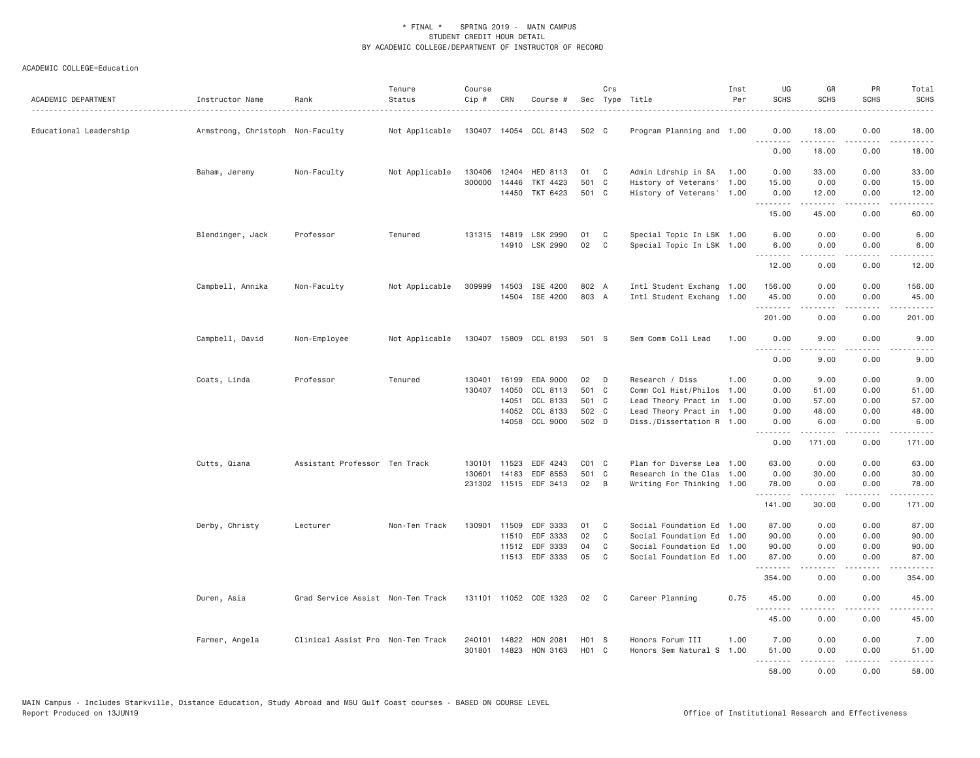| ACADEMIC DEPARTMENT    | Instructor Name                  | Rank                              | Tenure<br>Status | Course<br>Cip # | CRN                   | Course #                         |                | Crs          | Sec Type Title                                         | Inst<br>Per  | UG<br><b>SCHS</b>   | GR<br><b>SCHS</b> | PR<br><b>SCHS</b>   | Total<br><b>SCHS</b>                                                                                                                                                                      |
|------------------------|----------------------------------|-----------------------------------|------------------|-----------------|-----------------------|----------------------------------|----------------|--------------|--------------------------------------------------------|--------------|---------------------|-------------------|---------------------|-------------------------------------------------------------------------------------------------------------------------------------------------------------------------------------------|
| Educational Leadership | Armstrong, Christoph Non-Faculty |                                   | Not Applicable   |                 |                       | 130407 14054 CCL 8143            | 502 C          |              | Program Planning and 1.00                              |              | 0.00<br><u>.</u>    | 18.00<br>.        | 0.00<br>.           | 18.00<br>.                                                                                                                                                                                |
|                        |                                  |                                   |                  |                 |                       |                                  |                |              |                                                        |              | 0.00                | 18.00             | 0.00                | 18.00                                                                                                                                                                                     |
|                        | Baham, Jeremy                    | Non-Faculty                       | Not Applicable   |                 | 130406 12404          | HED 8113                         | 01             | C            | Admin Ldrship in SA                                    | 1.00         | 0.00                | 33.00             | 0.00                | 33.00                                                                                                                                                                                     |
|                        |                                  |                                   |                  |                 | 300000 14446<br>14450 | TKT 4423<br>TKT 6423             | 501 C<br>501 C |              | History of Veterans'<br>History of Veterans'           | 1.00<br>1.00 | 15.00<br>0.00       | 0.00<br>12.00     | 0.00<br>0.00        | 15.00<br>12.00                                                                                                                                                                            |
|                        |                                  |                                   |                  |                 |                       |                                  |                |              |                                                        |              | <u>.</u><br>15.00   | 45.00             | 0.00                | 60.00                                                                                                                                                                                     |
|                        | Blendinger, Jack                 | Professor                         | Tenured          |                 |                       | 131315 14819 LSK 2990            | 01             | C            | Special Topic In LSK 1.00                              |              | 6.00                | 0.00              | 0.00                | 6.00                                                                                                                                                                                      |
|                        |                                  |                                   |                  |                 |                       | 14910 LSK 2990                   | 02             | C            | Special Topic In LSK 1.00                              |              | 6.00<br><u>.</u>    | 0.00<br>.         | 0.00<br>.           | 6.00<br>المتماما                                                                                                                                                                          |
|                        |                                  |                                   |                  |                 |                       |                                  |                |              |                                                        |              | 12.00               | 0.00              | 0.00                | 12.00                                                                                                                                                                                     |
|                        | Campbell, Annika                 | Non-Faculty                       | Not Applicable   | 309999          |                       | 14503 ISE 4200<br>14504 ISE 4200 | 802 A<br>803 A |              | Intl Student Exchang 1.00<br>Intl Student Exchang 1.00 |              | 156.00<br>45.00     | 0.00<br>0.00      | 0.00<br>0.00        | 156,00<br>45.00                                                                                                                                                                           |
|                        |                                  |                                   |                  |                 |                       |                                  |                |              |                                                        |              | .<br>201.00         | <u>.</u><br>0.00  | .<br>0.00           | $\frac{1}{2} \left( \frac{1}{2} \right) \left( \frac{1}{2} \right) \left( \frac{1}{2} \right) \left( \frac{1}{2} \right) \left( \frac{1}{2} \right) \left( \frac{1}{2} \right)$<br>201.00 |
|                        | Campbell, David                  | Non-Employee                      | Not Applicable   |                 |                       | 130407 15809 CCL 8193            | 501 S          |              | Sem Comm Coll Lead                                     | 1.00         | 0.00<br>.           | 9.00<br>.         | 0.00<br>$- - - -$   | 9.00<br>-----                                                                                                                                                                             |
|                        |                                  |                                   |                  |                 |                       |                                  |                |              |                                                        |              | 0.00                | 9.00              | 0.00                | 9.00                                                                                                                                                                                      |
|                        | Coats, Linda                     | Professor                         | Tenured          |                 |                       | 130401 16199 EDA 9000            | 02             | D            | Research / Diss                                        | 1,00         | 0.00                | 9.00              | 0.00                | 9.00                                                                                                                                                                                      |
|                        |                                  |                                   |                  | 130407          | 14050                 | CCL 8113                         | 501 C          |              | Comm Col Hist/Philos 1.00                              |              | 0.00                | 51.00             | 0.00                | 51.00                                                                                                                                                                                     |
|                        |                                  |                                   |                  |                 | 14051                 | CCL 8133                         | 501 C          |              | Lead Theory Pract in 1.00                              |              | 0.00                | 57.00             | 0.00                | 57.00                                                                                                                                                                                     |
|                        |                                  |                                   |                  |                 | 14052                 | CCL 8133                         | 502 C          |              | Lead Theory Pract in 1.00                              |              | 0.00                | 48.00             | 0.00                | 48.00                                                                                                                                                                                     |
|                        |                                  |                                   |                  |                 | 14058                 | CCL 9000                         | 502 D          |              | Diss./Dissertation R 1.00                              |              | 0.00<br>.           | 6.00<br>.         | 0.00<br>.           | 6.00<br>$\frac{1}{2} \left( \frac{1}{2} \right) \left( \frac{1}{2} \right) \left( \frac{1}{2} \right) \left( \frac{1}{2} \right) \left( \frac{1}{2} \right)$                              |
|                        |                                  |                                   |                  |                 |                       |                                  |                |              |                                                        |              | 0.00                | 171.00            | 0.00                | 171.00                                                                                                                                                                                    |
|                        | Cutts, Qiana                     | Assistant Professor Ten Track     |                  | 130101          | 11523                 | EDF 4243                         | $CO1$ $C$      |              | Plan for Diverse Lea 1.00                              |              | 63.00               | 0.00              | 0.00                | 63.00                                                                                                                                                                                     |
|                        |                                  |                                   |                  | 130601          | 14183                 | EDF 8553                         | 501 C          |              | Research in the Clas 1.00                              |              | 0.00                | 30.00             | 0.00                | 30.00                                                                                                                                                                                     |
|                        |                                  |                                   |                  |                 |                       | 231302 11515 EDF 3413            | 02             | B            | Writing For Thinking 1.00                              |              | 78.00<br>.          | 0.00<br>.         | 0.00<br>.           | 78.00<br>$\frac{1}{2} \left( \frac{1}{2} \right) \left( \frac{1}{2} \right) \left( \frac{1}{2} \right) \left( \frac{1}{2} \right) \left( \frac{1}{2} \right) \left( \frac{1}{2} \right)$  |
|                        |                                  |                                   |                  |                 |                       |                                  |                |              |                                                        |              | 141.00              | 30.00             | 0.00                | 171.00                                                                                                                                                                                    |
|                        | Derby, Christy                   | Lecturer                          | Non-Ten Track    | 130901          | 11509                 | EDF 3333                         | 01             | C            | Social Foundation Ed 1.00                              |              | 87.00               | 0.00              | 0.00                | 87.00                                                                                                                                                                                     |
|                        |                                  |                                   |                  |                 | 11510                 | EDF 3333                         | 02             | $\mathsf{C}$ | Social Foundation Ed 1.00                              |              | 90.00               | 0.00              | 0.00                | 90.00                                                                                                                                                                                     |
|                        |                                  |                                   |                  |                 |                       | 11512 EDF 3333                   | 04             | C            | Social Foundation Ed 1.00                              |              | 90.00               | 0.00              | 0.00                | 90.00                                                                                                                                                                                     |
|                        |                                  |                                   |                  |                 |                       | 11513 EDF 3333                   | 05             | C            | Social Foundation Ed 1.00                              |              | 87.00<br>. <b>.</b> | 0.00<br>.         | 0.00<br>.           | 87.00<br>.                                                                                                                                                                                |
|                        |                                  |                                   |                  |                 |                       |                                  |                |              |                                                        |              | 354.00              | 0.00              | 0.00                | 354.00                                                                                                                                                                                    |
|                        | Duren, Asia                      | Grad Service Assist Non-Ten Track |                  |                 |                       | 131101 11052 COE 1323            | 02             | $\mathbf{C}$ | Career Planning                                        | 0.75         | 45.00<br>.          | 0.00<br>.         | 0.00<br>.           | 45.00<br>.                                                                                                                                                                                |
|                        |                                  |                                   |                  |                 |                       |                                  |                |              |                                                        |              | 45.00               | 0.00              | 0.00                | 45.00                                                                                                                                                                                     |
|                        | Farmer, Angela                   | Clinical Assist Pro Non-Ten Track |                  | 240101          | 14822                 | HON 2081                         | H01 S          |              | Honors Forum III                                       | 1.00         | 7.00                | 0.00              | 0.00                | 7.00                                                                                                                                                                                      |
|                        |                                  |                                   |                  |                 |                       | 301801 14823 HON 3163            | H01 C          |              | Honors Sem Natural S 1.00                              |              | 51.00<br>.          | 0.00<br>.         | 0.00<br>$- - - - -$ | 51.00<br><u>.</u>                                                                                                                                                                         |
|                        |                                  |                                   |                  |                 |                       |                                  |                |              |                                                        |              | 58.00               | 0.00              | 0.00                | 58.00                                                                                                                                                                                     |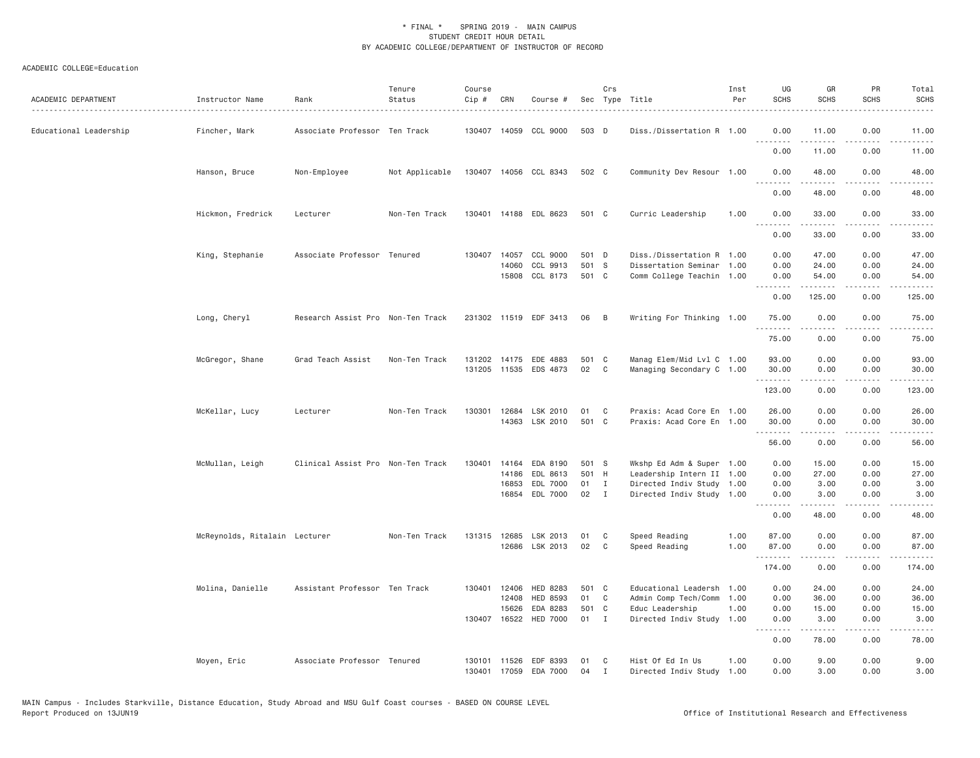| ACADEMIC DEPARTMENT    | Instructor Name               | Rank                              | Tenure<br>Status | Course<br>Cip #  | CRN            | Course #                   |                | Crs               | Sec Type Title                                         | Inst<br>Per | UG<br><b>SCHS</b>  | GR<br><b>SCHS</b>                                                                                                                                                                                                                                                                                                                            | PR<br><b>SCHS</b>                   | Total<br><b>SCHS</b><br>$\frac{1}{2}$ |
|------------------------|-------------------------------|-----------------------------------|------------------|------------------|----------------|----------------------------|----------------|-------------------|--------------------------------------------------------|-------------|--------------------|----------------------------------------------------------------------------------------------------------------------------------------------------------------------------------------------------------------------------------------------------------------------------------------------------------------------------------------------|-------------------------------------|---------------------------------------|
| Educational Leadership | Fincher, Mark                 | Associate Professor Ten Track     |                  |                  |                | 130407 14059 CCL 9000      | 503 D          |                   | Diss./Dissertation R 1.00                              |             | 0.00               | 11.00<br>.                                                                                                                                                                                                                                                                                                                                   | 0.00<br>.                           | 11.00<br>.                            |
|                        |                               |                                   |                  |                  |                |                            |                |                   |                                                        |             | 0.00               | 11.00                                                                                                                                                                                                                                                                                                                                        | 0.00                                | 11.00                                 |
|                        | Hanson, Bruce                 | Non-Employee                      | Not Applicable   |                  |                | 130407 14056 CCL 8343      | 502 C          |                   | Community Dev Resour 1.00                              |             | 0.00<br>.          | 48.00<br><u>.</u>                                                                                                                                                                                                                                                                                                                            | 0.00<br>$\sim$ $\sim$ $\sim$ $\sim$ | 48.00<br>.                            |
|                        |                               |                                   |                  |                  |                |                            |                |                   |                                                        |             | 0.00               | 48.00                                                                                                                                                                                                                                                                                                                                        | 0.00                                | 48.00                                 |
|                        | Hickmon, Fredrick             | Lecturer                          | Non-Ten Track    |                  |                | 130401 14188 EDL 8623      | 501 C          |                   | Curric Leadership                                      | 1.00        | 0.00<br><u>.</u>   | 33.00<br>.                                                                                                                                                                                                                                                                                                                                   | 0.00<br>.                           | 33.00<br>.                            |
|                        |                               |                                   |                  |                  |                |                            |                |                   |                                                        |             | 0.00               | 33.00                                                                                                                                                                                                                                                                                                                                        | 0.00                                | 33.00                                 |
|                        | King, Stephanie               | Associate Professor Tenured       |                  |                  | 130407 14057   | CCL 9000                   | 501 D          |                   | Diss./Dissertation R 1.00                              |             | 0.00               | 47.00                                                                                                                                                                                                                                                                                                                                        | 0.00                                | 47.00                                 |
|                        |                               |                                   |                  |                  | 14060          | CCL 9913<br>15808 CCL 8173 | 501 S<br>501 C |                   | Dissertation Seminar 1.00<br>Comm College Teachin 1.00 |             | 0.00<br>0.00       | 24.00<br>54.00                                                                                                                                                                                                                                                                                                                               | 0.00<br>0.00                        | 24.00<br>54.00                        |
|                        |                               |                                   |                  |                  |                |                            |                |                   |                                                        |             | <u>.</u>           | .                                                                                                                                                                                                                                                                                                                                            | .                                   | .                                     |
|                        |                               |                                   |                  |                  |                |                            |                |                   |                                                        |             | 0.00               | 125.00                                                                                                                                                                                                                                                                                                                                       | 0.00                                | 125.00                                |
|                        | Long, Cheryl                  | Research Assist Pro Non-Ten Track |                  |                  |                | 231302 11519 EDF 3413      | 06             | B                 | Writing For Thinking 1.00                              |             | 75.00<br>.         | 0.00<br>.                                                                                                                                                                                                                                                                                                                                    | 0.00<br>.                           | 75.00<br>.                            |
|                        |                               |                                   |                  |                  |                |                            |                |                   |                                                        |             | 75.00              | 0.00                                                                                                                                                                                                                                                                                                                                         | 0.00                                | 75.00                                 |
|                        | McGregor, Shane               | Grad Teach Assist                 | Non-Ten Track    | 131202           | 14175          | EDE 4883                   | 501 C          |                   | Manag Elem/Mid Lvl C 1.00                              |             | 93.00              | 0.00                                                                                                                                                                                                                                                                                                                                         | 0.00                                | 93.00                                 |
|                        |                               |                                   |                  |                  |                | 131205 11535 EDS 4873      | 02             | C                 | Managing Secondary C 1.00                              |             | 30.00              | 0.00<br>.                                                                                                                                                                                                                                                                                                                                    | 0.00<br>.                           | 30.00<br>.                            |
|                        |                               |                                   |                  |                  |                |                            |                |                   |                                                        |             | 123.00             | 0.00                                                                                                                                                                                                                                                                                                                                         | 0.00                                | 123.00                                |
|                        | McKellar, Lucy                | Lecturer                          | Non-Ten Track    | 130301           |                | 12684 LSK 2010             | 01             | C                 | Praxis: Acad Core En 1.00                              |             | 26.00              | 0.00                                                                                                                                                                                                                                                                                                                                         | 0.00                                | 26.00                                 |
|                        |                               |                                   |                  |                  |                | 14363 LSK 2010             | 501 C          |                   | Praxis: Acad Core En 1.00                              |             | 30.00<br><u>.</u>  | 0.00<br>.                                                                                                                                                                                                                                                                                                                                    | 0.00<br>.                           | 30.00<br>.                            |
|                        |                               |                                   |                  |                  |                |                            |                |                   |                                                        |             | 56.00              | 0.00                                                                                                                                                                                                                                                                                                                                         | 0.00                                | 56.00                                 |
|                        | McMullan, Leigh               | Clinical Assist Pro Non-Ten Track |                  | 130401           | 14164          | EDA 8190                   | 501 S          |                   | Wkshp Ed Adm & Super 1.00                              |             | 0.00               | 15.00                                                                                                                                                                                                                                                                                                                                        | 0.00                                | 15.00                                 |
|                        |                               |                                   |                  |                  | 14186          | EDL 8613                   | 501 H          |                   | Leadership Intern II 1.00                              |             | 0.00               | 27.00                                                                                                                                                                                                                                                                                                                                        | 0.00                                | 27.00                                 |
|                        |                               |                                   |                  |                  | 16853<br>16854 | EDL 7000<br>EDL 7000       | 01<br>02       | $\mathbf{I}$<br>I | Directed Indiv Study 1.00<br>Directed Indiv Study 1.00 |             | 0.00<br>0.00       | 3.00<br>3.00                                                                                                                                                                                                                                                                                                                                 | 0.00<br>0.00                        | 3.00<br>3.00                          |
|                        |                               |                                   |                  |                  |                |                            |                |                   |                                                        |             | . <b>.</b><br>0.00 |                                                                                                                                                                                                                                                                                                                                              | $- - - -$<br>0.00                   | $- - - -$                             |
|                        |                               |                                   |                  |                  |                |                            |                |                   |                                                        |             |                    | 48.00                                                                                                                                                                                                                                                                                                                                        |                                     | 48.00                                 |
|                        | McReynolds, Ritalain Lecturer |                                   | Non-Ten Track    |                  |                | 131315 12685 LSK 2013      | 01             | C                 | Speed Reading                                          | 1.00        | 87.00              | 0.00                                                                                                                                                                                                                                                                                                                                         | 0.00                                | 87.00                                 |
|                        |                               |                                   |                  |                  |                | 12686 LSK 2013             | 02             | C                 | Speed Reading                                          | 1.00        | 87.00<br>.         | 0.00<br>-----                                                                                                                                                                                                                                                                                                                                | 0.00<br>.                           | 87.00<br>.                            |
|                        |                               |                                   |                  |                  |                |                            |                |                   |                                                        |             | 174.00             | 0.00                                                                                                                                                                                                                                                                                                                                         | 0.00                                | 174.00                                |
|                        | Molina, Danielle              | Assistant Professor Ten Track     |                  | 130401           | 12406          | HED 8283                   | 501 C          |                   | Educational Leadersh                                   | 1.00        | 0.00               | 24.00                                                                                                                                                                                                                                                                                                                                        | 0.00                                | 24.00                                 |
|                        |                               |                                   |                  |                  | 12408          | HED 8593                   | 01             | C                 | Admin Comp Tech/Comm                                   | 1.00        | 0.00               | 36.00                                                                                                                                                                                                                                                                                                                                        | 0.00                                | 36.00                                 |
|                        |                               |                                   |                  |                  | 15626          | EDA 8283                   | 501            | C                 | Educ Leadership                                        | 1.00        | 0.00               | 15.00                                                                                                                                                                                                                                                                                                                                        | 0.00                                | 15.00                                 |
|                        |                               |                                   |                  |                  | 130407 16522   | <b>HED 7000</b>            | 01             | $\mathbf{I}$      | Directed Indiv Study 1.00                              |             | 0.00<br>.          | 3.00<br>$\frac{1}{2} \left( \begin{array}{ccc} 1 & 0 & 0 & 0 \\ 0 & 0 & 0 & 0 \\ 0 & 0 & 0 & 0 \\ 0 & 0 & 0 & 0 \\ 0 & 0 & 0 & 0 \\ 0 & 0 & 0 & 0 \\ 0 & 0 & 0 & 0 \\ 0 & 0 & 0 & 0 \\ 0 & 0 & 0 & 0 \\ 0 & 0 & 0 & 0 \\ 0 & 0 & 0 & 0 & 0 \\ 0 & 0 & 0 & 0 & 0 \\ 0 & 0 & 0 & 0 & 0 \\ 0 & 0 & 0 & 0 & 0 \\ 0 & 0 & 0 & 0 & 0 \\ 0 & 0 & 0$ | 0.00<br>$\sim$ $\sim$ $\sim$ $\sim$ | 3.00<br>$\omega$ is $\omega$ in       |
|                        |                               |                                   |                  |                  |                |                            |                |                   |                                                        |             | 0.00               | 78.00                                                                                                                                                                                                                                                                                                                                        | 0.00                                | 78.00                                 |
|                        | Moyen, Eric                   | Associate Professor Tenured       |                  | 130101<br>130401 | 11526          | EDF 8393<br>17059 EDA 7000 | 01<br>04       | C<br>Ι.           | Hist Of Ed In Us<br>Directed Indiv Study 1.00          | 1.00        | 0.00<br>0.00       | 9.00<br>3.00                                                                                                                                                                                                                                                                                                                                 | 0.00<br>0.00                        | 9.00<br>3.00                          |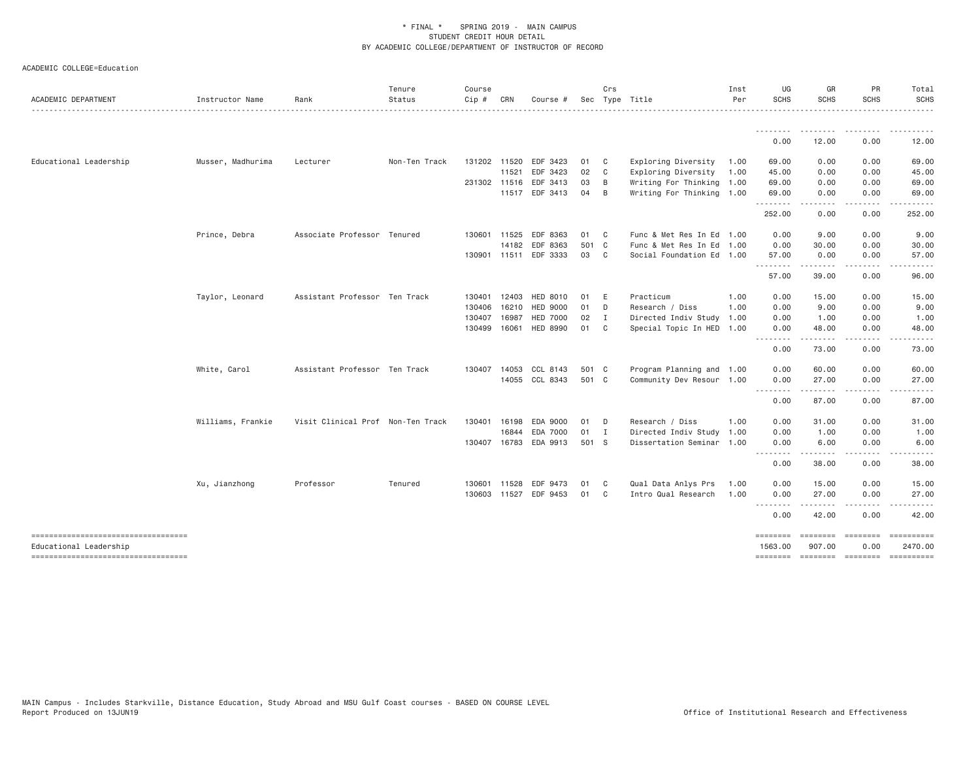| ACADEMIC DEPARTMENT                                          | Instructor Name   | Rank                              | Tenure<br>Status | Course<br>$Cip \#$ | CRN          | Course #              |       | Crs            | Sec Type Title            | Inst<br>Per | UG<br><b>SCHS</b>   | GR<br>SCHS                                                                                                                                           | PR<br><b>SCHS</b> | Total<br><b>SCHS</b> |
|--------------------------------------------------------------|-------------------|-----------------------------------|------------------|--------------------|--------------|-----------------------|-------|----------------|---------------------------|-------------|---------------------|------------------------------------------------------------------------------------------------------------------------------------------------------|-------------------|----------------------|
|                                                              |                   |                                   |                  |                    |              |                       |       |                |                           |             | <u>.</u>            | $\frac{1}{2} \left( \frac{1}{2} \right) \left( \frac{1}{2} \right) \left( \frac{1}{2} \right) \left( \frac{1}{2} \right) \left( \frac{1}{2} \right)$ |                   | .                    |
|                                                              |                   |                                   |                  |                    |              |                       |       |                |                           |             | 0.00                | 12.00                                                                                                                                                | 0.00              | 12.00                |
| Educational Leadership                                       | Musser, Madhurima | Lecturer                          | Non-Ten Track    |                    | 131202 11520 | EDF 3423              | 01    | $\mathbf{C}$   | Exploring Diversity       | 1.00        | 69.00               | 0.00                                                                                                                                                 | 0.00              | 69.00                |
|                                                              |                   |                                   |                  |                    | 11521        | EDF 3423              | 02    | C              | Exploring Diversity       | 1.00        | 45.00               | 0.00                                                                                                                                                 | 0.00              | 45.00                |
|                                                              |                   |                                   |                  |                    | 231302 11516 | EDF 3413              | 03    | B              | Writing For Thinking 1.00 |             | 69.00               | 0.00                                                                                                                                                 | 0.00              | 69.00                |
|                                                              |                   |                                   |                  |                    |              | 11517 EDF 3413        | 04    | B              | Writing For Thinking 1.00 |             | 69.00               | 0.00                                                                                                                                                 | 0.00              | 69.00<br>.           |
|                                                              |                   |                                   |                  |                    |              |                       |       |                |                           |             | .<br>252.00         | .<br>0.00                                                                                                                                            | .<br>0.00         | 252.00               |
|                                                              | Prince, Debra     | Associate Professor Tenured       |                  | 130601             | 11525        | EDF 8363              | 01 C  |                | Func & Met Res In Ed 1.00 |             | 0.00                | 9.00                                                                                                                                                 | 0.00              | 9.00                 |
|                                                              |                   |                                   |                  |                    | 14182        | EDF 8363              | 501 C |                | Func & Met Res In Ed 1.00 |             | 0.00                | 30.00                                                                                                                                                | 0.00              | 30.00                |
|                                                              |                   |                                   |                  |                    |              | 130901 11511 EDF 3333 | 03    | $\mathbf{C}$   | Social Foundation Ed 1.00 |             | 57.00               | 0.00                                                                                                                                                 | 0.00              | 57.00                |
|                                                              |                   |                                   |                  |                    |              |                       |       |                |                           |             | .<br>57.00          | 39.00                                                                                                                                                | .<br>0.00         | .<br>96.00           |
|                                                              | Taylor, Leonard   | Assistant Professor Ten Track     |                  | 130401             | 12403        | <b>HED 8010</b>       | 01    | E              | Practicum                 | 1.00        | 0.00                | 15.00                                                                                                                                                | 0.00              | 15.00                |
|                                                              |                   |                                   |                  | 130406             | 16210        | <b>HED 9000</b>       | 01    | $\Box$         | Research / Diss           | 1.00        | 0.00                | 9.00                                                                                                                                                 | 0.00              | 9.00                 |
|                                                              |                   |                                   |                  | 130407             | 16987        | <b>HED 7000</b>       | 02    | $\blacksquare$ | Directed Indiv Study      | 1.00        | 0.00                | 1.00                                                                                                                                                 | 0.00              | 1.00                 |
|                                                              |                   |                                   |                  | 130499             | 16061        | HED 8990              | 01    | C <sub>1</sub> | Special Topic In HED 1.00 |             | 0.00                | 48.00<br>.                                                                                                                                           | 0.00<br>$- - - -$ | 48.00                |
|                                                              |                   |                                   |                  |                    |              |                       |       |                |                           |             | 0.00                | 73.00                                                                                                                                                | 0.00              | 73.00                |
|                                                              | White, Carol      | Assistant Professor Ten Track     |                  | 130407             | 14053        | CCL 8143              | 501 C |                | Program Planning and 1.00 |             | 0.00                | 60.00                                                                                                                                                | 0.00              | 60.00                |
|                                                              |                   |                                   |                  |                    |              | 14055 CCL 8343        | 501 C |                | Community Dev Resour 1.00 |             | 0.00                | 27.00                                                                                                                                                | 0.00              | 27.00                |
|                                                              |                   |                                   |                  |                    |              |                       |       |                |                           |             | .<br>0.00           | 87.00                                                                                                                                                | 0.00              | 87.00                |
|                                                              | Williams, Frankie | Visit Clinical Prof Non-Ten Track |                  | 130401             | 16198        | EDA 9000              | 01    | D              | Research / Diss           | 1.00        | 0.00                | 31.00                                                                                                                                                | 0.00              | 31.00                |
|                                                              |                   |                                   |                  |                    | 16844        | EDA 7000              | 01    | $\mathbf{I}$   | Directed Indiv Study 1.00 |             | 0.00                | 1.00                                                                                                                                                 | 0.00              | 1.00                 |
|                                                              |                   |                                   |                  |                    |              | 130407 16783 EDA 9913 | 501 S |                | Dissertation Seminar 1.00 |             | 0.00                | 6.00                                                                                                                                                 | 0.00              | 6.00                 |
|                                                              |                   |                                   |                  |                    |              |                       |       |                |                           |             | 0.00                | .<br>38.00                                                                                                                                           | .<br>0.00         | 38.00                |
|                                                              | Xu, Jianzhong     | Professor                         | Tenured          | 130601             | 11528        | EDF 9473              | 01    | C              | Qual Data Anlys Prs       | 1.00        | 0.00                | 15.00                                                                                                                                                | 0.00              | 15.00                |
|                                                              |                   |                                   |                  |                    | 130603 11527 | EDF 9453              | 01    | C <sub>1</sub> | Intro Qual Research       | 1.00        | 0.00                | 27.00                                                                                                                                                | 0.00              | 27.00                |
|                                                              |                   |                                   |                  |                    |              |                       |       |                |                           |             | .<br>0.00           | ------<br>42.00                                                                                                                                      | <u>.</u><br>0.00  | .<br>42.00           |
| -----------------------------------                          |                   |                                   |                  |                    |              |                       |       |                |                           |             | ========            | <b>ESSESSE</b>                                                                                                                                       | $=$ ========      |                      |
| Educational Leadership<br>---------------------------------- |                   |                                   |                  |                    |              |                       |       |                |                           |             | 1563.00<br>======== | 907.00<br>--------- --------                                                                                                                         | 0.00              | 2470.00              |
|                                                              |                   |                                   |                  |                    |              |                       |       |                |                           |             |                     |                                                                                                                                                      |                   |                      |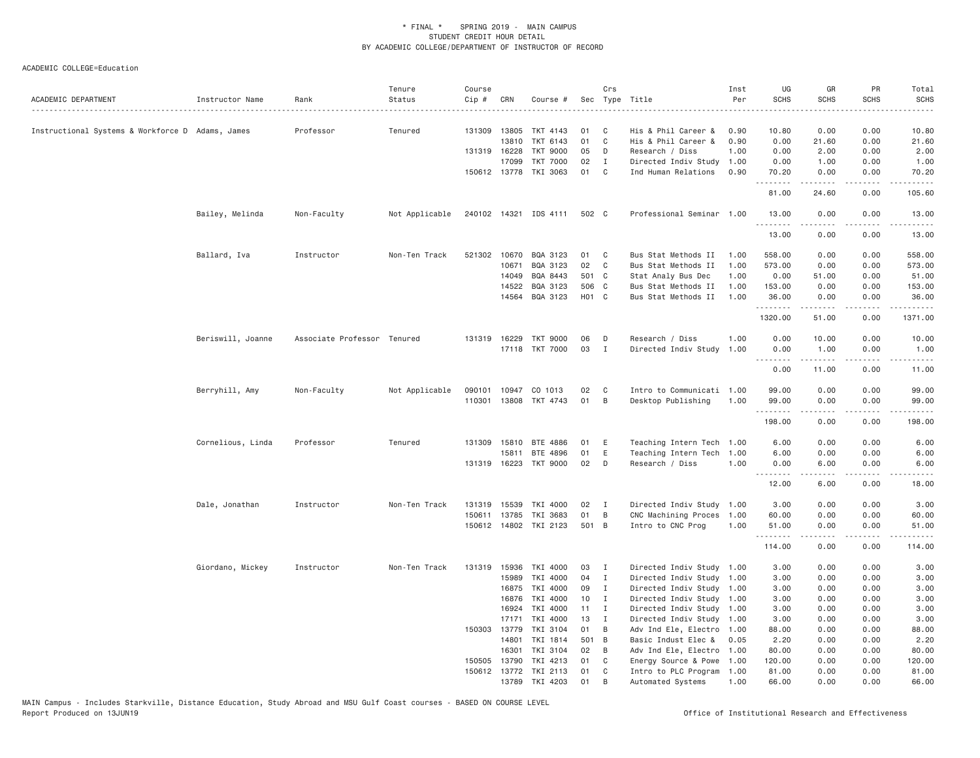| ACADEMIC DEPARTMENT                              | Instructor Name   | Rank                        | Tenure<br>Status | Course<br>Cip # | CRN          | Course #              |                   | Crs          | Sec Type Title            | Inst<br>Per | UG<br><b>SCHS</b> | GR<br><b>SCHS</b> | PR<br><b>SCHS</b> | Total<br><b>SCHS</b><br>$- - - -$ |
|--------------------------------------------------|-------------------|-----------------------------|------------------|-----------------|--------------|-----------------------|-------------------|--------------|---------------------------|-------------|-------------------|-------------------|-------------------|-----------------------------------|
| Instructional Systems & Workforce D Adams, James |                   | Professor                   | Tenured          | 131309          | 13805        | TKT 4143              | 01                | C            | His & Phil Career &       | 0.90        | 10.80             | 0.00              | 0.00              | 10.80                             |
|                                                  |                   |                             |                  |                 | 13810        | TKT 6143              | 01                | $\mathbb C$  | His & Phil Career &       | 0.90        | 0.00              | 21.60             | 0.00              | 21.60                             |
|                                                  |                   |                             |                  | 131319 16228    |              | <b>TKT 9000</b>       | 05                | D            | Research / Diss           | 1,00        | 0.00              | 2.00              | 0.00              | 2.00                              |
|                                                  |                   |                             |                  |                 | 17099        | <b>TKT 7000</b>       | 02                | $\mathbf{I}$ | Directed Indiv Study      | 1.00        | 0.00              | 1.00              | 0.00              | 1.00                              |
|                                                  |                   |                             |                  |                 |              | 150612 13778 TKI 3063 | 01                | $\mathbf{C}$ | Ind Human Relations       | 0.90        | 70.20<br>.        | 0.00<br>.         | 0.00<br>.         | 70.20<br>.                        |
|                                                  |                   |                             |                  |                 |              |                       |                   |              |                           |             | 81.00             | 24.60             | 0.00              | 105.60                            |
|                                                  | Bailey, Melinda   | Non-Faculty                 | Not Applicable   |                 |              | 240102 14321 IDS 4111 | 502 C             |              | Professional Seminar 1.00 |             | 13.00<br>.        | 0.00<br>.         | 0.00<br>د د د د   | 13.00<br>المستبدا                 |
|                                                  |                   |                             |                  |                 |              |                       |                   |              |                           |             | 13.00             | 0.00              | 0.00              | 13.00                             |
|                                                  | Ballard, Iva      | Instructor                  | Non-Ten Track    |                 |              | 521302 10670 BQA 3123 | 01 C              |              | Bus Stat Methods II       | 1.00        | 558.00            | 0.00              | 0.00              | 558.00                            |
|                                                  |                   |                             |                  |                 | 10671        | BQA 3123              | 02                | C            | Bus Stat Methods II       | 1.00        | 573.00            | 0.00              | 0.00              | 573.00                            |
|                                                  |                   |                             |                  |                 | 14049        | BQA 8443              | 501 C             |              | Stat Analy Bus Dec        | 1.00        | 0.00              | 51.00             | 0.00              | 51.00                             |
|                                                  |                   |                             |                  |                 | 14522        | BQA 3123              | 506 C             |              | Bus Stat Methods II       | 1.00        | 153.00            | 0.00              | 0.00              | 153.00                            |
|                                                  |                   |                             |                  |                 | 14564        | BQA 3123              | H <sub>01</sub> C |              | Bus Stat Methods II       | 1.00        | 36.00<br>.        | 0.00<br>.         | 0.00<br>.         | 36.00<br>.                        |
|                                                  |                   |                             |                  |                 |              |                       |                   |              |                           |             | 1320.00           | 51.00             | 0.00              | 1371.00                           |
|                                                  | Beriswill, Joanne | Associate Professor Tenured |                  | 131319          | 16229        | <b>TKT 9000</b>       | 06                | D            | Research / Diss           | 1.00        | 0.00              | 10.00             | 0.00              | 10.00                             |
|                                                  |                   |                             |                  |                 |              | 17118 TKT 7000        | 03                | $\mathbf I$  | Directed Indiv Study      | 1.00        | 0.00              | 1.00              | 0.00              | 1.00                              |
|                                                  |                   |                             |                  |                 |              |                       |                   |              |                           |             | .<br>0.00         | .<br>11.00        | .<br>0.00         | .<br>11.00                        |
|                                                  | Berryhill, Amy    | Non-Faculty                 | Not Applicable   | 090101          |              | 10947 CO 1013         | 02                | C            | Intro to Communicati 1.00 |             | 99.00             | 0.00              | 0.00              | 99.00                             |
|                                                  |                   |                             |                  | 110301          |              | 13808 TKT 4743        | 01                | $\,$ B       | Desktop Publishing        | 1.00        | 99.00<br>.        | 0.00<br>.         | 0.00<br>د د د د   | 99.00<br>.                        |
|                                                  |                   |                             |                  |                 |              |                       |                   |              |                           |             | 198.00            | 0.00              | 0.00              | 198.00                            |
|                                                  | Cornelious, Linda | Professor                   | Tenured          | 131309          | 15810        | BTE 4886              | 01                | E            | Teaching Intern Tech 1.00 |             | 6.00              | 0.00              | 0.00              | 6.00                              |
|                                                  |                   |                             |                  |                 | 15811        | BTE 4896              | 01                | E            | Teaching Intern Tech 1.00 |             | 6.00              | 0.00              | 0.00              | 6.00                              |
|                                                  |                   |                             |                  |                 |              | 131319 16223 TKT 9000 | 02                | D            | Research / Diss           | 1.00        | 0.00              | 6.00              | 0.00              | 6.00                              |
|                                                  |                   |                             |                  |                 |              |                       |                   |              |                           |             | 12.00             | 6.00              | .<br>0.00         | -----<br>18.00                    |
|                                                  | Dale, Jonathan    | Instructor                  | Non-Ten Track    | 131319          | 15539        | TKI 4000              | 02                | $\mathbf{I}$ | Directed Indiv Study 1.00 |             | 3.00              | 0.00              | 0.00              | 3.00                              |
|                                                  |                   |                             |                  | 150611          | 13785        | TKI 3683              | 01                | B            | CNC Machining Proces      | 1.00        | 60.00             | 0.00              | 0.00              | 60.00                             |
|                                                  |                   |                             |                  |                 |              | 150612 14802 TKI 2123 | 501 B             |              | Intro to CNC Prog         | 1.00        | 51.00             | 0.00              | 0.00              | 51.00                             |
|                                                  |                   |                             |                  |                 |              |                       |                   |              |                           |             | .<br>114.00       | -----<br>0.00     | .<br>0.00         | .<br>114.00                       |
|                                                  | Giordano, Mickey  | Instructor                  | Non-Ten Track    | 131319          | 15936        | TKI 4000              | 03                | $\mathbf I$  | Directed Indiv Study 1.00 |             | 3.00              | 0.00              | 0.00              | 3.00                              |
|                                                  |                   |                             |                  |                 | 15989        | TKI 4000              | 04                | $\mathbf{I}$ | Directed Indiv Study 1.00 |             | 3.00              | 0.00              | 0.00              | 3.00                              |
|                                                  |                   |                             |                  |                 | 16875        | TKI 4000              | 09                | $\mathbf{I}$ | Directed Indiv Study 1.00 |             | 3.00              | 0.00              | 0.00              | 3.00                              |
|                                                  |                   |                             |                  |                 | 16876        | TKI 4000              | 10                | I            | Directed Indiv Study 1.00 |             | 3.00              | 0.00              | 0.00              | 3.00                              |
|                                                  |                   |                             |                  |                 | 16924        | TKI 4000              | 11                | I            | Directed Indiv Study 1.00 |             | 3.00              | 0.00              | 0.00              | 3.00                              |
|                                                  |                   |                             |                  |                 | 17171        | TKI 4000              | 13                | $\mathbf{I}$ | Directed Indiv Study 1.00 |             | 3.00              | 0.00              | 0.00              | 3.00                              |
|                                                  |                   |                             |                  | 150303          | 13779        | TKI 3104              | 01                | B            | Adv Ind Ele, Electro 1.00 |             | 88.00             | 0.00              | 0.00              | 88.00                             |
|                                                  |                   |                             |                  |                 | 14801        | TKI 1814              | 501 B             |              | Basic Indust Elec &       | 0.05        | 2.20              | 0.00              | 0.00              | 2.20                              |
|                                                  |                   |                             |                  |                 | 16301        | TKI 3104              | 02                | B            | Adv Ind Ele, Electro 1.00 |             | 80.00             | 0.00              | 0.00              | 80.00                             |
|                                                  |                   |                             |                  | 150505          | 13790        | TKI 4213              | 01                | C            | Energy Source & Powe 1.00 |             | 120.00            | 0.00              | 0.00              | 120.00                            |
|                                                  |                   |                             |                  |                 | 150612 13772 | TKI 2113              | 01                | C            | Intro to PLC Program 1.00 |             | 81.00             | 0.00              | 0.00              | 81.00                             |
|                                                  |                   |                             |                  |                 | 13789        | TKI 4203              | 01                | B            | Automated Systems         | 1.00        | 66.00             | 0.00              | 0.00              | 66.00                             |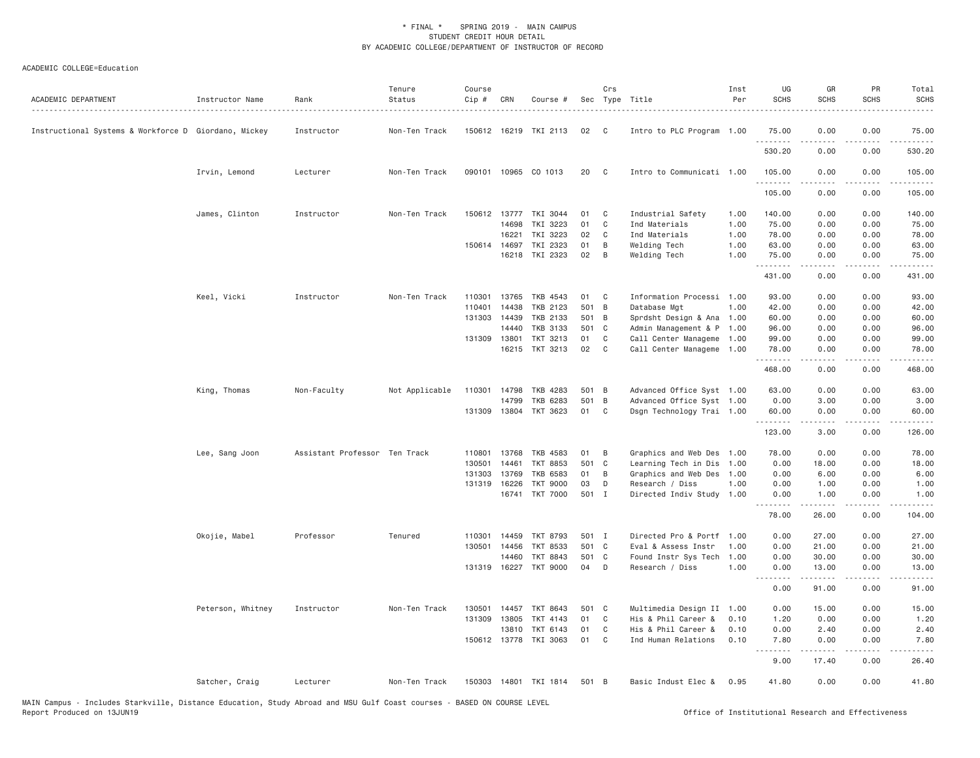| ACADEMIC DEPARTMENT                                  | Instructor Name   | Rank                          | Tenure<br>Status | Course<br>Cip # | CRN   | Course #                 |       | Crs            | Sec Type Title            | Inst<br>Per | UG<br><b>SCHS</b>  | GR<br><b>SCHS</b>   | PR<br><b>SCHS</b>                   | Total<br><b>SCHS</b> |
|------------------------------------------------------|-------------------|-------------------------------|------------------|-----------------|-------|--------------------------|-------|----------------|---------------------------|-------------|--------------------|---------------------|-------------------------------------|----------------------|
| Instructional Systems & Workforce D Giordano, Mickey |                   | Instructor                    | Non-Ten Track    |                 |       | 150612 16219 TKI 2113    | 02    | C <sub>c</sub> | Intro to PLC Program 1.00 |             | 75.00              | 0.00                | 0.00                                | 75.00                |
|                                                      |                   |                               |                  |                 |       |                          |       |                |                           |             | 530.20             | 0.00                | 0.00                                | 530.20               |
|                                                      | Irvin, Lemond     | Lecturer                      | Non-Ten Track    |                 |       | 090101 10965 CO 1013     | 20    | $\mathbf{C}$   | Intro to Communicati 1.00 |             | 105.00<br>.        | 0.00                | 0.00                                | 105.00               |
|                                                      |                   |                               |                  |                 |       |                          |       |                |                           |             | 105.00             | 0.00                | 0.00                                | 105.00               |
|                                                      | James, Clinton    | Instructor                    | Non-Ten Track    | 150612 13777    |       | TKI 3044                 | 01    | C              | Industrial Safety         | 1.00        | 140.00             | 0.00                | 0.00                                | 140.00               |
|                                                      |                   |                               |                  |                 | 14698 | TKI 3223                 | 01    | C              | Ind Materials             | 1.00        | 75.00              | 0.00                | 0.00                                | 75.00                |
|                                                      |                   |                               |                  |                 | 16221 | TKI 3223                 | 02    | C              | Ind Materials             | 1.00        | 78.00              | 0.00                | 0.00                                | 78.00                |
|                                                      |                   |                               |                  | 150614 14697    |       | TKI 2323                 | 01    | B              | Welding Tech              | 1.00        | 63.00              | 0.00                | 0.00                                | 63.00                |
|                                                      |                   |                               |                  |                 | 16218 | TKI 2323                 | 02    | B              | Welding Tech              | 1.00        | 75.00<br>.         | 0.00<br>.           | 0.00<br>$\sim$ $\sim$ $\sim$ $\sim$ | 75.00<br>.           |
|                                                      |                   |                               |                  |                 |       |                          |       |                |                           |             | 431.00             | 0.00                | 0.00                                | 431.00               |
|                                                      | Keel, Vicki       | Instructor                    | Non-Ten Track    | 110301          | 13765 | TKB 4543                 | 01    | C              | Information Processi 1.00 |             | 93.00              | 0.00                | 0.00                                | 93.00                |
|                                                      |                   |                               |                  | 110401          | 14438 | TKB 2123                 | 501 B |                | Database Mgt              | 1,00        | 42.00              | 0.00                | 0.00                                | 42.00                |
|                                                      |                   |                               |                  | 131303          | 14439 | TKB 2133                 | 501 B |                | Sprdsht Design & Ana 1.00 |             | 60.00              | 0.00                | 0.00                                | 60.00                |
|                                                      |                   |                               |                  |                 | 14440 | TKB 3133                 | 501 C |                | Admin Management & P 1.00 |             | 96.00              | 0.00                | 0.00                                | 96.00                |
|                                                      |                   |                               |                  | 131309 13801    |       | TKT 3213                 | 01    | C              | Call Center Manageme 1.00 |             | 99.00              | 0.00                | 0.00                                | 99.00                |
|                                                      |                   |                               |                  |                 | 16215 | TKT 3213                 | 02    | C              | Call Center Manageme 1.00 |             | 78.00<br>.         | 0.00<br>$- - - - -$ | 0.00<br>.                           | 78.00<br>.           |
|                                                      |                   |                               |                  |                 |       |                          |       |                |                           |             | 468.00             | 0.00                | 0.00                                | 468.00               |
|                                                      | King, Thomas      | Non-Faculty                   | Not Applicable   | 110301 14798    |       | TKB 4283                 | 501 B |                | Advanced Office Syst 1.00 |             | 63.00              | 0.00                | 0.00                                | 63.00                |
|                                                      |                   |                               |                  |                 | 14799 | TKB 6283                 | 501 B |                | Advanced Office Syst 1.00 |             | 0.00               | 3.00                | 0.00                                | 3.00                 |
|                                                      |                   |                               |                  | 131309 13804    |       | TKT 3623                 | 01    | C              | Dsgn Technology Trai 1.00 |             | 60.00<br>.         | 0.00                | 0.00                                | 60.00                |
|                                                      |                   |                               |                  |                 |       |                          |       |                |                           |             | 123.00             | .<br>3.00           | 0.00                                | .<br>126.00          |
|                                                      | Lee, Sang Joon    | Assistant Professor Ten Track |                  | 110801 13768    |       | TKB 4583                 | 01    | B              | Graphics and Web Des 1.00 |             | 78.00              | 0.00                | 0.00                                | 78.00                |
|                                                      |                   |                               |                  | 130501          | 14461 | <b>TKT 8853</b>          | 501 C |                | Learning Tech in Dis      | 1.00        | 0.00               | 18.00               | 0.00                                | 18.00                |
|                                                      |                   |                               |                  | 131303          | 13769 | <b>TKB 6583</b>          | 01    | B              | Graphics and Web Des      | 1.00        | 0.00               | 6.00                | 0.00                                | 6.00                 |
|                                                      |                   |                               |                  | 131319 16226    |       | <b>TKT 9000</b>          | 03    | D              | Research / Diss           | 1.00        | 0.00               | 1.00                | 0.00                                | 1.00                 |
|                                                      |                   |                               |                  |                 | 16741 | <b>TKT 7000</b>          | 501 I |                | Directed Indiv Study 1.00 |             | 0.00               | 1.00<br>.           | 0.00<br>$\frac{1}{2}$               | 1.00                 |
|                                                      |                   |                               |                  |                 |       |                          |       |                |                           |             | .<br>78.00         | 26.00               | 0.00                                | .<br>104.00          |
|                                                      | Okojie, Mabel     | Professor                     | Tenured          | 110301 14459    |       | TKT 8793                 | 501 I |                | Directed Pro & Portf      | 1.00        | 0.00               | 27.00               | 0.00                                | 27.00                |
|                                                      |                   |                               |                  | 130501          | 14456 | <b>TKT 8533</b>          | 501 C |                | Eval & Assess Instr       | 1,00        | 0.00               | 21.00               | 0.00                                | 21.00                |
|                                                      |                   |                               |                  |                 | 14460 | <b>TKT 8843</b>          | 501 C |                | Found Instr Sys Tech      | 1.00        | 0.00               | 30.00               | 0.00                                | 30.00                |
|                                                      |                   |                               |                  |                 |       | 131319 16227 TKT 9000    | 04    | D              | Research / Diss           | 1.00        | 0.00               | 13.00<br>.          | 0.00<br>$\sim$ $\sim$ $\sim$ $\sim$ | 13.00<br>.           |
|                                                      |                   |                               |                  |                 |       |                          |       |                |                           |             | .<br>0.00          | 91.00               | 0.00                                | 91.00                |
|                                                      | Peterson, Whitney | Instructor                    | Non-Ten Track    | 130501          | 14457 | TKT 8643                 | 501 C |                | Multimedia Design II 1.00 |             | 0.00               | 15.00               | 0.00                                | 15.00                |
|                                                      |                   |                               |                  | 131309 13805    |       | TKT 4143                 | 01    | $\mathbf{C}$   | His & Phil Career &       | 0.10        | 1.20               | 0.00                | 0.00                                | 1.20                 |
|                                                      |                   |                               |                  |                 | 13810 | TKT 6143                 | 01    | C              | His & Phil Career &       | 0.10        | 0.00               | 2.40                | 0.00                                | 2.40                 |
|                                                      |                   |                               |                  | 150612 13778    |       | TKI 3063                 | 01    | C              | Ind Human Relations       | 0.10        | 7.80<br>. <b>.</b> | 0.00<br>$- - - - -$ | 0.00                                | 7.80                 |
|                                                      |                   |                               |                  |                 |       |                          |       |                |                           |             | 9.00               | 17.40               | 0.00                                | 26.40                |
|                                                      | Satcher, Craig    | Lecturer                      | Non-Ten Track    |                 |       | 150303  14801  TKI  1814 | 501 B |                | Basic Indust Elec &       | 0.95        | 41.80              | 0.00                | 0.00                                | 41.80                |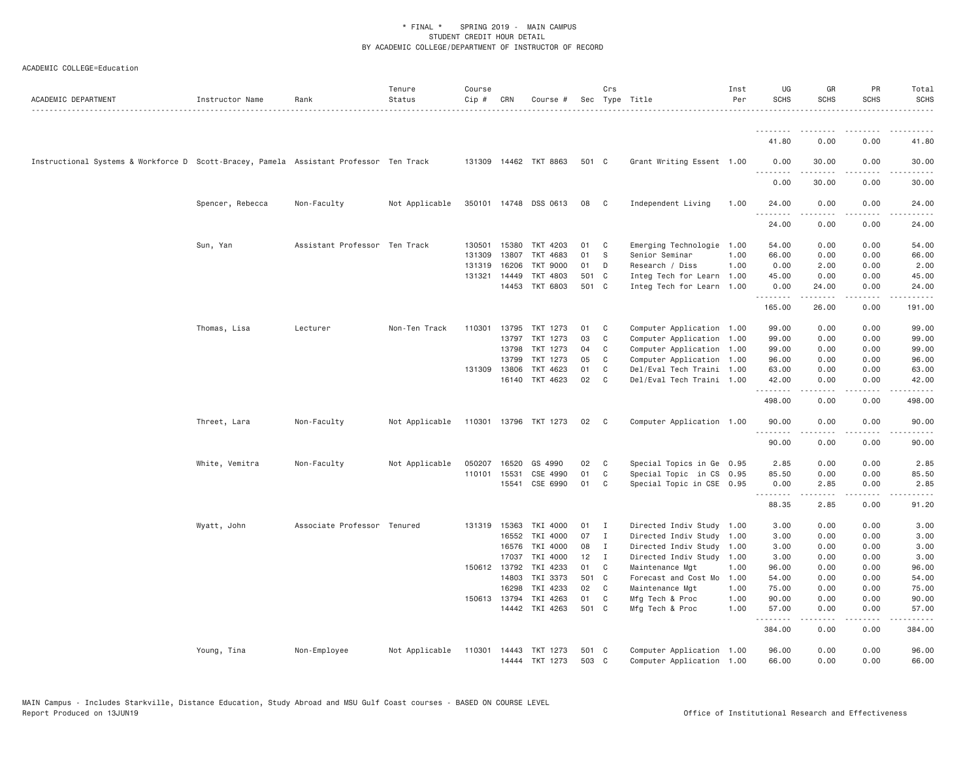| ACADEMIC DEPARTMENT                                                                    | Instructor Name  | Rank                          | Tenure<br>Status                     | Course<br>Cip # | CRN          | Course #              |       | Crs            | Sec Type Title            | Inst<br>Per | UG<br><b>SCHS</b> | GR<br><b>SCHS</b>                                                                                                                                             | PR<br><b>SCHS</b>                                                                             | Total<br><b>SCHS</b> |
|----------------------------------------------------------------------------------------|------------------|-------------------------------|--------------------------------------|-----------------|--------------|-----------------------|-------|----------------|---------------------------|-------------|-------------------|---------------------------------------------------------------------------------------------------------------------------------------------------------------|-----------------------------------------------------------------------------------------------|----------------------|
|                                                                                        |                  |                               |                                      |                 |              |                       |       |                |                           |             | <u>.</u>          |                                                                                                                                                               |                                                                                               |                      |
|                                                                                        |                  |                               |                                      |                 |              |                       |       |                |                           |             | 41.80             | 0.00                                                                                                                                                          | 0.00                                                                                          | 41.80                |
| Instructional Systems & Workforce D Scott-Bracey, Pamela Assistant Professor Ten Track |                  |                               |                                      |                 |              | 131309 14462 TKT 8863 | 501 C |                | Grant Writing Essent 1.00 |             | 0.00<br>.         | 30.00<br>$\frac{1}{2} \left( \frac{1}{2} \right) \left( \frac{1}{2} \right) \left( \frac{1}{2} \right) \left( \frac{1}{2} \right) \left( \frac{1}{2} \right)$ | 0.00                                                                                          | 30.00                |
|                                                                                        |                  |                               |                                      |                 |              |                       |       |                |                           |             | 0.00              | 30.00                                                                                                                                                         | 0.00                                                                                          | 30.00                |
|                                                                                        | Spencer, Rebecca | Non-Faculty                   | Not Applicable                       |                 |              | 350101 14748 DSS 0613 | 08    | - C            | Independent Living        | 1.00        | 24.00<br>.        | 0.00<br>.                                                                                                                                                     | 0.00<br>$\frac{1}{2} \frac{1}{2} \frac{1}{2} \frac{1}{2} \frac{1}{2} \frac{1}{2} \frac{1}{2}$ | 24.00<br>$\cdots$    |
|                                                                                        |                  |                               |                                      |                 |              |                       |       |                |                           |             | 24.00             | 0.00                                                                                                                                                          | 0.00                                                                                          | 24.00                |
|                                                                                        | Sun, Yan         | Assistant Professor Ten Track |                                      | 130501          | 15380        | TKT 4203              | 01    | C              | Emerging Technologie 1.00 |             | 54.00             | 0.00                                                                                                                                                          | 0.00                                                                                          | 54.00                |
|                                                                                        |                  |                               |                                      | 131309          | 13807        | TKT 4683              | 01    | - S            | Senior Seminar            | 1.00        | 66.00             | 0.00                                                                                                                                                          | 0.00                                                                                          | 66.00                |
|                                                                                        |                  |                               |                                      | 131319          | 16206        | <b>TKT 9000</b>       | 01    | D              | Research / Diss           | 1.00        | 0.00              | 2.00                                                                                                                                                          | 0.00                                                                                          | 2.00                 |
|                                                                                        |                  |                               |                                      |                 | 131321 14449 | TKT 4803              | 501 C |                | Integ Tech for Learn 1.00 |             | 45.00             | 0.00                                                                                                                                                          | 0.00                                                                                          | 45.00                |
|                                                                                        |                  |                               |                                      |                 |              | 14453 TKT 6803        | 501 C |                | Integ Tech for Learn 1.00 |             | 0.00<br>.         | 24.00<br>$- - - - -$                                                                                                                                          | 0.00<br>$\frac{1}{2}$                                                                         | 24.00<br>.           |
|                                                                                        |                  |                               |                                      |                 |              |                       |       |                |                           |             | 165.00            | 26.00                                                                                                                                                         | 0.00                                                                                          | 191.00               |
|                                                                                        | Thomas, Lisa     | Lecturer                      | Non-Ten Track                        |                 | 110301 13795 | TKT 1273              | 01    | $\mathbf{C}$   | Computer Application 1.00 |             | 99.00             | 0.00                                                                                                                                                          | 0.00                                                                                          | 99.00                |
|                                                                                        |                  |                               |                                      |                 | 13797        | TKT 1273              | 03    | C              | Computer Application 1.00 |             | 99.00             | 0.00                                                                                                                                                          | 0.00                                                                                          | 99.00                |
|                                                                                        |                  |                               |                                      |                 | 13798        | TKT 1273              | 04    | C              | Computer Application 1.00 |             | 99.00             | 0.00                                                                                                                                                          | 0.00                                                                                          | 99.00                |
|                                                                                        |                  |                               |                                      |                 | 13799        | TKT 1273              | 05    | C              | Computer Application 1.00 |             | 96.00             | 0.00                                                                                                                                                          | 0.00                                                                                          | 96.00                |
|                                                                                        |                  |                               |                                      |                 | 131309 13806 | TKT 4623              | 01    | C              | Del/Eval Tech Traini 1.00 |             | 63,00             | 0.00                                                                                                                                                          | 0.00                                                                                          | 63.00                |
|                                                                                        |                  |                               |                                      |                 |              | 16140 TKT 4623        | 02    | $\mathbf{C}$   | Del/Eval Tech Traini 1.00 |             | 42.00<br>.        | 0.00<br>.                                                                                                                                                     | 0.00<br>$\sim$ $\sim$ $\sim$ $\sim$                                                           | 42.00<br>.           |
|                                                                                        |                  |                               |                                      |                 |              |                       |       |                |                           |             | 498.00            | 0.00                                                                                                                                                          | 0.00                                                                                          | 498.00               |
|                                                                                        | Threet, Lara     | Non-Faculty                   | Not Applicable 110301 13796 TKT 1273 |                 |              |                       | 02    | C              | Computer Application 1.00 |             | 90.00             | 0.00                                                                                                                                                          | 0.00                                                                                          | 90.00                |
|                                                                                        |                  |                               |                                      |                 |              |                       |       |                |                           |             | .<br>90.00        | $\frac{1}{2} \left( \frac{1}{2} \right) \left( \frac{1}{2} \right) \left( \frac{1}{2} \right) \left( \frac{1}{2} \right) \left( \frac{1}{2} \right)$<br>0.00  | .<br>0.00                                                                                     | .<br>90.00           |
|                                                                                        | White, Vemitra   | Non-Faculty                   | Not Applicable                       | 050207          | 16520        | GS 4990               | 02    | $\mathbf{C}$   | Special Topics in Ge 0.95 |             | 2.85              | 0.00                                                                                                                                                          | 0.00                                                                                          | 2.85                 |
|                                                                                        |                  |                               |                                      | 110101          | 15531        | CSE 4990              | 01    | C              | Special Topic in CS 0.95  |             | 85.50             | 0.00                                                                                                                                                          | 0.00                                                                                          | 85.50                |
|                                                                                        |                  |                               |                                      |                 |              | 15541 CSE 6990        | 01    | C              | Special Topic in CSE 0.95 |             | 0.00<br>.         | 2.85<br>$\frac{1}{2} \left( \frac{1}{2} \right) \left( \frac{1}{2} \right) \left( \frac{1}{2} \right) \left( \frac{1}{2} \right) \left( \frac{1}{2} \right)$  | 0.00<br>.                                                                                     | 2.85<br>.            |
|                                                                                        |                  |                               |                                      |                 |              |                       |       |                |                           |             | 88.35             | 2.85                                                                                                                                                          | 0.00                                                                                          | 91.20                |
|                                                                                        | Wyatt, John      | Associate Professor Tenured   |                                      |                 | 131319 15363 | TKI 4000              | 01    | $\blacksquare$ | Directed Indiv Study 1.00 |             | 3.00              | 0.00                                                                                                                                                          | 0.00                                                                                          | 3.00                 |
|                                                                                        |                  |                               |                                      |                 | 16552        | TKI 4000              | 07    | I              | Directed Indiv Study 1.00 |             | 3.00              | 0.00                                                                                                                                                          | 0.00                                                                                          | 3.00                 |
|                                                                                        |                  |                               |                                      |                 | 16576        | TKI 4000              | 08    | $\mathbf{I}$   | Directed Indiv Study 1.00 |             | 3.00              | 0.00                                                                                                                                                          | 0.00                                                                                          | 3.00                 |
|                                                                                        |                  |                               |                                      |                 | 17037        | TKI 4000              | 12    | $\mathbf{I}$   | Directed Indiv Study 1.00 |             | 3.00              | 0.00                                                                                                                                                          | 0.00                                                                                          | 3.00                 |
|                                                                                        |                  |                               |                                      |                 | 150612 13792 | TKI 4233              | 01    | C              | Maintenance Mgt           | 1.00        | 96.00             | 0.00                                                                                                                                                          | 0.00                                                                                          | 96.00                |
|                                                                                        |                  |                               |                                      |                 | 14803        | TKI 3373              | 501 C |                | Forecast and Cost Mo      | 1.00        | 54.00             | 0.00                                                                                                                                                          | 0.00                                                                                          | 54.00                |
|                                                                                        |                  |                               |                                      |                 | 16298        | TKI 4233              | 02    | $\mathbf{C}$   | Maintenance Mgt           | 1.00        | 75.00             | 0.00                                                                                                                                                          | 0.00                                                                                          | 75.00                |
|                                                                                        |                  |                               |                                      | 150613 13794    |              | TKI 4263              | 01    | C              | Mfg Tech & Proc           | 1.00        | 90.00             | 0.00                                                                                                                                                          | 0.00                                                                                          | 90.00                |
|                                                                                        |                  |                               |                                      |                 |              | 14442 TKI 4263        | 501 C |                | Mfg Tech & Proc           | 1.00        | 57.00<br>.        | 0.00<br>$- - - - -$                                                                                                                                           | 0.00<br>.                                                                                     | 57.00<br>.           |
|                                                                                        |                  |                               |                                      |                 |              |                       |       |                |                           |             | 384.00            | 0.00                                                                                                                                                          | 0.00                                                                                          | 384.00               |
|                                                                                        | Young, Tina      | Non-Employee                  | Not Applicable                       | 110301 14443    |              | TKT 1273              | 501 C |                | Computer Application 1.00 |             | 96.00             | 0.00                                                                                                                                                          | 0.00                                                                                          | 96.00                |
|                                                                                        |                  |                               |                                      |                 |              | 14444 TKT 1273        | 503 C |                | Computer Application 1.00 |             | 66.00             | 0.00                                                                                                                                                          | 0.00                                                                                          | 66.00                |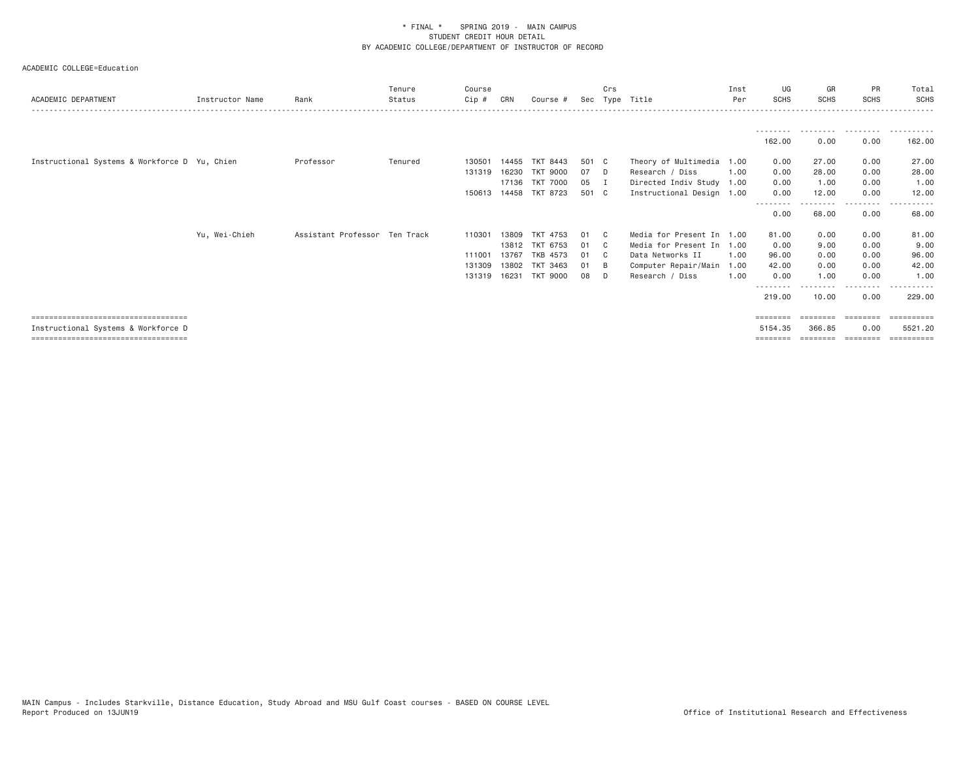| 162.00<br>0.00<br>0.00<br>162.00<br>Instructional Systems & Workforce D Yu, Chien<br>27.00<br>Theory of Multimedia 1.00<br>0.00<br>Professor<br>Tenured<br>TKT 8443<br>501 C<br>27.00<br>0.00<br>130501<br>14455<br>28.00<br>07<br>Research / Diss<br>0.00<br><b>TKT 9000</b><br>1,00<br>28.00<br>0.00<br>131319<br>16230<br>D.<br>1.00<br>17136<br><b>TKT 7000</b><br>0.00<br>05<br>Directed Indiv Study 1.00<br>1.00<br>0.00<br>I<br>TKT 8723<br>501 C<br>Instructional Design 1.00<br>0.00<br>12.00<br>0.00<br>12.00<br>150613 14458<br>--------<br>------<br>.<br>0.00<br>68.00<br>0.00<br>68.00<br>Assistant Professor Ten Track<br>Media for Present In 1.00<br>0.00<br>81.00<br>Yu, Wei-Chieh<br>TKT 4753<br>81.00<br>0.00<br>110301<br>13809<br>01<br>- C<br>9.00<br>TKT 6753<br>Media for Present In 1.00<br>0.00<br>9.00<br>13812<br>0.00<br>01<br>C.<br>96.00<br><b>TKB 4573</b><br>Data Networks II<br>96.00<br>0.00<br>111001<br>1.00<br>0.00<br>13767<br>01<br>- C<br>42.00<br><b>TKT 3463</b><br>Computer Repair/Main<br>42.00<br>0.00<br>0.00<br>131309<br>1.00<br>13802<br>01<br>- B<br>0.00<br>1.00<br>16231<br><b>TKT 9000</b><br>Research / Diss<br>1.00<br>1.00<br>0.00<br>131319<br>08<br>n.<br>0.00<br>229.00<br>219,00<br>10.00<br>=====================================<br>$=$ = = = = = = =<br>========<br>========<br>Instructional Systems & Workforce D<br>5521.20<br>5154.35<br>366.85<br>0.00<br>=====================================<br>========== | ACADEMIC DEPARTMENT | Instructor Name | Rank | Tenure<br>Status | Course<br>Cip # | CRN | Course # | Sec | Crs | Type Title | Inst<br>Per | UG<br><b>SCHS</b> | GR<br>SCHS | PR<br><b>SCHS</b> | Total<br><b>SCHS</b> |
|-------------------------------------------------------------------------------------------------------------------------------------------------------------------------------------------------------------------------------------------------------------------------------------------------------------------------------------------------------------------------------------------------------------------------------------------------------------------------------------------------------------------------------------------------------------------------------------------------------------------------------------------------------------------------------------------------------------------------------------------------------------------------------------------------------------------------------------------------------------------------------------------------------------------------------------------------------------------------------------------------------------------------------------------------------------------------------------------------------------------------------------------------------------------------------------------------------------------------------------------------------------------------------------------------------------------------------------------------------------------------------------------------------------------------------------------------------------------------------------|---------------------|-----------------|------|------------------|-----------------|-----|----------|-----|-----|------------|-------------|-------------------|------------|-------------------|----------------------|
|                                                                                                                                                                                                                                                                                                                                                                                                                                                                                                                                                                                                                                                                                                                                                                                                                                                                                                                                                                                                                                                                                                                                                                                                                                                                                                                                                                                                                                                                                     |                     |                 |      |                  |                 |     |          |     |     |            |             |                   |            |                   |                      |
|                                                                                                                                                                                                                                                                                                                                                                                                                                                                                                                                                                                                                                                                                                                                                                                                                                                                                                                                                                                                                                                                                                                                                                                                                                                                                                                                                                                                                                                                                     |                     |                 |      |                  |                 |     |          |     |     |            |             |                   |            |                   |                      |
|                                                                                                                                                                                                                                                                                                                                                                                                                                                                                                                                                                                                                                                                                                                                                                                                                                                                                                                                                                                                                                                                                                                                                                                                                                                                                                                                                                                                                                                                                     |                     |                 |      |                  |                 |     |          |     |     |            |             |                   |            |                   |                      |
|                                                                                                                                                                                                                                                                                                                                                                                                                                                                                                                                                                                                                                                                                                                                                                                                                                                                                                                                                                                                                                                                                                                                                                                                                                                                                                                                                                                                                                                                                     |                     |                 |      |                  |                 |     |          |     |     |            |             |                   |            |                   |                      |
|                                                                                                                                                                                                                                                                                                                                                                                                                                                                                                                                                                                                                                                                                                                                                                                                                                                                                                                                                                                                                                                                                                                                                                                                                                                                                                                                                                                                                                                                                     |                     |                 |      |                  |                 |     |          |     |     |            |             |                   |            |                   |                      |
|                                                                                                                                                                                                                                                                                                                                                                                                                                                                                                                                                                                                                                                                                                                                                                                                                                                                                                                                                                                                                                                                                                                                                                                                                                                                                                                                                                                                                                                                                     |                     |                 |      |                  |                 |     |          |     |     |            |             |                   |            |                   |                      |
|                                                                                                                                                                                                                                                                                                                                                                                                                                                                                                                                                                                                                                                                                                                                                                                                                                                                                                                                                                                                                                                                                                                                                                                                                                                                                                                                                                                                                                                                                     |                     |                 |      |                  |                 |     |          |     |     |            |             |                   |            |                   |                      |
|                                                                                                                                                                                                                                                                                                                                                                                                                                                                                                                                                                                                                                                                                                                                                                                                                                                                                                                                                                                                                                                                                                                                                                                                                                                                                                                                                                                                                                                                                     |                     |                 |      |                  |                 |     |          |     |     |            |             |                   |            |                   |                      |
|                                                                                                                                                                                                                                                                                                                                                                                                                                                                                                                                                                                                                                                                                                                                                                                                                                                                                                                                                                                                                                                                                                                                                                                                                                                                                                                                                                                                                                                                                     |                     |                 |      |                  |                 |     |          |     |     |            |             |                   |            |                   |                      |
|                                                                                                                                                                                                                                                                                                                                                                                                                                                                                                                                                                                                                                                                                                                                                                                                                                                                                                                                                                                                                                                                                                                                                                                                                                                                                                                                                                                                                                                                                     |                     |                 |      |                  |                 |     |          |     |     |            |             |                   |            |                   |                      |
|                                                                                                                                                                                                                                                                                                                                                                                                                                                                                                                                                                                                                                                                                                                                                                                                                                                                                                                                                                                                                                                                                                                                                                                                                                                                                                                                                                                                                                                                                     |                     |                 |      |                  |                 |     |          |     |     |            |             |                   |            |                   |                      |
|                                                                                                                                                                                                                                                                                                                                                                                                                                                                                                                                                                                                                                                                                                                                                                                                                                                                                                                                                                                                                                                                                                                                                                                                                                                                                                                                                                                                                                                                                     |                     |                 |      |                  |                 |     |          |     |     |            |             |                   |            |                   |                      |
|                                                                                                                                                                                                                                                                                                                                                                                                                                                                                                                                                                                                                                                                                                                                                                                                                                                                                                                                                                                                                                                                                                                                                                                                                                                                                                                                                                                                                                                                                     |                     |                 |      |                  |                 |     |          |     |     |            |             |                   |            |                   |                      |
|                                                                                                                                                                                                                                                                                                                                                                                                                                                                                                                                                                                                                                                                                                                                                                                                                                                                                                                                                                                                                                                                                                                                                                                                                                                                                                                                                                                                                                                                                     |                     |                 |      |                  |                 |     |          |     |     |            |             |                   |            |                   |                      |
|                                                                                                                                                                                                                                                                                                                                                                                                                                                                                                                                                                                                                                                                                                                                                                                                                                                                                                                                                                                                                                                                                                                                                                                                                                                                                                                                                                                                                                                                                     |                     |                 |      |                  |                 |     |          |     |     |            |             |                   |            |                   |                      |
|                                                                                                                                                                                                                                                                                                                                                                                                                                                                                                                                                                                                                                                                                                                                                                                                                                                                                                                                                                                                                                                                                                                                                                                                                                                                                                                                                                                                                                                                                     |                     |                 |      |                  |                 |     |          |     |     |            |             |                   |            |                   |                      |
|                                                                                                                                                                                                                                                                                                                                                                                                                                                                                                                                                                                                                                                                                                                                                                                                                                                                                                                                                                                                                                                                                                                                                                                                                                                                                                                                                                                                                                                                                     |                     |                 |      |                  |                 |     |          |     |     |            |             |                   |            |                   |                      |
|                                                                                                                                                                                                                                                                                                                                                                                                                                                                                                                                                                                                                                                                                                                                                                                                                                                                                                                                                                                                                                                                                                                                                                                                                                                                                                                                                                                                                                                                                     |                     |                 |      |                  |                 |     |          |     |     |            |             |                   |            |                   |                      |
|                                                                                                                                                                                                                                                                                                                                                                                                                                                                                                                                                                                                                                                                                                                                                                                                                                                                                                                                                                                                                                                                                                                                                                                                                                                                                                                                                                                                                                                                                     |                     |                 |      |                  |                 |     |          |     |     |            |             |                   |            |                   |                      |
|                                                                                                                                                                                                                                                                                                                                                                                                                                                                                                                                                                                                                                                                                                                                                                                                                                                                                                                                                                                                                                                                                                                                                                                                                                                                                                                                                                                                                                                                                     |                     |                 |      |                  |                 |     |          |     |     |            |             |                   |            |                   |                      |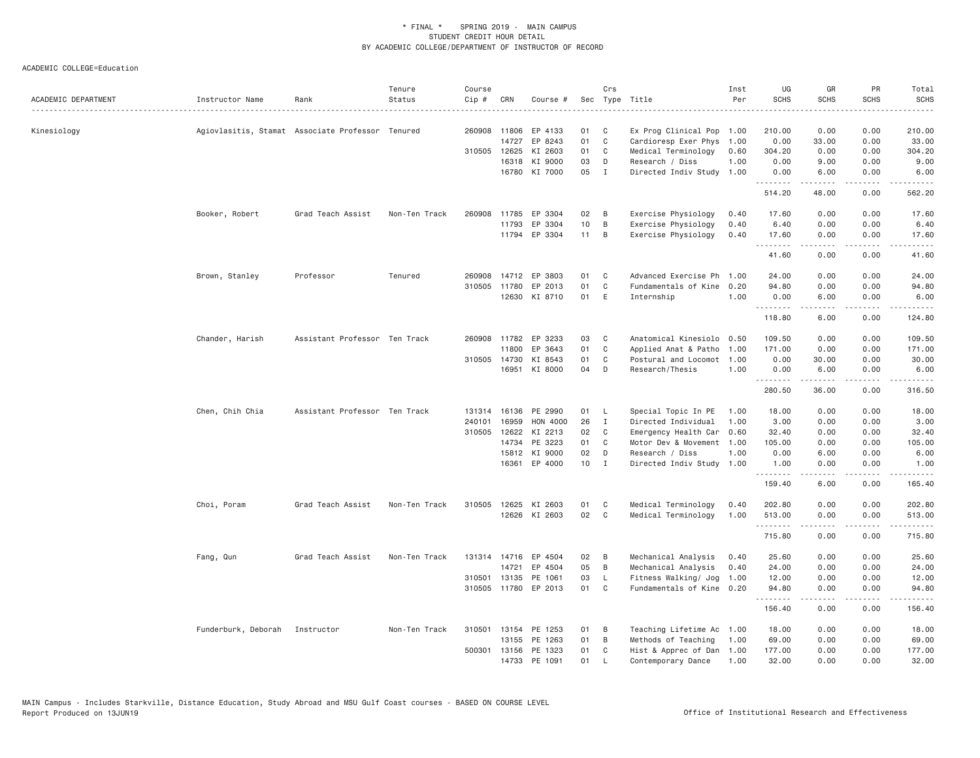| ACADEMIC DEPARTMENT | Instructor Name                                  | Rank                          | Tenure<br>Status | Course<br>Cip # | CRN   | Course #             |    | Crs            | Sec Type Title            | Inst<br>Per | UG<br><b>SCHS</b> | GR<br><b>SCHS</b>                                                                                                                                            | PR<br><b>SCHS</b>                   | Total<br><b>SCHS</b>                        |
|---------------------|--------------------------------------------------|-------------------------------|------------------|-----------------|-------|----------------------|----|----------------|---------------------------|-------------|-------------------|--------------------------------------------------------------------------------------------------------------------------------------------------------------|-------------------------------------|---------------------------------------------|
| Kinesiology         | Agiovlasitis, Stamat Associate Professor Tenured |                               |                  | 260908          | 11806 | EP 4133              | 01 | C              | Ex Prog Clinical Pop 1.00 |             | 210.00            | 0.00                                                                                                                                                         | 0.00                                | 210.00                                      |
|                     |                                                  |                               |                  |                 | 14727 | EP 8243              | 01 | $\mathbb C$    | Cardioresp Exer Phys      | 1.00        | 0.00              | 33.00                                                                                                                                                        | 0.00                                | 33.00                                       |
|                     |                                                  |                               |                  | 310505          | 12625 | KI 2603              | 01 | C              | Medical Terminology       | 0.60        | 304.20            | 0.00                                                                                                                                                         | 0.00                                | 304.20                                      |
|                     |                                                  |                               |                  |                 | 16318 | KI 9000              | 03 | D              | Research / Diss           | 1.00        | 0.00              | 9.00                                                                                                                                                         | 0.00                                | 9.00                                        |
|                     |                                                  |                               |                  |                 |       | 16780 KI 7000        | 05 | I              | Directed Indiv Study 1.00 |             | 0.00<br>.         | 6.00<br>$\frac{1}{2} \left( \frac{1}{2} \right) \left( \frac{1}{2} \right) \left( \frac{1}{2} \right) \left( \frac{1}{2} \right) \left( \frac{1}{2} \right)$ | 0.00<br>$\sim$ $\sim$ $\sim$ $\sim$ | 6.00<br>.                                   |
|                     |                                                  |                               |                  |                 |       |                      |    |                |                           |             | 514.20            | 48.00                                                                                                                                                        | 0.00                                | 562.20                                      |
|                     | Booker, Robert                                   | Grad Teach Assist             | Non-Ten Track    | 260908          | 11785 | EP 3304              | 02 | B              | Exercise Physiology       | 0.40        | 17.60             | 0.00                                                                                                                                                         | 0.00                                | 17.60                                       |
|                     |                                                  |                               |                  |                 | 11793 | EP 3304              | 10 | В              | Exercise Physiology       | 0.40        | 6.40              | 0.00                                                                                                                                                         | 0.00                                | 6.40                                        |
|                     |                                                  |                               |                  |                 |       | 11794 EP 3304        | 11 | B              | Exercise Physiology       | 0.40        | 17.60<br>.        | 0.00<br>.                                                                                                                                                    | 0.00<br>د د د د                     | 17.60<br>$\sim$ $\sim$ $\sim$ $\sim$ $\sim$ |
|                     |                                                  |                               |                  |                 |       |                      |    |                |                           |             | 41.60             | 0.00                                                                                                                                                         | 0.00                                | 41.60                                       |
|                     | Brown, Stanley                                   | Professor                     | Tenured          | 260908          |       | 14712 EP 3803        | 01 | C              | Advanced Exercise Ph      | 1.00        | 24.00             | 0.00                                                                                                                                                         | 0.00                                | 24.00                                       |
|                     |                                                  |                               |                  | 310505          | 11780 | EP 2013              | 01 | C              | Fundamentals of Kine      | 0.20        | 94.80             | 0.00                                                                                                                                                         | 0.00                                | 94.80                                       |
|                     |                                                  |                               |                  |                 |       | 12630 KI 8710        | 01 | E              | Internship                | 1.00        | 0.00<br><b></b>   | 6.00<br>.                                                                                                                                                    | 0.00<br>.                           | 6.00<br>.                                   |
|                     |                                                  |                               |                  |                 |       |                      |    |                |                           |             | 118.80            | 6.00                                                                                                                                                         | 0.00                                | 124.80                                      |
|                     | Chander, Harish                                  | Assistant Professor Ten Track |                  | 260908          | 11782 | EP 3233              | 03 | C              | Anatomical Kinesiolo 0.50 |             | 109.50            | 0.00                                                                                                                                                         | 0.00                                | 109.50                                      |
|                     |                                                  |                               |                  |                 | 11800 | EP 3643              | 01 | C              | Applied Anat & Patho      | 1.00        | 171.00            | 0.00                                                                                                                                                         | 0.00                                | 171.00                                      |
|                     |                                                  |                               |                  | 310505 14730    |       | KI 8543              | 01 | C              | Postural and Locomot      | 1.00        | 0.00              | 30.00                                                                                                                                                        | 0.00                                | 30.00                                       |
|                     |                                                  |                               |                  |                 |       | 16951 KI 8000        | 04 | D              | Research/Thesis           | 1.00        | 0.00<br>.         | 6.00<br>. <u>.</u> .                                                                                                                                         | 0.00<br>.                           | 6.00<br>.                                   |
|                     |                                                  |                               |                  |                 |       |                      |    |                |                           |             | 280.50            | 36.00                                                                                                                                                        | 0.00                                | 316.50                                      |
|                     | Chen, Chih Chia                                  | Assistant Professor Ten Track |                  | 131314          |       | 16136 PE 2990        | 01 | L.             | Special Topic In PE       | 1.00        | 18.00             | 0.00                                                                                                                                                         | 0.00                                | 18.00                                       |
|                     |                                                  |                               |                  | 240101          | 16959 | HON 4000             | 26 | $\mathbf{I}$   | Directed Individual       | 1.00        | 3.00              | 0.00                                                                                                                                                         | 0.00                                | 3.00                                        |
|                     |                                                  |                               |                  | 310505          | 12622 | KI 2213              | 02 | C              | Emergency Health Car      | 0.60        | 32.40             | 0.00                                                                                                                                                         | 0.00                                | 32.40                                       |
|                     |                                                  |                               |                  |                 | 14734 | PE 3223              | 01 | C              | Motor Dev & Movement 1.00 |             | 105.00            | 0.00                                                                                                                                                         | 0.00                                | 105.00                                      |
|                     |                                                  |                               |                  |                 |       | 15812 KI 9000        | 02 | D              | Research / Diss           | 1.00        | 0.00              | 6.00                                                                                                                                                         | 0.00                                | 6.00                                        |
|                     |                                                  |                               |                  |                 |       | 16361 EP 4000        | 10 | $\mathbf{I}$   | Directed Indiv Study      | 1.00        | 1.00<br>.         | 0.00<br>-----                                                                                                                                                | 0.00<br>.                           | 1.00                                        |
|                     |                                                  |                               |                  |                 |       |                      |    |                |                           |             | 159.40            | 6.00                                                                                                                                                         | 0.00                                | 165.40                                      |
|                     | Choi, Poram                                      | Grad Teach Assist             | Non-Ten Track    | 310505          | 12625 | KI 2603              | 01 | C              | Medical Terminology       | 0.40        | 202.80            | 0.00                                                                                                                                                         | 0.00                                | 202.80                                      |
|                     |                                                  |                               |                  |                 |       | 12626 KI 2603        | 02 | $\mathbb C$    | Medical Terminology       | 1.00        | 513.00            | 0.00                                                                                                                                                         | 0.00                                | 513.00                                      |
|                     |                                                  |                               |                  |                 |       |                      |    |                |                           |             | .<br>715.80       | .<br>0.00                                                                                                                                                    | .<br>0.00                           | .<br>715.80                                 |
|                     | Fang, Qun                                        | Grad Teach Assist             | Non-Ten Track    | 131314          |       | 14716 EP 4504        | 02 | B              | Mechanical Analysis       | 0.40        | 25.60             | 0.00                                                                                                                                                         | 0.00                                | 25,60                                       |
|                     |                                                  |                               |                  |                 | 14721 | EP 4504              | 05 | В              | Mechanical Analysis       | 0.40        | 24.00             | 0.00                                                                                                                                                         | 0.00                                | 24.00                                       |
|                     |                                                  |                               |                  | 310501          | 13135 | PE 1061              | 03 | L.             | Fitness Walking/ Jog      | 1.00        | 12.00             | 0.00                                                                                                                                                         | 0.00                                | 12.00                                       |
|                     |                                                  |                               |                  |                 |       | 310505 11780 EP 2013 | 01 | C              | Fundamentals of Kine 0.20 |             | 94.80<br>.        | 0.00<br>.                                                                                                                                                    | 0.00<br>.                           | 94.80<br>.                                  |
|                     |                                                  |                               |                  |                 |       |                      |    |                |                           |             | 156.40            | 0.00                                                                                                                                                         | 0.00                                | 156.40                                      |
|                     | Funderburk, Deborah Instructor                   |                               | Non-Ten Track    |                 |       | 310501 13154 PE 1253 | 01 | B              | Teaching Lifetime Ac 1.00 |             | 18.00             | 0.00                                                                                                                                                         | 0.00                                | 18.00                                       |
|                     |                                                  |                               |                  |                 |       | 13155 PE 1263        | 01 | $\overline{B}$ | Methods of Teaching       | 1.00        | 69.00             | 0.00                                                                                                                                                         | 0.00                                | 69.00                                       |
|                     |                                                  |                               |                  | 500301          | 13156 | PE 1323              | 01 | C              | Hist & Apprec of Dan 1.00 |             | 177.00            | 0.00                                                                                                                                                         | 0.00                                | 177.00                                      |
|                     |                                                  |                               |                  |                 |       | 14733 PE 1091        | 01 | <b>L</b>       | Contemporary Dance        | 1.00        | 32.00             | 0.00                                                                                                                                                         | 0.00                                | 32.00                                       |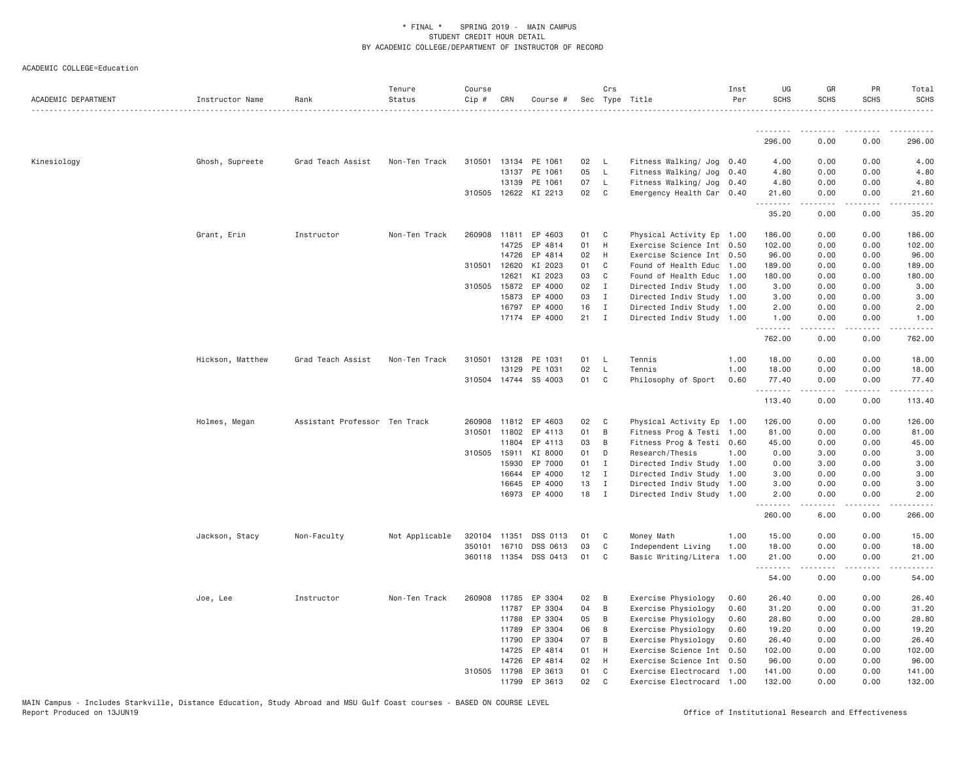| ACADEMIC DEPARTMENT | Instructor Name  | Rank                          | Tenure<br>Status | Course<br>Cip # | CRN                   | Course #             |          | Crs                      | Sec Type Title                                         | Inst<br>Per | UG<br><b>SCHS</b> | GR<br>SCHS       | PR<br><b>SCHS</b> | Total<br><b>SCHS</b> |
|---------------------|------------------|-------------------------------|------------------|-----------------|-----------------------|----------------------|----------|--------------------------|--------------------------------------------------------|-------------|-------------------|------------------|-------------------|----------------------|
|                     |                  |                               |                  |                 |                       |                      |          |                          |                                                        |             |                   |                  |                   |                      |
|                     |                  |                               |                  |                 |                       |                      |          |                          |                                                        |             | 296.00            | 0.00             | 0.00              | 296.00               |
| Kinesiology         | Ghosh, Supreete  | Grad Teach Assist             | Non-Ten Track    | 310501          |                       | 13134 PE 1061        | 02       | $\mathsf{L}$             | Fitness Walking/ Jog 0.40                              |             | 4.00              | 0.00             | 0.00              | 4.00                 |
|                     |                  |                               |                  |                 | 13137                 | PE 1061              | 05       | $\mathsf{L}$             | Fitness Walking/ Jog                                   | 0.40        | 4.80              | 0.00             | 0.00              | 4.80                 |
|                     |                  |                               |                  |                 | 13139                 | PE 1061              | 07       | $\mathsf{L}$             | Fitness Walking/ Jog 0.40                              |             | 4.80              | 0.00             | 0.00              | 4.80                 |
|                     |                  |                               |                  |                 |                       | 310505 12622 KI 2213 | 02       | C <sub>1</sub>           | Emergency Health Car 0.40                              |             | 21.60<br>.        | 0.00<br>.        | 0.00              | 21.60<br>.           |
|                     |                  |                               |                  |                 |                       |                      |          |                          |                                                        |             | 35.20             | 0.00             | 0.00              | 35.20                |
|                     | Grant, Erin      | Instructor                    | Non-Ten Track    | 260908          | 11811                 | EP 4603              | 01       | $\mathbf{C}$             | Physical Activity Ep 1.00                              |             | 186.00            | 0.00             | 0.00              | 186.00               |
|                     |                  |                               |                  |                 | 14725                 | EP 4814              | 01       | H                        | Exercise Science Int 0.50                              |             | 102.00            | 0.00             | 0.00              | 102.00               |
|                     |                  |                               |                  |                 | 14726                 | EP 4814              | 02       | H                        | Exercise Science Int 0.50                              |             | 96.00             | 0.00             | 0.00              | 96.00                |
|                     |                  |                               |                  | 310501          | 12620                 | KI 2023              | 01       | C                        | Found of Health Educ 1.00                              |             | 189.00            | 0.00             | 0.00              | 189.00               |
|                     |                  |                               |                  |                 | 12621                 | KI 2023              | 03       | C                        | Found of Health Educ 1.00                              |             | 180.00            | 0.00             | 0.00              | 180.00               |
|                     |                  |                               |                  |                 | 310505 15872          | EP 4000              | 02       | $\blacksquare$           | Directed Indiv Study 1.00                              |             | 3.00              | 0.00             | 0.00              | 3.00                 |
|                     |                  |                               |                  |                 | 15873                 | EP 4000              | 03       | $\mathbf{I}$             | Directed Indiv Study 1.00                              |             | 3.00              | 0.00             | 0.00              | 3.00                 |
|                     |                  |                               |                  |                 | 16797                 | EP 4000              | 16       | $\mathbf{I}$             | Directed Indiv Study 1.00                              |             | 2.00              | 0.00             | 0.00              | 2.00                 |
|                     |                  |                               |                  |                 |                       | 17174 EP 4000        | 21       | $\mathbf{I}$             | Directed Indiv Study 1.00                              |             | 1.00<br>.         | 0.00<br><u>.</u> | 0.00<br>.         | 1.00<br>.            |
|                     |                  |                               |                  |                 |                       |                      |          |                          |                                                        |             | 762.00            | 0.00             | 0.00              | 762.00               |
|                     | Hickson, Matthew | Grad Teach Assist             | Non-Ten Track    | 310501          | 13128                 | PE 1031              | 01       | $\overline{\phantom{a}}$ | Tennis                                                 | 1.00        | 18.00             | 0.00             | 0.00              | 18.00                |
|                     |                  |                               |                  |                 | 13129                 | PE 1031              | 02       | - L                      | Tennis                                                 | 1.00        | 18.00             | 0.00             | 0.00              | 18.00                |
|                     |                  |                               |                  |                 |                       | 310504 14744 SS 4003 | 01       | $\mathbf{C}$             | Philosophy of Sport                                    | 0.60        | 77.40<br>.        | 0.00<br>.        | 0.00<br>.         | 77.40<br>.           |
|                     |                  |                               |                  |                 |                       |                      |          |                          |                                                        |             | 113.40            | 0.00             | 0.00              | 113.40               |
|                     | Holmes, Megan    | Assistant Professor Ten Track |                  | 260908          | 11812                 | EP 4603              | 02       | $\mathbf{C}$             | Physical Activity Ep 1.00                              |             | 126.00            | 0.00             | 0.00              | 126.00               |
|                     |                  |                               |                  | 310501          | 11802                 | EP 4113              | 01       | B                        | Fitness Prog & Testi 1.00                              |             | 81.00             | 0.00             | 0.00              | 81.00                |
|                     |                  |                               |                  |                 | 11804                 | EP 4113              | 03       | B                        | Fitness Prog & Testi 0.60                              |             | 45.00             | 0.00             | 0.00              | 45.00                |
|                     |                  |                               |                  | 310505 15911    |                       | KI 8000              | 01       | D                        | Research/Thesis                                        | 1.00        | 0.00              | 3.00             | 0.00              | 3.00                 |
|                     |                  |                               |                  |                 | 15930                 | EP 7000              | 01 I     |                          | Directed Indiv Study 1.00                              |             | 0.00              | 3.00             | 0.00              | 3.00                 |
|                     |                  |                               |                  |                 | 16644                 | EP 4000              | 12       | $\mathbf{I}$             | Directed Indiv Study 1.00                              |             | 3.00              | 0.00             | 0.00              | 3.00                 |
|                     |                  |                               |                  |                 | 16645                 | EP 4000              | 13       | $\mathbf{I}$             | Directed Indiv Study 1.00                              |             | 3.00              | 0.00             | 0.00              | 3.00                 |
|                     |                  |                               |                  |                 |                       | 16973 EP 4000        | 18       | $\mathbf{I}$             | Directed Indiv Study 1.00                              |             | 2.00              | 0.00             | 0.00              | 2.00                 |
|                     |                  |                               |                  |                 |                       |                      |          |                          |                                                        |             | 260.00            | 6.00             | 0.00              | 266.00               |
|                     | Jackson, Stacy   | Non-Faculty                   | Not Applicable   | 320104          | 11351                 | DSS 0113             | 01       | $\mathbf{C}$             | Money Math                                             | 1.00        | 15.00             | 0.00             | 0.00              | 15.00                |
|                     |                  |                               |                  | 350101          | 16710                 | DSS 0613             | 03       | C                        | Independent Living                                     | 1.00        | 18.00             | 0.00             | 0.00              | 18.00                |
|                     |                  |                               |                  |                 | 360118 11354          | DSS 0413             | 01       | C <sub>1</sub>           | Basic Writing/Litera 1.00                              |             | 21.00<br>.        | 0.00             | 0.00              | 21.00                |
|                     |                  |                               |                  |                 |                       |                      |          |                          |                                                        |             | 54.00             | 0.00             | 0.00              | 54.00                |
|                     | Joe, Lee         | Instructor                    | Non-Ten Track    | 260908          | 11785                 | EP 3304              | 02       | B                        | Exercise Physiology                                    | 0.60        | 26.40             | 0.00             | 0.00              | 26.40                |
|                     |                  |                               |                  |                 | 11787                 | EP 3304              | 04       | $\overline{B}$           | Exercise Physiology                                    | 0.60        | 31.20             | 0.00             | 0.00              | 31.20                |
|                     |                  |                               |                  |                 | 11788                 | EP 3304              | 05       | B                        | Exercise Physiology                                    | 0.60        | 28.80             | 0.00             | 0.00              | 28.80                |
|                     |                  |                               |                  |                 | 11789                 | EP 3304              | 06       | B                        | Exercise Physiology                                    | 0.60        | 19.20             | 0.00             | 0.00              | 19.20                |
|                     |                  |                               |                  |                 | 11790                 | EP 3304              | 07       | B                        | Exercise Physiology                                    | 0.60        | 26.40             | 0.00             | 0.00              | 26.40                |
|                     |                  |                               |                  |                 | 14725                 | EP 4814              | 01       | H                        | Exercise Science Int                                   | 0.50        | 102.00            | 0.00             | 0.00              | 102.00               |
|                     |                  |                               |                  |                 | 14726<br>310505 11798 | EP 4814              | 02<br>01 | H<br>C                   | Exercise Science Int                                   | 0.50        | 96.00             | 0.00<br>0.00     | 0.00<br>0.00      | 96.00                |
|                     |                  |                               |                  |                 | 11799                 | EP 3613<br>EP 3613   | 02       | $\mathsf{C}$             | Exercise Electrocard 1.00<br>Exercise Electrocard 1.00 |             | 141.00<br>132.00  | 0.00             | 0.00              | 141.00<br>132.00     |
|                     |                  |                               |                  |                 |                       |                      |          |                          |                                                        |             |                   |                  |                   |                      |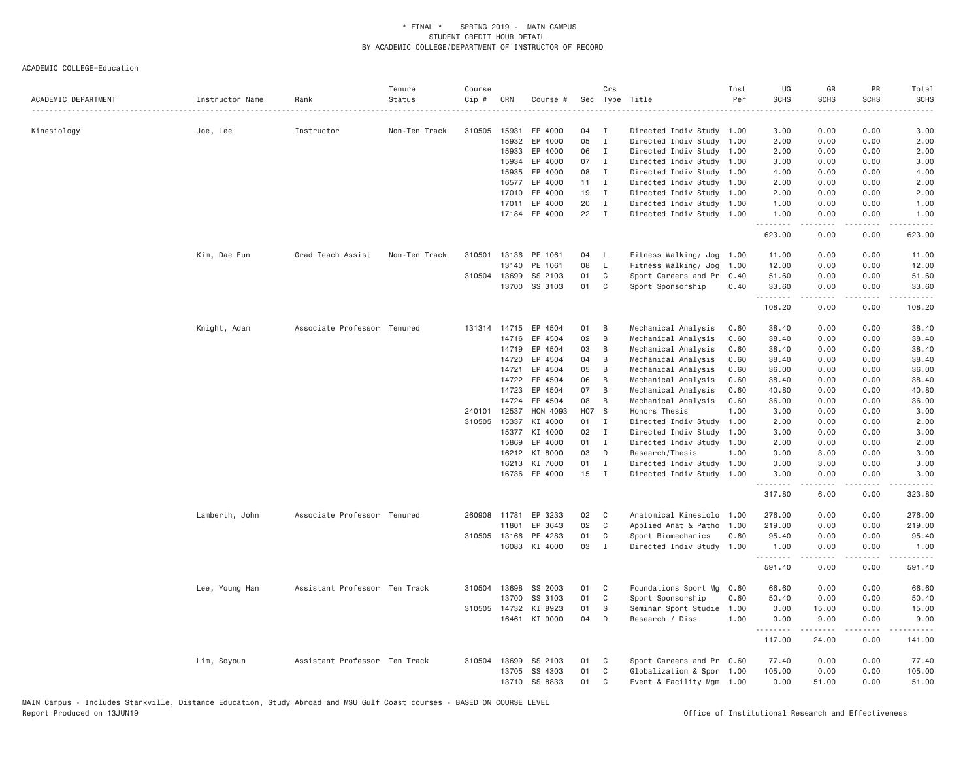| ACADEMIC DEPARTMENT | Instructor Name | Rank                          | Tenure<br>Status | Course<br>Cip # | CRN          | Course #      | Sec          | Crs          | Type Title                | Inst<br>Per | UG<br><b>SCHS</b>  | GR<br><b>SCHS</b> | PR<br><b>SCHS</b> | Total<br>SCHS     |
|---------------------|-----------------|-------------------------------|------------------|-----------------|--------------|---------------|--------------|--------------|---------------------------|-------------|--------------------|-------------------|-------------------|-------------------|
|                     |                 |                               |                  |                 |              |               |              |              |                           |             |                    |                   |                   |                   |
| Kinesiology         | Joe, Lee        | Instructor                    | Non-Ten Track    | 310505          | 15931        | EP 4000       | 04           | I            | Directed Indiv Study 1.00 |             | 3.00               | 0.00              | 0.00              | 3.00              |
|                     |                 |                               |                  |                 | 15932        | EP 4000       | 05           | $\mathbf{I}$ | Directed Indiv Study      | 1.00        | 2.00               | 0.00              | 0.00              | 2.00              |
|                     |                 |                               |                  |                 | 15933        | EP 4000       | 06           | $\mathbf{I}$ | Directed Indiv Study      | 1.00        | 2.00               | 0.00              | 0.00              | 2.00              |
|                     |                 |                               |                  |                 | 15934        | EP 4000       | 07           | $\mathbf{I}$ | Directed Indiv Study      | 1.00        | 3.00               | 0.00              | 0.00              | 3.00              |
|                     |                 |                               |                  |                 | 15935        | EP 4000       | 08           | $\mathbf{I}$ | Directed Indiv Study 1.00 |             | 4.00               | 0.00              | 0.00              | 4.00              |
|                     |                 |                               |                  |                 | 16577        | EP 4000       | $11 \quad I$ |              | Directed Indiv Study      | 1.00        | 2.00               | 0.00              | 0.00              | 2.00              |
|                     |                 |                               |                  |                 | 17010        | EP 4000       | 19           | $\mathbf{I}$ | Directed Indiv Study 1.00 |             | 2.00               | 0.00              | 0.00              | 2.00              |
|                     |                 |                               |                  |                 | 17011        | EP 4000       | 20           | $\mathbf{I}$ | Directed Indiv Study 1.00 |             | 1.00               | 0.00              | 0.00              | 1.00              |
|                     |                 |                               |                  |                 |              | 17184 EP 4000 | 22           | $\mathbf{I}$ | Directed Indiv Study 1.00 |             | 1.00<br><b></b>    | 0.00<br>.         | 0.00<br>.         | 1.00<br><u>.</u>  |
|                     |                 |                               |                  |                 |              |               |              |              |                           |             | 623.00             | 0.00              | 0.00              | 623.00            |
|                     | Kim, Dae Eun    | Grad Teach Assist             | Non-Ten Track    | 310501          |              | 13136 PE 1061 | 04           | <b>L</b>     | Fitness Walking/ Jog      | 1.00        | 11.00              | 0.00              | 0.00              | 11.00             |
|                     |                 |                               |                  |                 | 13140        | PE 1061       | 08           | <b>L</b>     | Fitness Walking/ Jog      | 1.00        | 12.00              | 0.00              | 0.00              | 12.00             |
|                     |                 |                               |                  | 310504          | 13699        | SS 2103       | 01           | C            | Sport Careers and Pr      | 0.40        | 51.60              | 0.00              | 0.00              | 51.60             |
|                     |                 |                               |                  |                 |              | 13700 SS 3103 | 01           | C            | Sport Sponsorship         | 0.40        | 33.60<br>.         | 0.00<br>.         | 0.00<br>.         | 33.60<br><u>.</u> |
|                     |                 |                               |                  |                 |              |               |              |              |                           |             | 108.20             | 0.00              | 0.00              | 108.20            |
|                     | Knight, Adam    | Associate Professor Tenured   |                  | 131314          |              | 14715 EP 4504 | 01           | B            | Mechanical Analysis       | 0.60        | 38,40              | 0.00              | 0.00              | 38.40             |
|                     |                 |                               |                  |                 | 14716        | EP 4504       | 02           | B            | Mechanical Analysis       | 0.60        | 38.40              | 0.00              | 0.00              | 38.40             |
|                     |                 |                               |                  |                 | 14719        | EP 4504       | 03           | B            | Mechanical Analysis       | 0.60        | 38.40              | 0.00              | 0.00              | 38.40             |
|                     |                 |                               |                  |                 | 14720        | EP 4504       | 04           | В            | Mechanical Analysis       | 0.60        | 38.40              | 0.00              | 0.00              | 38.40             |
|                     |                 |                               |                  |                 | 14721        | EP 4504       | 05           | B            | Mechanical Analysis       | 0.60        | 36.00              | 0.00              | 0.00              | 36.00             |
|                     |                 |                               |                  |                 | 14722        | EP 4504       | 06           | B            | Mechanical Analysis       | 0.60        | 38.40              | 0.00              | 0.00              | 38.40             |
|                     |                 |                               |                  |                 | 14723        | EP 4504       | 07           | B            | Mechanical Analysis       | 0.60        | 40.80              | 0.00              | 0.00              | 40.80             |
|                     |                 |                               |                  |                 | 14724        | EP 4504       | 08           | B            | Mechanical Analysis       | 0.60        | 36.00              | 0.00              | 0.00              | 36.00             |
|                     |                 |                               |                  | 240101          | 12537        | HON 4093      | H07 S        |              | Honors Thesis             | 1.00        | 3.00               | 0.00              | 0.00              | 3.00              |
|                     |                 |                               |                  | 310505          | 15337        | KI 4000       | 01 I         |              | Directed Indiv Study      | 1.00        | 2.00               | 0.00              | 0.00              | 2.00              |
|                     |                 |                               |                  |                 | 15377        | KI 4000       | 02           | $\mathbf I$  | Directed Indiv Study      | 1.00        | 3.00               | 0.00              | 0.00              | 3.00              |
|                     |                 |                               |                  |                 | 15869        | EP 4000       | 01           | $\mathbf{I}$ | Directed Indiv Study      | 1.00        | 2.00               | 0.00              | 0.00              | 2.00              |
|                     |                 |                               |                  |                 | 16212        | KI 8000       | 03           | D            | Research/Thesis           | 1.00        | 0.00               | 3.00              | 0.00              | 3.00              |
|                     |                 |                               |                  |                 |              | 16213 KI 7000 | 01           | $\mathbf{I}$ | Directed Indiv Study 1.00 |             | 0.00               | 3.00              | 0.00              | 3.00              |
|                     |                 |                               |                  |                 |              | 16736 EP 4000 | $15$ I       |              | Directed Indiv Study 1.00 |             | 3,00<br>.          | 0.00<br>.         | 0.00<br>.         | 3.00<br>.         |
|                     |                 |                               |                  |                 |              |               |              |              |                           |             | 317.80             | 6.00              | 0.00              | 323.80            |
|                     | Lamberth, John  | Associate Professor Tenured   |                  |                 | 260908 11781 | EP 3233       | 02           | C            | Anatomical Kinesiolo 1.00 |             | 276.00             | 0.00              | 0.00              | 276.00            |
|                     |                 |                               |                  |                 | 11801        | EP 3643       | 02           | C            | Applied Anat & Patho      | 1.00        | 219.00             | 0.00              | 0.00              | 219,00            |
|                     |                 |                               |                  | 310505          | 13166        | PE 4283       | 01           | C            | Sport Biomechanics        | 0.60        | 95.40              | 0.00              | 0.00              | 95.40             |
|                     |                 |                               |                  |                 |              | 16083 KI 4000 | 03           | I            | Directed Indiv Study 1.00 |             | 1.00<br><u>.</u>   | 0.00<br><u>.</u>  | 0.00<br>.         | 1.00<br>.         |
|                     |                 |                               |                  |                 |              |               |              |              |                           |             | 591.40             | 0.00              | 0.00              | 591.40            |
|                     | Lee, Young Han  | Assistant Professor Ten Track |                  | 310504          | 13698        | SS 2003       | 01           | C            | Foundations Sport Mg      | 0.60        | 66.60              | 0.00              | 0.00              | 66.60             |
|                     |                 |                               |                  |                 | 13700        | SS 3103       | 01           | C            | Sport Sponsorship         | 0.60        | 50.40              | 0.00              | 0.00              | 50.40             |
|                     |                 |                               |                  |                 | 310505 14732 | KI 8923       | 01           | S            | Seminar Sport Studie      | 1.00        | 0.00               | 15.00             | 0.00              | 15.00             |
|                     |                 |                               |                  |                 |              | 16461 KI 9000 | 04           | D            | Research / Diss           | 1.00        | 0.00<br>. <b>.</b> | 9.00<br>.         | 0.00<br>.         | 9.00<br>.         |
|                     |                 |                               |                  |                 |              |               |              |              |                           |             | 117.00             | 24.00             | 0.00              | 141.00            |
|                     | Lim, Soyoun     | Assistant Professor Ten Track |                  | 310504          | 13699        | SS 2103       | 01           | C            | Sport Careers and Pr 0.60 |             | 77.40              | 0.00              | 0.00              | 77.40             |
|                     |                 |                               |                  |                 | 13705        | SS 4303       | 01           | C            | Globalization & Spor 1.00 |             | 105.00             | 0.00              | 0.00              | 105.00            |
|                     |                 |                               |                  |                 |              | 13710 SS 8833 | 01           | C            | Event & Facility Mgm 1.00 |             | 0.00               | 51.00             | 0.00              | 51.00             |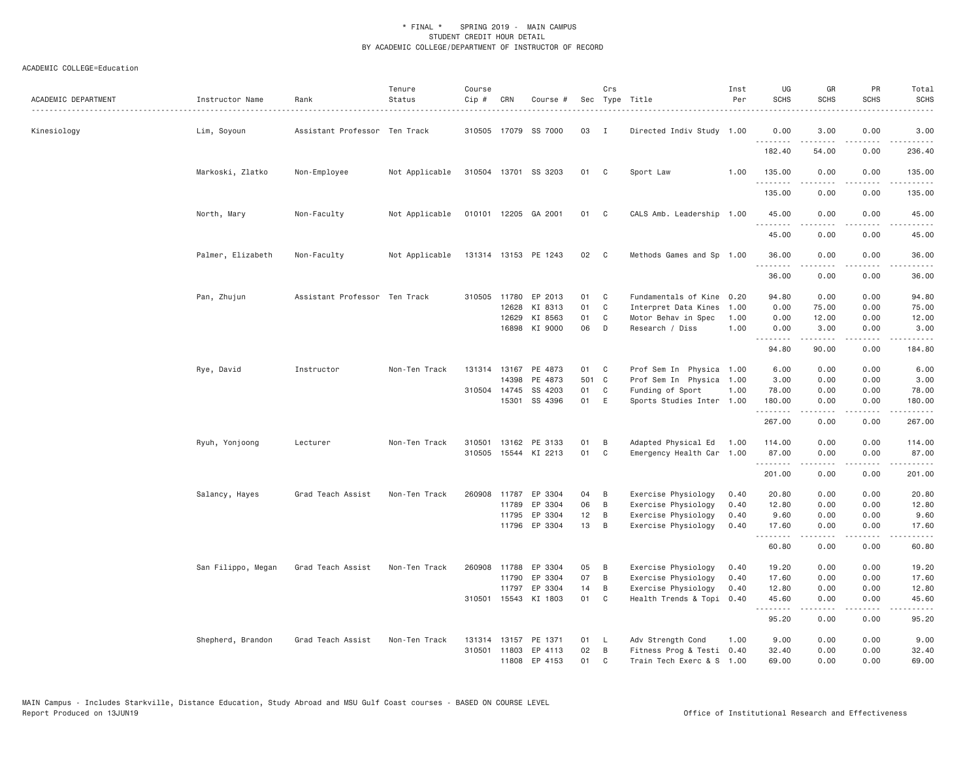| ACADEMIC DEPARTMENT | Instructor Name    | Rank                          | Tenure<br>Status | Course<br>$Cip \#$ | CRN          | Course #             |       | Crs            | Sec Type Title            | Inst<br>Per | UG<br><b>SCHS</b> | GR<br><b>SCHS</b> | PR<br><b>SCHS</b>                   | Total<br><b>SCHS</b> |
|---------------------|--------------------|-------------------------------|------------------|--------------------|--------------|----------------------|-------|----------------|---------------------------|-------------|-------------------|-------------------|-------------------------------------|----------------------|
| Kinesiology         | Lim, Soyoun        | Assistant Professor Ten Track |                  |                    |              | 310505 17079 SS 7000 | 03    | $\mathbf{I}$   | Directed Indiv Study 1.00 |             | 0.00<br>.         | 3.00<br>-----     | 0.00<br>$- - - -$                   | 3.00<br>.            |
|                     |                    |                               |                  |                    |              |                      |       |                |                           |             | 182.40            | 54.00             | 0.00                                | 236.40               |
|                     | Markoski, Zlatko   | Non-Employee                  | Not Applicable   |                    |              | 310504 13701 SS 3203 | 01 C  |                | Sport Law                 | 1.00        | 135.00<br>.       | 0.00<br>.         | 0.00<br>.                           | 135.00<br>.          |
|                     |                    |                               |                  |                    |              |                      |       |                |                           |             | 135.00            | 0.00              | 0.00                                | 135.00               |
|                     | North, Mary        | Non-Faculty                   | Not Applicable   |                    |              | 010101 12205 GA 2001 | 01    | $\mathbf{C}$   | CALS Amb. Leadership 1.00 |             | 45.00<br>.        | 0.00              | 0.00                                | 45.00                |
|                     |                    |                               |                  |                    |              |                      |       |                |                           |             | 45.00             | 0.00              | 0.00                                | 45.00                |
|                     | Palmer, Elizabeth  | Non-Faculty                   | Not Applicable   |                    |              | 131314 13153 PE 1243 | 02    | $\mathbf{C}$   | Methods Games and Sp 1.00 |             | 36.00<br>.        | 0.00<br>.         | 0.00<br>.                           | 36.00<br>.           |
|                     |                    |                               |                  |                    |              |                      |       |                |                           |             | 36.00             | 0.00              | 0.00                                | 36.00                |
|                     | Pan, Zhujun        | Assistant Professor Ten Track |                  |                    |              | 310505 11780 EP 2013 | 01    | C <sub>c</sub> | Fundamentals of Kine 0.20 |             | 94.80             | 0.00              | 0.00                                | 94.80                |
|                     |                    |                               |                  |                    | 12628        | KI 8313              | 01    | C              | Interpret Data Kines      | 1.00        | 0.00              | 75.00             | 0.00                                | 75.00                |
|                     |                    |                               |                  |                    | 12629        | KI 8563              | 01    | C              | Motor Behav in Spec       | 1.00        | 0.00              | 12.00             | 0.00                                | 12.00                |
|                     |                    |                               |                  |                    |              | 16898 KI 9000        | 06    | D              | Research / Diss           | 1.00        | 0.00<br>.         | 3.00<br>.         | 0.00<br>.                           | 3.00<br>.            |
|                     |                    |                               |                  |                    |              |                      |       |                |                           |             | 94.80             | 90.00             | 0.00                                | 184.80               |
|                     | Rye, David         | Instructor                    | Non-Ten Track    | 131314             | 13167        | PE 4873              | 01    | C              | Prof Sem In Physica 1.00  |             | 6.00              | 0.00              | 0.00                                | 6.00                 |
|                     |                    |                               |                  |                    | 14398        | PE 4873              | 501 C |                | Prof Sem In Physica 1.00  |             | 3.00              | 0.00              | 0.00                                | 3.00                 |
|                     |                    |                               |                  |                    | 310504 14745 | SS 4203              | 01    | C              | Funding of Sport          | 1.00        | 78.00             | 0.00              | 0.00                                | 78.00                |
|                     |                    |                               |                  |                    | 15301        | SS 4396              | 01    | E              | Sports Studies Inter 1.00 |             | 180,00<br>.       | 0.00<br><u>.</u>  | 0.00<br>.                           | 180.00<br><u>.</u>   |
|                     |                    |                               |                  |                    |              |                      |       |                |                           |             | 267.00            | 0.00              | 0.00                                | 267.00               |
|                     | Ryuh, Yonjoong     | Lecturer                      | Non-Ten Track    | 310501             |              | 13162 PE 3133        | 01    | B              | Adapted Physical Ed       | 1.00        | 114.00            | 0.00              | 0.00                                | 114.00               |
|                     |                    |                               |                  | 310505             |              | 15544 KI 2213        | 01    | C              | Emergency Health Car 1.00 |             | 87.00<br><b></b>  | 0.00<br>-----     | 0.00<br>.                           | 87.00<br>.           |
|                     |                    |                               |                  |                    |              |                      |       |                |                           |             | 201.00            | 0.00              | 0.00                                | 201.00               |
|                     | Salancy, Hayes     | Grad Teach Assist             | Non-Ten Track    | 260908             | 11787        | EP 3304              | 04    | B              | Exercise Physiology       | 0.40        | 20.80             | 0.00              | 0.00                                | 20.80                |
|                     |                    |                               |                  |                    | 11789        | EP 3304              | 06    | B              | Exercise Physiology       | 0.40        | 12.80             | 0.00              | 0.00                                | 12.80                |
|                     |                    |                               |                  |                    | 11795        | EP 3304              | 12    | B              | Exercise Physiology       | 0.40        | 9.60              | 0.00              | 0.00                                | 9.60                 |
|                     |                    |                               |                  |                    |              | 11796 EP 3304        | 13    | B              | Exercise Physiology       | 0.40        | 17.60<br><u>.</u> | 0.00<br>.         | 0.00<br>.                           | 17.60<br>.           |
|                     |                    |                               |                  |                    |              |                      |       |                |                           |             | 60.80             | 0.00              | 0.00                                | 60.80                |
|                     | San Filippo, Megan | Grad Teach Assist             | Non-Ten Track    |                    | 260908 11788 | EP 3304              | 05    | B              | Exercise Physiology       | 0.40        | 19.20             | 0.00              | 0.00                                | 19.20                |
|                     |                    |                               |                  |                    | 11790        | EP 3304              | 07    | B              | Exercise Physiology       | 0.40        | 17.60             | 0.00              | 0.00                                | 17.60                |
|                     |                    |                               |                  |                    | 11797        | EP 3304              | 14    | B              | Exercise Physiology       | 0.40        | 12.80             | 0.00              | 0.00                                | 12.80                |
|                     |                    |                               |                  |                    |              | 310501 15543 KI 1803 | 01    | C              | Health Trends & Topi      | 0.40        | 45.60<br>.        | 0.00              | 0.00<br>$\sim$ $\sim$ $\sim$ $\sim$ | 45.60                |
|                     |                    |                               |                  |                    |              |                      |       |                |                           |             | 95.20             | 0.00              | 0.00                                | 95.20                |
|                     | Shepherd, Brandon  | Grad Teach Assist             | Non-Ten Track    | 131314             |              | 13157 PE 1371        | 01    | L.             | Adv Strength Cond         | 1.00        | 9.00              | 0.00              | 0.00                                | 9.00                 |
|                     |                    |                               |                  |                    |              | 310501 11803 EP 4113 | 02    | B              | Fitness Prog & Testi 0.40 |             | 32.40             | 0.00              | 0.00                                | 32.40                |
|                     |                    |                               |                  |                    | 11808        | EP 4153              | 01    | $\mathsf{C}$   | Train Tech Exerc & S 1.00 |             | 69,00             | 0.00              | 0.00                                | 69.00                |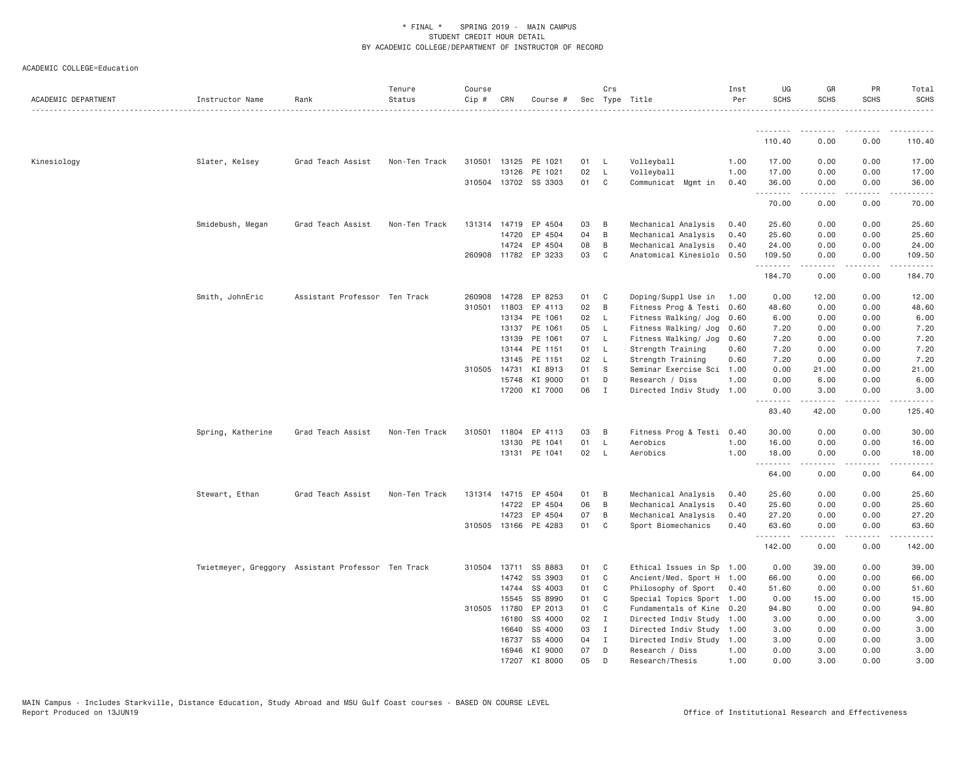| ACADEMIC DEPARTMENT | Instructor Name                                    | Rank                          | Tenure<br>Status | Course<br>Cip # | CRN          | Course #             |    | Crs          | Sec Type Title            | Inst<br>Per | UG<br><b>SCHS</b>  | GR<br><b>SCHS</b>                                                                                                                                            | PR<br><b>SCHS</b>                                                                                                                 | Total<br><b>SCHS</b> |
|---------------------|----------------------------------------------------|-------------------------------|------------------|-----------------|--------------|----------------------|----|--------------|---------------------------|-------------|--------------------|--------------------------------------------------------------------------------------------------------------------------------------------------------------|-----------------------------------------------------------------------------------------------------------------------------------|----------------------|
|                     |                                                    |                               |                  |                 |              |                      |    |              |                           |             |                    |                                                                                                                                                              |                                                                                                                                   |                      |
|                     |                                                    |                               |                  |                 |              |                      |    |              |                           |             | <u>.</u><br>110.40 | .<br>0.00                                                                                                                                                    | . <b>.</b><br>0.00                                                                                                                | 110.40               |
| Kinesiology         | Slater, Kelsey                                     | Grad Teach Assist             | Non-Ten Track    | 310501          | 13125        | PE 1021              | 01 | L,           | Volleyball                | 1.00        | 17.00              | 0.00                                                                                                                                                         | 0.00                                                                                                                              | 17.00                |
|                     |                                                    |                               |                  |                 | 13126        | PE 1021              | 02 | L.           | Volleyball                | 1.00        | 17.00              | 0.00                                                                                                                                                         | 0.00                                                                                                                              | 17.00                |
|                     |                                                    |                               |                  |                 |              | 310504 13702 SS 3303 | 01 | C            | Communicat Mgmt in        | 0.40        | 36.00<br>.         | 0.00<br>$\frac{1}{2} \left( \frac{1}{2} \right) \left( \frac{1}{2} \right) \left( \frac{1}{2} \right) \left( \frac{1}{2} \right) \left( \frac{1}{2} \right)$ | 0.00<br>$\sim$ $\sim$ $\sim$ $\sim$                                                                                               | 36.00<br>.           |
|                     |                                                    |                               |                  |                 |              |                      |    |              |                           |             | 70.00              | 0.00                                                                                                                                                         | 0.00                                                                                                                              | 70.00                |
|                     | Smidebush, Megan                                   | Grad Teach Assist             | Non-Ten Track    |                 |              | 131314 14719 EP 4504 | 03 | B            | Mechanical Analysis       | 0.40        | 25.60              | 0.00                                                                                                                                                         | 0.00                                                                                                                              | 25.60                |
|                     |                                                    |                               |                  |                 | 14720        | EP 4504              | 04 | B            | Mechanical Analysis       | 0.40        | 25.60              | 0.00                                                                                                                                                         | 0.00                                                                                                                              | 25.60                |
|                     |                                                    |                               |                  |                 | 14724        | EP 4504              | 08 | B            | Mechanical Analysis       | 0.40        | 24.00              | 0.00                                                                                                                                                         | 0.00                                                                                                                              | 24.00                |
|                     |                                                    |                               |                  |                 |              | 260908 11782 EP 3233 | 03 | C            | Anatomical Kinesiolo      | 0.50        | 109.50<br>.        | 0.00<br>.                                                                                                                                                    | 0.00<br>$\sim$ $\sim$ $\sim$ $\sim$                                                                                               | 109.50<br>.          |
|                     |                                                    |                               |                  |                 |              |                      |    |              |                           |             | 184.70             | 0.00                                                                                                                                                         | 0.00                                                                                                                              | 184.70               |
|                     | Smith, JohnEric                                    | Assistant Professor Ten Track |                  | 260908          | 14728        | EP 8253              | 01 | C            | Doping/Suppl Use in       | 1.00        | 0.00               | 12.00                                                                                                                                                        | 0.00                                                                                                                              | 12.00                |
|                     |                                                    |                               |                  | 310501          | 11803        | EP 4113              | 02 | B            | Fitness Prog & Testi      | 0.60        | 48.60              | 0.00                                                                                                                                                         | 0.00                                                                                                                              | 48.60                |
|                     |                                                    |                               |                  |                 | 13134        | PE 1061              | 02 | $\mathsf{L}$ | Fitness Walking/ Jog      | 0.60        | 6.00               | 0.00                                                                                                                                                         | 0.00                                                                                                                              | 6.00                 |
|                     |                                                    |                               |                  |                 | 13137        | PE 1061              | 05 | L.           | Fitness Walking/ Jog      | 0.60        | 7.20               | 0.00                                                                                                                                                         | 0.00                                                                                                                              | 7.20                 |
|                     |                                                    |                               |                  |                 | 13139        | PE 1061              | 07 | $\mathsf{L}$ | Fitness Walking/ Jog      | 0.60        | 7.20               | 0.00                                                                                                                                                         | 0.00                                                                                                                              | 7.20                 |
|                     |                                                    |                               |                  |                 | 13144        | PE 1151              | 01 | $\mathsf{L}$ | Strength Training         | 0.60        | 7.20               | 0.00                                                                                                                                                         | 0.00                                                                                                                              | 7.20                 |
|                     |                                                    |                               |                  |                 | 13145        | PE 1151              | 02 | $\mathsf{L}$ | Strength Training         | 0.60        | 7.20               | 0.00                                                                                                                                                         | 0.00                                                                                                                              | 7.20                 |
|                     |                                                    |                               |                  |                 | 310505 14731 | KI 8913              | 01 | S            | Seminar Exercise Sci      | 1.00        | 0.00               | 21.00                                                                                                                                                        | 0.00                                                                                                                              | 21.00                |
|                     |                                                    |                               |                  |                 | 15748        | KI 9000              | 01 | D            | Research / Diss           | 1.00        | 0.00               | 6.00                                                                                                                                                         | 0.00                                                                                                                              | 6.00                 |
|                     |                                                    |                               |                  |                 | 17200        | KI 7000              | 06 | I            | Directed Indiv Study      | 1.00        | 0.00<br>.          | 3.00                                                                                                                                                         | 0.00                                                                                                                              | 3.00                 |
|                     |                                                    |                               |                  |                 |              |                      |    |              |                           |             | 83.40              | 42.00                                                                                                                                                        | 0.00                                                                                                                              | 125.40               |
|                     | Spring, Katherine                                  | Grad Teach Assist             | Non-Ten Track    |                 | 310501 11804 | EP 4113              | 03 | B            | Fitness Prog & Testi 0.40 |             | 30.00              | 0.00                                                                                                                                                         | 0.00                                                                                                                              | 30.00                |
|                     |                                                    |                               |                  |                 | 13130        | PE 1041              | 01 | $\mathsf{L}$ | Aerobics                  | 1.00        | 16.00              | 0.00                                                                                                                                                         | 0.00                                                                                                                              | 16.00                |
|                     |                                                    |                               |                  |                 | 13131        | PE 1041              | 02 | L            | Aerobics                  | 1.00        | 18.00              | 0.00                                                                                                                                                         | 0.00                                                                                                                              | 18.00                |
|                     |                                                    |                               |                  |                 |              |                      |    |              |                           |             | .<br>64.00         | 0.00                                                                                                                                                         | 0.00                                                                                                                              | 64.00                |
|                     | Stewart, Ethan                                     | Grad Teach Assist             | Non-Ten Track    |                 |              | 131314 14715 EP 4504 | 01 | B            | Mechanical Analysis       | 0.40        | 25.60              | 0.00                                                                                                                                                         | 0.00                                                                                                                              | 25.60                |
|                     |                                                    |                               |                  |                 | 14722        | EP 4504              | 06 | B            | Mechanical Analysis       | 0.40        | 25.60              | 0.00                                                                                                                                                         | 0.00                                                                                                                              | 25.60                |
|                     |                                                    |                               |                  |                 | 14723        | EP 4504              | 07 | B            | Mechanical Analysis       | 0.40        | 27.20              | 0.00                                                                                                                                                         | 0.00                                                                                                                              | 27.20                |
|                     |                                                    |                               |                  |                 |              | 310505 13166 PE 4283 | 01 | C            | Sport Biomechanics        | 0.40        | 63.60              | 0.00                                                                                                                                                         | 0.00                                                                                                                              | 63.60                |
|                     |                                                    |                               |                  |                 |              |                      |    |              |                           |             | .<br>142.00        | $- - - - -$<br>0.00                                                                                                                                          | $\frac{1}{2} \left( \frac{1}{2} \right) \left( \frac{1}{2} \right) \left( \frac{1}{2} \right) \left( \frac{1}{2} \right)$<br>0.00 | .<br>142.00          |
|                     | Twietmeyer, Greggory Assistant Professor Ten Track |                               |                  |                 |              | 310504 13711 SS 8883 | 01 | C            | Ethical Issues in Sp 1.00 |             | 0.00               | 39.00                                                                                                                                                        | 0.00                                                                                                                              | 39.00                |
|                     |                                                    |                               |                  |                 | 14742        | SS 3903              | 01 | C            | Ancient/Med. Sport H 1.00 |             | 66.00              | 0.00                                                                                                                                                         | 0.00                                                                                                                              | 66.00                |
|                     |                                                    |                               |                  |                 | 14744        | SS 4003              | 01 | C            | Philosophy of Sport       | 0.40        | 51.60              | 0.00                                                                                                                                                         | 0.00                                                                                                                              | 51.60                |
|                     |                                                    |                               |                  |                 | 15545        | SS 8990              | 01 | C            | Special Topics Sport      | 1.00        | 0.00               | 15.00                                                                                                                                                        | 0.00                                                                                                                              | 15.00                |
|                     |                                                    |                               |                  | 310505          | 11780        | EP 2013              | 01 | C            | Fundamentals of Kine      | 0.20        | 94.80              | 0.00                                                                                                                                                         | 0.00                                                                                                                              | 94.80                |
|                     |                                                    |                               |                  |                 | 16180        | SS 4000              | 02 | $\mathbf{I}$ | Directed Indiv Study 1.00 |             | 3.00               | 0.00                                                                                                                                                         | 0.00                                                                                                                              | 3.00                 |
|                     |                                                    |                               |                  |                 | 16640        | SS 4000              | 03 | Ι            | Directed Indiv Study 1.00 |             | 3.00               | 0.00                                                                                                                                                         | 0.00                                                                                                                              | 3.00                 |
|                     |                                                    |                               |                  |                 | 16737        | SS 4000              | 04 | I            | Directed Indiv Study      | 1.00        | 3.00               | 0.00                                                                                                                                                         | 0.00                                                                                                                              | 3.00                 |
|                     |                                                    |                               |                  |                 |              | 16946 KI 9000        | 07 | Ð            | Research / Diss           | 1.00        | 0.00               | 3,00                                                                                                                                                         | 0.00                                                                                                                              | 3.00                 |
|                     |                                                    |                               |                  |                 |              | 17207 KI 8000        | 05 | D            | Research/Thesis           | 1.00        | 0.00               | 3.00                                                                                                                                                         | 0.00                                                                                                                              | 3.00                 |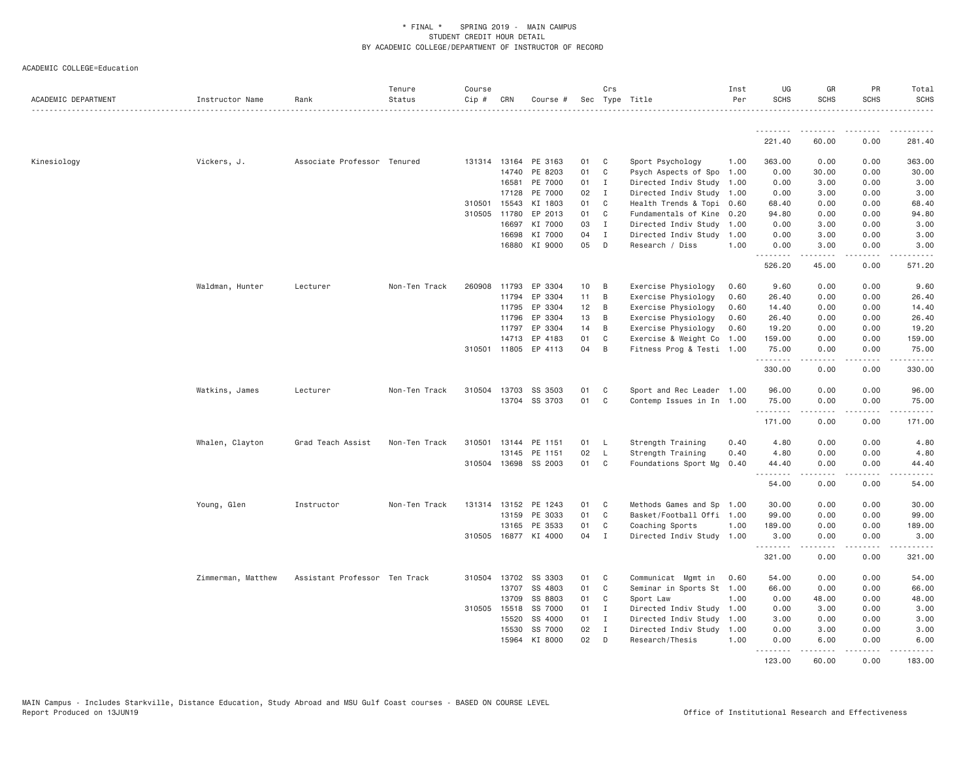| ACADEMIC DEPARTMENT | Instructor Name    | Rank                          | Tenure<br>Status | Course<br>Cip # | CRN                   | Course #             |          | Crs               | Sec Type Title                               | Inst<br>Per  | UG<br><b>SCHS</b> | GR<br><b>SCHS</b>                                                                                                                                    | PR<br><b>SCHS</b>                   | Total<br><b>SCHS</b><br>.                                                                                                                                      |
|---------------------|--------------------|-------------------------------|------------------|-----------------|-----------------------|----------------------|----------|-------------------|----------------------------------------------|--------------|-------------------|------------------------------------------------------------------------------------------------------------------------------------------------------|-------------------------------------|----------------------------------------------------------------------------------------------------------------------------------------------------------------|
|                     |                    |                               |                  |                 |                       |                      |          |                   |                                              |              | <u>.</u>          | ---------                                                                                                                                            | <u>.</u>                            | .                                                                                                                                                              |
|                     |                    |                               |                  |                 |                       |                      |          |                   |                                              |              | 221.40            | 60.00                                                                                                                                                | 0.00                                | 281.40                                                                                                                                                         |
| Kinesiology         | Vickers, J.        | Associate Professor Tenured   |                  |                 |                       | 131314 13164 PE 3163 | 01       | C                 | Sport Psychology                             | 1.00         | 363.00            | 0.00                                                                                                                                                 | 0.00                                | 363.00                                                                                                                                                         |
|                     |                    |                               |                  |                 | 14740                 | PE 8203              | 01       | C                 | Psych Aspects of Spo                         | 1.00         | 0.00              | 30.00                                                                                                                                                | 0.00                                | 30.00                                                                                                                                                          |
|                     |                    |                               |                  |                 | 16581                 | PE 7000              | 01       | $\mathbf{I}$      | Directed Indiv Study                         | 1.00         | 0.00              | 3.00                                                                                                                                                 | 0.00                                | 3.00                                                                                                                                                           |
|                     |                    |                               |                  |                 | 17128                 | PE 7000              | 02       | I                 | Directed Indiv Study 1.00                    |              | 0.00              | 3.00                                                                                                                                                 | 0.00                                | 3.00                                                                                                                                                           |
|                     |                    |                               |                  |                 | 310501 15543          | KI 1803              | 01       | C                 | Health Trends & Topi                         | 0.60         | 68.40             | 0.00                                                                                                                                                 | 0.00                                | 68.40                                                                                                                                                          |
|                     |                    |                               |                  |                 | 310505 11780<br>16697 | EP 2013<br>KI 7000   | 01<br>03 | C<br>$\mathbf{I}$ | Fundamentals of Kine<br>Directed Indiv Study | 0.20<br>1.00 | 94.80<br>0.00     | 0.00<br>3.00                                                                                                                                         | 0.00<br>0.00                        | 94.80<br>3.00                                                                                                                                                  |
|                     |                    |                               |                  |                 | 16698                 | KI 7000              | 04       | $\mathbf{I}$      | Directed Indiv Study                         | 1.00         | 0.00              | 3.00                                                                                                                                                 | 0.00                                | 3.00                                                                                                                                                           |
|                     |                    |                               |                  |                 | 16880                 | KI 9000              | 05       | D                 | Research / Diss                              | 1.00         | 0.00              | 3.00                                                                                                                                                 | 0.00                                | 3.00                                                                                                                                                           |
|                     |                    |                               |                  |                 |                       |                      |          |                   |                                              |              | .<br>526.20       | د د د د د<br>45.00                                                                                                                                   | .<br>0.00                           | $\frac{1}{2} \left( \frac{1}{2} \right) \left( \frac{1}{2} \right) \left( \frac{1}{2} \right) \left( \frac{1}{2} \right) \left( \frac{1}{2} \right)$<br>571.20 |
|                     | Waldman, Hunter    | Lecturer                      | Non-Ten Track    | 260908          | 11793                 | EP 3304              | 10       | B                 | Exercise Physiology                          | 0.60         | 9.60              | 0.00                                                                                                                                                 | 0.00                                | 9.60                                                                                                                                                           |
|                     |                    |                               |                  |                 | 11794                 | EP 3304              | 11       | B                 | Exercise Physiology                          | 0.60         | 26.40             | 0.00                                                                                                                                                 | 0.00                                | 26.40                                                                                                                                                          |
|                     |                    |                               |                  |                 | 11795                 | EP 3304              | 12       | B                 | Exercise Physiology                          | 0.60         | 14.40             | 0.00                                                                                                                                                 | 0.00                                | 14.40                                                                                                                                                          |
|                     |                    |                               |                  |                 | 11796                 | EP 3304              | 13       | B                 | Exercise Physiology                          | 0.60         | 26.40             | 0.00                                                                                                                                                 | 0.00                                | 26.40                                                                                                                                                          |
|                     |                    |                               |                  |                 | 11797                 | EP 3304              | 14       | B                 | Exercise Physiology                          | 0.60         | 19.20             | 0.00                                                                                                                                                 | 0.00                                | 19.20                                                                                                                                                          |
|                     |                    |                               |                  |                 | 14713                 | EP 4183              | 01       | C                 | Exercise & Weight Co                         | 1.00         | 159.00            | 0.00                                                                                                                                                 | 0.00                                | 159.00                                                                                                                                                         |
|                     |                    |                               |                  |                 |                       | 310501 11805 EP 4113 | 04       | B                 | Fitness Prog & Testi 1.00                    |              | 75.00<br>.        | 0.00<br>-----                                                                                                                                        | 0.00<br>.                           | 75.00<br>.                                                                                                                                                     |
|                     |                    |                               |                  |                 |                       |                      |          |                   |                                              |              | 330.00            | 0.00                                                                                                                                                 | 0.00                                | 330.00                                                                                                                                                         |
|                     | Watkins, James     | Lecturer                      | Non-Ten Track    | 310504          | 13703                 | SS 3503              | 01       | C                 | Sport and Rec Leader 1.00                    |              | 96.00             | 0.00                                                                                                                                                 | 0.00                                | 96.00                                                                                                                                                          |
|                     |                    |                               |                  |                 |                       | 13704 SS 3703        | 01       | $\mathbb C$       | Contemp Issues in In 1.00                    |              | 75.00<br>.        | 0.00<br>.                                                                                                                                            | 0.00<br>.                           | 75.00<br>.                                                                                                                                                     |
|                     |                    |                               |                  |                 |                       |                      |          |                   |                                              |              | 171.00            | 0.00                                                                                                                                                 | 0.00                                | 171.00                                                                                                                                                         |
|                     | Whalen, Clayton    | Grad Teach Assist             | Non-Ten Track    | 310501          | 13144                 | PE 1151              | 01       | - L               | Strength Training                            | 0.40         | 4.80              | 0.00                                                                                                                                                 | 0.00                                | 4.80                                                                                                                                                           |
|                     |                    |                               |                  |                 | 13145                 | PE 1151              | 02       | $\mathsf{L}$      | Strength Training                            | 0.40         | 4.80              | 0.00                                                                                                                                                 | 0.00                                | 4.80                                                                                                                                                           |
|                     |                    |                               |                  |                 |                       | 310504 13698 SS 2003 | 01       | C                 | Foundations Sport Mg                         | 0.40         | 44.40<br>.        | 0.00<br>.                                                                                                                                            | 0.00<br>.                           | 44.40<br>.                                                                                                                                                     |
|                     |                    |                               |                  |                 |                       |                      |          |                   |                                              |              | 54.00             | 0.00                                                                                                                                                 | 0.00                                | 54.00                                                                                                                                                          |
|                     | Young, Glen        | Instructor                    | Non-Ten Track    |                 | 131314 13152          | PE 1243              | 01       | C                 | Methods Games and Sp                         | 1.00         | 30.00             | 0.00                                                                                                                                                 | 0.00                                | 30.00                                                                                                                                                          |
|                     |                    |                               |                  |                 | 13159                 | PE 3033              | 01       | C                 | Basket/Football Offi 1.00                    |              | 99.00             | 0.00                                                                                                                                                 | 0.00                                | 99.00                                                                                                                                                          |
|                     |                    |                               |                  |                 | 13165                 | PE 3533              | 01       | C                 | Coaching Sports                              | 1.00         | 189.00            | 0.00                                                                                                                                                 | 0.00                                | 189.00                                                                                                                                                         |
|                     |                    |                               |                  |                 |                       | 310505 16877 KI 4000 | 04       | I                 | Directed Indiv Study 1.00                    |              | 3.00<br>.         | 0.00                                                                                                                                                 | 0.00<br>$\sim$ $\sim$ $\sim$ $\sim$ | 3.00                                                                                                                                                           |
|                     |                    |                               |                  |                 |                       |                      |          |                   |                                              |              | 321.00            | 0.00                                                                                                                                                 | 0.00                                | 321.00                                                                                                                                                         |
|                     | Zimmerman, Matthew | Assistant Professor Ten Track |                  | 310504          | 13702                 | SS 3303              | 01       | C                 | Communicat Mgmt in                           | 0.60         | 54.00             | 0.00                                                                                                                                                 | 0.00                                | 54.00                                                                                                                                                          |
|                     |                    |                               |                  |                 | 13707                 | SS 4803              | 01       | C                 | Seminar in Sports St                         | 1.00         | 66.00             | 0.00                                                                                                                                                 | 0.00                                | 66.00                                                                                                                                                          |
|                     |                    |                               |                  |                 | 13709                 | SS 8803              | 01       | C                 | Sport Law                                    | 1.00         | 0.00              | 48.00                                                                                                                                                | 0.00                                | 48.00                                                                                                                                                          |
|                     |                    |                               |                  |                 | 310505 15518          | SS 7000              | 01       | $\mathbf I$       | Directed Indiv Study 1.00                    |              | 0.00              | 3.00                                                                                                                                                 | 0.00                                | 3.00                                                                                                                                                           |
|                     |                    |                               |                  |                 | 15520                 | SS 4000              | 01       | $\mathbf I$       | Directed Indiv Study                         | 1.00         | 3.00              | 0.00                                                                                                                                                 | 0.00                                | 3.00                                                                                                                                                           |
|                     |                    |                               |                  |                 | 15530<br>15964        | SS 7000<br>KI 8000   | 02<br>02 | $\mathbf I$<br>D  | Directed Indiv Study<br>Research/Thesis      | 1.00<br>1.00 | 0.00<br>0.00      | 3.00<br>6.00                                                                                                                                         | 0.00<br>0.00                        | 3.00<br>6.00                                                                                                                                                   |
|                     |                    |                               |                  |                 |                       |                      |          |                   |                                              |              | .                 | $\frac{1}{2} \left( \frac{1}{2} \right) \left( \frac{1}{2} \right) \left( \frac{1}{2} \right) \left( \frac{1}{2} \right) \left( \frac{1}{2} \right)$ | $\sim$ $\sim$ $\sim$                | .                                                                                                                                                              |
|                     |                    |                               |                  |                 |                       |                      |          |                   |                                              |              | 123.00            | 60,00                                                                                                                                                | 0.00                                | 183.00                                                                                                                                                         |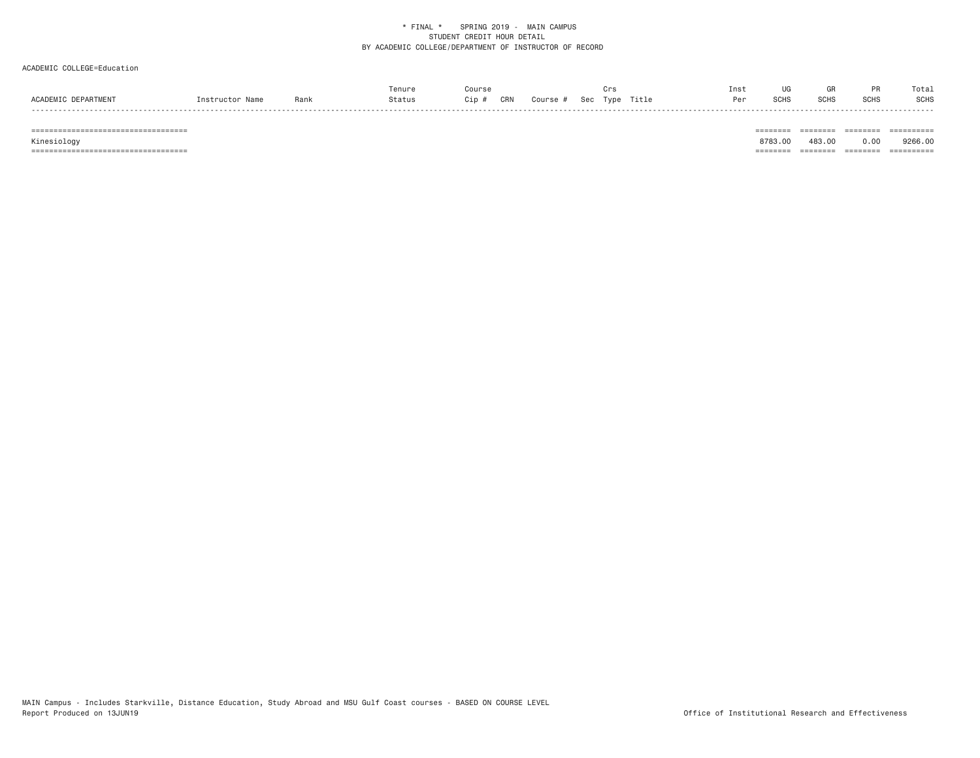# ACADEMIC COLLEGE=Education

|                               |                |      | Γenur∈ |            |         |     | <b>MIN</b> |       | Inst |                |                 |     | Tota        |
|-------------------------------|----------------|------|--------|------------|---------|-----|------------|-------|------|----------------|-----------------|-----|-------------|
| <b>FPARTMENT</b><br>ACADEMIC. | N <sub>1</sub> | Danu | itatu: | CRN<br>`in | APTILO: | ິດດ | vpe        | Title | ⊶ ∼  | $\sim$<br>א⊓טו | C <sub>CL</sub> | SCH | <b>SCHS</b> |
|                               |                |      |        |            |         |     |            |       |      |                |                 |     | -----       |

 =================================== ======== ======== ======== ========== Kinesiology 8783.00 483.00 0.00 9266.00 =================================== ======== ======== ======== ==========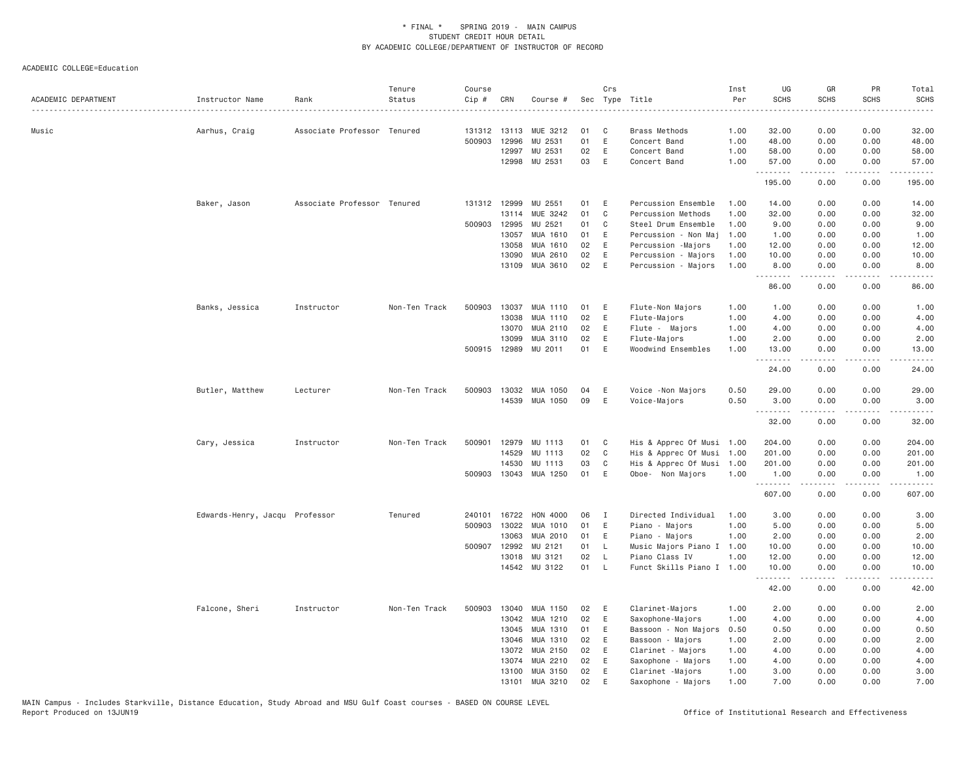| ACADEMIC DEPARTMENT | Instructor Name                | Rank                        | Tenure<br>Status | Course<br>Cip # | CRN   | Course #              |    | Crs          | Sec Type Title       | Inst<br>Per | UG<br><b>SCHS</b> | GR<br><b>SCHS</b> | PR<br><b>SCHS</b>                   | Total<br><b>SCHS</b><br>. |
|---------------------|--------------------------------|-----------------------------|------------------|-----------------|-------|-----------------------|----|--------------|----------------------|-------------|-------------------|-------------------|-------------------------------------|---------------------------|
| Music               | Aarhus, Craig                  | Associate Professor Tenured |                  | 131312 13113    |       | MUE 3212              | 01 | - C          | <b>Brass Methods</b> | 1.00        | 32.00             | 0.00              | 0.00                                | 32.00                     |
|                     |                                |                             |                  | 500903          | 12996 | MU 2531               | 01 | E            | Concert Band         | 1.00        | 48.00             | 0.00              | 0.00                                | 48.00                     |
|                     |                                |                             |                  |                 | 12997 | MU 2531               | 02 | E            | Concert Band         | 1.00        | 58.00             | 0.00              | 0.00                                | 58.00                     |
|                     |                                |                             |                  |                 | 12998 | MU 2531               | 03 | E            | Concert Band         | 1.00        | 57.00<br>.        | 0.00<br>.         | 0.00<br>.                           | 57.00<br>.                |
|                     |                                |                             |                  |                 |       |                       |    |              |                      |             | 195.00            | 0.00              | 0.00                                | 195.00                    |
|                     | Baker, Jason                   | Associate Professor Tenured |                  | 131312 12999    |       | MU 2551               | 01 | E            | Percussion Ensemble  | 1.00        | 14.00             | 0.00              | 0.00                                | 14.00                     |
|                     |                                |                             |                  |                 | 13114 | MUE 3242              | 01 | $\mathsf{C}$ | Percussion Methods   | 1.00        | 32.00             | 0.00              | 0.00                                | 32.00                     |
|                     |                                |                             |                  | 500903 12995    |       | MU 2521               | 01 | C            | Steel Drum Ensemble  | 1.00        | 9.00              | 0.00              | 0.00                                | 9.00                      |
|                     |                                |                             |                  |                 | 13057 | MUA 1610              | 01 | E            | Percussion - Non Maj | 1.00        | 1.00              | 0.00              | 0.00                                | 1.00                      |
|                     |                                |                             |                  |                 | 13058 | MUA 1610              | 02 | E            | Percussion -Majors   | 1.00        | 12.00             | 0.00              | 0.00                                | 12.00                     |
|                     |                                |                             |                  |                 | 13090 | MUA 2610              | 02 | E            | Percussion - Majors  | 1.00        | 10.00             | 0.00              | 0.00                                | 10.00                     |
|                     |                                |                             |                  |                 | 13109 | MUA 3610              | 02 | Ε            | Percussion - Majors  | 1.00        | 8.00<br><u>.</u>  | 0.00<br>.         | 0.00<br>.                           | 8.00<br>.                 |
|                     |                                |                             |                  |                 |       |                       |    |              |                      |             | 86.00             | 0.00              | 0.00                                | 86.00                     |
|                     | Banks, Jessica                 | Instructor                  | Non-Ten Track    | 500903          | 13037 | MUA 1110              | 01 | Ε            | Flute-Non Majors     | 1.00        | 1.00              | 0.00              | 0.00                                | 1.00                      |
|                     |                                |                             |                  |                 | 13038 | <b>MUA 1110</b>       | 02 | E            | Flute-Majors         | 1.00        | 4.00              | 0.00              | 0.00                                | 4.00                      |
|                     |                                |                             |                  |                 | 13070 | MUA 2110              | 02 | E            | Flute - Majors       | 1.00        | 4.00              | 0.00              | 0.00                                | 4.00                      |
|                     |                                |                             |                  |                 | 13099 | MUA 3110              | 02 | Ε            | Flute-Majors         | 1.00        | 2.00              | 0.00              | 0.00                                | 2.00                      |
|                     |                                |                             |                  | 500915 12989    |       | MU 2011               | 01 | $\mathsf E$  | Woodwind Ensembles   | 1.00        | 13.00<br>.        | 0.00<br>.         | 0.00<br>.                           | 13.00<br>.                |
|                     |                                |                             |                  |                 |       |                       |    |              |                      |             | 24.00             | 0.00              | 0.00                                | 24.00                     |
|                     | Butler, Matthew                | Lecturer                    | Non-Ten Track    | 500903          | 13032 | MUA 1050              | 04 | E            | Voice - Non Majors   | 0.50        | 29.00             | 0.00              | 0.00                                | 29.00                     |
|                     |                                |                             |                  |                 |       | 14539 MUA 1050        | 09 | E            | Voice-Majors         | 0.50        | 3.00              | 0.00              | 0.00                                | 3.00                      |
|                     |                                |                             |                  |                 |       |                       |    |              |                      |             | .<br>32.00        | .<br>0.00         | .<br>0.00                           | .<br>32.00                |
|                     | Cary, Jessica                  | Instructor                  | Non-Ten Track    | 500901          | 12979 | MU 1113               | 01 | C            | His & Apprec Of Musi | 1.00        | 204.00            | 0.00              | 0.00                                | 204.00                    |
|                     |                                |                             |                  |                 | 14529 | MU 1113               | 02 | C            | His & Apprec Of Musi | 1.00        | 201.00            | 0.00              | 0.00                                | 201.00                    |
|                     |                                |                             |                  |                 | 14530 | MU 1113               | 03 | C            | His & Apprec Of Musi | 1.00        | 201.00            | 0.00              | 0.00                                | 201.00                    |
|                     |                                |                             |                  |                 |       | 500903 13043 MUA 1250 | 01 | E            | Oboe- Non Majors     | 1.00        | 1.00<br>.         | 0.00<br>.         | 0.00<br>$\sim$ $\sim$ $\sim$ $\sim$ | 1.00<br>-----             |
|                     |                                |                             |                  |                 |       |                       |    |              |                      |             | 607.00            | 0.00              | 0.00                                | 607.00                    |
|                     | Edwards-Henry, Jacqu Professor |                             | Tenured          | 240101 16722    |       | HON 4000              | 06 | $\mathbf{I}$ | Directed Individual  | 1.00        | 3.00              | 0.00              | 0.00                                | 3.00                      |
|                     |                                |                             |                  | 500903          | 13022 | MUA 1010              | 01 | E            | Piano - Majors       | 1.00        | 5.00              | 0.00              | 0.00                                | 5.00                      |
|                     |                                |                             |                  |                 | 13063 | MUA 2010              | 01 | E            | Piano - Majors       | 1.00        | 2.00              | 0.00              | 0.00                                | 2.00                      |
|                     |                                |                             |                  | 500907 12992    |       | MU 2121               | 01 | L            | Music Majors Piano I | 1.00        | 10.00             | 0.00              | 0.00                                | 10.00                     |
|                     |                                |                             |                  |                 | 13018 | MU 3121               | 02 | $\mathsf{L}$ | Piano Class IV       | 1.00        | 12.00             | 0.00              | 0.00                                | 12.00                     |
|                     |                                |                             |                  |                 | 14542 | MU 3122               | 01 | L            | Funct Skills Piano I | 1,00        | 10.00<br>.        | 0.00              | 0.00<br>$- - - -$                   | 10.00                     |
|                     |                                |                             |                  |                 |       |                       |    |              |                      |             | 42.00             | 0.00              | 0.00                                | 42.00                     |
|                     | Falcone, Sheri                 | Instructor                  | Non-Ten Track    | 500903          | 13040 | MUA 1150              | 02 | E            | Clarinet-Majors      | 1.00        | 2.00              | 0.00              | 0.00                                | 2.00                      |
|                     |                                |                             |                  |                 | 13042 | MUA 1210              | 02 | E            | Saxophone-Majors     | 1.00        | 4.00              | 0.00              | 0.00                                | 4.00                      |
|                     |                                |                             |                  |                 | 13045 | MUA 1310              | 01 | Ε            | Bassoon - Non Majors | 0.50        | 0.50              | 0.00              | 0.00                                | 0.50                      |
|                     |                                |                             |                  |                 | 13046 | MUA 1310              | 02 | E            | Bassoon - Majors     | 1.00        | 2.00              | 0.00              | 0.00                                | 2.00                      |
|                     |                                |                             |                  |                 | 13072 | MUA 2150              | 02 | E            | Clarinet - Majors    | 1.00        | 4.00              | 0.00              | 0.00                                | 4.00                      |
|                     |                                |                             |                  |                 | 13074 | MUA 2210              | 02 | E            | Saxophone - Majors   | 1.00        | 4.00              | 0.00              | 0.00                                | 4.00                      |
|                     |                                |                             |                  |                 | 13100 | MUA 3150              | 02 | Ε            | Clarinet -Majors     | 1.00        | 3.00              | 0.00              | 0.00                                | 3.00                      |
|                     |                                |                             |                  |                 | 13101 | MUA 3210              | 02 | E            | Saxophone - Majors   | 1.00        | 7.00              | 0.00              | 0.00                                | 7.00                      |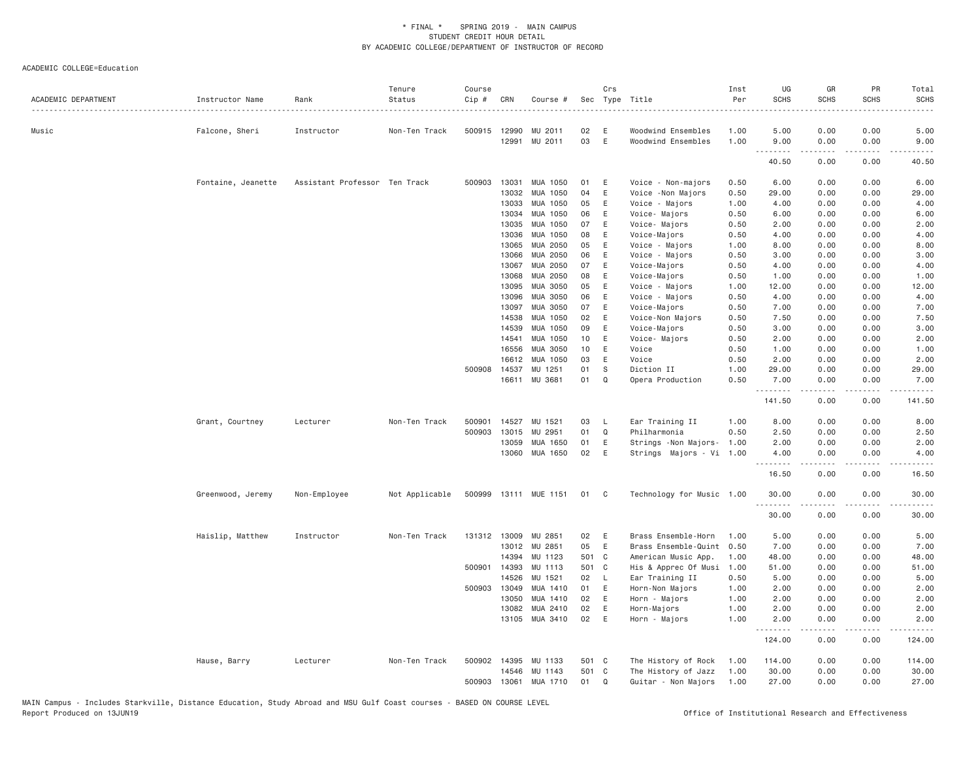| ACADEMIC DEPARTMENT | Instructor Name    | Rank                          | Tenure<br>Status | Course<br>Cip # | CRN          | Course #              |       | Crs            | Sec Type Title            | Inst<br>Per<br>. | UG<br><b>SCHS</b> | GR<br><b>SCHS</b>   | PR<br>SCHS | Total<br><b>SCHS</b>  |
|---------------------|--------------------|-------------------------------|------------------|-----------------|--------------|-----------------------|-------|----------------|---------------------------|------------------|-------------------|---------------------|------------|-----------------------|
| Music               | Falcone, Sheri     | Instructor                    | Non-Ten Track    | 500915 12990    |              | MU 2011               | 02    | Ε              | Woodwind Ensembles        | 1.00             | 5.00              | 0.00                | 0.00       | 5.00                  |
|                     |                    |                               |                  |                 | 12991        | MU 2011               | 03    | $\mathsf E$    | Woodwind Ensembles        | 1.00             | 9.00              | 0.00                | 0.00       | 9.00                  |
|                     |                    |                               |                  |                 |              |                       |       |                |                           |                  | .<br>40.50        | <u>.</u><br>0.00    | .<br>0.00  | . <u>. .</u><br>40.50 |
|                     | Fontaine, Jeanette | Assistant Professor Ten Track |                  | 500903          | 13031        | MUA 1050              | 01    | Ε              | Voice - Non-majors        | 0.50             | 6.00              | 0.00                | 0.00       | 6.00                  |
|                     |                    |                               |                  |                 | 13032        | MUA 1050              | 04    | $\mathsf E$    | Voice - Non Majors        | 0.50             | 29.00             | 0.00                | 0.00       | 29.00                 |
|                     |                    |                               |                  |                 | 13033        | MUA 1050              | 05    | Ε              | Voice - Majors            | 1.00             | 4.00              | 0.00                | 0.00       | 4.00                  |
|                     |                    |                               |                  |                 | 13034        | MUA 1050              | 06    | $\mathsf E$    | Voice- Majors             | 0.50             | 6.00              | 0.00                | 0.00       | 6.00                  |
|                     |                    |                               |                  |                 | 13035        | MUA 1050              | 07    | E              | Voice- Majors             | 0.50             | 2.00              | 0.00                | 0.00       | 2.00                  |
|                     |                    |                               |                  |                 | 13036        | MUA 1050              | 08    | E              | Voice-Majors              | 0.50             | 4.00              | 0.00                | 0.00       | 4.00                  |
|                     |                    |                               |                  |                 | 13065        | MUA 2050              | 05    | E              | Voice - Majors            | 1.00             | 8.00              | 0.00                | 0.00       | 8.00                  |
|                     |                    |                               |                  |                 | 13066        | MUA 2050              | 06    | Ε              | Voice - Majors            | 0.50             | 3.00              | 0.00                | 0.00       | 3.00                  |
|                     |                    |                               |                  |                 | 13067        | MUA 2050              | 07    | Ε              | Voice-Majors              | 0.50             | 4.00              | 0.00                | 0.00       | 4.00                  |
|                     |                    |                               |                  |                 | 13068        | MUA 2050              | 08    | Ε              | Voice-Majors              | 0.50             | 1.00              | 0.00                | 0.00       | 1.00                  |
|                     |                    |                               |                  |                 | 13095        | MUA 3050              | 05    | Ε              | Voice - Majors            | 1.00             | 12.00             | 0.00                | 0.00       | 12.00                 |
|                     |                    |                               |                  |                 | 13096        | MUA 3050              | 06    | $\mathsf E$    | Voice - Majors            | 0.50             | 4.00              | 0.00                | 0.00       | 4.00                  |
|                     |                    |                               |                  |                 | 13097        | MUA 3050              | 07    | Ε              | Voice-Majors              | 0.50             | 7.00              | 0.00                | 0.00       | 7.00                  |
|                     |                    |                               |                  |                 | 14538        | MUA 1050              | 02    | E              | Voice-Non Majors          | 0.50             | 7.50              | 0.00                | 0.00       | 7.50                  |
|                     |                    |                               |                  |                 | 14539        | MUA 1050              | 09    | Ε              | Voice-Majors              | 0.50             | 3.00              | 0.00                | 0.00       | 3.00                  |
|                     |                    |                               |                  |                 | 14541        | MUA 1050              | 10    | Ε              | Voice- Majors             | 0.50             | 2.00              | 0.00                | 0.00       | 2.00                  |
|                     |                    |                               |                  |                 | 16556        | MUA 3050              | 10    | Ε              | Voice                     | 0.50             | 1.00              | 0.00                | 0.00       | 1.00                  |
|                     |                    |                               |                  |                 | 16612        | MUA 1050              | 03    | Ε              | Voice                     | 0.50             | 2.00              | 0.00                | 0.00       | 2.00                  |
|                     |                    |                               |                  | 500908          | 14537        | MU 1251               | 01    | S              | Diction II                | 1.00             | 29.00             | 0.00                | 0.00       | 29.00                 |
|                     |                    |                               |                  |                 | 16611        | MU 3681               | 01    | $\Omega$       | Opera Production          | 0.50             | 7.00              | 0.00                | 0.00       | 7.00                  |
|                     |                    |                               |                  |                 |              |                       |       |                |                           |                  | .<br>141.50       | $- - - - -$<br>0.00 | .<br>0.00  | .<br>141.50           |
|                     | Grant, Courtney    | Lecturer                      | Non-Ten Track    | 500901          | 14527        | MU 1521               | 03    | L              | Ear Training II           | 1.00             | 8.00              | 0.00                | 0.00       | 8.00                  |
|                     |                    |                               |                  | 500903          | 13015        | MU 2951               | 01    | Q              | Philharmonia              | 0.50             | 2.50              | 0.00                | 0.00       | 2.50                  |
|                     |                    |                               |                  |                 | 13059        | MUA 1650              | 01    | E              | Strings -Non Majors-      | 1.00             | 2.00              | 0.00                | 0.00       | 2.00                  |
|                     |                    |                               |                  |                 | 13060        | MUA 1650              | 02    | E              | Strings Majors - Vi 1.00  |                  | 4.00<br><u>.</u>  | 0.00                | 0.00       | 4.00<br>$\frac{1}{2}$ |
|                     |                    |                               |                  |                 |              |                       |       |                |                           |                  | 16.50             | 0.00                | 0.00       | 16.50                 |
|                     | Greenwood, Jeremy  | Non-Employee                  | Not Applicable   |                 |              | 500999 13111 MUE 1151 | 01    | C <sub>c</sub> | Technology for Music 1.00 |                  | 30.00<br>.        | 0.00                | 0.00       | 30.00                 |
|                     |                    |                               |                  |                 |              |                       |       |                |                           |                  | 30.00             | 0.00                | 0.00       | 30.00                 |
|                     | Haislip, Matthew   | Instructor                    | Non-Ten Track    |                 | 131312 13009 | MU 2851               | 02    | E              | Brass Ensemble-Horn       | 1.00             | 5.00              | 0.00                | 0.00       | 5.00                  |
|                     |                    |                               |                  |                 | 13012        | MU 2851               | 05    | $\mathsf E$    | Brass Ensemble-Quint      | 0.50             | 7.00              | 0.00                | 0.00       | 7.00                  |
|                     |                    |                               |                  |                 | 14394        | MU 1123               | 501 C |                | American Music App.       | 1.00             | 48.00             | 0.00                | 0.00       | 48.00                 |
|                     |                    |                               |                  | 500901          | 14393        | MU 1113               | 501 C |                | His & Apprec Of Musi      | 1.00             | 51.00             | 0.00                | 0.00       | 51.00                 |
|                     |                    |                               |                  |                 | 14526        | MU 1521               | 02    | $\mathsf{L}$   | Ear Training II           | 0.50             | 5.00              | 0.00                | 0.00       | 5.00                  |
|                     |                    |                               |                  | 500903 13049    |              | MUA 1410              | 01    | E              | Horn-Non Majors           | 1.00             | 2.00              | 0.00                | 0.00       | 2.00                  |
|                     |                    |                               |                  |                 | 13050        | MUA 1410              | 02    | E              | Horn - Majors             | 1.00             | 2.00              | 0.00                | 0.00       | 2.00                  |
|                     |                    |                               |                  |                 | 13082        | MUA 2410              | 02    | Ε              | Horn-Majors               | 1.00             | 2.00              | 0.00                | 0.00       | 2.00                  |
|                     |                    |                               |                  |                 |              | 13105 MUA 3410        | 02    | Ε              | Horn - Majors             | 1.00             | 2.00              | 0.00                | 0.00       | 2.00                  |
|                     |                    |                               |                  |                 |              |                       |       |                |                           |                  | .<br>124.00       | $- - - - -$<br>0.00 | .<br>0.00  | $- - - - -$<br>124.00 |
|                     | Hause, Barry       | Lecturer                      | Non-Ten Track    | 500902          | 14395        | MU 1133               | 501 C |                | The History of Rock       | 1.00             | 114.00            | 0.00                | 0.00       | 114.00                |
|                     |                    |                               |                  |                 | 14546        | MU 1143               | 501 C |                | The History of Jazz       | 1.00             | 30.00             | 0.00                | 0.00       | 30.00                 |
|                     |                    |                               |                  | 500903          | 13061        | MUA 1710              | 01    | $\Omega$       | Guitar - Non Majors       | 1.00             | 27.00             | 0.00                | 0.00       | 27.00                 |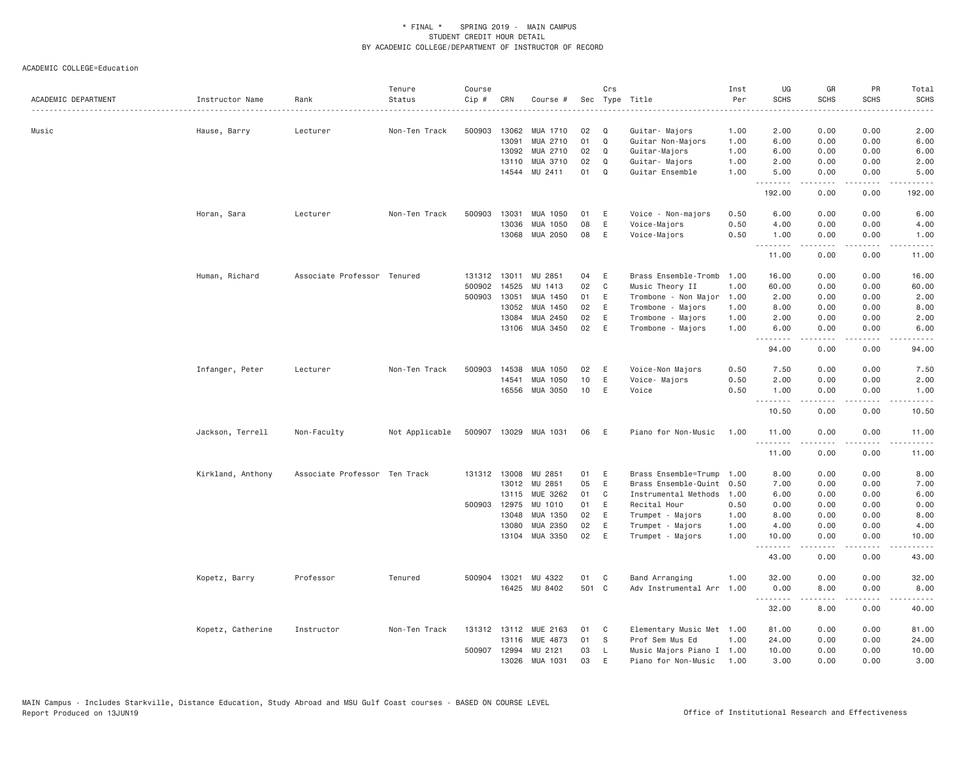| ACADEMIC DEPARTMENT | Instructor Name   | Rank                          | Tenure<br>Status | Course<br>Cip #        | CRN            | Course #              |          | Crs           | Sec Type Title                          | Inst<br>Per  | UG<br><b>SCHS</b> | GR<br><b>SCHS</b> | PR<br><b>SCHS</b>     | Total<br><b>SCHS</b>   |
|---------------------|-------------------|-------------------------------|------------------|------------------------|----------------|-----------------------|----------|---------------|-----------------------------------------|--------------|-------------------|-------------------|-----------------------|------------------------|
| Music               | Hause, Barry      | Lecturer                      | Non-Ten Track    | 500903                 | 13062          | MUA 1710              | 02       | Q             | Guitar- Majors                          | 1.00         | 2.00              | 0.00              | 0.00                  | 2.00                   |
|                     |                   |                               |                  |                        | 13091          | MUA 2710              | 01       | Q             | Guitar Non-Majors                       | 1.00         | 6.00              | 0.00              | 0.00                  | 6.00                   |
|                     |                   |                               |                  |                        | 13092          | MUA 2710              | 02       | Q             | Guitar-Majors                           | 1.00         | 6.00              | 0.00              | 0.00                  | 6.00                   |
|                     |                   |                               |                  |                        | 13110<br>14544 | MUA 3710<br>MU 2411   | 02<br>01 | Q<br>$\Omega$ | Guitar- Majors<br>Guitar Ensemble       | 1.00<br>1.00 | 2.00<br>5.00      | 0.00<br>0.00      | 0.00<br>0.00          | 2.00<br>5.00           |
|                     |                   |                               |                  |                        |                |                       |          |               |                                         |              | <u>.</u>          | .                 | .                     | .                      |
|                     |                   |                               |                  |                        |                |                       |          |               |                                         |              | 192.00            | 0.00              | 0.00                  | 192.00                 |
|                     | Horan, Sara       | Lecturer                      | Non-Ten Track    | 500903                 | 13031          | MUA 1050              | 01       | Ε             | Voice - Non-majors                      | 0.50         | 6.00              | 0.00              | 0.00                  | 6.00                   |
|                     |                   |                               |                  |                        | 13036          | MUA 1050              | 08       | Ε             | Voice-Majors                            | 0.50         | 4.00              | 0.00              | 0.00                  | 4.00                   |
|                     |                   |                               |                  |                        | 13068          | MUA 2050              | 08       | $\mathsf E$   | Voice-Majors                            | 0.50         | 1.00              | 0.00              | 0.00                  | 1.00                   |
|                     |                   |                               |                  |                        |                |                       |          |               |                                         |              | 11.00             | .<br>0.00         | .<br>0.00             | الداعات الدار<br>11.00 |
|                     |                   |                               |                  |                        |                |                       |          |               |                                         |              |                   |                   |                       |                        |
|                     | Human, Richard    | Associate Professor Tenured   |                  | 131312 13011<br>500902 | 14525          | MU<br>2851<br>MU 1413 | 04<br>02 | Ε<br>C        | Brass Ensemble-Tromb<br>Music Theory II | 1,00<br>1.00 | 16.00<br>60.00    | 0.00<br>0.00      | 0.00<br>0.00          | 16.00<br>60.00         |
|                     |                   |                               |                  | 500903                 | 13051          | MUA 1450              | 01       | E             | Trombone - Non Major                    | 1.00         | 2.00              | 0.00              | 0.00                  | 2.00                   |
|                     |                   |                               |                  |                        | 13052          | MUA 1450              | 02       | E             | Trombone - Majors                       | 1.00         | 8.00              | 0.00              | 0.00                  | 8.00                   |
|                     |                   |                               |                  |                        | 13084          | MUA 2450              | 02       | Ε             | Trombone - Majors                       | 1.00         | 2.00              | 0.00              | 0.00                  | 2.00                   |
|                     |                   |                               |                  |                        | 13106          | MUA 3450              | 02       | E             | Trombone - Majors                       | 1.00         | 6.00              | 0.00              | 0.00                  | 6.00                   |
|                     |                   |                               |                  |                        |                |                       |          |               |                                         |              | .<br>94.00        | .<br>0.00         | .<br>0.00             | $\frac{1}{2}$<br>94.00 |
|                     |                   |                               |                  |                        |                |                       |          |               |                                         |              |                   |                   |                       |                        |
|                     | Infanger, Peter   | Lecturer                      | Non-Ten Track    | 500903                 | 14538          | MUA 1050              | 02       | Ε             | Voice-Non Majors                        | 0.50         | 7.50              | 0.00              | 0.00                  | 7.50                   |
|                     |                   |                               |                  |                        | 14541          | MUA 1050              | 10       | E             | Voice- Majors                           | 0.50         | 2.00              | 0.00              | 0.00                  | 2.00                   |
|                     |                   |                               |                  |                        |                | 16556 MUA 3050        | 10       | E             | Voice                                   | 0.50         | 1.00<br>.         | 0.00<br>.         | 0.00<br>.             | 1.00<br>الدعاءا        |
|                     |                   |                               |                  |                        |                |                       |          |               |                                         |              | 10.50             | 0.00              | 0.00                  | 10.50                  |
|                     | Jackson, Terrell  | Non-Faculty                   | Not Applicable   |                        |                | 500907 13029 MUA 1031 | 06       | E             | Piano for Non-Music                     | 1.00         | 11.00<br>.        | 0.00<br>.         | 0.00<br>$\frac{1}{2}$ | 11.00                  |
|                     |                   |                               |                  |                        |                |                       |          |               |                                         |              | 11.00             | 0.00              | 0.00                  | 11.00                  |
|                     | Kirkland, Anthony | Associate Professor Ten Track |                  |                        | 131312 13008   | MU 2851               | 01       | Ε             | Brass Ensemble=Trump                    | 1.00         | 8.00              | 0.00              | 0.00                  | 8.00                   |
|                     |                   |                               |                  |                        |                | 13012 MU 2851         | 05       | E             | Brass Ensemble-Quint                    | 0.50         | 7.00              | 0.00              | 0.00                  | 7.00                   |
|                     |                   |                               |                  |                        | 13115          | MUE 3262              | 01       | C             | Instrumental Methods                    | 1.00         | 6.00              | 0.00              | 0.00                  | 6.00                   |
|                     |                   |                               |                  | 500903                 | 12975          | MU 1010               | 01       | Ε             | Recital Hour                            | 0.50         | 0.00              | 0.00              | 0.00                  | 0.00                   |
|                     |                   |                               |                  |                        | 13048          | MUA 1350              | 02       | E             | Trumpet - Majors                        | 1.00         | 8.00              | 0.00              | 0.00                  | 8.00                   |
|                     |                   |                               |                  |                        | 13080          | MUA 2350              | 02       | E             | Trumpet - Majors                        | 1.00         | 4.00              | 0.00              | 0.00                  | 4.00                   |
|                     |                   |                               |                  |                        | 13104          | MUA 3350              | 02       | E             | Trumpet - Majors                        | 1.00         | 10.00<br>.        | 0.00<br>.         | 0.00                  | 10.00<br>المتماما      |
|                     |                   |                               |                  |                        |                |                       |          |               |                                         |              | 43.00             | 0.00              | 0.00                  | 43.00                  |
|                     | Kopetz, Barry     | Professor                     | Tenured          | 500904 13021           |                | MU 4322               | 01       | C             | Band Arranging                          | 1.00         | 32.00             | 0.00              | 0.00                  | 32.00                  |
|                     |                   |                               |                  |                        | 16425          | MU 8402               | 501 C    |               | Adv Instrumental Arr                    | 1.00         | 0.00              | 8.00              | 0.00                  | 8.00                   |
|                     |                   |                               |                  |                        |                |                       |          |               |                                         |              | .                 | $- - - - - -$     | .                     | .                      |
|                     |                   |                               |                  |                        |                |                       |          |               |                                         |              | 32.00             | 8.00              | 0.00                  | 40.00                  |
|                     | Kopetz, Catherine | Instructor                    | Non-Ten Track    |                        | 131312 13112   | MUE 2163              | 01       | C             | Elementary Music Met 1.00               |              | 81.00             | 0.00              | 0.00                  | 81.00                  |
|                     |                   |                               |                  |                        | 13116          | MUE 4873              | 01       | S             | Prof Sem Mus Ed                         | 1.00         | 24.00             | 0.00              | 0.00                  | 24.00                  |
|                     |                   |                               |                  | 500907 12994           |                | MU 2121               | 03       | L             | Music Majors Piano I 1.00               |              | 10.00             | 0.00              | 0.00                  | 10.00                  |
|                     |                   |                               |                  |                        | 13026          | MUA 1031              | 03       | $\mathsf E$   | Piano for Non-Music                     | 1.00         | 3.00              | 0.00              | 0.00                  | 3.00                   |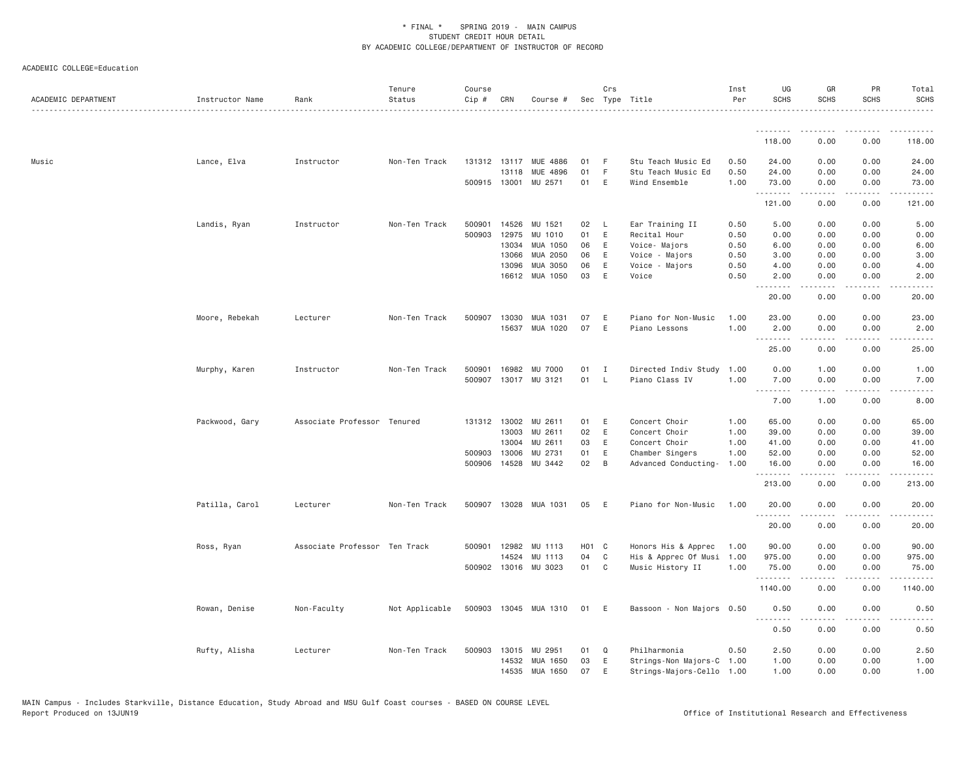| ACADEMIC DEPARTMENT | Instructor Name | Rank                          | Tenure<br>Status | Course<br>Cip # | CRN          | Course #                   |                   | Crs          | Sec Type Title            | Inst<br>Per | UG<br><b>SCHS</b>  | GR<br><b>SCHS</b>                                                                                                                                            | <b>PR</b><br><b>SCHS</b>     | Total<br><b>SCHS</b>                                                                                                                                          |
|---------------------|-----------------|-------------------------------|------------------|-----------------|--------------|----------------------------|-------------------|--------------|---------------------------|-------------|--------------------|--------------------------------------------------------------------------------------------------------------------------------------------------------------|------------------------------|---------------------------------------------------------------------------------------------------------------------------------------------------------------|
|                     |                 |                               |                  |                 |              |                            |                   |              |                           |             |                    |                                                                                                                                                              |                              |                                                                                                                                                               |
|                     |                 |                               |                  |                 |              |                            |                   |              |                           |             | 118.00             | 0.00                                                                                                                                                         | 0.00                         | 118.00                                                                                                                                                        |
| Music               | Lance, Elva     | Instructor                    | Non-Ten Track    |                 |              | 131312 13117 MUE 4886      | 01                | F            | Stu Teach Music Ed        | 0.50        | 24.00              | 0.00                                                                                                                                                         | 0.00                         | 24.00                                                                                                                                                         |
|                     |                 |                               |                  |                 | 13118        | MUE 4896                   | 01                | F            | Stu Teach Music Ed        | 0.50        | 24.00              | 0.00                                                                                                                                                         | 0.00                         | 24.00                                                                                                                                                         |
|                     |                 |                               |                  |                 |              | 500915 13001 MU 2571       | 01                | E            | Wind Ensemble             | 1.00        | 73.00<br>.         | 0.00<br><u>.</u>                                                                                                                                             | 0.00<br>.                    | 73.00<br>.                                                                                                                                                    |
|                     |                 |                               |                  |                 |              |                            |                   |              |                           |             | 121.00             | 0.00                                                                                                                                                         | 0.00                         | 121.00                                                                                                                                                        |
|                     | Landis, Ryan    | Instructor                    | Non-Ten Track    | 500901          | 14526        | MU 1521                    | 02                | L            | Ear Training II           | 0.50        | 5.00               | 0.00                                                                                                                                                         | 0.00                         | 5.00                                                                                                                                                          |
|                     |                 |                               |                  | 500903          | 12975        | MU 1010                    | 01                | E            | Recital Hour              | 0.50        | 0.00               | 0.00                                                                                                                                                         | 0.00                         | 0.00                                                                                                                                                          |
|                     |                 |                               |                  |                 | 13034        | MUA 1050                   | 06                | Ε            | Voice- Majors             | 0.50        | 6.00               | 0.00                                                                                                                                                         | 0.00                         | 6.00                                                                                                                                                          |
|                     |                 |                               |                  |                 | 13066        | MUA 2050                   | 06                | E            | Voice - Majors            | 0.50        | 3.00               | 0.00                                                                                                                                                         | 0.00                         | 3.00                                                                                                                                                          |
|                     |                 |                               |                  |                 | 13096        | MUA 3050                   | 06                | Ε            | Voice - Majors            | 0.50        | 4.00               | 0.00                                                                                                                                                         | 0.00                         | 4.00                                                                                                                                                          |
|                     |                 |                               |                  |                 | 16612        | MUA 1050                   | 03                | E            | Voice                     | 0.50        | 2.00<br>.          | 0.00<br>.                                                                                                                                                    | 0.00<br>المتمامين            | 2.00<br>.                                                                                                                                                     |
|                     |                 |                               |                  |                 |              |                            |                   |              |                           |             | 20.00              | 0.00                                                                                                                                                         | 0.00                         | 20.00                                                                                                                                                         |
|                     | Moore, Rebekah  | Lecturer                      | Non-Ten Track    | 500907          | 13030        | MUA 1031                   | 07                | E            | Piano for Non-Music       | 1,00        | 23.00              | 0.00                                                                                                                                                         | 0.00                         | 23.00                                                                                                                                                         |
|                     |                 |                               |                  |                 | 15637        | MUA 1020                   | 07                | E            | Piano Lessons             | 1.00        | 2.00               | 0.00                                                                                                                                                         | 0.00                         | 2.00                                                                                                                                                          |
|                     |                 |                               |                  |                 |              |                            |                   |              |                           |             | .<br>25.00         | $\frac{1}{2} \left( \frac{1}{2} \right) \left( \frac{1}{2} \right) \left( \frac{1}{2} \right) \left( \frac{1}{2} \right) \left( \frac{1}{2} \right)$<br>0.00 | .<br>0.00                    | .<br>25.00                                                                                                                                                    |
|                     |                 | Instructor                    | Non-Ten Track    | 500901          | 16982        | MU 7000                    | 01                | $\mathbf{I}$ | Directed Indiv Study      | 1.00        | 0.00               | 1.00                                                                                                                                                         | 0.00                         | 1.00                                                                                                                                                          |
|                     | Murphy, Karen   |                               |                  | 500907          |              | 13017 MU 3121              | 01                | $\mathsf{L}$ | Piano Class IV            | 1.00        | 7.00               | 0.00                                                                                                                                                         | 0.00                         | 7.00                                                                                                                                                          |
|                     |                 |                               |                  |                 |              |                            |                   |              |                           |             | .                  | $\frac{1}{2} \left( \frac{1}{2} \right) \left( \frac{1}{2} \right) \left( \frac{1}{2} \right) \left( \frac{1}{2} \right) \left( \frac{1}{2} \right)$         | .                            | $\frac{1}{2} \left( \frac{1}{2} \right) \left( \frac{1}{2} \right) \left( \frac{1}{2} \right) \left( \frac{1}{2} \right) \left( \frac{1}{2} \right)$          |
|                     |                 |                               |                  |                 |              |                            |                   |              |                           |             | 7.00               | 1.00                                                                                                                                                         | 0.00                         | 8.00                                                                                                                                                          |
|                     | Packwood, Gary  | Associate Professor Tenured   |                  |                 | 131312 13002 | MU 2611                    | 01                | Ε            | Concert Choir             | 1.00        | 65.00              | 0.00                                                                                                                                                         | 0.00                         | 65.00                                                                                                                                                         |
|                     |                 |                               |                  |                 | 13003        | MU 2611                    | 02                | E            | Concert Choir             | 1.00        | 39.00              | 0.00                                                                                                                                                         | 0.00                         | 39.00                                                                                                                                                         |
|                     |                 |                               |                  |                 | 13004        | MU 2611                    | 03                | E            | Concert Choir             | 1.00        | 41.00              | 0.00                                                                                                                                                         | 0.00                         | 41.00                                                                                                                                                         |
|                     |                 |                               |                  | 500903 13006    |              | MU 2731                    | 01                | E            | Chamber Singers           | 1.00        | 52.00              | 0.00                                                                                                                                                         | 0.00                         | 52.00                                                                                                                                                         |
|                     |                 |                               |                  |                 | 500906 14528 | MU 3442                    | 02                | B            | Advanced Conducting-      | 1.00        | 16.00<br>.         | 0.00<br>$\frac{1}{2} \left( \frac{1}{2} \right) \left( \frac{1}{2} \right) \left( \frac{1}{2} \right) \left( \frac{1}{2} \right) \left( \frac{1}{2} \right)$ | 0.00<br>$\frac{1}{2}$        | 16.00<br>$\frac{1}{2} \left( \frac{1}{2} \right) \left( \frac{1}{2} \right) \left( \frac{1}{2} \right) \left( \frac{1}{2} \right) \left( \frac{1}{2} \right)$ |
|                     |                 |                               |                  |                 |              |                            |                   |              |                           |             | 213.00             | 0.00                                                                                                                                                         | 0.00                         | 213.00                                                                                                                                                        |
|                     | Patilla, Carol  | Lecturer                      | Non-Ten Track    |                 |              | 500907 13028 MUA 1031      | 05                | E            | Piano for Non-Music       | 1.00        | 20.00<br>.         | 0.00                                                                                                                                                         | 0.00<br>$\sim$ $\sim$ $\sim$ | 20.00<br>.                                                                                                                                                    |
|                     |                 |                               |                  |                 |              |                            |                   |              |                           |             | 20.00              | 0.00                                                                                                                                                         | 0.00                         | 20.00                                                                                                                                                         |
|                     | Ross, Ryan      | Associate Professor Ten Track |                  | 500901          | 12982        | MU 1113                    | H <sub>01</sub> C |              | Honors His & Apprec       | 1.00        | 90.00              | 0.00                                                                                                                                                         | 0.00                         | 90.00                                                                                                                                                         |
|                     |                 |                               |                  |                 | 14524        | MU 1113                    | 04                | C            | His & Apprec Of Musi      | 1.00        | 975.00             | 0.00                                                                                                                                                         | 0.00                         | 975.00                                                                                                                                                        |
|                     |                 |                               |                  |                 |              | 500902 13016 MU 3023       | 01                | $\mathbf{C}$ | Music History II          | 1.00        | 75.00              | 0.00                                                                                                                                                         | 0.00                         | 75.00                                                                                                                                                         |
|                     |                 |                               |                  |                 |              |                            |                   |              |                           |             | .<br>1140.00       | $- - - - -$<br>0.00                                                                                                                                          | .<br>0.00                    | .<br>1140.00                                                                                                                                                  |
|                     | Rowan, Denise   | Non-Faculty                   | Not Applicable   |                 |              | 500903 13045 MUA 1310 01 E |                   |              | Bassoon - Non Majors 0.50 |             | 0.50               | 0.00                                                                                                                                                         | 0.00                         | 0.50                                                                                                                                                          |
|                     |                 |                               |                  |                 |              |                            |                   |              |                           |             | . <b>.</b><br>0.50 | $- - - - -$<br>0.00                                                                                                                                          | .<br>0.00                    | 0.50                                                                                                                                                          |
|                     | Rufty, Alisha   | Lecturer                      | Non-Ten Track    |                 | 500903 13015 | MU 2951                    | 01                | Q            | Philharmonia              | 0.50        | 2.50               | 0.00                                                                                                                                                         | 0.00                         | 2.50                                                                                                                                                          |
|                     |                 |                               |                  |                 | 14532        | MUA 1650                   | 03                | E            | Strings-Non Majors-C      | 1.00        | 1.00               | 0.00                                                                                                                                                         | 0.00                         | 1.00                                                                                                                                                          |
|                     |                 |                               |                  |                 |              | 14535 MUA 1650             | 07                | E            | Strings-Majors-Cello 1.00 |             | 1.00               | 0.00                                                                                                                                                         | 0.00                         | 1.00                                                                                                                                                          |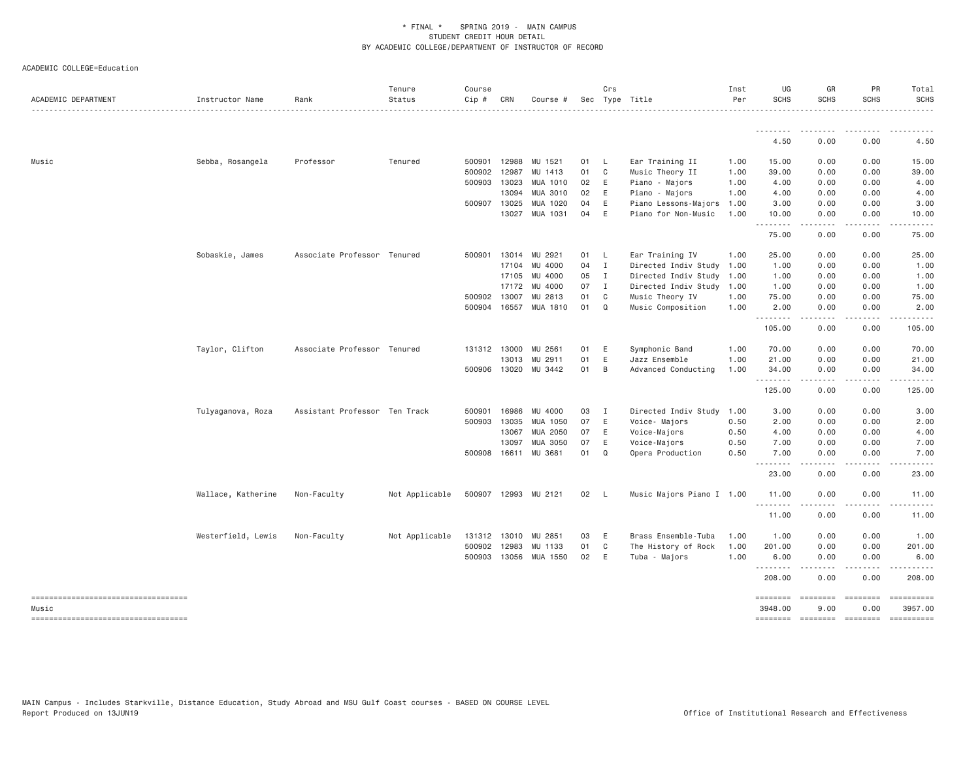| ACADEMIC DEPARTMENT                    | Instructor Name    | Rank                          | Tenure<br>Status<br>. | Course<br>Cip # | CRN            | Course #             |            | Crs            | Sec Type Title                         | Inst<br>Per  | UG<br><b>SCHS</b> | GR<br><b>SCHS</b>                                                                                                                                            | PR<br><b>SCHS</b> | Total<br><b>SCHS</b><br>. |
|----------------------------------------|--------------------|-------------------------------|-----------------------|-----------------|----------------|----------------------|------------|----------------|----------------------------------------|--------------|-------------------|--------------------------------------------------------------------------------------------------------------------------------------------------------------|-------------------|---------------------------|
|                                        |                    |                               |                       |                 |                |                      |            |                |                                        |              | 4.50              | 0.00                                                                                                                                                         | 0.00              | 4.50                      |
|                                        |                    |                               |                       |                 |                |                      |            |                |                                        |              |                   |                                                                                                                                                              |                   |                           |
| Music                                  | Sebba, Rosangela   | Professor                     | Tenured               | 500901          | 12988          | MU 1521              | 01         | - L            | Ear Training II                        | 1.00         | 15.00             | 0.00                                                                                                                                                         | 0.00              | 15.00                     |
|                                        |                    |                               |                       | 500902          | 12987          | MU 1413              | 01         | $\mathbf{C}$   | Music Theory II                        | 1.00         | 39.00             | 0.00                                                                                                                                                         | 0.00              | 39.00                     |
|                                        |                    |                               |                       | 500903          | 13023<br>13094 | MUA 1010<br>MUA 3010 | 02 E<br>02 | E              | Piano - Majors                         | 1.00         | 4.00              | 0.00                                                                                                                                                         | 0.00              | 4.00<br>4.00              |
|                                        |                    |                               |                       |                 | 500907 13025   | MUA 1020             | 04         | E              | Piano - Majors<br>Piano Lessons-Majors | 1.00<br>1.00 | 4.00<br>3.00      | 0.00<br>0.00                                                                                                                                                 | 0.00<br>0.00      | 3.00                      |
|                                        |                    |                               |                       |                 | 13027          | MUA 1031             | 04         | E              | Piano for Non-Music                    | 1.00         | 10.00             | 0.00                                                                                                                                                         | 0.00              | 10.00                     |
|                                        |                    |                               |                       |                 |                |                      |            |                |                                        |              | .                 | .                                                                                                                                                            | .                 | .                         |
|                                        |                    |                               |                       |                 |                |                      |            |                |                                        |              | 75.00             | 0.00                                                                                                                                                         | 0.00              | 75.00                     |
|                                        | Sobaskie, James    | Associate Professor Tenured   |                       | 500901          | 13014          | MU 2921              | 01         | - L            | Ear Training IV                        | 1.00         | 25.00             | 0.00                                                                                                                                                         | 0.00              | 25.00                     |
|                                        |                    |                               |                       |                 | 17104          | MU 4000              | $04$ I     |                | Directed Indiv Study                   | 1.00         | 1.00              | 0.00                                                                                                                                                         | 0.00              | 1.00                      |
|                                        |                    |                               |                       |                 | 17105          | MU 4000              | 05         | $\blacksquare$ | Directed Indiv Study 1.00              |              | 1.00              | 0.00                                                                                                                                                         | 0.00              | 1.00                      |
|                                        |                    |                               |                       |                 | 17172          | MU 4000              | 07         | I              | Directed Indiv Study 1.00              |              | 1.00              | 0.00                                                                                                                                                         | 0.00              | 1.00                      |
|                                        |                    |                               |                       | 500902          | 13007          | MU 2813              | 01         | $\mathbf{C}$   | Music Theory IV                        | 1.00         | 75.00             | 0.00                                                                                                                                                         | 0.00              | 75.00                     |
|                                        |                    |                               |                       |                 | 500904 16557   | MUA 1810             | 01         | Q              | Music Composition                      | 1.00         | 2.00<br>--------  | 0.00<br>$\cdots \cdots \cdots$                                                                                                                               | 0.00<br>.         | 2.00<br>.                 |
|                                        |                    |                               |                       |                 |                |                      |            |                |                                        |              | 105.00            | 0.00                                                                                                                                                         | 0.00              | 105.00                    |
|                                        | Taylor, Clifton    | Associate Professor Tenured   |                       |                 | 131312 13000   | MU 2561              | 01         | E              | Symphonic Band                         | 1.00         | 70.00             | 0.00                                                                                                                                                         | 0.00              | 70.00                     |
|                                        |                    |                               |                       |                 | 13013          | MU 2911              | 01         | E              | Jazz Ensemble                          | 1.00         | 21.00             | 0.00                                                                                                                                                         | 0.00              | 21.00                     |
|                                        |                    |                               |                       | 500906          | 13020          | MU 3442              | 01         | $\overline{B}$ | Advanced Conducting                    | 1.00         | 34.00             | 0.00                                                                                                                                                         | 0.00              | 34.00<br>.                |
|                                        |                    |                               |                       |                 |                |                      |            |                |                                        |              | .<br>125.00       | $- - - - -$<br>0.00                                                                                                                                          | 0.00              | 125.00                    |
|                                        | Tulyaganova, Roza  | Assistant Professor Ten Track |                       | 500901          | 16986          | MU 4000              | 03         | $\mathbf{I}$   | Directed Indiv Study                   | 1.00         | 3.00              | 0.00                                                                                                                                                         | 0.00              | 3.00                      |
|                                        |                    |                               |                       | 500903          | 13035          | MUA 1050             | 07         | E              | Voice- Majors                          | 0.50         | 2.00              | 0.00                                                                                                                                                         | 0.00              | 2.00                      |
|                                        |                    |                               |                       |                 | 13067          | MUA 2050             | 07         | E              | Voice-Majors                           | 0.50         | 4.00              | 0.00                                                                                                                                                         | 0.00              | 4.00                      |
|                                        |                    |                               |                       |                 | 13097          | MUA 3050             | 07         | E              | Voice-Majors                           | 0.50         | 7.00              | 0.00                                                                                                                                                         | 0.00              | 7.00                      |
|                                        |                    |                               |                       |                 | 500908 16611   | MU 3681              | 01         | $\Omega$       | Opera Production                       | 0.50         | 7.00<br>.         | 0.00<br>$\frac{1}{2} \left( \frac{1}{2} \right) \left( \frac{1}{2} \right) \left( \frac{1}{2} \right) \left( \frac{1}{2} \right) \left( \frac{1}{2} \right)$ | 0.00<br>.         | 7.00<br>.                 |
|                                        |                    |                               |                       |                 |                |                      |            |                |                                        |              | 23.00             | 0.00                                                                                                                                                         | 0.00              | 23.00                     |
|                                        | Wallace, Katherine | Non-Faculty                   | Not Applicable        |                 |                | 500907 12993 MU 2121 | 02 L       |                | Music Majors Piano I 1.00              |              | 11.00             | 0.00                                                                                                                                                         | 0.00<br>$\cdots$  | 11.00                     |
|                                        |                    |                               |                       |                 |                |                      |            |                |                                        |              | 11.00             | $- - - - -$<br>0.00                                                                                                                                          | 0.00              | . <u>.</u> .<br>11.00     |
|                                        | Westerfield, Lewis | Non-Faculty                   | Not Applicable        | 131312          | 13010          | MU 2851              | 03         | E              | Brass Ensemble-Tuba                    | 1.00         | 1.00              | 0.00                                                                                                                                                         | 0.00              | 1.00                      |
|                                        |                    |                               |                       | 500902          | 12983          | MU 1133              | 01         | C              | The History of Rock                    | 1.00         | 201.00            | 0.00                                                                                                                                                         | 0.00              | 201.00                    |
|                                        |                    |                               |                       | 500903          | 13056          | MUA 1550             | 02         | E              | Tuba - Majors                          | 1.00         | 6.00              | 0.00                                                                                                                                                         | 0.00              | 6.00                      |
|                                        |                    |                               |                       |                 |                |                      |            |                |                                        |              | .<br>208.00       | 0.00                                                                                                                                                         | 0.00              | 208.00                    |
| -----------------------------------    |                    |                               |                       |                 |                |                      |            |                |                                        |              | ========          | $=$ ========                                                                                                                                                 | $=$ ========      | $= 222222222222$          |
| Music                                  |                    |                               |                       |                 |                |                      |            |                |                                        |              | 3948.00           | 9,00                                                                                                                                                         | 0.00              | 3957.00                   |
| ====================================== |                    |                               |                       |                 |                |                      |            |                |                                        |              | <b>SEBERBER</b>   | $=$ ========                                                                                                                                                 | $=$ ========      | $=$ ==========            |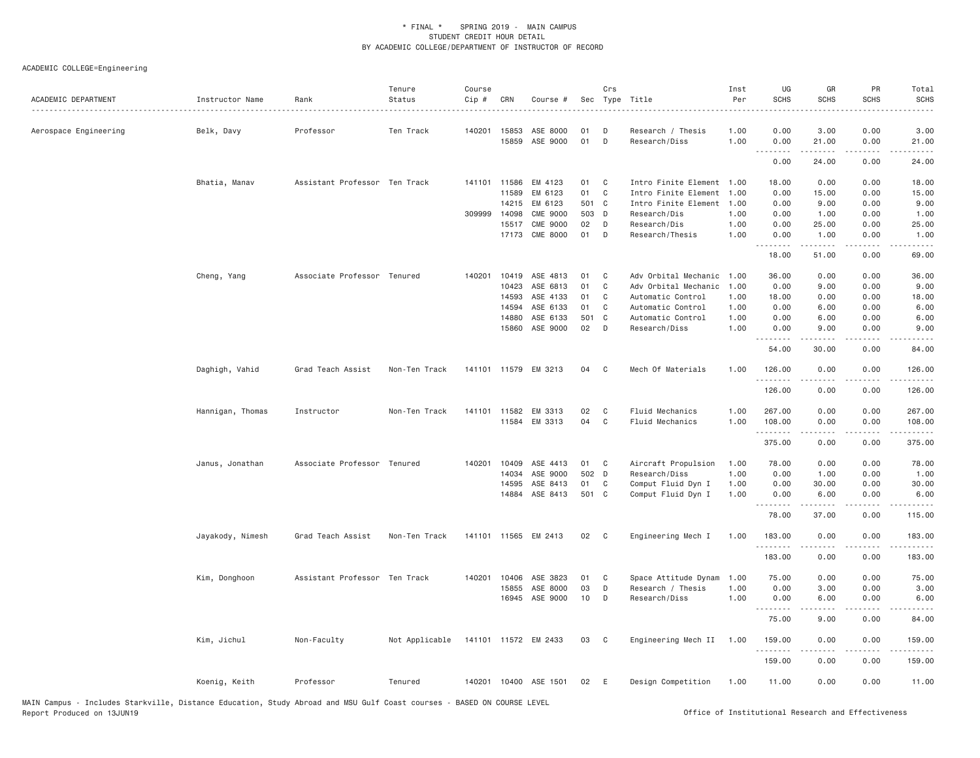| ACADEMIC DEPARTMENT   | Instructor Name  | Rank                          | Tenure<br>Status                    | Course<br>Cip # | CRN          | Course #              |       | Crs            | Sec Type Title            | Inst<br>Per | UG<br><b>SCHS</b> | GR<br><b>SCHS</b> | PR<br><b>SCHS</b>                   | Total<br><b>SCHS</b>                                                                                                                                         |
|-----------------------|------------------|-------------------------------|-------------------------------------|-----------------|--------------|-----------------------|-------|----------------|---------------------------|-------------|-------------------|-------------------|-------------------------------------|--------------------------------------------------------------------------------------------------------------------------------------------------------------|
| Aerospace Engineering | Belk, Davy       | Professor                     | Ten Track                           | 140201          | 15853        | ASE 8000              | 01    | D              | Research / Thesis         | 1.00        | 0.00              | 3.00              | 0.00                                | 3.00                                                                                                                                                         |
|                       |                  |                               |                                     |                 | 15859        | ASE 9000              | 01    | D              | Research/Diss             | 1.00        | 0.00<br>.         | 21.00<br>.        | 0.00<br>$\sim$ $\sim$ $\sim$ $\sim$ | 21.00<br>.                                                                                                                                                   |
|                       |                  |                               |                                     |                 |              |                       |       |                |                           |             | 0.00              | 24.00             | 0.00                                | 24.00                                                                                                                                                        |
|                       | Bhatia, Manav    | Assistant Professor Ten Track |                                     |                 | 141101 11586 | EM 4123               | 01    | C              | Intro Finite Element 1.00 |             | 18.00             | 0.00              | 0.00                                | 18.00                                                                                                                                                        |
|                       |                  |                               |                                     |                 | 11589        | EM 6123               | 01    | $\mathbf{C}$   | Intro Finite Element 1.00 |             | 0.00              | 15.00             | 0.00                                | 15.00                                                                                                                                                        |
|                       |                  |                               |                                     |                 | 14215        | EM 6123               | 501 C |                | Intro Finite Element      | 1.00        | 0.00              | 9.00              | 0.00                                | 9.00                                                                                                                                                         |
|                       |                  |                               |                                     | 309999          | 14098        | <b>CME 9000</b>       | 503 D |                | Research/Dis              | 1.00        | 0.00              | 1.00              | 0.00                                | 1.00                                                                                                                                                         |
|                       |                  |                               |                                     |                 | 15517        | <b>CME 9000</b>       | 02    | D              | Research/Dis              | 1.00        | 0.00              | 25.00             | 0.00                                | 25.00                                                                                                                                                        |
|                       |                  |                               |                                     |                 | 17173        | <b>CME 8000</b>       | 01    | D              | Research/Thesis           | 1.00        | 0.00<br>.         | 1.00<br>.         | 0.00<br>.                           | 1.00<br>المستبدا                                                                                                                                             |
|                       |                  |                               |                                     |                 |              |                       |       |                |                           |             | 18.00             | 51.00             | 0.00                                | 69.00                                                                                                                                                        |
|                       | Cheng, Yang      | Associate Professor Tenured   |                                     | 140201          | 10419        | ASE 4813              | 01    | C              | Adv Orbital Mechanic 1.00 |             | 36.00             | 0.00              | 0.00                                | 36.00                                                                                                                                                        |
|                       |                  |                               |                                     |                 | 10423        | ASE 6813              | 01    | C              | Adv Orbital Mechanic      | 1.00        | 0.00              | 9.00              | 0.00                                | 9.00                                                                                                                                                         |
|                       |                  |                               |                                     |                 | 14593        | ASE 4133              | 01    | C              | Automatic Control         | 1.00        | 18.00             | 0.00              | 0.00                                | 18.00                                                                                                                                                        |
|                       |                  |                               |                                     |                 | 14594        | ASE 6133              | 01    | C              | Automatic Control         | 1.00        | 0.00              | 6.00              | 0.00                                | 6.00                                                                                                                                                         |
|                       |                  |                               |                                     |                 | 14880        | ASE 6133              | 501 C |                | Automatic Control         | 1.00        | 0.00              | 6.00              | 0.00                                | 6.00                                                                                                                                                         |
|                       |                  |                               |                                     |                 | 15860        | ASE 9000              | 02    | D              | Research/Diss             | 1.00        | 0.00              | 9.00              | 0.00                                | 9.00                                                                                                                                                         |
|                       |                  |                               |                                     |                 |              |                       |       |                |                           |             | 54.00             | 30.00             | 0.00                                | 84.00                                                                                                                                                        |
|                       | Daghigh, Vahid   | Grad Teach Assist             | Non-Ten Track                       |                 |              | 141101 11579 EM 3213  | 04    | C <sub>c</sub> | Mech Of Materials         | 1.00        | 126.00<br>.       | 0.00<br>.         | 0.00<br>$   -$                      | 126.00<br>$- - - - - -$                                                                                                                                      |
|                       |                  |                               |                                     |                 |              |                       |       |                |                           |             | 126.00            | 0.00              | 0.00                                | 126.00                                                                                                                                                       |
|                       | Hannigan, Thomas | Instructor                    | Non-Ten Track                       | 141101          | 11582        | EM 3313               | 02    | C              | Fluid Mechanics           | 1.00        | 267.00            | 0.00              | 0.00                                | 267.00                                                                                                                                                       |
|                       |                  |                               |                                     |                 | 11584        | EM 3313               | 04    | $\mathbf C$    | Fluid Mechanics           | 1.00        | 108.00<br>.       | 0.00              | 0.00<br>$\sim$ $\sim$ $\sim$ $\sim$ | 108.00<br>.                                                                                                                                                  |
|                       |                  |                               |                                     |                 |              |                       |       |                |                           |             | 375.00            | 0.00              | 0.00                                | 375.00                                                                                                                                                       |
|                       | Janus, Jonathan  | Associate Professor Tenured   |                                     | 140201          | 10409        | ASE 4413              | 01    | $\mathbf{C}$   | Aircraft Propulsion       | 1.00        | 78.00             | 0.00              | 0.00                                | 78.00                                                                                                                                                        |
|                       |                  |                               |                                     |                 | 14034        | ASE 9000              | 502 D |                | Research/Diss             | 1.00        | 0.00              | 1.00              | 0.00                                | 1.00                                                                                                                                                         |
|                       |                  |                               |                                     |                 | 14595        | ASE 8413              | 01    | C              | Comput Fluid Dyn I        | 1.00        | 0.00              | 30.00             | 0.00                                | 30.00                                                                                                                                                        |
|                       |                  |                               |                                     |                 | 14884        | ASE 8413              | 501 C |                | Comput Fluid Dyn I        | 1.00        | 0.00<br>.         | 6.00<br>.         | 0.00<br>.                           | 6.00<br>$\frac{1}{2} \left( \frac{1}{2} \right) \left( \frac{1}{2} \right) \left( \frac{1}{2} \right) \left( \frac{1}{2} \right) \left( \frac{1}{2} \right)$ |
|                       |                  |                               |                                     |                 |              |                       |       |                |                           |             | 78.00             | 37.00             | 0.00                                | 115.00                                                                                                                                                       |
|                       | Jayakody, Nimesh | Grad Teach Assist             | Non-Ten Track                       |                 |              | 141101 11565 EM 2413  | 02    | $\mathbf{C}$   | Engineering Mech I        | 1.00        | 183.00<br>.       | 0.00<br>.         | 0.00                                | 183.00                                                                                                                                                       |
|                       |                  |                               |                                     |                 |              |                       |       |                |                           |             | 183.00            | 0.00              | 0.00                                | 183.00                                                                                                                                                       |
|                       | Kim, Donghoon    | Assistant Professor Ten Track |                                     | 140201          | 10406        | ASE 3823              | 01    | C              | Space Attitude Dynam      | 1.00        | 75.00             | 0.00              | 0.00                                | 75.00                                                                                                                                                        |
|                       |                  |                               |                                     |                 | 15855        | ASE 8000              | 03    | D              | Research / Thesis         | 1.00        | 0.00              | 3.00              | 0.00                                | 3.00                                                                                                                                                         |
|                       |                  |                               |                                     |                 | 16945        | ASE 9000              | 10    | D              | Research/Diss             | 1.00        | 0.00<br>.         | 6.00              | 0.00                                | 6.00                                                                                                                                                         |
|                       |                  |                               |                                     |                 |              |                       |       |                |                           |             | 75.00             | 9.00              | 0.00                                | 84.00                                                                                                                                                        |
|                       | Kim, Jichul      | Non-Faculty                   | Not Applicable 141101 11572 EM 2433 |                 |              |                       | 03 C  |                | Engineering Mech II 1.00  |             | 159.00<br>.       | 0.00              | 0.00                                | 159.00                                                                                                                                                       |
|                       |                  |                               |                                     |                 |              |                       |       |                |                           |             | 159.00            | 0.00              | .<br>0.00                           | 159.00                                                                                                                                                       |
|                       | Koenig, Keith    | Professor                     | Tenured                             |                 |              | 140201 10400 ASE 1501 | 02    | E              | Design Competition        | 1.00        | 11.00             | 0.00              | 0.00                                | 11.00                                                                                                                                                        |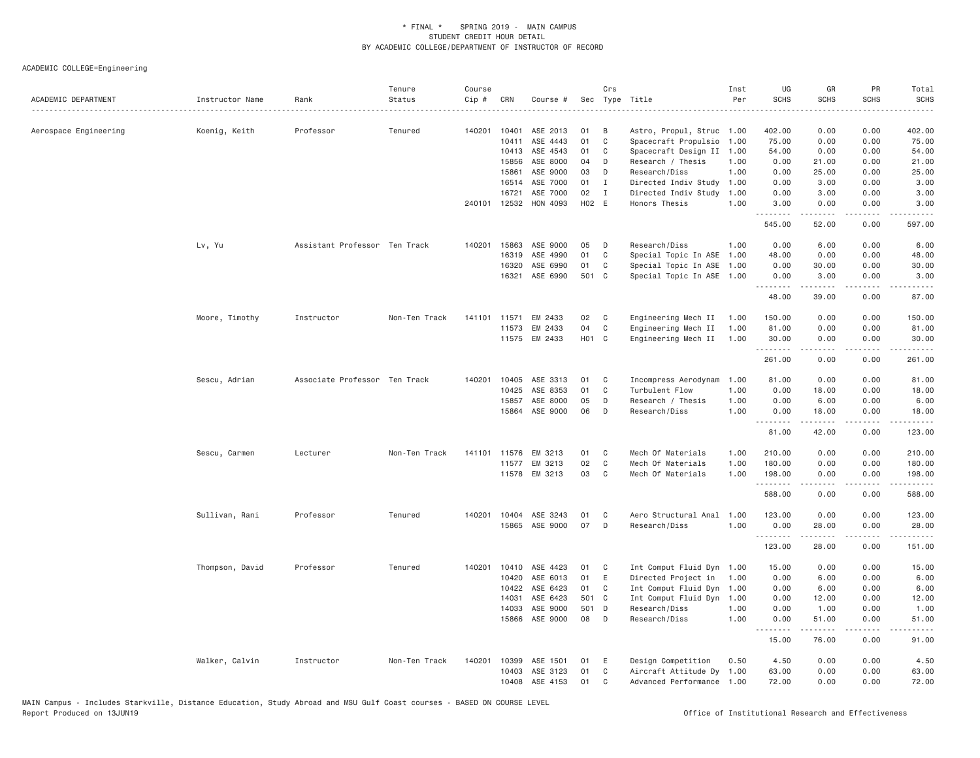| ACADEMIC DEPARTMENT   | Instructor Name | Rank                          | Tenure<br>Status | Course<br>Cip # | CRN            | Course #              |                   | Crs          | Sec Type Title                 | Inst<br>Per  | UG<br><b>SCHS</b>       | GR<br><b>SCHS</b> | PR<br><b>SCHS</b><br>$\frac{1}{2} \left( \frac{1}{2} \right) \left( \frac{1}{2} \right) \left( \frac{1}{2} \right) \left( \frac{1}{2} \right) \left( \frac{1}{2} \right)$ | Total<br><b>SCHS</b><br>.                                                                                            |
|-----------------------|-----------------|-------------------------------|------------------|-----------------|----------------|-----------------------|-------------------|--------------|--------------------------------|--------------|-------------------------|-------------------|---------------------------------------------------------------------------------------------------------------------------------------------------------------------------|----------------------------------------------------------------------------------------------------------------------|
| Aerospace Engineering | Koenig, Keith   | Professor                     | Tenured          | 140201          | 10401          | ASE 2013              | 01                | B            | Astro, Propul, Struc 1.00      |              | 402.00                  | 0.00              | 0.00                                                                                                                                                                      | 402.00                                                                                                               |
|                       |                 |                               |                  |                 | 10411          | ASE 4443              | 01                | C            | Spacecraft Propulsio           | 1.00         | 75.00                   | 0.00              | 0.00                                                                                                                                                                      | 75.00                                                                                                                |
|                       |                 |                               |                  |                 | 10413          | ASE 4543              | 01                | C            | Spacecraft Design II 1.00      |              | 54.00                   | 0.00              | 0.00                                                                                                                                                                      | 54.00                                                                                                                |
|                       |                 |                               |                  |                 | 15856          | ASE 8000              | 04                | D            | Research / Thesis              | 1.00         | 0.00                    | 21.00             | 0.00                                                                                                                                                                      | 21.00                                                                                                                |
|                       |                 |                               |                  |                 | 15861          | ASE 9000              | 03                | D            | Research/Diss                  | 1.00         | 0.00                    | 25.00             | 0.00                                                                                                                                                                      | 25.00                                                                                                                |
|                       |                 |                               |                  |                 | 16514          | ASE 7000              | 01                | Ι.           | Directed Indiv Study           | 1.00         | 0.00                    | 3.00              | 0.00                                                                                                                                                                      | 3.00                                                                                                                 |
|                       |                 |                               |                  |                 | 16721          | ASE 7000              | 02                | $\mathbf{I}$ | Directed Indiv Study           | 1.00         | 0.00                    | 3.00              | 0.00                                                                                                                                                                      | 3.00                                                                                                                 |
|                       |                 |                               |                  |                 |                | 240101 12532 HON 4093 | H02 E             |              | Honors Thesis                  | 1.00         | 3.00<br>.               | 0.00<br>-----     | 0.00<br>.                                                                                                                                                                 | 3.00<br>.                                                                                                            |
|                       |                 |                               |                  |                 |                |                       |                   |              |                                |              | 545.00                  | 52.00             | 0.00                                                                                                                                                                      | 597.00                                                                                                               |
|                       | Lv, Yu          | Assistant Professor Ten Track |                  | 140201          | 15863          | ASE 9000              | 05                | D            | Research/Diss                  | 1.00         | 0.00                    | 6.00              | 0.00                                                                                                                                                                      | 6.00                                                                                                                 |
|                       |                 |                               |                  |                 | 16319          | ASE 4990              | 01                | C            | Special Topic In ASE 1.00      |              | 48.00                   | 0.00              | 0.00                                                                                                                                                                      | 48.00                                                                                                                |
|                       |                 |                               |                  |                 | 16320          | ASE 6990              | 01                | C            | Special Topic In ASE 1.00      |              | 0.00                    | 30.00             | 0.00                                                                                                                                                                      | 30.00                                                                                                                |
|                       |                 |                               |                  |                 | 16321          | ASE 6990              | 501               | C            | Special Topic In ASE 1.00      |              | 0.00<br>.               | 3.00              | 0.00<br>.                                                                                                                                                                 | 3.00<br>د د د د د                                                                                                    |
|                       |                 |                               |                  |                 |                |                       |                   |              |                                |              | 48.00                   | 39.00             | 0.00                                                                                                                                                                      | 87.00                                                                                                                |
|                       | Moore, Timothy  | Instructor                    | Non-Ten Track    | 141101          | 11571          | EM 2433               | 02                | C            | Engineering Mech II            | 1.00         | 150.00                  | 0.00              | 0.00                                                                                                                                                                      | 150.00                                                                                                               |
|                       |                 |                               |                  |                 | 11573          | EM 2433               | 04                | C            | Engineering Mech II            | 1.00         | 81.00                   | 0.00              | 0.00                                                                                                                                                                      | 81.00                                                                                                                |
|                       |                 |                               |                  |                 |                | 11575 EM 2433         | H <sub>01</sub> C |              | Engineering Mech II            | 1.00         | 30.00                   | 0.00              | 0.00                                                                                                                                                                      | 30.00                                                                                                                |
|                       |                 |                               |                  |                 |                |                       |                   |              |                                |              | .<br>261.00             | .<br>0.00         | .<br>0.00                                                                                                                                                                 | 1.1.1.1.1<br>261.00                                                                                                  |
|                       | Sescu, Adrian   | Associate Professor Ten Track |                  | 140201          | 10405          | ASE 3313              | 01                | C            | Incompress Aerodynam           | 1.00         | 81.00                   | 0.00              | 0.00                                                                                                                                                                      | 81.00                                                                                                                |
|                       |                 |                               |                  |                 | 10425          | ASE 8353              | 01                | $\mathbf{C}$ | Turbulent Flow                 | 1.00         | 0.00                    | 18.00             | 0.00                                                                                                                                                                      | 18.00                                                                                                                |
|                       |                 |                               |                  |                 | 15857          | ASE 8000              | 05                | D            | Research / Thesis              | 1.00         | 0.00                    | 6.00              | 0.00                                                                                                                                                                      | 6.00                                                                                                                 |
|                       |                 |                               |                  |                 |                | 15864 ASE 9000        | 06                | D            | Research/Diss                  | 1.00         | 0.00<br>.               | 18.00<br>.        | 0.00<br>.                                                                                                                                                                 | 18.00<br>$\begin{array}{cccccccccc} \bullet & \bullet & \bullet & \bullet & \bullet & \bullet & \bullet \end{array}$ |
|                       |                 |                               |                  |                 |                |                       |                   |              |                                |              | 81.00                   | 42.00             | 0.00                                                                                                                                                                      | 123.00                                                                                                               |
|                       | Sescu, Carmen   | Lecturer                      | Non-Ten Track    | 141101          | 11576          | EM 3213               | 01                | C            | Mech Of Materials              | 1.00         | 210.00                  | 0.00              | 0.00                                                                                                                                                                      | 210.00                                                                                                               |
|                       |                 |                               |                  |                 | 11577          | EM 3213               | 02                | $\mathbf C$  | Mech Of Materials              | 1.00         | 180.00                  | 0.00              | 0.00                                                                                                                                                                      | 180.00                                                                                                               |
|                       |                 |                               |                  |                 |                | 11578 EM 3213         | 03                | C            | Mech Of Materials              | 1.00         | 198.00<br>.             | 0.00              | 0.00<br>$   -$                                                                                                                                                            | 198.00<br><u>.</u>                                                                                                   |
|                       |                 |                               |                  |                 |                |                       |                   |              |                                |              | 588.00                  | 0.00              | 0.00                                                                                                                                                                      | 588.00                                                                                                               |
|                       | Sullivan, Rani  | Professor                     | Tenured          |                 |                | 140201 10404 ASE 3243 | 01                | C            | Aero Structural Anal 1.00      |              | 123.00                  | 0.00              | 0.00                                                                                                                                                                      | 123.00                                                                                                               |
|                       |                 |                               |                  |                 | 15865          | ASE 9000              | 07                | D            | Research/Diss                  | 1.00         | 0.00<br><u>.</u>        | 28.00<br>.        | 0.00<br>.                                                                                                                                                                 | 28.00<br>.                                                                                                           |
|                       |                 |                               |                  |                 |                |                       |                   |              |                                |              | 123.00                  | 28.00             | 0.00                                                                                                                                                                      | 151.00                                                                                                               |
|                       | Thompson, David | Professor                     | Tenured          | 140201          | 10410          | ASE 4423              | 01                | C            | Int Comput Fluid Dyn           | 1.00         | 15.00                   | 0.00              | 0.00                                                                                                                                                                      | 15.00                                                                                                                |
|                       |                 |                               |                  |                 | 10420          | ASE 6013              | 01                | E            | Directed Project in            | 1.00         | 0.00                    | 6.00              | 0.00                                                                                                                                                                      | 6.00                                                                                                                 |
|                       |                 |                               |                  |                 | 10422          | ASE 6423              | 01                | C            | Int Comput Fluid Dyn 1.00      |              | 0.00                    | 6.00              | 0.00                                                                                                                                                                      | 6.00                                                                                                                 |
|                       |                 |                               |                  |                 | 14031          | ASE 6423              | 501 C             |              | Int Comput Fluid Dyn 1.00      |              | 0.00                    | 12.00             | 0.00                                                                                                                                                                      | 12.00                                                                                                                |
|                       |                 |                               |                  |                 | 14033<br>15866 | ASE 9000<br>ASE 9000  | 501 D<br>08       | D            | Research/Diss<br>Research/Diss | 1.00<br>1.00 | 0.00<br>0.00            | 1.00<br>51.00     | 0.00<br>0.00                                                                                                                                                              | 1.00<br>51.00                                                                                                        |
|                       |                 |                               |                  |                 |                |                       |                   |              |                                |              | <u> - - - - - - - -</u> | 2.2.2.2.2         | .                                                                                                                                                                         | $- - - - -$                                                                                                          |
|                       |                 |                               |                  |                 |                |                       |                   |              |                                |              | 15.00                   | 76.00             | 0.00                                                                                                                                                                      | 91.00                                                                                                                |
|                       | Walker, Calvin  | Instructor                    | Non-Ten Track    | 140201          | 10399          | ASE 1501              | 01                | E            | Design Competition             | 0.50         | 4.50                    | 0.00              | 0.00                                                                                                                                                                      | 4.50                                                                                                                 |
|                       |                 |                               |                  |                 | 10403          | ASE 3123              | 01                | C            | Aircraft Attitude Dy 1.00      |              | 63.00                   | 0.00              | 0.00                                                                                                                                                                      | 63.00                                                                                                                |
|                       |                 |                               |                  |                 | 10408          | ASE 4153              | 01                | C            | Advanced Performance 1.00      |              | 72.00                   | 0.00              | 0.00                                                                                                                                                                      | 72.00                                                                                                                |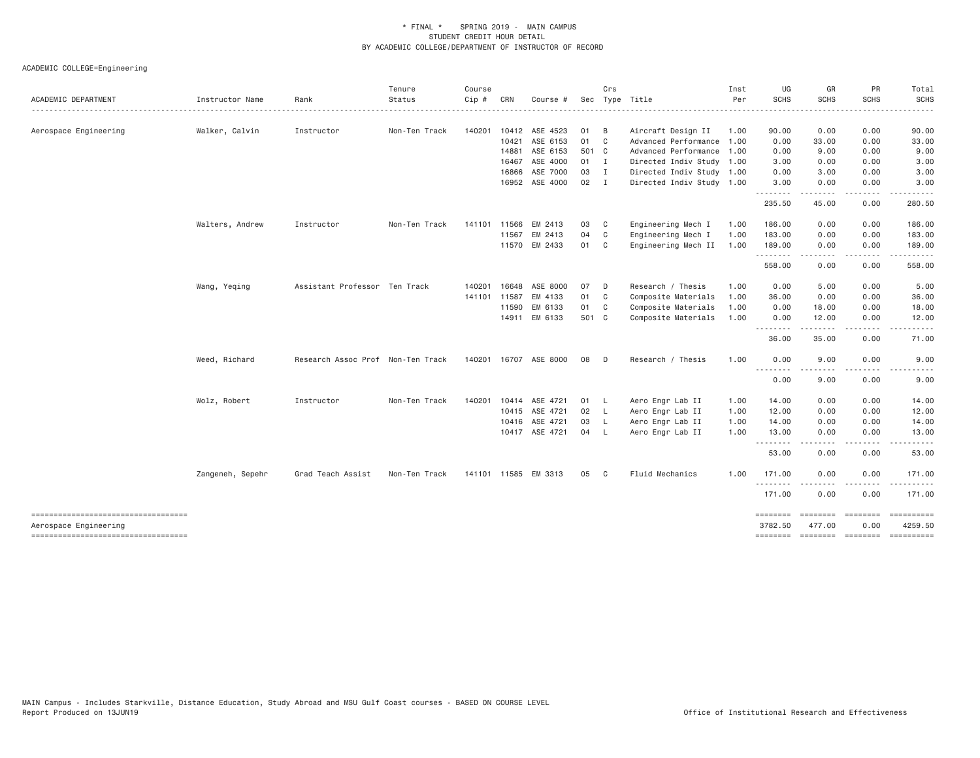| ACADEMIC DEPARTMENT                                         | Instructor Name  | Rank                              | Tenure<br>Status | Course<br>Cip # | CRN   | Course #                   |          | Crs                              | Sec Type Title            | Inst<br>Per | UG<br><b>SCHS</b>   | GR<br><b>SCHS</b>        | PR<br><b>SCHS</b>                                                                                                         | Total<br><b>SCHS</b> |
|-------------------------------------------------------------|------------------|-----------------------------------|------------------|-----------------|-------|----------------------------|----------|----------------------------------|---------------------------|-------------|---------------------|--------------------------|---------------------------------------------------------------------------------------------------------------------------|----------------------|
|                                                             |                  |                                   |                  |                 |       |                            |          |                                  |                           |             |                     |                          |                                                                                                                           |                      |
| Aerospace Engineering                                       | Walker, Calvin   | Instructor                        | Non-Ten Track    | 140201          | 10412 | ASE 4523                   | 01       | B                                | Aircraft Design II        | 1.00        | 90.00               | 0.00                     | 0.00                                                                                                                      | 90.00                |
|                                                             |                  |                                   |                  |                 | 10421 | ASE 6153                   | 01       | $\mathbf{C}$                     | Advanced Performance 1.00 |             | 0.00                | 33.00                    | 0.00                                                                                                                      | 33.00                |
|                                                             |                  |                                   |                  |                 | 14881 | ASE 6153                   | 501 C    |                                  | Advanced Performance 1.00 |             | 0.00                | 9.00                     | 0.00                                                                                                                      | 9.00                 |
|                                                             |                  |                                   |                  |                 | 16467 | ASE 4000                   | 01       | $\blacksquare$<br>$\blacksquare$ | Directed Indiv Study 1.00 |             | 3.00                | 0.00                     | 0.00                                                                                                                      | 3.00                 |
|                                                             |                  |                                   |                  |                 | 16866 | ASE 7000<br>16952 ASE 4000 | 03<br>02 |                                  | Directed Indiv Study 1.00 |             | 0.00                | 3.00                     | 0.00<br>0.00                                                                                                              | 3.00<br>3.00         |
|                                                             |                  |                                   |                  |                 |       |                            |          | $\blacksquare$                   | Directed Indiv Study 1.00 |             | 3.00<br>.           | 0.00<br>-----            | $\frac{1}{2} \left( \frac{1}{2} \right) \left( \frac{1}{2} \right) \left( \frac{1}{2} \right) \left( \frac{1}{2} \right)$ |                      |
|                                                             |                  |                                   |                  |                 |       |                            |          |                                  |                           |             | 235.50              | 45.00                    | 0.00                                                                                                                      | 280.50               |
|                                                             | Walters, Andrew  | Instructor                        | Non-Ten Track    | 141101          | 11566 | EM 2413                    | 03       | C <sub>c</sub>                   | Engineering Mech I        | 1.00        | 186.00              | 0.00                     | 0.00                                                                                                                      | 186.00               |
|                                                             |                  |                                   |                  |                 | 11567 | EM 2413                    | 04       | C                                | Engineering Mech I        | 1.00        | 183.00              | 0.00                     | 0.00                                                                                                                      | 183.00               |
|                                                             |                  |                                   |                  |                 |       | 11570 EM 2433              | 01 C     |                                  | Engineering Mech II       | 1.00        | 189.00<br>.         | 0.00<br><u>.</u>         | 0.00<br>$\frac{1}{2}$                                                                                                     | 189.00<br>.          |
|                                                             |                  |                                   |                  |                 |       |                            |          |                                  |                           |             | 558.00              | 0.00                     | 0.00                                                                                                                      | 558.00               |
|                                                             | Wang, Yeqing     | Assistant Professor Ten Track     |                  | 140201          | 16648 | ASE 8000                   | 07       | D                                | Research / Thesis         | 1.00        | 0.00                | 5.00                     | 0.00                                                                                                                      | 5.00                 |
|                                                             |                  |                                   |                  | 141101          | 11587 | EM 4133                    | 01 C     |                                  | Composite Materials       | 1.00        | 36.00               | 0.00                     | 0.00                                                                                                                      | 36.00                |
|                                                             |                  |                                   |                  |                 | 11590 | EM 6133                    | 01       | C <sub>c</sub>                   | Composite Materials       | 1.00        | 0.00                | 18.00                    | 0.00                                                                                                                      | 18.00                |
|                                                             |                  |                                   |                  |                 | 14911 | EM 6133                    | 501 C    |                                  | Composite Materials       | 1.00        | 0.00<br>--------    | 12.00<br>- - - - -       | 0.00<br>$- - - -$                                                                                                         | 12.00<br>$\cdots$    |
|                                                             |                  |                                   |                  |                 |       |                            |          |                                  |                           |             | 36.00               | 35.00                    | 0.00                                                                                                                      | 71.00                |
|                                                             | Weed, Richard    | Research Assoc Prof Non-Ten Track |                  |                 |       | 140201 16707 ASE 8000      | 08       | D                                | Research / Thesis         | 1.00        | 0.00                | 9.00                     | 0.00                                                                                                                      | 9.00                 |
|                                                             |                  |                                   |                  |                 |       |                            |          |                                  |                           |             | <u>.</u><br>0.00    | - - - - -<br>9.00        | 0.00                                                                                                                      | 9.00                 |
|                                                             | Wolz, Robert     | Instructor                        | Non-Ten Track    | 140201          |       | 10414 ASE 4721             | 01       | - L                              | Aero Engr Lab II          | 1.00        | 14.00               | 0.00                     | 0.00                                                                                                                      | 14.00                |
|                                                             |                  |                                   |                  |                 |       | 10415 ASE 4721             | 02       | - L                              | Aero Engr Lab II          | 1.00        | 12.00               | 0.00                     | 0.00                                                                                                                      | 12.00                |
|                                                             |                  |                                   |                  |                 | 10416 | ASE 4721                   | 03       | $\mathsf{L}$                     | Aero Engr Lab II          | 1.00        | 14.00               | 0.00                     | 0.00                                                                                                                      | 14.00                |
|                                                             |                  |                                   |                  |                 |       | 10417 ASE 4721             | 04 L     |                                  | Aero Engr Lab II          | 1.00        | 13.00               | 0.00                     | 0.00                                                                                                                      | 13.00                |
|                                                             |                  |                                   |                  |                 |       |                            |          |                                  |                           |             | .                   | -----                    | ----                                                                                                                      | .                    |
|                                                             |                  |                                   |                  |                 |       |                            |          |                                  |                           |             | 53.00               | 0.00                     | 0.00                                                                                                                      | 53.00                |
|                                                             | Zangeneh, Sepehr | Grad Teach Assist                 | Non-Ten Track    |                 |       | 141101 11585 EM 3313       | 05       | $\overline{c}$                   | Fluid Mechanics           | 1,00        | 171.00<br><u>.</u>  | 0.00                     | 0.00                                                                                                                      | 171.00<br><u>.</u>   |
|                                                             |                  |                                   |                  |                 |       |                            |          |                                  |                           |             | 171.00              | 0.00                     | 0.00                                                                                                                      | 171.00               |
| ----------------------------------<br>Aerospace Engineering |                  |                                   |                  |                 |       |                            |          |                                  |                           |             | ========<br>3782.50 | <b>ESSESSE</b><br>477.00 | $= 222222222$<br>0.00                                                                                                     | 4259.50              |
| ----------------------------------                          |                  |                                   |                  |                 |       |                            |          |                                  |                           |             | ========            | --------- --------       |                                                                                                                           | ----------           |
|                                                             |                  |                                   |                  |                 |       |                            |          |                                  |                           |             |                     |                          |                                                                                                                           |                      |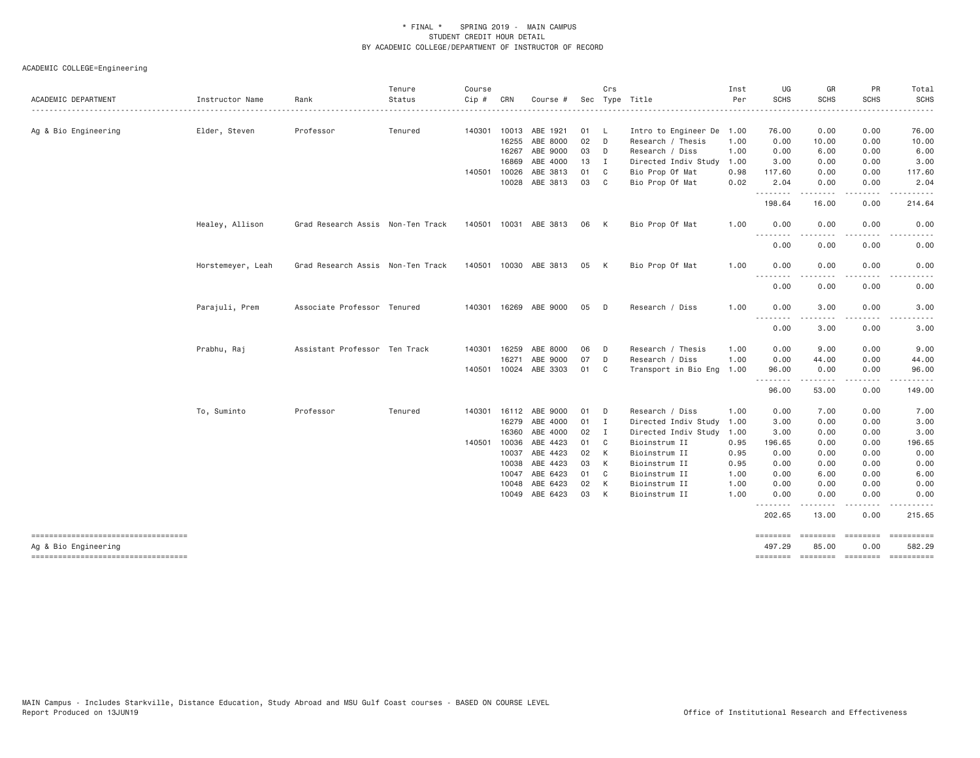| ACADEMIC DEPARTMENT                                          | Instructor Name   | Rank                              | Tenure<br>Status | Course<br>Cip # | CRN            | Course #              |          | Crs         | Sec Type Title                 | Inst<br>Per  | UG<br><b>SCHS</b>                   | GR<br><b>SCHS</b>  | PR<br><b>SCHS</b> | Total<br><b>SCHS</b>                |
|--------------------------------------------------------------|-------------------|-----------------------------------|------------------|-----------------|----------------|-----------------------|----------|-------------|--------------------------------|--------------|-------------------------------------|--------------------|-------------------|-------------------------------------|
|                                                              |                   |                                   |                  |                 |                |                       |          |             |                                |              |                                     |                    |                   | -----                               |
| Ag & Bio Engineering                                         | Elder, Steven     | Professor                         | Tenured          | 140301          |                | 10013 ABE 1921        | 01       | <b>L</b>    | Intro to Engineer De           | 1.00         | 76.00                               | 0.00               | 0.00              | 76.00                               |
|                                                              |                   |                                   |                  |                 | 16255          | ABE 8000              | 02       | D           | Research / Thesis              | 1.00         | 0.00                                | 10.00              | 0.00              | 10.00                               |
|                                                              |                   |                                   |                  |                 | 16267          | ABE 9000              | 03       | D           | Research / Diss                | 1.00         | 0.00                                | 6.00               | 0.00              | 6.00                                |
|                                                              |                   |                                   |                  |                 | 16869          | ABE 4000              | 13       | I           | Directed Indiv Study           | 1.00         | 3.00                                | 0.00               | 0.00              | 3.00                                |
|                                                              |                   |                                   |                  | 140501          | 10026<br>10028 | ABE 3813<br>ABE 3813  | 01<br>03 | C<br>C      | Bio Prop Of Mat                | 0.98<br>0.02 | 117.60<br>2.04                      | 0.00<br>0.00       | 0.00<br>0.00      | 117.60<br>2.04                      |
|                                                              |                   |                                   |                  |                 |                |                       |          |             | Bio Prop Of Mat                |              | .                                   | .                  | -----             | .                                   |
|                                                              |                   |                                   |                  |                 |                |                       |          |             |                                |              | 198.64                              | 16.00              | 0.00              | 214.64                              |
|                                                              | Healey, Allison   | Grad Research Assis Non-Ten Track |                  |                 |                | 140501 10031 ABE 3813 | 06       | K           | Bio Prop Of Mat                | 1.00         | 0.00<br><u>.</u>                    | 0.00<br>.          | 0.00<br>.         | 0.00<br>$- - - - -$                 |
|                                                              |                   |                                   |                  |                 |                |                       |          |             |                                |              | 0.00                                | 0.00               | 0.00              | 0.00                                |
|                                                              | Horstemeyer, Leah | Grad Research Assis Non-Ten Track |                  |                 |                | 140501 10030 ABE 3813 | 05       | K           | Bio Prop Of Mat                | 1.00         | 0.00<br>$\sim$ $\sim$ $\sim$ $\sim$ | 0.00               | 0.00              | 0.00                                |
|                                                              |                   |                                   |                  |                 |                |                       |          |             |                                |              | 0.00                                | 0.00               | 0.00              | 0.00                                |
|                                                              | Parajuli, Prem    | Associate Professor Tenured       |                  | 140301          |                | 16269 ABE 9000        | 05       | D           | Research / Diss                | 1.00         | 0.00<br>---------                   | 3,00<br>. <b>.</b> | 0.00<br>$\cdots$  | 3.00<br>-----                       |
|                                                              |                   |                                   |                  |                 |                |                       |          |             |                                |              | 0.00                                | 3.00               | 0.00              | 3.00                                |
|                                                              | Prabhu, Raj       | Assistant Professor Ten Track     |                  | 140301          | 16259          | ABE 8000              | 06       | D           | Research / Thesis              | 1.00         | 0.00                                | 9.00               | 0.00              | 9.00                                |
|                                                              |                   |                                   |                  |                 | 16271          | ABE 9000              | 07       | D           | Research / Diss                | 1.00         | 0.00                                | 44.00              | 0.00              | 44.00                               |
|                                                              |                   |                                   |                  | 140501          |                | 10024 ABE 3303        | 01       | C           | Transport in Bio Eng           | 1.00         | 96.00<br><u>.</u>                   | 0.00               | 0.00<br>$- - - -$ | 96.00<br>$\cdots$                   |
|                                                              |                   |                                   |                  |                 |                |                       |          |             |                                |              | 96.00                               | 53.00              | 0.00              | 149.00                              |
|                                                              | To, Suminto       | Professor                         | Tenured          | 140301          |                | 16112 ABE 9000        | 01       | D           | Research / Diss                | 1.00         | 0.00                                | 7.00               | 0.00              | 7.00                                |
|                                                              |                   |                                   |                  |                 | 16279          | ABE 4000              | 01       | $\mathbf I$ | Directed Indiv Study           | 1.00         | 3.00                                | 0.00               | 0.00              | 3.00                                |
|                                                              |                   |                                   |                  |                 | 16360          | ABE 4000              | 02       | $\mathbf I$ | Directed Indiv Study           | 1.00         | 3.00                                | 0.00               | 0.00              | 3.00                                |
|                                                              |                   |                                   |                  | 140501          | 10036          | ABE 4423              | 01       | C           | Bioinstrum II                  | 0.95         | 196.65                              | 0.00               | 0.00              | 196.65                              |
|                                                              |                   |                                   |                  |                 | 10037          | ABE 4423              | 02       | K           | Bioinstrum II                  | 0.95         | 0.00                                | 0.00               | 0.00              | 0.00                                |
|                                                              |                   |                                   |                  |                 | 10038          | ABE 4423              | 03       | K           | Bioinstrum II                  | 0.95         | 0.00                                | 0.00               | 0.00              | 0.00                                |
|                                                              |                   |                                   |                  |                 | 10047<br>10048 | ABE 6423<br>ABE 6423  | 01<br>02 | C<br>K      | Bioinstrum II                  | 1.00<br>1.00 | 0.00<br>0.00                        | 6.00               | 0.00              | 6.00<br>0.00                        |
|                                                              |                   |                                   |                  |                 | 10049          | ABE 6423              | 03       | K           | Bioinstrum II<br>Bioinstrum II | 1.00         | 0.00                                | 0.00<br>0.00       | 0.00<br>0.00      | 0.00                                |
|                                                              |                   |                                   |                  |                 |                |                       |          |             |                                |              | .                                   | -----              | .                 | .                                   |
|                                                              |                   |                                   |                  |                 |                |                       |          |             |                                |              | 202.65                              | 13.00              | 0.00              | 215.65                              |
| ------------------------------------<br>Ag & Bio Engineering |                   |                                   |                  |                 |                |                       |          |             |                                |              | ========<br>497.29                  | 85.00              | 0.00              | ==========<br>582.29                |
| -----------------------------------                          |                   |                                   |                  |                 |                |                       |          |             |                                |              |                                     |                    |                   | -------- ------- -------- --------- |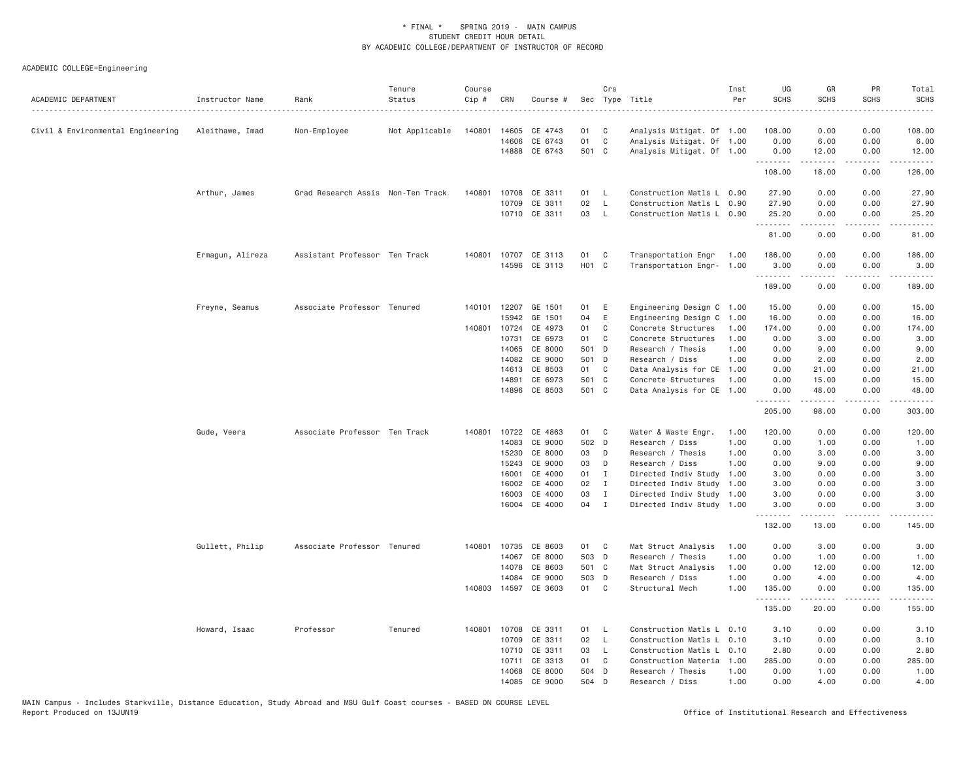| ACADEMIC DEPARTMENT               | Instructor Name  | Rank                              | Tenure<br>Status<br>. | Course<br>Cip # | CRN          | Course #                 |          | Crs                          | Sec Type Title                                         | Inst<br>Per | UG<br><b>SCHS</b> | GR<br><b>SCHS</b>                                                                                                                                            | PR<br><b>SCHS</b>                                                                                                                                            | Total<br><b>SCHS</b> |
|-----------------------------------|------------------|-----------------------------------|-----------------------|-----------------|--------------|--------------------------|----------|------------------------------|--------------------------------------------------------|-------------|-------------------|--------------------------------------------------------------------------------------------------------------------------------------------------------------|--------------------------------------------------------------------------------------------------------------------------------------------------------------|----------------------|
| Civil & Environmental Engineering | Aleithawe, Imad  | Non-Employee                      | Not Applicable        | 140801          | 14605        | CE 4743                  | 01       | C                            | Analysis Mitigat. Of 1.00                              |             | 108.00            | 0.00                                                                                                                                                         | 0.00                                                                                                                                                         | 108.00               |
|                                   |                  |                                   |                       |                 | 14606        | CE 6743                  | 01       | $\mathbf C$                  | Analysis Mitigat. Of 1.00                              |             | 0.00              | 6.00                                                                                                                                                         | 0.00                                                                                                                                                         | 6.00                 |
|                                   |                  |                                   |                       |                 |              | 14888 CE 6743            | 501 C    |                              | Analysis Mitigat. Of 1.00                              |             | 0.00              | 12.00                                                                                                                                                        | 0.00                                                                                                                                                         | 12.00                |
|                                   |                  |                                   |                       |                 |              |                          |          |                              |                                                        |             | .<br>108.00       | .<br>18.00                                                                                                                                                   | .<br>0.00                                                                                                                                                    | <u>.</u><br>126.00   |
|                                   | Arthur, James    | Grad Research Assis Non-Ten Track |                       | 140801          |              | 10708 CE 3311            | 01       | L.                           | Construction Matls L 0.90                              |             | 27.90             | 0.00                                                                                                                                                         | 0.00                                                                                                                                                         | 27.90                |
|                                   |                  |                                   |                       |                 | 10709        | CE 3311                  | 02       | $\mathsf{L}$                 | Construction Matls L 0.90                              |             | 27.90             | 0.00                                                                                                                                                         | 0.00                                                                                                                                                         | 27.90                |
|                                   |                  |                                   |                       |                 |              | 10710 CE 3311            | 03       | $\mathsf{L}$                 | Construction Matls L 0.90                              |             | 25.20<br>.        | 0.00<br>$\frac{1}{2} \left( \frac{1}{2} \right) \left( \frac{1}{2} \right) \left( \frac{1}{2} \right) \left( \frac{1}{2} \right) \left( \frac{1}{2} \right)$ | 0.00<br>.                                                                                                                                                    | 25.20<br>.           |
|                                   |                  |                                   |                       |                 |              |                          |          |                              |                                                        |             | 81.00             | 0.00                                                                                                                                                         | 0.00                                                                                                                                                         | 81.00                |
|                                   | Ermagun, Alireza | Assistant Professor Ten Track     |                       | 140801          |              | 10707 CE 3113            | 01       | C                            | Transportation Engr                                    | 1.00        | 186.00            | 0.00                                                                                                                                                         | 0.00                                                                                                                                                         | 186.00               |
|                                   |                  |                                   |                       |                 |              | 14596 CE 3113            | HO1 C    |                              | Transportation Engr- 1.00                              |             | 3,00<br>.         | 0.00<br>.                                                                                                                                                    | 0.00<br>.                                                                                                                                                    | 3.00<br>.            |
|                                   |                  |                                   |                       |                 |              |                          |          |                              |                                                        |             | 189.00            | 0.00                                                                                                                                                         | 0.00                                                                                                                                                         | 189.00               |
|                                   | Freyne, Seamus   | Associate Professor Tenured       |                       |                 | 140101 12207 | GE 1501                  | 01       | E                            | Engineering Design C 1.00                              |             | 15.00             | 0.00                                                                                                                                                         | 0.00                                                                                                                                                         | 15.00                |
|                                   |                  |                                   |                       |                 | 15942        | GE 1501                  | 04       | E                            | Engineering Design C                                   | 1.00        | 16.00             | 0.00                                                                                                                                                         | 0.00                                                                                                                                                         | 16.00                |
|                                   |                  |                                   |                       | 140801          | 10724        | CE 4973                  | 01       | C                            | Concrete Structures                                    | 1.00        | 174.00            | 0.00                                                                                                                                                         | 0.00                                                                                                                                                         | 174.00               |
|                                   |                  |                                   |                       |                 | 10731        | CE 6973                  | 01       | C                            | Concrete Structures                                    | 1.00        | 0.00              | 3.00                                                                                                                                                         | 0.00                                                                                                                                                         | 3.00                 |
|                                   |                  |                                   |                       |                 | 14065        | CE 8000                  | 501 D    |                              | Research / Thesis                                      | 1,00        | 0.00              | 9.00                                                                                                                                                         | 0.00                                                                                                                                                         | 9.00                 |
|                                   |                  |                                   |                       |                 | 14082        | CE 9000                  | 501 D    |                              | Research / Diss                                        | 1,00        | 0.00              | 2.00                                                                                                                                                         | 0.00                                                                                                                                                         | 2.00                 |
|                                   |                  |                                   |                       |                 | 14613        | CE 8503                  | 01       | C                            | Data Analysis for CE                                   | 1.00        | 0.00              | 21.00                                                                                                                                                        | 0.00                                                                                                                                                         | 21.00                |
|                                   |                  |                                   |                       |                 | 14891        | CE 6973                  | 501 C    |                              | Concrete Structures                                    | 1.00        | 0.00              | 15.00                                                                                                                                                        | 0.00                                                                                                                                                         | 15.00                |
|                                   |                  |                                   |                       |                 |              | 14896 CE 8503            | 501 C    |                              | Data Analysis for CE                                   | 1.00        | 0.00<br>.         | 48.00                                                                                                                                                        | 0.00                                                                                                                                                         | 48.00                |
|                                   |                  |                                   |                       |                 |              |                          |          |                              |                                                        |             | 205.00            | 98.00                                                                                                                                                        | 0.00                                                                                                                                                         | 303.00               |
|                                   | Gude, Veera      | Associate Professor Ten Track     |                       | 140801          |              | 10722 CE 4863            | 01       | C                            | Water & Waste Engr.                                    | 1.00        | 120.00            | 0.00                                                                                                                                                         | 0.00                                                                                                                                                         | 120.00               |
|                                   |                  |                                   |                       |                 | 14083        | CE 9000                  | 502 D    |                              | Research / Diss                                        | 1.00        | 0.00              | 1.00                                                                                                                                                         | 0.00                                                                                                                                                         | 1.00                 |
|                                   |                  |                                   |                       |                 | 15230        | CE 8000                  | 03       | D                            | Research / Thesis                                      | 1.00        | 0.00              | 3.00                                                                                                                                                         | 0.00                                                                                                                                                         | 3.00                 |
|                                   |                  |                                   |                       |                 | 15243        | CE 9000                  | 03       | D                            | Research / Diss                                        | 1.00        | 0.00              | 9.00                                                                                                                                                         | 0.00                                                                                                                                                         | 9.00                 |
|                                   |                  |                                   |                       |                 | 16001        | CE 4000                  | 01       | I                            | Directed Indiv Study                                   | 1.00        | 3.00              | 0.00                                                                                                                                                         | 0.00                                                                                                                                                         | 3.00                 |
|                                   |                  |                                   |                       |                 | 16002        | CE 4000                  | 02       | $\mathbf{I}$                 | Directed Indiv Study                                   | 1.00        | 3.00              | 0.00                                                                                                                                                         | 0.00                                                                                                                                                         | 3.00                 |
|                                   |                  |                                   |                       |                 | 16003        | CE 4000<br>16004 CE 4000 | 03<br>04 | $\mathbf{I}$<br>$\mathbf{I}$ | Directed Indiv Study 1.00<br>Directed Indiv Study 1.00 |             | 3.00<br>3.00      | 0.00<br>0.00                                                                                                                                                 | 0.00<br>0.00                                                                                                                                                 | 3.00<br>3.00         |
|                                   |                  |                                   |                       |                 |              |                          |          |                              |                                                        |             | .<br>132.00       | .<br>13.00                                                                                                                                                   | .<br>0.00                                                                                                                                                    | .<br>145.00          |
|                                   | Gullett, Philip  | Associate Professor Tenured       |                       | 140801          |              | 10735 CE 8603            | 01       | C                            | Mat Struct Analysis                                    | 1.00        | 0.00              | 3.00                                                                                                                                                         | 0.00                                                                                                                                                         | 3.00                 |
|                                   |                  |                                   |                       |                 | 14067        | CE 8000                  | 503 D    |                              | Research / Thesis                                      | 1.00        | 0.00              | 1.00                                                                                                                                                         | 0.00                                                                                                                                                         | 1.00                 |
|                                   |                  |                                   |                       |                 | 14078        | CE 8603                  | 501 C    |                              | Mat Struct Analysis                                    | 1.00        | 0.00              | 12.00                                                                                                                                                        | 0.00                                                                                                                                                         | 12.00                |
|                                   |                  |                                   |                       |                 | 14084        | CE 9000                  | 503 D    |                              | Research / Diss                                        | 1.00        | 0.00              | 4.00                                                                                                                                                         | 0.00                                                                                                                                                         | 4.00                 |
|                                   |                  |                                   |                       |                 |              | 140803 14597 CE 3603     | 01       | C <sub>1</sub>               | Structural Mech                                        | 1.00        | 135.00            | 0.00                                                                                                                                                         | 0.00                                                                                                                                                         | 135.00               |
|                                   |                  |                                   |                       |                 |              |                          |          |                              |                                                        |             | .<br>135.00       | .<br>20.00                                                                                                                                                   | $\frac{1}{2} \left( \frac{1}{2} \right) \left( \frac{1}{2} \right) \left( \frac{1}{2} \right) \left( \frac{1}{2} \right) \left( \frac{1}{2} \right)$<br>0.00 | .<br>155.00          |
|                                   | Howard, Isaac    | Professor                         | Tenured               | 140801          | 10708        | CE 3311                  | 01       | L.                           | Construction Matls L 0.10                              |             | 3.10              | 0.00                                                                                                                                                         | 0.00                                                                                                                                                         | 3.10                 |
|                                   |                  |                                   |                       |                 | 10709        | CE 3311                  | 02       | $\mathsf{L}$                 | Construction Matls L 0.10                              |             | 3.10              | 0.00                                                                                                                                                         | 0.00                                                                                                                                                         | 3.10                 |
|                                   |                  |                                   |                       |                 | 10710        | CE 3311                  | 03       | $\mathsf{L}$                 | Construction Matls L 0.10                              |             | 2.80              | 0.00                                                                                                                                                         | 0.00                                                                                                                                                         | 2.80                 |
|                                   |                  |                                   |                       |                 |              | 10711 CE 3313            | 01       | C                            | Construction Materia                                   | 1.00        | 285.00            | 0.00                                                                                                                                                         | 0.00                                                                                                                                                         | 285.00               |
|                                   |                  |                                   |                       |                 | 14068        | CE 8000                  | 504 D    |                              | Research / Thesis                                      | 1.00        | 0.00              | 1.00                                                                                                                                                         | 0.00                                                                                                                                                         | 1.00                 |
|                                   |                  |                                   |                       |                 |              | 14085 CE 9000            | 504 D    |                              | Research / Diss                                        | 1.00        | 0.00              | 4.00                                                                                                                                                         | 0.00                                                                                                                                                         | 4.00                 |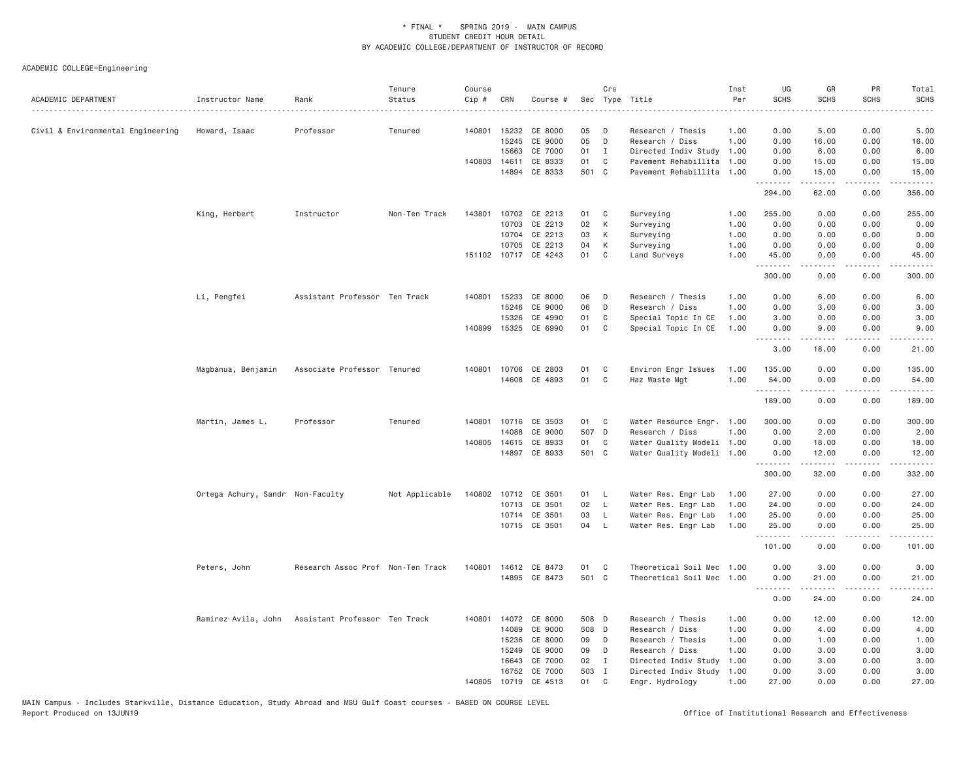| ACADEMIC DEPARTMENT               | Instructor Name                                   | Rank                              | Tenure<br>Status | Course<br>Cip # | CRN          | Course #             |       | Crs            | Sec Type Title            | Inst<br>Per | UG<br><b>SCHS</b> | GR<br><b>SCHS</b>  | PR<br><b>SCHS</b>               | Total<br><b>SCHS</b><br>$\frac{1}{2}$ |
|-----------------------------------|---------------------------------------------------|-----------------------------------|------------------|-----------------|--------------|----------------------|-------|----------------|---------------------------|-------------|-------------------|--------------------|---------------------------------|---------------------------------------|
| Civil & Environmental Engineering | Howard, Isaac                                     | Professor                         | Tenured          |                 |              | 140801 15232 CE 8000 | 05    | D              | Research / Thesis         | 1.00        | 0.00              | 5.00               | 0.00                            | 5.00                                  |
|                                   |                                                   |                                   |                  |                 | 15245        | CE 9000              | 05    | D              | Research / Diss           | 1.00        | 0.00              | 16.00              | 0.00                            | 16.00                                 |
|                                   |                                                   |                                   |                  |                 | 15663        | CE 7000              | 01    | $\mathbf{I}$   | Directed Indiv Study      | 1.00        | 0.00              | 6.00               | 0.00                            | 6.00                                  |
|                                   |                                                   |                                   |                  | 140803          | 14611        | CE 8333              | 01    | C <sub>1</sub> | Pavement Rehabillita      | 1,00        | 0.00              | 15.00              | 0.00                            | 15.00                                 |
|                                   |                                                   |                                   |                  |                 |              | 14894 CE 8333        | 501 C |                | Pavement Rehabillita 1.00 |             | 0.00<br>.         | 15.00<br>د د د د د | 0.00<br>د د د د                 | 15.00<br>.                            |
|                                   |                                                   |                                   |                  |                 |              |                      |       |                |                           |             | 294.00            | 62.00              | 0.00                            | 356.00                                |
|                                   | King, Herbert                                     | Instructor                        | Non-Ten Track    | 143801          |              | 10702 CE 2213        | 01    | C              | Surveying                 | 1.00        | 255.00            | 0.00               | 0.00                            | 255.00                                |
|                                   |                                                   |                                   |                  |                 | 10703        | CE 2213              | 02    | К              | Surveying                 | 1.00        | 0.00              | 0.00               | 0.00                            | 0.00                                  |
|                                   |                                                   |                                   |                  |                 |              | 10704 CE 2213        | 03    | К              | Surveying                 | 1.00        | 0.00              | 0.00               | 0.00                            | 0.00                                  |
|                                   |                                                   |                                   |                  |                 | 10705        | CE 2213              | 04    | K              | Surveying                 | 1.00        | 0.00              | 0.00               | 0.00                            | 0.00                                  |
|                                   |                                                   |                                   |                  |                 |              | 151102 10717 CE 4243 | 01    | C              | Land Surveys              | 1.00        | 45.00             | 0.00               | 0.00                            | 45.00                                 |
|                                   |                                                   |                                   |                  |                 |              |                      |       |                |                           |             | .<br>300.00       | .<br>0.00          | .<br>0.00                       | .<br>300.00                           |
|                                   | Li, Pengfei                                       | Assistant Professor Ten Track     |                  |                 | 140801 15233 | CE 8000              | 06    | D              | Research / Thesis         | 1.00        | 0.00              | 6.00               | 0.00                            | 6.00                                  |
|                                   |                                                   |                                   |                  |                 | 15246        | CE 9000              | 06    | D              | Research / Diss           | 1.00        | 0.00              | 3.00               | 0.00                            | 3.00                                  |
|                                   |                                                   |                                   |                  |                 | 15326        | CE 4990              | 01    | C              | Special Topic In CE       | 1.00        | 3.00              | 0.00               | 0.00                            | 3.00                                  |
|                                   |                                                   |                                   |                  |                 |              | 140899 15325 CE 6990 | 01 C  |                | Special Topic In CE       | 1.00        | 0.00              | 9.00               | 0.00                            | 9.00                                  |
|                                   |                                                   |                                   |                  |                 |              |                      |       |                |                           |             | .<br>3.00         | -----<br>18.00     | د د د د<br>0.00                 | $    -$<br>21.00                      |
|                                   | Magbanua, Benjamin                                | Associate Professor Tenured       |                  |                 |              | 140801 10706 CE 2803 | 01    | C              | Environ Engr Issues       | 1.00        | 135.00            | 0.00               | 0.00                            | 135.00                                |
|                                   |                                                   |                                   |                  |                 |              | 14608 CE 4893        | 01    | C              | Haz Waste Mgt             | 1.00        | 54.00             | 0.00               | 0.00                            | 54.00                                 |
|                                   |                                                   |                                   |                  |                 |              |                      |       |                |                           |             | .<br>189.00       | 0.00               | .<br>0.00                       | ه د د د د<br>189.00                   |
|                                   | Martin, James L.                                  | Professor                         | Tenured          |                 |              | 140801 10716 CE 3503 | 01 C  |                | Water Resource Engr. 1.00 |             | 300.00            | 0.00               | 0.00                            | 300.00                                |
|                                   |                                                   |                                   |                  |                 | 14088        | CE 9000              | 507 D |                | Research / Diss           | 1.00        | 0.00              | 2.00               | 0.00                            | 2.00                                  |
|                                   |                                                   |                                   |                  |                 | 140805 14615 | CE 8933              | 01    | $\mathbf{C}$   | Water Quality Modeli 1.00 |             | 0.00              | 18.00              | 0.00                            | 18.00                                 |
|                                   |                                                   |                                   |                  |                 | 14897        | CE 8933              | 501 C |                | Water Quality Modeli 1.00 |             | 0.00              | 12.00              | 0.00                            | 12.00                                 |
|                                   |                                                   |                                   |                  |                 |              |                      |       |                |                           |             | .<br>300.00       | .<br>32.00         | $\omega$ is $\omega$ in<br>0.00 | .<br>332.00                           |
|                                   | Ortega Achury, Sandr Non-Faculty                  |                                   | Not Applicable   |                 |              | 140802 10712 CE 3501 | 01 L  |                | Water Res. Engr Lab       | 1.00        | 27.00             | 0.00               | 0.00                            | 27.00                                 |
|                                   |                                                   |                                   |                  |                 |              | 10713 CE 3501        | 02    | $\mathsf{L}$   | Water Res. Engr Lab       | 1.00        | 24.00             | 0.00               | 0.00                            | 24.00                                 |
|                                   |                                                   |                                   |                  |                 |              | 10714 CE 3501        | 03    | $\mathsf{L}$   | Water Res. Engr Lab       | 1.00        | 25.00             | 0.00               | 0.00                            | 25.00                                 |
|                                   |                                                   |                                   |                  |                 |              | 10715 CE 3501        | 04    | - L            | Water Res. Engr Lab       | 1.00        | 25.00             | 0.00               | 0.00                            | 25.00                                 |
|                                   |                                                   |                                   |                  |                 |              |                      |       |                |                           |             | .<br>101.00       | 0.00               | $\sim$ $\sim$ $\sim$<br>0.00    | والمستوات<br>101.00                   |
|                                   | Peters, John                                      | Research Assoc Prof Non-Ten Track |                  | 140801          |              | 14612 CE 8473        | 01    | $\mathbf{C}$   | Theoretical Soil Mec 1.00 |             | 0.00              | 3.00               | 0.00                            | 3.00                                  |
|                                   |                                                   |                                   |                  |                 |              | 14895 CE 8473        | 501 C |                | Theoretical Soil Mec 1.00 |             | 0.00              | 21.00              | 0.00                            | 21.00                                 |
|                                   |                                                   |                                   |                  |                 |              |                      |       |                |                           |             | .<br>0.00         | .<br>24.00         | .<br>0.00                       | .<br>24.00                            |
|                                   | Ramirez Avila, John Assistant Professor Ten Track |                                   |                  | 140801          |              | 14072 CE 8000        | 508 D |                | Research / Thesis         | 1.00        | 0.00              | 12.00              | 0.00                            | 12.00                                 |
|                                   |                                                   |                                   |                  |                 | 14089        | CE 9000              | 508 D |                | Research / Diss           | 1.00        | 0.00              | 4.00               | 0.00                            | 4.00                                  |
|                                   |                                                   |                                   |                  |                 | 15236        | CE 8000              | 09    | D              | Research / Thesis         | 1.00        | 0.00              | 1.00               | 0.00                            | 1.00                                  |
|                                   |                                                   |                                   |                  |                 | 15249        | CE 9000              | 09    | D              | Research / Diss           | 1.00        | 0.00              | 3.00               | 0.00                            | 3.00                                  |
|                                   |                                                   |                                   |                  |                 | 16643        | CE 7000              | 02    | $\blacksquare$ | Directed Indiv Study      | 1.00        | 0.00              | 3.00               | 0.00                            | 3.00                                  |
|                                   |                                                   |                                   |                  |                 | 16752        | CE 7000              | 503 I |                | Directed Indiv Study      | 1.00        | 0.00              | 3.00               | 0.00                            | 3.00                                  |
|                                   |                                                   |                                   |                  | 140805          |              | 10719 CE 4513        | 01    | C              | Engr. Hydrology           | 1.00        | 27.00             | 0.00               | 0.00                            | 27.00                                 |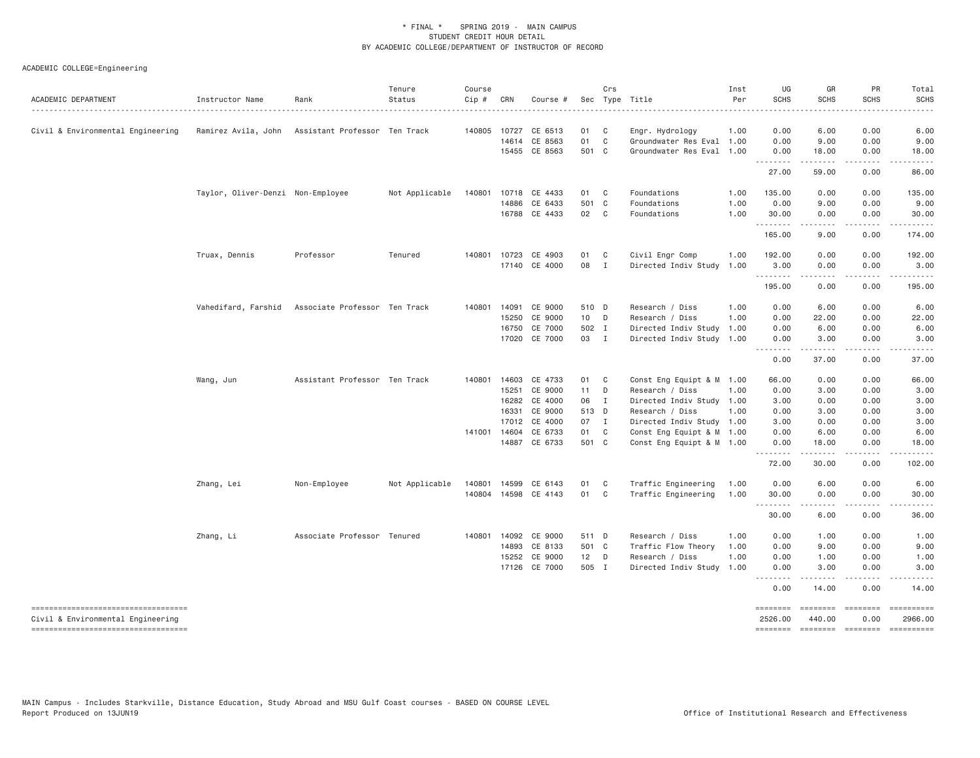| ACADEMIC DEPARTMENT                                                      | Instructor Name<br>.                              | Rank                          | Tenure<br>Status | Course<br>Cip # | CRN          | Course #             |        | Crs            | Sec Type Title            | Inst<br>Per | UG<br><b>SCHS</b>   | GR<br>SCHS           | PR<br><b>SCHS</b>    | Total<br><b>SCHS</b>  |
|--------------------------------------------------------------------------|---------------------------------------------------|-------------------------------|------------------|-----------------|--------------|----------------------|--------|----------------|---------------------------|-------------|---------------------|----------------------|----------------------|-----------------------|
| Civil & Environmental Engineering                                        | Ramirez Avila, John Assistant Professor Ten Track |                               |                  | 140805          | 10727        | CE 6513              | 01     | $\mathbf{C}$   | Engr. Hydrology           | 1.00        | 0.00                | 6.00                 | 0.00                 | 6.00                  |
|                                                                          |                                                   |                               |                  |                 | 14614        | CE 8563              | 01     | C              | Groundwater Res Eval 1.00 |             | 0.00                | 9.00                 | 0.00                 | 9.00                  |
|                                                                          |                                                   |                               |                  |                 |              | 15455 CE 8563        | 501 C  |                | Groundwater Res Eval 1.00 |             | 0.00<br>---------   | 18.00<br>.           | 0.00<br>.            | 18.00<br>.            |
|                                                                          |                                                   |                               |                  |                 |              |                      |        |                |                           |             | 27.00               | 59.00                | 0.00                 | 86.00                 |
|                                                                          | Taylor, Oliver-Denzi Non-Employee                 |                               | Not Applicable   | 140801          | 10718        | CE 4433              | 01     | $\mathbf{C}$   | Foundations               | 1.00        | 135.00              | 0.00                 | 0.00                 | 135.00                |
|                                                                          |                                                   |                               |                  |                 |              | 14886 CE 6433        | 501 C  |                | Foundations               | 1.00        | 0.00                | 9.00                 | 0.00                 | 9.00                  |
|                                                                          |                                                   |                               |                  |                 |              | 16788 CE 4433        | 02 C   |                | Foundations               | 1.00        | 30.00<br>.          | 0.00                 | 0.00                 | 30.00                 |
|                                                                          |                                                   |                               |                  |                 |              |                      |        |                |                           |             | 165.00              | 9.00                 | 0.00                 | 174.00                |
|                                                                          | Truax, Dennis                                     | Professor                     | Tenured          |                 | 140801 10723 | CE 4903              | 01     | $\mathbf{C}$   | Civil Engr Comp           | 1.00        | 192.00              | 0.00                 | 0.00                 | 192.00                |
|                                                                          |                                                   |                               |                  |                 |              | 17140 CE 4000        | 08     | $\mathbf{I}$   | Directed Indiv Study      | 1.00        | 3.00                | 0.00<br>.            | 0.00<br>.            | 3.00<br>.             |
|                                                                          |                                                   |                               |                  |                 |              |                      |        |                |                           |             | 195.00              | 0.00                 | 0.00                 | 195.00                |
|                                                                          | Vahedifard, Farshid                               | Associate Professor Ten Track |                  | 140801          | 14091        | CE 9000              | 510 D  |                | Research / Diss           | 1.00        | 0.00                | 6.00                 | 0.00                 | 6.00                  |
|                                                                          |                                                   |                               |                  |                 | 15250        | CE 9000              | 10 D   |                | Research / Diss           | 1,00        | 0.00                | 22.00                | 0.00                 | 22.00                 |
|                                                                          |                                                   |                               |                  |                 | 16750        | CE 7000              | 502 I  |                | Directed Indiv Study 1.00 |             | 0.00                | 6.00                 | 0.00                 | 6.00                  |
|                                                                          |                                                   |                               |                  |                 | 17020        | CE 7000              | 03 I   |                | Directed Indiv Study 1.00 |             | 0.00<br>.           | 3.00<br>. <u>.</u> . | 0.00<br>.            | 3.00                  |
|                                                                          |                                                   |                               |                  |                 |              |                      |        |                |                           |             | 0.00                | 37.00                | 0.00                 | 37.00                 |
|                                                                          | Wang, Jun                                         | Assistant Professor Ten Track |                  |                 | 140801 14603 | CE 4733              | 01 C   |                | Const Eng Equipt & M 1.00 |             | 66.00               | 0.00                 | 0.00                 | 66.00                 |
|                                                                          |                                                   |                               |                  |                 | 15251        | CE 9000              | 11 D   |                | Research / Diss           | 1.00        | 0.00                | 3.00                 | 0.00                 | 3.00                  |
|                                                                          |                                                   |                               |                  |                 | 16282        | CE 4000              | 06     | $\blacksquare$ | Directed Indiv Study 1.00 |             | 3.00                | 0.00                 | 0.00                 | 3.00                  |
|                                                                          |                                                   |                               |                  |                 | 16331        | CE 9000              | 513 D  |                | Research / Diss           | 1.00        | 0.00                | 3.00                 | 0.00                 | 3.00                  |
|                                                                          |                                                   |                               |                  |                 | 17012        | CE 4000              | 07 I   |                | Directed Indiv Study 1.00 |             | 3.00                | 0.00                 | 0.00                 | 3.00                  |
|                                                                          |                                                   |                               |                  |                 | 141001 14604 | CE 6733              | 01     | $\mathbf{C}$   | Const Eng Equipt & M 1.00 |             | 0.00                | 6.00                 | 0.00                 | 6.00                  |
|                                                                          |                                                   |                               |                  |                 |              | 14887 CE 6733        | 501 C  |                | Const Eng Equipt & M 1.00 |             | 0.00<br>.           | 18.00<br>.           | 0.00<br>.            | 18.00                 |
|                                                                          |                                                   |                               |                  |                 |              |                      |        |                |                           |             | 72.00               | 30.00                | 0.00                 | 102.00                |
|                                                                          | Zhang, Lei                                        | Non-Employee                  | Not Applicable   | 140801          | 14599        | CE 6143              | 01     | $\mathbf{C}$   | Traffic Engineering       | 1.00        | 0.00                | 6.00                 | 0.00                 | 6.00                  |
|                                                                          |                                                   |                               |                  |                 |              | 140804 14598 CE 4143 | 01     | $\mathbf{C}$   | Traffic Engineering       | 1.00        | 30.00<br><u>.</u>   | 0.00                 | 0.00                 | 30.00                 |
|                                                                          |                                                   |                               |                  |                 |              |                      |        |                |                           |             | 30.00               | 6.00                 | 0.00                 | 36.00                 |
|                                                                          | Zhang, Li                                         | Associate Professor Tenured   |                  |                 | 140801 14092 | CE 9000              | 511 D  |                | Research / Diss           | 1.00        | 0.00                | 1.00                 | 0.00                 | 1.00                  |
|                                                                          |                                                   |                               |                  |                 | 14893        | CE 8133              | 501 C  |                | Traffic Flow Theory       | 1.00        | 0.00                | 9.00                 | 0.00                 | 9.00                  |
|                                                                          |                                                   |                               |                  |                 | 15252        | CE 9000              | $12$ D |                | Research / Diss           | 1.00        | 0.00                | 1.00                 | 0.00                 | 1.00                  |
|                                                                          |                                                   |                               |                  |                 | 17126        | CE 7000              | 505 I  |                | Directed Indiv Study      | 1.00        | 0.00<br>.           | 3.00                 | 0.00                 | 3.00                  |
|                                                                          |                                                   |                               |                  |                 |              |                      |        |                |                           |             | 0.00                | 14.00                | 0.00                 | 14.00                 |
| -----------------------------------<br>Civil & Environmental Engineering |                                                   |                               |                  |                 |              |                      |        |                |                           |             | ========<br>2526.00 | ========<br>440.00   | $=$ ========<br>0.00 | ==========<br>2966.00 |
| ====================================                                     |                                                   |                               |                  |                 |              |                      |        |                |                           |             | <b>SEBSEBED</b>     | $=$ ========         | ========             | $= 222222222222$      |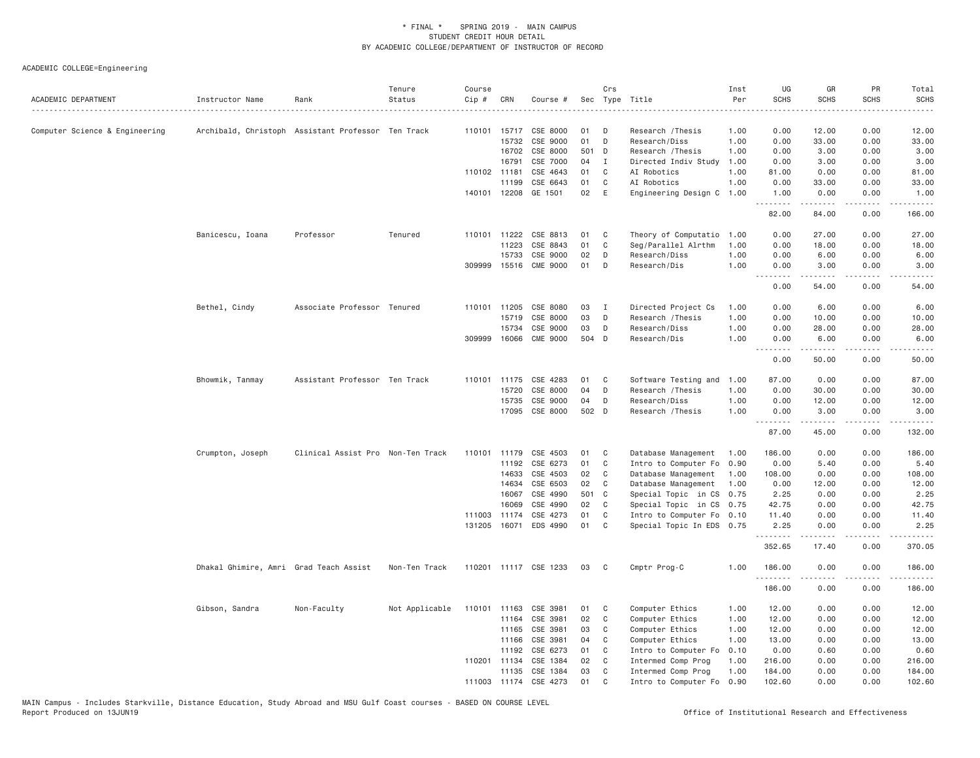| ACADEMIC DEPARTMENT            | Instructor Name                        | Rank                                               | Tenure<br>Status | Course<br>$Cip \#$ | CRN            | Course #              |       | Crs          | Sec Type Title            | Inst<br>Per<br>. | UG<br><b>SCHS</b>                     | GR<br><b>SCHS</b> | PR<br><b>SCHS</b>                   | Total<br><b>SCHS</b><br>$\omega$ is $\omega$ in .                                                                     |
|--------------------------------|----------------------------------------|----------------------------------------------------|------------------|--------------------|----------------|-----------------------|-------|--------------|---------------------------|------------------|---------------------------------------|-------------------|-------------------------------------|-----------------------------------------------------------------------------------------------------------------------|
| Computer Science & Engineering |                                        | Archibald, Christoph Assistant Professor Ten Track |                  | 110101 15717       |                | CSE 8000              | 01    | -n           | Research / Thesis         | 1.00             | 0.00                                  | 12.00             | 0.00                                | 12.00                                                                                                                 |
|                                |                                        |                                                    |                  |                    | 15732          | CSE 9000              | 01    | D            | Research/Diss             | 1.00             | 0.00                                  | 33.00             | 0.00                                | 33.00                                                                                                                 |
|                                |                                        |                                                    |                  |                    | 16702          | CSE 8000              | 501 D |              | Research / Thesis         | 1.00             | 0.00                                  | 3.00              | 0.00                                | 3.00                                                                                                                  |
|                                |                                        |                                                    |                  |                    | 16791          | CSE 7000              | 04    | I            | Directed Indiv Study      | 1.00             | 0.00                                  | 3.00              | 0.00                                | 3.00                                                                                                                  |
|                                |                                        |                                                    |                  | 110102 11181       |                | CSE 4643              | 01    | C            | AI Robotics               | 1.00             | 81.00                                 | 0.00              | 0.00                                | 81.00                                                                                                                 |
|                                |                                        |                                                    |                  |                    | 11199          | CSE 6643              | 01    | C            | AI Robotics               | 1.00             | 0.00                                  | 33.00             | 0.00                                | 33.00                                                                                                                 |
|                                |                                        |                                                    |                  | 140101 12208       |                | GE 1501               | 02    | E            | Engineering Design C      | 1.00             | 1.00<br>.                             | 0.00<br>.         | 0.00<br>.                           | 1.00<br>.                                                                                                             |
|                                |                                        |                                                    |                  |                    |                |                       |       |              |                           |                  | 82.00                                 | 84.00             | 0.00                                | 166.00                                                                                                                |
|                                | Banicescu, Ioana                       | Professor                                          | Tenured          | 110101             | 11222          | CSE 8813              | 01    | C            | Theory of Computatio      | 1.00             | 0.00                                  | 27.00             | 0.00                                | 27.00                                                                                                                 |
|                                |                                        |                                                    |                  |                    | 11223          | CSE 8843              | 01    | C            | Seg/Parallel Alrthm       | 1.00             | 0.00                                  | 18.00             | 0.00                                | 18.00                                                                                                                 |
|                                |                                        |                                                    |                  |                    | 15733          | CSE 9000              | 02    | D            | Research/Diss             | 1.00             | 0.00                                  | 6.00              | 0.00                                | 6.00                                                                                                                  |
|                                |                                        |                                                    |                  | 309999 15516       |                | <b>CME 9000</b>       | 01    | D            | Research/Dis              | 1.00             | 0.00<br><b><i><u><u>.</u></u></i></b> | 3.00<br>.         | 0.00<br>.                           | 3.00<br>المستبدا                                                                                                      |
|                                |                                        |                                                    |                  |                    |                |                       |       |              |                           |                  | 0.00                                  | 54.00             | 0.00                                | 54.00                                                                                                                 |
|                                | Bethel, Cindy                          | Associate Professor Tenured                        |                  | 110101             | 11205          | CSE 8080              | 03    | $\mathbf{I}$ | Directed Project Cs       | 1.00             | 0.00                                  | 6.00              | 0.00                                | 6.00                                                                                                                  |
|                                |                                        |                                                    |                  |                    | 15719          | CSE 8000              | 03    | D            | Research / Thesis         | 1.00             | 0.00                                  | 10.00             | 0.00                                | 10,00                                                                                                                 |
|                                |                                        |                                                    |                  |                    | 15734          | CSE 9000              | 03    | D            | Research/Diss             | 1.00             | 0.00                                  | 28.00             | 0.00                                | 28.00                                                                                                                 |
|                                |                                        |                                                    |                  | 309999             | 16066          | <b>CME 9000</b>       | 504 D |              | Research/Dis              | 1.00             | 0.00                                  | 6.00              | 0.00                                | 6.00                                                                                                                  |
|                                |                                        |                                                    |                  |                    |                |                       |       |              |                           |                  | <b><i><u><u>.</u></u></i></b><br>0.00 | .<br>50.00        | .<br>0.00                           | .<br>50.00                                                                                                            |
|                                | Bhowmik, Tanmay                        | Assistant Professor Ten Track                      |                  | 110101             | 11175          | CSE 4283              | 01    | C            | Software Testing and      | 1.00             | 87.00                                 | 0.00              | 0.00                                | 87.00                                                                                                                 |
|                                |                                        |                                                    |                  |                    | 15720          | CSE 8000              | 04    | D            | Research / Thesis         | 1.00             | 0.00                                  | 30.00             | 0.00                                | 30.00                                                                                                                 |
|                                |                                        |                                                    |                  |                    |                | CSE 9000              | 04    | D            | Research/Diss             | 1.00             | 0.00                                  | 12.00             | 0.00                                | 12.00                                                                                                                 |
|                                |                                        |                                                    |                  |                    | 15735<br>17095 | CSE 8000              | 502 D |              |                           | 1.00             | 0.00                                  | 3.00              | 0.00                                | 3.00                                                                                                                  |
|                                |                                        |                                                    |                  |                    |                |                       |       |              | Research / Thesis         |                  | .                                     | .                 | .                                   | <u>.</u>                                                                                                              |
|                                |                                        |                                                    |                  |                    |                |                       |       |              |                           |                  | 87.00                                 | 45.00             | 0.00                                | 132.00                                                                                                                |
|                                | Crumpton, Joseph                       | Clinical Assist Pro Non-Ten Track                  |                  | 110101             | 11179          | CSE 4503              | 01    | C            | Database Management       | 1.00             | 186.00                                | 0.00              | 0.00                                | 186.00                                                                                                                |
|                                |                                        |                                                    |                  |                    | 11192          | CSE 6273              | 01    | C            | Intro to Computer Fo      | 0.90             | 0.00                                  | 5.40              | 0.00                                | 5.40                                                                                                                  |
|                                |                                        |                                                    |                  |                    | 14633          | CSE 4503              | 02    | C            | Database Management       | 1.00             | 108.00                                | 0.00              | 0.00                                | 108.00                                                                                                                |
|                                |                                        |                                                    |                  |                    | 14634          | CSE 6503              | 02    | C            | Database Management       | 1.00             | 0.00                                  | 12.00             | 0.00                                | 12.00                                                                                                                 |
|                                |                                        |                                                    |                  |                    | 16067          | CSE 4990              | 501 C |              | Special Topic in CS       | 0.75             | 2.25                                  | 0.00              | 0.00                                | 2.25                                                                                                                  |
|                                |                                        |                                                    |                  |                    | 16069          | CSE 4990              | 02    | C            | Special Topic in CS 0.75  |                  | 42.75                                 | 0.00              | 0.00                                | 42.75                                                                                                                 |
|                                |                                        |                                                    |                  | 111003             | 11174          | CSE 4273              | 01    | C            | Intro to Computer Fo 0.10 |                  | 11.40                                 | 0.00              | 0.00                                | 11.40                                                                                                                 |
|                                |                                        |                                                    |                  |                    | 131205 16071   | EDS 4990              | 01    | C            | Special Topic In EDS 0.75 |                  | 2.25<br>.                             | 0.00              | 0.00<br>$\sim$ $\sim$ $\sim$ $\sim$ | 2.25<br>المتمامين                                                                                                     |
|                                |                                        |                                                    |                  |                    |                |                       |       |              |                           |                  | 352.65                                | 17.40             | 0.00                                | 370.05                                                                                                                |
|                                | Dhakal Ghimire, Amri Grad Teach Assist |                                                    | Non-Ten Track    |                    |                | 110201 11117 CSE 1233 | 03    | C            | Cmptr Prog-C              | 1.00             | 186.00                                | 0.00              | 0.00<br>.                           | 186.00                                                                                                                |
|                                |                                        |                                                    |                  |                    |                |                       |       |              |                           |                  | .<br>186.00                           | 0.00              | 0.00                                | $\begin{array}{cccccccccc} \bullet & \bullet & \bullet & \bullet & \bullet & \bullet & \bullet \end{array}$<br>186.00 |
|                                | Gibson, Sandra                         | Non-Faculty                                        | Not Applicable   | 110101 11163       |                | CSE 3981              | 01    | C            | Computer Ethics           | 1.00             | 12.00                                 | 0.00              | 0.00                                | 12.00                                                                                                                 |
|                                |                                        |                                                    |                  |                    | 11164          | CSE 3981              | 02    | C            | Computer Ethics           | 1.00             | 12.00                                 | 0.00              | 0.00                                | 12.00                                                                                                                 |
|                                |                                        |                                                    |                  |                    | 11165          | CSE 3981              | 03    | C            | Computer Ethics           | 1.00             | 12.00                                 | 0.00              | 0.00                                | 12.00                                                                                                                 |
|                                |                                        |                                                    |                  |                    | 11166          | CSE 3981              | 04    | C            | Computer Ethics           | 1.00             | 13.00                                 | 0.00              | 0.00                                | 13.00                                                                                                                 |
|                                |                                        |                                                    |                  |                    | 11192          | CSE 6273              | 01    | C            | Intro to Computer Fo      | 0.10             | 0.00                                  | 0.60              | 0.00                                | 0.60                                                                                                                  |
|                                |                                        |                                                    |                  | 110201 11134       |                | CSE 1384              | 02    | C            | Intermed Comp Prog        | 1.00             | 216.00                                | 0.00              | 0.00                                | 216.00                                                                                                                |
|                                |                                        |                                                    |                  |                    | 11135          | CSE 1384              | 03    | C            | Intermed Comp Prog        | 1.00             | 184.00                                | 0.00              | 0.00                                | 184.00                                                                                                                |
|                                |                                        |                                                    |                  | 111003 11174       |                | CSE 4273              | 01    | C            | Intro to Computer Fo      | 0.90             | 102.60                                | 0.00              | 0.00                                | 102.60                                                                                                                |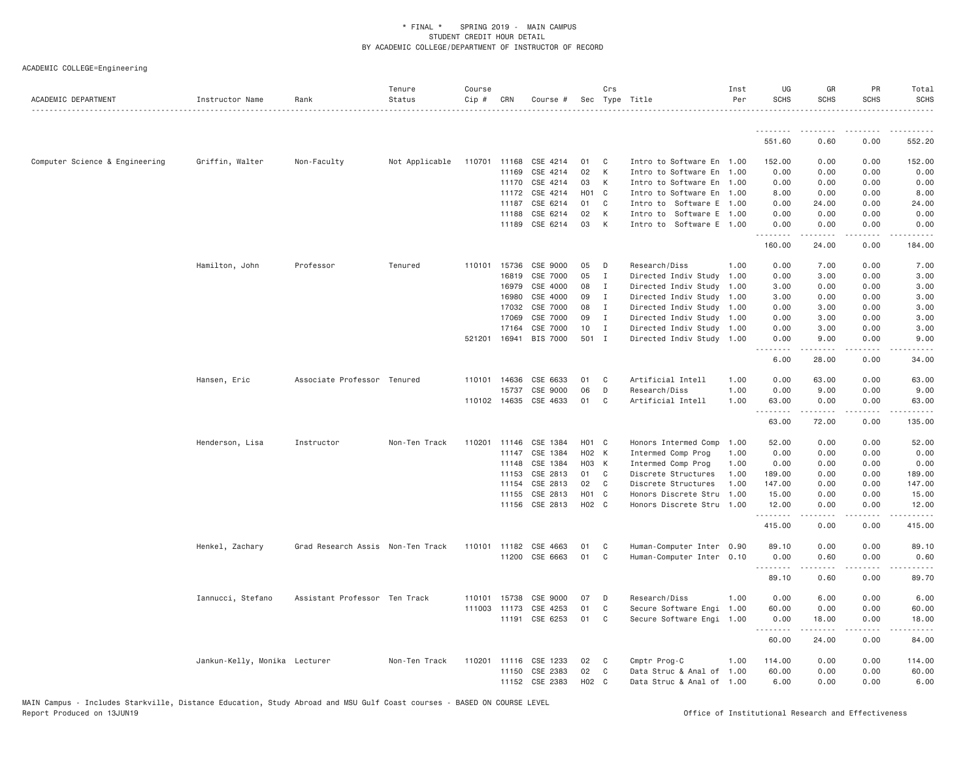| ACADEMIC DEPARTMENT            | Instructor Name               | Rank                              | Tenure<br>Status | Course<br>Cip # | CRN                   | Course #             |                   | Crs                | Sec Type Title                                         | Inst<br>Per | UG<br><b>SCHS</b>                                                                                                                                                     | GR<br><b>SCHS</b>   | PR<br><b>SCHS</b> | Total<br><b>SCHS</b> |
|--------------------------------|-------------------------------|-----------------------------------|------------------|-----------------|-----------------------|----------------------|-------------------|--------------------|--------------------------------------------------------|-------------|-----------------------------------------------------------------------------------------------------------------------------------------------------------------------|---------------------|-------------------|----------------------|
|                                |                               |                                   |                  |                 |                       |                      |                   |                    |                                                        |             | .                                                                                                                                                                     |                     |                   |                      |
|                                |                               |                                   |                  |                 |                       |                      |                   |                    |                                                        |             | 551.60                                                                                                                                                                | 0.60                | 0.00              | 552.20               |
| Computer Science & Engineering | Griffin, Walter               | Non-Faculty                       | Not Applicable   |                 | 110701 11168          | CSE 4214             | 01                | $\mathbf{C}$       | Intro to Software En 1.00                              |             | 152.00                                                                                                                                                                | 0.00                | 0.00              | 152.00               |
|                                |                               |                                   |                  |                 | 11169                 | CSE 4214             | 02                | K                  | Intro to Software En 1.00                              |             | 0.00                                                                                                                                                                  | 0.00                | 0.00              | 0.00                 |
|                                |                               |                                   |                  |                 | 11170                 | CSE 4214             | 03                | K                  | Intro to Software En 1.00                              |             | 0.00                                                                                                                                                                  | 0.00                | 0.00              | 0.00                 |
|                                |                               |                                   |                  |                 | 11172                 | CSE 4214             |                   | H <sub>0</sub> 1 C | Intro to Software En 1.00                              |             | 8.00                                                                                                                                                                  | 0.00                | 0.00              | 8.00                 |
|                                |                               |                                   |                  |                 | 11187                 | CSE 6214             | 01                | C.                 | Intro to Software E 1.00                               |             | 0.00                                                                                                                                                                  | 24.00               | 0.00              | 24.00                |
|                                |                               |                                   |                  |                 | 11188                 | CSE 6214             | 02                | K                  | Intro to Software E 1.00                               |             | 0.00                                                                                                                                                                  | 0.00                | 0.00              | 0.00                 |
|                                |                               |                                   |                  |                 | 11189                 | CSE 6214             | 03                | K                  | Intro to Software E 1.00                               |             | 0.00<br>.                                                                                                                                                             | 0.00<br>.           | 0.00<br>.         | 0.00<br>.            |
|                                |                               |                                   |                  |                 |                       |                      |                   |                    |                                                        |             | 160.00                                                                                                                                                                | 24.00               | 0.00              | 184.00               |
|                                | Hamilton, John                | Professor                         | Tenured          | 110101          | 15736                 | CSE 9000             | 05                | $\mathsf{D}$       | Research/Diss                                          | 1.00        | 0.00                                                                                                                                                                  | 7.00                | 0.00              | 7.00                 |
|                                |                               |                                   |                  |                 | 16819                 | CSE 7000             | 05                | $\mathbf{I}$       | Directed Indiv Study                                   | 1.00        | 0.00                                                                                                                                                                  | 3.00                | 0.00              | 3.00                 |
|                                |                               |                                   |                  |                 | 16979                 | CSE 4000             | 08                | I                  | Directed Indiv Study 1.00                              |             | 3.00                                                                                                                                                                  | 0.00                | 0.00              | 3.00                 |
|                                |                               |                                   |                  |                 | 16980                 | CSE 4000             | 09                | $\mathbf{I}$       | Directed Indiv Study 1.00                              |             | 3.00                                                                                                                                                                  | 0.00                | 0.00              | 3.00                 |
|                                |                               |                                   |                  |                 | 17032                 | CSE 7000             | 08                | $\blacksquare$     | Directed Indiv Study 1.00                              |             | 0.00                                                                                                                                                                  | 3.00                | 0.00              | 3.00                 |
|                                |                               |                                   |                  |                 | 17069                 | CSE 7000             | 09                | $\mathbf{I}$       | Directed Indiv Study 1.00                              |             | 0.00                                                                                                                                                                  | 3.00                | 0.00              | 3.00                 |
|                                |                               |                                   |                  |                 | 17164                 | CSE 7000             | 10                | $\blacksquare$     | Directed Indiv Study 1.00                              |             | 0.00                                                                                                                                                                  | 3.00                | 0.00              | 3.00                 |
|                                |                               |                                   |                  | 521201          | 16941                 | <b>BIS 7000</b>      | 501 I             |                    | Directed Indiv Study 1.00                              |             | 0.00<br>$\frac{1}{2} \left( \frac{1}{2} \right) \left( \frac{1}{2} \right) \left( \frac{1}{2} \right) \left( \frac{1}{2} \right) \left( \frac{1}{2} \right)$<br>$  -$ | 9.00                | 0.00              | 9.00                 |
|                                |                               |                                   |                  |                 |                       |                      |                   |                    |                                                        |             | 6.00                                                                                                                                                                  | 28.00               | 0.00              | 34.00                |
|                                | Hansen, Eric                  | Associate Professor Tenured       |                  |                 | 110101 14636          | CSE 6633             | 01                | $\mathbf{C}$       | Artificial Intell                                      | 1.00        | 0.00                                                                                                                                                                  | 63.00               | 0.00              | 63.00                |
|                                |                               |                                   |                  |                 | 15737                 | CSE 9000             | 06                | D                  | Research/Diss                                          | 1.00        | 0.00                                                                                                                                                                  | 9.00                | 0.00              | 9.00                 |
|                                |                               |                                   |                  |                 | 110102 14635          | CSE 4633             | 01                | C                  | Artificial Intell                                      | 1.00        | 63.00                                                                                                                                                                 | 0.00<br>.           | 0.00<br>.         | 63.00<br>------      |
|                                |                               |                                   |                  |                 |                       |                      |                   |                    |                                                        |             | 63.00                                                                                                                                                                 | 72.00               | 0.00              | 135.00               |
|                                | Henderson, Lisa               | Instructor                        | Non-Ten Track    | 110201          | 11146                 | CSE 1384             | H <sub>01</sub> C |                    | Honors Intermed Comp                                   | 1.00        | 52.00                                                                                                                                                                 | 0.00                | 0.00              | 52.00                |
|                                |                               |                                   |                  |                 | 11147                 | CSE 1384             | H02 K             |                    | Intermed Comp Prog                                     | 1.00        | 0.00                                                                                                                                                                  | 0.00                | 0.00              | 0.00                 |
|                                |                               |                                   |                  |                 | 11148                 | CSE 1384             | H03 K             |                    | Intermed Comp Prog                                     | 1.00        | 0.00                                                                                                                                                                  | 0.00                | 0.00              | 0.00                 |
|                                |                               |                                   |                  |                 | 11153                 | CSE 2813             | 01 C              |                    | Discrete Structures                                    | 1.00        | 189.00                                                                                                                                                                | 0.00                | 0.00              | 189.00               |
|                                |                               |                                   |                  |                 | 11154                 | CSE 2813             | 02                | $\mathbf{C}$       | Discrete Structures                                    | 1.00        | 147.00                                                                                                                                                                | 0.00                | 0.00              | 147.00               |
|                                |                               |                                   |                  |                 | 11155                 | CSE 2813             | H01 C             |                    | Honors Discrete Stru 1.00                              |             | 15.00                                                                                                                                                                 | 0.00                | 0.00              | 15.00                |
|                                |                               |                                   |                  |                 |                       | 11156 CSE 2813       | H02 C             |                    | Honors Discrete Stru 1.00                              |             | 12.00<br>.                                                                                                                                                            | 0.00<br>$- - - - -$ | 0.00<br>.         | 12.00                |
|                                |                               |                                   |                  |                 |                       |                      |                   |                    |                                                        |             | 415.00                                                                                                                                                                | 0.00                | 0.00              | 415.00               |
|                                | Henkel, Zachary               | Grad Research Assis Non-Ten Track |                  |                 | 110101 11182          | CSE 4663             | 01                | C                  | Human-Computer Inter 0.90                              |             | 89.10                                                                                                                                                                 | 0.00                | 0.00              | 89.10                |
|                                |                               |                                   |                  |                 |                       | 11200 CSE 6663       | 01                | C <sub>1</sub>     | Human-Computer Inter 0.10                              |             | 0.00                                                                                                                                                                  | 0.60                | 0.00              | 0.60                 |
|                                |                               |                                   |                  |                 |                       |                      |                   |                    |                                                        |             | .<br>89.10                                                                                                                                                            | 0.60                | .<br>0.00         | 89.70                |
|                                | Iannucci, Stefano             | Assistant Professor Ten Track     |                  |                 |                       | CSE 9000             | 07                | D                  | Research/Diss                                          | 1.00        | 0.00                                                                                                                                                                  | 6.00                | 0.00              | 6.00                 |
|                                |                               |                                   |                  | 110101          | 15738                 |                      |                   | C                  |                                                        |             |                                                                                                                                                                       |                     |                   |                      |
|                                |                               |                                   |                  |                 | 111003 11173<br>11191 | CSE 4253<br>CSE 6253 | 01<br>01          | C                  | Secure Software Engi 1.00<br>Secure Software Engi 1.00 |             | 60.00<br>0.00                                                                                                                                                         | 0.00<br>18.00       | 0.00<br>0.00      | 60.00<br>18.00       |
|                                |                               |                                   |                  |                 |                       |                      |                   |                    |                                                        |             | .                                                                                                                                                                     | .                   | .                 | .                    |
|                                |                               |                                   |                  |                 |                       |                      |                   |                    |                                                        |             | 60.00                                                                                                                                                                 | 24.00               | 0.00              | 84.00                |
|                                | Jankun-Kelly, Monika Lecturer |                                   | Non-Ten Track    | 110201          | 11116                 | CSE 1233             | 02                | $\mathbf{C}$       | Cmptr Prog-C                                           | 1.00        | 114.00                                                                                                                                                                | 0.00                | 0.00              | 114.00               |
|                                |                               |                                   |                  |                 |                       | 11150 CSE 2383       | 02                | $\mathbf{C}$       | Data Struc & Anal of 1.00                              |             | 60.00                                                                                                                                                                 | 0.00                | 0.00              | 60.00                |
|                                |                               |                                   |                  |                 | 11152                 | CSE 2383             | H02               | C <sub>c</sub>     | Data Struc & Anal of 1.00                              |             | 6.00                                                                                                                                                                  | 0.00                | 0.00              | 6.00                 |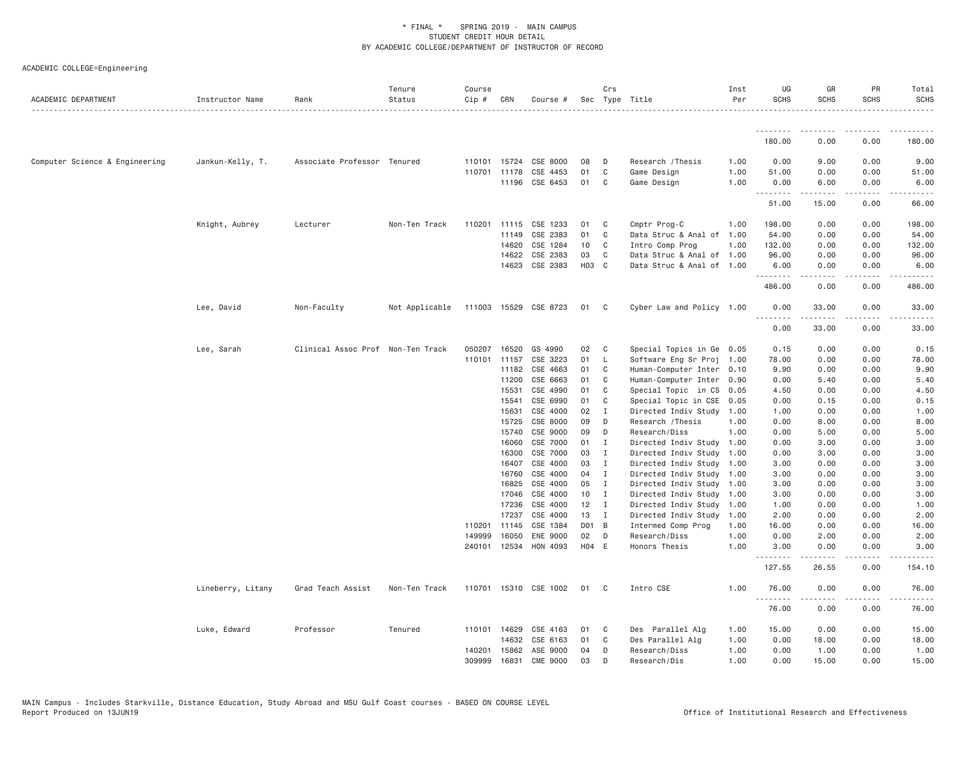| ACADEMIC DEPARTMENT            | Instructor Name   | Rank                              | Tenure<br>Status | Course<br>$Cip \#$ | CRN          | Course #              |                 | Crs            | Sec Type Title            | Inst<br>Per | UG<br><b>SCHS</b> | GR<br><b>SCHS</b>     | PR<br><b>SCHS</b>                   | Total<br><b>SCHS</b> |
|--------------------------------|-------------------|-----------------------------------|------------------|--------------------|--------------|-----------------------|-----------------|----------------|---------------------------|-------------|-------------------|-----------------------|-------------------------------------|----------------------|
|                                |                   |                                   |                  |                    |              |                       |                 |                |                           |             | .                 |                       |                                     |                      |
|                                |                   |                                   |                  |                    |              |                       |                 |                |                           |             | 180.00            | 0.00                  | 0.00                                | 180.00               |
| Computer Science & Engineering | Jankun-Kelly, T.  | Associate Professor Tenured       |                  | 110101             | 15724        | CSE 8000              | 08              | D              | Research / Thesis         | 1.00        | 0.00              | 9.00                  | 0.00                                | 9.00                 |
|                                |                   |                                   |                  | 110701             | 11178        | CSE 4453              | 01              | C              | Game Design               | 1.00        | 51.00             | 0.00                  | 0.00                                | 51.00                |
|                                |                   |                                   |                  |                    | 11196        | CSE 6453              | 01              | C              | Game Design               | 1.00        | 0.00<br>.         | 6.00<br>.             | 0.00<br>.                           | 6.00<br><u>.</u>     |
|                                |                   |                                   |                  |                    |              |                       |                 |                |                           |             | 51.00             | 15.00                 | 0.00                                | 66.00                |
|                                | Knight, Aubrey    | Lecturer                          | Non-Ten Track    |                    | 110201 11115 | CSE 1233              | 01              | C              | Cmptr Prog-C              | 1.00        | 198.00            | 0.00                  | 0.00                                | 198.00               |
|                                |                   |                                   |                  |                    | 11149        | CSE 2383              | 01              | C              | Data Struc & Anal of 1.00 |             | 54.00             | 0.00                  | 0.00                                | 54.00                |
|                                |                   |                                   |                  |                    | 14620        | CSE 1284              | 10 <sub>1</sub> | C              | Intro Comp Prog           | 1.00        | 132.00            | 0.00                  | 0.00                                | 132.00               |
|                                |                   |                                   |                  |                    | 14622        | CSE 2383              | 03              | C              | Data Struc & Anal of 1.00 |             | 96.00             | 0.00                  | 0.00                                | 96.00                |
|                                |                   |                                   |                  |                    | 14623        | CSE 2383              | H03 C           |                | Data Struc & Anal of 1.00 |             | 6.00<br>.         | 0.00<br>.             | 0.00<br>$\sim$ $\sim$ $\sim$ $\sim$ | 6.00<br>.            |
|                                |                   |                                   |                  |                    |              |                       |                 |                |                           |             | 486.00            | 0.00                  | 0.00                                | 486.00               |
|                                | Lee, David        | Non-Faculty                       | Not Applicable   |                    |              | 111003 15529 CSE 8723 | 01 C            |                | Cyber Law and Policy 1.00 |             | 0.00<br>.         | 33.00<br>. <u>.</u> . | 0.00<br>.                           | 33.00                |
|                                |                   |                                   |                  |                    |              |                       |                 |                |                           |             | 0.00              | 33.00                 | 0.00                                | 33.00                |
|                                | Lee, Sarah        | Clinical Assoc Prof Non-Ten Track |                  | 050207             | 16520        | GS 4990               | 02              | C              | Special Topics in Ge 0.05 |             | 0.15              | 0.00                  | 0.00                                | 0.15                 |
|                                |                   |                                   |                  |                    | 110101 11157 | CSE 3223              | 01              | $\mathsf{L}$   | Software Eng Sr Proj 1.00 |             | 78.00             | 0.00                  | 0.00                                | 78.00                |
|                                |                   |                                   |                  |                    | 11182        | CSE 4663              | 01              | C              | Human-Computer Inter 0.10 |             | 9.90              | 0.00                  | 0.00                                | 9.90                 |
|                                |                   |                                   |                  |                    | 11200        | CSE 6663              | 01              | C              | Human-Computer Inter 0.90 |             | 0.00              | 5.40                  | 0.00                                | 5.40                 |
|                                |                   |                                   |                  |                    | 15531        | CSE 4990              | 01              | C              | Special Topic in CS 0.05  |             | 4.50              | 0.00                  | 0.00                                | 4.50                 |
|                                |                   |                                   |                  |                    | 15541        | CSE 6990              | 01              | C              | Special Topic in CSE      | 0.05        | 0.00              | 0.15                  | 0.00                                | 0.15                 |
|                                |                   |                                   |                  |                    | 15631        | CSE 4000              | 02              | $\mathbf I$    | Directed Indiv Study      | 1.00        | 1.00              | 0.00                  | 0.00                                | 1.00                 |
|                                |                   |                                   |                  |                    | 15725        | CSE 8000              | 09              | D              | Research / Thesis         | 1,00        | 0.00              | 8.00                  | 0.00                                | 8.00                 |
|                                |                   |                                   |                  |                    | 15740        | CSE 9000              | 09              | D              | Research/Diss             | 1.00        | 0.00              | 5.00                  | 0.00                                | 5.00                 |
|                                |                   |                                   |                  |                    | 16060        | CSE 7000              | 01              | I              | Directed Indiv Study      | 1.00        | 0.00              | 3.00                  | 0.00                                | 3.00                 |
|                                |                   |                                   |                  |                    | 16300        | CSE 7000              | 03              | $\mathbf I$    | Directed Indiv Study 1.00 |             | 0.00              | 3.00                  | 0.00                                | 3.00                 |
|                                |                   |                                   |                  |                    | 16407        | CSE 4000              | 03              | $\mathbf{I}$   | Directed Indiv Study 1.00 |             | 3.00              | 0.00                  | 0.00                                | 3.00                 |
|                                |                   |                                   |                  |                    | 16760        | CSE 4000              | 04              | I              | Directed Indiv Study 1.00 |             | 3.00              | 0.00                  | 0.00                                | 3.00                 |
|                                |                   |                                   |                  |                    | 16825        | CSE 4000              | 05              | I              | Directed Indiv Study 1.00 |             | 3.00              | 0.00                  | 0.00                                | 3.00                 |
|                                |                   |                                   |                  |                    | 17046        | CSE 4000              | 10              | $\mathbf{I}$   | Directed Indiv Study 1.00 |             | 3.00              | 0.00                  | 0.00                                | 3.00                 |
|                                |                   |                                   |                  |                    | 17236        | CSE 4000              | 12              | $\blacksquare$ | Directed Indiv Study 1.00 |             | 1.00              | 0.00                  | 0.00                                | 1.00                 |
|                                |                   |                                   |                  |                    | 17237        | CSE 4000              | 13              | $\mathbf{I}$   | Directed Indiv Study      | 1.00        | 2.00              | 0.00                  | 0.00                                | 2.00                 |
|                                |                   |                                   |                  | 110201             | 11145        | CSE 1384              | DO1 B           |                | Intermed Comp Prog        | 1.00        | 16.00             | 0.00                  | 0.00                                | 16.00                |
|                                |                   |                                   |                  | 149999             | 16050        | ENE 9000              | 02              | D              | Research/Diss             | 1.00        | 0.00              | 2.00                  | 0.00                                | 2.00                 |
|                                |                   |                                   |                  |                    | 240101 12534 | HON 4093              | H04 E           |                | Honors Thesis             | 1.00        | 3.00<br>.         | 0.00<br>. <u>.</u> .  | 0.00<br>$\sim$ $\sim$ $\sim$ $\sim$ | 3.00                 |
|                                |                   |                                   |                  |                    |              |                       |                 |                |                           |             | 127.55            | 26.55                 | 0.00                                | 154.10               |
|                                | Lineberry, Litany | Grad Teach Assist                 | Non-Ten Track    |                    |              | 110701 15310 CSE 1002 | 01              | C <sub>c</sub> | Intro CSE                 | 1.00        | 76.00<br>.        | 0.00<br>.             | 0.00<br>.                           | 76.00<br>.           |
|                                |                   |                                   |                  |                    |              |                       |                 |                |                           |             | 76.00             | 0.00                  | 0.00                                | 76.00                |
|                                | Luke, Edward      | Professor                         | Tenured          |                    | 110101 14629 | CSE 4163              | 01              | C              | Des Parallel Alg          | 1.00        | 15.00             | 0.00                  | 0.00                                | 15.00                |
|                                |                   |                                   |                  |                    | 14632        | CSE 6163              | 01              | C              | Des Parallel Alg          | 1.00        | 0.00              | 18.00                 | 0.00                                | 18.00                |
|                                |                   |                                   |                  | 140201             | 15862        | ASE 9000              | 04              | D              | Research/Diss             | 1.00        | 0.00              | 1.00                  | 0.00                                | 1.00                 |
|                                |                   |                                   |                  | 309999             | 16831        | <b>CME 9000</b>       | 03              | D              | Research/Dis              | 1.00        | 0.00              | 15.00                 | 0.00                                | 15.00                |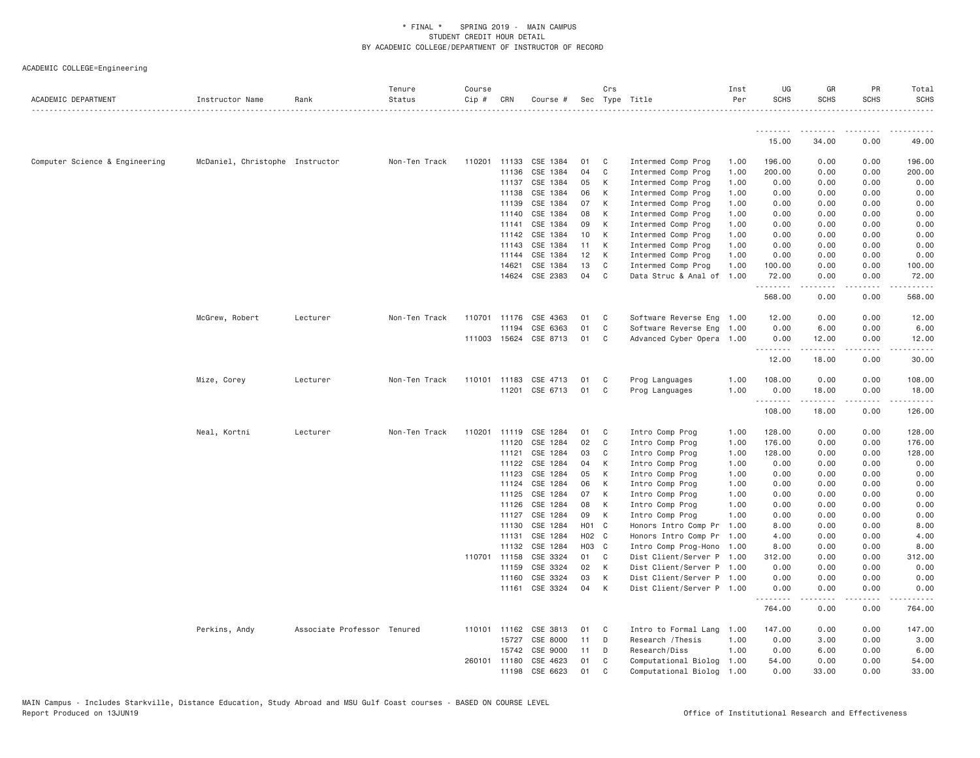| ACADEMIC DEPARTMENT            | Instructor Name                 | Rank                        | Tenure<br>Status | Course<br>Cip # | CRN            | Course #              |          | Crs            | Sec Type Title                     | Inst<br>Per  | UG<br><b>SCHS</b> | GR<br>SCHS                                                                                                                                   | PR<br><b>SCHS</b> | Total<br><b>SCHS</b> |
|--------------------------------|---------------------------------|-----------------------------|------------------|-----------------|----------------|-----------------------|----------|----------------|------------------------------------|--------------|-------------------|----------------------------------------------------------------------------------------------------------------------------------------------|-------------------|----------------------|
|                                |                                 |                             |                  |                 |                |                       |          |                |                                    |              |                   |                                                                                                                                              |                   |                      |
|                                |                                 |                             |                  |                 |                |                       |          |                |                                    |              | 15.00             | 34.00                                                                                                                                        | 0.00              | 49.00                |
| Computer Science & Engineering | McDaniel, Christophe Instructor |                             | Non-Ten Track    | 110201 11133    |                | CSE 1384              | 01       | C              | Intermed Comp Prog                 | 1.00         | 196.00            | 0.00                                                                                                                                         | 0.00              | 196.00               |
|                                |                                 |                             |                  |                 | 11136          | CSE 1384              | 04       | $\mathbf{C}$   | Intermed Comp Prog                 | 1.00         | 200.00            | 0.00                                                                                                                                         | 0.00              | 200.00               |
|                                |                                 |                             |                  |                 | 11137          | CSE 1384              | 05       | К              | Intermed Comp Prog                 | 1.00         | 0.00              | 0.00                                                                                                                                         | 0.00              | 0.00                 |
|                                |                                 |                             |                  |                 | 11138          | CSE 1384              | 06       | К              | Intermed Comp Prog                 | 1.00         | 0.00              | 0.00                                                                                                                                         | 0.00              | 0.00                 |
|                                |                                 |                             |                  |                 | 11139          | CSE 1384              | 07       | K              | Intermed Comp Prog                 | 1.00         | 0.00              | 0.00                                                                                                                                         | 0.00              | 0.00                 |
|                                |                                 |                             |                  |                 | 11140          | CSE 1384              | 08       | К              | Intermed Comp Prog                 | 1.00         | 0.00              | 0.00                                                                                                                                         | 0.00              | 0.00                 |
|                                |                                 |                             |                  |                 | 11141          | CSE 1384              | 09       | К              | Intermed Comp Prog                 | 1.00         | 0.00              | 0.00                                                                                                                                         | 0.00              | 0.00                 |
|                                |                                 |                             |                  |                 | 11142          | CSE 1384              | 10       | К              | Intermed Comp Prog                 | 1.00         | 0.00              | 0.00                                                                                                                                         | 0.00              | 0.00                 |
|                                |                                 |                             |                  |                 | 11143          | CSE 1384              | 11       | K              | Intermed Comp Prog                 | 1.00         | 0.00              | 0.00                                                                                                                                         | 0.00              | 0.00                 |
|                                |                                 |                             |                  |                 | 11144          | CSE 1384              | 12       | К              | Intermed Comp Prog                 | 1.00         | 0.00              | 0.00                                                                                                                                         | 0.00              | 0.00                 |
|                                |                                 |                             |                  |                 | 14621          | CSE 1384              | 13       | C              | Intermed Comp Prog                 | 1.00         | 100.00            | 0.00                                                                                                                                         | 0.00              | 100.00               |
|                                |                                 |                             |                  |                 | 14624          | CSE 2383              | 04       | C <sub>1</sub> | Data Struc & Anal of 1.00          |              | 72.00<br>.        | 0.00<br>$\mathcal{L}^{\mathcal{A}}\left( \mathcal{A}^{\mathcal{A}}\right) =\mathcal{L}^{\mathcal{A}}\left( \mathcal{A}^{\mathcal{A}}\right)$ | 0.00<br>.         | 72.00<br>.           |
|                                |                                 |                             |                  |                 |                |                       |          |                |                                    |              | 568.00            | 0.00                                                                                                                                         | 0.00              | 568.00               |
|                                | McGrew, Robert                  | Lecturer                    | Non-Ten Track    |                 | 110701 11176   | CSE 4363              | 01       | C              | Software Reverse Eng 1.00          |              | 12.00             | 0.00                                                                                                                                         | 0.00              | 12.00                |
|                                |                                 |                             |                  |                 | 11194          | CSE 6363              | 01       | C              | Software Reverse Eng 1.00          |              | 0.00              | 6.00                                                                                                                                         | 0.00              | 6.00                 |
|                                |                                 |                             |                  |                 |                | 111003 15624 CSE 8713 | 01       | C <sub>1</sub> | Advanced Cyber Opera 1.00          |              | 0.00              | 12.00                                                                                                                                        | 0.00              | 12.00                |
|                                |                                 |                             |                  |                 |                |                       |          |                |                                    |              | <u>.</u><br>12.00 | .<br>18.00                                                                                                                                   | <u>.</u><br>0.00  | . <u>.</u><br>30.00  |
|                                | Mize, Corey                     | Lecturer                    | Non-Ten Track    | 110101 11183    |                | CSE 4713              | 01       | C              | Prog Languages                     | 1.00         | 108.00            | 0.00                                                                                                                                         | 0.00              | 108.00               |
|                                |                                 |                             |                  |                 |                | 11201 CSE 6713        | 01       | C <sub>1</sub> | Prog Languages                     | 1.00         | 0.00              | 18.00                                                                                                                                        | 0.00              | 18.00                |
|                                |                                 |                             |                  |                 |                |                       |          |                |                                    |              | .<br>108.00       | .<br>18.00                                                                                                                                   | .<br>0.00         | 126.00               |
|                                |                                 |                             |                  |                 |                |                       |          |                |                                    |              |                   |                                                                                                                                              |                   |                      |
|                                | Neal, Kortni                    | Lecturer                    | Non-Ten Track    | 110201 11119    |                | CSE 1284              | 01       | C              | Intro Comp Prog                    | 1.00         | 128.00            | 0.00                                                                                                                                         | 0.00              | 128.00               |
|                                |                                 |                             |                  |                 | 11120          | CSE 1284              | 02       | C              | Intro Comp Prog                    | 1.00         | 176.00            | 0.00                                                                                                                                         | 0.00              | 176.00               |
|                                |                                 |                             |                  |                 | 11121          | CSE 1284              | 03       | C              | Intro Comp Prog                    | 1.00         | 128.00            | 0.00                                                                                                                                         | 0.00              | 128.00               |
|                                |                                 |                             |                  |                 | 11122          | CSE 1284              | 04       | К              | Intro Comp Prog                    | 1.00         | 0.00              | 0.00                                                                                                                                         | 0.00              | 0.00                 |
|                                |                                 |                             |                  |                 | 11123          | CSE 1284              | 05       | K              | Intro Comp Prog                    | 1.00         | 0.00              | 0.00                                                                                                                                         | 0.00              | 0.00                 |
|                                |                                 |                             |                  |                 | 11124          | CSE 1284              | 06       | K              | Intro Comp Prog                    | 1.00         | 0.00              | 0.00                                                                                                                                         | 0.00              | 0.00                 |
|                                |                                 |                             |                  |                 | 11125          | CSE 1284              | 07       | К              | Intro Comp Prog                    | 1.00         | 0.00              | 0.00                                                                                                                                         | 0.00              | 0.00                 |
|                                |                                 |                             |                  |                 | 11126<br>11127 | CSE 1284<br>CSE 1284  | 08<br>09 | К<br>K         | Intro Comp Prog<br>Intro Comp Prog | 1.00<br>1.00 | 0.00<br>0.00      | 0.00<br>0.00                                                                                                                                 | 0.00<br>0.00      | 0.00<br>0.00         |
|                                |                                 |                             |                  |                 | 11130          | CSE 1284              | HO1 C    |                | Honors Intro Comp Pr 1.00          |              | 8.00              | 0.00                                                                                                                                         | 0.00              | 8.00                 |
|                                |                                 |                             |                  |                 | 11131          | CSE 1284              | H02 C    |                | Honors Intro Comp Pr 1.00          |              | 4.00              | 0.00                                                                                                                                         | 0.00              | 4.00                 |
|                                |                                 |                             |                  |                 | 11132          | CSE 1284              | H03 C    |                | Intro Comp Prog-Hono 1.00          |              | 8.00              | 0.00                                                                                                                                         | 0.00              | 8.00                 |
|                                |                                 |                             |                  | 110701 11158    |                | CSE 3324              | 01       | C <sub>1</sub> | Dist Client/Server P 1.00          |              | 312.00            | 0.00                                                                                                                                         | 0.00              | 312.00               |
|                                |                                 |                             |                  |                 | 11159          | CSE 3324              | 02       | K              | Dist Client/Server P 1.00          |              | 0.00              | 0.00                                                                                                                                         | 0.00              | 0.00                 |
|                                |                                 |                             |                  |                 | 11160          | CSE 3324              | 03       | K              | Dist Client/Server P 1.00          |              | 0.00              | 0.00                                                                                                                                         | 0.00              | 0.00                 |
|                                |                                 |                             |                  |                 | 11161          | CSE 3324              | 04       | K              | Dist Client/Server P 1.00          |              | 0.00              | 0.00                                                                                                                                         | 0.00              | 0.00                 |
|                                |                                 |                             |                  |                 |                |                       |          |                |                                    |              | .<br>764.00       | 0.00                                                                                                                                         | 0.00              | 764.00               |
|                                | Perkins, Andy                   | Associate Professor Tenured |                  |                 | 110101 11162   | CSE 3813              | 01       | C.             | Intro to Formal Lang               | 1.00         | 147.00            | 0.00                                                                                                                                         | 0.00              | 147.00               |
|                                |                                 |                             |                  |                 | 15727          | CSE 8000              | 11       | D              | Research / Thesis                  | 1.00         | 0.00              | 3.00                                                                                                                                         | 0.00              | 3.00                 |
|                                |                                 |                             |                  |                 | 15742          | CSE 9000              | 11       | D              | Research/Diss                      | 1.00         | 0.00              | 6.00                                                                                                                                         | 0.00              | 6.00                 |
|                                |                                 |                             |                  | 260101 11180    |                | CSE 4623              | 01       | C              | Computational Biolog 1.00          |              | 54.00             | 0.00                                                                                                                                         | 0.00              | 54.00                |
|                                |                                 |                             |                  |                 | 11198          | CSE 6623              | 01       | C              | Computational Biolog 1.00          |              | 0.00              | 33.00                                                                                                                                        | 0.00              | 33.00                |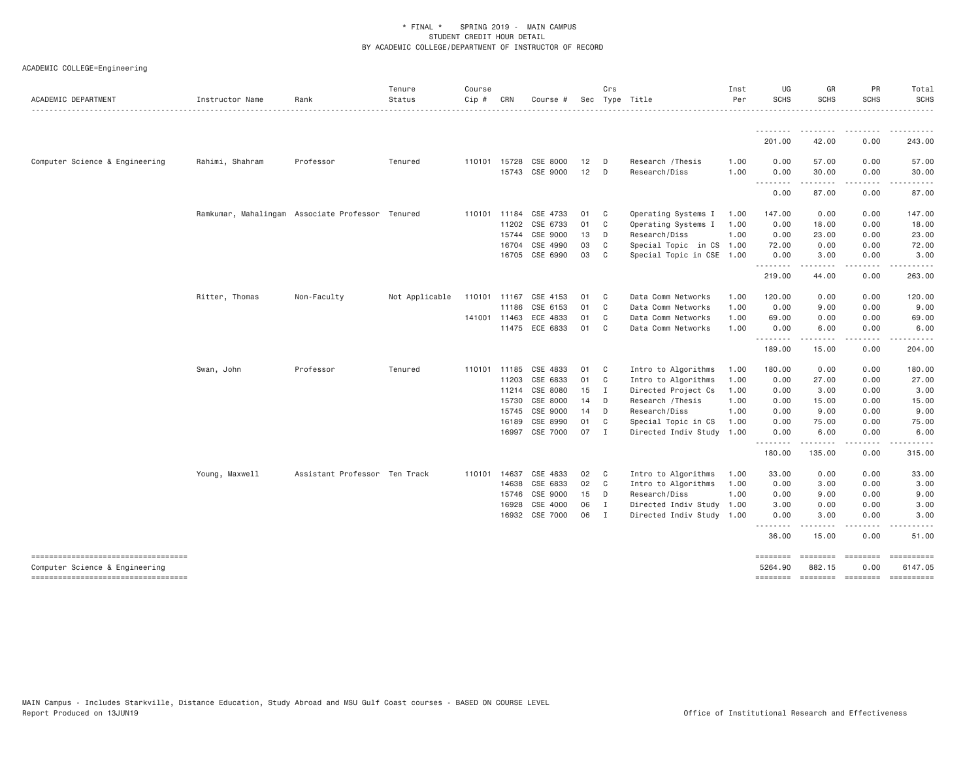| ACADEMIC DEPARTMENT                                                  | Instructor Name                                  | Rank                          | Tenure<br>Status | Course<br>Cip # | CRN          | Course #              |    | Crs<br>Sec Type Title |                           | Inst<br>Per | UG<br><b>SCHS</b>   | GR<br><b>SCHS</b>                                                                                                                                            | PR<br><b>SCHS</b>                   | Total<br><b>SCHS</b>  |
|----------------------------------------------------------------------|--------------------------------------------------|-------------------------------|------------------|-----------------|--------------|-----------------------|----|-----------------------|---------------------------|-------------|---------------------|--------------------------------------------------------------------------------------------------------------------------------------------------------------|-------------------------------------|-----------------------|
|                                                                      |                                                  |                               |                  |                 |              |                       |    |                       |                           |             |                     |                                                                                                                                                              |                                     |                       |
|                                                                      |                                                  |                               |                  |                 |              |                       |    |                       |                           |             | 201,00              | 42.00                                                                                                                                                        | 0.00                                | 243,00                |
| Computer Science & Engineering                                       | Rahimi, Shahram                                  | Professor                     | Tenured          |                 | 110101 15728 | CSE 8000              | 12 | D                     | Research / Thesis         | 1.00        | 0.00                | 57.00                                                                                                                                                        | 0.00                                | 57.00                 |
|                                                                      |                                                  |                               |                  |                 |              | 15743 CSE 9000        | 12 | D                     | Research/Diss             | 1.00        | 0.00                | 30.00<br>.                                                                                                                                                   | 0.00<br>$- - - -$                   | 30.00<br>$\cdots$     |
|                                                                      |                                                  |                               |                  |                 |              |                       |    |                       |                           |             | .<br>0.00           | 87.00                                                                                                                                                        | 0.00                                | 87.00                 |
|                                                                      | Ramkumar, Mahalingam Associate Professor Tenured |                               |                  |                 | 110101 11184 | CSE 4733              | 01 | C                     | Operating Systems I       | 1.00        | 147.00              | 0.00                                                                                                                                                         | 0.00                                | 147.00                |
|                                                                      |                                                  |                               |                  |                 | 11202        | CSE 6733              | 01 | C                     | Operating Systems I       | 1.00        | 0.00                | 18.00                                                                                                                                                        | 0.00                                | 18.00                 |
|                                                                      |                                                  |                               |                  |                 | 15744        | CSE 9000              | 13 | D                     | Research/Diss             | 1.00        | 0.00                | 23.00                                                                                                                                                        | 0.00                                | 23.00                 |
|                                                                      |                                                  |                               |                  |                 | 16704        | CSE 4990              | 03 | C                     | Special Topic in CS 1.00  |             | 72.00               | 0.00                                                                                                                                                         | 0.00                                | 72.00                 |
|                                                                      |                                                  |                               |                  |                 |              | 16705 CSE 6990        | 03 | C                     | Special Topic in CSE 1.00 |             | 0.00                | 3.00<br>$\frac{1}{2} \left( \frac{1}{2} \right) \left( \frac{1}{2} \right) \left( \frac{1}{2} \right) \left( \frac{1}{2} \right) \left( \frac{1}{2} \right)$ | 0.00<br>$\sim$ $\sim$ $\sim$ $\sim$ | 3.00<br>.             |
|                                                                      |                                                  |                               |                  |                 |              |                       |    |                       |                           |             | 219.00              | 44.00                                                                                                                                                        | 0.00                                | 263.00                |
|                                                                      | Ritter, Thomas                                   | Non-Faculty                   | Not Applicable   |                 | 110101 11167 | CSE 4153              | 01 | C                     | Data Comm Networks        | 1.00        | 120.00              | 0.00                                                                                                                                                         | 0.00                                | 120.00                |
|                                                                      |                                                  |                               |                  |                 | 11186        | CSE 6153              | 01 | C <sub>1</sub>        | Data Comm Networks        | 1.00        | 0.00                | 9.00                                                                                                                                                         | 0.00                                | 9.00                  |
|                                                                      |                                                  |                               |                  |                 | 141001 11463 | ECE 4833              | 01 | C                     | Data Comm Networks        | 1.00        | 69.00               | 0.00                                                                                                                                                         | 0.00                                | 69.00                 |
|                                                                      |                                                  |                               |                  |                 |              | 11475 ECE 6833        | 01 | C <sub>c</sub>        | Data Comm Networks        | 1.00        | 0.00                | 6.00                                                                                                                                                         | 0.00                                | 6.00                  |
|                                                                      |                                                  |                               |                  |                 |              |                       |    |                       |                           |             | .<br>189.00         | .<br>15.00                                                                                                                                                   | .<br>0.00                           | 204.00                |
|                                                                      | Swan, John                                       | Professor                     | Tenured          |                 |              | 110101 11185 CSE 4833 | 01 | C <sub>1</sub>        | Intro to Algorithms       | 1.00        | 180.00              | 0.00                                                                                                                                                         | 0.00                                | 180.00                |
|                                                                      |                                                  |                               |                  |                 | 11203        | CSE 6833              | 01 | C <sub>1</sub>        | Intro to Algorithms       | 1.00        | 0.00                | 27.00                                                                                                                                                        | 0.00                                | 27.00                 |
|                                                                      |                                                  |                               |                  |                 |              | 11214 CSE 8080        | 15 | $\mathbf{I}$          | Directed Project Cs       | 1.00        | 0.00                | 3.00                                                                                                                                                         | 0.00                                | 3.00                  |
|                                                                      |                                                  |                               |                  |                 | 15730        | CSE 8000              | 14 | D                     | Research / Thesis         | 1.00        | 0.00                | 15.00                                                                                                                                                        | 0.00                                | 15.00                 |
|                                                                      |                                                  |                               |                  |                 | 15745        | CSE 9000              | 14 | D                     | Research/Diss             | 1.00        | 0.00                | 9.00                                                                                                                                                         | 0.00                                | 9.00                  |
|                                                                      |                                                  |                               |                  |                 | 16189        | CSE 8990              | 01 | C <sub>1</sub>        | Special Topic in CS       | 1.00        | 0.00                | 75.00                                                                                                                                                        | 0.00                                | 75.00                 |
|                                                                      |                                                  |                               |                  |                 |              | 16997 CSE 7000        | 07 | $\mathbf{I}$          | Directed Indiv Study 1.00 |             | 0.00<br>--------    | 6.00<br><u>.</u>                                                                                                                                             | 0.00<br>.                           | 6.00<br>. <u>.</u> .  |
|                                                                      |                                                  |                               |                  |                 |              |                       |    |                       |                           |             | 180.00              | 135.00                                                                                                                                                       | 0.00                                | 315.00                |
|                                                                      | Young, Maxwell                                   | Assistant Professor Ten Track |                  | 110101          | 14637        | CSE 4833              | 02 | C                     | Intro to Algorithms       | 1.00        | 33.00               | 0.00                                                                                                                                                         | 0.00                                | 33.00                 |
|                                                                      |                                                  |                               |                  |                 | 14638        | CSE 6833              | 02 | C <sub>1</sub>        | Intro to Algorithms       | 1.00        | 0.00                | 3.00                                                                                                                                                         | 0.00                                | 3.00                  |
|                                                                      |                                                  |                               |                  |                 | 15746        | CSE 9000              | 15 | D                     | Research/Diss             | 1.00        | 0.00                | 9.00                                                                                                                                                         | 0.00                                | 9.00                  |
|                                                                      |                                                  |                               |                  |                 | 16928        | CSE 4000              | 06 | I                     | Directed Indiv Study 1.00 |             | 3.00                | 0.00                                                                                                                                                         | 0.00                                | 3.00                  |
|                                                                      |                                                  |                               |                  |                 |              | 16932 CSE 7000        | 06 | I                     | Directed Indiv Study 1.00 |             | 0.00<br><u>.</u>    | 3.00<br>-----                                                                                                                                                | 0.00<br>.                           | 3.00<br>$- - - - -$   |
|                                                                      |                                                  |                               |                  |                 |              |                       |    |                       |                           |             | 36.00               | 15.00                                                                                                                                                        | 0.00                                | 51.00                 |
| ----------------------------------<br>Computer Science & Engineering |                                                  |                               |                  |                 |              |                       |    |                       |                           |             | ========<br>5264.90 | <b>ESSESSE</b><br>882.15                                                                                                                                     | $= 222222222$<br>0.00               | ----------<br>6147.05 |
| -----------------------------------                                  |                                                  |                               |                  |                 |              |                       |    |                       |                           |             | ========            | ======== ======== =========                                                                                                                                  |                                     |                       |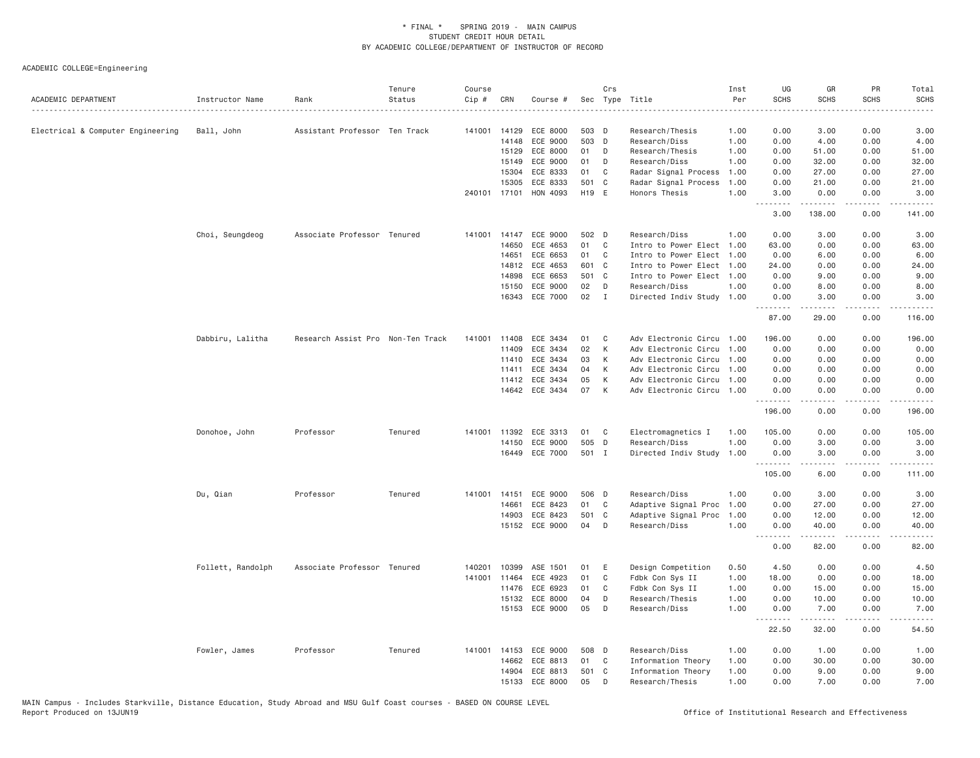| ACADEMIC DEPARTMENT               | Instructor Name   | Rank                              | Tenure<br>Status | Course<br>Cip # | CRN          | Course #       |       | Crs          | Sec Type Title            | Inst<br>Per | UG<br><b>SCHS</b>     | GR<br><b>SCHS</b>                                                                                                                                             | PR<br><b>SCHS</b>                   | Total<br>SCHS<br>$\frac{1}{2}$ |
|-----------------------------------|-------------------|-----------------------------------|------------------|-----------------|--------------|----------------|-------|--------------|---------------------------|-------------|-----------------------|---------------------------------------------------------------------------------------------------------------------------------------------------------------|-------------------------------------|--------------------------------|
| Electrical & Computer Engineering | Ball, John        | Assistant Professor Ten Track     |                  | 141001          | 14129        | ECE 8000       | 503 D |              | Research/Thesis           | 1.00        | 0.00                  | 3.00                                                                                                                                                          | 0.00                                | 3.00                           |
|                                   |                   |                                   |                  |                 | 14148        | ECE 9000       | 503 D |              | Research/Diss             | 1.00        | 0.00                  | 4.00                                                                                                                                                          | 0.00                                | 4.00                           |
|                                   |                   |                                   |                  |                 | 15129        | ECE 8000       | 01    | D            | Research/Thesis           | 1.00        | 0.00                  | 51.00                                                                                                                                                         | 0.00                                | 51.00                          |
|                                   |                   |                                   |                  |                 | 15149        | ECE 9000       | 01    | D            | Research/Diss             | 1.00        | 0.00                  | 32.00                                                                                                                                                         | 0.00                                | 32.00                          |
|                                   |                   |                                   |                  |                 | 15304        | ECE 8333       | 01    | C            | Radar Signal Process      | 1.00        | 0.00                  | 27.00                                                                                                                                                         | 0.00                                | 27.00                          |
|                                   |                   |                                   |                  |                 | 15305        | ECE 8333       | 501 C |              | Radar Signal Process      | 1.00        | 0.00                  | 21.00                                                                                                                                                         | 0.00                                | 21.00                          |
|                                   |                   |                                   |                  | 240101 17101    |              | HON 4093       | H19 E |              | Honors Thesis             | 1.00        | 3.00<br>.             | 0.00<br><u>.</u>                                                                                                                                              | 0.00<br>$\sim$ $\sim$ $\sim$ $\sim$ | 3.00<br>.                      |
|                                   |                   |                                   |                  |                 |              |                |       |              |                           |             | 3.00                  | 138.00                                                                                                                                                        | 0.00                                | 141.00                         |
|                                   | Choi, Seungdeog   | Associate Professor Tenured       |                  | 141001          | 14147        | ECE 9000       | 502 D |              | Research/Diss             | 1,00        | 0.00                  | 3.00                                                                                                                                                          | 0.00                                | 3.00                           |
|                                   |                   |                                   |                  |                 | 14650        | ECE 4653       | 01    | C            | Intro to Power Elect 1.00 |             | 63.00                 | 0.00                                                                                                                                                          | 0.00                                | 63.00                          |
|                                   |                   |                                   |                  |                 | 14651        | ECE 6653       | 01    | $\mathbf{C}$ | Intro to Power Elect 1.00 |             | 0.00                  | 6.00                                                                                                                                                          | 0.00                                | 6.00                           |
|                                   |                   |                                   |                  |                 | 14812        | ECE 4653       | 601 C |              | Intro to Power Elect 1.00 |             | 24.00                 | 0.00                                                                                                                                                          | 0.00                                | 24.00                          |
|                                   |                   |                                   |                  |                 | 14898        | ECE 6653       | 501 C |              | Intro to Power Elect 1.00 |             | 0.00                  | 9.00                                                                                                                                                          | 0.00                                | 9.00                           |
|                                   |                   |                                   |                  |                 | 15150        | ECE 9000       | 02    | D            | Research/Diss             | 1.00        | 0.00                  | 8.00                                                                                                                                                          | 0.00                                | 8.00                           |
|                                   |                   |                                   |                  |                 | 16343        | ECE 7000       | 02    | $\mathbf{I}$ | Directed Indiv Study 1.00 |             | 0.00<br>.             | 3.00<br>$- - - - -$                                                                                                                                           | 0.00<br>د د د د                     | 3.00<br>.                      |
|                                   |                   |                                   |                  |                 |              |                |       |              |                           |             | 87.00                 | 29.00                                                                                                                                                         | 0.00                                | 116.00                         |
|                                   | Dabbiru, Lalitha  | Research Assist Pro Non-Ten Track |                  | 141001          | 11408        | ECE 3434       | 01    | C            | Adv Electronic Circu 1.00 |             | 196.00                | 0.00                                                                                                                                                          | 0.00                                | 196.00                         |
|                                   |                   |                                   |                  |                 | 11409        | ECE 3434       | 02    | К            | Adv Electronic Circu 1.00 |             | 0.00                  | 0.00                                                                                                                                                          | 0.00                                | 0.00                           |
|                                   |                   |                                   |                  |                 | 11410        | ECE 3434       | 03    | К            | Adv Electronic Circu 1.00 |             | 0.00                  | 0.00                                                                                                                                                          | 0.00                                | 0.00                           |
|                                   |                   |                                   |                  |                 | 11411        | ECE 3434       | 04    | К            | Adv Electronic Circu 1.00 |             | 0.00                  | 0.00                                                                                                                                                          | 0.00                                | 0.00                           |
|                                   |                   |                                   |                  |                 | 11412        | ECE 3434       | 05    | K            | Adv Electronic Circu      | 1.00        | 0.00                  | 0.00                                                                                                                                                          | 0.00                                | 0.00                           |
|                                   |                   |                                   |                  |                 |              | 14642 ECE 3434 | 07    | K            | Adv Electronic Circu 1.00 |             | 0.00                  | 0.00<br>.                                                                                                                                                     | 0.00<br>د د د د                     | 0.00<br>$- - - - - -$          |
|                                   |                   |                                   |                  |                 |              |                |       |              |                           |             | 196.00                | 0.00                                                                                                                                                          | 0.00                                | 196.00                         |
|                                   | Donohoe, John     | Professor                         | Tenured          |                 | 141001 11392 | ECE 3313       | 01    | C            | Electromagnetics I        | 1.00        | 105.00                | 0.00                                                                                                                                                          | 0.00                                | 105.00                         |
|                                   |                   |                                   |                  |                 | 14150        | ECE 9000       | 505 D |              | Research/Diss             | 1.00        | 0.00                  | 3.00                                                                                                                                                          | 0.00                                | 3.00                           |
|                                   |                   |                                   |                  |                 | 16449        | ECE 7000       | 501 I |              | Directed Indiv Study      | 1.00        | 0.00<br>1.1.1.1.1.1.1 | 3,00                                                                                                                                                          | 0.00                                | 3,00<br>-----                  |
|                                   |                   |                                   |                  |                 |              |                |       |              |                           |             | 105.00                | 6.00                                                                                                                                                          | 0.00                                | 111.00                         |
|                                   | Du, Qian          | Professor                         | Tenured          |                 | 141001 14151 | ECE 9000       | 506 D |              | Research/Diss             | 1.00        | 0.00                  | 3.00                                                                                                                                                          | 0.00                                | 3.00                           |
|                                   |                   |                                   |                  |                 | 14661        | ECE 8423       | 01    | C            | Adaptive Signal Proc      | 1.00        | 0.00                  | 27.00                                                                                                                                                         | 0.00                                | 27.00                          |
|                                   |                   |                                   |                  |                 | 14903        | ECE 8423       | 501 C |              | Adaptive Signal Proc      | 1.00        | 0.00                  | 12.00                                                                                                                                                         | 0.00                                | 12.00                          |
|                                   |                   |                                   |                  |                 |              | 15152 ECE 9000 | 04    | D            | Research/Diss             | 1.00        | 0.00<br>.             | 40.00<br>$\frac{1}{2} \left( \frac{1}{2} \right) \left( \frac{1}{2} \right) \left( \frac{1}{2} \right) \left( \frac{1}{2} \right) \left( \frac{1}{2} \right)$ | 0.00<br>.                           | 40.00<br>. د د د د             |
|                                   |                   |                                   |                  |                 |              |                |       |              |                           |             | 0.00                  | 82.00                                                                                                                                                         | 0.00                                | 82.00                          |
|                                   | Follett, Randolph | Associate Professor Tenured       |                  | 140201          | 10399        | ASE 1501       | 01    | E            | Design Competition        | 0.50        | 4.50                  | 0.00                                                                                                                                                          | 0.00                                | 4.50                           |
|                                   |                   |                                   |                  | 141001          | 11464        | ECE 4923       | 01    | C            | Fdbk Con Sys II           | 1.00        | 18.00                 | 0.00                                                                                                                                                          | 0.00                                | 18.00                          |
|                                   |                   |                                   |                  |                 | 11476        | ECE 6923       | 01    | C            | Fdbk Con Sys II           | 1.00        | 0.00                  | 15.00                                                                                                                                                         | 0.00                                | 15.00                          |
|                                   |                   |                                   |                  |                 | 15132        | ECE 8000       | 04    | D            | Research/Thesis           | 1.00        | 0.00                  | 10.00                                                                                                                                                         | 0.00                                | 10.00                          |
|                                   |                   |                                   |                  |                 |              | 15153 ECE 9000 | 05    | D            | Research/Diss             | 1.00        | 0.00<br>.             | 7.00<br>.                                                                                                                                                     | 0.00<br>.                           | 7.00<br>.                      |
|                                   |                   |                                   |                  |                 |              |                |       |              |                           |             | 22.50                 | 32.00                                                                                                                                                         | 0.00                                | 54.50                          |
|                                   | Fowler, James     | Professor                         | Tenured          | 141001          | 14153        | ECE 9000       | 508 D |              | Research/Diss             | 1.00        | 0.00                  | 1.00                                                                                                                                                          | 0.00                                | 1.00                           |
|                                   |                   |                                   |                  |                 | 14662        | ECE 8813       | 01    | C            | Information Theory        | 1.00        | 0.00                  | 30.00                                                                                                                                                         | 0.00                                | 30.00                          |
|                                   |                   |                                   |                  |                 | 14904        | ECE 8813       | 501 C |              | Information Theory        | 1.00        | 0.00                  | 9.00                                                                                                                                                          | 0.00                                | 9.00                           |
|                                   |                   |                                   |                  |                 |              | 15133 ECE 8000 | 05    | D            | Research/Thesis           | 1.00        | 0.00                  | 7.00                                                                                                                                                          | 0.00                                | 7.00                           |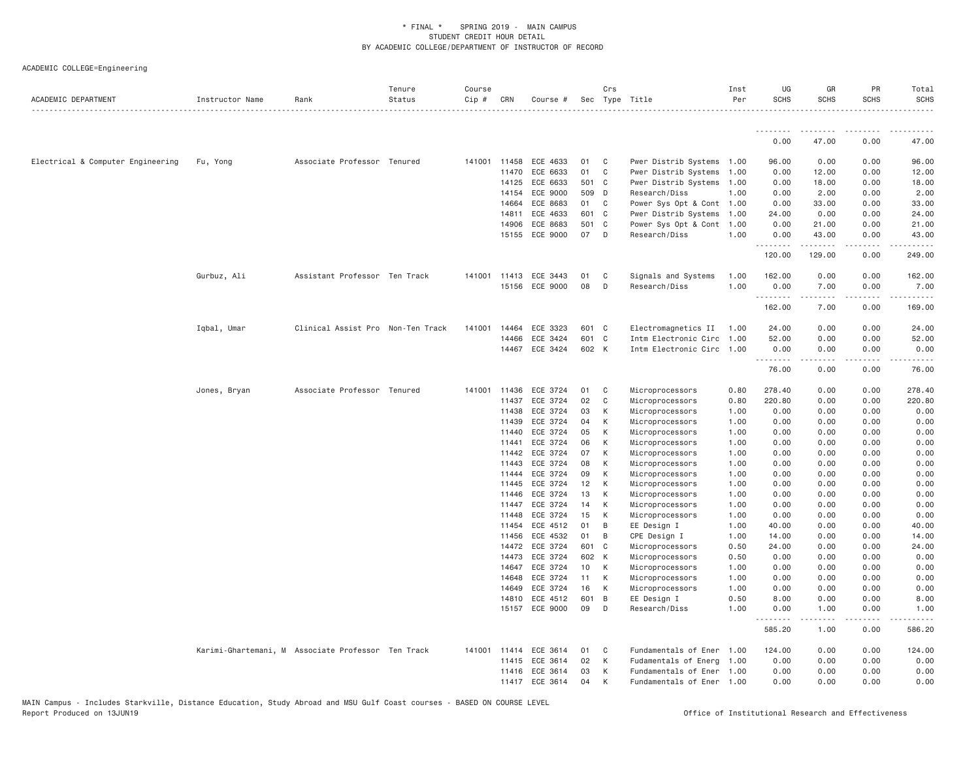| ACADEMIC DEPARTMENT               | Instructor Name | Rank                                               | Tenure<br>Status | Course<br>Cip # | CRN          | Course #                   |                 | Crs          | Sec Type Title                                         | Inst<br>Per  | UG<br><b>SCHS</b> | GR<br><b>SCHS</b>                                                                                                                                                | PR<br>SCHS   | Total<br><b>SCHS</b> |
|-----------------------------------|-----------------|----------------------------------------------------|------------------|-----------------|--------------|----------------------------|-----------------|--------------|--------------------------------------------------------|--------------|-------------------|------------------------------------------------------------------------------------------------------------------------------------------------------------------|--------------|----------------------|
|                                   |                 |                                                    |                  |                 |              |                            |                 |              |                                                        |              | .                 | .                                                                                                                                                                | .            |                      |
|                                   |                 |                                                    |                  |                 |              |                            |                 |              |                                                        |              | 0.00              | 47.00                                                                                                                                                            | 0.00         | 47.00                |
| Electrical & Computer Engineering | Fu, Yong        | Associate Professor Tenured                        |                  |                 | 141001 11458 | ECE 4633                   | 01              | $\mathbf{C}$ | Pwer Distrib Systems 1.00                              |              | 96.00             | 0.00                                                                                                                                                             | 0.00         | 96.00                |
|                                   |                 |                                                    |                  |                 | 11470        | ECE 6633                   | 01              | C            | Pwer Distrib Systems 1.00                              |              | 0.00              | 12.00                                                                                                                                                            | 0.00         | 12.00                |
|                                   |                 |                                                    |                  |                 | 14125        | ECE 6633                   | 501 C           |              | Pwer Distrib Systems 1.00                              |              | 0.00              | 18.00                                                                                                                                                            | 0.00         | 18.00                |
|                                   |                 |                                                    |                  |                 | 14154        | ECE 9000                   | 509 D           |              | Research/Diss                                          | 1.00         | 0.00              | 2.00                                                                                                                                                             | 0.00         | 2.00                 |
|                                   |                 |                                                    |                  |                 | 14664        | ECE 8683                   | 01              | C            | Power Sys Opt & Cont 1.00                              |              | 0.00              | 33.00                                                                                                                                                            | 0.00         | 33.00                |
|                                   |                 |                                                    |                  |                 | 14811        | ECE 4633                   | 601 C           |              | Pwer Distrib Systems 1.00                              |              | 24.00             | 0.00                                                                                                                                                             | 0.00         | 24.00                |
|                                   |                 |                                                    |                  |                 | 14906        | ECE 8683                   | 501 C           |              | Power Sys Opt & Cont 1.00                              |              | 0.00              | 21.00                                                                                                                                                            | 0.00         | 21.00                |
|                                   |                 |                                                    |                  |                 | 15155        | ECE 9000                   | 07              | D            | Research/Diss                                          | 1,00         | 0.00<br>.         | 43.00<br>.                                                                                                                                                       | 0.00<br>.    | 43.00                |
|                                   |                 |                                                    |                  |                 |              |                            |                 |              |                                                        |              | 120.00            | 129.00                                                                                                                                                           | 0.00         | 249.00               |
|                                   | Gurbuz, Ali     | Assistant Professor Ten Track                      |                  | 141001          | 11413        | ECE 3443                   | 01              | C            | Signals and Systems                                    | 1.00         | 162.00            | 0.00                                                                                                                                                             | 0.00         | 162.00               |
|                                   |                 |                                                    |                  |                 |              | 15156 ECE 9000             | 08              | D            | Research/Diss                                          | 1.00         | 0.00<br>.         | 7.00<br>.                                                                                                                                                        | 0.00<br>.    | 7.00                 |
|                                   |                 |                                                    |                  |                 |              |                            |                 |              |                                                        |              | 162.00            | 7.00                                                                                                                                                             | 0.00         | 169.00               |
|                                   | Iqbal, Umar     | Clinical Assist Pro Non-Ten Track                  |                  | 141001          | 14464        | ECE 3323                   | 601 C           |              | Electromagnetics II 1.00                               |              | 24.00             | 0.00                                                                                                                                                             | 0.00         | 24.00                |
|                                   |                 |                                                    |                  |                 | 14466        | ECE 3424                   | 601 C           |              | Intm Electronic Circ 1.00                              |              | 52.00             | 0.00                                                                                                                                                             | 0.00         | 52.00                |
|                                   |                 |                                                    |                  |                 |              | 14467 ECE 3424             | 602 K           |              | Intm Electronic Circ 1.00                              |              | 0.00<br>.         | 0.00<br>.                                                                                                                                                        | 0.00<br>.    | 0.00                 |
|                                   |                 |                                                    |                  |                 |              |                            |                 |              |                                                        |              | 76.00             | 0.00                                                                                                                                                             | 0.00         | 76.00                |
|                                   | Jones, Bryan    | Associate Professor Tenured                        |                  | 141001          | 11436        | ECE 3724                   | 01              | C            | Microprocessors                                        | 0.80         | 278.40            | 0.00                                                                                                                                                             | 0.00         | 278.40               |
|                                   |                 |                                                    |                  |                 | 11437        | ECE 3724                   | 02              | $\mathbf{C}$ | Microprocessors                                        | 0.80         | 220.80            | 0.00                                                                                                                                                             | 0.00         | 220.80               |
|                                   |                 |                                                    |                  |                 | 11438        | ECE 3724                   | 03              | К            | Microprocessors                                        | 1.00         | 0.00              | 0.00                                                                                                                                                             | 0.00         | 0.00                 |
|                                   |                 |                                                    |                  |                 | 11439        | ECE 3724                   | 04              | К            | Microprocessors                                        | 1.00         | 0.00              | 0.00                                                                                                                                                             | 0.00         | 0.00                 |
|                                   |                 |                                                    |                  |                 | 11440        | ECE 3724                   | 05              | К            | Microprocessors                                        | 1.00         | 0.00              | 0.00                                                                                                                                                             | 0.00         | 0.00                 |
|                                   |                 |                                                    |                  |                 | 11441        | ECE 3724                   | 06              | K            | Microprocessors                                        | 1.00         | 0.00              | 0.00                                                                                                                                                             | 0.00         | 0.00                 |
|                                   |                 |                                                    |                  |                 | 11442        | ECE 3724                   | 07              | К            | Microprocessors                                        | 1.00         | 0.00              | 0.00                                                                                                                                                             | 0.00         | 0.00                 |
|                                   |                 |                                                    |                  |                 | 11443        | ECE 3724                   | 08              | К            | Microprocessors                                        | 1.00         | 0.00              | 0.00                                                                                                                                                             | 0.00         | 0.00                 |
|                                   |                 |                                                    |                  |                 | 11444        | ECE 3724                   | 09              | К            | Microprocessors                                        | 1.00         | 0.00              | 0.00                                                                                                                                                             | 0.00         | 0.00                 |
|                                   |                 |                                                    |                  |                 | 11445        | ECE 3724                   | 12              | K            | Microprocessors                                        | 1.00         | 0.00              | 0.00                                                                                                                                                             | 0.00         | 0.00                 |
|                                   |                 |                                                    |                  |                 | 11446        | ECE 3724                   | 13              | К            | Microprocessors                                        | 1.00         | 0.00              | 0.00                                                                                                                                                             | 0.00         | 0.00                 |
|                                   |                 |                                                    |                  |                 | 11447        | ECE 3724                   | 14              | К            | Microprocessors                                        | 1.00         | 0.00              | 0.00                                                                                                                                                             | 0.00         | 0.00                 |
|                                   |                 |                                                    |                  |                 | 11448        | ECE 3724                   | 15              | K            | Microprocessors                                        | 1.00         | 0.00              | 0.00                                                                                                                                                             | 0.00         | 0.00                 |
|                                   |                 |                                                    |                  |                 | 11454        | ECE 4512                   | 01              | B            | EE Design I                                            | 1.00         | 40.00             | 0.00                                                                                                                                                             | 0.00         | 40.00                |
|                                   |                 |                                                    |                  |                 | 11456        | ECE 4532                   | 01              | B            | CPE Design I                                           | 1.00         | 14.00             | 0.00                                                                                                                                                             | 0.00         | 14.00                |
|                                   |                 |                                                    |                  |                 |              | 14472 ECE 3724             | 601 C           |              | Microprocessors                                        | 0.50         | 24.00             | 0.00                                                                                                                                                             | 0.00         | 24.00                |
|                                   |                 |                                                    |                  |                 | 14473        | ECE 3724                   | 602 K           |              | Microprocessors                                        | 0.50         | 0.00              | 0.00                                                                                                                                                             | 0.00         | 0.00                 |
|                                   |                 |                                                    |                  |                 | 14647        | ECE 3724                   | 10 <sup>1</sup> | K            | Microprocessors                                        | 1.00         | 0.00              | 0.00                                                                                                                                                             | 0.00         | 0.00                 |
|                                   |                 |                                                    |                  |                 | 14648        | ECE 3724                   | 11              | K            | Microprocessors                                        | 1.00         | 0.00              | 0.00                                                                                                                                                             | 0.00         | 0.00                 |
|                                   |                 |                                                    |                  |                 | 14649        | ECE 3724                   | 16              | K            | Microprocessors                                        | 1.00         | 0.00              | 0.00                                                                                                                                                             | 0.00         | 0.00                 |
|                                   |                 |                                                    |                  |                 | 14810        | ECE 4512<br>15157 ECE 9000 | 601 B<br>09     | D            | EE Design I<br>Research/Diss                           | 0.50<br>1.00 | 8.00<br>0.00      | 0.00<br>1.00                                                                                                                                                     | 0.00<br>0.00 | 8.00<br>1.00         |
|                                   |                 |                                                    |                  |                 |              |                            |                 |              |                                                        |              | .<br>585.20       | $\mathcal{L}^{\mathcal{L}}\mathcal{L}^{\mathcal{L}}\mathcal{L}^{\mathcal{L}}\mathcal{L}^{\mathcal{L}}\mathcal{L}^{\mathcal{L}}\mathcal{L}^{\mathcal{L}}$<br>1.00 | .<br>0.00    | 586.20               |
|                                   |                 | Karimi-Ghartemani, M Associate Professor Ten Track |                  |                 | 141001 11414 | ECE 3614                   | 01              | C            | Fundamentals of Ener 1.00                              |              | 124.00            | 0.00                                                                                                                                                             | 0.00         | 124.00               |
|                                   |                 |                                                    |                  |                 |              | ECE 3614                   | 02              | K            |                                                        |              | 0.00              | 0.00                                                                                                                                                             | 0.00         | 0.00                 |
|                                   |                 |                                                    |                  |                 | 11415        | 11416 ECE 3614             | 03              | К            | Fudamentals of Energ 1.00<br>Fundamentals of Ener 1.00 |              | 0.00              | 0.00                                                                                                                                                             | 0.00         | 0.00                 |
|                                   |                 |                                                    |                  |                 |              |                            | 04              | К            |                                                        |              | 0.00              | 0.00                                                                                                                                                             | 0.00         |                      |
|                                   |                 |                                                    |                  |                 |              | 11417 ECE 3614             |                 |              | Fundamentals of Ener 1.00                              |              |                   |                                                                                                                                                                  |              | 0.00                 |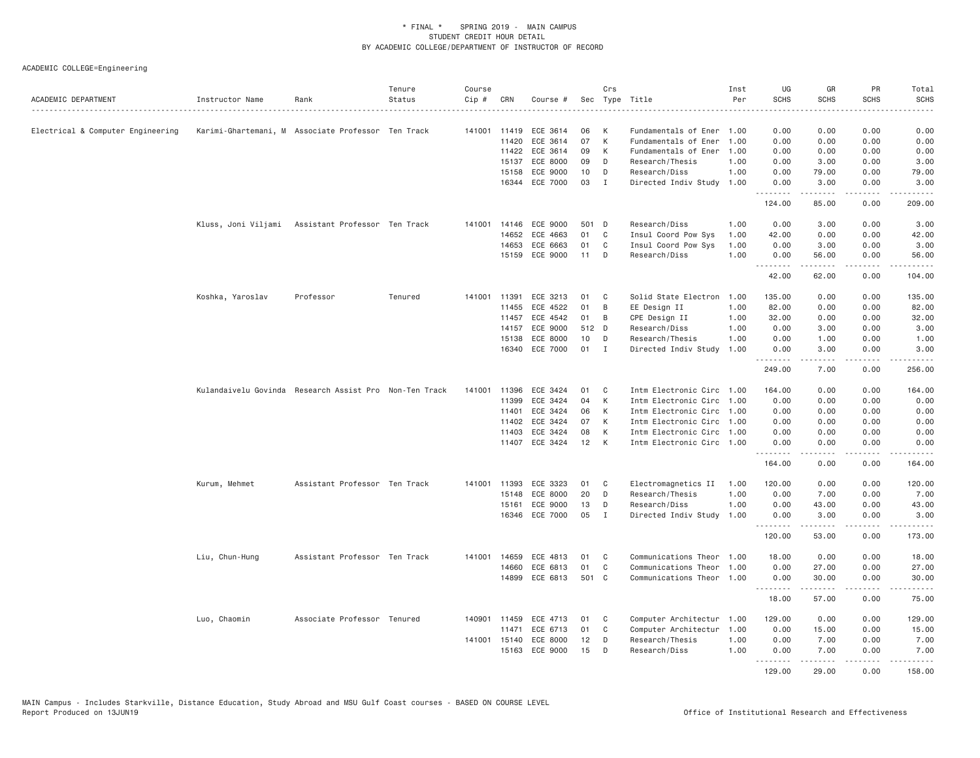| ACADEMIC DEPARTMENT               | Instructor Name                                        | Rank                          | Tenure<br>Status | Course<br>Cip # | CRN          | Course #       |       | Crs          | Sec Type Title            | Inst<br>Per | UG<br><b>SCHS</b> | GR<br><b>SCHS</b>       | PR<br><b>SCHS</b>   | Total<br><b>SCHS</b> |
|-----------------------------------|--------------------------------------------------------|-------------------------------|------------------|-----------------|--------------|----------------|-------|--------------|---------------------------|-------------|-------------------|-------------------------|---------------------|----------------------|
| Electrical & Computer Engineering | Karimi-Ghartemani, M Associate Professor Ten Track     |                               |                  |                 | 141001 11419 | ECE 3614       | 06    | К            | Fundamentals of Ener 1.00 |             | 0.00              | 0.00                    | 0.00                | 0.00                 |
|                                   |                                                        |                               |                  |                 | 11420        | ECE 3614       | 07    | К            | Fundamentals of Ener      | 1.00        | 0.00              | 0.00                    | 0.00                | 0.00                 |
|                                   |                                                        |                               |                  |                 | 11422        | ECE 3614       | 09    | К            | Fundamentals of Ener      | 1.00        | 0.00              | 0.00                    | 0.00                | 0.00                 |
|                                   |                                                        |                               |                  |                 | 15137        | ECE 8000       | 09    | D            | Research/Thesis           | 1.00        | 0.00              | 3.00                    | 0.00                | 3.00                 |
|                                   |                                                        |                               |                  |                 | 15158        | ECE 9000       | 10    | D            | Research/Diss             | 1.00        | 0.00              | 79.00                   | 0.00                | 79.00                |
|                                   |                                                        |                               |                  |                 | 16344        | ECE 7000       | 03    | $\mathbf I$  | Directed Indiv Study      | 1.00        | 0.00<br>.         | 3.00<br>.               | 0.00<br>.           | 3.00<br>.            |
|                                   |                                                        |                               |                  |                 |              |                |       |              |                           |             | 124.00            | 85.00                   | 0.00                | 209.00               |
|                                   | Kluss, Joni Viljami Assistant Professor Ten Track      |                               |                  |                 | 141001 14146 | ECE 9000       | 501 D |              | Research/Diss             | 1.00        | 0.00              | 3.00                    | 0.00                | 3.00                 |
|                                   |                                                        |                               |                  |                 | 14652        | ECE 4663       | 01    | C            | Insul Coord Pow Sys       | 1.00        | 42.00             | 0.00                    | 0.00                | 42.00                |
|                                   |                                                        |                               |                  |                 | 14653        | ECE 6663       | 01    | C            | Insul Coord Pow Sys       | 1.00        | 0.00              | 3.00                    | 0.00                | 3.00                 |
|                                   |                                                        |                               |                  |                 | 15159        | ECE 9000       | 11    | D            | Research/Diss             | 1.00        | 0.00<br>.         | 56.00                   | 0.00<br>.           | 56.00<br>.           |
|                                   |                                                        |                               |                  |                 |              |                |       |              |                           |             | 42.00             | 62.00                   | 0.00                | 104.00               |
|                                   | Koshka, Yaroslav                                       | Professor                     | Tenured          | 141001          | 11391        | ECE 3213       | 01    | C            | Solid State Electron      | 1.00        | 135.00            | 0.00                    | 0.00                | 135.00               |
|                                   |                                                        |                               |                  |                 | 11455        | ECE 4522       | 01    | B            | EE Design II              | 1.00        | 82.00             | 0.00                    | 0.00                | 82.00                |
|                                   |                                                        |                               |                  |                 | 11457        | ECE 4542       | 01    | B            | CPE Design II             | 1.00        | 32.00             | 0.00                    | 0.00                | 32.00                |
|                                   |                                                        |                               |                  |                 | 14157        | ECE 9000       | 512 D |              | Research/Diss             | 1.00        | 0.00              | 3.00                    | 0.00                | 3.00                 |
|                                   |                                                        |                               |                  |                 | 15138        | ECE 8000       | 10    | D            | Research/Thesis           | 1.00        | 0.00              | 1.00                    | 0.00                | 1.00                 |
|                                   |                                                        |                               |                  |                 | 16340        | ECE 7000       | 01    | $\mathbf I$  | Directed Indiv Study      | 1.00        | 0.00<br><u>.</u>  | 3.00<br>.               | 0.00<br>د د د د     | 3.00<br>.            |
|                                   |                                                        |                               |                  |                 |              |                |       |              |                           |             | 249.00            | 7.00                    | 0.00                | 256.00               |
|                                   | Kulandaivelu Govinda Research Assist Pro Non-Ten Track |                               |                  | 141001          | 11396        | ECE 3424       | 01    | C            | Intm Electronic Circ 1.00 |             | 164.00            | 0.00                    | 0.00                | 164.00               |
|                                   |                                                        |                               |                  |                 | 11399        | ECE 3424       | 04    | K            | Intm Electronic Circ      | 1.00        | 0.00              | 0.00                    | 0.00                | 0.00                 |
|                                   |                                                        |                               |                  |                 | 11401        | ECE 3424       | 06    | К            | Intm Electronic Circ      | 1.00        | 0.00              | 0.00                    | 0.00                | 0.00                 |
|                                   |                                                        |                               |                  |                 | 11402        | ECE 3424       | 07    | К            | Intm Electronic Circ 1.00 |             | 0.00              | 0.00                    | 0.00                | 0.00                 |
|                                   |                                                        |                               |                  |                 | 11403        | ECE 3424       | 08    | K            | Intm Electronic Circ      | 1.00        | 0.00              | 0.00                    | 0.00                | 0.00                 |
|                                   |                                                        |                               |                  |                 |              | 11407 ECE 3424 | 12    | K            | Intm Electronic Circ 1.00 |             | 0.00<br>.         | 0.00<br>.               | 0.00<br>.           | 0.00<br>.            |
|                                   |                                                        |                               |                  |                 |              |                |       |              |                           |             | 164.00            | 0.00                    | 0.00                | 164.00               |
|                                   | Kurum, Mehmet                                          | Assistant Professor Ten Track |                  | 141001          | 11393        | ECE 3323       | 01    | C            | Electromagnetics II       | 1.00        | 120.00            | 0.00                    | 0.00                | 120.00               |
|                                   |                                                        |                               |                  |                 | 15148        | ECE 8000       | 20    | D            | Research/Thesis           | 1.00        | 0.00              | 7.00                    | 0.00                | 7.00                 |
|                                   |                                                        |                               |                  |                 | 15161        | ECE 9000       | 13    | D            | Research/Diss             | 1.00        | 0.00              | 43.00                   | 0.00                | 43.00                |
|                                   |                                                        |                               |                  |                 |              | 16346 ECE 7000 | 05    | $\mathbf{I}$ | Directed Indiv Study      | 1.00        | 0.00<br>.         | 3.00<br>.               | 0.00<br>.           | 3.00<br>.            |
|                                   |                                                        |                               |                  |                 |              |                |       |              |                           |             | 120.00            | 53.00                   | 0.00                | 173.00               |
|                                   | Liu, Chun-Hung                                         | Assistant Professor Ten Track |                  | 141001          | 14659        | ECE 4813       | 01    | C            | Communications Theor      | 1.00        | 18.00             | 0.00                    | 0.00                | 18.00                |
|                                   |                                                        |                               |                  |                 | 14660        | ECE 6813       | 01    | $\mathbb C$  | Communications Theor      | 1.00        | 0.00              | 27.00                   | 0.00                | 27.00                |
|                                   |                                                        |                               |                  |                 |              | 14899 ECE 6813 | 501 C |              | Communications Theor 1.00 |             | 0.00<br><u>.</u>  | 30.00<br>.              | 0.00<br>د د د د     | 30.00<br>د د د د د   |
|                                   |                                                        |                               |                  |                 |              |                |       |              |                           |             | 18.00             | 57.00                   | 0.00                | 75.00                |
|                                   | Luo, Chaomin                                           | Associate Professor Tenured   |                  |                 | 140901 11459 | ECE 4713       | 01    | C            | Computer Architectur 1.00 |             | 129.00            | 0.00                    | 0.00                | 129.00               |
|                                   |                                                        |                               |                  |                 | 11471        | ECE 6713       | 01    | C            | Computer Architectur      | 1.00        | 0.00              | 15.00                   | 0.00                | 15.00                |
|                                   |                                                        |                               |                  |                 | 141001 15140 | ECE 8000       | 12    | D            | Research/Thesis           | 1.00        | 0.00              | 7.00                    | 0.00                | 7.00                 |
|                                   |                                                        |                               |                  |                 |              | 15163 ECE 9000 | 15    | D            | Research/Diss             | 1.00        | 0.00<br>.         | 7.00<br>$- - - - - - -$ | 0.00<br>$- - - - -$ | 7.00<br><u>.</u>     |
|                                   |                                                        |                               |                  |                 |              |                |       |              |                           |             | 129.00            | 29,00                   | 0.00                | 158.00               |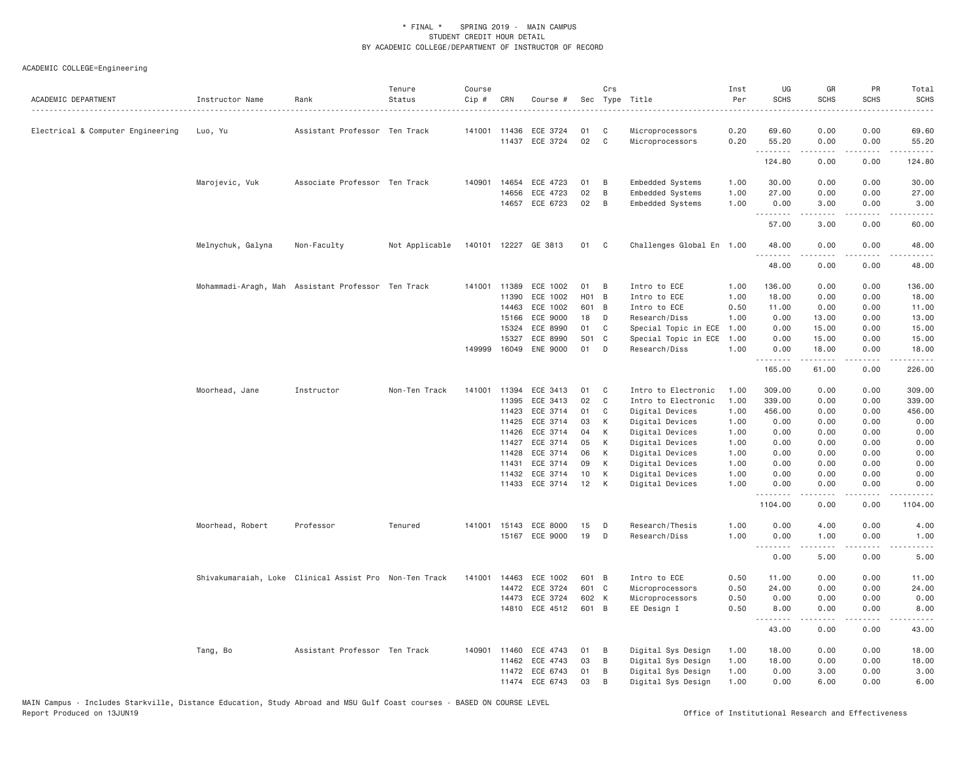| ACADEMIC DEPARTMENT               | Instructor Name   | Rank                                                   | Tenure<br>Status | Course<br>Cip # | CRN          | Course #             |       | Crs          | Sec Type Title<br>.       | Inst<br>Per<br>$   -$ | UG<br><b>SCHS</b> | GR<br><b>SCHS</b>                                                                                                                                                                       | PR<br><b>SCHS</b>                   | Total<br><b>SCHS</b><br>$- - - - -$                                                                                                                                                                                  |
|-----------------------------------|-------------------|--------------------------------------------------------|------------------|-----------------|--------------|----------------------|-------|--------------|---------------------------|-----------------------|-------------------|-----------------------------------------------------------------------------------------------------------------------------------------------------------------------------------------|-------------------------------------|----------------------------------------------------------------------------------------------------------------------------------------------------------------------------------------------------------------------|
| Electrical & Computer Engineering | Luo, Yu           | Assistant Professor Ten Track                          |                  |                 | 141001 11436 | ECE 3724             | 01    | C            | Microprocessors           | 0.20                  | 69.60             | 0.00                                                                                                                                                                                    | 0.00                                | 69.60                                                                                                                                                                                                                |
|                                   |                   |                                                        |                  |                 | 11437        | ECE 3724             | 02    | $\mathbf{C}$ | Microprocessors           | 0.20                  | 55.20<br>.        | 0.00                                                                                                                                                                                    | 0.00<br>$\sim$ $\sim$ $\sim$ $\sim$ | 55.20                                                                                                                                                                                                                |
|                                   |                   |                                                        |                  |                 |              |                      |       |              |                           |                       | 124.80            | 0.00                                                                                                                                                                                    | 0.00                                | 124.80                                                                                                                                                                                                               |
|                                   | Marojevic, Vuk    | Associate Professor Ten Track                          |                  | 140901          | 14654        | ECE 4723             | 01    | B            | Embedded Systems          | 1.00                  | 30.00             | 0.00                                                                                                                                                                                    | 0.00                                | 30.00                                                                                                                                                                                                                |
|                                   |                   |                                                        |                  |                 | 14656        | ECE 4723             | 02    | B            | Embedded Systems          | 1.00                  | 27.00             | 0.00                                                                                                                                                                                    | 0.00                                | 27.00                                                                                                                                                                                                                |
|                                   |                   |                                                        |                  |                 | 14657        | ECE 6723             | 02    | B            | Embedded Systems          | 1.00                  | 0.00              | 3.00                                                                                                                                                                                    | 0.00                                | 3.00                                                                                                                                                                                                                 |
|                                   |                   |                                                        |                  |                 |              |                      |       |              |                           |                       | .<br>57.00        | $\frac{1}{2} \left( \frac{1}{2} \right) \left( \frac{1}{2} \right) \left( \frac{1}{2} \right) \left( \frac{1}{2} \right) \left( \frac{1}{2} \right) \left( \frac{1}{2} \right)$<br>3.00 | .<br>0.00                           | .<br>60.00                                                                                                                                                                                                           |
|                                   | Melnychuk, Galyna | Non-Faculty                                            | Not Applicable   |                 |              | 140101 12227 GE 3813 | 01    | C            | Challenges Global En 1.00 |                       | 48.00             | 0.00                                                                                                                                                                                    | 0.00                                | 48.00                                                                                                                                                                                                                |
|                                   |                   |                                                        |                  |                 |              |                      |       |              |                           |                       | .<br>48.00        | <u>.</u><br>0.00                                                                                                                                                                        | $- - - -$<br>0.00                   | .<br>48.00                                                                                                                                                                                                           |
|                                   |                   | Mohammadi-Aragh, Mah Assistant Professor Ten Track     |                  |                 | 141001 11389 | ECE 1002             | 01    | B            | Intro to ECE              | 1.00                  | 136.00            | 0.00                                                                                                                                                                                    | 0.00                                | 136.00                                                                                                                                                                                                               |
|                                   |                   |                                                        |                  |                 | 11390        | ECE 1002             | H01 B |              | Intro to ECE              | 1.00                  | 18.00             | 0.00                                                                                                                                                                                    | 0.00                                | 18.00                                                                                                                                                                                                                |
|                                   |                   |                                                        |                  |                 | 14463        | ECE 1002             | 601 B |              | Intro to ECE              | 0.50                  | 11.00             | 0.00                                                                                                                                                                                    | 0.00                                | 11.00                                                                                                                                                                                                                |
|                                   |                   |                                                        |                  |                 | 15166        | ECE 9000             | 18    | D            | Research/Diss             | 1.00                  | 0.00              | 13.00                                                                                                                                                                                   | 0.00                                | 13.00                                                                                                                                                                                                                |
|                                   |                   |                                                        |                  |                 | 15324        | ECE 8990             | 01    | C            | Special Topic in ECE      | 1.00                  | 0.00              | 15.00                                                                                                                                                                                   | 0.00                                | 15.00                                                                                                                                                                                                                |
|                                   |                   |                                                        |                  |                 | 15327        | ECE 8990             | 501 C |              | Special Topic in ECE      | 1.00                  | 0.00              | 15.00                                                                                                                                                                                   | 0.00                                | 15.00                                                                                                                                                                                                                |
|                                   |                   |                                                        |                  | 149999          | 16049        | <b>ENE 9000</b>      | 01    | D            | Research/Diss             | 1.00                  | 0.00              | 18.00                                                                                                                                                                                   | 0.00                                | 18.00                                                                                                                                                                                                                |
|                                   |                   |                                                        |                  |                 |              |                      |       |              |                           |                       | .<br>165.00       | .<br>61.00                                                                                                                                                                              | .<br>0.00                           | $\frac{1}{2} \left( \frac{1}{2} \right) \left( \frac{1}{2} \right) \left( \frac{1}{2} \right) \left( \frac{1}{2} \right) \left( \frac{1}{2} \right) \left( \frac{1}{2} \right) \left( \frac{1}{2} \right)$<br>226.00 |
|                                   | Moorhead, Jane    | Instructor                                             | Non-Ten Track    |                 | 141001 11394 | ECE 3413             | 01    | C            | Intro to Electronic       | 1.00                  | 309.00            | 0.00                                                                                                                                                                                    | 0.00                                | 309.00                                                                                                                                                                                                               |
|                                   |                   |                                                        |                  |                 | 11395        | ECE 3413             | 02    | $\mathsf{C}$ | Intro to Electronic       | 1.00                  | 339.00            | 0.00                                                                                                                                                                                    | 0.00                                | 339.00                                                                                                                                                                                                               |
|                                   |                   |                                                        |                  |                 | 11423        | ECE 3714             | 01    | C            | Digital Devices           | 1.00                  | 456.00            | 0.00                                                                                                                                                                                    | 0.00                                | 456.00                                                                                                                                                                                                               |
|                                   |                   |                                                        |                  |                 | 11425        | ECE 3714             | 03    | K            | Digital Devices           | 1.00                  | 0.00              | 0.00                                                                                                                                                                                    | 0.00                                | 0.00                                                                                                                                                                                                                 |
|                                   |                   |                                                        |                  |                 | 11426        | ECE 3714             | 04    | K            | Digital Devices           | 1.00                  | 0.00              | 0.00                                                                                                                                                                                    | 0.00                                | 0.00                                                                                                                                                                                                                 |
|                                   |                   |                                                        |                  |                 | 11427        | ECE 3714             | 05    | К            | Digital Devices           | 1.00                  | 0.00              | 0.00                                                                                                                                                                                    | 0.00                                | 0.00                                                                                                                                                                                                                 |
|                                   |                   |                                                        |                  |                 | 11428        | ECE 3714             | 06    | К            | Digital Devices           | 1.00                  | 0.00              | 0.00                                                                                                                                                                                    | 0.00                                | 0.00                                                                                                                                                                                                                 |
|                                   |                   |                                                        |                  |                 | 11431        | ECE 3714             | 09    | К            | Digital Devices           | 1.00                  | 0.00              | 0.00                                                                                                                                                                                    | 0.00                                | 0.00                                                                                                                                                                                                                 |
|                                   |                   |                                                        |                  |                 | 11432        | ECE 3714             | 10    | К            | Digital Devices           | 1.00                  | 0.00              | 0.00                                                                                                                                                                                    | 0.00                                | 0.00                                                                                                                                                                                                                 |
|                                   |                   |                                                        |                  |                 | 11433        | ECE 3714             | 12    | К            | Digital Devices           | 1.00                  | 0.00<br>.         | 0.00                                                                                                                                                                                    | 0.00                                | 0.00                                                                                                                                                                                                                 |
|                                   |                   |                                                        |                  |                 |              |                      |       |              |                           |                       | 1104.00           | 0.00                                                                                                                                                                                    | 0.00                                | 1104.00                                                                                                                                                                                                              |
|                                   | Moorhead, Robert  | Professor                                              | Tenured          |                 | 141001 15143 | ECE 8000             | 15    | D            | Research/Thesis           | 1.00                  | 0.00              | 4.00                                                                                                                                                                                    | 0.00                                | 4.00                                                                                                                                                                                                                 |
|                                   |                   |                                                        |                  |                 |              | 15167 ECE 9000       | 19    | D            | Research/Diss             | 1.00                  | 0.00              | 1.00                                                                                                                                                                                    | 0.00                                | 1.00                                                                                                                                                                                                                 |
|                                   |                   |                                                        |                  |                 |              |                      |       |              |                           |                       | .<br>0.00         | .<br>5.00                                                                                                                                                                               | $- - - -$<br>0.00                   | ----<br>5.00                                                                                                                                                                                                         |
|                                   |                   | Shivakumaraiah, Loke Clinical Assist Pro Non-Ten Track |                  | 141001 14463    |              | ECE 1002             | 601 B |              | Intro to ECE              | 0.50                  | 11.00             | 0.00                                                                                                                                                                                    | 0.00                                | 11.00                                                                                                                                                                                                                |
|                                   |                   |                                                        |                  |                 | 14472        | ECE 3724             | 601 C |              | Microprocessors           | 0.50                  | 24.00             | 0.00                                                                                                                                                                                    | 0.00                                | 24.00                                                                                                                                                                                                                |
|                                   |                   |                                                        |                  |                 | 14473        | ECE 3724             | 602 K |              | Microprocessors           | 0.50                  | 0.00              | 0.00                                                                                                                                                                                    | 0.00                                | 0.00                                                                                                                                                                                                                 |
|                                   |                   |                                                        |                  |                 |              | 14810 ECE 4512       | 601 B |              | EE Design I               | 0.50                  | 8.00              | 0.00                                                                                                                                                                                    | 0.00                                | 8.00                                                                                                                                                                                                                 |
|                                   |                   |                                                        |                  |                 |              |                      |       |              |                           |                       | .<br>43.00        | .<br>0.00                                                                                                                                                                               | $- - - -$<br>0.00                   | 43.00                                                                                                                                                                                                                |
|                                   | Tang, Bo          | Assistant Professor Ten Track                          |                  |                 | 140901 11460 | ECE 4743             | 01    | B            | Digital Sys Design        | 1.00                  | 18.00             | 0.00                                                                                                                                                                                    | 0.00                                | 18.00                                                                                                                                                                                                                |
|                                   |                   |                                                        |                  |                 | 11462        | ECE 4743             | 03    | B            | Digital Sys Design        | 1.00                  | 18.00             | 0.00                                                                                                                                                                                    | 0.00                                | 18.00                                                                                                                                                                                                                |
|                                   |                   |                                                        |                  |                 |              | 11472 ECE 6743       | 01    | B            | Digital Sys Design        | 1.00                  | 0.00              | 3.00                                                                                                                                                                                    | 0.00                                | 3.00                                                                                                                                                                                                                 |
|                                   |                   |                                                        |                  |                 | 11474        | ECE 6743             | 03    | B            | Digital Sys Design        | 1.00                  | 0.00              | 6.00                                                                                                                                                                                    | 0.00                                | 6.00                                                                                                                                                                                                                 |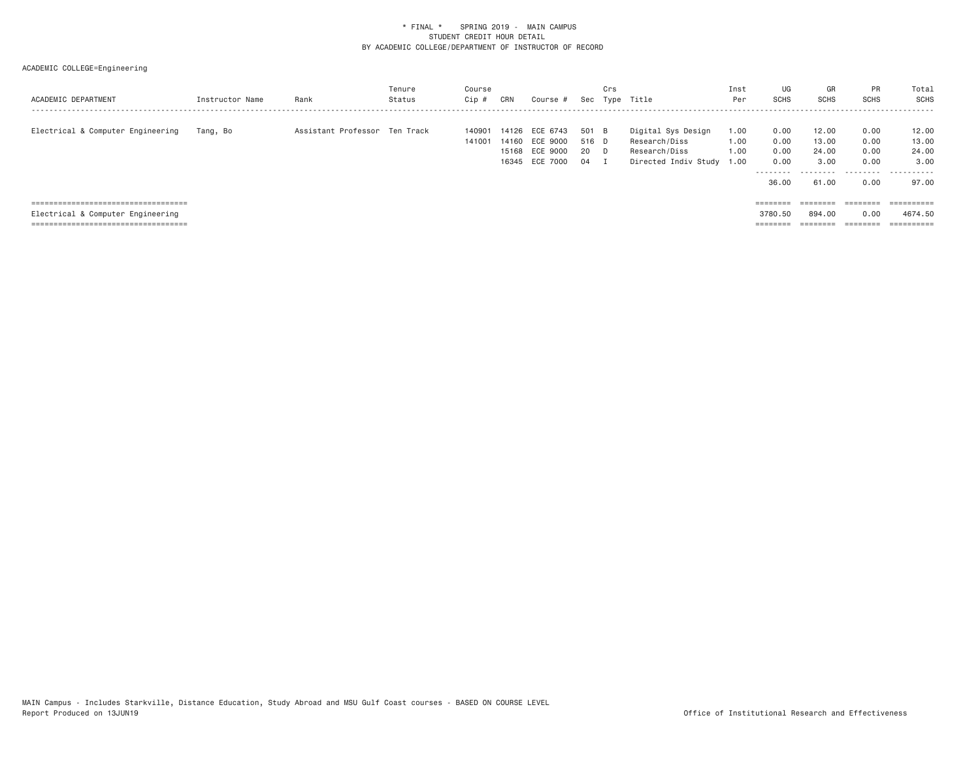| ACADEMIC DEPARTMENT                                                        | Instructor Name | Rank                          | Tenure<br>Status | Course<br>Cip #  | CRN | Course #                                                             |                              | Crs | Sec Type Title                                                               | Inst<br>Per                  | UG<br><b>SCHS</b>                                  | GR<br><b>SCHS</b>                                             | <b>PR</b><br><b>SCHS</b>                  | Total<br>SCHS                                 |
|----------------------------------------------------------------------------|-----------------|-------------------------------|------------------|------------------|-----|----------------------------------------------------------------------|------------------------------|-----|------------------------------------------------------------------------------|------------------------------|----------------------------------------------------|---------------------------------------------------------------|-------------------------------------------|-----------------------------------------------|
| Electrical & Computer Engineering                                          | Tang, Bo        | Assistant Professor Ten Track |                  | 140901<br>141001 |     | 14126 ECE 6743<br>14160 ECE 9000<br>15168 ECE 9000<br>16345 ECE 7000 | 501 B<br>516 D<br>20 D<br>04 | - 1 | Digital Sys Design<br>Research/Diss<br>Research/Diss<br>Directed Indiv Study | 1.00<br>1.00<br>1.00<br>1.00 | 0.00<br>0.00<br>0.00<br>0.00<br>---------<br>36.00 | 12.00<br>13,00<br>24.00<br>3,00<br>- - - - - - - - -<br>61.00 | 0.00<br>0.00<br>0.00<br>0.00<br>.<br>0.00 | 12.00<br>13,00<br>24.00<br>3.00<br>.<br>97.00 |
| =====================================                                      |                 |                               |                  |                  |     |                                                                      |                              |     |                                                                              |                              | $=$ = = = = = = =                                  | $=$ = = = = = = =                                             | ========                                  |                                               |
| Electrical & Computer Engineering<br>===================================== |                 |                               |                  |                  |     |                                                                      |                              |     |                                                                              |                              | 3780.50                                            | 894,00                                                        | 0.00<br>========                          | 4674.50                                       |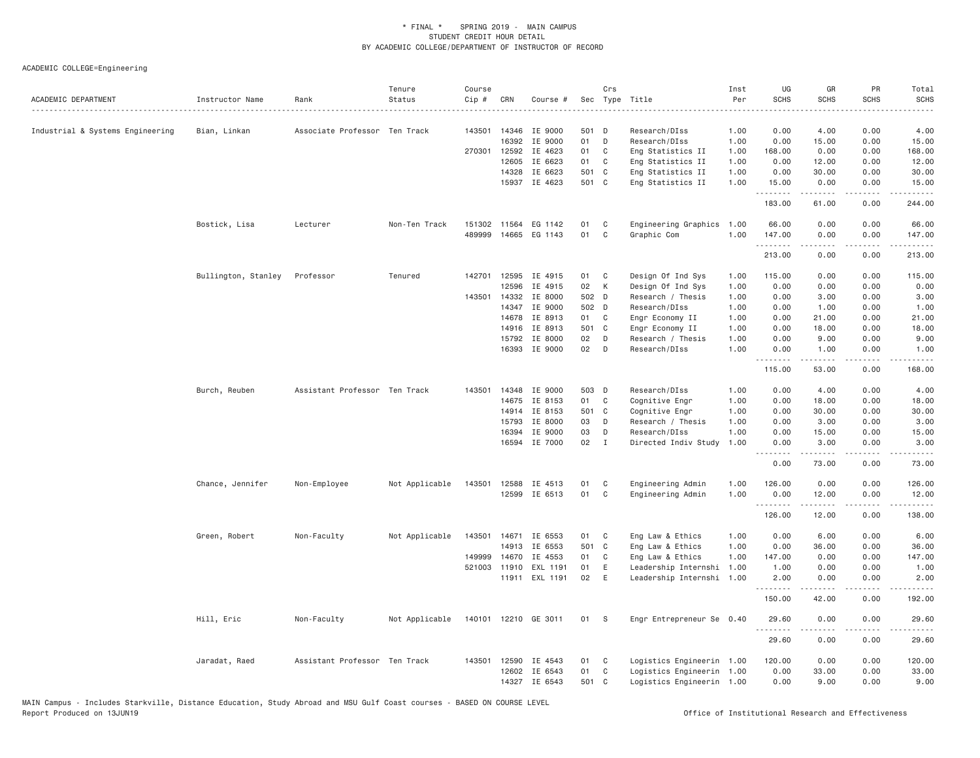| Industrial & Systems Engineering<br>Bian, Linkan<br>Associate Professor Ten Track<br>143501<br>14346<br>IE 9000<br>501 D<br>Research/DIss<br>1.00<br>0.00<br>4.00<br>0.00<br>4.00<br>16392<br>01<br>D<br>0.00<br>0.00<br>15.00<br>IE 9000<br>Research/DIss<br>1.00<br>15.00<br>270301<br>12592<br>IE 4623<br>01<br>C<br>Eng Statistics II<br>1.00<br>168.00<br>0.00<br>0.00<br>168.00<br>12605<br>IE 6623<br>01<br>Eng Statistics II<br>12.00<br>C<br>1.00<br>0.00<br>12.00<br>0.00<br>IE 6623<br>501 C<br>Eng Statistics II<br>30.00<br>14328<br>1.00<br>0.00<br>30.00<br>0.00<br>15937 IE 4623<br>501 C<br>Eng Statistics II<br>1.00<br>15.00<br>0.00<br>0.00<br>15.00<br>.<br>.<br>.<br>.<br>183.00<br>61.00<br>0.00<br>244.00<br>Bostick, Lisa<br>Lecturer<br>Non-Ten Track<br>151302 11564 EG 1142<br>01<br>C<br>Engineering Graphics<br>1.00<br>66.00<br>0.00<br>0.00<br>66.00<br>489999<br>14665 EG 1143<br>01<br>C<br>1.00<br>Graphic Com<br>147.00<br>0.00<br>0.00<br>147.00<br>.<br>.<br>.<br>213.00<br>0.00<br>0.00<br>213.00<br>Bullington, Stanley<br>Professor<br>Tenured<br>142701<br>12595<br>IE 4915<br>Design Of Ind Sys<br>115.00<br>0.00<br>0.00<br>115.00<br>01<br>C<br>1.00<br>02<br>К<br>12596<br>IE 4915<br>Design Of Ind Sys<br>1.00<br>0.00<br>0.00<br>0.00<br>0.00<br>143501<br>14332<br>IE 8000<br>502 D<br>Research / Thesis<br>0.00<br>3.00<br>0.00<br>3.00<br>1.00<br>IE 9000<br>14347<br>502 D<br>Research/DIss<br>1.00<br>0.00<br>1.00<br>0.00<br>1.00<br>IE 8913<br>C<br>Engr Economy II<br>0.00<br>21.00<br>14678<br>01<br>1.00<br>21.00<br>0.00<br>IE 8913<br>501 C<br>18.00<br>0.00<br>18.00<br>14916<br>Engr Economy II<br>1.00<br>0.00<br>02<br>0.00<br>15792<br>IE 8000<br>D<br>Research / Thesis<br>1.00<br>9.00<br>0.00<br>9.00<br>IE 9000<br>02<br>Research/DIss<br>1.00<br>0.00<br>0.00<br>1.00<br>16393<br>D<br>1.00<br>.<br>.<br>.<br>.<br>115.00<br>53.00<br>0.00<br>168.00<br>Research/DIss<br>Burch, Reuben<br>Assistant Professor Ten Track<br>143501<br>14348<br>IE 9000<br>503 D<br>1.00<br>0.00<br>4.00<br>0.00<br>4.00<br>14675<br>IE 8153<br>01<br>C<br>Cognitive Engr<br>1.00<br>0.00<br>0.00<br>18.00<br>18.00<br>IE 8153<br>501 C<br>14914<br>Cognitive Engr<br>1.00<br>0.00<br>30.00<br>0.00<br>30.00<br>IE 8000<br>03<br>Research / Thesis<br>1.00<br>0.00<br>3.00<br>0.00<br>3.00<br>15793<br>D<br>IE 9000<br>03<br>D<br>Research/DIss<br>1.00<br>0.00<br>0.00<br>15.00<br>16394<br>15.00<br>02<br>IE 7000<br>$\mathbf{I}$<br>Directed Indiv Study<br>1.00<br>0.00<br>3.00<br>0.00<br>3.00<br>16594<br><u>.</u><br>.<br>.<br>.<br>73.00<br>0.00<br>73.00<br>0.00<br>Chance, Jennifer<br>Not Applicable<br>143501<br>IE 4513<br>Engineering Admin<br>1.00<br>126.00<br>0.00<br>0.00<br>126.00<br>Non-Employee<br>12588<br>01<br>C<br>12599 IE 6513<br>01<br>C<br>1.00<br>Engineering Admin<br>0.00<br>12.00<br>0.00<br>12.00<br>.<br>.<br>.<br>-----<br>126.00<br>12.00<br>0.00<br>138.00<br>Green, Robert<br>Eng Law & Ethics<br>1.00<br>0.00<br>6.00<br>0.00<br>6.00<br>Non-Faculty<br>Not Applicable<br>143501<br>14671<br>IE 6553<br>01<br>C<br>14913<br>IE 6553<br>501 C<br>1.00<br>0.00<br>0.00<br>36.00<br>Eng Law & Ethics<br>36.00<br>149999<br>IE 4553<br>01<br>Eng Law & Ethics<br>1.00<br>147.00<br>0.00<br>0.00<br>147.00<br>14670<br>C<br>521003<br>EXL 1191<br>01<br>Leadership Internshi<br>1.00<br>1.00<br>0.00<br>0.00<br>1.00<br>11910<br>E<br>02<br>11911 EXL 1191<br>E<br>Leadership Internshi 1.00<br>2.00<br>0.00<br>0.00<br>2.00<br>.<br>.<br>$\begin{array}{cccccccccc} \bullet & \bullet & \bullet & \bullet & \bullet & \bullet & \bullet \end{array}$<br>$\frac{1}{2} \left( \frac{1}{2} \right) \left( \frac{1}{2} \right) \left( \frac{1}{2} \right) \left( \frac{1}{2} \right) \left( \frac{1}{2} \right)$<br>150.00<br>42.00<br>0.00<br>192.00<br>Hill, Eric<br>140101 12210 GE 3011<br>29.60<br>0.00<br>Non-Faculty<br>Not Applicable<br>01<br><b>S</b><br>Engr Entrepreneur Se 0.40<br>0.00<br>29.60<br>29.60<br>0.00<br>0.00<br>29.60<br>Jaradat, Raed<br>Assistant Professor Ten Track<br>143501 12590 IE 4543<br>Logistics Engineerin 1.00<br>120.00<br>0.00<br>0.00<br>120.00<br>01<br>C<br>IE 6543<br>01<br>C<br>0.00<br>33.00<br>0.00<br>33.00<br>12602<br>Logistics Engineerin 1.00<br>14327 IE 6543<br>501 C<br>0.00<br>9.00<br>0.00<br>9.00<br>Logistics Engineerin 1.00 | ACADEMIC DEPARTMENT | Instructor Name | Rank | Tenure<br>Status | Course<br>Cip # | CRN | Course # | Crs | Sec Type Title<br>. | Inst<br>Per<br>. | UG<br><b>SCHS</b> | GR<br><b>SCHS</b> | PR<br><b>SCHS</b> | Total<br><b>SCHS</b><br>$- - - -$ |
|---------------------------------------------------------------------------------------------------------------------------------------------------------------------------------------------------------------------------------------------------------------------------------------------------------------------------------------------------------------------------------------------------------------------------------------------------------------------------------------------------------------------------------------------------------------------------------------------------------------------------------------------------------------------------------------------------------------------------------------------------------------------------------------------------------------------------------------------------------------------------------------------------------------------------------------------------------------------------------------------------------------------------------------------------------------------------------------------------------------------------------------------------------------------------------------------------------------------------------------------------------------------------------------------------------------------------------------------------------------------------------------------------------------------------------------------------------------------------------------------------------------------------------------------------------------------------------------------------------------------------------------------------------------------------------------------------------------------------------------------------------------------------------------------------------------------------------------------------------------------------------------------------------------------------------------------------------------------------------------------------------------------------------------------------------------------------------------------------------------------------------------------------------------------------------------------------------------------------------------------------------------------------------------------------------------------------------------------------------------------------------------------------------------------------------------------------------------------------------------------------------------------------------------------------------------------------------------------------------------------------------------------------------------------------------------------------------------------------------------------------------------------------------------------------------------------------------------------------------------------------------------------------------------------------------------------------------------------------------------------------------------------------------------------------------------------------------------------------------------------------------------------------------------------------------------------------------------------------------------------------------------------------------------------------------------------------------------------------------------------------------------------------------------------------------------------------------------------------------------------------------------------------------------------------------------------------------------------------------------------------------------------------------------------------------------------------------------------------------------------------------------------------------------------------------------------------------------------------------------------------------------------------------------------------------------------------------------------------------------------------------------------------------------------------------------------------------------------------------------------------------------------------------------------------------------------------------------------------------------------------------------------------------------------------------------------------------------------------------------------------------|---------------------|-----------------|------|------------------|-----------------|-----|----------|-----|---------------------|------------------|-------------------|-------------------|-------------------|-----------------------------------|
|                                                                                                                                                                                                                                                                                                                                                                                                                                                                                                                                                                                                                                                                                                                                                                                                                                                                                                                                                                                                                                                                                                                                                                                                                                                                                                                                                                                                                                                                                                                                                                                                                                                                                                                                                                                                                                                                                                                                                                                                                                                                                                                                                                                                                                                                                                                                                                                                                                                                                                                                                                                                                                                                                                                                                                                                                                                                                                                                                                                                                                                                                                                                                                                                                                                                                                                                                                                                                                                                                                                                                                                                                                                                                                                                                                                                                                                                                                                                                                                                                                                                                                                                                                                                                                                                                                                                                                                 |                     |                 |      |                  |                 |     |          |     |                     |                  |                   |                   |                   |                                   |
|                                                                                                                                                                                                                                                                                                                                                                                                                                                                                                                                                                                                                                                                                                                                                                                                                                                                                                                                                                                                                                                                                                                                                                                                                                                                                                                                                                                                                                                                                                                                                                                                                                                                                                                                                                                                                                                                                                                                                                                                                                                                                                                                                                                                                                                                                                                                                                                                                                                                                                                                                                                                                                                                                                                                                                                                                                                                                                                                                                                                                                                                                                                                                                                                                                                                                                                                                                                                                                                                                                                                                                                                                                                                                                                                                                                                                                                                                                                                                                                                                                                                                                                                                                                                                                                                                                                                                                                 |                     |                 |      |                  |                 |     |          |     |                     |                  |                   |                   |                   |                                   |
|                                                                                                                                                                                                                                                                                                                                                                                                                                                                                                                                                                                                                                                                                                                                                                                                                                                                                                                                                                                                                                                                                                                                                                                                                                                                                                                                                                                                                                                                                                                                                                                                                                                                                                                                                                                                                                                                                                                                                                                                                                                                                                                                                                                                                                                                                                                                                                                                                                                                                                                                                                                                                                                                                                                                                                                                                                                                                                                                                                                                                                                                                                                                                                                                                                                                                                                                                                                                                                                                                                                                                                                                                                                                                                                                                                                                                                                                                                                                                                                                                                                                                                                                                                                                                                                                                                                                                                                 |                     |                 |      |                  |                 |     |          |     |                     |                  |                   |                   |                   |                                   |
|                                                                                                                                                                                                                                                                                                                                                                                                                                                                                                                                                                                                                                                                                                                                                                                                                                                                                                                                                                                                                                                                                                                                                                                                                                                                                                                                                                                                                                                                                                                                                                                                                                                                                                                                                                                                                                                                                                                                                                                                                                                                                                                                                                                                                                                                                                                                                                                                                                                                                                                                                                                                                                                                                                                                                                                                                                                                                                                                                                                                                                                                                                                                                                                                                                                                                                                                                                                                                                                                                                                                                                                                                                                                                                                                                                                                                                                                                                                                                                                                                                                                                                                                                                                                                                                                                                                                                                                 |                     |                 |      |                  |                 |     |          |     |                     |                  |                   |                   |                   |                                   |
|                                                                                                                                                                                                                                                                                                                                                                                                                                                                                                                                                                                                                                                                                                                                                                                                                                                                                                                                                                                                                                                                                                                                                                                                                                                                                                                                                                                                                                                                                                                                                                                                                                                                                                                                                                                                                                                                                                                                                                                                                                                                                                                                                                                                                                                                                                                                                                                                                                                                                                                                                                                                                                                                                                                                                                                                                                                                                                                                                                                                                                                                                                                                                                                                                                                                                                                                                                                                                                                                                                                                                                                                                                                                                                                                                                                                                                                                                                                                                                                                                                                                                                                                                                                                                                                                                                                                                                                 |                     |                 |      |                  |                 |     |          |     |                     |                  |                   |                   |                   |                                   |
|                                                                                                                                                                                                                                                                                                                                                                                                                                                                                                                                                                                                                                                                                                                                                                                                                                                                                                                                                                                                                                                                                                                                                                                                                                                                                                                                                                                                                                                                                                                                                                                                                                                                                                                                                                                                                                                                                                                                                                                                                                                                                                                                                                                                                                                                                                                                                                                                                                                                                                                                                                                                                                                                                                                                                                                                                                                                                                                                                                                                                                                                                                                                                                                                                                                                                                                                                                                                                                                                                                                                                                                                                                                                                                                                                                                                                                                                                                                                                                                                                                                                                                                                                                                                                                                                                                                                                                                 |                     |                 |      |                  |                 |     |          |     |                     |                  |                   |                   |                   |                                   |
|                                                                                                                                                                                                                                                                                                                                                                                                                                                                                                                                                                                                                                                                                                                                                                                                                                                                                                                                                                                                                                                                                                                                                                                                                                                                                                                                                                                                                                                                                                                                                                                                                                                                                                                                                                                                                                                                                                                                                                                                                                                                                                                                                                                                                                                                                                                                                                                                                                                                                                                                                                                                                                                                                                                                                                                                                                                                                                                                                                                                                                                                                                                                                                                                                                                                                                                                                                                                                                                                                                                                                                                                                                                                                                                                                                                                                                                                                                                                                                                                                                                                                                                                                                                                                                                                                                                                                                                 |                     |                 |      |                  |                 |     |          |     |                     |                  |                   |                   |                   |                                   |
|                                                                                                                                                                                                                                                                                                                                                                                                                                                                                                                                                                                                                                                                                                                                                                                                                                                                                                                                                                                                                                                                                                                                                                                                                                                                                                                                                                                                                                                                                                                                                                                                                                                                                                                                                                                                                                                                                                                                                                                                                                                                                                                                                                                                                                                                                                                                                                                                                                                                                                                                                                                                                                                                                                                                                                                                                                                                                                                                                                                                                                                                                                                                                                                                                                                                                                                                                                                                                                                                                                                                                                                                                                                                                                                                                                                                                                                                                                                                                                                                                                                                                                                                                                                                                                                                                                                                                                                 |                     |                 |      |                  |                 |     |          |     |                     |                  |                   |                   |                   |                                   |
|                                                                                                                                                                                                                                                                                                                                                                                                                                                                                                                                                                                                                                                                                                                                                                                                                                                                                                                                                                                                                                                                                                                                                                                                                                                                                                                                                                                                                                                                                                                                                                                                                                                                                                                                                                                                                                                                                                                                                                                                                                                                                                                                                                                                                                                                                                                                                                                                                                                                                                                                                                                                                                                                                                                                                                                                                                                                                                                                                                                                                                                                                                                                                                                                                                                                                                                                                                                                                                                                                                                                                                                                                                                                                                                                                                                                                                                                                                                                                                                                                                                                                                                                                                                                                                                                                                                                                                                 |                     |                 |      |                  |                 |     |          |     |                     |                  |                   |                   |                   |                                   |
|                                                                                                                                                                                                                                                                                                                                                                                                                                                                                                                                                                                                                                                                                                                                                                                                                                                                                                                                                                                                                                                                                                                                                                                                                                                                                                                                                                                                                                                                                                                                                                                                                                                                                                                                                                                                                                                                                                                                                                                                                                                                                                                                                                                                                                                                                                                                                                                                                                                                                                                                                                                                                                                                                                                                                                                                                                                                                                                                                                                                                                                                                                                                                                                                                                                                                                                                                                                                                                                                                                                                                                                                                                                                                                                                                                                                                                                                                                                                                                                                                                                                                                                                                                                                                                                                                                                                                                                 |                     |                 |      |                  |                 |     |          |     |                     |                  |                   |                   |                   |                                   |
|                                                                                                                                                                                                                                                                                                                                                                                                                                                                                                                                                                                                                                                                                                                                                                                                                                                                                                                                                                                                                                                                                                                                                                                                                                                                                                                                                                                                                                                                                                                                                                                                                                                                                                                                                                                                                                                                                                                                                                                                                                                                                                                                                                                                                                                                                                                                                                                                                                                                                                                                                                                                                                                                                                                                                                                                                                                                                                                                                                                                                                                                                                                                                                                                                                                                                                                                                                                                                                                                                                                                                                                                                                                                                                                                                                                                                                                                                                                                                                                                                                                                                                                                                                                                                                                                                                                                                                                 |                     |                 |      |                  |                 |     |          |     |                     |                  |                   |                   |                   |                                   |
|                                                                                                                                                                                                                                                                                                                                                                                                                                                                                                                                                                                                                                                                                                                                                                                                                                                                                                                                                                                                                                                                                                                                                                                                                                                                                                                                                                                                                                                                                                                                                                                                                                                                                                                                                                                                                                                                                                                                                                                                                                                                                                                                                                                                                                                                                                                                                                                                                                                                                                                                                                                                                                                                                                                                                                                                                                                                                                                                                                                                                                                                                                                                                                                                                                                                                                                                                                                                                                                                                                                                                                                                                                                                                                                                                                                                                                                                                                                                                                                                                                                                                                                                                                                                                                                                                                                                                                                 |                     |                 |      |                  |                 |     |          |     |                     |                  |                   |                   |                   |                                   |
|                                                                                                                                                                                                                                                                                                                                                                                                                                                                                                                                                                                                                                                                                                                                                                                                                                                                                                                                                                                                                                                                                                                                                                                                                                                                                                                                                                                                                                                                                                                                                                                                                                                                                                                                                                                                                                                                                                                                                                                                                                                                                                                                                                                                                                                                                                                                                                                                                                                                                                                                                                                                                                                                                                                                                                                                                                                                                                                                                                                                                                                                                                                                                                                                                                                                                                                                                                                                                                                                                                                                                                                                                                                                                                                                                                                                                                                                                                                                                                                                                                                                                                                                                                                                                                                                                                                                                                                 |                     |                 |      |                  |                 |     |          |     |                     |                  |                   |                   |                   |                                   |
|                                                                                                                                                                                                                                                                                                                                                                                                                                                                                                                                                                                                                                                                                                                                                                                                                                                                                                                                                                                                                                                                                                                                                                                                                                                                                                                                                                                                                                                                                                                                                                                                                                                                                                                                                                                                                                                                                                                                                                                                                                                                                                                                                                                                                                                                                                                                                                                                                                                                                                                                                                                                                                                                                                                                                                                                                                                                                                                                                                                                                                                                                                                                                                                                                                                                                                                                                                                                                                                                                                                                                                                                                                                                                                                                                                                                                                                                                                                                                                                                                                                                                                                                                                                                                                                                                                                                                                                 |                     |                 |      |                  |                 |     |          |     |                     |                  |                   |                   |                   |                                   |
|                                                                                                                                                                                                                                                                                                                                                                                                                                                                                                                                                                                                                                                                                                                                                                                                                                                                                                                                                                                                                                                                                                                                                                                                                                                                                                                                                                                                                                                                                                                                                                                                                                                                                                                                                                                                                                                                                                                                                                                                                                                                                                                                                                                                                                                                                                                                                                                                                                                                                                                                                                                                                                                                                                                                                                                                                                                                                                                                                                                                                                                                                                                                                                                                                                                                                                                                                                                                                                                                                                                                                                                                                                                                                                                                                                                                                                                                                                                                                                                                                                                                                                                                                                                                                                                                                                                                                                                 |                     |                 |      |                  |                 |     |          |     |                     |                  |                   |                   |                   |                                   |
|                                                                                                                                                                                                                                                                                                                                                                                                                                                                                                                                                                                                                                                                                                                                                                                                                                                                                                                                                                                                                                                                                                                                                                                                                                                                                                                                                                                                                                                                                                                                                                                                                                                                                                                                                                                                                                                                                                                                                                                                                                                                                                                                                                                                                                                                                                                                                                                                                                                                                                                                                                                                                                                                                                                                                                                                                                                                                                                                                                                                                                                                                                                                                                                                                                                                                                                                                                                                                                                                                                                                                                                                                                                                                                                                                                                                                                                                                                                                                                                                                                                                                                                                                                                                                                                                                                                                                                                 |                     |                 |      |                  |                 |     |          |     |                     |                  |                   |                   |                   |                                   |
|                                                                                                                                                                                                                                                                                                                                                                                                                                                                                                                                                                                                                                                                                                                                                                                                                                                                                                                                                                                                                                                                                                                                                                                                                                                                                                                                                                                                                                                                                                                                                                                                                                                                                                                                                                                                                                                                                                                                                                                                                                                                                                                                                                                                                                                                                                                                                                                                                                                                                                                                                                                                                                                                                                                                                                                                                                                                                                                                                                                                                                                                                                                                                                                                                                                                                                                                                                                                                                                                                                                                                                                                                                                                                                                                                                                                                                                                                                                                                                                                                                                                                                                                                                                                                                                                                                                                                                                 |                     |                 |      |                  |                 |     |          |     |                     |                  |                   |                   |                   |                                   |
|                                                                                                                                                                                                                                                                                                                                                                                                                                                                                                                                                                                                                                                                                                                                                                                                                                                                                                                                                                                                                                                                                                                                                                                                                                                                                                                                                                                                                                                                                                                                                                                                                                                                                                                                                                                                                                                                                                                                                                                                                                                                                                                                                                                                                                                                                                                                                                                                                                                                                                                                                                                                                                                                                                                                                                                                                                                                                                                                                                                                                                                                                                                                                                                                                                                                                                                                                                                                                                                                                                                                                                                                                                                                                                                                                                                                                                                                                                                                                                                                                                                                                                                                                                                                                                                                                                                                                                                 |                     |                 |      |                  |                 |     |          |     |                     |                  |                   |                   |                   |                                   |
|                                                                                                                                                                                                                                                                                                                                                                                                                                                                                                                                                                                                                                                                                                                                                                                                                                                                                                                                                                                                                                                                                                                                                                                                                                                                                                                                                                                                                                                                                                                                                                                                                                                                                                                                                                                                                                                                                                                                                                                                                                                                                                                                                                                                                                                                                                                                                                                                                                                                                                                                                                                                                                                                                                                                                                                                                                                                                                                                                                                                                                                                                                                                                                                                                                                                                                                                                                                                                                                                                                                                                                                                                                                                                                                                                                                                                                                                                                                                                                                                                                                                                                                                                                                                                                                                                                                                                                                 |                     |                 |      |                  |                 |     |          |     |                     |                  |                   |                   |                   |                                   |
|                                                                                                                                                                                                                                                                                                                                                                                                                                                                                                                                                                                                                                                                                                                                                                                                                                                                                                                                                                                                                                                                                                                                                                                                                                                                                                                                                                                                                                                                                                                                                                                                                                                                                                                                                                                                                                                                                                                                                                                                                                                                                                                                                                                                                                                                                                                                                                                                                                                                                                                                                                                                                                                                                                                                                                                                                                                                                                                                                                                                                                                                                                                                                                                                                                                                                                                                                                                                                                                                                                                                                                                                                                                                                                                                                                                                                                                                                                                                                                                                                                                                                                                                                                                                                                                                                                                                                                                 |                     |                 |      |                  |                 |     |          |     |                     |                  |                   |                   |                   |                                   |
|                                                                                                                                                                                                                                                                                                                                                                                                                                                                                                                                                                                                                                                                                                                                                                                                                                                                                                                                                                                                                                                                                                                                                                                                                                                                                                                                                                                                                                                                                                                                                                                                                                                                                                                                                                                                                                                                                                                                                                                                                                                                                                                                                                                                                                                                                                                                                                                                                                                                                                                                                                                                                                                                                                                                                                                                                                                                                                                                                                                                                                                                                                                                                                                                                                                                                                                                                                                                                                                                                                                                                                                                                                                                                                                                                                                                                                                                                                                                                                                                                                                                                                                                                                                                                                                                                                                                                                                 |                     |                 |      |                  |                 |     |          |     |                     |                  |                   |                   |                   |                                   |
|                                                                                                                                                                                                                                                                                                                                                                                                                                                                                                                                                                                                                                                                                                                                                                                                                                                                                                                                                                                                                                                                                                                                                                                                                                                                                                                                                                                                                                                                                                                                                                                                                                                                                                                                                                                                                                                                                                                                                                                                                                                                                                                                                                                                                                                                                                                                                                                                                                                                                                                                                                                                                                                                                                                                                                                                                                                                                                                                                                                                                                                                                                                                                                                                                                                                                                                                                                                                                                                                                                                                                                                                                                                                                                                                                                                                                                                                                                                                                                                                                                                                                                                                                                                                                                                                                                                                                                                 |                     |                 |      |                  |                 |     |          |     |                     |                  |                   |                   |                   |                                   |
|                                                                                                                                                                                                                                                                                                                                                                                                                                                                                                                                                                                                                                                                                                                                                                                                                                                                                                                                                                                                                                                                                                                                                                                                                                                                                                                                                                                                                                                                                                                                                                                                                                                                                                                                                                                                                                                                                                                                                                                                                                                                                                                                                                                                                                                                                                                                                                                                                                                                                                                                                                                                                                                                                                                                                                                                                                                                                                                                                                                                                                                                                                                                                                                                                                                                                                                                                                                                                                                                                                                                                                                                                                                                                                                                                                                                                                                                                                                                                                                                                                                                                                                                                                                                                                                                                                                                                                                 |                     |                 |      |                  |                 |     |          |     |                     |                  |                   |                   |                   |                                   |
|                                                                                                                                                                                                                                                                                                                                                                                                                                                                                                                                                                                                                                                                                                                                                                                                                                                                                                                                                                                                                                                                                                                                                                                                                                                                                                                                                                                                                                                                                                                                                                                                                                                                                                                                                                                                                                                                                                                                                                                                                                                                                                                                                                                                                                                                                                                                                                                                                                                                                                                                                                                                                                                                                                                                                                                                                                                                                                                                                                                                                                                                                                                                                                                                                                                                                                                                                                                                                                                                                                                                                                                                                                                                                                                                                                                                                                                                                                                                                                                                                                                                                                                                                                                                                                                                                                                                                                                 |                     |                 |      |                  |                 |     |          |     |                     |                  |                   |                   |                   |                                   |
|                                                                                                                                                                                                                                                                                                                                                                                                                                                                                                                                                                                                                                                                                                                                                                                                                                                                                                                                                                                                                                                                                                                                                                                                                                                                                                                                                                                                                                                                                                                                                                                                                                                                                                                                                                                                                                                                                                                                                                                                                                                                                                                                                                                                                                                                                                                                                                                                                                                                                                                                                                                                                                                                                                                                                                                                                                                                                                                                                                                                                                                                                                                                                                                                                                                                                                                                                                                                                                                                                                                                                                                                                                                                                                                                                                                                                                                                                                                                                                                                                                                                                                                                                                                                                                                                                                                                                                                 |                     |                 |      |                  |                 |     |          |     |                     |                  |                   |                   |                   |                                   |
|                                                                                                                                                                                                                                                                                                                                                                                                                                                                                                                                                                                                                                                                                                                                                                                                                                                                                                                                                                                                                                                                                                                                                                                                                                                                                                                                                                                                                                                                                                                                                                                                                                                                                                                                                                                                                                                                                                                                                                                                                                                                                                                                                                                                                                                                                                                                                                                                                                                                                                                                                                                                                                                                                                                                                                                                                                                                                                                                                                                                                                                                                                                                                                                                                                                                                                                                                                                                                                                                                                                                                                                                                                                                                                                                                                                                                                                                                                                                                                                                                                                                                                                                                                                                                                                                                                                                                                                 |                     |                 |      |                  |                 |     |          |     |                     |                  |                   |                   |                   |                                   |
|                                                                                                                                                                                                                                                                                                                                                                                                                                                                                                                                                                                                                                                                                                                                                                                                                                                                                                                                                                                                                                                                                                                                                                                                                                                                                                                                                                                                                                                                                                                                                                                                                                                                                                                                                                                                                                                                                                                                                                                                                                                                                                                                                                                                                                                                                                                                                                                                                                                                                                                                                                                                                                                                                                                                                                                                                                                                                                                                                                                                                                                                                                                                                                                                                                                                                                                                                                                                                                                                                                                                                                                                                                                                                                                                                                                                                                                                                                                                                                                                                                                                                                                                                                                                                                                                                                                                                                                 |                     |                 |      |                  |                 |     |          |     |                     |                  |                   |                   |                   |                                   |
|                                                                                                                                                                                                                                                                                                                                                                                                                                                                                                                                                                                                                                                                                                                                                                                                                                                                                                                                                                                                                                                                                                                                                                                                                                                                                                                                                                                                                                                                                                                                                                                                                                                                                                                                                                                                                                                                                                                                                                                                                                                                                                                                                                                                                                                                                                                                                                                                                                                                                                                                                                                                                                                                                                                                                                                                                                                                                                                                                                                                                                                                                                                                                                                                                                                                                                                                                                                                                                                                                                                                                                                                                                                                                                                                                                                                                                                                                                                                                                                                                                                                                                                                                                                                                                                                                                                                                                                 |                     |                 |      |                  |                 |     |          |     |                     |                  |                   |                   |                   |                                   |
|                                                                                                                                                                                                                                                                                                                                                                                                                                                                                                                                                                                                                                                                                                                                                                                                                                                                                                                                                                                                                                                                                                                                                                                                                                                                                                                                                                                                                                                                                                                                                                                                                                                                                                                                                                                                                                                                                                                                                                                                                                                                                                                                                                                                                                                                                                                                                                                                                                                                                                                                                                                                                                                                                                                                                                                                                                                                                                                                                                                                                                                                                                                                                                                                                                                                                                                                                                                                                                                                                                                                                                                                                                                                                                                                                                                                                                                                                                                                                                                                                                                                                                                                                                                                                                                                                                                                                                                 |                     |                 |      |                  |                 |     |          |     |                     |                  |                   |                   |                   |                                   |
|                                                                                                                                                                                                                                                                                                                                                                                                                                                                                                                                                                                                                                                                                                                                                                                                                                                                                                                                                                                                                                                                                                                                                                                                                                                                                                                                                                                                                                                                                                                                                                                                                                                                                                                                                                                                                                                                                                                                                                                                                                                                                                                                                                                                                                                                                                                                                                                                                                                                                                                                                                                                                                                                                                                                                                                                                                                                                                                                                                                                                                                                                                                                                                                                                                                                                                                                                                                                                                                                                                                                                                                                                                                                                                                                                                                                                                                                                                                                                                                                                                                                                                                                                                                                                                                                                                                                                                                 |                     |                 |      |                  |                 |     |          |     |                     |                  |                   |                   |                   |                                   |
|                                                                                                                                                                                                                                                                                                                                                                                                                                                                                                                                                                                                                                                                                                                                                                                                                                                                                                                                                                                                                                                                                                                                                                                                                                                                                                                                                                                                                                                                                                                                                                                                                                                                                                                                                                                                                                                                                                                                                                                                                                                                                                                                                                                                                                                                                                                                                                                                                                                                                                                                                                                                                                                                                                                                                                                                                                                                                                                                                                                                                                                                                                                                                                                                                                                                                                                                                                                                                                                                                                                                                                                                                                                                                                                                                                                                                                                                                                                                                                                                                                                                                                                                                                                                                                                                                                                                                                                 |                     |                 |      |                  |                 |     |          |     |                     |                  |                   |                   |                   |                                   |
|                                                                                                                                                                                                                                                                                                                                                                                                                                                                                                                                                                                                                                                                                                                                                                                                                                                                                                                                                                                                                                                                                                                                                                                                                                                                                                                                                                                                                                                                                                                                                                                                                                                                                                                                                                                                                                                                                                                                                                                                                                                                                                                                                                                                                                                                                                                                                                                                                                                                                                                                                                                                                                                                                                                                                                                                                                                                                                                                                                                                                                                                                                                                                                                                                                                                                                                                                                                                                                                                                                                                                                                                                                                                                                                                                                                                                                                                                                                                                                                                                                                                                                                                                                                                                                                                                                                                                                                 |                     |                 |      |                  |                 |     |          |     |                     |                  |                   |                   |                   |                                   |
|                                                                                                                                                                                                                                                                                                                                                                                                                                                                                                                                                                                                                                                                                                                                                                                                                                                                                                                                                                                                                                                                                                                                                                                                                                                                                                                                                                                                                                                                                                                                                                                                                                                                                                                                                                                                                                                                                                                                                                                                                                                                                                                                                                                                                                                                                                                                                                                                                                                                                                                                                                                                                                                                                                                                                                                                                                                                                                                                                                                                                                                                                                                                                                                                                                                                                                                                                                                                                                                                                                                                                                                                                                                                                                                                                                                                                                                                                                                                                                                                                                                                                                                                                                                                                                                                                                                                                                                 |                     |                 |      |                  |                 |     |          |     |                     |                  |                   |                   |                   |                                   |
|                                                                                                                                                                                                                                                                                                                                                                                                                                                                                                                                                                                                                                                                                                                                                                                                                                                                                                                                                                                                                                                                                                                                                                                                                                                                                                                                                                                                                                                                                                                                                                                                                                                                                                                                                                                                                                                                                                                                                                                                                                                                                                                                                                                                                                                                                                                                                                                                                                                                                                                                                                                                                                                                                                                                                                                                                                                                                                                                                                                                                                                                                                                                                                                                                                                                                                                                                                                                                                                                                                                                                                                                                                                                                                                                                                                                                                                                                                                                                                                                                                                                                                                                                                                                                                                                                                                                                                                 |                     |                 |      |                  |                 |     |          |     |                     |                  |                   |                   |                   |                                   |
|                                                                                                                                                                                                                                                                                                                                                                                                                                                                                                                                                                                                                                                                                                                                                                                                                                                                                                                                                                                                                                                                                                                                                                                                                                                                                                                                                                                                                                                                                                                                                                                                                                                                                                                                                                                                                                                                                                                                                                                                                                                                                                                                                                                                                                                                                                                                                                                                                                                                                                                                                                                                                                                                                                                                                                                                                                                                                                                                                                                                                                                                                                                                                                                                                                                                                                                                                                                                                                                                                                                                                                                                                                                                                                                                                                                                                                                                                                                                                                                                                                                                                                                                                                                                                                                                                                                                                                                 |                     |                 |      |                  |                 |     |          |     |                     |                  |                   |                   |                   |                                   |
|                                                                                                                                                                                                                                                                                                                                                                                                                                                                                                                                                                                                                                                                                                                                                                                                                                                                                                                                                                                                                                                                                                                                                                                                                                                                                                                                                                                                                                                                                                                                                                                                                                                                                                                                                                                                                                                                                                                                                                                                                                                                                                                                                                                                                                                                                                                                                                                                                                                                                                                                                                                                                                                                                                                                                                                                                                                                                                                                                                                                                                                                                                                                                                                                                                                                                                                                                                                                                                                                                                                                                                                                                                                                                                                                                                                                                                                                                                                                                                                                                                                                                                                                                                                                                                                                                                                                                                                 |                     |                 |      |                  |                 |     |          |     |                     |                  |                   |                   |                   |                                   |
|                                                                                                                                                                                                                                                                                                                                                                                                                                                                                                                                                                                                                                                                                                                                                                                                                                                                                                                                                                                                                                                                                                                                                                                                                                                                                                                                                                                                                                                                                                                                                                                                                                                                                                                                                                                                                                                                                                                                                                                                                                                                                                                                                                                                                                                                                                                                                                                                                                                                                                                                                                                                                                                                                                                                                                                                                                                                                                                                                                                                                                                                                                                                                                                                                                                                                                                                                                                                                                                                                                                                                                                                                                                                                                                                                                                                                                                                                                                                                                                                                                                                                                                                                                                                                                                                                                                                                                                 |                     |                 |      |                  |                 |     |          |     |                     |                  |                   |                   |                   |                                   |
|                                                                                                                                                                                                                                                                                                                                                                                                                                                                                                                                                                                                                                                                                                                                                                                                                                                                                                                                                                                                                                                                                                                                                                                                                                                                                                                                                                                                                                                                                                                                                                                                                                                                                                                                                                                                                                                                                                                                                                                                                                                                                                                                                                                                                                                                                                                                                                                                                                                                                                                                                                                                                                                                                                                                                                                                                                                                                                                                                                                                                                                                                                                                                                                                                                                                                                                                                                                                                                                                                                                                                                                                                                                                                                                                                                                                                                                                                                                                                                                                                                                                                                                                                                                                                                                                                                                                                                                 |                     |                 |      |                  |                 |     |          |     |                     |                  |                   |                   |                   |                                   |
|                                                                                                                                                                                                                                                                                                                                                                                                                                                                                                                                                                                                                                                                                                                                                                                                                                                                                                                                                                                                                                                                                                                                                                                                                                                                                                                                                                                                                                                                                                                                                                                                                                                                                                                                                                                                                                                                                                                                                                                                                                                                                                                                                                                                                                                                                                                                                                                                                                                                                                                                                                                                                                                                                                                                                                                                                                                                                                                                                                                                                                                                                                                                                                                                                                                                                                                                                                                                                                                                                                                                                                                                                                                                                                                                                                                                                                                                                                                                                                                                                                                                                                                                                                                                                                                                                                                                                                                 |                     |                 |      |                  |                 |     |          |     |                     |                  |                   |                   |                   |                                   |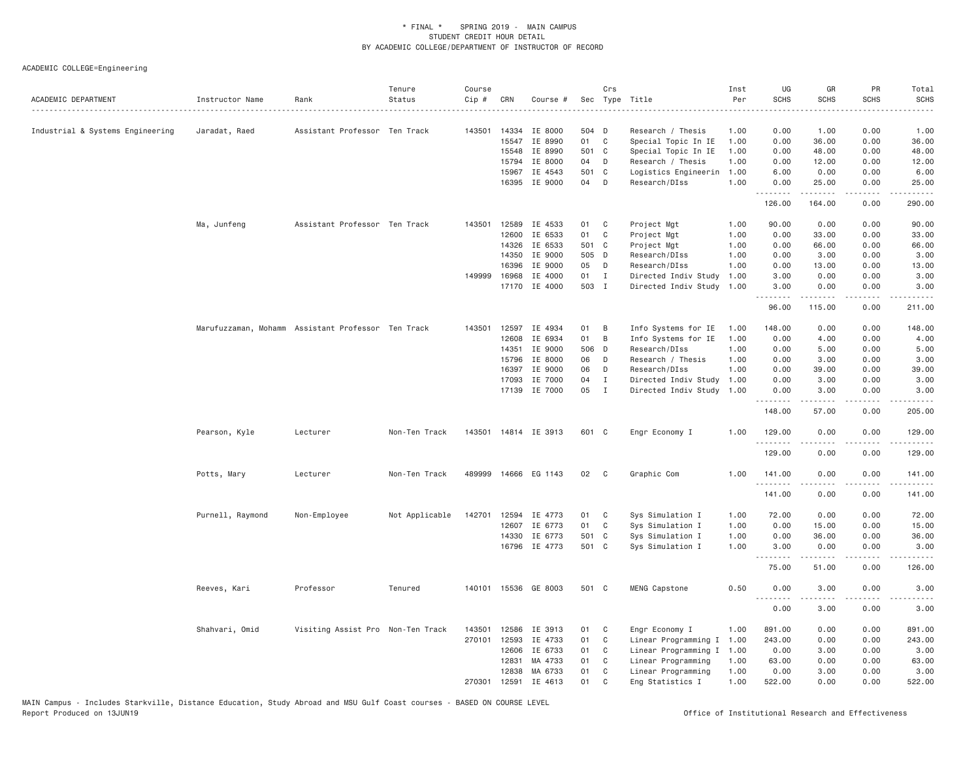| ACADEMIC DEPARTMENT              | Instructor Name  | Rank                                               | Tenure<br>Status | Course<br>Cip # | CRN   | Course #             |       | Crs          | Sec Type Title       | Inst<br>Per | UG<br><b>SCHS</b> | GR<br><b>SCHS</b>    | PR<br>SCHS                                                                                                                        | Total<br><b>SCHS</b>    |
|----------------------------------|------------------|----------------------------------------------------|------------------|-----------------|-------|----------------------|-------|--------------|----------------------|-------------|-------------------|----------------------|-----------------------------------------------------------------------------------------------------------------------------------|-------------------------|
| Industrial & Systems Engineering | Jaradat, Raed    | Assistant Professor Ten Track                      |                  | 143501          | 14334 | IE 8000              | 504 D |              | Research / Thesis    | 1.00        | 0.00              | 1.00                 | 0.00                                                                                                                              | 1.00                    |
|                                  |                  |                                                    |                  |                 | 15547 | IE 8990              | 01 C  |              | Special Topic In IE  | 1.00        | 0.00              | 36.00                | 0.00                                                                                                                              | 36.00                   |
|                                  |                  |                                                    |                  |                 | 15548 | IE 8990              | 501 C |              | Special Topic In IE  | 1.00        | 0.00              | 48.00                | 0.00                                                                                                                              | 48.00                   |
|                                  |                  |                                                    |                  |                 | 15794 | IE 8000              | 04    | D            | Research / Thesis    | 1.00        | 0.00              | 12.00                | 0.00                                                                                                                              | 12.00                   |
|                                  |                  |                                                    |                  |                 | 15967 | IE 4543              | 501   | C            | Logistics Engineerin | 1.00        | 6.00              | 0.00                 | 0.00                                                                                                                              | 6.00                    |
|                                  |                  |                                                    |                  |                 | 16395 | IE 9000              | 04    | D            | Research/DIss        | 1.00        | 0.00<br>.         | 25.00<br>.           | 0.00<br>$\sim$ $\sim$ $\sim$ $\sim$                                                                                               | 25.00<br>الأعامات       |
|                                  |                  |                                                    |                  |                 |       |                      |       |              |                      |             | 126.00            | 164.00               | 0.00                                                                                                                              | 290.00                  |
|                                  | Ma, Junfeng      | Assistant Professor Ten Track                      |                  | 143501          | 12589 | IE 4533              | 01    | C            | Project Mgt          | 1.00        | 90.00             | 0.00                 | 0.00                                                                                                                              | 90.00                   |
|                                  |                  |                                                    |                  |                 | 12600 | IE 6533              | 01    | C            | Project Mgt          | 1.00        | 0.00              | 33.00                | 0.00                                                                                                                              | 33.00                   |
|                                  |                  |                                                    |                  |                 | 14326 | IE 6533              | 501   | C            | Project Mgt          | 1.00        | 0.00              | 66.00                | 0.00                                                                                                                              | 66.00                   |
|                                  |                  |                                                    |                  |                 | 14350 | IE 9000              | 505 D |              | Research/DIss        | 1.00        | 0.00              | 3.00                 | 0.00                                                                                                                              | 3.00                    |
|                                  |                  |                                                    |                  |                 | 16396 | IE 9000              | 05    | D            | Research/DIss        | 1.00        | 0.00              | 13.00                | 0.00                                                                                                                              | 13.00                   |
|                                  |                  |                                                    |                  | 149999          | 16968 | IE 4000              | 01    | $\mathbf{I}$ | Directed Indiv Study | 1.00        | 3.00              | 0.00                 | 0.00                                                                                                                              | 3.00                    |
|                                  |                  |                                                    |                  |                 |       | 17170 IE 4000        | 503 I |              | Directed Indiv Study | 1.00        | 3,00<br><u>.</u>  | 0.00<br>.            | 0.00<br>.                                                                                                                         | 3.00<br>.               |
|                                  |                  |                                                    |                  |                 |       |                      |       |              |                      |             | 96.00             | 115.00               | 0.00                                                                                                                              | 211.00                  |
|                                  |                  | Marufuzzaman, Mohamm Assistant Professor Ten Track |                  | 143501          | 12597 | IE 4934              | 01    | B            | Info Systems for IE  | 1.00        | 148.00            | 0.00                 | 0.00                                                                                                                              | 148.00                  |
|                                  |                  |                                                    |                  |                 | 12608 | IE 6934              | 01    | B            | Info Systems for IE  | 1.00        | 0.00              | 4.00                 | 0.00                                                                                                                              | 4.00                    |
|                                  |                  |                                                    |                  |                 | 14351 | IE 9000              | 506 D |              | Research/DIss        | 1.00        | 0.00              | 5.00                 | 0.00                                                                                                                              | 5.00                    |
|                                  |                  |                                                    |                  |                 | 15796 | IE 8000              | 06    | D            | Research / Thesis    | 1.00        | 0.00              | 3.00                 | 0.00                                                                                                                              | 3.00                    |
|                                  |                  |                                                    |                  |                 | 16397 | IE 9000              | 06    | D            | Research/DIss        | 1.00        | 0.00              | 39.00                | 0.00                                                                                                                              | 39.00                   |
|                                  |                  |                                                    |                  |                 | 17093 | IE 7000              | 04    | $\mathbf{I}$ | Directed Indiv Study | 1.00        | 0.00              | 3.00                 | 0.00                                                                                                                              | 3.00                    |
|                                  |                  |                                                    |                  |                 | 17139 | IE 7000              | 05    | $\mathbf{I}$ | Directed Indiv Study | 1.00        | 0.00              | 3.00                 | 0.00                                                                                                                              | 3.00                    |
|                                  |                  |                                                    |                  |                 |       |                      |       |              |                      |             | .<br>148.00       | <b>.</b><br>57.00    | $- - - -$<br>0.00                                                                                                                 | $- - - - - -$<br>205.00 |
|                                  |                  |                                                    |                  |                 |       |                      |       |              |                      |             |                   |                      |                                                                                                                                   |                         |
|                                  | Pearson, Kyle    | Lecturer                                           | Non-Ten Track    |                 |       | 143501 14814 IE 3913 | 601 C |              | Engr Economy I       | 1.00        | 129.00<br>.       | 0.00                 | 0.00<br>$\frac{1}{2} \left( \frac{1}{2} \right) \left( \frac{1}{2} \right) \left( \frac{1}{2} \right) \left( \frac{1}{2} \right)$ | 129.00<br>.             |
|                                  |                  |                                                    |                  |                 |       |                      |       |              |                      |             | 129.00            | 0.00                 | 0.00                                                                                                                              | 129.00                  |
|                                  | Potts, Mary      | Lecturer                                           | Non-Ten Track    |                 |       | 489999 14666 EG 1143 | 02    | C            | Graphic Com          | 1.00        | 141.00<br>.       | 0.00<br>.            | 0.00<br>.                                                                                                                         | 141.00<br>$- - - - - -$ |
|                                  |                  |                                                    |                  |                 |       |                      |       |              |                      |             | 141.00            | 0.00                 | 0.00                                                                                                                              | 141.00                  |
|                                  | Purnell, Raymond | Non-Employee                                       | Not Applicable   | 142701          | 12594 | IE 4773              | 01    | C            | Sys Simulation I     | 1.00        | 72.00             | 0.00                 | 0.00                                                                                                                              | 72.00                   |
|                                  |                  |                                                    |                  |                 | 12607 | IE 6773              | 01    | C            | Sys Simulation I     | 1.00        | 0.00              | 15.00                | 0.00                                                                                                                              | 15.00                   |
|                                  |                  |                                                    |                  |                 | 14330 | IE 6773              | 501 C |              | Sys Simulation I     | 1.00        | 0.00              | 36.00                | 0.00                                                                                                                              | 36.00                   |
|                                  |                  |                                                    |                  |                 |       | 16796 IE 4773        | 501 C |              | Sys Simulation I     | 1.00        | 3,00              | 0.00                 | 0.00                                                                                                                              | 3.00                    |
|                                  |                  |                                                    |                  |                 |       |                      |       |              |                      |             | .<br>75.00        | $- - - - -$<br>51.00 | .<br>0.00                                                                                                                         | .<br>126.00             |
|                                  | Reeves, Kari     | Professor                                          | Tenured          | 140101          |       | 15536 GE 8003        | 501 C |              | MENG Capstone        | 0.50        | 0.00              | 3.00                 | 0.00                                                                                                                              | 3.00                    |
|                                  |                  |                                                    |                  |                 |       |                      |       |              |                      |             | .<br>0.00         | .<br>3.00            | $\sim$ $\sim$ $\sim$<br>0.00                                                                                                      | .<br>3.00               |
|                                  | Shahvari, Omid   | Visiting Assist Pro Non-Ten Track                  |                  | 143501          | 12586 | IE 3913              | 01    | C            | Engr Economy I       | 1.00        | 891.00            | 0.00                 | 0.00                                                                                                                              | 891.00                  |
|                                  |                  |                                                    |                  | 270101          | 12593 | IE 4733              | 01    | C            | Linear Programming I | 1.00        | 243.00            | 0.00                 | 0.00                                                                                                                              | 243.00                  |
|                                  |                  |                                                    |                  |                 | 12606 | IE 6733              | 01    | C            | Linear Programming I | 1.00        | 0.00              | 3.00                 | 0.00                                                                                                                              | 3.00                    |
|                                  |                  |                                                    |                  |                 | 12831 | MA 4733              | 01    | C            | Linear Programming   | 1.00        | 63.00             | 0.00                 | 0.00                                                                                                                              | 63.00                   |
|                                  |                  |                                                    |                  |                 | 12838 | MA 6733              | 01    | C            | Linear Programming   | 1.00        | 0.00              | 3.00                 | 0.00                                                                                                                              | 3.00                    |
|                                  |                  |                                                    |                  | 270301          | 12591 | IE 4613              | 01    | C            | Eng Statistics I     | 1.00        | 522.00            | 0.00                 | 0.00                                                                                                                              | 522.00                  |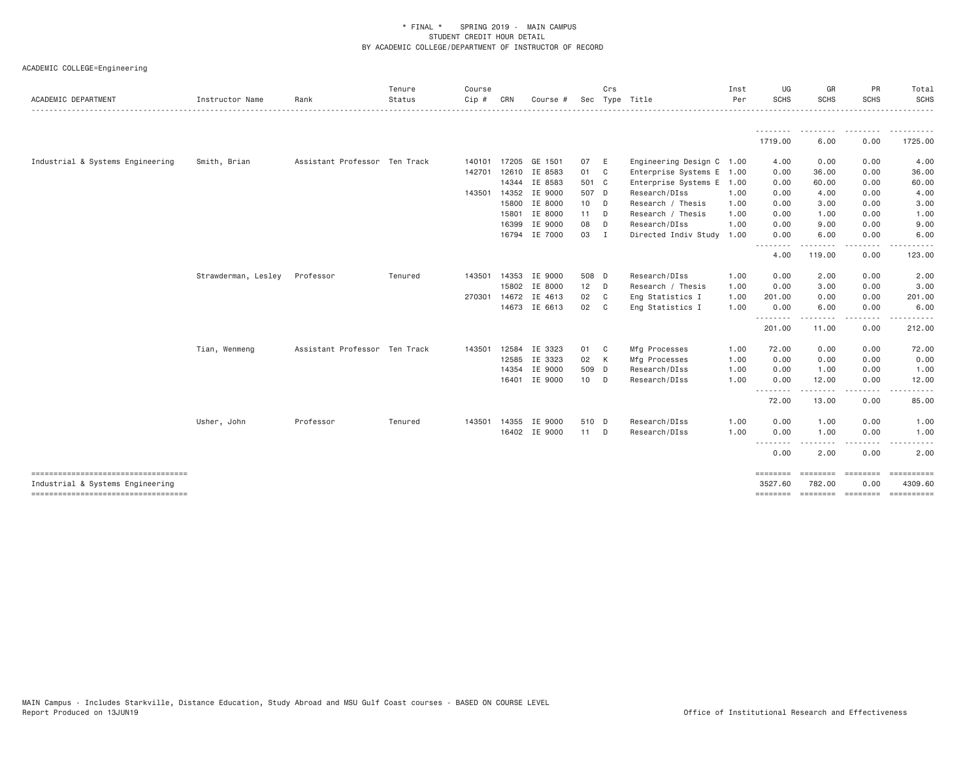| ACADEMIC DEPARTMENT                                                        | Instructor Name     | Rank                          | Tenure<br>Status | Course<br>$Cip$ # | CRN   | Course #             |        | Crs            | Sec Type Title            | Inst<br>Per | UG<br><b>SCHS</b>  | GR<br><b>SCHS</b>               | PR<br><b>SCHS</b> | Total<br>SCHS                  |
|----------------------------------------------------------------------------|---------------------|-------------------------------|------------------|-------------------|-------|----------------------|--------|----------------|---------------------------|-------------|--------------------|---------------------------------|-------------------|--------------------------------|
|                                                                            |                     |                               |                  |                   |       |                      |        |                |                           |             | 1719.00            | --------<br>6.00                | 0.00              | .<br>1725.00                   |
| Industrial & Systems Engineering                                           | Smith, Brian        | Assistant Professor Ten Track |                  | 140101            |       | 17205 GE 1501        | 07     | - E            | Engineering Design C 1.00 |             | 4.00               | 0.00                            | 0.00              | 4.00                           |
|                                                                            |                     |                               |                  | 142701            |       | 12610 IE 8583        | 01 C   |                | Enterprise Systems E 1.00 |             | 0.00               | 36.00                           | 0.00              | 36.00                          |
|                                                                            |                     |                               |                  |                   |       | 14344 IE 8583        | 501 C  |                | Enterprise Systems E 1.00 |             | 0.00               | 60.00                           | 0.00              | 60.00                          |
|                                                                            |                     |                               |                  | 143501 14352      |       | IE 9000              | 507 D  |                | Research/DIss             | 1.00        | 0.00               | 4.00                            | 0.00              | 4.00                           |
|                                                                            |                     |                               |                  |                   | 15800 | IE 8000              | 10 D   |                | Research / Thesis         | 1.00        | 0.00               | 3.00                            | 0.00              | 3.00                           |
|                                                                            |                     |                               |                  |                   | 15801 | IE 8000              | 11 D   |                | Research / Thesis         | 1.00        | 0.00               | 1.00                            | 0.00              | 1.00                           |
|                                                                            |                     |                               |                  |                   | 16399 | IE 9000              | 08     | $\Box$         | Research/DIss             | 1.00        | 0.00               | 9.00                            | 0.00              | 9.00                           |
|                                                                            |                     |                               |                  |                   |       | 16794 IE 7000        | 03 I   |                | Directed Indiv Study      | 1.00        | 0.00               | 6.00                            | 0.00              | 6.00                           |
|                                                                            |                     |                               |                  |                   |       |                      |        |                |                           |             | .<br>4.00          | 119.00                          | 0.00              | 123.00                         |
|                                                                            | Strawderman, Lesley | Professor                     | Tenured          | 143501            | 14353 | IE 9000              | 508 D  |                | Research/DIss             | 1.00        | 0.00               | 2.00                            | 0.00              | 2.00                           |
|                                                                            |                     |                               |                  |                   |       | 15802 IE 8000        | $12$ D |                | Research / Thesis         | 1.00        | 0.00               | 3.00                            | 0.00              | 3.00                           |
|                                                                            |                     |                               |                  |                   |       | 270301 14672 IE 4613 | 02     | $\overline{c}$ | Eng Statistics I          | 1.00        | 201.00             | 0.00                            | 0.00              | 201.00                         |
|                                                                            |                     |                               |                  |                   |       | 14673 IE 6613        | 02 C   |                | Eng Statistics I          | 1.00        | 0.00               | 6.00                            | 0.00              | 6.00                           |
|                                                                            |                     |                               |                  |                   |       |                      |        |                |                           |             | <u>.</u><br>201.00 | . <u>.</u> .<br>11.00           | $\cdots$<br>0.00  | 212.00                         |
|                                                                            | Tian, Wenmeng       | Assistant Professor Ten Track |                  | 143501            | 12584 | IE 3323              | 01 C   |                | Mfg Processes             | 1.00        | 72.00              | 0.00                            | 0.00              | 72.00                          |
|                                                                            |                     |                               |                  |                   | 12585 | IE 3323              | 02 K   |                | Mfg Processes             | 1.00        | 0.00               | 0.00                            | 0.00              | 0.00                           |
|                                                                            |                     |                               |                  |                   |       | 14354 IE 9000        | 509 D  |                | Research/DIss             | 1.00        | 0.00               | 1.00                            | 0.00              | 1.00                           |
|                                                                            |                     |                               |                  |                   |       | 16401 IE 9000        | 10 D   |                | Research/DIss             | 1.00        | 0.00               | 12.00                           | 0.00              | 12.00                          |
|                                                                            |                     |                               |                  |                   |       |                      |        |                |                           |             | 72.00              | $\cdots \cdots \cdots$<br>13.00 | $- - - -$<br>0.00 | 85.00                          |
|                                                                            | Usher, John         | Professor                     | Tenured          | 143501            | 14355 | IE 9000              | 510 D  |                | Research/DIss             | 1.00        | 0.00               | 1.00                            | 0.00              | 1.00                           |
|                                                                            |                     |                               |                  |                   |       | 16402 IE 9000        | 11 D   |                | Research/DIss             | 1.00        | 0.00               | 1.00                            | 0.00              | 1.00                           |
|                                                                            |                     |                               |                  |                   |       |                      |        |                |                           |             | <u>.</u><br>0.00   | $- - - - -$<br>2.00             | .<br>0.00         | .<br>2.00                      |
|                                                                            |                     |                               |                  |                   |       |                      |        |                |                           |             | ========           |                                 | essesses essesses | ==========                     |
| Industrial & Systems Engineering<br>====================================== |                     |                               |                  |                   |       |                      |        |                |                           |             | 3527.60            | 782.00                          | 0.00              | 4309.60<br>- = = = = = = = = = |
|                                                                            |                     |                               |                  |                   |       |                      |        |                |                           |             |                    |                                 |                   |                                |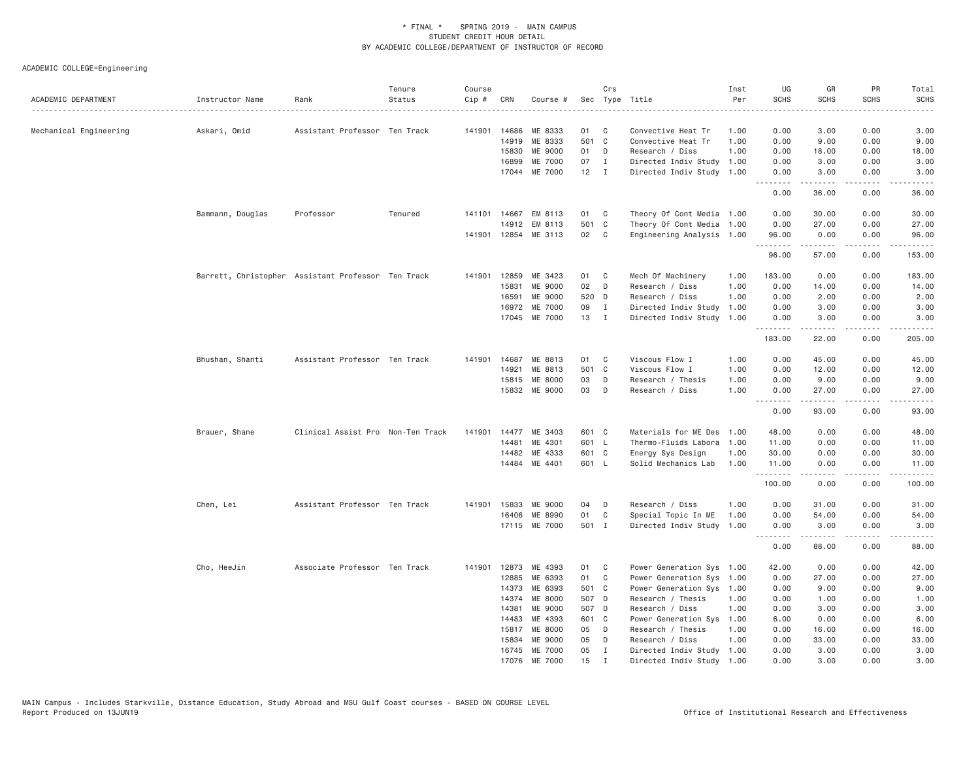| ACADEMIC DEPARTMENT    | Instructor Name                                    | Rank                              | Tenure<br>Status | Course<br>Cip # | CRN   | Course #             |       | Crs            | Sec Type Title            | Inst<br>Per<br>. | UG<br><b>SCHS</b>  | GR<br><b>SCHS</b>                                                                                                                                            | PR<br>SCHS                   | Total<br><b>SCHS</b><br>$\sim$ $\sim$ $\sim$ $\sim$ $\sim$ |
|------------------------|----------------------------------------------------|-----------------------------------|------------------|-----------------|-------|----------------------|-------|----------------|---------------------------|------------------|--------------------|--------------------------------------------------------------------------------------------------------------------------------------------------------------|------------------------------|------------------------------------------------------------|
| Mechanical Engineering | Askari, Omid                                       | Assistant Professor Ten Track     |                  | 141901          | 14686 | ME 8333              | 01    | C              | Convective Heat Tr        | 1.00             | 0.00               | 3.00                                                                                                                                                         | 0.00                         | 3.00                                                       |
|                        |                                                    |                                   |                  |                 | 14919 | ME 8333              | 501 C |                | Convective Heat Tr        | 1.00             | 0.00               | 9.00                                                                                                                                                         | 0.00                         | 9.00                                                       |
|                        |                                                    |                                   |                  |                 | 15830 | ME 9000              | 01    | D              | Research / Diss           | 1.00             | 0.00               | 18.00                                                                                                                                                        | 0.00                         | 18.00                                                      |
|                        |                                                    |                                   |                  |                 | 16899 | ME 7000              | 07    | $\mathbf{I}$   | Directed Indiv Study      | 1.00             | 0.00               | 3.00                                                                                                                                                         | 0.00                         | 3.00                                                       |
|                        |                                                    |                                   |                  |                 | 17044 | ME 7000              | 12    | $\blacksquare$ | Directed Indiv Study      | 1.00             | 0.00<br>.          | 3.00<br>$- - - - - -$                                                                                                                                        | 0.00<br>. <b>.</b>           | 3.00<br>$   -$                                             |
|                        |                                                    |                                   |                  |                 |       |                      |       |                |                           |                  | 0.00               | 36.00                                                                                                                                                        | 0.00                         | 36,00                                                      |
|                        | Bammann, Douglas                                   | Professor                         | Tenured          | 141101          | 14667 | EM 8113              | 01    | $\mathbf{C}$   | Theory Of Cont Media 1.00 |                  | 0.00               | 30.00                                                                                                                                                        | 0.00                         | 30.00                                                      |
|                        |                                                    |                                   |                  |                 | 14912 | EM 8113              | 501 C |                | Theory Of Cont Media      | 1.00             | 0.00               | 27.00                                                                                                                                                        | 0.00                         | 27.00                                                      |
|                        |                                                    |                                   |                  |                 |       | 141901 12854 ME 3113 | 02    | $\mathbf{C}$   | Engineering Analysis 1.00 |                  | 96.00<br>.         | 0.00<br>$\frac{1}{2} \left( \frac{1}{2} \right) \left( \frac{1}{2} \right) \left( \frac{1}{2} \right) \left( \frac{1}{2} \right) \left( \frac{1}{2} \right)$ | 0.00<br>.                    | 96.00<br>.                                                 |
|                        |                                                    |                                   |                  |                 |       |                      |       |                |                           |                  | 96.00              | 57.00                                                                                                                                                        | 0.00                         | 153.00                                                     |
|                        | Barrett, Christopher Assistant Professor Ten Track |                                   |                  | 141901          | 12859 | ME 3423              | 01    | $\mathbf{C}$   | Mech Of Machinery         | 1.00             | 183.00             | 0.00                                                                                                                                                         | 0.00                         | 183.00                                                     |
|                        |                                                    |                                   |                  |                 | 15831 | ME 9000              | 02    | D              | Research / Diss           | 1.00             | 0.00               | 14.00                                                                                                                                                        | 0.00                         | 14.00                                                      |
|                        |                                                    |                                   |                  |                 | 16591 | ME 9000              | 520 D |                | Research / Diss           | 1.00             | 0.00               | 2.00                                                                                                                                                         | 0.00                         | 2.00                                                       |
|                        |                                                    |                                   |                  |                 | 16972 | ME 7000              | 09    | $\mathbf{I}$   | Directed Indiv Study      | 1.00             | 0.00               | 3.00                                                                                                                                                         | 0.00                         | 3.00                                                       |
|                        |                                                    |                                   |                  |                 |       | 17045 ME 7000        | 13    | $\mathbf{I}$   | Directed Indiv Study      | 1.00             | 0.00<br><u>.</u>   | 3.00<br>.                                                                                                                                                    | 0.00<br>.                    | 3.00<br>.                                                  |
|                        |                                                    |                                   |                  |                 |       |                      |       |                |                           |                  | 183.00             | 22.00                                                                                                                                                        | 0.00                         | 205.00                                                     |
|                        | Bhushan, Shanti                                    | Assistant Professor Ten Track     |                  | 141901          | 14687 | ME 8813              | 01    | C              | Viscous Flow I            | 1.00             | 0.00               | 45.00                                                                                                                                                        | 0.00                         | 45.00                                                      |
|                        |                                                    |                                   |                  |                 | 14921 | ME 8813              | 501   | $\mathbf{C}$   | Viscous Flow I            | 1.00             | 0.00               | 12.00                                                                                                                                                        | 0.00                         | 12.00                                                      |
|                        |                                                    |                                   |                  |                 | 15815 | ME 8000              | 03    | D              | Research / Thesis         | 1.00             | 0.00               | 9.00                                                                                                                                                         | 0.00                         | 9.00                                                       |
|                        |                                                    |                                   |                  |                 | 15832 | ME 9000              | 03    | D              | Research / Diss           | 1.00             | 0.00<br>.          | 27.00<br>.                                                                                                                                                   | 0.00<br>.                    | 27.00<br>.                                                 |
|                        |                                                    |                                   |                  |                 |       |                      |       |                |                           |                  | 0.00               | 93.00                                                                                                                                                        | 0.00                         | 93.00                                                      |
|                        | Brauer, Shane                                      | Clinical Assist Pro Non-Ten Track |                  | 141901          |       | 14477 ME 3403        | 601 C |                | Materials for ME Des 1.00 |                  | 48.00              | 0.00                                                                                                                                                         | 0.00                         | 48.00                                                      |
|                        |                                                    |                                   |                  |                 | 14481 | ME 4301              | 601 L |                | Thermo-Fluids Labora      | 1.00             | 11.00              | 0.00                                                                                                                                                         | 0.00                         | 11.00                                                      |
|                        |                                                    |                                   |                  |                 | 14482 | ME 4333              | 601 C |                | Energy Sys Design         | 1.00             | 30.00              | 0.00                                                                                                                                                         | 0.00                         | 30.00                                                      |
|                        |                                                    |                                   |                  |                 |       | 14484 ME 4401        | 601 L |                | Solid Mechanics Lab       | 1.00             | 11.00              | 0.00                                                                                                                                                         | 0.00                         | 11.00                                                      |
|                        |                                                    |                                   |                  |                 |       |                      |       |                |                           |                  | .<br>100.00        | $\frac{1}{2} \left( \frac{1}{2} \right) \left( \frac{1}{2} \right) \left( \frac{1}{2} \right) \left( \frac{1}{2} \right) \left( \frac{1}{2} \right)$<br>0.00 | $\omega$ is a set of<br>0.00 | .<br>100.00                                                |
|                        | Chen, Lei                                          | Assistant Professor Ten Track     |                  | 141901          | 15833 | ME 9000              | 04    | D              | Research / Diss           | 1.00             | 0.00               | 31.00                                                                                                                                                        | 0.00                         | 31,00                                                      |
|                        |                                                    |                                   |                  |                 | 16406 | ME 8990              | 01    | C              | Special Topic In ME       | 1.00             | 0.00               | 54.00                                                                                                                                                        | 0.00                         | 54.00                                                      |
|                        |                                                    |                                   |                  |                 |       | 17115 ME 7000        | 501 I |                | Directed Indiv Study      | 1.00             | 0.00               | 3.00                                                                                                                                                         | 0.00                         | 3.00                                                       |
|                        |                                                    |                                   |                  |                 |       |                      |       |                |                           |                  | . <b>.</b><br>0.00 | ------<br>88.00                                                                                                                                              | .<br>0.00                    | .<br>88.00                                                 |
|                        | Cho, HeeJin                                        | Associate Professor Ten Track     |                  | 141901          | 12873 | ME 4393              | 01    | C              | Power Generation Sys 1.00 |                  | 42.00              | 0.00                                                                                                                                                         | 0.00                         | 42.00                                                      |
|                        |                                                    |                                   |                  |                 | 12885 | ME 6393              | 01    | $\mathbf C$    | Power Generation Sys 1.00 |                  | 0.00               | 27.00                                                                                                                                                        | 0.00                         | 27.00                                                      |
|                        |                                                    |                                   |                  |                 | 14373 | ME 6393              | 501 C |                | Power Generation Sys 1.00 |                  | 0.00               | 9.00                                                                                                                                                         | 0.00                         | 9.00                                                       |
|                        |                                                    |                                   |                  |                 | 14374 | ME 8000              | 507 D |                | Research / Thesis         | 1.00             | 0.00               | 1.00                                                                                                                                                         | 0.00                         | 1.00                                                       |
|                        |                                                    |                                   |                  |                 | 14381 | ME 9000              | 507 D |                | Research / Diss           | 1.00             | 0.00               | 3.00                                                                                                                                                         | 0.00                         | 3.00                                                       |
|                        |                                                    |                                   |                  |                 | 14483 | ME 4393              | 601 C |                | Power Generation Sys      | 1.00             | 6.00               | 0.00                                                                                                                                                         | 0.00                         | 6.00                                                       |
|                        |                                                    |                                   |                  |                 | 15817 | ME 8000              | 05    | D              | Research / Thesis         | 1.00             | 0.00               | 16.00                                                                                                                                                        | 0.00                         | 16.00                                                      |
|                        |                                                    |                                   |                  |                 | 15834 | ME 9000              | 05    | D              | Research / Diss           | 1.00             | 0.00               | 33.00                                                                                                                                                        | 0.00                         | 33.00                                                      |
|                        |                                                    |                                   |                  |                 |       | 16745 ME 7000        | 05    | $\mathbf{I}$   | Directed Indiv Study 1.00 |                  | 0.00               | 3.00                                                                                                                                                         | 0.00                         | 3.00                                                       |
|                        |                                                    |                                   |                  |                 | 17076 | ME 7000              | 15    | $\mathbf I$    | Directed Indiv Study 1.00 |                  | 0.00               | 3,00                                                                                                                                                         | 0.00                         | 3,00                                                       |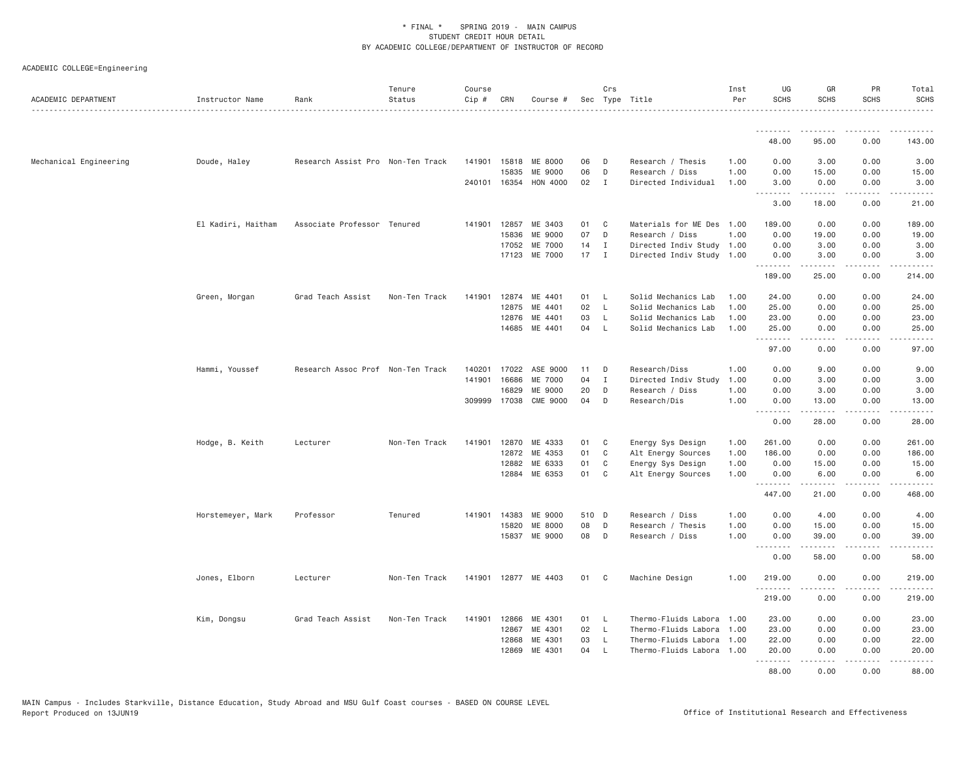| ACADEMIC DEPARTMENT    | Instructor Name    | Rank                              | Tenure<br>Status<br>. | Course<br>Cip # | CRN          | Course #             |       | Crs            | Sec Type Title            | Inst<br>Per | UG<br><b>SCHS</b>  | GR<br><b>SCHS</b>                                                                                                                                            | <b>PR</b><br><b>SCHS</b>                                                                                                          | Total<br><b>SCHS</b><br>.                                                                                                                                      |
|------------------------|--------------------|-----------------------------------|-----------------------|-----------------|--------------|----------------------|-------|----------------|---------------------------|-------------|--------------------|--------------------------------------------------------------------------------------------------------------------------------------------------------------|-----------------------------------------------------------------------------------------------------------------------------------|----------------------------------------------------------------------------------------------------------------------------------------------------------------|
|                        |                    |                                   |                       |                 |              |                      |       |                |                           |             | <u>.</u>           |                                                                                                                                                              | $  -$                                                                                                                             |                                                                                                                                                                |
|                        |                    |                                   |                       |                 |              |                      |       |                |                           |             | 48.00              | 95.00                                                                                                                                                        | 0.00                                                                                                                              | 143.00                                                                                                                                                         |
| Mechanical Engineering | Doude, Haley       | Research Assist Pro Non-Ten Track |                       |                 | 141901 15818 | ME 8000              | 06    | D              | Research / Thesis         | 1.00        | 0.00               | 3.00                                                                                                                                                         | 0.00                                                                                                                              | 3.00                                                                                                                                                           |
|                        |                    |                                   |                       |                 | 15835        | ME 9000              | 06    | D              | Research / Diss           | 1.00        | 0.00               | 15.00                                                                                                                                                        | 0.00                                                                                                                              | 15.00                                                                                                                                                          |
|                        |                    |                                   |                       |                 | 240101 16354 | HON 4000             | 02    | $\mathbf{I}$   | Directed Individual       | 1.00        | 3.00<br>.          | 0.00<br>$- - - - -$                                                                                                                                          | 0.00<br>$\frac{1}{2} \left( \frac{1}{2} \right) \left( \frac{1}{2} \right) \left( \frac{1}{2} \right) \left( \frac{1}{2} \right)$ | 3.00<br>.                                                                                                                                                      |
|                        |                    |                                   |                       |                 |              |                      |       |                |                           |             | 3.00               | 18.00                                                                                                                                                        | 0.00                                                                                                                              | 21.00                                                                                                                                                          |
|                        | El Kadiri, Haitham | Associate Professor Tenured       |                       | 141901          | 12857        | ME 3403              | 01    | C              | Materials for ME Des      | 1.00        | 189.00             | 0.00                                                                                                                                                         | 0.00                                                                                                                              | 189.00                                                                                                                                                         |
|                        |                    |                                   |                       |                 | 15836        | ME 9000              | 07    | D              | Research / Diss           | 1.00        | 0.00               | 19.00                                                                                                                                                        | 0.00                                                                                                                              | 19.00                                                                                                                                                          |
|                        |                    |                                   |                       |                 | 17052        | ME 7000              | 14    | $\mathbf{I}$   | Directed Indiv Study 1.00 |             | 0.00               | 3.00                                                                                                                                                         | 0.00                                                                                                                              | 3.00                                                                                                                                                           |
|                        |                    |                                   |                       |                 | 17123        | ME 7000              | 17    | $\mathbf{I}$   | Directed Indiv Study 1.00 |             | 0.00<br>.          | 3.00<br>$\frac{1}{2} \left( \frac{1}{2} \right) \left( \frac{1}{2} \right) \left( \frac{1}{2} \right) \left( \frac{1}{2} \right) \left( \frac{1}{2} \right)$ | 0.00<br>$\sim$ $\sim$ $\sim$                                                                                                      | 3.00<br>-----                                                                                                                                                  |
|                        |                    |                                   |                       |                 |              |                      |       |                |                           |             | 189.00             | 25.00                                                                                                                                                        | 0.00                                                                                                                              | 214.00                                                                                                                                                         |
|                        | Green, Morgan      | Grad Teach Assist                 | Non-Ten Track         | 141901          |              | 12874 ME 4401        | 01    | L              | Solid Mechanics Lab       | 1.00        | 24.00              | 0.00                                                                                                                                                         | 0.00                                                                                                                              | 24.00                                                                                                                                                          |
|                        |                    |                                   |                       |                 | 12875        | ME 4401              | 02    | $\mathsf L$    | Solid Mechanics Lab       | 1.00        | 25.00              | 0.00                                                                                                                                                         | 0.00                                                                                                                              | 25.00                                                                                                                                                          |
|                        |                    |                                   |                       |                 | 12876        | ME 4401              | 03    | L              | Solid Mechanics Lab       | 1.00        | 23.00              | 0.00                                                                                                                                                         | 0.00                                                                                                                              | 23.00                                                                                                                                                          |
|                        |                    |                                   |                       |                 | 14685        | ME 4401              | 04    | $\mathsf{L}$   | Solid Mechanics Lab       | 1.00        | 25.00<br>.         | 0.00<br>$\frac{1}{2} \left( \frac{1}{2} \right) \left( \frac{1}{2} \right) \left( \frac{1}{2} \right) \left( \frac{1}{2} \right) \left( \frac{1}{2} \right)$ | 0.00<br>.                                                                                                                         | 25.00<br>.                                                                                                                                                     |
|                        |                    |                                   |                       |                 |              |                      |       |                |                           |             | 97.00              | 0.00                                                                                                                                                         | 0.00                                                                                                                              | 97.00                                                                                                                                                          |
|                        | Hammi, Youssef     | Research Assoc Prof Non-Ten Track |                       | 140201          | 17022        | ASE 9000             | 11    | D              | Research/Diss             | 1.00        | 0.00               | 9.00                                                                                                                                                         | 0.00                                                                                                                              | 9.00                                                                                                                                                           |
|                        |                    |                                   |                       | 141901          | 16686        | ME 7000              | 04    | $\mathbf I$    | Directed Indiv Study      | 1.00        | 0.00               | 3.00                                                                                                                                                         | 0.00                                                                                                                              | 3.00                                                                                                                                                           |
|                        |                    |                                   |                       |                 | 16829        | ME 9000              | 20    | D              | Research / Diss           | 1.00        | 0.00               | 3.00                                                                                                                                                         | 0.00                                                                                                                              | 3.00                                                                                                                                                           |
|                        |                    |                                   |                       |                 | 309999 17038 | <b>CME 9000</b>      | 04    | D              | Research/Dis              | 1.00        | 0.00<br>. <b>.</b> | 13.00<br>$- - - - -$                                                                                                                                         | 0.00                                                                                                                              | 13.00                                                                                                                                                          |
|                        |                    |                                   |                       |                 |              |                      |       |                |                           |             | 0.00               | 28.00                                                                                                                                                        | 0.00                                                                                                                              | 28.00                                                                                                                                                          |
|                        | Hodge, B. Keith    | Lecturer                          | Non-Ten Track         |                 |              | 141901 12870 ME 4333 | 01    | C <sub>1</sub> | Energy Sys Design         | 1.00        | 261.00             | 0.00                                                                                                                                                         | 0.00                                                                                                                              | 261.00                                                                                                                                                         |
|                        |                    |                                   |                       |                 | 12872        | ME 4353              | 01    | C              | Alt Energy Sources        | 1.00        | 186.00             | 0.00                                                                                                                                                         | 0.00                                                                                                                              | 186.00                                                                                                                                                         |
|                        |                    |                                   |                       |                 | 12882        | ME 6333              | 01    | C              | Energy Sys Design         | 1.00        | 0.00               | 15.00                                                                                                                                                        | 0.00                                                                                                                              | 15.00                                                                                                                                                          |
|                        |                    |                                   |                       |                 |              | 12884 ME 6353        | 01    | $\mathbf{C}$   | Alt Energy Sources        | 1.00        | 0.00<br>.          | 6.00<br>.                                                                                                                                                    | 0.00<br>.                                                                                                                         | 6.00<br>.                                                                                                                                                      |
|                        |                    |                                   |                       |                 |              |                      |       |                |                           |             | 447.00             | 21.00                                                                                                                                                        | 0.00                                                                                                                              | 468.00                                                                                                                                                         |
|                        | Horstemeyer, Mark  | Professor                         | Tenured               | 141901          | 14383        | ME 9000              | 510 D |                | Research / Diss           | 1.00        | 0.00               | 4.00                                                                                                                                                         | 0.00                                                                                                                              | 4.00                                                                                                                                                           |
|                        |                    |                                   |                       |                 | 15820        | ME 8000              | 08    | D              | Research / Thesis         | 1.00        | 0.00               | 15.00                                                                                                                                                        | 0.00                                                                                                                              | 15.00                                                                                                                                                          |
|                        |                    |                                   |                       |                 | 15837        | ME 9000              | 08    | D              | Research / Diss           | 1.00        | 0.00<br>.          | 39.00<br>.                                                                                                                                                   | 0.00<br>$- - - -$                                                                                                                 | 39.00<br>.                                                                                                                                                     |
|                        |                    |                                   |                       |                 |              |                      |       |                |                           |             | 0.00               | 58.00                                                                                                                                                        | 0.00                                                                                                                              | 58.00                                                                                                                                                          |
|                        | Jones, Elborn      | Lecturer                          | Non-Ten Track         |                 |              | 141901 12877 ME 4403 | 01 C  |                | Machine Design            | 1.00        | 219.00             | 0.00                                                                                                                                                         | 0.00                                                                                                                              | 219.00                                                                                                                                                         |
|                        |                    |                                   |                       |                 |              |                      |       |                |                           |             | .<br>219.00        | $\frac{1}{2}$<br>0.00                                                                                                                                        | .<br>0.00                                                                                                                         | $\frac{1}{2} \left( \frac{1}{2} \right) \left( \frac{1}{2} \right) \left( \frac{1}{2} \right) \left( \frac{1}{2} \right) \left( \frac{1}{2} \right)$<br>219.00 |
|                        | Kim, Dongsu        | Grad Teach Assist                 | Non-Ten Track         | 141901          | 12866        | ME 4301              | 01    | - L            | Thermo-Fluids Labora      | 1.00        | 23.00              | 0.00                                                                                                                                                         | 0.00                                                                                                                              | 23.00                                                                                                                                                          |
|                        |                    |                                   |                       |                 | 12867        | ME 4301              | 02    | $\mathsf{L}$   | Thermo-Fluids Labora      | 1.00        | 23.00              | 0.00                                                                                                                                                         | 0.00                                                                                                                              | 23.00                                                                                                                                                          |
|                        |                    |                                   |                       |                 | 12868        | ME 4301              | 03    | L              | Thermo-Fluids Labora      | 1.00        | 22.00              | 0.00                                                                                                                                                         | 0.00                                                                                                                              | 22.00                                                                                                                                                          |
|                        |                    |                                   |                       |                 | 12869        | ME 4301              | 04    | $\mathsf{L}$   | Thermo-Fluids Labora      | 1.00        | 20.00<br>.         | 0.00<br>.                                                                                                                                                    | 0.00<br>.                                                                                                                         | 20.00<br>.                                                                                                                                                     |
|                        |                    |                                   |                       |                 |              |                      |       |                |                           |             | 88.00              | 0.00                                                                                                                                                         | 0.00                                                                                                                              | 88.00                                                                                                                                                          |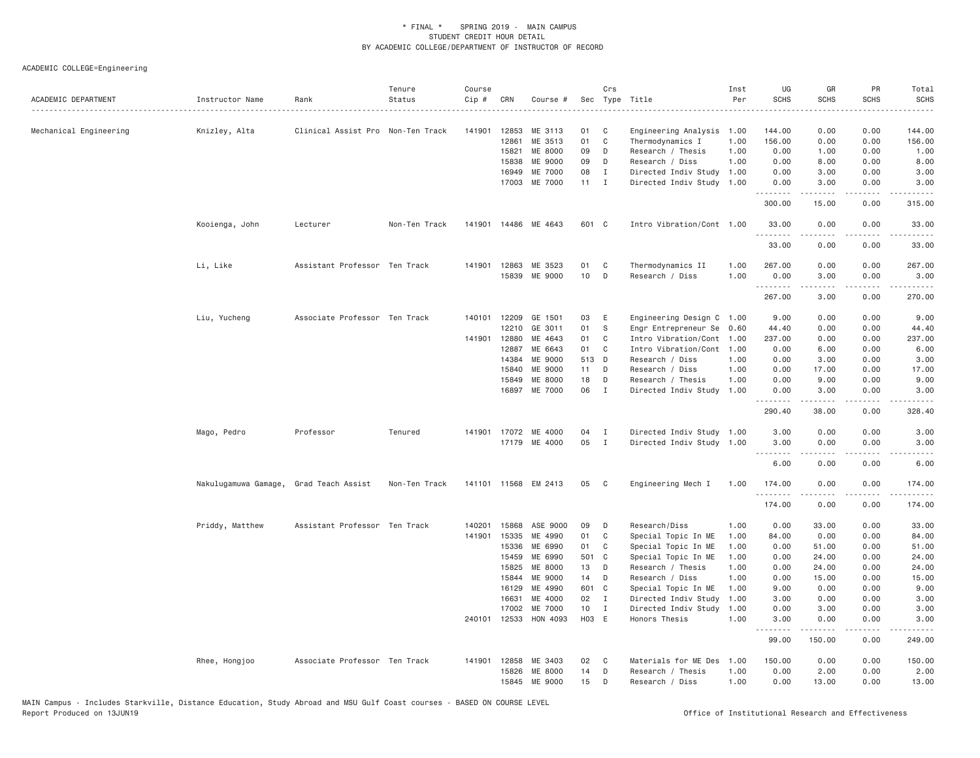| ACADEMIC DEPARTMENT    | Instructor Name                        | Rank                              | Tenure<br>Status | Course<br>Cip # | CRN            | Course #                 |                 | Crs               | Sec Type Title<br>.                                    | Inst<br>Per  | UG<br><b>SCHS</b> | GR<br><b>SCHS</b>                                                                                                                                             | PR<br><b>SCHS</b> | Total<br><b>SCHS</b><br>$\frac{1}{2}$ |
|------------------------|----------------------------------------|-----------------------------------|------------------|-----------------|----------------|--------------------------|-----------------|-------------------|--------------------------------------------------------|--------------|-------------------|---------------------------------------------------------------------------------------------------------------------------------------------------------------|-------------------|---------------------------------------|
| Mechanical Engineering | Knizley, Alta                          | Clinical Assist Pro Non-Ten Track |                  | 141901          | 12853          | ME 3113                  | 01              | C                 | Engineering Analysis                                   | 1.00         | 144.00            | 0.00                                                                                                                                                          | 0.00              | 144.00                                |
|                        |                                        |                                   |                  |                 | 12861          | ME 3513                  | 01              | $\mathbb C$       | Thermodynamics I                                       | 1.00         | 156.00            | 0.00                                                                                                                                                          | 0.00              | 156.00                                |
|                        |                                        |                                   |                  |                 | 15821          | <b>ME 8000</b>           | 09              | D                 | Research / Thesis                                      | 1.00         | 0.00              | 1.00                                                                                                                                                          | 0.00              | 1.00                                  |
|                        |                                        |                                   |                  |                 | 15838          | ME 9000                  | 09              | D                 | Research / Diss                                        | 1.00         | 0.00              | 8.00                                                                                                                                                          | 0.00              | 8.00                                  |
|                        |                                        |                                   |                  |                 | 16949          | ME 7000                  | 08              | $\mathbf{I}$      | Directed Indiv Study                                   | 1.00         | 0.00              | 3.00                                                                                                                                                          | 0.00              | 3.00                                  |
|                        |                                        |                                   |                  |                 | 17003          | ME 7000                  | $11 \quad I$    |                   | Directed Indiv Study 1.00                              |              | 0.00<br><u>.</u>  | 3.00<br>$- - - - -$                                                                                                                                           | 0.00<br>.         | 3.00<br>.                             |
|                        |                                        |                                   |                  |                 |                |                          |                 |                   |                                                        |              | 300.00            | 15.00                                                                                                                                                         | 0.00              | 315.00                                |
|                        | Kooienga, John                         | Lecturer                          | Non-Ten Track    | 141901          |                | 14486 ME 4643            | 601 C           |                   | Intro Vibration/Cont 1.00                              |              | 33.00<br>.        | 0.00<br>.                                                                                                                                                     | 0.00<br>.         | 33.00<br>.                            |
|                        |                                        |                                   |                  |                 |                |                          |                 |                   |                                                        |              | 33.00             | 0.00                                                                                                                                                          | 0.00              | 33.00                                 |
|                        | Li, Like                               | Assistant Professor Ten Track     |                  | 141901          | 12863          | ME 3523                  | 01              | C                 | Thermodynamics II                                      | 1.00         | 267.00            | 0.00                                                                                                                                                          | 0.00              | 267.00                                |
|                        |                                        |                                   |                  |                 | 15839          | ME 9000                  | 10              | D                 | Research / Diss                                        | 1.00         | 0.00<br>.         | 3.00                                                                                                                                                          | 0.00              | 3.00                                  |
|                        |                                        |                                   |                  |                 |                |                          |                 |                   |                                                        |              | 267.00            | 3.00                                                                                                                                                          | 0.00              | 270.00                                |
|                        | Liu, Yucheng                           | Associate Professor Ten Track     |                  |                 | 140101 12209   | GE 1501                  | 03              | E                 | Engineering Design C 1.00                              |              | 9.00              | 0.00                                                                                                                                                          | 0.00              | 9.00                                  |
|                        |                                        |                                   |                  |                 | 12210          | GE 3011                  | 01              | S                 | Engr Entrepreneur Se                                   | 0.60         | 44.40             | 0.00                                                                                                                                                          | 0.00              | 44.40                                 |
|                        |                                        |                                   |                  | 141901          | 12880          | ME 4643                  | 01              | C                 | Intro Vibration/Cont                                   | 1.00         | 237.00            | 0.00                                                                                                                                                          | 0.00              | 237.00                                |
|                        |                                        |                                   |                  |                 | 12887          | ME 6643                  | 01              | C                 | Intro Vibration/Cont                                   | 1.00         | 0.00              | 6.00                                                                                                                                                          | 0.00              | 6.00                                  |
|                        |                                        |                                   |                  |                 | 14384          | ME 9000                  | 513 D           |                   | Research / Diss                                        | 1.00         | 0.00              | 3.00                                                                                                                                                          | 0.00              | 3.00                                  |
|                        |                                        |                                   |                  |                 | 15840          | <b>ME 9000</b>           | 11              | D                 | Research / Diss                                        | 1.00         | 0.00              | 17.00                                                                                                                                                         | 0.00              | 17.00                                 |
|                        |                                        |                                   |                  |                 | 15849<br>16897 | ME 8000<br>ME 7000       | 18<br>06        | D<br>$\mathbf{I}$ | Research / Thesis<br>Directed Indiv Study              | 1.00<br>1.00 | 0.00<br>0.00      | 9,00<br>3.00                                                                                                                                                  | 0.00<br>0.00      | 9.00<br>3.00                          |
|                        |                                        |                                   |                  |                 |                |                          |                 |                   |                                                        |              | .<br>290.40       | $\frac{1}{2} \left( \frac{1}{2} \right) \left( \frac{1}{2} \right) \left( \frac{1}{2} \right) \left( \frac{1}{2} \right) \left( \frac{1}{2} \right)$<br>38.00 | .<br>0.00         | .<br>328.40                           |
|                        |                                        |                                   |                  |                 |                |                          |                 |                   |                                                        |              |                   |                                                                                                                                                               |                   |                                       |
|                        | Mago, Pedro                            | Professor                         | Tenured          |                 | 141901 17072   | ME 4000<br>17179 ME 4000 | 04<br>05        | I<br>$\mathbf{I}$ | Directed Indiv Study 1.00<br>Directed Indiv Study 1.00 |              | 3.00<br>3.00      | 0.00<br>0.00                                                                                                                                                  | 0.00<br>0.00      | 3.00<br>3.00                          |
|                        |                                        |                                   |                  |                 |                |                          |                 |                   |                                                        |              | <u>.</u>          | .                                                                                                                                                             | .                 | $\sim$ $\sim$ $\sim$ $\sim$           |
|                        |                                        |                                   |                  |                 |                |                          |                 |                   |                                                        |              | 6.00              | 0.00                                                                                                                                                          | 0.00              | 6.00                                  |
|                        | Nakulugamuwa Gamage, Grad Teach Assist |                                   | Non-Ten Track    |                 | 141101 11568   | EM 2413                  | 05              | C                 | Engineering Mech I                                     | 1.00         | 174.00<br>.       | 0.00<br>.                                                                                                                                                     | 0.00<br>.         | 174.00<br>.                           |
|                        |                                        |                                   |                  |                 |                |                          |                 |                   |                                                        |              | 174.00            | 0.00                                                                                                                                                          | 0.00              | 174.00                                |
|                        | Priddy, Matthew                        | Assistant Professor Ten Track     |                  | 140201          | 15868          | ASE 9000                 | 09              | D                 | Research/Diss                                          | 1.00         | 0.00              | 33.00                                                                                                                                                         | 0.00              | 33.00                                 |
|                        |                                        |                                   |                  | 141901          | 15335          | ME 4990                  | 01              | $\mathbb C$       | Special Topic In ME                                    | 1.00         | 84.00             | 0.00                                                                                                                                                          | 0.00              | 84.00                                 |
|                        |                                        |                                   |                  |                 | 15336          | ME 6990                  | 01              | C                 | Special Topic In ME                                    | 1.00         | 0.00              | 51.00                                                                                                                                                         | 0.00              | 51.00                                 |
|                        |                                        |                                   |                  |                 | 15459<br>15825 | ME 6990<br>ME 8000       | 501 C<br>13     | D                 | Special Topic In ME<br>Research / Thesis               | 1.00<br>1.00 | 0.00<br>0.00      | 24.00<br>24.00                                                                                                                                                | 0.00<br>0.00      | 24.00<br>24.00                        |
|                        |                                        |                                   |                  |                 | 15844          | ME 9000                  | 14              | D                 | Research / Diss                                        | 1.00         | 0.00              | 15.00                                                                                                                                                         | 0.00              | 15.00                                 |
|                        |                                        |                                   |                  |                 | 16129          | ME 4990                  | 601 C           |                   | Special Topic In ME                                    | 1.00         | 9.00              | 0.00                                                                                                                                                          | 0.00              | 9.00                                  |
|                        |                                        |                                   |                  |                 | 16631          | ME 4000                  | 02              | $\mathbf{I}$      | Directed Indiv Study                                   | 1.00         | 3.00              | 0.00                                                                                                                                                          | 0.00              | 3.00                                  |
|                        |                                        |                                   |                  |                 | 17002          | ME 7000                  | 10 <sub>1</sub> | $\mathbf{I}$      | Directed Indiv Study                                   | 1.00         | 0.00              | 3.00                                                                                                                                                          | 0.00              | 3.00                                  |
|                        |                                        |                                   |                  |                 | 240101 12533   | HON 4093                 | H03 E           |                   | Honors Thesis                                          | 1.00         | 3,00<br>.         | 0.00<br>.                                                                                                                                                     | 0.00<br>.         | 3.00<br>.                             |
|                        |                                        |                                   |                  |                 |                |                          |                 |                   |                                                        |              | 99.00             | 150.00                                                                                                                                                        | 0.00              | 249.00                                |
|                        | Rhee, Hongjoo                          | Associate Professor Ten Track     |                  | 141901          | 12858          | ME 3403                  | 02              | C                 | Materials for ME Des                                   | 1,00         | 150.00            | 0.00                                                                                                                                                          | 0.00              | 150,00                                |
|                        |                                        |                                   |                  |                 | 15826          | ME 8000                  | 14              | D                 | Research / Thesis                                      | 1.00         | 0.00              | 2.00                                                                                                                                                          | 0.00              | 2.00                                  |
|                        |                                        |                                   |                  |                 | 15845          | ME 9000                  | 15              | D                 | Research / Diss                                        | 1.00         | 0.00              | 13,00                                                                                                                                                         | 0.00              | 13.00                                 |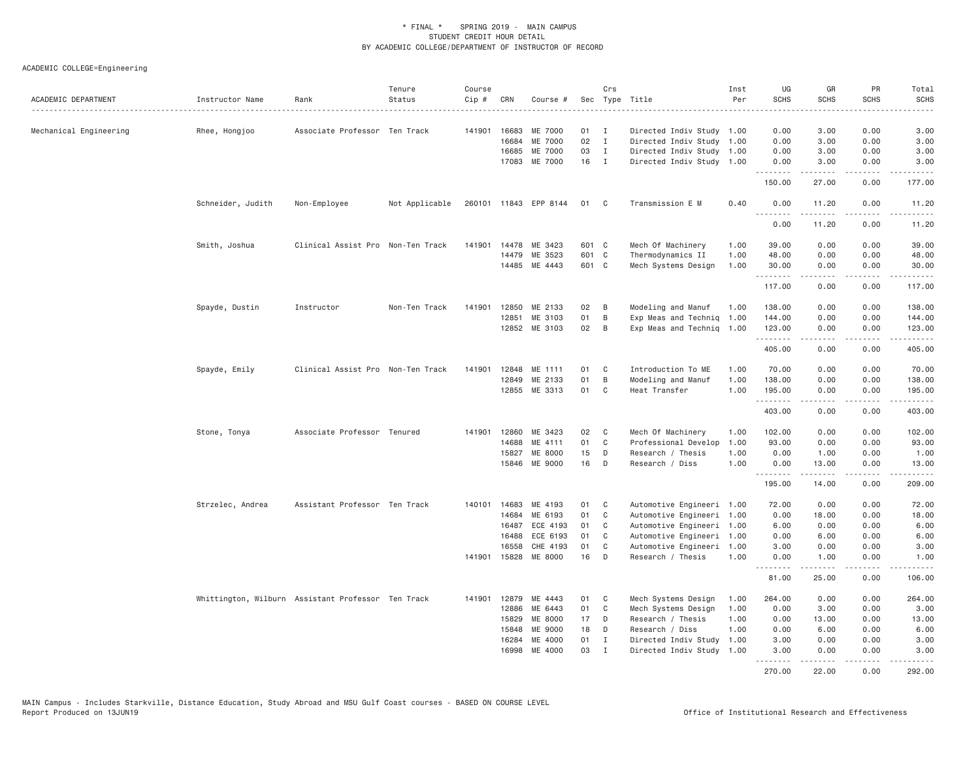| ACADEMIC DEPARTMENT    | Instructor Name   | Rank                                               | Tenure<br>Status | Course<br>Cip # | CRN          | Course #              |       | Crs          | Sec Type Title            | Inst<br>Per | UG<br><b>SCHS</b><br>. | GR<br><b>SCHS</b>                                                                                                                                            | PR<br><b>SCHS</b> | Total<br><b>SCHS</b><br>.                                                                                                                                                                 |
|------------------------|-------------------|----------------------------------------------------|------------------|-----------------|--------------|-----------------------|-------|--------------|---------------------------|-------------|------------------------|--------------------------------------------------------------------------------------------------------------------------------------------------------------|-------------------|-------------------------------------------------------------------------------------------------------------------------------------------------------------------------------------------|
| Mechanical Engineering | Rhee, Hongjoo     | Associate Professor Ten Track                      |                  | 141901          | 16683        | ME 7000               | 01    | $\mathbf{I}$ | Directed Indiv Study 1.00 |             | 0.00                   | 3.00                                                                                                                                                         | 0.00              | 3.00                                                                                                                                                                                      |
|                        |                   |                                                    |                  |                 | 16684        | ME 7000               | 02    | $\mathbf{I}$ | Directed Indiv Study 1.00 |             | 0.00                   | 3.00                                                                                                                                                         | 0.00              | 3.00                                                                                                                                                                                      |
|                        |                   |                                                    |                  |                 | 16685        | ME 7000               | 03    | $\mathbf{I}$ | Directed Indiv Study 1.00 |             | 0.00                   | 3.00                                                                                                                                                         | 0.00              | 3.00                                                                                                                                                                                      |
|                        |                   |                                                    |                  |                 | 17083        | ME 7000               | 16    | $\mathbf{I}$ | Directed Indiv Study 1.00 |             | 0.00                   | 3.00                                                                                                                                                         | 0.00              | 3.00                                                                                                                                                                                      |
|                        |                   |                                                    |                  |                 |              |                       |       |              |                           |             | .<br>150.00            | 27.00                                                                                                                                                        | 0.00              | 177.00                                                                                                                                                                                    |
|                        | Schneider, Judith | Non-Employee                                       | Not Applicable   |                 |              | 260101 11843 EPP 8144 | 01    | C            | Transmission E M          | 0.40        | 0.00                   | 11.20                                                                                                                                                        | 0.00<br>.         | 11.20                                                                                                                                                                                     |
|                        |                   |                                                    |                  |                 |              |                       |       |              |                           |             | 0.00                   | 11.20                                                                                                                                                        | 0.00              | 11.20                                                                                                                                                                                     |
|                        | Smith, Joshua     | Clinical Assist Pro Non-Ten Track                  |                  | 141901          | 14478        | ME 3423               | 601 C |              | Mech Of Machinery         | 1.00        | 39.00                  | 0.00                                                                                                                                                         | 0.00              | 39.00                                                                                                                                                                                     |
|                        |                   |                                                    |                  |                 | 14479        | ME 3523               | 601 C |              | Thermodynamics II         | 1.00        | 48.00                  | 0.00                                                                                                                                                         | 0.00              | 48.00                                                                                                                                                                                     |
|                        |                   |                                                    |                  |                 |              | 14485 ME 4443         | 601 C |              | Mech Systems Design       | 1.00        | 30.00<br>.             | 0.00<br>$2 - 2 - 2 - 2$                                                                                                                                      | 0.00<br>.         | 30.00<br>$\frac{1}{2} \left( \frac{1}{2} \right) \left( \frac{1}{2} \right) \left( \frac{1}{2} \right) \left( \frac{1}{2} \right) \left( \frac{1}{2} \right) \left( \frac{1}{2} \right)$  |
|                        |                   |                                                    |                  |                 |              |                       |       |              |                           |             | 117.00                 | 0.00                                                                                                                                                         | 0.00              | 117.00                                                                                                                                                                                    |
|                        | Spayde, Dustin    | Instructor                                         | Non-Ten Track    | 141901          | 12850        | ME 2133               | 02    | B            | Modeling and Manuf        | 1.00        | 138.00                 | 0.00                                                                                                                                                         | 0.00              | 138.00                                                                                                                                                                                    |
|                        |                   |                                                    |                  |                 | 12851        | ME 3103               | 01    | B            | Exp Meas and Techniq      | 1.00        | 144.00                 | 0.00                                                                                                                                                         | 0.00              | 144.00                                                                                                                                                                                    |
|                        |                   |                                                    |                  |                 |              | 12852 ME 3103         | 02    | B            | Exp Meas and Techniq      | 1.00        | 123.00                 | 0.00                                                                                                                                                         | 0.00              | 123.00                                                                                                                                                                                    |
|                        |                   |                                                    |                  |                 |              |                       |       |              |                           |             | .<br>405.00            | 0.00                                                                                                                                                         | .<br>0.00         | .<br>405.00                                                                                                                                                                               |
|                        | Spayde, Emily     | Clinical Assist Pro Non-Ten Track                  |                  | 141901          | 12848        | ME 1111               | 01    | C            | Introduction To ME        | 1.00        | 70.00                  | 0.00                                                                                                                                                         | 0.00              | 70.00                                                                                                                                                                                     |
|                        |                   |                                                    |                  |                 | 12849        | ME 2133               | 01    | B            | Modeling and Manuf        | 1.00        | 138.00                 | 0.00                                                                                                                                                         | 0.00              | 138.00                                                                                                                                                                                    |
|                        |                   |                                                    |                  |                 |              | 12855 ME 3313         | 01    | C            | Heat Transfer             | 1.00        | 195.00                 | 0.00                                                                                                                                                         | 0.00              | 195.00                                                                                                                                                                                    |
|                        |                   |                                                    |                  |                 |              |                       |       |              |                           |             | .<br>403.00            | -----<br>0.00                                                                                                                                                | .<br>0.00         | $\frac{1}{2} \left( \frac{1}{2} \right) \left( \frac{1}{2} \right) \left( \frac{1}{2} \right) \left( \frac{1}{2} \right) \left( \frac{1}{2} \right) \left( \frac{1}{2} \right)$<br>403.00 |
|                        | Stone, Tonya      | Associate Professor Tenured                        |                  | 141901          | 12860        | ME 3423               | 02    | C            | Mech Of Machinery         | 1.00        | 102.00                 | 0.00                                                                                                                                                         | 0.00              | 102.00                                                                                                                                                                                    |
|                        |                   |                                                    |                  |                 | 14688        | ME 4111               | 01    | C            | Professional Develop      | 1.00        | 93.00                  | 0.00                                                                                                                                                         | 0.00              | 93.00                                                                                                                                                                                     |
|                        |                   |                                                    |                  |                 | 15827        | ME 8000               | 15    | D            | Research / Thesis         | 1.00        | 0.00                   | 1.00                                                                                                                                                         | 0.00              | 1.00                                                                                                                                                                                      |
|                        |                   |                                                    |                  |                 | 15846        | ME 9000               | 16    | D            | Research / Diss           | 1.00        | 0.00                   | 13.00                                                                                                                                                        | 0.00              | 13.00                                                                                                                                                                                     |
|                        |                   |                                                    |                  |                 |              |                       |       |              |                           |             | .<br>195.00            | $\omega$ is a set of<br>14.00                                                                                                                                | .<br>0.00         | .<br>209.00                                                                                                                                                                               |
|                        | Strzelec, Andrea  | Assistant Professor Ten Track                      |                  |                 | 140101 14683 | ME 4193               | 01    | C            | Automotive Engineeri 1.00 |             | 72.00                  | 0.00                                                                                                                                                         | 0.00              | 72.00                                                                                                                                                                                     |
|                        |                   |                                                    |                  |                 | 14684        | ME 6193               | 01    | C            | Automotive Engineeri      | 1.00        | 0.00                   | 18.00                                                                                                                                                        | 0.00              | 18.00                                                                                                                                                                                     |
|                        |                   |                                                    |                  |                 | 16487        | ECE 4193              | 01    | C            | Automotive Engineeri 1.00 |             | 6.00                   | 0.00                                                                                                                                                         | 0.00              | 6.00                                                                                                                                                                                      |
|                        |                   |                                                    |                  |                 | 16488        | ECE 6193              | 01    | C            | Automotive Engineeri 1.00 |             | 0.00                   | 6.00                                                                                                                                                         | 0.00              | 6.00                                                                                                                                                                                      |
|                        |                   |                                                    |                  |                 | 16558        | CHE 4193              | 01    | C            | Automotive Engineeri      | 1.00        | 3.00                   | 0.00                                                                                                                                                         | 0.00              | 3.00                                                                                                                                                                                      |
|                        |                   |                                                    |                  | 141901          | 15828        | ME 8000               | 16    | D            | Research / Thesis         | 1.00        | 0.00<br>.              | 1.00                                                                                                                                                         | 0.00              | 1.00                                                                                                                                                                                      |
|                        |                   |                                                    |                  |                 |              |                       |       |              |                           |             | 81.00                  | 25.00                                                                                                                                                        | 0.00              | 106.00                                                                                                                                                                                    |
|                        |                   | Whittington, Wilburn Assistant Professor Ten Track |                  | 141901          | 12879        | ME 4443               | 01    | C            | Mech Systems Design       | 1.00        | 264.00                 | 0.00                                                                                                                                                         | 0.00              | 264.00                                                                                                                                                                                    |
|                        |                   |                                                    |                  |                 | 12886        | ME 6443               | 01    | C            | Mech Systems Design       | 1.00        | 0.00                   | 3.00                                                                                                                                                         | 0.00              | 3.00                                                                                                                                                                                      |
|                        |                   |                                                    |                  |                 | 15829        | ME 8000               | 17    | D            | Research / Thesis         | 1.00        | 0.00                   | 13.00                                                                                                                                                        | 0.00              | 13.00                                                                                                                                                                                     |
|                        |                   |                                                    |                  |                 | 15848        | ME 9000               | 18    | D            | Research / Diss           | 1.00        | 0.00                   | 6.00                                                                                                                                                         | 0.00              | 6.00                                                                                                                                                                                      |
|                        |                   |                                                    |                  |                 | 16284        | ME 4000               | 01    | I            | Directed Indiv Study      | 1.00        | 3.00                   | 0.00                                                                                                                                                         | 0.00              | 3.00                                                                                                                                                                                      |
|                        |                   |                                                    |                  |                 | 16998        | ME 4000               | 03    | $\mathbf{I}$ | Directed Indiv Study      | 1.00        | 3.00<br>.              | 0.00<br>$\frac{1}{2} \left( \frac{1}{2} \right) \left( \frac{1}{2} \right) \left( \frac{1}{2} \right) \left( \frac{1}{2} \right) \left( \frac{1}{2} \right)$ | 0.00<br>.         | 3.00<br>.                                                                                                                                                                                 |
|                        |                   |                                                    |                  |                 |              |                       |       |              |                           |             | 270.00                 | 22.00                                                                                                                                                        | 0.00              | 292.00                                                                                                                                                                                    |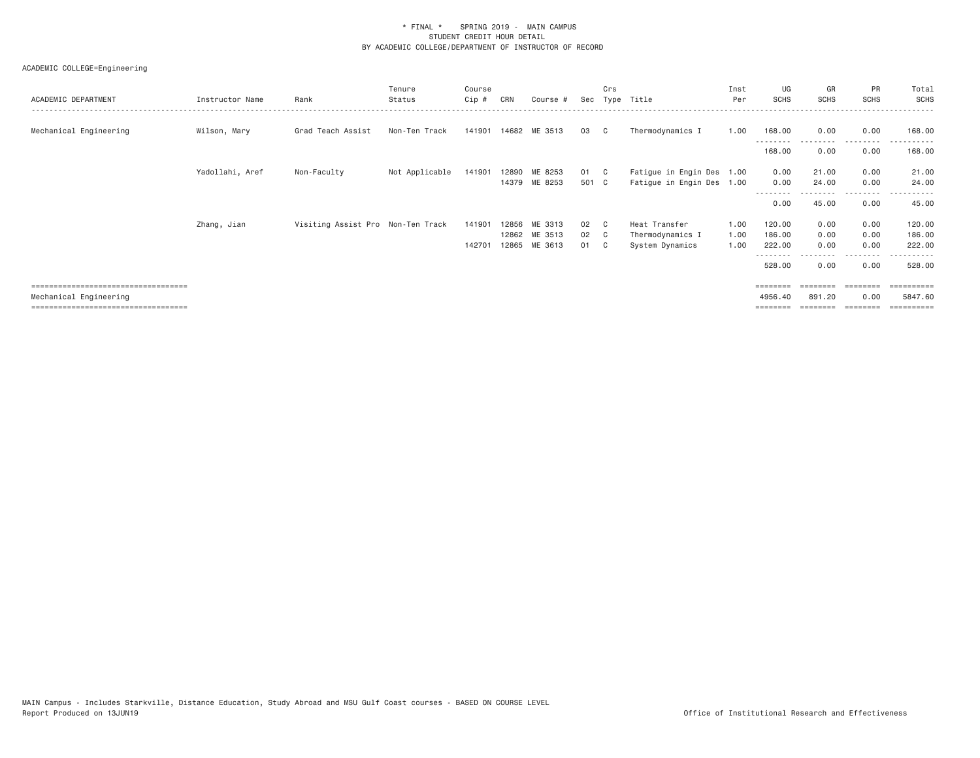| ACADEMIC DEPARTMENT                   | Instructor Name | Rank                              | Tenure<br>Status | Course<br>Cip # | CRN   | Course #      | Sec   | Crs            | Type Title                | Inst<br>Per | UG<br><b>SCHS</b>         | GR<br><b>SCHS</b> | PR<br>SCHS       | Total<br>SCHS         |
|---------------------------------------|-----------------|-----------------------------------|------------------|-----------------|-------|---------------|-------|----------------|---------------------------|-------------|---------------------------|-------------------|------------------|-----------------------|
| Mechanical Engineering                | Wilson, Mary    | Grad Teach Assist                 | Non-Ten Track    | 141901          |       | 14682 ME 3513 | 03    | $\mathbb{C}$   | Thermodynamics I          | 1.00        | 168.00                    | 0.00              | 0.00<br>.        | 168.00                |
|                                       |                 |                                   |                  |                 |       |               |       |                |                           |             | 168.00                    | 0.00              | 0.00             | 168.00                |
|                                       | Yadollahi, Aref | Non-Faculty                       | Not Applicable   | 141901          |       | 12890 ME 8253 | 01 C  |                | Fatigue in Engin Des 1.00 |             | 0.00                      | 21.00             | 0.00             | 21.00                 |
|                                       |                 |                                   |                  |                 |       | 14379 ME 8253 | 501 C |                | Fatigue in Engin Des 1.00 |             | 0.00<br>- - - - - - - -   | 24.00             | 0.00             | 24.00                 |
|                                       |                 |                                   |                  |                 |       |               |       |                |                           |             | 0.00                      | 45.00             | 0.00             | 45.00                 |
|                                       | Zhang, Jian     | Visiting Assist Pro Non-Ten Track |                  | 141901          | 12856 | ME 3313       | 02    | $\overline{c}$ | Heat Transfer             | 1.00        | 120.00                    | 0.00              | 0.00             | 120.00                |
|                                       |                 |                                   |                  |                 |       | 12862 ME 3513 | 02 C  |                | Thermodynamics I          | 1.00        | 186.00                    | 0.00              | 0.00             | 186.00                |
|                                       |                 |                                   |                  | 142701          |       | 12865 ME 3613 | 01    | $\mathbf{C}$   | System Dynamics           | 1.00        | 222.00                    | 0.00              | 0.00             | 222.00                |
|                                       |                 |                                   |                  |                 |       |               |       |                |                           |             | - - - - - - - -<br>528.00 | 0.00              | --------<br>0.00 | ------<br>528.00      |
| ===================================== |                 |                                   |                  |                 |       |               |       |                |                           |             | ========                  |                   | ========         | $=$ = = = = = = = = = |
| Mechanical Engineering                |                 |                                   |                  |                 |       |               |       |                |                           |             | 4956.40                   | 891.20            | 0.00             | 5847.60               |
| ===================================== |                 |                                   |                  |                 |       |               |       |                |                           |             |                           |                   |                  | --------              |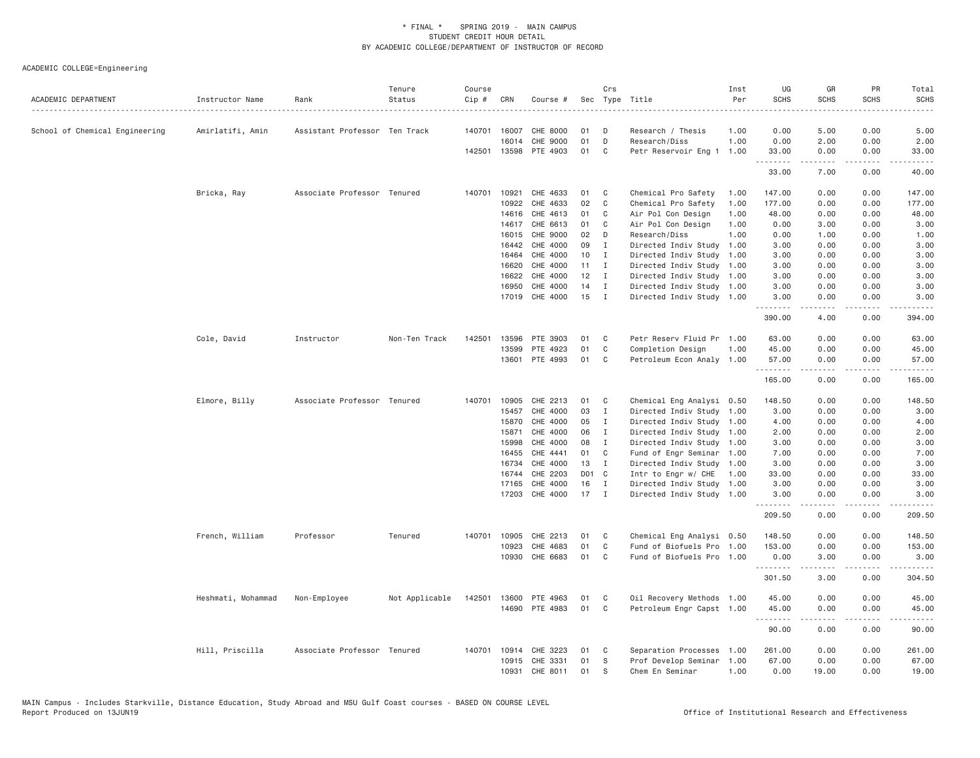| Cip #                                                                                                                                           |                           |                  |                                                                                                                                                              |                                     |                     |
|-------------------------------------------------------------------------------------------------------------------------------------------------|---------------------------|------------------|--------------------------------------------------------------------------------------------------------------------------------------------------------------|-------------------------------------|---------------------|
|                                                                                                                                                 |                           |                  |                                                                                                                                                              |                                     |                     |
| School of Chemical Engineering<br>Amirlatifi, Amin<br>Assistant Professor Ten Track<br>CHE 8000<br>Research / Thesis<br>140701 16007<br>01<br>D |                           | 1.00<br>0.00     | 5.00                                                                                                                                                         | 0.00                                | 5.00                |
| 16014<br>CHE 9000<br>01<br>D<br>Research/Diss                                                                                                   |                           | 1.00<br>0.00     | 2.00                                                                                                                                                         | 0.00                                | 2.00                |
| 142501 13598<br>PTE 4903<br>01<br>C                                                                                                             | Petr Reservoir Eng 1 1.00 | 33.00<br>.       | 0.00<br>$\frac{1}{2} \left( \frac{1}{2} \right) \left( \frac{1}{2} \right) \left( \frac{1}{2} \right) \left( \frac{1}{2} \right) \left( \frac{1}{2} \right)$ | 0.00<br>.                           | 33.00<br>.          |
|                                                                                                                                                 |                           | 33.00            | 7.00                                                                                                                                                         | 0.00                                | 40.00               |
| CHE 4633<br>Bricka, Ray<br>Associate Professor Tenured<br>140701<br>10921<br>01<br>Chemical Pro Safety<br>C                                     |                           | 147.00<br>1.00   | 0.00                                                                                                                                                         | 0.00                                | 147.00              |
| 02<br>10922<br>CHE 4633<br>C<br>Chemical Pro Safety                                                                                             |                           | 1.00<br>177.00   | 0.00                                                                                                                                                         | 0.00                                | 177.00              |
| 01<br>14616<br>CHE 4613<br>C<br>Air Pol Con Design                                                                                              |                           | 1.00<br>48.00    | 0.00                                                                                                                                                         | 0.00                                | 48.00               |
| CHE 6613<br>01<br>Air Pol Con Design<br>14617<br>C                                                                                              |                           | 1.00<br>0.00     | 3.00                                                                                                                                                         | 0.00                                | 3.00                |
| 16015<br>CHE 9000<br>02<br>Research/Diss<br>D                                                                                                   |                           | 1.00<br>0.00     | 1.00                                                                                                                                                         | 0.00                                | 1.00                |
| CHE 4000<br>09<br>16442<br>Ι.<br>Directed Indiv Study                                                                                           |                           | 3.00<br>1.00     | 0.00                                                                                                                                                         | 0.00                                | 3.00                |
| CHE 4000<br>10<br>$\mathbf{I}$<br>Directed Indiv Study<br>16464                                                                                 |                           | 3.00<br>1.00     | 0.00                                                                                                                                                         | 0.00                                | 3.00                |
| CHE 4000<br>11<br>16620<br>$\mathbf{I}$                                                                                                         | Directed Indiv Study 1.00 | 3.00             | 0.00                                                                                                                                                         | 0.00                                | 3.00                |
| 16622<br>CHE 4000<br>12<br>$\mathbf{I}$                                                                                                         | Directed Indiv Study 1.00 | 3.00             | 0.00                                                                                                                                                         | 0.00                                | 3.00                |
| CHE 4000<br>14<br>16950<br>I                                                                                                                    | Directed Indiv Study 1.00 | 3.00             | 0.00                                                                                                                                                         | 0.00                                | 3.00                |
| CHE 4000<br>15<br>17019<br>I                                                                                                                    | Directed Indiv Study 1.00 | 3.00<br>.        | 0.00                                                                                                                                                         | 0.00<br>$\sim$ $\sim$ $\sim$ $\sim$ | 3.00                |
|                                                                                                                                                 |                           | 390.00           | 4.00                                                                                                                                                         | 0.00                                | 394.00              |
| 13596<br>PTE 3903<br>01<br>Cole, David<br>Instructor<br>Non-Ten Track<br>142501<br>C                                                            | Petr Reserv Fluid Pr 1.00 | 63.00            | 0.00                                                                                                                                                         | 0.00                                | 63.00               |
| 01<br>C<br>13599<br>PTE 4923<br>Completion Design                                                                                               |                           | 1.00<br>45.00    | 0.00                                                                                                                                                         | 0.00                                | 45.00               |
| PTE 4993<br>01<br>13601<br>C<br>Petroleum Econ Analy                                                                                            |                           | 1.00<br>57.00    | 0.00                                                                                                                                                         | 0.00                                | 57.00               |
|                                                                                                                                                 |                           | .                | $- - - - - -$                                                                                                                                                | .                                   | .                   |
|                                                                                                                                                 |                           | 165.00           | 0.00                                                                                                                                                         | 0.00                                | 165.00              |
| Elmore, Billy<br>Associate Professor Tenured<br>10905<br>CHE 2213<br>140701<br>01<br>C                                                          | Chemical Eng Analysi 0.50 | 148.50           | 0.00                                                                                                                                                         | 0.00                                | 148.50              |
| 15457<br>CHE 4000<br>03<br>$\mathbf{I}$                                                                                                         | Directed Indiv Study 1.00 | 3.00             | 0.00                                                                                                                                                         | 0.00                                | 3.00                |
| 15870<br>CHE 4000<br>05<br>I                                                                                                                    | Directed Indiv Study 1.00 | 4.00             | 0.00                                                                                                                                                         | 0.00                                | 4.00                |
| CHE 4000<br>06<br>15871<br>I                                                                                                                    | Directed Indiv Study 1.00 | 2.00             | 0.00                                                                                                                                                         | 0.00                                | 2.00                |
| 15998<br>CHE 4000<br>08<br>Ι                                                                                                                    | Directed Indiv Study 1.00 | 3.00             | 0.00                                                                                                                                                         | 0.00                                | 3.00                |
| 16455<br>CHE 4441<br>01<br>C                                                                                                                    | Fund of Engr Seminar 1.00 | 7.00             | 0.00                                                                                                                                                         | 0.00                                | 7.00                |
| 13<br>16734<br>CHE 4000<br>$\mathbf{I}$                                                                                                         | Directed Indiv Study 1.00 | 3.00             | 0.00                                                                                                                                                         | 0.00                                | 3.00                |
| CHE 2203<br>D01 C<br>16744<br>Intr to Engr w/ CHE                                                                                               |                           | 1.00<br>33.00    | 0.00                                                                                                                                                         | 0.00                                | 33.00               |
| 16<br>17165<br>CHE 4000<br>Ι.                                                                                                                   | Directed Indiv Study 1.00 | 3.00             | 0.00                                                                                                                                                         | 0.00                                | 3.00                |
| CHE 4000<br>17<br>17203<br>$\mathbf{I}$                                                                                                         | Directed Indiv Study 1.00 | 3.00<br>.        | 0.00<br>.                                                                                                                                                    | 0.00<br>.                           | 3.00<br>.           |
|                                                                                                                                                 |                           | 209.50           | 0.00                                                                                                                                                         | 0.00                                | 209.50              |
| French, William<br>Professor<br>10905<br>CHE 2213<br>Tenured<br>140701<br>01<br>C                                                               | Chemical Eng Analysi 0.50 | 148.50           | 0.00                                                                                                                                                         | 0.00                                | 148.50              |
| 10923<br>CHE 4683<br>01<br>C<br>Fund of Biofuels Pro                                                                                            |                           | 153.00<br>1.00   | 0.00                                                                                                                                                         | 0.00                                | 153.00              |
| CHE 6683<br>01<br>C<br>10930                                                                                                                    | Fund of Biofuels Pro 1.00 | 0.00             | 3.00                                                                                                                                                         | 0.00                                | 3.00                |
|                                                                                                                                                 |                           | .<br>301.50      | .<br>3.00                                                                                                                                                    | .<br>0.00                           | 2.2.2.2.2<br>304.50 |
| Heshmati, Mohammad<br>Not Applicable<br>142501<br>13600<br>PTE 4963<br>01<br>Non-Employee<br>C                                                  | Oil Recovery Methods 1.00 | 45.00            | 0.00                                                                                                                                                         | 0.00                                | 45.00               |
| 01<br>C<br>14690 PTE 4983                                                                                                                       | Petroleum Engr Capst 1.00 | 45.00            | 0.00                                                                                                                                                         | 0.00                                | 45.00               |
|                                                                                                                                                 |                           | <b></b><br>90.00 | 0.00                                                                                                                                                         | 0.00                                | 90.00               |
| Hill, Priscilla<br>Associate Professor Tenured<br>140701 10914 CHE 3223<br>01<br>C                                                              | Separation Processes 1.00 | 261.00           | 0.00                                                                                                                                                         | 0.00                                | 261.00              |
| 10915<br>CHE 3331<br>01<br>-S<br>Prof Develop Seminar                                                                                           |                           | 1.00<br>67.00    | 0.00                                                                                                                                                         | 0.00                                | 67.00               |
| 10931<br>CHE 8011<br>01<br>S<br>Chem En Seminar                                                                                                 |                           | 1.00<br>0.00     | 19.00                                                                                                                                                        | 0.00                                | 19.00               |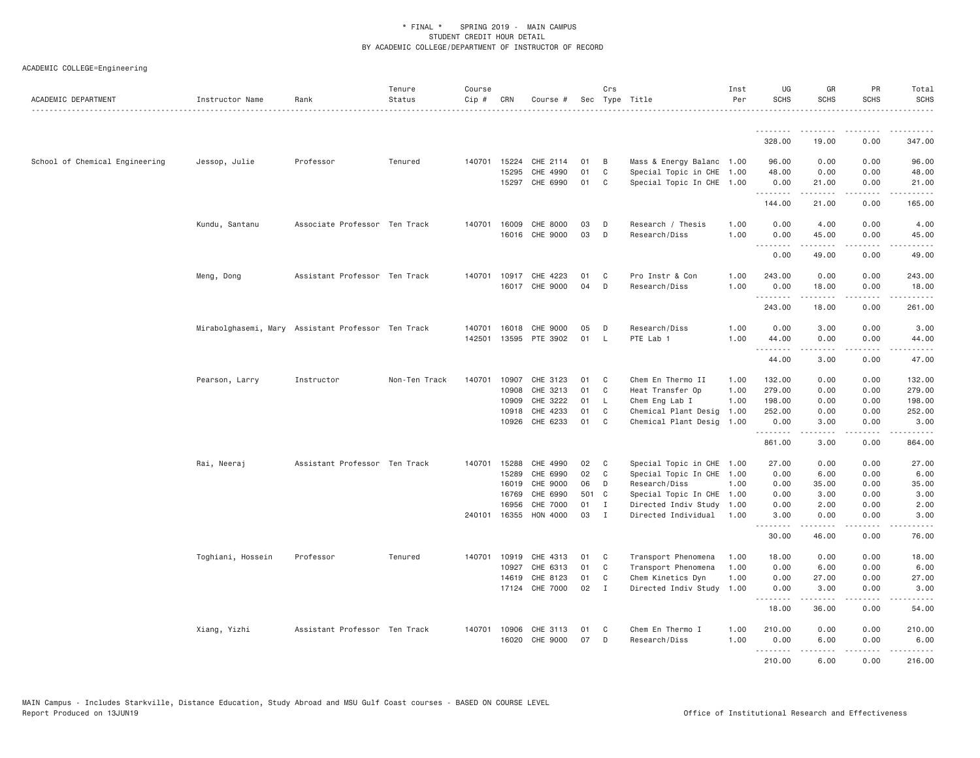| ACADEMIC DEPARTMENT            | Instructor Name   | Rank                                               | Tenure<br>Status | Course<br>Cip # | CRN   | Course #              |     | Crs          | Sec Type Title            | Inst<br>Per | UG<br>SCHS | GR<br><b>SCHS</b>                                                                                                                                            | PR<br><b>SCHS</b>                   | Total<br><b>SCHS</b>                        |
|--------------------------------|-------------------|----------------------------------------------------|------------------|-----------------|-------|-----------------------|-----|--------------|---------------------------|-------------|------------|--------------------------------------------------------------------------------------------------------------------------------------------------------------|-------------------------------------|---------------------------------------------|
|                                |                   |                                                    |                  |                 |       |                       |     |              |                           |             | ---------  | <u>.</u>                                                                                                                                                     |                                     |                                             |
|                                |                   |                                                    |                  |                 |       |                       |     |              |                           |             | 328.00     | 19.00                                                                                                                                                        | 0.00                                | 347.00                                      |
| School of Chemical Engineering | Jessop, Julie     | Professor                                          | Tenured          | 140701          | 15224 | CHE 2114              | 01  | B            | Mass & Energy Balanc 1.00 |             | 96.00      | 0.00                                                                                                                                                         | 0.00                                | 96.00                                       |
|                                |                   |                                                    |                  |                 | 15295 | CHE 4990              | 01  | C            | Special Topic in CHE 1.00 |             | 48.00      | 0.00                                                                                                                                                         | 0.00                                | 48.00                                       |
|                                |                   |                                                    |                  |                 | 15297 | CHE 6990              | 01  | C            | Special Topic In CHE 1.00 |             | 0.00<br>.  | 21.00<br>.                                                                                                                                                   | 0.00<br>.                           | 21.00<br>.                                  |
|                                |                   |                                                    |                  |                 |       |                       |     |              |                           |             | 144.00     | 21.00                                                                                                                                                        | 0.00                                | 165.00                                      |
|                                | Kundu, Santanu    | Associate Professor Ten Track                      |                  | 140701          | 16009 | CHE 8000              | 03  | D            | Research / Thesis         | 1.00        | 0.00       | 4.00                                                                                                                                                         | 0.00                                | 4.00                                        |
|                                |                   |                                                    |                  |                 |       | 16016 CHE 9000        | 03  | D            | Research/Diss             | 1.00        | 0.00       | 45.00                                                                                                                                                        | 0.00                                | 45.00                                       |
|                                |                   |                                                    |                  |                 |       |                       |     |              |                           |             | .<br>0.00  | المتمامين<br>49.00                                                                                                                                           | $\sim$ $\sim$ $\sim$ $\sim$<br>0.00 | $\sim$ $\sim$ $\sim$ $\sim$ $\sim$<br>49.00 |
|                                | Meng, Dong        | Assistant Professor Ten Track                      |                  | 140701          |       | 10917 CHE 4223        | 01  | C            | Pro Instr & Con           | 1.00        | 243.00     | 0.00                                                                                                                                                         | 0.00                                | 243.00                                      |
|                                |                   |                                                    |                  |                 |       | 16017 CHE 9000        | 04  | D            | Research/Diss             | 1.00        | 0.00       | 18.00                                                                                                                                                        | 0.00                                | 18.00                                       |
|                                |                   |                                                    |                  |                 |       |                       |     |              |                           |             | .          | $- - - - -$                                                                                                                                                  | $- - - -$                           | .                                           |
|                                |                   |                                                    |                  |                 |       |                       |     |              |                           |             | 243.00     | 18.00                                                                                                                                                        | 0.00                                | 261.00                                      |
|                                |                   | Mirabolghasemi, Mary Assistant Professor Ten Track |                  | 140701          |       | 16018 CHE 9000        | 05  | D            | Research/Diss             | 1.00        | 0.00       | 3.00                                                                                                                                                         | 0.00                                | 3.00                                        |
|                                |                   |                                                    |                  | 142501          |       | 13595 PTE 3902        | 01  | <b>L</b>     | PTE Lab 1                 | 1,00        | 44.00      | 0.00                                                                                                                                                         | 0.00                                | 44.00                                       |
|                                |                   |                                                    |                  |                 |       |                       |     |              |                           |             | .<br>44.00 | .<br>3.00                                                                                                                                                    | .<br>0.00                           | .<br>47.00                                  |
|                                | Pearson, Larry    | Instructor                                         | Non-Ten Track    | 140701          | 10907 | CHE 3123              | 01  | C            | Chem En Thermo II         | 1.00        | 132.00     | 0.00                                                                                                                                                         | 0.00                                | 132.00                                      |
|                                |                   |                                                    |                  |                 |       | 10908 CHE 3213        | 01  | $\mathbf{C}$ | Heat Transfer Op          | 1.00        | 279.00     | 0.00                                                                                                                                                         | 0.00                                | 279.00                                      |
|                                |                   |                                                    |                  |                 | 10909 | CHE 3222              | 01  | L.           | Chem Eng Lab I            | 1.00        | 198.00     | 0.00                                                                                                                                                         | 0.00                                | 198.00                                      |
|                                |                   |                                                    |                  |                 | 10918 | CHE 4233              | 01  | C            | Chemical Plant Desig      | 1.00        | 252.00     | 0.00                                                                                                                                                         | 0.00                                | 252.00                                      |
|                                |                   |                                                    |                  |                 |       | 10926 CHE 6233        | 01  | C            | Chemical Plant Desig 1.00 |             | 0.00<br>.  | 3.00<br>$\frac{1}{2} \left( \frac{1}{2} \right) \left( \frac{1}{2} \right) \left( \frac{1}{2} \right) \left( \frac{1}{2} \right) \left( \frac{1}{2} \right)$ | 0.00<br>.                           | 3.00<br>.                                   |
|                                |                   |                                                    |                  |                 |       |                       |     |              |                           |             | 861.00     | 3.00                                                                                                                                                         | 0.00                                | 864.00                                      |
|                                | Rai, Neeraj       | Assistant Professor Ten Track                      |                  | 140701          | 15288 | CHE 4990              | 02  | C            | Special Topic in CHE 1.00 |             | 27.00      | 0.00                                                                                                                                                         | 0.00                                | 27.00                                       |
|                                |                   |                                                    |                  |                 | 15289 | CHE 6990              | 02  | C            | Special Topic In CHE 1.00 |             | 0.00       | 6.00                                                                                                                                                         | 0.00                                | 6.00                                        |
|                                |                   |                                                    |                  |                 | 16019 | CHE 9000              | 06  | D            | Research/Diss             | 1.00        | 0.00       | 35.00                                                                                                                                                        | 0.00                                | 35.00                                       |
|                                |                   |                                                    |                  |                 | 16769 | CHE 6990              | 501 | $\mathbf{C}$ | Special Topic In CHE 1.00 |             | 0.00       | 3.00                                                                                                                                                         | 0.00                                | 3.00                                        |
|                                |                   |                                                    |                  |                 | 16956 | CHE 7000              | 01  | I            | Directed Indiv Study 1.00 |             | 0.00       | 2.00                                                                                                                                                         | 0.00                                | 2,00                                        |
|                                |                   |                                                    |                  |                 |       | 240101 16355 HON 4000 | 03  | $\mathbf{I}$ | Directed Individual 1.00  |             | 3.00<br>.  | 0.00<br>$- - - - -$                                                                                                                                          | 0.00<br>.                           | 3,00<br>$\frac{1}{2}$                       |
|                                |                   |                                                    |                  |                 |       |                       |     |              |                           |             | 30.00      | 46.00                                                                                                                                                        | 0.00                                | 76.00                                       |
|                                | Toghiani, Hossein | Professor                                          | Tenured          | 140701          | 10919 | CHE 4313              | 01  | C            | Transport Phenomena       | 1.00        | 18.00      | 0.00                                                                                                                                                         | 0.00                                | 18.00                                       |
|                                |                   |                                                    |                  |                 | 10927 | CHE 6313              | 01  | C            | Transport Phenomena       | 1.00        | 0.00       | 6.00                                                                                                                                                         | 0.00                                | 6.00                                        |
|                                |                   |                                                    |                  |                 | 14619 | CHE 8123              | 01  | C            | Chem Kinetics Dyn         | 1.00        | 0.00       | 27.00                                                                                                                                                        | 0.00                                | 27.00                                       |
|                                |                   |                                                    |                  |                 |       | 17124 CHE 7000        | 02  | $\mathbf{I}$ | Directed Indiv Study 1.00 |             | 0.00<br>.  | 3.00<br>.                                                                                                                                                    | 0.00<br>$\frac{1}{2}$               | 3.00<br>$\frac{1}{2}$                       |
|                                |                   |                                                    |                  |                 |       |                       |     |              |                           |             | 18.00      | 36.00                                                                                                                                                        | 0.00                                | 54.00                                       |
|                                | Xiang, Yizhi      | Assistant Professor Ten Track                      |                  | 140701          | 10906 | CHE 3113              | 01  | C            | Chem En Thermo I          | 1.00        | 210.00     | 0.00                                                                                                                                                         | 0.00                                | 210.00                                      |
|                                |                   |                                                    |                  |                 |       | 16020 CHE 9000        | 07  | D            | Research/Diss             | 1.00        | 0.00       | 6.00                                                                                                                                                         | 0.00                                | 6.00                                        |
|                                |                   |                                                    |                  |                 |       |                       |     |              |                           |             | --------   | <b>.</b>                                                                                                                                                     | .                                   | .                                           |
|                                |                   |                                                    |                  |                 |       |                       |     |              |                           |             | 210.00     | 6,00                                                                                                                                                         | 0.00                                | 216.00                                      |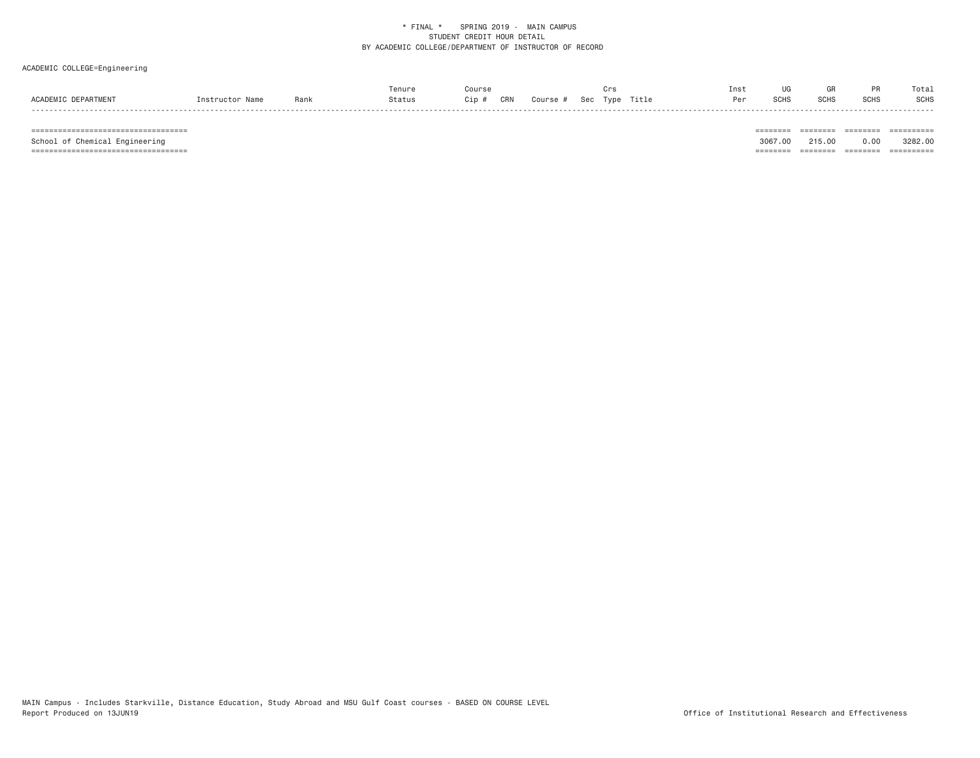# ACADEMIC COLLEGE=Engineering

|                     |                 |      | Tenure |    |     |        |     |      |       | Inst |             |             |             | Total |
|---------------------|-----------------|------|--------|----|-----|--------|-----|------|-------|------|-------------|-------------|-------------|-------|
| ACADEMIC DEPARTMENT | Instructor Name | Rank | status | üp | CRN | Course | Sec | Tvpe | Title | Per  | <b>SCHS</b> | <b>SCHS</b> | <b>SCHS</b> | SCHS  |
|                     |                 |      |        |    |     |        |     |      |       |      |             |             |             |       |

 =================================== ======== ======== ======== ========== School of Chemical Engineering 3067.00 215.00 0.00 3282.00 =================================== ======== ======== ======== ==========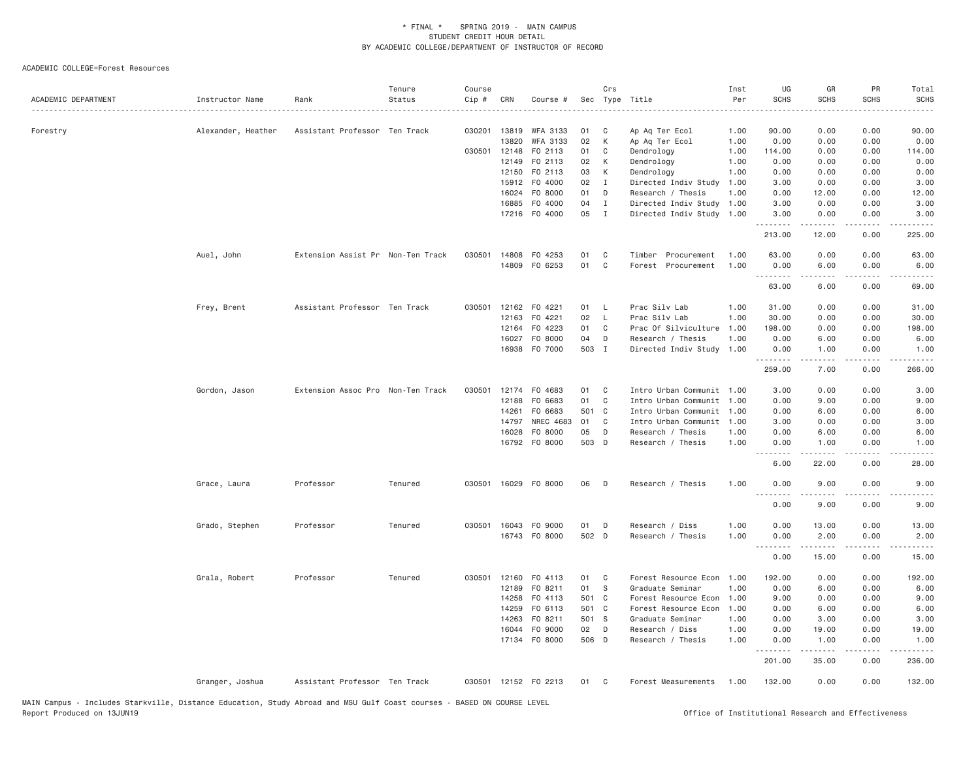| ACADEMIC DEPARTMENT | Instructor Name    | Rank                              | Tenure<br>Status | Course<br>Cip # | CRN          | Course #             |       | Crs            | Sec Type Title            | Inst<br>Per | UG<br><b>SCHS</b> | GR<br><b>SCHS</b>   | PR<br>SCHS                          | Total<br><b>SCHS</b>                                                                                                                                         |
|---------------------|--------------------|-----------------------------------|------------------|-----------------|--------------|----------------------|-------|----------------|---------------------------|-------------|-------------------|---------------------|-------------------------------------|--------------------------------------------------------------------------------------------------------------------------------------------------------------|
| Forestry            | Alexander, Heather | Assistant Professor Ten Track     |                  | 030201          | 13819        | <b>WFA 3133</b>      | 01    | C              | Ap Aq Ter Ecol            | 1.00        | 90.00             | 0.00                | 0.00                                | 90.00                                                                                                                                                        |
|                     |                    |                                   |                  |                 | 13820        | WFA 3133             | 02    | К              | Ap Aq Ter Ecol            | 1.00        | 0.00              | 0.00                | 0.00                                | 0.00                                                                                                                                                         |
|                     |                    |                                   |                  |                 | 030501 12148 | F0 2113              | 01    | C              | Dendrology                | 1.00        | 114.00            | 0.00                | 0.00                                | 114.00                                                                                                                                                       |
|                     |                    |                                   |                  |                 | 12149        | F0 2113              | 02    | К              | Dendrology                | 1.00        | 0.00              | 0.00                | 0.00                                | 0.00                                                                                                                                                         |
|                     |                    |                                   |                  |                 | 12150        | F0 2113              | 03    | К              | Dendrology                | 1.00        | 0.00              | 0.00                | 0.00                                | 0.00                                                                                                                                                         |
|                     |                    |                                   |                  |                 | 15912        | F0 4000              | 02    | $\mathbf{I}$   | Directed Indiv Study      | 1.00        | 3.00              | 0.00                | 0.00                                | 3.00                                                                                                                                                         |
|                     |                    |                                   |                  |                 | 16024        | F0 8000              | 01    | D              | Research / Thesis         | 1.00        | 0.00              | 12.00               | 0.00                                | 12.00                                                                                                                                                        |
|                     |                    |                                   |                  |                 | 16885        | F0 4000              | 04    | $\mathbf{I}$   | Directed Indiv Study 1.00 |             | 3.00              | 0.00                | 0.00                                | 3.00                                                                                                                                                         |
|                     |                    |                                   |                  |                 | 17216        | F0 4000              | 05    | $\mathbf{I}$   | Directed Indiv Study 1.00 |             | 3.00<br>.         | 0.00<br>$- - - - -$ | 0.00<br>.                           | 3.00<br>.                                                                                                                                                    |
|                     |                    |                                   |                  |                 |              |                      |       |                |                           |             | 213.00            | 12.00               | 0.00                                | 225.00                                                                                                                                                       |
|                     | Auel, John         | Extension Assist Pr Non-Ten Track |                  | 030501          | 14808        | F0 4253              | 01    | C              | Timber<br>Procurement     | 1.00        | 63.00             | 0.00                | 0.00                                | 63.00                                                                                                                                                        |
|                     |                    |                                   |                  |                 |              | 14809 F0 6253        | 01    | C              | Forest Procurement        | 1.00        | 0.00<br>.         | 6.00                | 0.00<br>$\sim$ $\sim$ $\sim$ $\sim$ | 6.00                                                                                                                                                         |
|                     |                    |                                   |                  |                 |              |                      |       |                |                           |             | 63.00             | 6.00                | 0.00                                | 69.00                                                                                                                                                        |
|                     | Frey, Brent        | Assistant Professor Ten Track     |                  |                 |              | 030501 12162 F0 4221 | 01    | - L            | Prac Silv Lab             | 1.00        | 31.00             | 0.00                | 0.00                                | 31.00                                                                                                                                                        |
|                     |                    |                                   |                  |                 | 12163        | F0 4221              | 02    | $\mathsf{L}$   | Prac Silv Lab             | 1.00        | 30.00             | 0.00                | 0.00                                | 30.00                                                                                                                                                        |
|                     |                    |                                   |                  |                 | 12164        | F0 4223              | 01    | C <sub>1</sub> | Prac Of Silviculture      | 1.00        | 198.00            | 0.00                | 0.00                                | 198.00                                                                                                                                                       |
|                     |                    |                                   |                  |                 | 16027        | F0 8000              | 04    | D              | Research / Thesis         | 1.00        | 0.00              | 6.00                | 0.00                                | 6.00                                                                                                                                                         |
|                     |                    |                                   |                  |                 |              | 16938 F0 7000        | 503 I |                | Directed Indiv Study 1.00 |             | 0.00<br><u>.</u>  | 1.00<br>.           | 0.00<br>.                           | 1.00<br>$\frac{1}{2} \left( \frac{1}{2} \right) \left( \frac{1}{2} \right) \left( \frac{1}{2} \right) \left( \frac{1}{2} \right) \left( \frac{1}{2} \right)$ |
|                     |                    |                                   |                  |                 |              |                      |       |                |                           |             | 259.00            | 7.00                | 0.00                                | 266.00                                                                                                                                                       |
|                     | Gordon, Jason      | Extension Assoc Pro Non-Ten Track |                  | 030501          |              | 12174 FO 4683        | 01    | C              | Intro Urban Communit 1.00 |             | 3.00              | 0.00                | 0.00                                | 3.00                                                                                                                                                         |
|                     |                    |                                   |                  |                 | 12188        | F0 6683              | 01    | C              | Intro Urban Communit      | 1.00        | 0.00              | 9.00                | 0.00                                | 9.00                                                                                                                                                         |
|                     |                    |                                   |                  |                 | 14261        | F0 6683              | 501 C |                | Intro Urban Communit      | 1.00        | 0.00              | 6.00                | 0.00                                | 6.00                                                                                                                                                         |
|                     |                    |                                   |                  |                 | 14797        | NREC 4683            | 01    | C              | Intro Urban Communit      | 1.00        | 3,00              | 0.00                | 0.00                                | 3.00                                                                                                                                                         |
|                     |                    |                                   |                  |                 | 16028        | F0 8000              | 05    | D              | Research / Thesis         | 1,00        | 0.00              | 6.00                | 0.00                                | 6.00                                                                                                                                                         |
|                     |                    |                                   |                  |                 | 16792        | F0 8000              | 503 D |                | Research / Thesis         | 1,00        | 0.00<br>.         | 1.00                | 0.00                                | 1.00                                                                                                                                                         |
|                     |                    |                                   |                  |                 |              |                      |       |                |                           |             | 6.00              | 22.00               | 0.00                                | 28.00                                                                                                                                                        |
|                     | Grace, Laura       | Professor                         | Tenured          |                 |              | 030501 16029 F0 8000 | 06    | D              | Research / Thesis         | 1.00        | 0.00<br><u>.</u>  | 9.00                | 0.00                                | 9.00                                                                                                                                                         |
|                     |                    |                                   |                  |                 |              |                      |       |                |                           |             | 0.00              | 9.00                | 0.00                                | 9.00                                                                                                                                                         |
|                     | Grado, Stephen     | Professor                         | Tenured          |                 | 030501 16043 | F0 9000              | 01    | D              | Research / Diss           | 1.00        | 0.00              | 13.00               | 0.00                                | 13.00                                                                                                                                                        |
|                     |                    |                                   |                  |                 |              | 16743 FO 8000        | 502 D |                | Research / Thesis         | 1.00        | 0.00<br>.         | 2.00<br>$- - - - -$ | 0.00<br>$  -$                       | 2.00                                                                                                                                                         |
|                     |                    |                                   |                  |                 |              |                      |       |                |                           |             | 0.00              | 15.00               | 0.00                                | 15.00                                                                                                                                                        |
|                     | Grala, Robert      | Professor                         | Tenured          |                 |              | 030501 12160 F0 4113 | 01    | C <sub>1</sub> | Forest Resource Econ      | 1.00        | 192.00            | 0.00                | 0.00                                | 192.00                                                                                                                                                       |
|                     |                    |                                   |                  |                 | 12189        | FO 8211              | 01    | S              | Graduate Seminar          | 1,00        | 0.00              | 6.00                | 0.00                                | 6.00                                                                                                                                                         |
|                     |                    |                                   |                  |                 | 14258        | F0 4113              | 501 C |                | Forest Resource Econ      | 1.00        | 9.00              | 0.00                | 0.00                                | 9.00                                                                                                                                                         |
|                     |                    |                                   |                  |                 | 14259        | F0 6113              | 501 C |                | Forest Resource Econ      | 1.00        | 0.00              | 6.00                | 0.00                                | 6.00                                                                                                                                                         |
|                     |                    |                                   |                  |                 | 14263        | F0 8211              | 501 S |                | Graduate Seminar          | 1.00        | 0.00              | 3.00                | 0.00                                | 3.00                                                                                                                                                         |
|                     |                    |                                   |                  |                 | 16044        | F0 9000              | 02    | D              | Research / Diss           | 1.00        | 0.00              | 19.00               | 0.00                                | 19.00                                                                                                                                                        |
|                     |                    |                                   |                  |                 | 17134        | F0 8000              | 506 D |                | Research / Thesis         | 1.00        | 0.00<br><u>.</u>  | 1.00<br>$- - - - -$ | 0.00                                | 1.00<br>.                                                                                                                                                    |
|                     |                    |                                   |                  |                 |              |                      |       |                |                           |             | 201.00            | 35.00               | 0.00                                | 236.00                                                                                                                                                       |
|                     | Granger, Joshua    | Assistant Professor Ten Track     |                  |                 |              | 030501 12152 F0 2213 | 01    | C.             | Forest Measurements       | 1.00        | 132.00            | 0.00                | 0.00                                | 132.00                                                                                                                                                       |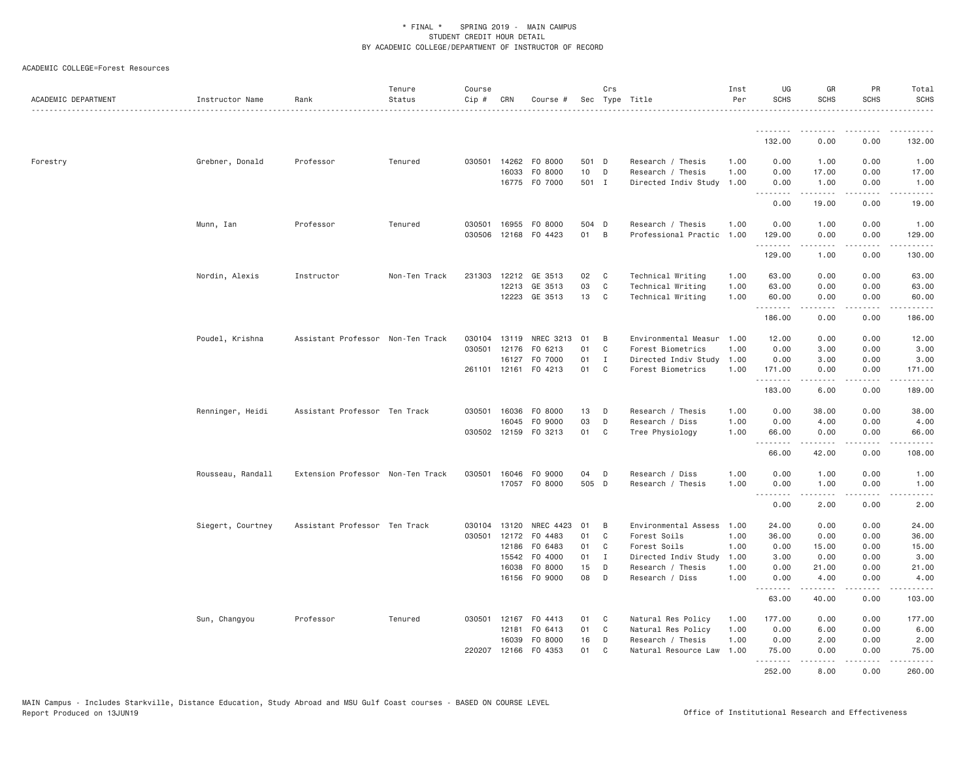| ACADEMIC DEPARTMENT | Instructor Name   | Rank                              | Tenure<br>Status | Course<br>Cip # | CRN   | Course #                              |             | Crs          | Sec Type Title                       | Inst<br>Per  | UG<br><b>SCHS</b>              | GR<br><b>SCHS</b>                                                                                                                                            | <b>PR</b><br><b>SCHS</b> | Total<br><b>SCHS</b><br>. <u>.</u> . |
|---------------------|-------------------|-----------------------------------|------------------|-----------------|-------|---------------------------------------|-------------|--------------|--------------------------------------|--------------|--------------------------------|--------------------------------------------------------------------------------------------------------------------------------------------------------------|--------------------------|--------------------------------------|
|                     |                   |                                   |                  |                 |       |                                       |             |              |                                      |              | <b></b>                        | <u>.</u>                                                                                                                                                     | $- - - - -$              | $- - - - - - -$                      |
|                     |                   |                                   |                  |                 |       |                                       |             |              |                                      |              | 132.00                         | 0.00                                                                                                                                                         | 0.00                     | 132.00                               |
| Forestry            | Grebner, Donald   | Professor                         | Tenured          | 030501          |       | 14262 F0 8000                         | 501 D       |              | Research / Thesis                    | 1.00         | 0.00                           | 1.00                                                                                                                                                         | 0.00                     | 1.00                                 |
|                     |                   |                                   |                  |                 | 16033 | F0 8000                               | 10          | D            | Research / Thesis                    | 1.00         | 0.00                           | 17.00                                                                                                                                                        | 0.00                     | 17.00                                |
|                     |                   |                                   |                  |                 |       | 16775 F0 7000                         | 501 I       |              | Directed Indiv Study                 | 1.00         | 0.00<br>.                      | 1.00<br>.                                                                                                                                                    | 0.00<br>-----            | 1.00<br>.                            |
|                     |                   |                                   |                  |                 |       |                                       |             |              |                                      |              | 0.00                           | 19.00                                                                                                                                                        | 0.00                     | 19.00                                |
|                     | Munn, Ian         | Professor                         | Tenured          | 030501          | 16955 | F0 8000                               | 504 D       |              | Research / Thesis                    | 1.00         | 0.00                           | 1.00                                                                                                                                                         | 0.00                     | 1.00                                 |
|                     |                   |                                   |                  | 030506          |       | 12168 FO 4423                         | 01          | B            | Professional Practic 1.00            |              | 129.00                         | 0.00                                                                                                                                                         | 0.00                     | 129.00                               |
|                     |                   |                                   |                  |                 |       |                                       |             |              |                                      |              | .<br>129.00                    | $\frac{1}{2} \left( \frac{1}{2} \right) \left( \frac{1}{2} \right) \left( \frac{1}{2} \right) \left( \frac{1}{2} \right) \left( \frac{1}{2} \right)$<br>1.00 | .<br>0.00                | 130.00                               |
|                     | Nordin, Alexis    | Instructor                        | Non-Ten Track    | 231303          | 12212 | GE 3513                               | 02          | C            | Technical Writing                    | 1.00         | 63.00                          | 0.00                                                                                                                                                         | 0.00                     | 63.00                                |
|                     |                   |                                   |                  |                 |       | 12213 GE 3513                         | 03          | C            | Technical Writing                    | 1.00         | 63.00                          | 0.00                                                                                                                                                         | 0.00                     | 63.00                                |
|                     |                   |                                   |                  |                 |       | 12223 GE 3513                         | 13          | C            | Technical Writing                    | 1.00         | 60.00                          | 0.00                                                                                                                                                         | 0.00                     | 60.00                                |
|                     |                   |                                   |                  |                 |       |                                       |             |              |                                      |              | .<br>186.00                    | .<br>0.00                                                                                                                                                    | .<br>0.00                | .<br>186.00                          |
|                     | Poudel, Krishna   | Assistant Professor Non-Ten Track |                  | 030104          | 13119 | NREC 3213                             | 01          | B            | Environmental Measur                 | 1.00         | 12.00                          | 0.00                                                                                                                                                         | 0.00                     | 12.00                                |
|                     |                   |                                   |                  | 030501          | 12176 | F0 6213                               | 01          | C            | Forest Biometrics                    | 1.00         | 0.00                           | 3.00                                                                                                                                                         | 0.00                     | 3.00                                 |
|                     |                   |                                   |                  |                 | 16127 | F0 7000                               | 01          | $\mathbf I$  | Directed Indiv Study                 | 1.00         | 0.00                           | 3.00                                                                                                                                                         | 0.00                     | 3.00                                 |
|                     |                   |                                   |                  |                 |       | 261101 12161 FO 4213                  | 01          | $\mathbf{C}$ | Forest Biometrics                    | 1.00         | 171.00                         | 0.00                                                                                                                                                         | 0.00                     | 171.00                               |
|                     |                   |                                   |                  |                 |       |                                       |             |              |                                      |              | .<br>183.00                    | -----<br>6.00                                                                                                                                                | .<br>0.00                | .<br>189.00                          |
|                     | Renninger, Heidi  | Assistant Professor Ten Track     |                  |                 |       | 030501 16036 FO 8000                  | 13          | D            | Research / Thesis                    | 1.00         | 0.00                           | 38.00                                                                                                                                                        | 0.00                     | 38.00                                |
|                     |                   |                                   |                  |                 | 16045 | F0 9000                               | 03          | D            | Research / Diss                      | 1.00         | 0.00                           | 4.00                                                                                                                                                         | 0.00                     | 4.00                                 |
|                     |                   |                                   |                  |                 |       | 030502 12159 F0 3213                  | 01          | C            | Tree Physiology                      | 1.00         | 66.00                          | 0.00                                                                                                                                                         | 0.00                     | 66.00                                |
|                     |                   |                                   |                  |                 |       |                                       |             |              |                                      |              | <b><i><u></u></i></b><br>66.00 | .<br>42.00                                                                                                                                                   | .<br>0.00                | .<br>108.00                          |
|                     |                   |                                   |                  |                 |       |                                       |             |              |                                      |              |                                |                                                                                                                                                              |                          |                                      |
|                     | Rousseau, Randall | Extension Professor Non-Ten Track |                  |                 |       | 030501 16046 FO 9000<br>17057 FO 8000 | 04<br>505 D | D            | Research / Diss<br>Research / Thesis | 1.00<br>1.00 | 0.00<br>0.00                   | 1.00<br>1.00                                                                                                                                                 | 0.00<br>0.00             | 1.00<br>1.00                         |
|                     |                   |                                   |                  |                 |       |                                       |             |              |                                      |              | .<br>0.00                      | $- - - - - -$<br>2.00                                                                                                                                        | .<br>0.00                | $   -$<br>2.00                       |
|                     |                   |                                   |                  |                 |       |                                       |             |              |                                      |              |                                |                                                                                                                                                              |                          |                                      |
|                     | Siegert, Courtney | Assistant Professor Ten Track     |                  | 030104          | 13120 | NREC 4423                             | 01          | B            | Environmental Assess                 | 1.00         | 24.00                          | 0.00                                                                                                                                                         | 0.00                     | 24.00                                |
|                     |                   |                                   |                  | 030501          | 12172 | F0 4483                               | 01          | C            | Forest Soils                         | 1.00         | 36.00                          | 0.00                                                                                                                                                         | 0.00                     | 36.00                                |
|                     |                   |                                   |                  |                 |       | 12186 FO 6483                         | 01          | C            | Forest Soils                         | 1.00         | 0.00                           | 15.00                                                                                                                                                        | 0.00                     | 15.00                                |
|                     |                   |                                   |                  |                 | 15542 | F0 4000                               | 01          | $\mathbf I$  | Directed Indiv Study                 | 1.00         | 3.00                           | 0.00                                                                                                                                                         | 0.00                     | 3.00                                 |
|                     |                   |                                   |                  |                 | 16038 | F0 8000                               | 15          | D            | Research / Thesis                    | 1.00         | 0.00                           | 21.00                                                                                                                                                        | 0.00                     | 21.00                                |
|                     |                   |                                   |                  |                 |       | 16156 FO 9000                         | 08          | D            | Research / Diss                      | 1.00         | 0.00<br>.                      | 4.00<br><u>.</u>                                                                                                                                             | 0.00<br>.                | 4.00<br>.                            |
|                     |                   |                                   |                  |                 |       |                                       |             |              |                                      |              | 63.00                          | 40.00                                                                                                                                                        | 0.00                     | 103.00                               |
|                     | Sun, Changyou     | Professor                         | Tenured          | 030501          |       | 12167 FO 4413                         | 01          | C            | Natural Res Policy                   | 1.00         | 177.00                         | 0.00                                                                                                                                                         | 0.00                     | 177.00                               |
|                     |                   |                                   |                  |                 | 12181 | FO 6413                               | 01          | C            | Natural Res Policy                   | 1.00         | 0.00                           | 6.00                                                                                                                                                         | 0.00                     | 6.00                                 |
|                     |                   |                                   |                  |                 | 16039 | F0 8000                               | 16          | D            | Research / Thesis                    | 1.00         | 0.00                           | 2.00                                                                                                                                                         | 0.00                     | 2.00                                 |
|                     |                   |                                   |                  | 220207          | 12166 | F0 4353                               | 01          | C            | Natural Resource Law                 | 1.00         | 75.00                          | 0.00                                                                                                                                                         | 0.00                     | 75.00                                |
|                     |                   |                                   |                  |                 |       |                                       |             |              |                                      |              | .<br>252.00                    | .<br>8,00                                                                                                                                                    | .<br>0.00                | .<br>260.00                          |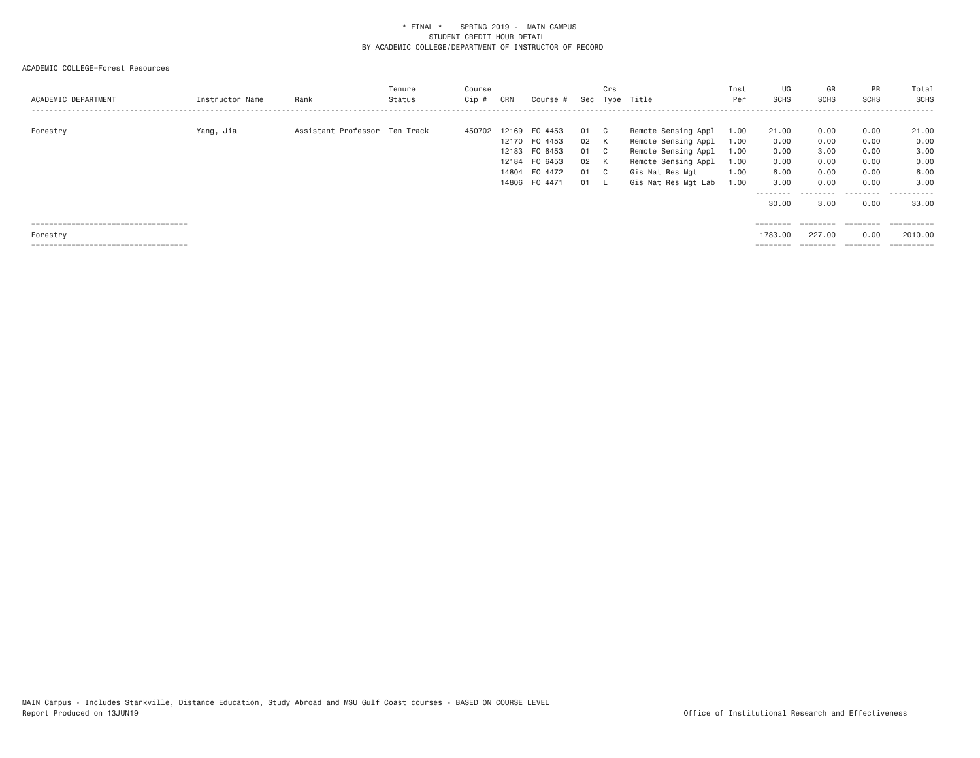| ACADEMIC DEPARTMENT                   | Instructor Name | Rank                          | Tenure<br>Status | Course<br>Cip # | CRN            | Course #                                                                               |                                    | Crs                                     | Sec Type Title                                                                                                                     | Inst<br>Per                                  | UG<br>SCHS                                                 | GR<br><b>SCHS</b>                                 | <b>PR</b><br><b>SCHS</b>                          | Total<br>SCHS<br>- - - - - -                       |
|---------------------------------------|-----------------|-------------------------------|------------------|-----------------|----------------|----------------------------------------------------------------------------------------|------------------------------------|-----------------------------------------|------------------------------------------------------------------------------------------------------------------------------------|----------------------------------------------|------------------------------------------------------------|---------------------------------------------------|---------------------------------------------------|----------------------------------------------------|
| Forestry                              | Yang, Jia       | Assistant Professor Ten Track |                  | 450702          | 12169<br>12184 | FO 4453<br>12170 FO 4453<br>12183 FO 6453<br>FO 6453<br>14804 F0 4472<br>14806 FO 4471 | 01<br>02 K<br>01<br>02<br>01<br>01 | C.<br>$\mathbf{C}$<br>K<br>$\mathbf{C}$ | Remote Sensing Appl<br>Remote Sensing Appl<br>Remote Sensing Appl<br>Remote Sensing Appl<br>Gis Nat Res Mgt<br>Gis Nat Res Mgt Lab | 1.00<br>1.00<br>1.00<br>1.00<br>1.00<br>1.00 | 21.00<br>0.00<br>0.00<br>0.00<br>6.00<br>3.00<br>--------- | 0.00<br>0.00<br>3.00<br>0.00<br>0.00<br>0.00<br>. | 0.00<br>0.00<br>0.00<br>0.00<br>0.00<br>0.00<br>. | 21.00<br>0.00<br>3,00<br>0.00<br>6.00<br>3,00<br>. |
| ===================================== |                 |                               |                  |                 |                |                                                                                        |                                    |                                         |                                                                                                                                    |                                              | 30.00<br>$=$ = = = = = = =                                 | 3,00<br>========                                  | 0.00<br>========                                  | 33,00<br>==========                                |
| Forestry                              |                 |                               |                  |                 |                |                                                                                        |                                    |                                         |                                                                                                                                    |                                              | 1783.00                                                    | 227,00                                            | 0.00                                              | 2010,00                                            |
| ===================================== |                 |                               |                  |                 |                |                                                                                        |                                    |                                         |                                                                                                                                    |                                              | ========                                                   |                                                   | ========                                          |                                                    |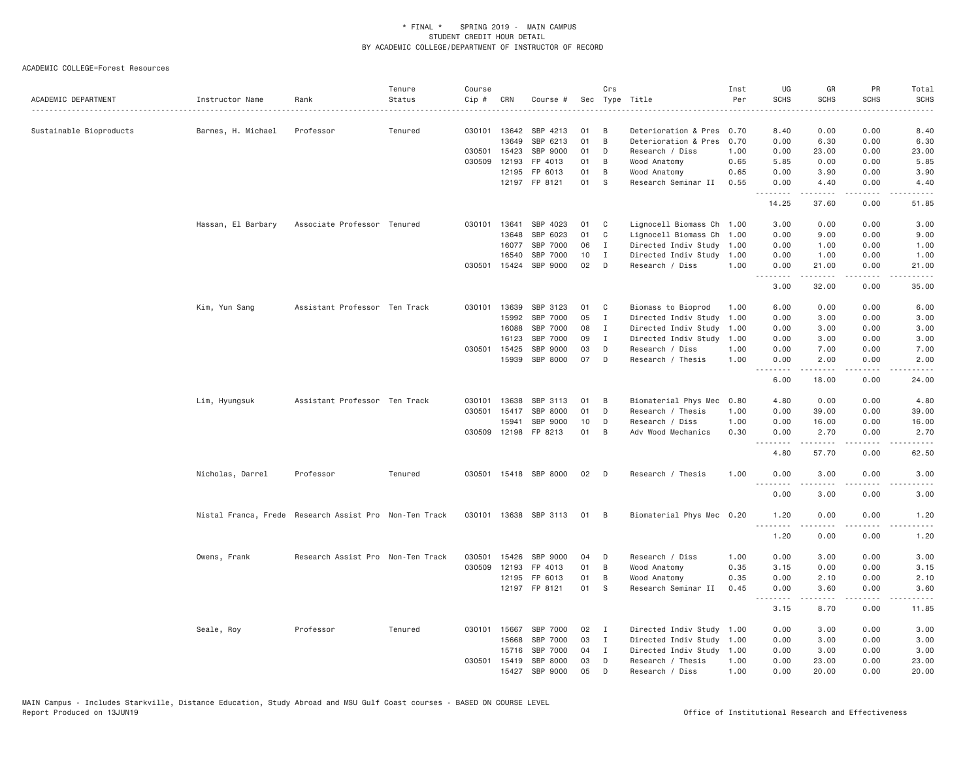| ACADEMIC DEPARTMENT     | Instructor Name    | Rank                                                   | Tenure<br>Status | Course<br>Cip # | CRN          | Course #              |    | Crs          | Sec Type Title            | Inst<br>Per | UG<br><b>SCHS</b>                                                                                                                                                                                                                                                                                                                                                                                                                                                                              | GR<br><b>SCHS</b>                                                                                                                                             | PR<br><b>SCHS</b> | Total<br><b>SCHS</b> |
|-------------------------|--------------------|--------------------------------------------------------|------------------|-----------------|--------------|-----------------------|----|--------------|---------------------------|-------------|------------------------------------------------------------------------------------------------------------------------------------------------------------------------------------------------------------------------------------------------------------------------------------------------------------------------------------------------------------------------------------------------------------------------------------------------------------------------------------------------|---------------------------------------------------------------------------------------------------------------------------------------------------------------|-------------------|----------------------|
| Sustainable Bioproducts | Barnes, H. Michael | Professor                                              | Tenured          |                 | 030101 13642 | SBP 4213              | 01 | B            | Deterioration & Pres 0.70 |             | 8.40                                                                                                                                                                                                                                                                                                                                                                                                                                                                                           | 0.00                                                                                                                                                          | 0.00              | 8.40                 |
|                         |                    |                                                        |                  |                 | 13649        | SBP 6213              | 01 | B            | Deterioration & Pres      | 0.70        | 0.00                                                                                                                                                                                                                                                                                                                                                                                                                                                                                           | 6.30                                                                                                                                                          | 0.00              | 6.30                 |
|                         |                    |                                                        |                  | 030501          | 15423        | SBP 9000              | 01 | D            | Research / Diss           | 1.00        | 0.00                                                                                                                                                                                                                                                                                                                                                                                                                                                                                           | 23.00                                                                                                                                                         | 0.00              | 23.00                |
|                         |                    |                                                        |                  | 030509          | 12193        | FP 4013               | 01 | B            | Wood Anatomy              | 0.65        | 5.85                                                                                                                                                                                                                                                                                                                                                                                                                                                                                           | 0.00                                                                                                                                                          | 0.00              | 5.85                 |
|                         |                    |                                                        |                  |                 | 12195        | FP 6013               | 01 | B            | Wood Anatomy              | 0.65        | 0.00                                                                                                                                                                                                                                                                                                                                                                                                                                                                                           | 3.90                                                                                                                                                          | 0.00              | 3.90                 |
|                         |                    |                                                        |                  |                 |              | 12197 FP 8121         | 01 | S            | Research Seminar II       | 0.55        | 0.00<br>.                                                                                                                                                                                                                                                                                                                                                                                                                                                                                      | 4.40                                                                                                                                                          | 0.00<br>.         | 4.40                 |
|                         |                    |                                                        |                  |                 |              |                       |    |              |                           |             | 14.25                                                                                                                                                                                                                                                                                                                                                                                                                                                                                          | 37.60                                                                                                                                                         | 0.00              | 51.85                |
|                         | Hassan, El Barbary | Associate Professor Tenured                            |                  |                 | 030101 13641 | SBP 4023              | 01 | C            | Lignocell Biomass Ch 1.00 |             | 3.00                                                                                                                                                                                                                                                                                                                                                                                                                                                                                           | 0.00                                                                                                                                                          | 0.00              | 3.00                 |
|                         |                    |                                                        |                  |                 | 13648        | SBP 6023              | 01 | C            | Lignocell Biomass Ch 1.00 |             | 0.00                                                                                                                                                                                                                                                                                                                                                                                                                                                                                           | 9.00                                                                                                                                                          | 0.00              | 9.00                 |
|                         |                    |                                                        |                  |                 | 16077        | SBP 7000              | 06 | $\mathbf{I}$ | Directed Indiv Study 1.00 |             | 0.00                                                                                                                                                                                                                                                                                                                                                                                                                                                                                           | 1.00                                                                                                                                                          | 0.00              | 1.00                 |
|                         |                    |                                                        |                  |                 | 16540        | SBP 7000              | 10 | I            | Directed Indiv Study      | 1.00        | 0.00                                                                                                                                                                                                                                                                                                                                                                                                                                                                                           | 1.00                                                                                                                                                          | 0.00              | 1.00                 |
|                         |                    |                                                        |                  |                 | 030501 15424 | SBP 9000              | 02 | D            | Research / Diss           | 1.00        | 0.00                                                                                                                                                                                                                                                                                                                                                                                                                                                                                           | 21.00<br>$\frac{1}{2} \left( \frac{1}{2} \right) \left( \frac{1}{2} \right) \left( \frac{1}{2} \right) \left( \frac{1}{2} \right) \left( \frac{1}{2} \right)$ | 0.00<br>.         | 21.00                |
|                         |                    |                                                        |                  |                 |              |                       |    |              |                           |             | 3.00                                                                                                                                                                                                                                                                                                                                                                                                                                                                                           | 32.00                                                                                                                                                         | 0.00              | 35.00                |
|                         | Kim, Yun Sang      | Assistant Professor Ten Track                          |                  | 030101          | 13639        | SBP 3123              | 01 | $\mathbf{C}$ | Biomass to Bioprod        | 1.00        | 6.00                                                                                                                                                                                                                                                                                                                                                                                                                                                                                           | 0.00                                                                                                                                                          | 0.00              | 6.00                 |
|                         |                    |                                                        |                  |                 | 15992        | SBP 7000              | 05 | Ι.           | Directed Indiv Study      | 1.00        | 0.00                                                                                                                                                                                                                                                                                                                                                                                                                                                                                           | 3.00                                                                                                                                                          | 0.00              | 3.00                 |
|                         |                    |                                                        |                  |                 | 16088        | SBP 7000              | 08 | $\mathbf I$  | Directed Indiv Study      | 1.00        | 0.00                                                                                                                                                                                                                                                                                                                                                                                                                                                                                           | 3.00                                                                                                                                                          | 0.00              | 3.00                 |
|                         |                    |                                                        |                  |                 | 16123        | SBP 7000              | 09 | Ι.           | Directed Indiv Study      | 1.00        | 0.00                                                                                                                                                                                                                                                                                                                                                                                                                                                                                           | 3.00                                                                                                                                                          | 0.00              | 3.00                 |
|                         |                    |                                                        |                  | 030501          | 15425        | SBP 9000              | 03 | D            | Research / Diss           | 1.00        | 0.00                                                                                                                                                                                                                                                                                                                                                                                                                                                                                           | 7.00                                                                                                                                                          | 0.00              | 7.00                 |
|                         |                    |                                                        |                  |                 | 15939        | SBP 8000              | 07 | D            | Research / Thesis         | 1.00        | 0.00<br>.                                                                                                                                                                                                                                                                                                                                                                                                                                                                                      | 2.00<br>د د د د د                                                                                                                                             | 0.00<br>.         | 2.00<br>د د د د د    |
|                         |                    |                                                        |                  |                 |              |                       |    |              |                           |             | 6.00                                                                                                                                                                                                                                                                                                                                                                                                                                                                                           | 18.00                                                                                                                                                         | 0.00              | 24.00                |
|                         | Lim, Hyungsuk      | Assistant Professor Ten Track                          |                  | 030101          | 13638        | SBP 3113              | 01 | B            | Biomaterial Phys Mec      | 0.80        | 4.80                                                                                                                                                                                                                                                                                                                                                                                                                                                                                           | 0.00                                                                                                                                                          | 0.00              | 4.80                 |
|                         |                    |                                                        |                  | 030501          | 15417        | SBP 8000              | 01 | D            | Research / Thesis         | 1.00        | 0.00                                                                                                                                                                                                                                                                                                                                                                                                                                                                                           | 39.00                                                                                                                                                         | 0.00              | 39.00                |
|                         |                    |                                                        |                  |                 | 15941        | SBP 9000              | 10 | D            | Research / Diss           | 1.00        | 0.00                                                                                                                                                                                                                                                                                                                                                                                                                                                                                           | 16.00                                                                                                                                                         | 0.00              | 16.00                |
|                         |                    |                                                        |                  |                 |              | 030509 12198 FP 8213  | 01 | B            | Adv Wood Mechanics        | 0.30        | 0.00                                                                                                                                                                                                                                                                                                                                                                                                                                                                                           | 2.70<br>$- - - - -$                                                                                                                                           | 0.00<br>د د د د   | 2.70<br>المستبدا     |
|                         |                    |                                                        |                  |                 |              |                       |    |              |                           |             | 4.80                                                                                                                                                                                                                                                                                                                                                                                                                                                                                           | 57.70                                                                                                                                                         | 0.00              | 62.50                |
|                         | Nicholas, Darrel   | Professor                                              | Tenured          |                 |              | 030501 15418 SBP 8000 | 02 | $\Box$       | Research / Thesis         | 1.00        | 0.00<br>المناسبات                                                                                                                                                                                                                                                                                                                                                                                                                                                                              | 3.00<br>.                                                                                                                                                     | 0.00<br>.         | 3.00<br>$- - - -$    |
|                         |                    |                                                        |                  |                 |              |                       |    |              |                           |             | 0.00                                                                                                                                                                                                                                                                                                                                                                                                                                                                                           | 3.00                                                                                                                                                          | 0.00              | 3.00                 |
|                         |                    | Nistal Franca, Frede Research Assist Pro Non-Ten Track |                  |                 |              | 030101 13638 SBP 3113 | 01 | B            | Biomaterial Phys Mec 0.20 |             | 1.20                                                                                                                                                                                                                                                                                                                                                                                                                                                                                           | 0.00                                                                                                                                                          | 0.00              | 1.20                 |
|                         |                    |                                                        |                  |                 |              |                       |    |              |                           |             | .<br>1.20                                                                                                                                                                                                                                                                                                                                                                                                                                                                                      | .<br>0.00                                                                                                                                                     | $- - - -$<br>0.00 | $- - - -$<br>1.20    |
|                         | Owens, Frank       | Research Assist Pro Non-Ten Track                      |                  | 030501          | 15426        | SBP 9000              | 04 | D            | Research / Diss           | 1.00        | 0.00                                                                                                                                                                                                                                                                                                                                                                                                                                                                                           | 3.00                                                                                                                                                          | 0.00              | 3.00                 |
|                         |                    |                                                        |                  | 030509          | 12193        | FP 4013               | 01 | B            | Wood Anatomy              | 0.35        | 3.15                                                                                                                                                                                                                                                                                                                                                                                                                                                                                           | 0.00                                                                                                                                                          | 0.00              | 3.15                 |
|                         |                    |                                                        |                  |                 |              | 12195 FP 6013         | 01 | B            | Wood Anatomy              | 0.35        | 0.00                                                                                                                                                                                                                                                                                                                                                                                                                                                                                           | 2.10                                                                                                                                                          | 0.00              | 2.10                 |
|                         |                    |                                                        |                  |                 |              | 12197 FP 8121         | 01 | <b>S</b>     | Research Seminar II       | 0.45        | 0.00<br>$\begin{array}{cccccccccccccc} \multicolumn{2}{c}{} & \multicolumn{2}{c}{} & \multicolumn{2}{c}{} & \multicolumn{2}{c}{} & \multicolumn{2}{c}{} & \multicolumn{2}{c}{} & \multicolumn{2}{c}{} & \multicolumn{2}{c}{} & \multicolumn{2}{c}{} & \multicolumn{2}{c}{} & \multicolumn{2}{c}{} & \multicolumn{2}{c}{} & \multicolumn{2}{c}{} & \multicolumn{2}{c}{} & \multicolumn{2}{c}{} & \multicolumn{2}{c}{} & \multicolumn{2}{c}{} & \multicolumn{2}{c}{} & \multicolumn{2}{c}{} & \$ | 3.60<br>.                                                                                                                                                     | 0.00<br>.         | 3.60<br>.            |
|                         |                    |                                                        |                  |                 |              |                       |    |              |                           |             | 3.15                                                                                                                                                                                                                                                                                                                                                                                                                                                                                           | 8.70                                                                                                                                                          | 0.00              | 11.85                |
|                         | Seale, Roy         | Professor                                              | Tenured          |                 | 030101 15667 | SBP 7000              | 02 | I            | Directed Indiv Study 1.00 |             | 0.00                                                                                                                                                                                                                                                                                                                                                                                                                                                                                           | 3.00                                                                                                                                                          | 0.00              | 3.00                 |
|                         |                    |                                                        |                  |                 | 15668        | SBP 7000              | 03 | $\mathbf I$  | Directed Indiv Study 1.00 |             | 0.00                                                                                                                                                                                                                                                                                                                                                                                                                                                                                           | 3.00                                                                                                                                                          | 0.00              | 3.00                 |
|                         |                    |                                                        |                  |                 | 15716        | SBP 7000              | 04 | $\mathbf{I}$ | Directed Indiv Study 1.00 |             | 0.00                                                                                                                                                                                                                                                                                                                                                                                                                                                                                           | 3.00                                                                                                                                                          | 0.00              | 3.00                 |
|                         |                    |                                                        |                  | 030501          | 15419        | SBP 8000              | 03 | D            | Research / Thesis         | 1.00        | 0.00                                                                                                                                                                                                                                                                                                                                                                                                                                                                                           | 23.00                                                                                                                                                         | 0.00              | 23.00                |
|                         |                    |                                                        |                  |                 | 15427        | SBP 9000              | 05 | D            | Research / Diss           | 1.00        | 0.00                                                                                                                                                                                                                                                                                                                                                                                                                                                                                           | 20,00                                                                                                                                                         | 0.00              | 20,00                |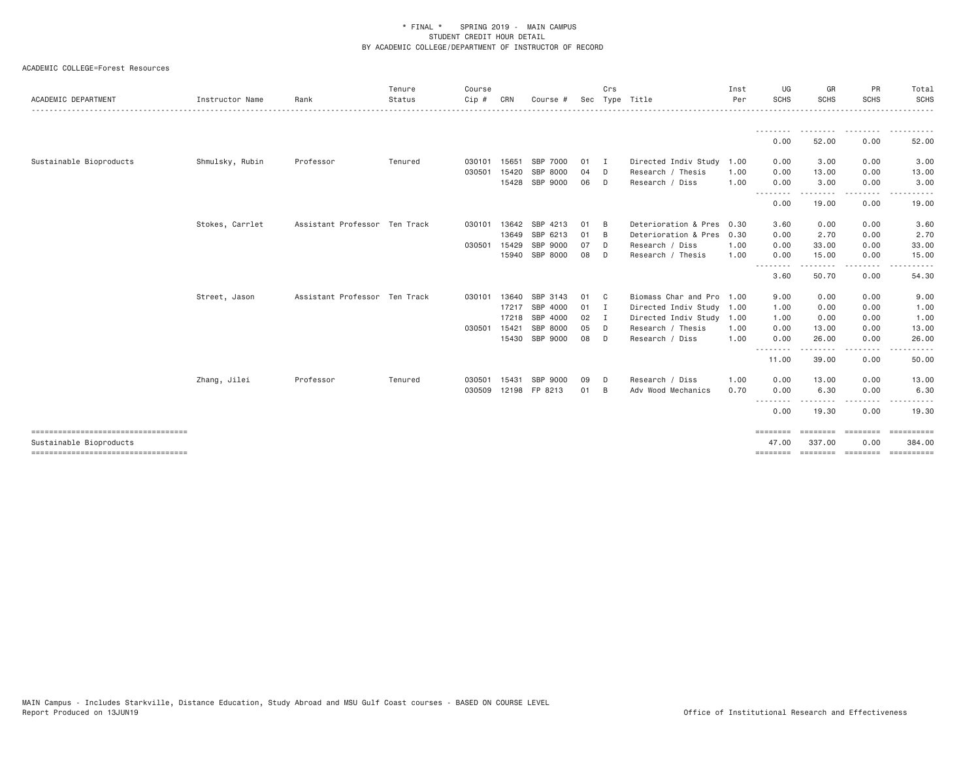| ACADEMIC DEPARTMENT                  | Instructor Name | Rank                          | Tenure<br>Status | Course<br>Cip# | CRN   | Course #             |    | Crs            | Sec Type Title            | Inst<br>Per | UG<br><b>SCHS</b>                                                                                                                 | GR<br>SCHS          | PR<br><b>SCHS</b>                                                       | Total<br><b>SCHS</b>                  |
|--------------------------------------|-----------------|-------------------------------|------------------|----------------|-------|----------------------|----|----------------|---------------------------|-------------|-----------------------------------------------------------------------------------------------------------------------------------|---------------------|-------------------------------------------------------------------------|---------------------------------------|
|                                      |                 |                               |                  |                |       |                      |    |                |                           |             |                                                                                                                                   |                     |                                                                         | .                                     |
|                                      |                 |                               |                  |                |       |                      |    |                |                           |             | --------<br>0.00                                                                                                                  | ---------<br>52.00  | .<br>0.00                                                               | .<br>52.00                            |
| Sustainable Bioproducts              | Shmulsky, Rubin | Professor                     | Tenured          | 030101         | 15651 | SBP 7000             | 01 | $\blacksquare$ | Directed Indiv Study      | 1.00        | 0.00                                                                                                                              | 3.00                | 0.00                                                                    | 3.00                                  |
|                                      |                 |                               |                  | 030501         | 15420 | SBP 8000             | 04 | D              | Research / Thesis         | 1.00        | 0.00                                                                                                                              | 13.00               | 0.00                                                                    | 13.00                                 |
|                                      |                 |                               |                  |                | 15428 | SBP 9000             | 06 | D              | Research / Diss           | 1.00        | 0.00<br>--------                                                                                                                  | 3.00<br><u>.</u> .  | 0.00<br>.                                                               | 3.00<br>------                        |
|                                      |                 |                               |                  |                |       |                      |    |                |                           |             | 0.00                                                                                                                              | 19.00               | 0.00                                                                    | 19.00                                 |
|                                      | Stokes, Carrlet | Assistant Professor Ten Track |                  | 030101         | 13642 | SBP 4213             | 01 | B              | Deterioration & Pres 0.30 |             | 3.60                                                                                                                              | 0.00                | 0.00                                                                    | 3.60                                  |
|                                      |                 |                               |                  |                | 13649 | SBP 6213             | 01 | B              | Deterioration & Pres      | 0.30        | 0.00                                                                                                                              | 2.70                | 0.00                                                                    | 2.70                                  |
|                                      |                 |                               |                  | 030501         | 15429 | SBP 9000             | 07 | D              | Research / Diss           | 1.00        | 0.00                                                                                                                              | 33.00               | 0.00                                                                    | 33.00                                 |
|                                      |                 |                               |                  |                | 15940 | SBP 8000             | 08 | D              | Research / Thesis         | 1.00        | 0.00                                                                                                                              | 15.00               | 0.00                                                                    | 15.00                                 |
|                                      |                 |                               |                  |                |       |                      |    |                |                           |             | $\frac{1}{2} \left( \frac{1}{2} \right) \left( \frac{1}{2} \right) \left( \frac{1}{2} \right) \left( \frac{1}{2} \right)$<br>3.60 | .<br>50.70          | -----<br>0.00                                                           | 54.30                                 |
|                                      | Street, Jason   | Assistant Professor Ten Track |                  | 030101         | 13640 | SBP 3143             | 01 | C <sub>c</sub> | Biomass Char and Pro      | 1.00        | 9.00                                                                                                                              | 0.00                | 0.00                                                                    | 9.00                                  |
|                                      |                 |                               |                  |                |       | 17217 SBP 4000       | 01 | $\blacksquare$ | Directed Indiv Study 1.00 |             | 1.00                                                                                                                              | 0.00                | 0.00                                                                    | 1.00                                  |
|                                      |                 |                               |                  |                |       | 17218 SBP 4000       | 02 | I              | Directed Indiv Study      | 1.00        | 1.00                                                                                                                              | 0.00                | 0.00                                                                    | 1.00                                  |
|                                      |                 |                               |                  | 030501         | 15421 | SBP 8000             | 05 | D              | Research / Thesis         | 1.00        | 0.00                                                                                                                              | 13.00               | 0.00                                                                    | 13.00                                 |
|                                      |                 |                               |                  |                |       | 15430 SBP 9000       | 08 | D              | Research / Diss           | 1.00        | 0.00                                                                                                                              | 26.00               | 0.00<br>$\frac{1}{2}$                                                   | 26.00                                 |
|                                      |                 |                               |                  |                |       |                      |    |                |                           |             | --------<br>11.00                                                                                                                 | - - - - -<br>39.00  | 0.00                                                                    | 50.00                                 |
|                                      | Zhang, Jilei    | Professor                     | Tenured          | 030501         | 15431 | SBP 9000             | 09 | D              | Research / Diss           | 1,00        | 0.00                                                                                                                              | 13,00               | 0.00                                                                    | 13.00                                 |
|                                      |                 |                               |                  |                |       | 030509 12198 FP 8213 | 01 | B              | Adv Wood Mechanics        | 0.70        | 0.00                                                                                                                              | 6.30                | 0.00                                                                    | 6.30                                  |
|                                      |                 |                               |                  |                |       |                      |    |                |                           |             | --------<br>0.00                                                                                                                  | . <b>.</b><br>19.30 | .<br>0.00                                                               | 19.30                                 |
| ------------------------------------ |                 |                               |                  |                |       |                      |    |                |                           |             | $=$ =======                                                                                                                       | ========            | $\qquad \qquad \equiv \equiv \equiv \equiv \equiv \equiv \equiv \equiv$ | ==========                            |
| Sustainable Bioproducts              |                 |                               |                  |                |       |                      |    |                |                           |             | 47.00                                                                                                                             | 337,00              | 0.00                                                                    | 384,00                                |
| ----------------------------------   |                 |                               |                  |                |       |                      |    |                |                           |             |                                                                                                                                   |                     |                                                                         | -------- -------- -------- ---------- |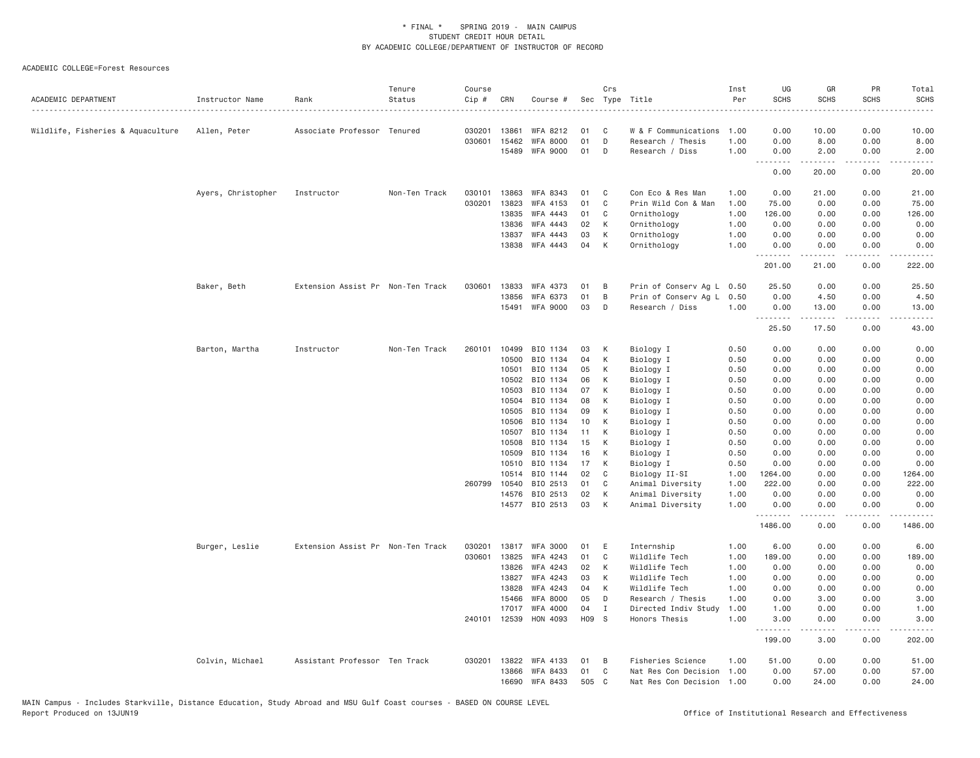| ACADEMIC DEPARTMENT               | Instructor Name    | Rank                              | Tenure<br>Status | Course<br>Cip # | CRN            | Course #             |          | Crs          | Sec Type Title            | Inst<br>Per  | UG<br><b>SCHS</b> | GR<br><b>SCHS</b>                                                                                                                                             | PR<br><b>SCHS</b>                   | Total<br><b>SCHS</b>                                                                                                                                         |
|-----------------------------------|--------------------|-----------------------------------|------------------|-----------------|----------------|----------------------|----------|--------------|---------------------------|--------------|-------------------|---------------------------------------------------------------------------------------------------------------------------------------------------------------|-------------------------------------|--------------------------------------------------------------------------------------------------------------------------------------------------------------|
| Wildlife, Fisheries & Aquaculture | Allen, Peter       | Associate Professor Tenured       |                  | 030201          | 13861          | WFA 8212             | 01       | C            | W & F Communications      | 1.00         | 0.00              | 10.00                                                                                                                                                         | 0.00                                | 10.00                                                                                                                                                        |
|                                   |                    |                                   |                  | 030601          | 15462          | <b>WFA 8000</b>      | 01       | D            | Research / Thesis         | 1.00         | 0.00              | 8.00                                                                                                                                                          | 0.00                                | 8.00                                                                                                                                                         |
|                                   |                    |                                   |                  |                 | 15489          | <b>WFA 9000</b>      | 01       | D            | Research / Diss           | 1.00         | 0.00              | 2.00                                                                                                                                                          | 0.00                                | 2.00                                                                                                                                                         |
|                                   |                    |                                   |                  |                 |                |                      |          |              |                           |              | .<br>0.00         | .<br>20.00                                                                                                                                                    | .<br>0.00                           | .<br>20.00                                                                                                                                                   |
|                                   | Ayers, Christopher | Instructor                        | Non-Ten Track    | 030101          | 13863          | WFA 8343             | 01       | C            | Con Eco & Res Man         | 1.00         | 0.00              | 21.00                                                                                                                                                         | 0.00                                | 21.00                                                                                                                                                        |
|                                   |                    |                                   |                  | 030201          | 13823          | WFA 4153             | 01       | C            | Prin Wild Con & Man       | 1.00         | 75.00             | 0.00                                                                                                                                                          | 0.00                                | 75.00                                                                                                                                                        |
|                                   |                    |                                   |                  |                 | 13835          | WFA 4443             | 01       | C            | Ornithology               | 1.00         | 126.00            | 0.00                                                                                                                                                          | 0.00                                | 126.00                                                                                                                                                       |
|                                   |                    |                                   |                  |                 | 13836          | <b>WFA 4443</b>      | 02       | К            | Ornithology               | 1.00         | 0.00              | 0.00                                                                                                                                                          | 0.00                                | 0.00                                                                                                                                                         |
|                                   |                    |                                   |                  |                 | 13837          | WFA 4443             | 03       | К            | Ornithology               | 1.00         | 0.00              | 0.00                                                                                                                                                          | 0.00                                | 0.00                                                                                                                                                         |
|                                   |                    |                                   |                  |                 | 13838          | WFA 4443             | 04       | К            | Ornithology               | 1.00         | 0.00<br>.         | 0.00<br>.                                                                                                                                                     | 0.00<br>$\sim$ $\sim$ $\sim$ $\sim$ | 0.00<br>$\frac{1}{2} \left( \frac{1}{2} \right) \left( \frac{1}{2} \right) \left( \frac{1}{2} \right) \left( \frac{1}{2} \right) \left( \frac{1}{2} \right)$ |
|                                   |                    |                                   |                  |                 |                |                      |          |              |                           |              | 201.00            | 21.00                                                                                                                                                         | 0.00                                | 222.00                                                                                                                                                       |
|                                   | Baker, Beth        | Extension Assist Pr Non-Ten Track |                  | 030601          | 13833          | WFA 4373             | 01       | B            | Prin of Conserv Ag L 0.50 |              | 25.50             | 0.00                                                                                                                                                          | 0.00                                | 25.50                                                                                                                                                        |
|                                   |                    |                                   |                  |                 | 13856          | <b>WFA 6373</b>      | 01       | B            | Prin of Conserv Ag L      | 0.50         | 0.00              | 4.50                                                                                                                                                          | 0.00                                | 4.50                                                                                                                                                         |
|                                   |                    |                                   |                  |                 | 15491          | <b>WFA 9000</b>      | 03       | D            | Research / Diss           | 1.00         | 0.00<br>.         | 13.00<br>$\frac{1}{2} \left( \frac{1}{2} \right) \left( \frac{1}{2} \right) \left( \frac{1}{2} \right) \left( \frac{1}{2} \right) \left( \frac{1}{2} \right)$ | 0.00<br>.                           | 13.00<br>.                                                                                                                                                   |
|                                   |                    |                                   |                  |                 |                |                      |          |              |                           |              | 25.50             | 17.50                                                                                                                                                         | 0.00                                | 43.00                                                                                                                                                        |
|                                   | Barton, Martha     | Instructor                        | Non-Ten Track    | 260101          | 10499          | BIO 1134             | 03       | K            | Biology I                 | 0.50         | 0.00              | 0.00                                                                                                                                                          | 0.00                                | 0.00                                                                                                                                                         |
|                                   |                    |                                   |                  |                 | 10500          | BIO 1134             | 04       | К            | Biology I                 | 0.50         | 0.00              | 0.00                                                                                                                                                          | 0.00                                | 0.00                                                                                                                                                         |
|                                   |                    |                                   |                  |                 | 10501          | BIO 1134             | 05       | К            | Biology I                 | 0.50         | 0.00              | 0.00                                                                                                                                                          | 0.00                                | 0.00                                                                                                                                                         |
|                                   |                    |                                   |                  |                 | 10502          | BIO 1134             | 06       | К            | Biology I                 | 0.50         | 0.00              | 0.00                                                                                                                                                          | 0.00                                | 0.00                                                                                                                                                         |
|                                   |                    |                                   |                  |                 | 10503          | BIO 1134             | 07       | К            | Biology I                 | 0.50         | 0.00              | 0.00                                                                                                                                                          | 0.00                                | 0.00                                                                                                                                                         |
|                                   |                    |                                   |                  |                 | 10504          | BIO 1134             | 08       | K            | Biology I                 | 0.50         | 0.00              | 0.00                                                                                                                                                          | 0.00                                | 0.00                                                                                                                                                         |
|                                   |                    |                                   |                  |                 | 10505          | BIO 1134             | 09       | К            | Biology I                 | 0.50         | 0.00              | 0.00                                                                                                                                                          | 0.00                                | 0.00                                                                                                                                                         |
|                                   |                    |                                   |                  |                 | 10506          | BIO 1134             | 10       | K            | Biology I                 | 0.50         | 0.00              | 0.00                                                                                                                                                          | 0.00                                | 0.00                                                                                                                                                         |
|                                   |                    |                                   |                  |                 | 10507          | BIO 1134             | 11       | К            | Biology I                 | 0.50         | 0.00              | 0.00                                                                                                                                                          | 0.00                                | 0.00                                                                                                                                                         |
|                                   |                    |                                   |                  |                 | 10508          | BIO 1134<br>BIO 1134 | 15<br>16 | К            | Biology I                 | 0.50<br>0.50 | 0.00<br>0.00      | 0.00                                                                                                                                                          | 0.00                                | 0.00                                                                                                                                                         |
|                                   |                    |                                   |                  |                 | 10509<br>10510 | BIO 1134             | 17       | К<br>К       | Biology I<br>Biology I    | 0.50         | 0.00              | 0.00<br>0.00                                                                                                                                                  | 0.00<br>0.00                        | 0.00<br>0.00                                                                                                                                                 |
|                                   |                    |                                   |                  |                 | 10514          | BIO 1144             | 02       | $\mathsf{C}$ | Biology II-SI             | 1.00         | 1264.00           | 0.00                                                                                                                                                          | 0.00                                | 1264.00                                                                                                                                                      |
|                                   |                    |                                   |                  | 260799          | 10540          | BIO 2513             | 01       | C            | Animal Diversity          | 1.00         | 222.00            | 0.00                                                                                                                                                          | 0.00                                | 222.00                                                                                                                                                       |
|                                   |                    |                                   |                  |                 | 14576          | BIO 2513             | 02       | К            | Animal Diversity          | 1.00         | 0.00              | 0.00                                                                                                                                                          | 0.00                                | 0.00                                                                                                                                                         |
|                                   |                    |                                   |                  |                 |                | 14577 BIO 2513       | 03       | К            | Animal Diversity          | 1.00         | 0.00              | 0.00                                                                                                                                                          | 0.00                                | 0.00                                                                                                                                                         |
|                                   |                    |                                   |                  |                 |                |                      |          |              |                           |              | .<br>1486.00      | 0.00                                                                                                                                                          | $\sim$ $\sim$ $\sim$ $\sim$<br>0.00 | 1486.00                                                                                                                                                      |
|                                   | Burger, Leslie     | Extension Assist Pr Non-Ten Track |                  | 030201          |                | 13817 WFA 3000       | 01       | E            | Internship                | 1.00         | 6.00              | 0.00                                                                                                                                                          | 0.00                                | 6.00                                                                                                                                                         |
|                                   |                    |                                   |                  | 030601          | 13825          | WFA 4243             | 01       | C            | Wildlife Tech             | 1.00         | 189.00            | 0.00                                                                                                                                                          | 0.00                                | 189.00                                                                                                                                                       |
|                                   |                    |                                   |                  |                 | 13826          | WFA 4243             | 02       | К            | Wildlife Tech             | 1.00         | 0.00              | 0.00                                                                                                                                                          | 0.00                                | 0.00                                                                                                                                                         |
|                                   |                    |                                   |                  |                 | 13827          | WFA 4243             | 03       | К            | Wildlife Tech             | 1.00         | 0.00              | 0.00                                                                                                                                                          | 0.00                                | 0.00                                                                                                                                                         |
|                                   |                    |                                   |                  |                 | 13828          | WFA 4243             | 04       | К            | Wildlife Tech             | 1.00         | 0.00              | 0.00                                                                                                                                                          | 0.00                                | 0.00                                                                                                                                                         |
|                                   |                    |                                   |                  |                 | 15466          | <b>WFA 8000</b>      | 05       | D            | Research / Thesis         | 1.00         | 0.00              | 3.00                                                                                                                                                          | 0.00                                | 3.00                                                                                                                                                         |
|                                   |                    |                                   |                  |                 | 17017          | <b>WFA 4000</b>      | 04       | $\mathbf I$  | Directed Indiv Study      | 1.00         | 1.00              | 0.00                                                                                                                                                          | 0.00                                | 1.00                                                                                                                                                         |
|                                   |                    |                                   |                  | 240101 12539    |                | HON 4093             | H09 S    |              | Honors Thesis             | 1.00         | 3.00<br>.         | 0.00<br>$- - - - -$                                                                                                                                           | 0.00<br>.                           | 3.00<br>.                                                                                                                                                    |
|                                   |                    |                                   |                  |                 |                |                      |          |              |                           |              | 199.00            | 3.00                                                                                                                                                          | 0.00                                | 202.00                                                                                                                                                       |
|                                   | Colvin, Michael    | Assistant Professor Ten Track     |                  | 030201          | 13822          | <b>WFA 4133</b>      | 01       | B            | Fisheries Science         | 1.00         | 51.00             | 0.00                                                                                                                                                          | 0.00                                | 51.00                                                                                                                                                        |
|                                   |                    |                                   |                  |                 | 13866          | <b>WFA 8433</b>      | 01       | C            | Nat Res Con Decision      | 1.00         | 0.00              | 57.00                                                                                                                                                         | 0.00                                | 57.00                                                                                                                                                        |
|                                   |                    |                                   |                  |                 | 16690          | WFA 8433             | 505      | $\mathbf{C}$ | Nat Res Con Decision 1.00 |              | 0.00              | 24,00                                                                                                                                                         | 0.00                                | 24.00                                                                                                                                                        |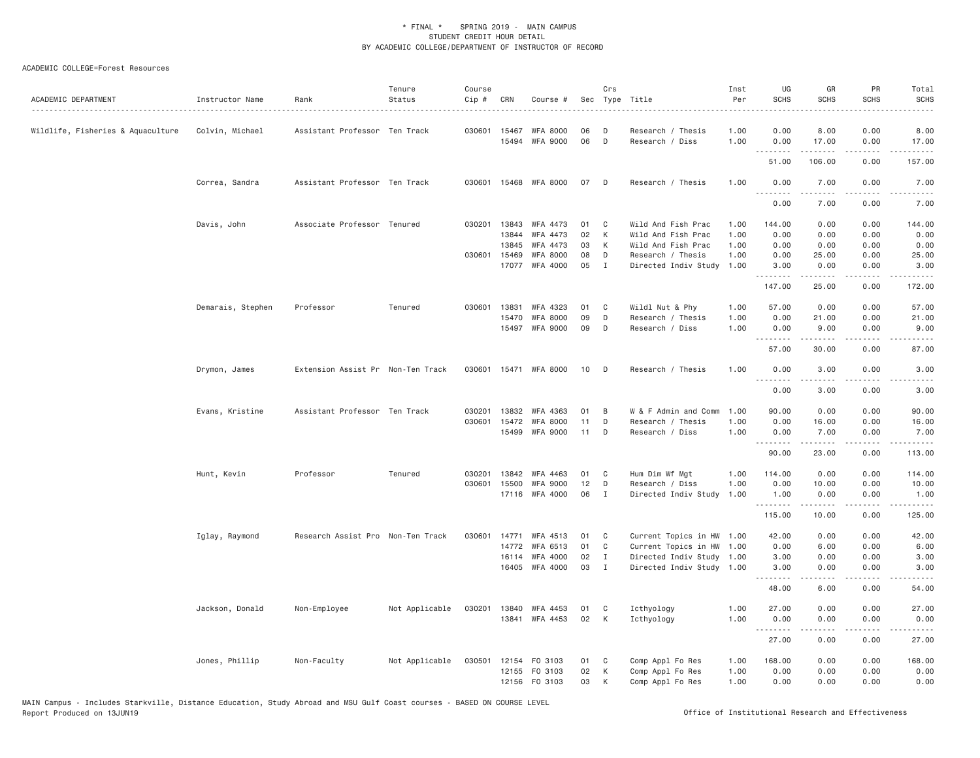| ACADEMIC DEPARTMENT               | Instructor Name   | Rank                              | Tenure<br>Status | Course<br>Cip # | CRN            | Course #                          |          | Crs          | Sec Type Title                           | Inst<br>Per  | UG<br><b>SCHS</b>                                                                                                                                                                                                                                                                                                                                                                                                                                                                              | GR<br><b>SCHS</b>                                                                                                                                            | PR<br><b>SCHS</b>                   | Total<br><b>SCHS</b><br>$- - - - -$                                                                                                                                                       |
|-----------------------------------|-------------------|-----------------------------------|------------------|-----------------|----------------|-----------------------------------|----------|--------------|------------------------------------------|--------------|------------------------------------------------------------------------------------------------------------------------------------------------------------------------------------------------------------------------------------------------------------------------------------------------------------------------------------------------------------------------------------------------------------------------------------------------------------------------------------------------|--------------------------------------------------------------------------------------------------------------------------------------------------------------|-------------------------------------|-------------------------------------------------------------------------------------------------------------------------------------------------------------------------------------------|
| Wildlife, Fisheries & Aquaculture | Colvin, Michael   | Assistant Professor Ten Track     |                  |                 | 030601 15467   | <b>WFA 8000</b><br>15494 WFA 9000 | 06<br>06 | D<br>D       | Research / Thesis<br>Research / Diss     | 1.00<br>1.00 | 0.00<br>0.00                                                                                                                                                                                                                                                                                                                                                                                                                                                                                   | 8.00<br>17.00                                                                                                                                                | 0.00<br>0.00                        | 8.00<br>17.00                                                                                                                                                                             |
|                                   |                   |                                   |                  |                 |                |                                   |          |              |                                          |              | 51.00                                                                                                                                                                                                                                                                                                                                                                                                                                                                                          | 106.00                                                                                                                                                       | $\sim$ $\sim$ $\sim$ $\sim$<br>0.00 | $\sim$ $\sim$ $\sim$ $\sim$<br>157.00                                                                                                                                                     |
|                                   |                   | Assistant Professor Ten Track     |                  |                 |                | 030601 15468 WFA 8000             | 07 D     |              | Research / Thesis                        | 1.00         | 0.00                                                                                                                                                                                                                                                                                                                                                                                                                                                                                           | 7.00                                                                                                                                                         | 0.00                                |                                                                                                                                                                                           |
|                                   | Correa, Sandra    |                                   |                  |                 |                |                                   |          |              |                                          |              | <b></b>                                                                                                                                                                                                                                                                                                                                                                                                                                                                                        | .                                                                                                                                                            | $\sim$ $\sim$ $\sim$ $\sim$         | 7.00<br><u>.</u>                                                                                                                                                                          |
|                                   |                   |                                   |                  |                 |                |                                   |          |              |                                          |              | 0.00                                                                                                                                                                                                                                                                                                                                                                                                                                                                                           | 7.00                                                                                                                                                         | 0.00                                | 7.00                                                                                                                                                                                      |
|                                   | Davis, John       | Associate Professor Tenured       |                  | 030201          | 13843<br>13844 | WFA 4473<br>WFA 4473              | 01<br>02 | C<br>K       | Wild And Fish Prac<br>Wild And Fish Prac | 1.00<br>1,00 | 144.00<br>0.00                                                                                                                                                                                                                                                                                                                                                                                                                                                                                 | 0.00<br>0.00                                                                                                                                                 | 0.00<br>0.00                        | 144.00<br>0.00                                                                                                                                                                            |
|                                   |                   |                                   |                  |                 | 13845          | WFA 4473                          | 03       | K            | Wild And Fish Prac                       | 1.00         | 0.00                                                                                                                                                                                                                                                                                                                                                                                                                                                                                           | 0.00                                                                                                                                                         | 0.00                                | 0.00                                                                                                                                                                                      |
|                                   |                   |                                   |                  |                 | 030601 15469   | <b>WFA 8000</b>                   | 08       | D            | Research / Thesis                        | 1.00         | 0.00                                                                                                                                                                                                                                                                                                                                                                                                                                                                                           | 25.00                                                                                                                                                        | 0.00                                | 25.00                                                                                                                                                                                     |
|                                   |                   |                                   |                  |                 | 17077          | WFA 4000                          | 05       | I            | Directed Indiv Study                     | 1.00         | 3.00                                                                                                                                                                                                                                                                                                                                                                                                                                                                                           | 0.00                                                                                                                                                         | 0.00                                | 3.00                                                                                                                                                                                      |
|                                   |                   |                                   |                  |                 |                |                                   |          |              |                                          |              | .<br>147.00                                                                                                                                                                                                                                                                                                                                                                                                                                                                                    | المتمام المتعاد<br>25.00                                                                                                                                     | .<br>0.00                           | .<br>172.00                                                                                                                                                                               |
|                                   | Demarais, Stephen | Professor                         | Tenured          | 030601          | 13831          | WFA 4323                          | 01       | C            | Wildl Nut & Phy                          | 1,00         | 57.00                                                                                                                                                                                                                                                                                                                                                                                                                                                                                          | 0.00                                                                                                                                                         | 0.00                                | 57.00                                                                                                                                                                                     |
|                                   |                   |                                   |                  |                 | 15470          | <b>WFA 8000</b>                   | 09       | D            | Research / Thesis                        | 1.00         | 0.00                                                                                                                                                                                                                                                                                                                                                                                                                                                                                           | 21.00                                                                                                                                                        | 0.00                                | 21.00                                                                                                                                                                                     |
|                                   |                   |                                   |                  |                 |                | 15497 WFA 9000                    | 09       | D            | Research / Diss                          | 1.00         | 0.00                                                                                                                                                                                                                                                                                                                                                                                                                                                                                           | 9.00                                                                                                                                                         | 0.00                                | 9.00                                                                                                                                                                                      |
|                                   |                   |                                   |                  |                 |                |                                   |          |              |                                          |              | 57.00                                                                                                                                                                                                                                                                                                                                                                                                                                                                                          | .<br>30.00                                                                                                                                                   | .<br>0.00                           | د د د د د<br>87.00                                                                                                                                                                        |
|                                   | Drymon, James     | Extension Assist Pr Non-Ten Track |                  | 030601          |                | 15471 WFA 8000                    | 10       | D            | Research / Thesis                        | 1.00         | 0.00                                                                                                                                                                                                                                                                                                                                                                                                                                                                                           | 3.00                                                                                                                                                         | 0.00                                | 3.00                                                                                                                                                                                      |
|                                   |                   |                                   |                  |                 |                |                                   |          |              |                                          |              | .<br>0.00                                                                                                                                                                                                                                                                                                                                                                                                                                                                                      | .<br>3.00                                                                                                                                                    | د د د د<br>0.00                     | $\sim$ $\sim$ $\sim$ $\sim$ $\sim$<br>3.00                                                                                                                                                |
|                                   | Evans, Kristine   | Assistant Professor Ten Track     |                  | 030201          | 13832          | WFA 4363                          | 01       | B            | W & F Admin and Comm                     | 1.00         | 90.00                                                                                                                                                                                                                                                                                                                                                                                                                                                                                          | 0.00                                                                                                                                                         | 0.00                                | 90.00                                                                                                                                                                                     |
|                                   |                   |                                   |                  | 030601          | 15472          | <b>WFA 8000</b>                   | 11       | D            | Research / Thesis                        | 1.00         | 0.00                                                                                                                                                                                                                                                                                                                                                                                                                                                                                           | 16.00                                                                                                                                                        | 0.00                                | 16.00                                                                                                                                                                                     |
|                                   |                   |                                   |                  |                 |                | 15499 WFA 9000                    | 11       | D            | Research / Diss                          | 1.00         | 0.00                                                                                                                                                                                                                                                                                                                                                                                                                                                                                           | 7.00                                                                                                                                                         | 0.00                                | 7.00                                                                                                                                                                                      |
|                                   |                   |                                   |                  |                 |                |                                   |          |              |                                          |              | .<br>90.00                                                                                                                                                                                                                                                                                                                                                                                                                                                                                     | -----<br>23,00                                                                                                                                               | $\frac{1}{2}$<br>0.00               | .<br>113.00                                                                                                                                                                               |
|                                   | Hunt, Kevin       | Professor                         | Tenured          | 030201          | 13842          | WFA 4463                          | 01       | C            | Hum Dim Wf Mgt                           | 1.00         | 114.00                                                                                                                                                                                                                                                                                                                                                                                                                                                                                         | 0.00                                                                                                                                                         | 0.00                                | 114.00                                                                                                                                                                                    |
|                                   |                   |                                   |                  | 030601          | 15500          | <b>WFA 9000</b>                   | 12       | D            | Research / Diss                          | 1.00         | 0.00                                                                                                                                                                                                                                                                                                                                                                                                                                                                                           | 10.00                                                                                                                                                        | 0.00                                | 10.00                                                                                                                                                                                     |
|                                   |                   |                                   |                  |                 |                | 17116 WFA 4000                    | 06       | I            | Directed Indiv Study                     | 1.00         | 1.00                                                                                                                                                                                                                                                                                                                                                                                                                                                                                           | 0.00                                                                                                                                                         | 0.00                                | 1.00                                                                                                                                                                                      |
|                                   |                   |                                   |                  |                 |                |                                   |          |              |                                          |              | .<br>115.00                                                                                                                                                                                                                                                                                                                                                                                                                                                                                    | 10.00                                                                                                                                                        | .<br>0.00                           | $\frac{1}{2} \left( \frac{1}{2} \right) \left( \frac{1}{2} \right) \left( \frac{1}{2} \right) \left( \frac{1}{2} \right) \left( \frac{1}{2} \right) \left( \frac{1}{2} \right)$<br>125.00 |
|                                   | Iglay, Raymond    | Research Assist Pro Non-Ten Track |                  | 030601          | 14771          | WFA 4513                          | 01       | C            | Current Topics in HW 1.00                |              | 42.00                                                                                                                                                                                                                                                                                                                                                                                                                                                                                          | 0.00                                                                                                                                                         | 0.00                                | 42.00                                                                                                                                                                                     |
|                                   |                   |                                   |                  |                 |                | 14772 WFA 6513                    | 01       | C            | Current Topics in HW 1.00                |              | 0.00                                                                                                                                                                                                                                                                                                                                                                                                                                                                                           | 6.00                                                                                                                                                         | 0.00                                | 6.00                                                                                                                                                                                      |
|                                   |                   |                                   |                  |                 | 16114          | WFA 4000                          | 02       | $\mathbf{I}$ | Directed Indiv Study 1.00                |              | 3.00                                                                                                                                                                                                                                                                                                                                                                                                                                                                                           | 0.00                                                                                                                                                         | 0.00                                | 3.00                                                                                                                                                                                      |
|                                   |                   |                                   |                  |                 | 16405          | WFA 4000                          | 03       | $\mathbf{I}$ | Directed Indiv Study 1.00                |              | 3.00                                                                                                                                                                                                                                                                                                                                                                                                                                                                                           | 0.00<br>.                                                                                                                                                    | 0.00<br>.                           | 3.00<br>.                                                                                                                                                                                 |
|                                   |                   |                                   |                  |                 |                |                                   |          |              |                                          |              | 48.00                                                                                                                                                                                                                                                                                                                                                                                                                                                                                          | 6.00                                                                                                                                                         | 0.00                                | 54.00                                                                                                                                                                                     |
|                                   | Jackson, Donald   | Non-Employee                      | Not Applicable   |                 |                | 030201 13840 WFA 4453             | 01       | C            | Icthyology                               | 1.00         | 27.00                                                                                                                                                                                                                                                                                                                                                                                                                                                                                          | 0.00                                                                                                                                                         | 0.00                                | 27.00                                                                                                                                                                                     |
|                                   |                   |                                   |                  |                 |                | 13841 WFA 4453                    | 02       | K            | Icthyology                               | 1.00         | 0.00<br>$\begin{array}{cccccccccccccc} \multicolumn{2}{c}{} & \multicolumn{2}{c}{} & \multicolumn{2}{c}{} & \multicolumn{2}{c}{} & \multicolumn{2}{c}{} & \multicolumn{2}{c}{} & \multicolumn{2}{c}{} & \multicolumn{2}{c}{} & \multicolumn{2}{c}{} & \multicolumn{2}{c}{} & \multicolumn{2}{c}{} & \multicolumn{2}{c}{} & \multicolumn{2}{c}{} & \multicolumn{2}{c}{} & \multicolumn{2}{c}{} & \multicolumn{2}{c}{} & \multicolumn{2}{c}{} & \multicolumn{2}{c}{} & \multicolumn{2}{c}{} & \$ | 0.00<br>$\frac{1}{2} \left( \frac{1}{2} \right) \left( \frac{1}{2} \right) \left( \frac{1}{2} \right) \left( \frac{1}{2} \right) \left( \frac{1}{2} \right)$ | 0.00<br>.                           | 0.00<br>.                                                                                                                                                                                 |
|                                   |                   |                                   |                  |                 |                |                                   |          |              |                                          |              | 27.00                                                                                                                                                                                                                                                                                                                                                                                                                                                                                          | 0.00                                                                                                                                                         | 0.00                                | 27.00                                                                                                                                                                                     |
|                                   | Jones, Phillip    | Non-Faculty                       | Not Applicable   | 030501          |                | 12154 FO 3103                     | 01       | C            | Comp Appl Fo Res                         | 1.00         | 168.00                                                                                                                                                                                                                                                                                                                                                                                                                                                                                         | 0.00                                                                                                                                                         | 0.00                                | 168.00                                                                                                                                                                                    |
|                                   |                   |                                   |                  |                 |                | 12155 FO 3103                     | 02       | К            | Comp Appl Fo Res                         | 1.00         | 0.00                                                                                                                                                                                                                                                                                                                                                                                                                                                                                           | 0.00                                                                                                                                                         | 0.00                                | 0.00                                                                                                                                                                                      |
|                                   |                   |                                   |                  |                 |                | 12156 FO 3103                     | 03       | K            | Comp Appl Fo Res                         | 1,00         | 0.00                                                                                                                                                                                                                                                                                                                                                                                                                                                                                           | 0.00                                                                                                                                                         | 0.00                                | 0.00                                                                                                                                                                                      |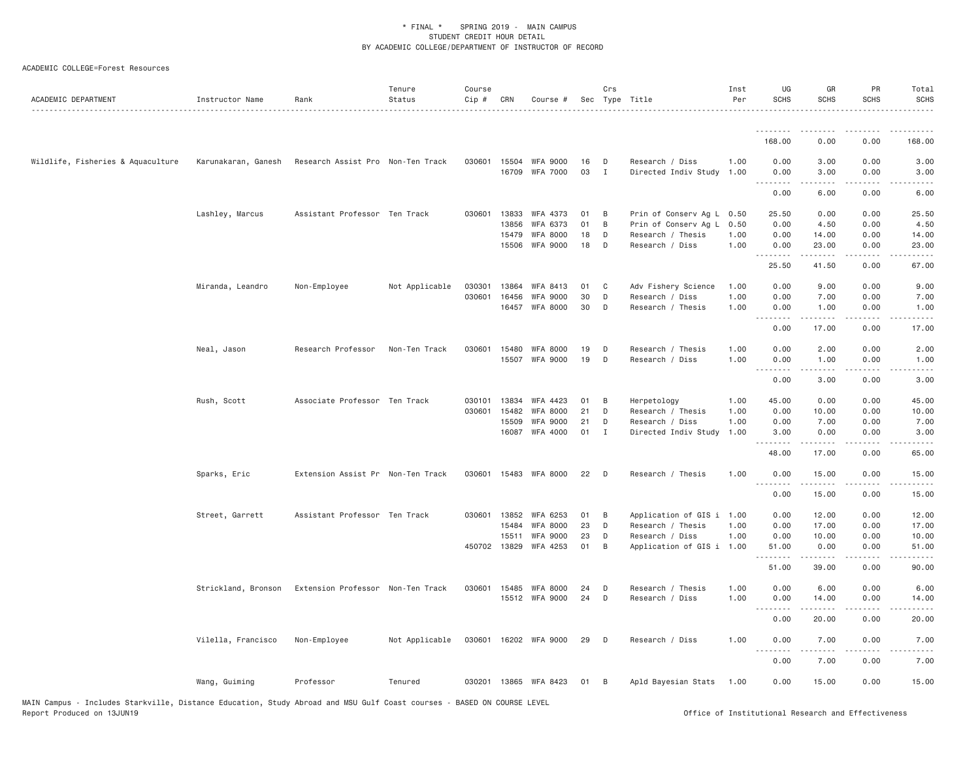| ACADEMIC DEPARTMENT               | Instructor Name     | Rank                              | Tenure<br>Status | Course<br>Cip # | CRN          | Course #                          |          | Crs            | Sec Type Title                       | Inst<br>Per  | UG<br>SCHS                   | GR<br><b>SCHS</b>                                                                                                                                            | PR<br><b>SCHS</b>     | Total<br><b>SCHS</b>                                                                                                                                                                     |
|-----------------------------------|---------------------|-----------------------------------|------------------|-----------------|--------------|-----------------------------------|----------|----------------|--------------------------------------|--------------|------------------------------|--------------------------------------------------------------------------------------------------------------------------------------------------------------|-----------------------|------------------------------------------------------------------------------------------------------------------------------------------------------------------------------------------|
|                                   |                     |                                   |                  |                 |              |                                   |          |                |                                      |              | <u>.</u>                     |                                                                                                                                                              |                       |                                                                                                                                                                                          |
|                                   |                     |                                   |                  |                 |              |                                   |          |                |                                      |              | 168.00                       | 0.00                                                                                                                                                         | 0.00                  | 168.00                                                                                                                                                                                   |
| Wildlife, Fisheries & Aquaculture | Karunakaran, Ganesh | Research Assist Pro Non-Ten Track |                  |                 |              | 030601 15504 WFA 9000             | 16       | $\mathsf{D}$   | Research / Diss                      | 1.00         | 0.00                         | 3.00                                                                                                                                                         | 0.00                  | 3.00                                                                                                                                                                                     |
|                                   |                     |                                   |                  |                 |              | 16709 WFA 7000                    | 03       | $\mathbf{I}$   | Directed Indiv Study 1.00            |              | 0.00<br>$\sim$ $\sim$ $\sim$ | 3.00<br>$\frac{1}{2}$                                                                                                                                        | 0.00<br>$\cdots$      | 3.00                                                                                                                                                                                     |
|                                   |                     |                                   |                  |                 |              |                                   |          |                |                                      |              | 0.00                         | 6.00                                                                                                                                                         | 0.00                  | 6.00                                                                                                                                                                                     |
|                                   | Lashley, Marcus     | Assistant Professor Ten Track     |                  | 030601          | 13833        | WFA 4373                          | 01       | B              | Prin of Conserv Ag L 0.50            |              | 25.50                        | 0.00                                                                                                                                                         | 0.00                  | 25.50                                                                                                                                                                                    |
|                                   |                     |                                   |                  |                 | 13856        | WFA 6373                          | 01       | B              | Prin of Conserv Ag L                 | 0.50         | 0.00                         | 4.50                                                                                                                                                         | 0.00                  | 4.50                                                                                                                                                                                     |
|                                   |                     |                                   |                  |                 | 15479        | <b>WFA 8000</b><br>15506 WFA 9000 | 18<br>18 | D<br>D         | Research / Thesis<br>Research / Diss | 1.00<br>1.00 | 0.00<br>0.00                 | 14.00<br>23.00                                                                                                                                               | 0.00<br>0.00          | 14.00<br>23.00                                                                                                                                                                           |
|                                   |                     |                                   |                  |                 |              |                                   |          |                |                                      |              | .                            | $\frac{1}{2} \left( \frac{1}{2} \right) \left( \frac{1}{2} \right) \left( \frac{1}{2} \right) \left( \frac{1}{2} \right) \left( \frac{1}{2} \right)$         |                       | الدامات مالدان                                                                                                                                                                           |
|                                   |                     |                                   |                  |                 |              |                                   |          |                |                                      |              | 25.50                        | 41.50                                                                                                                                                        | 0.00                  | 67.00                                                                                                                                                                                    |
|                                   | Miranda, Leandro    | Non-Employee                      | Not Applicable   | 030301          | 13864        | WFA 8413                          | 01       | $\mathbf{C}$   | Adv Fishery Science                  | 1.00         | 0.00                         | 9.00                                                                                                                                                         | 0.00                  | 9.00                                                                                                                                                                                     |
|                                   |                     |                                   |                  | 030601          | 16456        | <b>WFA 9000</b>                   | 30       | D              | Research / Diss                      | 1.00         | 0.00                         | 7.00                                                                                                                                                         | 0.00                  | 7.00                                                                                                                                                                                     |
|                                   |                     |                                   |                  |                 | 16457        | <b>WFA 8000</b>                   | 30       | D              | Research / Thesis                    | 1.00         | 0.00<br>.<br>$  -$           | 1.00<br>$\frac{1}{2} \left( \frac{1}{2} \right) \left( \frac{1}{2} \right) \left( \frac{1}{2} \right) \left( \frac{1}{2} \right) \left( \frac{1}{2} \right)$ | 0.00<br>$\frac{1}{2}$ | 1.00<br>$- - - - -$                                                                                                                                                                      |
|                                   |                     |                                   |                  |                 |              |                                   |          |                |                                      |              | 0.00                         | 17.00                                                                                                                                                        | 0.00                  | 17.00                                                                                                                                                                                    |
|                                   | Neal, Jason         | Research Professor                | Non-Ten Track    | 030601          | 15480        | <b>WFA 8000</b>                   | 19       | D              | Research / Thesis                    | 1.00         | 0.00                         | 2.00                                                                                                                                                         | 0.00                  | 2.00                                                                                                                                                                                     |
|                                   |                     |                                   |                  |                 | 15507        | <b>WFA 9000</b>                   | 19       | D              | Research / Diss                      | 1.00         | 0.00                         | 1.00                                                                                                                                                         | 0.00                  | 1.00                                                                                                                                                                                     |
|                                   |                     |                                   |                  |                 |              |                                   |          |                |                                      |              | .<br>0.00                    | 3.00                                                                                                                                                         | 0.00                  | 3.00                                                                                                                                                                                     |
|                                   | Rush, Scott         | Associate Professor Ten Track     |                  |                 | 030101 13834 | WFA 4423                          | 01       | B              | Herpetology                          | 1.00         | 45.00                        | 0.00                                                                                                                                                         | 0.00                  | 45.00                                                                                                                                                                                    |
|                                   |                     |                                   |                  |                 | 030601 15482 | <b>WFA 8000</b>                   | 21       | D              | Research / Thesis                    | 1.00         | 0.00                         | 10.00                                                                                                                                                        | 0.00                  | 10.00                                                                                                                                                                                    |
|                                   |                     |                                   |                  |                 | 15509        | <b>WFA 9000</b>                   | 21       | D              | Research / Diss                      | 1.00         | 0.00                         | 7.00                                                                                                                                                         | 0.00                  | 7.00                                                                                                                                                                                     |
|                                   |                     |                                   |                  |                 | 16087        | WFA 4000                          | 01 I     |                | Directed Indiv Study                 | 1.00         | 3.00<br>.                    | 0.00                                                                                                                                                         | 0.00                  | 3.00                                                                                                                                                                                     |
|                                   |                     |                                   |                  |                 |              |                                   |          |                |                                      |              | 48.00                        | 17.00                                                                                                                                                        | 0.00                  | 65.00                                                                                                                                                                                    |
|                                   | Sparks, Eric        | Extension Assist Pr Non-Ten Track |                  |                 |              | 030601 15483 WFA 8000             | 22       | $\Box$         | Research / Thesis                    | 1.00         | 0.00<br><u>.</u>             | 15.00                                                                                                                                                        | 0.00                  | 15.00                                                                                                                                                                                    |
|                                   |                     |                                   |                  |                 |              |                                   |          |                |                                      |              | 0.00                         | 15.00                                                                                                                                                        | 0.00                  | 15.00                                                                                                                                                                                    |
|                                   | Street, Garrett     | Assistant Professor Ten Track     |                  |                 | 030601 13852 | WFA 6253                          | 01       | $\overline{B}$ | Application of GIS i 1.00            |              | 0.00                         | 12.00                                                                                                                                                        | 0.00                  | 12.00                                                                                                                                                                                    |
|                                   |                     |                                   |                  |                 | 15484        | <b>WFA 8000</b>                   | 23       | D              | Research / Thesis                    | 1.00         | 0.00                         | 17.00                                                                                                                                                        | 0.00                  | 17.00                                                                                                                                                                                    |
|                                   |                     |                                   |                  |                 | 15511        | <b>WFA 9000</b>                   | 23       | D              | Research / Diss                      | 1.00         | 0.00                         | 10.00                                                                                                                                                        | 0.00                  | 10.00                                                                                                                                                                                    |
|                                   |                     |                                   |                  |                 | 450702 13829 | WFA 4253                          | 01       | B              | Application of GIS i 1.00            |              | 51.00<br>.                   | 0.00                                                                                                                                                         | 0.00                  | 51.00                                                                                                                                                                                    |
|                                   |                     |                                   |                  |                 |              |                                   |          |                |                                      |              | 51.00                        | 39.00                                                                                                                                                        | 0.00                  | 90.00                                                                                                                                                                                    |
|                                   | Strickland, Bronson | Extension Professor Non-Ten Track |                  | 030601          | 15485        | <b>WFA 8000</b>                   | 24       | D              | Research / Thesis                    | 1.00         | 0.00                         | 6.00                                                                                                                                                         | 0.00                  | 6.00                                                                                                                                                                                     |
|                                   |                     |                                   |                  |                 |              | 15512 WFA 9000                    | 24       | D              | Research / Diss                      | 1.00         | 0.00<br>.                    | 14.00<br>-----                                                                                                                                               | 0.00                  | 14.00<br>$\frac{1}{2} \left( \frac{1}{2} \right) \left( \frac{1}{2} \right) \left( \frac{1}{2} \right) \left( \frac{1}{2} \right) \left( \frac{1}{2} \right) \left( \frac{1}{2} \right)$ |
|                                   |                     |                                   |                  |                 |              |                                   |          |                |                                      |              | 0.00                         | 20.00                                                                                                                                                        | 0.00                  | 20.00                                                                                                                                                                                    |
|                                   | Vilella, Francisco  | Non-Employee                      | Not Applicable   |                 |              | 030601 16202 WFA 9000             | 29       | $\mathsf{D}$   | Research / Diss                      | 1.00         | 0.00<br><u>.</u>             | 7.00<br>.                                                                                                                                                    | 0.00                  | 7.00                                                                                                                                                                                     |
|                                   |                     |                                   |                  |                 |              |                                   |          |                |                                      |              | 0.00                         | 7.00                                                                                                                                                         | 0.00                  | 7.00                                                                                                                                                                                     |
|                                   | Wang, Guiming       | Professor                         | Tenured          |                 |              | 030201 13865 WFA 8423             | 01       | $\overline{B}$ | Apld Bayesian Stats 1.00             |              | 0.00                         | 15.00                                                                                                                                                        | 0.00                  | 15.00                                                                                                                                                                                    |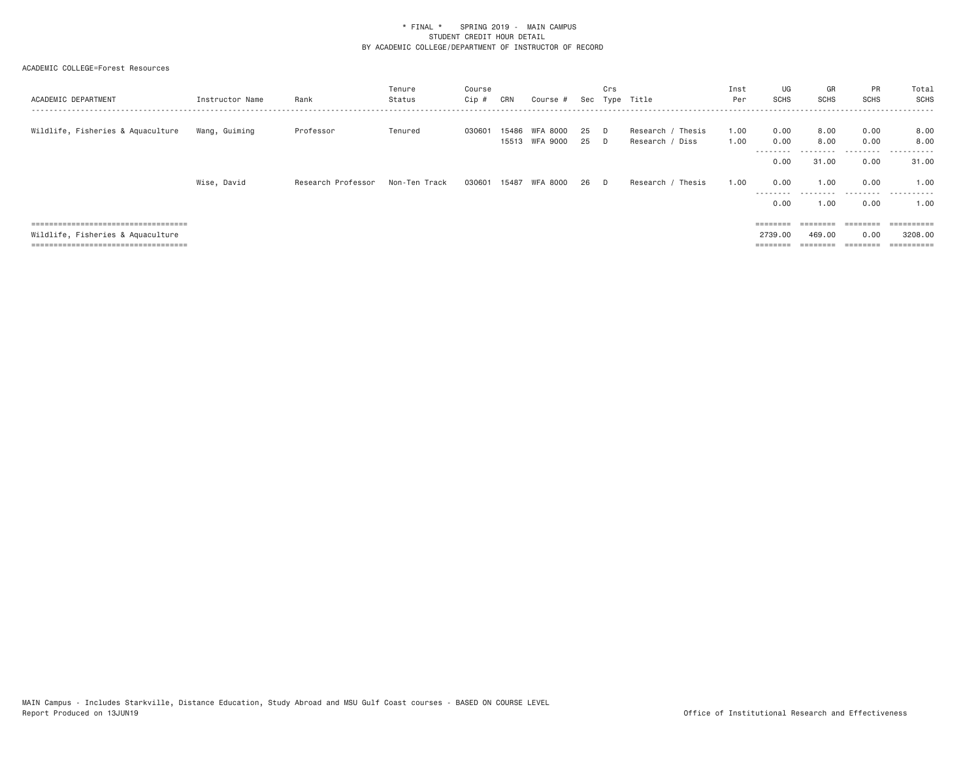| ACADEMIC DEPARTMENT                   | Instructor Name | Rank               | Tenure<br>Status | Course<br>Cip # | CRN            | Course #             |          | Crs<br>Sec Type | Title                                | Inst<br>Per  | UG<br>SCHS                | GR<br><b>SCHS</b> | PR<br><b>SCHS</b> | Total<br>SCHS     |
|---------------------------------------|-----------------|--------------------|------------------|-----------------|----------------|----------------------|----------|-----------------|--------------------------------------|--------------|---------------------------|-------------------|-------------------|-------------------|
| Wildlife, Fisheries & Aquaculture     | Wang, Guiming   | Professor          | Tenured          | 030601          | 15486<br>15513 | WFA 8000<br>WFA 9000 | 25<br>25 | D.<br>D.        | Research / Thesis<br>Research / Diss | 1.00<br>1.00 | 0.00<br>0.00<br>--------- | 8,00<br>8,00<br>. | 0.00<br>0.00<br>. | 8.00<br>8,00<br>. |
|                                       |                 |                    |                  |                 |                |                      |          |                 |                                      |              | 0.00                      | 31.00             | 0.00              | 31.00             |
|                                       | Wise, David     | Research Professor | Non-Ten Track    | 030601          | 15487          | WFA 8000             | 26       | D.              | / Thesis<br>Research /               | 1.00         | 0.00<br>---------         | 1.00<br>--------- | 0.00<br>.         | 1.00<br>.         |
|                                       |                 |                    |                  |                 |                |                      |          |                 |                                      |              | 0.00                      | 1.00              | 0.00              | 1.00              |
| ===================================== |                 |                    |                  |                 |                |                      |          |                 |                                      |              | $=$ = = = = = = =         | ========          |                   |                   |
| Wildlife, Fisheries & Aquaculture     |                 |                    |                  |                 |                |                      |          |                 |                                      |              | 2739.00                   | 469.00            | 0.00              | 3208,00           |
| ------------------------------        |                 |                    |                  |                 |                |                      |          |                 |                                      |              | $====$                    |                   | ========          |                   |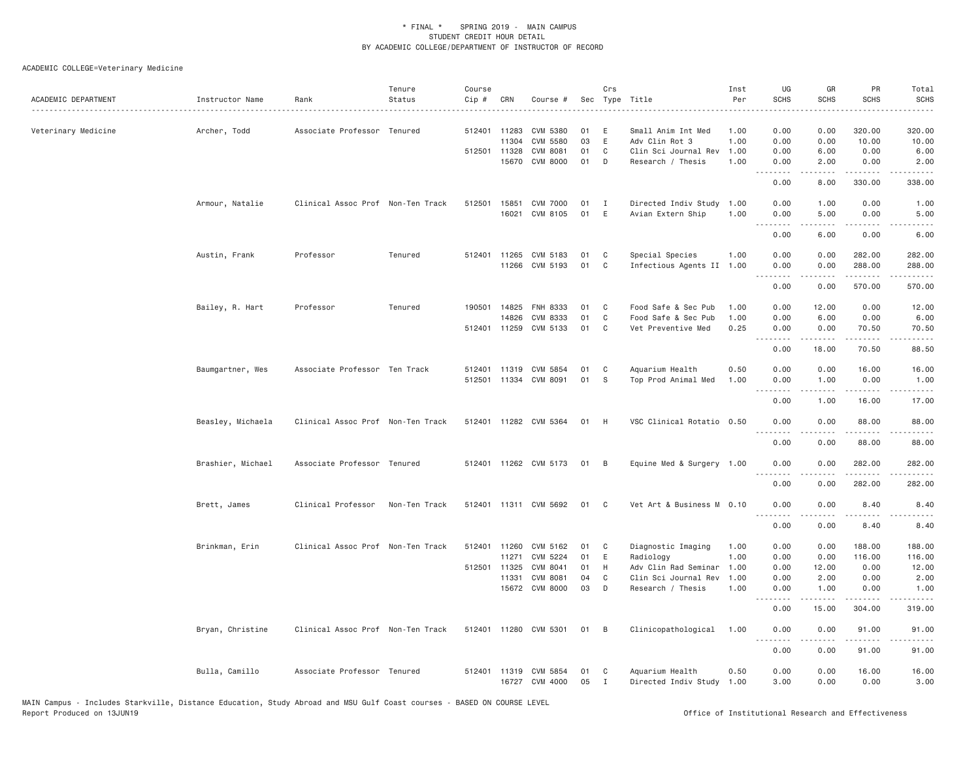| ACADEMIC DEPARTMENT | Instructor Name   | Rank                              | Tenure<br>Status | Course<br>Cip # | CRN          | Course #              |    | Crs          | Sec Type Title            | Inst<br>Per | UG<br><b>SCHS</b>              | GR<br><b>SCHS</b>   | PR<br><b>SCHS</b>                                                                                                                                             | Total<br><b>SCHS</b><br>.                   |
|---------------------|-------------------|-----------------------------------|------------------|-----------------|--------------|-----------------------|----|--------------|---------------------------|-------------|--------------------------------|---------------------|---------------------------------------------------------------------------------------------------------------------------------------------------------------|---------------------------------------------|
| Veterinary Medicine | Archer, Todd      | Associate Professor Tenured       |                  |                 | 512401 11283 | CVM 5380              | 01 | E            | Small Anim Int Med        | 1.00        | 0.00                           | 0.00                | 320.00                                                                                                                                                        | 320.00                                      |
|                     |                   |                                   |                  |                 | 11304        | CVM 5580              | 03 | $\mathsf E$  | Adv Clin Rot 3            | 1.00        | 0.00                           | 0.00                | 10.00                                                                                                                                                         | 10.00                                       |
|                     |                   |                                   |                  |                 | 512501 11328 | CVM 8081              | 01 | C            | Clin Sci Journal Rev      | 1.00        | 0.00                           | 6.00                | 0.00                                                                                                                                                          | 6.00                                        |
|                     |                   |                                   |                  |                 | 15670        | CVM 8000              | 01 | D            | Research / Thesis         | 1.00        | 0.00<br>$\omega$ is a $\omega$ | 2.00                | 0.00<br>.                                                                                                                                                     | 2.00                                        |
|                     |                   |                                   |                  |                 |              |                       |    |              |                           |             | 0.00                           | 8.00                | 330.00                                                                                                                                                        | 338.00                                      |
|                     | Armour, Natalie   | Clinical Assoc Prof Non-Ten Track |                  |                 | 512501 15851 | CVM 7000              | 01 | $\mathbf{I}$ | Directed Indiv Study      | 1.00        | 0.00                           | 1.00                | 0.00                                                                                                                                                          | 1.00                                        |
|                     |                   |                                   |                  |                 |              | 16021 CVM 8105        | 01 | E            | Avian Extern Ship         | 1.00        | 0.00<br>.                      | 5.00<br>.           | 0.00<br>.                                                                                                                                                     | 5.00<br>.                                   |
|                     |                   |                                   |                  |                 |              |                       |    |              |                           |             | 0.00                           | 6.00                | 0.00                                                                                                                                                          | 6.00                                        |
|                     | Austin, Frank     | Professor                         | Tenured          |                 |              | 512401 11265 CVM 5183 | 01 | C            | Special Species           | 1.00        | 0.00                           | 0.00                | 282.00                                                                                                                                                        | 282.00                                      |
|                     |                   |                                   |                  |                 |              | 11266 CVM 5193        | 01 | C            | Infectious Agents II 1.00 |             | 0.00                           | 0.00                | 288.00                                                                                                                                                        | 288.00                                      |
|                     |                   |                                   |                  |                 |              |                       |    |              |                           |             | .<br>0.00                      | .<br>0.00           | .<br>570.00                                                                                                                                                   | $\alpha$ is a single $\alpha$<br>570.00     |
|                     | Bailey, R. Hart   | Professor                         | Tenured          | 190501          | 14825        | <b>FNH 8333</b>       | 01 | C            | Food Safe & Sec Pub       | 1.00        | 0.00                           | 12.00               | 0.00                                                                                                                                                          | 12.00                                       |
|                     |                   |                                   |                  |                 | 14826        | CVM 8333              | 01 | C            | Food Safe & Sec Pub       | 1.00        | 0.00                           | 6.00                | 0.00                                                                                                                                                          | 6.00                                        |
|                     |                   |                                   |                  |                 |              | 512401 11259 CVM 5133 | 01 | C            | Vet Preventive Med        | 0.25        | 0.00<br>.                      | 0.00<br>$- - - - -$ | 70.50<br>$\frac{1}{2} \left( \frac{1}{2} \right) \left( \frac{1}{2} \right) \left( \frac{1}{2} \right) \left( \frac{1}{2} \right) \left( \frac{1}{2} \right)$ | 70.50<br>$\sim$ $\sim$ $\sim$ $\sim$ $\sim$ |
|                     |                   |                                   |                  |                 |              |                       |    |              |                           |             | 0.00                           | 18.00               | 70.50                                                                                                                                                         | 88.50                                       |
|                     | Baumgartner, Wes  | Associate Professor Ten Track     |                  |                 |              | 512401 11319 CVM 5854 | 01 | C            | Aquarium Health           | 0.50        | 0.00                           | 0.00                | 16.00                                                                                                                                                         | 16.00                                       |
|                     |                   |                                   |                  |                 |              | 512501 11334 CVM 8091 | 01 | S            | Top Prod Animal Med       | 1.00        | 0.00                           | 1.00                | 0.00                                                                                                                                                          | 1.00                                        |
|                     |                   |                                   |                  |                 |              |                       |    |              |                           |             | . <i>.</i><br>0.00             | .<br>1.00           | .<br>16.00                                                                                                                                                    | د د د د د<br>17.00                          |
|                     | Beasley, Michaela | Clinical Assoc Prof Non-Ten Track |                  |                 |              | 512401 11282 CVM 5364 | 01 | H            | VSC Clinical Rotatio 0.50 |             | 0.00                           | 0.00                | 88.00                                                                                                                                                         | 88.00                                       |
|                     |                   |                                   |                  |                 |              |                       |    |              |                           |             | <u> - - - - - - - -</u>        |                     |                                                                                                                                                               |                                             |
|                     |                   |                                   |                  |                 |              |                       |    |              |                           |             | 0.00                           | 0.00                | 88.00                                                                                                                                                         | 88.00                                       |
|                     | Brashier, Michael | Associate Professor Tenured       |                  |                 |              | 512401 11262 CVM 5173 | 01 | B            | Equine Med & Surgery 1.00 |             | 0.00                           | 0.00                | 282.00                                                                                                                                                        | 282.00<br>.                                 |
|                     |                   |                                   |                  |                 |              |                       |    |              |                           |             | 0.00                           | 0.00                | 282.00                                                                                                                                                        | 282.00                                      |
|                     | Brett, James      | Clinical Professor                | Non-Ten Track    |                 |              | 512401 11311 CVM 5692 | 01 | C            | Vet Art & Business M 0.10 |             | 0.00                           | 0.00                | 8.40                                                                                                                                                          | 8.40                                        |
|                     |                   |                                   |                  |                 |              |                       |    |              |                           |             | <u>.</u><br>0.00               | .<br>0.00           | .<br>8.40                                                                                                                                                     | -----<br>8.40                               |
|                     | Brinkman, Erin    | Clinical Assoc Prof Non-Ten Track |                  |                 |              | 512401 11260 CVM 5162 | 01 | C            | Diagnostic Imaging        | 1.00        | 0.00                           | 0.00                | 188.00                                                                                                                                                        | 188.00                                      |
|                     |                   |                                   |                  |                 | 11271        | CVM 5224              | 01 | E            | Radiology                 | 1.00        | 0.00                           | 0.00                | 116.00                                                                                                                                                        | 116.00                                      |
|                     |                   |                                   |                  |                 | 512501 11325 | CVM 8041              | 01 | H            | Adv Clin Rad Seminar      | 1.00        | 0.00                           | 12.00               | 0.00                                                                                                                                                          | 12.00                                       |
|                     |                   |                                   |                  |                 | 11331        | CVM 8081              | 04 | C            | Clin Sci Journal Rev      | 1.00        | 0.00                           | 2.00                | 0.00                                                                                                                                                          | 2.00                                        |
|                     |                   |                                   |                  |                 |              | 15672 CVM 8000        | 03 | D            | Research / Thesis         | 1.00        | 0.00<br>.                      | 1.00<br>.           | 0.00<br>.                                                                                                                                                     | 1.00<br><u>.</u>                            |
|                     |                   |                                   |                  |                 |              |                       |    |              |                           |             | 0.00                           | 15.00               | 304.00                                                                                                                                                        | 319.00                                      |
|                     | Bryan, Christine  | Clinical Assoc Prof Non-Ten Track |                  |                 |              | 512401 11280 CVM 5301 | 01 | B            | Clinicopathological       | 1.00        | 0.00<br>.                      | 0.00<br>.           | 91.00<br>.                                                                                                                                                    | 91.00<br>.                                  |
|                     |                   |                                   |                  |                 |              |                       |    |              |                           |             | 0.00                           | 0.00                | 91.00                                                                                                                                                         | 91.00                                       |
|                     | Bulla, Camillo    | Associate Professor Tenured       |                  |                 |              | 512401 11319 CVM 5854 | 01 | C            | Aquarium Health           | 0.50        | 0.00                           | 0.00                | 16.00                                                                                                                                                         | 16.00                                       |
|                     |                   |                                   |                  |                 |              | 16727 CVM 4000        | 05 | $\mathbf I$  | Directed Indiv Study 1.00 |             | 3.00                           | 0.00                | 0.00                                                                                                                                                          | 3.00                                        |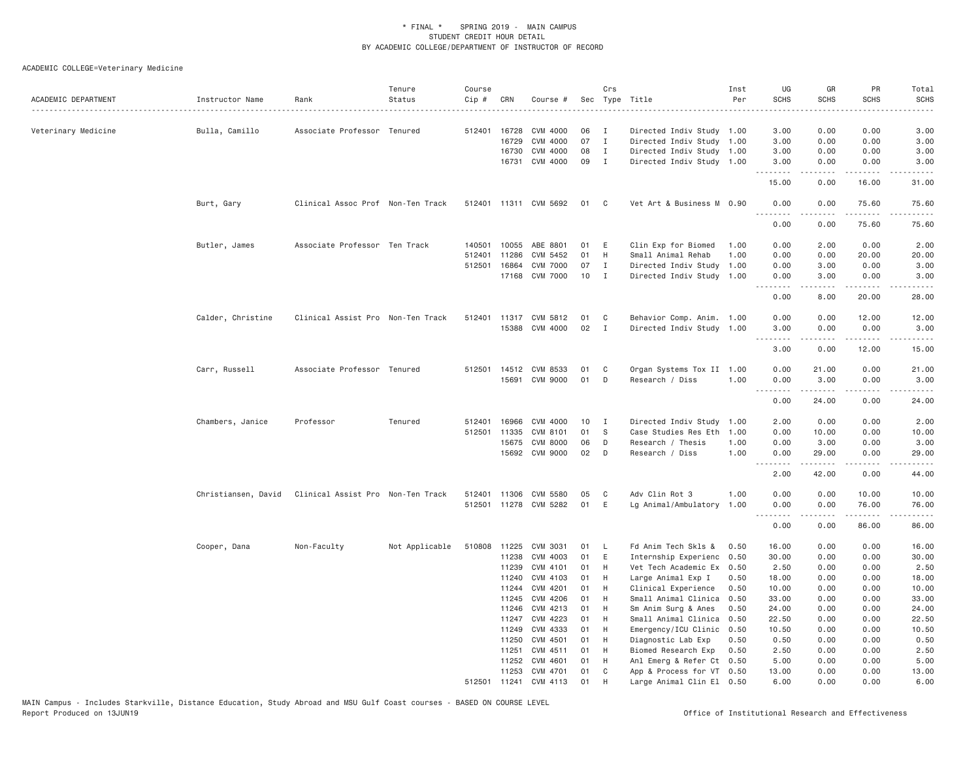| ACADEMIC DEPARTMENT | Instructor Name     | Rank                              | Tenure<br>Status | Course<br>Cip # | CRN          | Course #              |    | Crs          | Sec Type Title            | Inst<br>Per | UG<br><b>SCHS</b><br>.                                                                                                                                                                                                                                                                                                                                                                                                                                                                         | GR<br><b>SCHS</b>   | PR<br><b>SCHS</b>                           | Total<br><b>SCHS</b><br>. |
|---------------------|---------------------|-----------------------------------|------------------|-----------------|--------------|-----------------------|----|--------------|---------------------------|-------------|------------------------------------------------------------------------------------------------------------------------------------------------------------------------------------------------------------------------------------------------------------------------------------------------------------------------------------------------------------------------------------------------------------------------------------------------------------------------------------------------|---------------------|---------------------------------------------|---------------------------|
| Veterinary Medicine | Bulla, Camillo      | Associate Professor Tenured       |                  |                 | 512401 16728 | CVM 4000              | 06 | I            | Directed Indiv Study 1.00 |             | 3.00                                                                                                                                                                                                                                                                                                                                                                                                                                                                                           | 0.00                | 0.00                                        | 3.00                      |
|                     |                     |                                   |                  |                 | 16729        | CVM 4000              | 07 | $\mathbf I$  | Directed Indiv Study 1.00 |             | 3.00                                                                                                                                                                                                                                                                                                                                                                                                                                                                                           | 0.00                | 0.00                                        | 3.00                      |
|                     |                     |                                   |                  |                 | 16730        | CVM 4000              | 08 | $\mathbf{I}$ | Directed Indiv Study 1.00 |             | 3.00                                                                                                                                                                                                                                                                                                                                                                                                                                                                                           | 0.00                | 0.00                                        | 3.00                      |
|                     |                     |                                   |                  |                 | 16731        | CVM 4000              | 09 | I.           | Directed Indiv Study 1.00 |             | 3.00                                                                                                                                                                                                                                                                                                                                                                                                                                                                                           | 0.00                | 0.00                                        | 3.00                      |
|                     |                     |                                   |                  |                 |              |                       |    |              |                           |             | .<br>15.00                                                                                                                                                                                                                                                                                                                                                                                                                                                                                     | .<br>0.00           | .<br>16.00                                  | .<br>31.00                |
|                     | Burt, Gary          | Clinical Assoc Prof Non-Ten Track |                  |                 |              | 512401 11311 CVM 5692 | 01 | C            | Vet Art & Business M 0.90 |             | 0.00                                                                                                                                                                                                                                                                                                                                                                                                                                                                                           | 0.00                | 75.60                                       | 75.60                     |
|                     |                     |                                   |                  |                 |              |                       |    |              |                           |             | .<br>0.00                                                                                                                                                                                                                                                                                                                                                                                                                                                                                      | .<br>0.00           | $\sim$ $\sim$ $\sim$ $\sim$ $\sim$<br>75.60 | .<br>75.60                |
|                     | Butler, James       | Associate Professor Ten Track     |                  | 140501          | 10055        | ABE 8801              | 01 | E            | Clin Exp for Biomed       | 1.00        | 0.00                                                                                                                                                                                                                                                                                                                                                                                                                                                                                           | 2.00                | 0.00                                        | 2.00                      |
|                     |                     |                                   |                  | 512401          | 11286        | CVM 5452              | 01 | H            | Small Animal Rehab        | 1.00        | 0.00                                                                                                                                                                                                                                                                                                                                                                                                                                                                                           | 0.00                | 20.00                                       | 20.00                     |
|                     |                     |                                   |                  | 512501          | 16864        | <b>CVM 7000</b>       | 07 | $\mathbf{I}$ | Directed Indiv Study 1.00 |             | 0.00                                                                                                                                                                                                                                                                                                                                                                                                                                                                                           | 3.00                | 0.00                                        | 3.00                      |
|                     |                     |                                   |                  |                 |              | 17168 CVM 7000        | 10 | I            | Directed Indiv Study 1.00 |             | 0.00<br>.                                                                                                                                                                                                                                                                                                                                                                                                                                                                                      | 3.00<br>.           | 0.00                                        | 3.00                      |
|                     |                     |                                   |                  |                 |              |                       |    |              |                           |             | 0.00                                                                                                                                                                                                                                                                                                                                                                                                                                                                                           | 8.00                | 20.00                                       | 28.00                     |
|                     | Calder, Christine   | Clinical Assist Pro Non-Ten Track |                  |                 |              | 512401 11317 CVM 5812 | 01 | C            | Behavior Comp. Anim. 1.00 |             | 0.00                                                                                                                                                                                                                                                                                                                                                                                                                                                                                           | 0.00                | 12.00                                       | 12.00                     |
|                     |                     |                                   |                  |                 |              | 15388 CVM 4000        | 02 | $\mathbf{I}$ | Directed Indiv Study 1.00 |             | 3.00                                                                                                                                                                                                                                                                                                                                                                                                                                                                                           | 0.00                | 0.00                                        | 3.00                      |
|                     |                     |                                   |                  |                 |              |                       |    |              |                           |             | .                                                                                                                                                                                                                                                                                                                                                                                                                                                                                              | -----               | .                                           | د د د د د                 |
|                     |                     |                                   |                  |                 |              |                       |    |              |                           |             | 3.00                                                                                                                                                                                                                                                                                                                                                                                                                                                                                           | 0.00                | 12.00                                       | 15.00                     |
|                     | Carr, Russell       | Associate Professor Tenured       |                  |                 |              | 512501 14512 CVM 8533 | 01 | C            | Organ Systems Tox II 1.00 |             | 0.00                                                                                                                                                                                                                                                                                                                                                                                                                                                                                           | 21.00               | 0.00                                        | 21.00                     |
|                     |                     |                                   |                  |                 |              | 15691 CVM 9000        | 01 | D            | Research / Diss           | 1.00        | 0.00                                                                                                                                                                                                                                                                                                                                                                                                                                                                                           | 3.00                | 0.00                                        | 3.00                      |
|                     |                     |                                   |                  |                 |              |                       |    |              |                           |             | <u>.</u><br>0.00                                                                                                                                                                                                                                                                                                                                                                                                                                                                               | .<br>24.00          | .<br>0.00                                   | .<br>24.00                |
|                     | Chambers, Janice    | Professor                         | Tenured          | 512401          | 16966        | CVM 4000              | 10 | I            | Directed Indiv Study 1.00 |             | 2.00                                                                                                                                                                                                                                                                                                                                                                                                                                                                                           | 0.00                | 0.00                                        | 2.00                      |
|                     |                     |                                   |                  |                 | 512501 11335 | CVM 8101              | 01 | S            | Case Studies Res Eth      | 1.00        | 0.00                                                                                                                                                                                                                                                                                                                                                                                                                                                                                           | 10.00               | 0.00                                        | 10.00                     |
|                     |                     |                                   |                  |                 | 15675        | <b>CVM 8000</b>       | 06 | D            | Research / Thesis         | 1.00        | 0.00                                                                                                                                                                                                                                                                                                                                                                                                                                                                                           | 3.00                | 0.00                                        | 3.00                      |
|                     |                     |                                   |                  |                 | 15692        | CVM 9000              | 02 | D            | Research / Diss           | 1.00        | 0.00                                                                                                                                                                                                                                                                                                                                                                                                                                                                                           | 29.00               | 0.00                                        | 29.00                     |
|                     |                     |                                   |                  |                 |              |                       |    |              |                           |             | .<br>2.00                                                                                                                                                                                                                                                                                                                                                                                                                                                                                      | 42.00               | .<br>0.00                                   | .<br>44.00                |
|                     | Christiansen, David | Clinical Assist Pro Non-Ten Track |                  |                 |              | 512401 11306 CVM 5580 | 05 | C            | Adv Clin Rot 3            | 1.00        | 0.00                                                                                                                                                                                                                                                                                                                                                                                                                                                                                           | 0.00                | 10.00                                       | 10.00                     |
|                     |                     |                                   |                  |                 |              | 512501 11278 CVM 5282 | 01 | E            | Lg Animal/Ambulatory 1.00 |             | 0.00                                                                                                                                                                                                                                                                                                                                                                                                                                                                                           | 0.00                | 76.00                                       | 76.00                     |
|                     |                     |                                   |                  |                 |              |                       |    |              |                           |             | $\begin{array}{cccccccccccccc} \multicolumn{2}{c}{} & \multicolumn{2}{c}{} & \multicolumn{2}{c}{} & \multicolumn{2}{c}{} & \multicolumn{2}{c}{} & \multicolumn{2}{c}{} & \multicolumn{2}{c}{} & \multicolumn{2}{c}{} & \multicolumn{2}{c}{} & \multicolumn{2}{c}{} & \multicolumn{2}{c}{} & \multicolumn{2}{c}{} & \multicolumn{2}{c}{} & \multicolumn{2}{c}{} & \multicolumn{2}{c}{} & \multicolumn{2}{c}{} & \multicolumn{2}{c}{} & \multicolumn{2}{c}{} & \multicolumn{2}{c}{} & \$<br>0.00 | $- - - - -$<br>0.00 | .<br>86.00                                  | .<br>86.00                |
|                     | Cooper, Dana        | Non-Faculty                       | Not Applicable   | 510808          | 11225        | CVM 3031              | 01 | <b>L</b>     | Fd Anim Tech Skls &       | 0.50        | 16.00                                                                                                                                                                                                                                                                                                                                                                                                                                                                                          | 0.00                | 0.00                                        | 16.00                     |
|                     |                     |                                   |                  |                 | 11238        | CVM 4003              | 01 | E            | Internship Experienc      | 0.50        | 30.00                                                                                                                                                                                                                                                                                                                                                                                                                                                                                          | 0.00                | 0.00                                        | 30.00                     |
|                     |                     |                                   |                  |                 | 11239        | CVM 4101              | 01 | H            | Vet Tech Academic Ex 0.50 |             | 2.50                                                                                                                                                                                                                                                                                                                                                                                                                                                                                           | 0.00                | 0.00                                        | 2.50                      |
|                     |                     |                                   |                  |                 | 11240        | CVM 4103              | 01 | H            | Large Animal Exp I        | 0.50        | 18.00                                                                                                                                                                                                                                                                                                                                                                                                                                                                                          | 0.00                | 0.00                                        | 18.00                     |
|                     |                     |                                   |                  |                 | 11244        | CVM 4201              | 01 | H            | Clinical Experience       | 0.50        | 10.00                                                                                                                                                                                                                                                                                                                                                                                                                                                                                          | 0.00                | 0.00                                        | 10.00                     |
|                     |                     |                                   |                  |                 | 11245        | CVM 4206              | 01 | H            | Small Animal Clinica      | 0.50        | 33.00                                                                                                                                                                                                                                                                                                                                                                                                                                                                                          | 0.00                | 0.00                                        | 33.00                     |
|                     |                     |                                   |                  |                 | 11246        | CVM 4213              | 01 | H            | Sm Anim Surg & Anes       | 0.50        | 24.00                                                                                                                                                                                                                                                                                                                                                                                                                                                                                          | 0.00                | 0.00                                        | 24.00                     |
|                     |                     |                                   |                  |                 | 11247        | CVM 4223              | 01 | H            | Small Animal Clinica      | 0.50        | 22.50                                                                                                                                                                                                                                                                                                                                                                                                                                                                                          | 0.00                | 0.00                                        | 22.50                     |
|                     |                     |                                   |                  |                 | 11249        | CVM 4333              | 01 | H            | Emergency/ICU Clinic      | 0.50        | 10.50                                                                                                                                                                                                                                                                                                                                                                                                                                                                                          | 0.00                | 0.00                                        | 10.50                     |
|                     |                     |                                   |                  |                 | 11250        | CVM 4501              | 01 | H            | Diagnostic Lab Exp        | 0.50        | 0.50                                                                                                                                                                                                                                                                                                                                                                                                                                                                                           | 0.00                | 0.00                                        | 0.50                      |
|                     |                     |                                   |                  |                 | 11251        | CVM 4511              | 01 | H            | Biomed Research Exp       | 0.50        | 2.50                                                                                                                                                                                                                                                                                                                                                                                                                                                                                           | 0.00                | 0.00                                        | 2.50                      |
|                     |                     |                                   |                  |                 | 11252        | CVM 4601              | 01 | H            | Anl Emerg & Refer Ct 0.50 |             | 5.00                                                                                                                                                                                                                                                                                                                                                                                                                                                                                           | 0.00                | 0.00                                        | 5.00                      |
|                     |                     |                                   |                  |                 | 11253        | CVM 4701              | 01 | C            | App & Process for VT 0.50 |             | 13.00                                                                                                                                                                                                                                                                                                                                                                                                                                                                                          | 0.00                | 0.00                                        | 13.00                     |
|                     |                     |                                   |                  | 512501          | 11241        | CVM 4113              | 01 | H            | Large Animal Clin El 0.50 |             | 6.00                                                                                                                                                                                                                                                                                                                                                                                                                                                                                           | 0.00                | 0.00                                        | 6.00                      |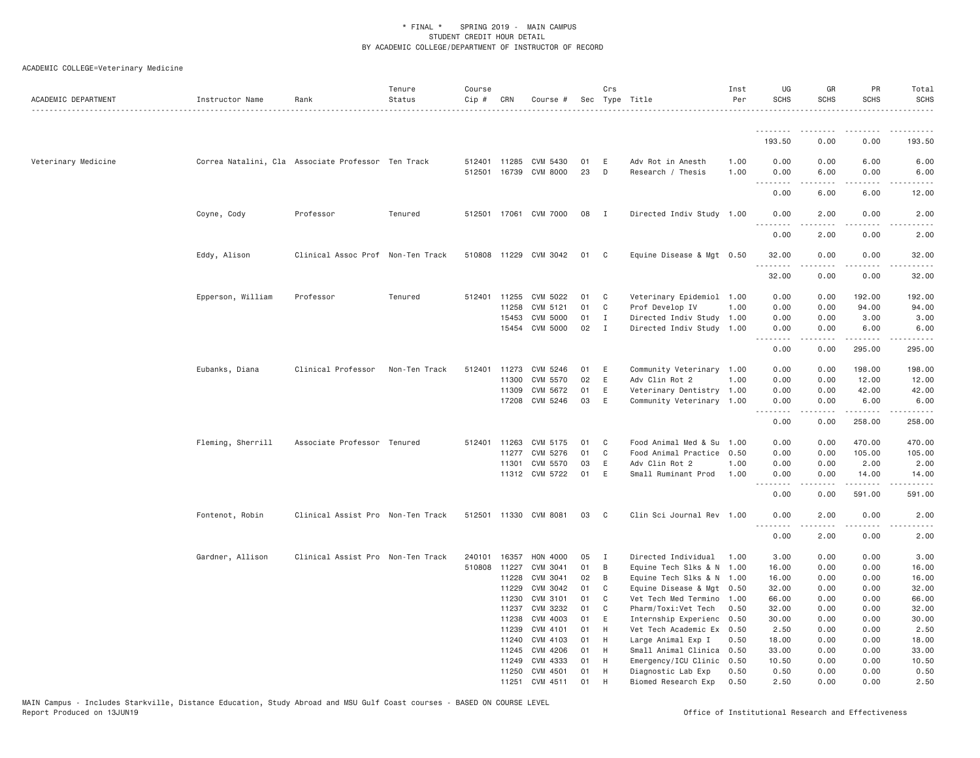| ACADEMIC DEPARTMENT | Instructor Name                                    | Rank                              | Tenure<br>Status | Course<br>Cip # | CRN          | Course #                                       |          | Crs          | Sec Type Title                         | Inst<br>Per  | UG<br><b>SCHS</b>  | GR<br><b>SCHS</b> | PR<br><b>SCHS</b>           | Total<br><b>SCHS</b>                                                                                                                                                                    |
|---------------------|----------------------------------------------------|-----------------------------------|------------------|-----------------|--------------|------------------------------------------------|----------|--------------|----------------------------------------|--------------|--------------------|-------------------|-----------------------------|-----------------------------------------------------------------------------------------------------------------------------------------------------------------------------------------|
|                     |                                                    |                                   |                  |                 |              |                                                |          |              |                                        |              | .                  |                   |                             |                                                                                                                                                                                         |
|                     |                                                    |                                   |                  |                 |              |                                                |          |              |                                        |              | 193.50             | 0.00              | 0.00                        | 193.50                                                                                                                                                                                  |
| Veterinary Medicine | Correa Natalini, Cla Associate Professor Ten Track |                                   |                  |                 |              | 512401 11285 CVM 5430<br>512501 16739 CVM 8000 | 01<br>23 | E<br>D       | Adv Rot in Anesth<br>Research / Thesis | 1.00<br>1.00 | 0.00<br>0.00       | 0.00<br>6.00      | 6.00<br>0.00                | 6.00<br>6.00                                                                                                                                                                            |
|                     |                                                    |                                   |                  |                 |              |                                                |          |              |                                        |              |                    |                   | $\sim$ $\sim$ $\sim$ $\sim$ |                                                                                                                                                                                         |
|                     |                                                    |                                   |                  |                 |              |                                                |          |              |                                        |              | 0.00               | 6.00              | 6.00                        | 12.00                                                                                                                                                                                   |
|                     | Coyne, Cody                                        | Professor                         | Tenured          |                 |              | 512501 17061 CVM 7000                          | 08       | $\mathbf{I}$ | Directed Indiv Study 1.00              |              | 0.00<br>. <i>.</i> | 2.00<br><b>.</b>  | 0.00<br>.                   | 2.00<br>$- - - - -$                                                                                                                                                                     |
|                     |                                                    |                                   |                  |                 |              |                                                |          |              |                                        |              | 0.00               | 2.00              | 0.00                        | 2.00                                                                                                                                                                                    |
|                     | Eddy, Alison                                       | Clinical Assoc Prof Non-Ten Track |                  | 510808          |              | 11229 CVM 3042                                 | 01       | C            | Equine Disease & Mgt 0.50              |              | 32.00<br>.         | 0.00<br>.         | 0.00<br>.                   | 32.00<br>.                                                                                                                                                                              |
|                     |                                                    |                                   |                  |                 |              |                                                |          |              |                                        |              | 32.00              | 0.00              | 0.00                        | 32.00                                                                                                                                                                                   |
|                     | Epperson, William                                  | Professor                         | Tenured          | 512401          | 11255        | CVM 5022                                       | 01       | C            | Veterinary Epidemiol 1.00              |              | 0.00               | 0.00              | 192.00                      | 192.00                                                                                                                                                                                  |
|                     |                                                    |                                   |                  |                 | 11258        | CVM 5121                                       | 01       | C            | Prof Develop IV                        | 1.00         | 0.00               | 0.00              | 94.00                       | 94.00                                                                                                                                                                                   |
|                     |                                                    |                                   |                  |                 | 15453        | CVM 5000                                       | 01       | I            | Directed Indiv Study 1.00              |              | 0.00               | 0.00              | 3.00                        | 3.00                                                                                                                                                                                    |
|                     |                                                    |                                   |                  |                 |              | 15454 CVM 5000                                 | 02       | $\mathbf{I}$ | Directed Indiv Study 1.00              |              | 0.00<br>.          | 0.00<br>.         | 6.00<br>.                   | 6.00<br>.                                                                                                                                                                               |
|                     |                                                    |                                   |                  |                 |              |                                                |          |              |                                        |              | 0.00               | 0.00              | 295.00                      | 295.00                                                                                                                                                                                  |
|                     | Eubanks, Diana                                     | Clinical Professor                | Non-Ten Track    | 512401          | 11273        | CVM 5246                                       | 01       | E            | Community Veterinary 1.00              |              | 0.00               | 0.00              | 198.00                      | 198.00                                                                                                                                                                                  |
|                     |                                                    |                                   |                  |                 | 11300        | CVM 5570                                       | 02       | E            | Adv Clin Rot 2                         | 1.00         | 0.00               | 0.00              | 12.00                       | 12.00                                                                                                                                                                                   |
|                     |                                                    |                                   |                  |                 | 11309        | CVM 5672                                       | 01       | Ε            | Veterinary Dentistry 1.00              |              | 0.00               | 0.00              | 42.00                       | 42.00                                                                                                                                                                                   |
|                     |                                                    |                                   |                  |                 |              | 17208 CVM 5246                                 | 03       | E            | Community Veterinary 1.00              |              | 0.00               | 0.00<br>.         | 6.00<br>.                   | 6.00<br>$\frac{1}{2} \left( \frac{1}{2} \right) \left( \frac{1}{2} \right) \left( \frac{1}{2} \right) \left( \frac{1}{2} \right) \left( \frac{1}{2} \right) \left( \frac{1}{2} \right)$ |
|                     |                                                    |                                   |                  |                 |              |                                                |          |              |                                        |              | 0.00               | 0.00              | 258.00                      | 258.00                                                                                                                                                                                  |
|                     | Fleming, Sherrill                                  | Associate Professor Tenured       |                  | 512401          | 11263        | CVM 5175                                       | 01       | C            | Food Animal Med & Su                   | 1.00         | 0.00               | 0.00              | 470.00                      | 470.00                                                                                                                                                                                  |
|                     |                                                    |                                   |                  |                 | 11277        | CVM 5276                                       | 01       | C            | Food Animal Practice                   | 0.50         | 0.00               | 0.00              | 105.00                      | 105.00                                                                                                                                                                                  |
|                     |                                                    |                                   |                  |                 | 11301        | CVM 5570                                       | 03       | Ε            | Adv Clin Rot 2                         | 1.00         | 0.00               | 0.00              | 2.00                        | 2.00                                                                                                                                                                                    |
|                     |                                                    |                                   |                  |                 |              | 11312 CVM 5722                                 | 01       | E            | Small Ruminant Prod                    | 1.00         | 0.00               | 0.00              | 14.00                       | 14.00                                                                                                                                                                                   |
|                     |                                                    |                                   |                  |                 |              |                                                |          |              |                                        |              | .<br>0.00          | 0.00              | .<br>591.00                 | .<br>591.00                                                                                                                                                                             |
|                     | Fontenot, Robin                                    | Clinical Assist Pro Non-Ten Track |                  |                 |              | 512501 11330 CVM 8081                          | 03       | C            | Clin Sci Journal Rev 1.00              |              | 0.00               | 2.00              | 0.00                        | 2.00                                                                                                                                                                                    |
|                     |                                                    |                                   |                  |                 |              |                                                |          |              |                                        |              | 0.00               | 2.00              | .<br>0.00                   | 2.00                                                                                                                                                                                    |
|                     | Gardner, Allison                                   | Clinical Assist Pro Non-Ten Track |                  |                 | 240101 16357 | HON 4000                                       | 05       | $\mathbf{I}$ | Directed Individual                    | 1.00         | 3.00               | 0.00              | 0.00                        | 3.00                                                                                                                                                                                    |
|                     |                                                    |                                   |                  | 510808          | 11227        | CVM 3041                                       | 01       | B            | Equine Tech Slks & N 1.00              |              | 16.00              | 0.00              | 0.00                        | 16.00                                                                                                                                                                                   |
|                     |                                                    |                                   |                  |                 | 11228        | CVM 3041                                       | 02       | B            | Equine Tech Slks & N 1.00              |              | 16.00              | 0.00              | 0.00                        | 16.00                                                                                                                                                                                   |
|                     |                                                    |                                   |                  |                 | 11229        | CVM 3042                                       | 01       | C            | Equine Disease & Mgt 0.50              |              | 32.00              | 0.00              | 0.00                        | 32.00                                                                                                                                                                                   |
|                     |                                                    |                                   |                  |                 | 11230        | CVM 3101                                       | 01       | C            | Vet Tech Med Termino 1.00              |              | 66.00              | 0.00              | 0.00                        | 66.00                                                                                                                                                                                   |
|                     |                                                    |                                   |                  |                 | 11237        | CVM 3232                                       | 01       | C            | Pharm/Toxi:Vet Tech                    | 0.50         | 32.00              | 0.00              | 0.00                        | 32.00                                                                                                                                                                                   |
|                     |                                                    |                                   |                  |                 | 11238        | CVM 4003                                       | 01       | E            | Internship Experienc                   | 0.50         | 30.00              | 0.00              | 0.00                        | 30.00                                                                                                                                                                                   |
|                     |                                                    |                                   |                  |                 | 11239        | CVM 4101                                       | 01       | H            | Vet Tech Academic Ex 0.50              |              | 2.50               | 0.00              | 0.00                        | 2.50                                                                                                                                                                                    |
|                     |                                                    |                                   |                  |                 | 11240        | CVM 4103                                       | 01       | H            | Large Animal Exp I                     | 0.50         | 18.00              | 0.00              | 0.00                        | 18.00                                                                                                                                                                                   |
|                     |                                                    |                                   |                  |                 |              | 11245 CVM 4206                                 | 01       | H            | Small Animal Clinica 0.50              |              | 33.00              | 0.00              | 0.00                        | 33.00                                                                                                                                                                                   |
|                     |                                                    |                                   |                  |                 | 11249        | CVM 4333                                       | 01       | H            | Emergency/ICU Clinic                   | 0.50         | 10.50              | 0.00              | 0.00                        | 10.50                                                                                                                                                                                   |
|                     |                                                    |                                   |                  |                 |              | 11250 CVM 4501                                 | 01       | H            | Diagnostic Lab Exp                     | 0.50         | 0.50               | 0.00              | 0.00                        | 0.50                                                                                                                                                                                    |
|                     |                                                    |                                   |                  |                 | 11251        | CVM 4511                                       | 01       | H            | Biomed Research Exp                    | 0.50         | 2.50               | 0.00              | 0.00                        | 2.50                                                                                                                                                                                    |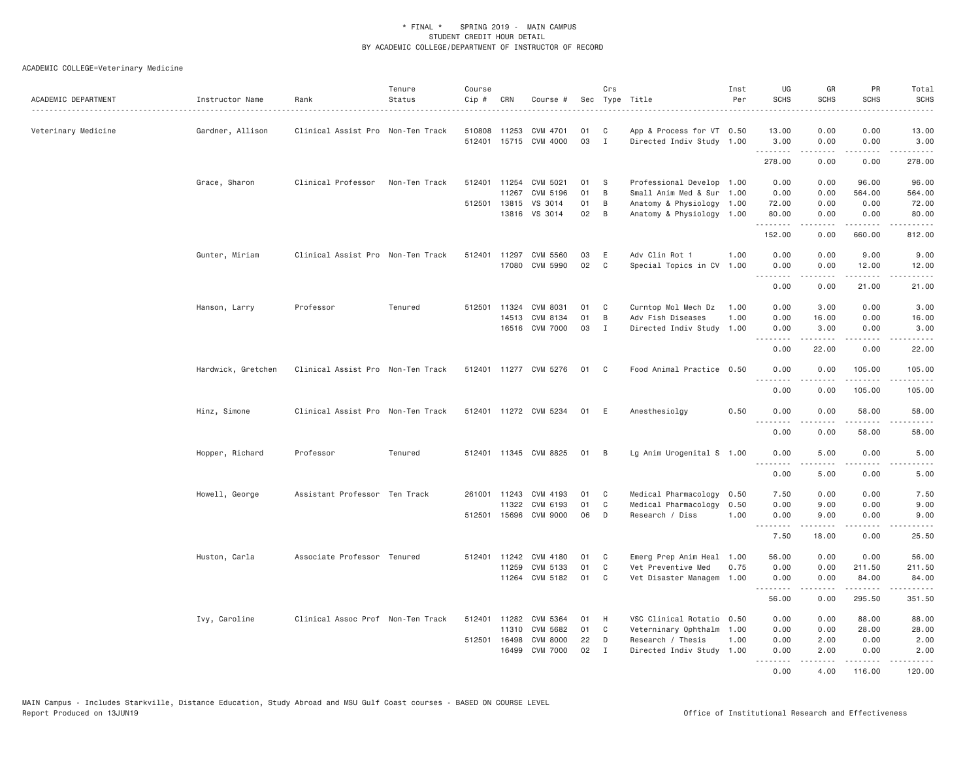| ACADEMIC DEPARTMENT | Instructor Name    | Rank                              | Tenure<br>Status | Course<br>Cip # | CRN          | Course #              |      | Crs            | Sec Type Title            | Inst<br>Per | UG<br><b>SCHS</b>             | GR<br><b>SCHS</b> | PR<br><b>SCHS</b>    | Total<br><b>SCHS</b>                                                                                                                                                                     |
|---------------------|--------------------|-----------------------------------|------------------|-----------------|--------------|-----------------------|------|----------------|---------------------------|-------------|-------------------------------|-------------------|----------------------|------------------------------------------------------------------------------------------------------------------------------------------------------------------------------------------|
| Veterinary Medicine | Gardner, Allison   | Clinical Assist Pro Non-Ten Track |                  | 510808          | 11253        | CVM 4701              | 01   | C              | App & Process for VT 0.50 |             | 13.00                         | 0.00              | 0.00                 | 13.00                                                                                                                                                                                    |
|                     |                    |                                   |                  |                 |              | 512401 15715 CVM 4000 | 03   | $\mathbf{I}$   | Directed Indiv Study 1.00 |             | 3.00<br><u>.</u>              | 0.00<br>-----     | 0.00<br>.            | 3.00<br>$- - - - - - -$                                                                                                                                                                  |
|                     |                    |                                   |                  |                 |              |                       |      |                |                           |             | 278.00                        | 0.00              | 0.00                 | 278.00                                                                                                                                                                                   |
|                     | Grace, Sharon      | Clinical Professor                | Non-Ten Track    | 512401          |              | 11254 CVM 5021        | 01   | <sub>S</sub>   | Professional Develop 1.00 |             | 0.00                          | 0.00              | 96.00                | 96.00                                                                                                                                                                                    |
|                     |                    |                                   |                  |                 | 11267        | CVM 5196              | 01   | B              | Small Anim Med & Sur 1.00 |             | 0.00                          | 0.00              | 564.00               | 564.00                                                                                                                                                                                   |
|                     |                    |                                   |                  |                 | 512501 13815 | VS 3014               | 01   | В              | Anatomy & Physiology 1.00 |             | 72.00                         | 0.00              | 0.00                 | 72.00                                                                                                                                                                                    |
|                     |                    |                                   |                  |                 |              | 13816 VS 3014         | 02   | $\overline{B}$ | Anatomy & Physiology 1.00 |             | 80.00<br>.                    | 0.00<br>.         | 0.00<br>.            | 80.00<br>$\begin{array}{cccccccccc} \bullet & \bullet & \bullet & \bullet & \bullet & \bullet & \bullet & \bullet \end{array}$                                                           |
|                     |                    |                                   |                  |                 |              |                       |      |                |                           |             | 152.00                        | 0.00              | 660.00               | 812.00                                                                                                                                                                                   |
|                     | Gunter, Miriam     | Clinical Assist Pro Non-Ten Track |                  | 512401          |              | 11297 CVM 5560        | 03   | E              | Adv Clin Rot 1            | 1.00        | 0.00                          | 0.00              | 9.00                 | 9.00                                                                                                                                                                                     |
|                     |                    |                                   |                  |                 |              | 17080 CVM 5990        | 02   | C              | Special Topics in CV 1.00 |             | 0.00                          | 0.00              | 12.00                | 12.00                                                                                                                                                                                    |
|                     |                    |                                   |                  |                 |              |                       |      |                |                           |             | .<br>0.00                     | <u>.</u><br>0.00  | .<br>21.00           | .<br>21.00                                                                                                                                                                               |
|                     | Hanson, Larry      | Professor                         | Tenured          |                 | 512501 11324 | CVM 8031              | 01   | C              | Curntop Mol Mech Dz       | 1.00        | 0.00                          | 3.00              | 0.00                 | 3.00                                                                                                                                                                                     |
|                     |                    |                                   |                  |                 | 14513        | CVM 8134              | 01   | B              | Adv Fish Diseases         | 1.00        | 0.00                          | 16.00             | 0.00                 | 16.00                                                                                                                                                                                    |
|                     |                    |                                   |                  |                 |              | 16516 CVM 7000        | 03   | $\mathbf I$    | Directed Indiv Study 1.00 |             | 0.00<br>.                     | 3.00<br>.         | 0.00<br>المتمالين    | 3.00<br>.                                                                                                                                                                                |
|                     |                    |                                   |                  |                 |              |                       |      |                |                           |             | 0.00                          | 22.00             | 0.00                 | 22.00                                                                                                                                                                                    |
|                     | Hardwick, Gretchen | Clinical Assist Pro Non-Ten Track |                  |                 |              | 512401 11277 CVM 5276 | 01 C |                | Food Animal Practice 0.50 |             | 0.00                          | 0.00              | 105.00               | 105.00                                                                                                                                                                                   |
|                     |                    |                                   |                  |                 |              |                       |      |                |                           |             | 0.00                          | 0.00              | .<br>105.00          | .<br>105.00                                                                                                                                                                              |
|                     | Hinz, Simone       | Clinical Assist Pro Non-Ten Track |                  |                 |              | 512401 11272 CVM 5234 | 01 E |                | Anesthesiolgy             | 0.50        | 0.00                          | 0.00              | 58.00                | 58.00                                                                                                                                                                                    |
|                     |                    |                                   |                  |                 |              |                       |      |                |                           |             | .<br>0.00                     | 0.00              | د د د د د<br>58.00   | .<br>58.00                                                                                                                                                                               |
|                     | Hopper, Richard    | Professor                         | Tenured          |                 |              | 512401 11345 CVM 8825 | 01   | B              | Lg Anim Urogenital S 1.00 |             | 0.00                          | 5.00              | 0.00                 | 5.00                                                                                                                                                                                     |
|                     |                    |                                   |                  |                 |              |                       |      |                |                           |             | .<br>0.00                     | 5,00              | .<br>0.00            | 5.00                                                                                                                                                                                     |
|                     | Howell, George     | Assistant Professor Ten Track     |                  |                 | 261001 11243 | CVM 4193              | 01   | C              | Medical Pharmacology      | 0.50        | 7.50                          | 0.00              | 0.00                 | 7.50                                                                                                                                                                                     |
|                     |                    |                                   |                  |                 | 11322        | CVM 6193              | 01   | C              | Medical Pharmacology      | 0.50        | 0.00                          | 9.00              | 0.00                 | 9.00                                                                                                                                                                                     |
|                     |                    |                                   |                  |                 |              | 512501 15696 CVM 9000 | 06   | D              | Research / Diss           | 1.00        | 0.00<br>.                     | 9.00<br>.         | 0.00<br>.            | 9.00<br>$   -$                                                                                                                                                                           |
|                     |                    |                                   |                  |                 |              |                       |      |                |                           |             | 7.50                          | 18.00             | 0.00                 | 25.50                                                                                                                                                                                    |
|                     | Huston, Carla      | Associate Professor Tenured       |                  |                 | 512401 11242 | CVM 4180              | 01   | C              | Emerg Prep Anim Heal 1.00 |             | 56.00                         | 0.00              | 0.00                 | 56.00                                                                                                                                                                                    |
|                     |                    |                                   |                  |                 |              | 11259 CVM 5133        | 01   | C              | Vet Preventive Med        | 0.75        | 0.00                          | 0.00              | 211.50               | 211.50                                                                                                                                                                                   |
|                     |                    |                                   |                  |                 |              | 11264 CVM 5182        | 01   | C              | Vet Disaster Managem 1.00 |             | 0.00<br><b><i><u></u></i></b> | 0.00<br><b>.</b>  | 84.00<br>2.2.2.2.2.2 | 84.00<br>$\frac{1}{2} \left( \frac{1}{2} \right) \left( \frac{1}{2} \right) \left( \frac{1}{2} \right) \left( \frac{1}{2} \right) \left( \frac{1}{2} \right) \left( \frac{1}{2} \right)$ |
|                     |                    |                                   |                  |                 |              |                       |      |                |                           |             | 56.00                         | 0.00              | 295.50               | 351.50                                                                                                                                                                                   |
|                     | Ivy, Caroline      | Clinical Assoc Prof Non-Ten Track |                  | 512401          |              | 11282 CVM 5364        | 01   | H              | VSC Clinical Rotatio 0.50 |             | 0.00                          | 0.00              | 88.00                | 88.00                                                                                                                                                                                    |
|                     |                    |                                   |                  |                 | 11310        | CVM 5682              | 01   | C              | Veterninary Ophthalm 1.00 |             | 0.00                          | 0.00              | 28.00                | 28.00                                                                                                                                                                                    |
|                     |                    |                                   |                  |                 | 512501 16498 | CVM 8000              | 22   | D              | Research / Thesis         | 1.00        | 0.00                          | 2.00              | 0.00                 | 2.00                                                                                                                                                                                     |
|                     |                    |                                   |                  |                 | 16499        | <b>CVM 7000</b>       | 02   | I              | Directed Indiv Study 1.00 |             | 0.00<br>.                     | 2.00<br>.         | 0.00<br>. <b>.</b>   | 2.00<br>.                                                                                                                                                                                |
|                     |                    |                                   |                  |                 |              |                       |      |                |                           |             | 0.00                          | 4.00              | 116,00               | 120.00                                                                                                                                                                                   |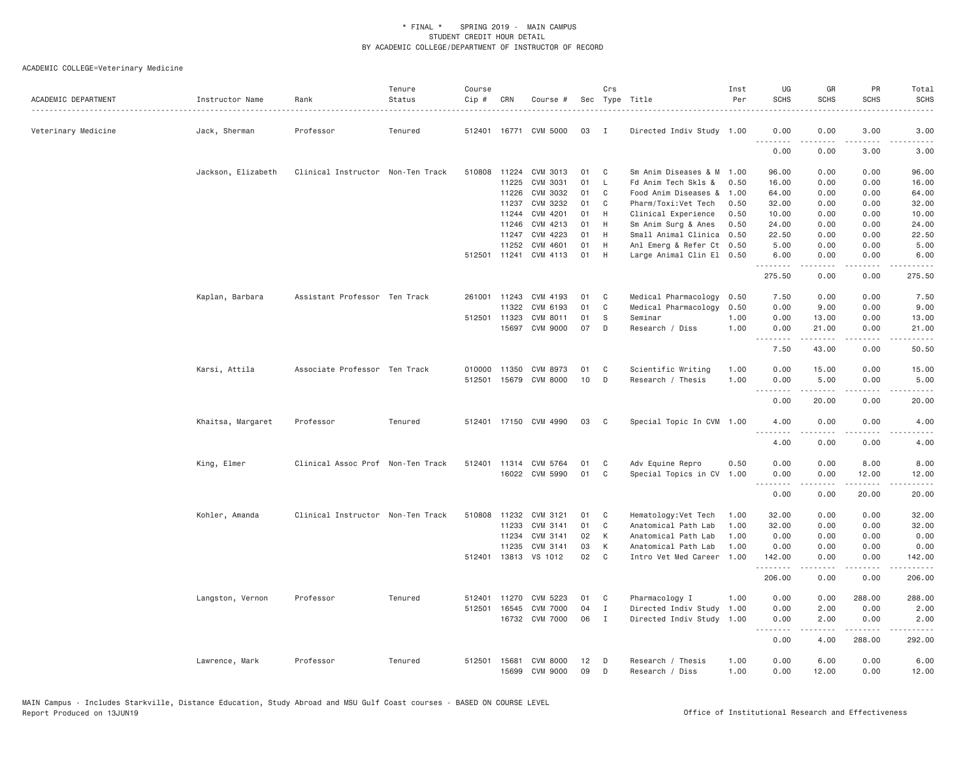| ACADEMIC DEPARTMENT | Instructor Name    | Rank                              | Tenure<br>Status | Course<br>Cip # | CRN            | Course #              |          | Crs            | Sec Type Title                                   | Inst<br>Per | UG<br><b>SCHS</b>   | GR<br><b>SCHS</b>    | PR<br><b>SCHS</b>                   | Total<br><b>SCHS</b>                                                                                                      |
|---------------------|--------------------|-----------------------------------|------------------|-----------------|----------------|-----------------------|----------|----------------|--------------------------------------------------|-------------|---------------------|----------------------|-------------------------------------|---------------------------------------------------------------------------------------------------------------------------|
| Veterinary Medicine | Jack, Sherman      | Professor                         | Tenured          |                 |                | 512401 16771 CVM 5000 | 03       | $\mathbf{I}$   | Directed Indiv Study 1.00                        |             | 0.00                | 0.00<br>.            | 3.00                                | 3.00<br>$\sim$ $\sim$ $\sim$ $\sim$                                                                                       |
|                     |                    |                                   |                  |                 |                |                       |          |                |                                                  |             | 0.00                | 0.00                 | 3.00                                | 3.00                                                                                                                      |
|                     | Jackson, Elizabeth | Clinical Instructor Non-Ten Track |                  |                 | 510808 11224   | CVM 3013              | 01       | C              | Sm Anim Diseases & M 1.00                        |             | 96.00               | 0.00                 | 0.00                                | 96.00                                                                                                                     |
|                     |                    |                                   |                  |                 | 11225          | CVM 3031              | 01       | L.             | Fd Anim Tech Skls &                              | 0.50        | 16.00               | 0.00                 | 0.00                                | 16.00                                                                                                                     |
|                     |                    |                                   |                  |                 | 11226          | CVM 3032              | 01       | C              | Food Anim Diseases &                             | 1.00        | 64.00               | 0.00                 | 0.00                                | 64.00                                                                                                                     |
|                     |                    |                                   |                  |                 | 11237          | CVM 3232              | 01       | C              | Pharm/Toxi:Vet Tech                              | 0.50        | 32.00               | 0.00                 | 0.00                                | 32.00                                                                                                                     |
|                     |                    |                                   |                  |                 | 11244          | CVM 4201<br>CVM 4213  | 01<br>01 | H              | Clinical Experience                              | 0.50        | 10.00<br>24.00      | 0.00                 | 0.00<br>0.00                        | 10.00<br>24.00                                                                                                            |
|                     |                    |                                   |                  |                 | 11246<br>11247 | CVM 4223              | 01       | H<br>H         | Sm Anim Surg & Anes<br>Small Animal Clinica 0.50 | 0.50        | 22.50               | 0.00<br>0.00         | 0.00                                | 22.50                                                                                                                     |
|                     |                    |                                   |                  |                 | 11252          | CVM 4601              | 01       | H              | Anl Emerg & Refer Ct 0.50                        |             | 5.00                | 0.00                 | 0.00                                | 5.00                                                                                                                      |
|                     |                    |                                   |                  |                 | 512501 11241   | CVM 4113              | 01       | H              | Large Animal Clin El 0.50                        |             | 6.00                | 0.00                 | 0.00                                | 6.00                                                                                                                      |
|                     |                    |                                   |                  |                 |                |                       |          |                |                                                  |             | .                   | .                    | .                                   | $\frac{1}{2} \left( \frac{1}{2} \right) \left( \frac{1}{2} \right) \left( \frac{1}{2} \right) \left( \frac{1}{2} \right)$ |
|                     |                    |                                   |                  |                 |                |                       |          |                |                                                  |             | 275.50              | 0.00                 | 0.00                                | 275.50                                                                                                                    |
|                     | Kaplan, Barbara    | Assistant Professor Ten Track     |                  |                 | 261001 11243   | CVM 4193              | 01       | C              | Medical Pharmacology                             | 0.50        | 7.50                | 0.00                 | 0.00                                | 7.50                                                                                                                      |
|                     |                    |                                   |                  |                 | 11322          | CVM 6193              | 01       | C              | Medical Pharmacology                             | 0.50        | 0.00                | 9.00                 | 0.00                                | 9.00                                                                                                                      |
|                     |                    |                                   |                  |                 | 512501 11323   | CVM 8011              | 01       | S              | Seminar                                          | 1.00        | 0.00                | 13.00                | 0.00                                | 13.00                                                                                                                     |
|                     |                    |                                   |                  |                 | 15697          | CVM 9000              | 07       | D              | Research / Diss                                  | 1,00        | 0.00<br>.           | 21.00<br>$- - - - -$ | 0.00<br>.                           | 21.00<br>.                                                                                                                |
|                     |                    |                                   |                  |                 |                |                       |          |                |                                                  |             | 7.50                | 43.00                | 0.00                                | 50.50                                                                                                                     |
|                     | Karsi, Attila      | Associate Professor Ten Track     |                  | 010000          | 11350          | CVM 8973              | 01       | C              | Scientific Writing                               | 1.00        | 0.00                | 15.00                | 0.00                                | 15.00                                                                                                                     |
|                     |                    |                                   |                  |                 |                | 512501 15679 CVM 8000 | 10       | D              | Research / Thesis                                | 1.00        | 0.00<br>.           | 5.00<br>د د د د د    | 0.00<br>.                           | 5.00<br>والمناصبات                                                                                                        |
|                     |                    |                                   |                  |                 |                |                       |          |                |                                                  |             | 0.00                | 20.00                | 0.00                                | 20.00                                                                                                                     |
|                     | Khaitsa, Margaret  | Professor                         | Tenured          |                 |                | 512401 17150 CVM 4990 | 03       | C <sub>1</sub> | Special Topic In CVM 1.00                        |             | 4.00<br>الدامات بال | 0.00                 | 0.00<br>$\sim$ $\sim$ $\sim$ $\sim$ | 4.00<br>$- - - - -$                                                                                                       |
|                     |                    |                                   |                  |                 |                |                       |          |                |                                                  |             | 4.00                | 0.00                 | 0.00                                | 4.00                                                                                                                      |
|                     | King, Elmer        | Clinical Assoc Prof Non-Ten Track |                  |                 |                | 512401 11314 CVM 5764 | 01       | C              | Adv Equine Repro                                 | 0.50        | 0.00                | 0.00                 | 8.00                                | 8.00                                                                                                                      |
|                     |                    |                                   |                  |                 |                | 16022 CVM 5990        | 01       | C              | Special Topics in CV 1.00                        |             | 0.00                | 0.00                 | 12.00                               | 12.00                                                                                                                     |
|                     |                    |                                   |                  |                 |                |                       |          |                |                                                  |             |                     |                      | .                                   |                                                                                                                           |
|                     |                    |                                   |                  |                 |                |                       |          |                |                                                  |             | 0.00                | 0.00                 | 20.00                               | 20.00                                                                                                                     |
|                     | Kohler, Amanda     | Clinical Instructor Non-Ten Track |                  |                 |                | 510808 11232 CVM 3121 | 01       | $\mathbf{C}$   | Hematology: Vet Tech                             | 1.00        | 32.00               | 0.00                 | 0.00                                | 32.00                                                                                                                     |
|                     |                    |                                   |                  |                 | 11233          | CVM 3141              | 01       | C              | Anatomical Path Lab                              | 1.00        | 32.00               | 0.00                 | 0.00                                | 32.00                                                                                                                     |
|                     |                    |                                   |                  |                 | 11234          | CVM 3141              | 02       | К              | Anatomical Path Lab                              | 1.00        | 0.00                | 0.00                 | 0.00                                | 0.00                                                                                                                      |
|                     |                    |                                   |                  |                 | 11235          | CVM 3141              | 03       | К              | Anatomical Path Lab                              | 1.00        | 0.00                | 0.00                 | 0.00                                | 0.00                                                                                                                      |
|                     |                    |                                   |                  |                 | 512401 13813   | VS 1012               | 02       | C              | Intro Vet Med Career                             | 1.00        | 142.00<br>.         | 0.00<br>.            | 0.00<br>$\sim$ $\sim$ $\sim$ $\sim$ | 142.00<br>.                                                                                                               |
|                     |                    |                                   |                  |                 |                |                       |          |                |                                                  |             | 206.00              | 0.00                 | 0.00                                | 206.00                                                                                                                    |
|                     | Langston, Vernon   | Professor                         | Tenured          | 512401          | 11270          | CVM 5223              | 01       | C <sub>1</sub> | Pharmacology I                                   | 1.00        | 0.00                | 0.00                 | 288.00                              | 288.00                                                                                                                    |
|                     |                    |                                   |                  | 512501          | 16545          | <b>CVM 7000</b>       | 04       | Ι.             | Directed Indiv Study                             | 1.00        | 0.00                | 2.00                 | 0.00                                | 2.00                                                                                                                      |
|                     |                    |                                   |                  |                 | 16732          | <b>CVM 7000</b>       | 06       | $\mathbf{I}$   | Directed Indiv Study                             | 1.00        | 0.00<br>.           | 2.00<br>.            | 0.00<br><u>.</u>                    | 2.00<br>.                                                                                                                 |
|                     |                    |                                   |                  |                 |                |                       |          |                |                                                  |             | 0.00                | 4.00                 | 288.00                              | 292.00                                                                                                                    |
|                     | Lawrence, Mark     | Professor                         | Tenured          |                 | 512501 15681   | CVM 8000              | 12       | D              | Research / Thesis                                | 1.00        | 0.00                | 6.00                 | 0.00                                | 6.00                                                                                                                      |
|                     |                    |                                   |                  |                 | 15699          | CVM 9000              | 09       | D              | Research / Diss                                  | 1,00        | 0.00                | 12.00                | 0.00                                | 12.00                                                                                                                     |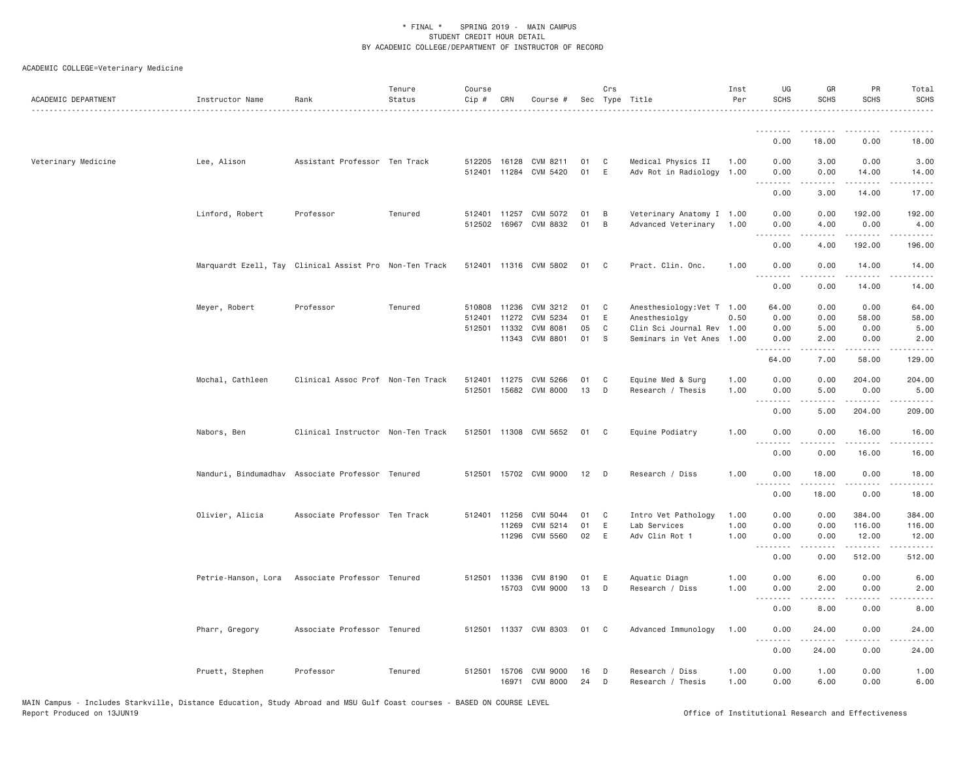| ACADEMIC DEPARTMENT | Instructor Name                                        | Rank                                            | Tenure<br>Status | Course<br>Cip #                        | CRN            | Course #                                       |                      | Crs                        | Sec Type Title                                                                                   | Inst<br>Per          | UG<br><b>SCHS</b>                     | GR<br><b>SCHS</b>                                                                                                                                             | PR<br><b>SCHS</b>                            | Total<br><b>SCHS</b>                                                                                                                                                   |
|---------------------|--------------------------------------------------------|-------------------------------------------------|------------------|----------------------------------------|----------------|------------------------------------------------|----------------------|----------------------------|--------------------------------------------------------------------------------------------------|----------------------|---------------------------------------|---------------------------------------------------------------------------------------------------------------------------------------------------------------|----------------------------------------------|------------------------------------------------------------------------------------------------------------------------------------------------------------------------|
|                     |                                                        |                                                 |                  |                                        |                |                                                |                      |                            |                                                                                                  |                      | 0.00                                  | 18.00                                                                                                                                                         | 0.00                                         | 18.00                                                                                                                                                                  |
| Veterinary Medicine | Lee, Alison                                            | Assistant Professor Ten Track                   |                  |                                        |                | 512205 16128 CVM 8211<br>512401 11284 CVM 5420 | 01<br>01             | C<br>E                     | Medical Physics II<br>Adv Rot in Radiology 1.00                                                  | 1.00                 | 0.00<br>0.00                          | 3.00<br>0.00                                                                                                                                                  | 0.00<br>14.00                                | 3.00<br>14.00                                                                                                                                                          |
|                     |                                                        |                                                 |                  |                                        |                |                                                |                      |                            |                                                                                                  |                      | .<br>0.00                             | -----<br>3.00                                                                                                                                                 | .<br>14.00                                   | .<br>17.00                                                                                                                                                             |
|                     | Linford, Robert                                        | Professor                                       | Tenured          | 512401<br>512502                       | 11257<br>16967 | CVM 5072<br>CVM 8832                           | 01<br>01             | B<br>B                     | Veterinary Anatomy I 1.00<br>Advanced Veterinary                                                 | 1.00                 | 0.00<br>0.00                          | 0.00<br>4.00                                                                                                                                                  | 192.00<br>0.00                               | 192.00<br>4.00                                                                                                                                                         |
|                     |                                                        |                                                 |                  |                                        |                |                                                |                      |                            |                                                                                                  |                      | <b><i><u><u>.</u></u></i></b><br>0.00 | .<br>4.00                                                                                                                                                     | .<br>192.00                                  | 2.2.2.2.2.<br>196.00                                                                                                                                                   |
|                     | Marquardt Ezell, Tay Clinical Assist Pro Non-Ten Track |                                                 |                  |                                        |                | 512401 11316 CVM 5802                          | 01                   | C                          | Pract. Clin. Onc.                                                                                | 1.00                 | 0.00<br>.                             | 0.00<br>.                                                                                                                                                     | 14.00<br>.                                   | 14.00<br>.                                                                                                                                                             |
|                     |                                                        |                                                 |                  |                                        |                |                                                |                      |                            |                                                                                                  |                      | 0.00                                  | 0.00                                                                                                                                                          | 14.00                                        | 14.00                                                                                                                                                                  |
|                     | Meyer, Robert                                          | Professor                                       | Tenured          | 510808 11236<br>512401<br>512501 11332 | 11272<br>11343 | CVM 3212<br>CVM 5234<br>CVM 8081<br>CVM 8801   | 01<br>01<br>05<br>01 | C<br>Ε<br>$\mathbb C$<br>S | Anesthesiology: Vet T 1.00<br>Anesthesiolgy<br>Clin Sci Journal Rev 1.00<br>Seminars in Vet Anes | 0.50<br>1.00         | 64.00<br>0.00<br>0.00<br>0.00<br>.    | 0.00<br>0.00<br>5.00<br>2.00<br>.                                                                                                                             | 0.00<br>58.00<br>0.00<br>0.00<br>$- - - - -$ | 64.00<br>58.00<br>5.00<br>2.00<br><u>.</u>                                                                                                                             |
|                     |                                                        |                                                 |                  |                                        |                |                                                |                      |                            |                                                                                                  |                      | 64.00                                 | 7.00                                                                                                                                                          | 58.00                                        | 129.00                                                                                                                                                                 |
|                     | Mochal, Cathleen                                       | Clinical Assoc Prof Non-Ten Track               |                  | 512401<br>512501                       | 11275          | CVM 5266<br>15682 CVM 8000                     | 01<br>13             | C<br>D                     | Equine Med & Surg<br>Research / Thesis                                                           | 1.00<br>1.00         | 0.00<br>0.00<br>.                     | 0.00<br>5.00                                                                                                                                                  | 204.00<br>0.00<br>.                          | 204.00<br>5.00<br>$\frac{1}{2} \left( \frac{1}{2} \right) \left( \frac{1}{2} \right) \left( \frac{1}{2} \right) \left( \frac{1}{2} \right) \left( \frac{1}{2} \right)$ |
|                     |                                                        |                                                 |                  |                                        |                |                                                |                      |                            |                                                                                                  |                      | 0.00                                  | 5.00                                                                                                                                                          | 204.00                                       | 209.00                                                                                                                                                                 |
|                     | Nabors, Ben                                            | Clinical Instructor Non-Ten Track               |                  |                                        |                | 512501 11308 CVM 5652                          | 01                   | C                          | Equine Podiatry                                                                                  | 1.00                 | 0.00<br><u>.</u>                      | 0.00<br>.                                                                                                                                                     | 16.00<br>.                                   | 16.00<br>.                                                                                                                                                             |
|                     |                                                        |                                                 |                  |                                        |                |                                                |                      |                            |                                                                                                  |                      | 0.00                                  | 0.00                                                                                                                                                          | 16.00                                        | 16.00                                                                                                                                                                  |
|                     | Nanduri, Bindumadhav Associate Professor Tenured       |                                                 |                  |                                        |                | 512501 15702 CVM 9000                          | 12                   | D                          | Research / Diss                                                                                  | 1.00                 | 0.00<br><u>.</u>                      | 18.00<br>$\frac{1}{2} \left( \frac{1}{2} \right) \left( \frac{1}{2} \right) \left( \frac{1}{2} \right) \left( \frac{1}{2} \right) \left( \frac{1}{2} \right)$ | 0.00<br>.                                    | 18.00<br>المتمامين                                                                                                                                                     |
|                     |                                                        |                                                 |                  |                                        |                |                                                |                      |                            |                                                                                                  |                      | 0.00                                  | 18.00                                                                                                                                                         | 0.00                                         | 18.00                                                                                                                                                                  |
|                     | Olivier, Alicia                                        | Associate Professor Ten Track                   |                  | 512401 11256                           | 11269<br>11296 | CVM 5044<br>CVM 5214<br>CVM 5560               | 01<br>01<br>02       | C<br>E<br>E                | Intro Vet Pathology<br>Lab Services<br>Adv Clin Rot 1                                            | 1.00<br>1.00<br>1.00 | 0.00<br>0.00<br>0.00                  | 0.00<br>0.00<br>0.00                                                                                                                                          | 384.00<br>116.00<br>12.00                    | 384.00<br>116.00<br>12.00                                                                                                                                              |
|                     |                                                        |                                                 |                  |                                        |                |                                                |                      |                            |                                                                                                  |                      | .<br>0.00                             | 0.00                                                                                                                                                          | د د د د د<br>512.00                          | .<br>512.00                                                                                                                                                            |
|                     |                                                        | Petrie-Hanson, Lora Associate Professor Tenured |                  |                                        |                | 512501 11336 CVM 8190<br>15703 CVM 9000        | 01<br>13             | Ε<br>D                     | Aquatic Diagn<br>Research / Diss                                                                 | 1.00<br>1.00         | 0.00<br>0.00<br>. <b>.</b>            | 6.00<br>2,00<br><u>.</u>                                                                                                                                      | 0.00<br>0.00<br>.                            | 6.00<br>2.00<br>----                                                                                                                                                   |
|                     |                                                        |                                                 |                  |                                        |                |                                                |                      |                            |                                                                                                  |                      | 0.00                                  | 8.00                                                                                                                                                          | 0.00                                         | 8.00                                                                                                                                                                   |
|                     | Pharr, Gregory                                         | Associate Professor Tenured                     |                  | 512501                                 |                | 11337 CVM 8303                                 | 01                   | C                          | Advanced Immunology                                                                              | 1.00                 | 0.00<br>.                             | 24.00<br>.                                                                                                                                                    | 0.00<br>$\sim$ $\sim$ $\sim$                 | 24.00<br>.                                                                                                                                                             |
|                     |                                                        |                                                 |                  |                                        |                |                                                |                      |                            |                                                                                                  |                      | 0.00                                  | 24.00                                                                                                                                                         | 0.00                                         | 24.00                                                                                                                                                                  |
|                     | Pruett, Stephen                                        | Professor                                       | Tenured          | 512501                                 | 15706          | CVM 9000<br>16971 CVM 8000                     | 16<br>24             | D<br>D                     | Research / Diss<br>Research / Thesis                                                             | 1.00<br>1.00         | 0.00<br>0.00                          | 1.00<br>6.00                                                                                                                                                  | 0.00<br>0.00                                 | 1.00<br>6.00                                                                                                                                                           |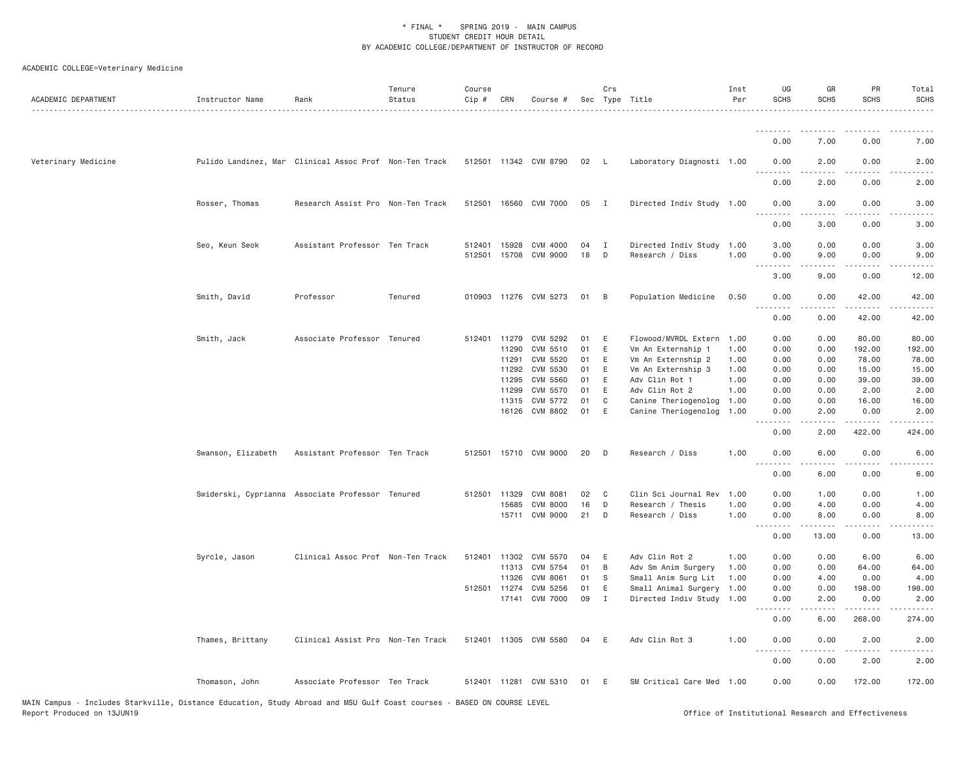| ACADEMIC DEPARTMENT | Instructor Name                                        | Rank                              | Tenure<br>Status | Course<br>Cip # | CRN          | Course #              |      | Crs            | Sec Type Title            | Inst<br>Per | UG<br><b>SCHS</b> | GR<br><b>SCHS</b> | PR<br><b>SCHS</b>                                                                                                                                             | Total<br><b>SCHS</b><br>. |
|---------------------|--------------------------------------------------------|-----------------------------------|------------------|-----------------|--------------|-----------------------|------|----------------|---------------------------|-------------|-------------------|-------------------|---------------------------------------------------------------------------------------------------------------------------------------------------------------|---------------------------|
|                     |                                                        |                                   |                  |                 |              |                       |      |                |                           |             | --------          | .                 | ----                                                                                                                                                          | $\frac{1}{2}$             |
|                     |                                                        |                                   |                  |                 |              |                       |      |                |                           |             | 0.00              | 7.00              | 0.00                                                                                                                                                          | 7.00                      |
| Veterinary Medicine | Pulido Landinez, Mar Clinical Assoc Prof Non-Ten Track |                                   |                  |                 |              | 512501 11342 CVM 8790 | 02 L |                | Laboratory Diagnosti 1.00 |             | 0.00              | 2.00              | 0.00                                                                                                                                                          | 2.00                      |
|                     |                                                        |                                   |                  |                 |              |                       |      |                |                           |             | 0.00              | 2.00              | 0.00                                                                                                                                                          | 2.00                      |
|                     | Rosser, Thomas                                         | Research Assist Pro Non-Ten Track |                  |                 |              | 512501 16560 CVM 7000 | 05   | $\blacksquare$ | Directed Indiv Study 1.00 |             | 0.00<br><u>.</u>  | 3.00              | 0.00<br>$- - -$                                                                                                                                               | 3.00                      |
|                     |                                                        |                                   |                  |                 |              |                       |      |                |                           |             | 0.00              | 3.00              | 0.00                                                                                                                                                          | 3.00                      |
|                     | Seo, Keun Seok                                         | Assistant Professor Ten Track     |                  | 512401          |              | 15928 CVM 4000        | 04   | $\mathbf{I}$   | Directed Indiv Study      | 1.00        | 3.00              | 0.00              | 0.00                                                                                                                                                          | 3.00                      |
|                     |                                                        |                                   |                  |                 |              | 512501 15708 CVM 9000 | 18   | D              | Research / Diss           | 1.00        | 0.00              | 9.00              | 0.00<br>.                                                                                                                                                     | 9.00                      |
|                     |                                                        |                                   |                  |                 |              |                       |      |                |                           |             | 3.00              | 9.00              | 0.00                                                                                                                                                          | 12.00                     |
|                     | Smith, David                                           | Professor                         | Tenured          |                 |              | 010903 11276 CVM 5273 | 01   | B              | Population Medicine       | 0.50        | 0.00<br>.         | 0.00<br>.         | 42.00<br>$\frac{1}{2} \left( \frac{1}{2} \right) \left( \frac{1}{2} \right) \left( \frac{1}{2} \right) \left( \frac{1}{2} \right) \left( \frac{1}{2} \right)$ | 42.00<br>د د د د د        |
|                     |                                                        |                                   |                  |                 |              |                       |      |                |                           |             | 0.00              | 0.00              | 42.00                                                                                                                                                         | 42.00                     |
|                     | Smith, Jack                                            | Associate Professor Tenured       |                  |                 |              | 512401 11279 CVM 5292 | 01   | E              | Flowood/MVRDL Extern      | 1.00        | 0.00              | 0.00              | 80.00                                                                                                                                                         | 80.00                     |
|                     |                                                        |                                   |                  |                 | 11290        | CVM 5510              | 01   | E              | Vm An Externship 1        | 1.00        | 0.00              | 0.00              | 192.00                                                                                                                                                        | 192.00                    |
|                     |                                                        |                                   |                  |                 | 11291        | CVM 5520              | 01   | E              | Vm An Externship 2        | 1.00        | 0.00              | 0.00              | 78.00                                                                                                                                                         | 78.00                     |
|                     |                                                        |                                   |                  |                 | 11292        | CVM 5530              | 01   | E              | Vm An Externship 3        | 1.00        | 0.00              | 0.00              | 15.00                                                                                                                                                         | 15.00                     |
|                     |                                                        |                                   |                  |                 | 11295        | CVM 5560              | 01   | E              | Adv Clin Rot 1            | 1.00        | 0.00              | 0.00              | 39.00                                                                                                                                                         | 39.00                     |
|                     |                                                        |                                   |                  |                 | 11299        | CVM 5570              | 01   | E              | Adv Clin Rot 2            | 1.00        | 0.00              | 0.00              | 2.00                                                                                                                                                          | 2.00                      |
|                     |                                                        |                                   |                  |                 |              | 11315 CVM 5772        | 01   | C              | Canine Theriogenolog      | 1.00        | 0.00              | 0.00              | 16.00                                                                                                                                                         | 16.00                     |
|                     |                                                        |                                   |                  |                 |              | 16126 CVM 8802        | 01   | E              | Canine Theriogenolog      | 1.00        | 0.00              | 2.00              | 0.00<br>.                                                                                                                                                     | 2.00<br>.                 |
|                     |                                                        |                                   |                  |                 |              |                       |      |                |                           |             | <u>.</u><br>0.00  | .<br>2.00         | 422.00                                                                                                                                                        | 424.00                    |
|                     | Swanson, Elizabeth                                     | Assistant Professor Ten Track     |                  |                 |              | 512501 15710 CVM 9000 | 20   | D              | Research / Diss           | 1.00        | 0.00              | 6.00              | 0.00<br>$- - -$                                                                                                                                               | 6.00                      |
|                     |                                                        |                                   |                  |                 |              |                       |      |                |                           |             | <u>.</u><br>0.00  | .<br>6.00         | 0.00                                                                                                                                                          | -----<br>6.00             |
|                     | Swiderski, Cyprianna Associate Professor Tenured       |                                   |                  | 512501          | 11329        | CVM 8081              | 02   | C              | Clin Sci Journal Rev      | 1.00        | 0.00              | 1.00              | 0.00                                                                                                                                                          | 1.00                      |
|                     |                                                        |                                   |                  |                 | 15685        | CVM 8000              | 16   | D              | Research / Thesis         | 1.00        | 0.00              | 4.00              | 0.00                                                                                                                                                          | 4.00                      |
|                     |                                                        |                                   |                  |                 |              | 15711 CVM 9000        | 21   | D              | Research / Diss           | 1.00        | 0.00<br>.         | 8.00<br>-----     | 0.00<br>.                                                                                                                                                     | 8.00<br>$\frac{1}{2}$     |
|                     |                                                        |                                   |                  |                 |              |                       |      |                |                           |             | 0.00              | 13.00             | 0.00                                                                                                                                                          | 13.00                     |
|                     | Syrcle, Jason                                          | Clinical Assoc Prof Non-Ten Track |                  |                 | 512401 11302 | CVM 5570              | 04   | Ε              | Adv Clin Rot 2            | 1.00        | 0.00              | 0.00              | 6.00                                                                                                                                                          | 6.00                      |
|                     |                                                        |                                   |                  |                 |              | 11313 CVM 5754        | 01   | $\,$ B         | Adv Sm Anim Surgery       | 1.00        | 0.00              | 0.00              | 64.00                                                                                                                                                         | 64.00                     |
|                     |                                                        |                                   |                  |                 | 11326        | <b>CVM 8061</b>       | 01   | S              | Small Anim Surg Lit       | 1.00        | 0.00              | 4.00              | 0.00                                                                                                                                                          | 4.00                      |
|                     |                                                        |                                   |                  | 512501          | 11274        | CVM 5256              | 01   | E              | Small Animal Surgery      | 1.00        | 0.00              | 0.00              | 198.00                                                                                                                                                        | 198.00                    |
|                     |                                                        |                                   |                  |                 |              | 17141 CVM 7000        | 09   | $\mathbf{I}$   | Directed Indiv Study 1.00 |             | 0.00<br>$\cdots$  | 2.00              | 0.00<br>.                                                                                                                                                     | 2.00<br>.                 |
|                     |                                                        |                                   |                  |                 |              |                       |      |                |                           |             | 0.00              | 6.00              | 268.00                                                                                                                                                        | 274.00                    |
|                     | Thames, Brittany                                       | Clinical Assist Pro Non-Ten Track |                  |                 |              | 512401 11305 CVM 5580 | 04   | E              | Adv Clin Rot 3            | 1.00        | 0.00<br>.         | 0.00<br>.         | 2.00<br>.                                                                                                                                                     | 2.00<br>-----             |
|                     |                                                        |                                   |                  |                 |              |                       |      |                |                           |             | 0.00              | 0.00              | 2.00                                                                                                                                                          | 2.00                      |
|                     | Thomason, John                                         | Associate Professor Ten Track     |                  |                 |              | 512401 11281 CVM 5310 | 01   | E              | SM Critical Care Med 1.00 |             | 0.00              | 0.00              | 172.00                                                                                                                                                        | 172.00                    |